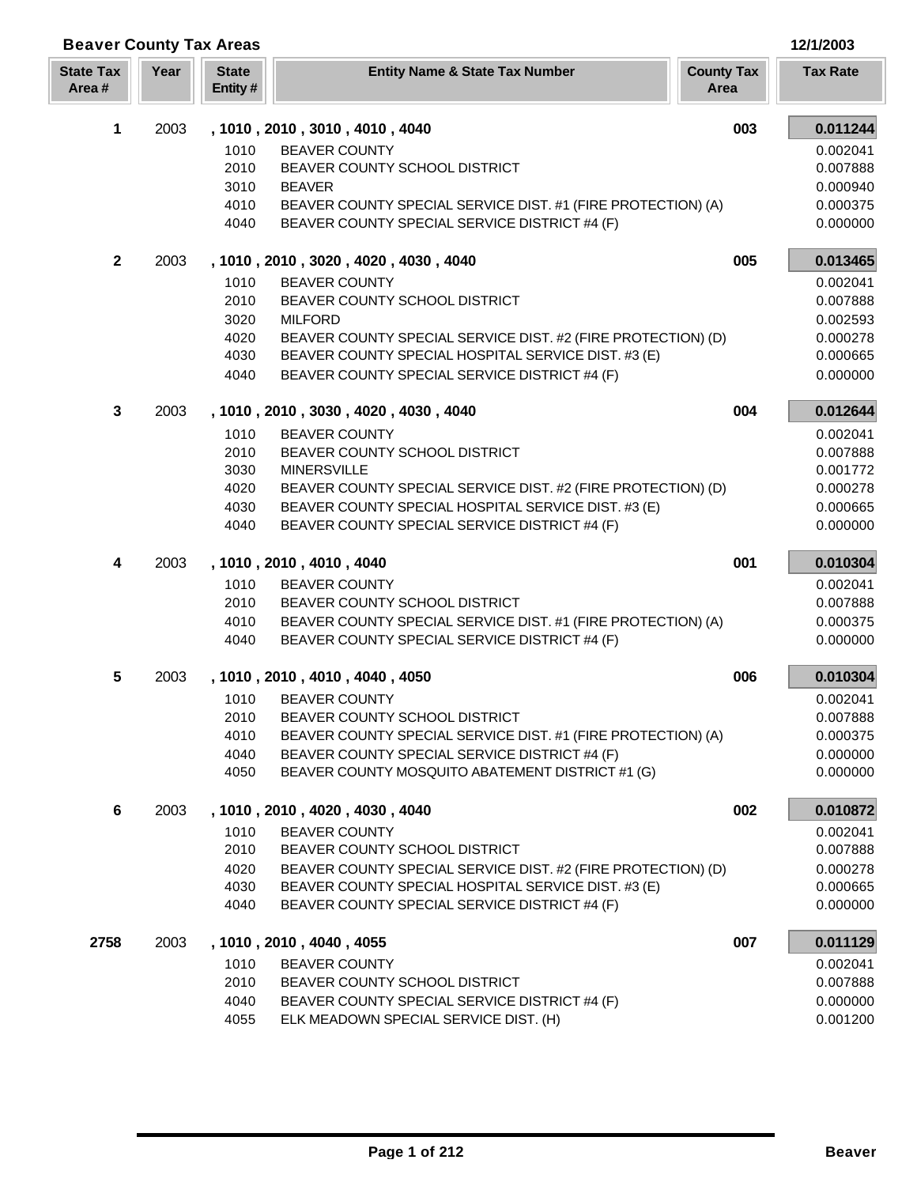|  | 12/1/2003 |  |  |
|--|-----------|--|--|
|  |           |  |  |

| <b>Beaver County Tax Areas</b> |      |                         |                                                                                        |                           | 12/1/2003            |
|--------------------------------|------|-------------------------|----------------------------------------------------------------------------------------|---------------------------|----------------------|
| <b>State Tax</b><br>Area#      | Year | <b>State</b><br>Entity# | <b>Entity Name &amp; State Tax Number</b>                                              | <b>County Tax</b><br>Area | <b>Tax Rate</b>      |
| 1                              | 2003 |                         | , 1010, 2010, 3010, 4010, 4040                                                         | 003                       | 0.011244             |
|                                |      | 1010                    | <b>BEAVER COUNTY</b>                                                                   |                           | 0.002041             |
|                                |      | 2010                    | BEAVER COUNTY SCHOOL DISTRICT                                                          |                           | 0.007888             |
|                                |      | 3010                    | <b>BEAVER</b>                                                                          |                           | 0.000940             |
|                                |      | 4010                    | BEAVER COUNTY SPECIAL SERVICE DIST. #1 (FIRE PROTECTION) (A)                           |                           | 0.000375             |
|                                |      | 4040                    | BEAVER COUNTY SPECIAL SERVICE DISTRICT #4 (F)                                          |                           | 0.000000             |
| $\mathbf{2}$                   | 2003 |                         | , 1010, 2010, 3020, 4020, 4030, 4040                                                   | 005                       | 0.013465             |
|                                |      | 1010                    | <b>BEAVER COUNTY</b>                                                                   |                           | 0.002041             |
|                                |      | 2010                    | BEAVER COUNTY SCHOOL DISTRICT                                                          |                           | 0.007888             |
|                                |      | 3020                    | <b>MILFORD</b>                                                                         |                           | 0.002593             |
|                                |      | 4020                    | BEAVER COUNTY SPECIAL SERVICE DIST. #2 (FIRE PROTECTION) (D)                           |                           | 0.000278             |
|                                |      | 4030                    | BEAVER COUNTY SPECIAL HOSPITAL SERVICE DIST. #3 (E)                                    |                           | 0.000665             |
|                                |      | 4040                    | BEAVER COUNTY SPECIAL SERVICE DISTRICT #4 (F)                                          |                           | 0.000000             |
| 3                              | 2003 |                         | , 1010, 2010, 3030, 4020, 4030, 4040                                                   | 004                       | 0.012644             |
|                                |      | 1010                    | <b>BEAVER COUNTY</b>                                                                   |                           | 0.002041             |
|                                |      | 2010                    | BEAVER COUNTY SCHOOL DISTRICT                                                          |                           | 0.007888             |
|                                |      | 3030                    | <b>MINERSVILLE</b>                                                                     |                           | 0.001772             |
|                                |      | 4020                    | BEAVER COUNTY SPECIAL SERVICE DIST. #2 (FIRE PROTECTION) (D)                           |                           | 0.000278             |
|                                |      | 4030                    | BEAVER COUNTY SPECIAL HOSPITAL SERVICE DIST. #3 (E)                                    |                           | 0.000665             |
|                                |      | 4040                    | BEAVER COUNTY SPECIAL SERVICE DISTRICT #4 (F)                                          |                           | 0.000000             |
| 4                              | 2003 |                         | , 1010, 2010, 4010, 4040                                                               | 001                       | 0.010304             |
|                                |      | 1010                    | <b>BEAVER COUNTY</b>                                                                   |                           | 0.002041             |
|                                |      | 2010                    | BEAVER COUNTY SCHOOL DISTRICT                                                          |                           | 0.007888             |
|                                |      | 4010                    | BEAVER COUNTY SPECIAL SERVICE DIST. #1 (FIRE PROTECTION) (A)                           |                           | 0.000375             |
|                                |      | 4040                    | BEAVER COUNTY SPECIAL SERVICE DISTRICT #4 (F)                                          |                           | 0.000000             |
| 5                              | 2003 |                         | , 1010, 2010, 4010, 4040, 4050                                                         | 006                       | 0.010304             |
|                                |      | 1010                    | <b>BEAVER COUNTY</b>                                                                   |                           | 0.002041             |
|                                |      | 2010                    | BEAVER COUNTY SCHOOL DISTRICT                                                          |                           | 0.007888             |
|                                |      | 4010                    | BEAVER COUNTY SPECIAL SERVICE DIST. #1 (FIRE PROTECTION) (A)                           |                           | 0.000375             |
|                                |      | 4040                    | BEAVER COUNTY SPECIAL SERVICE DISTRICT #4 (F)                                          |                           | 0.000000             |
|                                |      | 4050                    | BEAVER COUNTY MOSQUITO ABATEMENT DISTRICT #1 (G)                                       |                           | 0.000000             |
| 6                              | 2003 |                         | , 1010, 2010, 4020, 4030, 4040                                                         | 002                       | 0.010872             |
|                                |      | 1010                    | <b>BEAVER COUNTY</b>                                                                   |                           | 0.002041             |
|                                |      | 2010                    | BEAVER COUNTY SCHOOL DISTRICT                                                          |                           | 0.007888             |
|                                |      | 4020                    | BEAVER COUNTY SPECIAL SERVICE DIST. #2 (FIRE PROTECTION) (D)                           |                           | 0.000278             |
|                                |      | 4030                    | BEAVER COUNTY SPECIAL HOSPITAL SERVICE DIST. #3 (E)                                    |                           | 0.000665             |
|                                |      | 4040                    | BEAVER COUNTY SPECIAL SERVICE DISTRICT #4 (F)                                          |                           | 0.000000             |
| 2758                           | 2003 |                         | , 1010, 2010, 4040, 4055                                                               | 007                       | 0.011129             |
|                                |      | 1010                    | <b>BEAVER COUNTY</b>                                                                   |                           | 0.002041             |
|                                |      | 2010                    | BEAVER COUNTY SCHOOL DISTRICT                                                          |                           | 0.007888             |
|                                |      | 4040<br>4055            | BEAVER COUNTY SPECIAL SERVICE DISTRICT #4 (F)<br>ELK MEADOWN SPECIAL SERVICE DIST. (H) |                           | 0.000000<br>0.001200 |
|                                |      |                         |                                                                                        |                           |                      |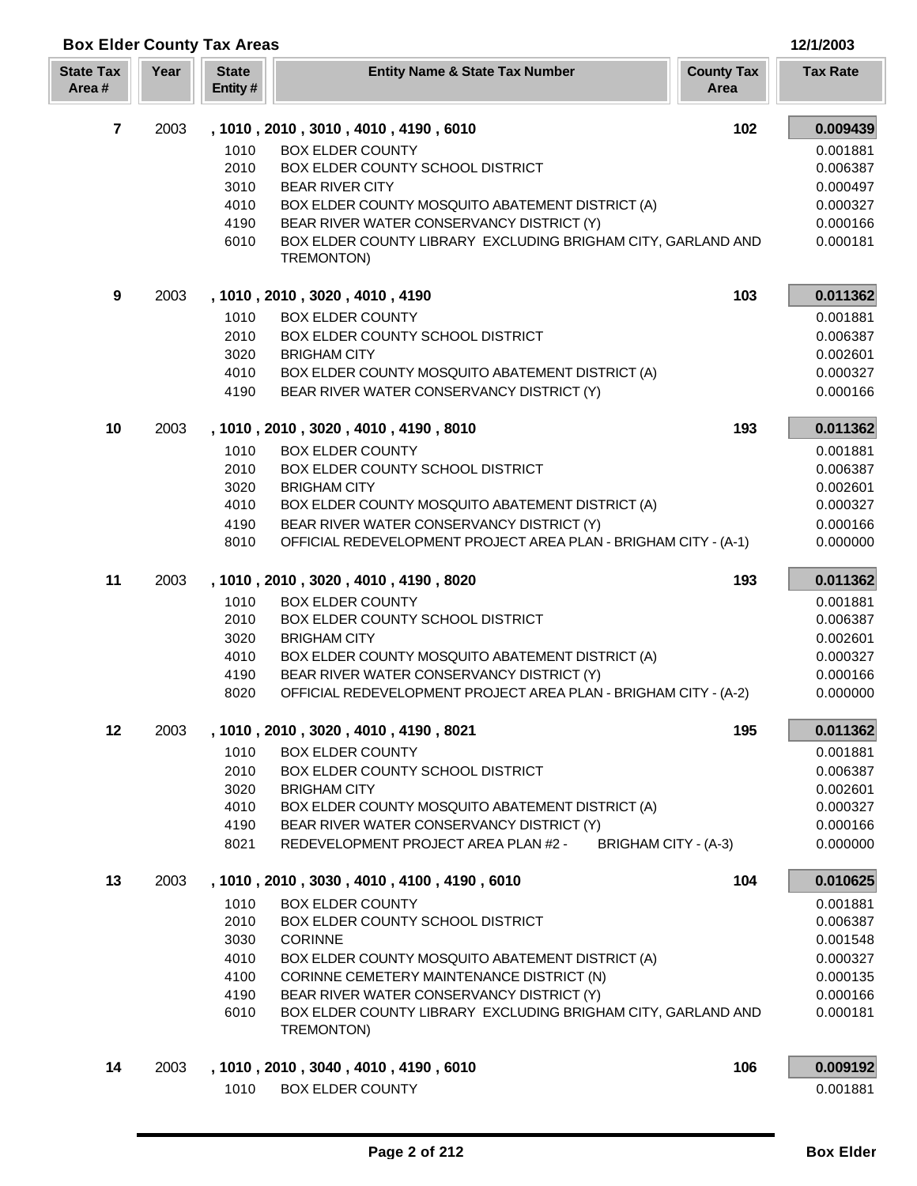| Area#          |      | Entity # |                                                                            | Area |                      |
|----------------|------|----------|----------------------------------------------------------------------------|------|----------------------|
| $\overline{7}$ | 2003 |          | , 1010, 2010, 3010, 4010, 4190, 6010                                       | 102  | 0.009439             |
|                |      | 1010     | <b>BOX ELDER COUNTY</b>                                                    |      | 0.001881             |
|                |      | 2010     | BOX ELDER COUNTY SCHOOL DISTRICT                                           |      | 0.006387             |
|                |      | 3010     | <b>BEAR RIVER CITY</b>                                                     |      | 0.000497             |
|                |      | 4010     | BOX ELDER COUNTY MOSQUITO ABATEMENT DISTRICT (A)                           |      | 0.000327             |
|                |      | 4190     | BEAR RIVER WATER CONSERVANCY DISTRICT (Y)                                  |      | 0.000166             |
|                |      | 6010     | BOX ELDER COUNTY LIBRARY EXCLUDING BRIGHAM CITY, GARLAND AND               |      | 0.000181             |
|                |      |          | TREMONTON)                                                                 |      |                      |
| 9              | 2003 |          | , 1010, 2010, 3020, 4010, 4190                                             | 103  | 0.011362             |
|                |      | 1010     | <b>BOX ELDER COUNTY</b>                                                    |      | 0.001881             |
|                |      | 2010     | BOX ELDER COUNTY SCHOOL DISTRICT                                           |      | 0.006387             |
|                |      | 3020     | <b>BRIGHAM CITY</b>                                                        |      | 0.002601             |
|                |      | 4010     | BOX ELDER COUNTY MOSQUITO ABATEMENT DISTRICT (A)                           |      | 0.000327             |
|                |      | 4190     | BEAR RIVER WATER CONSERVANCY DISTRICT (Y)                                  |      | 0.000166             |
| 10             | 2003 |          | , 1010, 2010, 3020, 4010, 4190, 8010                                       | 193  | 0.011362             |
|                |      | 1010     | <b>BOX ELDER COUNTY</b>                                                    |      | 0.001881             |
|                |      | 2010     | BOX ELDER COUNTY SCHOOL DISTRICT                                           |      | 0.006387             |
|                |      | 3020     | <b>BRIGHAM CITY</b>                                                        |      | 0.002601             |
|                |      | 4010     | BOX ELDER COUNTY MOSQUITO ABATEMENT DISTRICT (A)                           |      | 0.000327             |
|                |      | 4190     | BEAR RIVER WATER CONSERVANCY DISTRICT (Y)                                  |      | 0.000166             |
|                |      | 8010     | OFFICIAL REDEVELOPMENT PROJECT AREA PLAN - BRIGHAM CITY - (A-1)            |      | 0.000000             |
| 11             | 2003 |          | , 1010, 2010, 3020, 4010, 4190, 8020                                       | 193  | 0.011362             |
|                |      | 1010     | <b>BOX ELDER COUNTY</b>                                                    |      | 0.001881             |
|                |      | 2010     | BOX ELDER COUNTY SCHOOL DISTRICT                                           |      | 0.006387             |
|                |      | 3020     | <b>BRIGHAM CITY</b>                                                        |      | 0.002601             |
|                |      | 4010     | BOX ELDER COUNTY MOSQUITO ABATEMENT DISTRICT (A)                           |      | 0.000327             |
|                |      | 4190     | BEAR RIVER WATER CONSERVANCY DISTRICT (Y)                                  |      | 0.000166             |
|                |      | 8020     | OFFICIAL REDEVELOPMENT PROJECT AREA PLAN - BRIGHAM CITY - (A-2)            |      | 0.000000             |
| 12             | 2003 |          | , 1010, 2010, 3020, 4010, 4190, 8021                                       | 195  | 0.011362             |
|                |      |          |                                                                            |      |                      |
|                |      |          | 1010 BOX ELDER COUNTY                                                      |      | 0.001881             |
|                |      | 2010     | BOX ELDER COUNTY SCHOOL DISTRICT                                           |      | 0.006387             |
|                |      | 3020     | <b>BRIGHAM CITY</b>                                                        |      | 0.002601             |
|                |      | 4010     | BOX ELDER COUNTY MOSQUITO ABATEMENT DISTRICT (A)                           |      | 0.000327             |
|                |      | 4190     | BEAR RIVER WATER CONSERVANCY DISTRICT (Y)                                  |      | 0.000166             |
|                |      | 8021     | REDEVELOPMENT PROJECT AREA PLAN #2 -<br>BRIGHAM CITY - (A-3)               |      | 0.000000             |
| 13             | 2003 |          | , 1010, 2010, 3030, 4010, 4100, 4190, 6010                                 | 104  | 0.010625             |
|                |      | 1010     | <b>BOX ELDER COUNTY</b>                                                    |      | 0.001881             |
|                |      | 2010     | BOX ELDER COUNTY SCHOOL DISTRICT                                           |      | 0.006387             |
|                |      | 3030     | <b>CORINNE</b>                                                             |      | 0.001548             |
|                |      | 4010     | BOX ELDER COUNTY MOSQUITO ABATEMENT DISTRICT (A)                           |      | 0.000327             |
|                |      | 4100     | CORINNE CEMETERY MAINTENANCE DISTRICT (N)                                  |      | 0.000135             |
|                |      | 4190     | BEAR RIVER WATER CONSERVANCY DISTRICT (Y)                                  |      | 0.000166             |
|                |      | 6010     | BOX ELDER COUNTY LIBRARY EXCLUDING BRIGHAM CITY, GARLAND AND<br>TREMONTON) |      | 0.000181             |
|                |      |          |                                                                            |      |                      |
| 14             | 2003 | 1010     | , 1010, 2010, 3040, 4010, 4190, 6010<br><b>BOX ELDER COUNTY</b>            | 106  | 0.009192<br>0.001881 |
|                |      |          |                                                                            |      |                      |

**Year Entity Name & State Tax Number County Tax Tax Rate** 

**Box Elder County Tax Areas 12/1/2003**

**State Tax** 

**State**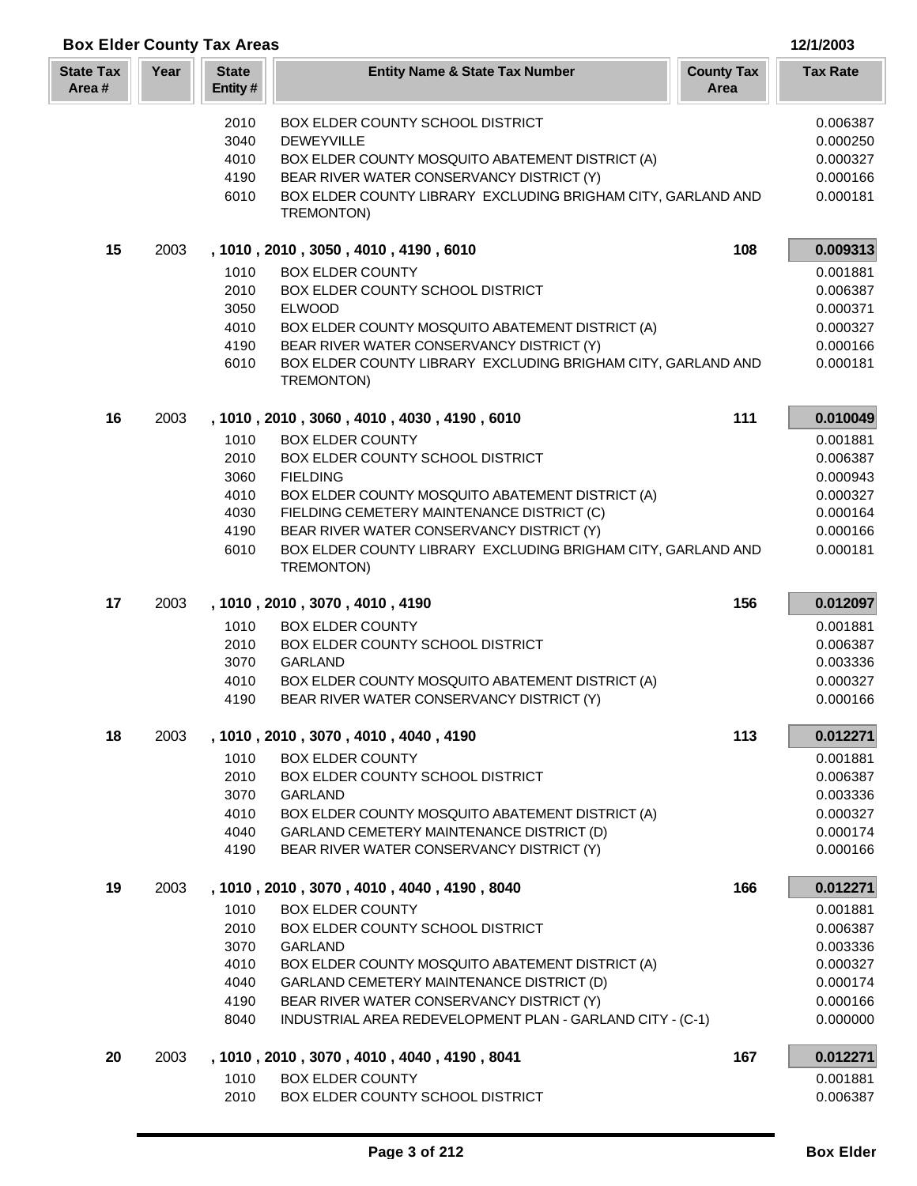|  | 12/1/2003 |  |  |
|--|-----------|--|--|
|  |           |  |  |

## **Box Elder County Tax Areas 12/1/2003 12/2003 12/1/2003 12/1/2003 12/1/2003 12/1/2003 12/1/2003 12/1/2003 12/1/2003 12/1/2003 12/1/2003 12/1/2003 12/1/2003 12/1/2003 12/1/2003 12/1/2003 12**

| <b>State Tax</b><br>Area# | Year | <b>State</b><br>Entity#                              | <b>Entity Name &amp; State Tax Number</b>                                                                                                                                                                                                                                                                                                                 | <b>County Tax</b><br>Area | <b>Tax Rate</b>                                                                              |
|---------------------------|------|------------------------------------------------------|-----------------------------------------------------------------------------------------------------------------------------------------------------------------------------------------------------------------------------------------------------------------------------------------------------------------------------------------------------------|---------------------------|----------------------------------------------------------------------------------------------|
|                           |      | 2010<br>3040<br>4010<br>4190<br>6010                 | BOX ELDER COUNTY SCHOOL DISTRICT<br><b>DEWEYVILLE</b><br>BOX ELDER COUNTY MOSQUITO ABATEMENT DISTRICT (A)<br>BEAR RIVER WATER CONSERVANCY DISTRICT (Y)<br>BOX ELDER COUNTY LIBRARY EXCLUDING BRIGHAM CITY, GARLAND AND<br>TREMONTON)                                                                                                                      |                           | 0.006387<br>0.000250<br>0.000327<br>0.000166<br>0.000181                                     |
| 15                        | 2003 | 1010<br>2010<br>3050                                 | , 1010, 2010, 3050, 4010, 4190, 6010<br><b>BOX ELDER COUNTY</b><br>BOX ELDER COUNTY SCHOOL DISTRICT<br><b>ELWOOD</b>                                                                                                                                                                                                                                      | 108                       | 0.009313<br>0.001881<br>0.006387<br>0.000371                                                 |
|                           |      | 4010<br>4190<br>6010                                 | BOX ELDER COUNTY MOSQUITO ABATEMENT DISTRICT (A)<br>BEAR RIVER WATER CONSERVANCY DISTRICT (Y)<br>BOX ELDER COUNTY LIBRARY EXCLUDING BRIGHAM CITY, GARLAND AND<br>TREMONTON)                                                                                                                                                                               |                           | 0.000327<br>0.000166<br>0.000181                                                             |
| 16                        | 2003 | 1010<br>2010<br>3060<br>4010<br>4030<br>4190<br>6010 | , 1010, 2010, 3060, 4010, 4030, 4190, 6010<br><b>BOX ELDER COUNTY</b><br>BOX ELDER COUNTY SCHOOL DISTRICT<br><b>FIELDING</b><br>BOX ELDER COUNTY MOSQUITO ABATEMENT DISTRICT (A)<br>FIELDING CEMETERY MAINTENANCE DISTRICT (C)<br>BEAR RIVER WATER CONSERVANCY DISTRICT (Y)<br>BOX ELDER COUNTY LIBRARY EXCLUDING BRIGHAM CITY, GARLAND AND<br>TREMONTON) | 111                       | 0.010049<br>0.001881<br>0.006387<br>0.000943<br>0.000327<br>0.000164<br>0.000166<br>0.000181 |
| 17                        | 2003 | 1010<br>2010<br>3070<br>4010<br>4190                 | , 1010, 2010, 3070, 4010, 4190<br><b>BOX ELDER COUNTY</b><br>BOX ELDER COUNTY SCHOOL DISTRICT<br><b>GARLAND</b><br>BOX ELDER COUNTY MOSQUITO ABATEMENT DISTRICT (A)<br>BEAR RIVER WATER CONSERVANCY DISTRICT (Y)                                                                                                                                          | 156                       | 0.012097<br>0.001881<br>0.006387<br>0.003336<br>0.000327<br>0.000166                         |
| 18                        | 2003 | 1010<br>2010<br>3070<br>4010<br>4040<br>4190         | , 1010, 2010, 3070, 4010, 4040, 4190<br><b>BOX ELDER COUNTY</b><br>BOX ELDER COUNTY SCHOOL DISTRICT<br><b>GARLAND</b><br>BOX ELDER COUNTY MOSQUITO ABATEMENT DISTRICT (A)<br>GARLAND CEMETERY MAINTENANCE DISTRICT (D)<br>BEAR RIVER WATER CONSERVANCY DISTRICT (Y)                                                                                       | 113                       | 0.012271<br>0.001881<br>0.006387<br>0.003336<br>0.000327<br>0.000174<br>0.000166             |
| 19                        | 2003 | 1010<br>2010<br>3070<br>4010<br>4040<br>4190<br>8040 | , 1010, 2010, 3070, 4010, 4040, 4190, 8040<br><b>BOX ELDER COUNTY</b><br>BOX ELDER COUNTY SCHOOL DISTRICT<br><b>GARLAND</b><br>BOX ELDER COUNTY MOSQUITO ABATEMENT DISTRICT (A)<br>GARLAND CEMETERY MAINTENANCE DISTRICT (D)<br>BEAR RIVER WATER CONSERVANCY DISTRICT (Y)<br>INDUSTRIAL AREA REDEVELOPMENT PLAN - GARLAND CITY - (C-1)                    | 166                       | 0.012271<br>0.001881<br>0.006387<br>0.003336<br>0.000327<br>0.000174<br>0.000166<br>0.000000 |
| 20                        | 2003 | 1010<br>2010                                         | , 1010, 2010, 3070, 4010, 4040, 4190, 8041<br><b>BOX ELDER COUNTY</b><br>BOX ELDER COUNTY SCHOOL DISTRICT                                                                                                                                                                                                                                                 | 167                       | 0.012271<br>0.001881<br>0.006387                                                             |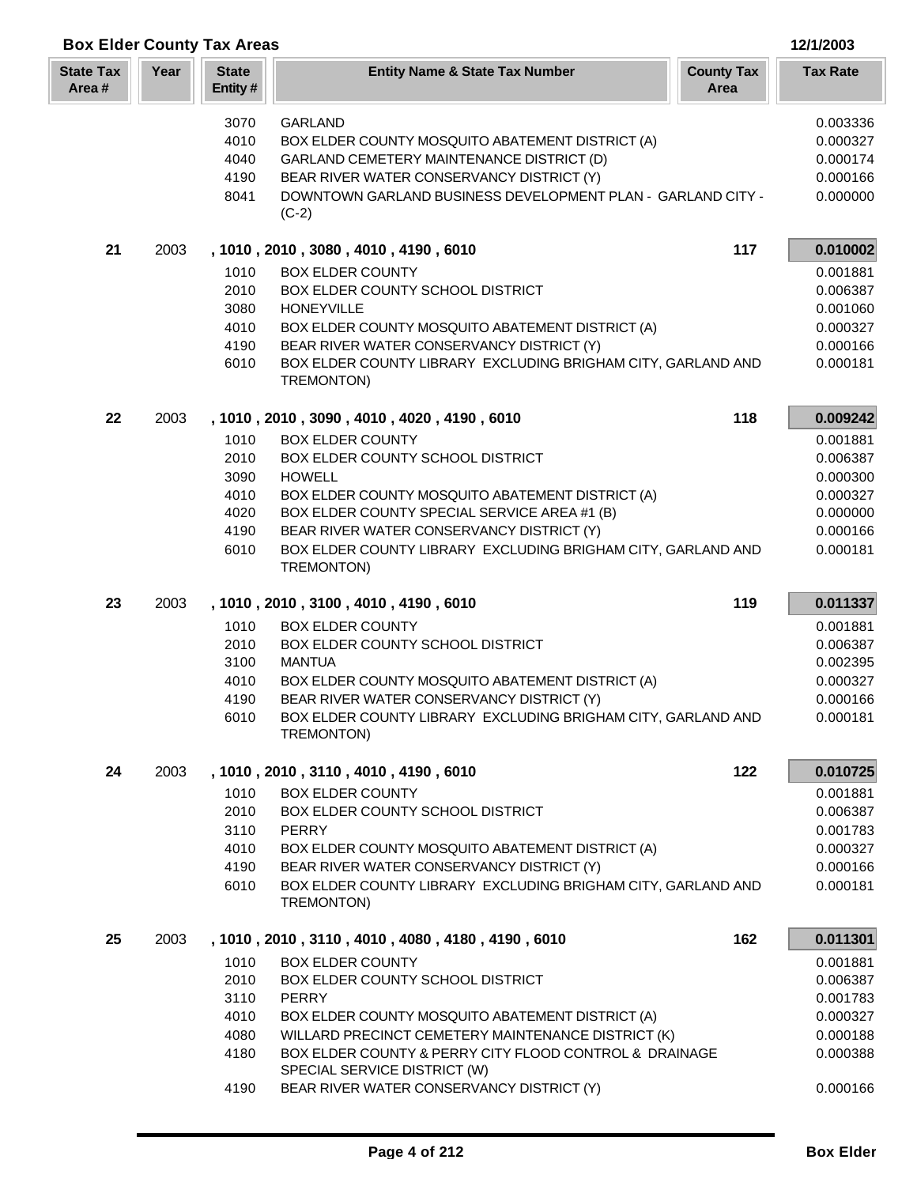|                           | <b>Box Elder County Tax Areas</b><br>12/1/2003 |                                      |                                                                                                                                                                                                                             |                           |                                                          |  |
|---------------------------|------------------------------------------------|--------------------------------------|-----------------------------------------------------------------------------------------------------------------------------------------------------------------------------------------------------------------------------|---------------------------|----------------------------------------------------------|--|
| <b>State Tax</b><br>Area# | Year                                           | <b>State</b><br>Entity#              | <b>Entity Name &amp; State Tax Number</b>                                                                                                                                                                                   | <b>County Tax</b><br>Area | <b>Tax Rate</b>                                          |  |
|                           |                                                | 3070<br>4010<br>4040<br>4190<br>8041 | <b>GARLAND</b><br>BOX ELDER COUNTY MOSQUITO ABATEMENT DISTRICT (A)<br>GARLAND CEMETERY MAINTENANCE DISTRICT (D)<br>BEAR RIVER WATER CONSERVANCY DISTRICT (Y)<br>DOWNTOWN GARLAND BUSINESS DEVELOPMENT PLAN - GARLAND CITY - |                           | 0.003336<br>0.000327<br>0.000174<br>0.000166<br>0.000000 |  |
|                           |                                                |                                      | $(C-2)$                                                                                                                                                                                                                     |                           |                                                          |  |
| 21                        | 2003                                           |                                      | , 1010, 2010, 3080, 4010, 4190, 6010                                                                                                                                                                                        | 117                       | 0.010002                                                 |  |
|                           |                                                | 1010                                 | <b>BOX ELDER COUNTY</b>                                                                                                                                                                                                     |                           | 0.001881                                                 |  |
|                           |                                                | 2010                                 | BOX ELDER COUNTY SCHOOL DISTRICT                                                                                                                                                                                            |                           | 0.006387                                                 |  |
|                           |                                                | 3080                                 | <b>HONEYVILLE</b>                                                                                                                                                                                                           |                           | 0.001060                                                 |  |
|                           |                                                | 4010                                 | BOX ELDER COUNTY MOSQUITO ABATEMENT DISTRICT (A)<br>BEAR RIVER WATER CONSERVANCY DISTRICT (Y)                                                                                                                               |                           | 0.000327<br>0.000166                                     |  |
|                           |                                                | 4190<br>6010                         | BOX ELDER COUNTY LIBRARY EXCLUDING BRIGHAM CITY, GARLAND AND<br>TREMONTON)                                                                                                                                                  |                           | 0.000181                                                 |  |
| 22                        | 2003                                           |                                      | , 1010, 2010, 3090, 4010, 4020, 4190, 6010                                                                                                                                                                                  | 118                       | 0.009242                                                 |  |
|                           |                                                | 1010                                 | <b>BOX ELDER COUNTY</b>                                                                                                                                                                                                     |                           | 0.001881                                                 |  |
|                           |                                                | 2010                                 | BOX ELDER COUNTY SCHOOL DISTRICT                                                                                                                                                                                            |                           | 0.006387                                                 |  |
|                           |                                                | 3090                                 | <b>HOWELL</b>                                                                                                                                                                                                               |                           | 0.000300                                                 |  |
|                           |                                                | 4010                                 | BOX ELDER COUNTY MOSQUITO ABATEMENT DISTRICT (A)                                                                                                                                                                            |                           | 0.000327                                                 |  |
|                           |                                                | 4020                                 | BOX ELDER COUNTY SPECIAL SERVICE AREA #1 (B)                                                                                                                                                                                |                           | 0.000000                                                 |  |
|                           |                                                | 4190                                 | BEAR RIVER WATER CONSERVANCY DISTRICT (Y)                                                                                                                                                                                   |                           | 0.000166                                                 |  |
|                           |                                                | 6010                                 | BOX ELDER COUNTY LIBRARY EXCLUDING BRIGHAM CITY, GARLAND AND<br>TREMONTON)                                                                                                                                                  |                           | 0.000181                                                 |  |
| 23                        | 2003                                           |                                      | , 1010, 2010, 3100, 4010, 4190, 6010                                                                                                                                                                                        | 119                       | 0.011337                                                 |  |
|                           |                                                | 1010                                 | <b>BOX ELDER COUNTY</b>                                                                                                                                                                                                     |                           | 0.001881                                                 |  |
|                           |                                                | 2010                                 | BOX ELDER COUNTY SCHOOL DISTRICT                                                                                                                                                                                            |                           | 0.006387                                                 |  |
|                           |                                                | 3100                                 | <b>MANTUA</b>                                                                                                                                                                                                               |                           | 0.002395                                                 |  |
|                           |                                                | 4010                                 | BOX ELDER COUNTY MOSQUITO ABATEMENT DISTRICT (A)                                                                                                                                                                            |                           | 0.000327                                                 |  |
|                           |                                                | 4190<br>6010                         | BEAR RIVER WATER CONSERVANCY DISTRICT (Y)<br>BOX ELDER COUNTY LIBRARY EXCLUDING BRIGHAM CITY, GARLAND AND<br>TREMONTON)                                                                                                     |                           | 0.000166<br>0.000181                                     |  |
| 24                        | 2003                                           |                                      | , 1010, 2010, 3110, 4010, 4190, 6010                                                                                                                                                                                        | 122                       | 0.010725                                                 |  |
|                           |                                                | 1010                                 | <b>BOX ELDER COUNTY</b>                                                                                                                                                                                                     |                           | 0.001881                                                 |  |
|                           |                                                | 2010                                 | BOX ELDER COUNTY SCHOOL DISTRICT                                                                                                                                                                                            |                           | 0.006387                                                 |  |
|                           |                                                | 3110                                 | PERRY                                                                                                                                                                                                                       |                           | 0.001783                                                 |  |
|                           |                                                | 4010                                 | BOX ELDER COUNTY MOSQUITO ABATEMENT DISTRICT (A)                                                                                                                                                                            |                           | 0.000327                                                 |  |
|                           |                                                | 4190                                 | BEAR RIVER WATER CONSERVANCY DISTRICT (Y)                                                                                                                                                                                   |                           | 0.000166                                                 |  |
|                           |                                                | 6010                                 | BOX ELDER COUNTY LIBRARY EXCLUDING BRIGHAM CITY, GARLAND AND<br>TREMONTON)                                                                                                                                                  |                           | 0.000181                                                 |  |
| 25                        | 2003                                           |                                      | , 1010, 2010, 3110, 4010, 4080, 4180, 4190, 6010                                                                                                                                                                            | 162                       | 0.011301                                                 |  |
|                           |                                                | 1010                                 | <b>BOX ELDER COUNTY</b>                                                                                                                                                                                                     |                           | 0.001881                                                 |  |
|                           |                                                | 2010                                 | BOX ELDER COUNTY SCHOOL DISTRICT                                                                                                                                                                                            |                           | 0.006387                                                 |  |
|                           |                                                | 3110                                 | PERRY                                                                                                                                                                                                                       |                           | 0.001783                                                 |  |
|                           |                                                | 4010                                 | BOX ELDER COUNTY MOSQUITO ABATEMENT DISTRICT (A)                                                                                                                                                                            |                           | 0.000327                                                 |  |
|                           |                                                | 4080                                 | WILLARD PRECINCT CEMETERY MAINTENANCE DISTRICT (K)                                                                                                                                                                          |                           | 0.000188                                                 |  |
|                           |                                                | 4180                                 | BOX ELDER COUNTY & PERRY CITY FLOOD CONTROL & DRAINAGE<br>SPECIAL SERVICE DISTRICT (W)                                                                                                                                      |                           | 0.000388                                                 |  |
|                           |                                                | 4190                                 | BEAR RIVER WATER CONSERVANCY DISTRICT (Y)                                                                                                                                                                                   |                           | 0.000166                                                 |  |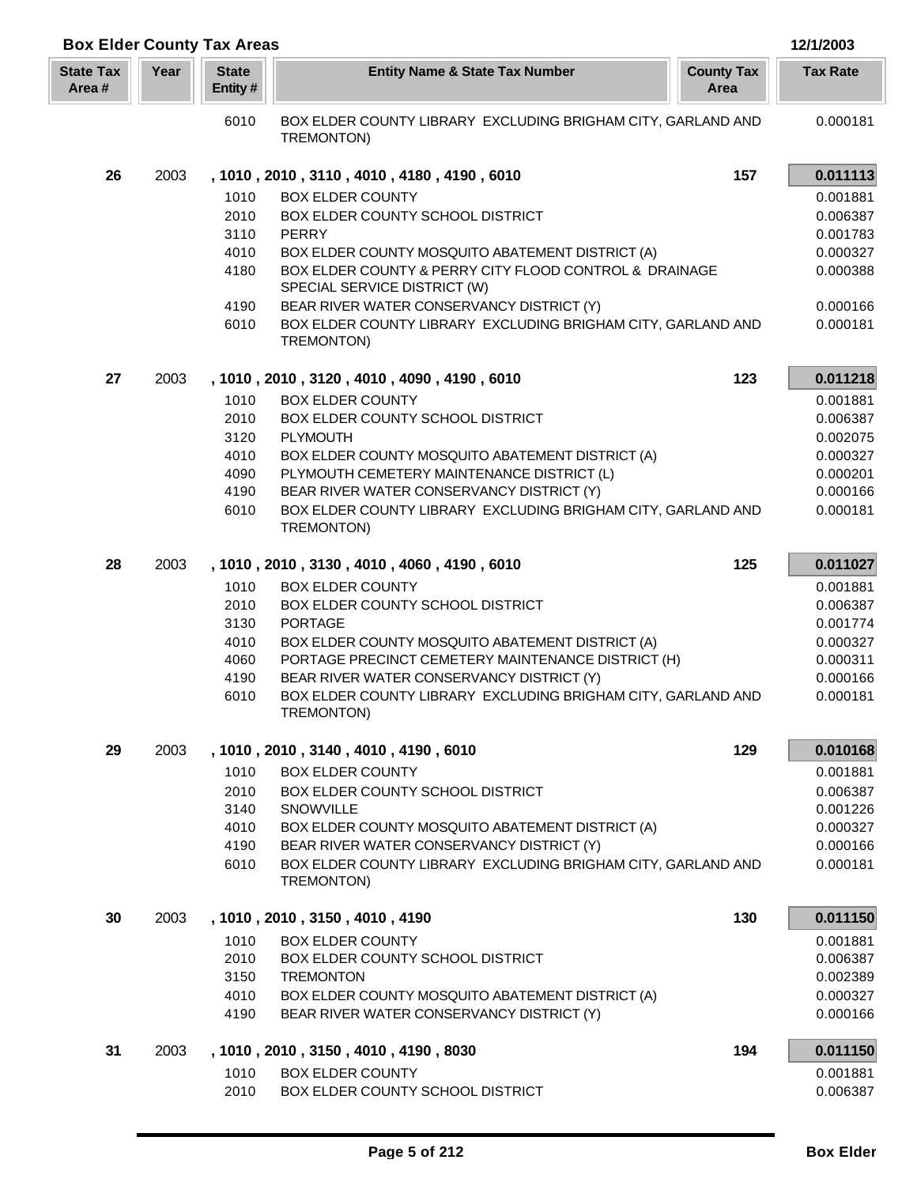| <b>Box Elder County Tax Areas</b> |      |                         |                                                                                                           |                           | 12/1/2003            |
|-----------------------------------|------|-------------------------|-----------------------------------------------------------------------------------------------------------|---------------------------|----------------------|
| <b>State Tax</b><br>Area#         | Year | <b>State</b><br>Entity# | <b>Entity Name &amp; State Tax Number</b>                                                                 | <b>County Tax</b><br>Area | <b>Tax Rate</b>      |
|                                   |      | 6010                    | BOX ELDER COUNTY LIBRARY EXCLUDING BRIGHAM CITY, GARLAND AND<br>TREMONTON)                                |                           | 0.000181             |
| 26                                | 2003 |                         | , 1010, 2010, 3110, 4010, 4180, 4190, 6010                                                                | 157                       | 0.011113             |
|                                   |      | 1010                    | <b>BOX ELDER COUNTY</b>                                                                                   |                           | 0.001881             |
|                                   |      | 2010                    | BOX ELDER COUNTY SCHOOL DISTRICT                                                                          |                           | 0.006387             |
|                                   |      | 3110                    | PERRY                                                                                                     |                           | 0.001783             |
|                                   |      | 4010                    | BOX ELDER COUNTY MOSQUITO ABATEMENT DISTRICT (A)                                                          |                           | 0.000327             |
|                                   |      | 4180                    | BOX ELDER COUNTY & PERRY CITY FLOOD CONTROL & DRAINAGE<br>SPECIAL SERVICE DISTRICT (W)                    |                           | 0.000388             |
|                                   |      | 4190<br>6010            | BEAR RIVER WATER CONSERVANCY DISTRICT (Y)<br>BOX ELDER COUNTY LIBRARY EXCLUDING BRIGHAM CITY, GARLAND AND |                           | 0.000166<br>0.000181 |
|                                   |      |                         | TREMONTON)                                                                                                |                           |                      |
| 27                                | 2003 |                         | , 1010, 2010, 3120, 4010, 4090, 4190, 6010                                                                | 123                       | 0.011218             |
|                                   |      | 1010                    | <b>BOX ELDER COUNTY</b>                                                                                   |                           | 0.001881             |
|                                   |      | 2010                    | BOX ELDER COUNTY SCHOOL DISTRICT                                                                          |                           | 0.006387             |
|                                   |      | 3120<br>4010            | PLYMOUTH<br>BOX ELDER COUNTY MOSQUITO ABATEMENT DISTRICT (A)                                              |                           | 0.002075<br>0.000327 |
|                                   |      | 4090                    | PLYMOUTH CEMETERY MAINTENANCE DISTRICT (L)                                                                |                           | 0.000201             |
|                                   |      | 4190                    | BEAR RIVER WATER CONSERVANCY DISTRICT (Y)                                                                 |                           | 0.000166             |
|                                   |      | 6010                    | BOX ELDER COUNTY LIBRARY EXCLUDING BRIGHAM CITY, GARLAND AND<br>TREMONTON)                                |                           | 0.000181             |
| 28                                | 2003 |                         | , 1010, 2010, 3130, 4010, 4060, 4190, 6010                                                                | 125                       | 0.011027             |
|                                   |      | 1010                    | <b>BOX ELDER COUNTY</b>                                                                                   |                           | 0.001881             |
|                                   |      | 2010                    | BOX ELDER COUNTY SCHOOL DISTRICT                                                                          |                           | 0.006387             |
|                                   |      | 3130                    | <b>PORTAGE</b>                                                                                            |                           | 0.001774             |
|                                   |      | 4010                    | BOX ELDER COUNTY MOSQUITO ABATEMENT DISTRICT (A)                                                          |                           | 0.000327             |
|                                   |      | 4060                    | PORTAGE PRECINCT CEMETERY MAINTENANCE DISTRICT (H)                                                        |                           | 0.000311             |
|                                   |      | 4190<br>6010            | BEAR RIVER WATER CONSERVANCY DISTRICT (Y)<br>BOX ELDER COUNTY LIBRARY EXCLUDING BRIGHAM CITY, GARLAND AND |                           | 0.000166<br>0.000181 |
|                                   |      |                         | TREMONTON)                                                                                                |                           |                      |
| 29                                | 2003 |                         | , 1010, 2010, 3140, 4010, 4190, 6010                                                                      | 129                       | 0.010168             |
|                                   |      | 1010                    | <b>BOX ELDER COUNTY</b>                                                                                   |                           | 0.001881             |
|                                   |      | 2010                    | BOX ELDER COUNTY SCHOOL DISTRICT                                                                          |                           | 0.006387             |
|                                   |      | 3140<br>4010            | SNOWVILLE<br>BOX ELDER COUNTY MOSQUITO ABATEMENT DISTRICT (A)                                             |                           | 0.001226<br>0.000327 |
|                                   |      | 4190                    | BEAR RIVER WATER CONSERVANCY DISTRICT (Y)                                                                 |                           | 0.000166             |
|                                   |      | 6010                    | BOX ELDER COUNTY LIBRARY EXCLUDING BRIGHAM CITY, GARLAND AND<br>TREMONTON)                                |                           | 0.000181             |
| 30                                | 2003 |                         | , 1010, 2010, 3150, 4010, 4190                                                                            | 130                       | 0.011150             |
|                                   |      | 1010                    | <b>BOX ELDER COUNTY</b>                                                                                   |                           | 0.001881             |
|                                   |      | 2010                    | BOX ELDER COUNTY SCHOOL DISTRICT                                                                          |                           | 0.006387             |
|                                   |      | 3150                    | <b>TREMONTON</b>                                                                                          |                           | 0.002389             |
|                                   |      | 4010                    | BOX ELDER COUNTY MOSQUITO ABATEMENT DISTRICT (A)                                                          |                           | 0.000327             |
|                                   |      | 4190                    | BEAR RIVER WATER CONSERVANCY DISTRICT (Y)                                                                 |                           | 0.000166             |
| 31                                | 2003 |                         | , 1010, 2010, 3150, 4010, 4190, 8030                                                                      | 194                       | 0.011150             |
|                                   |      | 1010                    | <b>BOX ELDER COUNTY</b>                                                                                   |                           | 0.001881             |
|                                   |      | 2010                    | BOX ELDER COUNTY SCHOOL DISTRICT                                                                          |                           | 0.006387             |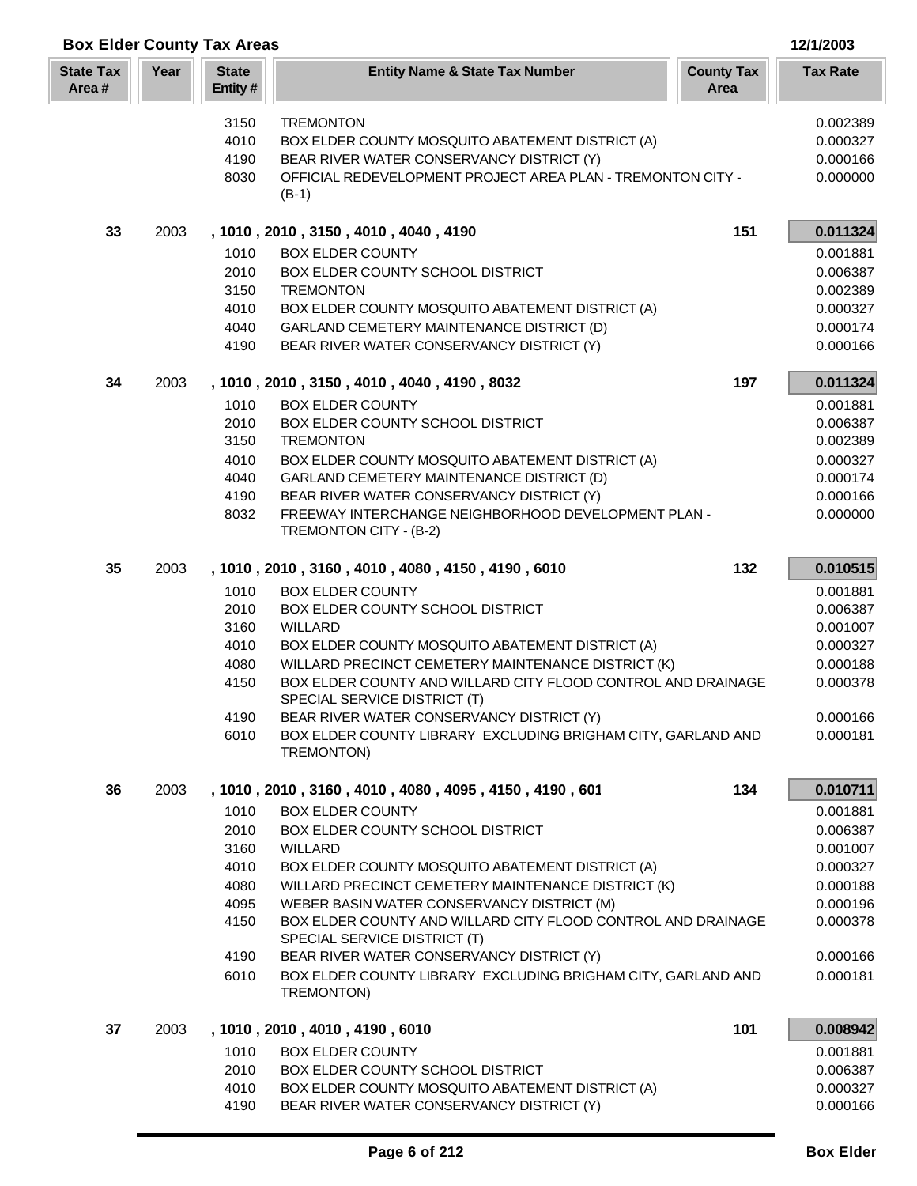| <b>Box Elder County Tax Areas</b> |      |                         |                                                                                              |                           | 12/1/2003       |
|-----------------------------------|------|-------------------------|----------------------------------------------------------------------------------------------|---------------------------|-----------------|
| <b>State Tax</b><br>Area#         | Year | <b>State</b><br>Entity# | <b>Entity Name &amp; State Tax Number</b>                                                    | <b>County Tax</b><br>Area | <b>Tax Rate</b> |
|                                   |      | 3150                    | <b>TREMONTON</b>                                                                             |                           | 0.002389        |
|                                   |      | 4010                    | BOX ELDER COUNTY MOSQUITO ABATEMENT DISTRICT (A)                                             |                           | 0.000327        |
|                                   |      | 4190                    | BEAR RIVER WATER CONSERVANCY DISTRICT (Y)                                                    |                           | 0.000166        |
|                                   |      | 8030                    | OFFICIAL REDEVELOPMENT PROJECT AREA PLAN - TREMONTON CITY -<br>$(B-1)$                       |                           | 0.000000        |
| 33                                | 2003 |                         | , 1010, 2010, 3150, 4010, 4040, 4190                                                         | 151                       | 0.011324        |
|                                   |      | 1010                    | <b>BOX ELDER COUNTY</b>                                                                      |                           | 0.001881        |
|                                   |      | 2010                    | BOX ELDER COUNTY SCHOOL DISTRICT                                                             |                           | 0.006387        |
|                                   |      | 3150                    | <b>TREMONTON</b>                                                                             |                           | 0.002389        |
|                                   |      | 4010                    | BOX ELDER COUNTY MOSQUITO ABATEMENT DISTRICT (A)                                             |                           | 0.000327        |
|                                   |      | 4040                    | GARLAND CEMETERY MAINTENANCE DISTRICT (D)                                                    |                           | 0.000174        |
|                                   |      | 4190                    | BEAR RIVER WATER CONSERVANCY DISTRICT (Y)                                                    |                           | 0.000166        |
| 34                                | 2003 |                         | , 1010, 2010, 3150, 4010, 4040, 4190, 8032                                                   | 197                       | 0.011324        |
|                                   |      | 1010                    | <b>BOX ELDER COUNTY</b>                                                                      |                           | 0.001881        |
|                                   |      | 2010                    | BOX ELDER COUNTY SCHOOL DISTRICT                                                             |                           | 0.006387        |
|                                   |      | 3150                    | <b>TREMONTON</b>                                                                             |                           | 0.002389        |
|                                   |      | 4010                    | BOX ELDER COUNTY MOSQUITO ABATEMENT DISTRICT (A)                                             |                           | 0.000327        |
|                                   |      | 4040                    | GARLAND CEMETERY MAINTENANCE DISTRICT (D)                                                    |                           | 0.000174        |
|                                   |      | 4190                    | BEAR RIVER WATER CONSERVANCY DISTRICT (Y)                                                    |                           | 0.000166        |
|                                   |      | 8032                    | FREEWAY INTERCHANGE NEIGHBORHOOD DEVELOPMENT PLAN -<br>TREMONTON CITY - (B-2)                |                           | 0.000000        |
| 35                                | 2003 |                         | , 1010, 2010, 3160, 4010, 4080, 4150, 4190, 6010                                             | 132                       | 0.010515        |
|                                   |      | 1010                    | <b>BOX ELDER COUNTY</b>                                                                      |                           | 0.001881        |
|                                   |      | 2010                    | BOX ELDER COUNTY SCHOOL DISTRICT                                                             |                           | 0.006387        |
|                                   |      | 3160                    | <b>WILLARD</b>                                                                               |                           | 0.001007        |
|                                   |      | 4010                    | BOX ELDER COUNTY MOSQUITO ABATEMENT DISTRICT (A)                                             |                           | 0.000327        |
|                                   |      | 4080                    | WILLARD PRECINCT CEMETERY MAINTENANCE DISTRICT (K)                                           |                           | 0.000188        |
|                                   |      | 4150                    | BOX ELDER COUNTY AND WILLARD CITY FLOOD CONTROL AND DRAINAGE<br>SPECIAL SERVICE DISTRICT (T) |                           | 0.000378        |
|                                   |      | 4190                    | BEAR RIVER WATER CONSERVANCY DISTRICT (Y)                                                    |                           | 0.000166        |
|                                   |      | 6010                    | BOX ELDER COUNTY LIBRARY EXCLUDING BRIGHAM CITY, GARLAND AND<br>TREMONTON)                   |                           | 0.000181        |
| 36                                | 2003 |                         | , 1010, 2010, 3160, 4010, 4080, 4095, 4150, 4190, 601                                        | 134                       | 0.010711        |
|                                   |      | 1010                    | <b>BOX ELDER COUNTY</b>                                                                      |                           | 0.001881        |
|                                   |      | 2010                    | BOX ELDER COUNTY SCHOOL DISTRICT                                                             |                           | 0.006387        |
|                                   |      | 3160                    | <b>WILLARD</b>                                                                               |                           | 0.001007        |
|                                   |      | 4010                    | BOX ELDER COUNTY MOSQUITO ABATEMENT DISTRICT (A)                                             |                           | 0.000327        |
|                                   |      | 4080                    | WILLARD PRECINCT CEMETERY MAINTENANCE DISTRICT (K)                                           |                           | 0.000188        |
|                                   |      | 4095                    | WEBER BASIN WATER CONSERVANCY DISTRICT (M)                                                   |                           | 0.000196        |
|                                   |      | 4150                    | BOX ELDER COUNTY AND WILLARD CITY FLOOD CONTROL AND DRAINAGE<br>SPECIAL SERVICE DISTRICT (T) |                           | 0.000378        |
|                                   |      | 4190                    | BEAR RIVER WATER CONSERVANCY DISTRICT (Y)                                                    |                           | 0.000166        |
|                                   |      | 6010                    | BOX ELDER COUNTY LIBRARY EXCLUDING BRIGHAM CITY, GARLAND AND<br>TREMONTON)                   |                           | 0.000181        |
| 37                                | 2003 |                         | , 1010, 2010, 4010, 4190, 6010                                                               | 101                       | 0.008942        |
|                                   |      | 1010                    | <b>BOX ELDER COUNTY</b>                                                                      |                           | 0.001881        |
|                                   |      | 2010                    | BOX ELDER COUNTY SCHOOL DISTRICT                                                             |                           | 0.006387        |
|                                   |      | 4010                    | BOX ELDER COUNTY MOSQUITO ABATEMENT DISTRICT (A)                                             |                           | 0.000327        |
|                                   |      | 4190                    | BEAR RIVER WATER CONSERVANCY DISTRICT (Y)                                                    |                           | 0.000166        |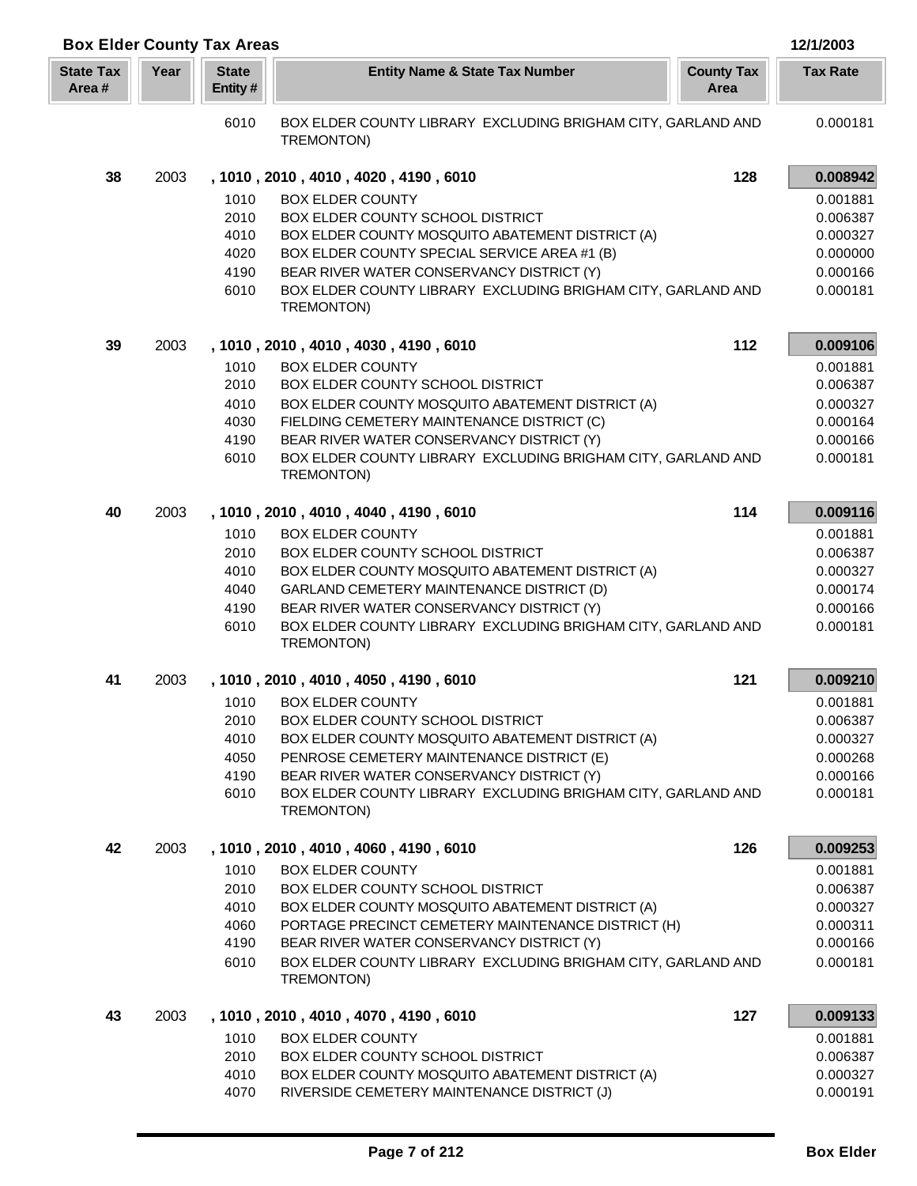|                           |      | <b>Box Elder County Tax Areas</b> |                                                                                                           |     | 12/1/2003            |
|---------------------------|------|-----------------------------------|-----------------------------------------------------------------------------------------------------------|-----|----------------------|
| <b>State Tax</b><br>Area# | Year | <b>State</b><br>Entity#           | <b>Entity Name &amp; State Tax Number</b><br><b>County Tax</b><br>Area                                    |     | <b>Tax Rate</b>      |
|                           |      | 6010                              | BOX ELDER COUNTY LIBRARY EXCLUDING BRIGHAM CITY, GARLAND AND<br>TREMONTON)                                |     | 0.000181             |
| 38                        | 2003 |                                   | , 1010, 2010, 4010, 4020, 4190, 6010                                                                      | 128 | 0.008942             |
|                           |      | 1010                              | <b>BOX ELDER COUNTY</b>                                                                                   |     | 0.001881             |
|                           |      | 2010                              | BOX ELDER COUNTY SCHOOL DISTRICT                                                                          |     | 0.006387             |
|                           |      | 4010                              | BOX ELDER COUNTY MOSQUITO ABATEMENT DISTRICT (A)                                                          |     | 0.000327             |
|                           |      | 4020                              | BOX ELDER COUNTY SPECIAL SERVICE AREA #1 (B)                                                              |     | 0.000000             |
|                           |      | 4190                              | BEAR RIVER WATER CONSERVANCY DISTRICT (Y)                                                                 |     | 0.000166             |
|                           |      | 6010                              | BOX ELDER COUNTY LIBRARY EXCLUDING BRIGHAM CITY, GARLAND AND<br>TREMONTON)                                |     | 0.000181             |
| 39                        | 2003 |                                   | , 1010, 2010, 4010, 4030, 4190, 6010                                                                      | 112 | 0.009106             |
|                           |      | 1010                              | <b>BOX ELDER COUNTY</b>                                                                                   |     | 0.001881             |
|                           |      | 2010                              | BOX ELDER COUNTY SCHOOL DISTRICT                                                                          |     | 0.006387             |
|                           |      | 4010                              | BOX ELDER COUNTY MOSQUITO ABATEMENT DISTRICT (A)                                                          |     | 0.000327             |
|                           |      | 4030                              | FIELDING CEMETERY MAINTENANCE DISTRICT (C)                                                                |     | 0.000164             |
|                           |      | 4190                              | BEAR RIVER WATER CONSERVANCY DISTRICT (Y)                                                                 |     | 0.000166             |
|                           |      | 6010                              | BOX ELDER COUNTY LIBRARY EXCLUDING BRIGHAM CITY, GARLAND AND<br>TREMONTON)                                |     | 0.000181             |
| 40                        | 2003 |                                   | , 1010, 2010, 4010, 4040, 4190, 6010                                                                      | 114 | 0.009116             |
|                           |      | 1010                              | <b>BOX ELDER COUNTY</b>                                                                                   |     | 0.001881             |
|                           |      | 2010                              | BOX ELDER COUNTY SCHOOL DISTRICT                                                                          |     | 0.006387             |
|                           |      | 4010                              | BOX ELDER COUNTY MOSQUITO ABATEMENT DISTRICT (A)                                                          |     | 0.000327             |
|                           |      | 4040                              | GARLAND CEMETERY MAINTENANCE DISTRICT (D)                                                                 |     | 0.000174             |
|                           |      | 4190                              | BEAR RIVER WATER CONSERVANCY DISTRICT (Y)                                                                 |     | 0.000166             |
|                           |      | 6010                              | BOX ELDER COUNTY LIBRARY EXCLUDING BRIGHAM CITY, GARLAND AND<br>TREMONTON)                                |     | 0.000181             |
| 41                        | 2003 |                                   | , 1010, 2010, 4010, 4050, 4190, 6010                                                                      | 121 | 0.009210             |
|                           |      | 1010                              | <b>BOX ELDER COUNTY</b>                                                                                   |     | 0.001881             |
|                           |      | 2010                              | BOX ELDER COUNTY SCHOOL DISTRICT                                                                          |     | 0.006387             |
|                           |      | 4010                              | BOX ELDER COUNTY MOSQUITO ABATEMENT DISTRICT (A)                                                          |     | 0.000327             |
|                           |      | 4050                              | PENROSE CEMETERY MAINTENANCE DISTRICT (E)                                                                 |     | 0.000268             |
|                           |      | 4190<br>6010                      | BEAR RIVER WATER CONSERVANCY DISTRICT (Y)<br>BOX ELDER COUNTY LIBRARY EXCLUDING BRIGHAM CITY, GARLAND AND |     | 0.000166<br>0.000181 |
|                           |      |                                   | TREMONTON)                                                                                                |     |                      |
| 42                        | 2003 |                                   | , 1010, 2010, 4010, 4060, 4190, 6010                                                                      | 126 | 0.009253             |
|                           |      | 1010                              | <b>BOX ELDER COUNTY</b>                                                                                   |     | 0.001881             |
|                           |      | 2010                              | BOX ELDER COUNTY SCHOOL DISTRICT                                                                          |     | 0.006387             |
|                           |      | 4010                              | BOX ELDER COUNTY MOSQUITO ABATEMENT DISTRICT (A)                                                          |     | 0.000327             |
|                           |      | 4060                              | PORTAGE PRECINCT CEMETERY MAINTENANCE DISTRICT (H)                                                        |     | 0.000311             |
|                           |      | 4190<br>6010                      | BEAR RIVER WATER CONSERVANCY DISTRICT (Y)<br>BOX ELDER COUNTY LIBRARY EXCLUDING BRIGHAM CITY, GARLAND AND |     | 0.000166<br>0.000181 |
|                           |      |                                   | TREMONTON)                                                                                                |     |                      |
| 43                        | 2003 |                                   | , 1010, 2010, 4010, 4070, 4190, 6010                                                                      | 127 | 0.009133             |
|                           |      | 1010                              | <b>BOX ELDER COUNTY</b>                                                                                   |     | 0.001881             |
|                           |      | 2010                              | BOX ELDER COUNTY SCHOOL DISTRICT                                                                          |     | 0.006387             |
|                           |      | 4010                              | BOX ELDER COUNTY MOSQUITO ABATEMENT DISTRICT (A)                                                          |     | 0.000327             |
|                           |      | 4070                              | RIVERSIDE CEMETERY MAINTENANCE DISTRICT (J)                                                               |     | 0.000191             |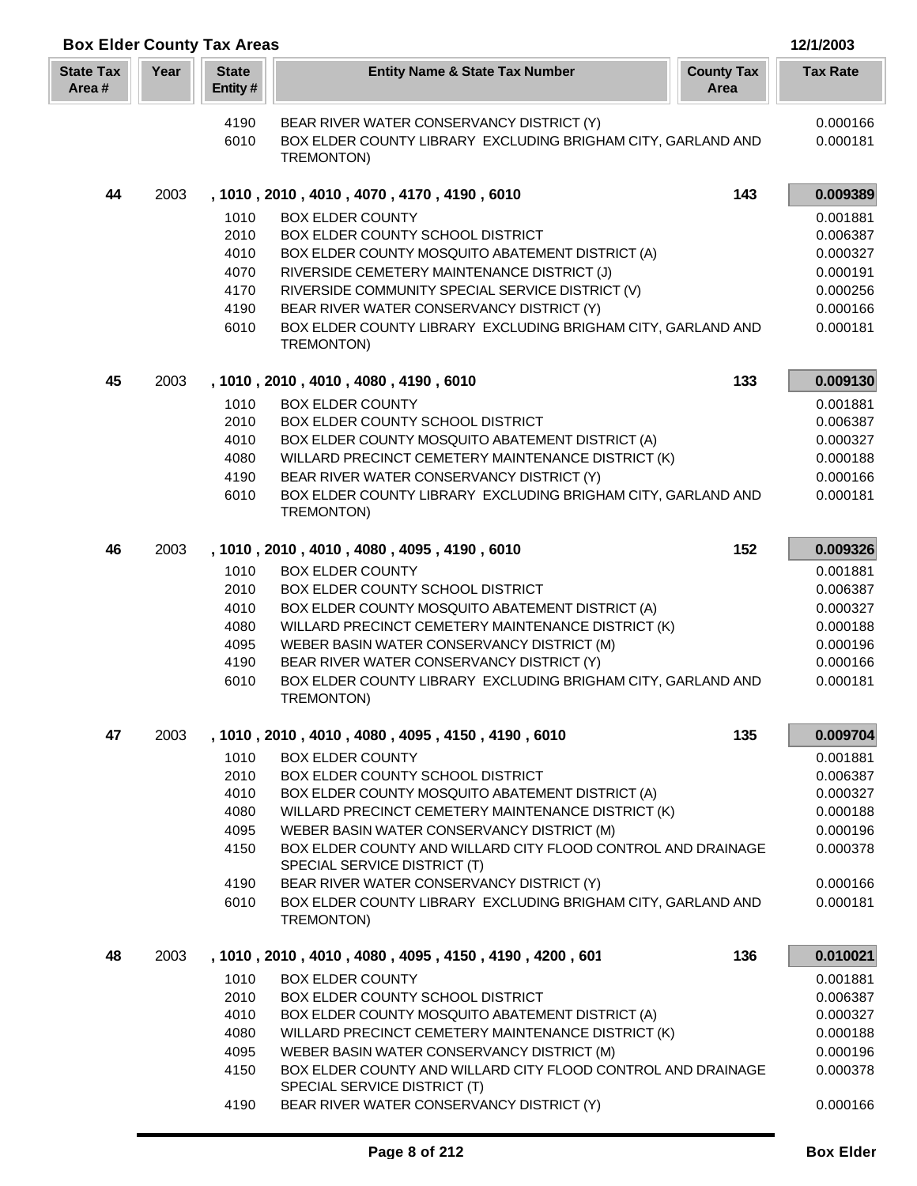| <b>Box Elder County Tax Areas</b> |      |                         |                                                                                              |                           | 12/1/2003       |
|-----------------------------------|------|-------------------------|----------------------------------------------------------------------------------------------|---------------------------|-----------------|
| <b>State Tax</b><br>Area#         | Year | <b>State</b><br>Entity# | <b>Entity Name &amp; State Tax Number</b>                                                    | <b>County Tax</b><br>Area | <b>Tax Rate</b> |
|                                   |      | 4190                    | BEAR RIVER WATER CONSERVANCY DISTRICT (Y)                                                    |                           | 0.000166        |
|                                   |      | 6010                    | BOX ELDER COUNTY LIBRARY EXCLUDING BRIGHAM CITY, GARLAND AND                                 |                           | 0.000181        |
|                                   |      |                         | TREMONTON)                                                                                   |                           |                 |
| 44                                | 2003 |                         | , 1010, 2010, 4010, 4070, 4170, 4190, 6010                                                   | 143                       | 0.009389        |
|                                   |      | 1010                    | <b>BOX ELDER COUNTY</b>                                                                      |                           | 0.001881        |
|                                   |      | 2010                    | BOX ELDER COUNTY SCHOOL DISTRICT                                                             |                           | 0.006387        |
|                                   |      | 4010                    | BOX ELDER COUNTY MOSQUITO ABATEMENT DISTRICT (A)                                             |                           | 0.000327        |
|                                   |      | 4070                    | RIVERSIDE CEMETERY MAINTENANCE DISTRICT (J)                                                  |                           | 0.000191        |
|                                   |      | 4170                    | RIVERSIDE COMMUNITY SPECIAL SERVICE DISTRICT (V)                                             |                           | 0.000256        |
|                                   |      | 4190                    | BEAR RIVER WATER CONSERVANCY DISTRICT (Y)                                                    |                           | 0.000166        |
|                                   |      | 6010                    | BOX ELDER COUNTY LIBRARY EXCLUDING BRIGHAM CITY, GARLAND AND<br>TREMONTON)                   |                           | 0.000181        |
| 45                                | 2003 |                         | , 1010, 2010, 4010, 4080, 4190, 6010                                                         | 133                       | 0.009130        |
|                                   |      | 1010                    | <b>BOX ELDER COUNTY</b>                                                                      |                           | 0.001881        |
|                                   |      | 2010                    | BOX ELDER COUNTY SCHOOL DISTRICT                                                             |                           | 0.006387        |
|                                   |      | 4010                    | BOX ELDER COUNTY MOSQUITO ABATEMENT DISTRICT (A)                                             |                           | 0.000327        |
|                                   |      | 4080                    | WILLARD PRECINCT CEMETERY MAINTENANCE DISTRICT (K)                                           |                           | 0.000188        |
|                                   |      | 4190                    | BEAR RIVER WATER CONSERVANCY DISTRICT (Y)                                                    |                           | 0.000166        |
|                                   |      | 6010                    | BOX ELDER COUNTY LIBRARY EXCLUDING BRIGHAM CITY, GARLAND AND<br>TREMONTON)                   |                           | 0.000181        |
| 46                                | 2003 |                         | , 1010, 2010, 4010, 4080, 4095, 4190, 6010                                                   | 152                       | 0.009326        |
|                                   |      | 1010                    | <b>BOX ELDER COUNTY</b>                                                                      |                           | 0.001881        |
|                                   |      | 2010                    | BOX ELDER COUNTY SCHOOL DISTRICT                                                             |                           | 0.006387        |
|                                   |      | 4010                    | BOX ELDER COUNTY MOSQUITO ABATEMENT DISTRICT (A)                                             |                           | 0.000327        |
|                                   |      | 4080                    | WILLARD PRECINCT CEMETERY MAINTENANCE DISTRICT (K)                                           |                           | 0.000188        |
|                                   |      | 4095                    | WEBER BASIN WATER CONSERVANCY DISTRICT (M)                                                   |                           | 0.000196        |
|                                   |      | 4190                    | BEAR RIVER WATER CONSERVANCY DISTRICT (Y)                                                    |                           | 0.000166        |
|                                   |      | 6010                    | BOX ELDER COUNTY LIBRARY EXCLUDING BRIGHAM CITY, GARLAND AND<br>TREMONTON)                   |                           | 0.000181        |
| 47                                | 2003 |                         | , 1010, 2010, 4010, 4080, 4095, 4150, 4190, 6010                                             | 135                       | 0.009704        |
|                                   |      | 1010                    | <b>BOX ELDER COUNTY</b>                                                                      |                           | 0.001881        |
|                                   |      | 2010                    | BOX ELDER COUNTY SCHOOL DISTRICT                                                             |                           | 0.006387        |
|                                   |      | 4010                    | BOX ELDER COUNTY MOSQUITO ABATEMENT DISTRICT (A)                                             |                           | 0.000327        |
|                                   |      | 4080                    | WILLARD PRECINCT CEMETERY MAINTENANCE DISTRICT (K)                                           |                           | 0.000188        |
|                                   |      | 4095                    | WEBER BASIN WATER CONSERVANCY DISTRICT (M)                                                   |                           | 0.000196        |
|                                   |      | 4150                    | BOX ELDER COUNTY AND WILLARD CITY FLOOD CONTROL AND DRAINAGE<br>SPECIAL SERVICE DISTRICT (T) |                           | 0.000378        |
|                                   |      | 4190                    | BEAR RIVER WATER CONSERVANCY DISTRICT (Y)                                                    |                           | 0.000166        |
|                                   |      | 6010                    | BOX ELDER COUNTY LIBRARY EXCLUDING BRIGHAM CITY, GARLAND AND<br>TREMONTON)                   |                           | 0.000181        |
| 48                                | 2003 |                         | , 1010 , 2010 , 4010 , 4080 , 4095 , 4150 , 4190 , 4200 , 601                                | 136                       | 0.010021        |
|                                   |      | 1010                    | <b>BOX ELDER COUNTY</b>                                                                      |                           | 0.001881        |
|                                   |      | 2010                    | BOX ELDER COUNTY SCHOOL DISTRICT                                                             |                           | 0.006387        |
|                                   |      | 4010                    | BOX ELDER COUNTY MOSQUITO ABATEMENT DISTRICT (A)                                             |                           | 0.000327        |
|                                   |      | 4080                    | WILLARD PRECINCT CEMETERY MAINTENANCE DISTRICT (K)                                           |                           | 0.000188        |
|                                   |      | 4095                    | WEBER BASIN WATER CONSERVANCY DISTRICT (M)                                                   |                           | 0.000196        |
|                                   |      | 4150                    | BOX ELDER COUNTY AND WILLARD CITY FLOOD CONTROL AND DRAINAGE<br>SPECIAL SERVICE DISTRICT (T) |                           | 0.000378        |
|                                   |      | 4190                    | BEAR RIVER WATER CONSERVANCY DISTRICT (Y)                                                    |                           | 0.000166        |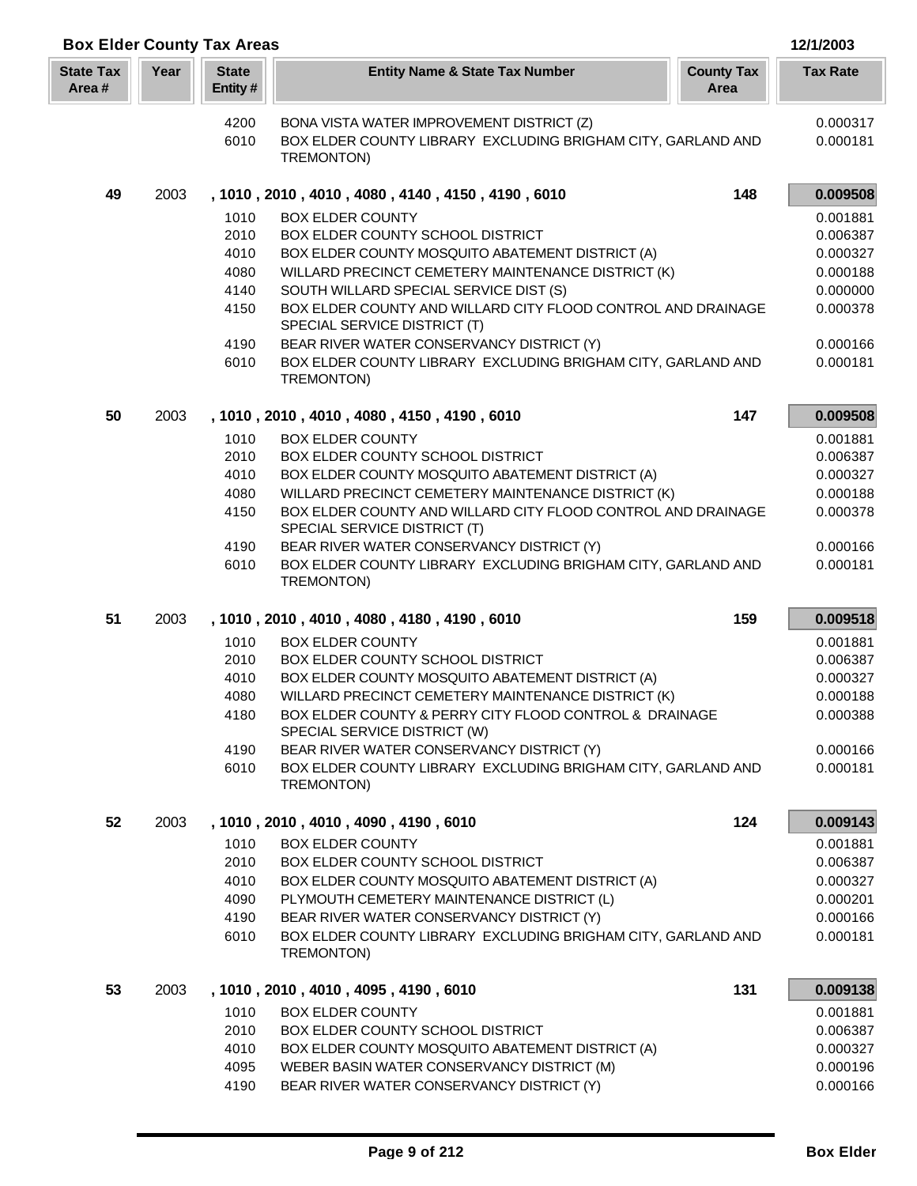| <b>Box Elder County Tax Areas</b> |      |                         |                                                                                                                    |                           | 12/1/2003            |
|-----------------------------------|------|-------------------------|--------------------------------------------------------------------------------------------------------------------|---------------------------|----------------------|
| <b>State Tax</b><br>Area#         | Year | <b>State</b><br>Entity# | <b>Entity Name &amp; State Tax Number</b>                                                                          | <b>County Tax</b><br>Area | <b>Tax Rate</b>      |
|                                   |      | 4200                    | BONA VISTA WATER IMPROVEMENT DISTRICT (Z)                                                                          |                           | 0.000317             |
|                                   |      | 6010                    | BOX ELDER COUNTY LIBRARY EXCLUDING BRIGHAM CITY, GARLAND AND                                                       |                           | 0.000181             |
|                                   |      |                         | TREMONTON)                                                                                                         |                           |                      |
| 49                                | 2003 |                         | , 1010, 2010, 4010, 4080, 4140, 4150, 4190, 6010                                                                   | 148                       | 0.009508             |
|                                   |      | 1010                    | <b>BOX ELDER COUNTY</b>                                                                                            |                           | 0.001881             |
|                                   |      | 2010                    | BOX ELDER COUNTY SCHOOL DISTRICT                                                                                   |                           | 0.006387             |
|                                   |      | 4010                    | BOX ELDER COUNTY MOSQUITO ABATEMENT DISTRICT (A)                                                                   |                           | 0.000327             |
|                                   |      | 4080                    | WILLARD PRECINCT CEMETERY MAINTENANCE DISTRICT (K)                                                                 |                           | 0.000188             |
|                                   |      | 4140<br>4150            | SOUTH WILLARD SPECIAL SERVICE DIST (S)<br>BOX ELDER COUNTY AND WILLARD CITY FLOOD CONTROL AND DRAINAGE             |                           | 0.000000             |
|                                   |      |                         | SPECIAL SERVICE DISTRICT (T)                                                                                       |                           | 0.000378             |
|                                   |      | 4190                    | BEAR RIVER WATER CONSERVANCY DISTRICT (Y)                                                                          |                           | 0.000166             |
|                                   |      | 6010                    | BOX ELDER COUNTY LIBRARY EXCLUDING BRIGHAM CITY, GARLAND AND<br>TREMONTON)                                         |                           | 0.000181             |
| 50                                | 2003 |                         | , 1010, 2010, 4010, 4080, 4150, 4190, 6010                                                                         | 147                       | 0.009508             |
|                                   |      | 1010                    | <b>BOX ELDER COUNTY</b>                                                                                            |                           | 0.001881             |
|                                   |      | 2010                    | BOX ELDER COUNTY SCHOOL DISTRICT                                                                                   |                           | 0.006387             |
|                                   |      | 4010                    | BOX ELDER COUNTY MOSQUITO ABATEMENT DISTRICT (A)                                                                   |                           | 0.000327             |
|                                   |      | 4080                    | WILLARD PRECINCT CEMETERY MAINTENANCE DISTRICT (K)<br>BOX ELDER COUNTY AND WILLARD CITY FLOOD CONTROL AND DRAINAGE |                           | 0.000188             |
|                                   |      | 4150                    | SPECIAL SERVICE DISTRICT (T)                                                                                       |                           | 0.000378             |
|                                   |      | 4190                    | BEAR RIVER WATER CONSERVANCY DISTRICT (Y)                                                                          |                           | 0.000166             |
|                                   |      | 6010                    | BOX ELDER COUNTY LIBRARY EXCLUDING BRIGHAM CITY, GARLAND AND<br>TREMONTON)                                         |                           | 0.000181             |
| 51                                | 2003 |                         | , 1010, 2010, 4010, 4080, 4180, 4190, 6010                                                                         | 159                       | 0.009518             |
|                                   |      | 1010                    | <b>BOX ELDER COUNTY</b>                                                                                            |                           | 0.001881             |
|                                   |      | 2010                    | BOX ELDER COUNTY SCHOOL DISTRICT                                                                                   |                           | 0.006387             |
|                                   |      | 4010                    | BOX ELDER COUNTY MOSQUITO ABATEMENT DISTRICT (A)                                                                   |                           | 0.000327             |
|                                   |      | 4080                    | WILLARD PRECINCT CEMETERY MAINTENANCE DISTRICT (K)                                                                 |                           | 0.000188             |
|                                   |      | 4180                    | BOX ELDER COUNTY & PERRY CITY FLOOD CONTROL & DRAINAGE<br>SPECIAL SERVICE DISTRICT (W)                             |                           | 0.000388             |
|                                   |      | 4190<br>6010            | BEAR RIVER WATER CONSERVANCY DISTRICT (Y)<br>BOX ELDER COUNTY LIBRARY EXCLUDING BRIGHAM CITY, GARLAND AND          |                           | 0.000166<br>0.000181 |
|                                   |      |                         | TREMONTON)                                                                                                         |                           |                      |
| 52                                | 2003 |                         | , 1010, 2010, 4010, 4090, 4190, 6010                                                                               | 124                       | 0.009143             |
|                                   |      | 1010                    | <b>BOX ELDER COUNTY</b>                                                                                            |                           | 0.001881             |
|                                   |      | 2010                    | BOX ELDER COUNTY SCHOOL DISTRICT                                                                                   |                           | 0.006387             |
|                                   |      | 4010                    | BOX ELDER COUNTY MOSQUITO ABATEMENT DISTRICT (A)                                                                   |                           | 0.000327             |
|                                   |      | 4090                    | PLYMOUTH CEMETERY MAINTENANCE DISTRICT (L)                                                                         |                           | 0.000201             |
|                                   |      | 4190                    | BEAR RIVER WATER CONSERVANCY DISTRICT (Y)                                                                          |                           | 0.000166             |
|                                   |      | 6010                    | BOX ELDER COUNTY LIBRARY EXCLUDING BRIGHAM CITY, GARLAND AND<br>TREMONTON)                                         |                           | 0.000181             |
| 53                                | 2003 |                         | , 1010, 2010, 4010, 4095, 4190, 6010                                                                               | 131                       | 0.009138             |
|                                   |      | 1010                    | <b>BOX ELDER COUNTY</b>                                                                                            |                           | 0.001881             |
|                                   |      | 2010                    | BOX ELDER COUNTY SCHOOL DISTRICT                                                                                   |                           | 0.006387             |
|                                   |      | 4010                    | BOX ELDER COUNTY MOSQUITO ABATEMENT DISTRICT (A)                                                                   |                           | 0.000327             |
|                                   |      | 4095                    | WEBER BASIN WATER CONSERVANCY DISTRICT (M)                                                                         |                           | 0.000196             |
|                                   |      | 4190                    | BEAR RIVER WATER CONSERVANCY DISTRICT (Y)                                                                          |                           | 0.000166             |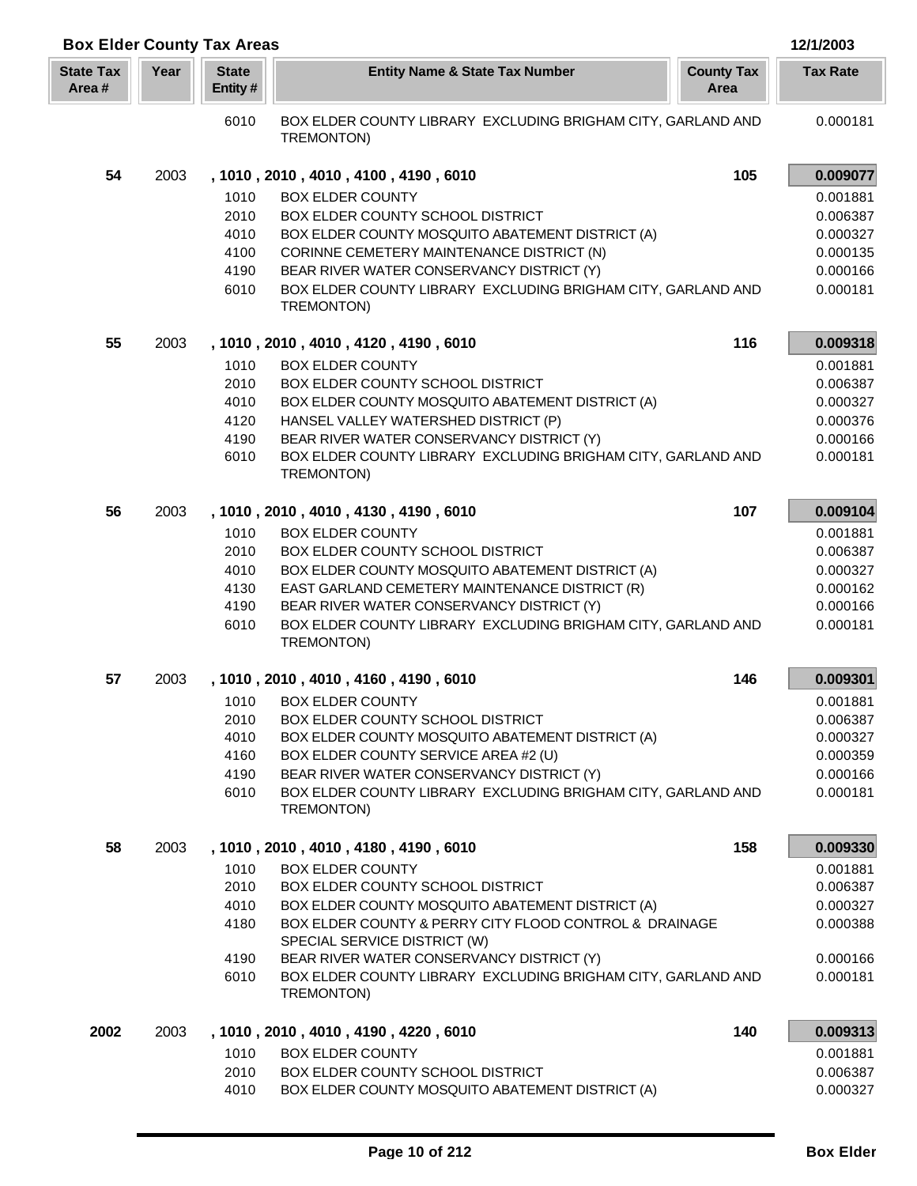|                           |      | <b>Box Elder County Tax Areas</b> |                                                                                        |                           | 12/1/2003       |
|---------------------------|------|-----------------------------------|----------------------------------------------------------------------------------------|---------------------------|-----------------|
| <b>State Tax</b><br>Area# | Year | <b>State</b><br>Entity#           | <b>Entity Name &amp; State Tax Number</b>                                              | <b>County Tax</b><br>Area | <b>Tax Rate</b> |
|                           |      | 6010                              | BOX ELDER COUNTY LIBRARY EXCLUDING BRIGHAM CITY, GARLAND AND<br>TREMONTON)             |                           | 0.000181        |
| 54                        | 2003 |                                   | , 1010, 2010, 4010, 4100, 4190, 6010                                                   | 105                       | 0.009077        |
|                           |      | 1010                              | <b>BOX ELDER COUNTY</b>                                                                |                           | 0.001881        |
|                           |      | 2010                              | BOX ELDER COUNTY SCHOOL DISTRICT                                                       |                           | 0.006387        |
|                           |      | 4010                              | BOX ELDER COUNTY MOSQUITO ABATEMENT DISTRICT (A)                                       |                           | 0.000327        |
|                           |      | 4100                              | CORINNE CEMETERY MAINTENANCE DISTRICT (N)                                              |                           | 0.000135        |
|                           |      | 4190                              | BEAR RIVER WATER CONSERVANCY DISTRICT (Y)                                              |                           | 0.000166        |
|                           |      | 6010                              | BOX ELDER COUNTY LIBRARY EXCLUDING BRIGHAM CITY, GARLAND AND<br>TREMONTON)             |                           | 0.000181        |
| 55                        | 2003 |                                   | , 1010, 2010, 4010, 4120, 4190, 6010                                                   | 116                       | 0.009318        |
|                           |      | 1010                              | <b>BOX ELDER COUNTY</b>                                                                |                           | 0.001881        |
|                           |      | 2010                              | BOX ELDER COUNTY SCHOOL DISTRICT                                                       |                           | 0.006387        |
|                           |      | 4010                              | BOX ELDER COUNTY MOSQUITO ABATEMENT DISTRICT (A)                                       |                           | 0.000327        |
|                           |      | 4120                              | HANSEL VALLEY WATERSHED DISTRICT (P)                                                   |                           | 0.000376        |
|                           |      | 4190                              | BEAR RIVER WATER CONSERVANCY DISTRICT (Y)                                              |                           | 0.000166        |
|                           |      | 6010                              | BOX ELDER COUNTY LIBRARY EXCLUDING BRIGHAM CITY, GARLAND AND<br>TREMONTON)             |                           | 0.000181        |
| 56                        | 2003 |                                   | , 1010, 2010, 4010, 4130, 4190, 6010                                                   | 107                       | 0.009104        |
|                           |      | 1010                              | <b>BOX ELDER COUNTY</b>                                                                |                           | 0.001881        |
|                           |      | 2010                              | BOX ELDER COUNTY SCHOOL DISTRICT                                                       |                           | 0.006387        |
|                           |      | 4010                              | BOX ELDER COUNTY MOSQUITO ABATEMENT DISTRICT (A)                                       |                           | 0.000327        |
|                           |      | 4130                              | EAST GARLAND CEMETERY MAINTENANCE DISTRICT (R)                                         |                           | 0.000162        |
|                           |      | 4190                              | BEAR RIVER WATER CONSERVANCY DISTRICT (Y)                                              |                           | 0.000166        |
|                           |      | 6010                              | BOX ELDER COUNTY LIBRARY EXCLUDING BRIGHAM CITY, GARLAND AND<br>TREMONTON)             |                           | 0.000181        |
| 57                        | 2003 |                                   | , 1010, 2010, 4010, 4160, 4190, 6010                                                   | 146                       | 0.009301        |
|                           |      | 1010                              | <b>BOX ELDER COUNTY</b>                                                                |                           | 0.001881        |
|                           |      | 2010                              | BOX ELDER COUNTY SCHOOL DISTRICT                                                       |                           | 0.006387        |
|                           |      | 4010                              | BOX ELDER COUNTY MOSQUITO ABATEMENT DISTRICT (A)                                       |                           | 0.000327        |
|                           |      | 4160                              | BOX ELDER COUNTY SERVICE AREA #2 (U)                                                   |                           | 0.000359        |
|                           |      | 4190                              | BEAR RIVER WATER CONSERVANCY DISTRICT (Y)                                              |                           | 0.000166        |
|                           |      | 6010                              | BOX ELDER COUNTY LIBRARY EXCLUDING BRIGHAM CITY, GARLAND AND<br>TREMONTON)             |                           | 0.000181        |
| 58                        | 2003 |                                   | , 1010, 2010, 4010, 4180, 4190, 6010                                                   | 158                       | 0.009330        |
|                           |      | 1010                              | <b>BOX ELDER COUNTY</b>                                                                |                           | 0.001881        |
|                           |      | 2010                              | BOX ELDER COUNTY SCHOOL DISTRICT                                                       |                           | 0.006387        |
|                           |      | 4010                              | BOX ELDER COUNTY MOSQUITO ABATEMENT DISTRICT (A)                                       |                           | 0.000327        |
|                           |      | 4180                              | BOX ELDER COUNTY & PERRY CITY FLOOD CONTROL & DRAINAGE<br>SPECIAL SERVICE DISTRICT (W) |                           | 0.000388        |
|                           |      | 4190                              | BEAR RIVER WATER CONSERVANCY DISTRICT (Y)                                              |                           | 0.000166        |
|                           |      | 6010                              | BOX ELDER COUNTY LIBRARY EXCLUDING BRIGHAM CITY, GARLAND AND<br>TREMONTON)             |                           | 0.000181        |
| 2002                      | 2003 |                                   | , 1010, 2010, 4010, 4190, 4220, 6010                                                   | 140                       | 0.009313        |
|                           |      | 1010                              | <b>BOX ELDER COUNTY</b>                                                                |                           | 0.001881        |
|                           |      | 2010                              | BOX ELDER COUNTY SCHOOL DISTRICT                                                       |                           | 0.006387        |
|                           |      | 4010                              | BOX ELDER COUNTY MOSQUITO ABATEMENT DISTRICT (A)                                       |                           | 0.000327        |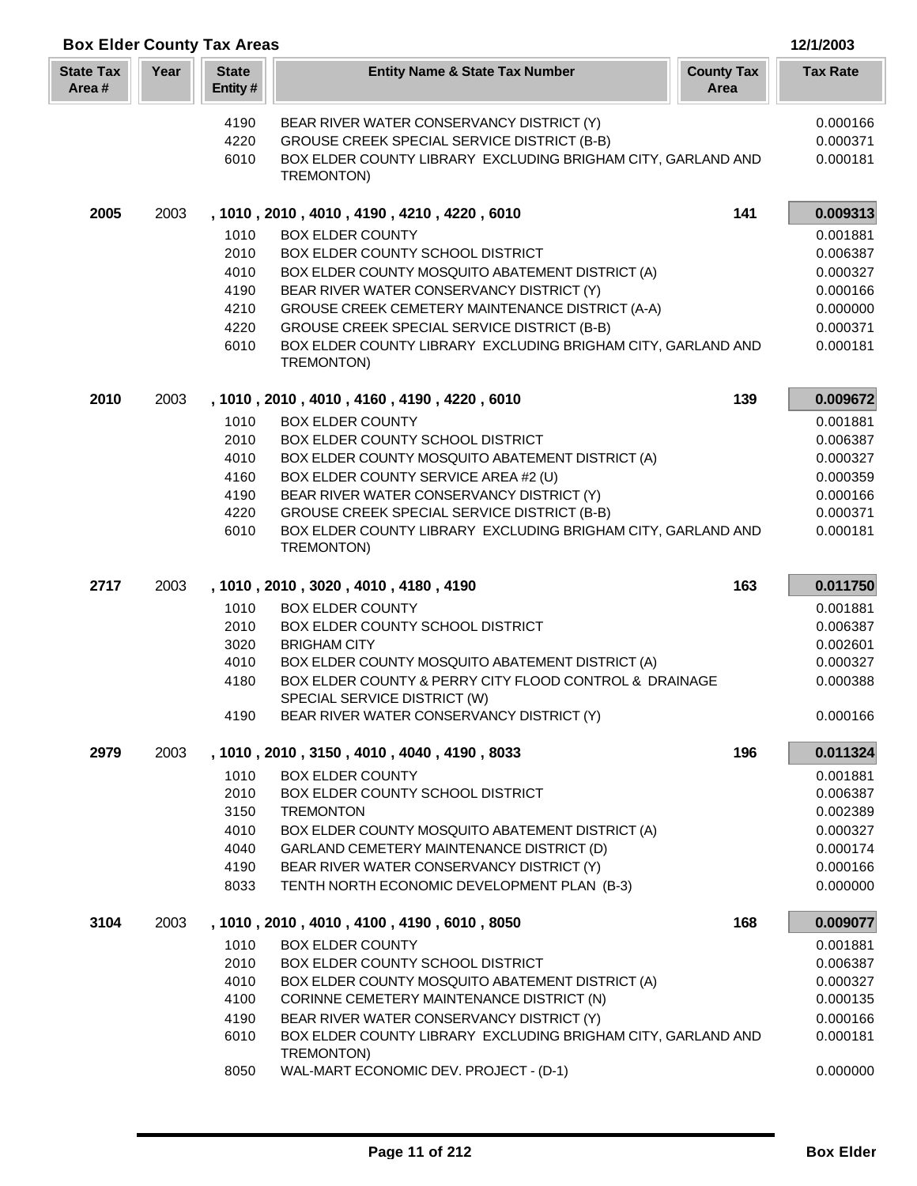| <b>Box Elder County Tax Areas</b> |      |                         |                                                                                               |                           | 12/1/2003            |
|-----------------------------------|------|-------------------------|-----------------------------------------------------------------------------------------------|---------------------------|----------------------|
| <b>State Tax</b><br>Area#         | Year | <b>State</b><br>Entity# | <b>Entity Name &amp; State Tax Number</b>                                                     | <b>County Tax</b><br>Area | <b>Tax Rate</b>      |
|                                   |      | 4190                    | BEAR RIVER WATER CONSERVANCY DISTRICT (Y)                                                     |                           | 0.000166             |
|                                   |      | 4220                    | GROUSE CREEK SPECIAL SERVICE DISTRICT (B-B)                                                   |                           | 0.000371             |
|                                   |      | 6010                    | BOX ELDER COUNTY LIBRARY EXCLUDING BRIGHAM CITY, GARLAND AND                                  |                           | 0.000181             |
|                                   |      |                         | TREMONTON)                                                                                    |                           |                      |
| 2005                              | 2003 |                         | , 1010, 2010, 4010, 4190, 4210, 4220, 6010                                                    | 141                       | 0.009313             |
|                                   |      | 1010                    | <b>BOX ELDER COUNTY</b>                                                                       |                           | 0.001881             |
|                                   |      | 2010                    | BOX ELDER COUNTY SCHOOL DISTRICT                                                              |                           | 0.006387             |
|                                   |      | 4010                    | BOX ELDER COUNTY MOSQUITO ABATEMENT DISTRICT (A)                                              |                           | 0.000327             |
|                                   |      | 4190                    | BEAR RIVER WATER CONSERVANCY DISTRICT (Y)                                                     |                           | 0.000166             |
|                                   |      | 4210                    | GROUSE CREEK CEMETERY MAINTENANCE DISTRICT (A-A)                                              |                           | 0.000000             |
|                                   |      | 4220                    | GROUSE CREEK SPECIAL SERVICE DISTRICT (B-B)                                                   |                           | 0.000371             |
|                                   |      | 6010                    | BOX ELDER COUNTY LIBRARY EXCLUDING BRIGHAM CITY, GARLAND AND<br>TREMONTON)                    |                           | 0.000181             |
| 2010                              | 2003 |                         | , 1010, 2010, 4010, 4160, 4190, 4220, 6010                                                    | 139                       | 0.009672             |
|                                   |      | 1010                    | <b>BOX ELDER COUNTY</b>                                                                       |                           | 0.001881             |
|                                   |      | 2010                    | BOX ELDER COUNTY SCHOOL DISTRICT                                                              |                           | 0.006387             |
|                                   |      | 4010                    | BOX ELDER COUNTY MOSQUITO ABATEMENT DISTRICT (A)                                              |                           | 0.000327             |
|                                   |      | 4160                    | BOX ELDER COUNTY SERVICE AREA #2 (U)                                                          |                           | 0.000359             |
|                                   |      | 4190                    | BEAR RIVER WATER CONSERVANCY DISTRICT (Y)                                                     |                           | 0.000166             |
|                                   |      | 4220                    | GROUSE CREEK SPECIAL SERVICE DISTRICT (B-B)                                                   |                           | 0.000371             |
|                                   |      | 6010                    | BOX ELDER COUNTY LIBRARY EXCLUDING BRIGHAM CITY, GARLAND AND<br>TREMONTON)                    |                           | 0.000181             |
| 2717                              | 2003 |                         | , 1010, 2010, 3020, 4010, 4180, 4190                                                          | 163                       | 0.011750             |
|                                   |      | 1010                    | <b>BOX ELDER COUNTY</b>                                                                       |                           | 0.001881             |
|                                   |      | 2010                    | BOX ELDER COUNTY SCHOOL DISTRICT                                                              |                           | 0.006387             |
|                                   |      | 3020                    | <b>BRIGHAM CITY</b>                                                                           |                           | 0.002601             |
|                                   |      | 4010                    | BOX ELDER COUNTY MOSQUITO ABATEMENT DISTRICT (A)                                              |                           | 0.000327             |
|                                   |      | 4180                    | BOX ELDER COUNTY & PERRY CITY FLOOD CONTROL & DRAINAGE<br>SPECIAL SERVICE DISTRICT (W)        |                           | 0.000388             |
|                                   |      | 4190                    | BEAR RIVER WATER CONSERVANCY DISTRICT (Y)                                                     |                           | 0.000166             |
| 2979                              | 2003 |                         | , 1010, 2010, 3150, 4010, 4040, 4190, 8033                                                    | 196                       | 0.011324             |
|                                   |      | 1010                    | <b>BOX ELDER COUNTY</b>                                                                       |                           | 0.001881             |
|                                   |      | 2010<br>3150            | BOX ELDER COUNTY SCHOOL DISTRICT<br><b>TREMONTON</b>                                          |                           | 0.006387<br>0.002389 |
|                                   |      |                         |                                                                                               |                           |                      |
|                                   |      | 4010<br>4040            | BOX ELDER COUNTY MOSQUITO ABATEMENT DISTRICT (A)<br>GARLAND CEMETERY MAINTENANCE DISTRICT (D) |                           | 0.000327<br>0.000174 |
|                                   |      | 4190                    | BEAR RIVER WATER CONSERVANCY DISTRICT (Y)                                                     |                           | 0.000166             |
|                                   |      | 8033                    | TENTH NORTH ECONOMIC DEVELOPMENT PLAN (B-3)                                                   |                           | 0.000000             |
| 3104                              | 2003 |                         | , 1010, 2010, 4010, 4100, 4190, 6010, 8050                                                    | 168                       | 0.009077             |
|                                   |      | 1010                    | <b>BOX ELDER COUNTY</b>                                                                       |                           | 0.001881             |
|                                   |      | 2010                    | BOX ELDER COUNTY SCHOOL DISTRICT                                                              |                           | 0.006387             |
|                                   |      | 4010                    | BOX ELDER COUNTY MOSQUITO ABATEMENT DISTRICT (A)                                              |                           | 0.000327             |
|                                   |      | 4100                    | CORINNE CEMETERY MAINTENANCE DISTRICT (N)                                                     |                           | 0.000135             |
|                                   |      | 4190                    | BEAR RIVER WATER CONSERVANCY DISTRICT (Y)                                                     |                           | 0.000166             |
|                                   |      | 6010                    | BOX ELDER COUNTY LIBRARY EXCLUDING BRIGHAM CITY, GARLAND AND<br>TREMONTON)                    |                           | 0.000181             |
|                                   |      | 8050                    | WAL-MART ECONOMIC DEV. PROJECT - (D-1)                                                        |                           | 0.000000             |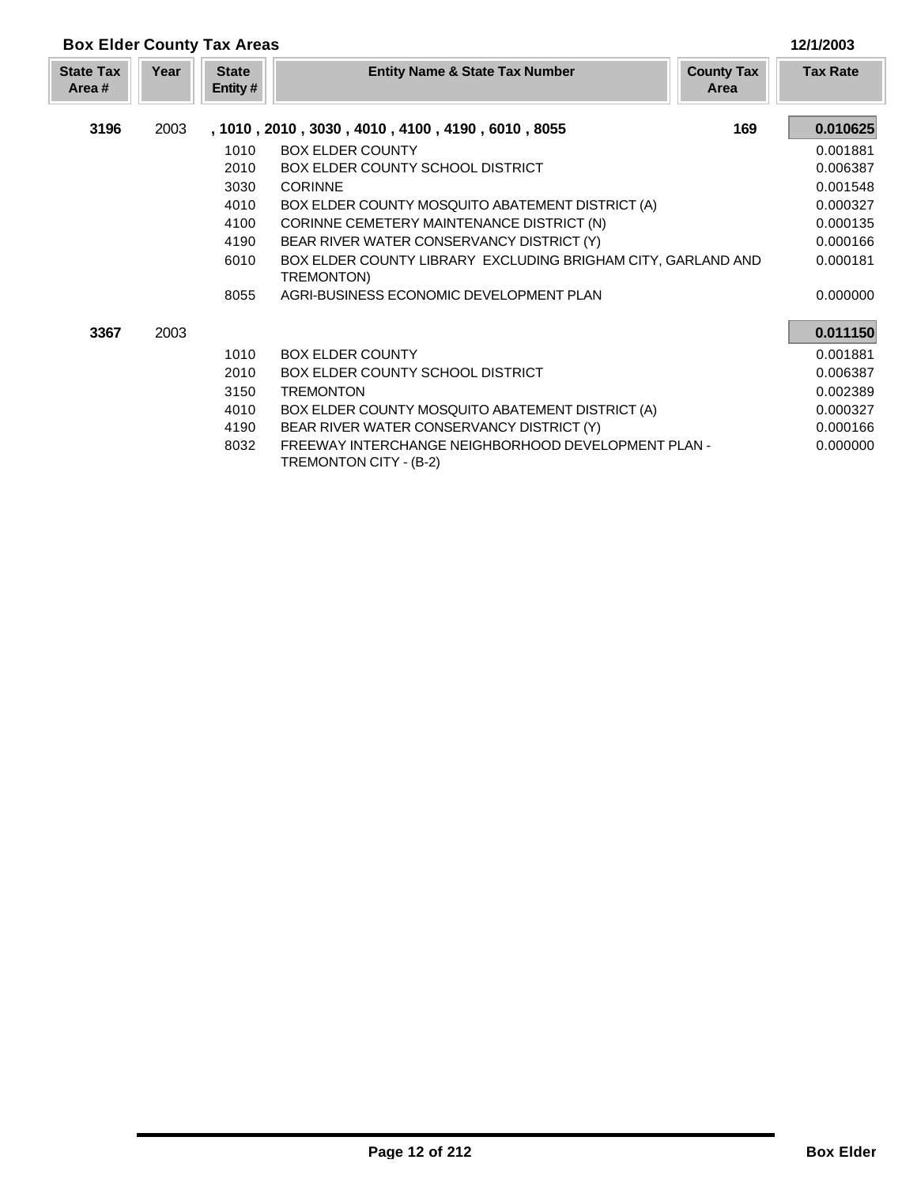|                           | <b>Box Elder County Tax Areas</b> |                         |                                                                               |                           |                 |  |
|---------------------------|-----------------------------------|-------------------------|-------------------------------------------------------------------------------|---------------------------|-----------------|--|
| <b>State Tax</b><br>Area# | Year                              | <b>State</b><br>Entity# | <b>Entity Name &amp; State Tax Number</b>                                     | <b>County Tax</b><br>Area | <b>Tax Rate</b> |  |
| 3196                      | 2003                              |                         | , 1010, 2010, 3030, 4010, 4100, 4190, 6010, 8055                              | 169                       | 0.010625        |  |
|                           |                                   | 1010                    | <b>BOX ELDER COUNTY</b>                                                       |                           | 0.001881        |  |
|                           |                                   | 2010                    | <b>BOX ELDER COUNTY SCHOOL DISTRICT</b>                                       |                           | 0.006387        |  |
|                           |                                   | 3030                    | <b>CORINNE</b>                                                                |                           | 0.001548        |  |
|                           |                                   | 4010                    | BOX ELDER COUNTY MOSQUITO ABATEMENT DISTRICT (A)                              |                           | 0.000327        |  |
|                           |                                   | 4100                    | CORINNE CEMETERY MAINTENANCE DISTRICT (N)                                     |                           | 0.000135        |  |
|                           |                                   | 4190                    | BEAR RIVER WATER CONSERVANCY DISTRICT (Y)                                     |                           | 0.000166        |  |
|                           |                                   | 6010                    | BOX ELDER COUNTY LIBRARY EXCLUDING BRIGHAM CITY, GARLAND AND<br>TREMONTON)    |                           | 0.000181        |  |
|                           |                                   | 8055                    | AGRI-BUSINESS ECONOMIC DEVELOPMENT PLAN                                       |                           | 0.000000        |  |
| 3367                      | 2003                              |                         |                                                                               |                           | 0.011150        |  |
|                           |                                   | 1010                    | <b>BOX ELDER COUNTY</b>                                                       |                           | 0.001881        |  |
|                           |                                   | 2010                    | <b>BOX ELDER COUNTY SCHOOL DISTRICT</b>                                       |                           | 0.006387        |  |
|                           |                                   | 3150                    | <b>TREMONTON</b>                                                              |                           | 0.002389        |  |
|                           |                                   | 4010                    | BOX ELDER COUNTY MOSQUITO ABATEMENT DISTRICT (A)                              |                           | 0.000327        |  |
|                           |                                   | 4190                    | BEAR RIVER WATER CONSERVANCY DISTRICT (Y)                                     |                           | 0.000166        |  |
|                           |                                   | 8032                    | FREEWAY INTERCHANGE NEIGHBORHOOD DEVELOPMENT PLAN -<br>TREMONTON CITY - (B-2) |                           | 0.000000        |  |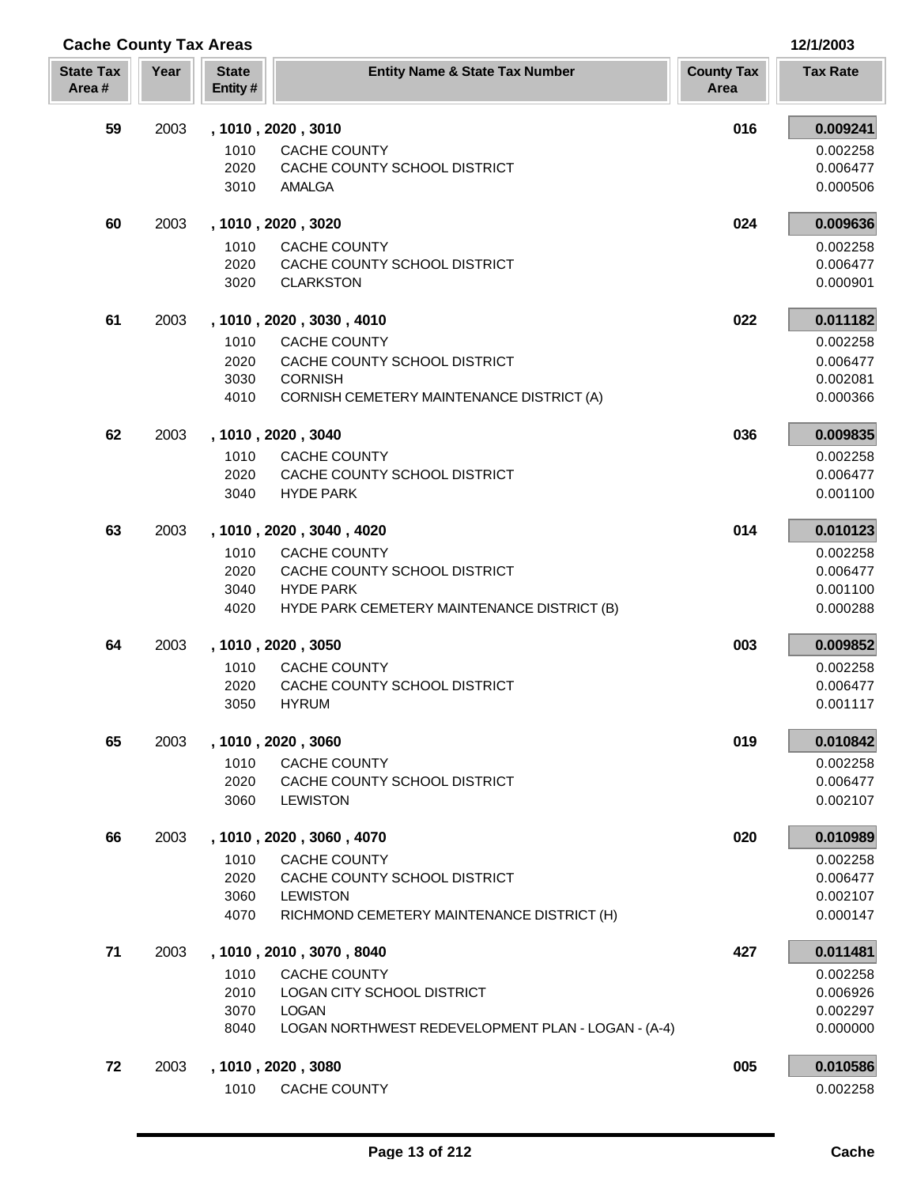| <b>Cache County Tax Areas</b> |      |                                                                               |                           | 12/1/2003            |
|-------------------------------|------|-------------------------------------------------------------------------------|---------------------------|----------------------|
| <b>State Tax</b><br>Area#     | Year | <b>State</b><br><b>Entity Name &amp; State Tax Number</b><br>Entity#          | <b>County Tax</b><br>Area | <b>Tax Rate</b>      |
| 59                            | 2003 | , 1010, 2020, 3010                                                            | 016                       | 0.009241             |
|                               |      | 1010<br><b>CACHE COUNTY</b>                                                   |                           | 0.002258             |
|                               |      | 2020<br>CACHE COUNTY SCHOOL DISTRICT                                          |                           | 0.006477             |
|                               |      | 3010<br><b>AMALGA</b>                                                         |                           | 0.000506             |
| 60                            | 2003 | , 1010, 2020, 3020                                                            | 024                       | 0.009636             |
|                               |      | 1010<br><b>CACHE COUNTY</b>                                                   |                           | 0.002258             |
|                               |      | 2020<br>CACHE COUNTY SCHOOL DISTRICT<br>3020<br><b>CLARKSTON</b>              |                           | 0.006477<br>0.000901 |
|                               |      |                                                                               |                           |                      |
| 61                            | 2003 | , 1010, 2020, 3030, 4010                                                      | 022                       | 0.011182             |
|                               |      | 1010<br><b>CACHE COUNTY</b>                                                   |                           | 0.002258             |
|                               |      | CACHE COUNTY SCHOOL DISTRICT<br>2020                                          |                           | 0.006477             |
|                               |      | 3030<br><b>CORNISH</b><br>4010<br>CORNISH CEMETERY MAINTENANCE DISTRICT (A)   |                           | 0.002081<br>0.000366 |
|                               |      |                                                                               |                           |                      |
| 62                            | 2003 | , 1010, 2020, 3040                                                            | 036                       | 0.009835             |
|                               |      | 1010<br><b>CACHE COUNTY</b><br>2020<br>CACHE COUNTY SCHOOL DISTRICT           |                           | 0.002258<br>0.006477 |
|                               |      | <b>HYDE PARK</b><br>3040                                                      |                           | 0.001100             |
|                               |      |                                                                               |                           |                      |
| 63                            | 2003 | , 1010, 2020, 3040, 4020                                                      | 014                       | 0.010123             |
|                               |      | 1010<br>CACHE COUNTY                                                          |                           | 0.002258             |
|                               |      | 2020<br>CACHE COUNTY SCHOOL DISTRICT<br><b>HYDE PARK</b><br>3040              |                           | 0.006477<br>0.001100 |
|                               |      | 4020<br>HYDE PARK CEMETERY MAINTENANCE DISTRICT (B)                           |                           | 0.000288             |
| 64                            | 2003 | , 1010, 2020, 3050                                                            | 003                       | 0.009852             |
|                               |      | 1010<br>CACHE COUNTY                                                          |                           | 0.002258             |
|                               |      | CACHE COUNTY SCHOOL DISTRICT<br>2020                                          |                           | 0.006477             |
|                               |      | 3050<br><b>HYRUM</b>                                                          |                           | 0.001117             |
| 65                            | 2003 | , 1010, 2020, 3060                                                            | 019                       | 0.010842             |
|                               |      | 1010<br><b>CACHE COUNTY</b>                                                   |                           | 0.002258             |
|                               |      | 2020<br>CACHE COUNTY SCHOOL DISTRICT                                          |                           | 0.006477             |
|                               |      | 3060<br><b>LEWISTON</b>                                                       |                           | 0.002107             |
| 66                            | 2003 | , 1010, 2020, 3060, 4070                                                      | 020                       | 0.010989             |
|                               |      | CACHE COUNTY<br>1010                                                          |                           | 0.002258             |
|                               |      | 2020<br>CACHE COUNTY SCHOOL DISTRICT                                          |                           | 0.006477             |
|                               |      | 3060<br><b>LEWISTON</b><br>4070<br>RICHMOND CEMETERY MAINTENANCE DISTRICT (H) |                           | 0.002107<br>0.000147 |
|                               |      |                                                                               |                           |                      |
| 71                            | 2003 | , 1010, 2010, 3070, 8040                                                      | 427                       | 0.011481             |
|                               |      | 1010<br>CACHE COUNTY<br>2010<br>LOGAN CITY SCHOOL DISTRICT                    |                           | 0.002258<br>0.006926 |
|                               |      | 3070<br><b>LOGAN</b>                                                          |                           | 0.002297             |
|                               |      | 8040<br>LOGAN NORTHWEST REDEVELOPMENT PLAN - LOGAN - (A-4)                    |                           | 0.000000             |
| 72                            | 2003 | , 1010, 2020, 3080                                                            | 005                       | 0.010586             |
|                               |      | 1010<br><b>CACHE COUNTY</b>                                                   |                           | 0.002258             |
|                               |      |                                                                               |                           |                      |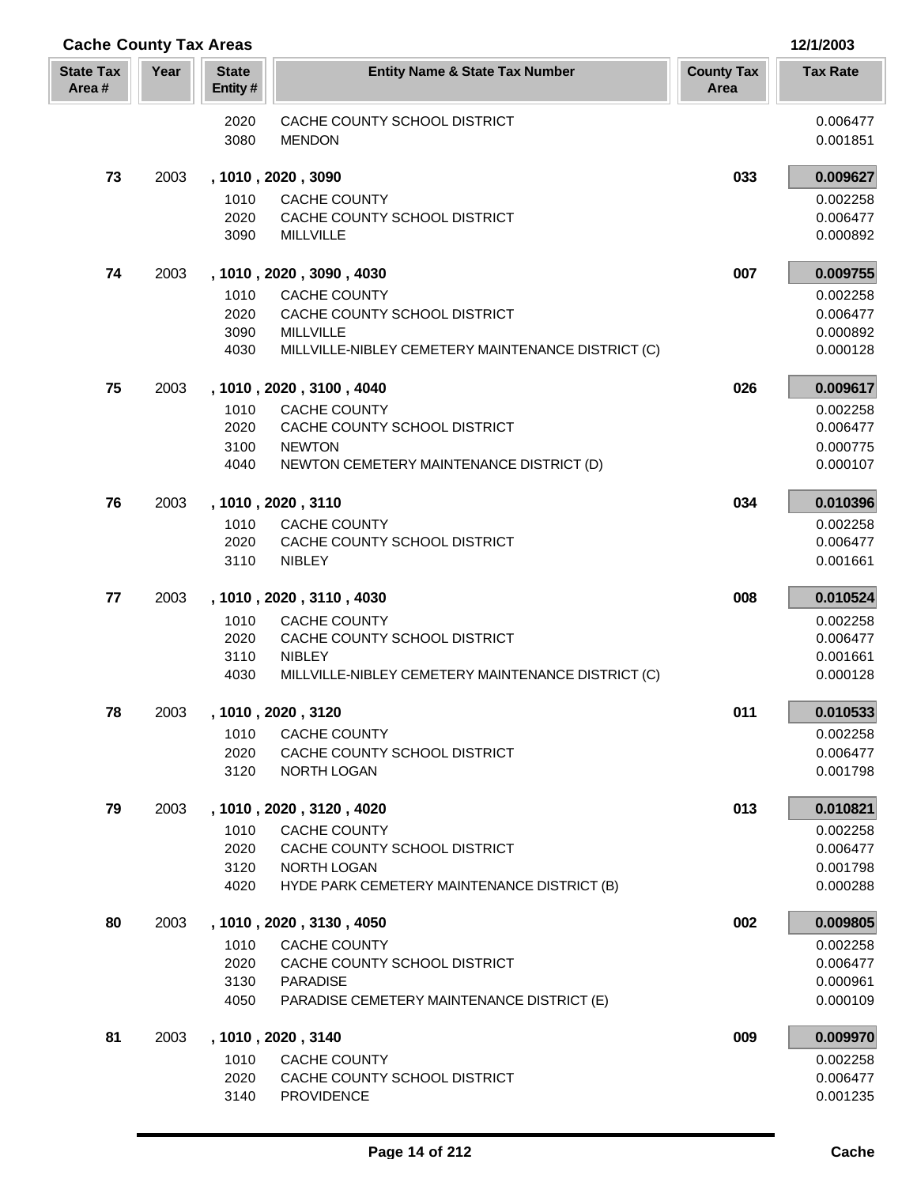| <b>Cache County Tax Areas</b> |      |                         |                                                                        |                           | 12/1/2003            |  |
|-------------------------------|------|-------------------------|------------------------------------------------------------------------|---------------------------|----------------------|--|
| <b>State Tax</b><br>Area#     | Year | <b>State</b><br>Entity# | <b>Entity Name &amp; State Tax Number</b>                              | <b>County Tax</b><br>Area | <b>Tax Rate</b>      |  |
|                               |      | 2020                    | CACHE COUNTY SCHOOL DISTRICT                                           |                           | 0.006477             |  |
|                               |      | 3080                    | <b>MENDON</b>                                                          |                           | 0.001851             |  |
| 73                            | 2003 |                         | , 1010, 2020, 3090                                                     | 033                       | 0.009627             |  |
|                               |      | 1010                    | <b>CACHE COUNTY</b>                                                    |                           | 0.002258             |  |
|                               |      | 2020                    | CACHE COUNTY SCHOOL DISTRICT                                           |                           | 0.006477             |  |
|                               |      | 3090                    | <b>MILLVILLE</b>                                                       |                           | 0.000892             |  |
| 74                            | 2003 |                         | , 1010, 2020, 3090, 4030                                               | 007                       | 0.009755             |  |
|                               |      | 1010                    | <b>CACHE COUNTY</b>                                                    |                           | 0.002258             |  |
|                               |      | 2020                    | CACHE COUNTY SCHOOL DISTRICT                                           |                           | 0.006477             |  |
|                               |      | 3090<br>4030            | <b>MILLVILLE</b><br>MILLVILLE-NIBLEY CEMETERY MAINTENANCE DISTRICT (C) |                           | 0.000892<br>0.000128 |  |
|                               |      |                         |                                                                        |                           |                      |  |
| 75                            | 2003 |                         | , 1010, 2020, 3100, 4040                                               | 026                       | 0.009617             |  |
|                               |      | 1010<br>2020            | <b>CACHE COUNTY</b><br>CACHE COUNTY SCHOOL DISTRICT                    |                           | 0.002258<br>0.006477 |  |
|                               |      | 3100                    | <b>NEWTON</b>                                                          |                           | 0.000775             |  |
|                               |      | 4040                    | NEWTON CEMETERY MAINTENANCE DISTRICT (D)                               |                           | 0.000107             |  |
| 76                            | 2003 |                         | , 1010, 2020, 3110                                                     | 034                       | 0.010396             |  |
|                               |      | 1010                    | <b>CACHE COUNTY</b>                                                    |                           | 0.002258             |  |
|                               |      | 2020                    | CACHE COUNTY SCHOOL DISTRICT                                           |                           | 0.006477             |  |
|                               |      | 3110                    | <b>NIBLEY</b>                                                          |                           | 0.001661             |  |
| 77                            | 2003 |                         | , 1010, 2020, 3110, 4030                                               | 008                       | 0.010524             |  |
|                               |      | 1010                    | <b>CACHE COUNTY</b>                                                    |                           | 0.002258             |  |
|                               |      | 2020<br>3110            | CACHE COUNTY SCHOOL DISTRICT<br><b>NIBLEY</b>                          |                           | 0.006477<br>0.001661 |  |
|                               |      | 4030                    | MILLVILLE-NIBLEY CEMETERY MAINTENANCE DISTRICT (C)                     |                           | 0.000128             |  |
| 78                            | 2003 |                         | , 1010, 2020, 3120                                                     | 011                       | 0.010533             |  |
|                               |      | 1010                    | <b>CACHE COUNTY</b>                                                    |                           | 0.002258             |  |
|                               |      | 2020                    | CACHE COUNTY SCHOOL DISTRICT                                           |                           | 0.006477             |  |
|                               |      | 3120                    | NORTH LOGAN                                                            |                           | 0.001798             |  |
| 79                            | 2003 |                         | , 1010, 2020, 3120, 4020                                               | 013                       | 0.010821             |  |
|                               |      | 1010                    | <b>CACHE COUNTY</b>                                                    |                           | 0.002258             |  |
|                               |      | 2020                    | CACHE COUNTY SCHOOL DISTRICT                                           |                           | 0.006477             |  |
|                               |      | 3120<br>4020            | NORTH LOGAN<br>HYDE PARK CEMETERY MAINTENANCE DISTRICT (B)             |                           | 0.001798<br>0.000288 |  |
|                               |      |                         |                                                                        |                           |                      |  |
| 80                            | 2003 |                         | , 1010, 2020, 3130, 4050                                               | 002                       | 0.009805             |  |
|                               |      | 1010<br>2020            | CACHE COUNTY<br>CACHE COUNTY SCHOOL DISTRICT                           |                           | 0.002258<br>0.006477 |  |
|                               |      | 3130                    | <b>PARADISE</b>                                                        |                           | 0.000961             |  |
|                               |      | 4050                    | PARADISE CEMETERY MAINTENANCE DISTRICT (E)                             |                           | 0.000109             |  |
| 81                            | 2003 |                         | , 1010, 2020, 3140                                                     | 009                       | 0.009970             |  |
|                               |      | 1010                    | <b>CACHE COUNTY</b>                                                    |                           | 0.002258             |  |
|                               |      | 2020                    | CACHE COUNTY SCHOOL DISTRICT                                           |                           | 0.006477             |  |
|                               |      | 3140                    | <b>PROVIDENCE</b>                                                      |                           | 0.001235             |  |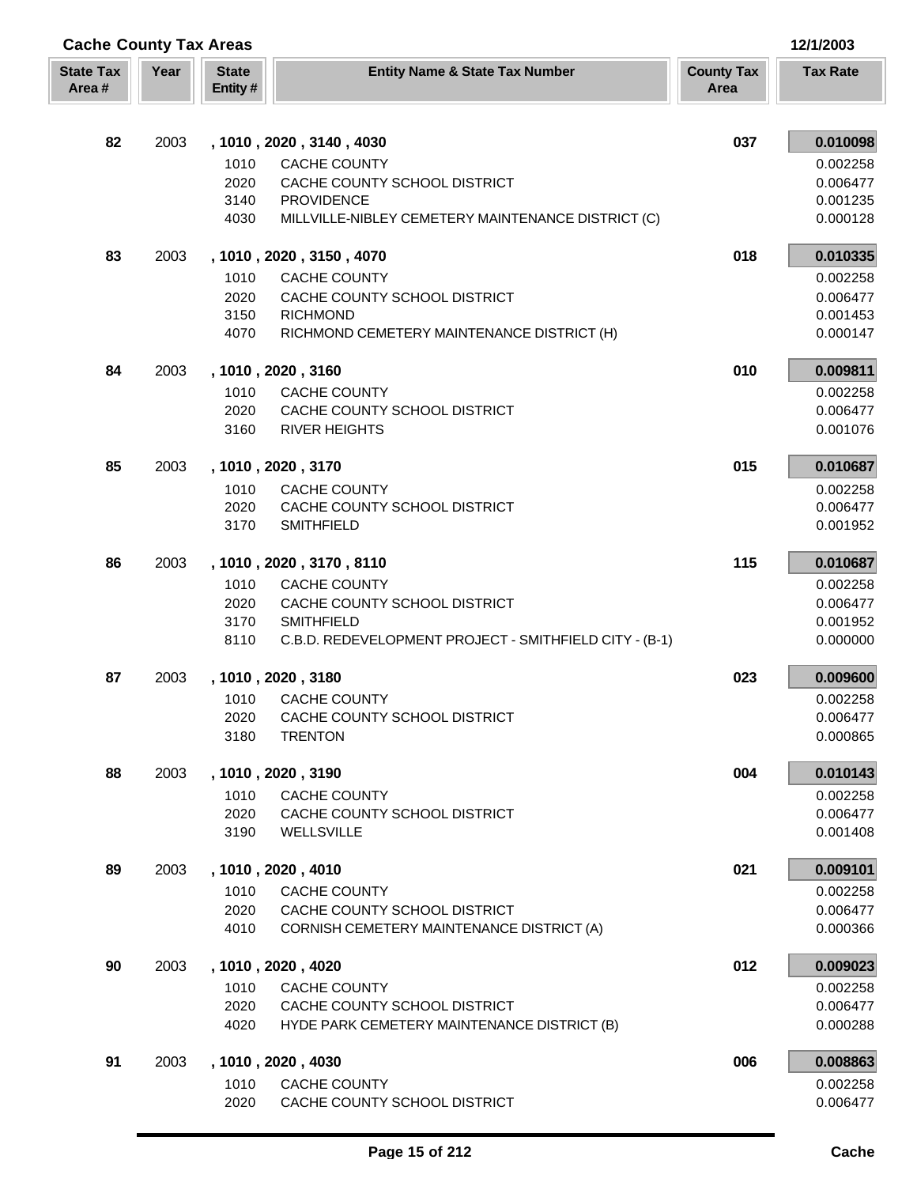| <b>Cache County Tax Areas</b> |      |                         |                                                        |                           |                      |
|-------------------------------|------|-------------------------|--------------------------------------------------------|---------------------------|----------------------|
| <b>State Tax</b><br>Area#     | Year | <b>State</b><br>Entity# | <b>Entity Name &amp; State Tax Number</b>              | <b>County Tax</b><br>Area | <b>Tax Rate</b>      |
| 82                            | 2003 |                         | , 1010, 2020, 3140, 4030                               | 037                       | 0.010098             |
|                               |      | 1010                    | <b>CACHE COUNTY</b>                                    |                           | 0.002258             |
|                               |      | 2020                    | CACHE COUNTY SCHOOL DISTRICT                           |                           | 0.006477             |
|                               |      | 3140                    | <b>PROVIDENCE</b>                                      |                           | 0.001235             |
|                               |      | 4030                    | MILLVILLE-NIBLEY CEMETERY MAINTENANCE DISTRICT (C)     |                           | 0.000128             |
| 83                            | 2003 |                         | , 1010, 2020, 3150, 4070                               | 018                       | 0.010335             |
|                               |      | 1010                    | <b>CACHE COUNTY</b>                                    |                           | 0.002258             |
|                               |      | 2020                    | CACHE COUNTY SCHOOL DISTRICT                           |                           | 0.006477             |
|                               |      | 3150                    | <b>RICHMOND</b>                                        |                           | 0.001453             |
|                               |      | 4070                    | RICHMOND CEMETERY MAINTENANCE DISTRICT (H)             |                           | 0.000147             |
| 84                            | 2003 |                         | , 1010, 2020, 3160                                     | 010                       | 0.009811             |
|                               |      | 1010                    | <b>CACHE COUNTY</b>                                    |                           | 0.002258             |
|                               |      | 2020                    | CACHE COUNTY SCHOOL DISTRICT                           |                           | 0.006477             |
|                               |      | 3160                    | <b>RIVER HEIGHTS</b>                                   |                           | 0.001076             |
| 85                            | 2003 |                         | , 1010, 2020, 3170                                     | 015                       | 0.010687             |
|                               |      | 1010                    | <b>CACHE COUNTY</b>                                    |                           | 0.002258             |
|                               |      | 2020<br>3170            | CACHE COUNTY SCHOOL DISTRICT<br><b>SMITHFIELD</b>      |                           | 0.006477<br>0.001952 |
|                               |      |                         |                                                        |                           |                      |
| 86                            | 2003 |                         | , 1010, 2020, 3170, 8110                               | 115                       | 0.010687             |
|                               |      | 1010                    | <b>CACHE COUNTY</b>                                    |                           | 0.002258             |
|                               |      | 2020<br>3170            | CACHE COUNTY SCHOOL DISTRICT<br><b>SMITHFIELD</b>      |                           | 0.006477<br>0.001952 |
|                               |      | 8110                    | C.B.D. REDEVELOPMENT PROJECT - SMITHFIELD CITY - (B-1) |                           | 0.000000             |
| 87                            | 2003 |                         | , 1010, 2020, 3180                                     | 023                       | 0.009600             |
|                               |      | 1010                    | <b>CACHE COUNTY</b>                                    |                           | 0.002258             |
|                               |      | 2020                    | CACHE COUNTY SCHOOL DISTRICT                           |                           | 0.006477             |
|                               |      | 3180                    | <b>TRENTON</b>                                         |                           | 0.000865             |
| 88                            | 2003 |                         | , 1010, 2020, 3190                                     | 004                       | 0.010143             |
|                               |      | 1010                    | <b>CACHE COUNTY</b>                                    |                           | 0.002258             |
|                               |      | 2020                    | CACHE COUNTY SCHOOL DISTRICT                           |                           | 0.006477             |
|                               |      | 3190                    | WELLSVILLE                                             |                           | 0.001408             |
| 89                            | 2003 |                         | , 1010, 2020, 4010                                     | 021                       | 0.009101             |
|                               |      | 1010                    | <b>CACHE COUNTY</b>                                    |                           | 0.002258             |
|                               |      | 2020                    | CACHE COUNTY SCHOOL DISTRICT                           |                           | 0.006477             |
|                               |      | 4010                    | CORNISH CEMETERY MAINTENANCE DISTRICT (A)              |                           | 0.000366             |
| 90                            | 2003 |                         | , 1010, 2020, 4020                                     | 012                       | 0.009023             |
|                               |      | 1010                    | <b>CACHE COUNTY</b>                                    |                           | 0.002258             |
|                               |      | 2020                    | CACHE COUNTY SCHOOL DISTRICT                           |                           | 0.006477             |
|                               |      | 4020                    | HYDE PARK CEMETERY MAINTENANCE DISTRICT (B)            |                           | 0.000288             |
| 91                            | 2003 |                         | , 1010, 2020, 4030                                     | 006                       | 0.008863             |
|                               |      | 1010                    | <b>CACHE COUNTY</b>                                    |                           | 0.002258             |
|                               |      | 2020                    | CACHE COUNTY SCHOOL DISTRICT                           |                           | 0.006477             |

Ī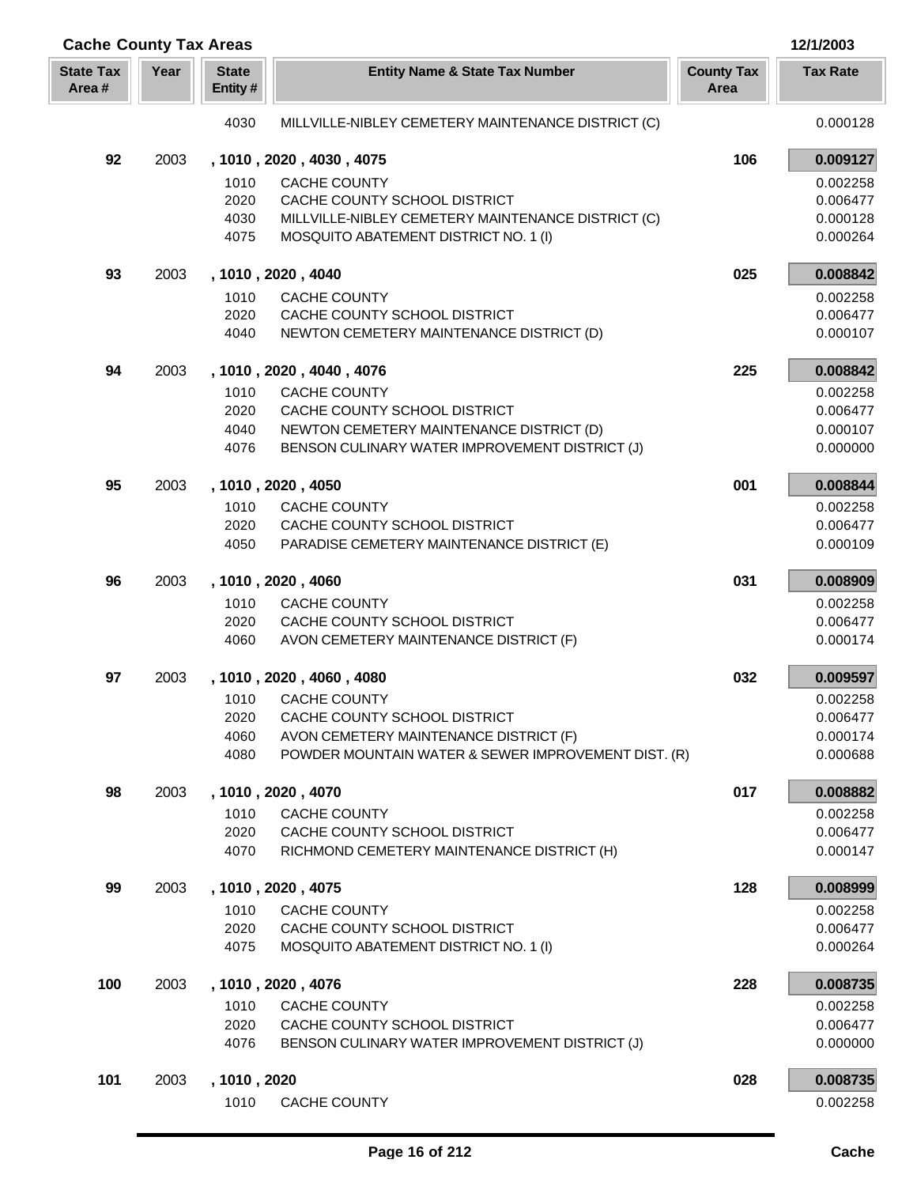| <b>Cache County Tax Areas</b> |      |                         |                                                     | 12/1/2003                 |                 |
|-------------------------------|------|-------------------------|-----------------------------------------------------|---------------------------|-----------------|
| <b>State Tax</b><br>Area#     | Year | <b>State</b><br>Entity# | <b>Entity Name &amp; State Tax Number</b>           | <b>County Tax</b><br>Area | <b>Tax Rate</b> |
|                               |      | 4030                    | MILLVILLE-NIBLEY CEMETERY MAINTENANCE DISTRICT (C)  |                           | 0.000128        |
| 92                            | 2003 |                         | , 1010, 2020, 4030, 4075                            | 106                       | 0.009127        |
|                               |      | 1010                    | CACHE COUNTY                                        |                           | 0.002258        |
|                               |      | 2020                    | CACHE COUNTY SCHOOL DISTRICT                        |                           | 0.006477        |
|                               |      | 4030                    | MILLVILLE-NIBLEY CEMETERY MAINTENANCE DISTRICT (C)  |                           | 0.000128        |
|                               |      | 4075                    | MOSQUITO ABATEMENT DISTRICT NO. 1 (I)               |                           | 0.000264        |
| 93                            | 2003 |                         | , 1010, 2020, 4040                                  | 025                       | 0.008842        |
|                               |      | 1010                    | <b>CACHE COUNTY</b>                                 |                           | 0.002258        |
|                               |      | 2020                    | CACHE COUNTY SCHOOL DISTRICT                        |                           | 0.006477        |
|                               |      | 4040                    | NEWTON CEMETERY MAINTENANCE DISTRICT (D)            |                           | 0.000107        |
| 94                            | 2003 |                         | , 1010, 2020, 4040, 4076                            | 225                       | 0.008842        |
|                               |      | 1010                    | <b>CACHE COUNTY</b>                                 |                           | 0.002258        |
|                               |      | 2020                    | CACHE COUNTY SCHOOL DISTRICT                        |                           | 0.006477        |
|                               |      | 4040                    | NEWTON CEMETERY MAINTENANCE DISTRICT (D)            |                           | 0.000107        |
|                               |      | 4076                    | BENSON CULINARY WATER IMPROVEMENT DISTRICT (J)      |                           | 0.000000        |
| 95                            | 2003 |                         | , 1010, 2020, 4050                                  | 001                       | 0.008844        |
|                               |      | 1010                    | CACHE COUNTY                                        |                           | 0.002258        |
|                               |      | 2020                    | CACHE COUNTY SCHOOL DISTRICT                        |                           | 0.006477        |
|                               |      | 4050                    | PARADISE CEMETERY MAINTENANCE DISTRICT (E)          |                           | 0.000109        |
| 96                            | 2003 |                         | , 1010, 2020, 4060                                  | 031                       | 0.008909        |
|                               |      | 1010                    | <b>CACHE COUNTY</b>                                 |                           | 0.002258        |
|                               |      | 2020                    | CACHE COUNTY SCHOOL DISTRICT                        |                           | 0.006477        |
|                               |      | 4060                    | AVON CEMETERY MAINTENANCE DISTRICT (F)              |                           | 0.000174        |
| 97                            | 2003 |                         | , 1010, 2020, 4060, 4080                            | 032                       | 0.009597        |
|                               |      | 1010                    | <b>CACHE COUNTY</b>                                 |                           | 0.002258        |
|                               |      | 2020                    | CACHE COUNTY SCHOOL DISTRICT                        |                           | 0.006477        |
|                               |      | 4060                    | AVON CEMETERY MAINTENANCE DISTRICT (F)              |                           | 0.000174        |
|                               |      | 4080                    | POWDER MOUNTAIN WATER & SEWER IMPROVEMENT DIST. (R) |                           | 0.000688        |
| 98                            | 2003 |                         | , 1010, 2020, 4070                                  | 017                       | 0.008882        |
|                               |      | 1010                    | <b>CACHE COUNTY</b>                                 |                           | 0.002258        |
|                               |      | 2020                    | CACHE COUNTY SCHOOL DISTRICT                        |                           | 0.006477        |
|                               |      | 4070                    | RICHMOND CEMETERY MAINTENANCE DISTRICT (H)          |                           | 0.000147        |
| 99                            | 2003 |                         | , 1010, 2020, 4075                                  | 128                       | 0.008999        |
|                               |      | 1010                    | CACHE COUNTY                                        |                           | 0.002258        |
|                               |      | 2020                    | CACHE COUNTY SCHOOL DISTRICT                        |                           | 0.006477        |
|                               |      | 4075                    | MOSQUITO ABATEMENT DISTRICT NO. 1 (I)               |                           | 0.000264        |
| 100                           | 2003 |                         | , 1010, 2020, 4076                                  | 228                       | 0.008735        |
|                               |      | 1010                    | <b>CACHE COUNTY</b>                                 |                           | 0.002258        |
|                               |      | 2020                    | CACHE COUNTY SCHOOL DISTRICT                        |                           | 0.006477        |
|                               |      | 4076                    | BENSON CULINARY WATER IMPROVEMENT DISTRICT (J)      |                           | 0.000000        |
| 101                           | 2003 | , 1010, 2020            |                                                     | 028                       | 0.008735        |
|                               |      | 1010                    | <b>CACHE COUNTY</b>                                 |                           | 0.002258        |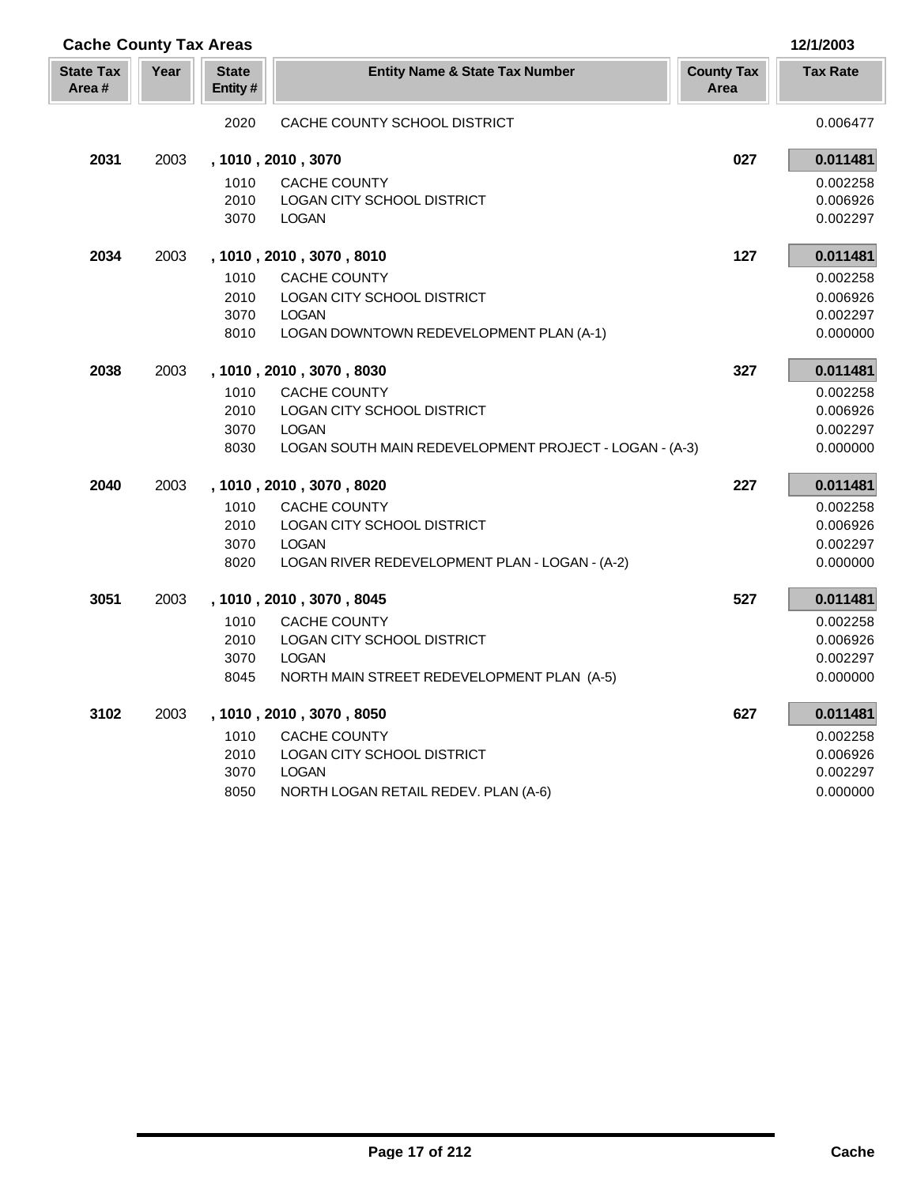| <b>Cache County Tax Areas</b> |      |                         |                                                        |                           | 12/1/2003       |
|-------------------------------|------|-------------------------|--------------------------------------------------------|---------------------------|-----------------|
| <b>State Tax</b><br>Area#     | Year | <b>State</b><br>Entity# | <b>Entity Name &amp; State Tax Number</b>              | <b>County Tax</b><br>Area | <b>Tax Rate</b> |
|                               |      | 2020                    | CACHE COUNTY SCHOOL DISTRICT                           |                           | 0.006477        |
| 2031                          | 2003 |                         | , 1010, 2010, 3070                                     | 027                       | 0.011481        |
|                               |      | 1010                    | CACHE COUNTY                                           |                           | 0.002258        |
|                               |      | 2010                    | LOGAN CITY SCHOOL DISTRICT                             |                           | 0.006926        |
|                               |      | 3070                    | <b>LOGAN</b>                                           |                           | 0.002297        |
| 2034                          | 2003 |                         | , 1010, 2010, 3070, 8010                               | 127                       | 0.011481        |
|                               |      | 1010                    | <b>CACHE COUNTY</b>                                    |                           | 0.002258        |
|                               |      | 2010                    | LOGAN CITY SCHOOL DISTRICT                             |                           | 0.006926        |
|                               |      | 3070                    | <b>LOGAN</b>                                           |                           | 0.002297        |
|                               |      | 8010                    | LOGAN DOWNTOWN REDEVELOPMENT PLAN (A-1)                |                           | 0.000000        |
| 2038                          | 2003 |                         | , 1010, 2010, 3070, 8030                               | 327                       | 0.011481        |
|                               |      | 1010                    | <b>CACHE COUNTY</b>                                    |                           | 0.002258        |
|                               |      | 2010                    | LOGAN CITY SCHOOL DISTRICT                             |                           | 0.006926        |
|                               |      | 3070                    | <b>LOGAN</b>                                           |                           | 0.002297        |
|                               |      | 8030                    | LOGAN SOUTH MAIN REDEVELOPMENT PROJECT - LOGAN - (A-3) |                           | 0.000000        |
| 2040                          | 2003 |                         | , 1010, 2010, 3070, 8020                               | 227                       | 0.011481        |
|                               |      | 1010                    | CACHE COUNTY                                           |                           | 0.002258        |
|                               |      | 2010                    | LOGAN CITY SCHOOL DISTRICT                             |                           | 0.006926        |
|                               |      | 3070                    | <b>LOGAN</b>                                           |                           | 0.002297        |
|                               |      | 8020                    | LOGAN RIVER REDEVELOPMENT PLAN - LOGAN - (A-2)         |                           | 0.000000        |
| 3051                          | 2003 |                         | , 1010, 2010, 3070, 8045                               | 527                       | 0.011481        |
|                               |      | 1010                    | <b>CACHE COUNTY</b>                                    |                           | 0.002258        |
|                               |      | 2010                    | LOGAN CITY SCHOOL DISTRICT                             |                           | 0.006926        |
|                               |      | 3070                    | <b>LOGAN</b>                                           |                           | 0.002297        |
|                               |      | 8045                    | NORTH MAIN STREET REDEVELOPMENT PLAN (A-5)             |                           | 0.000000        |
| 3102                          | 2003 |                         | , 1010, 2010, 3070, 8050                               | 627                       | 0.011481        |
|                               |      | 1010                    | <b>CACHE COUNTY</b>                                    |                           | 0.002258        |
|                               |      | 2010                    | LOGAN CITY SCHOOL DISTRICT                             |                           | 0.006926        |
|                               |      | 3070                    | <b>LOGAN</b>                                           |                           | 0.002297        |
|                               |      | 8050                    | NORTH LOGAN RETAIL REDEV. PLAN (A-6)                   |                           | 0.000000        |

Γ I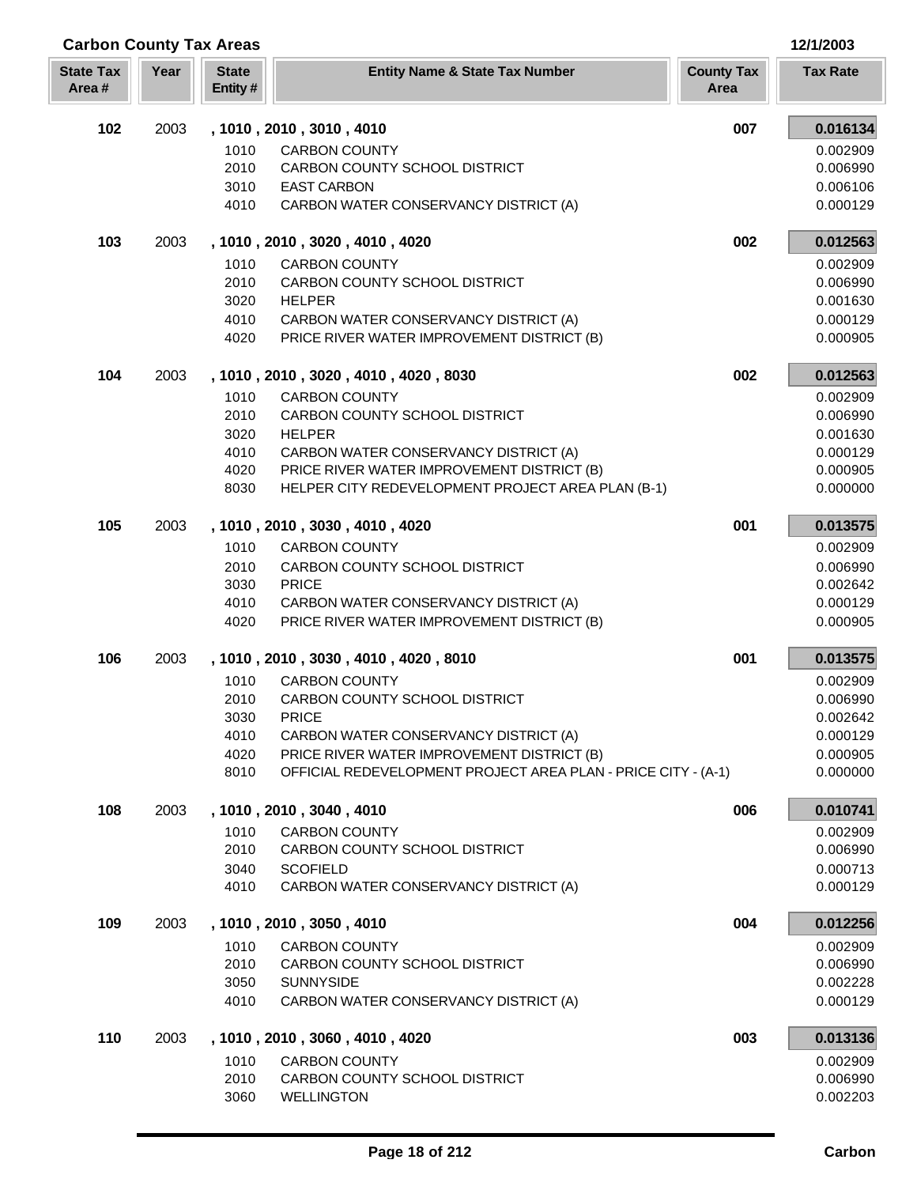| <b>Carbon County Tax Areas</b> |      |                         |                                                                                     |                           | 12/1/2003            |
|--------------------------------|------|-------------------------|-------------------------------------------------------------------------------------|---------------------------|----------------------|
| <b>State Tax</b><br>Area#      | Year | <b>State</b><br>Entity# | <b>Entity Name &amp; State Tax Number</b>                                           | <b>County Tax</b><br>Area | <b>Tax Rate</b>      |
| 102                            | 2003 |                         | , 1010, 2010, 3010, 4010                                                            | 007                       | 0.016134             |
|                                |      | 1010                    | <b>CARBON COUNTY</b>                                                                |                           | 0.002909             |
|                                |      | 2010                    | CARBON COUNTY SCHOOL DISTRICT                                                       |                           | 0.006990             |
|                                |      | 3010                    | <b>EAST CARBON</b>                                                                  |                           | 0.006106             |
|                                |      | 4010                    | CARBON WATER CONSERVANCY DISTRICT (A)                                               |                           | 0.000129             |
| 103                            | 2003 |                         | , 1010, 2010, 3020, 4010, 4020                                                      | 002                       | 0.012563             |
|                                |      | 1010                    | <b>CARBON COUNTY</b>                                                                |                           | 0.002909             |
|                                |      | 2010                    | CARBON COUNTY SCHOOL DISTRICT                                                       |                           | 0.006990             |
|                                |      | 3020                    | <b>HELPER</b>                                                                       |                           | 0.001630             |
|                                |      | 4010<br>4020            | CARBON WATER CONSERVANCY DISTRICT (A)<br>PRICE RIVER WATER IMPROVEMENT DISTRICT (B) |                           | 0.000129<br>0.000905 |
| 104                            | 2003 |                         | , 1010, 2010, 3020, 4010, 4020, 8030                                                | 002                       | 0.012563             |
|                                |      | 1010                    | <b>CARBON COUNTY</b>                                                                |                           | 0.002909             |
|                                |      | 2010                    | CARBON COUNTY SCHOOL DISTRICT                                                       |                           | 0.006990             |
|                                |      | 3020                    | <b>HELPER</b>                                                                       |                           | 0.001630             |
|                                |      | 4010                    | CARBON WATER CONSERVANCY DISTRICT (A)                                               |                           | 0.000129             |
|                                |      | 4020                    | PRICE RIVER WATER IMPROVEMENT DISTRICT (B)                                          |                           | 0.000905             |
|                                |      | 8030                    | HELPER CITY REDEVELOPMENT PROJECT AREA PLAN (B-1)                                   |                           | 0.000000             |
| 105                            | 2003 |                         | , 1010, 2010, 3030, 4010, 4020                                                      | 001                       | 0.013575             |
|                                |      | 1010                    | <b>CARBON COUNTY</b>                                                                |                           | 0.002909             |
|                                |      | 2010                    | CARBON COUNTY SCHOOL DISTRICT                                                       |                           | 0.006990             |
|                                |      | 3030                    | <b>PRICE</b>                                                                        |                           | 0.002642             |
|                                |      | 4010                    | CARBON WATER CONSERVANCY DISTRICT (A)                                               |                           | 0.000129             |
|                                |      | 4020                    | PRICE RIVER WATER IMPROVEMENT DISTRICT (B)                                          |                           | 0.000905             |
| 106                            | 2003 |                         | , 1010, 2010, 3030, 4010, 4020, 8010                                                | 001                       | 0.013575             |
|                                |      | 1010                    | <b>CARBON COUNTY</b>                                                                |                           | 0.002909             |
|                                |      | 2010                    | CARBON COUNTY SCHOOL DISTRICT                                                       |                           | 0.006990             |
|                                |      | 3030<br>4010            | <b>PRICE</b>                                                                        |                           | 0.002642<br>0.000129 |
|                                |      | 4020                    | CARBON WATER CONSERVANCY DISTRICT (A)<br>PRICE RIVER WATER IMPROVEMENT DISTRICT (B) |                           | 0.000905             |
|                                |      | 8010                    | OFFICIAL REDEVELOPMENT PROJECT AREA PLAN - PRICE CITY - (A-1)                       |                           | 0.000000             |
| 108                            | 2003 |                         | , 1010, 2010, 3040, 4010                                                            | 006                       | 0.010741             |
|                                |      | 1010                    | <b>CARBON COUNTY</b>                                                                |                           | 0.002909             |
|                                |      | 2010                    | CARBON COUNTY SCHOOL DISTRICT                                                       |                           | 0.006990             |
|                                |      | 3040                    | <b>SCOFIELD</b>                                                                     |                           | 0.000713             |
|                                |      | 4010                    | CARBON WATER CONSERVANCY DISTRICT (A)                                               |                           | 0.000129             |
| 109                            | 2003 |                         | , 1010, 2010, 3050, 4010                                                            | 004                       | 0.012256             |
|                                |      | 1010                    | <b>CARBON COUNTY</b>                                                                |                           | 0.002909             |
|                                |      | 2010                    | CARBON COUNTY SCHOOL DISTRICT                                                       |                           | 0.006990             |
|                                |      | 3050                    | <b>SUNNYSIDE</b>                                                                    |                           | 0.002228             |
|                                |      | 4010                    | CARBON WATER CONSERVANCY DISTRICT (A)                                               |                           | 0.000129             |
| 110                            | 2003 |                         | , 1010, 2010, 3060, 4010, 4020                                                      | 003                       | 0.013136             |
|                                |      | 1010                    | <b>CARBON COUNTY</b>                                                                |                           | 0.002909             |
|                                |      | 2010<br>3060            | CARBON COUNTY SCHOOL DISTRICT<br><b>WELLINGTON</b>                                  |                           | 0.006990<br>0.002203 |
|                                |      |                         |                                                                                     |                           |                      |

Г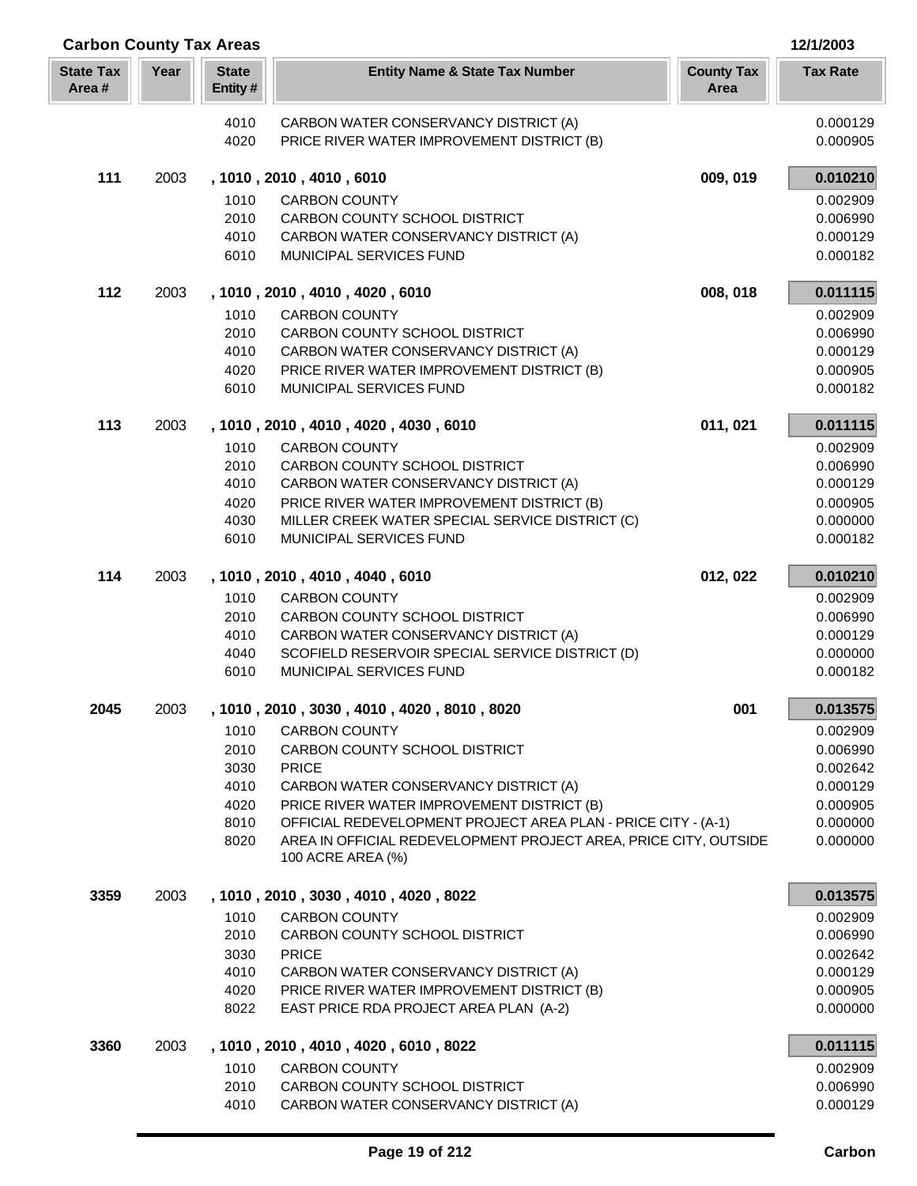| <b>Carbon County Tax Areas</b> |      |                         |                                                                                                                                   | 12/1/2003                 |                      |
|--------------------------------|------|-------------------------|-----------------------------------------------------------------------------------------------------------------------------------|---------------------------|----------------------|
| <b>State Tax</b><br>Area#      | Year | <b>State</b><br>Entity# | <b>Entity Name &amp; State Tax Number</b>                                                                                         | <b>County Tax</b><br>Area | <b>Tax Rate</b>      |
|                                |      | 4010                    | CARBON WATER CONSERVANCY DISTRICT (A)                                                                                             |                           | 0.000129             |
|                                |      | 4020                    | PRICE RIVER WATER IMPROVEMENT DISTRICT (B)                                                                                        |                           | 0.000905             |
| 111                            | 2003 |                         | , 1010, 2010, 4010, 6010                                                                                                          | 009, 019                  | 0.010210             |
|                                |      | 1010                    | <b>CARBON COUNTY</b>                                                                                                              |                           | 0.002909             |
|                                |      | 2010                    | CARBON COUNTY SCHOOL DISTRICT                                                                                                     |                           | 0.006990             |
|                                |      | 4010<br>6010            | CARBON WATER CONSERVANCY DISTRICT (A)<br>MUNICIPAL SERVICES FUND                                                                  |                           | 0.000129<br>0.000182 |
|                                |      |                         |                                                                                                                                   |                           |                      |
| 112                            | 2003 |                         | , 1010, 2010, 4010, 4020, 6010                                                                                                    | 008, 018                  | 0.011115             |
|                                |      | 1010                    | <b>CARBON COUNTY</b>                                                                                                              |                           | 0.002909             |
|                                |      | 2010<br>4010            | CARBON COUNTY SCHOOL DISTRICT<br>CARBON WATER CONSERVANCY DISTRICT (A)                                                            |                           | 0.006990<br>0.000129 |
|                                |      | 4020                    | PRICE RIVER WATER IMPROVEMENT DISTRICT (B)                                                                                        |                           | 0.000905             |
|                                |      | 6010                    | MUNICIPAL SERVICES FUND                                                                                                           |                           | 0.000182             |
| 113                            | 2003 |                         | , 1010, 2010, 4010, 4020, 4030, 6010                                                                                              | 011, 021                  | 0.011115             |
|                                |      | 1010                    | <b>CARBON COUNTY</b>                                                                                                              |                           | 0.002909             |
|                                |      | 2010                    | <b>CARBON COUNTY SCHOOL DISTRICT</b>                                                                                              |                           | 0.006990             |
|                                |      | 4010                    | CARBON WATER CONSERVANCY DISTRICT (A)                                                                                             |                           | 0.000129             |
|                                |      | 4020                    | PRICE RIVER WATER IMPROVEMENT DISTRICT (B)                                                                                        |                           | 0.000905             |
|                                |      | 4030<br>6010            | MILLER CREEK WATER SPECIAL SERVICE DISTRICT (C)<br>MUNICIPAL SERVICES FUND                                                        |                           | 0.000000<br>0.000182 |
|                                |      |                         |                                                                                                                                   |                           |                      |
| 114                            | 2003 |                         | , 1010, 2010, 4010, 4040, 6010                                                                                                    | 012, 022                  | 0.010210             |
|                                |      | 1010                    | <b>CARBON COUNTY</b>                                                                                                              |                           | 0.002909             |
|                                |      | 2010                    | CARBON COUNTY SCHOOL DISTRICT                                                                                                     |                           | 0.006990             |
|                                |      | 4010                    | CARBON WATER CONSERVANCY DISTRICT (A)                                                                                             |                           | 0.000129             |
|                                |      | 4040<br>6010            | SCOFIELD RESERVOIR SPECIAL SERVICE DISTRICT (D)<br>MUNICIPAL SERVICES FUND                                                        |                           | 0.000000<br>0.000182 |
| 2045                           | 2003 |                         | , 1010, 2010, 3030, 4010, 4020, 8010, 8020                                                                                        | 001                       | 0.013575             |
|                                |      | 1010                    | <b>CARBON COUNTY</b>                                                                                                              |                           | 0.002909             |
|                                |      | 2010                    | CARBON COUNTY SCHOOL DISTRICT                                                                                                     |                           | 0.006990             |
|                                |      | 3030                    | <b>PRICE</b>                                                                                                                      |                           | 0.002642             |
|                                |      | 4010                    | CARBON WATER CONSERVANCY DISTRICT (A)                                                                                             |                           | 0.000129             |
|                                |      | 4020                    | PRICE RIVER WATER IMPROVEMENT DISTRICT (B)                                                                                        |                           | 0.000905             |
|                                |      | 8010<br>8020            | OFFICIAL REDEVELOPMENT PROJECT AREA PLAN - PRICE CITY - (A-1)<br>AREA IN OFFICIAL REDEVELOPMENT PROJECT AREA, PRICE CITY, OUTSIDE |                           | 0.000000<br>0.000000 |
|                                |      |                         | 100 ACRE AREA (%)                                                                                                                 |                           |                      |
| 3359                           | 2003 |                         | , 1010, 2010, 3030, 4010, 4020, 8022                                                                                              |                           | 0.013575             |
|                                |      | 1010                    | <b>CARBON COUNTY</b>                                                                                                              |                           | 0.002909             |
|                                |      | 2010                    | CARBON COUNTY SCHOOL DISTRICT                                                                                                     |                           | 0.006990             |
|                                |      | 3030                    | <b>PRICE</b>                                                                                                                      |                           | 0.002642             |
|                                |      | 4010<br>4020            | CARBON WATER CONSERVANCY DISTRICT (A)<br>PRICE RIVER WATER IMPROVEMENT DISTRICT (B)                                               |                           | 0.000129<br>0.000905 |
|                                |      | 8022                    | EAST PRICE RDA PROJECT AREA PLAN (A-2)                                                                                            |                           | 0.000000             |
| 3360                           | 2003 |                         | , 1010, 2010, 4010, 4020, 6010, 8022                                                                                              |                           | 0.011115             |
|                                |      | 1010                    | <b>CARBON COUNTY</b>                                                                                                              |                           | 0.002909             |
|                                |      | 2010                    | CARBON COUNTY SCHOOL DISTRICT                                                                                                     |                           | 0.006990             |
|                                |      | 4010                    | CARBON WATER CONSERVANCY DISTRICT (A)                                                                                             |                           | 0.000129             |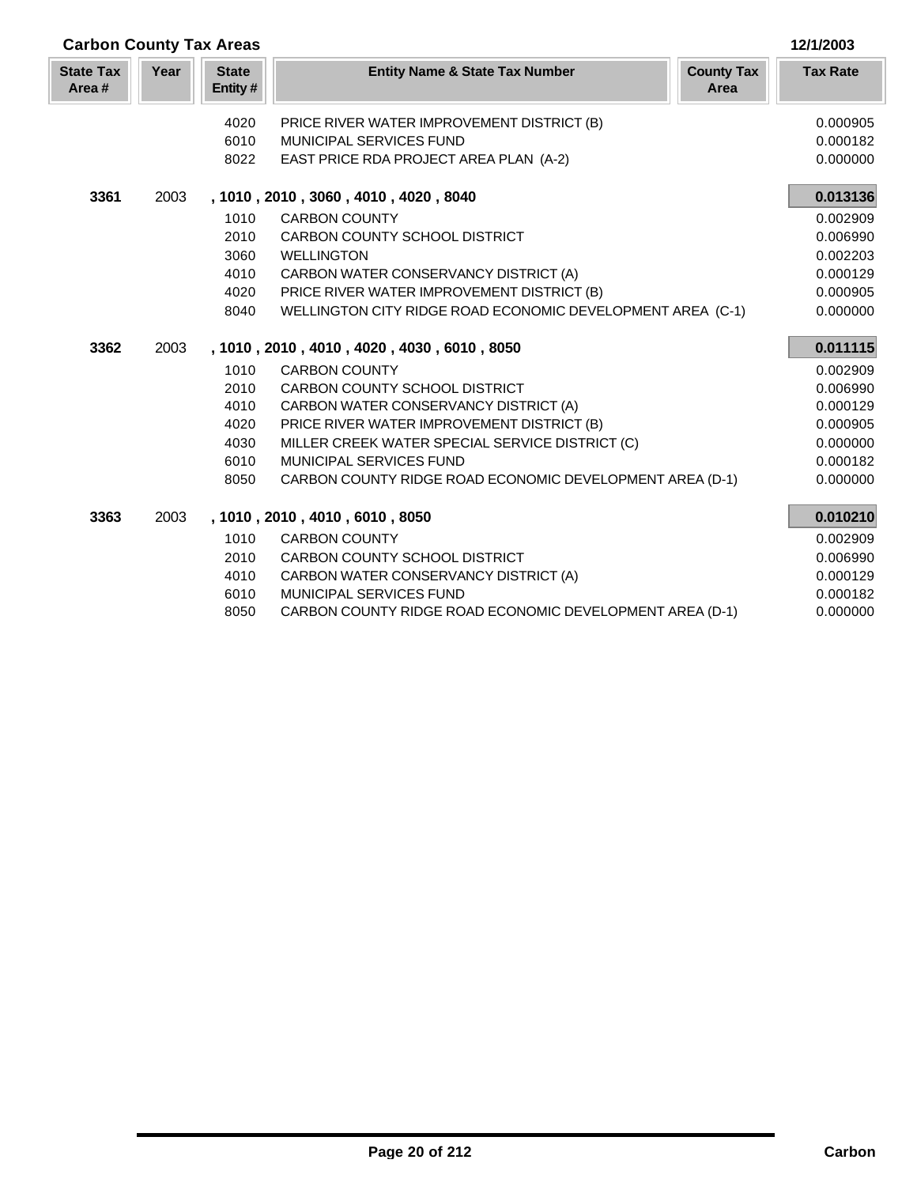| <b>Carbon County Tax Areas</b> |      |                         |                                                            |                           | 12/1/2003       |
|--------------------------------|------|-------------------------|------------------------------------------------------------|---------------------------|-----------------|
| <b>State Tax</b><br>Area#      | Year | <b>State</b><br>Entity# | <b>Entity Name &amp; State Tax Number</b>                  | <b>County Tax</b><br>Area | <b>Tax Rate</b> |
|                                |      | 4020                    | PRICE RIVER WATER IMPROVEMENT DISTRICT (B)                 |                           | 0.000905        |
|                                |      | 6010                    | <b>MUNICIPAL SERVICES FUND</b>                             |                           | 0.000182        |
|                                |      | 8022                    | EAST PRICE RDA PROJECT AREA PLAN (A-2)                     |                           | 0.000000        |
| 3361                           | 2003 |                         | , 1010, 2010, 3060, 4010, 4020, 8040                       |                           | 0.013136        |
|                                |      | 1010                    | <b>CARBON COUNTY</b>                                       |                           | 0.002909        |
|                                |      | 2010                    | CARBON COUNTY SCHOOL DISTRICT                              |                           | 0.006990        |
|                                |      | 3060                    | <b>WELLINGTON</b>                                          |                           | 0.002203        |
|                                |      | 4010                    | CARBON WATER CONSERVANCY DISTRICT (A)                      |                           | 0.000129        |
|                                |      | 4020                    | PRICE RIVER WATER IMPROVEMENT DISTRICT (B)                 |                           | 0.000905        |
|                                |      | 8040                    | WELLINGTON CITY RIDGE ROAD ECONOMIC DEVELOPMENT AREA (C-1) |                           | 0.000000        |
| 3362                           | 2003 |                         | , 1010, 2010, 4010, 4020, 4030, 6010, 8050                 |                           | 0.011115        |
|                                |      | 1010                    | <b>CARBON COUNTY</b>                                       |                           | 0.002909        |
|                                |      | 2010                    | CARBON COUNTY SCHOOL DISTRICT                              |                           | 0.006990        |
|                                |      | 4010                    | CARBON WATER CONSERVANCY DISTRICT (A)                      |                           | 0.000129        |
|                                |      | 4020                    | PRICE RIVER WATER IMPROVEMENT DISTRICT (B)                 |                           | 0.000905        |
|                                |      | 4030                    | MILLER CREEK WATER SPECIAL SERVICE DISTRICT (C)            |                           | 0.000000        |
|                                |      | 6010                    | MUNICIPAL SERVICES FUND                                    |                           | 0.000182        |
|                                |      | 8050                    | CARBON COUNTY RIDGE ROAD ECONOMIC DEVELOPMENT AREA (D-1)   |                           | 0.000000        |
| 3363                           | 2003 |                         | , 1010, 2010, 4010, 6010, 8050                             |                           | 0.010210        |
|                                |      | 1010                    | <b>CARBON COUNTY</b>                                       |                           | 0.002909        |
|                                |      | 2010                    | CARBON COUNTY SCHOOL DISTRICT                              |                           | 0.006990        |
|                                |      | 4010                    | CARBON WATER CONSERVANCY DISTRICT (A)                      |                           | 0.000129        |
|                                |      | 6010                    | <b>MUNICIPAL SERVICES FUND</b>                             |                           | 0.000182        |
|                                |      | 8050                    | CARBON COUNTY RIDGE ROAD ECONOMIC DEVELOPMENT AREA (D-1)   |                           | 0.000000        |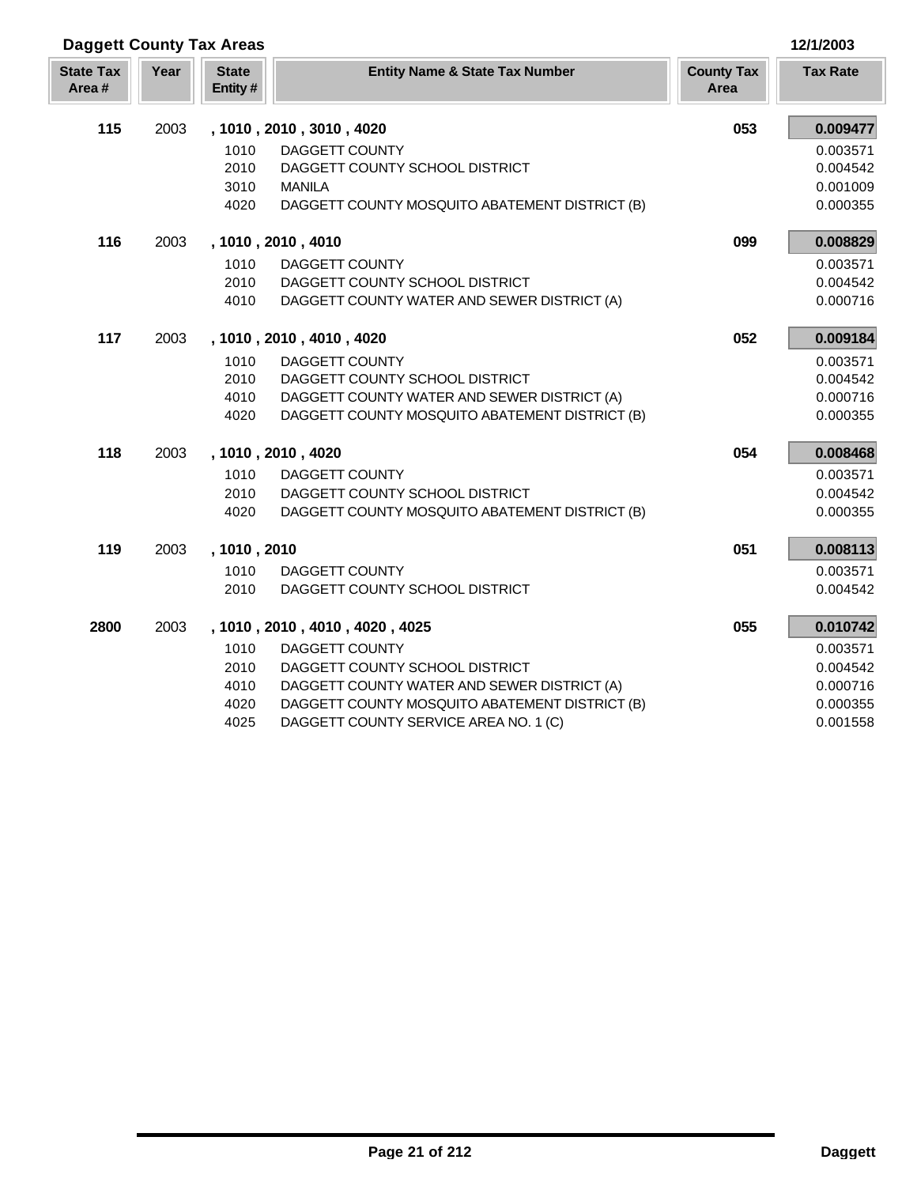| <b>Daggett County Tax Areas</b> |      | 12/1/2003               |                                                |                           |                 |
|---------------------------------|------|-------------------------|------------------------------------------------|---------------------------|-----------------|
| <b>State Tax</b><br>Area#       | Year | <b>State</b><br>Entity# | <b>Entity Name &amp; State Tax Number</b>      | <b>County Tax</b><br>Area | <b>Tax Rate</b> |
| 115                             | 2003 |                         | , 1010, 2010, 3010, 4020                       | 053                       | 0.009477        |
|                                 |      | 1010                    | DAGGETT COUNTY                                 |                           | 0.003571        |
|                                 |      | 2010                    | DAGGETT COUNTY SCHOOL DISTRICT                 |                           | 0.004542        |
|                                 |      | 3010                    | <b>MANILA</b>                                  |                           | 0.001009        |
|                                 |      | 4020                    | DAGGETT COUNTY MOSQUITO ABATEMENT DISTRICT (B) |                           | 0.000355        |
| 116                             | 2003 |                         | , 1010, 2010, 4010                             | 099                       | 0.008829        |
|                                 |      | 1010                    | <b>DAGGETT COUNTY</b>                          |                           | 0.003571        |
|                                 |      | 2010                    | DAGGETT COUNTY SCHOOL DISTRICT                 |                           | 0.004542        |
|                                 |      | 4010                    | DAGGETT COUNTY WATER AND SEWER DISTRICT (A)    |                           | 0.000716        |
| 117                             | 2003 |                         | , 1010, 2010, 4010, 4020                       | 052                       | 0.009184        |
|                                 |      | 1010                    | DAGGETT COUNTY                                 |                           | 0.003571        |
|                                 |      | 2010                    | DAGGETT COUNTY SCHOOL DISTRICT                 |                           | 0.004542        |
|                                 |      | 4010                    | DAGGETT COUNTY WATER AND SEWER DISTRICT (A)    |                           | 0.000716        |
|                                 |      | 4020                    | DAGGETT COUNTY MOSQUITO ABATEMENT DISTRICT (B) |                           | 0.000355        |
| 118                             | 2003 |                         | , 1010, 2010, 4020                             | 054                       | 0.008468        |
|                                 |      | 1010                    | DAGGETT COUNTY                                 |                           | 0.003571        |
|                                 |      | 2010                    | DAGGETT COUNTY SCHOOL DISTRICT                 |                           | 0.004542        |
|                                 |      | 4020                    | DAGGETT COUNTY MOSQUITO ABATEMENT DISTRICT (B) |                           | 0.000355        |
| 119                             | 2003 | , 1010, 2010            |                                                | 051                       | 0.008113        |
|                                 |      | 1010                    | DAGGETT COUNTY                                 |                           | 0.003571        |
|                                 |      | 2010                    | DAGGETT COUNTY SCHOOL DISTRICT                 |                           | 0.004542        |
| 2800                            | 2003 |                         | , 1010, 2010, 4010, 4020, 4025                 | 055                       | 0.010742        |
|                                 |      | 1010                    | DAGGETT COUNTY                                 |                           | 0.003571        |
|                                 |      | 2010                    | DAGGETT COUNTY SCHOOL DISTRICT                 |                           | 0.004542        |
|                                 |      | 4010                    | DAGGETT COUNTY WATER AND SEWER DISTRICT (A)    |                           | 0.000716        |
|                                 |      | 4020                    | DAGGETT COUNTY MOSQUITO ABATEMENT DISTRICT (B) |                           | 0.000355        |
|                                 |      | 4025                    | DAGGETT COUNTY SERVICE AREA NO. 1 (C)          |                           | 0.001558        |

т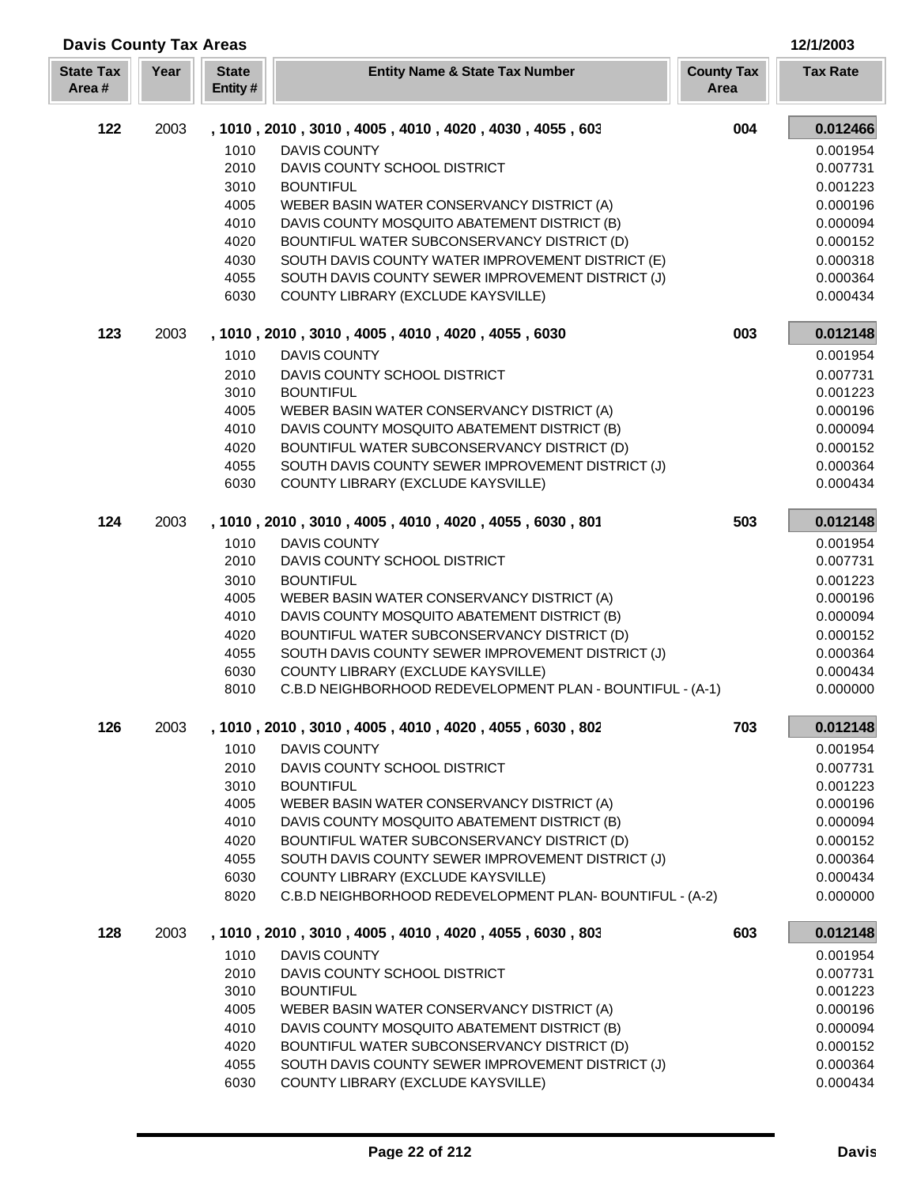| <b>Davis County Tax Areas</b> |      |                         |                                                           |                           | 12/1/2003       |
|-------------------------------|------|-------------------------|-----------------------------------------------------------|---------------------------|-----------------|
| <b>State Tax</b><br>Area#     | Year | <b>State</b><br>Entity# | <b>Entity Name &amp; State Tax Number</b>                 | <b>County Tax</b><br>Area | <b>Tax Rate</b> |
| 122                           | 2003 |                         | , 1010, 2010, 3010, 4005, 4010, 4020, 4030, 4055, 603     | 004                       | 0.012466        |
|                               |      | 1010                    | <b>DAVIS COUNTY</b>                                       |                           | 0.001954        |
|                               |      | 2010                    | DAVIS COUNTY SCHOOL DISTRICT                              |                           | 0.007731        |
|                               |      | 3010                    | <b>BOUNTIFUL</b>                                          |                           | 0.001223        |
|                               |      | 4005                    | WEBER BASIN WATER CONSERVANCY DISTRICT (A)                |                           | 0.000196        |
|                               |      | 4010                    | DAVIS COUNTY MOSQUITO ABATEMENT DISTRICT (B)              |                           | 0.000094        |
|                               |      | 4020                    | BOUNTIFUL WATER SUBCONSERVANCY DISTRICT (D)               |                           | 0.000152        |
|                               |      | 4030                    | SOUTH DAVIS COUNTY WATER IMPROVEMENT DISTRICT (E)         |                           | 0.000318        |
|                               |      | 4055                    | SOUTH DAVIS COUNTY SEWER IMPROVEMENT DISTRICT (J)         |                           | 0.000364        |
|                               |      | 6030                    | COUNTY LIBRARY (EXCLUDE KAYSVILLE)                        |                           | 0.000434        |
| 123                           | 2003 |                         | , 1010, 2010, 3010, 4005, 4010, 4020, 4055, 6030          | 003                       | 0.012148        |
|                               |      | 1010                    | <b>DAVIS COUNTY</b>                                       |                           | 0.001954        |
|                               |      | 2010                    | DAVIS COUNTY SCHOOL DISTRICT                              |                           | 0.007731        |
|                               |      | 3010                    | <b>BOUNTIFUL</b>                                          |                           | 0.001223        |
|                               |      | 4005                    | WEBER BASIN WATER CONSERVANCY DISTRICT (A)                |                           | 0.000196        |
|                               |      | 4010                    | DAVIS COUNTY MOSQUITO ABATEMENT DISTRICT (B)              |                           | 0.000094        |
|                               |      | 4020                    | BOUNTIFUL WATER SUBCONSERVANCY DISTRICT (D)               |                           | 0.000152        |
|                               |      | 4055                    | SOUTH DAVIS COUNTY SEWER IMPROVEMENT DISTRICT (J)         |                           | 0.000364        |
|                               |      | 6030                    | COUNTY LIBRARY (EXCLUDE KAYSVILLE)                        |                           | 0.000434        |
| 124                           | 2003 |                         | , 1010, 2010, 3010, 4005, 4010, 4020, 4055, 6030, 801     | 503                       | 0.012148        |
|                               |      | 1010                    | <b>DAVIS COUNTY</b>                                       |                           | 0.001954        |
|                               |      | 2010                    | DAVIS COUNTY SCHOOL DISTRICT                              |                           | 0.007731        |
|                               |      | 3010                    | <b>BOUNTIFUL</b>                                          |                           | 0.001223        |
|                               |      | 4005                    | WEBER BASIN WATER CONSERVANCY DISTRICT (A)                |                           | 0.000196        |
|                               |      | 4010                    | DAVIS COUNTY MOSQUITO ABATEMENT DISTRICT (B)              |                           | 0.000094        |
|                               |      | 4020                    | BOUNTIFUL WATER SUBCONSERVANCY DISTRICT (D)               |                           | 0.000152        |
|                               |      | 4055                    | SOUTH DAVIS COUNTY SEWER IMPROVEMENT DISTRICT (J)         |                           | 0.000364        |
|                               |      | 6030                    | COUNTY LIBRARY (EXCLUDE KAYSVILLE)                        |                           | 0.000434        |
|                               |      | 8010                    | C.B.D NEIGHBORHOOD REDEVELOPMENT PLAN - BOUNTIFUL - (A-1) |                           | 0.000000        |
| 126                           | 2003 |                         | , 1010, 2010, 3010, 4005, 4010, 4020, 4055, 6030, 802     | 703                       | 0.012148        |
|                               |      | 1010                    | <b>DAVIS COUNTY</b>                                       |                           | 0.001954        |
|                               |      | 2010                    | DAVIS COUNTY SCHOOL DISTRICT                              |                           | 0.007731        |
|                               |      | 3010                    | <b>BOUNTIFUL</b>                                          |                           | 0.001223        |
|                               |      | 4005                    | WEBER BASIN WATER CONSERVANCY DISTRICT (A)                |                           | 0.000196        |
|                               |      | 4010                    | DAVIS COUNTY MOSQUITO ABATEMENT DISTRICT (B)              |                           | 0.000094        |
|                               |      | 4020                    | BOUNTIFUL WATER SUBCONSERVANCY DISTRICT (D)               |                           | 0.000152        |
|                               |      | 4055                    | SOUTH DAVIS COUNTY SEWER IMPROVEMENT DISTRICT (J)         |                           | 0.000364        |
|                               |      | 6030                    | COUNTY LIBRARY (EXCLUDE KAYSVILLE)                        |                           | 0.000434        |
|                               |      | 8020                    | C.B.D NEIGHBORHOOD REDEVELOPMENT PLAN-BOUNTIFUL - (A-2)   |                           | 0.000000        |
| 128                           | 2003 |                         | , 1010, 2010, 3010, 4005, 4010, 4020, 4055, 6030, 803     | 603                       | 0.012148        |
|                               |      | 1010                    | <b>DAVIS COUNTY</b>                                       |                           | 0.001954        |
|                               |      | 2010                    | DAVIS COUNTY SCHOOL DISTRICT                              |                           | 0.007731        |
|                               |      | 3010                    | <b>BOUNTIFUL</b>                                          |                           | 0.001223        |
|                               |      | 4005                    | WEBER BASIN WATER CONSERVANCY DISTRICT (A)                |                           | 0.000196        |
|                               |      | 4010                    | DAVIS COUNTY MOSQUITO ABATEMENT DISTRICT (B)              |                           | 0.000094        |
|                               |      | 4020                    | BOUNTIFUL WATER SUBCONSERVANCY DISTRICT (D)               |                           | 0.000152        |
|                               |      | 4055                    | SOUTH DAVIS COUNTY SEWER IMPROVEMENT DISTRICT (J)         |                           | 0.000364        |
|                               |      | 6030                    | COUNTY LIBRARY (EXCLUDE KAYSVILLE)                        |                           | 0.000434        |

ī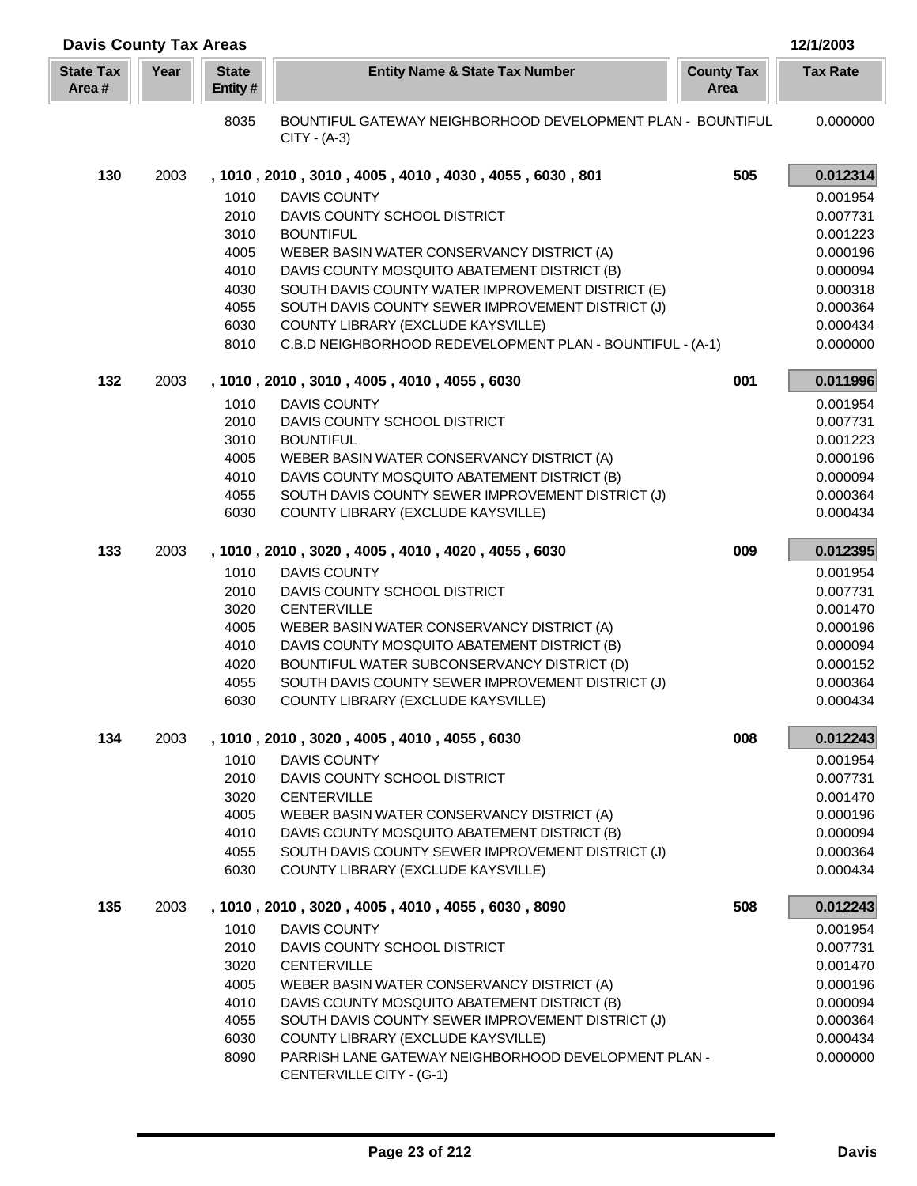| <b>Davis County Tax Areas</b> |      |                         |                                                                                         |                           | 12/1/2003            |
|-------------------------------|------|-------------------------|-----------------------------------------------------------------------------------------|---------------------------|----------------------|
| <b>State Tax</b><br>Area#     | Year | <b>State</b><br>Entity# | <b>Entity Name &amp; State Tax Number</b>                                               | <b>County Tax</b><br>Area | <b>Tax Rate</b>      |
|                               |      | 8035                    | BOUNTIFUL GATEWAY NEIGHBORHOOD DEVELOPMENT PLAN - BOUNTIFUL<br>CITY - (A-3)             |                           | 0.000000             |
| 130                           | 2003 |                         | , 1010, 2010, 3010, 4005, 4010, 4030, 4055, 6030, 801                                   | 505                       | 0.012314             |
|                               |      | 1010                    | <b>DAVIS COUNTY</b>                                                                     |                           | 0.001954             |
|                               |      | 2010                    | DAVIS COUNTY SCHOOL DISTRICT                                                            |                           | 0.007731             |
|                               |      | 3010                    | <b>BOUNTIFUL</b>                                                                        |                           | 0.001223             |
|                               |      | 4005                    | WEBER BASIN WATER CONSERVANCY DISTRICT (A)                                              |                           | 0.000196             |
|                               |      | 4010                    | DAVIS COUNTY MOSQUITO ABATEMENT DISTRICT (B)                                            |                           | 0.000094             |
|                               |      | 4030                    | SOUTH DAVIS COUNTY WATER IMPROVEMENT DISTRICT (E)                                       |                           | 0.000318             |
|                               |      | 4055<br>6030            | SOUTH DAVIS COUNTY SEWER IMPROVEMENT DISTRICT (J)<br>COUNTY LIBRARY (EXCLUDE KAYSVILLE) |                           | 0.000364<br>0.000434 |
|                               |      | 8010                    | C.B.D NEIGHBORHOOD REDEVELOPMENT PLAN - BOUNTIFUL - (A-1)                               |                           | 0.000000             |
|                               |      |                         |                                                                                         |                           |                      |
| 132                           | 2003 |                         | , 1010, 2010, 3010, 4005, 4010, 4055, 6030                                              | 001                       | 0.011996             |
|                               |      | 1010                    | <b>DAVIS COUNTY</b>                                                                     |                           | 0.001954             |
|                               |      | 2010<br>3010            | DAVIS COUNTY SCHOOL DISTRICT<br><b>BOUNTIFUL</b>                                        |                           | 0.007731<br>0.001223 |
|                               |      | 4005                    | WEBER BASIN WATER CONSERVANCY DISTRICT (A)                                              |                           | 0.000196             |
|                               |      | 4010                    | DAVIS COUNTY MOSQUITO ABATEMENT DISTRICT (B)                                            |                           | 0.000094             |
|                               |      | 4055                    | SOUTH DAVIS COUNTY SEWER IMPROVEMENT DISTRICT (J)                                       |                           | 0.000364             |
|                               |      | 6030                    | COUNTY LIBRARY (EXCLUDE KAYSVILLE)                                                      |                           | 0.000434             |
| 133                           | 2003 |                         | , 1010, 2010, 3020, 4005, 4010, 4020, 4055, 6030                                        | 009                       | 0.012395             |
|                               |      | 1010                    | <b>DAVIS COUNTY</b>                                                                     |                           | 0.001954             |
|                               |      | 2010                    | DAVIS COUNTY SCHOOL DISTRICT                                                            |                           | 0.007731             |
|                               |      | 3020                    | <b>CENTERVILLE</b>                                                                      |                           | 0.001470             |
|                               |      | 4005                    | WEBER BASIN WATER CONSERVANCY DISTRICT (A)                                              |                           | 0.000196             |
|                               |      | 4010                    | DAVIS COUNTY MOSQUITO ABATEMENT DISTRICT (B)                                            |                           | 0.000094             |
|                               |      | 4020                    | BOUNTIFUL WATER SUBCONSERVANCY DISTRICT (D)                                             |                           | 0.000152             |
|                               |      | 4055                    | SOUTH DAVIS COUNTY SEWER IMPROVEMENT DISTRICT (J)                                       |                           | 0.000364             |
|                               |      | 6030                    | COUNTY LIBRARY (EXCLUDE KAYSVILLE)                                                      |                           | 0.000434             |
| 134                           | 2003 |                         | , 1010, 2010, 3020, 4005, 4010, 4055, 6030                                              | 008                       | 0.012243             |
|                               |      | 1010                    | <b>DAVIS COUNTY</b>                                                                     |                           | 0.001954             |
|                               |      | 2010                    | DAVIS COUNTY SCHOOL DISTRICT                                                            |                           | 0.007731             |
|                               |      | 3020<br>4005            | <b>CENTERVILLE</b><br>WEBER BASIN WATER CONSERVANCY DISTRICT (A)                        |                           | 0.001470<br>0.000196 |
|                               |      | 4010                    | DAVIS COUNTY MOSQUITO ABATEMENT DISTRICT (B)                                            |                           | 0.000094             |
|                               |      | 4055                    | SOUTH DAVIS COUNTY SEWER IMPROVEMENT DISTRICT (J)                                       |                           | 0.000364             |
|                               |      | 6030                    | COUNTY LIBRARY (EXCLUDE KAYSVILLE)                                                      |                           | 0.000434             |
| 135                           | 2003 |                         | , 1010, 2010, 3020, 4005, 4010, 4055, 6030, 8090                                        | 508                       | 0.012243             |
|                               |      | 1010                    | <b>DAVIS COUNTY</b>                                                                     |                           | 0.001954             |
|                               |      | 2010                    | DAVIS COUNTY SCHOOL DISTRICT                                                            |                           | 0.007731             |
|                               |      | 3020                    | <b>CENTERVILLE</b>                                                                      |                           | 0.001470             |
|                               |      | 4005                    | WEBER BASIN WATER CONSERVANCY DISTRICT (A)                                              |                           | 0.000196             |
|                               |      | 4010                    | DAVIS COUNTY MOSQUITO ABATEMENT DISTRICT (B)                                            |                           | 0.000094             |
|                               |      | 4055                    | SOUTH DAVIS COUNTY SEWER IMPROVEMENT DISTRICT (J)                                       |                           | 0.000364             |
|                               |      | 6030                    | COUNTY LIBRARY (EXCLUDE KAYSVILLE)                                                      |                           | 0.000434             |
|                               |      | 8090                    | PARRISH LANE GATEWAY NEIGHBORHOOD DEVELOPMENT PLAN -<br>CENTERVILLE CITY - (G-1)        |                           | 0.000000             |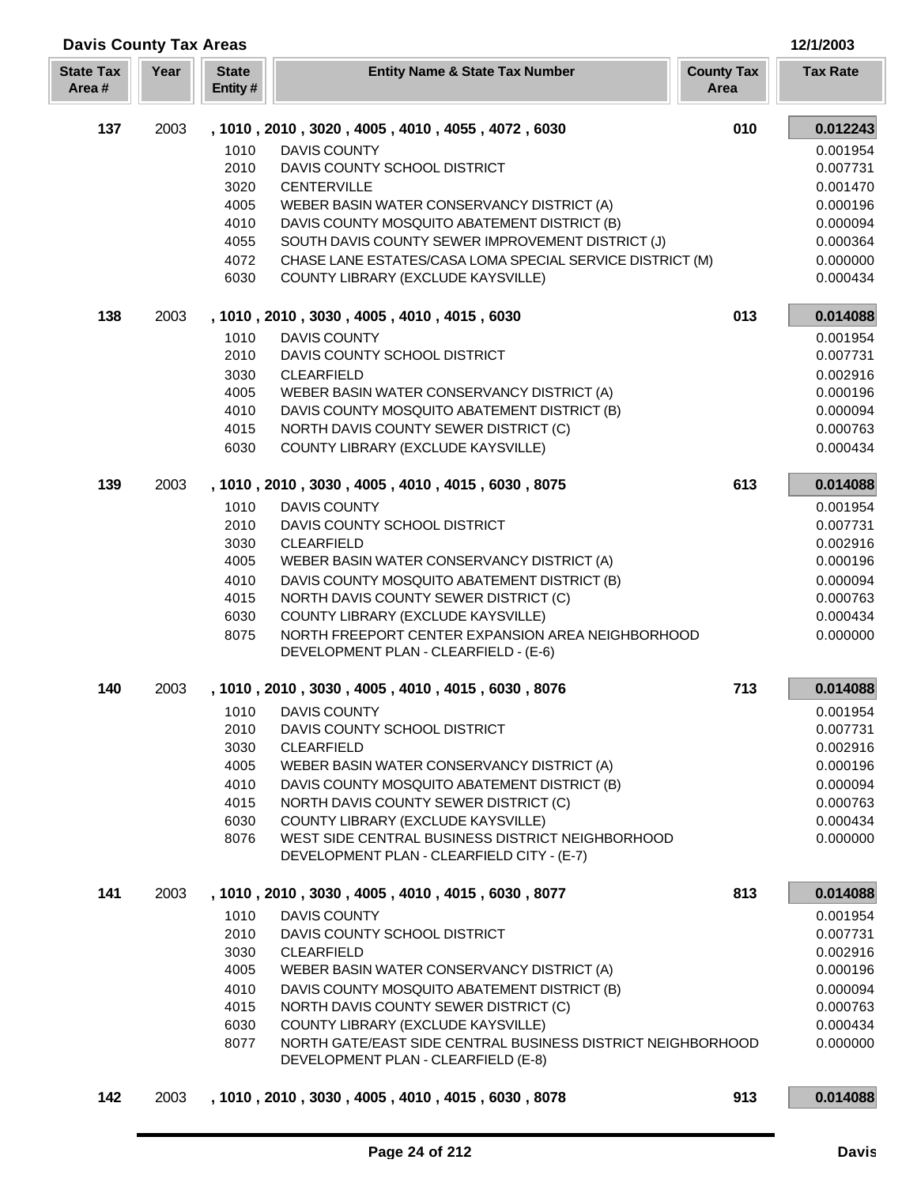| <b>Davis County Tax Areas</b> |      |                         |                                                                                                |                           | 12/1/2003       |
|-------------------------------|------|-------------------------|------------------------------------------------------------------------------------------------|---------------------------|-----------------|
| <b>State Tax</b><br>Area#     | Year | <b>State</b><br>Entity# | <b>Entity Name &amp; State Tax Number</b>                                                      | <b>County Tax</b><br>Area | <b>Tax Rate</b> |
| 137                           | 2003 |                         | , 1010, 2010, 3020, 4005, 4010, 4055, 4072, 6030                                               | 010                       | 0.012243        |
|                               |      | 1010                    | <b>DAVIS COUNTY</b>                                                                            |                           | 0.001954        |
|                               |      | 2010                    | DAVIS COUNTY SCHOOL DISTRICT                                                                   |                           | 0.007731        |
|                               |      | 3020                    | <b>CENTERVILLE</b>                                                                             |                           | 0.001470        |
|                               |      | 4005                    | WEBER BASIN WATER CONSERVANCY DISTRICT (A)                                                     |                           | 0.000196        |
|                               |      | 4010                    | DAVIS COUNTY MOSQUITO ABATEMENT DISTRICT (B)                                                   |                           | 0.000094        |
|                               |      | 4055                    | SOUTH DAVIS COUNTY SEWER IMPROVEMENT DISTRICT (J)                                              |                           | 0.000364        |
|                               |      | 4072                    | CHASE LANE ESTATES/CASA LOMA SPECIAL SERVICE DISTRICT (M)                                      |                           | 0.000000        |
|                               |      | 6030                    | COUNTY LIBRARY (EXCLUDE KAYSVILLE)                                                             |                           | 0.000434        |
| 138                           | 2003 |                         | , 1010, 2010, 3030, 4005, 4010, 4015, 6030                                                     | 013                       | 0.014088        |
|                               |      | 1010                    | <b>DAVIS COUNTY</b>                                                                            |                           | 0.001954        |
|                               |      | 2010                    | DAVIS COUNTY SCHOOL DISTRICT                                                                   |                           | 0.007731        |
|                               |      | 3030                    | <b>CLEARFIELD</b>                                                                              |                           | 0.002916        |
|                               |      | 4005                    | WEBER BASIN WATER CONSERVANCY DISTRICT (A)                                                     |                           | 0.000196        |
|                               |      | 4010                    | DAVIS COUNTY MOSQUITO ABATEMENT DISTRICT (B)                                                   |                           | 0.000094        |
|                               |      | 4015                    | NORTH DAVIS COUNTY SEWER DISTRICT (C)                                                          |                           | 0.000763        |
|                               |      | 6030                    | COUNTY LIBRARY (EXCLUDE KAYSVILLE)                                                             |                           | 0.000434        |
| 139                           | 2003 |                         | , 1010, 2010, 3030, 4005, 4010, 4015, 6030, 8075                                               | 613                       | 0.014088        |
|                               |      | 1010                    | <b>DAVIS COUNTY</b>                                                                            |                           | 0.001954        |
|                               |      | 2010                    | DAVIS COUNTY SCHOOL DISTRICT                                                                   |                           | 0.007731        |
|                               |      | 3030                    | <b>CLEARFIELD</b>                                                                              |                           | 0.002916        |
|                               |      | 4005                    | WEBER BASIN WATER CONSERVANCY DISTRICT (A)                                                     |                           | 0.000196        |
|                               |      | 4010                    | DAVIS COUNTY MOSQUITO ABATEMENT DISTRICT (B)                                                   |                           | 0.000094        |
|                               |      | 4015                    | NORTH DAVIS COUNTY SEWER DISTRICT (C)                                                          |                           | 0.000763        |
|                               |      | 6030                    | COUNTY LIBRARY (EXCLUDE KAYSVILLE)<br>NORTH FREEPORT CENTER EXPANSION AREA NEIGHBORHOOD        |                           | 0.000434        |
|                               |      | 8075                    | DEVELOPMENT PLAN - CLEARFIELD - (E-6)                                                          |                           | 0.000000        |
| 140                           | 2003 |                         | , 1010, 2010, 3030, 4005, 4010, 4015, 6030, 8076                                               | 713                       | 0.014088        |
|                               |      |                         | 1010 DAVIS COUNTY                                                                              |                           | 0.001954        |
|                               |      | 2010                    | DAVIS COUNTY SCHOOL DISTRICT                                                                   |                           | 0.007731        |
|                               |      | 3030                    | <b>CLEARFIELD</b>                                                                              |                           | 0.002916        |
|                               |      | 4005                    | WEBER BASIN WATER CONSERVANCY DISTRICT (A)                                                     |                           | 0.000196        |
|                               |      | 4010                    | DAVIS COUNTY MOSQUITO ABATEMENT DISTRICT (B)                                                   |                           | 0.000094        |
|                               |      | 4015                    | NORTH DAVIS COUNTY SEWER DISTRICT (C)                                                          |                           | 0.000763        |
|                               |      | 6030                    | COUNTY LIBRARY (EXCLUDE KAYSVILLE)                                                             |                           | 0.000434        |
|                               |      | 8076                    | WEST SIDE CENTRAL BUSINESS DISTRICT NEIGHBORHOOD<br>DEVELOPMENT PLAN - CLEARFIELD CITY - (E-7) |                           | 0.000000        |
| 141                           | 2003 |                         | , 1010, 2010, 3030, 4005, 4010, 4015, 6030, 8077                                               | 813                       | 0.014088        |
|                               |      | 1010                    | <b>DAVIS COUNTY</b>                                                                            |                           | 0.001954        |
|                               |      | 2010                    | DAVIS COUNTY SCHOOL DISTRICT                                                                   |                           | 0.007731        |
|                               |      | 3030                    | <b>CLEARFIELD</b>                                                                              |                           | 0.002916        |
|                               |      | 4005                    | WEBER BASIN WATER CONSERVANCY DISTRICT (A)                                                     |                           | 0.000196        |
|                               |      | 4010                    | DAVIS COUNTY MOSQUITO ABATEMENT DISTRICT (B)                                                   |                           | 0.000094        |
|                               |      | 4015                    | NORTH DAVIS COUNTY SEWER DISTRICT (C)                                                          |                           | 0.000763        |
|                               |      | 6030                    | COUNTY LIBRARY (EXCLUDE KAYSVILLE)                                                             |                           | 0.000434        |
|                               |      | 8077                    | NORTH GATE/EAST SIDE CENTRAL BUSINESS DISTRICT NEIGHBORHOOD                                    |                           | 0.000000        |
|                               |      |                         | DEVELOPMENT PLAN - CLEARFIELD (E-8)                                                            |                           |                 |
| 142                           | 2003 |                         | , 1010, 2010, 3030, 4005, 4010, 4015, 6030, 8078                                               | 913                       | 0.014088        |

ī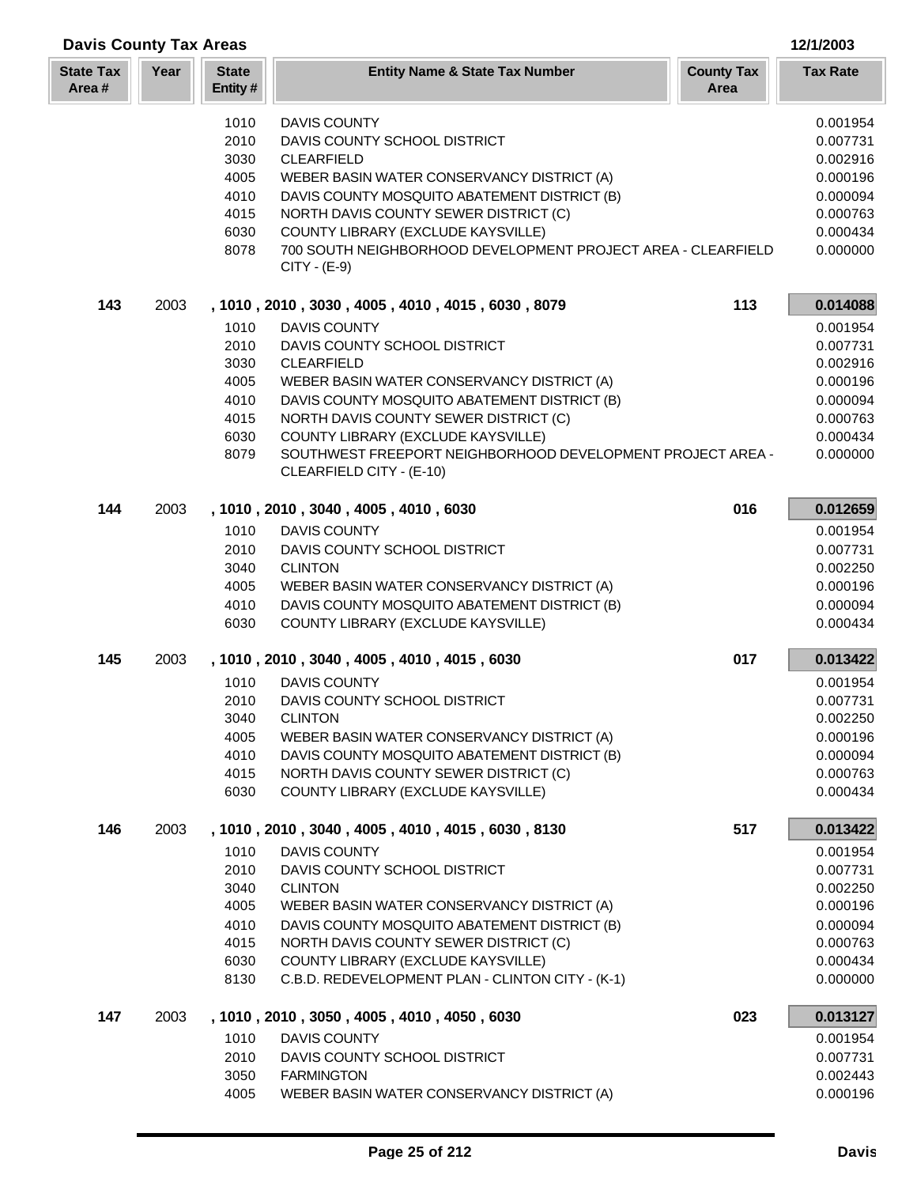| <b>Davis County Tax Areas</b> |      |                         |                                                                                                  | 12/1/2003                 |                      |
|-------------------------------|------|-------------------------|--------------------------------------------------------------------------------------------------|---------------------------|----------------------|
| <b>State Tax</b><br>Area #    | Year | <b>State</b><br>Entity# | <b>Entity Name &amp; State Tax Number</b>                                                        | <b>County Tax</b><br>Area | <b>Tax Rate</b>      |
|                               |      | 1010                    | <b>DAVIS COUNTY</b>                                                                              |                           | 0.001954             |
|                               |      | 2010                    | DAVIS COUNTY SCHOOL DISTRICT                                                                     |                           | 0.007731             |
|                               |      | 3030                    | <b>CLEARFIELD</b>                                                                                |                           | 0.002916             |
|                               |      | 4005                    | WEBER BASIN WATER CONSERVANCY DISTRICT (A)                                                       |                           | 0.000196             |
|                               |      | 4010                    | DAVIS COUNTY MOSQUITO ABATEMENT DISTRICT (B)                                                     |                           | 0.000094             |
|                               |      | 4015                    | NORTH DAVIS COUNTY SEWER DISTRICT (C)                                                            |                           | 0.000763             |
|                               |      | 6030                    | COUNTY LIBRARY (EXCLUDE KAYSVILLE)                                                               |                           | 0.000434             |
|                               |      | 8078                    | 700 SOUTH NEIGHBORHOOD DEVELOPMENT PROJECT AREA - CLEARFIELD<br>CITY - (E-9)                     |                           | 0.000000             |
| 143                           | 2003 |                         | , 1010, 2010, 3030, 4005, 4010, 4015, 6030, 8079                                                 | 113                       | 0.014088             |
|                               |      | 1010                    | <b>DAVIS COUNTY</b>                                                                              |                           | 0.001954             |
|                               |      | 2010                    | DAVIS COUNTY SCHOOL DISTRICT                                                                     |                           | 0.007731             |
|                               |      | 3030                    | <b>CLEARFIELD</b>                                                                                |                           | 0.002916             |
|                               |      | 4005                    | WEBER BASIN WATER CONSERVANCY DISTRICT (A)                                                       |                           | 0.000196             |
|                               |      | 4010                    | DAVIS COUNTY MOSQUITO ABATEMENT DISTRICT (B)                                                     |                           | 0.000094             |
|                               |      | 4015                    | NORTH DAVIS COUNTY SEWER DISTRICT (C)                                                            |                           | 0.000763             |
|                               |      | 6030                    | COUNTY LIBRARY (EXCLUDE KAYSVILLE)<br>SOUTHWEST FREEPORT NEIGHBORHOOD DEVELOPMENT PROJECT AREA - |                           | 0.000434             |
|                               |      | 8079                    | CLEARFIELD CITY - (E-10)                                                                         |                           | 0.000000             |
| 144                           | 2003 |                         | , 1010, 2010, 3040, 4005, 4010, 6030                                                             | 016                       | 0.012659             |
|                               |      | 1010                    | <b>DAVIS COUNTY</b>                                                                              |                           | 0.001954             |
|                               |      | 2010                    | DAVIS COUNTY SCHOOL DISTRICT                                                                     |                           | 0.007731             |
|                               |      | 3040                    | <b>CLINTON</b>                                                                                   |                           | 0.002250             |
|                               |      | 4005                    | WEBER BASIN WATER CONSERVANCY DISTRICT (A)                                                       |                           | 0.000196             |
|                               |      | 4010<br>6030            | DAVIS COUNTY MOSQUITO ABATEMENT DISTRICT (B)<br>COUNTY LIBRARY (EXCLUDE KAYSVILLE)               |                           | 0.000094<br>0.000434 |
| 145                           | 2003 |                         | , 1010, 2010, 3040, 4005, 4010, 4015, 6030                                                       | 017                       | 0.013422             |
|                               |      | 1010                    | <b>DAVIS COUNTY</b>                                                                              |                           | 0.001954             |
|                               |      | 2010                    | DAVIS COUNTY SCHOOL DISTRICT                                                                     |                           | 0.007731             |
|                               |      | 3040                    | <b>CLINTON</b>                                                                                   |                           | 0.002250             |
|                               |      | 4005                    | WEBER BASIN WATER CONSERVANCY DISTRICT (A)                                                       |                           | 0.000196             |
|                               |      | 4010                    | DAVIS COUNTY MOSQUITO ABATEMENT DISTRICT (B)                                                     |                           | 0.000094             |
|                               |      | 4015                    | NORTH DAVIS COUNTY SEWER DISTRICT (C)                                                            |                           | 0.000763             |
|                               |      | 6030                    | COUNTY LIBRARY (EXCLUDE KAYSVILLE)                                                               |                           | 0.000434             |
| 146                           | 2003 |                         | , 1010, 2010, 3040, 4005, 4010, 4015, 6030, 8130                                                 | 517                       | 0.013422             |
|                               |      | 1010<br>2010            | <b>DAVIS COUNTY</b><br>DAVIS COUNTY SCHOOL DISTRICT                                              |                           | 0.001954             |
|                               |      | 3040                    | <b>CLINTON</b>                                                                                   |                           | 0.007731<br>0.002250 |
|                               |      | 4005                    | WEBER BASIN WATER CONSERVANCY DISTRICT (A)                                                       |                           | 0.000196             |
|                               |      | 4010                    | DAVIS COUNTY MOSQUITO ABATEMENT DISTRICT (B)                                                     |                           | 0.000094             |
|                               |      | 4015                    | NORTH DAVIS COUNTY SEWER DISTRICT (C)                                                            |                           | 0.000763             |
|                               |      | 6030                    | COUNTY LIBRARY (EXCLUDE KAYSVILLE)                                                               |                           | 0.000434             |
|                               |      | 8130                    | C.B.D. REDEVELOPMENT PLAN - CLINTON CITY - (K-1)                                                 |                           | 0.000000             |
| 147                           | 2003 |                         | , 1010, 2010, 3050, 4005, 4010, 4050, 6030                                                       | 023                       | 0.013127             |
|                               |      | 1010                    | <b>DAVIS COUNTY</b>                                                                              |                           | 0.001954             |
|                               |      | 2010                    | DAVIS COUNTY SCHOOL DISTRICT                                                                     |                           | 0.007731             |
|                               |      | 3050                    | <b>FARMINGTON</b>                                                                                |                           | 0.002443             |
|                               |      | 4005                    | WEBER BASIN WATER CONSERVANCY DISTRICT (A)                                                       |                           | 0.000196             |

I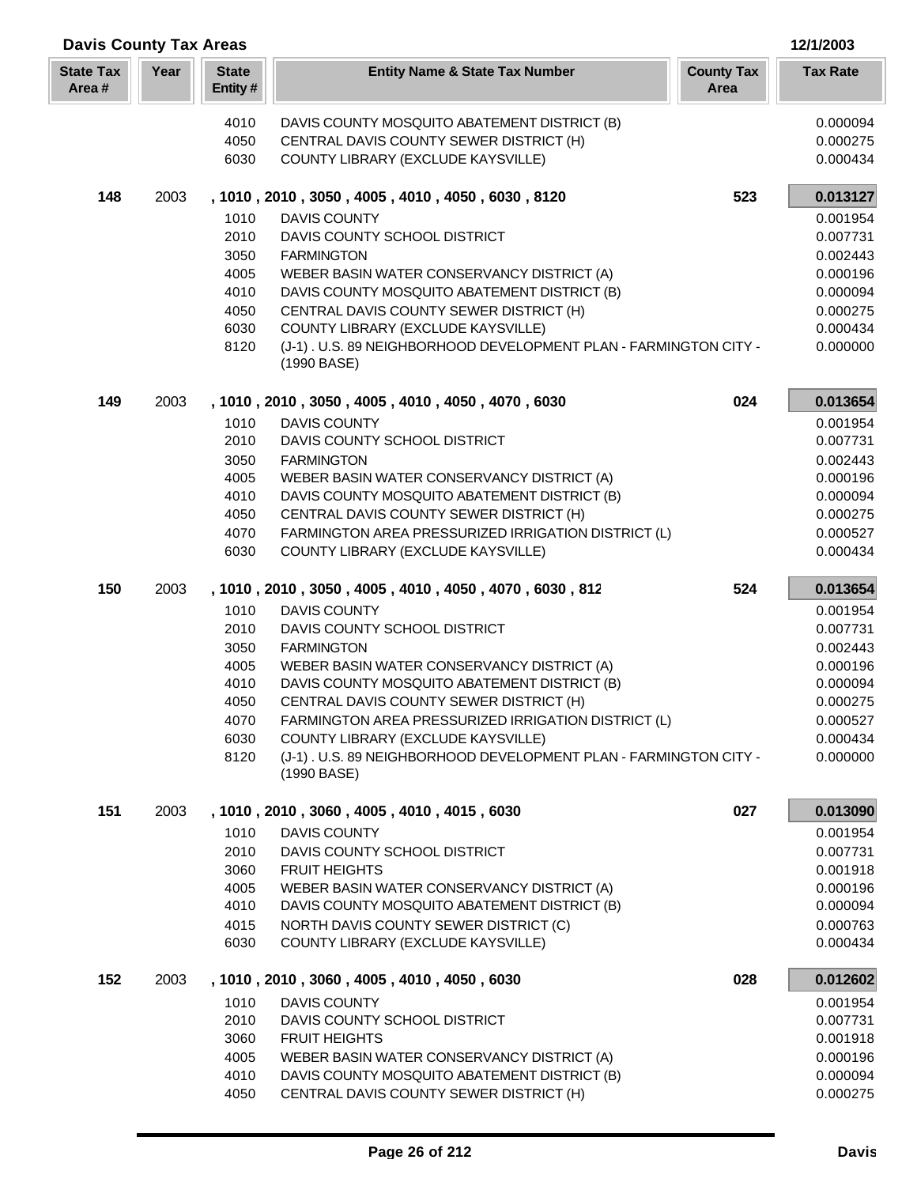| <b>Davis County Tax Areas</b><br>12/1/2003 |      |                         |                                                                                                        |                           |                      |  |
|--------------------------------------------|------|-------------------------|--------------------------------------------------------------------------------------------------------|---------------------------|----------------------|--|
| <b>State Tax</b><br>Area#                  | Year | <b>State</b><br>Entity# | <b>Entity Name &amp; State Tax Number</b>                                                              | <b>County Tax</b><br>Area | <b>Tax Rate</b>      |  |
|                                            |      | 4010                    | DAVIS COUNTY MOSQUITO ABATEMENT DISTRICT (B)                                                           |                           | 0.000094             |  |
|                                            |      | 4050                    | CENTRAL DAVIS COUNTY SEWER DISTRICT (H)                                                                |                           | 0.000275             |  |
|                                            |      | 6030                    | COUNTY LIBRARY (EXCLUDE KAYSVILLE)                                                                     |                           | 0.000434             |  |
| 148                                        | 2003 |                         | , 1010, 2010, 3050, 4005, 4010, 4050, 6030, 8120                                                       | 523                       | 0.013127<br>0.001954 |  |
|                                            |      | 1010<br>2010            | <b>DAVIS COUNTY</b><br>DAVIS COUNTY SCHOOL DISTRICT                                                    |                           | 0.007731             |  |
|                                            |      | 3050                    | <b>FARMINGTON</b>                                                                                      |                           | 0.002443             |  |
|                                            |      | 4005                    | WEBER BASIN WATER CONSERVANCY DISTRICT (A)                                                             |                           | 0.000196             |  |
|                                            |      | 4010                    | DAVIS COUNTY MOSQUITO ABATEMENT DISTRICT (B)                                                           |                           | 0.000094             |  |
|                                            |      | 4050                    | CENTRAL DAVIS COUNTY SEWER DISTRICT (H)                                                                |                           | 0.000275             |  |
|                                            |      | 6030                    | COUNTY LIBRARY (EXCLUDE KAYSVILLE)                                                                     |                           | 0.000434             |  |
|                                            |      | 8120                    | (J-1). U.S. 89 NEIGHBORHOOD DEVELOPMENT PLAN - FARMINGTON CITY -<br>(1990 BASE)                        |                           | 0.000000             |  |
| 149                                        | 2003 |                         | , 1010, 2010, 3050, 4005, 4010, 4050, 4070, 6030                                                       | 024                       | 0.013654             |  |
|                                            |      | 1010                    | <b>DAVIS COUNTY</b>                                                                                    |                           | 0.001954             |  |
|                                            |      | 2010<br>3050            | DAVIS COUNTY SCHOOL DISTRICT<br><b>FARMINGTON</b>                                                      |                           | 0.007731<br>0.002443 |  |
|                                            |      | 4005                    | WEBER BASIN WATER CONSERVANCY DISTRICT (A)                                                             |                           | 0.000196             |  |
|                                            |      | 4010                    | DAVIS COUNTY MOSQUITO ABATEMENT DISTRICT (B)                                                           |                           | 0.000094             |  |
|                                            |      | 4050                    | CENTRAL DAVIS COUNTY SEWER DISTRICT (H)                                                                |                           | 0.000275             |  |
|                                            |      | 4070                    | FARMINGTON AREA PRESSURIZED IRRIGATION DISTRICT (L)                                                    |                           | 0.000527             |  |
|                                            |      | 6030                    | COUNTY LIBRARY (EXCLUDE KAYSVILLE)                                                                     |                           | 0.000434             |  |
| 150                                        | 2003 | 1010                    | , 1010, 2010, 3050, 4005, 4010, 4050, 4070, 6030, 812<br><b>DAVIS COUNTY</b>                           | 524                       | 0.013654<br>0.001954 |  |
|                                            |      | 2010                    | DAVIS COUNTY SCHOOL DISTRICT                                                                           |                           | 0.007731             |  |
|                                            |      | 3050                    | <b>FARMINGTON</b>                                                                                      |                           | 0.002443             |  |
|                                            |      | 4005                    | WEBER BASIN WATER CONSERVANCY DISTRICT (A)                                                             |                           | 0.000196             |  |
|                                            |      | 4010                    | DAVIS COUNTY MOSQUITO ABATEMENT DISTRICT (B)                                                           |                           | 0.000094             |  |
|                                            |      | 4050                    | CENTRAL DAVIS COUNTY SEWER DISTRICT (H)                                                                |                           | 0.000275             |  |
|                                            |      | 4070                    | FARMINGTON AREA PRESSURIZED IRRIGATION DISTRICT (L)                                                    |                           | 0.000527             |  |
|                                            |      | 6030                    | COUNTY LIBRARY (EXCLUDE KAYSVILLE)<br>(J-1). U.S. 89 NEIGHBORHOOD DEVELOPMENT PLAN - FARMINGTON CITY - |                           | 0.000434             |  |
|                                            |      | 8120                    | (1990 BASE)                                                                                            |                           | 0.000000             |  |
| 151                                        | 2003 |                         | , 1010, 2010, 3060, 4005, 4010, 4015, 6030                                                             | 027                       | 0.013090             |  |
|                                            |      | 1010<br>2010            | DAVIS COUNTY<br>DAVIS COUNTY SCHOOL DISTRICT                                                           |                           | 0.001954<br>0.007731 |  |
|                                            |      | 3060                    | <b>FRUIT HEIGHTS</b>                                                                                   |                           | 0.001918             |  |
|                                            |      | 4005                    | WEBER BASIN WATER CONSERVANCY DISTRICT (A)                                                             |                           | 0.000196             |  |
|                                            |      | 4010                    | DAVIS COUNTY MOSQUITO ABATEMENT DISTRICT (B)                                                           |                           | 0.000094             |  |
|                                            |      | 4015                    | NORTH DAVIS COUNTY SEWER DISTRICT (C)                                                                  |                           | 0.000763             |  |
|                                            |      | 6030                    | COUNTY LIBRARY (EXCLUDE KAYSVILLE)                                                                     |                           | 0.000434             |  |
| 152                                        | 2003 |                         | , 1010, 2010, 3060, 4005, 4010, 4050, 6030                                                             | 028                       | 0.012602             |  |
|                                            |      | 1010<br>2010            | <b>DAVIS COUNTY</b><br>DAVIS COUNTY SCHOOL DISTRICT                                                    |                           | 0.001954             |  |
|                                            |      | 3060                    | <b>FRUIT HEIGHTS</b>                                                                                   |                           | 0.007731<br>0.001918 |  |
|                                            |      | 4005                    | WEBER BASIN WATER CONSERVANCY DISTRICT (A)                                                             |                           | 0.000196             |  |
|                                            |      | 4010                    | DAVIS COUNTY MOSQUITO ABATEMENT DISTRICT (B)                                                           |                           | 0.000094             |  |
|                                            |      | 4050                    | CENTRAL DAVIS COUNTY SEWER DISTRICT (H)                                                                |                           | 0.000275             |  |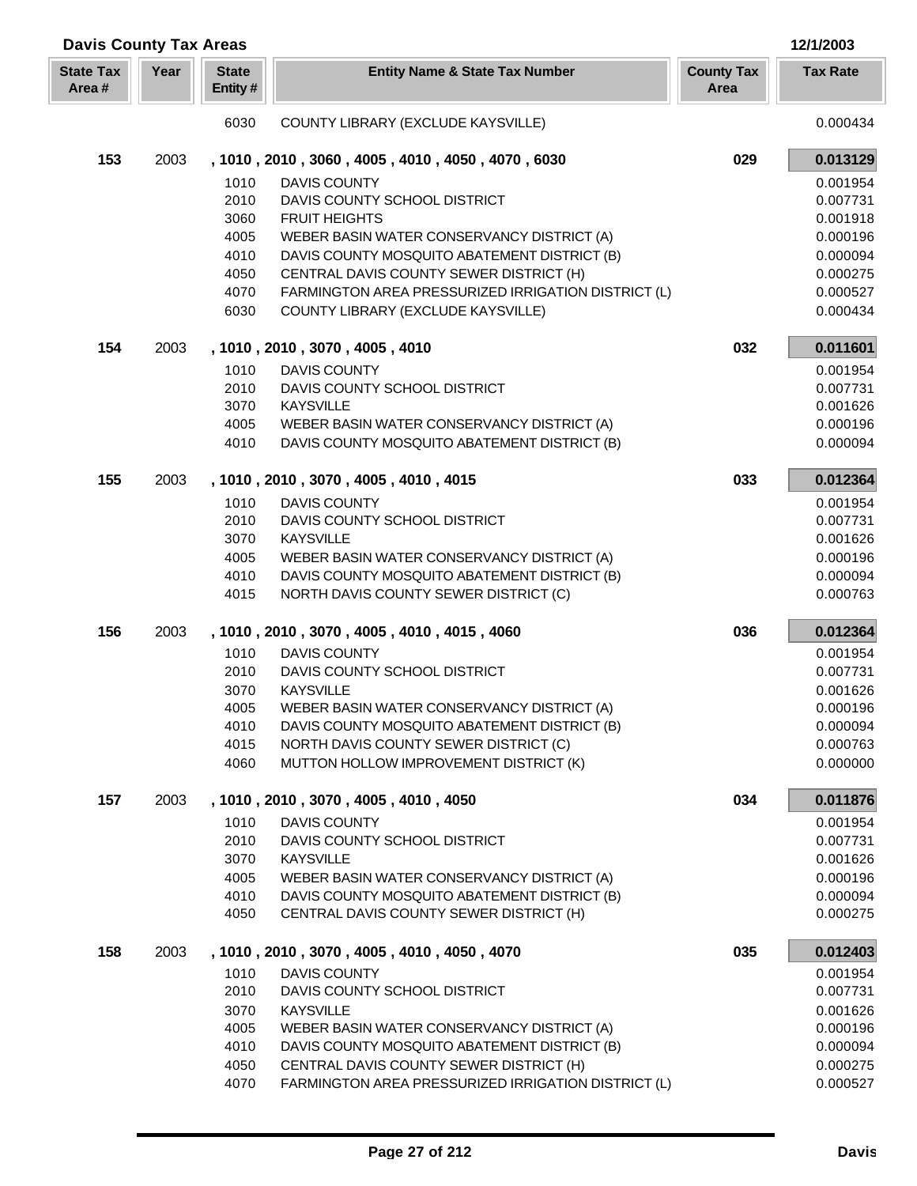| <b>Davis County Tax Areas</b> |      |                         |                                                                                                |                           | 12/1/2003            |
|-------------------------------|------|-------------------------|------------------------------------------------------------------------------------------------|---------------------------|----------------------|
| <b>State Tax</b><br>Area#     | Year | <b>State</b><br>Entity# | <b>Entity Name &amp; State Tax Number</b>                                                      | <b>County Tax</b><br>Area | <b>Tax Rate</b>      |
|                               |      | 6030                    | COUNTY LIBRARY (EXCLUDE KAYSVILLE)                                                             |                           | 0.000434             |
| 153                           | 2003 |                         | , 1010, 2010, 3060, 4005, 4010, 4050, 4070, 6030                                               | 029                       | 0.013129             |
|                               |      | 1010                    | <b>DAVIS COUNTY</b>                                                                            |                           | 0.001954             |
|                               |      | 2010                    | DAVIS COUNTY SCHOOL DISTRICT                                                                   |                           | 0.007731             |
|                               |      | 3060                    | <b>FRUIT HEIGHTS</b>                                                                           |                           | 0.001918             |
|                               |      | 4005                    | WEBER BASIN WATER CONSERVANCY DISTRICT (A)                                                     |                           | 0.000196             |
|                               |      | 4010                    | DAVIS COUNTY MOSQUITO ABATEMENT DISTRICT (B)                                                   |                           | 0.000094             |
|                               |      | 4050                    | CENTRAL DAVIS COUNTY SEWER DISTRICT (H)                                                        |                           | 0.000275             |
|                               |      | 4070                    | FARMINGTON AREA PRESSURIZED IRRIGATION DISTRICT (L)                                            |                           | 0.000527             |
|                               |      | 6030                    | COUNTY LIBRARY (EXCLUDE KAYSVILLE)                                                             |                           | 0.000434             |
| 154                           | 2003 |                         | , 1010, 2010, 3070, 4005, 4010                                                                 | 032                       | 0.011601             |
|                               |      | 1010                    | <b>DAVIS COUNTY</b>                                                                            |                           | 0.001954             |
|                               |      | 2010                    | DAVIS COUNTY SCHOOL DISTRICT                                                                   |                           | 0.007731             |
|                               |      | 3070                    | <b>KAYSVILLE</b>                                                                               |                           | 0.001626             |
|                               |      | 4005                    | WEBER BASIN WATER CONSERVANCY DISTRICT (A)                                                     |                           | 0.000196             |
|                               |      | 4010                    | DAVIS COUNTY MOSQUITO ABATEMENT DISTRICT (B)                                                   |                           | 0.000094             |
| 155                           | 2003 |                         | , 1010, 2010, 3070, 4005, 4010, 4015                                                           | 033                       | 0.012364             |
|                               |      | 1010                    | <b>DAVIS COUNTY</b>                                                                            |                           | 0.001954             |
|                               |      | 2010                    | DAVIS COUNTY SCHOOL DISTRICT                                                                   |                           | 0.007731             |
|                               |      | 3070                    | <b>KAYSVILLE</b>                                                                               |                           | 0.001626             |
|                               |      | 4005                    | WEBER BASIN WATER CONSERVANCY DISTRICT (A)                                                     |                           | 0.000196             |
|                               |      | 4010                    | DAVIS COUNTY MOSQUITO ABATEMENT DISTRICT (B)                                                   |                           | 0.000094             |
|                               |      | 4015                    | NORTH DAVIS COUNTY SEWER DISTRICT (C)                                                          |                           | 0.000763             |
| 156                           | 2003 |                         | , 1010, 2010, 3070, 4005, 4010, 4015, 4060                                                     | 036                       | 0.012364             |
|                               |      | 1010                    | <b>DAVIS COUNTY</b>                                                                            |                           | 0.001954             |
|                               |      | 2010                    | DAVIS COUNTY SCHOOL DISTRICT                                                                   |                           | 0.007731             |
|                               |      | 3070                    | <b>KAYSVILLE</b>                                                                               |                           | 0.001626             |
|                               |      | 4005                    | WEBER BASIN WATER CONSERVANCY DISTRICT (A)                                                     |                           | 0.000196             |
|                               |      | 4010                    | DAVIS COUNTY MOSQUITO ABATEMENT DISTRICT (B)                                                   |                           | 0.000094             |
|                               |      | 4015                    | NORTH DAVIS COUNTY SEWER DISTRICT (C)                                                          |                           | 0.000763             |
|                               |      | 4060                    | MUTTON HOLLOW IMPROVEMENT DISTRICT (K)                                                         |                           | 0.000000             |
| 157                           | 2003 |                         | , 1010, 2010, 3070, 4005, 4010, 4050                                                           | 034                       | 0.011876             |
|                               |      | 1010                    | <b>DAVIS COUNTY</b>                                                                            |                           | 0.001954             |
|                               |      | 2010                    | DAVIS COUNTY SCHOOL DISTRICT                                                                   |                           | 0.007731             |
|                               |      | 3070                    | <b>KAYSVILLE</b>                                                                               |                           | 0.001626             |
|                               |      | 4005                    | WEBER BASIN WATER CONSERVANCY DISTRICT (A)                                                     |                           | 0.000196             |
|                               |      | 4010                    | DAVIS COUNTY MOSQUITO ABATEMENT DISTRICT (B)                                                   |                           | 0.000094             |
|                               |      | 4050                    | CENTRAL DAVIS COUNTY SEWER DISTRICT (H)                                                        |                           | 0.000275             |
| 158                           | 2003 |                         | , 1010, 2010, 3070, 4005, 4010, 4050, 4070                                                     | 035                       | 0.012403             |
|                               |      | 1010                    | <b>DAVIS COUNTY</b>                                                                            |                           | 0.001954             |
|                               |      | 2010                    | DAVIS COUNTY SCHOOL DISTRICT                                                                   |                           | 0.007731             |
|                               |      | 3070                    | <b>KAYSVILLE</b>                                                                               |                           | 0.001626             |
|                               |      | 4005                    | WEBER BASIN WATER CONSERVANCY DISTRICT (A)                                                     |                           | 0.000196             |
|                               |      | 4010                    | DAVIS COUNTY MOSQUITO ABATEMENT DISTRICT (B)                                                   |                           | 0.000094             |
|                               |      | 4050<br>4070            | CENTRAL DAVIS COUNTY SEWER DISTRICT (H)<br>FARMINGTON AREA PRESSURIZED IRRIGATION DISTRICT (L) |                           | 0.000275<br>0.000527 |
|                               |      |                         |                                                                                                |                           |                      |

Ī I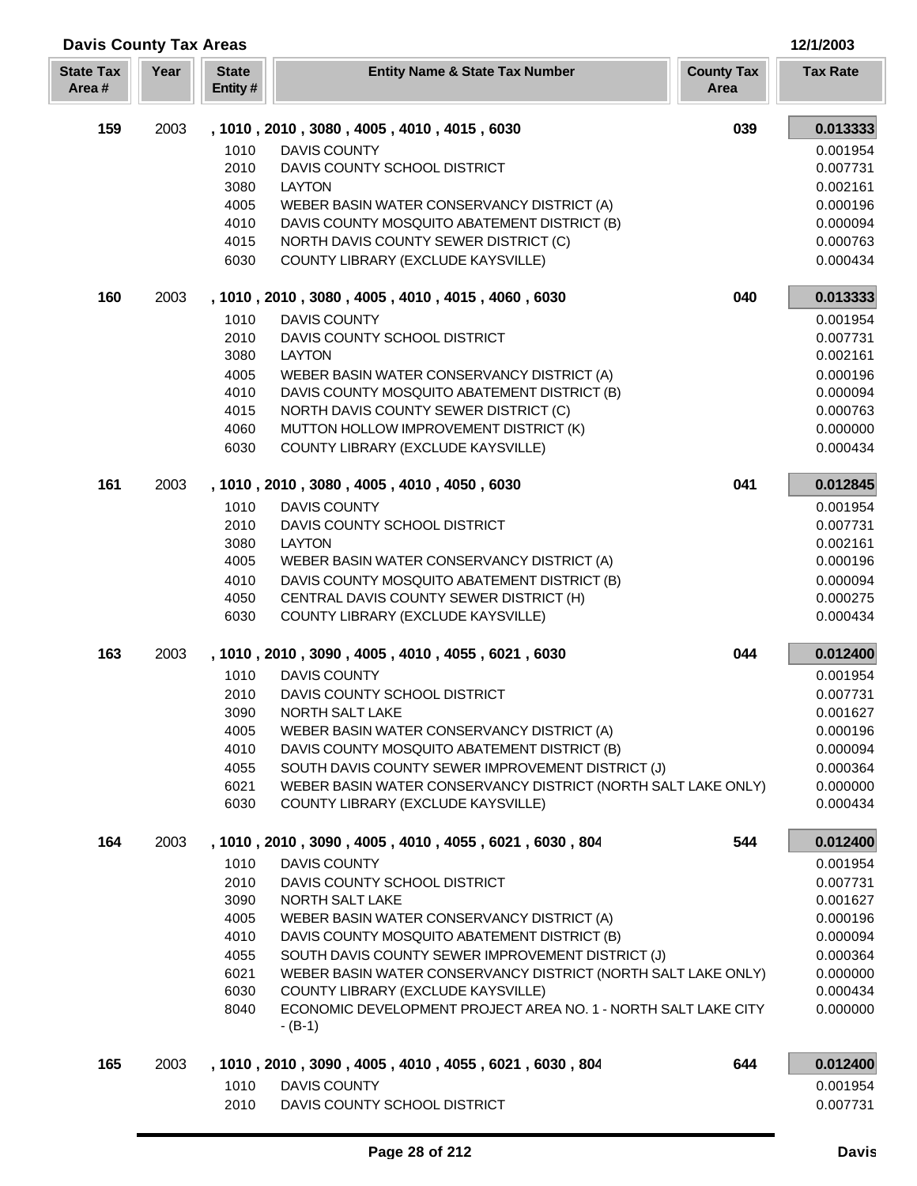| <b>Davis County Tax Areas</b><br>12/1/2003 |      |                         |                                                                                                                    |                           |                      |  |
|--------------------------------------------|------|-------------------------|--------------------------------------------------------------------------------------------------------------------|---------------------------|----------------------|--|
| <b>State Tax</b><br>Area#                  | Year | <b>State</b><br>Entity# | <b>Entity Name &amp; State Tax Number</b>                                                                          | <b>County Tax</b><br>Area | <b>Tax Rate</b>      |  |
| 159                                        | 2003 |                         | , 1010, 2010, 3080, 4005, 4010, 4015, 6030                                                                         | 039                       | 0.013333             |  |
|                                            |      | 1010                    | <b>DAVIS COUNTY</b>                                                                                                |                           | 0.001954             |  |
|                                            |      | 2010                    | DAVIS COUNTY SCHOOL DISTRICT                                                                                       |                           | 0.007731             |  |
|                                            |      | 3080                    | <b>LAYTON</b>                                                                                                      |                           | 0.002161             |  |
|                                            |      | 4005                    | WEBER BASIN WATER CONSERVANCY DISTRICT (A)                                                                         |                           | 0.000196             |  |
|                                            |      | 4010                    | DAVIS COUNTY MOSQUITO ABATEMENT DISTRICT (B)                                                                       |                           | 0.000094             |  |
|                                            |      | 4015<br>6030            | NORTH DAVIS COUNTY SEWER DISTRICT (C)<br>COUNTY LIBRARY (EXCLUDE KAYSVILLE)                                        |                           | 0.000763<br>0.000434 |  |
|                                            |      |                         |                                                                                                                    |                           |                      |  |
| 160                                        | 2003 |                         | , 1010, 2010, 3080, 4005, 4010, 4015, 4060, 6030                                                                   | 040                       | 0.013333             |  |
|                                            |      | 1010                    | <b>DAVIS COUNTY</b>                                                                                                |                           | 0.001954             |  |
|                                            |      | 2010<br>3080            | DAVIS COUNTY SCHOOL DISTRICT<br><b>LAYTON</b>                                                                      |                           | 0.007731             |  |
|                                            |      | 4005                    | WEBER BASIN WATER CONSERVANCY DISTRICT (A)                                                                         |                           | 0.002161<br>0.000196 |  |
|                                            |      | 4010                    | DAVIS COUNTY MOSQUITO ABATEMENT DISTRICT (B)                                                                       |                           | 0.000094             |  |
|                                            |      | 4015                    | NORTH DAVIS COUNTY SEWER DISTRICT (C)                                                                              |                           | 0.000763             |  |
|                                            |      | 4060                    | MUTTON HOLLOW IMPROVEMENT DISTRICT (K)                                                                             |                           | 0.000000             |  |
|                                            |      | 6030                    | COUNTY LIBRARY (EXCLUDE KAYSVILLE)                                                                                 |                           | 0.000434             |  |
| 161                                        | 2003 |                         | , 1010, 2010, 3080, 4005, 4010, 4050, 6030                                                                         | 041                       | 0.012845             |  |
|                                            |      | 1010                    | <b>DAVIS COUNTY</b>                                                                                                |                           | 0.001954             |  |
|                                            |      | 2010                    | DAVIS COUNTY SCHOOL DISTRICT                                                                                       |                           | 0.007731             |  |
|                                            |      | 3080                    | <b>LAYTON</b>                                                                                                      |                           | 0.002161             |  |
|                                            |      | 4005                    | WEBER BASIN WATER CONSERVANCY DISTRICT (A)                                                                         |                           | 0.000196             |  |
|                                            |      | 4010                    | DAVIS COUNTY MOSQUITO ABATEMENT DISTRICT (B)                                                                       |                           | 0.000094             |  |
|                                            |      | 4050<br>6030            | CENTRAL DAVIS COUNTY SEWER DISTRICT (H)<br>COUNTY LIBRARY (EXCLUDE KAYSVILLE)                                      |                           | 0.000275<br>0.000434 |  |
|                                            |      |                         |                                                                                                                    |                           |                      |  |
| 163                                        | 2003 |                         | , 1010, 2010, 3090, 4005, 4010, 4055, 6021, 6030                                                                   | 044                       | 0.012400             |  |
|                                            |      | 1010                    | <b>DAVIS COUNTY</b>                                                                                                |                           | 0.001954             |  |
|                                            |      | 2010                    | DAVIS COUNTY SCHOOL DISTRICT                                                                                       |                           | 0.007731             |  |
|                                            |      | 3090<br>4005            | NORTH SALT LAKE<br>WEBER BASIN WATER CONSERVANCY DISTRICT (A)                                                      |                           | 0.001627<br>0.000196 |  |
|                                            |      | 4010                    | DAVIS COUNTY MOSQUITO ABATEMENT DISTRICT (B)                                                                       |                           | 0.000094             |  |
|                                            |      | 4055                    | SOUTH DAVIS COUNTY SEWER IMPROVEMENT DISTRICT (J)                                                                  |                           | 0.000364             |  |
|                                            |      | 6021                    | WEBER BASIN WATER CONSERVANCY DISTRICT (NORTH SALT LAKE ONLY)                                                      |                           | 0.000000             |  |
|                                            |      | 6030                    | COUNTY LIBRARY (EXCLUDE KAYSVILLE)                                                                                 |                           | 0.000434             |  |
| 164                                        | 2003 |                         | , 1010, 2010, 3090, 4005, 4010, 4055, 6021, 6030, 804                                                              | 544                       | 0.012400             |  |
|                                            |      | 1010                    | <b>DAVIS COUNTY</b>                                                                                                |                           | 0.001954             |  |
|                                            |      | 2010                    | DAVIS COUNTY SCHOOL DISTRICT                                                                                       |                           | 0.007731             |  |
|                                            |      | 3090                    | NORTH SALT LAKE                                                                                                    |                           | 0.001627             |  |
|                                            |      | 4005                    | WEBER BASIN WATER CONSERVANCY DISTRICT (A)                                                                         |                           | 0.000196             |  |
|                                            |      | 4010                    | DAVIS COUNTY MOSQUITO ABATEMENT DISTRICT (B)                                                                       |                           | 0.000094             |  |
|                                            |      | 4055<br>6021            | SOUTH DAVIS COUNTY SEWER IMPROVEMENT DISTRICT (J)<br>WEBER BASIN WATER CONSERVANCY DISTRICT (NORTH SALT LAKE ONLY) |                           | 0.000364<br>0.000000 |  |
|                                            |      | 6030                    | COUNTY LIBRARY (EXCLUDE KAYSVILLE)                                                                                 |                           | 0.000434             |  |
|                                            |      | 8040                    | ECONOMIC DEVELOPMENT PROJECT AREA NO. 1 - NORTH SALT LAKE CITY                                                     |                           | 0.000000             |  |
|                                            |      |                         | $-(B-1)$                                                                                                           |                           |                      |  |
| 165                                        | 2003 |                         | , 1010, 2010, 3090, 4005, 4010, 4055, 6021, 6030, 804                                                              | 644                       | 0.012400             |  |
|                                            |      | 1010                    | <b>DAVIS COUNTY</b>                                                                                                |                           | 0.001954             |  |
|                                            |      | 2010                    | DAVIS COUNTY SCHOOL DISTRICT                                                                                       |                           | 0.007731             |  |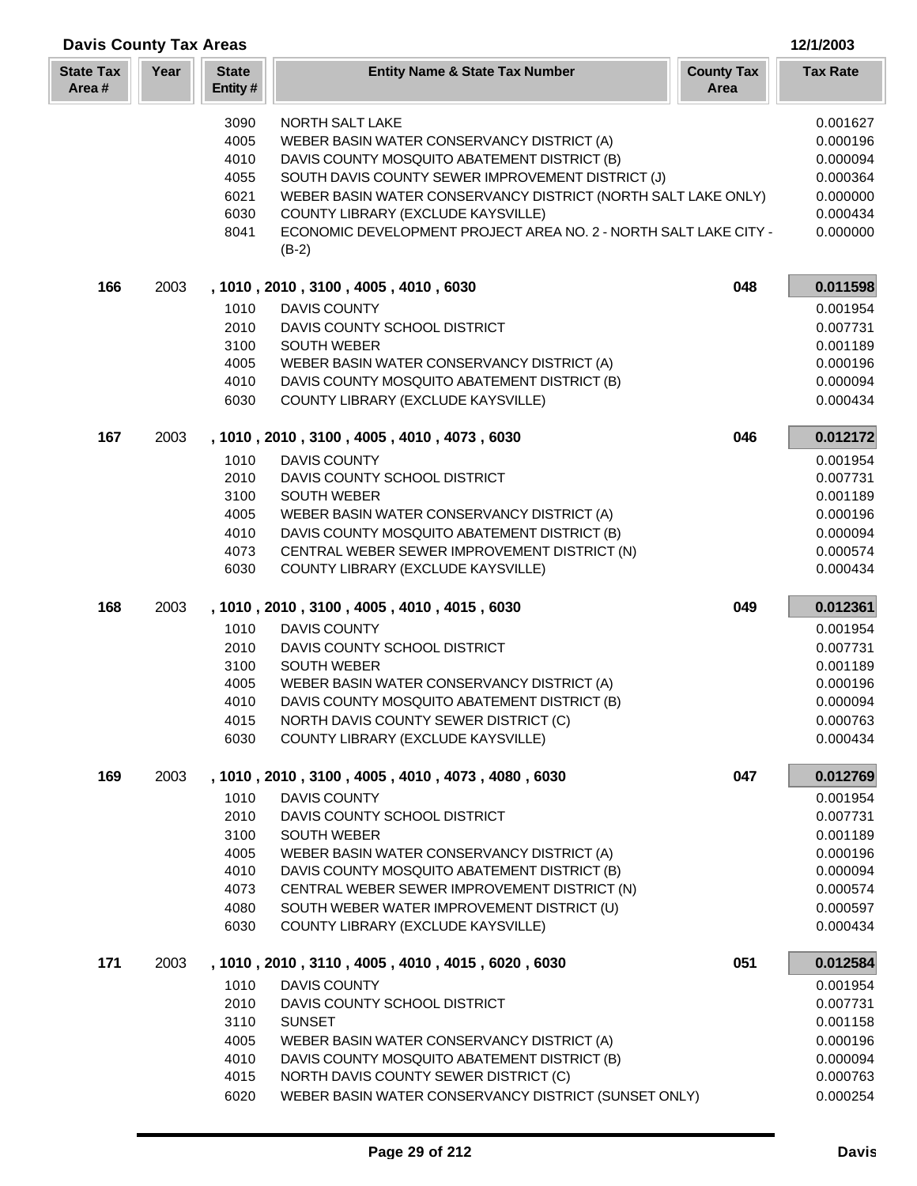| <b>Davis County Tax Areas</b><br>12/1/2003 |      |                         |                                                                                              |                           |                      |  |
|--------------------------------------------|------|-------------------------|----------------------------------------------------------------------------------------------|---------------------------|----------------------|--|
| <b>State Tax</b><br>Area#                  | Year | <b>State</b><br>Entity# | <b>Entity Name &amp; State Tax Number</b>                                                    | <b>County Tax</b><br>Area | <b>Tax Rate</b>      |  |
|                                            |      | 3090                    | <b>NORTH SALT LAKE</b>                                                                       |                           | 0.001627             |  |
|                                            |      | 4005                    | WEBER BASIN WATER CONSERVANCY DISTRICT (A)                                                   |                           | 0.000196             |  |
|                                            |      | 4010                    | DAVIS COUNTY MOSQUITO ABATEMENT DISTRICT (B)                                                 |                           | 0.000094             |  |
|                                            |      | 4055                    | SOUTH DAVIS COUNTY SEWER IMPROVEMENT DISTRICT (J)                                            |                           | 0.000364             |  |
|                                            |      | 6021                    | WEBER BASIN WATER CONSERVANCY DISTRICT (NORTH SALT LAKE ONLY)                                |                           | 0.000000             |  |
|                                            |      | 6030                    | COUNTY LIBRARY (EXCLUDE KAYSVILLE)                                                           |                           | 0.000434             |  |
|                                            |      | 8041                    | ECONOMIC DEVELOPMENT PROJECT AREA NO. 2 - NORTH SALT LAKE CITY -<br>$(B-2)$                  |                           | 0.000000             |  |
| 166                                        | 2003 |                         | , 1010, 2010, 3100, 4005, 4010, 6030                                                         | 048                       | 0.011598             |  |
|                                            |      | 1010                    | <b>DAVIS COUNTY</b>                                                                          |                           | 0.001954             |  |
|                                            |      | 2010                    | DAVIS COUNTY SCHOOL DISTRICT                                                                 |                           | 0.007731             |  |
|                                            |      | 3100                    | <b>SOUTH WEBER</b>                                                                           |                           | 0.001189             |  |
|                                            |      | 4005                    | WEBER BASIN WATER CONSERVANCY DISTRICT (A)                                                   |                           | 0.000196             |  |
|                                            |      | 4010                    | DAVIS COUNTY MOSQUITO ABATEMENT DISTRICT (B)<br>COUNTY LIBRARY (EXCLUDE KAYSVILLE)           |                           | 0.000094             |  |
|                                            |      | 6030                    |                                                                                              |                           | 0.000434             |  |
| 167                                        | 2003 |                         | , 1010, 2010, 3100, 4005, 4010, 4073, 6030                                                   | 046                       | 0.012172             |  |
|                                            |      | 1010                    | <b>DAVIS COUNTY</b>                                                                          |                           | 0.001954             |  |
|                                            |      | 2010<br>3100            | DAVIS COUNTY SCHOOL DISTRICT<br><b>SOUTH WEBER</b>                                           |                           | 0.007731<br>0.001189 |  |
|                                            |      | 4005                    | WEBER BASIN WATER CONSERVANCY DISTRICT (A)                                                   |                           | 0.000196             |  |
|                                            |      | 4010                    | DAVIS COUNTY MOSQUITO ABATEMENT DISTRICT (B)                                                 |                           | 0.000094             |  |
|                                            |      | 4073                    | CENTRAL WEBER SEWER IMPROVEMENT DISTRICT (N)                                                 |                           | 0.000574             |  |
|                                            |      | 6030                    | COUNTY LIBRARY (EXCLUDE KAYSVILLE)                                                           |                           | 0.000434             |  |
| 168                                        | 2003 |                         | , 1010, 2010, 3100, 4005, 4010, 4015, 6030                                                   | 049                       | 0.012361             |  |
|                                            |      | 1010                    | <b>DAVIS COUNTY</b>                                                                          |                           | 0.001954             |  |
|                                            |      | 2010                    | DAVIS COUNTY SCHOOL DISTRICT                                                                 |                           | 0.007731             |  |
|                                            |      | 3100                    | <b>SOUTH WEBER</b>                                                                           |                           | 0.001189             |  |
|                                            |      | 4005<br>4010            | WEBER BASIN WATER CONSERVANCY DISTRICT (A)<br>DAVIS COUNTY MOSQUITO ABATEMENT DISTRICT (B)   |                           | 0.000196<br>0.000094 |  |
|                                            |      | 4015                    | NORTH DAVIS COUNTY SEWER DISTRICT (C)                                                        |                           | 0.000763             |  |
|                                            |      | 6030                    | COUNTY LIBRARY (EXCLUDE KAYSVILLE)                                                           |                           | 0.000434             |  |
| 169                                        | 2003 |                         | , 1010, 2010, 3100, 4005, 4010, 4073, 4080, 6030                                             | 047                       | 0.012769             |  |
|                                            |      | 1010                    | DAVIS COUNTY                                                                                 |                           | 0.001954             |  |
|                                            |      | 2010                    | DAVIS COUNTY SCHOOL DISTRICT                                                                 |                           | 0.007731             |  |
|                                            |      | 3100                    | <b>SOUTH WEBER</b>                                                                           |                           | 0.001189             |  |
|                                            |      | 4005                    | WEBER BASIN WATER CONSERVANCY DISTRICT (A)                                                   |                           | 0.000196             |  |
|                                            |      | 4010<br>4073            | DAVIS COUNTY MOSQUITO ABATEMENT DISTRICT (B)<br>CENTRAL WEBER SEWER IMPROVEMENT DISTRICT (N) |                           | 0.000094<br>0.000574 |  |
|                                            |      | 4080                    | SOUTH WEBER WATER IMPROVEMENT DISTRICT (U)                                                   |                           | 0.000597             |  |
|                                            |      | 6030                    | COUNTY LIBRARY (EXCLUDE KAYSVILLE)                                                           |                           | 0.000434             |  |
| 171                                        | 2003 |                         | , 1010, 2010, 3110, 4005, 4010, 4015, 6020, 6030                                             | 051                       | 0.012584             |  |
|                                            |      | 1010                    | <b>DAVIS COUNTY</b>                                                                          |                           | 0.001954             |  |
|                                            |      | 2010                    | DAVIS COUNTY SCHOOL DISTRICT                                                                 |                           | 0.007731             |  |
|                                            |      | 3110                    | <b>SUNSET</b>                                                                                |                           | 0.001158             |  |
|                                            |      | 4005<br>4010            | WEBER BASIN WATER CONSERVANCY DISTRICT (A)<br>DAVIS COUNTY MOSQUITO ABATEMENT DISTRICT (B)   |                           | 0.000196<br>0.000094 |  |
|                                            |      | 4015                    | NORTH DAVIS COUNTY SEWER DISTRICT (C)                                                        |                           | 0.000763             |  |
|                                            |      | 6020                    | WEBER BASIN WATER CONSERVANCY DISTRICT (SUNSET ONLY)                                         |                           | 0.000254             |  |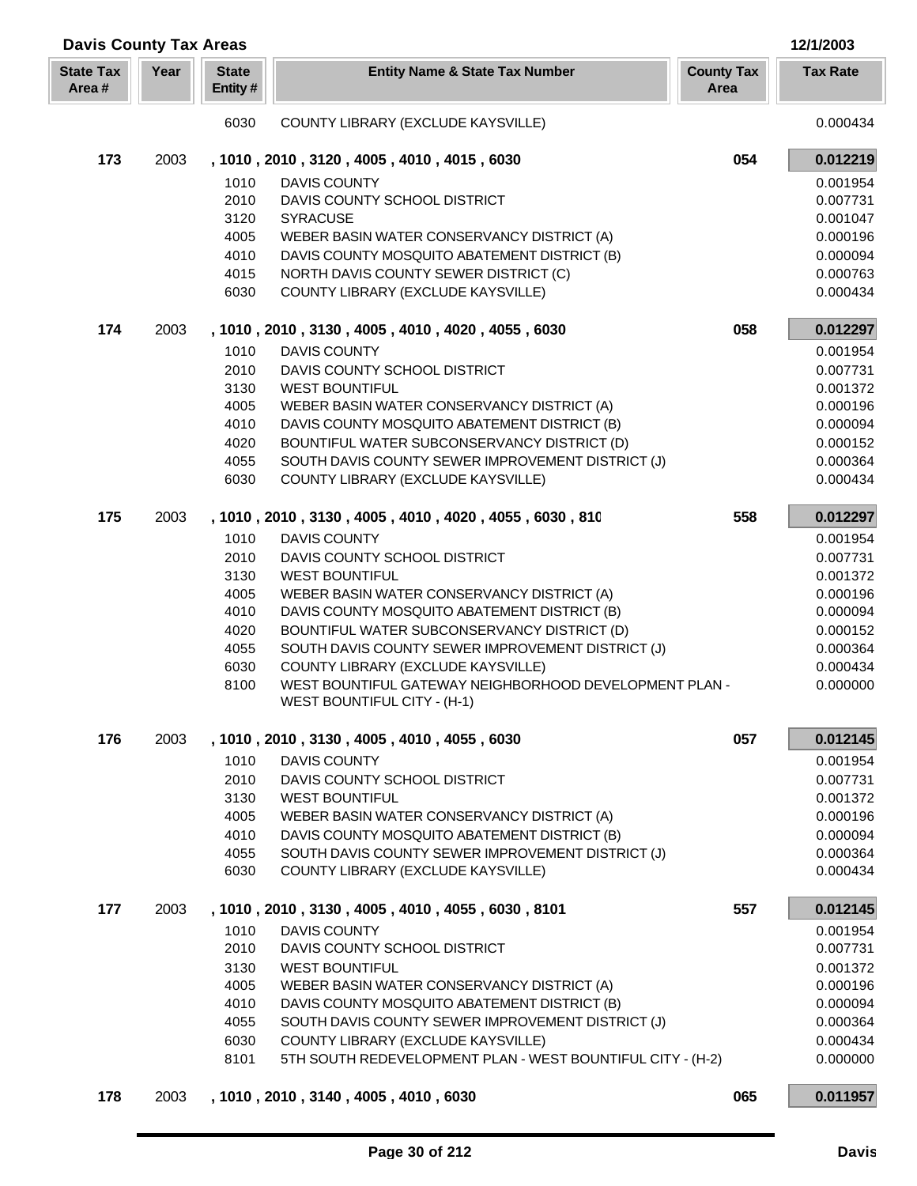| <b>Davis County Tax Areas</b> |      |                          |                                                                                            | 12/1/2003                 |                      |
|-------------------------------|------|--------------------------|--------------------------------------------------------------------------------------------|---------------------------|----------------------|
| <b>State Tax</b><br>Area#     | Year | <b>State</b><br>Entity # | <b>Entity Name &amp; State Tax Number</b>                                                  | <b>County Tax</b><br>Area | <b>Tax Rate</b>      |
|                               |      | 6030                     | COUNTY LIBRARY (EXCLUDE KAYSVILLE)                                                         |                           | 0.000434             |
| 173                           | 2003 |                          | , 1010, 2010, 3120, 4005, 4010, 4015, 6030                                                 | 054                       | 0.012219             |
|                               |      | 1010                     | <b>DAVIS COUNTY</b>                                                                        |                           | 0.001954             |
|                               |      | 2010                     | DAVIS COUNTY SCHOOL DISTRICT                                                               |                           | 0.007731             |
|                               |      | 3120                     | <b>SYRACUSE</b>                                                                            |                           | 0.001047             |
|                               |      | 4005                     | WEBER BASIN WATER CONSERVANCY DISTRICT (A)                                                 |                           | 0.000196             |
|                               |      | 4010                     | DAVIS COUNTY MOSQUITO ABATEMENT DISTRICT (B)                                               |                           | 0.000094             |
|                               |      | 4015                     | NORTH DAVIS COUNTY SEWER DISTRICT (C)                                                      |                           | 0.000763             |
|                               |      | 6030                     | COUNTY LIBRARY (EXCLUDE KAYSVILLE)                                                         |                           | 0.000434             |
| 174                           | 2003 |                          | , 1010, 2010, 3130, 4005, 4010, 4020, 4055, 6030                                           | 058                       | 0.012297             |
|                               |      | 1010                     | <b>DAVIS COUNTY</b>                                                                        |                           | 0.001954             |
|                               |      | 2010                     | DAVIS COUNTY SCHOOL DISTRICT                                                               |                           | 0.007731             |
|                               |      | 3130                     | <b>WEST BOUNTIFUL</b>                                                                      |                           | 0.001372             |
|                               |      | 4005                     | WEBER BASIN WATER CONSERVANCY DISTRICT (A)                                                 |                           | 0.000196             |
|                               |      | 4010                     | DAVIS COUNTY MOSQUITO ABATEMENT DISTRICT (B)                                               |                           | 0.000094             |
|                               |      | 4020                     | BOUNTIFUL WATER SUBCONSERVANCY DISTRICT (D)                                                |                           | 0.000152             |
|                               |      | 4055                     | SOUTH DAVIS COUNTY SEWER IMPROVEMENT DISTRICT (J)                                          |                           | 0.000364             |
|                               |      | 6030                     | COUNTY LIBRARY (EXCLUDE KAYSVILLE)                                                         |                           | 0.000434             |
| 175                           | 2003 |                          | , 1010, 2010, 3130, 4005, 4010, 4020, 4055, 6030, 810                                      | 558                       | 0.012297             |
|                               |      | 1010                     | <b>DAVIS COUNTY</b>                                                                        |                           | 0.001954             |
|                               |      | 2010                     | DAVIS COUNTY SCHOOL DISTRICT                                                               |                           | 0.007731             |
|                               |      | 3130                     | <b>WEST BOUNTIFUL</b>                                                                      |                           | 0.001372             |
|                               |      | 4005                     | WEBER BASIN WATER CONSERVANCY DISTRICT (A)                                                 |                           | 0.000196             |
|                               |      | 4010                     | DAVIS COUNTY MOSQUITO ABATEMENT DISTRICT (B)                                               |                           | 0.000094             |
|                               |      | 4020                     | BOUNTIFUL WATER SUBCONSERVANCY DISTRICT (D)                                                |                           | 0.000152             |
|                               |      | 4055<br>6030             | SOUTH DAVIS COUNTY SEWER IMPROVEMENT DISTRICT (J)<br>COUNTY LIBRARY (EXCLUDE KAYSVILLE)    |                           | 0.000364<br>0.000434 |
|                               |      | 8100                     | WEST BOUNTIFUL GATEWAY NEIGHBORHOOD DEVELOPMENT PLAN -                                     |                           | 0.000000             |
|                               |      |                          | WEST BOUNTIFUL CITY - (H-1)                                                                |                           |                      |
| 176                           | 2003 |                          | , 1010, 2010, 3130, 4005, 4010, 4055, 6030                                                 | 057                       | 0.012145             |
|                               |      | 1010                     | <b>DAVIS COUNTY</b>                                                                        |                           | 0.001954             |
|                               |      | 2010                     | DAVIS COUNTY SCHOOL DISTRICT                                                               |                           | 0.007731             |
|                               |      | 3130                     | <b>WEST BOUNTIFUL</b>                                                                      |                           | 0.001372             |
|                               |      | 4005                     | WEBER BASIN WATER CONSERVANCY DISTRICT (A)                                                 |                           | 0.000196             |
|                               |      | 4010                     | DAVIS COUNTY MOSQUITO ABATEMENT DISTRICT (B)                                               |                           | 0.000094             |
|                               |      | 4055<br>6030             | SOUTH DAVIS COUNTY SEWER IMPROVEMENT DISTRICT (J)<br>COUNTY LIBRARY (EXCLUDE KAYSVILLE)    |                           | 0.000364<br>0.000434 |
|                               |      |                          |                                                                                            |                           |                      |
| 177                           | 2003 |                          | , 1010, 2010, 3130, 4005, 4010, 4055, 6030, 8101                                           | 557                       | 0.012145             |
|                               |      | 1010                     | <b>DAVIS COUNTY</b>                                                                        |                           | 0.001954             |
|                               |      | 2010                     | DAVIS COUNTY SCHOOL DISTRICT                                                               |                           | 0.007731             |
|                               |      | 3130                     | <b>WEST BOUNTIFUL</b>                                                                      |                           | 0.001372             |
|                               |      | 4005<br>4010             | WEBER BASIN WATER CONSERVANCY DISTRICT (A)<br>DAVIS COUNTY MOSQUITO ABATEMENT DISTRICT (B) |                           | 0.000196<br>0.000094 |
|                               |      | 4055                     | SOUTH DAVIS COUNTY SEWER IMPROVEMENT DISTRICT (J)                                          |                           | 0.000364             |
|                               |      | 6030                     | COUNTY LIBRARY (EXCLUDE KAYSVILLE)                                                         |                           | 0.000434             |
|                               |      | 8101                     | 5TH SOUTH REDEVELOPMENT PLAN - WEST BOUNTIFUL CITY - (H-2)                                 |                           | 0.000000             |
|                               |      |                          |                                                                                            |                           |                      |
| 178                           | 2003 |                          | , 1010, 2010, 3140, 4005, 4010, 6030                                                       | 065                       | 0.011957             |

Γ L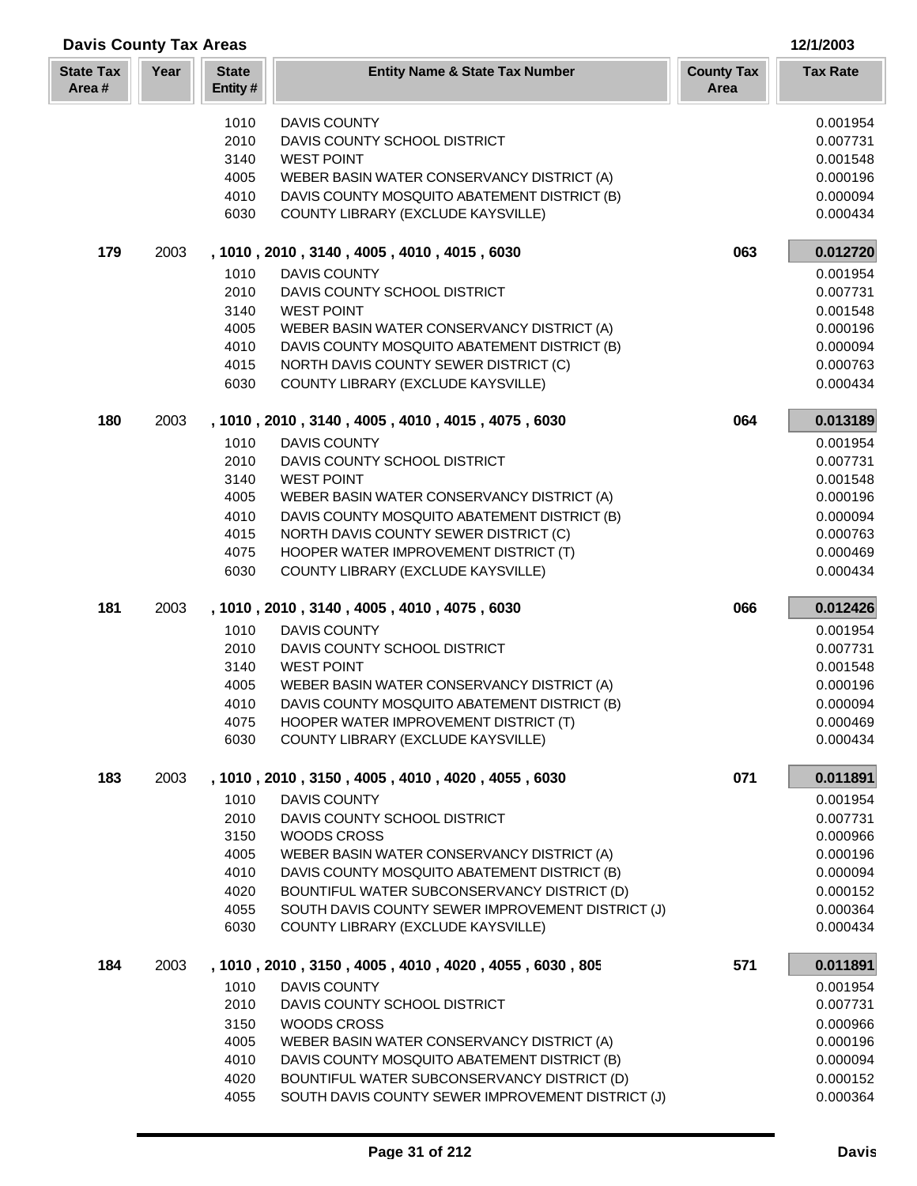| <b>Davis County Tax Areas</b> |      |                         |                                                                                | 12/1/2003                 |                      |  |
|-------------------------------|------|-------------------------|--------------------------------------------------------------------------------|---------------------------|----------------------|--|
| <b>State Tax</b><br>Area#     | Year | <b>State</b><br>Entity# | <b>Entity Name &amp; State Tax Number</b>                                      | <b>County Tax</b><br>Area | <b>Tax Rate</b>      |  |
|                               |      | 1010                    | <b>DAVIS COUNTY</b>                                                            |                           | 0.001954             |  |
|                               |      | 2010                    | DAVIS COUNTY SCHOOL DISTRICT                                                   |                           | 0.007731             |  |
|                               |      | 3140                    | <b>WEST POINT</b>                                                              |                           | 0.001548             |  |
|                               |      | 4005                    | WEBER BASIN WATER CONSERVANCY DISTRICT (A)                                     |                           | 0.000196             |  |
|                               |      | 4010                    | DAVIS COUNTY MOSQUITO ABATEMENT DISTRICT (B)                                   |                           | 0.000094             |  |
|                               |      | 6030                    | COUNTY LIBRARY (EXCLUDE KAYSVILLE)                                             |                           | 0.000434             |  |
| 179                           | 2003 |                         | , 1010, 2010, 3140, 4005, 4010, 4015, 6030                                     | 063                       | 0.012720             |  |
|                               |      | 1010                    | <b>DAVIS COUNTY</b>                                                            |                           | 0.001954             |  |
|                               |      | 2010                    | DAVIS COUNTY SCHOOL DISTRICT                                                   |                           | 0.007731             |  |
|                               |      | 3140                    | <b>WEST POINT</b>                                                              |                           | 0.001548             |  |
|                               |      | 4005                    | WEBER BASIN WATER CONSERVANCY DISTRICT (A)                                     |                           | 0.000196             |  |
|                               |      | 4010                    | DAVIS COUNTY MOSQUITO ABATEMENT DISTRICT (B)                                   |                           | 0.000094             |  |
|                               |      | 4015                    | NORTH DAVIS COUNTY SEWER DISTRICT (C)                                          |                           | 0.000763             |  |
|                               |      | 6030                    | COUNTY LIBRARY (EXCLUDE KAYSVILLE)                                             |                           | 0.000434             |  |
| 180                           | 2003 |                         | , 1010, 2010, 3140, 4005, 4010, 4015, 4075, 6030                               | 064                       | 0.013189             |  |
|                               |      | 1010                    | <b>DAVIS COUNTY</b>                                                            |                           | 0.001954             |  |
|                               |      | 2010                    | DAVIS COUNTY SCHOOL DISTRICT                                                   |                           | 0.007731             |  |
|                               |      | 3140                    | <b>WEST POINT</b>                                                              |                           | 0.001548             |  |
|                               |      | 4005                    | WEBER BASIN WATER CONSERVANCY DISTRICT (A)                                     |                           | 0.000196             |  |
|                               |      | 4010                    | DAVIS COUNTY MOSQUITO ABATEMENT DISTRICT (B)                                   |                           | 0.000094             |  |
|                               |      | 4015<br>4075            | NORTH DAVIS COUNTY SEWER DISTRICT (C)<br>HOOPER WATER IMPROVEMENT DISTRICT (T) |                           | 0.000763<br>0.000469 |  |
|                               |      | 6030                    | COUNTY LIBRARY (EXCLUDE KAYSVILLE)                                             |                           | 0.000434             |  |
| 181                           | 2003 |                         | , 1010, 2010, 3140, 4005, 4010, 4075, 6030                                     | 066                       | 0.012426             |  |
|                               |      | 1010                    | <b>DAVIS COUNTY</b>                                                            |                           | 0.001954             |  |
|                               |      | 2010                    | DAVIS COUNTY SCHOOL DISTRICT                                                   |                           | 0.007731             |  |
|                               |      | 3140                    | <b>WEST POINT</b>                                                              |                           | 0.001548             |  |
|                               |      | 4005                    | WEBER BASIN WATER CONSERVANCY DISTRICT (A)                                     |                           | 0.000196             |  |
|                               |      | 4010                    | DAVIS COUNTY MOSQUITO ABATEMENT DISTRICT (B)                                   |                           | 0.000094             |  |
|                               |      | 4075                    | HOOPER WATER IMPROVEMENT DISTRICT (T)                                          |                           | 0.000469             |  |
|                               |      | 6030                    | COUNTY LIBRARY (EXCLUDE KAYSVILLE)                                             |                           | 0.000434             |  |
| 183                           | 2003 |                         | , 1010, 2010, 3150, 4005, 4010, 4020, 4055, 6030                               | 071                       | 0.011891             |  |
|                               |      | 1010                    | <b>DAVIS COUNTY</b>                                                            |                           | 0.001954             |  |
|                               |      | 2010                    | DAVIS COUNTY SCHOOL DISTRICT                                                   |                           | 0.007731             |  |
|                               |      | 3150                    | WOODS CROSS                                                                    |                           | 0.000966             |  |
|                               |      | 4005                    | WEBER BASIN WATER CONSERVANCY DISTRICT (A)                                     |                           | 0.000196             |  |
|                               |      | 4010                    | DAVIS COUNTY MOSQUITO ABATEMENT DISTRICT (B)                                   |                           | 0.000094             |  |
|                               |      | 4020                    | BOUNTIFUL WATER SUBCONSERVANCY DISTRICT (D)                                    |                           | 0.000152             |  |
|                               |      | 4055                    | SOUTH DAVIS COUNTY SEWER IMPROVEMENT DISTRICT (J)                              |                           | 0.000364             |  |
|                               |      | 6030                    | COUNTY LIBRARY (EXCLUDE KAYSVILLE)                                             |                           | 0.000434             |  |
| 184                           | 2003 |                         | , 1010, 2010, 3150, 4005, 4010, 4020, 4055, 6030, 805                          | 571                       | 0.011891             |  |
|                               |      | 1010                    | <b>DAVIS COUNTY</b>                                                            |                           | 0.001954             |  |
|                               |      | 2010                    | DAVIS COUNTY SCHOOL DISTRICT                                                   |                           | 0.007731             |  |
|                               |      | 3150                    | WOODS CROSS                                                                    |                           | 0.000966             |  |
|                               |      | 4005                    | WEBER BASIN WATER CONSERVANCY DISTRICT (A)                                     |                           | 0.000196             |  |
|                               |      | 4010                    | DAVIS COUNTY MOSQUITO ABATEMENT DISTRICT (B)                                   |                           | 0.000094             |  |
|                               |      | 4020                    | BOUNTIFUL WATER SUBCONSERVANCY DISTRICT (D)                                    |                           | 0.000152             |  |
|                               |      | 4055                    | SOUTH DAVIS COUNTY SEWER IMPROVEMENT DISTRICT (J)                              |                           | 0.000364             |  |

L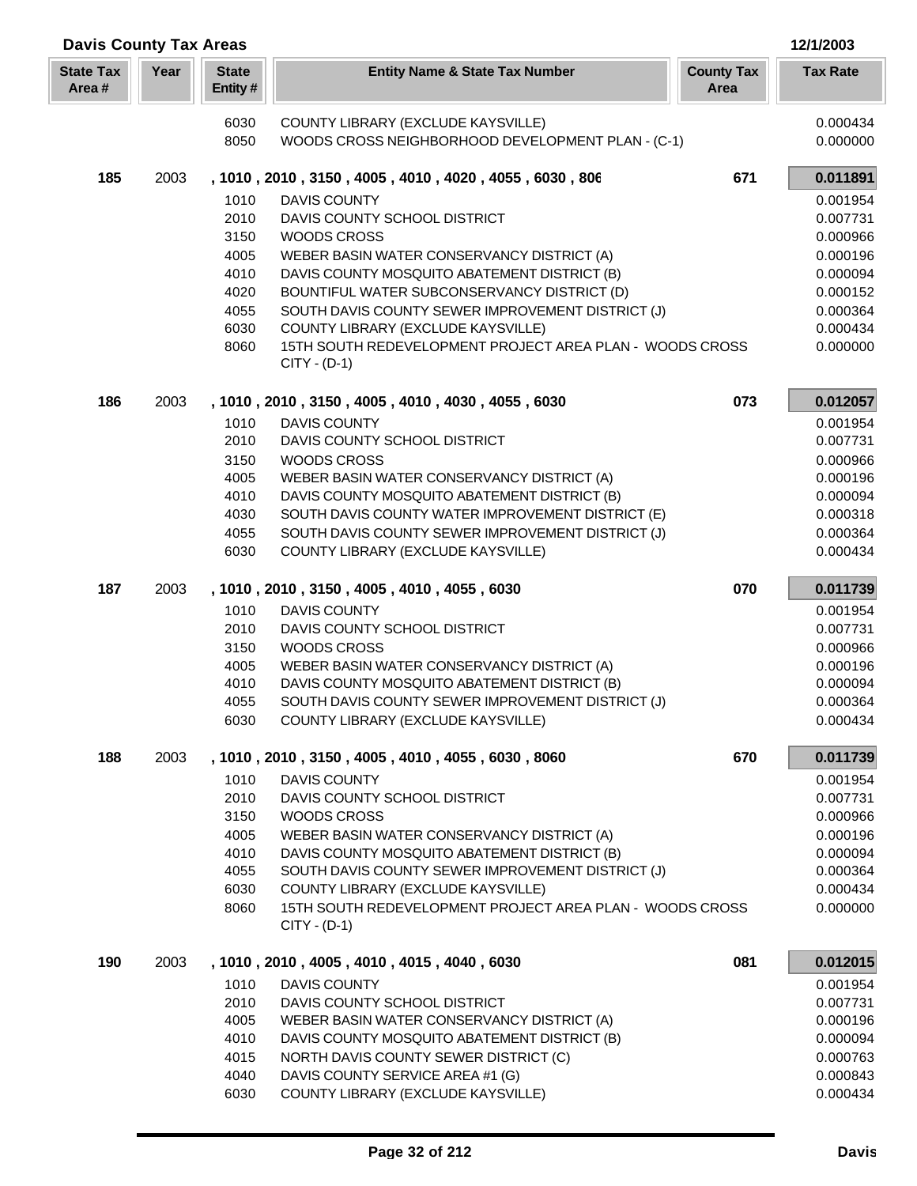| <b>Davis County Tax Areas</b><br>12/1/2003 |      |                         |                                                                                                        |                           |                      |  |
|--------------------------------------------|------|-------------------------|--------------------------------------------------------------------------------------------------------|---------------------------|----------------------|--|
| <b>State Tax</b><br>Area#                  | Year | <b>State</b><br>Entity# | <b>Entity Name &amp; State Tax Number</b>                                                              | <b>County Tax</b><br>Area | <b>Tax Rate</b>      |  |
|                                            |      | 6030                    | COUNTY LIBRARY (EXCLUDE KAYSVILLE)                                                                     |                           | 0.000434             |  |
|                                            |      | 8050                    | WOODS CROSS NEIGHBORHOOD DEVELOPMENT PLAN - (C-1)                                                      |                           | 0.000000             |  |
| 185                                        | 2003 |                         | , 1010, 2010, 3150, 4005, 4010, 4020, 4055, 6030, 806                                                  | 671                       | 0.011891             |  |
|                                            |      | 1010                    | <b>DAVIS COUNTY</b>                                                                                    |                           | 0.001954             |  |
|                                            |      | 2010                    | DAVIS COUNTY SCHOOL DISTRICT                                                                           |                           | 0.007731             |  |
|                                            |      | 3150                    | <b>WOODS CROSS</b>                                                                                     |                           | 0.000966             |  |
|                                            |      | 4005                    | WEBER BASIN WATER CONSERVANCY DISTRICT (A)                                                             |                           | 0.000196             |  |
|                                            |      | 4010<br>4020            | DAVIS COUNTY MOSQUITO ABATEMENT DISTRICT (B)<br>BOUNTIFUL WATER SUBCONSERVANCY DISTRICT (D)            |                           | 0.000094             |  |
|                                            |      | 4055                    | SOUTH DAVIS COUNTY SEWER IMPROVEMENT DISTRICT (J)                                                      |                           | 0.000152<br>0.000364 |  |
|                                            |      | 6030                    | COUNTY LIBRARY (EXCLUDE KAYSVILLE)                                                                     |                           | 0.000434             |  |
|                                            |      | 8060                    | 15TH SOUTH REDEVELOPMENT PROJECT AREA PLAN - WOODS CROSS<br>$CITY - (D-1)$                             |                           | 0.000000             |  |
| 186                                        | 2003 |                         | , 1010, 2010, 3150, 4005, 4010, 4030, 4055, 6030                                                       | 073                       | 0.012057             |  |
|                                            |      | 1010                    | <b>DAVIS COUNTY</b>                                                                                    |                           | 0.001954             |  |
|                                            |      | 2010                    | DAVIS COUNTY SCHOOL DISTRICT                                                                           |                           | 0.007731             |  |
|                                            |      | 3150                    | <b>WOODS CROSS</b>                                                                                     |                           | 0.000966             |  |
|                                            |      | 4005                    | WEBER BASIN WATER CONSERVANCY DISTRICT (A)                                                             |                           | 0.000196             |  |
|                                            |      | 4010                    | DAVIS COUNTY MOSQUITO ABATEMENT DISTRICT (B)                                                           |                           | 0.000094             |  |
|                                            |      | 4030<br>4055            | SOUTH DAVIS COUNTY WATER IMPROVEMENT DISTRICT (E)<br>SOUTH DAVIS COUNTY SEWER IMPROVEMENT DISTRICT (J) |                           | 0.000318<br>0.000364 |  |
|                                            |      | 6030                    | COUNTY LIBRARY (EXCLUDE KAYSVILLE)                                                                     |                           | 0.000434             |  |
| 187                                        | 2003 |                         | , 1010, 2010, 3150, 4005, 4010, 4055, 6030                                                             | 070                       | 0.011739             |  |
|                                            |      | 1010                    | <b>DAVIS COUNTY</b>                                                                                    |                           | 0.001954             |  |
|                                            |      | 2010                    | DAVIS COUNTY SCHOOL DISTRICT                                                                           |                           | 0.007731             |  |
|                                            |      | 3150                    | <b>WOODS CROSS</b>                                                                                     |                           | 0.000966             |  |
|                                            |      | 4005                    | WEBER BASIN WATER CONSERVANCY DISTRICT (A)                                                             |                           | 0.000196             |  |
|                                            |      | 4010<br>4055            | DAVIS COUNTY MOSQUITO ABATEMENT DISTRICT (B)<br>SOUTH DAVIS COUNTY SEWER IMPROVEMENT DISTRICT (J)      |                           | 0.000094<br>0.000364 |  |
|                                            |      | 6030                    | COUNTY LIBRARY (EXCLUDE KAYSVILLE)                                                                     |                           | 0.000434             |  |
| 188                                        | 2003 |                         | , 1010, 2010, 3150, 4005, 4010, 4055, 6030, 8060                                                       | 670                       | 0.011739             |  |
|                                            |      | 1010                    | DAVIS COUNTY                                                                                           |                           | 0.001954             |  |
|                                            |      | 2010                    | DAVIS COUNTY SCHOOL DISTRICT                                                                           |                           | 0.007731             |  |
|                                            |      | 3150                    | WOODS CROSS                                                                                            |                           | 0.000966             |  |
|                                            |      | 4005                    | WEBER BASIN WATER CONSERVANCY DISTRICT (A)                                                             |                           | 0.000196             |  |
|                                            |      | 4010                    | DAVIS COUNTY MOSQUITO ABATEMENT DISTRICT (B)                                                           |                           | 0.000094             |  |
|                                            |      | 4055                    | SOUTH DAVIS COUNTY SEWER IMPROVEMENT DISTRICT (J)                                                      |                           | 0.000364             |  |
|                                            |      | 6030<br>8060            | COUNTY LIBRARY (EXCLUDE KAYSVILLE)<br>15TH SOUTH REDEVELOPMENT PROJECT AREA PLAN - WOODS CROSS         |                           | 0.000434<br>0.000000 |  |
|                                            |      |                         | $CITY - (D-1)$                                                                                         |                           |                      |  |
| 190                                        | 2003 |                         | , 1010, 2010, 4005, 4010, 4015, 4040, 6030                                                             | 081                       | 0.012015             |  |
|                                            |      | 1010                    | <b>DAVIS COUNTY</b>                                                                                    |                           | 0.001954             |  |
|                                            |      | 2010                    | DAVIS COUNTY SCHOOL DISTRICT                                                                           |                           | 0.007731             |  |
|                                            |      | 4005                    | WEBER BASIN WATER CONSERVANCY DISTRICT (A)                                                             |                           | 0.000196             |  |
|                                            |      | 4010                    | DAVIS COUNTY MOSQUITO ABATEMENT DISTRICT (B)                                                           |                           | 0.000094             |  |
|                                            |      | 4015                    | NORTH DAVIS COUNTY SEWER DISTRICT (C)                                                                  |                           | 0.000763             |  |
|                                            |      | 4040                    | DAVIS COUNTY SERVICE AREA #1 (G)                                                                       |                           | 0.000843             |  |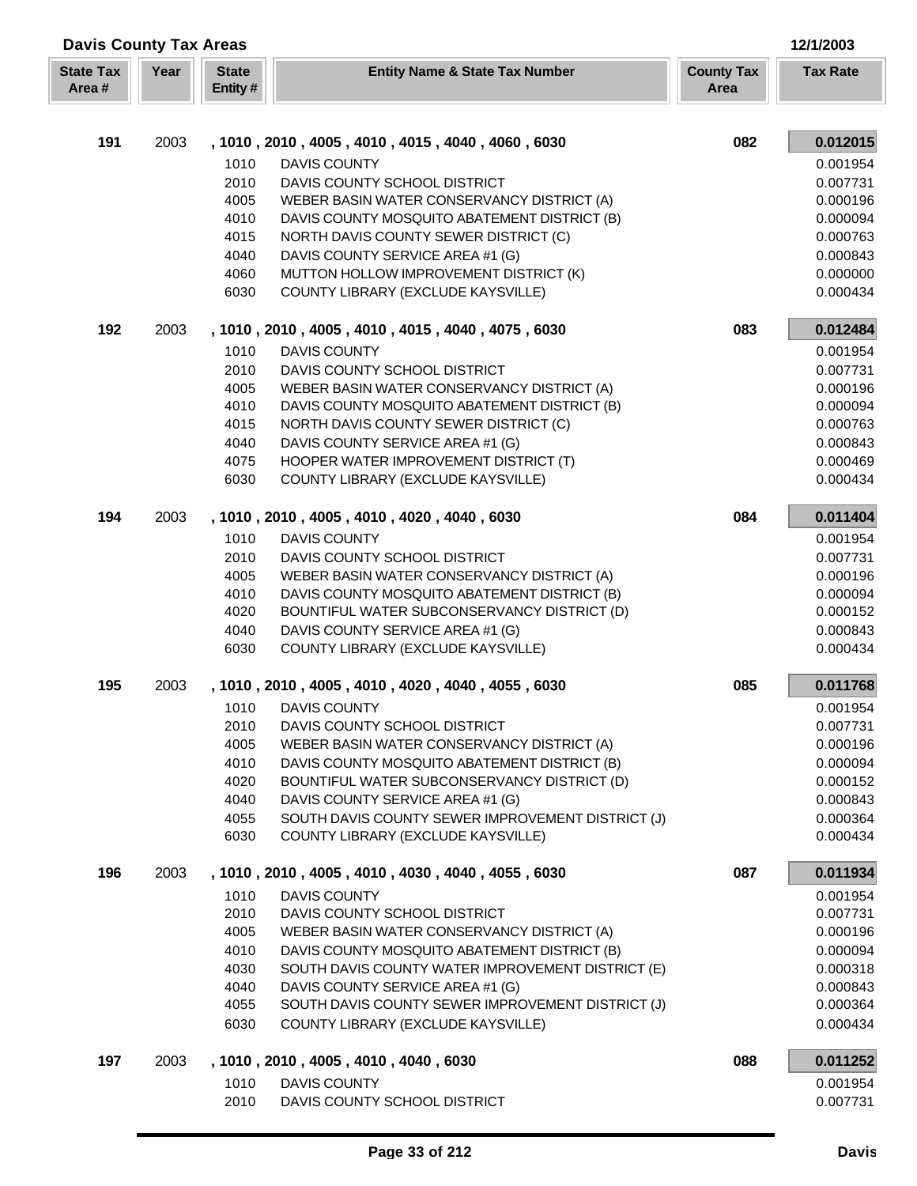| <b>Davis County Tax Areas</b><br>12/1/2003 |      |                         |                                                                                         |                           |                      |  |
|--------------------------------------------|------|-------------------------|-----------------------------------------------------------------------------------------|---------------------------|----------------------|--|
| <b>State Tax</b><br>Area#                  | Year | <b>State</b><br>Entity# | <b>Entity Name &amp; State Tax Number</b>                                               | <b>County Tax</b><br>Area | <b>Tax Rate</b>      |  |
|                                            |      |                         |                                                                                         |                           |                      |  |
| 191                                        | 2003 |                         | , 1010, 2010, 4005, 4010, 4015, 4040, 4060, 6030                                        | 082                       | 0.012015             |  |
|                                            |      | 1010                    | <b>DAVIS COUNTY</b>                                                                     |                           | 0.001954             |  |
|                                            |      | 2010                    | DAVIS COUNTY SCHOOL DISTRICT                                                            |                           | 0.007731             |  |
|                                            |      | 4005                    | WEBER BASIN WATER CONSERVANCY DISTRICT (A)                                              |                           | 0.000196             |  |
|                                            |      | 4010<br>4015            | DAVIS COUNTY MOSQUITO ABATEMENT DISTRICT (B)                                            |                           | 0.000094             |  |
|                                            |      | 4040                    | NORTH DAVIS COUNTY SEWER DISTRICT (C)<br>DAVIS COUNTY SERVICE AREA #1 (G)               |                           | 0.000763<br>0.000843 |  |
|                                            |      | 4060                    | MUTTON HOLLOW IMPROVEMENT DISTRICT (K)                                                  |                           | 0.000000             |  |
|                                            |      | 6030                    | COUNTY LIBRARY (EXCLUDE KAYSVILLE)                                                      |                           | 0.000434             |  |
| 192                                        | 2003 |                         | , 1010, 2010, 4005, 4010, 4015, 4040, 4075, 6030                                        | 083                       | 0.012484             |  |
|                                            |      | 1010                    | <b>DAVIS COUNTY</b>                                                                     |                           | 0.001954             |  |
|                                            |      | 2010                    | DAVIS COUNTY SCHOOL DISTRICT                                                            |                           | 0.007731             |  |
|                                            |      | 4005                    | WEBER BASIN WATER CONSERVANCY DISTRICT (A)                                              |                           | 0.000196             |  |
|                                            |      | 4010                    | DAVIS COUNTY MOSQUITO ABATEMENT DISTRICT (B)                                            |                           | 0.000094             |  |
|                                            |      | 4015                    | NORTH DAVIS COUNTY SEWER DISTRICT (C)                                                   |                           | 0.000763             |  |
|                                            |      | 4040                    | DAVIS COUNTY SERVICE AREA #1 (G)                                                        |                           | 0.000843             |  |
|                                            |      | 4075                    | HOOPER WATER IMPROVEMENT DISTRICT (T)                                                   |                           | 0.000469             |  |
|                                            |      | 6030                    | COUNTY LIBRARY (EXCLUDE KAYSVILLE)                                                      |                           | 0.000434             |  |
| 194                                        | 2003 |                         | , 1010, 2010, 4005, 4010, 4020, 4040, 6030                                              | 084                       | 0.011404             |  |
|                                            |      | 1010                    | <b>DAVIS COUNTY</b>                                                                     |                           | 0.001954             |  |
|                                            |      | 2010                    | DAVIS COUNTY SCHOOL DISTRICT                                                            |                           | 0.007731             |  |
|                                            |      | 4005                    | WEBER BASIN WATER CONSERVANCY DISTRICT (A)                                              |                           | 0.000196             |  |
|                                            |      | 4010                    | DAVIS COUNTY MOSQUITO ABATEMENT DISTRICT (B)                                            |                           | 0.000094             |  |
|                                            |      | 4020                    | BOUNTIFUL WATER SUBCONSERVANCY DISTRICT (D)                                             |                           | 0.000152             |  |
|                                            |      | 4040<br>6030            | DAVIS COUNTY SERVICE AREA #1 (G)<br>COUNTY LIBRARY (EXCLUDE KAYSVILLE)                  |                           | 0.000843<br>0.000434 |  |
|                                            |      |                         |                                                                                         |                           |                      |  |
| 195                                        | 2003 |                         | , 1010, 2010, 4005, 4010, 4020, 4040, 4055, 6030                                        | 085                       | 0.011768             |  |
|                                            |      | 1010                    | DAVIS COUNTY                                                                            |                           | 0.001954             |  |
|                                            |      | 2010<br>4005            | DAVIS COUNTY SCHOOL DISTRICT<br>WEBER BASIN WATER CONSERVANCY DISTRICT (A)              |                           | 0.007731<br>0.000196 |  |
|                                            |      | 4010                    | DAVIS COUNTY MOSQUITO ABATEMENT DISTRICT (B)                                            |                           | 0.000094             |  |
|                                            |      | 4020                    | BOUNTIFUL WATER SUBCONSERVANCY DISTRICT (D)                                             |                           | 0.000152             |  |
|                                            |      | 4040                    | DAVIS COUNTY SERVICE AREA #1 (G)                                                        |                           | 0.000843             |  |
|                                            |      | 4055                    | SOUTH DAVIS COUNTY SEWER IMPROVEMENT DISTRICT (J)                                       |                           | 0.000364             |  |
|                                            |      | 6030                    | COUNTY LIBRARY (EXCLUDE KAYSVILLE)                                                      |                           | 0.000434             |  |
| 196                                        | 2003 |                         | , 1010, 2010, 4005, 4010, 4030, 4040, 4055, 6030                                        | 087                       | 0.011934             |  |
|                                            |      | 1010                    | DAVIS COUNTY                                                                            |                           | 0.001954             |  |
|                                            |      | 2010                    | DAVIS COUNTY SCHOOL DISTRICT                                                            |                           | 0.007731             |  |
|                                            |      | 4005                    | WEBER BASIN WATER CONSERVANCY DISTRICT (A)                                              |                           | 0.000196             |  |
|                                            |      | 4010                    | DAVIS COUNTY MOSQUITO ABATEMENT DISTRICT (B)                                            |                           | 0.000094             |  |
|                                            |      | 4030                    | SOUTH DAVIS COUNTY WATER IMPROVEMENT DISTRICT (E)                                       |                           | 0.000318             |  |
|                                            |      | 4040                    | DAVIS COUNTY SERVICE AREA #1 (G)                                                        |                           | 0.000843             |  |
|                                            |      | 4055<br>6030            | SOUTH DAVIS COUNTY SEWER IMPROVEMENT DISTRICT (J)<br>COUNTY LIBRARY (EXCLUDE KAYSVILLE) |                           | 0.000364<br>0.000434 |  |
|                                            |      |                         |                                                                                         |                           |                      |  |
| 197                                        | 2003 |                         | , 1010, 2010, 4005, 4010, 4040, 6030                                                    | 088                       | 0.011252             |  |
|                                            |      | 1010                    | DAVIS COUNTY                                                                            |                           | 0.001954             |  |
|                                            |      | 2010                    | DAVIS COUNTY SCHOOL DISTRICT                                                            |                           | 0.007731             |  |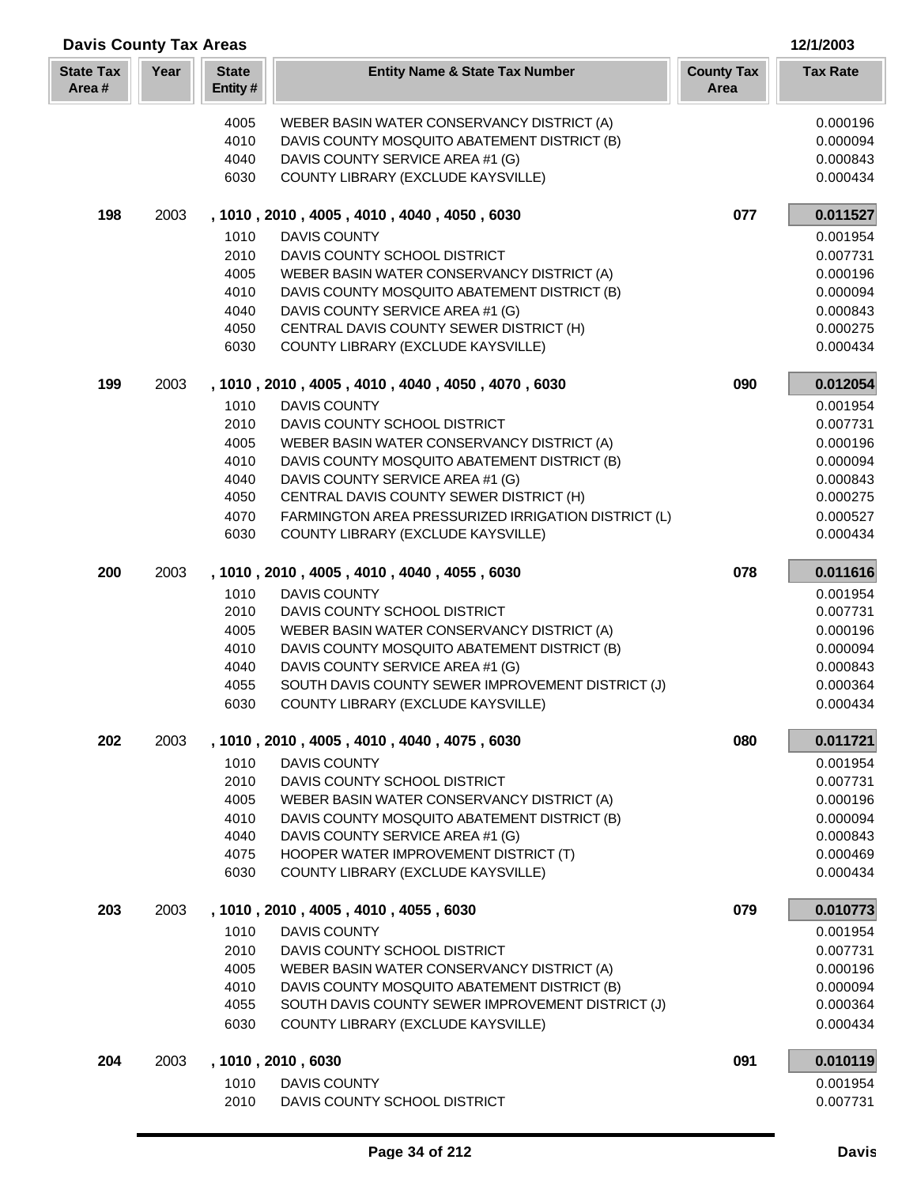| <b>Davis County Tax Areas</b> |      |                         |                                                                                            |                           | 12/1/2003            |  |
|-------------------------------|------|-------------------------|--------------------------------------------------------------------------------------------|---------------------------|----------------------|--|
| <b>State Tax</b><br>Area#     | Year | <b>State</b><br>Entity# | <b>Entity Name &amp; State Tax Number</b>                                                  | <b>County Tax</b><br>Area | <b>Tax Rate</b>      |  |
|                               |      | 4005                    | WEBER BASIN WATER CONSERVANCY DISTRICT (A)                                                 |                           | 0.000196             |  |
|                               |      | 4010                    | DAVIS COUNTY MOSQUITO ABATEMENT DISTRICT (B)                                               |                           | 0.000094             |  |
|                               |      | 4040                    | DAVIS COUNTY SERVICE AREA #1 (G)                                                           |                           | 0.000843             |  |
|                               |      | 6030                    | COUNTY LIBRARY (EXCLUDE KAYSVILLE)                                                         |                           | 0.000434             |  |
| 198                           | 2003 |                         | , 1010, 2010, 4005, 4010, 4040, 4050, 6030                                                 | 077                       | 0.011527             |  |
|                               |      | 1010                    | <b>DAVIS COUNTY</b>                                                                        |                           | 0.001954             |  |
|                               |      | 2010                    | DAVIS COUNTY SCHOOL DISTRICT                                                               |                           | 0.007731             |  |
|                               |      | 4005                    | WEBER BASIN WATER CONSERVANCY DISTRICT (A)                                                 |                           | 0.000196             |  |
|                               |      | 4010                    | DAVIS COUNTY MOSQUITO ABATEMENT DISTRICT (B)                                               |                           | 0.000094             |  |
|                               |      | 4040                    | DAVIS COUNTY SERVICE AREA #1 (G)                                                           |                           | 0.000843             |  |
|                               |      | 4050                    | CENTRAL DAVIS COUNTY SEWER DISTRICT (H)                                                    |                           | 0.000275             |  |
|                               |      | 6030                    | COUNTY LIBRARY (EXCLUDE KAYSVILLE)                                                         |                           | 0.000434             |  |
| 199                           | 2003 |                         | , 1010, 2010, 4005, 4010, 4040, 4050, 4070, 6030                                           | 090                       | 0.012054             |  |
|                               |      | 1010                    | <b>DAVIS COUNTY</b>                                                                        |                           | 0.001954             |  |
|                               |      | 2010                    | DAVIS COUNTY SCHOOL DISTRICT                                                               |                           | 0.007731             |  |
|                               |      | 4005                    | WEBER BASIN WATER CONSERVANCY DISTRICT (A)                                                 |                           | 0.000196             |  |
|                               |      | 4010                    | DAVIS COUNTY MOSQUITO ABATEMENT DISTRICT (B)                                               |                           | 0.000094             |  |
|                               |      | 4040<br>4050            | DAVIS COUNTY SERVICE AREA #1 (G)<br>CENTRAL DAVIS COUNTY SEWER DISTRICT (H)                |                           | 0.000843<br>0.000275 |  |
|                               |      | 4070                    | FARMINGTON AREA PRESSURIZED IRRIGATION DISTRICT (L)                                        |                           | 0.000527             |  |
|                               |      | 6030                    | COUNTY LIBRARY (EXCLUDE KAYSVILLE)                                                         |                           | 0.000434             |  |
| 200                           | 2003 |                         | , 1010, 2010, 4005, 4010, 4040, 4055, 6030                                                 | 078                       | 0.011616             |  |
|                               |      | 1010                    | <b>DAVIS COUNTY</b>                                                                        |                           | 0.001954             |  |
|                               |      | 2010                    | DAVIS COUNTY SCHOOL DISTRICT                                                               |                           | 0.007731             |  |
|                               |      | 4005                    | WEBER BASIN WATER CONSERVANCY DISTRICT (A)                                                 |                           | 0.000196             |  |
|                               |      | 4010                    | DAVIS COUNTY MOSQUITO ABATEMENT DISTRICT (B)                                               |                           | 0.000094             |  |
|                               |      | 4040                    | DAVIS COUNTY SERVICE AREA #1 (G)                                                           |                           | 0.000843             |  |
|                               |      | 4055                    | SOUTH DAVIS COUNTY SEWER IMPROVEMENT DISTRICT (J)                                          |                           | 0.000364             |  |
|                               |      | 6030                    | COUNTY LIBRARY (EXCLUDE KAYSVILLE)                                                         |                           | 0.000434             |  |
| 202                           | 2003 |                         | , 1010, 2010, 4005, 4010, 4040, 4075, 6030                                                 | 080                       | 0.011721             |  |
|                               |      | 1010                    | <b>DAVIS COUNTY</b>                                                                        |                           | 0.001954             |  |
|                               |      | 2010                    | DAVIS COUNTY SCHOOL DISTRICT                                                               |                           | 0.007731             |  |
|                               |      | 4005                    | WEBER BASIN WATER CONSERVANCY DISTRICT (A)                                                 |                           | 0.000196             |  |
|                               |      | 4010                    | DAVIS COUNTY MOSQUITO ABATEMENT DISTRICT (B)                                               |                           | 0.000094             |  |
|                               |      | 4040                    | DAVIS COUNTY SERVICE AREA #1 (G)                                                           |                           | 0.000843             |  |
|                               |      | 4075                    | HOOPER WATER IMPROVEMENT DISTRICT (T)                                                      |                           | 0.000469             |  |
|                               |      | 6030                    | COUNTY LIBRARY (EXCLUDE KAYSVILLE)                                                         |                           | 0.000434             |  |
| 203                           | 2003 |                         | , 1010, 2010, 4005, 4010, 4055, 6030                                                       | 079                       | 0.010773             |  |
|                               |      | 1010                    | <b>DAVIS COUNTY</b>                                                                        |                           | 0.001954             |  |
|                               |      | 2010<br>4005            | DAVIS COUNTY SCHOOL DISTRICT                                                               |                           | 0.007731<br>0.000196 |  |
|                               |      | 4010                    | WEBER BASIN WATER CONSERVANCY DISTRICT (A)<br>DAVIS COUNTY MOSQUITO ABATEMENT DISTRICT (B) |                           | 0.000094             |  |
|                               |      | 4055                    | SOUTH DAVIS COUNTY SEWER IMPROVEMENT DISTRICT (J)                                          |                           | 0.000364             |  |
|                               |      | 6030                    | COUNTY LIBRARY (EXCLUDE KAYSVILLE)                                                         |                           | 0.000434             |  |
| 204                           | 2003 |                         | , 1010, 2010, 6030                                                                         | 091                       | 0.010119             |  |
|                               |      | 1010                    | <b>DAVIS COUNTY</b>                                                                        |                           | 0.001954             |  |
|                               |      | 2010                    | DAVIS COUNTY SCHOOL DISTRICT                                                               |                           | 0.007731             |  |
|                               |      |                         |                                                                                            |                           |                      |  |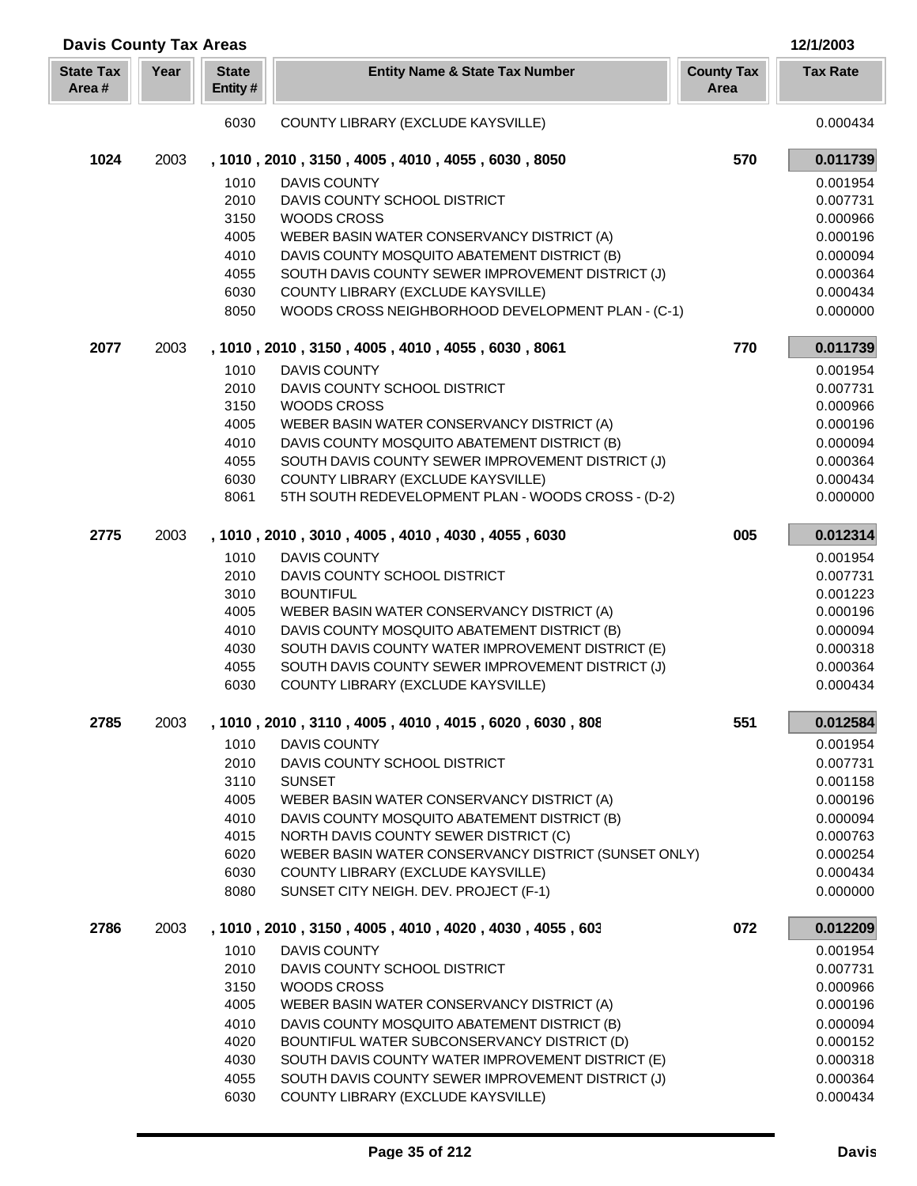| <b>Davis County Tax Areas</b> |      |                         |                                                                                                  |                           | 12/1/2003            |
|-------------------------------|------|-------------------------|--------------------------------------------------------------------------------------------------|---------------------------|----------------------|
| <b>State Tax</b><br>Area#     | Year | <b>State</b><br>Entity# | <b>Entity Name &amp; State Tax Number</b>                                                        | <b>County Tax</b><br>Area | <b>Tax Rate</b>      |
|                               |      | 6030                    | COUNTY LIBRARY (EXCLUDE KAYSVILLE)                                                               |                           | 0.000434             |
| 1024                          | 2003 |                         | , 1010, 2010, 3150, 4005, 4010, 4055, 6030, 8050                                                 | 570                       | 0.011739             |
|                               |      | 1010                    | <b>DAVIS COUNTY</b>                                                                              |                           | 0.001954             |
|                               |      | 2010                    | DAVIS COUNTY SCHOOL DISTRICT                                                                     |                           | 0.007731             |
|                               |      | 3150                    | <b>WOODS CROSS</b>                                                                               |                           | 0.000966             |
|                               |      | 4005                    | WEBER BASIN WATER CONSERVANCY DISTRICT (A)                                                       |                           | 0.000196             |
|                               |      | 4010                    | DAVIS COUNTY MOSQUITO ABATEMENT DISTRICT (B)                                                     |                           | 0.000094             |
|                               |      | 4055                    | SOUTH DAVIS COUNTY SEWER IMPROVEMENT DISTRICT (J)                                                |                           | 0.000364             |
|                               |      | 6030                    | COUNTY LIBRARY (EXCLUDE KAYSVILLE)                                                               |                           | 0.000434             |
|                               |      | 8050                    | WOODS CROSS NEIGHBORHOOD DEVELOPMENT PLAN - (C-1)                                                |                           | 0.000000             |
| 2077                          | 2003 |                         | , 1010, 2010, 3150, 4005, 4010, 4055, 6030, 8061                                                 | 770                       | 0.011739             |
|                               |      | 1010                    | <b>DAVIS COUNTY</b>                                                                              |                           | 0.001954             |
|                               |      | 2010                    | DAVIS COUNTY SCHOOL DISTRICT                                                                     |                           | 0.007731             |
|                               |      | 3150                    | <b>WOODS CROSS</b>                                                                               |                           | 0.000966             |
|                               |      | 4005                    | WEBER BASIN WATER CONSERVANCY DISTRICT (A)                                                       |                           | 0.000196             |
|                               |      | 4010                    | DAVIS COUNTY MOSQUITO ABATEMENT DISTRICT (B)                                                     |                           | 0.000094             |
|                               |      | 4055                    | SOUTH DAVIS COUNTY SEWER IMPROVEMENT DISTRICT (J)                                                |                           | 0.000364             |
|                               |      | 6030                    | COUNTY LIBRARY (EXCLUDE KAYSVILLE)                                                               |                           | 0.000434             |
|                               |      | 8061                    | 5TH SOUTH REDEVELOPMENT PLAN - WOODS CROSS - (D-2)                                               |                           | 0.000000             |
| 2775                          | 2003 |                         | , 1010, 2010, 3010, 4005, 4010, 4030, 4055, 6030                                                 | 005                       | 0.012314             |
|                               |      | 1010                    | <b>DAVIS COUNTY</b>                                                                              |                           | 0.001954             |
|                               |      | 2010                    | DAVIS COUNTY SCHOOL DISTRICT                                                                     |                           | 0.007731             |
|                               |      | 3010                    | <b>BOUNTIFUL</b>                                                                                 |                           | 0.001223             |
|                               |      | 4005                    | WEBER BASIN WATER CONSERVANCY DISTRICT (A)                                                       |                           | 0.000196             |
|                               |      | 4010                    | DAVIS COUNTY MOSQUITO ABATEMENT DISTRICT (B)                                                     |                           | 0.000094             |
|                               |      | 4030                    | SOUTH DAVIS COUNTY WATER IMPROVEMENT DISTRICT (E)                                                |                           | 0.000318             |
|                               |      | 4055                    | SOUTH DAVIS COUNTY SEWER IMPROVEMENT DISTRICT (J)                                                |                           | 0.000364             |
|                               |      | 6030                    | COUNTY LIBRARY (EXCLUDE KAYSVILLE)                                                               |                           | 0.000434             |
| 2785                          | 2003 |                         | , 1010, 2010, 3110, 4005, 4010, 4015, 6020, 6030, 808                                            | 551                       | 0.012584             |
|                               |      | 1010                    | <b>DAVIS COUNTY</b>                                                                              |                           | 0.001954             |
|                               |      | 2010                    | DAVIS COUNTY SCHOOL DISTRICT                                                                     |                           | 0.007731             |
|                               |      | 3110                    | <b>SUNSET</b>                                                                                    |                           | 0.001158             |
|                               |      | 4005                    | WEBER BASIN WATER CONSERVANCY DISTRICT (A)                                                       |                           | 0.000196             |
|                               |      | 4010                    | DAVIS COUNTY MOSQUITO ABATEMENT DISTRICT (B)                                                     |                           | 0.000094             |
|                               |      | 4015                    | NORTH DAVIS COUNTY SEWER DISTRICT (C)                                                            |                           | 0.000763             |
|                               |      | 6020                    | WEBER BASIN WATER CONSERVANCY DISTRICT (SUNSET ONLY)                                             |                           | 0.000254             |
|                               |      | 6030                    | COUNTY LIBRARY (EXCLUDE KAYSVILLE)                                                               |                           | 0.000434             |
|                               |      | 8080                    | SUNSET CITY NEIGH. DEV. PROJECT (F-1)                                                            |                           | 0.000000             |
| 2786                          | 2003 |                         | , 1010, 2010, 3150, 4005, 4010, 4020, 4030, 4055, 603                                            | 072                       | 0.012209             |
|                               |      | 1010                    | <b>DAVIS COUNTY</b>                                                                              |                           | 0.001954             |
|                               |      | 2010                    | DAVIS COUNTY SCHOOL DISTRICT                                                                     |                           | 0.007731             |
|                               |      | 3150                    | <b>WOODS CROSS</b>                                                                               |                           | 0.000966             |
|                               |      | 4005                    | WEBER BASIN WATER CONSERVANCY DISTRICT (A)                                                       |                           | 0.000196             |
|                               |      | 4010                    | DAVIS COUNTY MOSQUITO ABATEMENT DISTRICT (B)                                                     |                           | 0.000094             |
|                               |      | 4020<br>4030            | BOUNTIFUL WATER SUBCONSERVANCY DISTRICT (D)<br>SOUTH DAVIS COUNTY WATER IMPROVEMENT DISTRICT (E) |                           | 0.000152<br>0.000318 |
|                               |      | 4055                    | SOUTH DAVIS COUNTY SEWER IMPROVEMENT DISTRICT (J)                                                |                           | 0.000364             |
|                               |      | 6030                    | COUNTY LIBRARY (EXCLUDE KAYSVILLE)                                                               |                           | 0.000434             |
|                               |      |                         |                                                                                                  |                           |                      |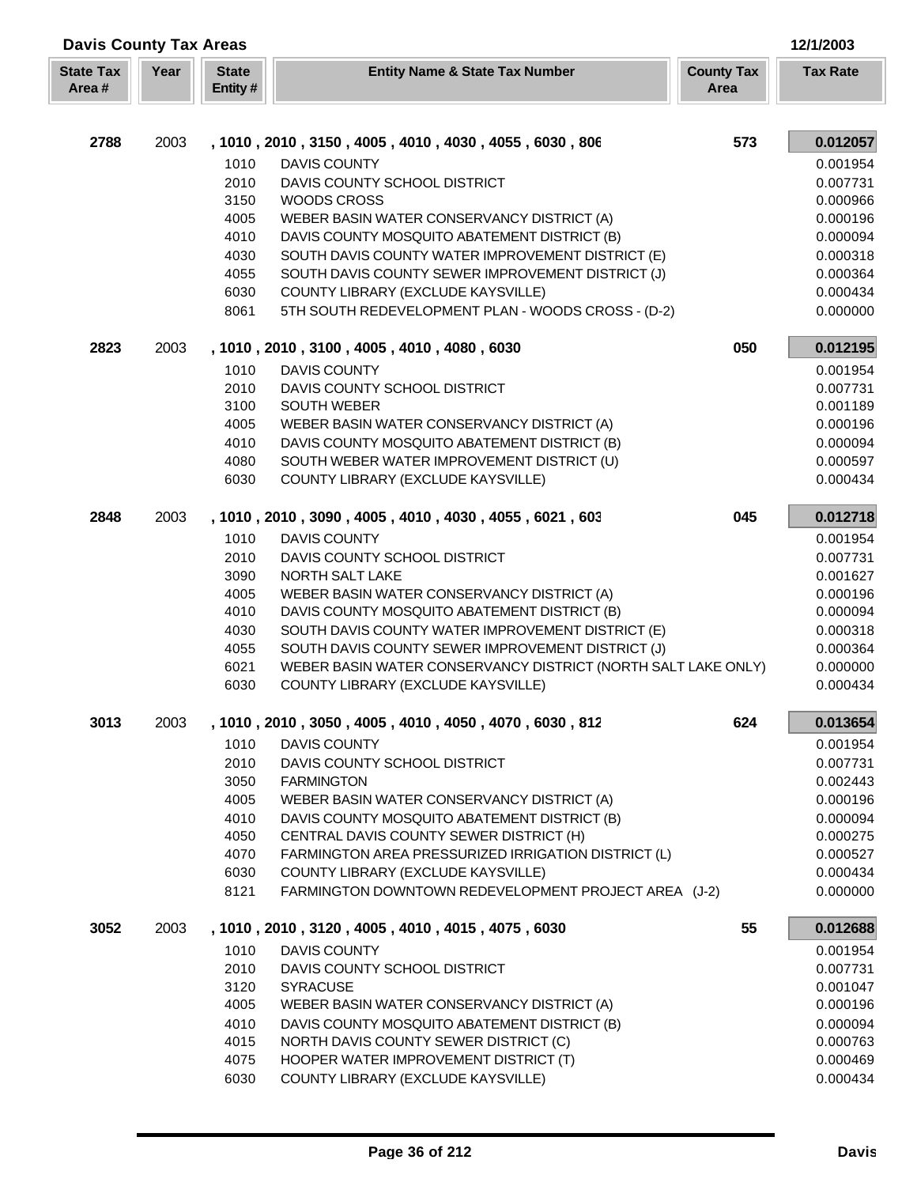| <b>Davis County Tax Areas</b> |      |                          |                                                               |                                  |                 |
|-------------------------------|------|--------------------------|---------------------------------------------------------------|----------------------------------|-----------------|
| <b>State Tax</b><br>Area#     | Year | <b>State</b><br>Entity # | <b>Entity Name &amp; State Tax Number</b>                     | <b>County Tax</b><br><b>Area</b> | <b>Tax Rate</b> |
|                               |      |                          |                                                               |                                  |                 |
| 2788                          | 2003 |                          | , 1010, 2010, 3150, 4005, 4010, 4030, 4055, 6030, 806         | 573                              | 0.012057        |
|                               |      | 1010                     | <b>DAVIS COUNTY</b>                                           |                                  | 0.001954        |
|                               |      | 2010                     | DAVIS COUNTY SCHOOL DISTRICT                                  |                                  | 0.007731        |
|                               |      | 3150                     | <b>WOODS CROSS</b>                                            |                                  | 0.000966        |
|                               |      | 4005                     | WEBER BASIN WATER CONSERVANCY DISTRICT (A)                    |                                  | 0.000196        |
|                               |      | 4010                     | DAVIS COUNTY MOSQUITO ABATEMENT DISTRICT (B)                  |                                  | 0.000094        |
|                               |      | 4030                     | SOUTH DAVIS COUNTY WATER IMPROVEMENT DISTRICT (E)             |                                  | 0.000318        |
|                               |      | 4055                     | SOUTH DAVIS COUNTY SEWER IMPROVEMENT DISTRICT (J)             |                                  | 0.000364        |
|                               |      | 6030                     | COUNTY LIBRARY (EXCLUDE KAYSVILLE)                            |                                  | 0.000434        |
|                               |      | 8061                     | 5TH SOUTH REDEVELOPMENT PLAN - WOODS CROSS - (D-2)            |                                  | 0.000000        |
| 2823                          | 2003 |                          | , 1010, 2010, 3100, 4005, 4010, 4080, 6030                    | 050                              | 0.012195        |
|                               |      | 1010                     | <b>DAVIS COUNTY</b>                                           |                                  | 0.001954        |
|                               |      | 2010                     | DAVIS COUNTY SCHOOL DISTRICT                                  |                                  | 0.007731        |
|                               |      | 3100                     | <b>SOUTH WEBER</b>                                            |                                  | 0.001189        |
|                               |      | 4005                     | WEBER BASIN WATER CONSERVANCY DISTRICT (A)                    |                                  | 0.000196        |
|                               |      | 4010                     | DAVIS COUNTY MOSQUITO ABATEMENT DISTRICT (B)                  |                                  | 0.000094        |
|                               |      | 4080                     | SOUTH WEBER WATER IMPROVEMENT DISTRICT (U)                    |                                  | 0.000597        |
|                               |      | 6030                     | COUNTY LIBRARY (EXCLUDE KAYSVILLE)                            |                                  | 0.000434        |
| 2848                          | 2003 |                          | , 1010, 2010, 3090, 4005, 4010, 4030, 4055, 6021, 603         | 045                              | 0.012718        |
|                               |      | 1010                     | <b>DAVIS COUNTY</b>                                           |                                  | 0.001954        |
|                               |      | 2010                     | DAVIS COUNTY SCHOOL DISTRICT                                  |                                  | 0.007731        |
|                               |      | 3090                     | NORTH SALT LAKE                                               |                                  | 0.001627        |
|                               |      | 4005                     | WEBER BASIN WATER CONSERVANCY DISTRICT (A)                    |                                  | 0.000196        |
|                               |      | 4010                     | DAVIS COUNTY MOSQUITO ABATEMENT DISTRICT (B)                  |                                  | 0.000094        |
|                               |      | 4030                     | SOUTH DAVIS COUNTY WATER IMPROVEMENT DISTRICT (E)             |                                  | 0.000318        |
|                               |      | 4055                     | SOUTH DAVIS COUNTY SEWER IMPROVEMENT DISTRICT (J)             |                                  | 0.000364        |
|                               |      | 6021                     | WEBER BASIN WATER CONSERVANCY DISTRICT (NORTH SALT LAKE ONLY) |                                  | 0.000000        |
|                               |      | 6030                     | COUNTY LIBRARY (EXCLUDE KAYSVILLE)                            |                                  | 0.000434        |
| 3013                          | 2003 |                          | , 1010, 2010, 3050, 4005, 4010, 4050, 4070, 6030, 812         | 624                              | 0.013654        |
|                               |      | 1010                     | <b>DAVIS COUNTY</b>                                           |                                  | 0.001954        |
|                               |      | 2010                     | DAVIS COUNTY SCHOOL DISTRICT                                  |                                  | 0.007731        |
|                               |      | 3050                     | <b>FARMINGTON</b>                                             |                                  | 0.002443        |
|                               |      | 4005                     | WEBER BASIN WATER CONSERVANCY DISTRICT (A)                    |                                  | 0.000196        |
|                               |      | 4010                     | DAVIS COUNTY MOSQUITO ABATEMENT DISTRICT (B)                  |                                  | 0.000094        |
|                               |      | 4050                     | CENTRAL DAVIS COUNTY SEWER DISTRICT (H)                       |                                  | 0.000275        |
|                               |      | 4070                     | FARMINGTON AREA PRESSURIZED IRRIGATION DISTRICT (L)           |                                  | 0.000527        |
|                               |      | 6030                     | COUNTY LIBRARY (EXCLUDE KAYSVILLE)                            |                                  | 0.000434        |
|                               |      | 8121                     | FARMINGTON DOWNTOWN REDEVELOPMENT PROJECT AREA (J-2)          |                                  | 0.000000        |
| 3052                          | 2003 |                          | , 1010, 2010, 3120, 4005, 4010, 4015, 4075, 6030              | 55                               | 0.012688        |
|                               |      | 1010                     | <b>DAVIS COUNTY</b>                                           |                                  | 0.001954        |
|                               |      | 2010                     | DAVIS COUNTY SCHOOL DISTRICT                                  |                                  | 0.007731        |
|                               |      | 3120                     | <b>SYRACUSE</b>                                               |                                  | 0.001047        |
|                               |      | 4005                     | WEBER BASIN WATER CONSERVANCY DISTRICT (A)                    |                                  | 0.000196        |
|                               |      | 4010                     | DAVIS COUNTY MOSQUITO ABATEMENT DISTRICT (B)                  |                                  | 0.000094        |
|                               |      | 4015                     | NORTH DAVIS COUNTY SEWER DISTRICT (C)                         |                                  | 0.000763        |
|                               |      | 4075                     | HOOPER WATER IMPROVEMENT DISTRICT (T)                         |                                  | 0.000469        |
|                               |      | 6030                     | COUNTY LIBRARY (EXCLUDE KAYSVILLE)                            |                                  | 0.000434        |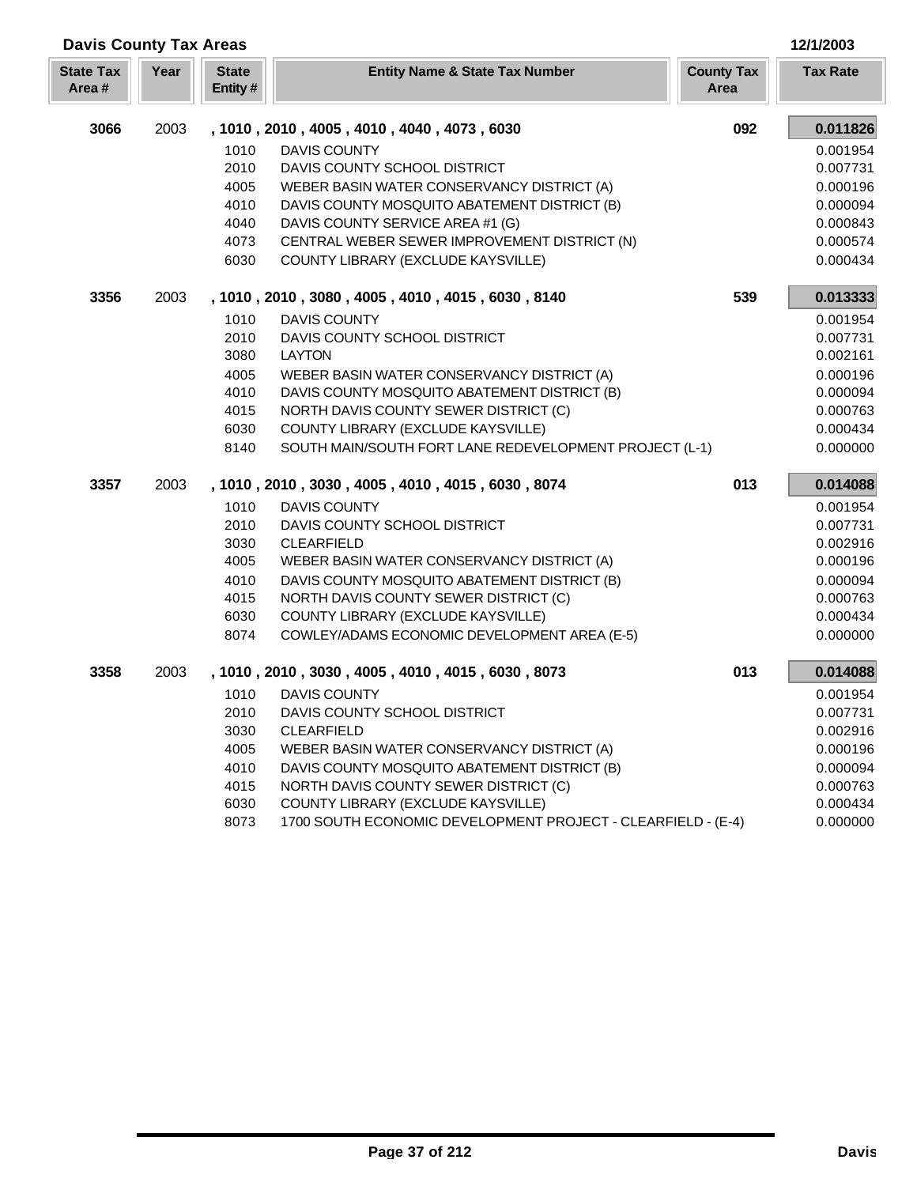| <b>Davis County Tax Areas</b> |      |                         |                                                              |                           | 12/1/2003       |
|-------------------------------|------|-------------------------|--------------------------------------------------------------|---------------------------|-----------------|
| <b>State Tax</b><br>Area#     | Year | <b>State</b><br>Entity# | <b>Entity Name &amp; State Tax Number</b>                    | <b>County Tax</b><br>Area | <b>Tax Rate</b> |
| 3066                          | 2003 |                         | , 1010, 2010, 4005, 4010, 4040, 4073, 6030                   | 092                       | 0.011826        |
|                               |      | 1010                    | <b>DAVIS COUNTY</b>                                          |                           | 0.001954        |
|                               |      | 2010                    | DAVIS COUNTY SCHOOL DISTRICT                                 |                           | 0.007731        |
|                               |      | 4005                    | WEBER BASIN WATER CONSERVANCY DISTRICT (A)                   |                           | 0.000196        |
|                               |      | 4010                    | DAVIS COUNTY MOSQUITO ABATEMENT DISTRICT (B)                 |                           | 0.000094        |
|                               |      | 4040                    | DAVIS COUNTY SERVICE AREA #1 (G)                             |                           | 0.000843        |
|                               |      | 4073                    | CENTRAL WEBER SEWER IMPROVEMENT DISTRICT (N)                 |                           | 0.000574        |
|                               |      | 6030                    | COUNTY LIBRARY (EXCLUDE KAYSVILLE)                           |                           | 0.000434        |
| 3356                          | 2003 |                         | , 1010, 2010, 3080, 4005, 4010, 4015, 6030, 8140             | 539                       | 0.013333        |
|                               |      | 1010                    | <b>DAVIS COUNTY</b>                                          |                           | 0.001954        |
|                               |      | 2010                    | DAVIS COUNTY SCHOOL DISTRICT                                 |                           | 0.007731        |
|                               |      | 3080                    | <b>LAYTON</b>                                                |                           | 0.002161        |
|                               |      | 4005                    | WEBER BASIN WATER CONSERVANCY DISTRICT (A)                   |                           | 0.000196        |
|                               |      | 4010                    | DAVIS COUNTY MOSQUITO ABATEMENT DISTRICT (B)                 |                           | 0.000094        |
|                               |      | 4015                    | NORTH DAVIS COUNTY SEWER DISTRICT (C)                        |                           | 0.000763        |
|                               |      | 6030                    | COUNTY LIBRARY (EXCLUDE KAYSVILLE)                           |                           | 0.000434        |
|                               |      | 8140                    | SOUTH MAIN/SOUTH FORT LANE REDEVELOPMENT PROJECT (L-1)       |                           | 0.000000        |
| 3357                          | 2003 |                         | , 1010, 2010, 3030, 4005, 4010, 4015, 6030, 8074             | 013                       | 0.014088        |
|                               |      | 1010                    | <b>DAVIS COUNTY</b>                                          |                           | 0.001954        |
|                               |      | 2010                    | DAVIS COUNTY SCHOOL DISTRICT                                 |                           | 0.007731        |
|                               |      | 3030                    | <b>CLEARFIELD</b>                                            |                           | 0.002916        |
|                               |      | 4005                    | WEBER BASIN WATER CONSERVANCY DISTRICT (A)                   |                           | 0.000196        |
|                               |      | 4010                    | DAVIS COUNTY MOSQUITO ABATEMENT DISTRICT (B)                 |                           | 0.000094        |
|                               |      | 4015                    | NORTH DAVIS COUNTY SEWER DISTRICT (C)                        |                           | 0.000763        |
|                               |      | 6030                    | COUNTY LIBRARY (EXCLUDE KAYSVILLE)                           |                           | 0.000434        |
|                               |      | 8074                    | COWLEY/ADAMS ECONOMIC DEVELOPMENT AREA (E-5)                 |                           | 0.000000        |
| 3358                          | 2003 |                         | , 1010, 2010, 3030, 4005, 4010, 4015, 6030, 8073             | 013                       | 0.014088        |
|                               |      | 1010                    | DAVIS COUNTY                                                 |                           | 0.001954        |
|                               |      | 2010                    | DAVIS COUNTY SCHOOL DISTRICT                                 |                           | 0.007731        |
|                               |      | 3030                    | <b>CLEARFIELD</b>                                            |                           | 0.002916        |
|                               |      | 4005                    | WEBER BASIN WATER CONSERVANCY DISTRICT (A)                   |                           | 0.000196        |
|                               |      | 4010                    | DAVIS COUNTY MOSQUITO ABATEMENT DISTRICT (B)                 |                           | 0.000094        |
|                               |      | 4015                    | NORTH DAVIS COUNTY SEWER DISTRICT (C)                        |                           | 0.000763        |
|                               |      | 6030                    | COUNTY LIBRARY (EXCLUDE KAYSVILLE)                           |                           | 0.000434        |
|                               |      | 8073                    | 1700 SOUTH ECONOMIC DEVELOPMENT PROJECT - CLEARFIELD - (E-4) |                           | 0.000000        |

Г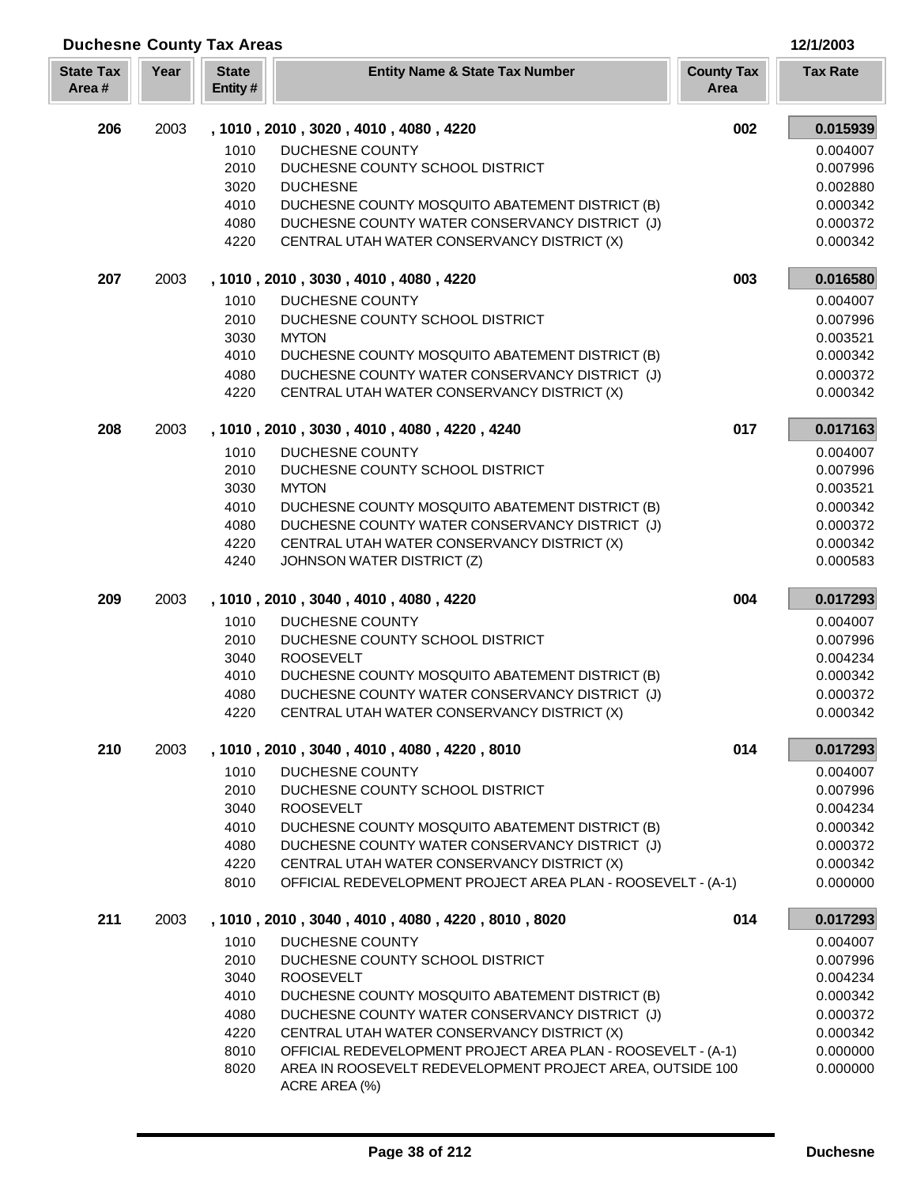| <b>Duchesne County Tax Areas</b> |      |                         |                                                                                                   |                           | 12/1/2003            |
|----------------------------------|------|-------------------------|---------------------------------------------------------------------------------------------------|---------------------------|----------------------|
| <b>State Tax</b><br>Area#        | Year | <b>State</b><br>Entity# | <b>Entity Name &amp; State Tax Number</b>                                                         | <b>County Tax</b><br>Area | <b>Tax Rate</b>      |
| 206                              | 2003 |                         | , 1010, 2010, 3020, 4010, 4080, 4220                                                              | 002                       | 0.015939             |
|                                  |      | 1010                    | DUCHESNE COUNTY                                                                                   |                           | 0.004007             |
|                                  |      | 2010                    | DUCHESNE COUNTY SCHOOL DISTRICT                                                                   |                           | 0.007996             |
|                                  |      | 3020                    | <b>DUCHESNE</b>                                                                                   |                           | 0.002880             |
|                                  |      | 4010<br>4080            | DUCHESNE COUNTY MOSQUITO ABATEMENT DISTRICT (B)<br>DUCHESNE COUNTY WATER CONSERVANCY DISTRICT (J) |                           | 0.000342<br>0.000372 |
|                                  |      | 4220                    | CENTRAL UTAH WATER CONSERVANCY DISTRICT (X)                                                       |                           | 0.000342             |
| 207                              | 2003 |                         | , 1010, 2010, 3030, 4010, 4080, 4220                                                              | 003                       | 0.016580             |
|                                  |      | 1010                    | DUCHESNE COUNTY                                                                                   |                           | 0.004007             |
|                                  |      | 2010                    | DUCHESNE COUNTY SCHOOL DISTRICT                                                                   |                           | 0.007996             |
|                                  |      | 3030                    | <b>MYTON</b>                                                                                      |                           | 0.003521             |
|                                  |      | 4010                    | DUCHESNE COUNTY MOSQUITO ABATEMENT DISTRICT (B)                                                   |                           | 0.000342             |
|                                  |      | 4080<br>4220            | DUCHESNE COUNTY WATER CONSERVANCY DISTRICT (J)<br>CENTRAL UTAH WATER CONSERVANCY DISTRICT (X)     |                           | 0.000372<br>0.000342 |
| 208                              | 2003 |                         | , 1010, 2010, 3030, 4010, 4080, 4220, 4240                                                        | 017                       | 0.017163             |
|                                  |      | 1010                    | DUCHESNE COUNTY                                                                                   |                           | 0.004007             |
|                                  |      | 2010                    | DUCHESNE COUNTY SCHOOL DISTRICT                                                                   |                           | 0.007996             |
|                                  |      | 3030                    | <b>MYTON</b>                                                                                      |                           | 0.003521             |
|                                  |      | 4010                    | DUCHESNE COUNTY MOSQUITO ABATEMENT DISTRICT (B)                                                   |                           | 0.000342             |
|                                  |      | 4080<br>4220            | DUCHESNE COUNTY WATER CONSERVANCY DISTRICT (J)<br>CENTRAL UTAH WATER CONSERVANCY DISTRICT (X)     |                           | 0.000372<br>0.000342 |
|                                  |      | 4240                    | JOHNSON WATER DISTRICT (Z)                                                                        |                           | 0.000583             |
| 209                              | 2003 |                         | , 1010, 2010, 3040, 4010, 4080, 4220                                                              | 004                       | 0.017293             |
|                                  |      | 1010                    | DUCHESNE COUNTY                                                                                   |                           | 0.004007             |
|                                  |      | 2010                    | DUCHESNE COUNTY SCHOOL DISTRICT                                                                   |                           | 0.007996             |
|                                  |      | 3040                    | <b>ROOSEVELT</b>                                                                                  |                           | 0.004234             |
|                                  |      | 4010<br>4080            | DUCHESNE COUNTY MOSQUITO ABATEMENT DISTRICT (B)<br>DUCHESNE COUNTY WATER CONSERVANCY DISTRICT (J) |                           | 0.000342<br>0.000372 |
|                                  |      | 4220                    | CENTRAL UTAH WATER CONSERVANCY DISTRICT (X)                                                       |                           | 0.000342             |
| 210                              | 2003 |                         | , 1010, 2010, 3040, 4010, 4080, 4220, 8010                                                        | 014                       | 0.017293             |
|                                  |      | 1010                    | DUCHESNE COUNTY                                                                                   |                           | 0.004007             |
|                                  |      | 2010                    | DUCHESNE COUNTY SCHOOL DISTRICT                                                                   |                           | 0.007996             |
|                                  |      | 3040                    | <b>ROOSEVELT</b>                                                                                  |                           | 0.004234             |
|                                  |      | 4010<br>4080            | DUCHESNE COUNTY MOSQUITO ABATEMENT DISTRICT (B)<br>DUCHESNE COUNTY WATER CONSERVANCY DISTRICT (J) |                           | 0.000342<br>0.000372 |
|                                  |      | 4220                    | CENTRAL UTAH WATER CONSERVANCY DISTRICT (X)                                                       |                           | 0.000342             |
|                                  |      | 8010                    | OFFICIAL REDEVELOPMENT PROJECT AREA PLAN - ROOSEVELT - (A-1)                                      |                           | 0.000000             |
| 211                              | 2003 |                         | , 1010, 2010, 3040, 4010, 4080, 4220, 8010, 8020                                                  | 014                       | 0.017293             |
|                                  |      | 1010                    | DUCHESNE COUNTY                                                                                   |                           | 0.004007             |
|                                  |      | 2010                    | DUCHESNE COUNTY SCHOOL DISTRICT                                                                   |                           | 0.007996             |
|                                  |      | 3040                    | <b>ROOSEVELT</b>                                                                                  |                           | 0.004234             |
|                                  |      | 4010<br>4080            | DUCHESNE COUNTY MOSQUITO ABATEMENT DISTRICT (B)<br>DUCHESNE COUNTY WATER CONSERVANCY DISTRICT (J) |                           | 0.000342<br>0.000372 |
|                                  |      | 4220                    | CENTRAL UTAH WATER CONSERVANCY DISTRICT (X)                                                       |                           | 0.000342             |
|                                  |      | 8010                    | OFFICIAL REDEVELOPMENT PROJECT AREA PLAN - ROOSEVELT - (A-1)                                      |                           | 0.000000             |
|                                  |      | 8020                    | AREA IN ROOSEVELT REDEVELOPMENT PROJECT AREA, OUTSIDE 100                                         |                           | 0.000000             |
|                                  |      |                         | ACRE AREA (%)                                                                                     |                           |                      |

Г ı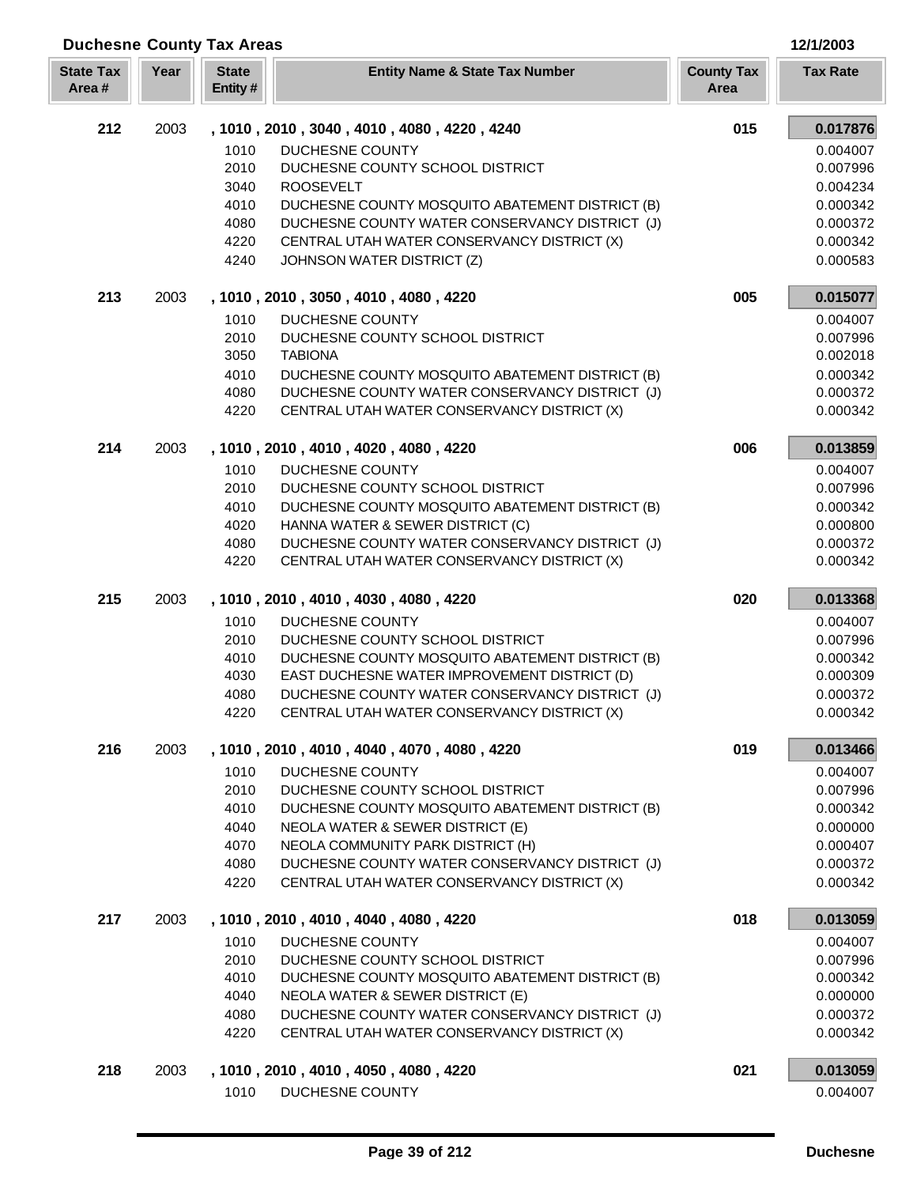| Year<br><b>State</b><br><b>State Tax</b><br><b>Entity Name &amp; State Tax Number</b><br><b>County Tax</b><br>Area#<br>Entity#<br>Area<br>212<br>2003<br>015<br>, 1010, 2010, 3040, 4010, 4080, 4220, 4240<br>DUCHESNE COUNTY<br>1010<br>2010<br>DUCHESNE COUNTY SCHOOL DISTRICT<br><b>ROOSEVELT</b><br>3040<br>4010<br>DUCHESNE COUNTY MOSQUITO ABATEMENT DISTRICT (B)<br>0.000342<br>DUCHESNE COUNTY WATER CONSERVANCY DISTRICT (J)<br>4080<br>4220<br>CENTRAL UTAH WATER CONSERVANCY DISTRICT (X)<br>4240<br>JOHNSON WATER DISTRICT (Z)<br>213<br>005<br>2003<br>, 1010, 2010, 3050, 4010, 4080, 4220<br>1010<br>DUCHESNE COUNTY<br>2010<br>DUCHESNE COUNTY SCHOOL DISTRICT<br>3050<br><b>TABIONA</b><br>4010<br>DUCHESNE COUNTY MOSQUITO ABATEMENT DISTRICT (B)<br>4080<br>DUCHESNE COUNTY WATER CONSERVANCY DISTRICT (J)<br>0.000372<br>4220<br>CENTRAL UTAH WATER CONSERVANCY DISTRICT (X)<br>214<br>2003<br>006<br>, 1010, 2010, 4010, 4020, 4080, 4220<br>1010<br><b>DUCHESNE COUNTY</b><br>2010<br>DUCHESNE COUNTY SCHOOL DISTRICT<br>4010<br>DUCHESNE COUNTY MOSQUITO ABATEMENT DISTRICT (B)<br>4020<br>HANNA WATER & SEWER DISTRICT (C)<br>4080<br>DUCHESNE COUNTY WATER CONSERVANCY DISTRICT (J)<br>4220<br>CENTRAL UTAH WATER CONSERVANCY DISTRICT (X)<br>0.000342<br>215<br>2003<br>020<br>, 1010, 2010, 4010, 4030, 4080, 4220<br>1010<br>DUCHESNE COUNTY<br>0.004007<br>2010<br>DUCHESNE COUNTY SCHOOL DISTRICT<br>0.007996<br>4010<br>DUCHESNE COUNTY MOSQUITO ABATEMENT DISTRICT (B)<br>4030<br>EAST DUCHESNE WATER IMPROVEMENT DISTRICT (D)<br>DUCHESNE COUNTY WATER CONSERVANCY DISTRICT (J)<br>4080<br>CENTRAL UTAH WATER CONSERVANCY DISTRICT (X)<br>4220<br>216<br>2003<br>, 1010, 2010, 4010, 4040, 4070, 4080, 4220<br>019<br>1010<br>DUCHESNE COUNTY<br>2010<br>DUCHESNE COUNTY SCHOOL DISTRICT<br>0.007996<br>4010<br>DUCHESNE COUNTY MOSQUITO ABATEMENT DISTRICT (B)<br>0.000342<br>NEOLA WATER & SEWER DISTRICT (E)<br>4040<br>NEOLA COMMUNITY PARK DISTRICT (H)<br>4070<br>4080<br>DUCHESNE COUNTY WATER CONSERVANCY DISTRICT (J)<br>4220<br>CENTRAL UTAH WATER CONSERVANCY DISTRICT (X)<br>217<br>018<br>2003<br>, 1010, 2010, 4010, 4040, 4080, 4220<br><b>DUCHESNE COUNTY</b><br>1010<br>2010<br>DUCHESNE COUNTY SCHOOL DISTRICT<br>4010<br>DUCHESNE COUNTY MOSQUITO ABATEMENT DISTRICT (B)<br>4040<br>NEOLA WATER & SEWER DISTRICT (E)<br>0.000000<br>4080<br>DUCHESNE COUNTY WATER CONSERVANCY DISTRICT (J)<br>4220<br>CENTRAL UTAH WATER CONSERVANCY DISTRICT (X)<br>218<br>021<br>2003<br>, 1010, 2010, 4010, 4050, 4080, 4220<br>1010<br>DUCHESNE COUNTY | <b>Duchesne County Tax Areas</b> |  |  | 12/1/2003       |
|------------------------------------------------------------------------------------------------------------------------------------------------------------------------------------------------------------------------------------------------------------------------------------------------------------------------------------------------------------------------------------------------------------------------------------------------------------------------------------------------------------------------------------------------------------------------------------------------------------------------------------------------------------------------------------------------------------------------------------------------------------------------------------------------------------------------------------------------------------------------------------------------------------------------------------------------------------------------------------------------------------------------------------------------------------------------------------------------------------------------------------------------------------------------------------------------------------------------------------------------------------------------------------------------------------------------------------------------------------------------------------------------------------------------------------------------------------------------------------------------------------------------------------------------------------------------------------------------------------------------------------------------------------------------------------------------------------------------------------------------------------------------------------------------------------------------------------------------------------------------------------------------------------------------------------------------------------------------------------------------------------------------------------------------------------------------------------------------------------------------------------------------------------------------------------------------------------------------------------------------------------------------------------------------------------------------------------------------------------------------------------------------------------------------------------------------------------------------------------------------------------------------------------------------------------------------------------------------|----------------------------------|--|--|-----------------|
|                                                                                                                                                                                                                                                                                                                                                                                                                                                                                                                                                                                                                                                                                                                                                                                                                                                                                                                                                                                                                                                                                                                                                                                                                                                                                                                                                                                                                                                                                                                                                                                                                                                                                                                                                                                                                                                                                                                                                                                                                                                                                                                                                                                                                                                                                                                                                                                                                                                                                                                                                                                                |                                  |  |  | <b>Tax Rate</b> |
|                                                                                                                                                                                                                                                                                                                                                                                                                                                                                                                                                                                                                                                                                                                                                                                                                                                                                                                                                                                                                                                                                                                                                                                                                                                                                                                                                                                                                                                                                                                                                                                                                                                                                                                                                                                                                                                                                                                                                                                                                                                                                                                                                                                                                                                                                                                                                                                                                                                                                                                                                                                                |                                  |  |  | 0.017876        |
|                                                                                                                                                                                                                                                                                                                                                                                                                                                                                                                                                                                                                                                                                                                                                                                                                                                                                                                                                                                                                                                                                                                                                                                                                                                                                                                                                                                                                                                                                                                                                                                                                                                                                                                                                                                                                                                                                                                                                                                                                                                                                                                                                                                                                                                                                                                                                                                                                                                                                                                                                                                                |                                  |  |  | 0.004007        |
|                                                                                                                                                                                                                                                                                                                                                                                                                                                                                                                                                                                                                                                                                                                                                                                                                                                                                                                                                                                                                                                                                                                                                                                                                                                                                                                                                                                                                                                                                                                                                                                                                                                                                                                                                                                                                                                                                                                                                                                                                                                                                                                                                                                                                                                                                                                                                                                                                                                                                                                                                                                                |                                  |  |  | 0.007996        |
|                                                                                                                                                                                                                                                                                                                                                                                                                                                                                                                                                                                                                                                                                                                                                                                                                                                                                                                                                                                                                                                                                                                                                                                                                                                                                                                                                                                                                                                                                                                                                                                                                                                                                                                                                                                                                                                                                                                                                                                                                                                                                                                                                                                                                                                                                                                                                                                                                                                                                                                                                                                                |                                  |  |  | 0.004234        |
|                                                                                                                                                                                                                                                                                                                                                                                                                                                                                                                                                                                                                                                                                                                                                                                                                                                                                                                                                                                                                                                                                                                                                                                                                                                                                                                                                                                                                                                                                                                                                                                                                                                                                                                                                                                                                                                                                                                                                                                                                                                                                                                                                                                                                                                                                                                                                                                                                                                                                                                                                                                                |                                  |  |  | 0.000372        |
|                                                                                                                                                                                                                                                                                                                                                                                                                                                                                                                                                                                                                                                                                                                                                                                                                                                                                                                                                                                                                                                                                                                                                                                                                                                                                                                                                                                                                                                                                                                                                                                                                                                                                                                                                                                                                                                                                                                                                                                                                                                                                                                                                                                                                                                                                                                                                                                                                                                                                                                                                                                                |                                  |  |  | 0.000342        |
|                                                                                                                                                                                                                                                                                                                                                                                                                                                                                                                                                                                                                                                                                                                                                                                                                                                                                                                                                                                                                                                                                                                                                                                                                                                                                                                                                                                                                                                                                                                                                                                                                                                                                                                                                                                                                                                                                                                                                                                                                                                                                                                                                                                                                                                                                                                                                                                                                                                                                                                                                                                                |                                  |  |  | 0.000583        |
|                                                                                                                                                                                                                                                                                                                                                                                                                                                                                                                                                                                                                                                                                                                                                                                                                                                                                                                                                                                                                                                                                                                                                                                                                                                                                                                                                                                                                                                                                                                                                                                                                                                                                                                                                                                                                                                                                                                                                                                                                                                                                                                                                                                                                                                                                                                                                                                                                                                                                                                                                                                                |                                  |  |  | 0.015077        |
|                                                                                                                                                                                                                                                                                                                                                                                                                                                                                                                                                                                                                                                                                                                                                                                                                                                                                                                                                                                                                                                                                                                                                                                                                                                                                                                                                                                                                                                                                                                                                                                                                                                                                                                                                                                                                                                                                                                                                                                                                                                                                                                                                                                                                                                                                                                                                                                                                                                                                                                                                                                                |                                  |  |  | 0.004007        |
|                                                                                                                                                                                                                                                                                                                                                                                                                                                                                                                                                                                                                                                                                                                                                                                                                                                                                                                                                                                                                                                                                                                                                                                                                                                                                                                                                                                                                                                                                                                                                                                                                                                                                                                                                                                                                                                                                                                                                                                                                                                                                                                                                                                                                                                                                                                                                                                                                                                                                                                                                                                                |                                  |  |  | 0.007996        |
|                                                                                                                                                                                                                                                                                                                                                                                                                                                                                                                                                                                                                                                                                                                                                                                                                                                                                                                                                                                                                                                                                                                                                                                                                                                                                                                                                                                                                                                                                                                                                                                                                                                                                                                                                                                                                                                                                                                                                                                                                                                                                                                                                                                                                                                                                                                                                                                                                                                                                                                                                                                                |                                  |  |  | 0.002018        |
|                                                                                                                                                                                                                                                                                                                                                                                                                                                                                                                                                                                                                                                                                                                                                                                                                                                                                                                                                                                                                                                                                                                                                                                                                                                                                                                                                                                                                                                                                                                                                                                                                                                                                                                                                                                                                                                                                                                                                                                                                                                                                                                                                                                                                                                                                                                                                                                                                                                                                                                                                                                                |                                  |  |  | 0.000342        |
|                                                                                                                                                                                                                                                                                                                                                                                                                                                                                                                                                                                                                                                                                                                                                                                                                                                                                                                                                                                                                                                                                                                                                                                                                                                                                                                                                                                                                                                                                                                                                                                                                                                                                                                                                                                                                                                                                                                                                                                                                                                                                                                                                                                                                                                                                                                                                                                                                                                                                                                                                                                                |                                  |  |  | 0.000342        |
|                                                                                                                                                                                                                                                                                                                                                                                                                                                                                                                                                                                                                                                                                                                                                                                                                                                                                                                                                                                                                                                                                                                                                                                                                                                                                                                                                                                                                                                                                                                                                                                                                                                                                                                                                                                                                                                                                                                                                                                                                                                                                                                                                                                                                                                                                                                                                                                                                                                                                                                                                                                                |                                  |  |  | 0.013859        |
|                                                                                                                                                                                                                                                                                                                                                                                                                                                                                                                                                                                                                                                                                                                                                                                                                                                                                                                                                                                                                                                                                                                                                                                                                                                                                                                                                                                                                                                                                                                                                                                                                                                                                                                                                                                                                                                                                                                                                                                                                                                                                                                                                                                                                                                                                                                                                                                                                                                                                                                                                                                                |                                  |  |  | 0.004007        |
|                                                                                                                                                                                                                                                                                                                                                                                                                                                                                                                                                                                                                                                                                                                                                                                                                                                                                                                                                                                                                                                                                                                                                                                                                                                                                                                                                                                                                                                                                                                                                                                                                                                                                                                                                                                                                                                                                                                                                                                                                                                                                                                                                                                                                                                                                                                                                                                                                                                                                                                                                                                                |                                  |  |  | 0.007996        |
|                                                                                                                                                                                                                                                                                                                                                                                                                                                                                                                                                                                                                                                                                                                                                                                                                                                                                                                                                                                                                                                                                                                                                                                                                                                                                                                                                                                                                                                                                                                                                                                                                                                                                                                                                                                                                                                                                                                                                                                                                                                                                                                                                                                                                                                                                                                                                                                                                                                                                                                                                                                                |                                  |  |  | 0.000342        |
|                                                                                                                                                                                                                                                                                                                                                                                                                                                                                                                                                                                                                                                                                                                                                                                                                                                                                                                                                                                                                                                                                                                                                                                                                                                                                                                                                                                                                                                                                                                                                                                                                                                                                                                                                                                                                                                                                                                                                                                                                                                                                                                                                                                                                                                                                                                                                                                                                                                                                                                                                                                                |                                  |  |  | 0.000800        |
|                                                                                                                                                                                                                                                                                                                                                                                                                                                                                                                                                                                                                                                                                                                                                                                                                                                                                                                                                                                                                                                                                                                                                                                                                                                                                                                                                                                                                                                                                                                                                                                                                                                                                                                                                                                                                                                                                                                                                                                                                                                                                                                                                                                                                                                                                                                                                                                                                                                                                                                                                                                                |                                  |  |  | 0.000372        |
|                                                                                                                                                                                                                                                                                                                                                                                                                                                                                                                                                                                                                                                                                                                                                                                                                                                                                                                                                                                                                                                                                                                                                                                                                                                                                                                                                                                                                                                                                                                                                                                                                                                                                                                                                                                                                                                                                                                                                                                                                                                                                                                                                                                                                                                                                                                                                                                                                                                                                                                                                                                                |                                  |  |  |                 |
|                                                                                                                                                                                                                                                                                                                                                                                                                                                                                                                                                                                                                                                                                                                                                                                                                                                                                                                                                                                                                                                                                                                                                                                                                                                                                                                                                                                                                                                                                                                                                                                                                                                                                                                                                                                                                                                                                                                                                                                                                                                                                                                                                                                                                                                                                                                                                                                                                                                                                                                                                                                                |                                  |  |  | 0.013368        |
|                                                                                                                                                                                                                                                                                                                                                                                                                                                                                                                                                                                                                                                                                                                                                                                                                                                                                                                                                                                                                                                                                                                                                                                                                                                                                                                                                                                                                                                                                                                                                                                                                                                                                                                                                                                                                                                                                                                                                                                                                                                                                                                                                                                                                                                                                                                                                                                                                                                                                                                                                                                                |                                  |  |  |                 |
|                                                                                                                                                                                                                                                                                                                                                                                                                                                                                                                                                                                                                                                                                                                                                                                                                                                                                                                                                                                                                                                                                                                                                                                                                                                                                                                                                                                                                                                                                                                                                                                                                                                                                                                                                                                                                                                                                                                                                                                                                                                                                                                                                                                                                                                                                                                                                                                                                                                                                                                                                                                                |                                  |  |  | 0.000342        |
|                                                                                                                                                                                                                                                                                                                                                                                                                                                                                                                                                                                                                                                                                                                                                                                                                                                                                                                                                                                                                                                                                                                                                                                                                                                                                                                                                                                                                                                                                                                                                                                                                                                                                                                                                                                                                                                                                                                                                                                                                                                                                                                                                                                                                                                                                                                                                                                                                                                                                                                                                                                                |                                  |  |  | 0.000309        |
|                                                                                                                                                                                                                                                                                                                                                                                                                                                                                                                                                                                                                                                                                                                                                                                                                                                                                                                                                                                                                                                                                                                                                                                                                                                                                                                                                                                                                                                                                                                                                                                                                                                                                                                                                                                                                                                                                                                                                                                                                                                                                                                                                                                                                                                                                                                                                                                                                                                                                                                                                                                                |                                  |  |  | 0.000372        |
|                                                                                                                                                                                                                                                                                                                                                                                                                                                                                                                                                                                                                                                                                                                                                                                                                                                                                                                                                                                                                                                                                                                                                                                                                                                                                                                                                                                                                                                                                                                                                                                                                                                                                                                                                                                                                                                                                                                                                                                                                                                                                                                                                                                                                                                                                                                                                                                                                                                                                                                                                                                                |                                  |  |  | 0.000342        |
|                                                                                                                                                                                                                                                                                                                                                                                                                                                                                                                                                                                                                                                                                                                                                                                                                                                                                                                                                                                                                                                                                                                                                                                                                                                                                                                                                                                                                                                                                                                                                                                                                                                                                                                                                                                                                                                                                                                                                                                                                                                                                                                                                                                                                                                                                                                                                                                                                                                                                                                                                                                                |                                  |  |  | 0.013466        |
|                                                                                                                                                                                                                                                                                                                                                                                                                                                                                                                                                                                                                                                                                                                                                                                                                                                                                                                                                                                                                                                                                                                                                                                                                                                                                                                                                                                                                                                                                                                                                                                                                                                                                                                                                                                                                                                                                                                                                                                                                                                                                                                                                                                                                                                                                                                                                                                                                                                                                                                                                                                                |                                  |  |  | 0.004007        |
|                                                                                                                                                                                                                                                                                                                                                                                                                                                                                                                                                                                                                                                                                                                                                                                                                                                                                                                                                                                                                                                                                                                                                                                                                                                                                                                                                                                                                                                                                                                                                                                                                                                                                                                                                                                                                                                                                                                                                                                                                                                                                                                                                                                                                                                                                                                                                                                                                                                                                                                                                                                                |                                  |  |  |                 |
|                                                                                                                                                                                                                                                                                                                                                                                                                                                                                                                                                                                                                                                                                                                                                                                                                                                                                                                                                                                                                                                                                                                                                                                                                                                                                                                                                                                                                                                                                                                                                                                                                                                                                                                                                                                                                                                                                                                                                                                                                                                                                                                                                                                                                                                                                                                                                                                                                                                                                                                                                                                                |                                  |  |  | 0.000000        |
|                                                                                                                                                                                                                                                                                                                                                                                                                                                                                                                                                                                                                                                                                                                                                                                                                                                                                                                                                                                                                                                                                                                                                                                                                                                                                                                                                                                                                                                                                                                                                                                                                                                                                                                                                                                                                                                                                                                                                                                                                                                                                                                                                                                                                                                                                                                                                                                                                                                                                                                                                                                                |                                  |  |  | 0.000407        |
|                                                                                                                                                                                                                                                                                                                                                                                                                                                                                                                                                                                                                                                                                                                                                                                                                                                                                                                                                                                                                                                                                                                                                                                                                                                                                                                                                                                                                                                                                                                                                                                                                                                                                                                                                                                                                                                                                                                                                                                                                                                                                                                                                                                                                                                                                                                                                                                                                                                                                                                                                                                                |                                  |  |  | 0.000372        |
|                                                                                                                                                                                                                                                                                                                                                                                                                                                                                                                                                                                                                                                                                                                                                                                                                                                                                                                                                                                                                                                                                                                                                                                                                                                                                                                                                                                                                                                                                                                                                                                                                                                                                                                                                                                                                                                                                                                                                                                                                                                                                                                                                                                                                                                                                                                                                                                                                                                                                                                                                                                                |                                  |  |  | 0.000342        |
|                                                                                                                                                                                                                                                                                                                                                                                                                                                                                                                                                                                                                                                                                                                                                                                                                                                                                                                                                                                                                                                                                                                                                                                                                                                                                                                                                                                                                                                                                                                                                                                                                                                                                                                                                                                                                                                                                                                                                                                                                                                                                                                                                                                                                                                                                                                                                                                                                                                                                                                                                                                                |                                  |  |  | 0.013059        |
|                                                                                                                                                                                                                                                                                                                                                                                                                                                                                                                                                                                                                                                                                                                                                                                                                                                                                                                                                                                                                                                                                                                                                                                                                                                                                                                                                                                                                                                                                                                                                                                                                                                                                                                                                                                                                                                                                                                                                                                                                                                                                                                                                                                                                                                                                                                                                                                                                                                                                                                                                                                                |                                  |  |  | 0.004007        |
|                                                                                                                                                                                                                                                                                                                                                                                                                                                                                                                                                                                                                                                                                                                                                                                                                                                                                                                                                                                                                                                                                                                                                                                                                                                                                                                                                                                                                                                                                                                                                                                                                                                                                                                                                                                                                                                                                                                                                                                                                                                                                                                                                                                                                                                                                                                                                                                                                                                                                                                                                                                                |                                  |  |  | 0.007996        |
|                                                                                                                                                                                                                                                                                                                                                                                                                                                                                                                                                                                                                                                                                                                                                                                                                                                                                                                                                                                                                                                                                                                                                                                                                                                                                                                                                                                                                                                                                                                                                                                                                                                                                                                                                                                                                                                                                                                                                                                                                                                                                                                                                                                                                                                                                                                                                                                                                                                                                                                                                                                                |                                  |  |  | 0.000342        |
|                                                                                                                                                                                                                                                                                                                                                                                                                                                                                                                                                                                                                                                                                                                                                                                                                                                                                                                                                                                                                                                                                                                                                                                                                                                                                                                                                                                                                                                                                                                                                                                                                                                                                                                                                                                                                                                                                                                                                                                                                                                                                                                                                                                                                                                                                                                                                                                                                                                                                                                                                                                                |                                  |  |  | 0.000372        |
|                                                                                                                                                                                                                                                                                                                                                                                                                                                                                                                                                                                                                                                                                                                                                                                                                                                                                                                                                                                                                                                                                                                                                                                                                                                                                                                                                                                                                                                                                                                                                                                                                                                                                                                                                                                                                                                                                                                                                                                                                                                                                                                                                                                                                                                                                                                                                                                                                                                                                                                                                                                                |                                  |  |  | 0.000342        |
|                                                                                                                                                                                                                                                                                                                                                                                                                                                                                                                                                                                                                                                                                                                                                                                                                                                                                                                                                                                                                                                                                                                                                                                                                                                                                                                                                                                                                                                                                                                                                                                                                                                                                                                                                                                                                                                                                                                                                                                                                                                                                                                                                                                                                                                                                                                                                                                                                                                                                                                                                                                                |                                  |  |  | 0.013059        |
|                                                                                                                                                                                                                                                                                                                                                                                                                                                                                                                                                                                                                                                                                                                                                                                                                                                                                                                                                                                                                                                                                                                                                                                                                                                                                                                                                                                                                                                                                                                                                                                                                                                                                                                                                                                                                                                                                                                                                                                                                                                                                                                                                                                                                                                                                                                                                                                                                                                                                                                                                                                                |                                  |  |  | 0.004007        |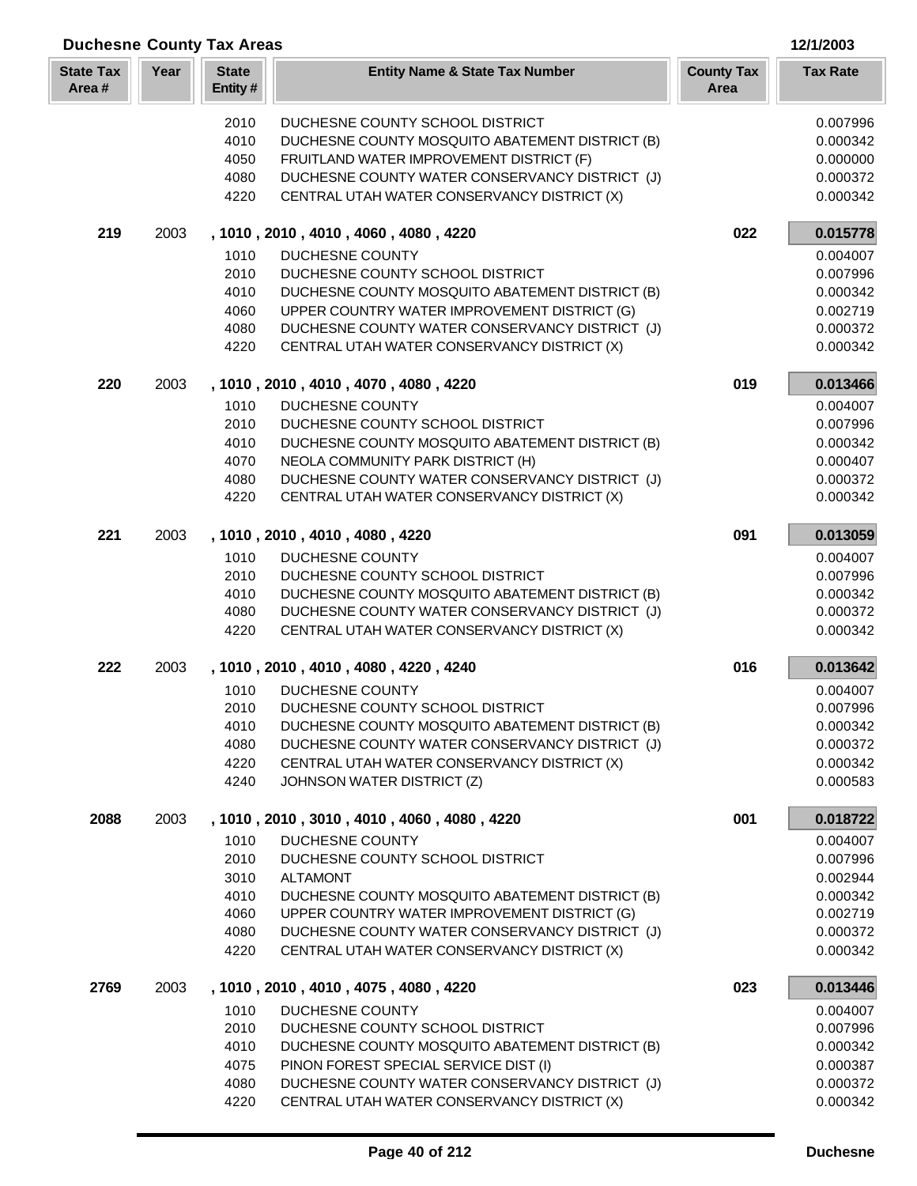| <b>Duchesne County Tax Areas</b> |      | 12/1/2003               |                                                                                                |                           |                      |
|----------------------------------|------|-------------------------|------------------------------------------------------------------------------------------------|---------------------------|----------------------|
| <b>State Tax</b><br>Area#        | Year | <b>State</b><br>Entity# | <b>Entity Name &amp; State Tax Number</b>                                                      | <b>County Tax</b><br>Area | <b>Tax Rate</b>      |
|                                  |      | 2010                    | DUCHESNE COUNTY SCHOOL DISTRICT                                                                |                           | 0.007996             |
|                                  |      | 4010                    | DUCHESNE COUNTY MOSQUITO ABATEMENT DISTRICT (B)                                                |                           | 0.000342             |
|                                  |      | 4050                    | FRUITLAND WATER IMPROVEMENT DISTRICT (F)                                                       |                           | 0.000000             |
|                                  |      | 4080                    | DUCHESNE COUNTY WATER CONSERVANCY DISTRICT (J)                                                 |                           | 0.000372             |
|                                  |      | 4220                    | CENTRAL UTAH WATER CONSERVANCY DISTRICT (X)                                                    |                           | 0.000342             |
| 219                              | 2003 |                         | , 1010, 2010, 4010, 4060, 4080, 4220                                                           | 022                       | 0.015778             |
|                                  |      | 1010                    | <b>DUCHESNE COUNTY</b>                                                                         |                           | 0.004007             |
|                                  |      | 2010                    | DUCHESNE COUNTY SCHOOL DISTRICT                                                                |                           | 0.007996             |
|                                  |      | 4010                    | DUCHESNE COUNTY MOSQUITO ABATEMENT DISTRICT (B)                                                |                           | 0.000342             |
|                                  |      | 4060<br>4080            | UPPER COUNTRY WATER IMPROVEMENT DISTRICT (G)<br>DUCHESNE COUNTY WATER CONSERVANCY DISTRICT (J) |                           | 0.002719<br>0.000372 |
|                                  |      | 4220                    | CENTRAL UTAH WATER CONSERVANCY DISTRICT (X)                                                    |                           | 0.000342             |
|                                  |      |                         |                                                                                                |                           |                      |
| 220                              | 2003 |                         | , 1010, 2010, 4010, 4070, 4080, 4220                                                           | 019                       | 0.013466             |
|                                  |      | 1010                    | <b>DUCHESNE COUNTY</b>                                                                         |                           | 0.004007             |
|                                  |      | 2010                    | DUCHESNE COUNTY SCHOOL DISTRICT                                                                |                           | 0.007996             |
|                                  |      | 4010<br>4070            | DUCHESNE COUNTY MOSQUITO ABATEMENT DISTRICT (B)<br>NEOLA COMMUNITY PARK DISTRICT (H)           |                           | 0.000342             |
|                                  |      | 4080                    | DUCHESNE COUNTY WATER CONSERVANCY DISTRICT (J)                                                 |                           | 0.000407<br>0.000372 |
|                                  |      | 4220                    | CENTRAL UTAH WATER CONSERVANCY DISTRICT (X)                                                    |                           | 0.000342             |
| 221                              |      |                         |                                                                                                |                           |                      |
|                                  | 2003 |                         | , 1010, 2010, 4010, 4080, 4220                                                                 | 091                       | 0.013059             |
|                                  |      | 1010<br>2010            | DUCHESNE COUNTY<br>DUCHESNE COUNTY SCHOOL DISTRICT                                             |                           | 0.004007<br>0.007996 |
|                                  |      | 4010                    | DUCHESNE COUNTY MOSQUITO ABATEMENT DISTRICT (B)                                                |                           | 0.000342             |
|                                  |      | 4080                    | DUCHESNE COUNTY WATER CONSERVANCY DISTRICT (J)                                                 |                           | 0.000372             |
|                                  |      | 4220                    | CENTRAL UTAH WATER CONSERVANCY DISTRICT (X)                                                    |                           | 0.000342             |
| 222                              | 2003 |                         | , 1010, 2010, 4010, 4080, 4220, 4240                                                           | 016                       | 0.013642             |
|                                  |      | 1010                    | DUCHESNE COUNTY                                                                                |                           | 0.004007             |
|                                  |      |                         | 2010 DUCHESNE COUNTY SCHOOL DISTRICT                                                           |                           | 0.007996             |
|                                  |      | 4010                    | DUCHESNE COUNTY MOSQUITO ABATEMENT DISTRICT (B)                                                |                           | 0.000342             |
|                                  |      | 4080                    | DUCHESNE COUNTY WATER CONSERVANCY DISTRICT (J)                                                 |                           | 0.000372             |
|                                  |      | 4220                    | CENTRAL UTAH WATER CONSERVANCY DISTRICT (X)                                                    |                           | 0.000342             |
|                                  |      | 4240                    | JOHNSON WATER DISTRICT (Z)                                                                     |                           | 0.000583             |
| 2088                             | 2003 |                         | , 1010, 2010, 3010, 4010, 4060, 4080, 4220                                                     | 001                       | 0.018722             |
|                                  |      | 1010<br>2010            | DUCHESNE COUNTY<br>DUCHESNE COUNTY SCHOOL DISTRICT                                             |                           | 0.004007             |
|                                  |      | 3010                    | <b>ALTAMONT</b>                                                                                |                           | 0.007996<br>0.002944 |
|                                  |      | 4010                    | DUCHESNE COUNTY MOSQUITO ABATEMENT DISTRICT (B)                                                |                           | 0.000342             |
|                                  |      | 4060                    | UPPER COUNTRY WATER IMPROVEMENT DISTRICT (G)                                                   |                           | 0.002719             |
|                                  |      | 4080                    | DUCHESNE COUNTY WATER CONSERVANCY DISTRICT (J)                                                 |                           | 0.000372             |
|                                  |      | 4220                    | CENTRAL UTAH WATER CONSERVANCY DISTRICT (X)                                                    |                           | 0.000342             |
| 2769                             | 2003 |                         | , 1010, 2010, 4010, 4075, 4080, 4220                                                           | 023                       | 0.013446             |
|                                  |      | 1010                    | DUCHESNE COUNTY                                                                                |                           | 0.004007             |
|                                  |      | 2010                    | DUCHESNE COUNTY SCHOOL DISTRICT                                                                |                           | 0.007996             |
|                                  |      | 4010                    | DUCHESNE COUNTY MOSQUITO ABATEMENT DISTRICT (B)                                                |                           | 0.000342             |
|                                  |      | 4075<br>4080            | PINON FOREST SPECIAL SERVICE DIST (I)<br>DUCHESNE COUNTY WATER CONSERVANCY DISTRICT (J)        |                           | 0.000387<br>0.000372 |
|                                  |      | 4220                    | CENTRAL UTAH WATER CONSERVANCY DISTRICT (X)                                                    |                           | 0.000342             |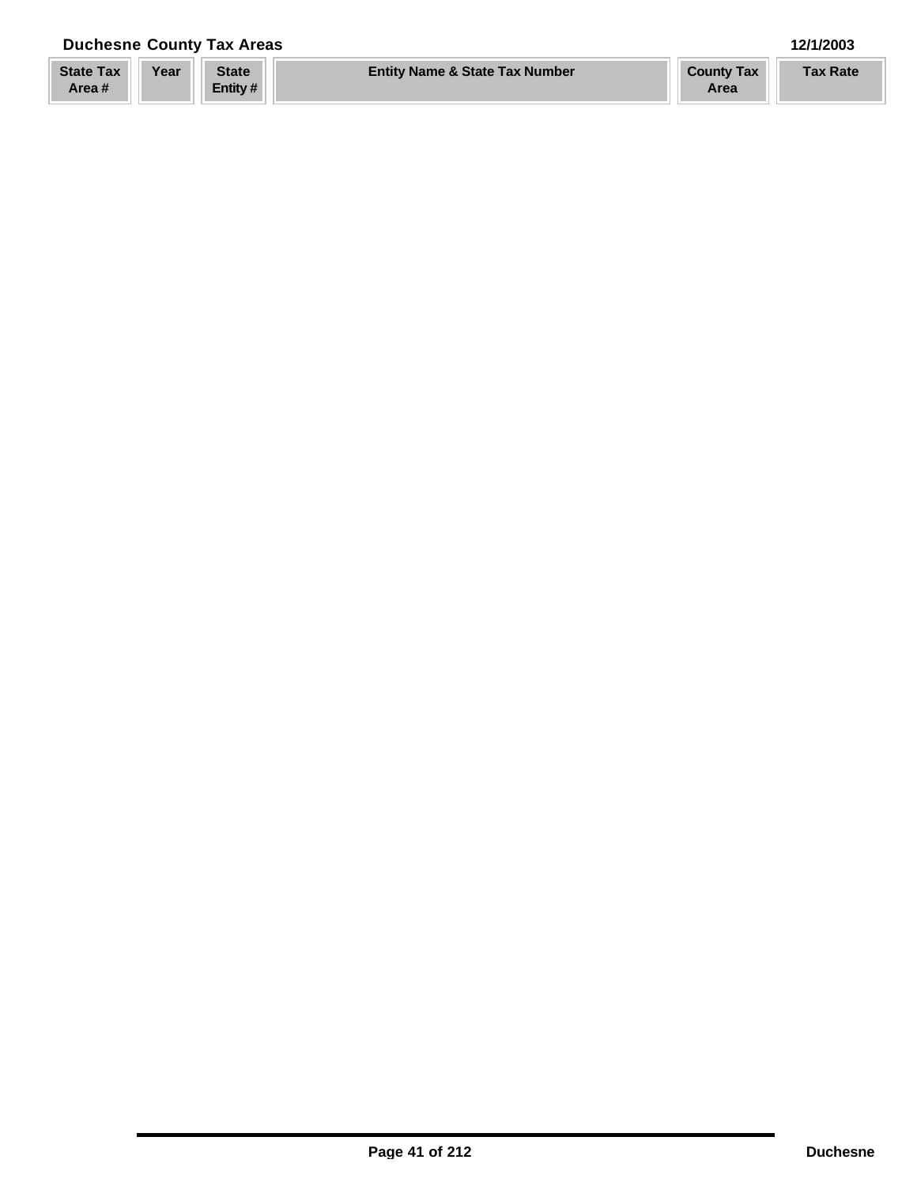## **Duchesne County Tax Areas 12/1/2003**

| <b>State Tax</b> | Year | <b>State</b> | <b>Entity Name &amp; State Tax Number</b> | <b>County Tax</b> | <b>Tax Rate</b> |
|------------------|------|--------------|-------------------------------------------|-------------------|-----------------|
| Area#            |      | Entity #     |                                           | Area              |                 |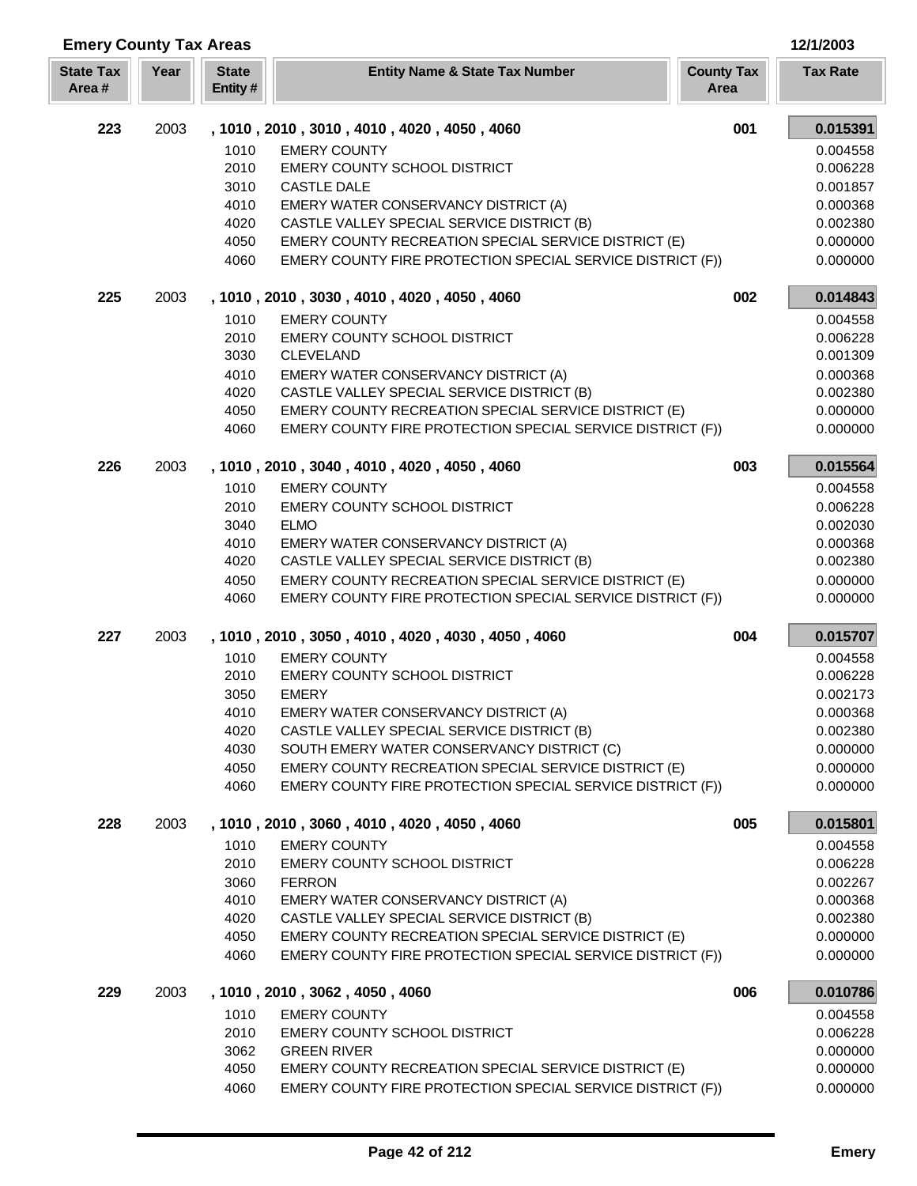| <b>Emery County Tax Areas</b> |      |                         |                                                                                                                    |                           | 12/1/2003            |
|-------------------------------|------|-------------------------|--------------------------------------------------------------------------------------------------------------------|---------------------------|----------------------|
| <b>State Tax</b><br>Area#     | Year | <b>State</b><br>Entity# | <b>Entity Name &amp; State Tax Number</b>                                                                          | <b>County Tax</b><br>Area | <b>Tax Rate</b>      |
| 223                           | 2003 |                         | , 1010, 2010, 3010, 4010, 4020, 4050, 4060                                                                         | 001                       | 0.015391             |
|                               |      | 1010                    | <b>EMERY COUNTY</b>                                                                                                |                           | 0.004558             |
|                               |      | 2010                    | <b>EMERY COUNTY SCHOOL DISTRICT</b>                                                                                |                           | 0.006228             |
|                               |      | 3010                    | <b>CASTLE DALE</b>                                                                                                 |                           | 0.001857             |
|                               |      | 4010                    | EMERY WATER CONSERVANCY DISTRICT (A)                                                                               |                           | 0.000368             |
|                               |      | 4020                    | CASTLE VALLEY SPECIAL SERVICE DISTRICT (B)                                                                         |                           | 0.002380             |
|                               |      | 4050<br>4060            | EMERY COUNTY RECREATION SPECIAL SERVICE DISTRICT (E)<br>EMERY COUNTY FIRE PROTECTION SPECIAL SERVICE DISTRICT (F)) |                           | 0.000000<br>0.000000 |
| 225                           | 2003 |                         | , 1010, 2010, 3030, 4010, 4020, 4050, 4060                                                                         | 002                       | 0.014843             |
|                               |      | 1010                    | <b>EMERY COUNTY</b>                                                                                                |                           | 0.004558             |
|                               |      | 2010                    | EMERY COUNTY SCHOOL DISTRICT                                                                                       |                           | 0.006228             |
|                               |      | 3030                    | <b>CLEVELAND</b>                                                                                                   |                           | 0.001309             |
|                               |      | 4010                    | EMERY WATER CONSERVANCY DISTRICT (A)                                                                               |                           | 0.000368             |
|                               |      | 4020                    | CASTLE VALLEY SPECIAL SERVICE DISTRICT (B)                                                                         |                           | 0.002380             |
|                               |      | 4050                    | EMERY COUNTY RECREATION SPECIAL SERVICE DISTRICT (E)                                                               |                           | 0.000000             |
|                               |      | 4060                    | EMERY COUNTY FIRE PROTECTION SPECIAL SERVICE DISTRICT (F))                                                         |                           | 0.000000             |
| 226                           | 2003 |                         | , 1010, 2010, 3040, 4010, 4020, 4050, 4060                                                                         | 003                       | 0.015564             |
|                               |      | 1010                    | <b>EMERY COUNTY</b>                                                                                                |                           | 0.004558             |
|                               |      | 2010                    | EMERY COUNTY SCHOOL DISTRICT                                                                                       |                           | 0.006228             |
|                               |      | 3040<br>4010            | <b>ELMO</b><br>EMERY WATER CONSERVANCY DISTRICT (A)                                                                |                           | 0.002030<br>0.000368 |
|                               |      | 4020                    | CASTLE VALLEY SPECIAL SERVICE DISTRICT (B)                                                                         |                           | 0.002380             |
|                               |      | 4050                    | EMERY COUNTY RECREATION SPECIAL SERVICE DISTRICT (E)                                                               |                           | 0.000000             |
|                               |      | 4060                    | EMERY COUNTY FIRE PROTECTION SPECIAL SERVICE DISTRICT (F))                                                         |                           | 0.000000             |
| 227                           | 2003 |                         | , 1010, 2010, 3050, 4010, 4020, 4030, 4050, 4060                                                                   | 004                       | 0.015707             |
|                               |      | 1010                    | <b>EMERY COUNTY</b>                                                                                                |                           | 0.004558             |
|                               |      | 2010                    | EMERY COUNTY SCHOOL DISTRICT                                                                                       |                           | 0.006228             |
|                               |      | 3050                    | <b>EMERY</b>                                                                                                       |                           | 0.002173             |
|                               |      | 4010                    | EMERY WATER CONSERVANCY DISTRICT (A)                                                                               |                           | 0.000368             |
|                               |      | 4020<br>4030            | CASTLE VALLEY SPECIAL SERVICE DISTRICT (B)<br>SOUTH EMERY WATER CONSERVANCY DISTRICT (C)                           |                           | 0.002380<br>0.000000 |
|                               |      | 4050                    | EMERY COUNTY RECREATION SPECIAL SERVICE DISTRICT (E)                                                               |                           | 0.000000             |
|                               |      | 4060                    | EMERY COUNTY FIRE PROTECTION SPECIAL SERVICE DISTRICT (F))                                                         |                           | 0.000000             |
| 228                           | 2003 |                         | , 1010, 2010, 3060, 4010, 4020, 4050, 4060                                                                         | 005                       | 0.015801             |
|                               |      | 1010                    | <b>EMERY COUNTY</b>                                                                                                |                           | 0.004558             |
|                               |      | 2010                    | EMERY COUNTY SCHOOL DISTRICT                                                                                       |                           | 0.006228             |
|                               |      | 3060                    | <b>FERRON</b>                                                                                                      |                           | 0.002267             |
|                               |      | 4010                    | EMERY WATER CONSERVANCY DISTRICT (A)                                                                               |                           | 0.000368             |
|                               |      | 4020                    | CASTLE VALLEY SPECIAL SERVICE DISTRICT (B)                                                                         |                           | 0.002380             |
|                               |      | 4050                    | EMERY COUNTY RECREATION SPECIAL SERVICE DISTRICT (E)                                                               |                           | 0.000000             |
|                               |      | 4060                    | EMERY COUNTY FIRE PROTECTION SPECIAL SERVICE DISTRICT (F))                                                         |                           | 0.000000             |
| 229                           | 2003 |                         | , 1010, 2010, 3062, 4050, 4060                                                                                     | 006                       | 0.010786             |
|                               |      | 1010<br>2010            | <b>EMERY COUNTY</b><br>EMERY COUNTY SCHOOL DISTRICT                                                                |                           | 0.004558<br>0.006228 |
|                               |      | 3062                    | <b>GREEN RIVER</b>                                                                                                 |                           | 0.000000             |
|                               |      | 4050                    | EMERY COUNTY RECREATION SPECIAL SERVICE DISTRICT (E)                                                               |                           | 0.000000             |
|                               |      | 4060                    | EMERY COUNTY FIRE PROTECTION SPECIAL SERVICE DISTRICT (F))                                                         |                           | 0.000000             |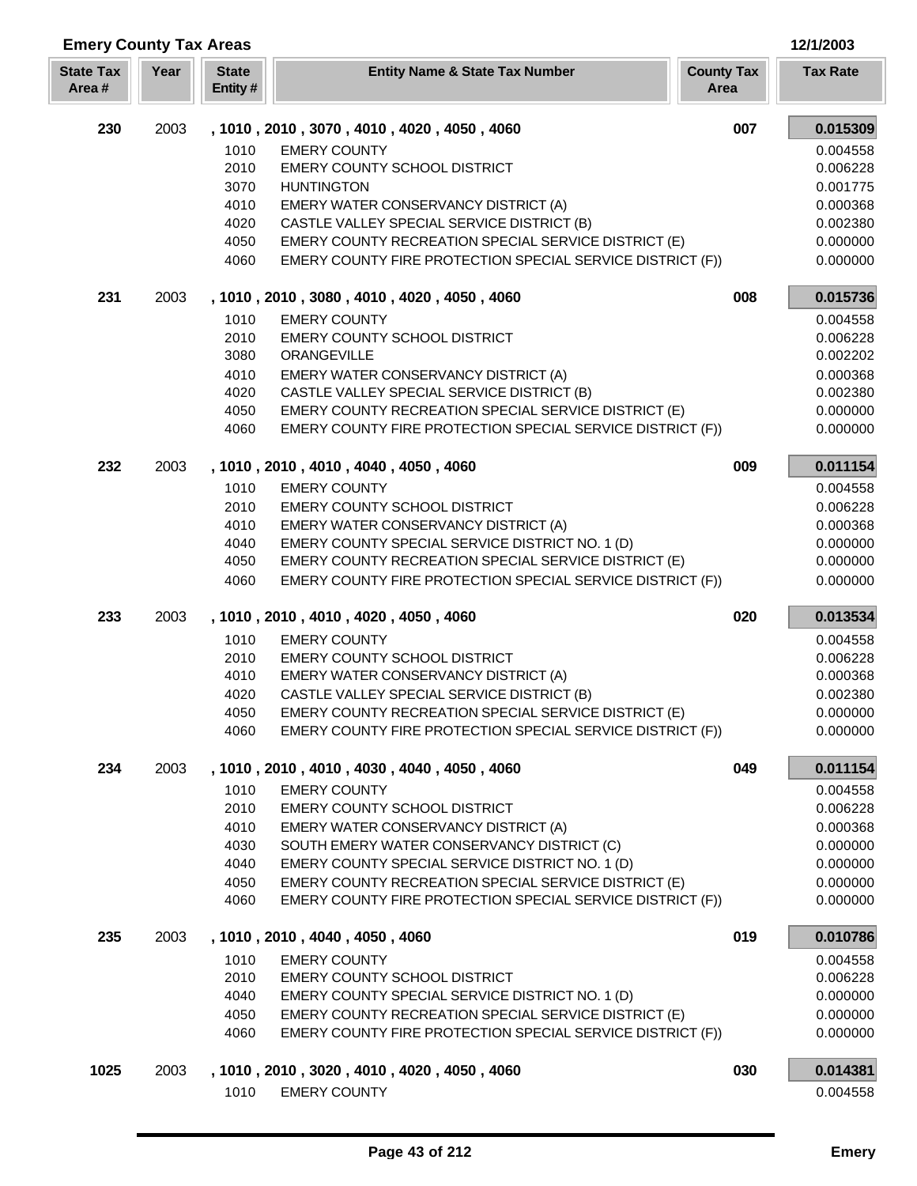| <b>Emery County Tax Areas</b> |      |                         |                                                                                                    |                           | 12/1/2003            |
|-------------------------------|------|-------------------------|----------------------------------------------------------------------------------------------------|---------------------------|----------------------|
| <b>State Tax</b><br>Area#     | Year | <b>State</b><br>Entity# | <b>Entity Name &amp; State Tax Number</b>                                                          | <b>County Tax</b><br>Area | <b>Tax Rate</b>      |
| 230                           | 2003 |                         | , 1010, 2010, 3070, 4010, 4020, 4050, 4060                                                         | 007                       | 0.015309             |
|                               |      | 1010                    | <b>EMERY COUNTY</b>                                                                                |                           | 0.004558             |
|                               |      | 2010                    | EMERY COUNTY SCHOOL DISTRICT                                                                       |                           | 0.006228             |
|                               |      | 3070                    | <b>HUNTINGTON</b>                                                                                  |                           | 0.001775             |
|                               |      | 4010                    | EMERY WATER CONSERVANCY DISTRICT (A)                                                               |                           | 0.000368             |
|                               |      | 4020<br>4050            | CASTLE VALLEY SPECIAL SERVICE DISTRICT (B)<br>EMERY COUNTY RECREATION SPECIAL SERVICE DISTRICT (E) |                           | 0.002380<br>0.000000 |
|                               |      | 4060                    | EMERY COUNTY FIRE PROTECTION SPECIAL SERVICE DISTRICT (F))                                         |                           | 0.000000             |
| 231                           | 2003 |                         | , 1010, 2010, 3080, 4010, 4020, 4050, 4060                                                         | 008                       | 0.015736             |
|                               |      | 1010                    | <b>EMERY COUNTY</b>                                                                                |                           | 0.004558             |
|                               |      | 2010                    | <b>EMERY COUNTY SCHOOL DISTRICT</b>                                                                |                           | 0.006228             |
|                               |      | 3080                    | ORANGEVILLE                                                                                        |                           | 0.002202             |
|                               |      | 4010                    | EMERY WATER CONSERVANCY DISTRICT (A)                                                               |                           | 0.000368             |
|                               |      | 4020                    | CASTLE VALLEY SPECIAL SERVICE DISTRICT (B)                                                         |                           | 0.002380             |
|                               |      | 4050                    | EMERY COUNTY RECREATION SPECIAL SERVICE DISTRICT (E)                                               |                           | 0.000000             |
|                               |      | 4060                    | EMERY COUNTY FIRE PROTECTION SPECIAL SERVICE DISTRICT (F))                                         |                           | 0.000000             |
| 232                           | 2003 |                         | , 1010, 2010, 4010, 4040, 4050, 4060                                                               | 009                       | 0.011154             |
|                               |      | 1010                    | <b>EMERY COUNTY</b>                                                                                |                           | 0.004558             |
|                               |      | 2010<br>4010            | EMERY COUNTY SCHOOL DISTRICT<br>EMERY WATER CONSERVANCY DISTRICT (A)                               |                           | 0.006228<br>0.000368 |
|                               |      | 4040                    | EMERY COUNTY SPECIAL SERVICE DISTRICT NO. 1 (D)                                                    |                           | 0.000000             |
|                               |      | 4050                    | EMERY COUNTY RECREATION SPECIAL SERVICE DISTRICT (E)                                               |                           | 0.000000             |
|                               |      | 4060                    | EMERY COUNTY FIRE PROTECTION SPECIAL SERVICE DISTRICT (F))                                         |                           | 0.000000             |
| 233                           | 2003 |                         | , 1010, 2010, 4010, 4020, 4050, 4060                                                               | 020                       | 0.013534             |
|                               |      | 1010                    | <b>EMERY COUNTY</b>                                                                                |                           | 0.004558             |
|                               |      | 2010                    | EMERY COUNTY SCHOOL DISTRICT                                                                       |                           | 0.006228             |
|                               |      | 4010                    | EMERY WATER CONSERVANCY DISTRICT (A)                                                               |                           | 0.000368             |
|                               |      | 4020<br>4050            | CASTLE VALLEY SPECIAL SERVICE DISTRICT (B)<br>EMERY COUNTY RECREATION SPECIAL SERVICE DISTRICT (E) |                           | 0.002380<br>0.000000 |
|                               |      | 4060                    | EMERY COUNTY FIRE PROTECTION SPECIAL SERVICE DISTRICT (F))                                         |                           | 0.000000             |
| 234                           | 2003 |                         | , 1010, 2010, 4010, 4030, 4040, 4050, 4060                                                         | 049                       | 0.011154             |
|                               |      | 1010                    | <b>EMERY COUNTY</b>                                                                                |                           | 0.004558             |
|                               |      | 2010                    | EMERY COUNTY SCHOOL DISTRICT                                                                       |                           | 0.006228             |
|                               |      | 4010                    | EMERY WATER CONSERVANCY DISTRICT (A)                                                               |                           | 0.000368             |
|                               |      | 4030                    | SOUTH EMERY WATER CONSERVANCY DISTRICT (C)                                                         |                           | 0.000000             |
|                               |      | 4040                    | EMERY COUNTY SPECIAL SERVICE DISTRICT NO. 1 (D)                                                    |                           | 0.000000             |
|                               |      | 4050                    | EMERY COUNTY RECREATION SPECIAL SERVICE DISTRICT (E)                                               |                           | 0.000000             |
|                               |      | 4060                    | EMERY COUNTY FIRE PROTECTION SPECIAL SERVICE DISTRICT (F))                                         |                           | 0.000000             |
| 235                           | 2003 |                         | , 1010, 2010, 4040, 4050, 4060                                                                     | 019                       | 0.010786             |
|                               |      | 1010                    | <b>EMERY COUNTY</b>                                                                                |                           | 0.004558             |
|                               |      | 2010<br>4040            | <b>EMERY COUNTY SCHOOL DISTRICT</b><br>EMERY COUNTY SPECIAL SERVICE DISTRICT NO. 1 (D)             |                           | 0.006228<br>0.000000 |
|                               |      | 4050                    | EMERY COUNTY RECREATION SPECIAL SERVICE DISTRICT (E)                                               |                           | 0.000000             |
|                               |      | 4060                    | EMERY COUNTY FIRE PROTECTION SPECIAL SERVICE DISTRICT (F))                                         |                           | 0.000000             |
| 1025                          | 2003 |                         | , 1010, 2010, 3020, 4010, 4020, 4050, 4060                                                         | 030                       | 0.014381             |
|                               |      | 1010                    | <b>EMERY COUNTY</b>                                                                                |                           | 0.004558             |
|                               |      |                         |                                                                                                    |                           |                      |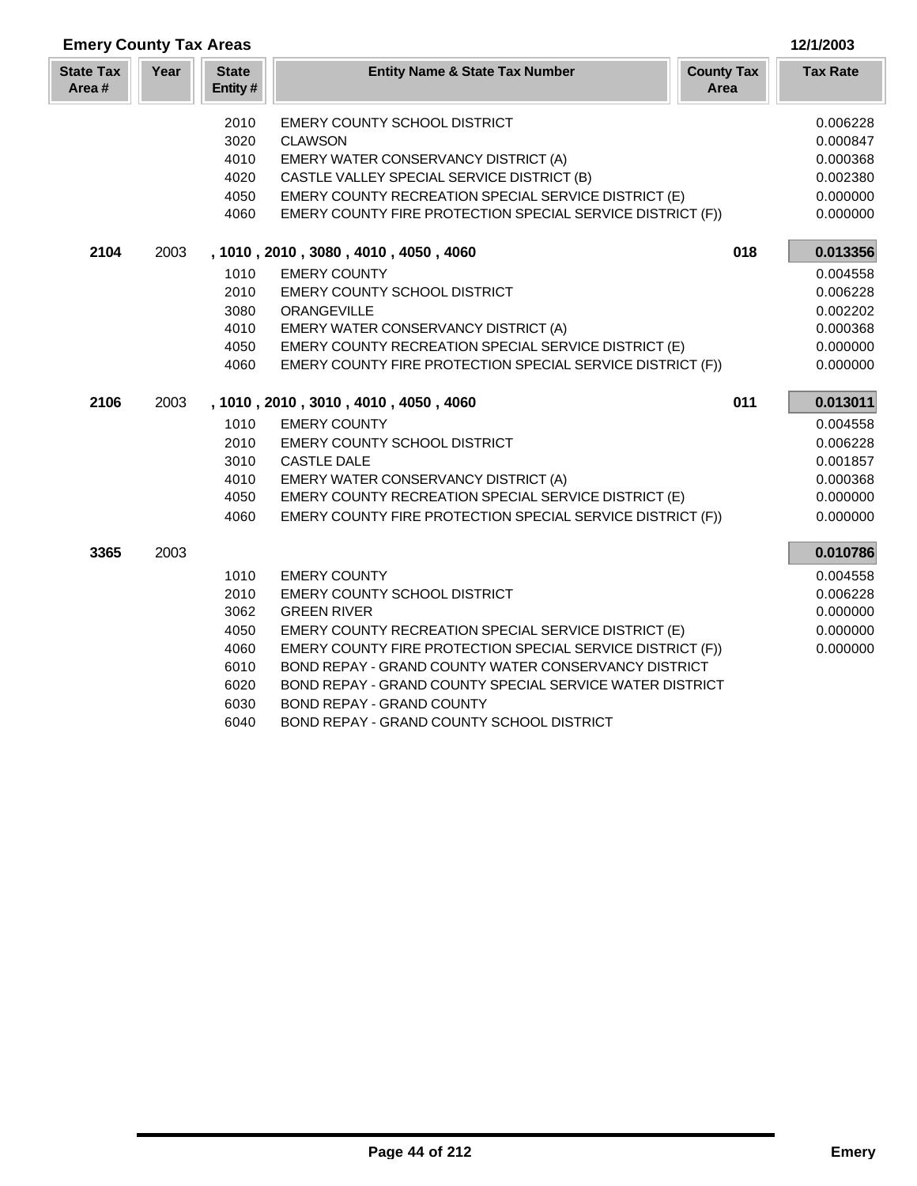| <b>Emery County Tax Areas</b> |      |                          |                                                            |                           | 12/1/2003       |
|-------------------------------|------|--------------------------|------------------------------------------------------------|---------------------------|-----------------|
| <b>State Tax</b><br>Area#     | Year | <b>State</b><br>Entity # | <b>Entity Name &amp; State Tax Number</b>                  | <b>County Tax</b><br>Area | <b>Tax Rate</b> |
|                               |      | 2010                     | EMERY COUNTY SCHOOL DISTRICT                               |                           | 0.006228        |
|                               |      | 3020                     | <b>CLAWSON</b>                                             |                           | 0.000847        |
|                               |      | 4010                     | EMERY WATER CONSERVANCY DISTRICT (A)                       |                           | 0.000368        |
|                               |      | 4020                     | CASTLE VALLEY SPECIAL SERVICE DISTRICT (B)                 |                           | 0.002380        |
|                               |      | 4050                     | EMERY COUNTY RECREATION SPECIAL SERVICE DISTRICT (E)       |                           | 0.000000        |
|                               |      | 4060                     | EMERY COUNTY FIRE PROTECTION SPECIAL SERVICE DISTRICT (F)) |                           | 0.000000        |
| 2104                          | 2003 |                          | , 1010, 2010, 3080, 4010, 4050, 4060                       | 018                       | 0.013356        |
|                               |      | 1010                     | <b>EMERY COUNTY</b>                                        |                           | 0.004558        |
|                               |      | 2010                     | EMERY COUNTY SCHOOL DISTRICT                               |                           | 0.006228        |
|                               |      | 3080                     | ORANGEVILLE                                                |                           | 0.002202        |
|                               |      | 4010                     | EMERY WATER CONSERVANCY DISTRICT (A)                       |                           | 0.000368        |
|                               |      | 4050                     | EMERY COUNTY RECREATION SPECIAL SERVICE DISTRICT (E)       |                           | 0.000000        |
|                               |      | 4060                     | EMERY COUNTY FIRE PROTECTION SPECIAL SERVICE DISTRICT (F)) |                           | 0.000000        |
| 2106                          | 2003 |                          | , 1010, 2010, 3010, 4010, 4050, 4060                       | 011                       | 0.013011        |
|                               |      | 1010                     | <b>EMERY COUNTY</b>                                        |                           | 0.004558        |
|                               |      | 2010                     | EMERY COUNTY SCHOOL DISTRICT                               |                           | 0.006228        |
|                               |      | 3010                     | <b>CASTLE DALE</b>                                         |                           | 0.001857        |
|                               |      | 4010                     | EMERY WATER CONSERVANCY DISTRICT (A)                       |                           | 0.000368        |
|                               |      | 4050                     | EMERY COUNTY RECREATION SPECIAL SERVICE DISTRICT (E)       |                           | 0.000000        |
|                               |      | 4060                     | EMERY COUNTY FIRE PROTECTION SPECIAL SERVICE DISTRICT (F)) |                           | 0.000000        |
| 3365                          | 2003 |                          |                                                            |                           | 0.010786        |
|                               |      | 1010                     | <b>EMERY COUNTY</b>                                        |                           | 0.004558        |
|                               |      | 2010                     | <b>EMERY COUNTY SCHOOL DISTRICT</b>                        |                           | 0.006228        |
|                               |      | 3062                     | <b>GREEN RIVER</b>                                         |                           | 0.000000        |
|                               |      | 4050                     | EMERY COUNTY RECREATION SPECIAL SERVICE DISTRICT (E)       |                           | 0.000000        |
|                               |      | 4060                     | EMERY COUNTY FIRE PROTECTION SPECIAL SERVICE DISTRICT (F)) |                           | 0.000000        |
|                               |      | 6010                     | BOND REPAY - GRAND COUNTY WATER CONSERVANCY DISTRICT       |                           |                 |
|                               |      | 6020                     | BOND REPAY - GRAND COUNTY SPECIAL SERVICE WATER DISTRICT   |                           |                 |
|                               |      | 6030                     | <b>BOND REPAY - GRAND COUNTY</b>                           |                           |                 |
|                               |      | 6040                     | BOND REPAY - GRAND COUNTY SCHOOL DISTRICT                  |                           |                 |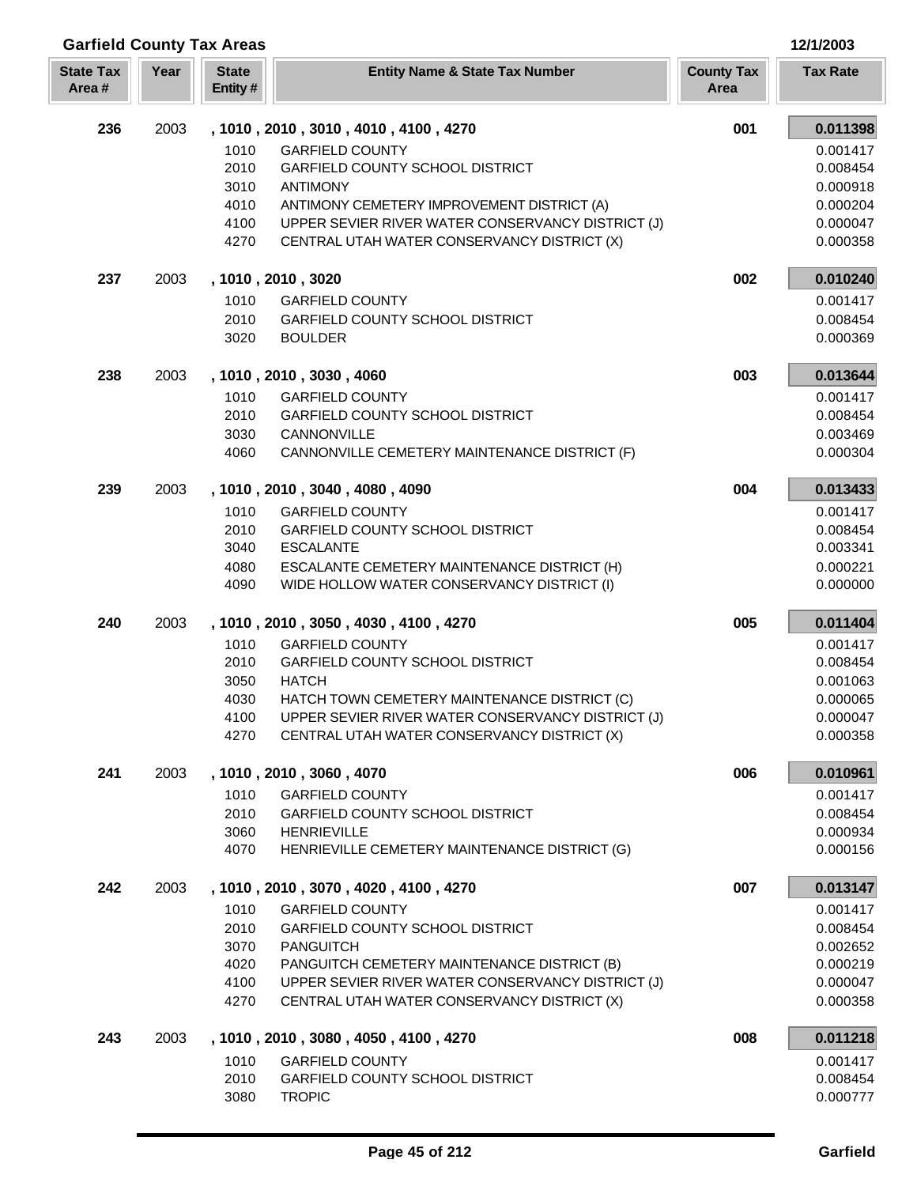| <b>Garfield County Tax Areas</b> |      |                         |                                                   |                           | 12/1/2003       |
|----------------------------------|------|-------------------------|---------------------------------------------------|---------------------------|-----------------|
| <b>State Tax</b><br>Area#        | Year | <b>State</b><br>Entity# | <b>Entity Name &amp; State Tax Number</b>         | <b>County Tax</b><br>Area | <b>Tax Rate</b> |
| 236                              | 2003 |                         | , 1010, 2010, 3010, 4010, 4100, 4270              | 001                       | 0.011398        |
|                                  |      | 1010                    | <b>GARFIELD COUNTY</b>                            |                           | 0.001417        |
|                                  |      | 2010                    | <b>GARFIELD COUNTY SCHOOL DISTRICT</b>            |                           | 0.008454        |
|                                  |      | 3010                    | <b>ANTIMONY</b>                                   |                           | 0.000918        |
|                                  |      | 4010                    | ANTIMONY CEMETERY IMPROVEMENT DISTRICT (A)        |                           | 0.000204        |
|                                  |      | 4100                    | UPPER SEVIER RIVER WATER CONSERVANCY DISTRICT (J) |                           | 0.000047        |
|                                  |      | 4270                    | CENTRAL UTAH WATER CONSERVANCY DISTRICT (X)       |                           | 0.000358        |
| 237                              | 2003 |                         | , 1010, 2010, 3020                                | 002                       | 0.010240        |
|                                  |      | 1010                    | <b>GARFIELD COUNTY</b>                            |                           | 0.001417        |
|                                  |      | 2010                    | <b>GARFIELD COUNTY SCHOOL DISTRICT</b>            |                           | 0.008454        |
|                                  |      | 3020                    | <b>BOULDER</b>                                    |                           | 0.000369        |
| 238                              | 2003 |                         | , 1010, 2010, 3030, 4060                          | 003                       | 0.013644        |
|                                  |      | 1010                    | <b>GARFIELD COUNTY</b>                            |                           | 0.001417        |
|                                  |      | 2010                    | <b>GARFIELD COUNTY SCHOOL DISTRICT</b>            |                           | 0.008454        |
|                                  |      | 3030                    | CANNONVILLE                                       |                           | 0.003469        |
|                                  |      | 4060                    | CANNONVILLE CEMETERY MAINTENANCE DISTRICT (F)     |                           | 0.000304        |
| 239                              | 2003 |                         | , 1010, 2010, 3040, 4080, 4090                    | 004                       | 0.013433        |
|                                  |      | 1010                    | <b>GARFIELD COUNTY</b>                            |                           | 0.001417        |
|                                  |      | 2010                    | GARFIELD COUNTY SCHOOL DISTRICT                   |                           | 0.008454        |
|                                  |      | 3040                    | <b>ESCALANTE</b>                                  |                           | 0.003341        |
|                                  |      | 4080                    | ESCALANTE CEMETERY MAINTENANCE DISTRICT (H)       |                           | 0.000221        |
|                                  |      | 4090                    | WIDE HOLLOW WATER CONSERVANCY DISTRICT (I)        |                           | 0.000000        |
| 240                              | 2003 |                         | , 1010, 2010, 3050, 4030, 4100, 4270              | 005                       | 0.011404        |
|                                  |      | 1010                    | <b>GARFIELD COUNTY</b>                            |                           | 0.001417        |
|                                  |      | 2010                    | GARFIELD COUNTY SCHOOL DISTRICT                   |                           | 0.008454        |
|                                  |      | 3050                    | <b>HATCH</b>                                      |                           | 0.001063        |
|                                  |      | 4030                    | HATCH TOWN CEMETERY MAINTENANCE DISTRICT (C)      |                           | 0.000065        |
|                                  |      | 4100                    | UPPER SEVIER RIVER WATER CONSERVANCY DISTRICT (J) |                           | 0.000047        |
|                                  |      | 4270                    | CENTRAL UTAH WATER CONSERVANCY DISTRICT (X)       |                           | 0.000358        |
| 241                              | 2003 |                         | , 1010, 2010, 3060, 4070                          | 006                       | 0.010961        |
|                                  |      | 1010                    | <b>GARFIELD COUNTY</b>                            |                           | 0.001417        |
|                                  |      | 2010                    | <b>GARFIELD COUNTY SCHOOL DISTRICT</b>            |                           | 0.008454        |
|                                  |      | 3060                    | <b>HENRIEVILLE</b>                                |                           | 0.000934        |
|                                  |      | 4070                    | HENRIEVILLE CEMETERY MAINTENANCE DISTRICT (G)     |                           | 0.000156        |
| 242                              | 2003 |                         | , 1010, 2010, 3070, 4020, 4100, 4270              | 007                       | 0.013147        |
|                                  |      | 1010                    | <b>GARFIELD COUNTY</b>                            |                           | 0.001417        |
|                                  |      | 2010                    | <b>GARFIELD COUNTY SCHOOL DISTRICT</b>            |                           | 0.008454        |
|                                  |      | 3070                    | <b>PANGUITCH</b>                                  |                           | 0.002652        |
|                                  |      | 4020                    | PANGUITCH CEMETERY MAINTENANCE DISTRICT (B)       |                           | 0.000219        |
|                                  |      | 4100                    | UPPER SEVIER RIVER WATER CONSERVANCY DISTRICT (J) |                           | 0.000047        |
|                                  |      | 4270                    | CENTRAL UTAH WATER CONSERVANCY DISTRICT (X)       |                           | 0.000358        |
| 243                              | 2003 |                         | , 1010, 2010, 3080, 4050, 4100, 4270              | 008                       | 0.011218        |
|                                  |      | 1010                    | <b>GARFIELD COUNTY</b>                            |                           | 0.001417        |
|                                  |      | 2010                    | <b>GARFIELD COUNTY SCHOOL DISTRICT</b>            |                           | 0.008454        |
|                                  |      | 3080                    | <b>TROPIC</b>                                     |                           | 0.000777        |

Γ L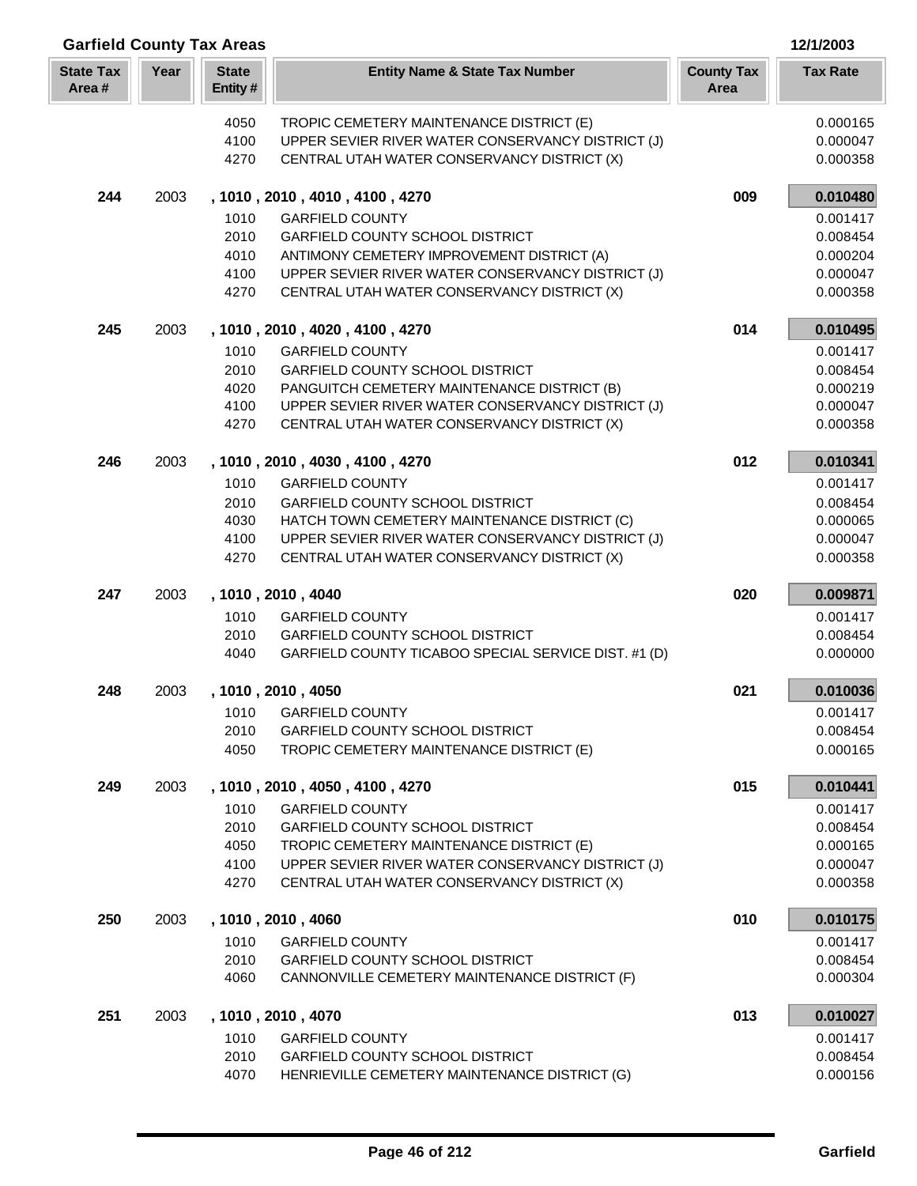| Year<br><b>State</b><br><b>State Tax</b><br><b>Entity Name &amp; State Tax Number</b><br><b>County Tax</b><br><b>Tax Rate</b><br>Area#<br>Entity#<br>Area<br>0.000165<br>4050<br>TROPIC CEMETERY MAINTENANCE DISTRICT (E)<br>4100<br>UPPER SEVIER RIVER WATER CONSERVANCY DISTRICT (J)<br>0.000047<br>4270<br>CENTRAL UTAH WATER CONSERVANCY DISTRICT (X)<br>0.000358<br>0.010480<br>244<br>2003<br>009<br>, 1010, 2010, 4010, 4100, 4270<br>1010<br><b>GARFIELD COUNTY</b><br>0.001417<br>2010<br><b>GARFIELD COUNTY SCHOOL DISTRICT</b><br>0.008454<br>4010<br>ANTIMONY CEMETERY IMPROVEMENT DISTRICT (A)<br>0.000204<br>4100<br>UPPER SEVIER RIVER WATER CONSERVANCY DISTRICT (J)<br>0.000047<br>4270<br>CENTRAL UTAH WATER CONSERVANCY DISTRICT (X)<br>0.000358<br>245<br>2003<br>, 1010, 2010, 4020, 4100, 4270<br>014<br>0.010495<br>1010<br><b>GARFIELD COUNTY</b><br>0.001417<br>2010<br>GARFIELD COUNTY SCHOOL DISTRICT<br>0.008454<br>4020<br>PANGUITCH CEMETERY MAINTENANCE DISTRICT (B)<br>0.000219<br>4100<br>UPPER SEVIER RIVER WATER CONSERVANCY DISTRICT (J)<br>0.000047<br>4270<br>CENTRAL UTAH WATER CONSERVANCY DISTRICT (X)<br>0.000358 |  |
|-------------------------------------------------------------------------------------------------------------------------------------------------------------------------------------------------------------------------------------------------------------------------------------------------------------------------------------------------------------------------------------------------------------------------------------------------------------------------------------------------------------------------------------------------------------------------------------------------------------------------------------------------------------------------------------------------------------------------------------------------------------------------------------------------------------------------------------------------------------------------------------------------------------------------------------------------------------------------------------------------------------------------------------------------------------------------------------------------------------------------------------------------------------|--|
|                                                                                                                                                                                                                                                                                                                                                                                                                                                                                                                                                                                                                                                                                                                                                                                                                                                                                                                                                                                                                                                                                                                                                             |  |
|                                                                                                                                                                                                                                                                                                                                                                                                                                                                                                                                                                                                                                                                                                                                                                                                                                                                                                                                                                                                                                                                                                                                                             |  |
|                                                                                                                                                                                                                                                                                                                                                                                                                                                                                                                                                                                                                                                                                                                                                                                                                                                                                                                                                                                                                                                                                                                                                             |  |
|                                                                                                                                                                                                                                                                                                                                                                                                                                                                                                                                                                                                                                                                                                                                                                                                                                                                                                                                                                                                                                                                                                                                                             |  |
|                                                                                                                                                                                                                                                                                                                                                                                                                                                                                                                                                                                                                                                                                                                                                                                                                                                                                                                                                                                                                                                                                                                                                             |  |
|                                                                                                                                                                                                                                                                                                                                                                                                                                                                                                                                                                                                                                                                                                                                                                                                                                                                                                                                                                                                                                                                                                                                                             |  |
|                                                                                                                                                                                                                                                                                                                                                                                                                                                                                                                                                                                                                                                                                                                                                                                                                                                                                                                                                                                                                                                                                                                                                             |  |
|                                                                                                                                                                                                                                                                                                                                                                                                                                                                                                                                                                                                                                                                                                                                                                                                                                                                                                                                                                                                                                                                                                                                                             |  |
|                                                                                                                                                                                                                                                                                                                                                                                                                                                                                                                                                                                                                                                                                                                                                                                                                                                                                                                                                                                                                                                                                                                                                             |  |
|                                                                                                                                                                                                                                                                                                                                                                                                                                                                                                                                                                                                                                                                                                                                                                                                                                                                                                                                                                                                                                                                                                                                                             |  |
|                                                                                                                                                                                                                                                                                                                                                                                                                                                                                                                                                                                                                                                                                                                                                                                                                                                                                                                                                                                                                                                                                                                                                             |  |
|                                                                                                                                                                                                                                                                                                                                                                                                                                                                                                                                                                                                                                                                                                                                                                                                                                                                                                                                                                                                                                                                                                                                                             |  |
|                                                                                                                                                                                                                                                                                                                                                                                                                                                                                                                                                                                                                                                                                                                                                                                                                                                                                                                                                                                                                                                                                                                                                             |  |
|                                                                                                                                                                                                                                                                                                                                                                                                                                                                                                                                                                                                                                                                                                                                                                                                                                                                                                                                                                                                                                                                                                                                                             |  |
|                                                                                                                                                                                                                                                                                                                                                                                                                                                                                                                                                                                                                                                                                                                                                                                                                                                                                                                                                                                                                                                                                                                                                             |  |
|                                                                                                                                                                                                                                                                                                                                                                                                                                                                                                                                                                                                                                                                                                                                                                                                                                                                                                                                                                                                                                                                                                                                                             |  |
| 246<br>2003<br>012<br>0.010341<br>, 1010, 2010, 4030, 4100, 4270                                                                                                                                                                                                                                                                                                                                                                                                                                                                                                                                                                                                                                                                                                                                                                                                                                                                                                                                                                                                                                                                                            |  |
| <b>GARFIELD COUNTY</b><br>0.001417<br>1010                                                                                                                                                                                                                                                                                                                                                                                                                                                                                                                                                                                                                                                                                                                                                                                                                                                                                                                                                                                                                                                                                                                  |  |
| 2010<br>GARFIELD COUNTY SCHOOL DISTRICT<br>0.008454                                                                                                                                                                                                                                                                                                                                                                                                                                                                                                                                                                                                                                                                                                                                                                                                                                                                                                                                                                                                                                                                                                         |  |
| 4030<br>HATCH TOWN CEMETERY MAINTENANCE DISTRICT (C)<br>0.000065                                                                                                                                                                                                                                                                                                                                                                                                                                                                                                                                                                                                                                                                                                                                                                                                                                                                                                                                                                                                                                                                                            |  |
| 4100<br>UPPER SEVIER RIVER WATER CONSERVANCY DISTRICT (J)<br>0.000047                                                                                                                                                                                                                                                                                                                                                                                                                                                                                                                                                                                                                                                                                                                                                                                                                                                                                                                                                                                                                                                                                       |  |
| 4270<br>CENTRAL UTAH WATER CONSERVANCY DISTRICT (X)<br>0.000358                                                                                                                                                                                                                                                                                                                                                                                                                                                                                                                                                                                                                                                                                                                                                                                                                                                                                                                                                                                                                                                                                             |  |
| 247<br>0.009871<br>2003<br>, 1010, 2010, 4040<br>020                                                                                                                                                                                                                                                                                                                                                                                                                                                                                                                                                                                                                                                                                                                                                                                                                                                                                                                                                                                                                                                                                                        |  |
| 1010<br><b>GARFIELD COUNTY</b><br>0.001417                                                                                                                                                                                                                                                                                                                                                                                                                                                                                                                                                                                                                                                                                                                                                                                                                                                                                                                                                                                                                                                                                                                  |  |
| 2010<br><b>GARFIELD COUNTY SCHOOL DISTRICT</b><br>0.008454                                                                                                                                                                                                                                                                                                                                                                                                                                                                                                                                                                                                                                                                                                                                                                                                                                                                                                                                                                                                                                                                                                  |  |
| 4040<br>GARFIELD COUNTY TICABOO SPECIAL SERVICE DIST. #1 (D)<br>0.000000                                                                                                                                                                                                                                                                                                                                                                                                                                                                                                                                                                                                                                                                                                                                                                                                                                                                                                                                                                                                                                                                                    |  |
| 0.010036<br>248<br>2003<br>, 1010, 2010, 4050<br>021                                                                                                                                                                                                                                                                                                                                                                                                                                                                                                                                                                                                                                                                                                                                                                                                                                                                                                                                                                                                                                                                                                        |  |
| 1010 GARFIELD COUNTY<br>0.001417                                                                                                                                                                                                                                                                                                                                                                                                                                                                                                                                                                                                                                                                                                                                                                                                                                                                                                                                                                                                                                                                                                                            |  |
| 2010<br><b>GARFIELD COUNTY SCHOOL DISTRICT</b><br>0.008454                                                                                                                                                                                                                                                                                                                                                                                                                                                                                                                                                                                                                                                                                                                                                                                                                                                                                                                                                                                                                                                                                                  |  |
| 4050<br>TROPIC CEMETERY MAINTENANCE DISTRICT (E)<br>0.000165                                                                                                                                                                                                                                                                                                                                                                                                                                                                                                                                                                                                                                                                                                                                                                                                                                                                                                                                                                                                                                                                                                |  |
| 015<br>249<br>2003<br>0.010441<br>, 1010, 2010, 4050, 4100, 4270                                                                                                                                                                                                                                                                                                                                                                                                                                                                                                                                                                                                                                                                                                                                                                                                                                                                                                                                                                                                                                                                                            |  |
| 1010<br><b>GARFIELD COUNTY</b><br>0.001417                                                                                                                                                                                                                                                                                                                                                                                                                                                                                                                                                                                                                                                                                                                                                                                                                                                                                                                                                                                                                                                                                                                  |  |
| 2010<br><b>GARFIELD COUNTY SCHOOL DISTRICT</b><br>0.008454<br>4050<br>TROPIC CEMETERY MAINTENANCE DISTRICT (E)<br>0.000165                                                                                                                                                                                                                                                                                                                                                                                                                                                                                                                                                                                                                                                                                                                                                                                                                                                                                                                                                                                                                                  |  |
| 4100<br>UPPER SEVIER RIVER WATER CONSERVANCY DISTRICT (J)<br>0.000047                                                                                                                                                                                                                                                                                                                                                                                                                                                                                                                                                                                                                                                                                                                                                                                                                                                                                                                                                                                                                                                                                       |  |
| 4270<br>CENTRAL UTAH WATER CONSERVANCY DISTRICT (X)<br>0.000358                                                                                                                                                                                                                                                                                                                                                                                                                                                                                                                                                                                                                                                                                                                                                                                                                                                                                                                                                                                                                                                                                             |  |
|                                                                                                                                                                                                                                                                                                                                                                                                                                                                                                                                                                                                                                                                                                                                                                                                                                                                                                                                                                                                                                                                                                                                                             |  |
| 250<br>010<br>0.010175<br>2003<br>, 1010, 2010, 4060                                                                                                                                                                                                                                                                                                                                                                                                                                                                                                                                                                                                                                                                                                                                                                                                                                                                                                                                                                                                                                                                                                        |  |
| 1010<br><b>GARFIELD COUNTY</b><br>0.001417                                                                                                                                                                                                                                                                                                                                                                                                                                                                                                                                                                                                                                                                                                                                                                                                                                                                                                                                                                                                                                                                                                                  |  |
| 2010<br><b>GARFIELD COUNTY SCHOOL DISTRICT</b><br>0.008454<br>CANNONVILLE CEMETERY MAINTENANCE DISTRICT (F)<br>0.000304<br>4060                                                                                                                                                                                                                                                                                                                                                                                                                                                                                                                                                                                                                                                                                                                                                                                                                                                                                                                                                                                                                             |  |
|                                                                                                                                                                                                                                                                                                                                                                                                                                                                                                                                                                                                                                                                                                                                                                                                                                                                                                                                                                                                                                                                                                                                                             |  |
| 013<br>0.010027<br>251<br>2003<br>, 1010, 2010, 4070                                                                                                                                                                                                                                                                                                                                                                                                                                                                                                                                                                                                                                                                                                                                                                                                                                                                                                                                                                                                                                                                                                        |  |
| 1010<br><b>GARFIELD COUNTY</b><br>0.001417                                                                                                                                                                                                                                                                                                                                                                                                                                                                                                                                                                                                                                                                                                                                                                                                                                                                                                                                                                                                                                                                                                                  |  |
| 2010<br><b>GARFIELD COUNTY SCHOOL DISTRICT</b><br>0.008454<br>HENRIEVILLE CEMETERY MAINTENANCE DISTRICT (G)<br>0.000156<br>4070                                                                                                                                                                                                                                                                                                                                                                                                                                                                                                                                                                                                                                                                                                                                                                                                                                                                                                                                                                                                                             |  |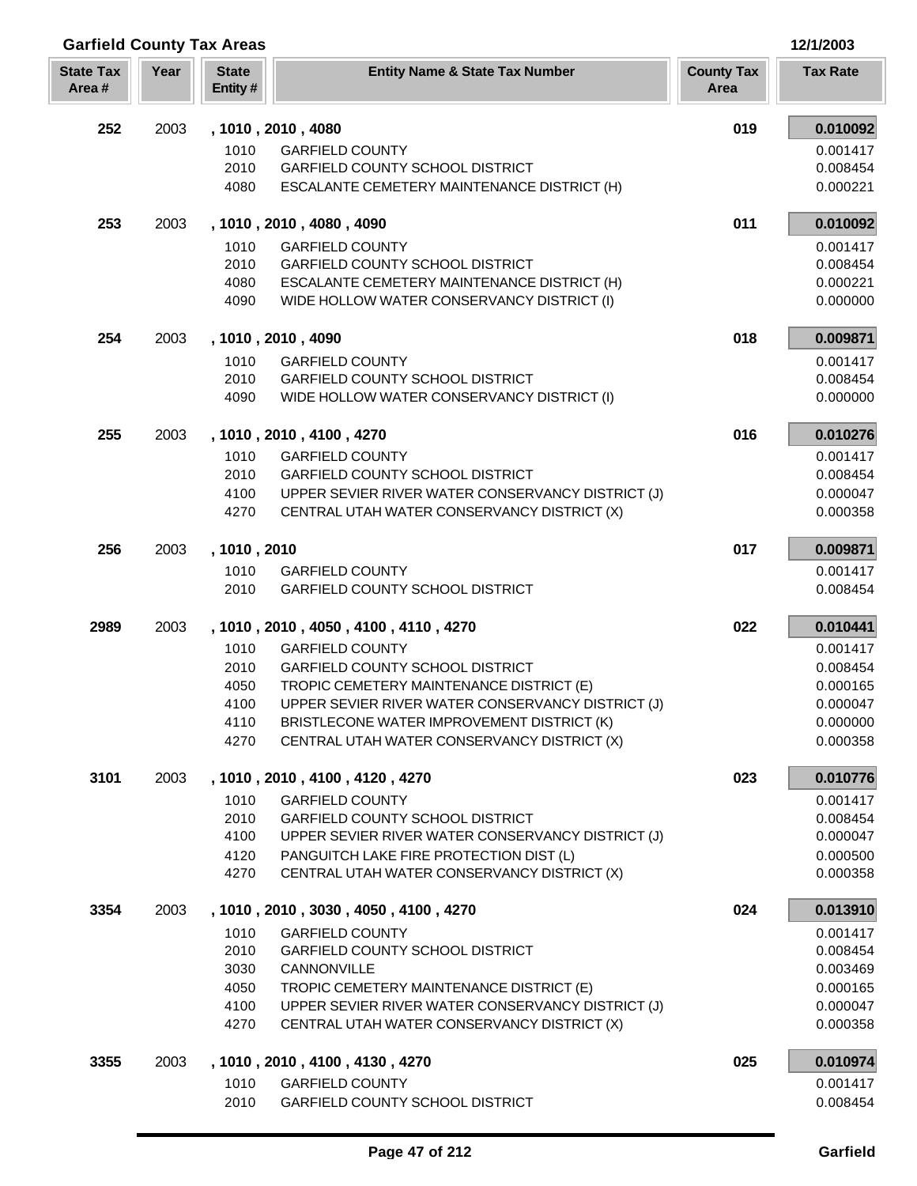| <b>Garfield County Tax Areas</b> |      |                         |                                                                                               |                           | 12/1/2003            |
|----------------------------------|------|-------------------------|-----------------------------------------------------------------------------------------------|---------------------------|----------------------|
| <b>State Tax</b><br>Area#        | Year | <b>State</b><br>Entity# | <b>Entity Name &amp; State Tax Number</b>                                                     | <b>County Tax</b><br>Area | <b>Tax Rate</b>      |
| 252                              | 2003 |                         | , 1010, 2010, 4080                                                                            | 019                       | 0.010092             |
|                                  |      | 1010                    | <b>GARFIELD COUNTY</b>                                                                        |                           | 0.001417             |
|                                  |      | 2010                    | GARFIELD COUNTY SCHOOL DISTRICT                                                               |                           | 0.008454             |
|                                  |      | 4080                    | ESCALANTE CEMETERY MAINTENANCE DISTRICT (H)                                                   |                           | 0.000221             |
| 253                              | 2003 |                         | , 1010, 2010, 4080, 4090                                                                      | 011                       | 0.010092             |
|                                  |      | 1010                    | <b>GARFIELD COUNTY</b>                                                                        |                           | 0.001417             |
|                                  |      | 2010                    | <b>GARFIELD COUNTY SCHOOL DISTRICT</b>                                                        |                           | 0.008454             |
|                                  |      | 4080                    | ESCALANTE CEMETERY MAINTENANCE DISTRICT (H)                                                   |                           | 0.000221             |
|                                  |      | 4090                    | WIDE HOLLOW WATER CONSERVANCY DISTRICT (I)                                                    |                           | 0.000000             |
| 254                              | 2003 |                         | , 1010, 2010, 4090                                                                            | 018                       | 0.009871             |
|                                  |      | 1010                    | <b>GARFIELD COUNTY</b>                                                                        |                           | 0.001417             |
|                                  |      | 2010                    | <b>GARFIELD COUNTY SCHOOL DISTRICT</b>                                                        |                           | 0.008454             |
|                                  |      | 4090                    | WIDE HOLLOW WATER CONSERVANCY DISTRICT (I)                                                    |                           | 0.000000             |
| 255                              | 2003 |                         | , 1010, 2010, 4100, 4270                                                                      | 016                       | 0.010276             |
|                                  |      | 1010                    | <b>GARFIELD COUNTY</b>                                                                        |                           | 0.001417             |
|                                  |      | 2010                    | <b>GARFIELD COUNTY SCHOOL DISTRICT</b>                                                        |                           | 0.008454             |
|                                  |      | 4100                    | UPPER SEVIER RIVER WATER CONSERVANCY DISTRICT (J)                                             |                           | 0.000047             |
|                                  |      | 4270                    | CENTRAL UTAH WATER CONSERVANCY DISTRICT (X)                                                   |                           | 0.000358             |
| 256                              | 2003 | , 1010, 2010            |                                                                                               | 017                       | 0.009871             |
|                                  |      | 1010                    | <b>GARFIELD COUNTY</b>                                                                        |                           | 0.001417             |
|                                  |      | 2010                    | <b>GARFIELD COUNTY SCHOOL DISTRICT</b>                                                        |                           | 0.008454             |
| 2989                             | 2003 |                         | , 1010, 2010, 4050, 4100, 4110, 4270                                                          | 022                       | 0.010441             |
|                                  |      | 1010                    | <b>GARFIELD COUNTY</b>                                                                        |                           | 0.001417             |
|                                  |      | 2010                    | <b>GARFIELD COUNTY SCHOOL DISTRICT</b>                                                        |                           | 0.008454             |
|                                  |      | 4050                    | TROPIC CEMETERY MAINTENANCE DISTRICT (E)                                                      |                           | 0.000165             |
|                                  |      | 4100                    | UPPER SEVIER RIVER WATER CONSERVANCY DISTRICT (J)                                             |                           | 0.000047             |
|                                  |      | 4110                    | BRISTLECONE WATER IMPROVEMENT DISTRICT (K)                                                    |                           | 0.000000             |
|                                  |      | 4270                    | CENTRAL UTAH WATER CONSERVANCY DISTRICT (X)                                                   |                           | 0.000358             |
| 3101                             | 2003 |                         | , 1010, 2010, 4100, 4120, 4270                                                                | 023                       | 0.010776             |
|                                  |      | 1010                    | <b>GARFIELD COUNTY</b>                                                                        |                           | 0.001417             |
|                                  |      | 2010                    | <b>GARFIELD COUNTY SCHOOL DISTRICT</b>                                                        |                           | 0.008454             |
|                                  |      | 4100                    | UPPER SEVIER RIVER WATER CONSERVANCY DISTRICT (J)                                             |                           | 0.000047             |
|                                  |      | 4120                    | PANGUITCH LAKE FIRE PROTECTION DIST (L)                                                       |                           | 0.000500             |
|                                  |      | 4270                    | CENTRAL UTAH WATER CONSERVANCY DISTRICT (X)                                                   |                           | 0.000358             |
| 3354                             | 2003 |                         | , 1010, 2010, 3030, 4050, 4100, 4270                                                          | 024                       | 0.013910             |
|                                  |      | 1010                    | <b>GARFIELD COUNTY</b>                                                                        |                           | 0.001417             |
|                                  |      | 2010                    | GARFIELD COUNTY SCHOOL DISTRICT                                                               |                           | 0.008454             |
|                                  |      | 3030                    | CANNONVILLE                                                                                   |                           | 0.003469             |
|                                  |      | 4050<br>4100            | TROPIC CEMETERY MAINTENANCE DISTRICT (E)<br>UPPER SEVIER RIVER WATER CONSERVANCY DISTRICT (J) |                           | 0.000165<br>0.000047 |
|                                  |      | 4270                    | CENTRAL UTAH WATER CONSERVANCY DISTRICT (X)                                                   |                           | 0.000358             |
| 3355                             | 2003 |                         | , 1010, 2010, 4100, 4130, 4270                                                                | 025                       | 0.010974             |
|                                  |      | 1010                    | <b>GARFIELD COUNTY</b>                                                                        |                           | 0.001417             |
|                                  |      | 2010                    | GARFIELD COUNTY SCHOOL DISTRICT                                                               |                           | 0.008454             |
|                                  |      |                         |                                                                                               |                           |                      |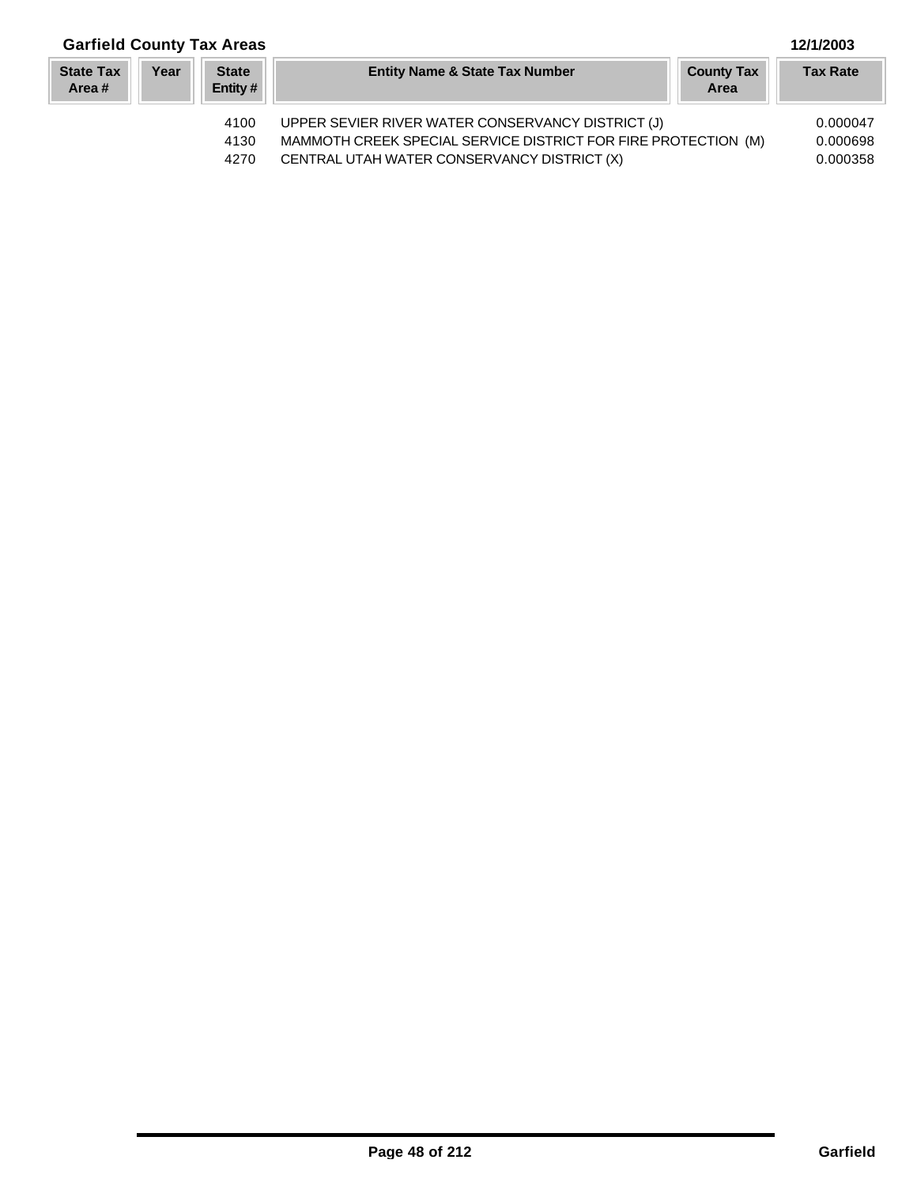| <b>Garfield County Tax Areas</b> |      |                          |                                                                                                                     |                           | 12/1/2003            |
|----------------------------------|------|--------------------------|---------------------------------------------------------------------------------------------------------------------|---------------------------|----------------------|
| <b>State Tax</b><br>Area#        | Year | <b>State</b><br>Entity # | <b>Entity Name &amp; State Tax Number</b>                                                                           | <b>County Tax</b><br>Area | <b>Tax Rate</b>      |
|                                  |      | 4100<br>4130             | UPPER SEVIER RIVER WATER CONSERVANCY DISTRICT (J)<br>MAMMOTH CREEK SPECIAL SERVICE DISTRICT FOR FIRE PROTECTION (M) |                           | 0.000047<br>0.000698 |

4270 CENTRAL UTAH WATER CONSERVANCY DISTRICT (X) 0.000358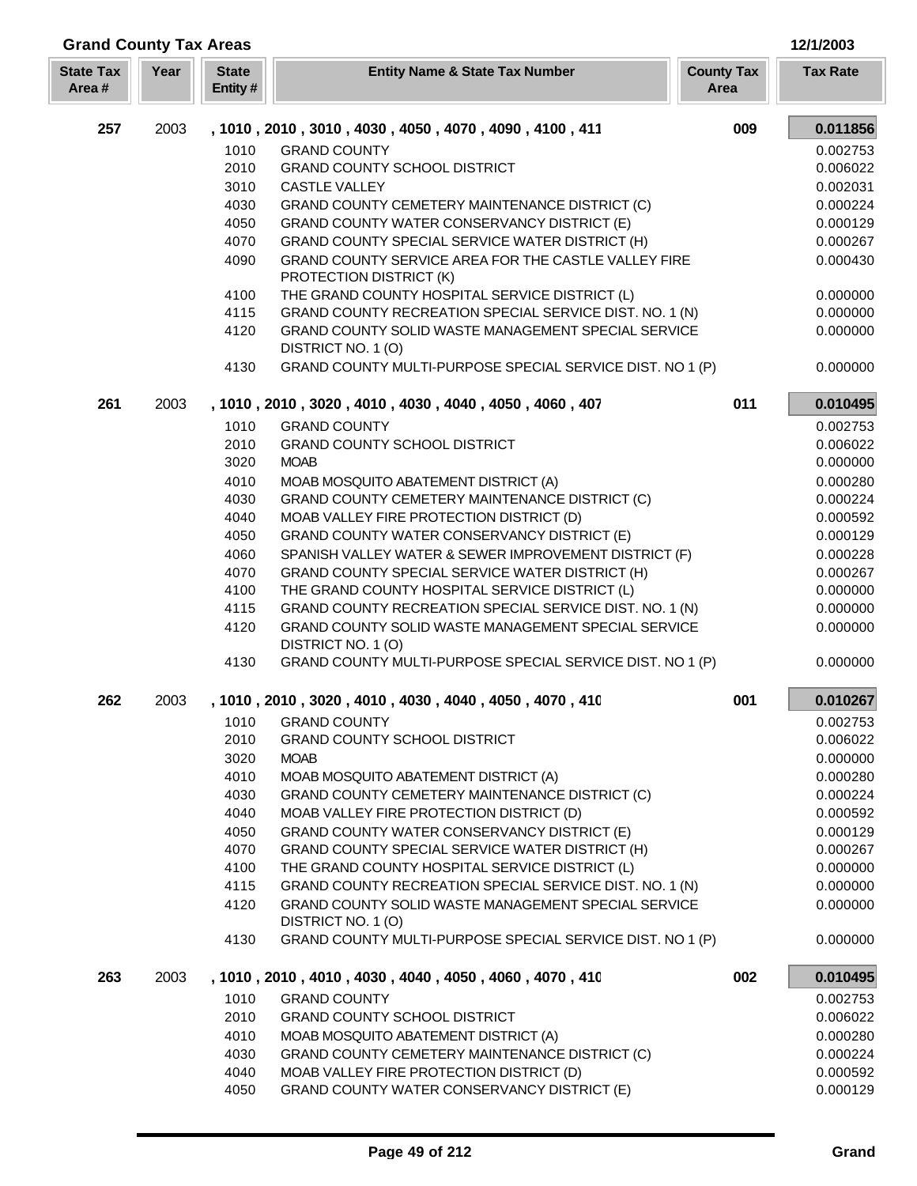| <b>Grand County Tax Areas</b> |      |                         |                                                                                                                                      |                           | 12/1/2003            |
|-------------------------------|------|-------------------------|--------------------------------------------------------------------------------------------------------------------------------------|---------------------------|----------------------|
| <b>State Tax</b><br>Area#     | Year | <b>State</b><br>Entity# | <b>Entity Name &amp; State Tax Number</b>                                                                                            | <b>County Tax</b><br>Area | <b>Tax Rate</b>      |
| 257                           | 2003 |                         | , 1010 , 2010 , 3010 , 4030 , 4050 , 4070 , 4090 , 4100 , 411                                                                        | 009                       | 0.011856             |
|                               |      | 1010                    | <b>GRAND COUNTY</b>                                                                                                                  |                           | 0.002753             |
|                               |      | 2010                    | <b>GRAND COUNTY SCHOOL DISTRICT</b>                                                                                                  |                           | 0.006022             |
|                               |      | 3010                    | <b>CASTLE VALLEY</b>                                                                                                                 |                           | 0.002031             |
|                               |      | 4030                    | GRAND COUNTY CEMETERY MAINTENANCE DISTRICT (C)                                                                                       |                           | 0.000224             |
|                               |      | 4050                    | GRAND COUNTY WATER CONSERVANCY DISTRICT (E)                                                                                          |                           | 0.000129             |
|                               |      | 4070                    | GRAND COUNTY SPECIAL SERVICE WATER DISTRICT (H)                                                                                      |                           | 0.000267             |
|                               |      | 4090                    | GRAND COUNTY SERVICE AREA FOR THE CASTLE VALLEY FIRE<br>PROTECTION DISTRICT (K)                                                      |                           | 0.000430             |
|                               |      | 4100                    | THE GRAND COUNTY HOSPITAL SERVICE DISTRICT (L)                                                                                       |                           | 0.000000             |
|                               |      | 4115<br>4120            | GRAND COUNTY RECREATION SPECIAL SERVICE DIST. NO. 1 (N)<br>GRAND COUNTY SOLID WASTE MANAGEMENT SPECIAL SERVICE<br>DISTRICT NO. 1 (O) |                           | 0.000000<br>0.000000 |
|                               |      | 4130                    | GRAND COUNTY MULTI-PURPOSE SPECIAL SERVICE DIST. NO 1 (P)                                                                            |                           | 0.000000             |
| 261                           | 2003 |                         | , 1010, 2010, 3020, 4010, 4030, 4040, 4050, 4060, 407                                                                                | 011                       | 0.010495             |
|                               |      | 1010                    | <b>GRAND COUNTY</b>                                                                                                                  |                           | 0.002753             |
|                               |      | 2010                    | <b>GRAND COUNTY SCHOOL DISTRICT</b>                                                                                                  |                           | 0.006022             |
|                               |      | 3020                    | <b>MOAB</b>                                                                                                                          |                           | 0.000000             |
|                               |      | 4010                    | MOAB MOSQUITO ABATEMENT DISTRICT (A)                                                                                                 |                           | 0.000280             |
|                               |      | 4030                    | GRAND COUNTY CEMETERY MAINTENANCE DISTRICT (C)                                                                                       |                           | 0.000224             |
|                               |      | 4040                    | MOAB VALLEY FIRE PROTECTION DISTRICT (D)                                                                                             |                           | 0.000592             |
|                               |      | 4050                    | GRAND COUNTY WATER CONSERVANCY DISTRICT (E)                                                                                          |                           | 0.000129             |
|                               |      | 4060                    | SPANISH VALLEY WATER & SEWER IMPROVEMENT DISTRICT (F)                                                                                |                           | 0.000228             |
|                               |      | 4070                    | GRAND COUNTY SPECIAL SERVICE WATER DISTRICT (H)                                                                                      |                           | 0.000267             |
|                               |      | 4100                    | THE GRAND COUNTY HOSPITAL SERVICE DISTRICT (L)                                                                                       |                           | 0.000000             |
|                               |      | 4115                    | GRAND COUNTY RECREATION SPECIAL SERVICE DIST. NO. 1 (N)                                                                              |                           | 0.000000             |
|                               |      | 4120                    | GRAND COUNTY SOLID WASTE MANAGEMENT SPECIAL SERVICE<br>DISTRICT NO. 1 (O)                                                            |                           | 0.000000             |
|                               |      | 4130                    | GRAND COUNTY MULTI-PURPOSE SPECIAL SERVICE DIST. NO 1 (P)                                                                            |                           | 0.000000             |
| 262                           | 2003 |                         | , 1010, 2010, 3020, 4010, 4030, 4040, 4050, 4070, 410                                                                                | 001                       | 0.010267             |
|                               |      | 1010                    | <b>GRAND COUNTY</b>                                                                                                                  |                           | 0.002753             |
|                               |      | 2010                    | <b>GRAND COUNTY SCHOOL DISTRICT</b>                                                                                                  |                           | 0.006022             |
|                               |      | 3020<br>4010            | <b>MOAB</b>                                                                                                                          |                           | 0.000000             |
|                               |      | 4030                    | MOAB MOSQUITO ABATEMENT DISTRICT (A)<br>GRAND COUNTY CEMETERY MAINTENANCE DISTRICT (C)                                               |                           | 0.000280<br>0.000224 |
|                               |      | 4040                    | MOAB VALLEY FIRE PROTECTION DISTRICT (D)                                                                                             |                           | 0.000592             |
|                               |      | 4050                    | GRAND COUNTY WATER CONSERVANCY DISTRICT (E)                                                                                          |                           | 0.000129             |
|                               |      | 4070                    | GRAND COUNTY SPECIAL SERVICE WATER DISTRICT (H)                                                                                      |                           | 0.000267             |
|                               |      | 4100                    | THE GRAND COUNTY HOSPITAL SERVICE DISTRICT (L)                                                                                       |                           | 0.000000             |
|                               |      | 4115                    | GRAND COUNTY RECREATION SPECIAL SERVICE DIST. NO. 1 (N)                                                                              |                           | 0.000000             |
|                               |      | 4120                    | GRAND COUNTY SOLID WASTE MANAGEMENT SPECIAL SERVICE                                                                                  |                           | 0.000000             |
|                               |      |                         | DISTRICT NO. 1 (O)                                                                                                                   |                           |                      |
|                               |      | 4130                    | GRAND COUNTY MULTI-PURPOSE SPECIAL SERVICE DIST. NO 1 (P)                                                                            |                           | 0.000000             |
| 263                           | 2003 |                         | , 1010, 2010, 4010, 4030, 4040, 4050, 4060, 4070, 410                                                                                | 002                       | 0.010495             |
|                               |      | 1010                    | <b>GRAND COUNTY</b>                                                                                                                  |                           | 0.002753             |
|                               |      | 2010                    | <b>GRAND COUNTY SCHOOL DISTRICT</b>                                                                                                  |                           | 0.006022             |
|                               |      | 4010                    | MOAB MOSQUITO ABATEMENT DISTRICT (A)                                                                                                 |                           | 0.000280             |
|                               |      | 4030                    | GRAND COUNTY CEMETERY MAINTENANCE DISTRICT (C)                                                                                       |                           | 0.000224             |
|                               |      | 4040<br>4050            | MOAB VALLEY FIRE PROTECTION DISTRICT (D)<br>GRAND COUNTY WATER CONSERVANCY DISTRICT (E)                                              |                           | 0.000592<br>0.000129 |
|                               |      |                         |                                                                                                                                      |                           |                      |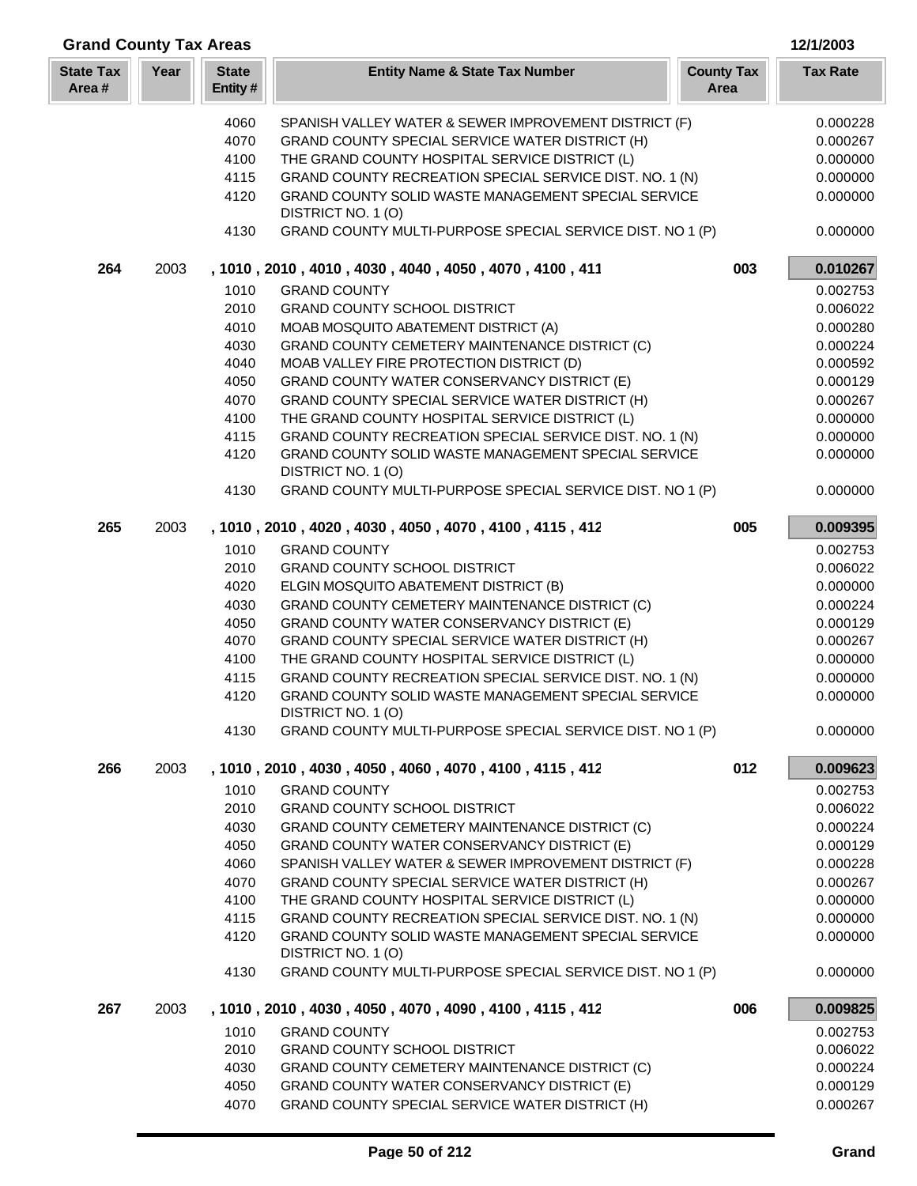| <b>Grand County Tax Areas</b> |      |                         |                                                                                  |                           | 12/1/2003       |
|-------------------------------|------|-------------------------|----------------------------------------------------------------------------------|---------------------------|-----------------|
| <b>State Tax</b><br>Area#     | Year | <b>State</b><br>Entity# | <b>Entity Name &amp; State Tax Number</b>                                        | <b>County Tax</b><br>Area | <b>Tax Rate</b> |
|                               |      | 4060                    | SPANISH VALLEY WATER & SEWER IMPROVEMENT DISTRICT (F)                            |                           | 0.000228        |
|                               |      | 4070                    | GRAND COUNTY SPECIAL SERVICE WATER DISTRICT (H)                                  |                           | 0.000267        |
|                               |      | 4100                    | THE GRAND COUNTY HOSPITAL SERVICE DISTRICT (L)                                   |                           | 0.000000        |
|                               |      | 4115                    | GRAND COUNTY RECREATION SPECIAL SERVICE DIST. NO. 1 (N)                          |                           | 0.000000        |
|                               |      | 4120                    | GRAND COUNTY SOLID WASTE MANAGEMENT SPECIAL SERVICE                              |                           | 0.000000        |
|                               |      |                         | DISTRICT NO. 1 (O)                                                               |                           |                 |
|                               |      | 4130                    | GRAND COUNTY MULTI-PURPOSE SPECIAL SERVICE DIST. NO 1 (P)                        |                           | 0.000000        |
| 264                           | 2003 |                         | , 1010, 2010, 4010, 4030, 4040, 4050, 4070, 4100, 411                            | 003                       | 0.010267        |
|                               |      | 1010                    | <b>GRAND COUNTY</b>                                                              |                           | 0.002753        |
|                               |      | 2010                    | <b>GRAND COUNTY SCHOOL DISTRICT</b>                                              |                           | 0.006022        |
|                               |      | 4010                    | MOAB MOSQUITO ABATEMENT DISTRICT (A)                                             |                           | 0.000280        |
|                               |      | 4030                    | GRAND COUNTY CEMETERY MAINTENANCE DISTRICT (C)                                   |                           | 0.000224        |
|                               |      | 4040                    | MOAB VALLEY FIRE PROTECTION DISTRICT (D)                                         |                           | 0.000592        |
|                               |      | 4050                    | GRAND COUNTY WATER CONSERVANCY DISTRICT (E)                                      |                           | 0.000129        |
|                               |      | 4070                    | GRAND COUNTY SPECIAL SERVICE WATER DISTRICT (H)                                  |                           | 0.000267        |
|                               |      | 4100                    | THE GRAND COUNTY HOSPITAL SERVICE DISTRICT (L)                                   |                           | 0.000000        |
|                               |      | 4115                    | GRAND COUNTY RECREATION SPECIAL SERVICE DIST. NO. 1 (N)                          |                           | 0.000000        |
|                               |      | 4120                    | GRAND COUNTY SOLID WASTE MANAGEMENT SPECIAL SERVICE<br>DISTRICT NO. 1 (O)        |                           | 0.000000        |
|                               |      | 4130                    | GRAND COUNTY MULTI-PURPOSE SPECIAL SERVICE DIST. NO 1 (P)                        |                           | 0.000000        |
| 265                           | 2003 |                         | , 1010, 2010, 4020, 4030, 4050, 4070, 4100, 4115, 412                            | 005                       | 0.009395        |
|                               |      | 1010                    | <b>GRAND COUNTY</b>                                                              |                           | 0.002753        |
|                               |      | 2010                    | <b>GRAND COUNTY SCHOOL DISTRICT</b>                                              |                           | 0.006022        |
|                               |      | 4020                    | ELGIN MOSQUITO ABATEMENT DISTRICT (B)                                            |                           | 0.000000        |
|                               |      | 4030                    | GRAND COUNTY CEMETERY MAINTENANCE DISTRICT (C)                                   |                           | 0.000224        |
|                               |      | 4050                    | GRAND COUNTY WATER CONSERVANCY DISTRICT (E)                                      |                           | 0.000129        |
|                               |      | 4070                    | GRAND COUNTY SPECIAL SERVICE WATER DISTRICT (H)                                  |                           | 0.000267        |
|                               |      | 4100                    | THE GRAND COUNTY HOSPITAL SERVICE DISTRICT (L)                                   |                           | 0.000000        |
|                               |      | 4115                    | GRAND COUNTY RECREATION SPECIAL SERVICE DIST. NO. 1 (N)                          |                           | 0.000000        |
|                               |      | 4120                    | <b>GRAND COUNTY SOLID WASTE MANAGEMENT SPECIAL SERVICE</b><br>DISTRICT NO. 1 (O) |                           | 0.000000        |
|                               |      | 4130                    | GRAND COUNTY MULTI-PURPOSE SPECIAL SERVICE DIST. NO 1 (P)                        |                           | 0.000000        |
| 266                           | 2003 |                         | , 1010, 2010, 4030, 4050, 4060, 4070, 4100, 4115, 412                            | 012                       | 0.009623        |
|                               |      | 1010                    | <b>GRAND COUNTY</b>                                                              |                           | 0.002753        |
|                               |      | 2010                    | <b>GRAND COUNTY SCHOOL DISTRICT</b>                                              |                           | 0.006022        |
|                               |      | 4030                    | GRAND COUNTY CEMETERY MAINTENANCE DISTRICT (C)                                   |                           | 0.000224        |
|                               |      | 4050                    | GRAND COUNTY WATER CONSERVANCY DISTRICT (E)                                      |                           | 0.000129        |
|                               |      | 4060                    | SPANISH VALLEY WATER & SEWER IMPROVEMENT DISTRICT (F)                            |                           | 0.000228        |
|                               |      | 4070                    | GRAND COUNTY SPECIAL SERVICE WATER DISTRICT (H)                                  |                           | 0.000267        |
|                               |      | 4100                    | THE GRAND COUNTY HOSPITAL SERVICE DISTRICT (L)                                   |                           | 0.000000        |
|                               |      | 4115                    | GRAND COUNTY RECREATION SPECIAL SERVICE DIST. NO. 1 (N)                          |                           | 0.000000        |
|                               |      | 4120                    | GRAND COUNTY SOLID WASTE MANAGEMENT SPECIAL SERVICE<br>DISTRICT NO. 1 (O)        |                           | 0.000000        |
|                               |      | 4130                    | GRAND COUNTY MULTI-PURPOSE SPECIAL SERVICE DIST. NO 1 (P)                        |                           | 0.000000        |
| 267                           | 2003 |                         | , 1010 , 2010 , 4030 , 4050 , 4070 , 4090 , 4100 , 4115 , 412                    | 006                       | 0.009825        |
|                               |      | 1010                    | <b>GRAND COUNTY</b>                                                              |                           | 0.002753        |
|                               |      | 2010                    | <b>GRAND COUNTY SCHOOL DISTRICT</b>                                              |                           | 0.006022        |
|                               |      | 4030                    | GRAND COUNTY CEMETERY MAINTENANCE DISTRICT (C)                                   |                           | 0.000224        |
|                               |      | 4050                    | GRAND COUNTY WATER CONSERVANCY DISTRICT (E)                                      |                           | 0.000129        |
|                               |      | 4070                    | GRAND COUNTY SPECIAL SERVICE WATER DISTRICT (H)                                  |                           | 0.000267        |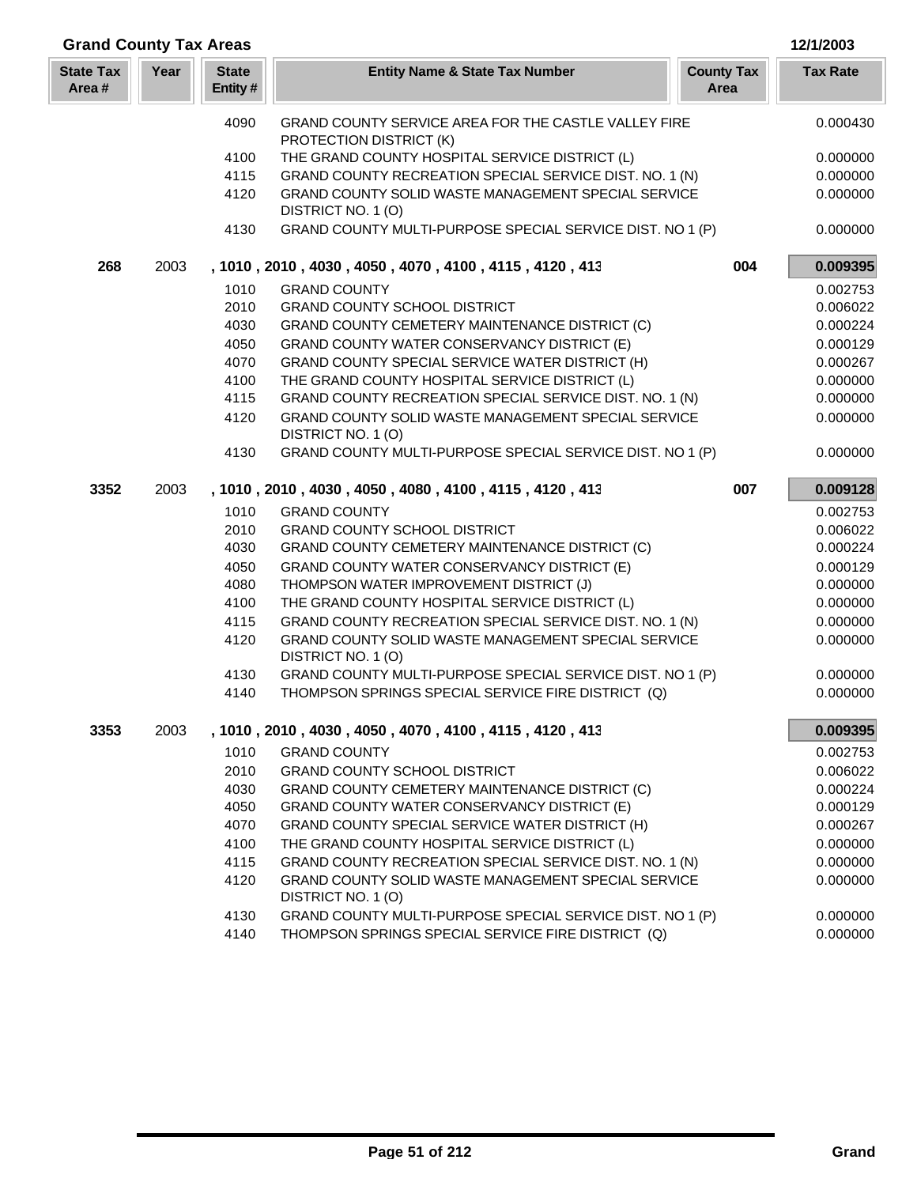| <b>Grand County Tax Areas</b> |      |                         |                                                                                 |                           | 12/1/2003       |
|-------------------------------|------|-------------------------|---------------------------------------------------------------------------------|---------------------------|-----------------|
| <b>State Tax</b><br>Area#     | Year | <b>State</b><br>Entity# | <b>Entity Name &amp; State Tax Number</b>                                       | <b>County Tax</b><br>Area | <b>Tax Rate</b> |
|                               |      | 4090                    | GRAND COUNTY SERVICE AREA FOR THE CASTLE VALLEY FIRE<br>PROTECTION DISTRICT (K) |                           | 0.000430        |
|                               |      | 4100                    | THE GRAND COUNTY HOSPITAL SERVICE DISTRICT (L)                                  |                           | 0.000000        |
|                               |      | 4115                    | GRAND COUNTY RECREATION SPECIAL SERVICE DIST. NO. 1 (N)                         |                           | 0.000000        |
|                               |      | 4120                    | GRAND COUNTY SOLID WASTE MANAGEMENT SPECIAL SERVICE<br>DISTRICT NO. 1 (O)       |                           | 0.000000        |
|                               |      | 4130                    | GRAND COUNTY MULTI-PURPOSE SPECIAL SERVICE DIST. NO 1 (P)                       |                           | 0.000000        |
| 268                           | 2003 |                         | , 1010, 2010, 4030, 4050, 4070, 4100, 4115, 4120, 413                           | 004                       | 0.009395        |
|                               |      | 1010                    | <b>GRAND COUNTY</b>                                                             |                           | 0.002753        |
|                               |      | 2010                    | <b>GRAND COUNTY SCHOOL DISTRICT</b>                                             |                           | 0.006022        |
|                               |      | 4030                    | GRAND COUNTY CEMETERY MAINTENANCE DISTRICT (C)                                  |                           | 0.000224        |
|                               |      | 4050                    | GRAND COUNTY WATER CONSERVANCY DISTRICT (E)                                     |                           | 0.000129        |
|                               |      | 4070                    | <b>GRAND COUNTY SPECIAL SERVICE WATER DISTRICT (H)</b>                          |                           | 0.000267        |
|                               |      | 4100                    | THE GRAND COUNTY HOSPITAL SERVICE DISTRICT (L)                                  |                           | 0.000000        |
|                               |      | 4115                    | GRAND COUNTY RECREATION SPECIAL SERVICE DIST. NO. 1 (N)                         |                           | 0.000000        |
|                               |      | 4120                    | GRAND COUNTY SOLID WASTE MANAGEMENT SPECIAL SERVICE<br>DISTRICT NO. 1 (O)       |                           | 0.000000        |
|                               |      | 4130                    | GRAND COUNTY MULTI-PURPOSE SPECIAL SERVICE DIST. NO 1 (P)                       |                           | 0.000000        |
| 3352                          | 2003 |                         | , 1010, 2010, 4030, 4050, 4080, 4100, 4115, 4120, 413                           | 007                       | 0.009128        |
|                               |      | 1010                    | <b>GRAND COUNTY</b>                                                             |                           | 0.002753        |
|                               |      | 2010                    | <b>GRAND COUNTY SCHOOL DISTRICT</b>                                             |                           | 0.006022        |
|                               |      | 4030                    | GRAND COUNTY CEMETERY MAINTENANCE DISTRICT (C)                                  |                           | 0.000224        |
|                               |      | 4050                    | GRAND COUNTY WATER CONSERVANCY DISTRICT (E)                                     |                           | 0.000129        |
|                               |      | 4080                    | THOMPSON WATER IMPROVEMENT DISTRICT (J)                                         |                           | 0.000000        |
|                               |      | 4100                    | THE GRAND COUNTY HOSPITAL SERVICE DISTRICT (L)                                  |                           | 0.000000        |
|                               |      | 4115                    | GRAND COUNTY RECREATION SPECIAL SERVICE DIST. NO. 1 (N)                         |                           | 0.000000        |
|                               |      | 4120                    | GRAND COUNTY SOLID WASTE MANAGEMENT SPECIAL SERVICE<br>DISTRICT NO. 1 (O)       |                           | 0.000000        |
|                               |      | 4130                    | GRAND COUNTY MULTI-PURPOSE SPECIAL SERVICE DIST. NO 1 (P)                       |                           | 0.000000        |
|                               |      | 4140                    | THOMPSON SPRINGS SPECIAL SERVICE FIRE DISTRICT (Q)                              |                           | 0.000000        |
| 3353                          | 2003 |                         | , 1010, 2010, 4030, 4050, 4070, 4100, 4115, 4120, 413                           |                           | 0.009395        |
|                               |      | 1010                    | <b>GRAND COUNTY</b>                                                             |                           | 0.002753        |
|                               |      | 2010                    | <b>GRAND COUNTY SCHOOL DISTRICT</b>                                             |                           | 0.006022        |
|                               |      | 4030                    | GRAND COUNTY CEMETERY MAINTENANCE DISTRICT (C)                                  |                           | 0.000224        |
|                               |      | 4050                    | GRAND COUNTY WATER CONSERVANCY DISTRICT (E)                                     |                           | 0.000129        |
|                               |      | 4070                    | GRAND COUNTY SPECIAL SERVICE WATER DISTRICT (H)                                 |                           | 0.000267        |
|                               |      | 4100                    | THE GRAND COUNTY HOSPITAL SERVICE DISTRICT (L)                                  |                           | 0.000000        |
|                               |      | 4115                    | GRAND COUNTY RECREATION SPECIAL SERVICE DIST. NO. 1 (N)                         |                           | 0.000000        |
|                               |      | 4120                    | GRAND COUNTY SOLID WASTE MANAGEMENT SPECIAL SERVICE<br>DISTRICT NO. 1(O)        |                           | 0.000000        |
|                               |      | 4130                    | GRAND COUNTY MULTI-PURPOSE SPECIAL SERVICE DIST. NO 1 (P)                       |                           | 0.000000        |
|                               |      | 4140                    | THOMPSON SPRINGS SPECIAL SERVICE FIRE DISTRICT (Q)                              |                           | 0.000000        |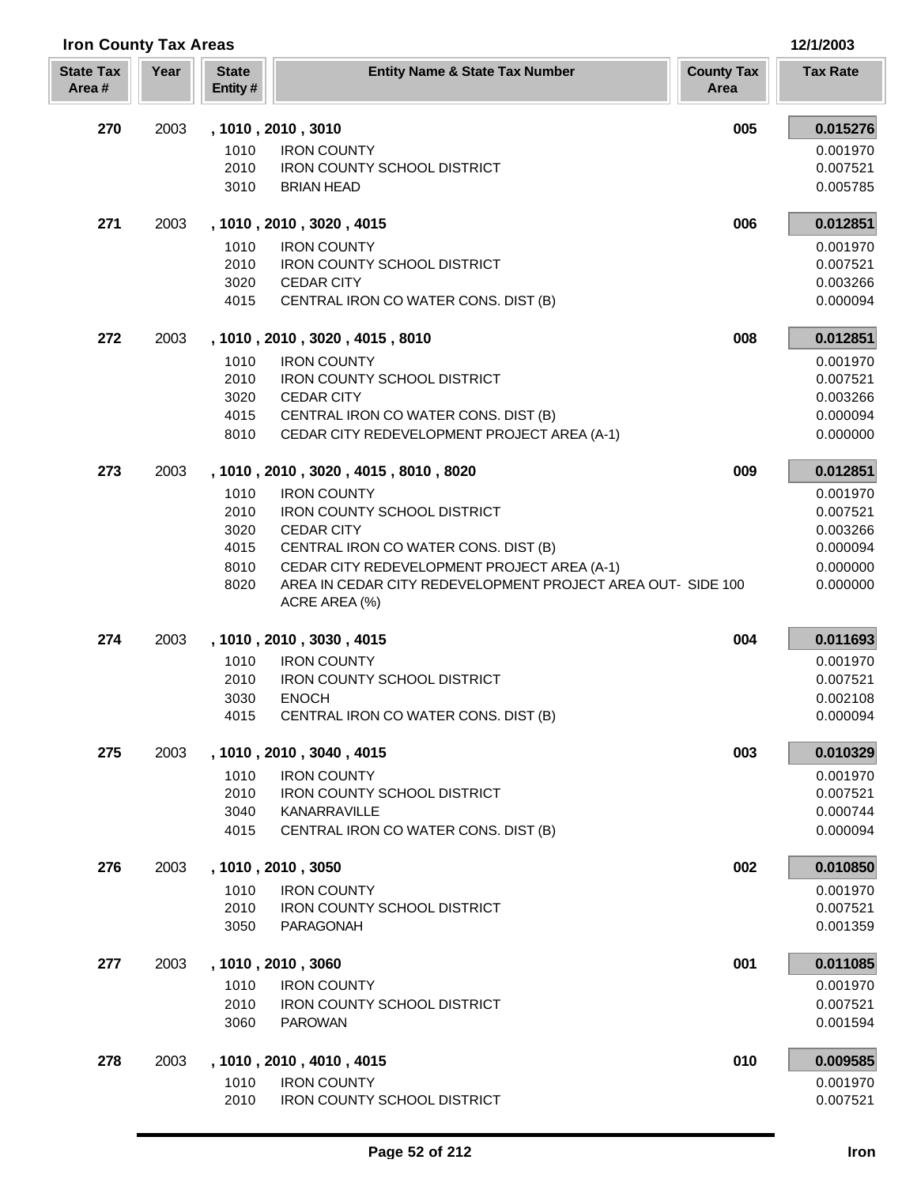| <b>Iron County Tax Areas</b> |      |                         |                                                                              |                           | 12/1/2003            |  |
|------------------------------|------|-------------------------|------------------------------------------------------------------------------|---------------------------|----------------------|--|
| <b>State Tax</b><br>Area#    | Year | <b>State</b><br>Entity# | <b>Entity Name &amp; State Tax Number</b>                                    | <b>County Tax</b><br>Area | <b>Tax Rate</b>      |  |
| 270                          | 2003 |                         | , 1010, 2010, 3010                                                           | 005                       | 0.015276             |  |
|                              |      | 1010                    | <b>IRON COUNTY</b>                                                           |                           | 0.001970             |  |
|                              |      | 2010                    | <b>IRON COUNTY SCHOOL DISTRICT</b>                                           |                           | 0.007521             |  |
|                              |      | 3010                    | <b>BRIAN HEAD</b>                                                            |                           | 0.005785             |  |
| 271                          | 2003 |                         | , 1010, 2010, 3020, 4015                                                     | 006                       | 0.012851             |  |
|                              |      | 1010                    | <b>IRON COUNTY</b>                                                           |                           | 0.001970             |  |
|                              |      | 2010                    | <b>IRON COUNTY SCHOOL DISTRICT</b>                                           |                           | 0.007521             |  |
|                              |      | 3020                    | <b>CEDAR CITY</b>                                                            |                           | 0.003266             |  |
|                              |      | 4015                    | CENTRAL IRON CO WATER CONS. DIST (B)                                         |                           | 0.000094             |  |
| 272                          | 2003 |                         | , 1010, 2010, 3020, 4015, 8010                                               | 008                       | 0.012851             |  |
|                              |      | 1010                    | <b>IRON COUNTY</b>                                                           |                           | 0.001970             |  |
|                              |      | 2010                    | <b>IRON COUNTY SCHOOL DISTRICT</b>                                           |                           | 0.007521             |  |
|                              |      | 3020                    | <b>CEDAR CITY</b>                                                            |                           | 0.003266             |  |
|                              |      | 4015                    | CENTRAL IRON CO WATER CONS. DIST (B)                                         |                           | 0.000094             |  |
|                              |      | 8010                    | CEDAR CITY REDEVELOPMENT PROJECT AREA (A-1)                                  |                           | 0.000000             |  |
| 273                          | 2003 |                         | , 1010, 2010, 3020, 4015, 8010, 8020                                         | 009                       | 0.012851             |  |
|                              |      | 1010                    | <b>IRON COUNTY</b>                                                           |                           | 0.001970             |  |
|                              |      | 2010                    | IRON COUNTY SCHOOL DISTRICT                                                  |                           | 0.007521             |  |
|                              |      | 3020                    | <b>CEDAR CITY</b>                                                            |                           | 0.003266             |  |
|                              |      | 4015                    | CENTRAL IRON CO WATER CONS. DIST (B)                                         |                           | 0.000094             |  |
|                              |      | 8010                    | CEDAR CITY REDEVELOPMENT PROJECT AREA (A-1)                                  |                           | 0.000000             |  |
|                              |      | 8020                    | AREA IN CEDAR CITY REDEVELOPMENT PROJECT AREA OUT- SIDE 100<br>ACRE AREA (%) |                           | 0.000000             |  |
| 274                          | 2003 |                         | , 1010, 2010, 3030, 4015                                                     | 004                       | 0.011693             |  |
|                              |      | 1010                    | <b>IRON COUNTY</b>                                                           |                           | 0.001970             |  |
|                              |      | 2010                    | <b>IRON COUNTY SCHOOL DISTRICT</b>                                           |                           | 0.007521             |  |
|                              |      | 3030                    | <b>ENOCH</b>                                                                 |                           | 0.002108             |  |
|                              |      | 4015                    | CENTRAL IRON CO WATER CONS. DIST (B)                                         |                           | 0.000094             |  |
| 275                          | 2003 |                         | , 1010, 2010, 3040, 4015                                                     | 003                       | 0.010329             |  |
|                              |      | 1010                    | <b>IRON COUNTY</b>                                                           |                           | 0.001970             |  |
|                              |      | 2010                    | IRON COUNTY SCHOOL DISTRICT                                                  |                           | 0.007521             |  |
|                              |      | 3040<br>4015            | KANARRAVILLE<br>CENTRAL IRON CO WATER CONS. DIST (B)                         |                           | 0.000744<br>0.000094 |  |
|                              |      |                         |                                                                              |                           |                      |  |
| 276                          | 2003 |                         | , 1010, 2010, 3050                                                           | 002                       | 0.010850             |  |
|                              |      | 1010                    | <b>IRON COUNTY</b>                                                           |                           | 0.001970             |  |
|                              |      | 2010                    | <b>IRON COUNTY SCHOOL DISTRICT</b>                                           |                           | 0.007521             |  |
|                              |      | 3050                    | PARAGONAH                                                                    |                           | 0.001359             |  |
| 277                          | 2003 |                         | , 1010, 2010, 3060                                                           | 001                       | 0.011085             |  |
|                              |      | 1010                    | <b>IRON COUNTY</b>                                                           |                           | 0.001970             |  |
|                              |      | 2010                    | <b>IRON COUNTY SCHOOL DISTRICT</b>                                           |                           | 0.007521             |  |
|                              |      | 3060                    | <b>PAROWAN</b>                                                               |                           | 0.001594             |  |
| 278                          | 2003 |                         | , 1010, 2010, 4010, 4015                                                     | 010                       | 0.009585             |  |
|                              |      | 1010                    | <b>IRON COUNTY</b>                                                           |                           | 0.001970             |  |
|                              |      | 2010                    | IRON COUNTY SCHOOL DISTRICT                                                  |                           | 0.007521             |  |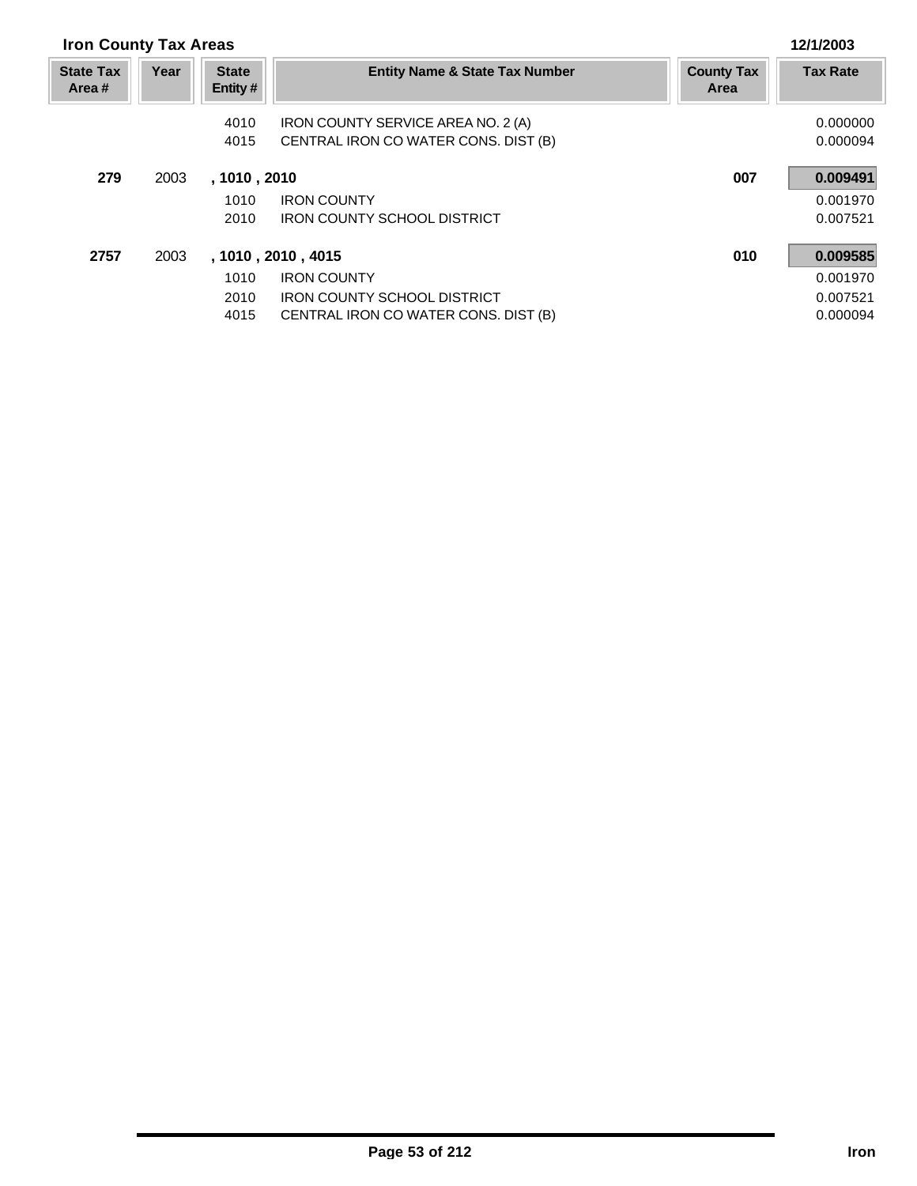| <b>Iron County Tax Areas</b> |      |                         |                                           |                           | 12/1/2003       |
|------------------------------|------|-------------------------|-------------------------------------------|---------------------------|-----------------|
| <b>State Tax</b><br>Area #   | Year | <b>State</b><br>Entity# | <b>Entity Name &amp; State Tax Number</b> | <b>County Tax</b><br>Area | <b>Tax Rate</b> |
|                              |      | 4010                    | IRON COUNTY SERVICE AREA NO. 2 (A)        |                           | 0.000000        |
|                              |      | 4015                    | CENTRAL IRON CO WATER CONS. DIST (B)      |                           | 0.000094        |
| 279                          | 2003 | , 1010 , 2010           |                                           | 007                       | 0.009491        |
|                              |      | 1010                    | <b>IRON COUNTY</b>                        |                           | 0.001970        |
|                              |      | 2010                    | <b>IRON COUNTY SCHOOL DISTRICT</b>        |                           | 0.007521        |
| 2757                         | 2003 |                         | , 1010, 2010, 4015                        | 010                       | 0.009585        |
|                              |      | 1010                    | <b>IRON COUNTY</b>                        |                           | 0.001970        |
|                              |      | 2010                    | <b>IRON COUNTY SCHOOL DISTRICT</b>        |                           | 0.007521        |
|                              |      | 4015                    | CENTRAL IRON CO WATER CONS. DIST (B)      |                           | 0.000094        |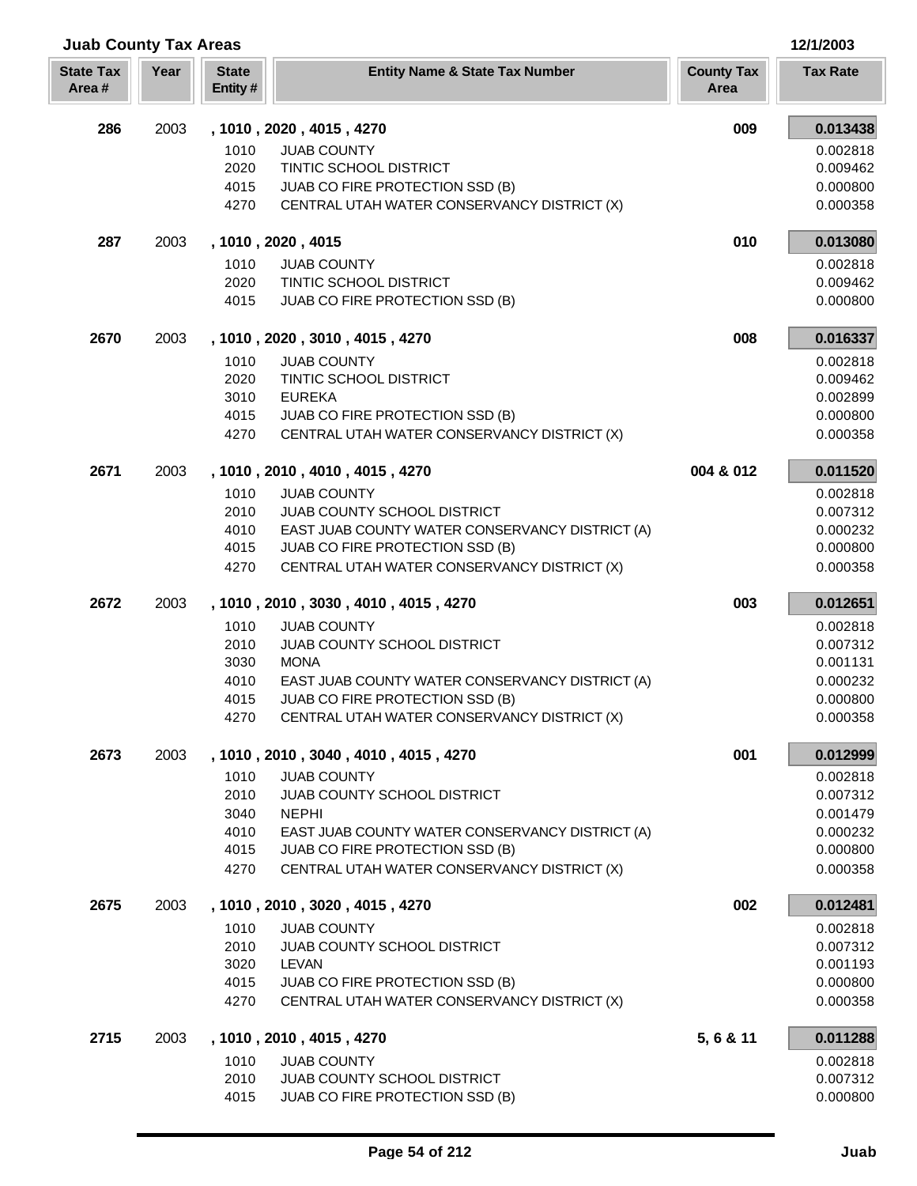| <b>Juab County Tax Areas</b> |      |                         |                                                                                    | 12/1/2003                 |                      |
|------------------------------|------|-------------------------|------------------------------------------------------------------------------------|---------------------------|----------------------|
| <b>State Tax</b><br>Area#    | Year | <b>State</b><br>Entity# | <b>Entity Name &amp; State Tax Number</b>                                          | <b>County Tax</b><br>Area | <b>Tax Rate</b>      |
| 286                          | 2003 |                         | , 1010, 2020, 4015, 4270                                                           | 009                       | 0.013438             |
|                              |      | 1010                    | <b>JUAB COUNTY</b>                                                                 |                           | 0.002818             |
|                              |      | 2020                    | TINTIC SCHOOL DISTRICT                                                             |                           | 0.009462             |
|                              |      | 4015                    | JUAB CO FIRE PROTECTION SSD (B)                                                    |                           | 0.000800             |
|                              |      | 4270                    | CENTRAL UTAH WATER CONSERVANCY DISTRICT (X)                                        |                           | 0.000358             |
| 287                          | 2003 |                         | , 1010, 2020, 4015                                                                 | 010                       | 0.013080             |
|                              |      | 1010                    | <b>JUAB COUNTY</b>                                                                 |                           | 0.002818             |
|                              |      | 2020                    | TINTIC SCHOOL DISTRICT                                                             |                           | 0.009462             |
|                              |      | 4015                    | JUAB CO FIRE PROTECTION SSD (B)                                                    |                           | 0.000800             |
| 2670                         | 2003 |                         | , 1010, 2020, 3010, 4015, 4270                                                     | 008                       | 0.016337             |
|                              |      | 1010                    | <b>JUAB COUNTY</b>                                                                 |                           | 0.002818             |
|                              |      | 2020                    | TINTIC SCHOOL DISTRICT                                                             |                           | 0.009462             |
|                              |      | 3010<br>4015            | <b>EUREKA</b><br>JUAB CO FIRE PROTECTION SSD (B)                                   |                           | 0.002899<br>0.000800 |
|                              |      | 4270                    | CENTRAL UTAH WATER CONSERVANCY DISTRICT (X)                                        |                           | 0.000358             |
|                              |      |                         |                                                                                    |                           |                      |
| 2671                         | 2003 |                         | , 1010, 2010, 4010, 4015, 4270                                                     | 004 & 012                 | 0.011520             |
|                              |      | 1010                    | <b>JUAB COUNTY</b>                                                                 |                           | 0.002818             |
|                              |      | 2010                    | JUAB COUNTY SCHOOL DISTRICT                                                        |                           | 0.007312             |
|                              |      | 4010<br>4015            | EAST JUAB COUNTY WATER CONSERVANCY DISTRICT (A)<br>JUAB CO FIRE PROTECTION SSD (B) |                           | 0.000232<br>0.000800 |
|                              |      | 4270                    | CENTRAL UTAH WATER CONSERVANCY DISTRICT (X)                                        |                           | 0.000358             |
|                              |      |                         |                                                                                    |                           |                      |
| 2672                         | 2003 |                         | , 1010, 2010, 3030, 4010, 4015, 4270                                               | 003                       | 0.012651             |
|                              |      | 1010                    | <b>JUAB COUNTY</b>                                                                 |                           | 0.002818             |
|                              |      | 2010<br>3030            | JUAB COUNTY SCHOOL DISTRICT<br><b>MONA</b>                                         |                           | 0.007312<br>0.001131 |
|                              |      | 4010                    | EAST JUAB COUNTY WATER CONSERVANCY DISTRICT (A)                                    |                           | 0.000232             |
|                              |      | 4015                    | JUAB CO FIRE PROTECTION SSD (B)                                                    |                           | 0.000800             |
|                              |      | 4270                    | CENTRAL UTAH WATER CONSERVANCY DISTRICT (X)                                        |                           | 0.000358             |
| 2673                         | 2003 |                         | , 1010, 2010, 3040, 4010, 4015, 4270                                               | 001                       | 0.012999             |
|                              |      | 1010                    | <b>JUAB COUNTY</b>                                                                 |                           | 0.002818             |
|                              |      | 2010                    | JUAB COUNTY SCHOOL DISTRICT                                                        |                           | 0.007312             |
|                              |      | 3040                    | <b>NEPHI</b>                                                                       |                           | 0.001479             |
|                              |      | 4010                    | EAST JUAB COUNTY WATER CONSERVANCY DISTRICT (A)                                    |                           | 0.000232             |
|                              |      | 4015                    | JUAB CO FIRE PROTECTION SSD (B)                                                    |                           | 0.000800             |
|                              |      | 4270                    | CENTRAL UTAH WATER CONSERVANCY DISTRICT (X)                                        |                           | 0.000358             |
| 2675                         | 2003 |                         | , 1010, 2010, 3020, 4015, 4270                                                     | 002                       | 0.012481             |
|                              |      | 1010                    | <b>JUAB COUNTY</b>                                                                 |                           | 0.002818             |
|                              |      | 2010                    | JUAB COUNTY SCHOOL DISTRICT                                                        |                           | 0.007312             |
|                              |      | 3020<br>4015            | <b>LEVAN</b>                                                                       |                           | 0.001193             |
|                              |      | 4270                    | JUAB CO FIRE PROTECTION SSD (B)<br>CENTRAL UTAH WATER CONSERVANCY DISTRICT (X)     |                           | 0.000800<br>0.000358 |
|                              |      |                         |                                                                                    |                           |                      |
| 2715                         | 2003 |                         | , 1010, 2010, 4015, 4270                                                           | 5, 6 & 11                 | 0.011288             |
|                              |      | 1010                    | <b>JUAB COUNTY</b>                                                                 |                           | 0.002818             |
|                              |      | 2010                    | JUAB COUNTY SCHOOL DISTRICT                                                        |                           | 0.007312             |
|                              |      | 4015                    | JUAB CO FIRE PROTECTION SSD (B)                                                    |                           | 0.000800             |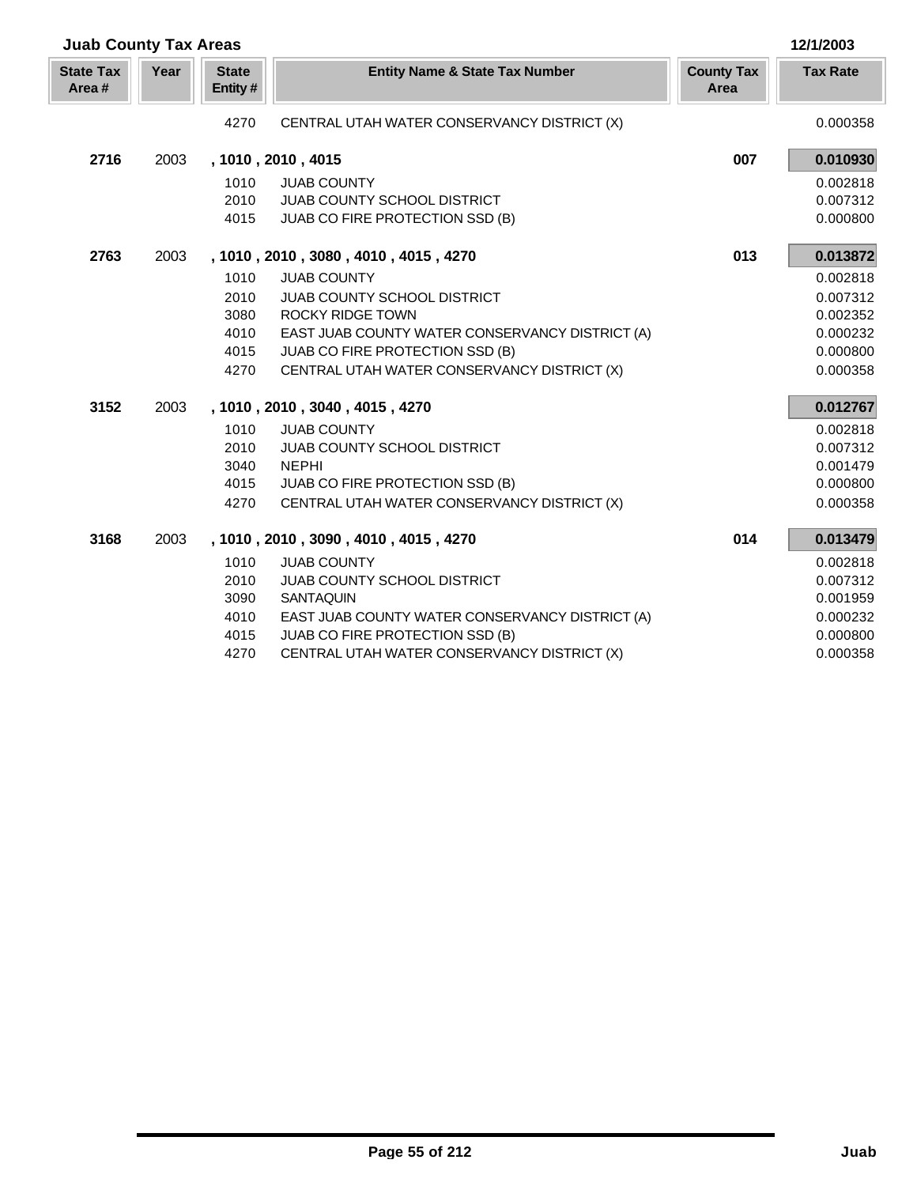| <b>Juab County Tax Areas</b> |      |                         |                                                 |                           | 12/1/2003       |
|------------------------------|------|-------------------------|-------------------------------------------------|---------------------------|-----------------|
| <b>State Tax</b><br>Area#    | Year | <b>State</b><br>Entity# | <b>Entity Name &amp; State Tax Number</b>       | <b>County Tax</b><br>Area | <b>Tax Rate</b> |
|                              |      | 4270                    | CENTRAL UTAH WATER CONSERVANCY DISTRICT (X)     |                           | 0.000358        |
| 2716                         | 2003 |                         | , 1010, 2010, 4015                              | 007                       | 0.010930        |
|                              |      | 1010                    | <b>JUAB COUNTY</b>                              |                           | 0.002818        |
|                              |      | 2010                    | <b>JUAB COUNTY SCHOOL DISTRICT</b>              |                           | 0.007312        |
|                              |      | 4015                    | JUAB CO FIRE PROTECTION SSD (B)                 |                           | 0.000800        |
| 2763                         | 2003 |                         | , 1010, 2010, 3080, 4010, 4015, 4270            | 013                       | 0.013872        |
|                              |      | 1010                    | <b>JUAB COUNTY</b>                              |                           | 0.002818        |
|                              |      | 2010                    | <b>JUAB COUNTY SCHOOL DISTRICT</b>              |                           | 0.007312        |
|                              |      | 3080                    | <b>ROCKY RIDGE TOWN</b>                         |                           | 0.002352        |
|                              |      | 4010                    | EAST JUAB COUNTY WATER CONSERVANCY DISTRICT (A) |                           | 0.000232        |
|                              |      | 4015                    | JUAB CO FIRE PROTECTION SSD (B)                 |                           | 0.000800        |
|                              |      | 4270                    | CENTRAL UTAH WATER CONSERVANCY DISTRICT (X)     |                           | 0.000358        |
| 3152                         | 2003 |                         | , 1010, 2010, 3040, 4015, 4270                  |                           | 0.012767        |
|                              |      | 1010                    | <b>JUAB COUNTY</b>                              |                           | 0.002818        |
|                              |      | 2010                    | <b>JUAB COUNTY SCHOOL DISTRICT</b>              |                           | 0.007312        |
|                              |      | 3040                    | <b>NEPHI</b>                                    |                           | 0.001479        |
|                              |      | 4015                    | JUAB CO FIRE PROTECTION SSD (B)                 |                           | 0.000800        |
|                              |      | 4270                    | CENTRAL UTAH WATER CONSERVANCY DISTRICT (X)     |                           | 0.000358        |
| 3168                         | 2003 |                         | , 1010 , 2010 , 3090 , 4010 , 4015 , 4270       | 014                       | 0.013479        |
|                              |      | 1010                    | <b>JUAB COUNTY</b>                              |                           | 0.002818        |
|                              |      | 2010                    | <b>JUAB COUNTY SCHOOL DISTRICT</b>              |                           | 0.007312        |
|                              |      | 3090                    | <b>SANTAQUIN</b>                                |                           | 0.001959        |
|                              |      | 4010                    | EAST JUAB COUNTY WATER CONSERVANCY DISTRICT (A) |                           | 0.000232        |
|                              |      | 4015                    | JUAB CO FIRE PROTECTION SSD (B)                 |                           | 0.000800        |
|                              |      | 4270                    | CENTRAL UTAH WATER CONSERVANCY DISTRICT (X)     |                           | 0.000358        |

Г L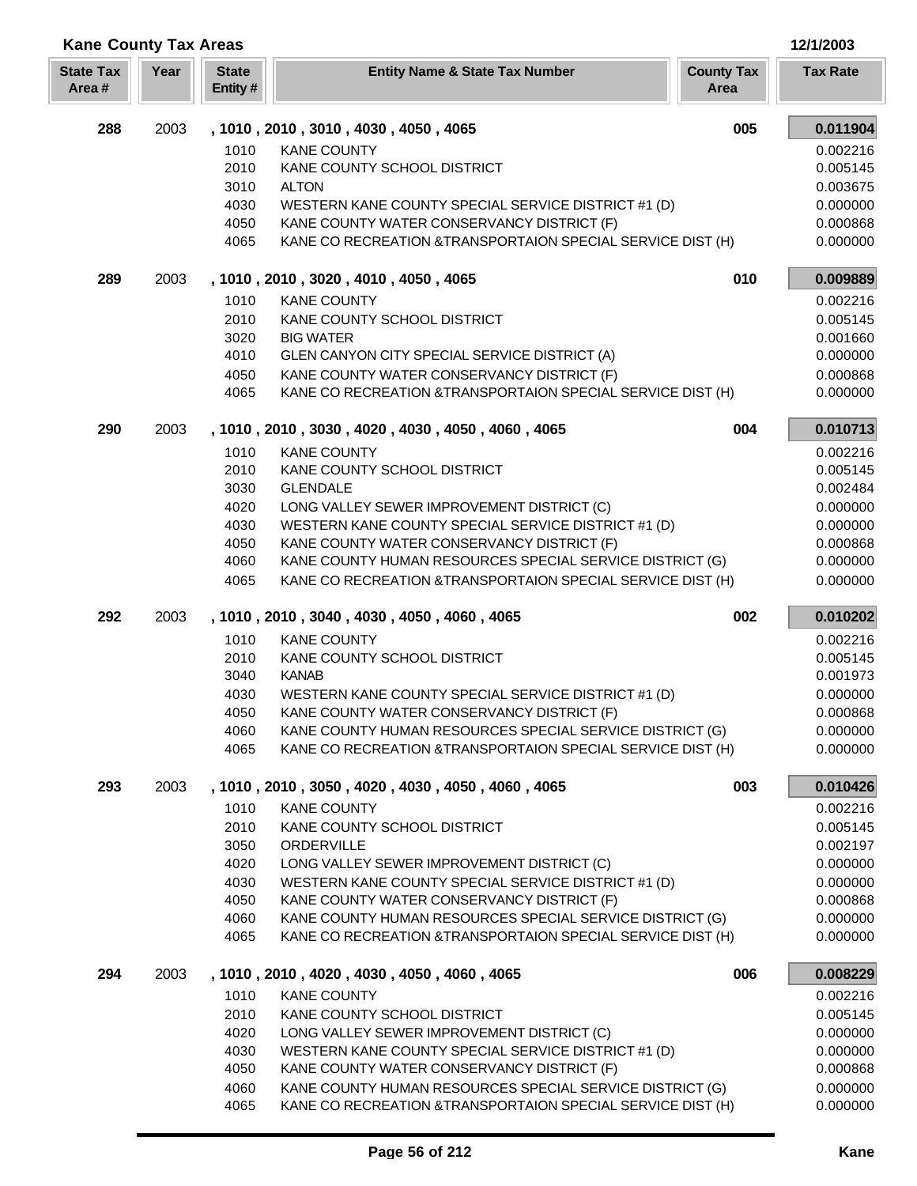| <b>Kane County Tax Areas</b> |      |                         |                                                                                                                         |                           | 12/1/2003            |
|------------------------------|------|-------------------------|-------------------------------------------------------------------------------------------------------------------------|---------------------------|----------------------|
| <b>State Tax</b><br>Area#    | Year | <b>State</b><br>Entity# | <b>Entity Name &amp; State Tax Number</b>                                                                               | <b>County Tax</b><br>Area | <b>Tax Rate</b>      |
| 288                          | 2003 |                         | , 1010, 2010, 3010, 4030, 4050, 4065                                                                                    | 005                       | 0.011904             |
|                              |      | 1010                    | <b>KANE COUNTY</b>                                                                                                      |                           | 0.002216             |
|                              |      | 2010                    | KANE COUNTY SCHOOL DISTRICT                                                                                             |                           | 0.005145             |
|                              |      | 3010<br>4030            | <b>ALTON</b><br>WESTERN KANE COUNTY SPECIAL SERVICE DISTRICT #1 (D)                                                     |                           | 0.003675<br>0.000000 |
|                              |      | 4050                    | KANE COUNTY WATER CONSERVANCY DISTRICT (F)                                                                              |                           | 0.000868             |
|                              |      | 4065                    | KANE CO RECREATION & TRANSPORTAION SPECIAL SERVICE DIST (H)                                                             |                           | 0.000000             |
| 289                          | 2003 |                         | , 1010, 2010, 3020, 4010, 4050, 4065                                                                                    | 010                       | 0.009889             |
|                              |      | 1010                    | <b>KANE COUNTY</b>                                                                                                      |                           | 0.002216             |
|                              |      | 2010                    | KANE COUNTY SCHOOL DISTRICT                                                                                             |                           | 0.005145             |
|                              |      | 3020                    | <b>BIG WATER</b>                                                                                                        |                           | 0.001660             |
|                              |      | 4010                    | GLEN CANYON CITY SPECIAL SERVICE DISTRICT (A)                                                                           |                           | 0.000000             |
|                              |      | 4050<br>4065            | KANE COUNTY WATER CONSERVANCY DISTRICT (F)<br>KANE CO RECREATION & TRANSPORTAION SPECIAL SERVICE DIST (H)               |                           | 0.000868<br>0.000000 |
|                              |      |                         |                                                                                                                         |                           |                      |
| 290                          | 2003 |                         | , 1010, 2010, 3030, 4020, 4030, 4050, 4060, 4065                                                                        | 004                       | 0.010713             |
|                              |      | 1010                    | <b>KANE COUNTY</b>                                                                                                      |                           | 0.002216             |
|                              |      | 2010                    | KANE COUNTY SCHOOL DISTRICT                                                                                             |                           | 0.005145             |
|                              |      | 3030                    | <b>GLENDALE</b>                                                                                                         |                           | 0.002484             |
|                              |      | 4020<br>4030            | LONG VALLEY SEWER IMPROVEMENT DISTRICT (C)<br>WESTERN KANE COUNTY SPECIAL SERVICE DISTRICT #1 (D)                       |                           | 0.000000<br>0.000000 |
|                              |      | 4050                    | KANE COUNTY WATER CONSERVANCY DISTRICT (F)                                                                              |                           | 0.000868             |
|                              |      | 4060                    | KANE COUNTY HUMAN RESOURCES SPECIAL SERVICE DISTRICT (G)                                                                |                           | 0.000000             |
|                              |      | 4065                    | KANE CO RECREATION & TRANSPORTAION SPECIAL SERVICE DIST (H)                                                             |                           | 0.000000             |
| 292                          | 2003 |                         | , 1010, 2010, 3040, 4030, 4050, 4060, 4065                                                                              | 002                       | 0.010202             |
|                              |      | 1010                    | <b>KANE COUNTY</b>                                                                                                      |                           | 0.002216             |
|                              |      | 2010                    | KANE COUNTY SCHOOL DISTRICT                                                                                             |                           | 0.005145             |
|                              |      | 3040                    | <b>KANAB</b>                                                                                                            |                           | 0.001973             |
|                              |      | 4030                    | WESTERN KANE COUNTY SPECIAL SERVICE DISTRICT #1 (D)                                                                     |                           | 0.000000             |
|                              |      | 4050<br>4060            | KANE COUNTY WATER CONSERVANCY DISTRICT (F)<br>KANE COUNTY HUMAN RESOURCES SPECIAL SERVICE DISTRICT (G)                  |                           | 0.000868<br>0.000000 |
|                              |      | 4065                    | KANE CO RECREATION & TRANSPORTAION SPECIAL SERVICE DIST (H)                                                             |                           | 0.000000             |
| 293                          | 2003 |                         | , 1010, 2010, 3050, 4020, 4030, 4050, 4060, 4065                                                                        | 003                       | 0.010426             |
|                              |      | 1010                    | <b>KANE COUNTY</b>                                                                                                      |                           | 0.002216             |
|                              |      | 2010                    | KANE COUNTY SCHOOL DISTRICT                                                                                             |                           | 0.005145             |
|                              |      | 3050                    | ORDERVILLE                                                                                                              |                           | 0.002197             |
|                              |      | 4020                    | LONG VALLEY SEWER IMPROVEMENT DISTRICT (C)                                                                              |                           | 0.000000             |
|                              |      | 4030                    | WESTERN KANE COUNTY SPECIAL SERVICE DISTRICT #1 (D)                                                                     |                           | 0.000000             |
|                              |      | 4050                    | KANE COUNTY WATER CONSERVANCY DISTRICT (F)                                                                              |                           | 0.000868             |
|                              |      | 4060<br>4065            | KANE COUNTY HUMAN RESOURCES SPECIAL SERVICE DISTRICT (G)<br>KANE CO RECREATION & TRANSPORTAION SPECIAL SERVICE DIST (H) |                           | 0.000000<br>0.000000 |
| 294                          | 2003 |                         | , 1010, 2010, 4020, 4030, 4050, 4060, 4065                                                                              | 006                       | 0.008229             |
|                              |      | 1010                    | <b>KANE COUNTY</b>                                                                                                      |                           | 0.002216             |
|                              |      | 2010                    | KANE COUNTY SCHOOL DISTRICT                                                                                             |                           | 0.005145             |
|                              |      | 4020                    | LONG VALLEY SEWER IMPROVEMENT DISTRICT (C)                                                                              |                           | 0.000000             |
|                              |      | 4030                    | WESTERN KANE COUNTY SPECIAL SERVICE DISTRICT #1 (D)                                                                     |                           | 0.000000             |
|                              |      | 4050                    | KANE COUNTY WATER CONSERVANCY DISTRICT (F)                                                                              |                           | 0.000868             |
|                              |      | 4060                    | KANE COUNTY HUMAN RESOURCES SPECIAL SERVICE DISTRICT (G)                                                                |                           | 0.000000             |
|                              |      | 4065                    | KANE CO RECREATION & TRANSPORTAION SPECIAL SERVICE DIST (H)                                                             |                           | 0.000000             |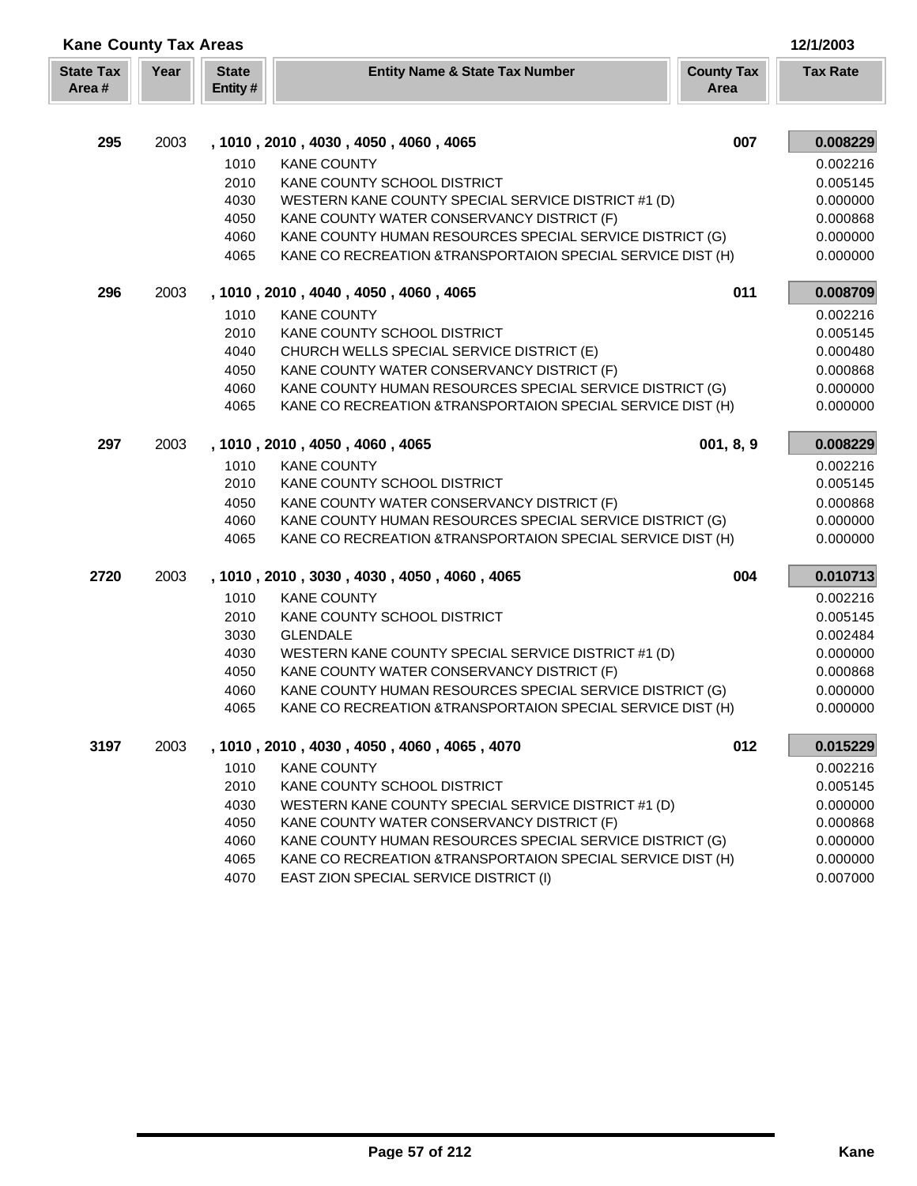| <b>Kane County Tax Areas</b> |      |                         |                                                                                                                         |                           | 12/1/2003            |
|------------------------------|------|-------------------------|-------------------------------------------------------------------------------------------------------------------------|---------------------------|----------------------|
| <b>State Tax</b><br>Area#    | Year | <b>State</b><br>Entity# | <b>Entity Name &amp; State Tax Number</b>                                                                               | <b>County Tax</b><br>Area | <b>Tax Rate</b>      |
|                              |      |                         |                                                                                                                         |                           |                      |
| 295                          | 2003 |                         | , 1010, 2010, 4030, 4050, 4060, 4065                                                                                    | 007                       | 0.008229             |
|                              |      | 1010                    | <b>KANE COUNTY</b>                                                                                                      |                           | 0.002216             |
|                              |      | 2010                    | KANE COUNTY SCHOOL DISTRICT                                                                                             |                           | 0.005145             |
|                              |      | 4030                    | WESTERN KANE COUNTY SPECIAL SERVICE DISTRICT #1 (D)                                                                     |                           | 0.000000             |
|                              |      | 4050                    | KANE COUNTY WATER CONSERVANCY DISTRICT (F)                                                                              |                           | 0.000868             |
|                              |      | 4060<br>4065            | KANE COUNTY HUMAN RESOURCES SPECIAL SERVICE DISTRICT (G)<br>KANE CO RECREATION & TRANSPORTAION SPECIAL SERVICE DIST (H) |                           | 0.000000<br>0.000000 |
| 296                          | 2003 |                         | , 1010, 2010, 4040, 4050, 4060, 4065                                                                                    | 011                       | 0.008709             |
|                              |      | 1010                    | <b>KANE COUNTY</b>                                                                                                      |                           | 0.002216             |
|                              |      | 2010                    | KANE COUNTY SCHOOL DISTRICT                                                                                             |                           | 0.005145             |
|                              |      | 4040                    | CHURCH WELLS SPECIAL SERVICE DISTRICT (E)                                                                               |                           | 0.000480             |
|                              |      | 4050                    | KANE COUNTY WATER CONSERVANCY DISTRICT (F)                                                                              |                           | 0.000868             |
|                              |      | 4060                    | KANE COUNTY HUMAN RESOURCES SPECIAL SERVICE DISTRICT (G)                                                                |                           | 0.000000             |
|                              |      | 4065                    | KANE CO RECREATION & TRANSPORTAION SPECIAL SERVICE DIST (H)                                                             |                           | 0.000000             |
| 297                          | 2003 |                         | , 1010, 2010, 4050, 4060, 4065                                                                                          | 001, 8, 9                 | 0.008229             |
|                              |      | 1010                    | <b>KANE COUNTY</b>                                                                                                      |                           | 0.002216             |
|                              |      | 2010                    | KANE COUNTY SCHOOL DISTRICT                                                                                             |                           | 0.005145             |
|                              |      | 4050                    | KANE COUNTY WATER CONSERVANCY DISTRICT (F)                                                                              |                           | 0.000868             |
|                              |      | 4060                    | KANE COUNTY HUMAN RESOURCES SPECIAL SERVICE DISTRICT (G)                                                                |                           | 0.000000             |
|                              |      | 4065                    | KANE CO RECREATION & TRANSPORTAION SPECIAL SERVICE DIST (H)                                                             |                           | 0.000000             |
| 2720                         | 2003 |                         | , 1010, 2010, 3030, 4030, 4050, 4060, 4065                                                                              | 004                       | 0.010713             |
|                              |      | 1010                    | <b>KANE COUNTY</b>                                                                                                      |                           | 0.002216             |
|                              |      | 2010                    | KANE COUNTY SCHOOL DISTRICT                                                                                             |                           | 0.005145             |
|                              |      | 3030                    | <b>GLENDALE</b>                                                                                                         |                           | 0.002484             |
|                              |      | 4030                    | WESTERN KANE COUNTY SPECIAL SERVICE DISTRICT #1 (D)                                                                     |                           | 0.000000             |
|                              |      | 4050                    | KANE COUNTY WATER CONSERVANCY DISTRICT (F)                                                                              |                           | 0.000868             |
|                              |      | 4060                    | KANE COUNTY HUMAN RESOURCES SPECIAL SERVICE DISTRICT (G)                                                                |                           | 0.000000             |
|                              |      | 4065                    | KANE CO RECREATION & TRANSPORTAION SPECIAL SERVICE DIST (H)                                                             |                           | 0.000000             |
| 3197                         | 2003 |                         | , 1010, 2010, 4030, 4050, 4060, 4065, 4070                                                                              | 012                       | 0.015229             |
|                              |      | 1010                    | <b>KANE COUNTY</b>                                                                                                      |                           | 0.002216             |
|                              |      | 2010                    | KANE COUNTY SCHOOL DISTRICT                                                                                             |                           | 0.005145             |
|                              |      | 4030                    | WESTERN KANE COUNTY SPECIAL SERVICE DISTRICT #1 (D)                                                                     |                           | 0.000000             |
|                              |      | 4050<br>4060            | KANE COUNTY WATER CONSERVANCY DISTRICT (F)<br>KANE COUNTY HUMAN RESOURCES SPECIAL SERVICE DISTRICT (G)                  |                           | 0.000868<br>0.000000 |
|                              |      | 4065                    | KANE CO RECREATION & TRANSPORTAION SPECIAL SERVICE DIST (H)                                                             |                           | 0.000000             |
|                              |      | 4070                    | EAST ZION SPECIAL SERVICE DISTRICT (I)                                                                                  |                           | 0.007000             |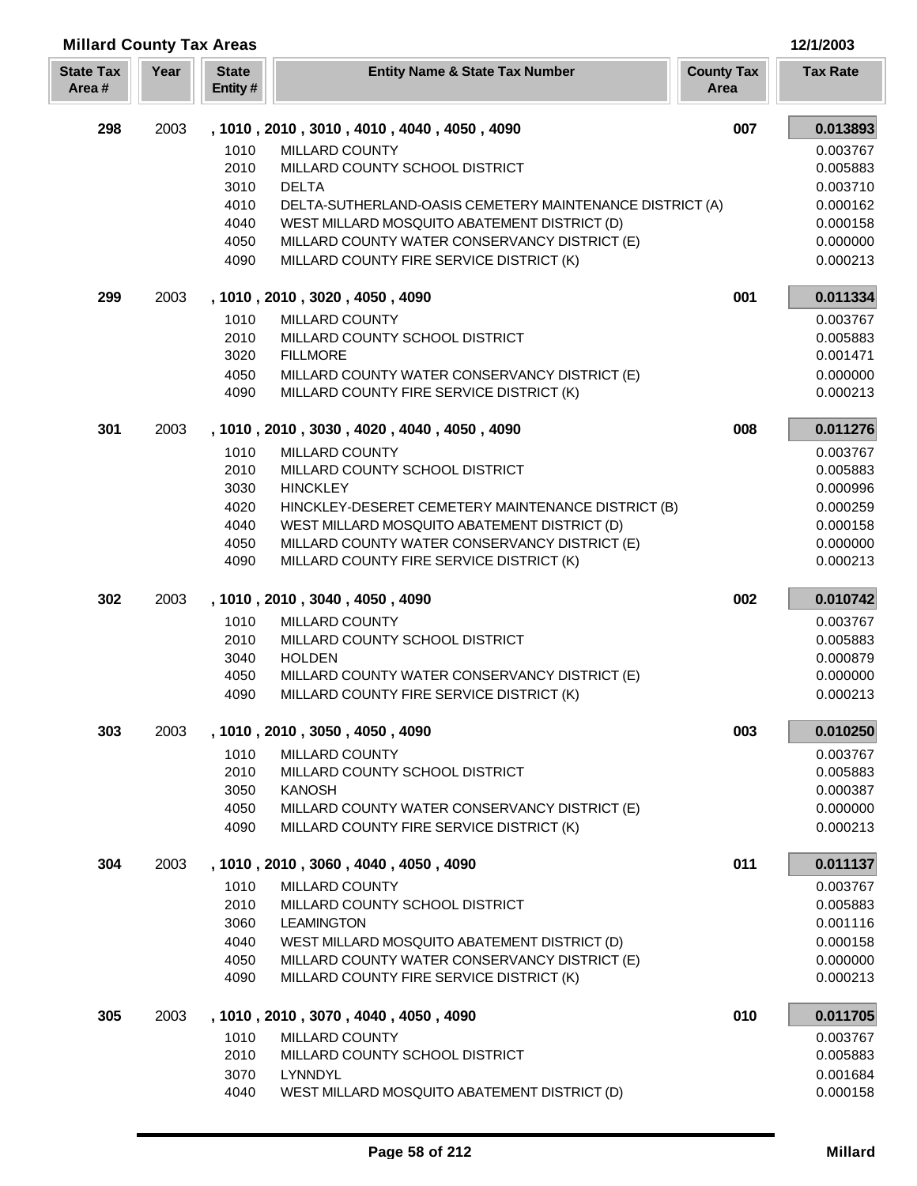| <b>Millard County Tax Areas</b> |      |                         |                                                                                           |                           | 12/1/2003            |
|---------------------------------|------|-------------------------|-------------------------------------------------------------------------------------------|---------------------------|----------------------|
| <b>State Tax</b><br>Area#       | Year | <b>State</b><br>Entity# | <b>Entity Name &amp; State Tax Number</b>                                                 | <b>County Tax</b><br>Area | <b>Tax Rate</b>      |
| 298                             | 2003 |                         | , 1010, 2010, 3010, 4010, 4040, 4050, 4090                                                | 007                       | 0.013893             |
|                                 |      | 1010                    | MILLARD COUNTY                                                                            |                           | 0.003767             |
|                                 |      | 2010                    | MILLARD COUNTY SCHOOL DISTRICT                                                            |                           | 0.005883             |
|                                 |      | 3010                    | <b>DELTA</b>                                                                              |                           | 0.003710             |
|                                 |      | 4010                    | DELTA-SUTHERLAND-OASIS CEMETERY MAINTENANCE DISTRICT (A)                                  |                           | 0.000162             |
|                                 |      | 4040                    | WEST MILLARD MOSQUITO ABATEMENT DISTRICT (D)                                              |                           | 0.000158             |
|                                 |      | 4050<br>4090            | MILLARD COUNTY WATER CONSERVANCY DISTRICT (E)<br>MILLARD COUNTY FIRE SERVICE DISTRICT (K) |                           | 0.000000<br>0.000213 |
| 299                             | 2003 |                         | , 1010, 2010, 3020, 4050, 4090                                                            | 001                       | 0.011334             |
|                                 |      |                         |                                                                                           |                           |                      |
|                                 |      | 1010<br>2010            | MILLARD COUNTY<br>MILLARD COUNTY SCHOOL DISTRICT                                          |                           | 0.003767<br>0.005883 |
|                                 |      | 3020                    | <b>FILLMORE</b>                                                                           |                           | 0.001471             |
|                                 |      | 4050                    | MILLARD COUNTY WATER CONSERVANCY DISTRICT (E)                                             |                           | 0.000000             |
|                                 |      | 4090                    | MILLARD COUNTY FIRE SERVICE DISTRICT (K)                                                  |                           | 0.000213             |
| 301                             | 2003 |                         | , 1010, 2010, 3030, 4020, 4040, 4050, 4090                                                | 008                       | 0.011276             |
|                                 |      | 1010                    | MILLARD COUNTY                                                                            |                           | 0.003767             |
|                                 |      | 2010                    | MILLARD COUNTY SCHOOL DISTRICT                                                            |                           | 0.005883             |
|                                 |      | 3030                    | <b>HINCKLEY</b>                                                                           |                           | 0.000996             |
|                                 |      | 4020                    | HINCKLEY-DESERET CEMETERY MAINTENANCE DISTRICT (B)                                        |                           | 0.000259             |
|                                 |      | 4040                    | WEST MILLARD MOSQUITO ABATEMENT DISTRICT (D)                                              |                           | 0.000158             |
|                                 |      | 4050                    | MILLARD COUNTY WATER CONSERVANCY DISTRICT (E)                                             |                           | 0.000000             |
|                                 |      | 4090                    | MILLARD COUNTY FIRE SERVICE DISTRICT (K)                                                  |                           | 0.000213             |
| 302                             | 2003 |                         | , 1010, 2010, 3040, 4050, 4090                                                            | 002                       | 0.010742             |
|                                 |      | 1010                    | MILLARD COUNTY                                                                            |                           | 0.003767             |
|                                 |      | 2010                    | MILLARD COUNTY SCHOOL DISTRICT                                                            |                           | 0.005883             |
|                                 |      | 3040                    | <b>HOLDEN</b>                                                                             |                           | 0.000879             |
|                                 |      | 4050                    | MILLARD COUNTY WATER CONSERVANCY DISTRICT (E)                                             |                           | 0.000000             |
|                                 |      | 4090                    | MILLARD COUNTY FIRE SERVICE DISTRICT (K)                                                  |                           | 0.000213             |
| 303                             | 2003 |                         | , 1010, 2010, 3050, 4050, 4090                                                            | 003                       | 0.010250             |
|                                 |      | 1010                    | MILLARD COUNTY                                                                            |                           | 0.003767             |
|                                 |      | 2010                    | MILLARD COUNTY SCHOOL DISTRICT                                                            |                           | 0.005883             |
|                                 |      | 3050                    | <b>KANOSH</b>                                                                             |                           | 0.000387             |
|                                 |      | 4050<br>4090            | MILLARD COUNTY WATER CONSERVANCY DISTRICT (E)<br>MILLARD COUNTY FIRE SERVICE DISTRICT (K) |                           | 0.000000<br>0.000213 |
| 304                             | 2003 |                         | , 1010, 2010, 3060, 4040, 4050, 4090                                                      | 011                       | 0.011137             |
|                                 |      |                         |                                                                                           |                           |                      |
|                                 |      | 1010<br>2010            | MILLARD COUNTY<br>MILLARD COUNTY SCHOOL DISTRICT                                          |                           | 0.003767<br>0.005883 |
|                                 |      | 3060                    | <b>LEAMINGTON</b>                                                                         |                           | 0.001116             |
|                                 |      | 4040                    | WEST MILLARD MOSQUITO ABATEMENT DISTRICT (D)                                              |                           | 0.000158             |
|                                 |      | 4050                    | MILLARD COUNTY WATER CONSERVANCY DISTRICT (E)                                             |                           | 0.000000             |
|                                 |      | 4090                    | MILLARD COUNTY FIRE SERVICE DISTRICT (K)                                                  |                           | 0.000213             |
| 305                             | 2003 |                         | , 1010, 2010, 3070, 4040, 4050, 4090                                                      | 010                       | 0.011705             |
|                                 |      | 1010                    | MILLARD COUNTY                                                                            |                           | 0.003767             |
|                                 |      | 2010                    | MILLARD COUNTY SCHOOL DISTRICT                                                            |                           | 0.005883             |
|                                 |      | 3070                    | LYNNDYL                                                                                   |                           | 0.001684             |
|                                 |      | 4040                    | WEST MILLARD MOSQUITO ABATEMENT DISTRICT (D)                                              |                           | 0.000158             |

Г L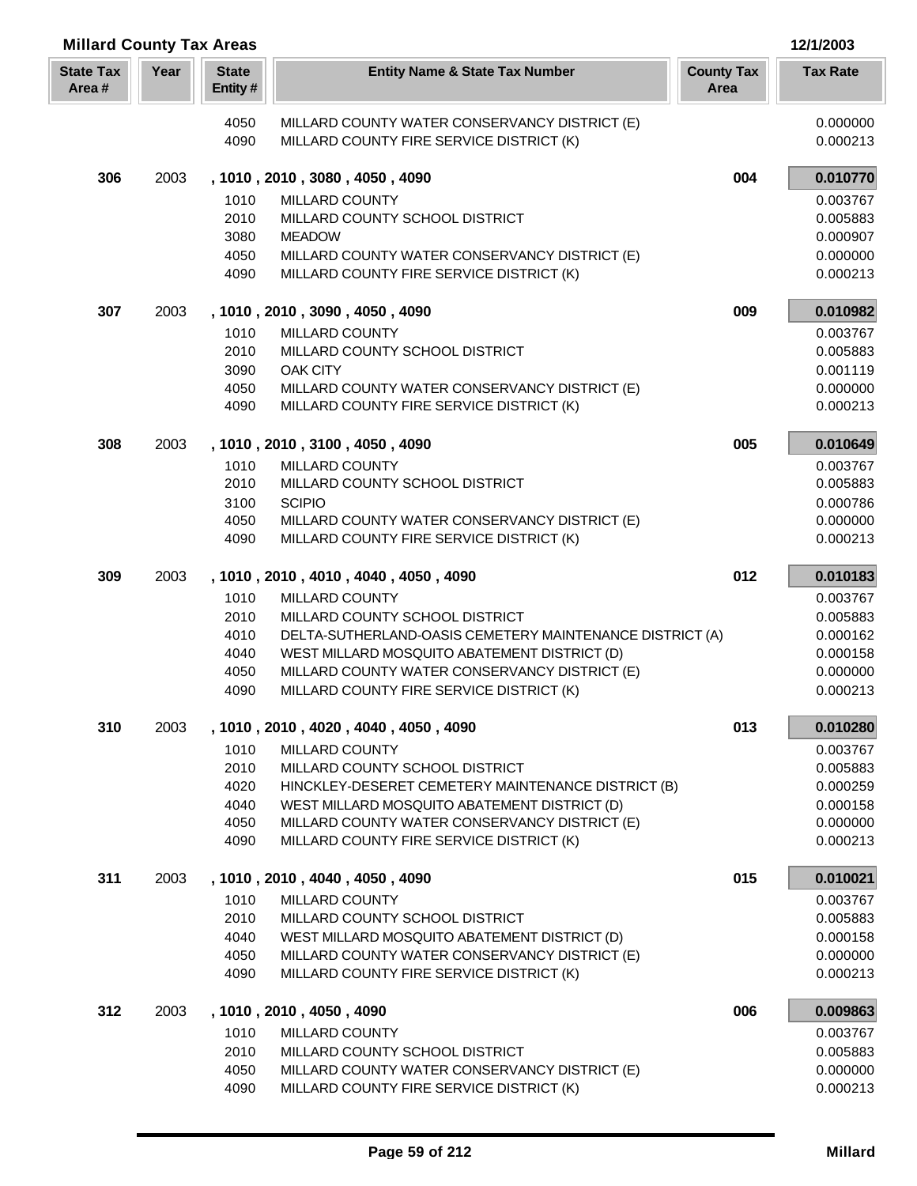| <b>Millard County Tax Areas</b> |      |                         |                                                                                               | 12/1/2003                 |                      |
|---------------------------------|------|-------------------------|-----------------------------------------------------------------------------------------------|---------------------------|----------------------|
| <b>State Tax</b><br>Area#       | Year | <b>State</b><br>Entity# | <b>Entity Name &amp; State Tax Number</b>                                                     | <b>County Tax</b><br>Area | <b>Tax Rate</b>      |
|                                 |      | 4050                    | MILLARD COUNTY WATER CONSERVANCY DISTRICT (E)                                                 |                           | 0.000000             |
|                                 |      | 4090                    | MILLARD COUNTY FIRE SERVICE DISTRICT (K)                                                      |                           | 0.000213             |
| 306                             | 2003 |                         | , 1010, 2010, 3080, 4050, 4090                                                                | 004                       | 0.010770             |
|                                 |      | 1010                    | MILLARD COUNTY                                                                                |                           | 0.003767             |
|                                 |      | 2010                    | MILLARD COUNTY SCHOOL DISTRICT                                                                |                           | 0.005883             |
|                                 |      | 3080                    | <b>MEADOW</b>                                                                                 |                           | 0.000907             |
|                                 |      | 4050                    | MILLARD COUNTY WATER CONSERVANCY DISTRICT (E)                                                 |                           | 0.000000             |
|                                 |      | 4090                    | MILLARD COUNTY FIRE SERVICE DISTRICT (K)                                                      |                           | 0.000213             |
| 307                             | 2003 |                         | , 1010, 2010, 3090, 4050, 4090                                                                | 009                       | 0.010982             |
|                                 |      | 1010                    | MILLARD COUNTY                                                                                |                           | 0.003767             |
|                                 |      | 2010                    | MILLARD COUNTY SCHOOL DISTRICT                                                                |                           | 0.005883             |
|                                 |      | 3090<br>4050            | <b>OAK CITY</b>                                                                               |                           | 0.001119             |
|                                 |      | 4090                    | MILLARD COUNTY WATER CONSERVANCY DISTRICT (E)<br>MILLARD COUNTY FIRE SERVICE DISTRICT (K)     |                           | 0.000000<br>0.000213 |
| 308                             | 2003 |                         | , 1010, 2010, 3100, 4050, 4090                                                                | 005                       | 0.010649             |
|                                 |      | 1010                    | MILLARD COUNTY                                                                                |                           | 0.003767             |
|                                 |      | 2010                    | MILLARD COUNTY SCHOOL DISTRICT                                                                |                           | 0.005883             |
|                                 |      | 3100                    | <b>SCIPIO</b>                                                                                 |                           | 0.000786             |
|                                 |      | 4050                    | MILLARD COUNTY WATER CONSERVANCY DISTRICT (E)                                                 |                           | 0.000000             |
|                                 |      | 4090                    | MILLARD COUNTY FIRE SERVICE DISTRICT (K)                                                      |                           | 0.000213             |
| 309                             | 2003 |                         | , 1010, 2010, 4010, 4040, 4050, 4090                                                          | 012                       | 0.010183             |
|                                 |      | 1010                    | MILLARD COUNTY                                                                                |                           | 0.003767             |
|                                 |      | 2010                    | MILLARD COUNTY SCHOOL DISTRICT                                                                |                           | 0.005883             |
|                                 |      | 4010                    | DELTA-SUTHERLAND-OASIS CEMETERY MAINTENANCE DISTRICT (A)                                      |                           | 0.000162             |
|                                 |      | 4040                    | WEST MILLARD MOSQUITO ABATEMENT DISTRICT (D)                                                  |                           | 0.000158             |
|                                 |      | 4050                    | MILLARD COUNTY WATER CONSERVANCY DISTRICT (E)                                                 |                           | 0.000000             |
|                                 |      | 4090                    | MILLARD COUNTY FIRE SERVICE DISTRICT (K)                                                      |                           | 0.000213             |
| 310                             | 2003 |                         | , 1010, 2010, 4020, 4040, 4050, 4090                                                          | 013                       | 0.010280             |
|                                 |      | 1010                    | MILLARD COUNTY                                                                                |                           | 0.003767             |
|                                 |      | 2010                    | MILLARD COUNTY SCHOOL DISTRICT                                                                |                           | 0.005883             |
|                                 |      | 4020                    | HINCKLEY-DESERET CEMETERY MAINTENANCE DISTRICT (B)                                            |                           | 0.000259             |
|                                 |      | 4040<br>4050            | WEST MILLARD MOSQUITO ABATEMENT DISTRICT (D)<br>MILLARD COUNTY WATER CONSERVANCY DISTRICT (E) |                           | 0.000158<br>0.000000 |
|                                 |      | 4090                    | MILLARD COUNTY FIRE SERVICE DISTRICT (K)                                                      |                           | 0.000213             |
| 311                             | 2003 |                         | , 1010, 2010, 4040, 4050, 4090                                                                | 015                       | 0.010021             |
|                                 |      | 1010                    | MILLARD COUNTY                                                                                |                           | 0.003767             |
|                                 |      | 2010                    | MILLARD COUNTY SCHOOL DISTRICT                                                                |                           | 0.005883             |
|                                 |      | 4040                    | WEST MILLARD MOSQUITO ABATEMENT DISTRICT (D)                                                  |                           | 0.000158             |
|                                 |      | 4050                    | MILLARD COUNTY WATER CONSERVANCY DISTRICT (E)                                                 |                           | 0.000000             |
|                                 |      | 4090                    | MILLARD COUNTY FIRE SERVICE DISTRICT (K)                                                      |                           | 0.000213             |
| 312                             | 2003 |                         | , 1010, 2010, 4050, 4090                                                                      | 006                       | 0.009863             |
|                                 |      | 1010                    | MILLARD COUNTY                                                                                |                           | 0.003767             |
|                                 |      | 2010                    | MILLARD COUNTY SCHOOL DISTRICT                                                                |                           | 0.005883             |
|                                 |      | 4050                    | MILLARD COUNTY WATER CONSERVANCY DISTRICT (E)                                                 |                           | 0.000000             |
|                                 |      | 4090                    | MILLARD COUNTY FIRE SERVICE DISTRICT (K)                                                      |                           | 0.000213             |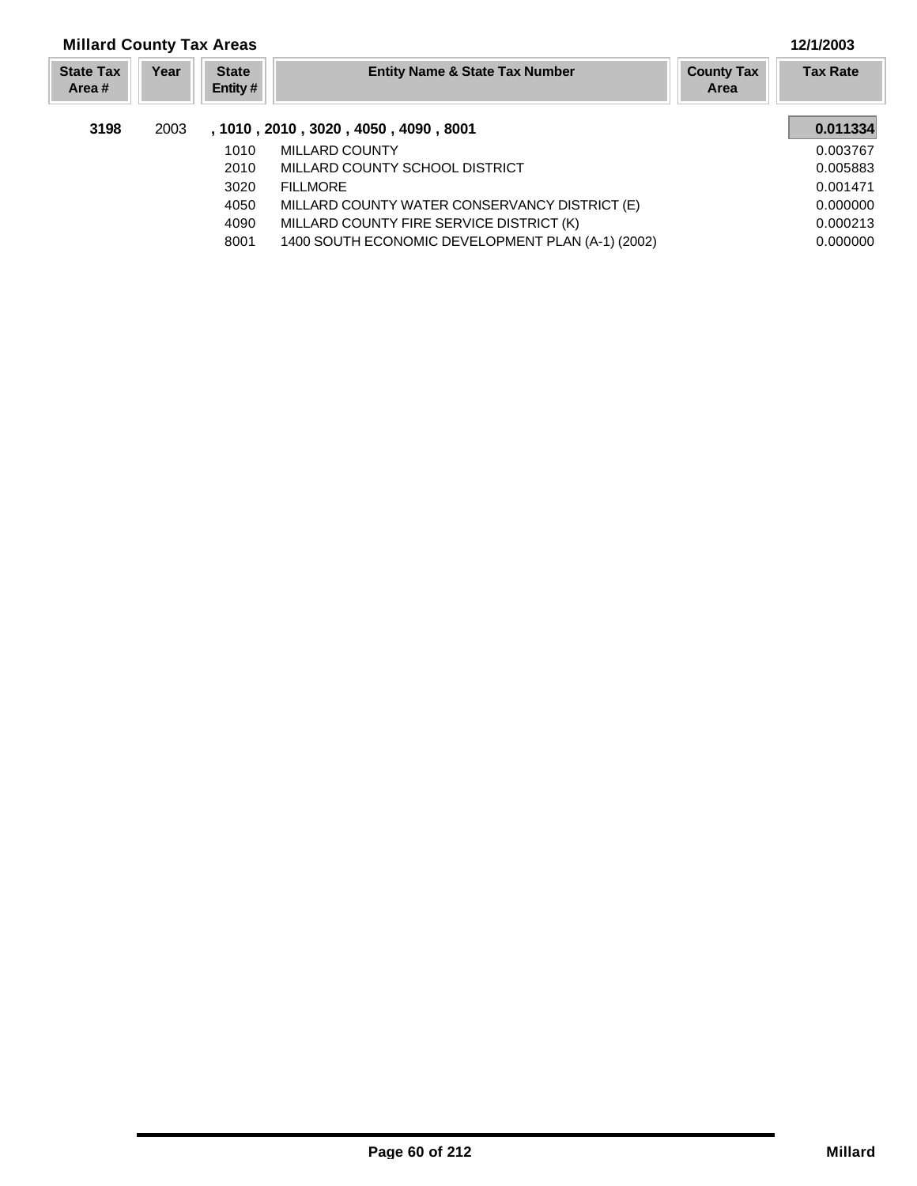| <b>Millard County Tax Areas</b> |      |                         |                                                   |                                  | 12/1/2003       |
|---------------------------------|------|-------------------------|---------------------------------------------------|----------------------------------|-----------------|
| <b>State Tax</b><br>Area #      | Year | <b>State</b><br>Entity# | <b>Entity Name &amp; State Tax Number</b>         | <b>County Tax</b><br><b>Area</b> | <b>Tax Rate</b> |
| 3198                            | 2003 |                         | , 1010, 2010, 3020, 4050, 4090, 8001              |                                  | 0.011334        |
|                                 |      | 1010                    | MILLARD COUNTY                                    |                                  | 0.003767        |
|                                 |      | 2010                    | MILLARD COUNTY SCHOOL DISTRICT                    |                                  | 0.005883        |
|                                 |      | 3020                    | <b>FILLMORE</b>                                   |                                  | 0.001471        |
|                                 |      | 4050                    | MILLARD COUNTY WATER CONSERVANCY DISTRICT (E)     |                                  | 0.000000        |
|                                 |      | 4090                    | MILLARD COUNTY FIRE SERVICE DISTRICT (K)          |                                  | 0.000213        |
|                                 |      | 8001                    | 1400 SOUTH ECONOMIC DEVELOPMENT PLAN (A-1) (2002) |                                  | 0.000000        |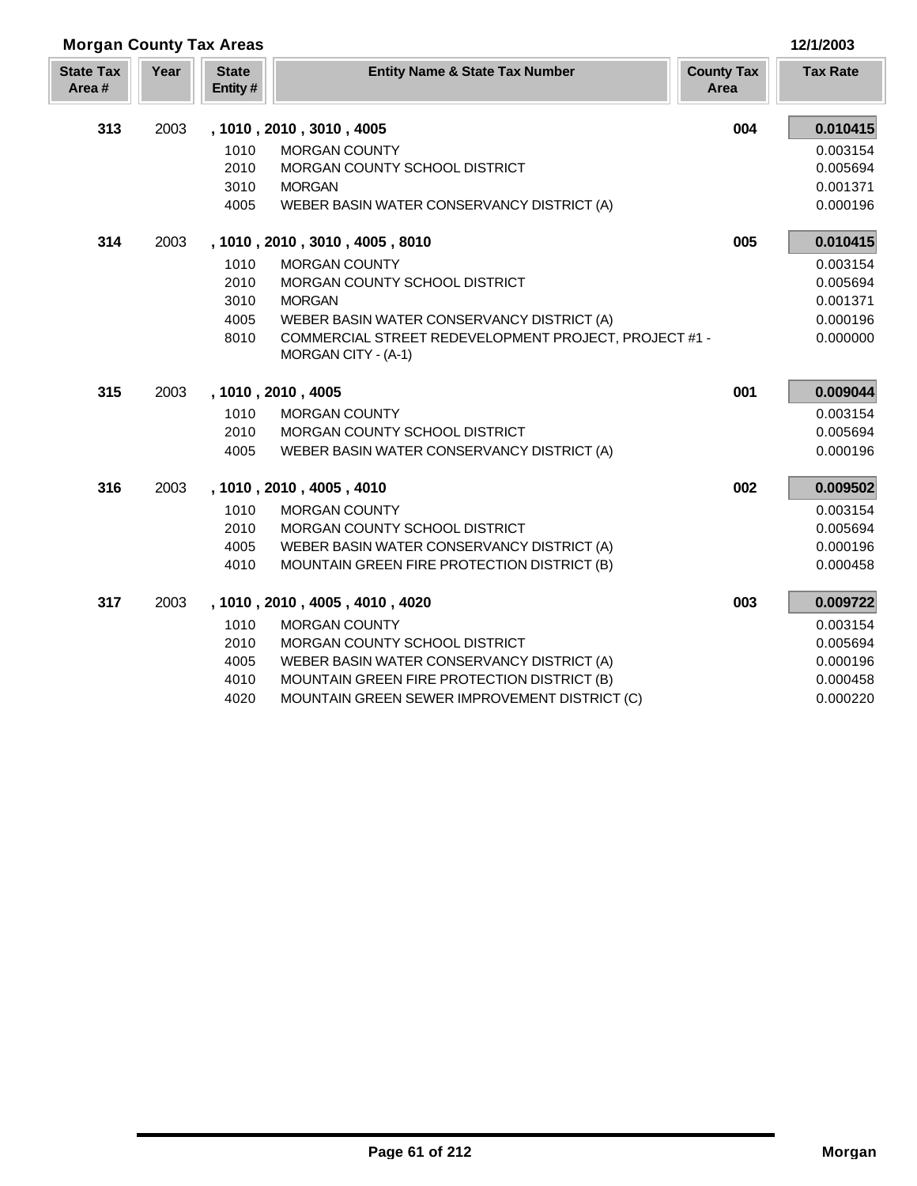|  | 12/1/2003 |  |  |
|--|-----------|--|--|

|                           | <b>Morgan County Tax Areas</b> |                         |                                                                              |                           | 12/1/2003       |
|---------------------------|--------------------------------|-------------------------|------------------------------------------------------------------------------|---------------------------|-----------------|
| <b>State Tax</b><br>Area# | Year                           | <b>State</b><br>Entity# | <b>Entity Name &amp; State Tax Number</b>                                    | <b>County Tax</b><br>Area | <b>Tax Rate</b> |
| 313                       | 2003                           |                         | , 1010, 2010, 3010, 4005                                                     | 004                       | 0.010415        |
|                           |                                | 1010                    | <b>MORGAN COUNTY</b>                                                         |                           | 0.003154        |
|                           |                                | 2010                    | MORGAN COUNTY SCHOOL DISTRICT                                                |                           | 0.005694        |
|                           |                                | 3010                    | <b>MORGAN</b>                                                                |                           | 0.001371        |
|                           |                                | 4005                    | WEBER BASIN WATER CONSERVANCY DISTRICT (A)                                   |                           | 0.000196        |
| 314                       | 2003                           |                         | , 1010, 2010, 3010, 4005, 8010                                               | 005                       | 0.010415        |
|                           |                                | 1010                    | <b>MORGAN COUNTY</b>                                                         |                           | 0.003154        |
|                           |                                | 2010                    | MORGAN COUNTY SCHOOL DISTRICT                                                |                           | 0.005694        |
|                           |                                | 3010                    | <b>MORGAN</b>                                                                |                           | 0.001371        |
|                           |                                | 4005                    | WEBER BASIN WATER CONSERVANCY DISTRICT (A)                                   |                           | 0.000196        |
|                           |                                | 8010                    | COMMERCIAL STREET REDEVELOPMENT PROJECT, PROJECT #1 -<br>MORGAN CITY - (A-1) |                           | 0.000000        |
| 315                       | 2003                           |                         | , 1010, 2010, 4005                                                           | 001                       | 0.009044        |
|                           |                                | 1010                    | <b>MORGAN COUNTY</b>                                                         |                           | 0.003154        |
|                           |                                | 2010                    | MORGAN COUNTY SCHOOL DISTRICT                                                |                           | 0.005694        |
|                           |                                | 4005                    | WEBER BASIN WATER CONSERVANCY DISTRICT (A)                                   |                           | 0.000196        |
| 316                       | 2003                           |                         | , 1010, 2010, 4005, 4010                                                     | 002                       | 0.009502        |
|                           |                                | 1010                    | <b>MORGAN COUNTY</b>                                                         |                           | 0.003154        |
|                           |                                | 2010                    | MORGAN COUNTY SCHOOL DISTRICT                                                |                           | 0.005694        |
|                           |                                | 4005                    | WEBER BASIN WATER CONSERVANCY DISTRICT (A)                                   |                           | 0.000196        |
|                           |                                | 4010                    | MOUNTAIN GREEN FIRE PROTECTION DISTRICT (B)                                  |                           | 0.000458        |
| 317                       | 2003                           |                         | , 1010, 2010, 4005, 4010, 4020                                               | 003                       | 0.009722        |
|                           |                                | 1010                    | <b>MORGAN COUNTY</b>                                                         |                           | 0.003154        |
|                           |                                | 2010                    | MORGAN COUNTY SCHOOL DISTRICT                                                |                           | 0.005694        |
|                           |                                | 4005                    | WEBER BASIN WATER CONSERVANCY DISTRICT (A)                                   |                           | 0.000196        |
|                           |                                | 4010                    | MOUNTAIN GREEN FIRE PROTECTION DISTRICT (B)                                  |                           | 0.000458        |
|                           |                                | 4020                    | MOUNTAIN GREEN SEWER IMPROVEMENT DISTRICT (C)                                |                           | 0.000220        |

т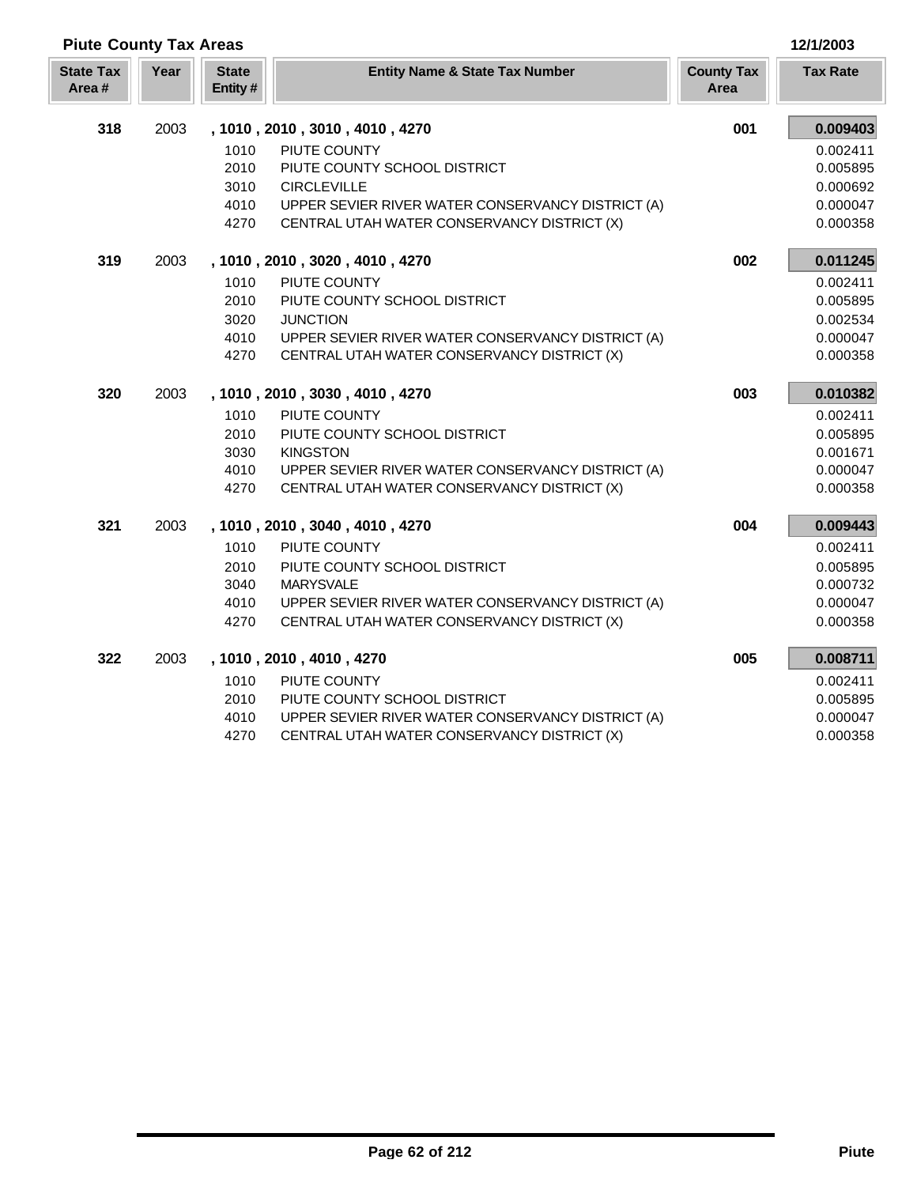| <b>Piute County Tax Areas</b> |      |                         |                                                   |                           |                 |  |
|-------------------------------|------|-------------------------|---------------------------------------------------|---------------------------|-----------------|--|
| <b>State Tax</b><br>Area#     | Year | <b>State</b><br>Entity# | <b>Entity Name &amp; State Tax Number</b>         | <b>County Tax</b><br>Area | <b>Tax Rate</b> |  |
| 318                           | 2003 |                         | , 1010, 2010, 3010, 4010, 4270                    | 001                       | 0.009403        |  |
|                               |      | 1010                    | PIUTE COUNTY                                      |                           | 0.002411        |  |
|                               |      | 2010                    | PIUTE COUNTY SCHOOL DISTRICT                      |                           | 0.005895        |  |
|                               |      | 3010                    | <b>CIRCLEVILLE</b>                                |                           | 0.000692        |  |
|                               |      | 4010                    | UPPER SEVIER RIVER WATER CONSERVANCY DISTRICT (A) |                           | 0.000047        |  |
|                               |      | 4270                    | CENTRAL UTAH WATER CONSERVANCY DISTRICT (X)       |                           | 0.000358        |  |
| 319                           | 2003 |                         | , 1010, 2010, 3020, 4010, 4270                    | 002                       | 0.011245        |  |
|                               |      | 1010                    | PIUTE COUNTY                                      |                           | 0.002411        |  |
|                               |      | 2010                    | PIUTE COUNTY SCHOOL DISTRICT                      |                           | 0.005895        |  |
|                               |      | 3020                    | <b>JUNCTION</b>                                   |                           | 0.002534        |  |
|                               |      | 4010                    | UPPER SEVIER RIVER WATER CONSERVANCY DISTRICT (A) |                           | 0.000047        |  |
|                               |      | 4270                    | CENTRAL UTAH WATER CONSERVANCY DISTRICT (X)       |                           | 0.000358        |  |
| 320                           | 2003 |                         | , 1010, 2010, 3030, 4010, 4270                    | 003                       | 0.010382        |  |
|                               |      | 1010                    | PIUTE COUNTY                                      |                           | 0.002411        |  |
|                               |      | 2010                    | PIUTE COUNTY SCHOOL DISTRICT                      |                           | 0.005895        |  |
|                               |      | 3030                    | <b>KINGSTON</b>                                   |                           | 0.001671        |  |
|                               |      | 4010                    | UPPER SEVIER RIVER WATER CONSERVANCY DISTRICT (A) |                           | 0.000047        |  |
|                               |      | 4270                    | CENTRAL UTAH WATER CONSERVANCY DISTRICT (X)       |                           | 0.000358        |  |
| 321                           | 2003 |                         | , 1010, 2010, 3040, 4010, 4270                    | 004                       | 0.009443        |  |
|                               |      | 1010                    | PIUTE COUNTY                                      |                           | 0.002411        |  |
|                               |      | 2010                    | PIUTE COUNTY SCHOOL DISTRICT                      |                           | 0.005895        |  |
|                               |      | 3040                    | <b>MARYSVALE</b>                                  |                           | 0.000732        |  |
|                               |      | 4010                    | UPPER SEVIER RIVER WATER CONSERVANCY DISTRICT (A) |                           | 0.000047        |  |
|                               |      | 4270                    | CENTRAL UTAH WATER CONSERVANCY DISTRICT (X)       |                           | 0.000358        |  |
| 322                           | 2003 |                         | , 1010, 2010, 4010, 4270                          | 005                       | 0.008711        |  |
|                               |      | 1010                    | PIUTE COUNTY                                      |                           | 0.002411        |  |
|                               |      | 2010                    | PIUTE COUNTY SCHOOL DISTRICT                      |                           | 0.005895        |  |
|                               |      | 4010                    | UPPER SEVIER RIVER WATER CONSERVANCY DISTRICT (A) |                           | 0.000047        |  |
|                               |      | 4270                    | CENTRAL UTAH WATER CONSERVANCY DISTRICT (X)       |                           | 0.000358        |  |

Γ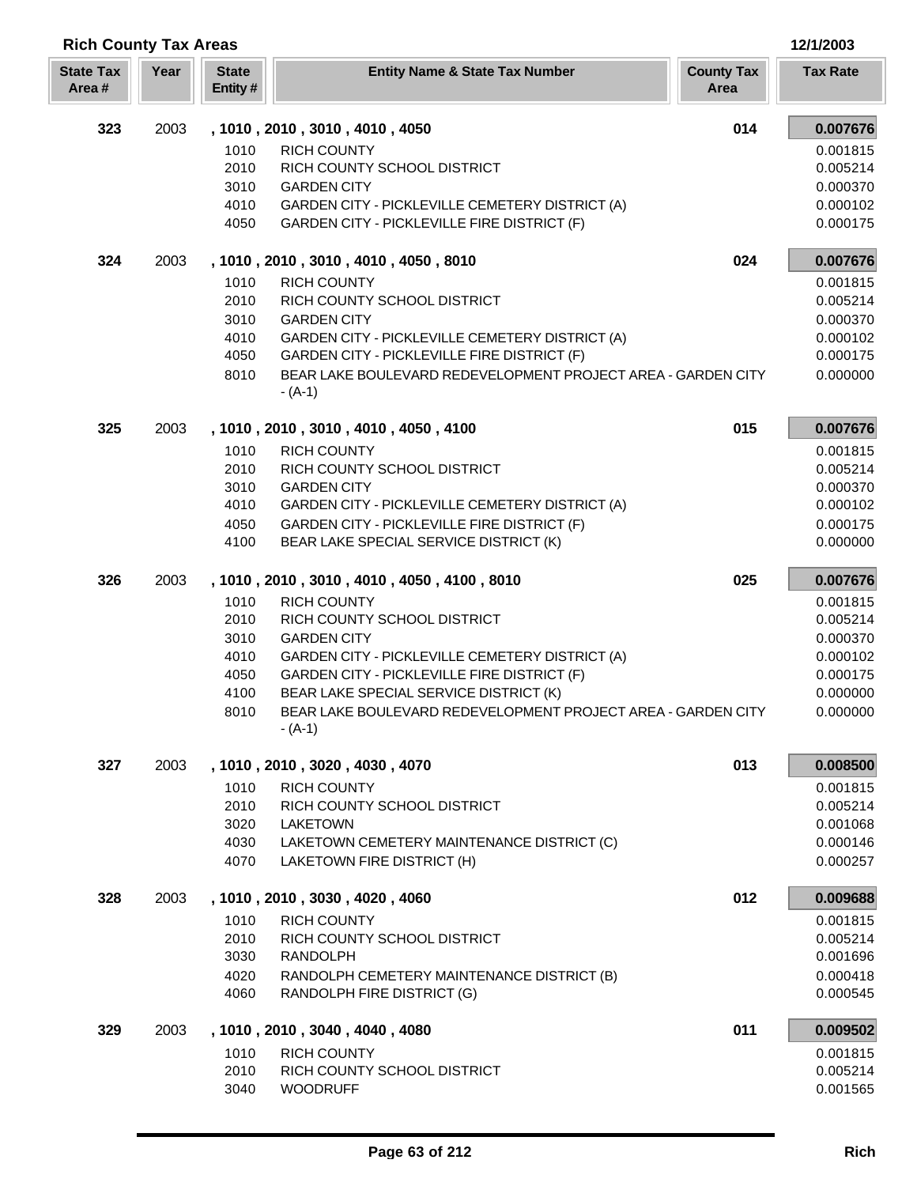| <b>Rich County Tax Areas</b> |      |                         |                                                                                                        | 12/1/2003                 |                      |
|------------------------------|------|-------------------------|--------------------------------------------------------------------------------------------------------|---------------------------|----------------------|
| <b>State Tax</b><br>Area #   | Year | <b>State</b><br>Entity# | <b>Entity Name &amp; State Tax Number</b>                                                              | <b>County Tax</b><br>Area | <b>Tax Rate</b>      |
| 323                          | 2003 |                         | , 1010, 2010, 3010, 4010, 4050                                                                         | 014                       | 0.007676             |
|                              |      | 1010                    | <b>RICH COUNTY</b>                                                                                     |                           | 0.001815             |
|                              |      | 2010                    | RICH COUNTY SCHOOL DISTRICT                                                                            |                           | 0.005214             |
|                              |      | 3010                    | <b>GARDEN CITY</b>                                                                                     |                           | 0.000370             |
|                              |      | 4010                    | GARDEN CITY - PICKLEVILLE CEMETERY DISTRICT (A)                                                        |                           | 0.000102             |
|                              |      | 4050                    | GARDEN CITY - PICKLEVILLE FIRE DISTRICT (F)                                                            |                           | 0.000175             |
| 324                          | 2003 |                         | , 1010, 2010, 3010, 4010, 4050, 8010                                                                   | 024                       | 0.007676             |
|                              |      | 1010                    | <b>RICH COUNTY</b>                                                                                     |                           | 0.001815             |
|                              |      | 2010                    | RICH COUNTY SCHOOL DISTRICT                                                                            |                           | 0.005214             |
|                              |      | 3010                    | <b>GARDEN CITY</b>                                                                                     |                           | 0.000370             |
|                              |      | 4010                    | GARDEN CITY - PICKLEVILLE CEMETERY DISTRICT (A)                                                        |                           | 0.000102             |
|                              |      | 4050                    | GARDEN CITY - PICKLEVILLE FIRE DISTRICT (F)                                                            |                           | 0.000175             |
|                              |      | 8010                    | BEAR LAKE BOULEVARD REDEVELOPMENT PROJECT AREA - GARDEN CITY<br>- (A-1)                                |                           | 0.000000             |
| 325                          | 2003 |                         | , 1010, 2010, 3010, 4010, 4050, 4100                                                                   | 015                       | 0.007676             |
|                              |      | 1010                    | <b>RICH COUNTY</b>                                                                                     |                           | 0.001815             |
|                              |      | 2010                    | RICH COUNTY SCHOOL DISTRICT                                                                            |                           | 0.005214             |
|                              |      | 3010                    | <b>GARDEN CITY</b>                                                                                     |                           | 0.000370             |
|                              |      | 4010                    | GARDEN CITY - PICKLEVILLE CEMETERY DISTRICT (A)                                                        |                           | 0.000102             |
|                              |      | 4050                    | GARDEN CITY - PICKLEVILLE FIRE DISTRICT (F)                                                            |                           | 0.000175             |
|                              |      | 4100                    | BEAR LAKE SPECIAL SERVICE DISTRICT (K)                                                                 |                           | 0.000000             |
| 326                          | 2003 |                         | , 1010, 2010, 3010, 4010, 4050, 4100, 8010                                                             | 025                       | 0.007676             |
|                              |      | 1010                    | <b>RICH COUNTY</b>                                                                                     |                           | 0.001815             |
|                              |      | 2010                    | RICH COUNTY SCHOOL DISTRICT                                                                            |                           | 0.005214             |
|                              |      | 3010                    | <b>GARDEN CITY</b>                                                                                     |                           | 0.000370             |
|                              |      | 4010                    | GARDEN CITY - PICKLEVILLE CEMETERY DISTRICT (A)                                                        |                           | 0.000102             |
|                              |      | 4050                    | GARDEN CITY - PICKLEVILLE FIRE DISTRICT (F)                                                            |                           | 0.000175             |
|                              |      | 4100<br>8010            | BEAR LAKE SPECIAL SERVICE DISTRICT (K)<br>BEAR LAKE BOULEVARD REDEVELOPMENT PROJECT AREA - GARDEN CITY |                           | 0.000000<br>0.000000 |
|                              |      |                         | - (A-1)                                                                                                |                           |                      |
| 327                          | 2003 |                         | , 1010, 2010, 3020, 4030, 4070                                                                         | 013                       | 0.008500             |
|                              |      | 1010                    | <b>RICH COUNTY</b>                                                                                     |                           | 0.001815             |
|                              |      | 2010                    | RICH COUNTY SCHOOL DISTRICT                                                                            |                           | 0.005214             |
|                              |      | 3020                    | <b>LAKETOWN</b>                                                                                        |                           | 0.001068             |
|                              |      | 4030                    | LAKETOWN CEMETERY MAINTENANCE DISTRICT (C)                                                             |                           | 0.000146             |
|                              |      | 4070                    | LAKETOWN FIRE DISTRICT (H)                                                                             |                           | 0.000257             |
| 328                          | 2003 |                         | , 1010, 2010, 3030, 4020, 4060                                                                         | 012                       | 0.009688             |
|                              |      | 1010                    | <b>RICH COUNTY</b>                                                                                     |                           | 0.001815             |
|                              |      | 2010                    | RICH COUNTY SCHOOL DISTRICT                                                                            |                           | 0.005214             |
|                              |      | 3030                    | <b>RANDOLPH</b>                                                                                        |                           | 0.001696             |
|                              |      | 4020                    | RANDOLPH CEMETERY MAINTENANCE DISTRICT (B)                                                             |                           | 0.000418             |
|                              |      | 4060                    | RANDOLPH FIRE DISTRICT (G)                                                                             |                           | 0.000545             |
| 329                          | 2003 |                         | , 1010, 2010, 3040, 4040, 4080                                                                         | 011                       | 0.009502             |
|                              |      | 1010                    | <b>RICH COUNTY</b>                                                                                     |                           | 0.001815             |
|                              |      | 2010                    | RICH COUNTY SCHOOL DISTRICT                                                                            |                           | 0.005214             |
|                              |      | 3040                    | <b>WOODRUFF</b>                                                                                        |                           | 0.001565             |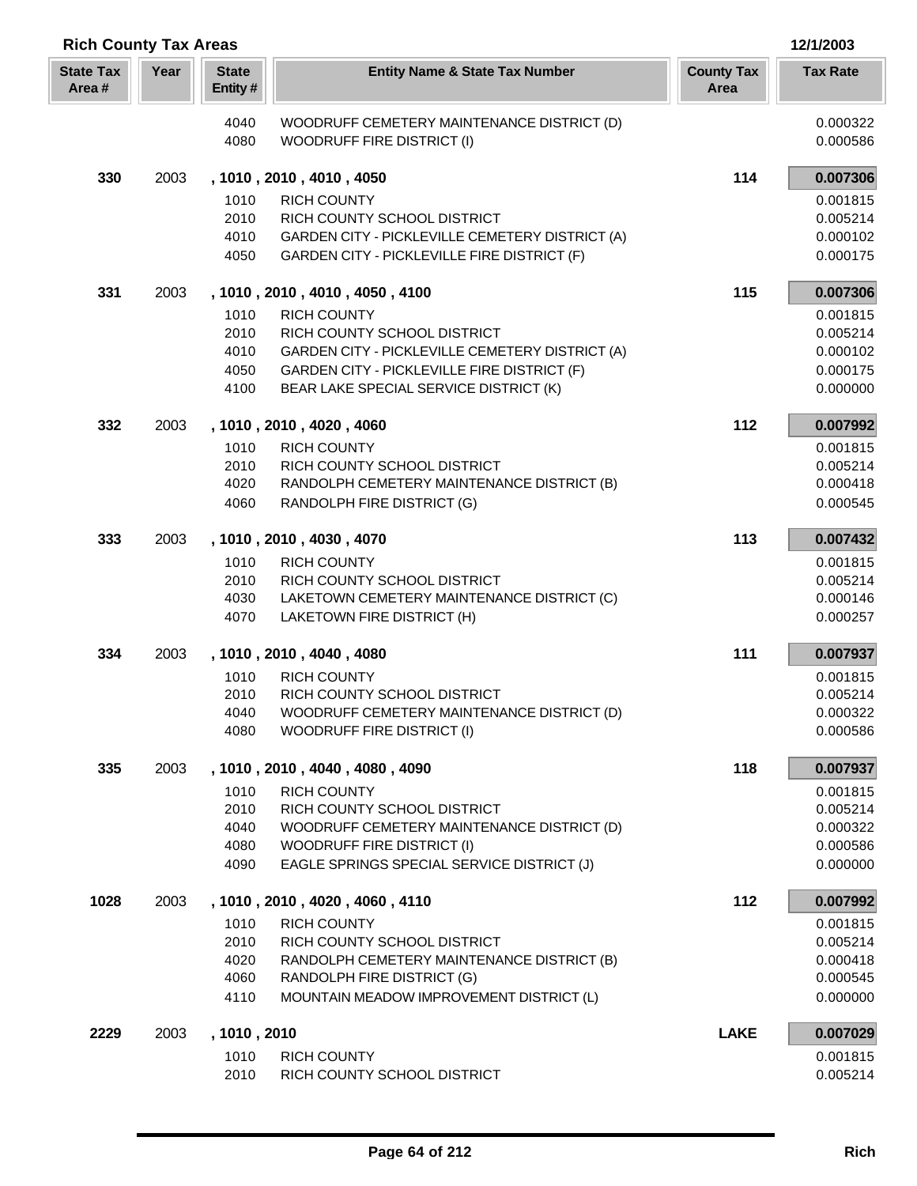| <b>Rich County Tax Areas</b><br>12/1/2003 |      |                         |                                                                                                |                           |                      |
|-------------------------------------------|------|-------------------------|------------------------------------------------------------------------------------------------|---------------------------|----------------------|
| <b>State Tax</b><br>Area#                 | Year | <b>State</b><br>Entity# | <b>Entity Name &amp; State Tax Number</b>                                                      | <b>County Tax</b><br>Area | <b>Tax Rate</b>      |
|                                           |      | 4040<br>4080            | WOODRUFF CEMETERY MAINTENANCE DISTRICT (D)<br>WOODRUFF FIRE DISTRICT (I)                       |                           | 0.000322<br>0.000586 |
| 330                                       | 2003 |                         | , 1010, 2010, 4010, 4050                                                                       | 114                       | 0.007306             |
|                                           |      | 1010                    | <b>RICH COUNTY</b>                                                                             |                           | 0.001815             |
|                                           |      | 2010                    | RICH COUNTY SCHOOL DISTRICT                                                                    |                           | 0.005214             |
|                                           |      | 4010<br>4050            | GARDEN CITY - PICKLEVILLE CEMETERY DISTRICT (A)<br>GARDEN CITY - PICKLEVILLE FIRE DISTRICT (F) |                           | 0.000102<br>0.000175 |
| 331                                       | 2003 |                         | , 1010, 2010, 4010, 4050, 4100                                                                 | 115                       | 0.007306             |
|                                           |      | 1010                    | <b>RICH COUNTY</b>                                                                             |                           | 0.001815             |
|                                           |      | 2010<br>4010            | RICH COUNTY SCHOOL DISTRICT<br>GARDEN CITY - PICKLEVILLE CEMETERY DISTRICT (A)                 |                           | 0.005214<br>0.000102 |
|                                           |      | 4050                    | GARDEN CITY - PICKLEVILLE FIRE DISTRICT (F)                                                    |                           | 0.000175             |
|                                           |      | 4100                    | BEAR LAKE SPECIAL SERVICE DISTRICT (K)                                                         |                           | 0.000000             |
| 332                                       | 2003 |                         | , 1010, 2010, 4020, 4060                                                                       | 112                       | 0.007992             |
|                                           |      | 1010                    | <b>RICH COUNTY</b>                                                                             |                           | 0.001815             |
|                                           |      | 2010                    | RICH COUNTY SCHOOL DISTRICT                                                                    |                           | 0.005214             |
|                                           |      | 4020                    | RANDOLPH CEMETERY MAINTENANCE DISTRICT (B)                                                     |                           | 0.000418             |
|                                           |      | 4060                    | RANDOLPH FIRE DISTRICT (G)                                                                     |                           | 0.000545             |
| 333                                       | 2003 |                         | , 1010, 2010, 4030, 4070                                                                       | 113                       | 0.007432             |
|                                           |      | 1010                    | <b>RICH COUNTY</b>                                                                             |                           | 0.001815             |
|                                           |      | 2010<br>4030            | RICH COUNTY SCHOOL DISTRICT<br>LAKETOWN CEMETERY MAINTENANCE DISTRICT (C)                      |                           | 0.005214<br>0.000146 |
|                                           |      | 4070                    | LAKETOWN FIRE DISTRICT (H)                                                                     |                           | 0.000257             |
| 334                                       | 2003 |                         | , 1010, 2010, 4040, 4080                                                                       | 111                       | 0.007937             |
|                                           |      | 1010                    | <b>RICH COUNTY</b>                                                                             |                           | 0.001815             |
|                                           |      | 2010                    | RICH COUNTY SCHOOL DISTRICT                                                                    |                           | 0.005214             |
|                                           |      | 4040                    | WOODRUFF CEMETERY MAINTENANCE DISTRICT (D)                                                     |                           | 0.000322             |
|                                           |      | 4080                    | <b>WOODRUFF FIRE DISTRICT (I)</b>                                                              |                           | 0.000586             |
| 335                                       | 2003 |                         | , 1010, 2010, 4040, 4080, 4090                                                                 | 118                       | 0.007937             |
|                                           |      | 1010                    | <b>RICH COUNTY</b>                                                                             |                           | 0.001815             |
|                                           |      | 2010<br>4040            | RICH COUNTY SCHOOL DISTRICT<br>WOODRUFF CEMETERY MAINTENANCE DISTRICT (D)                      |                           | 0.005214<br>0.000322 |
|                                           |      | 4080                    | WOODRUFF FIRE DISTRICT (I)                                                                     |                           | 0.000586             |
|                                           |      | 4090                    | EAGLE SPRINGS SPECIAL SERVICE DISTRICT (J)                                                     |                           | 0.000000             |
| 1028                                      | 2003 |                         | , 1010, 2010, 4020, 4060, 4110                                                                 | 112                       | 0.007992             |
|                                           |      | 1010                    | <b>RICH COUNTY</b>                                                                             |                           | 0.001815             |
|                                           |      | 2010                    | RICH COUNTY SCHOOL DISTRICT                                                                    |                           | 0.005214             |
|                                           |      | 4020<br>4060            | RANDOLPH CEMETERY MAINTENANCE DISTRICT (B)<br>RANDOLPH FIRE DISTRICT (G)                       |                           | 0.000418<br>0.000545 |
|                                           |      | 4110                    | MOUNTAIN MEADOW IMPROVEMENT DISTRICT (L)                                                       |                           | 0.000000             |
| 2229                                      | 2003 | , 1010, 2010            |                                                                                                | <b>LAKE</b>               | 0.007029             |
|                                           |      | 1010                    | <b>RICH COUNTY</b>                                                                             |                           | 0.001815             |
|                                           |      | 2010                    | RICH COUNTY SCHOOL DISTRICT                                                                    |                           | 0.005214             |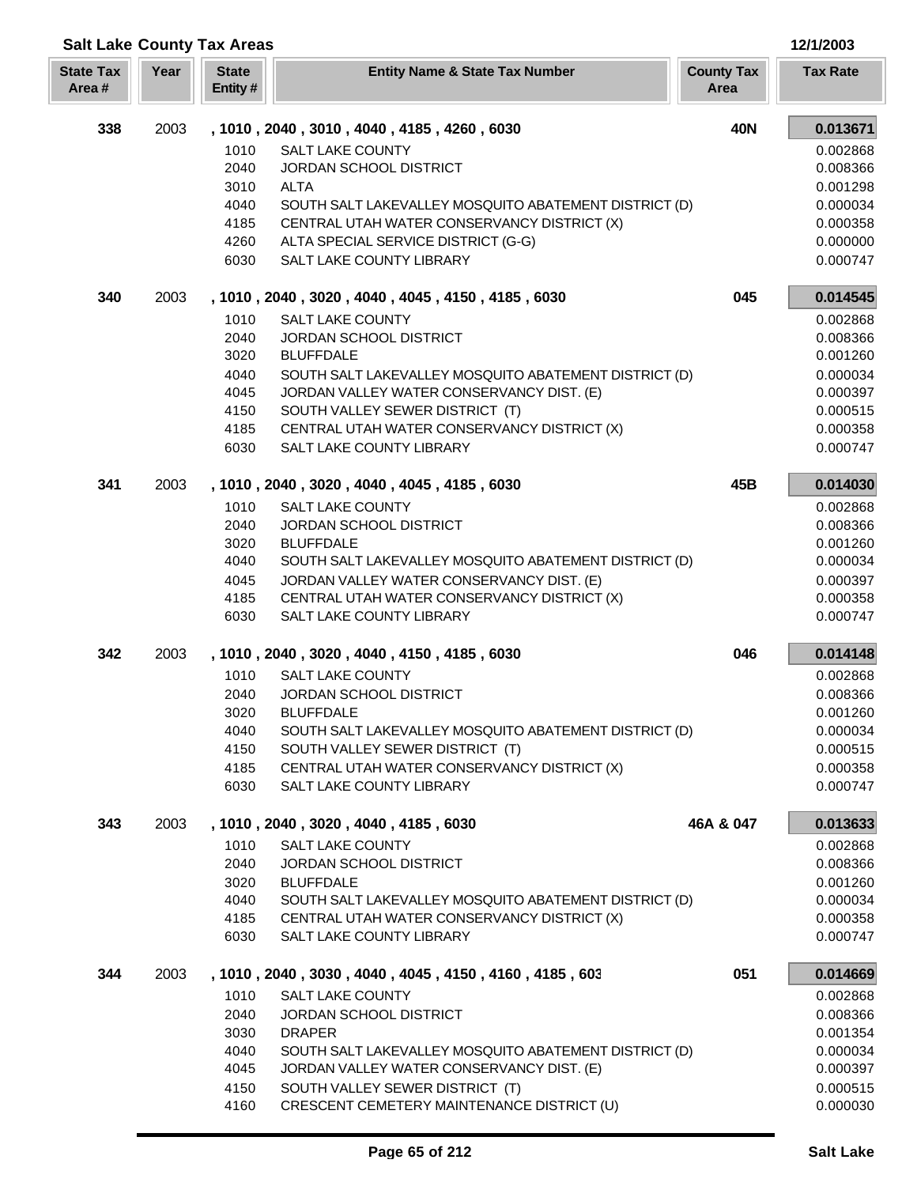| <b>Salt Lake County Tax Areas</b> |      |                         |                                                                                |                           | 12/1/2003            |
|-----------------------------------|------|-------------------------|--------------------------------------------------------------------------------|---------------------------|----------------------|
| <b>State Tax</b><br>Area#         | Year | <b>State</b><br>Entity# | <b>Entity Name &amp; State Tax Number</b>                                      | <b>County Tax</b><br>Area | <b>Tax Rate</b>      |
| 338                               | 2003 |                         | , 1010, 2040, 3010, 4040, 4185, 4260, 6030                                     | <b>40N</b>                | 0.013671             |
|                                   |      | 1010                    | SALT LAKE COUNTY                                                               |                           | 0.002868             |
|                                   |      | 2040                    | JORDAN SCHOOL DISTRICT                                                         |                           | 0.008366             |
|                                   |      | 3010                    | <b>ALTA</b>                                                                    |                           | 0.001298             |
|                                   |      | 4040                    | SOUTH SALT LAKEVALLEY MOSQUITO ABATEMENT DISTRICT (D)                          |                           | 0.000034             |
|                                   |      | 4185                    | CENTRAL UTAH WATER CONSERVANCY DISTRICT (X)                                    |                           | 0.000358             |
|                                   |      | 4260                    | ALTA SPECIAL SERVICE DISTRICT (G-G)                                            |                           | 0.000000             |
|                                   |      | 6030                    | SALT LAKE COUNTY LIBRARY                                                       |                           | 0.000747             |
| 340                               | 2003 |                         | , 1010, 2040, 3020, 4040, 4045, 4150, 4185, 6030                               | 045                       | 0.014545             |
|                                   |      | 1010                    | <b>SALT LAKE COUNTY</b>                                                        |                           | 0.002868             |
|                                   |      | 2040                    | <b>JORDAN SCHOOL DISTRICT</b>                                                  |                           | 0.008366             |
|                                   |      | 3020                    | <b>BLUFFDALE</b>                                                               |                           | 0.001260             |
|                                   |      | 4040                    | SOUTH SALT LAKEVALLEY MOSQUITO ABATEMENT DISTRICT (D)                          |                           | 0.000034             |
|                                   |      | 4045                    | JORDAN VALLEY WATER CONSERVANCY DIST. (E)<br>SOUTH VALLEY SEWER DISTRICT (T)   |                           | 0.000397             |
|                                   |      | 4150<br>4185            | CENTRAL UTAH WATER CONSERVANCY DISTRICT (X)                                    |                           | 0.000515<br>0.000358 |
|                                   |      | 6030                    | SALT LAKE COUNTY LIBRARY                                                       |                           | 0.000747             |
| 341                               | 2003 |                         | , 1010, 2040, 3020, 4040, 4045, 4185, 6030                                     | 45B                       | 0.014030             |
|                                   |      | 1010                    | <b>SALT LAKE COUNTY</b>                                                        |                           | 0.002868             |
|                                   |      | 2040                    | JORDAN SCHOOL DISTRICT                                                         |                           | 0.008366             |
|                                   |      | 3020                    | <b>BLUFFDALE</b>                                                               |                           | 0.001260             |
|                                   |      | 4040                    | SOUTH SALT LAKEVALLEY MOSQUITO ABATEMENT DISTRICT (D)                          |                           | 0.000034             |
|                                   |      | 4045                    | JORDAN VALLEY WATER CONSERVANCY DIST. (E)                                      |                           | 0.000397             |
|                                   |      | 4185                    | CENTRAL UTAH WATER CONSERVANCY DISTRICT (X)                                    |                           | 0.000358             |
|                                   |      | 6030                    | SALT LAKE COUNTY LIBRARY                                                       |                           | 0.000747             |
| 342                               | 2003 |                         | , 1010, 2040, 3020, 4040, 4150, 4185, 6030                                     | 046                       | 0.014148             |
|                                   |      | 1010                    | <b>SALT LAKE COUNTY</b>                                                        |                           | 0.002868             |
|                                   |      | 2040                    | JORDAN SCHOOL DISTRICT                                                         |                           | 0.008366             |
|                                   |      | 3020                    | <b>BLUFFDALE</b>                                                               |                           | 0.001260             |
|                                   |      | 4040                    | SOUTH SALT LAKEVALLEY MOSQUITO ABATEMENT DISTRICT (D)                          |                           | 0.000034             |
|                                   |      | 4150                    | SOUTH VALLEY SEWER DISTRICT (T)                                                |                           | 0.000515             |
|                                   |      | 4185                    | CENTRAL UTAH WATER CONSERVANCY DISTRICT (X)<br><b>SALT LAKE COUNTY LIBRARY</b> |                           | 0.000358             |
|                                   |      | 6030                    |                                                                                |                           | 0.000747             |
| 343                               | 2003 |                         | , 1010, 2040, 3020, 4040, 4185, 6030                                           | 46A & 047                 | 0.013633             |
|                                   |      | 1010                    | <b>SALT LAKE COUNTY</b>                                                        |                           | 0.002868             |
|                                   |      | 2040                    | JORDAN SCHOOL DISTRICT                                                         |                           | 0.008366             |
|                                   |      | 3020<br>4040            | <b>BLUFFDALE</b><br>SOUTH SALT LAKEVALLEY MOSQUITO ABATEMENT DISTRICT (D)      |                           | 0.001260<br>0.000034 |
|                                   |      | 4185                    | CENTRAL UTAH WATER CONSERVANCY DISTRICT (X)                                    |                           | 0.000358             |
|                                   |      | 6030                    | SALT LAKE COUNTY LIBRARY                                                       |                           | 0.000747             |
| 344                               | 2003 |                         | , 1010, 2040, 3030, 4040, 4045, 4150, 4160, 4185, 603                          | 051                       | 0.014669             |
|                                   |      | 1010                    | <b>SALT LAKE COUNTY</b>                                                        |                           | 0.002868             |
|                                   |      | 2040                    | JORDAN SCHOOL DISTRICT                                                         |                           | 0.008366             |
|                                   |      | 3030                    | <b>DRAPER</b>                                                                  |                           | 0.001354             |
|                                   |      | 4040                    | SOUTH SALT LAKEVALLEY MOSQUITO ABATEMENT DISTRICT (D)                          |                           | 0.000034             |
|                                   |      | 4045                    | JORDAN VALLEY WATER CONSERVANCY DIST. (E)                                      |                           | 0.000397             |
|                                   |      | 4150                    | SOUTH VALLEY SEWER DISTRICT (T)                                                |                           | 0.000515             |
|                                   |      | 4160                    | CRESCENT CEMETERY MAINTENANCE DISTRICT (U)                                     |                           | 0.000030             |

Г L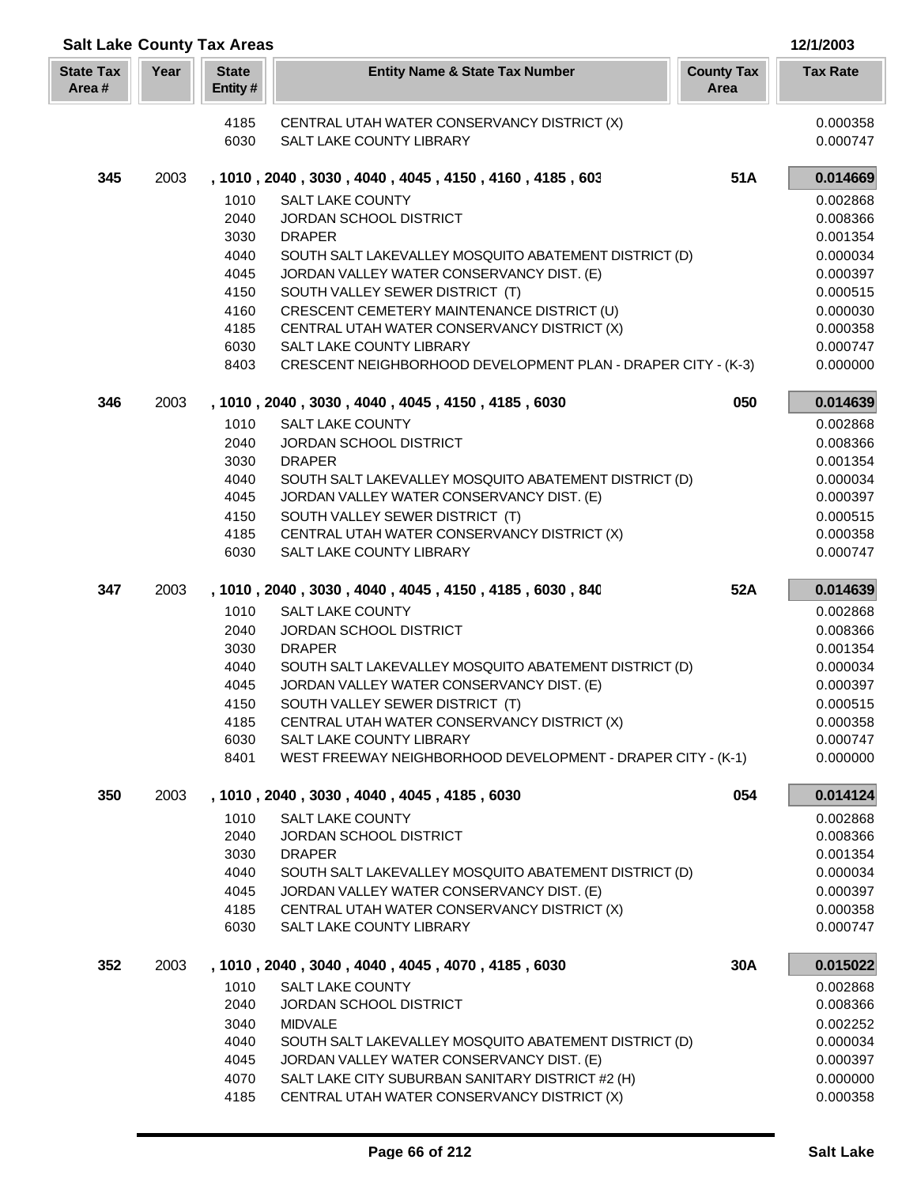| <b>Salt Lake County Tax Areas</b> |      |                         |                                                                                          |                           | 12/1/2003            |
|-----------------------------------|------|-------------------------|------------------------------------------------------------------------------------------|---------------------------|----------------------|
| <b>State Tax</b><br>Area#         | Year | <b>State</b><br>Entity# | <b>Entity Name &amp; State Tax Number</b>                                                | <b>County Tax</b><br>Area | <b>Tax Rate</b>      |
|                                   |      | 4185                    | CENTRAL UTAH WATER CONSERVANCY DISTRICT (X)                                              |                           | 0.000358             |
|                                   |      | 6030                    | SALT LAKE COUNTY LIBRARY                                                                 |                           | 0.000747             |
| 345                               | 2003 |                         | , 1010 , 2040 , 3030 , 4040 , 4045 , 4150 , 4160 , 4185 , 603                            | 51A                       | 0.014669             |
|                                   |      | 1010                    | SALT LAKE COUNTY                                                                         |                           | 0.002868             |
|                                   |      | 2040                    | JORDAN SCHOOL DISTRICT                                                                   |                           | 0.008366             |
|                                   |      | 3030                    | <b>DRAPER</b>                                                                            |                           | 0.001354             |
|                                   |      | 4040                    | SOUTH SALT LAKEVALLEY MOSQUITO ABATEMENT DISTRICT (D)                                    |                           | 0.000034             |
|                                   |      | 4045                    | JORDAN VALLEY WATER CONSERVANCY DIST. (E)                                                |                           | 0.000397             |
|                                   |      | 4150                    | SOUTH VALLEY SEWER DISTRICT (T)                                                          |                           | 0.000515             |
|                                   |      | 4160                    | CRESCENT CEMETERY MAINTENANCE DISTRICT (U)                                               |                           | 0.000030             |
|                                   |      | 4185                    | CENTRAL UTAH WATER CONSERVANCY DISTRICT (X)                                              |                           | 0.000358             |
|                                   |      | 6030<br>8403            | SALT LAKE COUNTY LIBRARY<br>CRESCENT NEIGHBORHOOD DEVELOPMENT PLAN - DRAPER CITY - (K-3) |                           | 0.000747<br>0.000000 |
| 346                               | 2003 |                         | , 1010, 2040, 3030, 4040, 4045, 4150, 4185, 6030                                         | 050                       | 0.014639             |
|                                   |      | 1010                    | <b>SALT LAKE COUNTY</b>                                                                  |                           | 0.002868             |
|                                   |      | 2040                    | <b>JORDAN SCHOOL DISTRICT</b>                                                            |                           | 0.008366             |
|                                   |      | 3030                    | <b>DRAPER</b>                                                                            |                           | 0.001354             |
|                                   |      | 4040                    | SOUTH SALT LAKEVALLEY MOSQUITO ABATEMENT DISTRICT (D)                                    |                           | 0.000034             |
|                                   |      | 4045                    | JORDAN VALLEY WATER CONSERVANCY DIST. (E)                                                |                           | 0.000397             |
|                                   |      | 4150                    | SOUTH VALLEY SEWER DISTRICT (T)                                                          |                           | 0.000515             |
|                                   |      | 4185                    | CENTRAL UTAH WATER CONSERVANCY DISTRICT (X)                                              |                           | 0.000358             |
|                                   |      | 6030                    | SALT LAKE COUNTY LIBRARY                                                                 |                           | 0.000747             |
| 347                               | 2003 |                         | , 1010, 2040, 3030, 4040, 4045, 4150, 4185, 6030, 840                                    | 52A                       | 0.014639             |
|                                   |      | 1010                    | <b>SALT LAKE COUNTY</b>                                                                  |                           | 0.002868             |
|                                   |      | 2040                    | JORDAN SCHOOL DISTRICT                                                                   |                           | 0.008366             |
|                                   |      | 3030                    | <b>DRAPER</b>                                                                            |                           | 0.001354             |
|                                   |      | 4040                    | SOUTH SALT LAKEVALLEY MOSQUITO ABATEMENT DISTRICT (D)                                    |                           | 0.000034             |
|                                   |      | 4045                    | JORDAN VALLEY WATER CONSERVANCY DIST. (E)                                                |                           | 0.000397             |
|                                   |      | 4150                    | SOUTH VALLEY SEWER DISTRICT (T)                                                          |                           | 0.000515             |
|                                   |      | 4185                    | CENTRAL UTAH WATER CONSERVANCY DISTRICT (X)                                              |                           | 0.000358             |
|                                   |      | 6030<br>8401            | SALT LAKE COUNTY LIBRARY<br>WEST FREEWAY NEIGHBORHOOD DEVELOPMENT - DRAPER CITY - (K-1)  |                           | 0.000747<br>0.000000 |
|                                   |      |                         |                                                                                          |                           |                      |
| 350                               | 2003 | 1010                    | , 1010, 2040, 3030, 4040, 4045, 4185, 6030<br><b>SALT LAKE COUNTY</b>                    | 054                       | 0.014124<br>0.002868 |
|                                   |      | 2040                    | JORDAN SCHOOL DISTRICT                                                                   |                           | 0.008366             |
|                                   |      | 3030                    | <b>DRAPER</b>                                                                            |                           | 0.001354             |
|                                   |      | 4040                    | SOUTH SALT LAKEVALLEY MOSQUITO ABATEMENT DISTRICT (D)                                    |                           | 0.000034             |
|                                   |      | 4045                    | JORDAN VALLEY WATER CONSERVANCY DIST. (E)                                                |                           | 0.000397             |
|                                   |      | 4185                    | CENTRAL UTAH WATER CONSERVANCY DISTRICT (X)                                              |                           | 0.000358             |
|                                   |      | 6030                    | SALT LAKE COUNTY LIBRARY                                                                 |                           | 0.000747             |
| 352                               | 2003 |                         | , 1010, 2040, 3040, 4040, 4045, 4070, 4185, 6030                                         | 30A                       | 0.015022             |
|                                   |      | 1010                    | <b>SALT LAKE COUNTY</b>                                                                  |                           | 0.002868             |
|                                   |      | 2040                    | JORDAN SCHOOL DISTRICT                                                                   |                           | 0.008366             |
|                                   |      | 3040                    | <b>MIDVALE</b>                                                                           |                           | 0.002252             |
|                                   |      | 4040                    | SOUTH SALT LAKEVALLEY MOSQUITO ABATEMENT DISTRICT (D)                                    |                           | 0.000034             |
|                                   |      | 4045                    | JORDAN VALLEY WATER CONSERVANCY DIST. (E)                                                |                           | 0.000397             |
|                                   |      | 4070                    | SALT LAKE CITY SUBURBAN SANITARY DISTRICT #2 (H)                                         |                           | 0.000000             |
|                                   |      | 4185                    | CENTRAL UTAH WATER CONSERVANCY DISTRICT (X)                                              |                           | 0.000358             |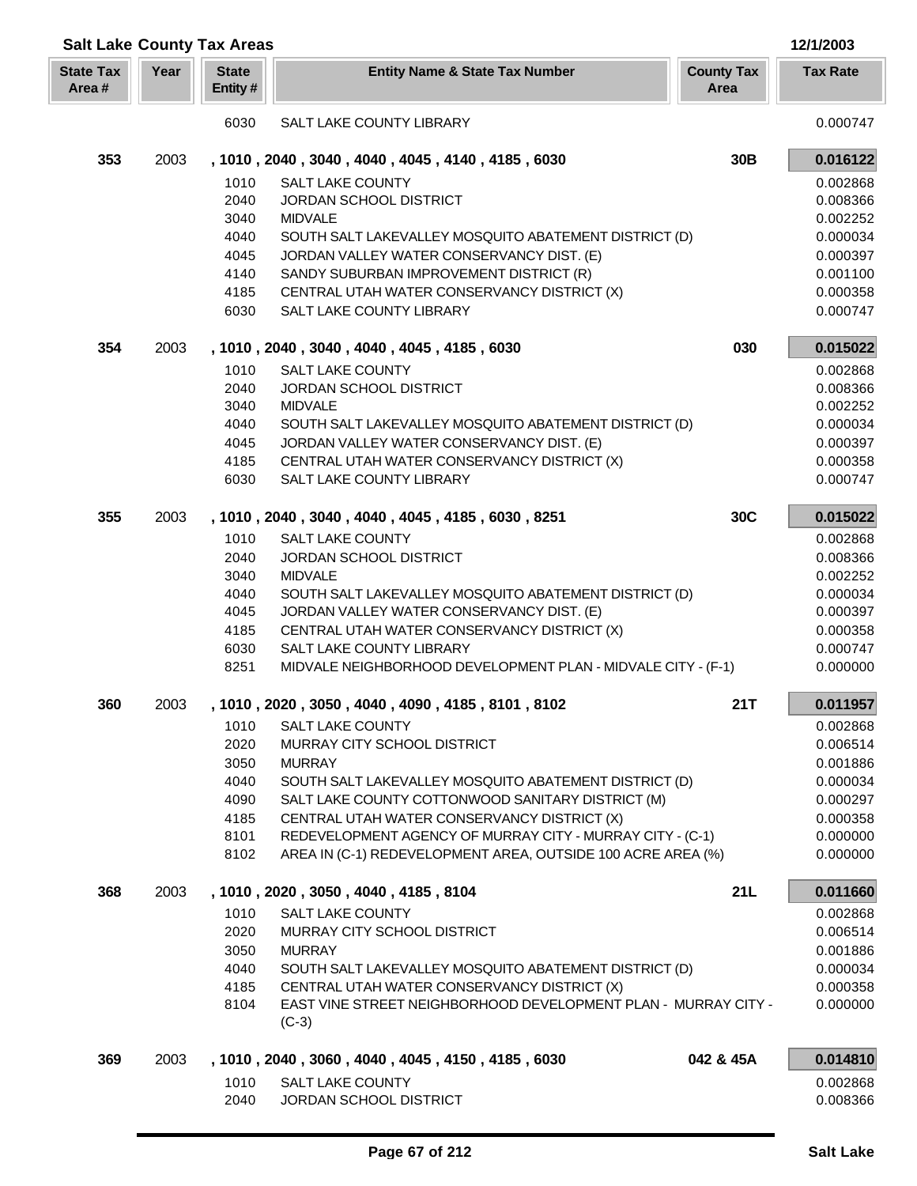| <b>Salt Lake County Tax Areas</b> |      |                         |                                                                                                                          |                           | 12/1/2003            |
|-----------------------------------|------|-------------------------|--------------------------------------------------------------------------------------------------------------------------|---------------------------|----------------------|
| <b>State Tax</b><br>Area#         | Year | <b>State</b><br>Entity# | <b>Entity Name &amp; State Tax Number</b>                                                                                | <b>County Tax</b><br>Area | <b>Tax Rate</b>      |
|                                   |      | 6030                    | SALT LAKE COUNTY LIBRARY                                                                                                 |                           | 0.000747             |
| 353                               | 2003 |                         | , 1010, 2040, 3040, 4040, 4045, 4140, 4185, 6030                                                                         | 30B                       | 0.016122             |
|                                   |      | 1010                    | <b>SALT LAKE COUNTY</b>                                                                                                  |                           | 0.002868             |
|                                   |      | 2040                    | <b>JORDAN SCHOOL DISTRICT</b>                                                                                            |                           | 0.008366             |
|                                   |      | 3040                    | <b>MIDVALE</b>                                                                                                           |                           | 0.002252             |
|                                   |      | 4040                    | SOUTH SALT LAKEVALLEY MOSQUITO ABATEMENT DISTRICT (D)                                                                    |                           | 0.000034             |
|                                   |      | 4045                    | JORDAN VALLEY WATER CONSERVANCY DIST. (E)                                                                                |                           | 0.000397             |
|                                   |      | 4140                    | SANDY SUBURBAN IMPROVEMENT DISTRICT (R)                                                                                  |                           | 0.001100             |
|                                   |      | 4185                    | CENTRAL UTAH WATER CONSERVANCY DISTRICT (X)                                                                              |                           | 0.000358             |
|                                   |      | 6030                    | SALT LAKE COUNTY LIBRARY                                                                                                 |                           | 0.000747             |
| 354                               | 2003 |                         | , 1010, 2040, 3040, 4040, 4045, 4185, 6030                                                                               | 030                       | 0.015022             |
|                                   |      | 1010                    | <b>SALT LAKE COUNTY</b>                                                                                                  |                           | 0.002868             |
|                                   |      | 2040                    | <b>JORDAN SCHOOL DISTRICT</b>                                                                                            |                           | 0.008366             |
|                                   |      | 3040                    | <b>MIDVALE</b>                                                                                                           |                           | 0.002252             |
|                                   |      | 4040                    | SOUTH SALT LAKEVALLEY MOSQUITO ABATEMENT DISTRICT (D)                                                                    |                           | 0.000034             |
|                                   |      | 4045                    | JORDAN VALLEY WATER CONSERVANCY DIST. (E)                                                                                |                           | 0.000397             |
|                                   |      | 4185                    | CENTRAL UTAH WATER CONSERVANCY DISTRICT (X)                                                                              |                           | 0.000358             |
|                                   |      | 6030                    | SALT LAKE COUNTY LIBRARY                                                                                                 |                           | 0.000747             |
| 355                               | 2003 |                         | , 1010, 2040, 3040, 4040, 4045, 4185, 6030, 8251                                                                         | 30C                       | 0.015022             |
|                                   |      | 1010                    | <b>SALT LAKE COUNTY</b>                                                                                                  |                           | 0.002868             |
|                                   |      | 2040                    | JORDAN SCHOOL DISTRICT                                                                                                   |                           | 0.008366             |
|                                   |      | 3040                    | <b>MIDVALE</b>                                                                                                           |                           | 0.002252             |
|                                   |      | 4040                    | SOUTH SALT LAKEVALLEY MOSQUITO ABATEMENT DISTRICT (D)                                                                    |                           | 0.000034             |
|                                   |      | 4045                    | JORDAN VALLEY WATER CONSERVANCY DIST. (E)                                                                                |                           | 0.000397             |
|                                   |      | 4185                    | CENTRAL UTAH WATER CONSERVANCY DISTRICT (X)                                                                              |                           | 0.000358             |
|                                   |      | 6030                    | SALT LAKE COUNTY LIBRARY                                                                                                 |                           | 0.000747             |
|                                   |      | 8251                    | MIDVALE NEIGHBORHOOD DEVELOPMENT PLAN - MIDVALE CITY - (F-1)                                                             |                           | 0.000000             |
| 360                               | 2003 |                         | , 1010 , 2020 , 3050 , 4040 , 4090 , 4185 , 8101 , 8102                                                                  | 21T                       | 0.011957             |
|                                   |      | 1010                    | <b>SALT LAKE COUNTY</b>                                                                                                  |                           | 0.002868             |
|                                   |      | 2020                    | MURRAY CITY SCHOOL DISTRICT                                                                                              |                           | 0.006514             |
|                                   |      | 3050                    | <b>MURRAY</b>                                                                                                            |                           | 0.001886             |
|                                   |      | 4040                    | SOUTH SALT LAKEVALLEY MOSQUITO ABATEMENT DISTRICT (D)                                                                    |                           | 0.000034             |
|                                   |      | 4090                    | SALT LAKE COUNTY COTTONWOOD SANITARY DISTRICT (M)                                                                        |                           | 0.000297             |
|                                   |      | 4185                    | CENTRAL UTAH WATER CONSERVANCY DISTRICT (X)                                                                              |                           | 0.000358             |
|                                   |      | 8101<br>8102            | REDEVELOPMENT AGENCY OF MURRAY CITY - MURRAY CITY - (C-1)<br>AREA IN (C-1) REDEVELOPMENT AREA, OUTSIDE 100 ACRE AREA (%) |                           | 0.000000<br>0.000000 |
|                                   |      |                         |                                                                                                                          |                           |                      |
| 368                               | 2003 |                         | , 1010, 2020, 3050, 4040, 4185, 8104                                                                                     | 21L                       | 0.011660             |
|                                   |      | 1010                    | <b>SALT LAKE COUNTY</b>                                                                                                  |                           | 0.002868             |
|                                   |      | 2020                    | MURRAY CITY SCHOOL DISTRICT                                                                                              |                           | 0.006514             |
|                                   |      | 3050                    | <b>MURRAY</b>                                                                                                            |                           | 0.001886             |
|                                   |      | 4040                    | SOUTH SALT LAKEVALLEY MOSQUITO ABATEMENT DISTRICT (D)                                                                    |                           | 0.000034             |
|                                   |      | 4185<br>8104            | CENTRAL UTAH WATER CONSERVANCY DISTRICT (X)<br>EAST VINE STREET NEIGHBORHOOD DEVELOPMENT PLAN - MURRAY CITY -            |                           | 0.000358<br>0.000000 |
|                                   |      |                         | $(C-3)$                                                                                                                  |                           |                      |
| 369                               | 2003 |                         | , 1010, 2040, 3060, 4040, 4045, 4150, 4185, 6030                                                                         | 042 & 45A                 | 0.014810             |
|                                   |      | 1010                    | <b>SALT LAKE COUNTY</b>                                                                                                  |                           | 0.002868             |
|                                   |      | 2040                    | JORDAN SCHOOL DISTRICT                                                                                                   |                           | 0.008366             |
|                                   |      |                         |                                                                                                                          |                           |                      |

Г L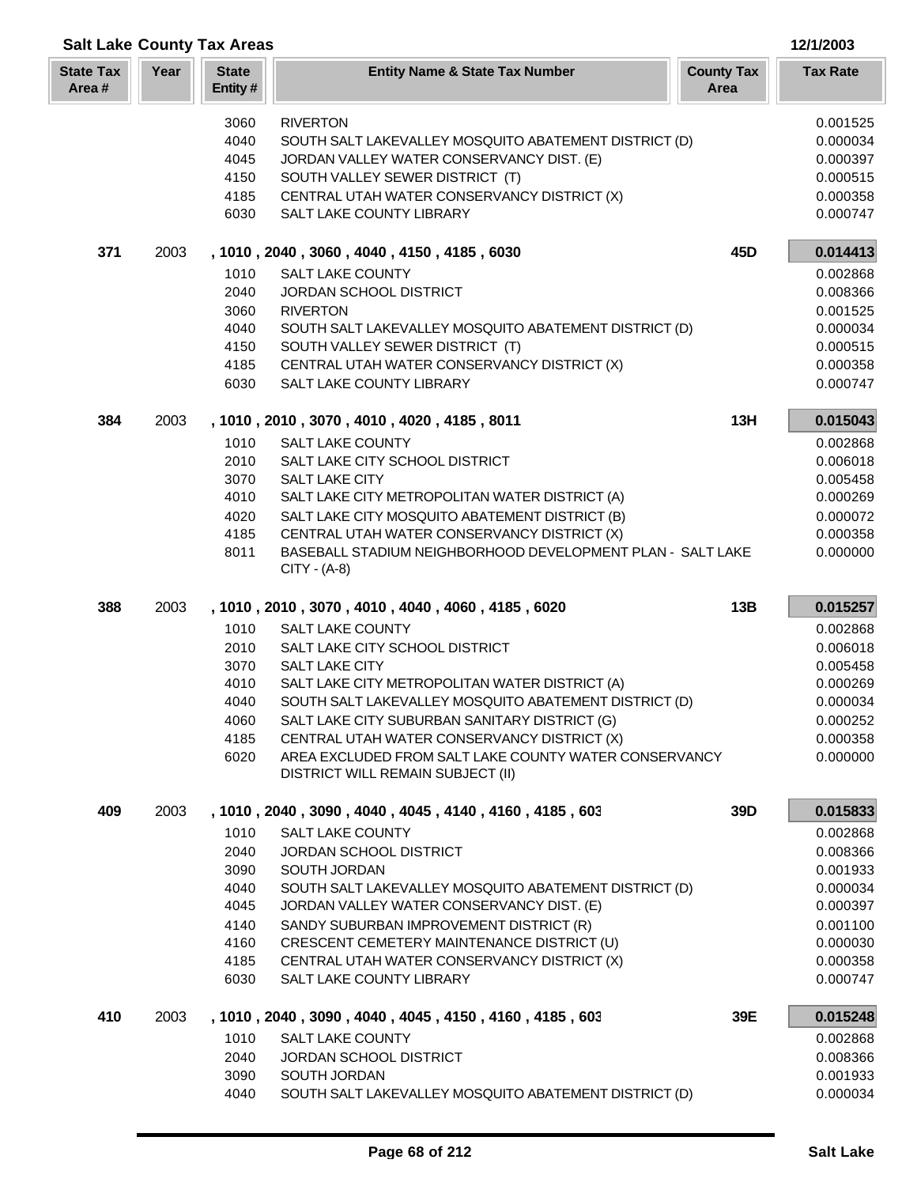| <b>Salt Lake County Tax Areas</b><br>12/1/2003 |      |                         |                                                                                            |                           |                 |
|------------------------------------------------|------|-------------------------|--------------------------------------------------------------------------------------------|---------------------------|-----------------|
| <b>State Tax</b><br>Area#                      | Year | <b>State</b><br>Entity# | <b>Entity Name &amp; State Tax Number</b>                                                  | <b>County Tax</b><br>Area | <b>Tax Rate</b> |
|                                                |      | 3060                    | <b>RIVERTON</b>                                                                            |                           | 0.001525        |
|                                                |      | 4040                    | SOUTH SALT LAKEVALLEY MOSQUITO ABATEMENT DISTRICT (D)                                      |                           | 0.000034        |
|                                                |      | 4045                    | JORDAN VALLEY WATER CONSERVANCY DIST. (E)                                                  |                           | 0.000397        |
|                                                |      | 4150                    | SOUTH VALLEY SEWER DISTRICT (T)                                                            |                           | 0.000515        |
|                                                |      | 4185                    | CENTRAL UTAH WATER CONSERVANCY DISTRICT (X)                                                |                           | 0.000358        |
|                                                |      | 6030                    | SALT LAKE COUNTY LIBRARY                                                                   |                           | 0.000747        |
| 371                                            | 2003 |                         | , 1010, 2040, 3060, 4040, 4150, 4185, 6030                                                 | 45D                       | 0.014413        |
|                                                |      | 1010                    | SALT LAKE COUNTY                                                                           |                           | 0.002868        |
|                                                |      | 2040                    | JORDAN SCHOOL DISTRICT                                                                     |                           | 0.008366        |
|                                                |      | 3060                    | <b>RIVERTON</b>                                                                            |                           | 0.001525        |
|                                                |      | 4040                    | SOUTH SALT LAKEVALLEY MOSQUITO ABATEMENT DISTRICT (D)                                      |                           | 0.000034        |
|                                                |      | 4150                    | SOUTH VALLEY SEWER DISTRICT (T)                                                            |                           | 0.000515        |
|                                                |      | 4185                    | CENTRAL UTAH WATER CONSERVANCY DISTRICT (X)                                                |                           | 0.000358        |
|                                                |      | 6030                    | SALT LAKE COUNTY LIBRARY                                                                   |                           | 0.000747        |
| 384                                            | 2003 |                         | , 1010, 2010, 3070, 4010, 4020, 4185, 8011                                                 | 13H                       | 0.015043        |
|                                                |      | 1010                    | <b>SALT LAKE COUNTY</b>                                                                    |                           | 0.002868        |
|                                                |      | 2010                    | SALT LAKE CITY SCHOOL DISTRICT                                                             |                           | 0.006018        |
|                                                |      | 3070                    | <b>SALT LAKE CITY</b>                                                                      |                           | 0.005458        |
|                                                |      | 4010                    | SALT LAKE CITY METROPOLITAN WATER DISTRICT (A)                                             |                           | 0.000269        |
|                                                |      | 4020                    | SALT LAKE CITY MOSQUITO ABATEMENT DISTRICT (B)                                             |                           | 0.000072        |
|                                                |      | 4185                    | CENTRAL UTAH WATER CONSERVANCY DISTRICT (X)                                                |                           | 0.000358        |
|                                                |      | 8011                    | BASEBALL STADIUM NEIGHBORHOOD DEVELOPMENT PLAN - SALT LAKE<br>CITY - (A-8)                 |                           | 0.000000        |
| 388                                            | 2003 |                         | , 1010, 2010, 3070, 4010, 4040, 4060, 4185, 6020                                           | 13B                       | 0.015257        |
|                                                |      | 1010                    | <b>SALT LAKE COUNTY</b>                                                                    |                           | 0.002868        |
|                                                |      | 2010                    | SALT LAKE CITY SCHOOL DISTRICT                                                             |                           | 0.006018        |
|                                                |      | 3070                    | <b>SALT LAKE CITY</b>                                                                      |                           | 0.005458        |
|                                                |      | 4010                    | SALT LAKE CITY METROPOLITAN WATER DISTRICT (A)                                             |                           | 0.000269        |
|                                                |      | 4040                    | SOUTH SALT LAKEVALLEY MOSQUITO ABATEMENT DISTRICT (D)                                      |                           | 0.000034        |
|                                                |      | 4060                    | SALT LAKE CITY SUBURBAN SANITARY DISTRICT (G)                                              |                           | 0.000252        |
|                                                |      | 4185                    | CENTRAL UTAH WATER CONSERVANCY DISTRICT (X)                                                |                           | 0.000358        |
|                                                |      | 6020                    | AREA EXCLUDED FROM SALT LAKE COUNTY WATER CONSERVANCY<br>DISTRICT WILL REMAIN SUBJECT (II) |                           | 0.000000        |
| 409                                            | 2003 |                         | , 1010, 2040, 3090, 4040, 4045, 4140, 4160, 4185, 603                                      | 39D                       | 0.015833        |
|                                                |      | 1010                    | <b>SALT LAKE COUNTY</b>                                                                    |                           | 0.002868        |
|                                                |      | 2040                    | JORDAN SCHOOL DISTRICT                                                                     |                           | 0.008366        |
|                                                |      | 3090                    | SOUTH JORDAN                                                                               |                           | 0.001933        |
|                                                |      | 4040                    | SOUTH SALT LAKEVALLEY MOSQUITO ABATEMENT DISTRICT (D)                                      |                           | 0.000034        |
|                                                |      | 4045                    | JORDAN VALLEY WATER CONSERVANCY DIST. (E)                                                  |                           | 0.000397        |
|                                                |      | 4140                    | SANDY SUBURBAN IMPROVEMENT DISTRICT (R)                                                    |                           | 0.001100        |
|                                                |      | 4160                    | CRESCENT CEMETERY MAINTENANCE DISTRICT (U)                                                 |                           | 0.000030        |
|                                                |      | 4185                    | CENTRAL UTAH WATER CONSERVANCY DISTRICT (X)                                                |                           | 0.000358        |
|                                                |      | 6030                    | SALT LAKE COUNTY LIBRARY                                                                   |                           | 0.000747        |
| 410                                            | 2003 |                         | , 1010 , 2040 , 3090 , 4040 , 4045 , 4150 , 4160 , 4185 , 603                              | 39E                       | 0.015248        |
|                                                |      | 1010                    | <b>SALT LAKE COUNTY</b>                                                                    |                           | 0.002868        |
|                                                |      | 2040                    | <b>JORDAN SCHOOL DISTRICT</b>                                                              |                           | 0.008366        |
|                                                |      | 3090                    | SOUTH JORDAN                                                                               |                           | 0.001933        |
|                                                |      | 4040                    | SOUTH SALT LAKEVALLEY MOSQUITO ABATEMENT DISTRICT (D)                                      |                           | 0.000034        |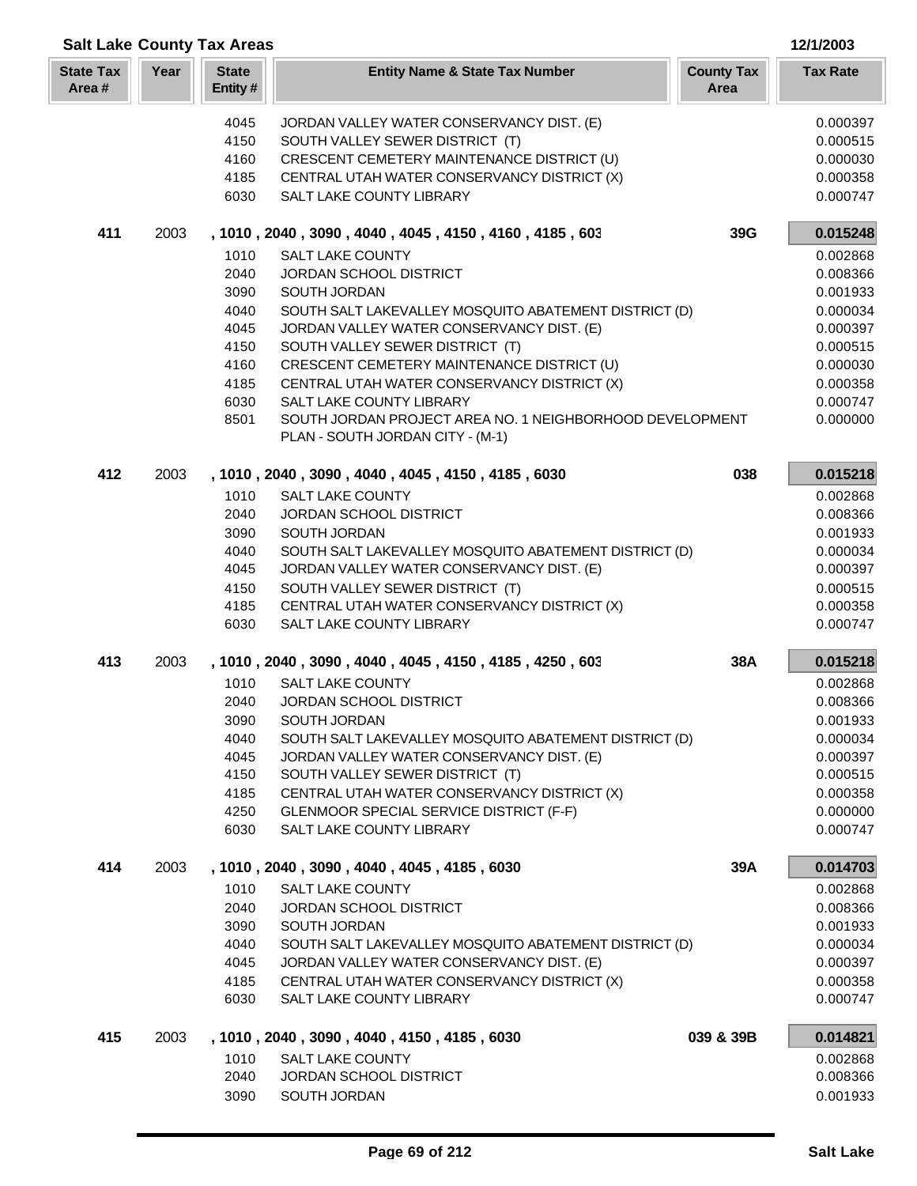| <b>Salt Lake County Tax Areas</b><br>12/1/2003 |      |                         |                                                                                              |                           |                      |
|------------------------------------------------|------|-------------------------|----------------------------------------------------------------------------------------------|---------------------------|----------------------|
| <b>State Tax</b><br>Area#                      | Year | <b>State</b><br>Entity# | <b>Entity Name &amp; State Tax Number</b>                                                    | <b>County Tax</b><br>Area | <b>Tax Rate</b>      |
|                                                |      | 4045                    | JORDAN VALLEY WATER CONSERVANCY DIST. (E)                                                    |                           | 0.000397             |
|                                                |      | 4150                    | SOUTH VALLEY SEWER DISTRICT (T)                                                              |                           | 0.000515             |
|                                                |      | 4160                    | CRESCENT CEMETERY MAINTENANCE DISTRICT (U)                                                   |                           | 0.000030             |
|                                                |      | 4185                    | CENTRAL UTAH WATER CONSERVANCY DISTRICT (X)                                                  |                           | 0.000358             |
|                                                |      | 6030                    | SALT LAKE COUNTY LIBRARY                                                                     |                           | 0.000747             |
| 411                                            | 2003 |                         | , 1010, 2040, 3090, 4040, 4045, 4150, 4160, 4185, 603                                        | 39G                       | 0.015248             |
|                                                |      | 1010                    | <b>SALT LAKE COUNTY</b>                                                                      |                           | 0.002868             |
|                                                |      | 2040                    | JORDAN SCHOOL DISTRICT                                                                       |                           | 0.008366             |
|                                                |      | 3090                    | SOUTH JORDAN                                                                                 |                           | 0.001933             |
|                                                |      | 4040                    | SOUTH SALT LAKEVALLEY MOSQUITO ABATEMENT DISTRICT (D)                                        |                           | 0.000034             |
|                                                |      | 4045                    | JORDAN VALLEY WATER CONSERVANCY DIST. (E)                                                    |                           | 0.000397             |
|                                                |      | 4150                    | SOUTH VALLEY SEWER DISTRICT (T)                                                              |                           | 0.000515             |
|                                                |      | 4160                    | CRESCENT CEMETERY MAINTENANCE DISTRICT (U)                                                   |                           | 0.000030             |
|                                                |      | 4185                    | CENTRAL UTAH WATER CONSERVANCY DISTRICT (X)                                                  |                           | 0.000358             |
|                                                |      | 6030                    | SALT LAKE COUNTY LIBRARY                                                                     |                           | 0.000747             |
|                                                |      | 8501                    | SOUTH JORDAN PROJECT AREA NO. 1 NEIGHBORHOOD DEVELOPMENT<br>PLAN - SOUTH JORDAN CITY - (M-1) |                           | 0.000000             |
| 412                                            | 2003 |                         | , 1010, 2040, 3090, 4040, 4045, 4150, 4185, 6030                                             | 038                       | 0.015218             |
|                                                |      | 1010                    | <b>SALT LAKE COUNTY</b>                                                                      |                           | 0.002868             |
|                                                |      | 2040                    | JORDAN SCHOOL DISTRICT                                                                       |                           | 0.008366             |
|                                                |      | 3090                    | SOUTH JORDAN                                                                                 |                           | 0.001933             |
|                                                |      | 4040                    | SOUTH SALT LAKEVALLEY MOSQUITO ABATEMENT DISTRICT (D)                                        |                           | 0.000034             |
|                                                |      | 4045                    | JORDAN VALLEY WATER CONSERVANCY DIST. (E)                                                    |                           | 0.000397             |
|                                                |      | 4150                    | SOUTH VALLEY SEWER DISTRICT (T)                                                              |                           | 0.000515             |
|                                                |      | 4185                    | CENTRAL UTAH WATER CONSERVANCY DISTRICT (X)                                                  |                           | 0.000358             |
|                                                |      | 6030                    | SALT LAKE COUNTY LIBRARY                                                                     |                           | 0.000747             |
| 413                                            | 2003 |                         | , 1010, 2040, 3090, 4040, 4045, 4150, 4185, 4250, 603                                        | 38A                       | 0.015218             |
|                                                |      | 1010                    | <b>SALT LAKE COUNTY</b>                                                                      |                           | 0.002868             |
|                                                |      |                         | 2040 JORDAN SCHOOL DISTRICT                                                                  |                           | 0.008366             |
|                                                |      | 3090                    | SOUTH JORDAN                                                                                 |                           | 0.001933             |
|                                                |      | 4040                    | SOUTH SALT LAKEVALLEY MOSQUITO ABATEMENT DISTRICT (D)                                        |                           | 0.000034             |
|                                                |      | 4045                    | JORDAN VALLEY WATER CONSERVANCY DIST. (E)                                                    |                           | 0.000397             |
|                                                |      | 4150                    | SOUTH VALLEY SEWER DISTRICT (T)                                                              |                           | 0.000515             |
|                                                |      | 4185                    | CENTRAL UTAH WATER CONSERVANCY DISTRICT (X)                                                  |                           | 0.000358             |
|                                                |      | 4250                    | <b>GLENMOOR SPECIAL SERVICE DISTRICT (F-F)</b>                                               |                           | 0.000000             |
|                                                |      | 6030                    | SALT LAKE COUNTY LIBRARY                                                                     |                           | 0.000747             |
| 414                                            | 2003 |                         | , 1010, 2040, 3090, 4040, 4045, 4185, 6030                                                   | 39A                       | 0.014703             |
|                                                |      | 1010                    | <b>SALT LAKE COUNTY</b>                                                                      |                           | 0.002868             |
|                                                |      | 2040                    | JORDAN SCHOOL DISTRICT                                                                       |                           | 0.008366             |
|                                                |      | 3090                    | SOUTH JORDAN                                                                                 |                           | 0.001933             |
|                                                |      | 4040                    | SOUTH SALT LAKEVALLEY MOSQUITO ABATEMENT DISTRICT (D)                                        |                           | 0.000034             |
|                                                |      | 4045                    | JORDAN VALLEY WATER CONSERVANCY DIST. (E)                                                    |                           | 0.000397             |
|                                                |      | 4185<br>6030            | CENTRAL UTAH WATER CONSERVANCY DISTRICT (X)<br>SALT LAKE COUNTY LIBRARY                      |                           | 0.000358<br>0.000747 |
| 415                                            | 2003 |                         | , 1010, 2040, 3090, 4040, 4150, 4185, 6030                                                   | 039 & 39B                 | 0.014821             |
|                                                |      | 1010                    | <b>SALT LAKE COUNTY</b>                                                                      |                           | 0.002868             |
|                                                |      | 2040                    | <b>JORDAN SCHOOL DISTRICT</b>                                                                |                           | 0.008366             |
|                                                |      | 3090                    | SOUTH JORDAN                                                                                 |                           | 0.001933             |

L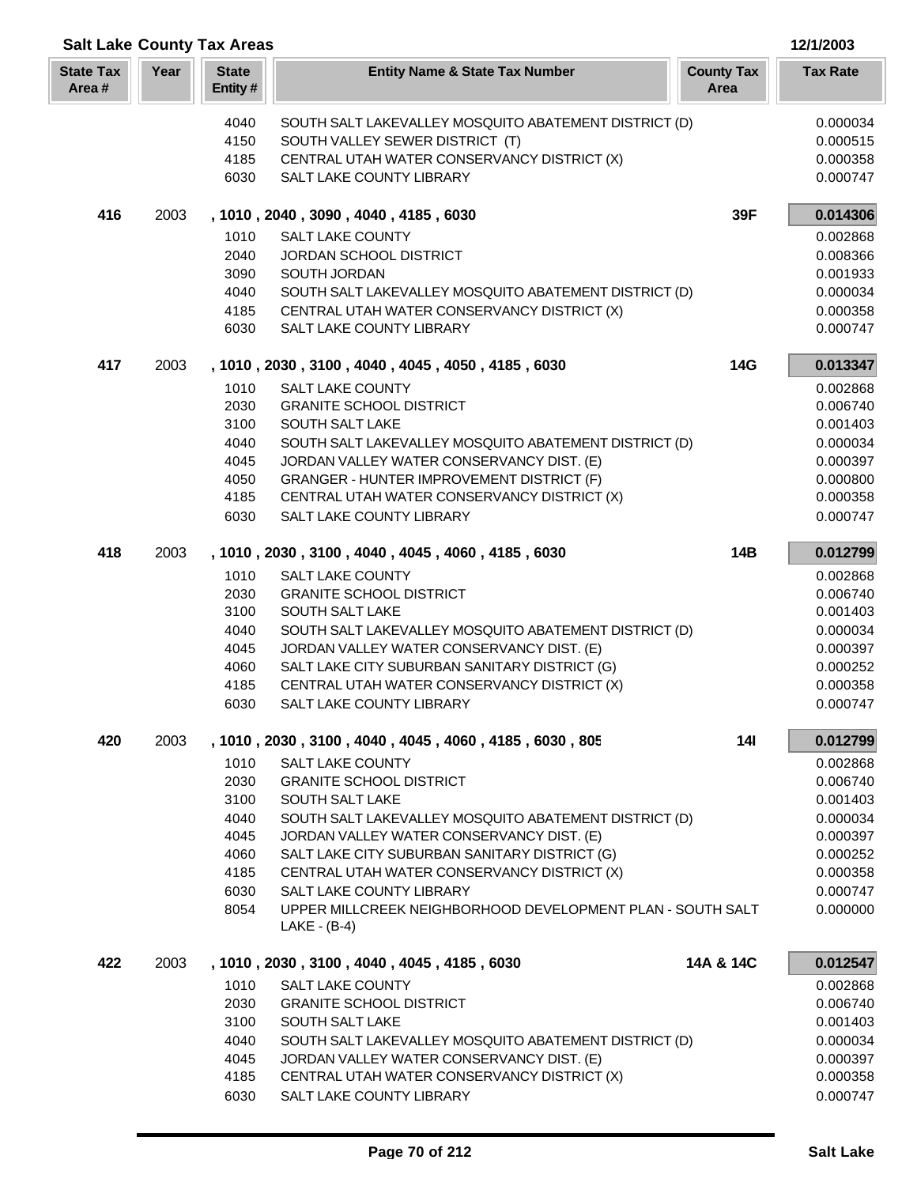|                           |      | <b>Salt Lake County Tax Areas</b> |                                                            |                           | 12/1/2003            |
|---------------------------|------|-----------------------------------|------------------------------------------------------------|---------------------------|----------------------|
| <b>State Tax</b><br>Area# | Year | <b>State</b><br>Entity#           | <b>Entity Name &amp; State Tax Number</b>                  | <b>County Tax</b><br>Area | <b>Tax Rate</b>      |
|                           |      | 4040                              | SOUTH SALT LAKEVALLEY MOSQUITO ABATEMENT DISTRICT (D)      |                           | 0.000034             |
|                           |      | 4150                              | SOUTH VALLEY SEWER DISTRICT (T)                            |                           | 0.000515             |
|                           |      | 4185                              | CENTRAL UTAH WATER CONSERVANCY DISTRICT (X)                |                           | 0.000358             |
|                           |      | 6030                              | SALT LAKE COUNTY LIBRARY                                   |                           | 0.000747             |
| 416                       | 2003 |                                   | , 1010, 2040, 3090, 4040, 4185, 6030                       | 39F                       | 0.014306             |
|                           |      | 1010                              | <b>SALT LAKE COUNTY</b>                                    |                           | 0.002868             |
|                           |      | 2040                              | JORDAN SCHOOL DISTRICT                                     |                           | 0.008366             |
|                           |      | 3090                              | SOUTH JORDAN                                               |                           | 0.001933             |
|                           |      | 4040                              | SOUTH SALT LAKEVALLEY MOSQUITO ABATEMENT DISTRICT (D)      |                           | 0.000034             |
|                           |      | 4185                              | CENTRAL UTAH WATER CONSERVANCY DISTRICT (X)                |                           | 0.000358             |
|                           |      | 6030                              | SALT LAKE COUNTY LIBRARY                                   |                           | 0.000747             |
| 417                       | 2003 |                                   | , 1010, 2030, 3100, 4040, 4045, 4050, 4185, 6030           | 14G                       | 0.013347             |
|                           |      | 1010<br>2030                      | <b>SALT LAKE COUNTY</b><br><b>GRANITE SCHOOL DISTRICT</b>  |                           | 0.002868             |
|                           |      | 3100                              | SOUTH SALT LAKE                                            |                           | 0.006740<br>0.001403 |
|                           |      | 4040                              | SOUTH SALT LAKEVALLEY MOSQUITO ABATEMENT DISTRICT (D)      |                           | 0.000034             |
|                           |      | 4045                              | JORDAN VALLEY WATER CONSERVANCY DIST. (E)                  |                           | 0.000397             |
|                           |      | 4050                              | GRANGER - HUNTER IMPROVEMENT DISTRICT (F)                  |                           | 0.000800             |
|                           |      | 4185                              | CENTRAL UTAH WATER CONSERVANCY DISTRICT (X)                |                           | 0.000358             |
|                           |      | 6030                              | SALT LAKE COUNTY LIBRARY                                   |                           | 0.000747             |
| 418                       | 2003 |                                   | , 1010, 2030, 3100, 4040, 4045, 4060, 4185, 6030           | 14B                       | 0.012799             |
|                           |      | 1010                              | <b>SALT LAKE COUNTY</b>                                    |                           | 0.002868             |
|                           |      | 2030                              | <b>GRANITE SCHOOL DISTRICT</b>                             |                           | 0.006740             |
|                           |      | 3100                              | SOUTH SALT LAKE                                            |                           | 0.001403             |
|                           |      | 4040                              | SOUTH SALT LAKEVALLEY MOSQUITO ABATEMENT DISTRICT (D)      |                           | 0.000034             |
|                           |      | 4045                              | JORDAN VALLEY WATER CONSERVANCY DIST. (E)                  |                           | 0.000397             |
|                           |      | 4060                              | SALT LAKE CITY SUBURBAN SANITARY DISTRICT (G)              |                           | 0.000252             |
|                           |      | 4185                              | CENTRAL UTAH WATER CONSERVANCY DISTRICT (X)                |                           | 0.000358             |
|                           |      | 6030                              | SALT LAKE COUNTY LIBRARY                                   |                           | 0.000747             |
| 420                       | 2003 |                                   | , 1010, 2030, 3100, 4040, 4045, 4060, 4185, 6030, 805      | <b>14l</b>                | 0.012799             |
|                           |      | 1010<br>2030                      | <b>SALT LAKE COUNTY</b><br><b>GRANITE SCHOOL DISTRICT</b>  |                           | 0.002868<br>0.006740 |
|                           |      | 3100                              | SOUTH SALT LAKE                                            |                           | 0.001403             |
|                           |      | 4040                              | SOUTH SALT LAKEVALLEY MOSQUITO ABATEMENT DISTRICT (D)      |                           | 0.000034             |
|                           |      | 4045                              | JORDAN VALLEY WATER CONSERVANCY DIST. (E)                  |                           | 0.000397             |
|                           |      | 4060                              | SALT LAKE CITY SUBURBAN SANITARY DISTRICT (G)              |                           | 0.000252             |
|                           |      | 4185                              | CENTRAL UTAH WATER CONSERVANCY DISTRICT (X)                |                           | 0.000358             |
|                           |      | 6030                              | SALT LAKE COUNTY LIBRARY                                   |                           | 0.000747             |
|                           |      | 8054                              | UPPER MILLCREEK NEIGHBORHOOD DEVELOPMENT PLAN - SOUTH SALT |                           | 0.000000             |
|                           |      |                                   | LAKE - (B-4)                                               |                           |                      |
| 422                       | 2003 |                                   | , 1010, 2030, 3100, 4040, 4045, 4185, 6030                 | 14A & 14C                 | 0.012547             |
|                           |      | 1010                              | <b>SALT LAKE COUNTY</b>                                    |                           | 0.002868             |
|                           |      | 2030                              | <b>GRANITE SCHOOL DISTRICT</b>                             |                           | 0.006740             |
|                           |      | 3100                              | SOUTH SALT LAKE                                            |                           | 0.001403             |
|                           |      | 4040                              | SOUTH SALT LAKEVALLEY MOSQUITO ABATEMENT DISTRICT (D)      |                           | 0.000034             |
|                           |      | 4045                              | JORDAN VALLEY WATER CONSERVANCY DIST. (E)                  |                           | 0.000397             |
|                           |      | 4185                              | CENTRAL UTAH WATER CONSERVANCY DISTRICT (X)                |                           | 0.000358             |
|                           |      | 6030                              | SALT LAKE COUNTY LIBRARY                                   |                           | 0.000747             |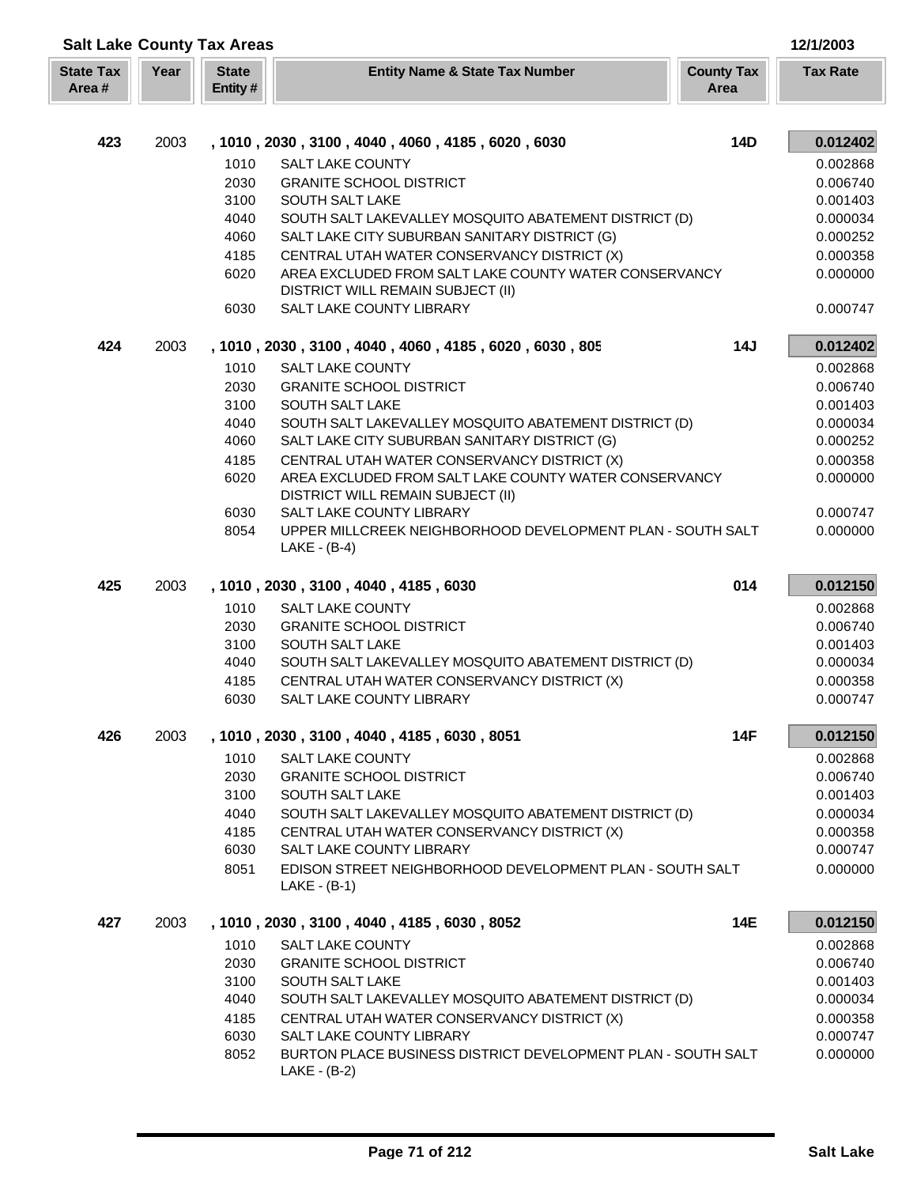| <b>Salt Lake County Tax Areas</b> |      |                         |                                                                                            |                           | 12/1/2003       |
|-----------------------------------|------|-------------------------|--------------------------------------------------------------------------------------------|---------------------------|-----------------|
| <b>State Tax</b><br>Area#         | Year | <b>State</b><br>Entity# | <b>Entity Name &amp; State Tax Number</b>                                                  | <b>County Tax</b><br>Area | <b>Tax Rate</b> |
|                                   |      |                         |                                                                                            |                           |                 |
| 423                               | 2003 |                         | , 1010, 2030, 3100, 4040, 4060, 4185, 6020, 6030                                           | <b>14D</b>                | 0.012402        |
|                                   |      | 1010                    | <b>SALT LAKE COUNTY</b>                                                                    |                           | 0.002868        |
|                                   |      | 2030                    | <b>GRANITE SCHOOL DISTRICT</b>                                                             |                           | 0.006740        |
|                                   |      | 3100                    | SOUTH SALT LAKE                                                                            |                           | 0.001403        |
|                                   |      | 4040                    | SOUTH SALT LAKEVALLEY MOSQUITO ABATEMENT DISTRICT (D)                                      |                           | 0.000034        |
|                                   |      | 4060                    | SALT LAKE CITY SUBURBAN SANITARY DISTRICT (G)                                              |                           | 0.000252        |
|                                   |      | 4185                    | CENTRAL UTAH WATER CONSERVANCY DISTRICT (X)                                                |                           | 0.000358        |
|                                   |      | 6020                    | AREA EXCLUDED FROM SALT LAKE COUNTY WATER CONSERVANCY                                      |                           | 0.000000        |
|                                   |      |                         | <b>DISTRICT WILL REMAIN SUBJECT (II)</b>                                                   |                           |                 |
|                                   |      | 6030                    | SALT LAKE COUNTY LIBRARY                                                                   |                           | 0.000747        |
| 424                               | 2003 |                         | , 1010 , 2030 , 3100 , 4040 , 4060 , 4185 , 6020 , 6030 , 805                              | 14J                       | 0.012402        |
|                                   |      | 1010                    | <b>SALT LAKE COUNTY</b>                                                                    |                           | 0.002868        |
|                                   |      | 2030                    | <b>GRANITE SCHOOL DISTRICT</b>                                                             |                           | 0.006740        |
|                                   |      | 3100                    | SOUTH SALT LAKE                                                                            |                           | 0.001403        |
|                                   |      | 4040                    | SOUTH SALT LAKEVALLEY MOSQUITO ABATEMENT DISTRICT (D)                                      |                           | 0.000034        |
|                                   |      | 4060                    | SALT LAKE CITY SUBURBAN SANITARY DISTRICT (G)                                              |                           | 0.000252        |
|                                   |      | 4185                    | CENTRAL UTAH WATER CONSERVANCY DISTRICT (X)                                                |                           | 0.000358        |
|                                   |      | 6020                    | AREA EXCLUDED FROM SALT LAKE COUNTY WATER CONSERVANCY<br>DISTRICT WILL REMAIN SUBJECT (II) |                           | 0.000000        |
|                                   |      | 6030                    | SALT LAKE COUNTY LIBRARY                                                                   |                           | 0.000747        |
|                                   |      | 8054                    | UPPER MILLCREEK NEIGHBORHOOD DEVELOPMENT PLAN - SOUTH SALT<br>$LAKE - (B-4)$               |                           | 0.000000        |
| 425                               | 2003 |                         | , 1010, 2030, 3100, 4040, 4185, 6030                                                       | 014                       | 0.012150        |
|                                   |      | 1010                    | <b>SALT LAKE COUNTY</b>                                                                    |                           | 0.002868        |
|                                   |      | 2030                    | <b>GRANITE SCHOOL DISTRICT</b>                                                             |                           | 0.006740        |
|                                   |      | 3100                    | SOUTH SALT LAKE                                                                            |                           | 0.001403        |
|                                   |      | 4040                    | SOUTH SALT LAKEVALLEY MOSQUITO ABATEMENT DISTRICT (D)                                      |                           | 0.000034        |
|                                   |      | 4185                    | CENTRAL UTAH WATER CONSERVANCY DISTRICT (X)                                                |                           | 0.000358        |
|                                   |      | 6030                    | SALT LAKE COUNTY LIBRARY                                                                   |                           | 0.000747        |
| 426                               | 2003 |                         | , 1010, 2030, 3100, 4040, 4185, 6030, 8051                                                 | 14F                       | 0.012150        |
|                                   |      | 1010                    | <b>SALT LAKE COUNTY</b>                                                                    |                           | 0.002868        |
|                                   |      | 2030                    | <b>GRANITE SCHOOL DISTRICT</b>                                                             |                           | 0.006740        |
|                                   |      | 3100                    | SOUTH SALT LAKE                                                                            |                           | 0.001403        |
|                                   |      | 4040                    | SOUTH SALT LAKEVALLEY MOSQUITO ABATEMENT DISTRICT (D)                                      |                           | 0.000034        |
|                                   |      | 4185                    | CENTRAL UTAH WATER CONSERVANCY DISTRICT (X)                                                |                           | 0.000358        |
|                                   |      | 6030                    | <b>SALT LAKE COUNTY LIBRARY</b>                                                            |                           | 0.000747        |
|                                   |      | 8051                    | EDISON STREET NEIGHBORHOOD DEVELOPMENT PLAN - SOUTH SALT<br>LAKE - (B-1)                   |                           | 0.000000        |
| 427                               | 2003 |                         | , 1010, 2030, 3100, 4040, 4185, 6030, 8052                                                 | 14E                       | 0.012150        |
|                                   |      | 1010                    | <b>SALT LAKE COUNTY</b>                                                                    |                           | 0.002868        |
|                                   |      | 2030                    | <b>GRANITE SCHOOL DISTRICT</b>                                                             |                           | 0.006740        |
|                                   |      | 3100                    | <b>SOUTH SALT LAKE</b>                                                                     |                           | 0.001403        |
|                                   |      | 4040                    | SOUTH SALT LAKEVALLEY MOSQUITO ABATEMENT DISTRICT (D)                                      |                           | 0.000034        |
|                                   |      | 4185                    | CENTRAL UTAH WATER CONSERVANCY DISTRICT (X)                                                |                           | 0.000358        |
|                                   |      | 6030                    | <b>SALT LAKE COUNTY LIBRARY</b>                                                            |                           | 0.000747        |
|                                   |      | 8052                    | BURTON PLACE BUSINESS DISTRICT DEVELOPMENT PLAN - SOUTH SALT<br>$LAKE - (B-2)$             |                           | 0.000000        |

Г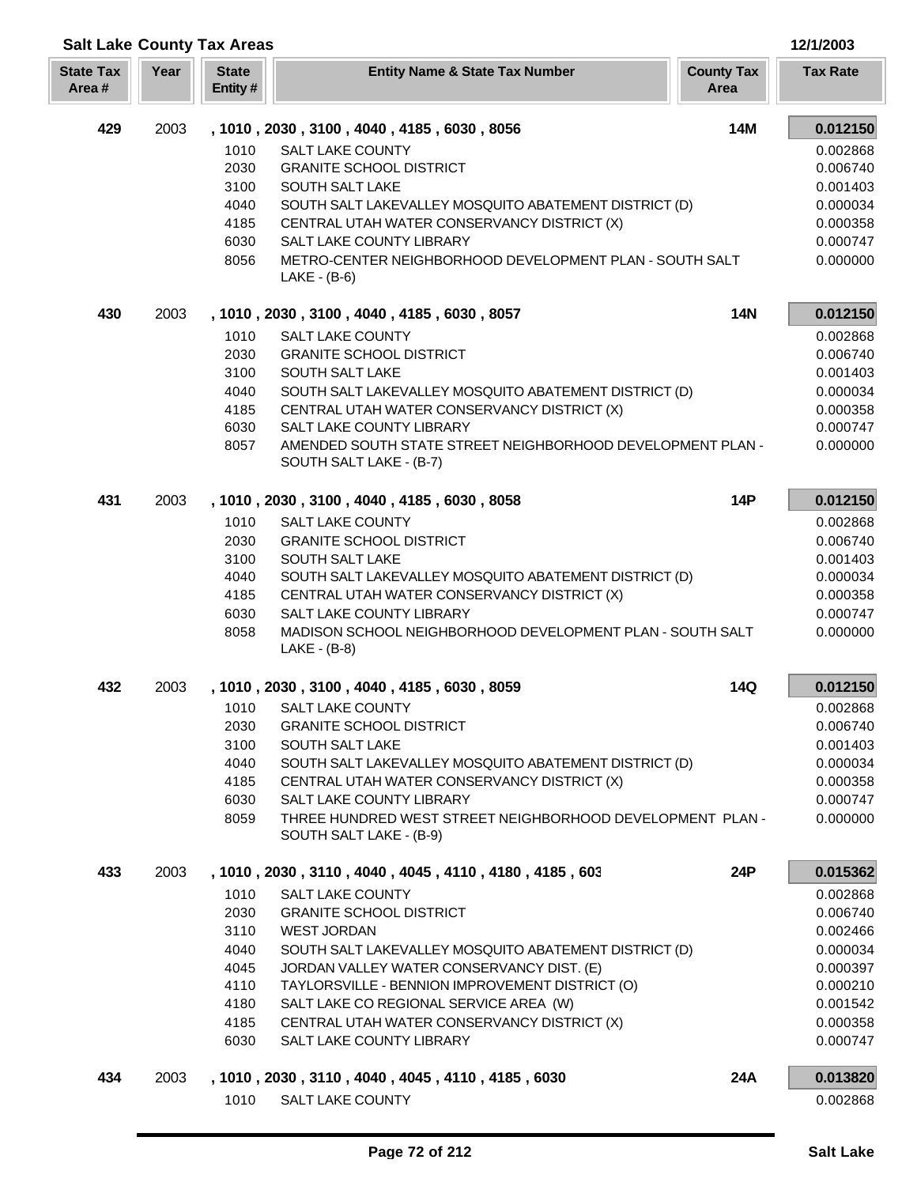|                           | <b>Salt Lake County Tax Areas</b> |                                                          |                                                                                           |                           | 12/1/2003            |
|---------------------------|-----------------------------------|----------------------------------------------------------|-------------------------------------------------------------------------------------------|---------------------------|----------------------|
| <b>State Tax</b><br>Area# | Year                              | <b>State</b><br>Entity#                                  | <b>Entity Name &amp; State Tax Number</b>                                                 | <b>County Tax</b><br>Area | <b>Tax Rate</b>      |
| 429                       | 2003                              | <b>14M</b><br>, 1010, 2030, 3100, 4040, 4185, 6030, 8056 |                                                                                           |                           |                      |
|                           |                                   | 1010                                                     | <b>SALT LAKE COUNTY</b>                                                                   |                           | 0.002868             |
|                           |                                   | 2030                                                     | <b>GRANITE SCHOOL DISTRICT</b>                                                            |                           | 0.006740             |
|                           |                                   | 3100                                                     | SOUTH SALT LAKE                                                                           |                           | 0.001403             |
|                           |                                   | 4040                                                     | SOUTH SALT LAKEVALLEY MOSQUITO ABATEMENT DISTRICT (D)                                     |                           | 0.000034             |
|                           |                                   | 4185                                                     | CENTRAL UTAH WATER CONSERVANCY DISTRICT (X)                                               |                           | 0.000358             |
|                           |                                   | 6030<br>8056                                             | SALT LAKE COUNTY LIBRARY<br>METRO-CENTER NEIGHBORHOOD DEVELOPMENT PLAN - SOUTH SALT       |                           | 0.000747<br>0.000000 |
|                           |                                   |                                                          | $LAKE - (B-6)$                                                                            |                           |                      |
| 430                       | 2003                              |                                                          | , 1010, 2030, 3100, 4040, 4185, 6030, 8057                                                | <b>14N</b>                | 0.012150             |
|                           |                                   | 1010                                                     | <b>SALT LAKE COUNTY</b>                                                                   |                           | 0.002868             |
|                           |                                   | 2030                                                     | <b>GRANITE SCHOOL DISTRICT</b>                                                            |                           | 0.006740             |
|                           |                                   | 3100                                                     | SOUTH SALT LAKE                                                                           |                           | 0.001403             |
|                           |                                   | 4040                                                     | SOUTH SALT LAKEVALLEY MOSQUITO ABATEMENT DISTRICT (D)                                     |                           | 0.000034             |
|                           |                                   | 4185                                                     | CENTRAL UTAH WATER CONSERVANCY DISTRICT (X)                                               |                           | 0.000358             |
|                           |                                   | 6030                                                     | SALT LAKE COUNTY LIBRARY                                                                  |                           | 0.000747             |
|                           |                                   | 8057                                                     | AMENDED SOUTH STATE STREET NEIGHBORHOOD DEVELOPMENT PLAN -<br>SOUTH SALT LAKE - (B-7)     |                           | 0.000000             |
| 431                       | 2003                              |                                                          | , 1010, 2030, 3100, 4040, 4185, 6030, 8058                                                | <b>14P</b>                | 0.012150             |
|                           |                                   | 1010                                                     | <b>SALT LAKE COUNTY</b>                                                                   |                           | 0.002868             |
|                           |                                   | 2030                                                     | <b>GRANITE SCHOOL DISTRICT</b>                                                            |                           | 0.006740             |
|                           |                                   | 3100<br>4040                                             | SOUTH SALT LAKE<br>SOUTH SALT LAKEVALLEY MOSQUITO ABATEMENT DISTRICT (D)                  |                           | 0.001403             |
|                           |                                   | 4185                                                     | CENTRAL UTAH WATER CONSERVANCY DISTRICT (X)                                               |                           | 0.000034<br>0.000358 |
|                           |                                   | 6030                                                     | SALT LAKE COUNTY LIBRARY                                                                  |                           | 0.000747             |
|                           |                                   | 8058                                                     | MADISON SCHOOL NEIGHBORHOOD DEVELOPMENT PLAN - SOUTH SALT<br>LAKE - (B-8)                 |                           | 0.000000             |
| 432                       | 2003                              | , 1010, 2030, 3100, 4040, 4185, 6030, 8059               |                                                                                           | 14Q                       | 0.012150             |
|                           |                                   |                                                          | 1010 SALT LAKE COUNTY                                                                     |                           | 0.002868             |
|                           |                                   | 2030                                                     | <b>GRANITE SCHOOL DISTRICT</b>                                                            |                           | 0.006740             |
|                           |                                   | 3100                                                     | SOUTH SALT LAKE                                                                           |                           | 0.001403             |
|                           |                                   | 4040                                                     | SOUTH SALT LAKEVALLEY MOSQUITO ABATEMENT DISTRICT (D)                                     |                           | 0.000034             |
|                           |                                   | 4185                                                     | CENTRAL UTAH WATER CONSERVANCY DISTRICT (X)                                               |                           | 0.000358             |
|                           |                                   | 6030<br>8059                                             | SALT LAKE COUNTY LIBRARY<br>THREE HUNDRED WEST STREET NEIGHBORHOOD DEVELOPMENT PLAN -     |                           | 0.000747<br>0.000000 |
|                           |                                   |                                                          | SOUTH SALT LAKE - (B-9)                                                                   |                           |                      |
| 433                       | 2003                              | , 1010, 2030, 3110, 4040, 4045, 4110, 4180, 4185, 603    |                                                                                           | 24P                       | 0.015362             |
|                           |                                   | 1010                                                     | <b>SALT LAKE COUNTY</b>                                                                   |                           | 0.002868             |
|                           |                                   | 2030                                                     | <b>GRANITE SCHOOL DISTRICT</b>                                                            |                           | 0.006740             |
|                           |                                   | 3110                                                     | <b>WEST JORDAN</b>                                                                        |                           | 0.002466             |
|                           |                                   | 4040                                                     | SOUTH SALT LAKEVALLEY MOSQUITO ABATEMENT DISTRICT (D)                                     |                           | 0.000034             |
|                           |                                   | 4045                                                     | JORDAN VALLEY WATER CONSERVANCY DIST. (E)                                                 |                           | 0.000397             |
|                           |                                   | 4110<br>4180                                             | TAYLORSVILLE - BENNION IMPROVEMENT DISTRICT (O)<br>SALT LAKE CO REGIONAL SERVICE AREA (W) |                           | 0.000210<br>0.001542 |
|                           |                                   | 4185                                                     | CENTRAL UTAH WATER CONSERVANCY DISTRICT (X)                                               |                           | 0.000358             |
|                           |                                   | 6030                                                     | SALT LAKE COUNTY LIBRARY                                                                  |                           | 0.000747             |
| 434                       | 2003                              |                                                          | , 1010, 2030, 3110, 4040, 4045, 4110, 4185, 6030                                          | 24A                       | 0.013820             |
|                           |                                   | 1010                                                     | SALT LAKE COUNTY                                                                          |                           | 0.002868             |

Г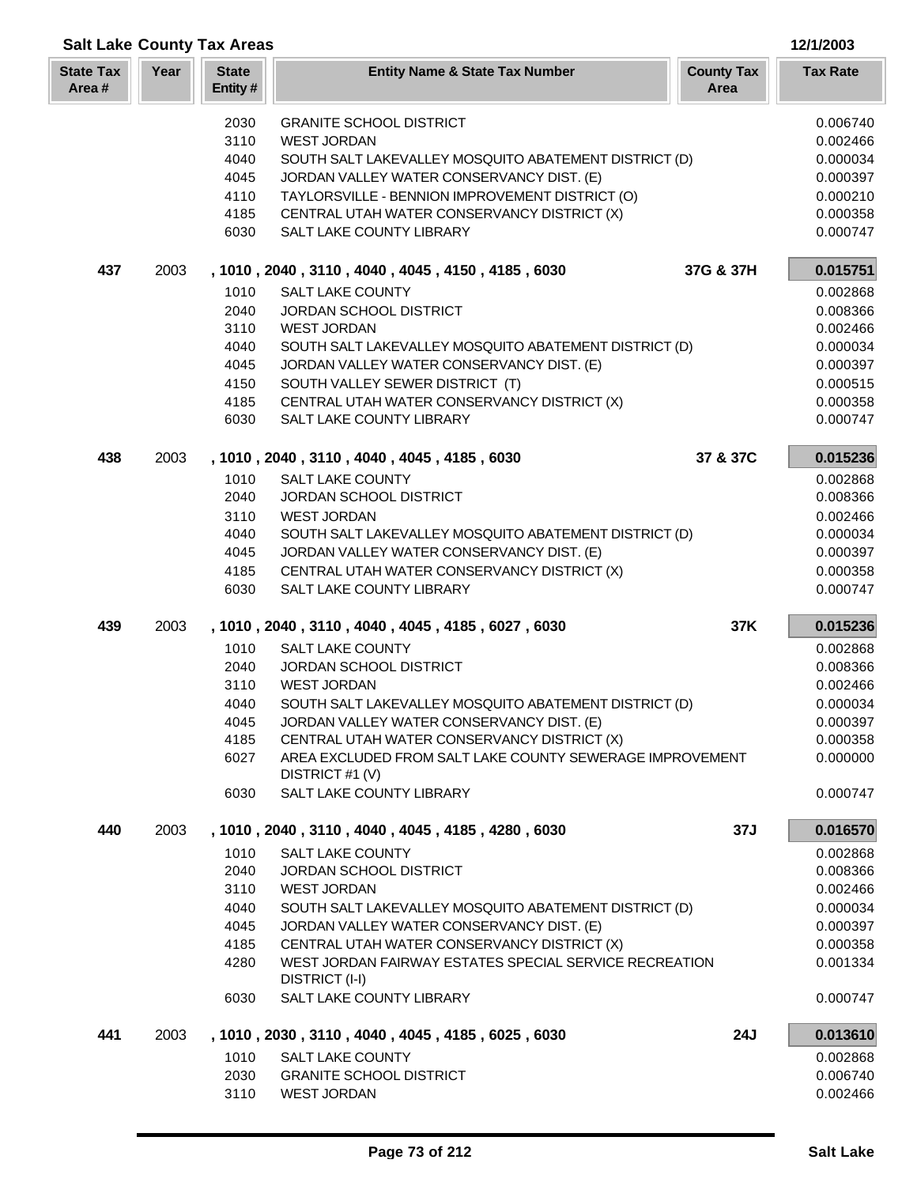| <b>Salt Lake County Tax Areas</b><br>12/1/2003 |      |                         |                                                                                                    |                           |                      |
|------------------------------------------------|------|-------------------------|----------------------------------------------------------------------------------------------------|---------------------------|----------------------|
| <b>State Tax</b><br>Area#                      | Year | <b>State</b><br>Entity# | <b>Entity Name &amp; State Tax Number</b>                                                          | <b>County Tax</b><br>Area | <b>Tax Rate</b>      |
|                                                |      | 2030                    | <b>GRANITE SCHOOL DISTRICT</b>                                                                     |                           | 0.006740             |
|                                                |      | 3110                    | <b>WEST JORDAN</b>                                                                                 |                           | 0.002466             |
|                                                |      | 4040                    | SOUTH SALT LAKEVALLEY MOSQUITO ABATEMENT DISTRICT (D)                                              |                           | 0.000034             |
|                                                |      | 4045                    | JORDAN VALLEY WATER CONSERVANCY DIST. (E)                                                          |                           | 0.000397             |
|                                                |      | 4110                    | TAYLORSVILLE - BENNION IMPROVEMENT DISTRICT (O)                                                    |                           | 0.000210             |
|                                                |      | 4185                    | CENTRAL UTAH WATER CONSERVANCY DISTRICT (X)                                                        |                           | 0.000358             |
|                                                |      | 6030                    | SALT LAKE COUNTY LIBRARY                                                                           |                           | 0.000747             |
| 437                                            | 2003 |                         | , 1010, 2040, 3110, 4040, 4045, 4150, 4185, 6030                                                   | 37G & 37H                 | 0.015751             |
|                                                |      | 1010                    | <b>SALT LAKE COUNTY</b>                                                                            |                           | 0.002868             |
|                                                |      | 2040                    | JORDAN SCHOOL DISTRICT                                                                             |                           | 0.008366             |
|                                                |      | 3110                    | <b>WEST JORDAN</b>                                                                                 |                           | 0.002466             |
|                                                |      | 4040                    | SOUTH SALT LAKEVALLEY MOSQUITO ABATEMENT DISTRICT (D)                                              |                           | 0.000034             |
|                                                |      | 4045                    | JORDAN VALLEY WATER CONSERVANCY DIST. (E)                                                          |                           | 0.000397             |
|                                                |      | 4150                    | SOUTH VALLEY SEWER DISTRICT (T)                                                                    |                           | 0.000515             |
|                                                |      | 4185<br>6030            | CENTRAL UTAH WATER CONSERVANCY DISTRICT (X)<br>SALT LAKE COUNTY LIBRARY                            |                           | 0.000358             |
|                                                |      |                         |                                                                                                    |                           | 0.000747             |
| 438                                            | 2003 |                         | , 1010, 2040, 3110, 4040, 4045, 4185, 6030                                                         | 37 & 37C                  | 0.015236             |
|                                                |      | 1010                    | <b>SALT LAKE COUNTY</b>                                                                            |                           | 0.002868             |
|                                                |      | 2040                    | JORDAN SCHOOL DISTRICT                                                                             |                           | 0.008366             |
|                                                |      | 3110                    | <b>WEST JORDAN</b>                                                                                 |                           | 0.002466             |
|                                                |      | 4040<br>4045            | SOUTH SALT LAKEVALLEY MOSQUITO ABATEMENT DISTRICT (D)<br>JORDAN VALLEY WATER CONSERVANCY DIST. (E) |                           | 0.000034<br>0.000397 |
|                                                |      | 4185                    | CENTRAL UTAH WATER CONSERVANCY DISTRICT (X)                                                        |                           | 0.000358             |
|                                                |      | 6030                    | SALT LAKE COUNTY LIBRARY                                                                           |                           | 0.000747             |
| 439                                            | 2003 |                         | , 1010, 2040, 3110, 4040, 4045, 4185, 6027, 6030                                                   | 37K                       | 0.015236             |
|                                                |      | 1010                    | <b>SALT LAKE COUNTY</b>                                                                            |                           | 0.002868             |
|                                                |      | 2040                    | JORDAN SCHOOL DISTRICT                                                                             |                           | 0.008366             |
|                                                |      | 3110                    | <b>WEST JORDAN</b>                                                                                 |                           | 0.002466             |
|                                                |      | 4040                    | SOUTH SALT LAKEVALLEY MOSQUITO ABATEMENT DISTRICT (D)                                              |                           | 0.000034             |
|                                                |      | 4045                    | JORDAN VALLEY WATER CONSERVANCY DIST. (E)                                                          |                           | 0.000397             |
|                                                |      | 4185                    | CENTRAL UTAH WATER CONSERVANCY DISTRICT (X)                                                        |                           | 0.000358             |
|                                                |      | 6027                    | AREA EXCLUDED FROM SALT LAKE COUNTY SEWERAGE IMPROVEMENT<br>DISTRICT #1 (V)                        |                           | 0.000000             |
|                                                |      | 6030                    | SALT LAKE COUNTY LIBRARY                                                                           |                           | 0.000747             |
| 440                                            | 2003 |                         | , 1010, 2040, 3110, 4040, 4045, 4185, 4280, 6030                                                   | 37J                       | 0.016570             |
|                                                |      | 1010                    | <b>SALT LAKE COUNTY</b>                                                                            |                           | 0.002868             |
|                                                |      | 2040                    | JORDAN SCHOOL DISTRICT                                                                             |                           | 0.008366             |
|                                                |      | 3110                    | <b>WEST JORDAN</b>                                                                                 |                           | 0.002466             |
|                                                |      | 4040                    | SOUTH SALT LAKEVALLEY MOSQUITO ABATEMENT DISTRICT (D)                                              |                           | 0.000034             |
|                                                |      | 4045                    | JORDAN VALLEY WATER CONSERVANCY DIST. (E)                                                          |                           | 0.000397             |
|                                                |      | 4185                    | CENTRAL UTAH WATER CONSERVANCY DISTRICT (X)                                                        |                           | 0.000358             |
|                                                |      | 4280                    | WEST JORDAN FAIRWAY ESTATES SPECIAL SERVICE RECREATION<br>DISTRICT (I-I)                           |                           | 0.001334             |
|                                                |      | 6030                    | SALT LAKE COUNTY LIBRARY                                                                           |                           | 0.000747             |
| 441                                            | 2003 |                         | , 1010, 2030, 3110, 4040, 4045, 4185, 6025, 6030                                                   | 24J                       | 0.013610             |
|                                                |      | 1010                    | SALT LAKE COUNTY                                                                                   |                           | 0.002868             |
|                                                |      | 2030                    | <b>GRANITE SCHOOL DISTRICT</b>                                                                     |                           | 0.006740             |
|                                                |      | 3110                    | <b>WEST JORDAN</b>                                                                                 |                           | 0.002466             |

I.

L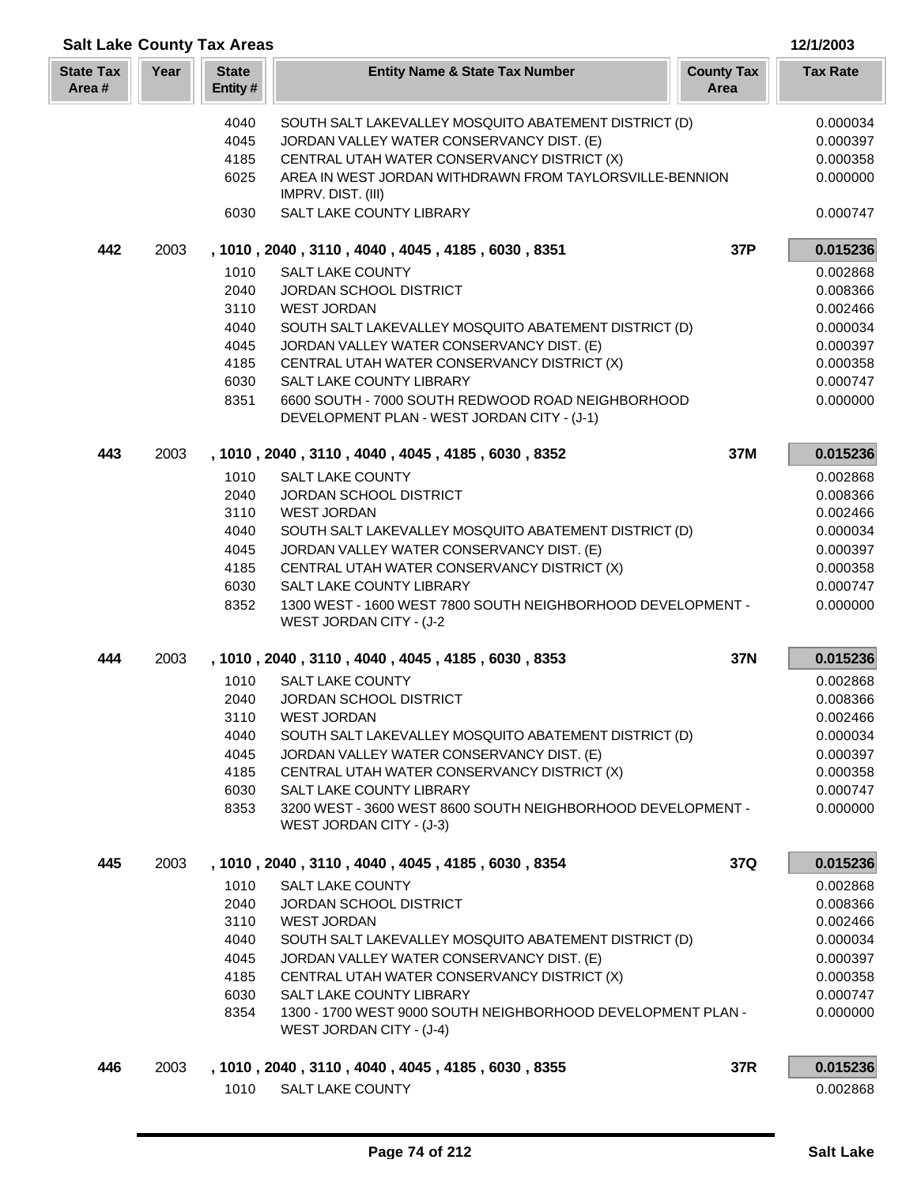| <b>Salt Lake County Tax Areas</b> |      |                         |                                                                               |                           | 12/1/2003            |
|-----------------------------------|------|-------------------------|-------------------------------------------------------------------------------|---------------------------|----------------------|
| <b>State Tax</b><br>Area#         | Year | <b>State</b><br>Entity# | <b>Entity Name &amp; State Tax Number</b>                                     | <b>County Tax</b><br>Area | <b>Tax Rate</b>      |
|                                   |      | 4040                    | SOUTH SALT LAKEVALLEY MOSQUITO ABATEMENT DISTRICT (D)                         |                           | 0.000034             |
|                                   |      | 4045                    | JORDAN VALLEY WATER CONSERVANCY DIST. (E)                                     |                           | 0.000397             |
|                                   |      | 4185                    | CENTRAL UTAH WATER CONSERVANCY DISTRICT (X)                                   |                           | 0.000358             |
|                                   |      | 6025                    | AREA IN WEST JORDAN WITHDRAWN FROM TAYLORSVILLE-BENNION<br>IMPRV. DIST. (III) |                           | 0.000000             |
|                                   |      | 6030                    | SALT LAKE COUNTY LIBRARY                                                      |                           | 0.000747             |
| 442                               | 2003 |                         | , 1010, 2040, 3110, 4040, 4045, 4185, 6030, 8351                              | 37P                       | 0.015236             |
|                                   |      | 1010                    | <b>SALT LAKE COUNTY</b>                                                       |                           | 0.002868             |
|                                   |      | 2040                    | JORDAN SCHOOL DISTRICT                                                        |                           | 0.008366             |
|                                   |      | 3110                    | <b>WEST JORDAN</b>                                                            |                           | 0.002466             |
|                                   |      | 4040                    | SOUTH SALT LAKEVALLEY MOSQUITO ABATEMENT DISTRICT (D)                         |                           | 0.000034             |
|                                   |      | 4045                    | JORDAN VALLEY WATER CONSERVANCY DIST. (E)                                     |                           | 0.000397             |
|                                   |      | 4185<br>6030            | CENTRAL UTAH WATER CONSERVANCY DISTRICT (X)<br>SALT LAKE COUNTY LIBRARY       |                           | 0.000358<br>0.000747 |
|                                   |      | 8351                    | 6600 SOUTH - 7000 SOUTH REDWOOD ROAD NEIGHBORHOOD                             |                           | 0.000000             |
|                                   |      |                         | DEVELOPMENT PLAN - WEST JORDAN CITY - (J-1)                                   |                           |                      |
| 443                               | 2003 |                         | , 1010, 2040, 3110, 4040, 4045, 4185, 6030, 8352                              | 37M                       | 0.015236             |
|                                   |      | 1010                    | <b>SALT LAKE COUNTY</b>                                                       |                           | 0.002868             |
|                                   |      | 2040                    | <b>JORDAN SCHOOL DISTRICT</b>                                                 |                           | 0.008366             |
|                                   |      | 3110                    | <b>WEST JORDAN</b>                                                            |                           | 0.002466             |
|                                   |      | 4040                    | SOUTH SALT LAKEVALLEY MOSQUITO ABATEMENT DISTRICT (D)                         |                           | 0.000034             |
|                                   |      | 4045                    | JORDAN VALLEY WATER CONSERVANCY DIST. (E)                                     |                           | 0.000397             |
|                                   |      | 4185<br>6030            | CENTRAL UTAH WATER CONSERVANCY DISTRICT (X)<br>SALT LAKE COUNTY LIBRARY       |                           | 0.000358<br>0.000747 |
|                                   |      | 8352                    | 1300 WEST - 1600 WEST 7800 SOUTH NEIGHBORHOOD DEVELOPMENT -                   |                           | 0.000000             |
|                                   |      |                         | WEST JORDAN CITY - (J-2                                                       |                           |                      |
| 444                               | 2003 |                         | , 1010, 2040, 3110, 4040, 4045, 4185, 6030, 8353                              | 37N                       | 0.015236             |
|                                   |      | 1010                    | <b>SALT LAKE COUNTY</b>                                                       |                           | 0.002868             |
|                                   |      | 2040                    | <b>JORDAN SCHOOL DISTRICT</b>                                                 |                           | 0.008366             |
|                                   |      | 3110                    | <b>WEST JORDAN</b>                                                            |                           | 0.002466             |
|                                   |      | 4040                    | SOUTH SALT LAKEVALLEY MOSQUITO ABATEMENT DISTRICT (D)                         |                           | 0.000034             |
|                                   |      | 4045                    | JORDAN VALLEY WATER CONSERVANCY DIST. (E)                                     |                           | 0.000397             |
|                                   |      | 4185<br>6030            | CENTRAL UTAH WATER CONSERVANCY DISTRICT (X)<br>SALT LAKE COUNTY LIBRARY       |                           | 0.000358<br>0.000747 |
|                                   |      | 8353                    | 3200 WEST - 3600 WEST 8600 SOUTH NEIGHBORHOOD DEVELOPMENT -                   |                           | 0.000000             |
|                                   |      |                         | WEST JORDAN CITY - (J-3)                                                      |                           |                      |
| 445                               | 2003 |                         | , 1010, 2040, 3110, 4040, 4045, 4185, 6030, 8354                              | 37Q                       | 0.015236             |
|                                   |      | 1010                    | SALT LAKE COUNTY                                                              |                           | 0.002868             |
|                                   |      | 2040                    | JORDAN SCHOOL DISTRICT                                                        |                           | 0.008366             |
|                                   |      | 3110                    | <b>WEST JORDAN</b>                                                            |                           | 0.002466             |
|                                   |      | 4040                    | SOUTH SALT LAKEVALLEY MOSQUITO ABATEMENT DISTRICT (D)                         |                           | 0.000034             |
|                                   |      | 4045                    | JORDAN VALLEY WATER CONSERVANCY DIST. (E)                                     |                           | 0.000397             |
|                                   |      | 4185<br>6030            | CENTRAL UTAH WATER CONSERVANCY DISTRICT (X)<br>SALT LAKE COUNTY LIBRARY       |                           | 0.000358             |
|                                   |      | 8354                    | 1300 - 1700 WEST 9000 SOUTH NEIGHBORHOOD DEVELOPMENT PLAN -                   |                           | 0.000747<br>0.000000 |
|                                   |      |                         | WEST JORDAN CITY - (J-4)                                                      |                           |                      |
| 446                               | 2003 |                         | , 1010, 2040, 3110, 4040, 4045, 4185, 6030, 8355                              | 37R                       | 0.015236             |
|                                   |      | 1010                    | SALT LAKE COUNTY                                                              |                           | 0.002868             |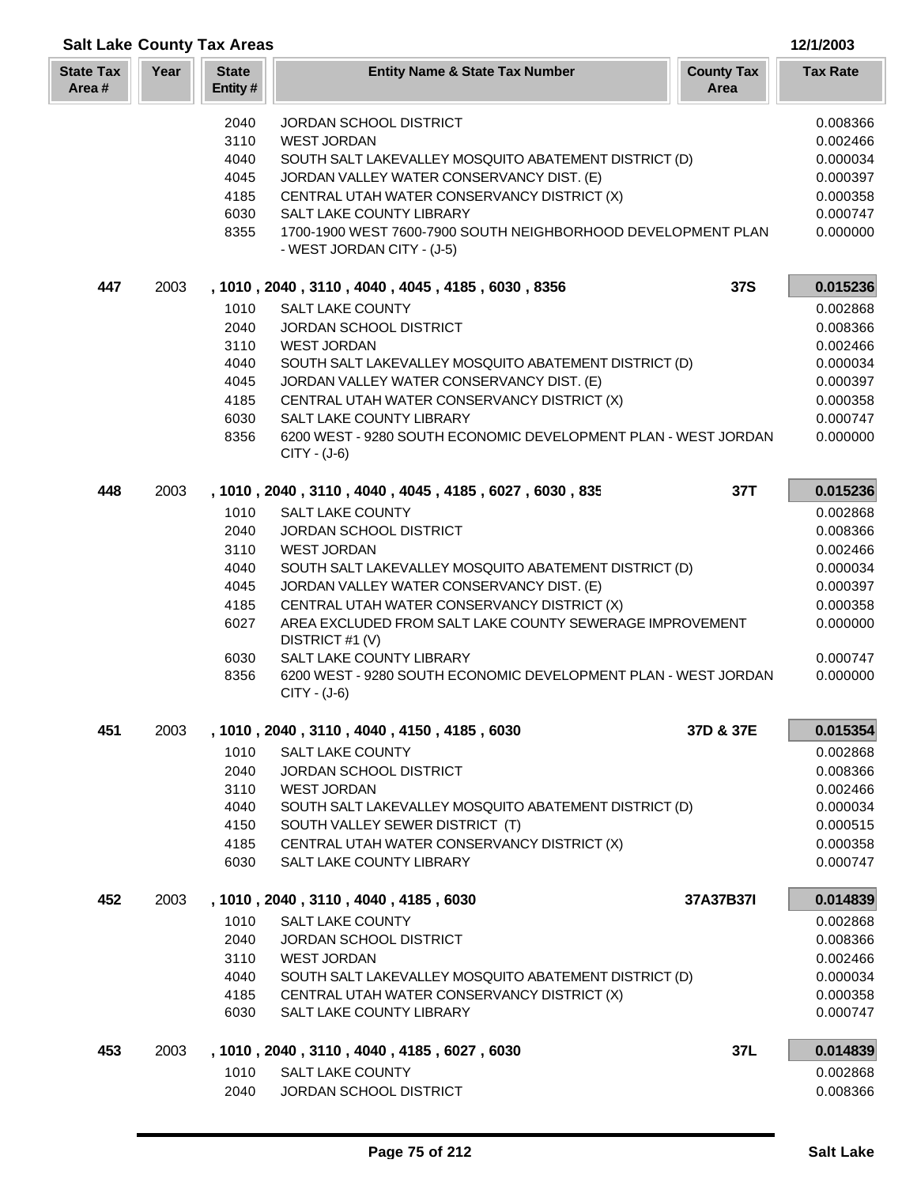|                           |      | <b>Salt Lake County Tax Areas</b> |                                                                                            |                           | 12/1/2003            |
|---------------------------|------|-----------------------------------|--------------------------------------------------------------------------------------------|---------------------------|----------------------|
| <b>State Tax</b><br>Area# | Year | <b>State</b><br>Entity#           | <b>Entity Name &amp; State Tax Number</b>                                                  | <b>County Tax</b><br>Area | <b>Tax Rate</b>      |
|                           |      | 2040                              | JORDAN SCHOOL DISTRICT                                                                     |                           | 0.008366             |
|                           |      | 3110                              | <b>WEST JORDAN</b>                                                                         |                           | 0.002466             |
|                           |      | 4040                              | SOUTH SALT LAKEVALLEY MOSQUITO ABATEMENT DISTRICT (D)                                      |                           | 0.000034             |
|                           |      | 4045                              | JORDAN VALLEY WATER CONSERVANCY DIST. (E)                                                  |                           | 0.000397             |
|                           |      | 4185                              | CENTRAL UTAH WATER CONSERVANCY DISTRICT (X)                                                |                           | 0.000358             |
|                           |      | 6030                              | SALT LAKE COUNTY LIBRARY                                                                   |                           | 0.000747             |
|                           |      | 8355                              | 1700-1900 WEST 7600-7900 SOUTH NEIGHBORHOOD DEVELOPMENT PLAN<br>- WEST JORDAN CITY - (J-5) |                           | 0.000000             |
| 447                       | 2003 |                                   | , 1010, 2040, 3110, 4040, 4045, 4185, 6030, 8356                                           | <b>37S</b>                | 0.015236             |
|                           |      | 1010                              | <b>SALT LAKE COUNTY</b>                                                                    |                           | 0.002868             |
|                           |      | 2040                              | JORDAN SCHOOL DISTRICT                                                                     |                           | 0.008366             |
|                           |      | 3110                              | <b>WEST JORDAN</b>                                                                         |                           | 0.002466             |
|                           |      | 4040                              | SOUTH SALT LAKEVALLEY MOSQUITO ABATEMENT DISTRICT (D)                                      |                           | 0.000034             |
|                           |      | 4045<br>4185                      | JORDAN VALLEY WATER CONSERVANCY DIST. (E)<br>CENTRAL UTAH WATER CONSERVANCY DISTRICT (X)   |                           | 0.000397<br>0.000358 |
|                           |      | 6030                              | <b>SALT LAKE COUNTY LIBRARY</b>                                                            |                           | 0.000747             |
|                           |      | 8356                              | 6200 WEST - 9280 SOUTH ECONOMIC DEVELOPMENT PLAN - WEST JORDAN                             |                           | 0.000000             |
|                           |      |                                   | CITY - (J-6)                                                                               |                           |                      |
| 448                       | 2003 |                                   | , 1010, 2040, 3110, 4040, 4045, 4185, 6027, 6030, 835                                      | 37T                       | 0.015236             |
|                           |      | 1010                              | <b>SALT LAKE COUNTY</b>                                                                    |                           | 0.002868             |
|                           |      | 2040<br>3110                      | JORDAN SCHOOL DISTRICT<br><b>WEST JORDAN</b>                                               |                           | 0.008366<br>0.002466 |
|                           |      | 4040                              | SOUTH SALT LAKEVALLEY MOSQUITO ABATEMENT DISTRICT (D)                                      |                           | 0.000034             |
|                           |      | 4045                              | JORDAN VALLEY WATER CONSERVANCY DIST. (E)                                                  |                           | 0.000397             |
|                           |      | 4185                              | CENTRAL UTAH WATER CONSERVANCY DISTRICT (X)                                                |                           | 0.000358             |
|                           |      | 6027                              | AREA EXCLUDED FROM SALT LAKE COUNTY SEWERAGE IMPROVEMENT<br>DISTRICT #1 (V)                |                           | 0.000000             |
|                           |      | 6030                              | SALT LAKE COUNTY LIBRARY                                                                   |                           | 0.000747             |
|                           |      | 8356                              | 6200 WEST - 9280 SOUTH ECONOMIC DEVELOPMENT PLAN - WEST JORDAN<br>CITY - (J-6)             |                           | 0.000000             |
| 451                       | 2003 |                                   | , 1010, 2040, 3110, 4040, 4150, 4185, 6030                                                 | 37D & 37E                 | 0.015354             |
|                           |      | 1010                              | SALT LAKE COUNTY                                                                           |                           | 0.002868             |
|                           |      | 2040                              | JORDAN SCHOOL DISTRICT                                                                     |                           | 0.008366             |
|                           |      | 3110<br>4040                      | <b>WEST JORDAN</b><br>SOUTH SALT LAKEVALLEY MOSQUITO ABATEMENT DISTRICT (D)                |                           | 0.002466<br>0.000034 |
|                           |      | 4150                              | SOUTH VALLEY SEWER DISTRICT (T)                                                            |                           | 0.000515             |
|                           |      | 4185                              | CENTRAL UTAH WATER CONSERVANCY DISTRICT (X)                                                |                           | 0.000358             |
|                           |      | 6030                              | SALT LAKE COUNTY LIBRARY                                                                   |                           | 0.000747             |
| 452                       | 2003 |                                   | , 1010, 2040, 3110, 4040, 4185, 6030                                                       | 37A37B37I                 | 0.014839             |
|                           |      | 1010                              | <b>SALT LAKE COUNTY</b>                                                                    |                           | 0.002868             |
|                           |      | 2040                              | JORDAN SCHOOL DISTRICT                                                                     |                           | 0.008366             |
|                           |      | 3110<br>4040                      | <b>WEST JORDAN</b><br>SOUTH SALT LAKEVALLEY MOSQUITO ABATEMENT DISTRICT (D)                |                           | 0.002466<br>0.000034 |
|                           |      | 4185                              | CENTRAL UTAH WATER CONSERVANCY DISTRICT (X)                                                |                           | 0.000358             |
|                           |      | 6030                              | SALT LAKE COUNTY LIBRARY                                                                   |                           | 0.000747             |
| 453                       | 2003 |                                   | , 1010, 2040, 3110, 4040, 4185, 6027, 6030                                                 | 37L                       | 0.014839             |
|                           |      | 1010                              | SALT LAKE COUNTY                                                                           |                           | 0.002868             |
|                           |      | 2040                              | JORDAN SCHOOL DISTRICT                                                                     |                           | 0.008366             |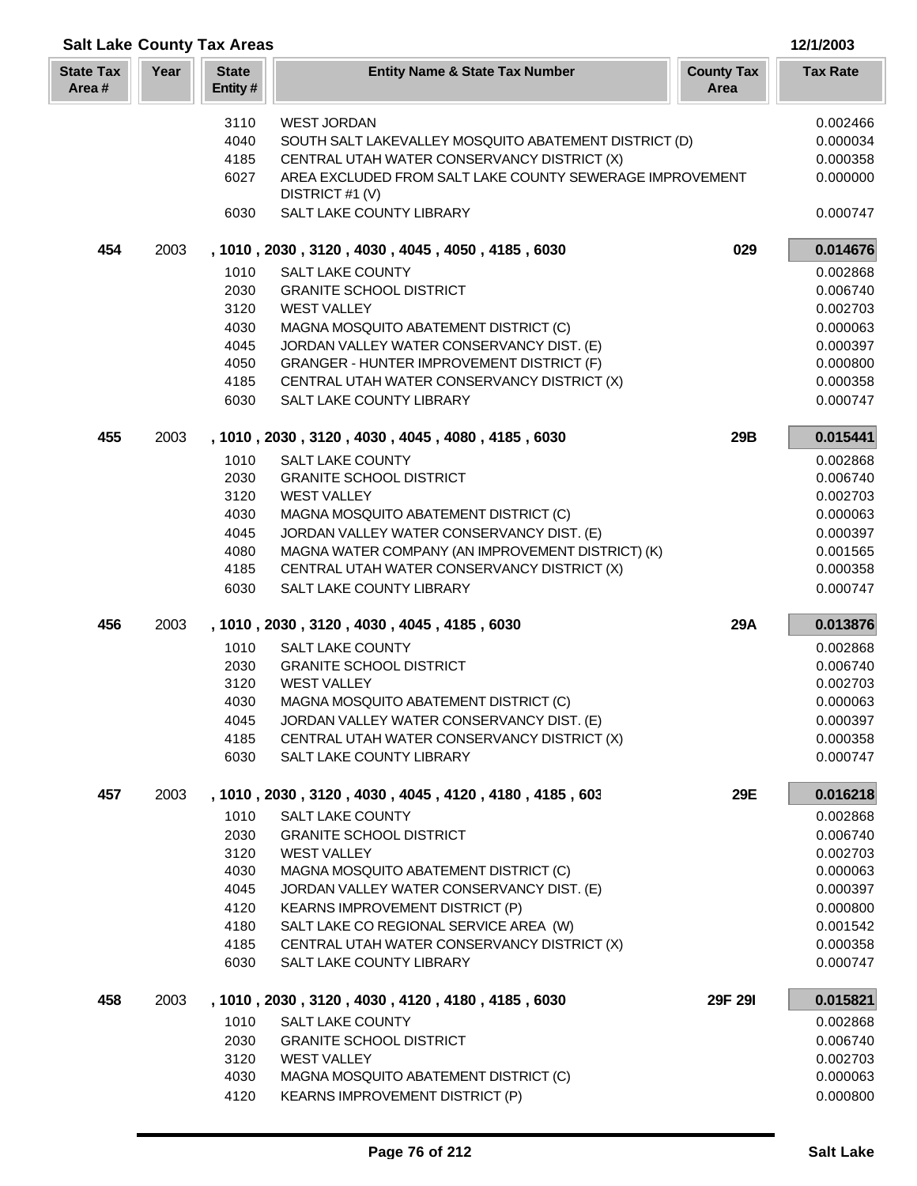| <b>Salt Lake County Tax Areas</b><br>12/1/2003 |      |                         |                                                                                                 |                           |                      |
|------------------------------------------------|------|-------------------------|-------------------------------------------------------------------------------------------------|---------------------------|----------------------|
| <b>State Tax</b><br>Area#                      | Year | <b>State</b><br>Entity# | <b>Entity Name &amp; State Tax Number</b>                                                       | <b>County Tax</b><br>Area | <b>Tax Rate</b>      |
|                                                |      | 3110                    | <b>WEST JORDAN</b>                                                                              |                           | 0.002466             |
|                                                |      | 4040                    | SOUTH SALT LAKEVALLEY MOSQUITO ABATEMENT DISTRICT (D)                                           |                           | 0.000034             |
|                                                |      | 4185                    | CENTRAL UTAH WATER CONSERVANCY DISTRICT (X)                                                     |                           | 0.000358             |
|                                                |      | 6027                    | AREA EXCLUDED FROM SALT LAKE COUNTY SEWERAGE IMPROVEMENT<br>DISTRICT #1 (V)                     |                           | 0.000000             |
|                                                |      | 6030                    | SALT LAKE COUNTY LIBRARY                                                                        |                           | 0.000747             |
| 454                                            | 2003 |                         | , 1010, 2030, 3120, 4030, 4045, 4050, 4185, 6030                                                | 029                       | 0.014676             |
|                                                |      | 1010                    | <b>SALT LAKE COUNTY</b>                                                                         |                           | 0.002868             |
|                                                |      | 2030                    | <b>GRANITE SCHOOL DISTRICT</b>                                                                  |                           | 0.006740             |
|                                                |      | 3120                    | <b>WEST VALLEY</b>                                                                              |                           | 0.002703             |
|                                                |      | 4030                    | MAGNA MOSQUITO ABATEMENT DISTRICT (C)                                                           |                           | 0.000063             |
|                                                |      | 4045                    | JORDAN VALLEY WATER CONSERVANCY DIST. (E)                                                       |                           | 0.000397<br>0.000800 |
|                                                |      | 4050<br>4185            | <b>GRANGER - HUNTER IMPROVEMENT DISTRICT (F)</b><br>CENTRAL UTAH WATER CONSERVANCY DISTRICT (X) |                           | 0.000358             |
|                                                |      | 6030                    | SALT LAKE COUNTY LIBRARY                                                                        |                           | 0.000747             |
| 455                                            | 2003 |                         | , 1010, 2030, 3120, 4030, 4045, 4080, 4185, 6030                                                | 29B                       | 0.015441             |
|                                                |      | 1010                    | <b>SALT LAKE COUNTY</b>                                                                         |                           | 0.002868             |
|                                                |      | 2030                    | <b>GRANITE SCHOOL DISTRICT</b>                                                                  |                           | 0.006740             |
|                                                |      | 3120                    | <b>WEST VALLEY</b>                                                                              |                           | 0.002703             |
|                                                |      | 4030                    | MAGNA MOSQUITO ABATEMENT DISTRICT (C)                                                           |                           | 0.000063             |
|                                                |      | 4045                    | JORDAN VALLEY WATER CONSERVANCY DIST. (E)                                                       |                           | 0.000397             |
|                                                |      | 4080                    | MAGNA WATER COMPANY (AN IMPROVEMENT DISTRICT) (K)                                               |                           | 0.001565             |
|                                                |      | 4185                    | CENTRAL UTAH WATER CONSERVANCY DISTRICT (X)                                                     |                           | 0.000358             |
|                                                |      | 6030                    | SALT LAKE COUNTY LIBRARY                                                                        |                           | 0.000747             |
| 456                                            | 2003 |                         | , 1010, 2030, 3120, 4030, 4045, 4185, 6030                                                      | 29A                       | 0.013876             |
|                                                |      | 1010                    | <b>SALT LAKE COUNTY</b>                                                                         |                           | 0.002868             |
|                                                |      | 2030                    | <b>GRANITE SCHOOL DISTRICT</b>                                                                  |                           | 0.006740             |
|                                                |      | 3120                    | <b>WEST VALLEY</b>                                                                              |                           | 0.002703             |
|                                                |      | 4030                    | MAGNA MOSQUITO ABATEMENT DISTRICT (C)                                                           |                           | 0.000063             |
|                                                |      | 4045                    | JORDAN VALLEY WATER CONSERVANCY DIST. (E)                                                       |                           | 0.000397             |
|                                                |      | 4185<br>6030            | CENTRAL UTAH WATER CONSERVANCY DISTRICT (X)<br>SALT LAKE COUNTY LIBRARY                         |                           | 0.000358<br>0.000747 |
| 457                                            | 2003 |                         | , 1010 , 2030 , 3120 , 4030 , 4045 , 4120 , 4180 , 4185 , 603                                   | 29E                       | 0.016218             |
|                                                |      | 1010                    | SALT LAKE COUNTY                                                                                |                           | 0.002868             |
|                                                |      | 2030                    | <b>GRANITE SCHOOL DISTRICT</b>                                                                  |                           | 0.006740             |
|                                                |      | 3120                    | <b>WEST VALLEY</b>                                                                              |                           | 0.002703             |
|                                                |      | 4030                    | MAGNA MOSQUITO ABATEMENT DISTRICT (C)                                                           |                           | 0.000063             |
|                                                |      | 4045                    | JORDAN VALLEY WATER CONSERVANCY DIST. (E)                                                       |                           | 0.000397             |
|                                                |      | 4120                    | <b>KEARNS IMPROVEMENT DISTRICT (P)</b>                                                          |                           | 0.000800             |
|                                                |      | 4180                    | SALT LAKE CO REGIONAL SERVICE AREA (W)                                                          |                           | 0.001542             |
|                                                |      | 4185                    | CENTRAL UTAH WATER CONSERVANCY DISTRICT (X)                                                     |                           | 0.000358             |
|                                                |      | 6030                    | SALT LAKE COUNTY LIBRARY                                                                        |                           | 0.000747             |
| 458                                            | 2003 |                         | , 1010, 2030, 3120, 4030, 4120, 4180, 4185, 6030                                                | 29F 29I                   | 0.015821             |
|                                                |      | 1010                    | SALT LAKE COUNTY                                                                                |                           | 0.002868             |
|                                                |      | 2030                    | <b>GRANITE SCHOOL DISTRICT</b>                                                                  |                           | 0.006740             |
|                                                |      | 3120                    | <b>WEST VALLEY</b>                                                                              |                           | 0.002703             |
|                                                |      | 4030<br>4120            | MAGNA MOSQUITO ABATEMENT DISTRICT (C)<br>KEARNS IMPROVEMENT DISTRICT (P)                        |                           | 0.000063<br>0.000800 |
|                                                |      |                         |                                                                                                 |                           |                      |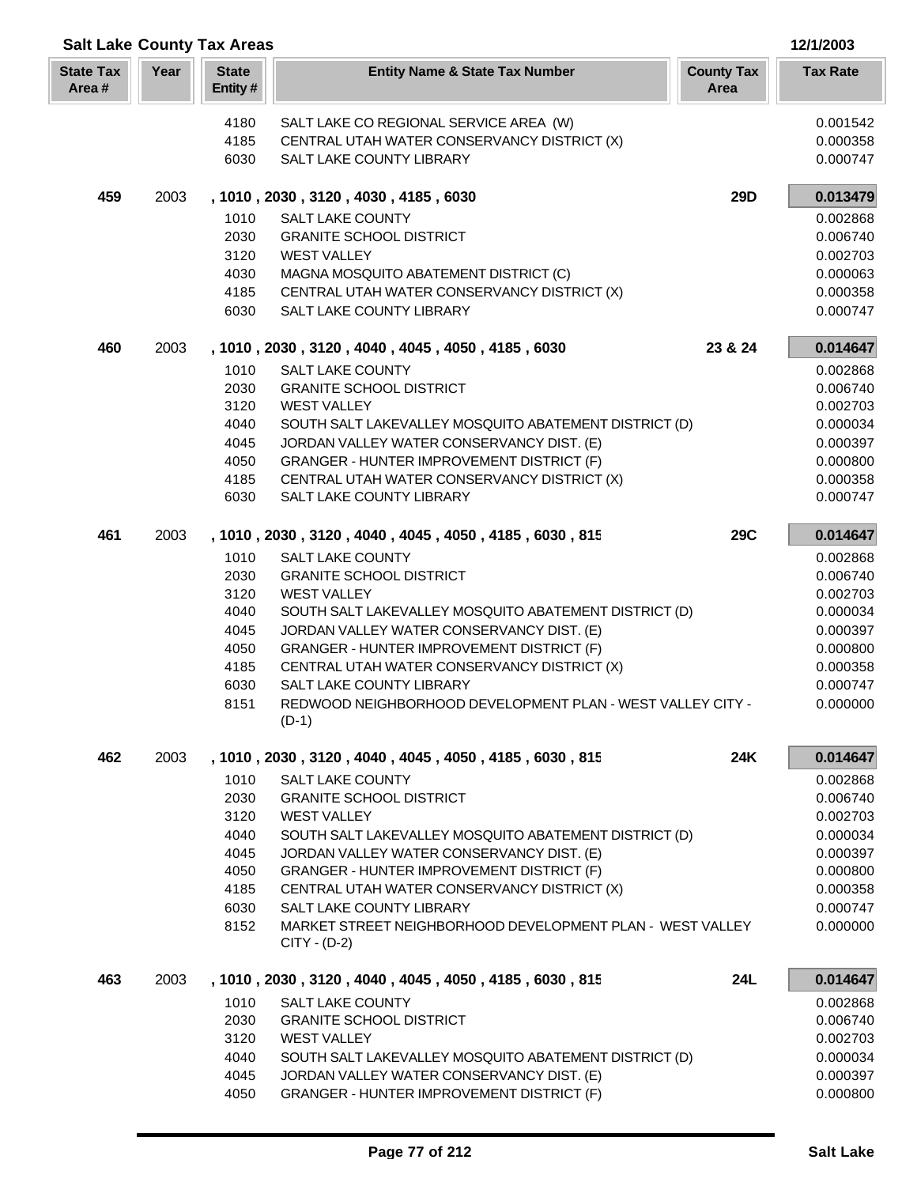| <b>Salt Lake County Tax Areas</b> |      |                         |                                                                             |                           | 12/1/2003            |
|-----------------------------------|------|-------------------------|-----------------------------------------------------------------------------|---------------------------|----------------------|
| <b>State Tax</b><br>Area#         | Year | <b>State</b><br>Entity# | <b>Entity Name &amp; State Tax Number</b>                                   | <b>County Tax</b><br>Area | <b>Tax Rate</b>      |
|                                   |      | 4180                    | SALT LAKE CO REGIONAL SERVICE AREA (W)                                      |                           | 0.001542             |
|                                   |      | 4185                    | CENTRAL UTAH WATER CONSERVANCY DISTRICT (X)                                 |                           | 0.000358             |
|                                   |      | 6030                    | SALT LAKE COUNTY LIBRARY                                                    |                           | 0.000747             |
| 459                               | 2003 |                         | , 1010, 2030, 3120, 4030, 4185, 6030                                        | 29D                       | 0.013479             |
|                                   |      | 1010                    | <b>SALT LAKE COUNTY</b>                                                     |                           | 0.002868             |
|                                   |      | 2030                    | <b>GRANITE SCHOOL DISTRICT</b>                                              |                           | 0.006740             |
|                                   |      | 3120                    | <b>WEST VALLEY</b>                                                          |                           | 0.002703             |
|                                   |      | 4030                    | MAGNA MOSQUITO ABATEMENT DISTRICT (C)                                       |                           | 0.000063             |
|                                   |      | 4185                    | CENTRAL UTAH WATER CONSERVANCY DISTRICT (X)                                 |                           | 0.000358             |
|                                   |      | 6030                    | <b>SALT LAKE COUNTY LIBRARY</b>                                             |                           | 0.000747             |
| 460                               | 2003 |                         | , 1010, 2030, 3120, 4040, 4045, 4050, 4185, 6030                            | 23 & 24                   | 0.014647             |
|                                   |      | 1010                    | <b>SALT LAKE COUNTY</b>                                                     |                           | 0.002868             |
|                                   |      | 2030                    | <b>GRANITE SCHOOL DISTRICT</b>                                              |                           | 0.006740             |
|                                   |      | 3120                    | <b>WEST VALLEY</b>                                                          |                           | 0.002703             |
|                                   |      | 4040                    | SOUTH SALT LAKEVALLEY MOSQUITO ABATEMENT DISTRICT (D)                       |                           | 0.000034             |
|                                   |      | 4045                    | JORDAN VALLEY WATER CONSERVANCY DIST. (E)                                   |                           | 0.000397             |
|                                   |      | 4050                    | GRANGER - HUNTER IMPROVEMENT DISTRICT (F)                                   |                           | 0.000800             |
|                                   |      | 4185                    | CENTRAL UTAH WATER CONSERVANCY DISTRICT (X)                                 |                           | 0.000358             |
|                                   |      | 6030                    | SALT LAKE COUNTY LIBRARY                                                    |                           | 0.000747             |
| 461                               | 2003 |                         | , 1010, 2030, 3120, 4040, 4045, 4050, 4185, 6030, 815                       | <b>29C</b>                | 0.014647             |
|                                   |      | 1010                    | <b>SALT LAKE COUNTY</b>                                                     |                           | 0.002868             |
|                                   |      | 2030                    | <b>GRANITE SCHOOL DISTRICT</b>                                              |                           | 0.006740             |
|                                   |      | 3120<br>4040            | <b>WEST VALLEY</b><br>SOUTH SALT LAKEVALLEY MOSQUITO ABATEMENT DISTRICT (D) |                           | 0.002703<br>0.000034 |
|                                   |      | 4045                    | JORDAN VALLEY WATER CONSERVANCY DIST. (E)                                   |                           | 0.000397             |
|                                   |      | 4050                    | GRANGER - HUNTER IMPROVEMENT DISTRICT (F)                                   |                           | 0.000800             |
|                                   |      | 4185                    | CENTRAL UTAH WATER CONSERVANCY DISTRICT (X)                                 |                           | 0.000358             |
|                                   |      | 6030                    | SALT LAKE COUNTY LIBRARY                                                    |                           | 0.000747             |
|                                   |      | 8151                    | REDWOOD NEIGHBORHOOD DEVELOPMENT PLAN - WEST VALLEY CITY -<br>$(D-1)$       |                           | 0.000000             |
| 462                               | 2003 |                         | , 1010, 2030, 3120, 4040, 4045, 4050, 4185, 6030, 815                       | 24K                       | 0.014647             |
|                                   |      | 1010                    | <b>SALT LAKE COUNTY</b>                                                     |                           | 0.002868             |
|                                   |      | 2030                    | <b>GRANITE SCHOOL DISTRICT</b>                                              |                           | 0.006740             |
|                                   |      | 3120                    | <b>WEST VALLEY</b>                                                          |                           | 0.002703             |
|                                   |      | 4040                    | SOUTH SALT LAKEVALLEY MOSQUITO ABATEMENT DISTRICT (D)                       |                           | 0.000034             |
|                                   |      | 4045                    | JORDAN VALLEY WATER CONSERVANCY DIST. (E)                                   |                           | 0.000397             |
|                                   |      | 4050                    | <b>GRANGER - HUNTER IMPROVEMENT DISTRICT (F)</b>                            |                           | 0.000800             |
|                                   |      | 4185                    | CENTRAL UTAH WATER CONSERVANCY DISTRICT (X)                                 |                           | 0.000358             |
|                                   |      | 6030                    | <b>SALT LAKE COUNTY LIBRARY</b>                                             |                           | 0.000747             |
|                                   |      | 8152                    | MARKET STREET NEIGHBORHOOD DEVELOPMENT PLAN - WEST VALLEY<br>$CITY - (D-2)$ |                           | 0.000000             |
| 463                               | 2003 |                         | , 1010, 2030, 3120, 4040, 4045, 4050, 4185, 6030, 815                       | <b>24L</b>                | 0.014647             |
|                                   |      | 1010                    | <b>SALT LAKE COUNTY</b>                                                     |                           | 0.002868             |
|                                   |      | 2030                    | <b>GRANITE SCHOOL DISTRICT</b>                                              |                           | 0.006740             |
|                                   |      | 3120                    | <b>WEST VALLEY</b>                                                          |                           | 0.002703             |
|                                   |      | 4040                    | SOUTH SALT LAKEVALLEY MOSQUITO ABATEMENT DISTRICT (D)                       |                           | 0.000034             |
|                                   |      | 4045                    | JORDAN VALLEY WATER CONSERVANCY DIST. (E)                                   |                           | 0.000397             |
|                                   |      | 4050                    | GRANGER - HUNTER IMPROVEMENT DISTRICT (F)                                   |                           | 0.000800             |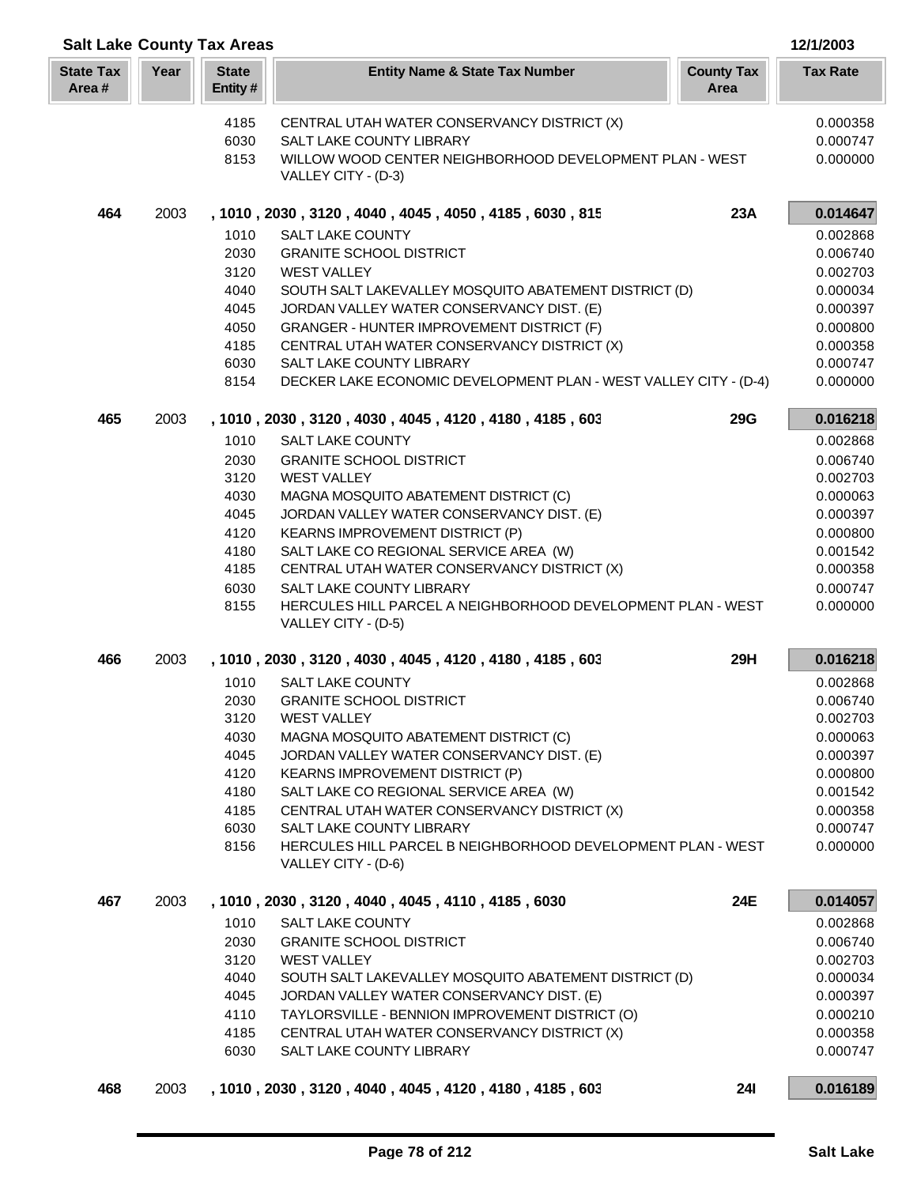|                           | <b>Salt Lake County Tax Areas</b><br>12/1/2003 |                         |                                                                                       |                           |                      |
|---------------------------|------------------------------------------------|-------------------------|---------------------------------------------------------------------------------------|---------------------------|----------------------|
| <b>State Tax</b><br>Area# | Year                                           | <b>State</b><br>Entity# | <b>Entity Name &amp; State Tax Number</b>                                             | <b>County Tax</b><br>Area | <b>Tax Rate</b>      |
|                           |                                                | 4185                    | CENTRAL UTAH WATER CONSERVANCY DISTRICT (X)                                           |                           | 0.000358             |
|                           |                                                | 6030                    | SALT LAKE COUNTY LIBRARY                                                              |                           | 0.000747             |
|                           |                                                | 8153                    | WILLOW WOOD CENTER NEIGHBORHOOD DEVELOPMENT PLAN - WEST<br>VALLEY CITY - (D-3)        |                           | 0.000000             |
| 464                       | 2003                                           |                         | , 1010, 2030, 3120, 4040, 4045, 4050, 4185, 6030, 815                                 | 23A                       | 0.014647             |
|                           |                                                | 1010                    | <b>SALT LAKE COUNTY</b>                                                               |                           | 0.002868             |
|                           |                                                | 2030                    | <b>GRANITE SCHOOL DISTRICT</b>                                                        |                           | 0.006740             |
|                           |                                                | 3120<br>4040            | <b>WEST VALLEY</b><br>SOUTH SALT LAKEVALLEY MOSQUITO ABATEMENT DISTRICT (D)           |                           | 0.002703<br>0.000034 |
|                           |                                                | 4045                    | JORDAN VALLEY WATER CONSERVANCY DIST. (E)                                             |                           | 0.000397             |
|                           |                                                | 4050                    | GRANGER - HUNTER IMPROVEMENT DISTRICT (F)                                             |                           | 0.000800             |
|                           |                                                | 4185                    | CENTRAL UTAH WATER CONSERVANCY DISTRICT (X)                                           |                           | 0.000358             |
|                           |                                                | 6030                    | SALT LAKE COUNTY LIBRARY                                                              |                           | 0.000747             |
|                           |                                                | 8154                    | DECKER LAKE ECONOMIC DEVELOPMENT PLAN - WEST VALLEY CITY - (D-4)                      |                           | 0.000000             |
| 465                       | 2003                                           |                         | , 1010, 2030, 3120, 4030, 4045, 4120, 4180, 4185, 603                                 | <b>29G</b>                | 0.016218             |
|                           |                                                | 1010                    | <b>SALT LAKE COUNTY</b>                                                               |                           | 0.002868             |
|                           |                                                | 2030                    | <b>GRANITE SCHOOL DISTRICT</b>                                                        |                           | 0.006740             |
|                           |                                                | 3120                    | <b>WEST VALLEY</b>                                                                    |                           | 0.002703             |
|                           |                                                | 4030                    | MAGNA MOSQUITO ABATEMENT DISTRICT (C)                                                 |                           | 0.000063             |
|                           |                                                | 4045                    | JORDAN VALLEY WATER CONSERVANCY DIST. (E)                                             |                           | 0.000397             |
|                           |                                                | 4120                    | KEARNS IMPROVEMENT DISTRICT (P)                                                       |                           | 0.000800             |
|                           |                                                | 4180<br>4185            | SALT LAKE CO REGIONAL SERVICE AREA (W)<br>CENTRAL UTAH WATER CONSERVANCY DISTRICT (X) |                           | 0.001542<br>0.000358 |
|                           |                                                | 6030                    | <b>SALT LAKE COUNTY LIBRARY</b>                                                       |                           | 0.000747             |
|                           |                                                | 8155                    | HERCULES HILL PARCEL A NEIGHBORHOOD DEVELOPMENT PLAN - WEST<br>VALLEY CITY - (D-5)    |                           | 0.000000             |
| 466                       | 2003                                           |                         | , 1010, 2030, 3120, 4030, 4045, 4120, 4180, 4185, 603                                 | 29H                       | 0.016218             |
|                           |                                                | 1010                    | <b>SALT LAKE COUNTY</b>                                                               |                           | 0.002868             |
|                           |                                                | 2030                    | <b>GRANITE SCHOOL DISTRICT</b>                                                        |                           | 0.006740             |
|                           |                                                | 3120                    | <b>WEST VALLEY</b>                                                                    |                           | 0.002703             |
|                           |                                                | 4030                    | MAGNA MOSQUITO ABATEMENT DISTRICT (C)                                                 |                           | 0.000063             |
|                           |                                                | 4045                    | JORDAN VALLEY WATER CONSERVANCY DIST. (E)                                             |                           | 0.000397             |
|                           |                                                | 4120<br>4180            | KEARNS IMPROVEMENT DISTRICT (P)                                                       |                           | 0.000800             |
|                           |                                                | 4185                    | SALT LAKE CO REGIONAL SERVICE AREA (W)<br>CENTRAL UTAH WATER CONSERVANCY DISTRICT (X) |                           | 0.001542<br>0.000358 |
|                           |                                                | 6030                    | SALT LAKE COUNTY LIBRARY                                                              |                           | 0.000747             |
|                           |                                                | 8156                    | HERCULES HILL PARCEL B NEIGHBORHOOD DEVELOPMENT PLAN - WEST<br>VALLEY CITY - (D-6)    |                           | 0.000000             |
| 467                       | 2003                                           |                         | , 1010, 2030, 3120, 4040, 4045, 4110, 4185, 6030                                      | 24E                       | 0.014057             |
|                           |                                                | 1010                    | SALT LAKE COUNTY                                                                      |                           | 0.002868             |
|                           |                                                | 2030                    | <b>GRANITE SCHOOL DISTRICT</b>                                                        |                           | 0.006740             |
|                           |                                                | 3120                    | <b>WEST VALLEY</b>                                                                    |                           | 0.002703             |
|                           |                                                | 4040                    | SOUTH SALT LAKEVALLEY MOSQUITO ABATEMENT DISTRICT (D)                                 |                           | 0.000034             |
|                           |                                                | 4045                    | JORDAN VALLEY WATER CONSERVANCY DIST. (E)                                             |                           | 0.000397             |
|                           |                                                | 4110                    | TAYLORSVILLE - BENNION IMPROVEMENT DISTRICT (O)                                       |                           | 0.000210             |
|                           |                                                | 4185                    | CENTRAL UTAH WATER CONSERVANCY DISTRICT (X)                                           |                           | 0.000358             |
|                           |                                                | 6030                    | SALT LAKE COUNTY LIBRARY                                                              |                           | 0.000747             |
| 468                       | 2003                                           |                         | , 1010, 2030, 3120, 4040, 4045, 4120, 4180, 4185, 603                                 | <b>241</b>                | 0.016189             |

П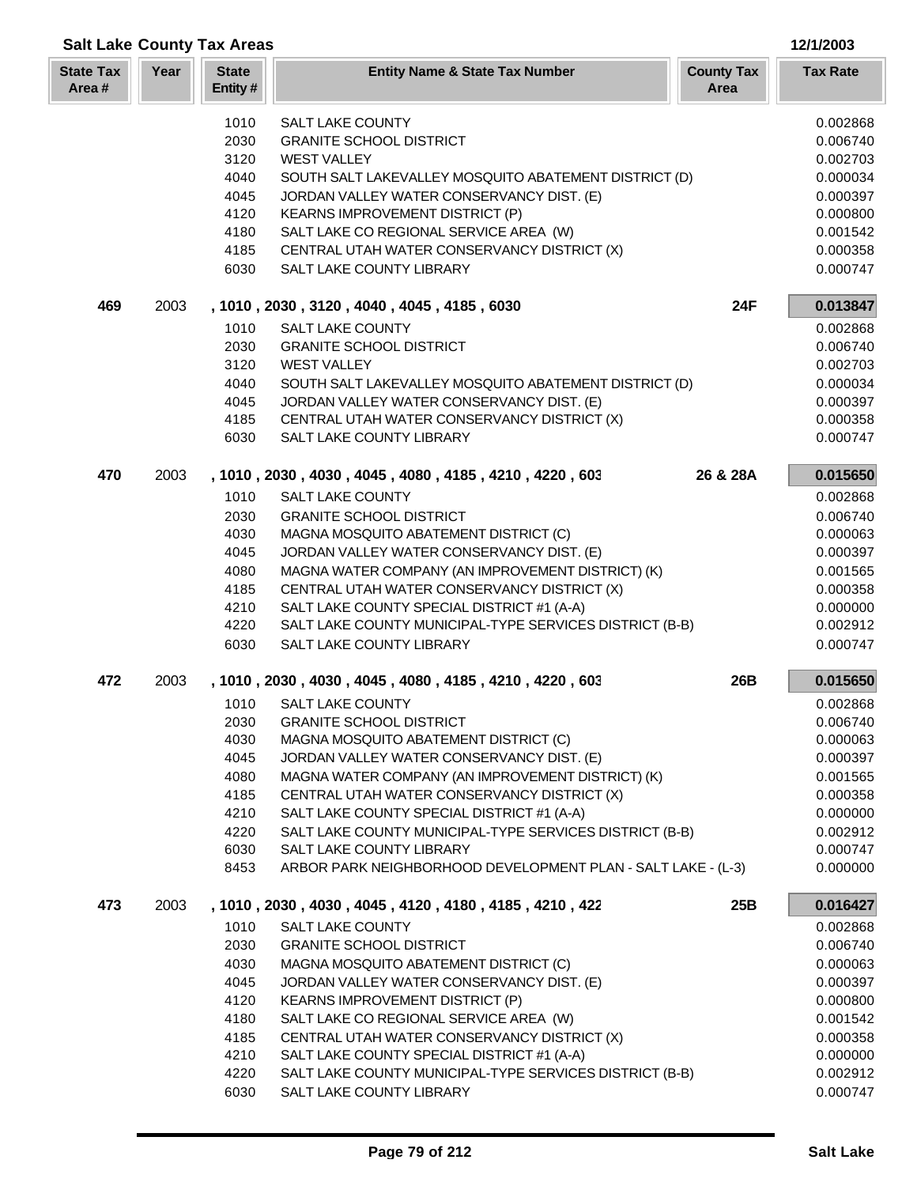|                           |      | <b>Salt Lake County Tax Areas</b> |                                                                                                |                           | 12/1/2003            |
|---------------------------|------|-----------------------------------|------------------------------------------------------------------------------------------------|---------------------------|----------------------|
| <b>State Tax</b><br>Area# | Year | <b>State</b><br>Entity#           | <b>Entity Name &amp; State Tax Number</b>                                                      | <b>County Tax</b><br>Area | <b>Tax Rate</b>      |
|                           |      | 1010                              | <b>SALT LAKE COUNTY</b>                                                                        |                           | 0.002868             |
|                           |      | 2030                              | <b>GRANITE SCHOOL DISTRICT</b>                                                                 |                           | 0.006740             |
|                           |      | 3120                              | <b>WEST VALLEY</b>                                                                             |                           | 0.002703             |
|                           |      | 4040                              | SOUTH SALT LAKEVALLEY MOSQUITO ABATEMENT DISTRICT (D)                                          |                           | 0.000034             |
|                           |      | 4045                              | JORDAN VALLEY WATER CONSERVANCY DIST. (E)                                                      |                           | 0.000397             |
|                           |      | 4120                              | <b>KEARNS IMPROVEMENT DISTRICT (P)</b>                                                         |                           | 0.000800             |
|                           |      | 4180                              | SALT LAKE CO REGIONAL SERVICE AREA (W)                                                         |                           | 0.001542             |
|                           |      | 4185                              | CENTRAL UTAH WATER CONSERVANCY DISTRICT (X)                                                    |                           | 0.000358             |
|                           |      | 6030                              | SALT LAKE COUNTY LIBRARY                                                                       |                           | 0.000747             |
| 469                       | 2003 |                                   | , 1010, 2030, 3120, 4040, 4045, 4185, 6030                                                     | 24F                       | 0.013847             |
|                           |      | 1010                              | <b>SALT LAKE COUNTY</b>                                                                        |                           | 0.002868             |
|                           |      | 2030                              | <b>GRANITE SCHOOL DISTRICT</b>                                                                 |                           | 0.006740             |
|                           |      | 3120                              | <b>WEST VALLEY</b>                                                                             |                           | 0.002703             |
|                           |      | 4040                              | SOUTH SALT LAKEVALLEY MOSQUITO ABATEMENT DISTRICT (D)                                          |                           | 0.000034             |
|                           |      | 4045                              | JORDAN VALLEY WATER CONSERVANCY DIST. (E)                                                      |                           | 0.000397             |
|                           |      | 4185                              | CENTRAL UTAH WATER CONSERVANCY DISTRICT (X)                                                    |                           | 0.000358             |
|                           |      | 6030                              | SALT LAKE COUNTY LIBRARY                                                                       |                           | 0.000747             |
| 470                       | 2003 |                                   | , 1010, 2030, 4030, 4045, 4080, 4185, 4210, 4220, 603                                          | 26 & 28A                  | 0.015650             |
|                           |      | 1010                              | <b>SALT LAKE COUNTY</b>                                                                        |                           | 0.002868             |
|                           |      | 2030                              | <b>GRANITE SCHOOL DISTRICT</b>                                                                 |                           | 0.006740             |
|                           |      | 4030                              | MAGNA MOSQUITO ABATEMENT DISTRICT (C)                                                          |                           | 0.000063             |
|                           |      | 4045                              | JORDAN VALLEY WATER CONSERVANCY DIST. (E)                                                      |                           | 0.000397             |
|                           |      | 4080                              | MAGNA WATER COMPANY (AN IMPROVEMENT DISTRICT) (K)                                              |                           | 0.001565             |
|                           |      | 4185                              | CENTRAL UTAH WATER CONSERVANCY DISTRICT (X)                                                    |                           | 0.000358             |
|                           |      | 4210                              | SALT LAKE COUNTY SPECIAL DISTRICT #1 (A-A)                                                     |                           | 0.000000             |
|                           |      | 4220                              | SALT LAKE COUNTY MUNICIPAL-TYPE SERVICES DISTRICT (B-B)                                        |                           | 0.002912             |
|                           |      | 6030                              | SALT LAKE COUNTY LIBRARY                                                                       |                           | 0.000747             |
| 472                       | 2003 |                                   | , 1010, 2030, 4030, 4045, 4080, 4185, 4210, 4220, 603                                          | 26B                       | 0.015650             |
|                           |      | 1010                              | SALT LAKE COUNTY                                                                               |                           | 0.002868             |
|                           |      | 2030                              | <b>GRANITE SCHOOL DISTRICT</b>                                                                 |                           | 0.006740             |
|                           |      | 4030                              | MAGNA MOSQUITO ABATEMENT DISTRICT (C)                                                          |                           | 0.000063             |
|                           |      | 4045                              | JORDAN VALLEY WATER CONSERVANCY DIST. (E)<br>MAGNA WATER COMPANY (AN IMPROVEMENT DISTRICT) (K) |                           | 0.000397             |
|                           |      | 4080<br>4185                      | CENTRAL UTAH WATER CONSERVANCY DISTRICT (X)                                                    |                           | 0.001565<br>0.000358 |
|                           |      | 4210                              | SALT LAKE COUNTY SPECIAL DISTRICT #1 (A-A)                                                     |                           | 0.000000             |
|                           |      | 4220                              | SALT LAKE COUNTY MUNICIPAL-TYPE SERVICES DISTRICT (B-B)                                        |                           | 0.002912             |
|                           |      | 6030                              | SALT LAKE COUNTY LIBRARY                                                                       |                           | 0.000747             |
|                           |      | 8453                              | ARBOR PARK NEIGHBORHOOD DEVELOPMENT PLAN - SALT LAKE - (L-3)                                   |                           | 0.000000             |
| 473                       | 2003 |                                   | , 1010, 2030, 4030, 4045, 4120, 4180, 4185, 4210, 422                                          | 25B                       | 0.016427             |
|                           |      | 1010                              | <b>SALT LAKE COUNTY</b>                                                                        |                           | 0.002868             |
|                           |      | 2030                              | <b>GRANITE SCHOOL DISTRICT</b>                                                                 |                           | 0.006740             |
|                           |      | 4030                              | MAGNA MOSQUITO ABATEMENT DISTRICT (C)                                                          |                           | 0.000063             |
|                           |      | 4045                              | JORDAN VALLEY WATER CONSERVANCY DIST. (E)                                                      |                           | 0.000397             |
|                           |      | 4120                              | <b>KEARNS IMPROVEMENT DISTRICT (P)</b>                                                         |                           | 0.000800             |
|                           |      | 4180                              | SALT LAKE CO REGIONAL SERVICE AREA (W)                                                         |                           | 0.001542             |
|                           |      | 4185                              | CENTRAL UTAH WATER CONSERVANCY DISTRICT (X)                                                    |                           | 0.000358             |
|                           |      | 4210                              | SALT LAKE COUNTY SPECIAL DISTRICT #1 (A-A)                                                     |                           | 0.000000             |
|                           |      | 4220                              | SALT LAKE COUNTY MUNICIPAL-TYPE SERVICES DISTRICT (B-B)                                        |                           | 0.002912             |
|                           |      | 6030                              | SALT LAKE COUNTY LIBRARY                                                                       |                           | 0.000747             |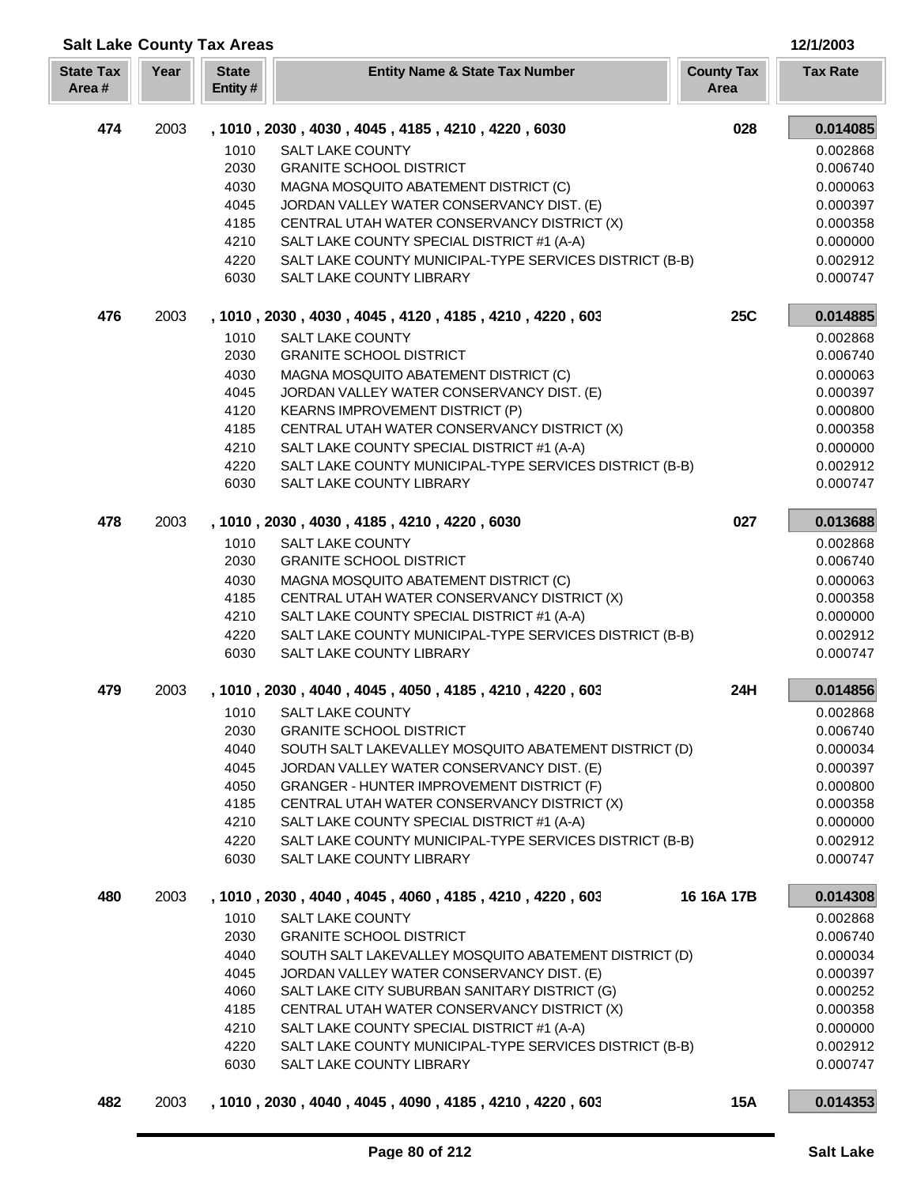| <b>Salt Lake County Tax Areas</b> |      |                         |                                                                                            |                           | 12/1/2003            |
|-----------------------------------|------|-------------------------|--------------------------------------------------------------------------------------------|---------------------------|----------------------|
| <b>State Tax</b><br>Area#         | Year | <b>State</b><br>Entity# | <b>Entity Name &amp; State Tax Number</b>                                                  | <b>County Tax</b><br>Area | <b>Tax Rate</b>      |
| 474                               | 2003 |                         | , 1010, 2030, 4030, 4045, 4185, 4210, 4220, 6030                                           | 028                       | 0.014085             |
|                                   |      | 1010                    | <b>SALT LAKE COUNTY</b>                                                                    |                           | 0.002868             |
|                                   |      | 2030                    | <b>GRANITE SCHOOL DISTRICT</b>                                                             |                           | 0.006740             |
|                                   |      | 4030                    | MAGNA MOSQUITO ABATEMENT DISTRICT (C)                                                      |                           | 0.000063             |
|                                   |      | 4045                    | JORDAN VALLEY WATER CONSERVANCY DIST. (E)                                                  |                           | 0.000397             |
|                                   |      | 4185                    | CENTRAL UTAH WATER CONSERVANCY DISTRICT (X)                                                |                           | 0.000358             |
|                                   |      | 4210                    | SALT LAKE COUNTY SPECIAL DISTRICT #1 (A-A)                                                 |                           | 0.000000             |
|                                   |      | 4220                    | SALT LAKE COUNTY MUNICIPAL-TYPE SERVICES DISTRICT (B-B)                                    |                           | 0.002912             |
|                                   |      | 6030                    | SALT LAKE COUNTY LIBRARY                                                                   |                           | 0.000747             |
| 476                               | 2003 |                         | , 1010, 2030, 4030, 4045, 4120, 4185, 4210, 4220, 603                                      | <b>25C</b>                | 0.014885             |
|                                   |      | 1010                    | <b>SALT LAKE COUNTY</b>                                                                    |                           | 0.002868             |
|                                   |      | 2030                    | <b>GRANITE SCHOOL DISTRICT</b>                                                             |                           | 0.006740             |
|                                   |      | 4030                    | MAGNA MOSQUITO ABATEMENT DISTRICT (C)                                                      |                           | 0.000063             |
|                                   |      | 4045                    | JORDAN VALLEY WATER CONSERVANCY DIST. (E)                                                  |                           | 0.000397             |
|                                   |      | 4120                    | KEARNS IMPROVEMENT DISTRICT (P)                                                            |                           | 0.000800             |
|                                   |      | 4185                    | CENTRAL UTAH WATER CONSERVANCY DISTRICT (X)                                                |                           | 0.000358             |
|                                   |      | 4210                    | SALT LAKE COUNTY SPECIAL DISTRICT #1 (A-A)                                                 |                           | 0.000000             |
|                                   |      | 4220                    | SALT LAKE COUNTY MUNICIPAL-TYPE SERVICES DISTRICT (B-B)                                    |                           | 0.002912             |
|                                   |      | 6030                    | SALT LAKE COUNTY LIBRARY                                                                   |                           | 0.000747             |
| 478                               | 2003 |                         | , 1010, 2030, 4030, 4185, 4210, 4220, 6030                                                 | 027                       | 0.013688             |
|                                   |      | 1010                    | <b>SALT LAKE COUNTY</b>                                                                    |                           | 0.002868             |
|                                   |      | 2030                    | <b>GRANITE SCHOOL DISTRICT</b>                                                             |                           | 0.006740             |
|                                   |      | 4030                    | MAGNA MOSQUITO ABATEMENT DISTRICT (C)                                                      |                           | 0.000063             |
|                                   |      | 4185                    | CENTRAL UTAH WATER CONSERVANCY DISTRICT (X)                                                |                           | 0.000358             |
|                                   |      | 4210                    | SALT LAKE COUNTY SPECIAL DISTRICT #1 (A-A)                                                 |                           | 0.000000             |
|                                   |      | 4220                    | SALT LAKE COUNTY MUNICIPAL-TYPE SERVICES DISTRICT (B-B)                                    |                           | 0.002912             |
|                                   |      | 6030                    | SALT LAKE COUNTY LIBRARY                                                                   |                           | 0.000747             |
| 479                               | 2003 |                         | , 1010, 2030, 4040, 4045, 4050, 4185, 4210, 4220, 603                                      | 24H                       | 0.014856             |
|                                   |      |                         | 1010 SALT LAKE COUNTY                                                                      |                           | 0.002868             |
|                                   |      | 2030                    | <b>GRANITE SCHOOL DISTRICT</b>                                                             |                           | 0.006740             |
|                                   |      | 4040                    | SOUTH SALT LAKEVALLEY MOSQUITO ABATEMENT DISTRICT (D)                                      |                           | 0.000034             |
|                                   |      | 4045                    | JORDAN VALLEY WATER CONSERVANCY DIST. (E)                                                  |                           | 0.000397             |
|                                   |      | 4050                    | <b>GRANGER - HUNTER IMPROVEMENT DISTRICT (F)</b>                                           |                           | 0.000800             |
|                                   |      | 4185                    | CENTRAL UTAH WATER CONSERVANCY DISTRICT (X)                                                |                           | 0.000358             |
|                                   |      | 4210                    | SALT LAKE COUNTY SPECIAL DISTRICT #1 (A-A)                                                 |                           | 0.000000             |
|                                   |      | 4220<br>6030            | SALT LAKE COUNTY MUNICIPAL-TYPE SERVICES DISTRICT (B-B)<br><b>SALT LAKE COUNTY LIBRARY</b> |                           | 0.002912<br>0.000747 |
| 480                               | 2003 |                         | , 1010, 2030, 4040, 4045, 4060, 4185, 4210, 4220, 603                                      | 16 16A 17B                | 0.014308             |
|                                   |      | 1010                    | <b>SALT LAKE COUNTY</b>                                                                    |                           | 0.002868             |
|                                   |      | 2030                    | <b>GRANITE SCHOOL DISTRICT</b>                                                             |                           | 0.006740             |
|                                   |      | 4040                    | SOUTH SALT LAKEVALLEY MOSQUITO ABATEMENT DISTRICT (D)                                      |                           | 0.000034             |
|                                   |      | 4045                    | JORDAN VALLEY WATER CONSERVANCY DIST. (E)                                                  |                           | 0.000397             |
|                                   |      | 4060                    | SALT LAKE CITY SUBURBAN SANITARY DISTRICT (G)                                              |                           | 0.000252             |
|                                   |      | 4185                    | CENTRAL UTAH WATER CONSERVANCY DISTRICT (X)                                                |                           | 0.000358             |
|                                   |      | 4210                    | SALT LAKE COUNTY SPECIAL DISTRICT #1 (A-A)                                                 |                           | 0.000000             |
|                                   |      | 4220                    | SALT LAKE COUNTY MUNICIPAL-TYPE SERVICES DISTRICT (B-B)                                    |                           | 0.002912             |
|                                   |      | 6030                    | SALT LAKE COUNTY LIBRARY                                                                   |                           | 0.000747             |
| 482                               | 2003 |                         | , 1010, 2030, 4040, 4045, 4090, 4185, 4210, 4220, 603                                      | <b>15A</b>                | 0.014353             |

Γ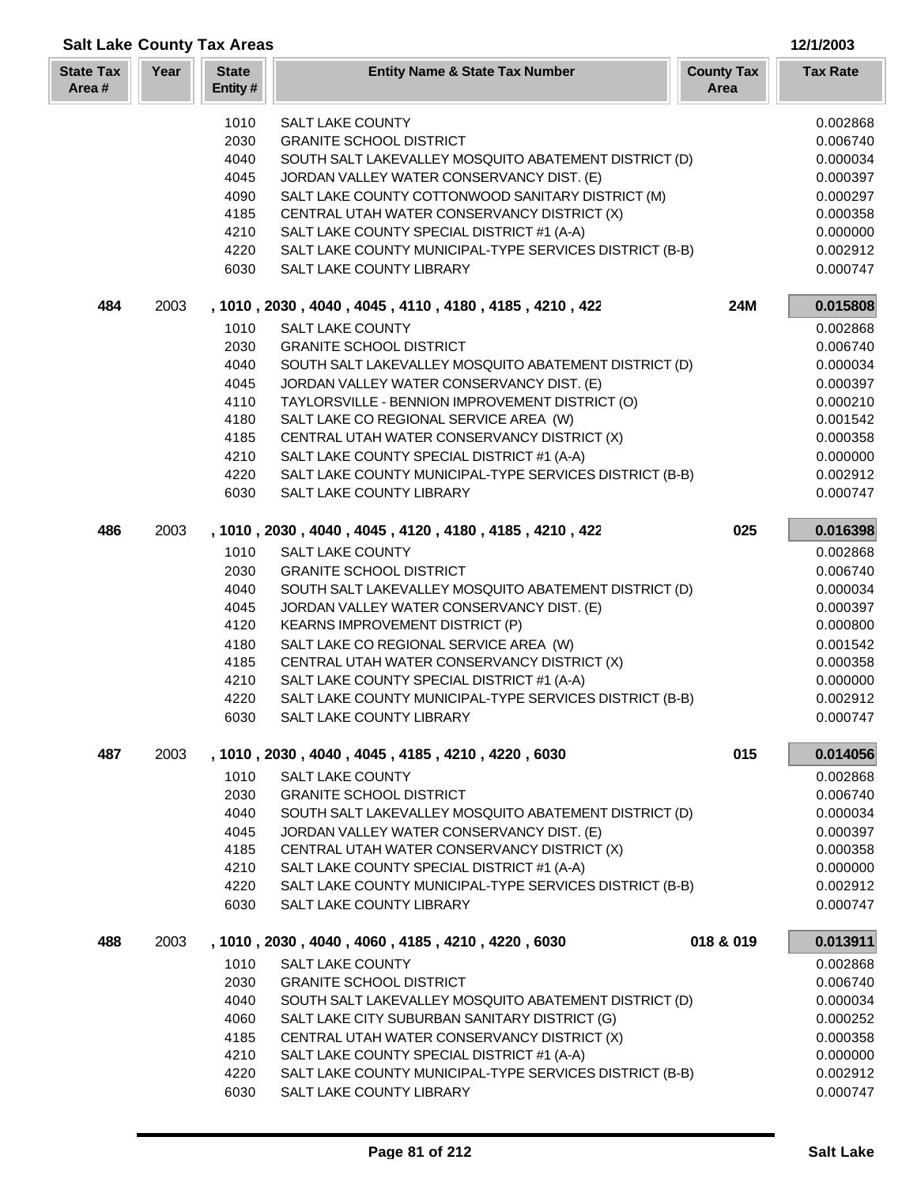|                           |      | <b>Salt Lake County Tax Areas</b> |                                                                                                       |                           | 12/1/2003            |
|---------------------------|------|-----------------------------------|-------------------------------------------------------------------------------------------------------|---------------------------|----------------------|
| <b>State Tax</b><br>Area# | Year | <b>State</b><br>Entity#           | <b>Entity Name &amp; State Tax Number</b>                                                             | <b>County Tax</b><br>Area | <b>Tax Rate</b>      |
|                           |      | 1010                              | <b>SALT LAKE COUNTY</b>                                                                               |                           | 0.002868             |
|                           |      | 2030                              | <b>GRANITE SCHOOL DISTRICT</b>                                                                        |                           | 0.006740             |
|                           |      | 4040                              | SOUTH SALT LAKEVALLEY MOSQUITO ABATEMENT DISTRICT (D)                                                 |                           | 0.000034             |
|                           |      | 4045                              | JORDAN VALLEY WATER CONSERVANCY DIST. (E)                                                             |                           | 0.000397             |
|                           |      | 4090                              | SALT LAKE COUNTY COTTONWOOD SANITARY DISTRICT (M)                                                     |                           | 0.000297             |
|                           |      | 4185                              | CENTRAL UTAH WATER CONSERVANCY DISTRICT (X)                                                           |                           | 0.000358             |
|                           |      | 4210                              | SALT LAKE COUNTY SPECIAL DISTRICT #1 (A-A)                                                            |                           | 0.000000             |
|                           |      | 4220                              | SALT LAKE COUNTY MUNICIPAL-TYPE SERVICES DISTRICT (B-B)                                               |                           | 0.002912             |
|                           |      | 6030                              | SALT LAKE COUNTY LIBRARY                                                                              |                           | 0.000747             |
| 484                       | 2003 |                                   | , 1010 , 2030 , 4040 , 4045 , 4110 , 4180 , 4185 , 4210 , 422                                         | 24M                       | 0.015808             |
|                           |      | 1010                              | <b>SALT LAKE COUNTY</b>                                                                               |                           | 0.002868             |
|                           |      | 2030                              | <b>GRANITE SCHOOL DISTRICT</b>                                                                        |                           | 0.006740             |
|                           |      | 4040                              | SOUTH SALT LAKEVALLEY MOSQUITO ABATEMENT DISTRICT (D)                                                 |                           | 0.000034             |
|                           |      | 4045                              | JORDAN VALLEY WATER CONSERVANCY DIST. (E)                                                             |                           | 0.000397             |
|                           |      | 4110                              | TAYLORSVILLE - BENNION IMPROVEMENT DISTRICT (O)                                                       |                           | 0.000210             |
|                           |      | 4180                              | SALT LAKE CO REGIONAL SERVICE AREA (W)                                                                |                           | 0.001542             |
|                           |      | 4185                              | CENTRAL UTAH WATER CONSERVANCY DISTRICT (X)                                                           |                           | 0.000358             |
|                           |      | 4210<br>4220                      | SALT LAKE COUNTY SPECIAL DISTRICT #1 (A-A)<br>SALT LAKE COUNTY MUNICIPAL-TYPE SERVICES DISTRICT (B-B) |                           | 0.000000<br>0.002912 |
|                           |      | 6030                              | SALT LAKE COUNTY LIBRARY                                                                              |                           | 0.000747             |
| 486                       | 2003 |                                   | , 1010, 2030, 4040, 4045, 4120, 4180, 4185, 4210, 422                                                 | 025                       | 0.016398             |
|                           |      | 1010                              | <b>SALT LAKE COUNTY</b>                                                                               |                           | 0.002868             |
|                           |      | 2030                              | <b>GRANITE SCHOOL DISTRICT</b>                                                                        |                           | 0.006740             |
|                           |      | 4040                              | SOUTH SALT LAKEVALLEY MOSQUITO ABATEMENT DISTRICT (D)                                                 |                           | 0.000034             |
|                           |      | 4045                              | JORDAN VALLEY WATER CONSERVANCY DIST. (E)                                                             |                           | 0.000397             |
|                           |      | 4120                              | KEARNS IMPROVEMENT DISTRICT (P)                                                                       |                           | 0.000800             |
|                           |      | 4180                              | SALT LAKE CO REGIONAL SERVICE AREA (W)                                                                |                           | 0.001542             |
|                           |      | 4185                              | CENTRAL UTAH WATER CONSERVANCY DISTRICT (X)                                                           |                           | 0.000358             |
|                           |      | 4210                              | SALT LAKE COUNTY SPECIAL DISTRICT #1 (A-A)                                                            |                           | 0.000000             |
|                           |      | 4220                              | SALT LAKE COUNTY MUNICIPAL-TYPE SERVICES DISTRICT (B-B)                                               |                           | 0.002912             |
|                           |      | 6030                              | SALT LAKE COUNTY LIBRARY                                                                              |                           | 0.000747             |
| 487                       | 2003 |                                   | , 1010, 2030, 4040, 4045, 4185, 4210, 4220, 6030                                                      | 015                       | 0.014056             |
|                           |      | 1010                              | <b>SALT LAKE COUNTY</b>                                                                               |                           | 0.002868             |
|                           |      | 2030                              | <b>GRANITE SCHOOL DISTRICT</b>                                                                        |                           | 0.006740             |
|                           |      | 4040                              | SOUTH SALT LAKEVALLEY MOSQUITO ABATEMENT DISTRICT (D)                                                 |                           | 0.000034             |
|                           |      | 4045                              | JORDAN VALLEY WATER CONSERVANCY DIST. (E)                                                             |                           | 0.000397             |
|                           |      | 4185                              | CENTRAL UTAH WATER CONSERVANCY DISTRICT (X)                                                           |                           | 0.000358             |
|                           |      | 4210<br>4220                      | SALT LAKE COUNTY SPECIAL DISTRICT #1 (A-A)<br>SALT LAKE COUNTY MUNICIPAL-TYPE SERVICES DISTRICT (B-B) |                           | 0.000000             |
|                           |      | 6030                              | SALT LAKE COUNTY LIBRARY                                                                              |                           | 0.002912<br>0.000747 |
| 488                       | 2003 |                                   | , 1010, 2030, 4040, 4060, 4185, 4210, 4220, 6030                                                      | 018 & 019                 | 0.013911             |
|                           |      | 1010                              | <b>SALT LAKE COUNTY</b>                                                                               |                           | 0.002868             |
|                           |      | 2030                              | <b>GRANITE SCHOOL DISTRICT</b>                                                                        |                           | 0.006740             |
|                           |      | 4040                              | SOUTH SALT LAKEVALLEY MOSQUITO ABATEMENT DISTRICT (D)                                                 |                           | 0.000034             |
|                           |      | 4060                              | SALT LAKE CITY SUBURBAN SANITARY DISTRICT (G)                                                         |                           | 0.000252             |
|                           |      | 4185                              | CENTRAL UTAH WATER CONSERVANCY DISTRICT (X)                                                           |                           | 0.000358             |
|                           |      | 4210                              | SALT LAKE COUNTY SPECIAL DISTRICT #1 (A-A)                                                            |                           | 0.000000             |
|                           |      | 4220                              | SALT LAKE COUNTY MUNICIPAL-TYPE SERVICES DISTRICT (B-B)                                               |                           | 0.002912             |
|                           |      | 6030                              | SALT LAKE COUNTY LIBRARY                                                                              |                           | 0.000747             |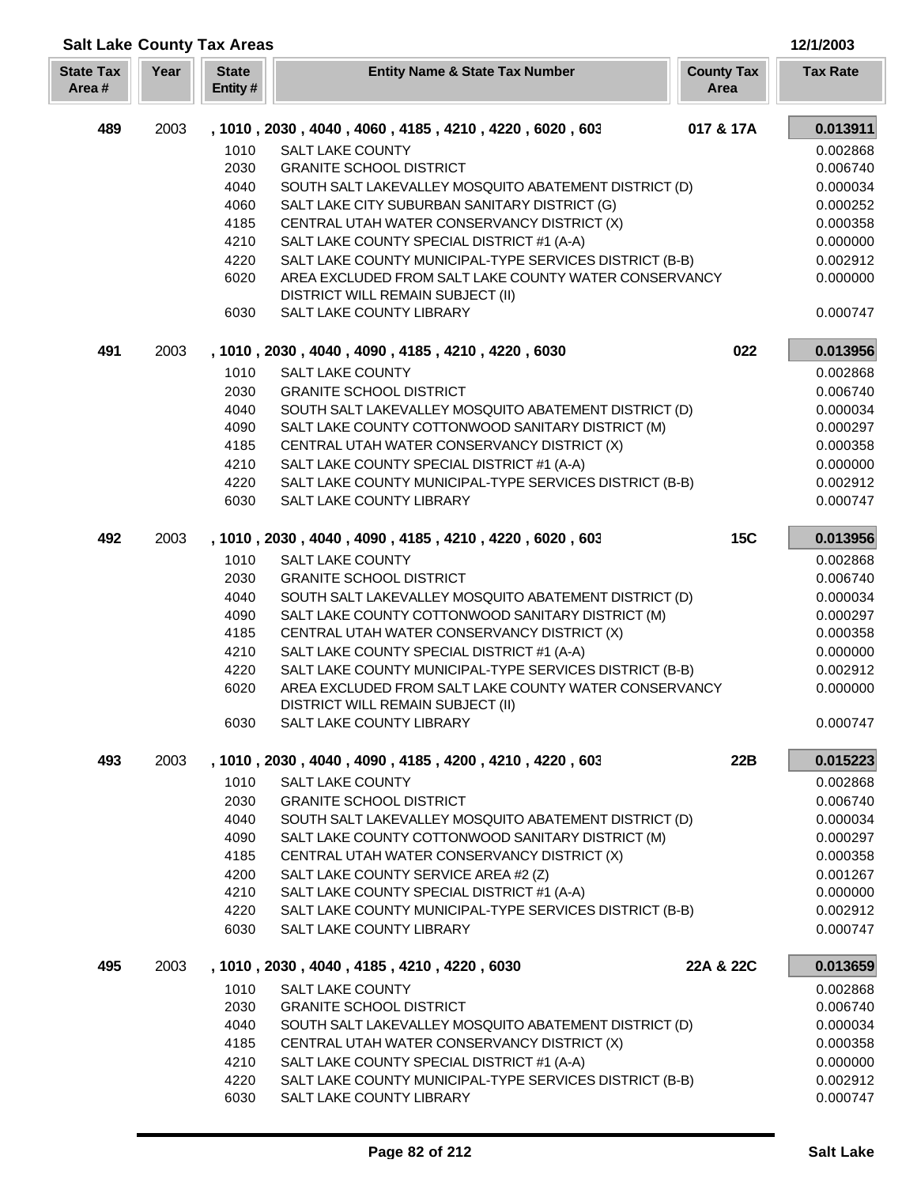| <b>Salt Lake County Tax Areas</b> |      |                         |                                                               |                           | 12/1/2003       |
|-----------------------------------|------|-------------------------|---------------------------------------------------------------|---------------------------|-----------------|
| <b>State Tax</b><br>Area#         | Year | <b>State</b><br>Entity# | <b>Entity Name &amp; State Tax Number</b>                     | <b>County Tax</b><br>Area | <b>Tax Rate</b> |
| 489                               | 2003 |                         | , 1010, 2030, 4040, 4060, 4185, 4210, 4220, 6020, 603         | 017 & 17A                 | 0.013911        |
|                                   |      | 1010                    | <b>SALT LAKE COUNTY</b>                                       |                           | 0.002868        |
|                                   |      | 2030                    | <b>GRANITE SCHOOL DISTRICT</b>                                |                           | 0.006740        |
|                                   |      | 4040                    | SOUTH SALT LAKEVALLEY MOSQUITO ABATEMENT DISTRICT (D)         |                           | 0.000034        |
|                                   |      | 4060                    | SALT LAKE CITY SUBURBAN SANITARY DISTRICT (G)                 |                           | 0.000252        |
|                                   |      | 4185                    | CENTRAL UTAH WATER CONSERVANCY DISTRICT (X)                   |                           | 0.000358        |
|                                   |      | 4210                    | SALT LAKE COUNTY SPECIAL DISTRICT #1 (A-A)                    |                           | 0.000000        |
|                                   |      | 4220                    | SALT LAKE COUNTY MUNICIPAL-TYPE SERVICES DISTRICT (B-B)       |                           | 0.002912        |
|                                   |      | 6020                    | AREA EXCLUDED FROM SALT LAKE COUNTY WATER CONSERVANCY         |                           | 0.000000        |
|                                   |      | 6030                    | DISTRICT WILL REMAIN SUBJECT (II)<br>SALT LAKE COUNTY LIBRARY |                           | 0.000747        |
| 491                               | 2003 |                         | , 1010, 2030, 4040, 4090, 4185, 4210, 4220, 6030              | 022                       | 0.013956        |
|                                   |      | 1010                    | <b>SALT LAKE COUNTY</b>                                       |                           | 0.002868        |
|                                   |      | 2030                    | <b>GRANITE SCHOOL DISTRICT</b>                                |                           | 0.006740        |
|                                   |      | 4040                    | SOUTH SALT LAKEVALLEY MOSQUITO ABATEMENT DISTRICT (D)         |                           | 0.000034        |
|                                   |      | 4090                    | SALT LAKE COUNTY COTTONWOOD SANITARY DISTRICT (M)             |                           | 0.000297        |
|                                   |      | 4185                    | CENTRAL UTAH WATER CONSERVANCY DISTRICT (X)                   |                           | 0.000358        |
|                                   |      | 4210                    | SALT LAKE COUNTY SPECIAL DISTRICT #1 (A-A)                    |                           | 0.000000        |
|                                   |      | 4220                    | SALT LAKE COUNTY MUNICIPAL-TYPE SERVICES DISTRICT (B-B)       |                           | 0.002912        |
|                                   |      | 6030                    | SALT LAKE COUNTY LIBRARY                                      |                           | 0.000747        |
| 492                               | 2003 |                         | , 1010, 2030, 4040, 4090, 4185, 4210, 4220, 6020, 603         | <b>15C</b>                | 0.013956        |
|                                   |      | 1010                    | <b>SALT LAKE COUNTY</b>                                       |                           | 0.002868        |
|                                   |      | 2030                    | <b>GRANITE SCHOOL DISTRICT</b>                                |                           | 0.006740        |
|                                   |      | 4040                    | SOUTH SALT LAKEVALLEY MOSQUITO ABATEMENT DISTRICT (D)         |                           | 0.000034        |
|                                   |      | 4090                    | SALT LAKE COUNTY COTTONWOOD SANITARY DISTRICT (M)             |                           | 0.000297        |
|                                   |      | 4185                    | CENTRAL UTAH WATER CONSERVANCY DISTRICT (X)                   |                           | 0.000358        |
|                                   |      | 4210                    | SALT LAKE COUNTY SPECIAL DISTRICT #1 (A-A)                    |                           | 0.000000        |
|                                   |      | 4220                    | SALT LAKE COUNTY MUNICIPAL-TYPE SERVICES DISTRICT (B-B)       |                           | 0.002912        |
|                                   |      | 6020                    | AREA EXCLUDED FROM SALT LAKE COUNTY WATER CONSERVANCY         |                           | 0.000000        |
|                                   |      | 6030                    | DISTRICT WILL REMAIN SUBJECT (II)<br>SALT LAKE COUNTY LIBRARY |                           | 0.000747        |
| 493                               | 2003 |                         | , 1010, 2030, 4040, 4090, 4185, 4200, 4210, 4220, 603         | 22B                       | 0.015223        |
|                                   |      | 1010                    | <b>SALT LAKE COUNTY</b>                                       |                           | 0.002868        |
|                                   |      | 2030                    | <b>GRANITE SCHOOL DISTRICT</b>                                |                           | 0.006740        |
|                                   |      | 4040                    | SOUTH SALT LAKEVALLEY MOSQUITO ABATEMENT DISTRICT (D)         |                           | 0.000034        |
|                                   |      | 4090                    | SALT LAKE COUNTY COTTONWOOD SANITARY DISTRICT (M)             |                           | 0.000297        |
|                                   |      | 4185                    | CENTRAL UTAH WATER CONSERVANCY DISTRICT (X)                   |                           | 0.000358        |
|                                   |      | 4200                    | SALT LAKE COUNTY SERVICE AREA #2 (Z)                          |                           | 0.001267        |
|                                   |      | 4210                    | SALT LAKE COUNTY SPECIAL DISTRICT #1 (A-A)                    |                           | 0.000000        |
|                                   |      | 4220                    | SALT LAKE COUNTY MUNICIPAL-TYPE SERVICES DISTRICT (B-B)       |                           | 0.002912        |
|                                   |      | 6030                    | SALT LAKE COUNTY LIBRARY                                      |                           | 0.000747        |
| 495                               | 2003 |                         | , 1010, 2030, 4040, 4185, 4210, 4220, 6030                    | 22A & 22C                 | 0.013659        |
|                                   |      | 1010                    | <b>SALT LAKE COUNTY</b>                                       |                           | 0.002868        |
|                                   |      | 2030                    | <b>GRANITE SCHOOL DISTRICT</b>                                |                           | 0.006740        |
|                                   |      | 4040                    | SOUTH SALT LAKEVALLEY MOSQUITO ABATEMENT DISTRICT (D)         |                           | 0.000034        |
|                                   |      | 4185                    | CENTRAL UTAH WATER CONSERVANCY DISTRICT (X)                   |                           | 0.000358        |
|                                   |      | 4210                    | SALT LAKE COUNTY SPECIAL DISTRICT #1 (A-A)                    |                           | 0.000000        |
|                                   |      | 4220                    | SALT LAKE COUNTY MUNICIPAL-TYPE SERVICES DISTRICT (B-B)       |                           | 0.002912        |
|                                   |      | 6030                    | SALT LAKE COUNTY LIBRARY                                      |                           | 0.000747        |

Γ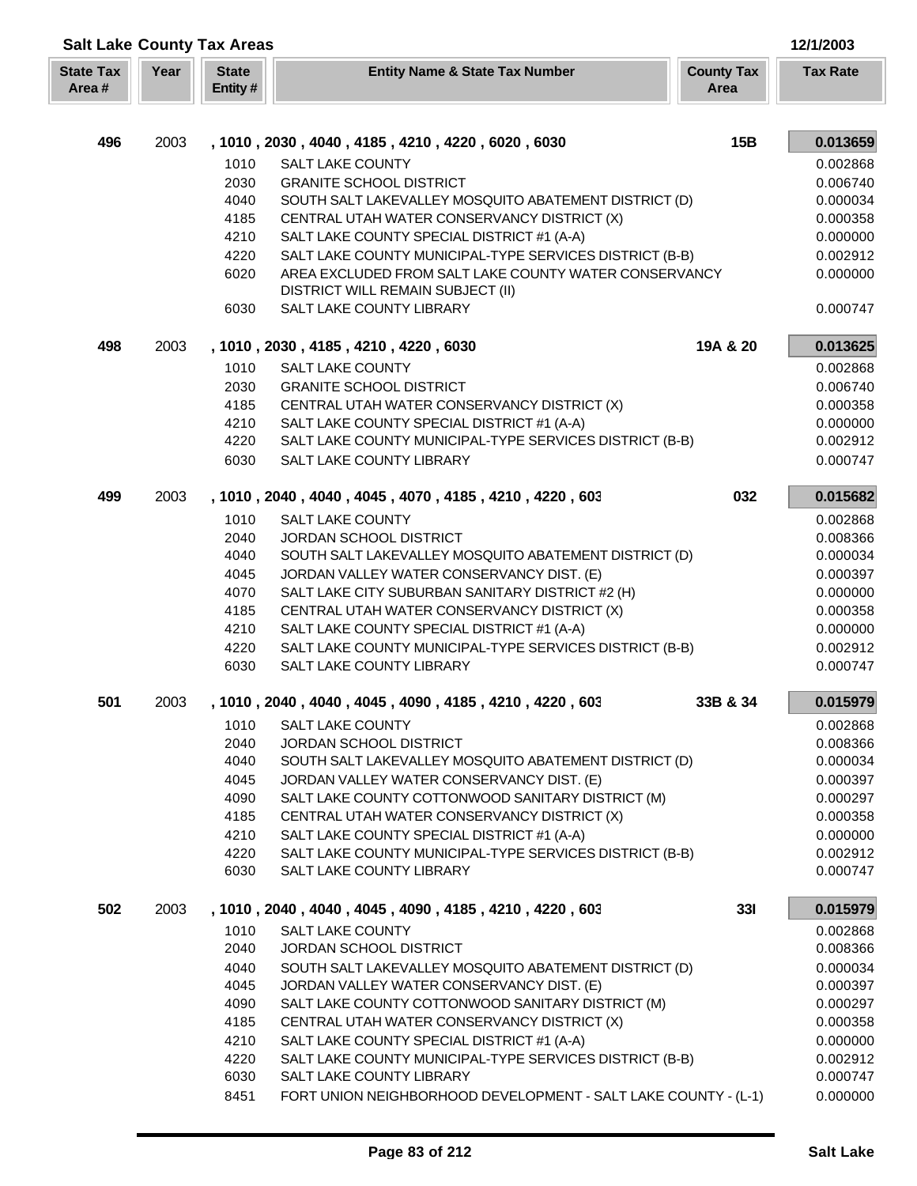| <b>Salt Lake County Tax Areas</b> |      |                         |                                                                                                    |                           | 12/1/2003            |
|-----------------------------------|------|-------------------------|----------------------------------------------------------------------------------------------------|---------------------------|----------------------|
| <b>State Tax</b><br>Area#         | Year | <b>State</b><br>Entity# | <b>Entity Name &amp; State Tax Number</b>                                                          | <b>County Tax</b><br>Area | <b>Tax Rate</b>      |
|                                   |      |                         |                                                                                                    |                           |                      |
| 496                               | 2003 |                         | , 1010, 2030, 4040, 4185, 4210, 4220, 6020, 6030                                                   | 15B                       | 0.013659             |
|                                   |      | 1010                    | <b>SALT LAKE COUNTY</b>                                                                            |                           | 0.002868             |
|                                   |      | 2030                    | <b>GRANITE SCHOOL DISTRICT</b>                                                                     |                           | 0.006740             |
|                                   |      | 4040                    | SOUTH SALT LAKEVALLEY MOSQUITO ABATEMENT DISTRICT (D)                                              |                           | 0.000034             |
|                                   |      | 4185<br>4210            | CENTRAL UTAH WATER CONSERVANCY DISTRICT (X)<br>SALT LAKE COUNTY SPECIAL DISTRICT #1 (A-A)          |                           | 0.000358             |
|                                   |      | 4220                    | SALT LAKE COUNTY MUNICIPAL-TYPE SERVICES DISTRICT (B-B)                                            |                           | 0.000000<br>0.002912 |
|                                   |      | 6020                    | AREA EXCLUDED FROM SALT LAKE COUNTY WATER CONSERVANCY                                              |                           | 0.000000             |
|                                   |      |                         | DISTRICT WILL REMAIN SUBJECT (II)                                                                  |                           |                      |
|                                   |      | 6030                    | SALT LAKE COUNTY LIBRARY                                                                           |                           | 0.000747             |
| 498                               | 2003 |                         | , 1010, 2030, 4185, 4210, 4220, 6030                                                               | 19A & 20                  | 0.013625             |
|                                   |      | 1010                    | <b>SALT LAKE COUNTY</b>                                                                            |                           | 0.002868             |
|                                   |      | 2030                    | <b>GRANITE SCHOOL DISTRICT</b>                                                                     |                           | 0.006740             |
|                                   |      | 4185                    | CENTRAL UTAH WATER CONSERVANCY DISTRICT (X)                                                        |                           | 0.000358             |
|                                   |      | 4210                    | SALT LAKE COUNTY SPECIAL DISTRICT #1 (A-A)                                                         |                           | 0.000000             |
|                                   |      | 4220                    | SALT LAKE COUNTY MUNICIPAL-TYPE SERVICES DISTRICT (B-B)                                            |                           | 0.002912             |
|                                   |      | 6030                    | SALT LAKE COUNTY LIBRARY                                                                           |                           | 0.000747             |
| 499                               | 2003 |                         | , 1010, 2040, 4040, 4045, 4070, 4185, 4210, 4220, 603                                              | 032                       | 0.015682             |
|                                   |      | 1010                    | <b>SALT LAKE COUNTY</b>                                                                            |                           | 0.002868             |
|                                   |      | 2040                    | JORDAN SCHOOL DISTRICT                                                                             |                           | 0.008366             |
|                                   |      | 4040                    | SOUTH SALT LAKEVALLEY MOSQUITO ABATEMENT DISTRICT (D)                                              |                           | 0.000034             |
|                                   |      | 4045                    | JORDAN VALLEY WATER CONSERVANCY DIST. (E)                                                          |                           | 0.000397             |
|                                   |      | 4070                    | SALT LAKE CITY SUBURBAN SANITARY DISTRICT #2 (H)                                                   |                           | 0.000000             |
|                                   |      | 4185                    | CENTRAL UTAH WATER CONSERVANCY DISTRICT (X)                                                        |                           | 0.000358             |
|                                   |      | 4210                    | SALT LAKE COUNTY SPECIAL DISTRICT #1 (A-A)                                                         |                           | 0.000000             |
|                                   |      | 4220                    | SALT LAKE COUNTY MUNICIPAL-TYPE SERVICES DISTRICT (B-B)                                            |                           | 0.002912             |
|                                   |      | 6030                    | SALT LAKE COUNTY LIBRARY                                                                           |                           | 0.000747             |
| 501                               | 2003 |                         | 1010, 2040, 4040, 4045, 4090, 4185, 4210, 4220, 603                                                | 33B & 34                  | 0.015979             |
|                                   |      | 1010                    | SALT LAKE COUNTY                                                                                   |                           | 0.002868             |
|                                   |      | 2040                    | JORDAN SCHOOL DISTRICT                                                                             |                           | 0.008366             |
|                                   |      | 4040                    | SOUTH SALT LAKEVALLEY MOSQUITO ABATEMENT DISTRICT (D)                                              |                           | 0.000034             |
|                                   |      | 4045                    | JORDAN VALLEY WATER CONSERVANCY DIST. (E)                                                          |                           | 0.000397             |
|                                   |      | 4090                    | SALT LAKE COUNTY COTTONWOOD SANITARY DISTRICT (M)                                                  |                           | 0.000297             |
|                                   |      | 4185                    | CENTRAL UTAH WATER CONSERVANCY DISTRICT (X)                                                        |                           | 0.000358             |
|                                   |      | 4210                    | SALT LAKE COUNTY SPECIAL DISTRICT #1 (A-A)                                                         |                           | 0.000000             |
|                                   |      | 4220<br>6030            | SALT LAKE COUNTY MUNICIPAL-TYPE SERVICES DISTRICT (B-B)<br>SALT LAKE COUNTY LIBRARY                |                           | 0.002912<br>0.000747 |
|                                   |      |                         |                                                                                                    |                           |                      |
| 502                               | 2003 |                         | , 1010 , 2040 , 4040 , 4045 , 4090 , 4185 , 4210 , 4220 , 603                                      | <b>331</b>                | 0.015979             |
|                                   |      | 1010                    | <b>SALT LAKE COUNTY</b>                                                                            |                           | 0.002868             |
|                                   |      | 2040                    | JORDAN SCHOOL DISTRICT                                                                             |                           | 0.008366             |
|                                   |      | 4040<br>4045            | SOUTH SALT LAKEVALLEY MOSQUITO ABATEMENT DISTRICT (D)<br>JORDAN VALLEY WATER CONSERVANCY DIST. (E) |                           | 0.000034<br>0.000397 |
|                                   |      | 4090                    | SALT LAKE COUNTY COTTONWOOD SANITARY DISTRICT (M)                                                  |                           | 0.000297             |
|                                   |      | 4185                    | CENTRAL UTAH WATER CONSERVANCY DISTRICT (X)                                                        |                           | 0.000358             |
|                                   |      | 4210                    | SALT LAKE COUNTY SPECIAL DISTRICT #1 (A-A)                                                         |                           | 0.000000             |
|                                   |      | 4220                    | SALT LAKE COUNTY MUNICIPAL-TYPE SERVICES DISTRICT (B-B)                                            |                           | 0.002912             |
|                                   |      | 6030                    | SALT LAKE COUNTY LIBRARY                                                                           |                           | 0.000747             |
|                                   |      | 8451                    | FORT UNION NEIGHBORHOOD DEVELOPMENT - SALT LAKE COUNTY - (L-1)                                     |                           | 0.000000             |
|                                   |      |                         |                                                                                                    |                           |                      |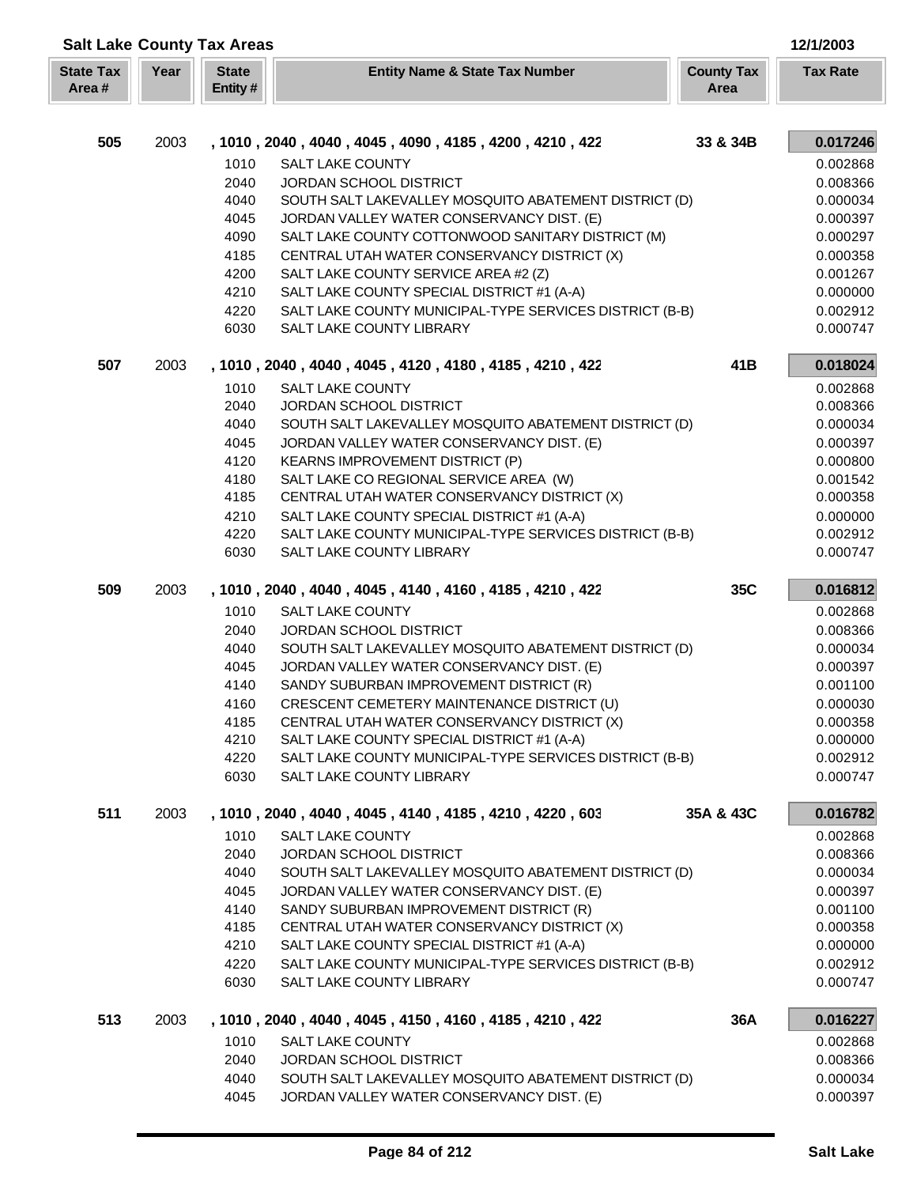| <b>Salt Lake County Tax Areas</b> |      |                         |                                                               |                           | 12/1/2003       |
|-----------------------------------|------|-------------------------|---------------------------------------------------------------|---------------------------|-----------------|
| <b>State Tax</b><br>Area#         | Year | <b>State</b><br>Entity# | <b>Entity Name &amp; State Tax Number</b>                     | <b>County Tax</b><br>Area | <b>Tax Rate</b> |
|                                   |      |                         |                                                               |                           |                 |
| 505                               | 2003 |                         | , 1010 , 2040 , 4040 , 4045 , 4090 , 4185 , 4200 , 4210 , 422 | 33 & 34B                  | 0.017246        |
|                                   |      | 1010                    | <b>SALT LAKE COUNTY</b>                                       |                           | 0.002868        |
|                                   |      | 2040                    | JORDAN SCHOOL DISTRICT                                        |                           | 0.008366        |
|                                   |      | 4040                    | SOUTH SALT LAKEVALLEY MOSQUITO ABATEMENT DISTRICT (D)         |                           | 0.000034        |
|                                   |      | 4045                    | JORDAN VALLEY WATER CONSERVANCY DIST. (E)                     |                           | 0.000397        |
|                                   |      | 4090                    | SALT LAKE COUNTY COTTONWOOD SANITARY DISTRICT (M)             |                           | 0.000297        |
|                                   |      | 4185                    | CENTRAL UTAH WATER CONSERVANCY DISTRICT (X)                   |                           | 0.000358        |
|                                   |      | 4200                    | SALT LAKE COUNTY SERVICE AREA #2 (Z)                          |                           | 0.001267        |
|                                   |      | 4210                    | SALT LAKE COUNTY SPECIAL DISTRICT #1 (A-A)                    |                           | 0.000000        |
|                                   |      | 4220                    | SALT LAKE COUNTY MUNICIPAL-TYPE SERVICES DISTRICT (B-B)       |                           | 0.002912        |
|                                   |      | 6030                    | SALT LAKE COUNTY LIBRARY                                      |                           | 0.000747        |
| 507                               | 2003 |                         | , 1010, 2040, 4040, 4045, 4120, 4180, 4185, 4210, 422         | 41B                       | 0.018024        |
|                                   |      | 1010                    | <b>SALT LAKE COUNTY</b>                                       |                           | 0.002868        |
|                                   |      | 2040                    | JORDAN SCHOOL DISTRICT                                        |                           | 0.008366        |
|                                   |      | 4040                    | SOUTH SALT LAKEVALLEY MOSQUITO ABATEMENT DISTRICT (D)         |                           | 0.000034        |
|                                   |      | 4045                    | JORDAN VALLEY WATER CONSERVANCY DIST. (E)                     |                           | 0.000397        |
|                                   |      | 4120                    | KEARNS IMPROVEMENT DISTRICT (P)                               |                           | 0.000800        |
|                                   |      | 4180                    | SALT LAKE CO REGIONAL SERVICE AREA (W)                        |                           | 0.001542        |
|                                   |      | 4185                    | CENTRAL UTAH WATER CONSERVANCY DISTRICT (X)                   |                           | 0.000358        |
|                                   |      | 4210                    | SALT LAKE COUNTY SPECIAL DISTRICT #1 (A-A)                    |                           | 0.000000        |
|                                   |      | 4220                    | SALT LAKE COUNTY MUNICIPAL-TYPE SERVICES DISTRICT (B-B)       |                           | 0.002912        |
|                                   |      | 6030                    | SALT LAKE COUNTY LIBRARY                                      |                           | 0.000747        |
| 509                               | 2003 |                         | , 1010, 2040, 4040, 4045, 4140, 4160, 4185, 4210, 422         | 35C                       | 0.016812        |
|                                   |      | 1010                    | <b>SALT LAKE COUNTY</b>                                       |                           | 0.002868        |
|                                   |      | 2040                    | JORDAN SCHOOL DISTRICT                                        |                           | 0.008366        |
|                                   |      | 4040                    | SOUTH SALT LAKEVALLEY MOSQUITO ABATEMENT DISTRICT (D)         |                           | 0.000034        |
|                                   |      | 4045                    | JORDAN VALLEY WATER CONSERVANCY DIST. (E)                     |                           | 0.000397        |
|                                   |      | 4140                    | SANDY SUBURBAN IMPROVEMENT DISTRICT (R)                       |                           | 0.001100        |
|                                   |      | 4160                    | CRESCENT CEMETERY MAINTENANCE DISTRICT (U)                    |                           | 0.000030        |
|                                   |      | 4185                    | CENTRAL UTAH WATER CONSERVANCY DISTRICT (X)                   |                           | 0.000358        |
|                                   |      | 4210                    | SALT LAKE COUNTY SPECIAL DISTRICT #1 (A-A)                    |                           | 0.000000        |
|                                   |      | 4220                    | SALT LAKE COUNTY MUNICIPAL-TYPE SERVICES DISTRICT (B-B)       |                           | 0.002912        |
|                                   |      | 6030                    | <b>SALT LAKE COUNTY LIBRARY</b>                               |                           | 0.000747        |
| 511                               | 2003 |                         | , 1010, 2040, 4040, 4045, 4140, 4185, 4210, 4220, 603         | 35A & 43C                 | 0.016782        |
|                                   |      | 1010                    | <b>SALT LAKE COUNTY</b>                                       |                           | 0.002868        |
|                                   |      | 2040                    | JORDAN SCHOOL DISTRICT                                        |                           | 0.008366        |
|                                   |      | 4040                    | SOUTH SALT LAKEVALLEY MOSQUITO ABATEMENT DISTRICT (D)         |                           | 0.000034        |
|                                   |      | 4045                    | JORDAN VALLEY WATER CONSERVANCY DIST. (E)                     |                           | 0.000397        |
|                                   |      | 4140                    | SANDY SUBURBAN IMPROVEMENT DISTRICT (R)                       |                           | 0.001100        |
|                                   |      | 4185                    | CENTRAL UTAH WATER CONSERVANCY DISTRICT (X)                   |                           | 0.000358        |
|                                   |      | 4210                    | SALT LAKE COUNTY SPECIAL DISTRICT #1 (A-A)                    |                           | 0.000000        |
|                                   |      | 4220                    | SALT LAKE COUNTY MUNICIPAL-TYPE SERVICES DISTRICT (B-B)       |                           | 0.002912        |
|                                   |      | 6030                    | SALT LAKE COUNTY LIBRARY                                      |                           | 0.000747        |
| 513                               | 2003 |                         | , 1010, 2040, 4040, 4045, 4150, 4160, 4185, 4210, 422         | 36A                       | 0.016227        |
|                                   |      | 1010                    | <b>SALT LAKE COUNTY</b>                                       |                           | 0.002868        |
|                                   |      | 2040                    | JORDAN SCHOOL DISTRICT                                        |                           | 0.008366        |
|                                   |      | 4040                    | SOUTH SALT LAKEVALLEY MOSQUITO ABATEMENT DISTRICT (D)         |                           | 0.000034        |
|                                   |      | 4045                    | JORDAN VALLEY WATER CONSERVANCY DIST. (E)                     |                           | 0.000397        |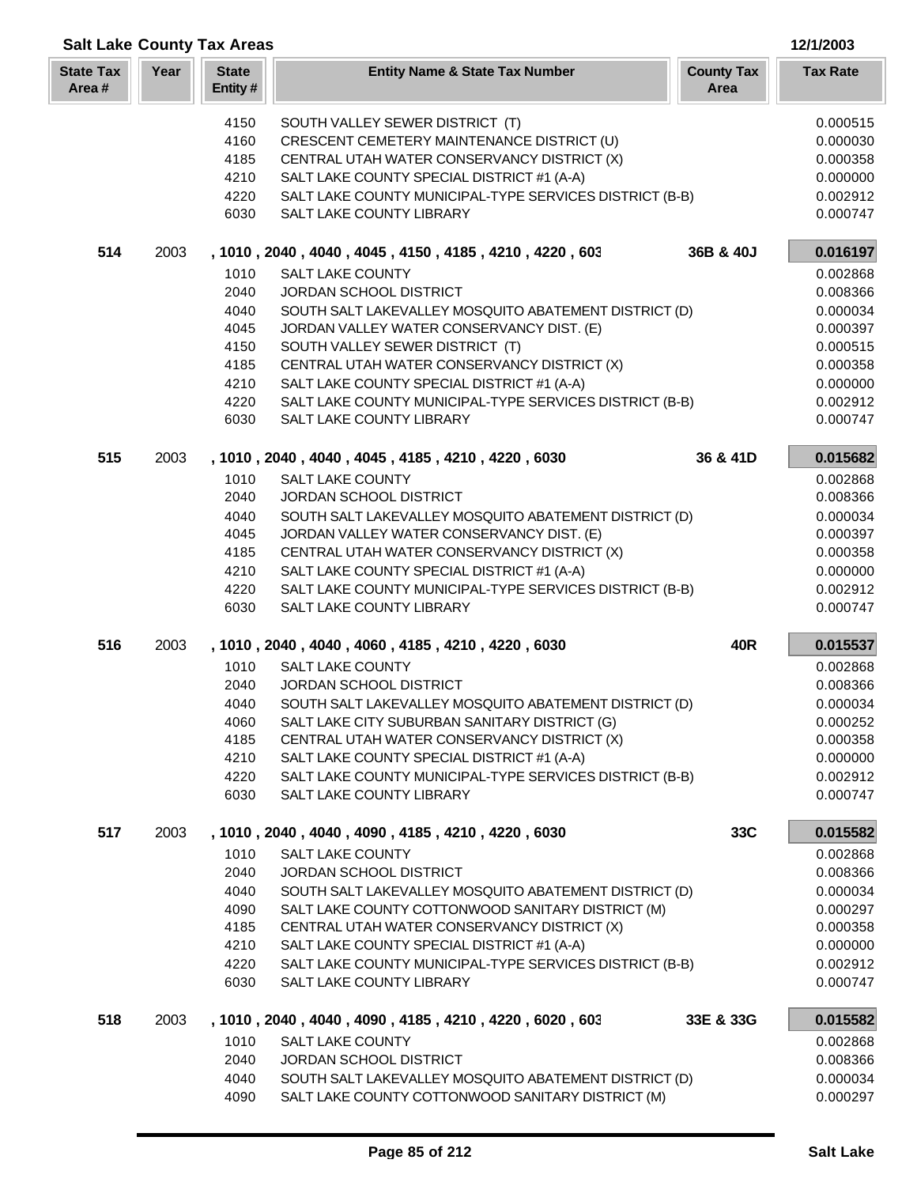| <b>Salt Lake County Tax Areas</b><br>12/1/2003 |      |                         |                                                                                                        |                           |                      |
|------------------------------------------------|------|-------------------------|--------------------------------------------------------------------------------------------------------|---------------------------|----------------------|
| <b>State Tax</b><br>Area#                      | Year | <b>State</b><br>Entity# | <b>Entity Name &amp; State Tax Number</b>                                                              | <b>County Tax</b><br>Area | <b>Tax Rate</b>      |
|                                                |      | 4150                    | SOUTH VALLEY SEWER DISTRICT (T)                                                                        |                           | 0.000515             |
|                                                |      | 4160                    | CRESCENT CEMETERY MAINTENANCE DISTRICT (U)                                                             |                           | 0.000030             |
|                                                |      | 4185                    | CENTRAL UTAH WATER CONSERVANCY DISTRICT (X)                                                            |                           | 0.000358             |
|                                                |      | 4210                    | SALT LAKE COUNTY SPECIAL DISTRICT #1 (A-A)                                                             |                           | 0.000000             |
|                                                |      | 4220                    | SALT LAKE COUNTY MUNICIPAL-TYPE SERVICES DISTRICT (B-B)                                                |                           | 0.002912             |
|                                                |      | 6030                    | SALT LAKE COUNTY LIBRARY                                                                               |                           | 0.000747             |
| 514                                            | 2003 |                         | , 1010, 2040, 4040, 4045, 4150, 4185, 4210, 4220, 603                                                  | 36B & 40J                 | 0.016197             |
|                                                |      | 1010<br>2040            | <b>SALT LAKE COUNTY</b><br>JORDAN SCHOOL DISTRICT                                                      |                           | 0.002868<br>0.008366 |
|                                                |      | 4040                    | SOUTH SALT LAKEVALLEY MOSQUITO ABATEMENT DISTRICT (D)                                                  |                           | 0.000034             |
|                                                |      | 4045                    | JORDAN VALLEY WATER CONSERVANCY DIST. (E)                                                              |                           | 0.000397             |
|                                                |      | 4150                    | SOUTH VALLEY SEWER DISTRICT (T)                                                                        |                           | 0.000515             |
|                                                |      | 4185                    | CENTRAL UTAH WATER CONSERVANCY DISTRICT (X)                                                            |                           | 0.000358             |
|                                                |      | 4210                    | SALT LAKE COUNTY SPECIAL DISTRICT #1 (A-A)                                                             |                           | 0.000000             |
|                                                |      | 4220                    | SALT LAKE COUNTY MUNICIPAL-TYPE SERVICES DISTRICT (B-B)                                                |                           | 0.002912             |
|                                                |      | 6030                    | SALT LAKE COUNTY LIBRARY                                                                               |                           | 0.000747             |
| 515                                            | 2003 |                         | , 1010, 2040, 4040, 4045, 4185, 4210, 4220, 6030                                                       | 36 & 41D                  | 0.015682             |
|                                                |      | 1010                    | <b>SALT LAKE COUNTY</b>                                                                                |                           | 0.002868             |
|                                                |      | 2040<br>4040            | JORDAN SCHOOL DISTRICT<br>SOUTH SALT LAKEVALLEY MOSQUITO ABATEMENT DISTRICT (D)                        |                           | 0.008366<br>0.000034 |
|                                                |      | 4045                    | JORDAN VALLEY WATER CONSERVANCY DIST. (E)                                                              |                           | 0.000397             |
|                                                |      | 4185                    | CENTRAL UTAH WATER CONSERVANCY DISTRICT (X)                                                            |                           | 0.000358             |
|                                                |      | 4210                    | SALT LAKE COUNTY SPECIAL DISTRICT #1 (A-A)                                                             |                           | 0.000000             |
|                                                |      | 4220                    | SALT LAKE COUNTY MUNICIPAL-TYPE SERVICES DISTRICT (B-B)                                                |                           | 0.002912             |
|                                                |      | 6030                    | SALT LAKE COUNTY LIBRARY                                                                               |                           | 0.000747             |
| 516                                            | 2003 |                         | , 1010, 2040, 4040, 4060, 4185, 4210, 4220, 6030                                                       | 40R                       | 0.015537             |
|                                                |      | 1010                    | <b>SALT LAKE COUNTY</b>                                                                                |                           | 0.002868             |
|                                                |      | 2040                    | JORDAN SCHOOL DISTRICT                                                                                 |                           | 0.008366             |
|                                                |      | 4040<br>4060            | SOUTH SALT LAKEVALLEY MOSQUITO ABATEMENT DISTRICT (D)<br>SALT LAKE CITY SUBURBAN SANITARY DISTRICT (G) |                           | 0.000034<br>0.000252 |
|                                                |      | 4185                    | CENTRAL UTAH WATER CONSERVANCY DISTRICT (X)                                                            |                           | 0.000358             |
|                                                |      | 4210                    | SALT LAKE COUNTY SPECIAL DISTRICT #1 (A-A)                                                             |                           | 0.000000             |
|                                                |      | 4220                    | SALT LAKE COUNTY MUNICIPAL-TYPE SERVICES DISTRICT (B-B)                                                |                           | 0.002912             |
|                                                |      | 6030                    | SALT LAKE COUNTY LIBRARY                                                                               |                           | 0.000747             |
| 517                                            | 2003 |                         | , 1010, 2040, 4040, 4090, 4185, 4210, 4220, 6030                                                       | 33C                       | 0.015582             |
|                                                |      | 1010                    | <b>SALT LAKE COUNTY</b>                                                                                |                           | 0.002868             |
|                                                |      | 2040                    | JORDAN SCHOOL DISTRICT                                                                                 |                           | 0.008366             |
|                                                |      | 4040                    | SOUTH SALT LAKEVALLEY MOSQUITO ABATEMENT DISTRICT (D)                                                  |                           | 0.000034             |
|                                                |      | 4090<br>4185            | SALT LAKE COUNTY COTTONWOOD SANITARY DISTRICT (M)<br>CENTRAL UTAH WATER CONSERVANCY DISTRICT (X)       |                           | 0.000297<br>0.000358 |
|                                                |      | 4210                    | SALT LAKE COUNTY SPECIAL DISTRICT #1 (A-A)                                                             |                           | 0.000000             |
|                                                |      | 4220                    | SALT LAKE COUNTY MUNICIPAL-TYPE SERVICES DISTRICT (B-B)                                                |                           | 0.002912             |
|                                                |      | 6030                    | SALT LAKE COUNTY LIBRARY                                                                               |                           | 0.000747             |
| 518                                            | 2003 |                         | , 1010, 2040, 4040, 4090, 4185, 4210, 4220, 6020, 603                                                  | 33E & 33G                 | 0.015582             |
|                                                |      | 1010                    | <b>SALT LAKE COUNTY</b>                                                                                |                           | 0.002868             |
|                                                |      | 2040                    | JORDAN SCHOOL DISTRICT                                                                                 |                           | 0.008366             |
|                                                |      | 4040                    | SOUTH SALT LAKEVALLEY MOSQUITO ABATEMENT DISTRICT (D)                                                  |                           | 0.000034             |
|                                                |      | 4090                    | SALT LAKE COUNTY COTTONWOOD SANITARY DISTRICT (M)                                                      |                           | 0.000297             |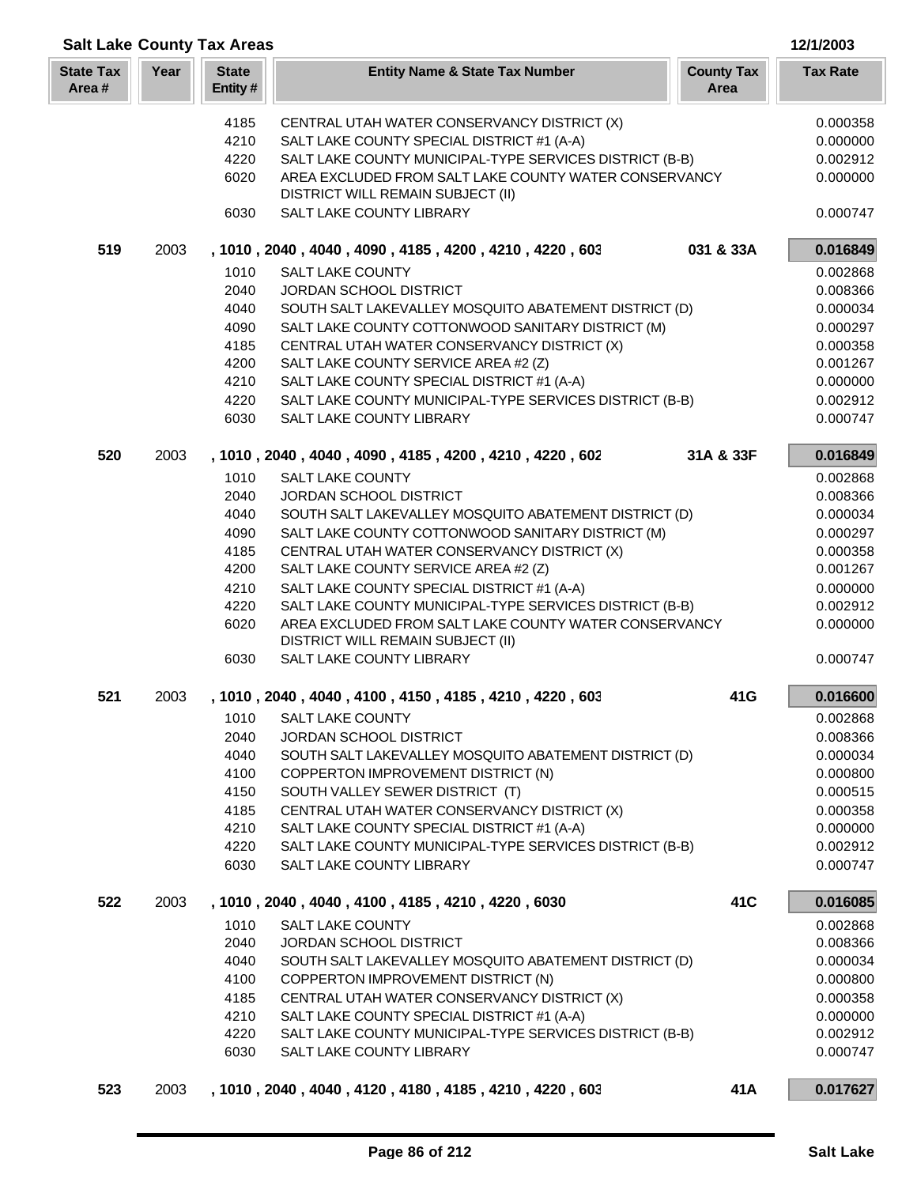| <b>Salt Lake County Tax Areas</b> |      |                         |                                                                                                       |                           | 12/1/2003            |
|-----------------------------------|------|-------------------------|-------------------------------------------------------------------------------------------------------|---------------------------|----------------------|
| <b>State Tax</b><br>Area#         | Year | <b>State</b><br>Entity# | <b>Entity Name &amp; State Tax Number</b>                                                             | <b>County Tax</b><br>Area | <b>Tax Rate</b>      |
|                                   |      | 4185                    | CENTRAL UTAH WATER CONSERVANCY DISTRICT (X)                                                           |                           | 0.000358             |
|                                   |      | 4210                    | SALT LAKE COUNTY SPECIAL DISTRICT #1 (A-A)                                                            |                           | 0.000000             |
|                                   |      | 4220                    | SALT LAKE COUNTY MUNICIPAL-TYPE SERVICES DISTRICT (B-B)                                               |                           | 0.002912             |
|                                   |      | 6020                    | AREA EXCLUDED FROM SALT LAKE COUNTY WATER CONSERVANCY<br>DISTRICT WILL REMAIN SUBJECT (II)            |                           | 0.000000             |
|                                   |      | 6030                    | SALT LAKE COUNTY LIBRARY                                                                              |                           | 0.000747             |
| 519                               | 2003 |                         | , 1010, 2040, 4040, 4090, 4185, 4200, 4210, 4220, 603                                                 | 031 & 33A                 | 0.016849             |
|                                   |      | 1010                    | <b>SALT LAKE COUNTY</b>                                                                               |                           | 0.002868             |
|                                   |      | 2040                    | JORDAN SCHOOL DISTRICT                                                                                |                           | 0.008366             |
|                                   |      | 4040                    | SOUTH SALT LAKEVALLEY MOSQUITO ABATEMENT DISTRICT (D)                                                 |                           | 0.000034             |
|                                   |      | 4090<br>4185            | SALT LAKE COUNTY COTTONWOOD SANITARY DISTRICT (M)<br>CENTRAL UTAH WATER CONSERVANCY DISTRICT (X)      |                           | 0.000297<br>0.000358 |
|                                   |      | 4200                    | SALT LAKE COUNTY SERVICE AREA #2 (Z)                                                                  |                           | 0.001267             |
|                                   |      | 4210                    | SALT LAKE COUNTY SPECIAL DISTRICT #1 (A-A)                                                            |                           | 0.000000             |
|                                   |      | 4220                    | SALT LAKE COUNTY MUNICIPAL-TYPE SERVICES DISTRICT (B-B)                                               |                           | 0.002912             |
|                                   |      | 6030                    | SALT LAKE COUNTY LIBRARY                                                                              |                           | 0.000747             |
| 520                               | 2003 |                         | , 1010, 2040, 4040, 4090, 4185, 4200, 4210, 4220, 602                                                 | 31A & 33F                 | 0.016849             |
|                                   |      | 1010                    | <b>SALT LAKE COUNTY</b>                                                                               |                           | 0.002868             |
|                                   |      | 2040                    | JORDAN SCHOOL DISTRICT                                                                                |                           | 0.008366             |
|                                   |      | 4040                    | SOUTH SALT LAKEVALLEY MOSQUITO ABATEMENT DISTRICT (D)                                                 |                           | 0.000034             |
|                                   |      | 4090                    | SALT LAKE COUNTY COTTONWOOD SANITARY DISTRICT (M)                                                     |                           | 0.000297             |
|                                   |      | 4185                    | CENTRAL UTAH WATER CONSERVANCY DISTRICT (X)                                                           |                           | 0.000358             |
|                                   |      | 4200                    | SALT LAKE COUNTY SERVICE AREA #2 (Z)                                                                  |                           | 0.001267             |
|                                   |      | 4210<br>4220            | SALT LAKE COUNTY SPECIAL DISTRICT #1 (A-A)<br>SALT LAKE COUNTY MUNICIPAL-TYPE SERVICES DISTRICT (B-B) |                           | 0.000000             |
|                                   |      | 6020                    | AREA EXCLUDED FROM SALT LAKE COUNTY WATER CONSERVANCY                                                 |                           | 0.002912<br>0.000000 |
|                                   |      |                         | DISTRICT WILL REMAIN SUBJECT (II)                                                                     |                           |                      |
|                                   |      | 6030                    | SALT LAKE COUNTY LIBRARY                                                                              |                           | 0.000747             |
| 521                               | 2003 |                         | , 1010, 2040, 4040, 4100, 4150, 4185, 4210, 4220, 603                                                 | 41G                       | 0.016600             |
|                                   |      | 1010                    | <b>SALT LAKE COUNTY</b>                                                                               |                           | 0.002868             |
|                                   |      | 2040                    | <b>JORDAN SCHOOL DISTRICT</b>                                                                         |                           | 0.008366             |
|                                   |      | 4040                    | SOUTH SALT LAKEVALLEY MOSQUITO ABATEMENT DISTRICT (D)                                                 |                           | 0.000034             |
|                                   |      | 4100                    | COPPERTON IMPROVEMENT DISTRICT (N)                                                                    |                           | 0.000800             |
|                                   |      | 4150                    | SOUTH VALLEY SEWER DISTRICT (T)                                                                       |                           | 0.000515             |
|                                   |      | 4185<br>4210            | CENTRAL UTAH WATER CONSERVANCY DISTRICT (X)<br>SALT LAKE COUNTY SPECIAL DISTRICT #1 (A-A)             |                           | 0.000358<br>0.000000 |
|                                   |      | 4220                    | SALT LAKE COUNTY MUNICIPAL-TYPE SERVICES DISTRICT (B-B)                                               |                           | 0.002912             |
|                                   |      | 6030                    | SALT LAKE COUNTY LIBRARY                                                                              |                           | 0.000747             |
| 522                               | 2003 |                         | , 1010, 2040, 4040, 4100, 4185, 4210, 4220, 6030                                                      | 41 <sub>C</sub>           | 0.016085             |
|                                   |      | 1010                    | <b>SALT LAKE COUNTY</b>                                                                               |                           | 0.002868             |
|                                   |      | 2040                    | JORDAN SCHOOL DISTRICT                                                                                |                           | 0.008366             |
|                                   |      | 4040                    | SOUTH SALT LAKEVALLEY MOSQUITO ABATEMENT DISTRICT (D)                                                 |                           | 0.000034             |
|                                   |      | 4100                    | COPPERTON IMPROVEMENT DISTRICT (N)                                                                    |                           | 0.000800             |
|                                   |      | 4185                    | CENTRAL UTAH WATER CONSERVANCY DISTRICT (X)                                                           |                           | 0.000358             |
|                                   |      | 4210                    | SALT LAKE COUNTY SPECIAL DISTRICT #1 (A-A)                                                            |                           | 0.000000             |
|                                   |      | 4220                    | SALT LAKE COUNTY MUNICIPAL-TYPE SERVICES DISTRICT (B-B)                                               |                           | 0.002912             |
|                                   |      | 6030                    | SALT LAKE COUNTY LIBRARY                                                                              |                           | 0.000747             |
| 523                               | 2003 |                         | , 1010, 2040, 4040, 4120, 4180, 4185, 4210, 4220, 603                                                 | 41A                       | 0.017627             |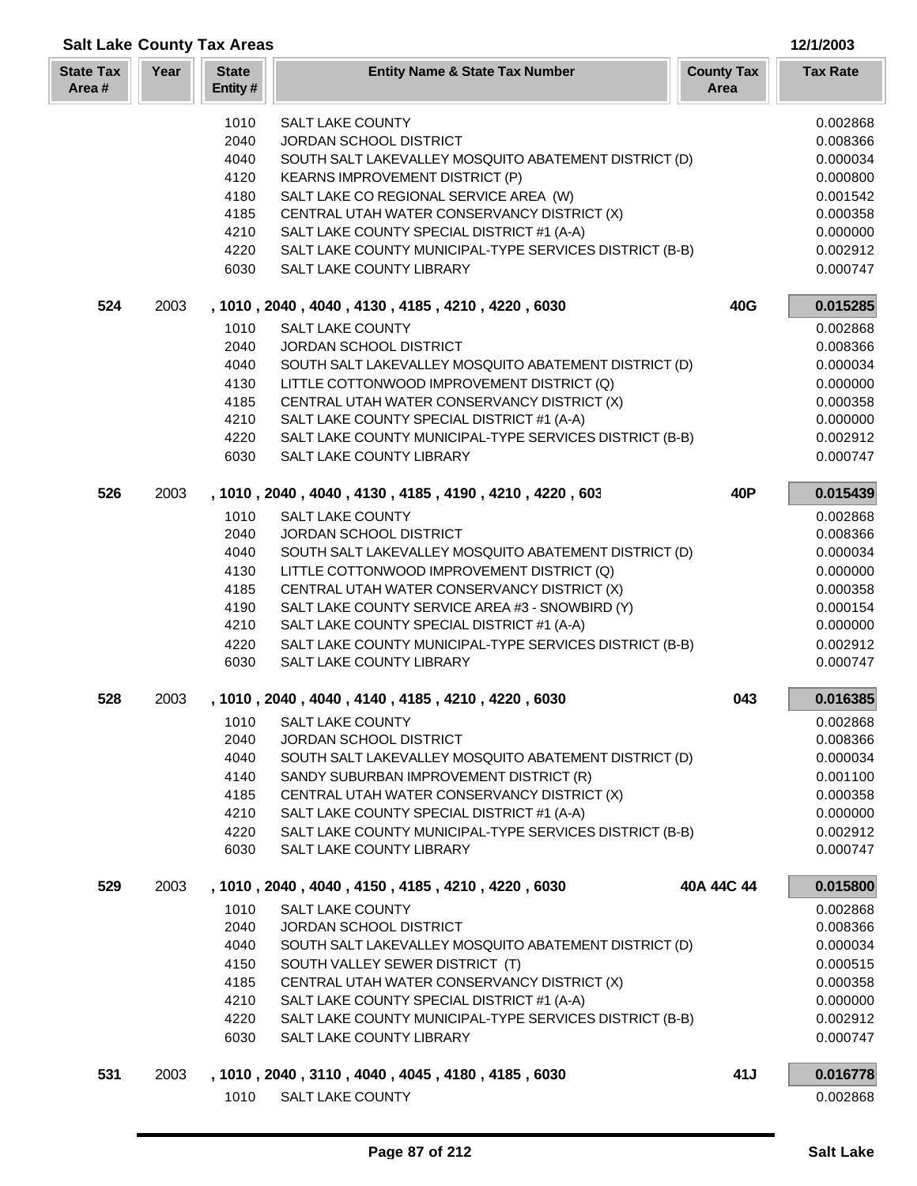|                           |      | <b>Salt Lake County Tax Areas</b> |                                                                                                |                           | 12/1/2003            |
|---------------------------|------|-----------------------------------|------------------------------------------------------------------------------------------------|---------------------------|----------------------|
| <b>State Tax</b><br>Area# | Year | <b>State</b><br>Entity#           | <b>Entity Name &amp; State Tax Number</b>                                                      | <b>County Tax</b><br>Area | <b>Tax Rate</b>      |
|                           |      | 1010                              | <b>SALT LAKE COUNTY</b>                                                                        |                           | 0.002868             |
|                           |      | 2040                              | JORDAN SCHOOL DISTRICT                                                                         |                           | 0.008366             |
|                           |      | 4040                              | SOUTH SALT LAKEVALLEY MOSQUITO ABATEMENT DISTRICT (D)                                          |                           | 0.000034             |
|                           |      | 4120                              | <b>KEARNS IMPROVEMENT DISTRICT (P)</b>                                                         |                           | 0.000800             |
|                           |      | 4180                              | SALT LAKE CO REGIONAL SERVICE AREA (W)                                                         |                           | 0.001542             |
|                           |      | 4185                              | CENTRAL UTAH WATER CONSERVANCY DISTRICT (X)                                                    |                           | 0.000358             |
|                           |      | 4210                              | SALT LAKE COUNTY SPECIAL DISTRICT #1 (A-A)                                                     |                           | 0.000000             |
|                           |      | 4220                              | SALT LAKE COUNTY MUNICIPAL-TYPE SERVICES DISTRICT (B-B)                                        |                           | 0.002912             |
|                           |      | 6030                              | SALT LAKE COUNTY LIBRARY                                                                       |                           | 0.000747             |
| 524                       | 2003 |                                   | , 1010, 2040, 4040, 4130, 4185, 4210, 4220, 6030                                               | 40G                       | 0.015285             |
|                           |      | 1010                              | <b>SALT LAKE COUNTY</b>                                                                        |                           | 0.002868             |
|                           |      | 2040                              | JORDAN SCHOOL DISTRICT                                                                         |                           | 0.008366             |
|                           |      | 4040                              | SOUTH SALT LAKEVALLEY MOSQUITO ABATEMENT DISTRICT (D)                                          |                           | 0.000034             |
|                           |      | 4130                              | LITTLE COTTONWOOD IMPROVEMENT DISTRICT (Q)                                                     |                           | 0.000000             |
|                           |      | 4185                              | CENTRAL UTAH WATER CONSERVANCY DISTRICT (X)                                                    |                           | 0.000358             |
|                           |      | 4210                              | SALT LAKE COUNTY SPECIAL DISTRICT #1 (A-A)                                                     |                           | 0.000000             |
|                           |      | 4220                              | SALT LAKE COUNTY MUNICIPAL-TYPE SERVICES DISTRICT (B-B)                                        |                           | 0.002912             |
|                           |      | 6030                              | SALT LAKE COUNTY LIBRARY                                                                       |                           | 0.000747             |
| 526                       | 2003 |                                   | , 1010, 2040, 4040, 4130, 4185, 4190, 4210, 4220, 603                                          | 40P                       | 0.015439             |
|                           |      | 1010                              | <b>SALT LAKE COUNTY</b>                                                                        |                           | 0.002868             |
|                           |      | 2040                              | JORDAN SCHOOL DISTRICT                                                                         |                           | 0.008366             |
|                           |      | 4040                              | SOUTH SALT LAKEVALLEY MOSQUITO ABATEMENT DISTRICT (D)                                          |                           | 0.000034             |
|                           |      | 4130                              | LITTLE COTTONWOOD IMPROVEMENT DISTRICT (Q)                                                     |                           | 0.000000             |
|                           |      | 4185<br>4190                      | CENTRAL UTAH WATER CONSERVANCY DISTRICT (X)<br>SALT LAKE COUNTY SERVICE AREA #3 - SNOWBIRD (Y) |                           | 0.000358<br>0.000154 |
|                           |      | 4210                              | SALT LAKE COUNTY SPECIAL DISTRICT #1 (A-A)                                                     |                           | 0.000000             |
|                           |      | 4220                              | SALT LAKE COUNTY MUNICIPAL-TYPE SERVICES DISTRICT (B-B)                                        |                           | 0.002912             |
|                           |      | 6030                              | SALT LAKE COUNTY LIBRARY                                                                       |                           | 0.000747             |
|                           |      |                                   |                                                                                                |                           |                      |
| 528                       | 2003 |                                   | , 1010, 2040, 4040, 4140, 4185, 4210, 4220, 6030                                               | 043                       | 0.016385             |
|                           |      | 1010                              | <b>SALT LAKE COUNTY</b>                                                                        |                           | 0.002868             |
|                           |      | 2040                              | JORDAN SCHOOL DISTRICT                                                                         |                           | 0.008366             |
|                           |      | 4040                              | SOUTH SALT LAKEVALLEY MOSQUITO ABATEMENT DISTRICT (D)                                          |                           | 0.000034             |
|                           |      | 4140<br>4185                      | SANDY SUBURBAN IMPROVEMENT DISTRICT (R)<br>CENTRAL UTAH WATER CONSERVANCY DISTRICT (X)         |                           | 0.001100<br>0.000358 |
|                           |      | 4210                              | SALT LAKE COUNTY SPECIAL DISTRICT #1 (A-A)                                                     |                           | 0.000000             |
|                           |      | 4220                              | SALT LAKE COUNTY MUNICIPAL-TYPE SERVICES DISTRICT (B-B)                                        |                           | 0.002912             |
|                           |      | 6030                              | SALT LAKE COUNTY LIBRARY                                                                       |                           | 0.000747             |
| 529                       | 2003 |                                   | , 1010 , 2040 , 4040 , 4150 , 4185 , 4210 , 4220 , 6030                                        | 40A 44C 44                | 0.015800             |
|                           |      | 1010                              | <b>SALT LAKE COUNTY</b>                                                                        |                           | 0.002868             |
|                           |      | 2040                              | JORDAN SCHOOL DISTRICT                                                                         |                           | 0.008366             |
|                           |      | 4040                              | SOUTH SALT LAKEVALLEY MOSQUITO ABATEMENT DISTRICT (D)                                          |                           | 0.000034             |
|                           |      | 4150                              | SOUTH VALLEY SEWER DISTRICT (T)                                                                |                           | 0.000515             |
|                           |      | 4185                              | CENTRAL UTAH WATER CONSERVANCY DISTRICT (X)                                                    |                           | 0.000358             |
|                           |      | 4210                              | SALT LAKE COUNTY SPECIAL DISTRICT #1 (A-A)                                                     |                           | 0.000000             |
|                           |      | 4220                              | SALT LAKE COUNTY MUNICIPAL-TYPE SERVICES DISTRICT (B-B)                                        |                           | 0.002912             |
|                           |      | 6030                              | SALT LAKE COUNTY LIBRARY                                                                       |                           | 0.000747             |
| 531                       | 2003 |                                   | , 1010, 2040, 3110, 4040, 4045, 4180, 4185, 6030                                               | 41J                       | 0.016778             |
|                           |      | 1010                              | <b>SALT LAKE COUNTY</b>                                                                        |                           | 0.002868             |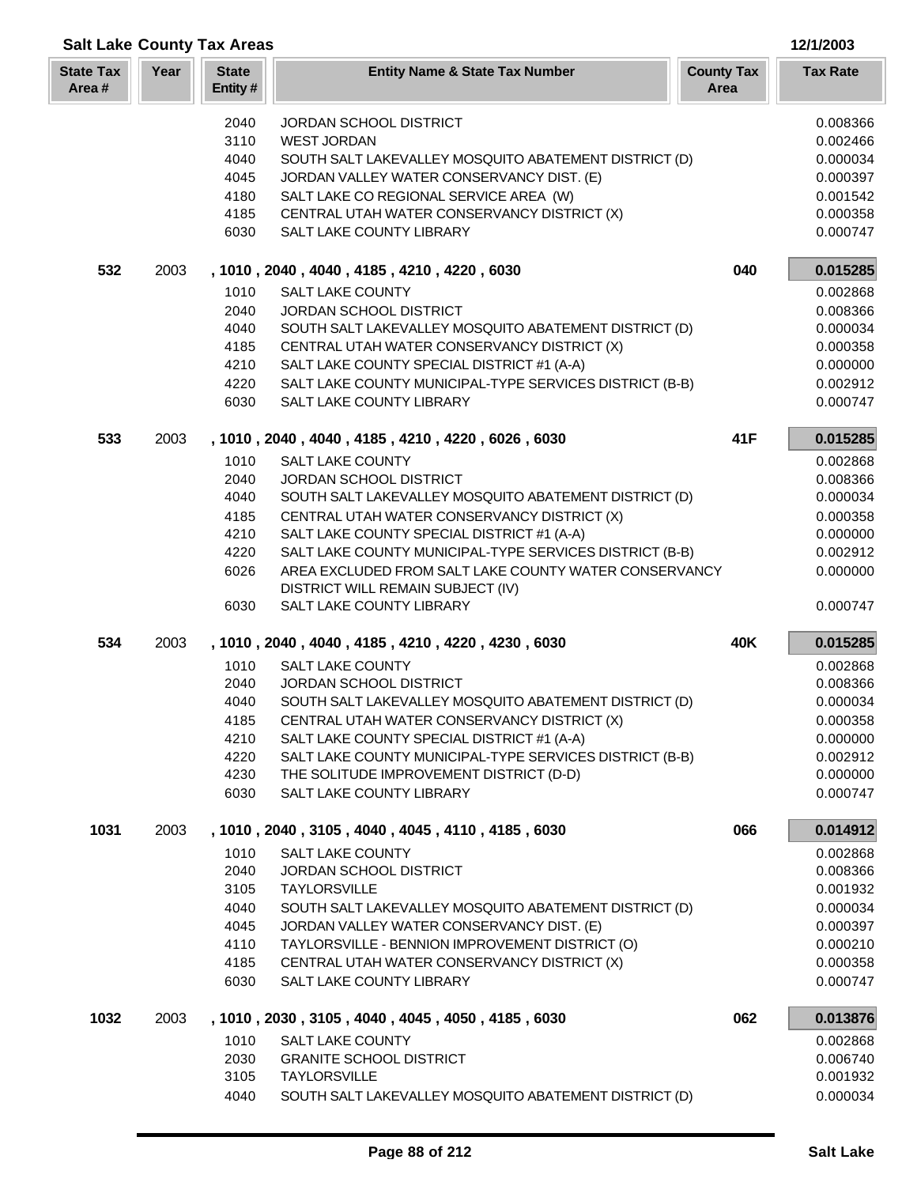| <b>Salt Lake County Tax Areas</b> |      |                         |                                                                                           |                           | 12/1/2003            |
|-----------------------------------|------|-------------------------|-------------------------------------------------------------------------------------------|---------------------------|----------------------|
| <b>State Tax</b><br>Area#         | Year | <b>State</b><br>Entity# | <b>Entity Name &amp; State Tax Number</b>                                                 | <b>County Tax</b><br>Area | <b>Tax Rate</b>      |
|                                   |      | 2040                    | <b>JORDAN SCHOOL DISTRICT</b>                                                             |                           | 0.008366             |
|                                   |      | 3110                    | <b>WEST JORDAN</b>                                                                        |                           | 0.002466             |
|                                   |      | 4040                    | SOUTH SALT LAKEVALLEY MOSQUITO ABATEMENT DISTRICT (D)                                     |                           | 0.000034             |
|                                   |      | 4045                    | JORDAN VALLEY WATER CONSERVANCY DIST. (E)                                                 |                           | 0.000397             |
|                                   |      | 4180                    | SALT LAKE CO REGIONAL SERVICE AREA (W)                                                    |                           | 0.001542             |
|                                   |      | 4185                    | CENTRAL UTAH WATER CONSERVANCY DISTRICT (X)                                               |                           | 0.000358             |
|                                   |      | 6030                    | SALT LAKE COUNTY LIBRARY                                                                  |                           | 0.000747             |
| 532                               | 2003 |                         | , 1010, 2040, 4040, 4185, 4210, 4220, 6030                                                | 040                       | 0.015285             |
|                                   |      | 1010                    | SALT LAKE COUNTY                                                                          |                           | 0.002868             |
|                                   |      | 2040                    | JORDAN SCHOOL DISTRICT                                                                    |                           | 0.008366             |
|                                   |      | 4040                    | SOUTH SALT LAKEVALLEY MOSQUITO ABATEMENT DISTRICT (D)                                     |                           | 0.000034             |
|                                   |      | 4185                    | CENTRAL UTAH WATER CONSERVANCY DISTRICT (X)                                               |                           | 0.000358             |
|                                   |      | 4210                    | SALT LAKE COUNTY SPECIAL DISTRICT #1 (A-A)                                                |                           | 0.000000             |
|                                   |      | 4220                    | SALT LAKE COUNTY MUNICIPAL-TYPE SERVICES DISTRICT (B-B)                                   |                           | 0.002912             |
|                                   |      | 6030                    | SALT LAKE COUNTY LIBRARY                                                                  |                           | 0.000747             |
| 533                               | 2003 |                         | , 1010, 2040, 4040, 4185, 4210, 4220, 6026, 6030                                          | 41F                       | 0.015285             |
|                                   |      | 1010                    | <b>SALT LAKE COUNTY</b>                                                                   |                           | 0.002868             |
|                                   |      | 2040                    | JORDAN SCHOOL DISTRICT                                                                    |                           | 0.008366             |
|                                   |      | 4040                    | SOUTH SALT LAKEVALLEY MOSQUITO ABATEMENT DISTRICT (D)                                     |                           | 0.000034             |
|                                   |      | 4185<br>4210            | CENTRAL UTAH WATER CONSERVANCY DISTRICT (X)<br>SALT LAKE COUNTY SPECIAL DISTRICT #1 (A-A) |                           | 0.000358<br>0.000000 |
|                                   |      | 4220                    | SALT LAKE COUNTY MUNICIPAL-TYPE SERVICES DISTRICT (B-B)                                   |                           | 0.002912             |
|                                   |      | 6026                    | AREA EXCLUDED FROM SALT LAKE COUNTY WATER CONSERVANCY                                     |                           | 0.000000             |
|                                   |      |                         | DISTRICT WILL REMAIN SUBJECT (IV)                                                         |                           |                      |
|                                   |      | 6030                    | SALT LAKE COUNTY LIBRARY                                                                  |                           | 0.000747             |
| 534                               | 2003 |                         | , 1010, 2040, 4040, 4185, 4210, 4220, 4230, 6030                                          | 40K                       | 0.015285             |
|                                   |      | 1010                    | <b>SALT LAKE COUNTY</b>                                                                   |                           | 0.002868             |
|                                   |      | 2040                    | JORDAN SCHOOL DISTRICT                                                                    |                           | 0.008366             |
|                                   |      | 4040                    | SOUTH SALT LAKEVALLEY MOSQUITO ABATEMENT DISTRICT (D)                                     |                           | 0.000034             |
|                                   |      | 4185                    | CENTRAL UTAH WATER CONSERVANCY DISTRICT (X)                                               |                           | 0.000358             |
|                                   |      | 4210                    | SALT LAKE COUNTY SPECIAL DISTRICT #1 (A-A)                                                |                           | 0.000000             |
|                                   |      | 4220                    | SALT LAKE COUNTY MUNICIPAL-TYPE SERVICES DISTRICT (B-B)                                   |                           | 0.002912             |
|                                   |      | 4230                    | THE SOLITUDE IMPROVEMENT DISTRICT (D-D)<br>SALT LAKE COUNTY LIBRARY                       |                           | 0.000000             |
|                                   |      | 6030                    |                                                                                           |                           | 0.000747             |
| 1031                              | 2003 |                         | , 1010, 2040, 3105, 4040, 4045, 4110, 4185, 6030                                          | 066                       | 0.014912             |
|                                   |      | 1010                    | <b>SALT LAKE COUNTY</b>                                                                   |                           | 0.002868             |
|                                   |      | 2040<br>3105            | <b>JORDAN SCHOOL DISTRICT</b><br><b>TAYLORSVILLE</b>                                      |                           | 0.008366<br>0.001932 |
|                                   |      | 4040                    | SOUTH SALT LAKEVALLEY MOSQUITO ABATEMENT DISTRICT (D)                                     |                           | 0.000034             |
|                                   |      | 4045                    | JORDAN VALLEY WATER CONSERVANCY DIST. (E)                                                 |                           | 0.000397             |
|                                   |      | 4110                    | TAYLORSVILLE - BENNION IMPROVEMENT DISTRICT (O)                                           |                           | 0.000210             |
|                                   |      | 4185                    | CENTRAL UTAH WATER CONSERVANCY DISTRICT (X)                                               |                           | 0.000358             |
|                                   |      | 6030                    | SALT LAKE COUNTY LIBRARY                                                                  |                           | 0.000747             |
| 1032                              | 2003 |                         | , 1010, 2030, 3105, 4040, 4045, 4050, 4185, 6030                                          | 062                       | 0.013876             |
|                                   |      | 1010                    | SALT LAKE COUNTY                                                                          |                           | 0.002868             |
|                                   |      | 2030                    | <b>GRANITE SCHOOL DISTRICT</b>                                                            |                           | 0.006740             |
|                                   |      | 3105                    | <b>TAYLORSVILLE</b>                                                                       |                           | 0.001932             |
|                                   |      | 4040                    | SOUTH SALT LAKEVALLEY MOSQUITO ABATEMENT DISTRICT (D)                                     |                           | 0.000034             |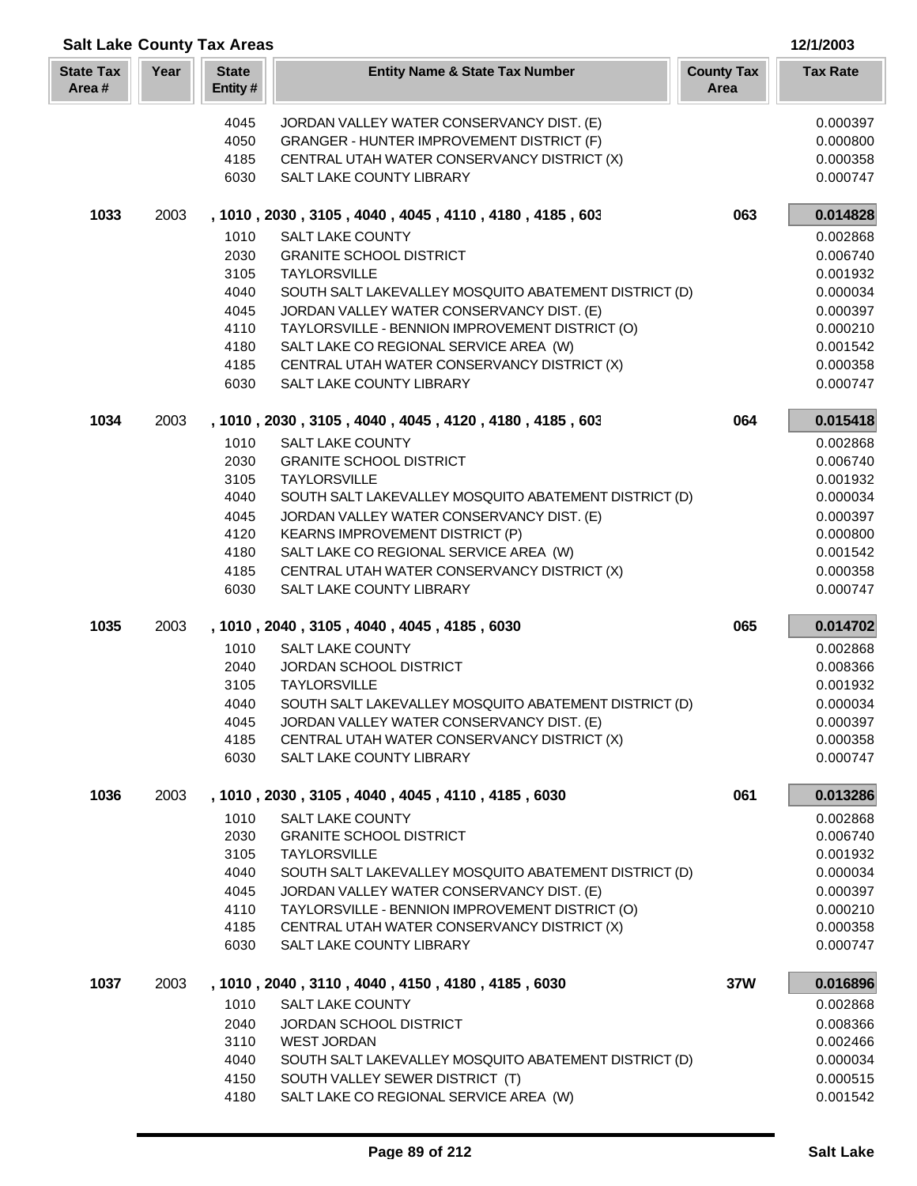| <b>Salt Lake County Tax Areas</b><br>12/1/2003 |      |                         |                                                                                                    |                           |                      |
|------------------------------------------------|------|-------------------------|----------------------------------------------------------------------------------------------------|---------------------------|----------------------|
| <b>State Tax</b><br>Area#                      | Year | <b>State</b><br>Entity# | <b>Entity Name &amp; State Tax Number</b>                                                          | <b>County Tax</b><br>Area | <b>Tax Rate</b>      |
|                                                |      | 4045                    | JORDAN VALLEY WATER CONSERVANCY DIST. (E)                                                          |                           | 0.000397             |
|                                                |      | 4050                    | GRANGER - HUNTER IMPROVEMENT DISTRICT (F)                                                          |                           | 0.000800             |
|                                                |      | 4185                    | CENTRAL UTAH WATER CONSERVANCY DISTRICT (X)                                                        |                           | 0.000358             |
|                                                |      | 6030                    | SALT LAKE COUNTY LIBRARY                                                                           |                           | 0.000747             |
| 1033                                           | 2003 |                         | , 1010, 2030, 3105, 4040, 4045, 4110, 4180, 4185, 603                                              | 063                       | 0.014828             |
|                                                |      | 1010                    | <b>SALT LAKE COUNTY</b>                                                                            |                           | 0.002868             |
|                                                |      | 2030                    | <b>GRANITE SCHOOL DISTRICT</b>                                                                     |                           | 0.006740             |
|                                                |      | 3105                    | <b>TAYLORSVILLE</b>                                                                                |                           | 0.001932             |
|                                                |      | 4040                    | SOUTH SALT LAKEVALLEY MOSQUITO ABATEMENT DISTRICT (D)                                              |                           | 0.000034             |
|                                                |      | 4045                    | JORDAN VALLEY WATER CONSERVANCY DIST. (E)                                                          |                           | 0.000397             |
|                                                |      | 4110                    | TAYLORSVILLE - BENNION IMPROVEMENT DISTRICT (O)                                                    |                           | 0.000210             |
|                                                |      | 4180                    | SALT LAKE CO REGIONAL SERVICE AREA (W)                                                             |                           | 0.001542             |
|                                                |      | 4185                    | CENTRAL UTAH WATER CONSERVANCY DISTRICT (X)                                                        |                           | 0.000358             |
|                                                |      | 6030                    | SALT LAKE COUNTY LIBRARY                                                                           |                           | 0.000747             |
| 1034                                           | 2003 |                         | , 1010, 2030, 3105, 4040, 4045, 4120, 4180, 4185, 603                                              | 064                       | 0.015418             |
|                                                |      | 1010                    | <b>SALT LAKE COUNTY</b>                                                                            |                           | 0.002868             |
|                                                |      | 2030                    | <b>GRANITE SCHOOL DISTRICT</b>                                                                     |                           | 0.006740             |
|                                                |      | 3105<br>4040            | <b>TAYLORSVILLE</b>                                                                                |                           | 0.001932<br>0.000034 |
|                                                |      | 4045                    | SOUTH SALT LAKEVALLEY MOSQUITO ABATEMENT DISTRICT (D)<br>JORDAN VALLEY WATER CONSERVANCY DIST. (E) |                           | 0.000397             |
|                                                |      | 4120                    | <b>KEARNS IMPROVEMENT DISTRICT (P)</b>                                                             |                           | 0.000800             |
|                                                |      | 4180                    | SALT LAKE CO REGIONAL SERVICE AREA (W)                                                             |                           | 0.001542             |
|                                                |      | 4185                    | CENTRAL UTAH WATER CONSERVANCY DISTRICT (X)                                                        |                           | 0.000358             |
|                                                |      | 6030                    | SALT LAKE COUNTY LIBRARY                                                                           |                           | 0.000747             |
| 1035                                           | 2003 |                         | , 1010, 2040, 3105, 4040, 4045, 4185, 6030                                                         | 065                       | 0.014702             |
|                                                |      | 1010                    | <b>SALT LAKE COUNTY</b>                                                                            |                           | 0.002868             |
|                                                |      | 2040                    | JORDAN SCHOOL DISTRICT                                                                             |                           | 0.008366             |
|                                                |      | 3105                    | <b>TAYLORSVILLE</b>                                                                                |                           | 0.001932             |
|                                                |      | 4040                    | SOUTH SALT LAKEVALLEY MOSQUITO ABATEMENT DISTRICT (D)                                              |                           | 0.000034             |
|                                                |      | 4045                    | JORDAN VALLEY WATER CONSERVANCY DIST. (E)                                                          |                           | 0.000397             |
|                                                |      | 4185                    | CENTRAL UTAH WATER CONSERVANCY DISTRICT (X)                                                        |                           | 0.000358             |
|                                                |      | 6030                    | <b>SALT LAKE COUNTY LIBRARY</b>                                                                    |                           | 0.000747             |
| 1036                                           | 2003 |                         | , 1010, 2030, 3105, 4040, 4045, 4110, 4185, 6030                                                   | 061                       | 0.013286             |
|                                                |      | 1010                    | <b>SALT LAKE COUNTY</b>                                                                            |                           | 0.002868             |
|                                                |      | 2030                    | <b>GRANITE SCHOOL DISTRICT</b>                                                                     |                           | 0.006740             |
|                                                |      | 3105                    | <b>TAYLORSVILLE</b>                                                                                |                           | 0.001932             |
|                                                |      | 4040                    | SOUTH SALT LAKEVALLEY MOSQUITO ABATEMENT DISTRICT (D)                                              |                           | 0.000034             |
|                                                |      | 4045                    | JORDAN VALLEY WATER CONSERVANCY DIST. (E)                                                          |                           | 0.000397             |
|                                                |      | 4110<br>4185            | TAYLORSVILLE - BENNION IMPROVEMENT DISTRICT (O)<br>CENTRAL UTAH WATER CONSERVANCY DISTRICT (X)     |                           | 0.000210             |
|                                                |      | 6030                    | SALT LAKE COUNTY LIBRARY                                                                           |                           | 0.000358<br>0.000747 |
| 1037                                           | 2003 |                         | , 1010, 2040, 3110, 4040, 4150, 4180, 4185, 6030                                                   | 37W                       | 0.016896             |
|                                                |      | 1010                    | <b>SALT LAKE COUNTY</b>                                                                            |                           | 0.002868             |
|                                                |      | 2040                    | <b>JORDAN SCHOOL DISTRICT</b>                                                                      |                           | 0.008366             |
|                                                |      | 3110                    | <b>WEST JORDAN</b>                                                                                 |                           | 0.002466             |
|                                                |      | 4040                    | SOUTH SALT LAKEVALLEY MOSQUITO ABATEMENT DISTRICT (D)                                              |                           | 0.000034             |
|                                                |      | 4150                    | SOUTH VALLEY SEWER DISTRICT (T)                                                                    |                           | 0.000515             |
|                                                |      | 4180                    | SALT LAKE CO REGIONAL SERVICE AREA (W)                                                             |                           | 0.001542             |

П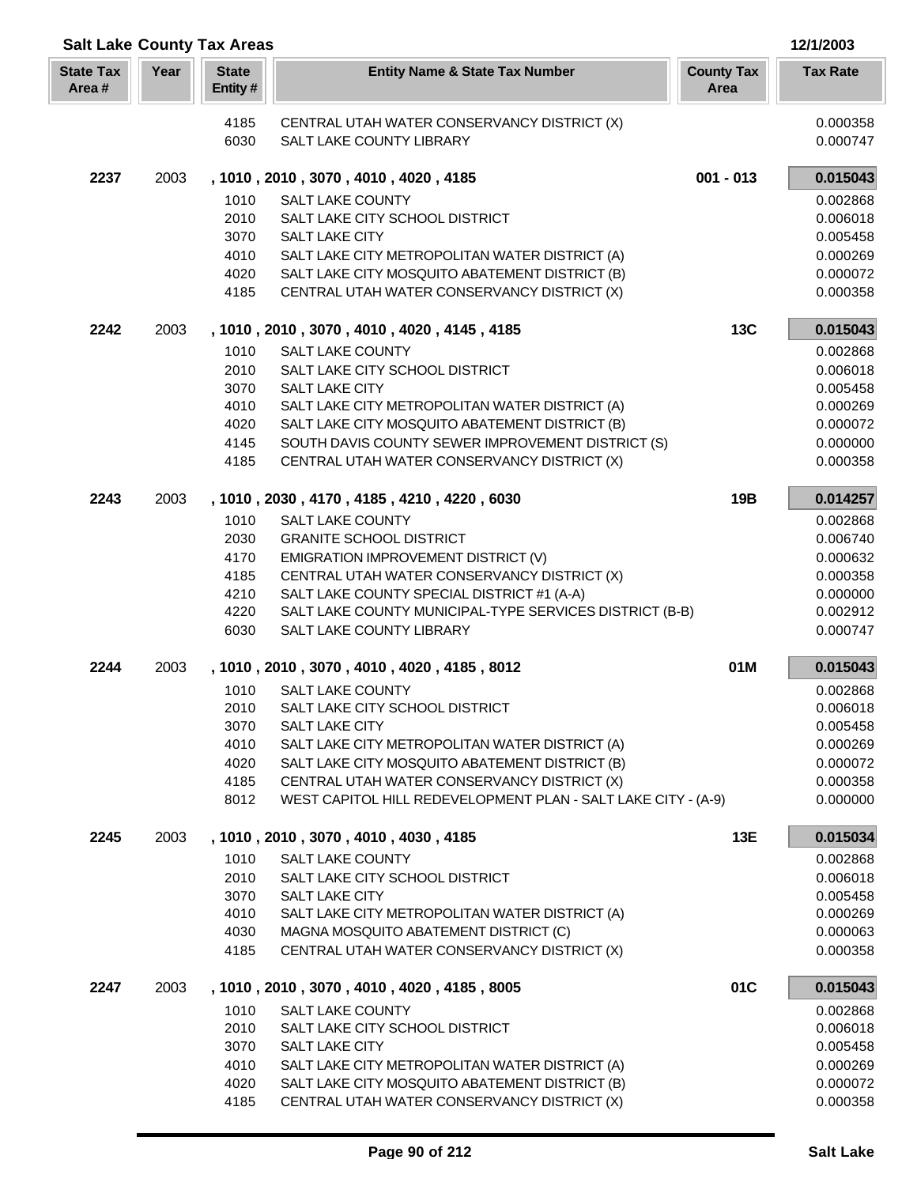| <b>Salt Lake County Tax Areas</b> |      |                         |                                                                                                  |                           | 12/1/2003            |
|-----------------------------------|------|-------------------------|--------------------------------------------------------------------------------------------------|---------------------------|----------------------|
| <b>State Tax</b><br>Area#         | Year | <b>State</b><br>Entity# | <b>Entity Name &amp; State Tax Number</b>                                                        | <b>County Tax</b><br>Area | <b>Tax Rate</b>      |
|                                   |      | 4185                    | CENTRAL UTAH WATER CONSERVANCY DISTRICT (X)                                                      |                           | 0.000358             |
|                                   |      | 6030                    | SALT LAKE COUNTY LIBRARY                                                                         |                           | 0.000747             |
| 2237                              | 2003 |                         | , 1010, 2010, 3070, 4010, 4020, 4185                                                             | $001 - 013$               | 0.015043             |
|                                   |      | 1010                    | <b>SALT LAKE COUNTY</b>                                                                          |                           | 0.002868             |
|                                   |      | 2010                    | SALT LAKE CITY SCHOOL DISTRICT                                                                   |                           | 0.006018             |
|                                   |      | 3070                    | <b>SALT LAKE CITY</b>                                                                            |                           | 0.005458             |
|                                   |      | 4010                    | SALT LAKE CITY METROPOLITAN WATER DISTRICT (A)                                                   |                           | 0.000269             |
|                                   |      | 4020<br>4185            | SALT LAKE CITY MOSQUITO ABATEMENT DISTRICT (B)<br>CENTRAL UTAH WATER CONSERVANCY DISTRICT (X)    |                           | 0.000072<br>0.000358 |
|                                   |      |                         |                                                                                                  |                           |                      |
| 2242                              | 2003 |                         | , 1010, 2010, 3070, 4010, 4020, 4145, 4185                                                       | <b>13C</b>                | 0.015043             |
|                                   |      | 1010                    | SALT LAKE COUNTY                                                                                 |                           | 0.002868             |
|                                   |      | 2010                    | SALT LAKE CITY SCHOOL DISTRICT                                                                   |                           | 0.006018             |
|                                   |      | 3070                    | SALT LAKE CITY                                                                                   |                           | 0.005458             |
|                                   |      | 4010<br>4020            | SALT LAKE CITY METROPOLITAN WATER DISTRICT (A)<br>SALT LAKE CITY MOSQUITO ABATEMENT DISTRICT (B) |                           | 0.000269             |
|                                   |      | 4145                    | SOUTH DAVIS COUNTY SEWER IMPROVEMENT DISTRICT (S)                                                |                           | 0.000072<br>0.000000 |
|                                   |      | 4185                    | CENTRAL UTAH WATER CONSERVANCY DISTRICT (X)                                                      |                           | 0.000358             |
| 2243                              | 2003 |                         | , 1010, 2030, 4170, 4185, 4210, 4220, 6030                                                       | 19B                       | 0.014257             |
|                                   |      | 1010                    | <b>SALT LAKE COUNTY</b>                                                                          |                           | 0.002868             |
|                                   |      | 2030                    | <b>GRANITE SCHOOL DISTRICT</b>                                                                   |                           | 0.006740             |
|                                   |      | 4170                    | EMIGRATION IMPROVEMENT DISTRICT (V)                                                              |                           | 0.000632             |
|                                   |      | 4185                    | CENTRAL UTAH WATER CONSERVANCY DISTRICT (X)                                                      |                           | 0.000358             |
|                                   |      | 4210                    | SALT LAKE COUNTY SPECIAL DISTRICT #1 (A-A)                                                       |                           | 0.000000             |
|                                   |      | 4220                    | SALT LAKE COUNTY MUNICIPAL-TYPE SERVICES DISTRICT (B-B)                                          |                           | 0.002912             |
|                                   |      | 6030                    | SALT LAKE COUNTY LIBRARY                                                                         |                           | 0.000747             |
| 2244                              | 2003 |                         | , 1010, 2010, 3070, 4010, 4020, 4185, 8012                                                       | 01M                       | 0.015043             |
|                                   |      | 1010                    | <b>SALT LAKE COUNTY</b>                                                                          |                           | 0.002868             |
|                                   |      | 2010                    | SALT LAKE CITY SCHOOL DISTRICT                                                                   |                           | 0.006018             |
|                                   |      | 3070<br>4010            | SALT LAKE CITY                                                                                   |                           | 0.005458<br>0.000269 |
|                                   |      | 4020                    | SALT LAKE CITY METROPOLITAN WATER DISTRICT (A)<br>SALT LAKE CITY MOSQUITO ABATEMENT DISTRICT (B) |                           | 0.000072             |
|                                   |      | 4185                    | CENTRAL UTAH WATER CONSERVANCY DISTRICT (X)                                                      |                           | 0.000358             |
|                                   |      | 8012                    | WEST CAPITOL HILL REDEVELOPMENT PLAN - SALT LAKE CITY - (A-9)                                    |                           | 0.000000             |
| 2245                              | 2003 |                         | , 1010, 2010, 3070, 4010, 4030, 4185                                                             | 13E                       | 0.015034             |
|                                   |      | 1010                    | <b>SALT LAKE COUNTY</b>                                                                          |                           | 0.002868             |
|                                   |      | 2010                    | SALT LAKE CITY SCHOOL DISTRICT                                                                   |                           | 0.006018             |
|                                   |      | 3070                    | <b>SALT LAKE CITY</b>                                                                            |                           | 0.005458             |
|                                   |      | 4010                    | SALT LAKE CITY METROPOLITAN WATER DISTRICT (A)                                                   |                           | 0.000269             |
|                                   |      | 4030<br>4185            | MAGNA MOSQUITO ABATEMENT DISTRICT (C)<br>CENTRAL UTAH WATER CONSERVANCY DISTRICT (X)             |                           | 0.000063<br>0.000358 |
| 2247                              | 2003 |                         | , 1010, 2010, 3070, 4010, 4020, 4185, 8005                                                       | 01C                       | 0.015043             |
|                                   |      | 1010                    | <b>SALT LAKE COUNTY</b>                                                                          |                           | 0.002868             |
|                                   |      | 2010                    | SALT LAKE CITY SCHOOL DISTRICT                                                                   |                           | 0.006018             |
|                                   |      | 3070                    | SALT LAKE CITY                                                                                   |                           | 0.005458             |
|                                   |      | 4010                    | SALT LAKE CITY METROPOLITAN WATER DISTRICT (A)                                                   |                           | 0.000269             |
|                                   |      | 4020                    | SALT LAKE CITY MOSQUITO ABATEMENT DISTRICT (B)                                                   |                           | 0.000072             |
|                                   |      | 4185                    | CENTRAL UTAH WATER CONSERVANCY DISTRICT (X)                                                      |                           | 0.000358             |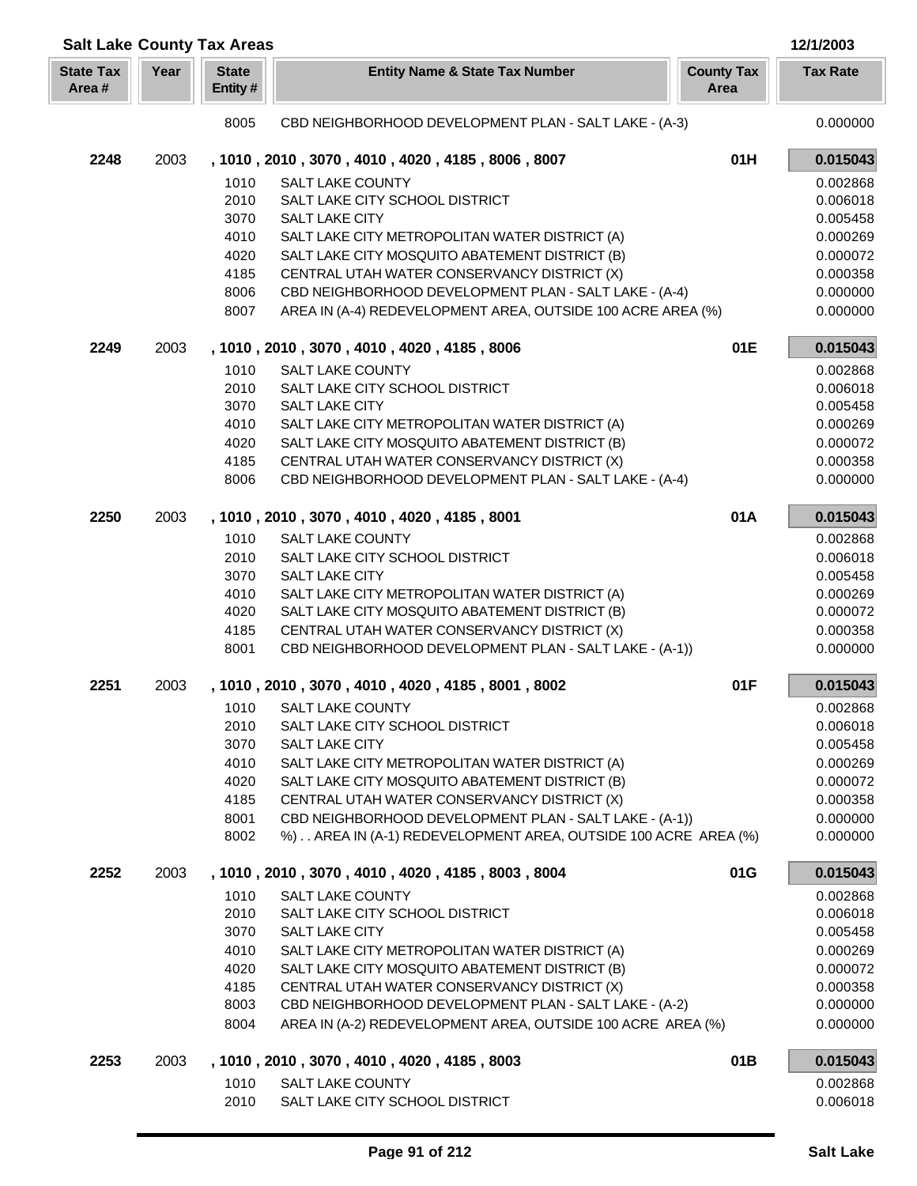| <b>Salt Lake County Tax Areas</b> |      |                         |                                                                                                      |                           | 12/1/2003            |
|-----------------------------------|------|-------------------------|------------------------------------------------------------------------------------------------------|---------------------------|----------------------|
| <b>State Tax</b><br>Area#         | Year | <b>State</b><br>Entity# | <b>Entity Name &amp; State Tax Number</b>                                                            | <b>County Tax</b><br>Area | <b>Tax Rate</b>      |
|                                   |      | 8005                    | CBD NEIGHBORHOOD DEVELOPMENT PLAN - SALT LAKE - (A-3)                                                |                           | 0.000000             |
| 2248                              | 2003 |                         | , 1010, 2010, 3070, 4010, 4020, 4185, 8006, 8007                                                     | 01H                       | 0.015043             |
|                                   |      | 1010                    | <b>SALT LAKE COUNTY</b>                                                                              |                           | 0.002868             |
|                                   |      | 2010                    | SALT LAKE CITY SCHOOL DISTRICT                                                                       |                           | 0.006018             |
|                                   |      | 3070                    | <b>SALT LAKE CITY</b>                                                                                |                           | 0.005458             |
|                                   |      | 4010                    | SALT LAKE CITY METROPOLITAN WATER DISTRICT (A)                                                       |                           | 0.000269             |
|                                   |      | 4020                    | SALT LAKE CITY MOSQUITO ABATEMENT DISTRICT (B)                                                       |                           | 0.000072             |
|                                   |      | 4185                    | CENTRAL UTAH WATER CONSERVANCY DISTRICT (X)                                                          |                           | 0.000358             |
|                                   |      | 8006                    | CBD NEIGHBORHOOD DEVELOPMENT PLAN - SALT LAKE - (A-4)                                                |                           | 0.000000             |
|                                   |      | 8007                    | AREA IN (A-4) REDEVELOPMENT AREA, OUTSIDE 100 ACRE AREA (%)                                          |                           | 0.000000             |
| 2249                              | 2003 |                         | , 1010, 2010, 3070, 4010, 4020, 4185, 8006                                                           | 01E                       | 0.015043             |
|                                   |      | 1010                    | <b>SALT LAKE COUNTY</b>                                                                              |                           | 0.002868             |
|                                   |      | 2010                    | SALT LAKE CITY SCHOOL DISTRICT                                                                       |                           | 0.006018             |
|                                   |      | 3070                    | <b>SALT LAKE CITY</b>                                                                                |                           | 0.005458             |
|                                   |      | 4010                    | SALT LAKE CITY METROPOLITAN WATER DISTRICT (A)                                                       |                           | 0.000269             |
|                                   |      | 4020                    | SALT LAKE CITY MOSQUITO ABATEMENT DISTRICT (B)                                                       |                           | 0.000072             |
|                                   |      | 4185                    | CENTRAL UTAH WATER CONSERVANCY DISTRICT (X)                                                          |                           | 0.000358             |
|                                   |      | 8006                    | CBD NEIGHBORHOOD DEVELOPMENT PLAN - SALT LAKE - (A-4)                                                |                           | 0.000000             |
| 2250                              | 2003 |                         | , 1010, 2010, 3070, 4010, 4020, 4185, 8001                                                           | 01A                       | 0.015043             |
|                                   |      | 1010                    | <b>SALT LAKE COUNTY</b>                                                                              |                           | 0.002868             |
|                                   |      | 2010                    | SALT LAKE CITY SCHOOL DISTRICT                                                                       |                           | 0.006018             |
|                                   |      | 3070                    | <b>SALT LAKE CITY</b>                                                                                |                           | 0.005458             |
|                                   |      | 4010                    | SALT LAKE CITY METROPOLITAN WATER DISTRICT (A)                                                       |                           | 0.000269             |
|                                   |      | 4020                    | SALT LAKE CITY MOSQUITO ABATEMENT DISTRICT (B)                                                       |                           | 0.000072             |
|                                   |      | 4185                    | CENTRAL UTAH WATER CONSERVANCY DISTRICT (X)                                                          |                           | 0.000358             |
|                                   |      | 8001                    | CBD NEIGHBORHOOD DEVELOPMENT PLAN - SALT LAKE - (A-1))                                               |                           | 0.000000             |
| 2251                              | 2003 |                         | , 1010, 2010, 3070, 4010, 4020, 4185, 8001, 8002                                                     | 01F                       | 0.015043             |
|                                   |      |                         | 1010 SALT LAKE COUNTY                                                                                |                           | 0.002868             |
|                                   |      | 2010                    | SALT LAKE CITY SCHOOL DISTRICT                                                                       |                           | 0.006018             |
|                                   |      | 3070                    | SALT LAKE CITY                                                                                       |                           | 0.005458             |
|                                   |      | 4010                    | SALT LAKE CITY METROPOLITAN WATER DISTRICT (A)                                                       |                           | 0.000269             |
|                                   |      | 4020                    | SALT LAKE CITY MOSQUITO ABATEMENT DISTRICT (B)                                                       |                           | 0.000072             |
|                                   |      | 4185                    | CENTRAL UTAH WATER CONSERVANCY DISTRICT (X)                                                          |                           | 0.000358             |
|                                   |      | 8001                    | CBD NEIGHBORHOOD DEVELOPMENT PLAN - SALT LAKE - (A-1))                                               |                           | 0.000000             |
|                                   |      | 8002                    | %) AREA IN (A-1) REDEVELOPMENT AREA, OUTSIDE 100 ACRE AREA (%)                                       |                           | 0.000000             |
| 2252                              | 2003 |                         | , 1010, 2010, 3070, 4010, 4020, 4185, 8003, 8004                                                     | 01G                       | 0.015043             |
|                                   |      | 1010                    | <b>SALT LAKE COUNTY</b>                                                                              |                           | 0.002868             |
|                                   |      | 2010                    | SALT LAKE CITY SCHOOL DISTRICT                                                                       |                           | 0.006018             |
|                                   |      | 3070                    | SALT LAKE CITY                                                                                       |                           | 0.005458             |
|                                   |      | 4010                    | SALT LAKE CITY METROPOLITAN WATER DISTRICT (A)                                                       |                           | 0.000269             |
|                                   |      | 4020                    | SALT LAKE CITY MOSQUITO ABATEMENT DISTRICT (B)                                                       |                           | 0.000072             |
|                                   |      | 4185<br>8003            | CENTRAL UTAH WATER CONSERVANCY DISTRICT (X)<br>CBD NEIGHBORHOOD DEVELOPMENT PLAN - SALT LAKE - (A-2) |                           | 0.000358<br>0.000000 |
|                                   |      | 8004                    | AREA IN (A-2) REDEVELOPMENT AREA, OUTSIDE 100 ACRE AREA (%)                                          |                           | 0.000000             |
|                                   |      |                         |                                                                                                      |                           |                      |
| 2253                              | 2003 |                         | , 1010, 2010, 3070, 4010, 4020, 4185, 8003                                                           | 01B                       | 0.015043             |
|                                   |      | 1010<br>2010            | <b>SALT LAKE COUNTY</b><br>SALT LAKE CITY SCHOOL DISTRICT                                            |                           | 0.002868<br>0.006018 |
|                                   |      |                         |                                                                                                      |                           |                      |

Γ I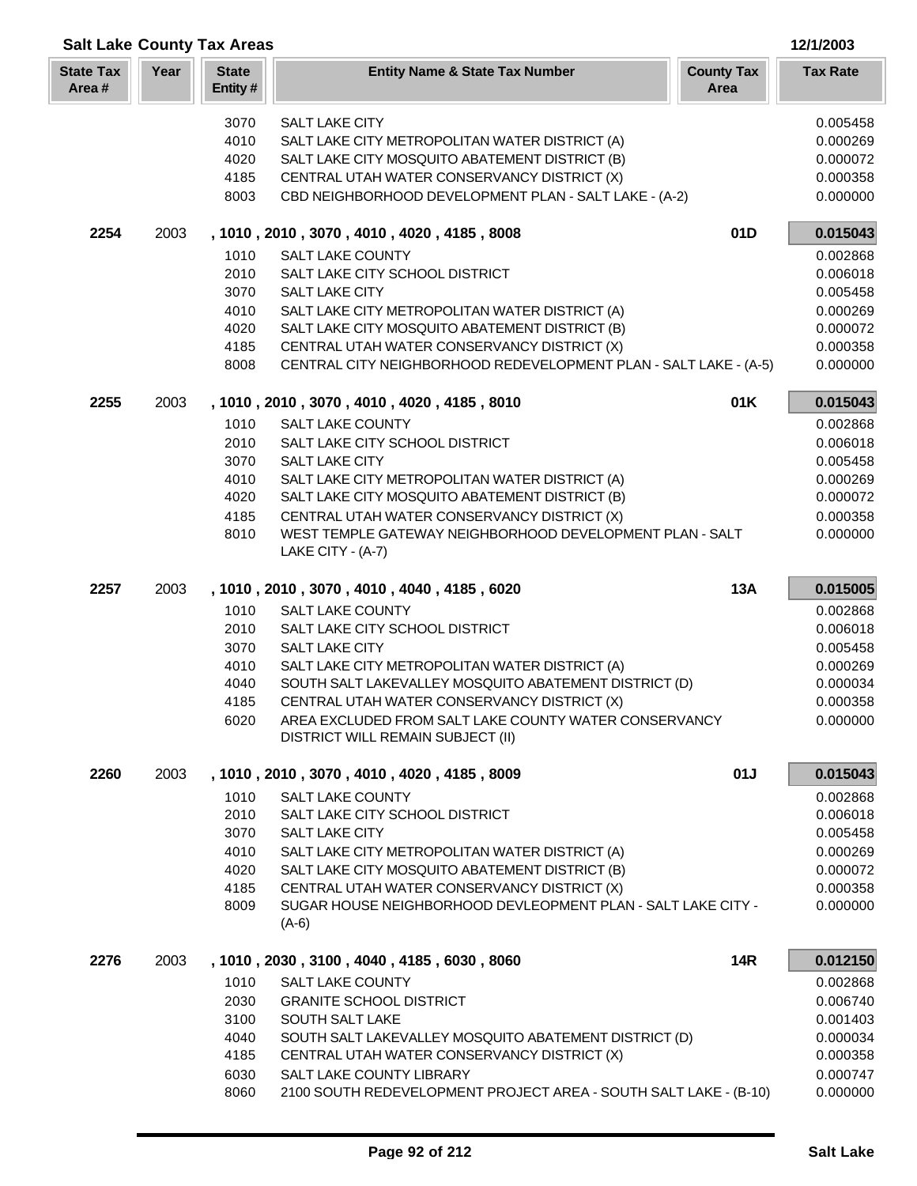| <b>Salt Lake County Tax Areas</b> |      |                         |                                                                                                                 |                           | 12/1/2003            |
|-----------------------------------|------|-------------------------|-----------------------------------------------------------------------------------------------------------------|---------------------------|----------------------|
| <b>State Tax</b><br>Area#         | Year | <b>State</b><br>Entity# | <b>Entity Name &amp; State Tax Number</b>                                                                       | <b>County Tax</b><br>Area | <b>Tax Rate</b>      |
|                                   |      | 3070                    | SALT LAKE CITY                                                                                                  |                           | 0.005458             |
|                                   |      | 4010                    | SALT LAKE CITY METROPOLITAN WATER DISTRICT (A)                                                                  |                           | 0.000269             |
|                                   |      | 4020                    | SALT LAKE CITY MOSQUITO ABATEMENT DISTRICT (B)                                                                  |                           | 0.000072             |
|                                   |      | 4185                    | CENTRAL UTAH WATER CONSERVANCY DISTRICT (X)                                                                     |                           | 0.000358             |
|                                   |      | 8003                    | CBD NEIGHBORHOOD DEVELOPMENT PLAN - SALT LAKE - (A-2)                                                           |                           | 0.000000             |
| 2254                              | 2003 |                         | , 1010, 2010, 3070, 4010, 4020, 4185, 8008                                                                      | 01D                       | 0.015043             |
|                                   |      | 1010                    | <b>SALT LAKE COUNTY</b>                                                                                         |                           | 0.002868             |
|                                   |      | 2010                    | SALT LAKE CITY SCHOOL DISTRICT                                                                                  |                           | 0.006018             |
|                                   |      | 3070                    | <b>SALT LAKE CITY</b>                                                                                           |                           | 0.005458             |
|                                   |      | 4010                    | SALT LAKE CITY METROPOLITAN WATER DISTRICT (A)                                                                  |                           | 0.000269             |
|                                   |      | 4020                    | SALT LAKE CITY MOSQUITO ABATEMENT DISTRICT (B)                                                                  |                           | 0.000072             |
|                                   |      | 4185<br>8008            | CENTRAL UTAH WATER CONSERVANCY DISTRICT (X)<br>CENTRAL CITY NEIGHBORHOOD REDEVELOPMENT PLAN - SALT LAKE - (A-5) |                           | 0.000358<br>0.000000 |
|                                   |      |                         |                                                                                                                 |                           |                      |
| 2255                              | 2003 |                         | , 1010, 2010, 3070, 4010, 4020, 4185, 8010                                                                      | 01K                       | 0.015043             |
|                                   |      | 1010                    | <b>SALT LAKE COUNTY</b>                                                                                         |                           | 0.002868             |
|                                   |      | 2010                    | SALT LAKE CITY SCHOOL DISTRICT                                                                                  |                           | 0.006018             |
|                                   |      | 3070                    | <b>SALT LAKE CITY</b>                                                                                           |                           | 0.005458             |
|                                   |      | 4010                    | SALT LAKE CITY METROPOLITAN WATER DISTRICT (A)                                                                  |                           | 0.000269             |
|                                   |      | 4020                    | SALT LAKE CITY MOSQUITO ABATEMENT DISTRICT (B)                                                                  |                           | 0.000072             |
|                                   |      | 4185                    | CENTRAL UTAH WATER CONSERVANCY DISTRICT (X)                                                                     |                           | 0.000358             |
|                                   |      | 8010                    | WEST TEMPLE GATEWAY NEIGHBORHOOD DEVELOPMENT PLAN - SALT<br>LAKE CITY - (A-7)                                   |                           | 0.000000             |
| 2257                              | 2003 |                         | , 1010, 2010, 3070, 4010, 4040, 4185, 6020                                                                      | <b>13A</b>                | 0.015005             |
|                                   |      | 1010                    | <b>SALT LAKE COUNTY</b>                                                                                         |                           | 0.002868             |
|                                   |      | 2010                    | SALT LAKE CITY SCHOOL DISTRICT                                                                                  |                           | 0.006018             |
|                                   |      | 3070                    | SALT LAKE CITY                                                                                                  |                           | 0.005458             |
|                                   |      | 4010                    | SALT LAKE CITY METROPOLITAN WATER DISTRICT (A)                                                                  |                           | 0.000269             |
|                                   |      | 4040                    | SOUTH SALT LAKEVALLEY MOSQUITO ABATEMENT DISTRICT (D)                                                           |                           | 0.000034             |
|                                   |      | 4185<br>6020            | CENTRAL UTAH WATER CONSERVANCY DISTRICT (X)<br>AREA EXCLUDED FROM SALT LAKE COUNTY WATER CONSERVANCY            |                           | 0.000358<br>0.000000 |
|                                   |      |                         | DISTRICT WILL REMAIN SUBJECT (II)                                                                               |                           |                      |
| 2260                              | 2003 |                         | , 1010, 2010, 3070, 4010, 4020, 4185, 8009                                                                      | 01J                       | 0.015043             |
|                                   |      | 1010                    | SALT LAKE COUNTY                                                                                                |                           | 0.002868             |
|                                   |      | 2010                    | SALT LAKE CITY SCHOOL DISTRICT                                                                                  |                           | 0.006018             |
|                                   |      | 3070                    | SALT LAKE CITY                                                                                                  |                           | 0.005458             |
|                                   |      | 4010                    | SALT LAKE CITY METROPOLITAN WATER DISTRICT (A)                                                                  |                           | 0.000269             |
|                                   |      | 4020                    | SALT LAKE CITY MOSQUITO ABATEMENT DISTRICT (B)                                                                  |                           | 0.000072             |
|                                   |      | 4185                    | CENTRAL UTAH WATER CONSERVANCY DISTRICT (X)                                                                     |                           | 0.000358             |
|                                   |      | 8009                    | SUGAR HOUSE NEIGHBORHOOD DEVLEOPMENT PLAN - SALT LAKE CITY -<br>$(A-6)$                                         |                           | 0.000000             |
| 2276                              | 2003 |                         | , 1010, 2030, 3100, 4040, 4185, 6030, 8060                                                                      | <b>14R</b>                | 0.012150             |
|                                   |      | 1010                    | <b>SALT LAKE COUNTY</b>                                                                                         |                           | 0.002868             |
|                                   |      | 2030                    | <b>GRANITE SCHOOL DISTRICT</b>                                                                                  |                           | 0.006740             |
|                                   |      | 3100                    | SOUTH SALT LAKE                                                                                                 |                           | 0.001403             |
|                                   |      | 4040                    | SOUTH SALT LAKEVALLEY MOSQUITO ABATEMENT DISTRICT (D)                                                           |                           | 0.000034             |
|                                   |      | 4185                    | CENTRAL UTAH WATER CONSERVANCY DISTRICT (X)                                                                     |                           | 0.000358             |
|                                   |      | 6030                    | SALT LAKE COUNTY LIBRARY                                                                                        |                           | 0.000747             |
|                                   |      | 8060                    | 2100 SOUTH REDEVELOPMENT PROJECT AREA - SOUTH SALT LAKE - (B-10)                                                |                           | 0.000000             |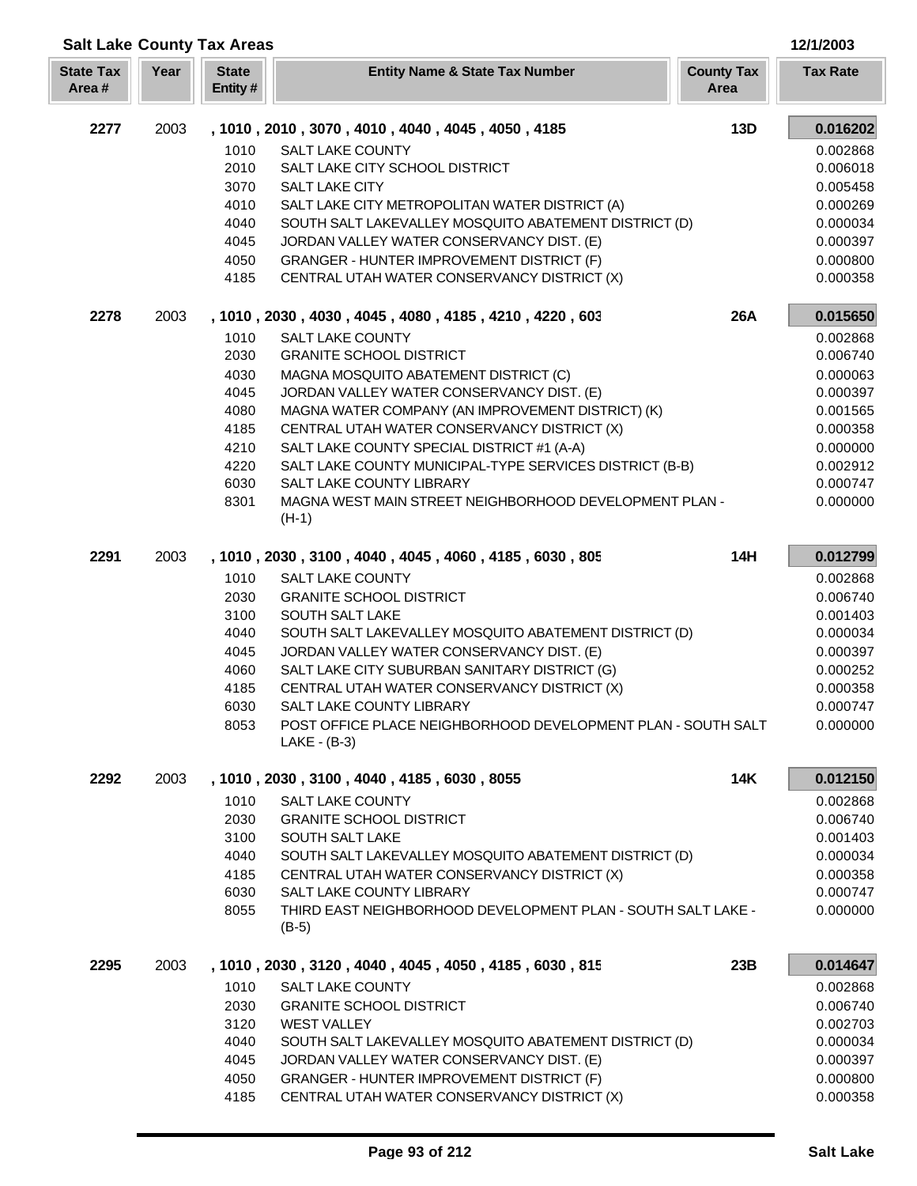| <b>Salt Lake County Tax Areas</b> |      |                         |                                                                                               |                           | 12/1/2003            |
|-----------------------------------|------|-------------------------|-----------------------------------------------------------------------------------------------|---------------------------|----------------------|
| <b>State Tax</b><br>Area#         | Year | <b>State</b><br>Entity# | <b>Entity Name &amp; State Tax Number</b>                                                     | <b>County Tax</b><br>Area | <b>Tax Rate</b>      |
| 2277                              | 2003 |                         | , 1010, 2010, 3070, 4010, 4040, 4045, 4050, 4185                                              | 13D                       | 0.016202             |
|                                   |      | 1010                    | <b>SALT LAKE COUNTY</b>                                                                       |                           | 0.002868             |
|                                   |      | 2010                    | SALT LAKE CITY SCHOOL DISTRICT                                                                |                           | 0.006018             |
|                                   |      | 3070                    | <b>SALT LAKE CITY</b>                                                                         |                           | 0.005458             |
|                                   |      | 4010                    | SALT LAKE CITY METROPOLITAN WATER DISTRICT (A)                                                |                           | 0.000269             |
|                                   |      | 4040                    | SOUTH SALT LAKEVALLEY MOSQUITO ABATEMENT DISTRICT (D)                                         |                           | 0.000034             |
|                                   |      | 4045<br>4050            | JORDAN VALLEY WATER CONSERVANCY DIST. (E)<br><b>GRANGER - HUNTER IMPROVEMENT DISTRICT (F)</b> |                           | 0.000397<br>0.000800 |
|                                   |      | 4185                    | CENTRAL UTAH WATER CONSERVANCY DISTRICT (X)                                                   |                           | 0.000358             |
| 2278                              | 2003 |                         | , 1010, 2030, 4030, 4045, 4080, 4185, 4210, 4220, 603                                         | 26A                       | 0.015650             |
|                                   |      | 1010                    | <b>SALT LAKE COUNTY</b>                                                                       |                           | 0.002868             |
|                                   |      | 2030                    | <b>GRANITE SCHOOL DISTRICT</b>                                                                |                           | 0.006740             |
|                                   |      | 4030                    | MAGNA MOSQUITO ABATEMENT DISTRICT (C)                                                         |                           | 0.000063             |
|                                   |      | 4045                    | JORDAN VALLEY WATER CONSERVANCY DIST. (E)                                                     |                           | 0.000397             |
|                                   |      | 4080                    | MAGNA WATER COMPANY (AN IMPROVEMENT DISTRICT) (K)                                             |                           | 0.001565             |
|                                   |      | 4185                    | CENTRAL UTAH WATER CONSERVANCY DISTRICT (X)                                                   |                           | 0.000358             |
|                                   |      | 4210                    | SALT LAKE COUNTY SPECIAL DISTRICT #1 (A-A)                                                    |                           | 0.000000             |
|                                   |      | 4220                    | SALT LAKE COUNTY MUNICIPAL-TYPE SERVICES DISTRICT (B-B)                                       |                           | 0.002912             |
|                                   |      | 6030                    | SALT LAKE COUNTY LIBRARY                                                                      |                           | 0.000747             |
|                                   |      | 8301                    | MAGNA WEST MAIN STREET NEIGHBORHOOD DEVELOPMENT PLAN -<br>$(H-1)$                             |                           | 0.000000             |
| 2291                              | 2003 |                         | , 1010, 2030, 3100, 4040, 4045, 4060, 4185, 6030, 805                                         | 14H                       | 0.012799             |
|                                   |      | 1010                    | <b>SALT LAKE COUNTY</b>                                                                       |                           | 0.002868             |
|                                   |      | 2030                    | <b>GRANITE SCHOOL DISTRICT</b>                                                                |                           | 0.006740             |
|                                   |      | 3100                    | SOUTH SALT LAKE                                                                               |                           | 0.001403             |
|                                   |      | 4040                    | SOUTH SALT LAKEVALLEY MOSQUITO ABATEMENT DISTRICT (D)                                         |                           | 0.000034             |
|                                   |      | 4045                    | JORDAN VALLEY WATER CONSERVANCY DIST. (E)                                                     |                           | 0.000397             |
|                                   |      | 4060                    | SALT LAKE CITY SUBURBAN SANITARY DISTRICT (G)                                                 |                           | 0.000252             |
|                                   |      | 4185                    | CENTRAL UTAH WATER CONSERVANCY DISTRICT (X)                                                   |                           | 0.000358             |
|                                   |      | 6030                    | SALT LAKE COUNTY LIBRARY                                                                      |                           | 0.000747             |
|                                   |      | 8053                    | POST OFFICE PLACE NEIGHBORHOOD DEVELOPMENT PLAN - SOUTH SALT<br>LAKE - (B-3)                  |                           | 0.000000             |
| 2292                              | 2003 |                         | , 1010, 2030, 3100, 4040, 4185, 6030, 8055                                                    | <b>14K</b>                | 0.012150             |
|                                   |      | 1010                    | SALT LAKE COUNTY                                                                              |                           | 0.002868             |
|                                   |      | 2030                    | <b>GRANITE SCHOOL DISTRICT</b>                                                                |                           | 0.006740             |
|                                   |      | 3100                    | SOUTH SALT LAKE                                                                               |                           | 0.001403             |
|                                   |      | 4040                    | SOUTH SALT LAKEVALLEY MOSQUITO ABATEMENT DISTRICT (D)                                         |                           | 0.000034             |
|                                   |      | 4185                    | CENTRAL UTAH WATER CONSERVANCY DISTRICT (X)                                                   |                           | 0.000358             |
|                                   |      | 6030                    | SALT LAKE COUNTY LIBRARY                                                                      |                           | 0.000747             |
|                                   |      | 8055                    | THIRD EAST NEIGHBORHOOD DEVELOPMENT PLAN - SOUTH SALT LAKE -<br>$(B-5)$                       |                           | 0.000000             |
| 2295                              | 2003 |                         | , 1010 , 2030 , 3120 , 4040 , 4045 , 4050 , 4185 , 6030 , 815                                 | 23B                       | 0.014647             |
|                                   |      | 1010                    | <b>SALT LAKE COUNTY</b>                                                                       |                           | 0.002868             |
|                                   |      | 2030                    | <b>GRANITE SCHOOL DISTRICT</b>                                                                |                           | 0.006740             |
|                                   |      | 3120                    | <b>WEST VALLEY</b>                                                                            |                           | 0.002703             |
|                                   |      | 4040                    | SOUTH SALT LAKEVALLEY MOSQUITO ABATEMENT DISTRICT (D)                                         |                           | 0.000034             |
|                                   |      | 4045                    | JORDAN VALLEY WATER CONSERVANCY DIST. (E)                                                     |                           | 0.000397             |
|                                   |      | 4050                    | <b>GRANGER - HUNTER IMPROVEMENT DISTRICT (F)</b>                                              |                           | 0.000800             |
|                                   |      | 4185                    | CENTRAL UTAH WATER CONSERVANCY DISTRICT (X)                                                   |                           | 0.000358             |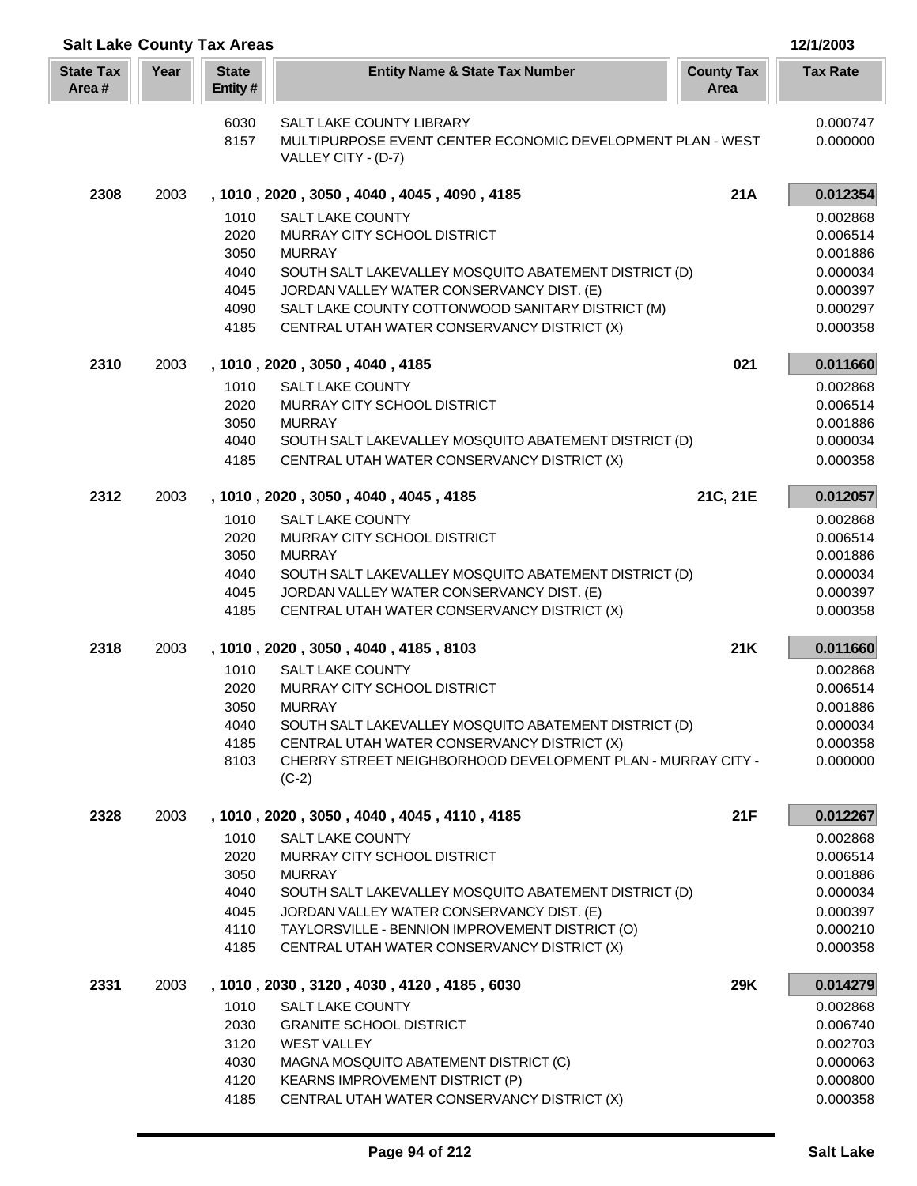| <b>Salt Lake County Tax Areas</b> |      |                         |                                                                                                            |                           | 12/1/2003            |
|-----------------------------------|------|-------------------------|------------------------------------------------------------------------------------------------------------|---------------------------|----------------------|
| <b>State Tax</b><br>Area#         | Year | <b>State</b><br>Entity# | <b>Entity Name &amp; State Tax Number</b>                                                                  | <b>County Tax</b><br>Area | <b>Tax Rate</b>      |
|                                   |      | 6030                    | <b>SALT LAKE COUNTY LIBRARY</b>                                                                            |                           | 0.000747             |
|                                   |      | 8157                    | MULTIPURPOSE EVENT CENTER ECONOMIC DEVELOPMENT PLAN - WEST                                                 |                           | 0.000000             |
|                                   |      |                         | VALLEY CITY - (D-7)                                                                                        |                           |                      |
| 2308                              | 2003 |                         | , 1010, 2020, 3050, 4040, 4045, 4090, 4185                                                                 | 21A                       | 0.012354             |
|                                   |      | 1010                    | <b>SALT LAKE COUNTY</b>                                                                                    |                           | 0.002868             |
|                                   |      | 2020                    | MURRAY CITY SCHOOL DISTRICT                                                                                |                           | 0.006514             |
|                                   |      | 3050<br>4040            | <b>MURRAY</b><br>SOUTH SALT LAKEVALLEY MOSQUITO ABATEMENT DISTRICT (D)                                     |                           | 0.001886<br>0.000034 |
|                                   |      | 4045                    | JORDAN VALLEY WATER CONSERVANCY DIST. (E)                                                                  |                           | 0.000397             |
|                                   |      | 4090                    | SALT LAKE COUNTY COTTONWOOD SANITARY DISTRICT (M)                                                          |                           | 0.000297             |
|                                   |      | 4185                    | CENTRAL UTAH WATER CONSERVANCY DISTRICT (X)                                                                |                           | 0.000358             |
| 2310                              | 2003 |                         | , 1010, 2020, 3050, 4040, 4185                                                                             | 021                       | 0.011660             |
|                                   |      | 1010                    | <b>SALT LAKE COUNTY</b>                                                                                    |                           | 0.002868             |
|                                   |      | 2020                    | MURRAY CITY SCHOOL DISTRICT                                                                                |                           | 0.006514             |
|                                   |      | 3050                    | <b>MURRAY</b>                                                                                              |                           | 0.001886             |
|                                   |      | 4040<br>4185            | SOUTH SALT LAKEVALLEY MOSQUITO ABATEMENT DISTRICT (D)<br>CENTRAL UTAH WATER CONSERVANCY DISTRICT (X)       |                           | 0.000034<br>0.000358 |
|                                   |      |                         |                                                                                                            |                           |                      |
| 2312                              | 2003 |                         | , 1010, 2020, 3050, 4040, 4045, 4185                                                                       | 21C, 21E                  | 0.012057             |
|                                   |      | 1010                    | <b>SALT LAKE COUNTY</b>                                                                                    |                           | 0.002868             |
|                                   |      | 2020                    | MURRAY CITY SCHOOL DISTRICT                                                                                |                           | 0.006514             |
|                                   |      | 3050                    | <b>MURRAY</b>                                                                                              |                           | 0.001886             |
|                                   |      | 4040<br>4045            | SOUTH SALT LAKEVALLEY MOSQUITO ABATEMENT DISTRICT (D)<br>JORDAN VALLEY WATER CONSERVANCY DIST. (E)         |                           | 0.000034<br>0.000397 |
|                                   |      | 4185                    | CENTRAL UTAH WATER CONSERVANCY DISTRICT (X)                                                                |                           | 0.000358             |
| 2318                              | 2003 |                         | , 1010, 2020, 3050, 4040, 4185, 8103                                                                       | 21K                       | 0.011660             |
|                                   |      | 1010                    | SALT LAKE COUNTY                                                                                           |                           | 0.002868             |
|                                   |      | 2020                    | MURRAY CITY SCHOOL DISTRICT                                                                                |                           | 0.006514             |
|                                   |      | 3050                    | <b>MURRAY</b>                                                                                              |                           | 0.001886             |
|                                   |      | 4040                    | SOUTH SALT LAKEVALLEY MOSQUITO ABATEMENT DISTRICT (D)                                                      |                           | 0.000034             |
|                                   |      | 4185<br>8103            | CENTRAL UTAH WATER CONSERVANCY DISTRICT (X)<br>CHERRY STREET NEIGHBORHOOD DEVELOPMENT PLAN - MURRAY CITY - |                           | 0.000358<br>0.000000 |
|                                   |      |                         | $(C-2)$                                                                                                    |                           |                      |
| 2328                              | 2003 |                         | , 1010, 2020, 3050, 4040, 4045, 4110, 4185                                                                 | 21F                       | 0.012267             |
|                                   |      | 1010                    | <b>SALT LAKE COUNTY</b>                                                                                    |                           | 0.002868             |
|                                   |      | 2020                    | MURRAY CITY SCHOOL DISTRICT                                                                                |                           | 0.006514             |
|                                   |      | 3050<br>4040            | <b>MURRAY</b><br>SOUTH SALT LAKEVALLEY MOSQUITO ABATEMENT DISTRICT (D)                                     |                           | 0.001886<br>0.000034 |
|                                   |      | 4045                    | JORDAN VALLEY WATER CONSERVANCY DIST. (E)                                                                  |                           | 0.000397             |
|                                   |      | 4110                    | TAYLORSVILLE - BENNION IMPROVEMENT DISTRICT (O)                                                            |                           | 0.000210             |
|                                   |      | 4185                    | CENTRAL UTAH WATER CONSERVANCY DISTRICT (X)                                                                |                           | 0.000358             |
| 2331                              | 2003 |                         | , 1010, 2030, 3120, 4030, 4120, 4185, 6030                                                                 | 29K                       | 0.014279             |
|                                   |      | 1010                    | <b>SALT LAKE COUNTY</b>                                                                                    |                           | 0.002868             |
|                                   |      | 2030                    | <b>GRANITE SCHOOL DISTRICT</b>                                                                             |                           | 0.006740             |
|                                   |      | 3120                    | <b>WEST VALLEY</b>                                                                                         |                           | 0.002703             |
|                                   |      | 4030<br>4120            | MAGNA MOSQUITO ABATEMENT DISTRICT (C)<br><b>KEARNS IMPROVEMENT DISTRICT (P)</b>                            |                           | 0.000063<br>0.000800 |
|                                   |      | 4185                    | CENTRAL UTAH WATER CONSERVANCY DISTRICT (X)                                                                |                           | 0.000358             |
|                                   |      |                         |                                                                                                            |                           |                      |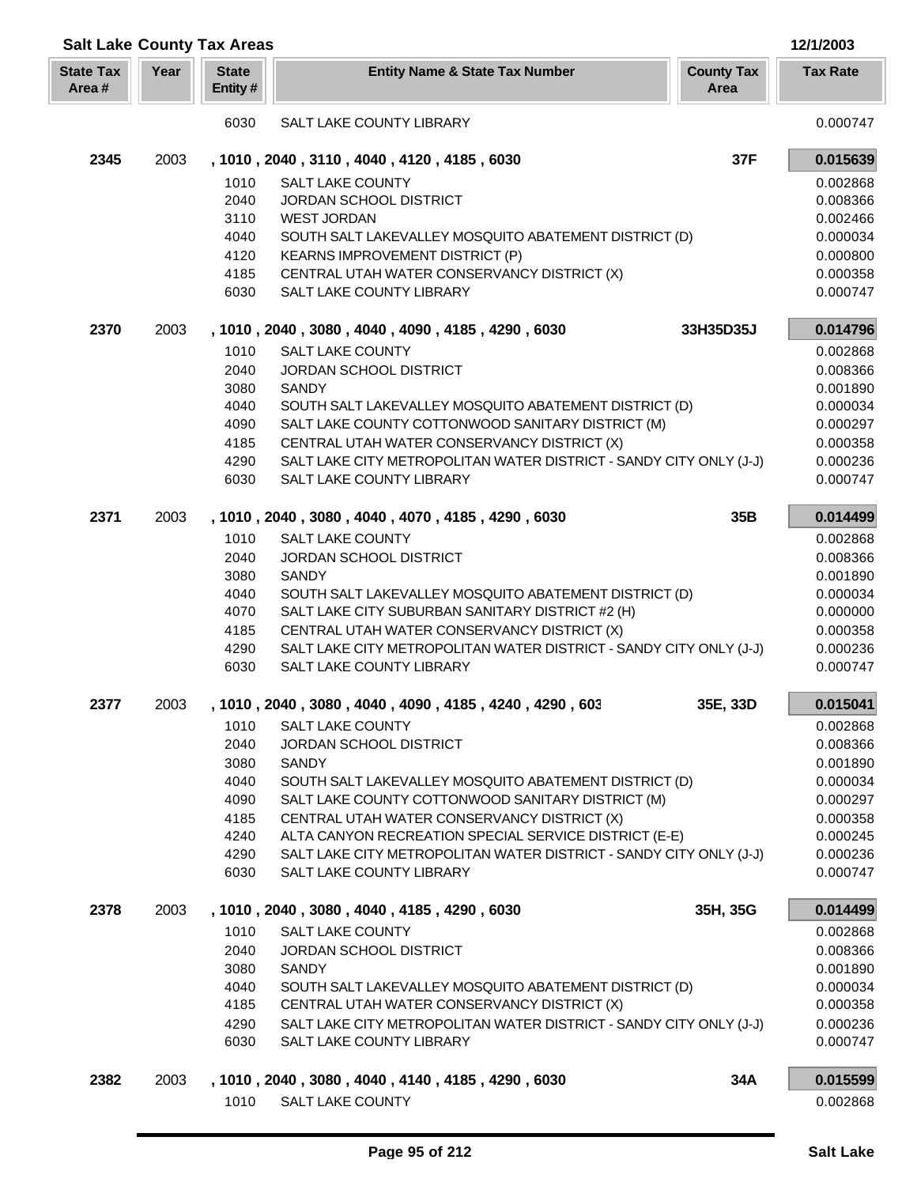|                           | <b>Salt Lake County Tax Areas</b> |                         |                                                                                                                   |                           |                      |
|---------------------------|-----------------------------------|-------------------------|-------------------------------------------------------------------------------------------------------------------|---------------------------|----------------------|
| <b>State Tax</b><br>Area# | Year                              | <b>State</b><br>Entity# | <b>Entity Name &amp; State Tax Number</b>                                                                         | <b>County Tax</b><br>Area | <b>Tax Rate</b>      |
|                           |                                   | 6030                    | SALT LAKE COUNTY LIBRARY                                                                                          |                           | 0.000747             |
| 2345                      | 2003                              |                         | , 1010, 2040, 3110, 4040, 4120, 4185, 6030                                                                        | 37F                       | 0.015639             |
|                           |                                   | 1010                    | <b>SALT LAKE COUNTY</b>                                                                                           |                           | 0.002868             |
|                           |                                   | 2040                    | <b>JORDAN SCHOOL DISTRICT</b>                                                                                     |                           | 0.008366             |
|                           |                                   | 3110                    | <b>WEST JORDAN</b>                                                                                                |                           | 0.002466             |
|                           |                                   | 4040                    | SOUTH SALT LAKEVALLEY MOSQUITO ABATEMENT DISTRICT (D)                                                             |                           | 0.000034             |
|                           |                                   | 4120                    | <b>KEARNS IMPROVEMENT DISTRICT (P)</b>                                                                            |                           | 0.000800             |
|                           |                                   | 4185                    | CENTRAL UTAH WATER CONSERVANCY DISTRICT (X)                                                                       |                           | 0.000358             |
|                           |                                   | 6030                    | SALT LAKE COUNTY LIBRARY                                                                                          |                           | 0.000747             |
| 2370                      | 2003                              |                         | , 1010, 2040, 3080, 4040, 4090, 4185, 4290, 6030                                                                  | 33H35D35J                 | 0.014796             |
|                           |                                   | 1010                    | <b>SALT LAKE COUNTY</b>                                                                                           |                           | 0.002868             |
|                           |                                   | 2040                    | <b>JORDAN SCHOOL DISTRICT</b>                                                                                     |                           | 0.008366             |
|                           |                                   | 3080                    | <b>SANDY</b>                                                                                                      |                           | 0.001890             |
|                           |                                   | 4040                    | SOUTH SALT LAKEVALLEY MOSQUITO ABATEMENT DISTRICT (D)                                                             |                           | 0.000034             |
|                           |                                   | 4090                    | SALT LAKE COUNTY COTTONWOOD SANITARY DISTRICT (M)                                                                 |                           | 0.000297             |
|                           |                                   | 4185                    | CENTRAL UTAH WATER CONSERVANCY DISTRICT (X)<br>SALT LAKE CITY METROPOLITAN WATER DISTRICT - SANDY CITY ONLY (J-J) |                           | 0.000358             |
|                           |                                   | 4290<br>6030            | SALT LAKE COUNTY LIBRARY                                                                                          |                           | 0.000236<br>0.000747 |
|                           |                                   |                         |                                                                                                                   |                           |                      |
| 2371                      | 2003                              |                         | , 1010, 2040, 3080, 4040, 4070, 4185, 4290, 6030                                                                  | 35B                       | 0.014499             |
|                           |                                   | 1010                    | <b>SALT LAKE COUNTY</b>                                                                                           |                           | 0.002868             |
|                           |                                   | 2040                    | <b>JORDAN SCHOOL DISTRICT</b>                                                                                     |                           | 0.008366             |
|                           |                                   | 3080                    | <b>SANDY</b>                                                                                                      |                           | 0.001890             |
|                           |                                   | 4040<br>4070            | SOUTH SALT LAKEVALLEY MOSQUITO ABATEMENT DISTRICT (D)<br>SALT LAKE CITY SUBURBAN SANITARY DISTRICT #2 (H)         |                           | 0.000034<br>0.000000 |
|                           |                                   | 4185                    | CENTRAL UTAH WATER CONSERVANCY DISTRICT (X)                                                                       |                           | 0.000358             |
|                           |                                   | 4290                    | SALT LAKE CITY METROPOLITAN WATER DISTRICT - SANDY CITY ONLY (J-J)                                                |                           | 0.000236             |
|                           |                                   | 6030                    | SALT LAKE COUNTY LIBRARY                                                                                          |                           | 0.000747             |
| 2377                      | 2003                              |                         | 1010, 2040, 3080, 4040, 4090, 4185, 4240, 4290, 603                                                               | 35E, 33D                  | 0.015041             |
|                           |                                   | 1010                    | SALT LAKE COUNTY                                                                                                  |                           | 0.002868             |
|                           |                                   | 2040                    | JORDAN SCHOOL DISTRICT                                                                                            |                           | 0.008366             |
|                           |                                   | 3080                    | <b>SANDY</b>                                                                                                      |                           | 0.001890             |
|                           |                                   | 4040                    | SOUTH SALT LAKEVALLEY MOSQUITO ABATEMENT DISTRICT (D)                                                             |                           | 0.000034             |
|                           |                                   | 4090                    | SALT LAKE COUNTY COTTONWOOD SANITARY DISTRICT (M)                                                                 |                           | 0.000297             |
|                           |                                   | 4185                    | CENTRAL UTAH WATER CONSERVANCY DISTRICT (X)                                                                       |                           | 0.000358             |
|                           |                                   | 4240                    | ALTA CANYON RECREATION SPECIAL SERVICE DISTRICT (E-E)                                                             |                           | 0.000245             |
|                           |                                   | 4290<br>6030            | SALT LAKE CITY METROPOLITAN WATER DISTRICT - SANDY CITY ONLY (J-J)<br>SALT LAKE COUNTY LIBRARY                    |                           | 0.000236<br>0.000747 |
|                           |                                   |                         |                                                                                                                   |                           |                      |
| 2378                      | 2003                              |                         | , 1010, 2040, 3080, 4040, 4185, 4290, 6030                                                                        | 35H, 35G                  | 0.014499             |
|                           |                                   | 1010                    | <b>SALT LAKE COUNTY</b>                                                                                           |                           | 0.002868             |
|                           |                                   | 2040                    | JORDAN SCHOOL DISTRICT                                                                                            |                           | 0.008366             |
|                           |                                   | 3080                    | <b>SANDY</b><br>SOUTH SALT LAKEVALLEY MOSQUITO ABATEMENT DISTRICT (D)                                             |                           | 0.001890             |
|                           |                                   | 4040<br>4185            | CENTRAL UTAH WATER CONSERVANCY DISTRICT (X)                                                                       |                           | 0.000034<br>0.000358 |
|                           |                                   | 4290                    | SALT LAKE CITY METROPOLITAN WATER DISTRICT - SANDY CITY ONLY (J-J)                                                |                           | 0.000236             |
|                           |                                   | 6030                    | SALT LAKE COUNTY LIBRARY                                                                                          |                           | 0.000747             |
|                           |                                   |                         |                                                                                                                   |                           |                      |
| 2382                      | 2003                              |                         | , 1010, 2040, 3080, 4040, 4140, 4185, 4290, 6030                                                                  | 34A                       | 0.015599             |
|                           |                                   | 1010                    | SALT LAKE COUNTY                                                                                                  |                           | 0.002868             |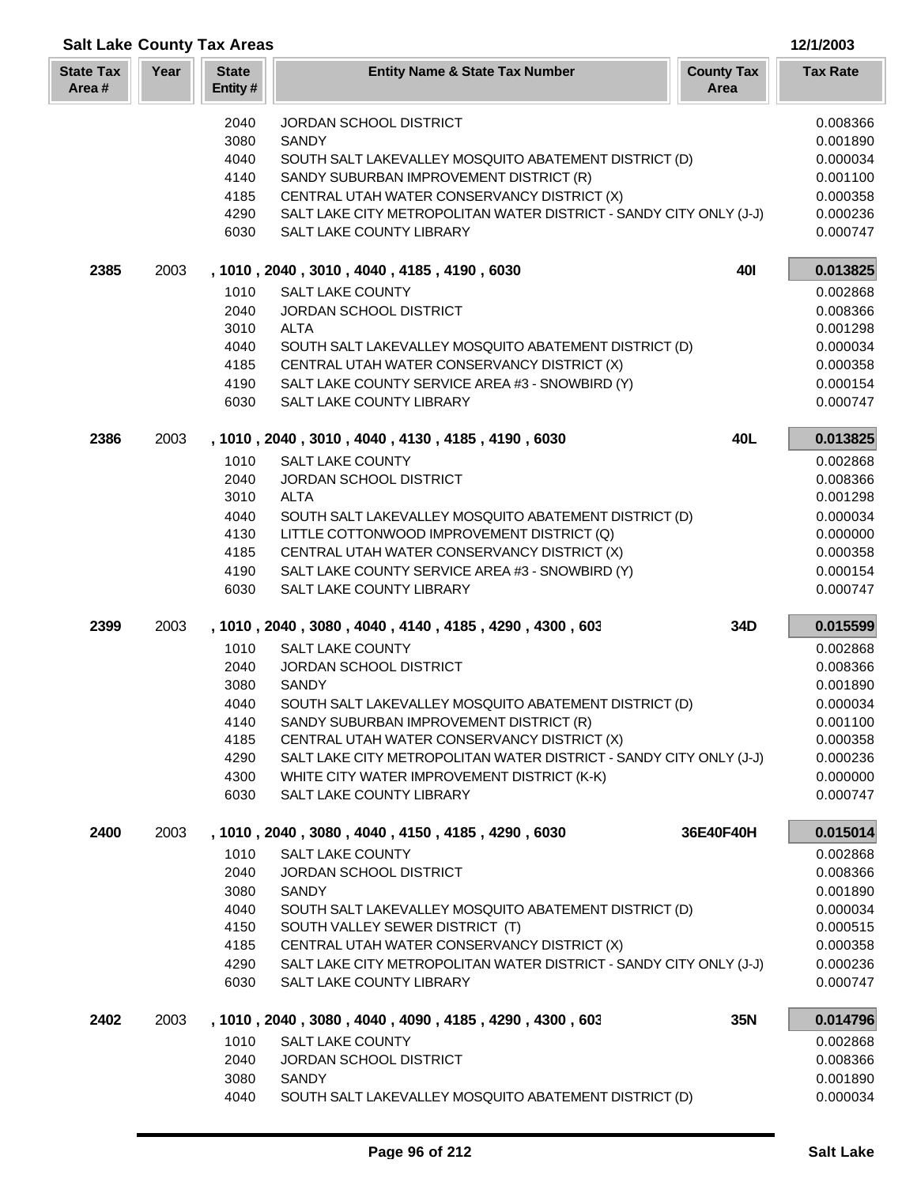| <b>Salt Lake County Tax Areas</b> |      |                         |                                                                                                | 12/1/2003            |
|-----------------------------------|------|-------------------------|------------------------------------------------------------------------------------------------|----------------------|
| <b>State Tax</b><br>Area#         | Year | <b>State</b><br>Entity# | <b>County Tax</b><br><b>Entity Name &amp; State Tax Number</b><br>Area                         | <b>Tax Rate</b>      |
|                                   |      | 2040                    | <b>JORDAN SCHOOL DISTRICT</b>                                                                  | 0.008366             |
|                                   |      | 3080                    | <b>SANDY</b>                                                                                   | 0.001890             |
|                                   |      | 4040                    | SOUTH SALT LAKEVALLEY MOSQUITO ABATEMENT DISTRICT (D)                                          | 0.000034             |
|                                   |      | 4140                    | SANDY SUBURBAN IMPROVEMENT DISTRICT (R)                                                        | 0.001100             |
|                                   |      | 4185                    | CENTRAL UTAH WATER CONSERVANCY DISTRICT (X)                                                    | 0.000358             |
|                                   |      | 4290<br>6030            | SALT LAKE CITY METROPOLITAN WATER DISTRICT - SANDY CITY ONLY (J-J)<br>SALT LAKE COUNTY LIBRARY | 0.000236<br>0.000747 |
| 2385                              | 2003 |                         | <b>401</b><br>, 1010, 2040, 3010, 4040, 4185, 4190, 6030                                       | 0.013825             |
|                                   |      | 1010                    | <b>SALT LAKE COUNTY</b>                                                                        | 0.002868             |
|                                   |      | 2040                    | JORDAN SCHOOL DISTRICT                                                                         | 0.008366             |
|                                   |      | 3010                    | <b>ALTA</b>                                                                                    | 0.001298             |
|                                   |      | 4040                    | SOUTH SALT LAKEVALLEY MOSQUITO ABATEMENT DISTRICT (D)                                          | 0.000034             |
|                                   |      | 4185                    | CENTRAL UTAH WATER CONSERVANCY DISTRICT (X)                                                    | 0.000358             |
|                                   |      | 4190<br>6030            | SALT LAKE COUNTY SERVICE AREA #3 - SNOWBIRD (Y)<br>SALT LAKE COUNTY LIBRARY                    | 0.000154<br>0.000747 |
|                                   |      |                         |                                                                                                |                      |
| 2386                              | 2003 |                         | 40L<br>, 1010, 2040, 3010, 4040, 4130, 4185, 4190, 6030<br><b>SALT LAKE COUNTY</b>             | 0.013825             |
|                                   |      | 1010<br>2040            | JORDAN SCHOOL DISTRICT                                                                         | 0.002868<br>0.008366 |
|                                   |      | 3010                    | <b>ALTA</b>                                                                                    | 0.001298             |
|                                   |      | 4040                    | SOUTH SALT LAKEVALLEY MOSQUITO ABATEMENT DISTRICT (D)                                          | 0.000034             |
|                                   |      | 4130                    | LITTLE COTTONWOOD IMPROVEMENT DISTRICT (Q)                                                     | 0.000000             |
|                                   |      | 4185                    | CENTRAL UTAH WATER CONSERVANCY DISTRICT (X)                                                    | 0.000358             |
|                                   |      | 4190                    | SALT LAKE COUNTY SERVICE AREA #3 - SNOWBIRD (Y)                                                | 0.000154             |
|                                   |      | 6030                    | SALT LAKE COUNTY LIBRARY                                                                       | 0.000747             |
| 2399                              | 2003 |                         | , 1010, 2040, 3080, 4040, 4140, 4185, 4290, 4300, 603<br>34D                                   | 0.015599             |
|                                   |      | 1010                    | <b>SALT LAKE COUNTY</b>                                                                        | 0.002868             |
|                                   |      | 2040                    | JORDAN SCHOOL DISTRICT                                                                         | 0.008366             |
|                                   |      | 3080                    | SANDY                                                                                          | 0.001890             |
|                                   |      | 4040                    | SOUTH SALT LAKEVALLEY MOSQUITO ABATEMENT DISTRICT (D)                                          | 0.000034             |
|                                   |      | 4140<br>4185            | SANDY SUBURBAN IMPROVEMENT DISTRICT (R)<br>CENTRAL UTAH WATER CONSERVANCY DISTRICT (X)         | 0.001100             |
|                                   |      | 4290                    | SALT LAKE CITY METROPOLITAN WATER DISTRICT - SANDY CITY ONLY (J-J)                             | 0.000358<br>0.000236 |
|                                   |      | 4300                    | WHITE CITY WATER IMPROVEMENT DISTRICT (K-K)                                                    | 0.000000             |
|                                   |      | 6030                    | SALT LAKE COUNTY LIBRARY                                                                       | 0.000747             |
| 2400                              | 2003 |                         | , 1010, 2040, 3080, 4040, 4150, 4185, 4290, 6030<br>36E40F40H                                  | 0.015014             |
|                                   |      | 1010                    | <b>SALT LAKE COUNTY</b>                                                                        | 0.002868             |
|                                   |      | 2040                    | <b>JORDAN SCHOOL DISTRICT</b>                                                                  | 0.008366             |
|                                   |      | 3080                    | <b>SANDY</b>                                                                                   | 0.001890             |
|                                   |      | 4040                    | SOUTH SALT LAKEVALLEY MOSQUITO ABATEMENT DISTRICT (D)                                          | 0.000034             |
|                                   |      | 4150                    | SOUTH VALLEY SEWER DISTRICT (T)                                                                | 0.000515             |
|                                   |      | 4185                    | CENTRAL UTAH WATER CONSERVANCY DISTRICT (X)                                                    | 0.000358             |
|                                   |      | 4290<br>6030            | SALT LAKE CITY METROPOLITAN WATER DISTRICT - SANDY CITY ONLY (J-J)<br>SALT LAKE COUNTY LIBRARY | 0.000236<br>0.000747 |
|                                   |      |                         |                                                                                                |                      |
| 2402                              | 2003 |                         | 35N<br>, 1010, 2040, 3080, 4040, 4090, 4185, 4290, 4300, 603                                   | 0.014796             |
|                                   |      | 1010                    | <b>SALT LAKE COUNTY</b>                                                                        | 0.002868             |
|                                   |      | 2040<br>3080            | JORDAN SCHOOL DISTRICT<br><b>SANDY</b>                                                         | 0.008366<br>0.001890 |
|                                   |      | 4040                    | SOUTH SALT LAKEVALLEY MOSQUITO ABATEMENT DISTRICT (D)                                          | 0.000034             |
|                                   |      |                         |                                                                                                |                      |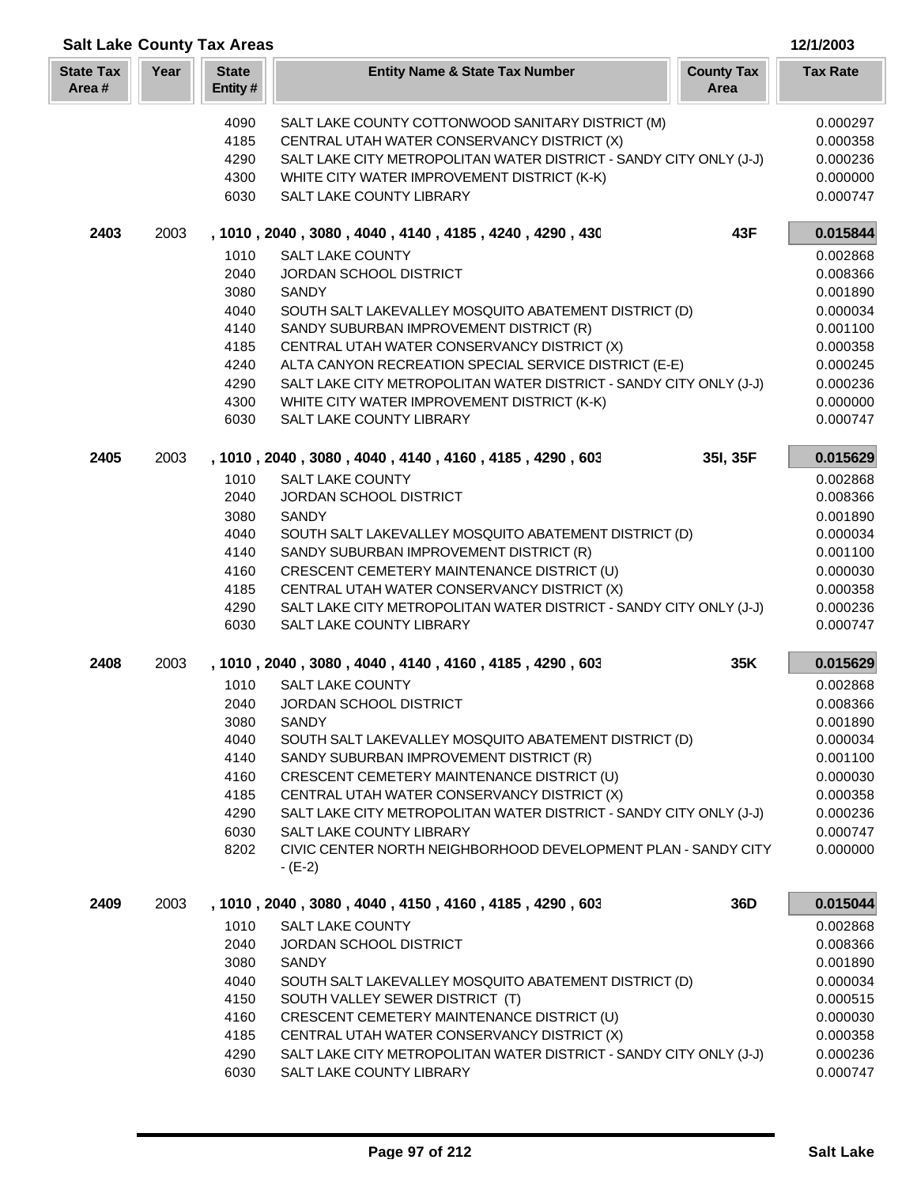| <b>Salt Lake County Tax Areas</b><br>12/1/2003 |      |                         |                                                                          |                      |  |
|------------------------------------------------|------|-------------------------|--------------------------------------------------------------------------|----------------------|--|
| <b>State Tax</b><br>Area#                      | Year | <b>State</b><br>Entity# | <b>County Tax</b><br><b>Entity Name &amp; State Tax Number</b><br>Area   | <b>Tax Rate</b>      |  |
|                                                |      | 4090                    | SALT LAKE COUNTY COTTONWOOD SANITARY DISTRICT (M)                        | 0.000297             |  |
|                                                |      | 4185                    | CENTRAL UTAH WATER CONSERVANCY DISTRICT (X)                              | 0.000358             |  |
|                                                |      | 4290                    | SALT LAKE CITY METROPOLITAN WATER DISTRICT - SANDY CITY ONLY (J-J)       | 0.000236             |  |
|                                                |      | 4300                    | WHITE CITY WATER IMPROVEMENT DISTRICT (K-K)                              | 0.000000             |  |
|                                                |      | 6030                    | SALT LAKE COUNTY LIBRARY                                                 | 0.000747             |  |
| 2403                                           | 2003 |                         | , 1010, 2040, 3080, 4040, 4140, 4185, 4240, 4290, 430<br>43F             | 0.015844             |  |
|                                                |      | 1010                    | <b>SALT LAKE COUNTY</b>                                                  | 0.002868             |  |
|                                                |      | 2040                    | JORDAN SCHOOL DISTRICT                                                   | 0.008366             |  |
|                                                |      | 3080                    | <b>SANDY</b>                                                             | 0.001890             |  |
|                                                |      | 4040                    | SOUTH SALT LAKEVALLEY MOSQUITO ABATEMENT DISTRICT (D)                    | 0.000034             |  |
|                                                |      | 4140                    | SANDY SUBURBAN IMPROVEMENT DISTRICT (R)                                  | 0.001100             |  |
|                                                |      | 4185                    | CENTRAL UTAH WATER CONSERVANCY DISTRICT (X)                              | 0.000358             |  |
|                                                |      | 4240                    | ALTA CANYON RECREATION SPECIAL SERVICE DISTRICT (E-E)                    | 0.000245             |  |
|                                                |      | 4290                    | SALT LAKE CITY METROPOLITAN WATER DISTRICT - SANDY CITY ONLY (J-J)       | 0.000236             |  |
|                                                |      | 4300                    | WHITE CITY WATER IMPROVEMENT DISTRICT (K-K)                              | 0.000000             |  |
|                                                |      | 6030                    | SALT LAKE COUNTY LIBRARY                                                 | 0.000747             |  |
| 2405                                           | 2003 |                         | 35I, 35F<br>, 1010, 2040, 3080, 4040, 4140, 4160, 4185, 4290, 603        | 0.015629             |  |
|                                                |      | 1010                    | <b>SALT LAKE COUNTY</b>                                                  | 0.002868             |  |
|                                                |      | 2040                    | JORDAN SCHOOL DISTRICT                                                   | 0.008366             |  |
|                                                |      | 3080                    | <b>SANDY</b>                                                             | 0.001890             |  |
|                                                |      | 4040                    | SOUTH SALT LAKEVALLEY MOSQUITO ABATEMENT DISTRICT (D)                    | 0.000034             |  |
|                                                |      | 4140                    | SANDY SUBURBAN IMPROVEMENT DISTRICT (R)                                  | 0.001100             |  |
|                                                |      | 4160                    | CRESCENT CEMETERY MAINTENANCE DISTRICT (U)                               | 0.000030             |  |
|                                                |      | 4185                    | CENTRAL UTAH WATER CONSERVANCY DISTRICT (X)                              | 0.000358             |  |
|                                                |      | 4290                    | SALT LAKE CITY METROPOLITAN WATER DISTRICT - SANDY CITY ONLY (J-J)       | 0.000236             |  |
|                                                |      | 6030                    | SALT LAKE COUNTY LIBRARY                                                 | 0.000747             |  |
| 2408                                           | 2003 |                         | 35K<br>, 1010, 2040, 3080, 4040, 4140, 4160, 4185, 4290, 603             | 0.015629             |  |
|                                                |      | 1010                    | <b>SALT LAKE COUNTY</b>                                                  | 0.002868             |  |
|                                                |      |                         | 2040 JORDAN SCHOOL DISTRICT                                              | 0.008366             |  |
|                                                |      | 3080                    | <b>SANDY</b>                                                             | 0.001890             |  |
|                                                |      | 4040                    | SOUTH SALT LAKEVALLEY MOSQUITO ABATEMENT DISTRICT (D)                    | 0.000034             |  |
|                                                |      | 4140                    | SANDY SUBURBAN IMPROVEMENT DISTRICT (R)                                  | 0.001100             |  |
|                                                |      | 4160                    | CRESCENT CEMETERY MAINTENANCE DISTRICT (U)                               | 0.000030             |  |
|                                                |      | 4185                    | CENTRAL UTAH WATER CONSERVANCY DISTRICT (X)                              | 0.000358             |  |
|                                                |      | 4290                    | SALT LAKE CITY METROPOLITAN WATER DISTRICT - SANDY CITY ONLY (J-J)       | 0.000236             |  |
|                                                |      | 6030                    | SALT LAKE COUNTY LIBRARY                                                 | 0.000747             |  |
|                                                |      | 8202                    | CIVIC CENTER NORTH NEIGHBORHOOD DEVELOPMENT PLAN - SANDY CITY<br>- (E-2) | 0.000000             |  |
| 2409                                           | 2003 |                         | 36D<br>, 1010, 2040, 3080, 4040, 4150, 4160, 4185, 4290, 603             | 0.015044             |  |
|                                                |      | 1010                    | SALT LAKE COUNTY                                                         |                      |  |
|                                                |      | 2040                    | <b>JORDAN SCHOOL DISTRICT</b>                                            | 0.002868<br>0.008366 |  |
|                                                |      | 3080                    | <b>SANDY</b>                                                             | 0.001890             |  |
|                                                |      | 4040                    | SOUTH SALT LAKEVALLEY MOSQUITO ABATEMENT DISTRICT (D)                    | 0.000034             |  |
|                                                |      | 4150                    | SOUTH VALLEY SEWER DISTRICT (T)                                          | 0.000515             |  |
|                                                |      | 4160                    | CRESCENT CEMETERY MAINTENANCE DISTRICT (U)                               | 0.000030             |  |
|                                                |      | 4185                    | CENTRAL UTAH WATER CONSERVANCY DISTRICT (X)                              | 0.000358             |  |
|                                                |      | 4290                    | SALT LAKE CITY METROPOLITAN WATER DISTRICT - SANDY CITY ONLY (J-J)       | 0.000236             |  |
|                                                |      | 6030                    | SALT LAKE COUNTY LIBRARY                                                 | 0.000747             |  |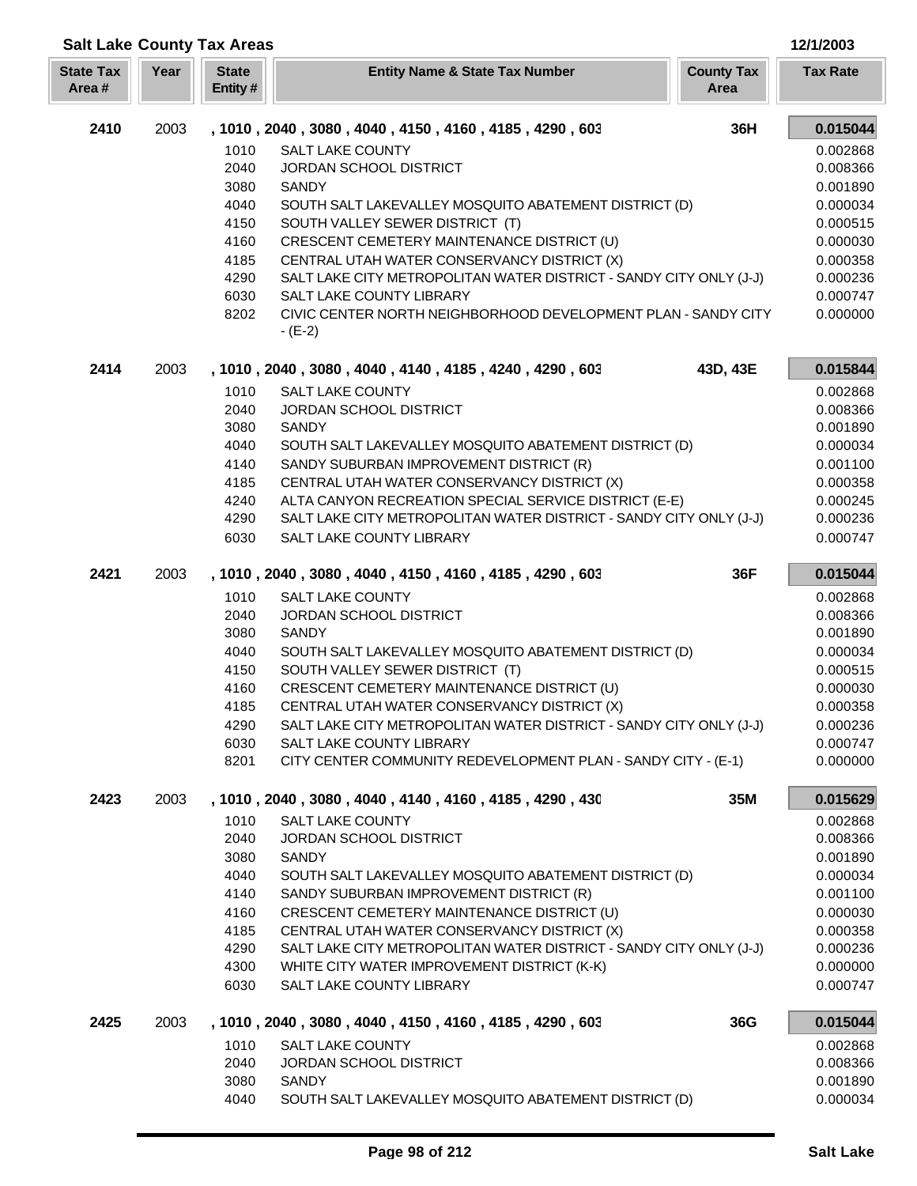| <b>Salt Lake County Tax Areas</b> |      |                         |                                                                                                                             |                           | 12/1/2003            |
|-----------------------------------|------|-------------------------|-----------------------------------------------------------------------------------------------------------------------------|---------------------------|----------------------|
| <b>State Tax</b><br>Area#         | Year | <b>State</b><br>Entity# | <b>Entity Name &amp; State Tax Number</b>                                                                                   | <b>County Tax</b><br>Area | <b>Tax Rate</b>      |
| 2410                              | 2003 |                         | , 1010, 2040, 3080, 4040, 4150, 4160, 4185, 4290, 603                                                                       | 36H                       | 0.015044             |
|                                   |      | 1010                    | <b>SALT LAKE COUNTY</b>                                                                                                     |                           | 0.002868             |
|                                   |      | 2040                    | <b>JORDAN SCHOOL DISTRICT</b>                                                                                               |                           | 0.008366             |
|                                   |      | 3080                    | <b>SANDY</b>                                                                                                                |                           | 0.001890             |
|                                   |      | 4040                    | SOUTH SALT LAKEVALLEY MOSQUITO ABATEMENT DISTRICT (D)                                                                       |                           | 0.000034             |
|                                   |      | 4150                    | SOUTH VALLEY SEWER DISTRICT (T)                                                                                             |                           | 0.000515             |
|                                   |      | 4160                    | CRESCENT CEMETERY MAINTENANCE DISTRICT (U)                                                                                  |                           | 0.000030             |
|                                   |      | 4185                    | CENTRAL UTAH WATER CONSERVANCY DISTRICT (X)                                                                                 |                           | 0.000358             |
|                                   |      | 4290                    | SALT LAKE CITY METROPOLITAN WATER DISTRICT - SANDY CITY ONLY (J-J)<br>SALT LAKE COUNTY LIBRARY                              |                           | 0.000236             |
|                                   |      | 6030<br>8202            | CIVIC CENTER NORTH NEIGHBORHOOD DEVELOPMENT PLAN - SANDY CITY                                                               |                           | 0.000747<br>0.000000 |
|                                   |      |                         | $- (E-2)$                                                                                                                   |                           |                      |
| 2414                              | 2003 |                         | , 1010, 2040, 3080, 4040, 4140, 4185, 4240, 4290, 603                                                                       | 43D, 43E                  | 0.015844             |
|                                   |      | 1010                    | <b>SALT LAKE COUNTY</b>                                                                                                     |                           | 0.002868             |
|                                   |      | 2040                    | <b>JORDAN SCHOOL DISTRICT</b>                                                                                               |                           | 0.008366             |
|                                   |      | 3080                    | <b>SANDY</b>                                                                                                                |                           | 0.001890             |
|                                   |      | 4040                    | SOUTH SALT LAKEVALLEY MOSQUITO ABATEMENT DISTRICT (D)                                                                       |                           | 0.000034             |
|                                   |      | 4140                    | SANDY SUBURBAN IMPROVEMENT DISTRICT (R)                                                                                     |                           | 0.001100             |
|                                   |      | 4185                    | CENTRAL UTAH WATER CONSERVANCY DISTRICT (X)                                                                                 |                           | 0.000358             |
|                                   |      | 4240<br>4290            | ALTA CANYON RECREATION SPECIAL SERVICE DISTRICT (E-E)<br>SALT LAKE CITY METROPOLITAN WATER DISTRICT - SANDY CITY ONLY (J-J) |                           | 0.000245             |
|                                   |      | 6030                    | SALT LAKE COUNTY LIBRARY                                                                                                    |                           | 0.000236<br>0.000747 |
| 2421                              | 2003 |                         | , 1010, 2040, 3080, 4040, 4150, 4160, 4185, 4290, 603                                                                       | 36F                       | 0.015044             |
|                                   |      | 1010                    | <b>SALT LAKE COUNTY</b>                                                                                                     |                           | 0.002868             |
|                                   |      | 2040                    | <b>JORDAN SCHOOL DISTRICT</b>                                                                                               |                           | 0.008366             |
|                                   |      | 3080                    | SANDY                                                                                                                       |                           | 0.001890             |
|                                   |      | 4040                    | SOUTH SALT LAKEVALLEY MOSQUITO ABATEMENT DISTRICT (D)                                                                       |                           | 0.000034             |
|                                   |      | 4150                    | SOUTH VALLEY SEWER DISTRICT (T)                                                                                             |                           | 0.000515             |
|                                   |      | 4160                    | CRESCENT CEMETERY MAINTENANCE DISTRICT (U)                                                                                  |                           | 0.000030             |
|                                   |      | 4185                    | CENTRAL UTAH WATER CONSERVANCY DISTRICT (X)                                                                                 |                           | 0.000358             |
|                                   |      | 4290                    | SALT LAKE CITY METROPOLITAN WATER DISTRICT - SANDY CITY ONLY (J-J)                                                          |                           | 0.000236             |
|                                   |      | 6030                    | SALT LAKE COUNTY LIBRARY                                                                                                    |                           | 0.000747             |
|                                   |      | 8201                    | CITY CENTER COMMUNITY REDEVELOPMENT PLAN - SANDY CITY - (E-1)                                                               |                           | 0.000000             |
| 2423                              | 2003 |                         | , 1010, 2040, 3080, 4040, 4140, 4160, 4185, 4290, 430                                                                       | 35M                       | 0.015629             |
|                                   |      | 1010                    | SALT LAKE COUNTY                                                                                                            |                           | 0.002868             |
|                                   |      | 2040                    | JORDAN SCHOOL DISTRICT                                                                                                      |                           | 0.008366             |
|                                   |      | 3080                    | <b>SANDY</b>                                                                                                                |                           | 0.001890             |
|                                   |      | 4040                    | SOUTH SALT LAKEVALLEY MOSQUITO ABATEMENT DISTRICT (D)                                                                       |                           | 0.000034             |
|                                   |      | 4140                    | SANDY SUBURBAN IMPROVEMENT DISTRICT (R)                                                                                     |                           | 0.001100             |
|                                   |      | 4160                    | CRESCENT CEMETERY MAINTENANCE DISTRICT (U)                                                                                  |                           | 0.000030             |
|                                   |      | 4185<br>4290            | CENTRAL UTAH WATER CONSERVANCY DISTRICT (X)<br>SALT LAKE CITY METROPOLITAN WATER DISTRICT - SANDY CITY ONLY (J-J)           |                           | 0.000358<br>0.000236 |
|                                   |      | 4300                    | WHITE CITY WATER IMPROVEMENT DISTRICT (K-K)                                                                                 |                           | 0.000000             |
|                                   |      | 6030                    | SALT LAKE COUNTY LIBRARY                                                                                                    |                           | 0.000747             |
| 2425                              | 2003 |                         | , 1010, 2040, 3080, 4040, 4150, 4160, 4185, 4290, 603                                                                       | 36G                       | 0.015044             |
|                                   |      | 1010                    | <b>SALT LAKE COUNTY</b>                                                                                                     |                           | 0.002868             |
|                                   |      | 2040                    | JORDAN SCHOOL DISTRICT                                                                                                      |                           | 0.008366             |
|                                   |      | 3080                    | SANDY                                                                                                                       |                           | 0.001890             |
|                                   |      | 4040                    | SOUTH SALT LAKEVALLEY MOSQUITO ABATEMENT DISTRICT (D)                                                                       |                           | 0.000034             |

ī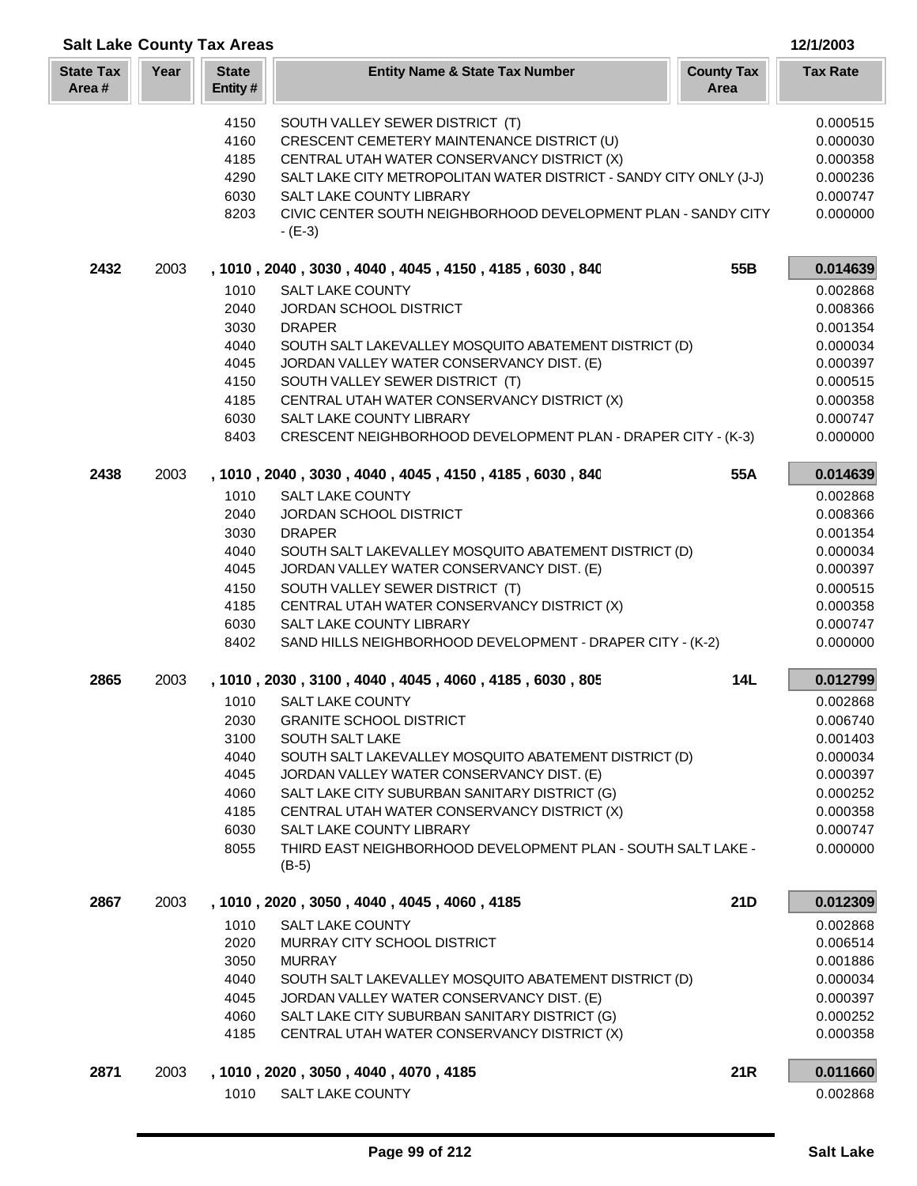|                            |              | <b>Salt Lake County Tax Areas</b>                                                                                                            |                                                                                                                                                                                                                                                                                                                                                                                                                                                                                                                                                                                                                                                                                                                                                                                                                                                             |                           | 12/1/2003                                                                                                                                                                                                                                    |
|----------------------------|--------------|----------------------------------------------------------------------------------------------------------------------------------------------|-------------------------------------------------------------------------------------------------------------------------------------------------------------------------------------------------------------------------------------------------------------------------------------------------------------------------------------------------------------------------------------------------------------------------------------------------------------------------------------------------------------------------------------------------------------------------------------------------------------------------------------------------------------------------------------------------------------------------------------------------------------------------------------------------------------------------------------------------------------|---------------------------|----------------------------------------------------------------------------------------------------------------------------------------------------------------------------------------------------------------------------------------------|
| <b>State Tax</b><br>Area # | Year         | <b>State</b><br>Entity#                                                                                                                      | <b>Entity Name &amp; State Tax Number</b>                                                                                                                                                                                                                                                                                                                                                                                                                                                                                                                                                                                                                                                                                                                                                                                                                   | <b>County Tax</b><br>Area | <b>Tax Rate</b>                                                                                                                                                                                                                              |
|                            |              | 4150<br>4160<br>4185<br>4290<br>6030<br>8203                                                                                                 | SOUTH VALLEY SEWER DISTRICT (T)<br>CRESCENT CEMETERY MAINTENANCE DISTRICT (U)<br>CENTRAL UTAH WATER CONSERVANCY DISTRICT (X)<br>SALT LAKE CITY METROPOLITAN WATER DISTRICT - SANDY CITY ONLY (J-J)<br><b>SALT LAKE COUNTY LIBRARY</b><br>CIVIC CENTER SOUTH NEIGHBORHOOD DEVELOPMENT PLAN - SANDY CITY<br>$- (E-3)$                                                                                                                                                                                                                                                                                                                                                                                                                                                                                                                                         |                           | 0.000515<br>0.000030<br>0.000358<br>0.000236<br>0.000747<br>0.000000                                                                                                                                                                         |
| 2432                       | 2003         |                                                                                                                                              | , 1010, 2040, 3030, 4040, 4045, 4150, 4185, 6030, 840                                                                                                                                                                                                                                                                                                                                                                                                                                                                                                                                                                                                                                                                                                                                                                                                       | 55B                       | 0.014639                                                                                                                                                                                                                                     |
|                            |              | 1010<br>2040<br>3030<br>4040<br>4045<br>4150<br>4185<br>6030<br>8403                                                                         | SALT LAKE COUNTY<br>JORDAN SCHOOL DISTRICT<br><b>DRAPER</b><br>SOUTH SALT LAKEVALLEY MOSQUITO ABATEMENT DISTRICT (D)<br>JORDAN VALLEY WATER CONSERVANCY DIST. (E)<br>SOUTH VALLEY SEWER DISTRICT (T)<br>CENTRAL UTAH WATER CONSERVANCY DISTRICT (X)<br>SALT LAKE COUNTY LIBRARY<br>CRESCENT NEIGHBORHOOD DEVELOPMENT PLAN - DRAPER CITY - (K-3)                                                                                                                                                                                                                                                                                                                                                                                                                                                                                                             |                           | 0.002868<br>0.008366<br>0.001354<br>0.000034<br>0.000397<br>0.000515<br>0.000358<br>0.000747<br>0.000000                                                                                                                                     |
|                            |              |                                                                                                                                              |                                                                                                                                                                                                                                                                                                                                                                                                                                                                                                                                                                                                                                                                                                                                                                                                                                                             |                           |                                                                                                                                                                                                                                              |
| 2438<br>2865               | 2003<br>2003 | 1010<br>2040<br>3030<br>4040<br>4045<br>4150<br>4185<br>6030<br>8402<br>1010<br>2030<br>3100<br>4040<br>4045<br>4060<br>4185<br>6030<br>8055 | , 1010, 2040, 3030, 4040, 4045, 4150, 4185, 6030, 840<br><b>SALT LAKE COUNTY</b><br>JORDAN SCHOOL DISTRICT<br><b>DRAPER</b><br>SOUTH SALT LAKEVALLEY MOSQUITO ABATEMENT DISTRICT (D)<br>JORDAN VALLEY WATER CONSERVANCY DIST. (E)<br>SOUTH VALLEY SEWER DISTRICT (T)<br>CENTRAL UTAH WATER CONSERVANCY DISTRICT (X)<br>SALT LAKE COUNTY LIBRARY<br>SAND HILLS NEIGHBORHOOD DEVELOPMENT - DRAPER CITY - (K-2)<br>, 1010, 2030, 3100, 4040, 4045, 4060, 4185, 6030, 805<br>SALT LAKE COUNTY<br><b>GRANITE SCHOOL DISTRICT</b><br>SOUTH SALT LAKE<br>SOUTH SALT LAKEVALLEY MOSQUITO ABATEMENT DISTRICT (D)<br>JORDAN VALLEY WATER CONSERVANCY DIST. (E)<br>SALT LAKE CITY SUBURBAN SANITARY DISTRICT (G)<br>CENTRAL UTAH WATER CONSERVANCY DISTRICT (X)<br>SALT LAKE COUNTY LIBRARY<br>THIRD EAST NEIGHBORHOOD DEVELOPMENT PLAN - SOUTH SALT LAKE -<br>$(B-5)$ | 55A<br><b>14L</b>         | 0.014639<br>0.002868<br>0.008366<br>0.001354<br>0.000034<br>0.000397<br>0.000515<br>0.000358<br>0.000747<br>0.000000<br>0.012799<br>0.002868<br>0.006740<br>0.001403<br>0.000034<br>0.000397<br>0.000252<br>0.000358<br>0.000747<br>0.000000 |
| 2867                       | 2003         | 1010<br>2020<br>3050<br>4040<br>4045<br>4060<br>4185                                                                                         | , 1010, 2020, 3050, 4040, 4045, 4060, 4185<br>SALT LAKE COUNTY<br>MURRAY CITY SCHOOL DISTRICT<br><b>MURRAY</b><br>SOUTH SALT LAKEVALLEY MOSQUITO ABATEMENT DISTRICT (D)<br>JORDAN VALLEY WATER CONSERVANCY DIST. (E)<br>SALT LAKE CITY SUBURBAN SANITARY DISTRICT (G)<br>CENTRAL UTAH WATER CONSERVANCY DISTRICT (X)                                                                                                                                                                                                                                                                                                                                                                                                                                                                                                                                        | 21D                       | 0.012309<br>0.002868<br>0.006514<br>0.001886<br>0.000034<br>0.000397<br>0.000252<br>0.000358                                                                                                                                                 |
| 2871                       | 2003         | 1010                                                                                                                                         | , 1010, 2020, 3050, 4040, 4070, 4185<br>SALT LAKE COUNTY                                                                                                                                                                                                                                                                                                                                                                                                                                                                                                                                                                                                                                                                                                                                                                                                    | <b>21R</b>                | 0.011660<br>0.002868                                                                                                                                                                                                                         |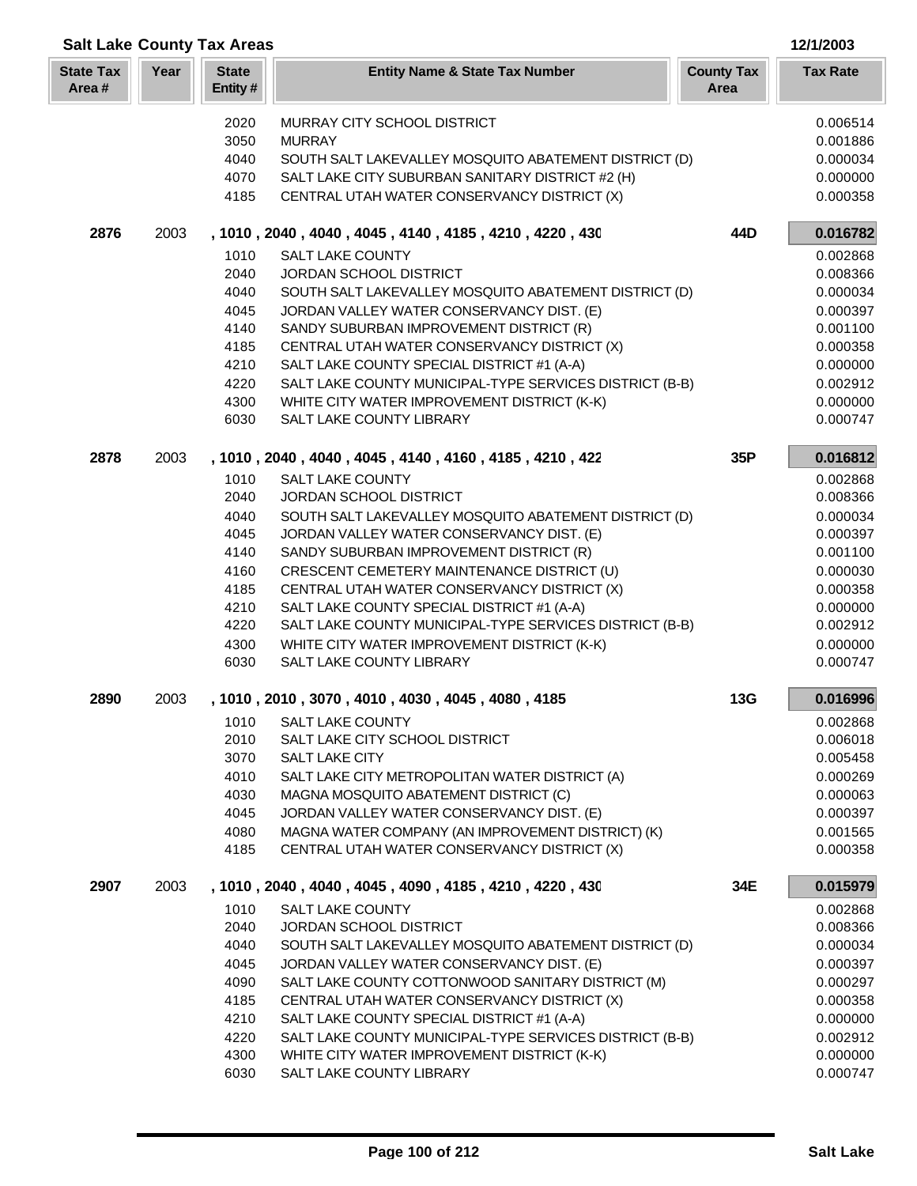| <b>Salt Lake County Tax Areas</b> |      |                         |                                                         |                           | 12/1/2003       |
|-----------------------------------|------|-------------------------|---------------------------------------------------------|---------------------------|-----------------|
| <b>State Tax</b><br>Area#         | Year | <b>State</b><br>Entity# | <b>Entity Name &amp; State Tax Number</b>               | <b>County Tax</b><br>Area | <b>Tax Rate</b> |
|                                   |      | 2020                    | MURRAY CITY SCHOOL DISTRICT                             |                           | 0.006514        |
|                                   |      | 3050                    | <b>MURRAY</b>                                           |                           | 0.001886        |
|                                   |      | 4040                    | SOUTH SALT LAKEVALLEY MOSQUITO ABATEMENT DISTRICT (D)   |                           | 0.000034        |
|                                   |      | 4070                    | SALT LAKE CITY SUBURBAN SANITARY DISTRICT #2 (H)        |                           | 0.000000        |
|                                   |      | 4185                    | CENTRAL UTAH WATER CONSERVANCY DISTRICT (X)             |                           | 0.000358        |
| 2876                              | 2003 |                         | , 1010, 2040, 4040, 4045, 4140, 4185, 4210, 4220, 430   | 44D                       | 0.016782        |
|                                   |      | 1010                    | <b>SALT LAKE COUNTY</b>                                 |                           | 0.002868        |
|                                   |      | 2040                    | <b>JORDAN SCHOOL DISTRICT</b>                           |                           | 0.008366        |
|                                   |      | 4040                    | SOUTH SALT LAKEVALLEY MOSQUITO ABATEMENT DISTRICT (D)   |                           | 0.000034        |
|                                   |      | 4045                    | JORDAN VALLEY WATER CONSERVANCY DIST. (E)               |                           | 0.000397        |
|                                   |      | 4140                    | SANDY SUBURBAN IMPROVEMENT DISTRICT (R)                 |                           | 0.001100        |
|                                   |      | 4185                    | CENTRAL UTAH WATER CONSERVANCY DISTRICT (X)             |                           | 0.000358        |
|                                   |      | 4210                    | SALT LAKE COUNTY SPECIAL DISTRICT #1 (A-A)              |                           | 0.000000        |
|                                   |      | 4220                    | SALT LAKE COUNTY MUNICIPAL-TYPE SERVICES DISTRICT (B-B) |                           | 0.002912        |
|                                   |      | 4300                    | WHITE CITY WATER IMPROVEMENT DISTRICT (K-K)             |                           | 0.000000        |
|                                   |      | 6030                    | SALT LAKE COUNTY LIBRARY                                |                           | 0.000747        |
| 2878                              | 2003 |                         | , 1010, 2040, 4040, 4045, 4140, 4160, 4185, 4210, 422   | 35P                       | 0.016812        |
|                                   |      | 1010                    | <b>SALT LAKE COUNTY</b>                                 |                           | 0.002868        |
|                                   |      | 2040                    | <b>JORDAN SCHOOL DISTRICT</b>                           |                           | 0.008366        |
|                                   |      | 4040                    | SOUTH SALT LAKEVALLEY MOSQUITO ABATEMENT DISTRICT (D)   |                           | 0.000034        |
|                                   |      | 4045                    | JORDAN VALLEY WATER CONSERVANCY DIST. (E)               |                           | 0.000397        |
|                                   |      | 4140                    | SANDY SUBURBAN IMPROVEMENT DISTRICT (R)                 |                           | 0.001100        |
|                                   |      | 4160                    | CRESCENT CEMETERY MAINTENANCE DISTRICT (U)              |                           | 0.000030        |
|                                   |      | 4185                    | CENTRAL UTAH WATER CONSERVANCY DISTRICT (X)             |                           | 0.000358        |
|                                   |      | 4210                    | SALT LAKE COUNTY SPECIAL DISTRICT #1 (A-A)              |                           | 0.000000        |
|                                   |      | 4220                    | SALT LAKE COUNTY MUNICIPAL-TYPE SERVICES DISTRICT (B-B) |                           | 0.002912        |
|                                   |      | 4300                    | WHITE CITY WATER IMPROVEMENT DISTRICT (K-K)             |                           | 0.000000        |
|                                   |      | 6030                    | SALT LAKE COUNTY LIBRARY                                |                           | 0.000747        |
| 2890                              | 2003 |                         | , 1010 , 2010 , 3070 , 4010 , 4030 , 4045 , 4080 , 4185 | 13G                       | 0.016996        |
|                                   |      | 1010                    | SALT LAKE COUNTY                                        |                           | 0.002868        |
|                                   |      | 2010                    | SALT LAKE CITY SCHOOL DISTRICT                          |                           | 0.006018        |
|                                   |      | 3070                    | SALT LAKE CITY                                          |                           | 0.005458        |
|                                   |      | 4010                    | SALT LAKE CITY METROPOLITAN WATER DISTRICT (A)          |                           | 0.000269        |
|                                   |      | 4030                    | MAGNA MOSQUITO ABATEMENT DISTRICT (C)                   |                           | 0.000063        |
|                                   |      | 4045                    | JORDAN VALLEY WATER CONSERVANCY DIST. (E)               |                           | 0.000397        |
|                                   |      | 4080                    | MAGNA WATER COMPANY (AN IMPROVEMENT DISTRICT) (K)       |                           | 0.001565        |
|                                   |      | 4185                    | CENTRAL UTAH WATER CONSERVANCY DISTRICT (X)             |                           | 0.000358        |
| 2907                              | 2003 |                         | , 1010, 2040, 4040, 4045, 4090, 4185, 4210, 4220, 430   | 34E                       | 0.015979        |
|                                   |      | 1010                    | <b>SALT LAKE COUNTY</b>                                 |                           | 0.002868        |
|                                   |      | 2040                    | <b>JORDAN SCHOOL DISTRICT</b>                           |                           | 0.008366        |
|                                   |      | 4040                    | SOUTH SALT LAKEVALLEY MOSQUITO ABATEMENT DISTRICT (D)   |                           | 0.000034        |
|                                   |      | 4045                    | JORDAN VALLEY WATER CONSERVANCY DIST. (E)               |                           | 0.000397        |
|                                   |      | 4090                    | SALT LAKE COUNTY COTTONWOOD SANITARY DISTRICT (M)       |                           | 0.000297        |
|                                   |      | 4185                    | CENTRAL UTAH WATER CONSERVANCY DISTRICT (X)             |                           | 0.000358        |
|                                   |      | 4210                    | SALT LAKE COUNTY SPECIAL DISTRICT #1 (A-A)              |                           | 0.000000        |
|                                   |      | 4220                    | SALT LAKE COUNTY MUNICIPAL-TYPE SERVICES DISTRICT (B-B) |                           | 0.002912        |
|                                   |      | 4300                    | WHITE CITY WATER IMPROVEMENT DISTRICT (K-K)             |                           | 0.000000        |
|                                   |      | 6030                    | SALT LAKE COUNTY LIBRARY                                |                           | 0.000747        |

ı L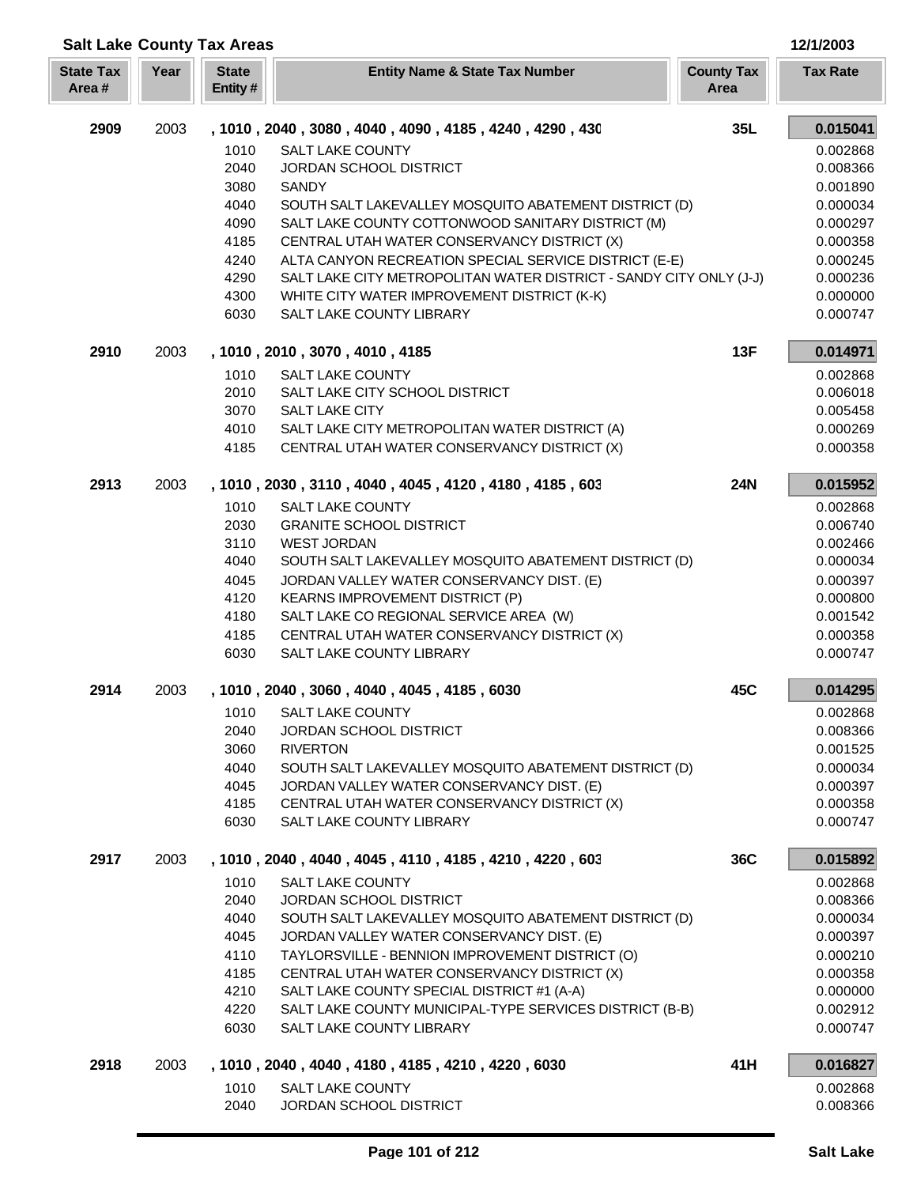| <b>Salt Lake County Tax Areas</b> |      |                         |                                                                                  |                           | 12/1/2003            |
|-----------------------------------|------|-------------------------|----------------------------------------------------------------------------------|---------------------------|----------------------|
| <b>State Tax</b><br>Area#         | Year | <b>State</b><br>Entity# | <b>Entity Name &amp; State Tax Number</b>                                        | <b>County Tax</b><br>Area | <b>Tax Rate</b>      |
| 2909                              | 2003 |                         | , 1010, 2040, 3080, 4040, 4090, 4185, 4240, 4290, 430                            | 35L                       | 0.015041             |
|                                   |      | 1010                    | SALT LAKE COUNTY                                                                 |                           | 0.002868             |
|                                   |      | 2040                    | JORDAN SCHOOL DISTRICT                                                           |                           | 0.008366             |
|                                   |      | 3080                    | <b>SANDY</b>                                                                     |                           | 0.001890             |
|                                   |      | 4040                    | SOUTH SALT LAKEVALLEY MOSQUITO ABATEMENT DISTRICT (D)                            |                           | 0.000034             |
|                                   |      | 4090                    | SALT LAKE COUNTY COTTONWOOD SANITARY DISTRICT (M)                                |                           | 0.000297             |
|                                   |      | 4185                    | CENTRAL UTAH WATER CONSERVANCY DISTRICT (X)                                      |                           | 0.000358             |
|                                   |      | 4240                    | ALTA CANYON RECREATION SPECIAL SERVICE DISTRICT (E-E)                            |                           | 0.000245             |
|                                   |      | 4290                    | SALT LAKE CITY METROPOLITAN WATER DISTRICT - SANDY CITY ONLY (J-J)               |                           | 0.000236             |
|                                   |      | 4300<br>6030            | WHITE CITY WATER IMPROVEMENT DISTRICT (K-K)<br>SALT LAKE COUNTY LIBRARY          |                           | 0.000000<br>0.000747 |
| 2910                              | 2003 |                         | , 1010, 2010, 3070, 4010, 4185                                                   | 13F                       | 0.014971             |
|                                   |      | 1010                    | <b>SALT LAKE COUNTY</b>                                                          |                           | 0.002868             |
|                                   |      | 2010                    | SALT LAKE CITY SCHOOL DISTRICT                                                   |                           | 0.006018             |
|                                   |      | 3070                    | <b>SALT LAKE CITY</b>                                                            |                           | 0.005458             |
|                                   |      | 4010                    | SALT LAKE CITY METROPOLITAN WATER DISTRICT (A)                                   |                           | 0.000269             |
|                                   |      | 4185                    | CENTRAL UTAH WATER CONSERVANCY DISTRICT (X)                                      |                           | 0.000358             |
| 2913                              | 2003 |                         | , 1010, 2030, 3110, 4040, 4045, 4120, 4180, 4185, 603                            | <b>24N</b>                | 0.015952             |
|                                   |      | 1010                    | <b>SALT LAKE COUNTY</b>                                                          |                           | 0.002868             |
|                                   |      | 2030                    | <b>GRANITE SCHOOL DISTRICT</b>                                                   |                           | 0.006740             |
|                                   |      | 3110                    | <b>WEST JORDAN</b>                                                               |                           | 0.002466             |
|                                   |      | 4040                    | SOUTH SALT LAKEVALLEY MOSQUITO ABATEMENT DISTRICT (D)                            |                           | 0.000034             |
|                                   |      | 4045                    | JORDAN VALLEY WATER CONSERVANCY DIST. (E)                                        |                           | 0.000397             |
|                                   |      | 4120<br>4180            | <b>KEARNS IMPROVEMENT DISTRICT (P)</b><br>SALT LAKE CO REGIONAL SERVICE AREA (W) |                           | 0.000800<br>0.001542 |
|                                   |      | 4185                    | CENTRAL UTAH WATER CONSERVANCY DISTRICT (X)                                      |                           | 0.000358             |
|                                   |      | 6030                    | SALT LAKE COUNTY LIBRARY                                                         |                           | 0.000747             |
| 2914                              | 2003 |                         | , 1010, 2040, 3060, 4040, 4045, 4185, 6030                                       | 45C                       | 0.014295             |
|                                   |      |                         | 1010 SALT LAKE COUNTY                                                            |                           | 0.002868             |
|                                   |      | 2040                    | <b>JORDAN SCHOOL DISTRICT</b>                                                    |                           | 0.008366             |
|                                   |      | 3060                    | <b>RIVERTON</b>                                                                  |                           | 0.001525             |
|                                   |      | 4040                    | SOUTH SALT LAKEVALLEY MOSQUITO ABATEMENT DISTRICT (D)                            |                           | 0.000034             |
|                                   |      | 4045                    | JORDAN VALLEY WATER CONSERVANCY DIST. (E)                                        |                           | 0.000397             |
|                                   |      | 4185                    | CENTRAL UTAH WATER CONSERVANCY DISTRICT (X)                                      |                           | 0.000358             |
|                                   |      | 6030                    | SALT LAKE COUNTY LIBRARY                                                         |                           | 0.000747             |
| 2917                              | 2003 |                         | , 1010, 2040, 4040, 4045, 4110, 4185, 4210, 4220, 603                            | 36C                       | 0.015892             |
|                                   |      | 1010<br>2040            | <b>SALT LAKE COUNTY</b><br>JORDAN SCHOOL DISTRICT                                |                           | 0.002868             |
|                                   |      | 4040                    | SOUTH SALT LAKEVALLEY MOSQUITO ABATEMENT DISTRICT (D)                            |                           | 0.008366<br>0.000034 |
|                                   |      | 4045                    | JORDAN VALLEY WATER CONSERVANCY DIST. (E)                                        |                           | 0.000397             |
|                                   |      | 4110                    | TAYLORSVILLE - BENNION IMPROVEMENT DISTRICT (O)                                  |                           | 0.000210             |
|                                   |      | 4185                    | CENTRAL UTAH WATER CONSERVANCY DISTRICT (X)                                      |                           | 0.000358             |
|                                   |      | 4210                    | SALT LAKE COUNTY SPECIAL DISTRICT #1 (A-A)                                       |                           | 0.000000             |
|                                   |      | 4220                    | SALT LAKE COUNTY MUNICIPAL-TYPE SERVICES DISTRICT (B-B)                          |                           | 0.002912             |
|                                   |      | 6030                    | SALT LAKE COUNTY LIBRARY                                                         |                           | 0.000747             |
| 2918                              | 2003 |                         | , 1010, 2040, 4040, 4180, 4185, 4210, 4220, 6030                                 | 41H                       | 0.016827             |
|                                   |      | 1010                    | <b>SALT LAKE COUNTY</b>                                                          |                           | 0.002868             |
|                                   |      | 2040                    | <b>JORDAN SCHOOL DISTRICT</b>                                                    |                           | 0.008366             |

Γ I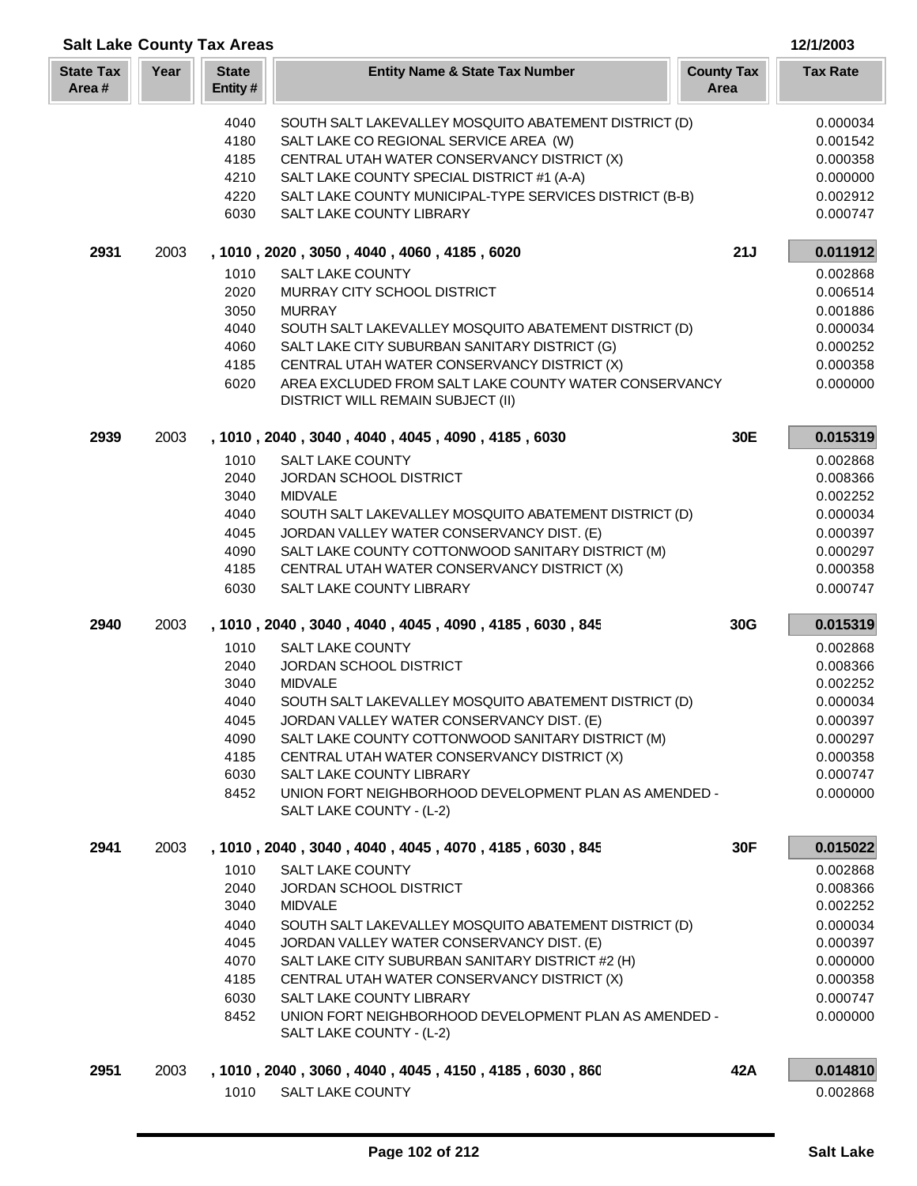| <b>Salt Lake County Tax Areas</b> |      |                                                                      |                                                                                                                                                                                                                                                                                                                                                                                                |                           | 12/1/2003                                                                                                |
|-----------------------------------|------|----------------------------------------------------------------------|------------------------------------------------------------------------------------------------------------------------------------------------------------------------------------------------------------------------------------------------------------------------------------------------------------------------------------------------------------------------------------------------|---------------------------|----------------------------------------------------------------------------------------------------------|
| <b>State Tax</b><br>Area#         | Year | <b>State</b><br>Entity#                                              | <b>Entity Name &amp; State Tax Number</b>                                                                                                                                                                                                                                                                                                                                                      | <b>County Tax</b><br>Area | <b>Tax Rate</b>                                                                                          |
|                                   |      | 4040<br>4180<br>4185<br>4210<br>4220<br>6030                         | SOUTH SALT LAKEVALLEY MOSQUITO ABATEMENT DISTRICT (D)<br>SALT LAKE CO REGIONAL SERVICE AREA (W)<br>CENTRAL UTAH WATER CONSERVANCY DISTRICT (X)<br>SALT LAKE COUNTY SPECIAL DISTRICT #1 (A-A)<br>SALT LAKE COUNTY MUNICIPAL-TYPE SERVICES DISTRICT (B-B)<br>SALT LAKE COUNTY LIBRARY                                                                                                            |                           | 0.000034<br>0.001542<br>0.000358<br>0.000000<br>0.002912<br>0.000747                                     |
| 2931                              | 2003 |                                                                      | , 1010, 2020, 3050, 4040, 4060, 4185, 6020                                                                                                                                                                                                                                                                                                                                                     | 21J                       | 0.011912                                                                                                 |
|                                   |      | 1010<br>2020<br>3050<br>4040<br>4060<br>4185<br>6020                 | <b>SALT LAKE COUNTY</b><br>MURRAY CITY SCHOOL DISTRICT<br><b>MURRAY</b><br>SOUTH SALT LAKEVALLEY MOSQUITO ABATEMENT DISTRICT (D)<br>SALT LAKE CITY SUBURBAN SANITARY DISTRICT (G)<br>CENTRAL UTAH WATER CONSERVANCY DISTRICT (X)<br>AREA EXCLUDED FROM SALT LAKE COUNTY WATER CONSERVANCY<br><b>DISTRICT WILL REMAIN SUBJECT (II)</b>                                                          |                           | 0.002868<br>0.006514<br>0.001886<br>0.000034<br>0.000252<br>0.000358<br>0.000000                         |
| 2939                              | 2003 |                                                                      | , 1010, 2040, 3040, 4040, 4045, 4090, 4185, 6030                                                                                                                                                                                                                                                                                                                                               | 30E                       | 0.015319                                                                                                 |
|                                   |      | 1010<br>2040<br>3040<br>4040<br>4045<br>4090<br>4185<br>6030         | <b>SALT LAKE COUNTY</b><br>JORDAN SCHOOL DISTRICT<br><b>MIDVALE</b><br>SOUTH SALT LAKEVALLEY MOSQUITO ABATEMENT DISTRICT (D)<br>JORDAN VALLEY WATER CONSERVANCY DIST. (E)<br>SALT LAKE COUNTY COTTONWOOD SANITARY DISTRICT (M)<br>CENTRAL UTAH WATER CONSERVANCY DISTRICT (X)<br>SALT LAKE COUNTY LIBRARY                                                                                      |                           | 0.002868<br>0.008366<br>0.002252<br>0.000034<br>0.000397<br>0.000297<br>0.000358<br>0.000747             |
| 2940                              | 2003 |                                                                      | , 1010, 2040, 3040, 4040, 4045, 4090, 4185, 6030, 845                                                                                                                                                                                                                                                                                                                                          | 30G                       | 0.015319                                                                                                 |
|                                   |      | 1010<br>2040<br>3040<br>4040<br>4045<br>4090<br>4185<br>6030<br>8452 | <b>SALT LAKE COUNTY</b><br>JORDAN SCHOOL DISTRICT<br><b>MIDVALE</b><br>SOUTH SALT LAKEVALLEY MOSQUITO ABATEMENT DISTRICT (D)<br>JORDAN VALLEY WATER CONSERVANCY DIST. (E)<br>SALT LAKE COUNTY COTTONWOOD SANITARY DISTRICT (M)<br>CENTRAL UTAH WATER CONSERVANCY DISTRICT (X)<br>SALT LAKE COUNTY LIBRARY<br>UNION FORT NEIGHBORHOOD DEVELOPMENT PLAN AS AMENDED -<br>SALT LAKE COUNTY - (L-2) |                           | 0.002868<br>0.008366<br>0.002252<br>0.000034<br>0.000397<br>0.000297<br>0.000358<br>0.000747<br>0.000000 |
| 2941                              | 2003 |                                                                      | , 1010, 2040, 3040, 4040, 4045, 4070, 4185, 6030, 845                                                                                                                                                                                                                                                                                                                                          | 30F                       | 0.015022                                                                                                 |
|                                   |      | 1010<br>2040<br>3040<br>4040<br>4045<br>4070<br>4185<br>6030<br>8452 | SALT LAKE COUNTY<br>JORDAN SCHOOL DISTRICT<br><b>MIDVALE</b><br>SOUTH SALT LAKEVALLEY MOSQUITO ABATEMENT DISTRICT (D)<br>JORDAN VALLEY WATER CONSERVANCY DIST. (E)<br>SALT LAKE CITY SUBURBAN SANITARY DISTRICT #2 (H)<br>CENTRAL UTAH WATER CONSERVANCY DISTRICT (X)<br>SALT LAKE COUNTY LIBRARY<br>UNION FORT NEIGHBORHOOD DEVELOPMENT PLAN AS AMENDED -<br>SALT LAKE COUNTY - (L-2)         |                           | 0.002868<br>0.008366<br>0.002252<br>0.000034<br>0.000397<br>0.000000<br>0.000358<br>0.000747<br>0.000000 |
| 2951                              | 2003 | 1010                                                                 | , 1010, 2040, 3060, 4040, 4045, 4150, 4185, 6030, 860<br><b>SALT LAKE COUNTY</b>                                                                                                                                                                                                                                                                                                               | 42A                       | 0.014810<br>0.002868                                                                                     |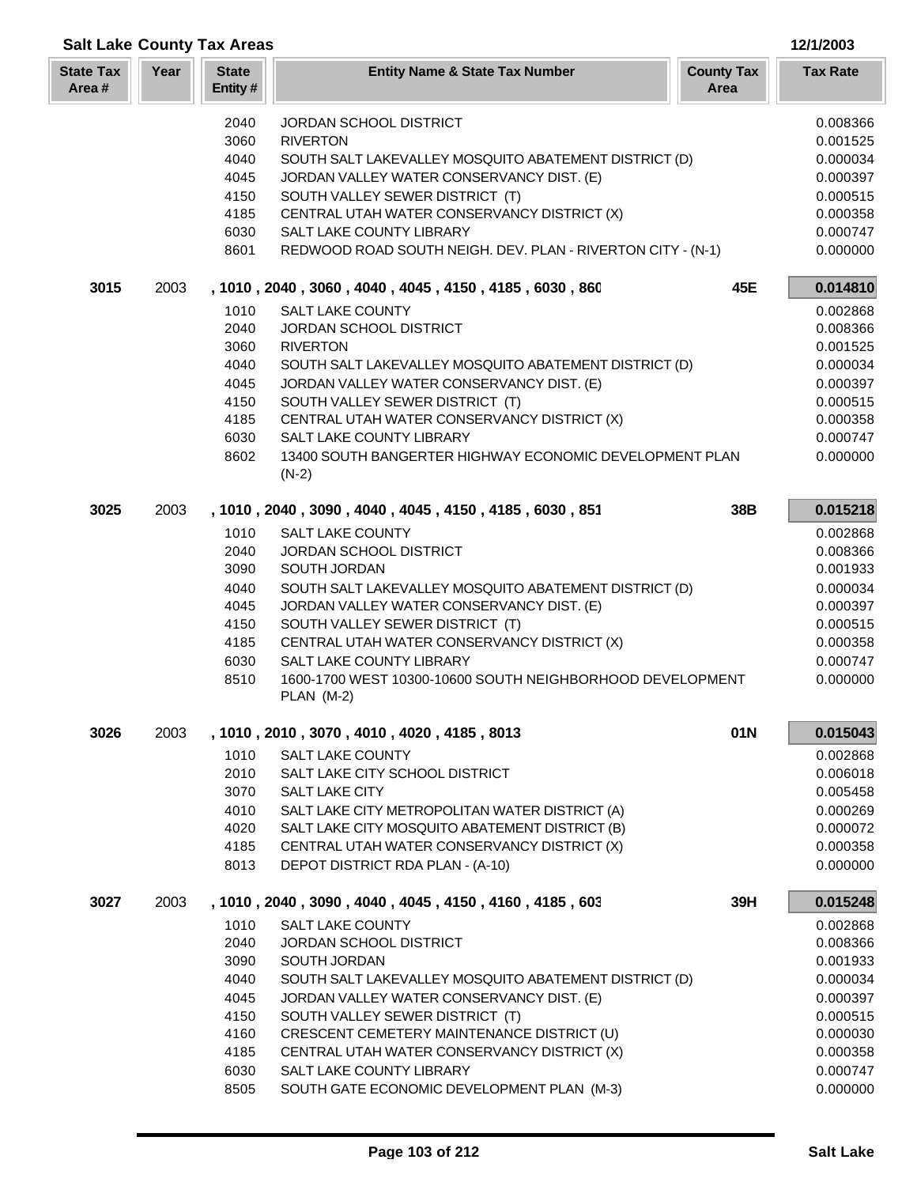|                           |      | <b>Salt Lake County Tax Areas</b> |                                                                               |                           | 12/1/2003            |
|---------------------------|------|-----------------------------------|-------------------------------------------------------------------------------|---------------------------|----------------------|
| <b>State Tax</b><br>Area# | Year | <b>State</b><br>Entity#           | <b>Entity Name &amp; State Tax Number</b>                                     | <b>County Tax</b><br>Area | <b>Tax Rate</b>      |
|                           |      | 2040                              | JORDAN SCHOOL DISTRICT                                                        |                           | 0.008366             |
|                           |      | 3060                              | <b>RIVERTON</b>                                                               |                           | 0.001525             |
|                           |      | 4040                              | SOUTH SALT LAKEVALLEY MOSQUITO ABATEMENT DISTRICT (D)                         |                           | 0.000034             |
|                           |      | 4045                              | JORDAN VALLEY WATER CONSERVANCY DIST. (E)                                     |                           | 0.000397             |
|                           |      | 4150                              | SOUTH VALLEY SEWER DISTRICT (T)                                               |                           | 0.000515             |
|                           |      | 4185                              | CENTRAL UTAH WATER CONSERVANCY DISTRICT (X)                                   |                           | 0.000358             |
|                           |      | 6030                              | SALT LAKE COUNTY LIBRARY                                                      |                           | 0.000747             |
|                           |      | 8601                              | REDWOOD ROAD SOUTH NEIGH. DEV. PLAN - RIVERTON CITY - (N-1)                   |                           | 0.000000             |
| 3015                      | 2003 |                                   | , 1010, 2040, 3060, 4040, 4045, 4150, 4185, 6030, 860                         | 45E                       | 0.014810             |
|                           |      | 1010                              | <b>SALT LAKE COUNTY</b>                                                       |                           | 0.002868             |
|                           |      | 2040                              | JORDAN SCHOOL DISTRICT                                                        |                           | 0.008366             |
|                           |      | 3060                              | <b>RIVERTON</b>                                                               |                           | 0.001525             |
|                           |      | 4040                              | SOUTH SALT LAKEVALLEY MOSQUITO ABATEMENT DISTRICT (D)                         |                           | 0.000034             |
|                           |      | 4045                              | JORDAN VALLEY WATER CONSERVANCY DIST. (E)                                     |                           | 0.000397             |
|                           |      | 4150                              | SOUTH VALLEY SEWER DISTRICT (T)                                               |                           | 0.000515             |
|                           |      | 4185<br>6030                      | CENTRAL UTAH WATER CONSERVANCY DISTRICT (X)<br>SALT LAKE COUNTY LIBRARY       |                           | 0.000358<br>0.000747 |
|                           |      | 8602                              | 13400 SOUTH BANGERTER HIGHWAY ECONOMIC DEVELOPMENT PLAN                       |                           | 0.000000             |
|                           |      |                                   | $(N-2)$                                                                       |                           |                      |
| 3025                      | 2003 |                                   | , 1010, 2040, 3090, 4040, 4045, 4150, 4185, 6030, 851                         | 38B                       | 0.015218             |
|                           |      | 1010                              | <b>SALT LAKE COUNTY</b>                                                       |                           | 0.002868             |
|                           |      | 2040                              | JORDAN SCHOOL DISTRICT                                                        |                           | 0.008366             |
|                           |      | 3090                              | SOUTH JORDAN                                                                  |                           | 0.001933             |
|                           |      | 4040                              | SOUTH SALT LAKEVALLEY MOSQUITO ABATEMENT DISTRICT (D)                         |                           | 0.000034             |
|                           |      | 4045                              | JORDAN VALLEY WATER CONSERVANCY DIST. (E)                                     |                           | 0.000397             |
|                           |      | 4150                              | SOUTH VALLEY SEWER DISTRICT (T)                                               |                           | 0.000515             |
|                           |      | 4185                              | CENTRAL UTAH WATER CONSERVANCY DISTRICT (X)                                   |                           | 0.000358             |
|                           |      | 6030                              | <b>SALT LAKE COUNTY LIBRARY</b>                                               |                           | 0.000747             |
|                           |      | 8510                              | 1600-1700 WEST 10300-10600 SOUTH NEIGHBORHOOD DEVELOPMENT<br>PLAN (M-2)       |                           | 0.000000             |
| 3026                      | 2003 |                                   | , 1010 , 2010 , 3070 , 4010 , 4020 , 4185 , 8013                              | 01N                       | 0.015043             |
|                           |      | 1010                              | <b>SALT LAKE COUNTY</b>                                                       |                           | 0.002868             |
|                           |      | 2010                              | SALT LAKE CITY SCHOOL DISTRICT                                                |                           | 0.006018             |
|                           |      | 3070                              | SALT LAKE CITY                                                                |                           | 0.005458             |
|                           |      | 4010                              | SALT LAKE CITY METROPOLITAN WATER DISTRICT (A)                                |                           | 0.000269             |
|                           |      | 4020                              | SALT LAKE CITY MOSQUITO ABATEMENT DISTRICT (B)                                |                           | 0.000072             |
|                           |      | 4185                              | CENTRAL UTAH WATER CONSERVANCY DISTRICT (X)                                   |                           | 0.000358             |
|                           |      | 8013                              | DEPOT DISTRICT RDA PLAN - (A-10)                                              |                           | 0.000000             |
| 3027                      | 2003 |                                   | , 1010, 2040, 3090, 4040, 4045, 4150, 4160, 4185, 603                         | 39H                       | 0.015248             |
|                           |      | 1010                              | SALT LAKE COUNTY                                                              |                           | 0.002868             |
|                           |      | 2040                              | JORDAN SCHOOL DISTRICT                                                        |                           | 0.008366             |
|                           |      | 3090                              | SOUTH JORDAN                                                                  |                           | 0.001933             |
|                           |      | 4040                              | SOUTH SALT LAKEVALLEY MOSQUITO ABATEMENT DISTRICT (D)                         |                           | 0.000034             |
|                           |      | 4045<br>4150                      | JORDAN VALLEY WATER CONSERVANCY DIST. (E)                                     |                           | 0.000397<br>0.000515 |
|                           |      | 4160                              | SOUTH VALLEY SEWER DISTRICT (T)<br>CRESCENT CEMETERY MAINTENANCE DISTRICT (U) |                           | 0.000030             |
|                           |      | 4185                              | CENTRAL UTAH WATER CONSERVANCY DISTRICT (X)                                   |                           | 0.000358             |
|                           |      | 6030                              | <b>SALT LAKE COUNTY LIBRARY</b>                                               |                           | 0.000747             |
|                           |      | 8505                              | SOUTH GATE ECONOMIC DEVELOPMENT PLAN (M-3)                                    |                           | 0.000000             |

п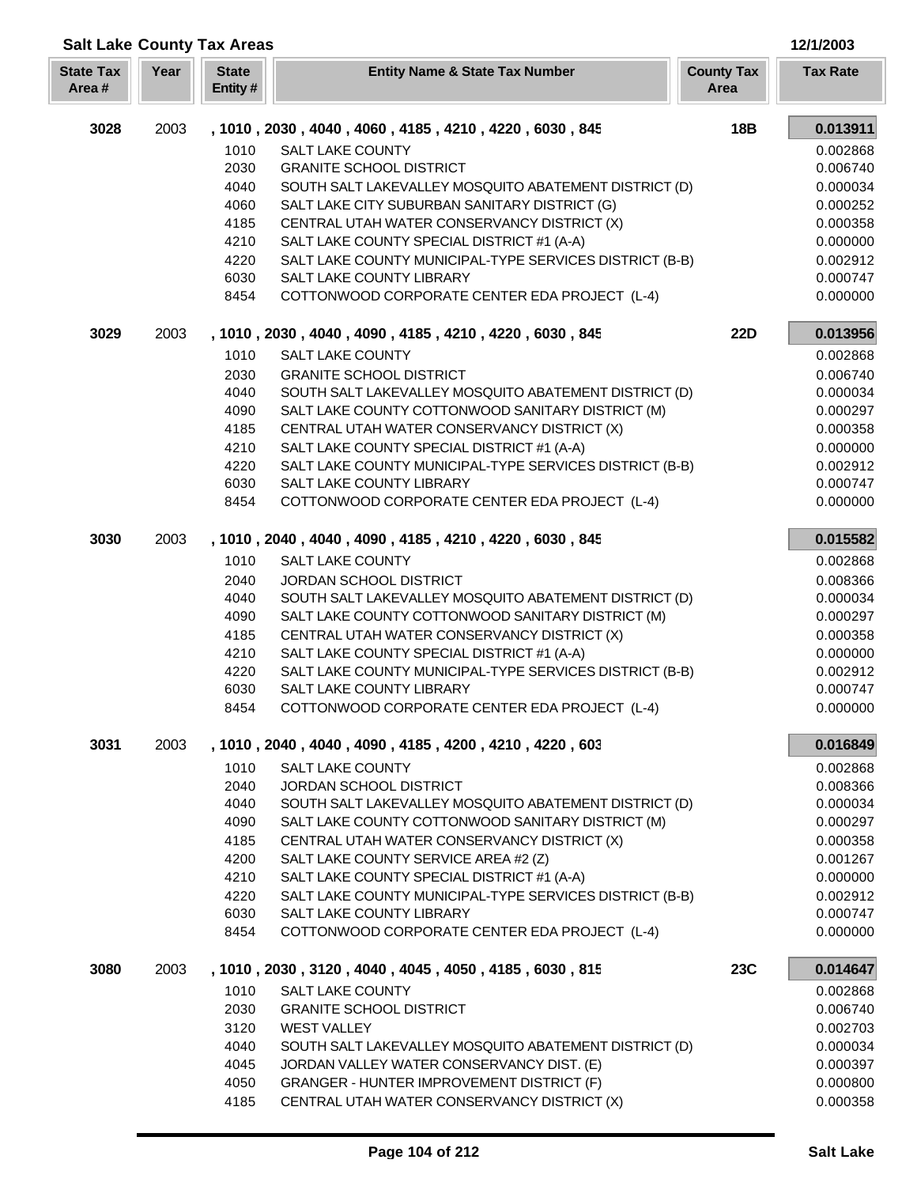| <b>Salt Lake County Tax Areas</b> |      |                         |                                                                                                       |                           | 12/1/2003            |
|-----------------------------------|------|-------------------------|-------------------------------------------------------------------------------------------------------|---------------------------|----------------------|
| <b>State Tax</b><br>Area#         | Year | <b>State</b><br>Entity# | <b>Entity Name &amp; State Tax Number</b>                                                             | <b>County Tax</b><br>Area | <b>Tax Rate</b>      |
| 3028                              | 2003 |                         | , 1010 , 2030 , 4040 , 4060 , 4185 , 4210 , 4220 , 6030 , 845                                         | 18B                       | 0.013911             |
|                                   |      | 1010                    | <b>SALT LAKE COUNTY</b>                                                                               |                           | 0.002868             |
|                                   |      | 2030                    | <b>GRANITE SCHOOL DISTRICT</b>                                                                        |                           | 0.006740             |
|                                   |      | 4040                    | SOUTH SALT LAKEVALLEY MOSQUITO ABATEMENT DISTRICT (D)                                                 |                           | 0.000034             |
|                                   |      | 4060                    | SALT LAKE CITY SUBURBAN SANITARY DISTRICT (G)                                                         |                           | 0.000252             |
|                                   |      | 4185                    | CENTRAL UTAH WATER CONSERVANCY DISTRICT (X)                                                           |                           | 0.000358             |
|                                   |      | 4210                    | SALT LAKE COUNTY SPECIAL DISTRICT #1 (A-A)                                                            |                           | 0.000000             |
|                                   |      | 4220                    | SALT LAKE COUNTY MUNICIPAL-TYPE SERVICES DISTRICT (B-B)                                               |                           | 0.002912             |
|                                   |      | 6030                    | SALT LAKE COUNTY LIBRARY                                                                              |                           | 0.000747             |
|                                   |      | 8454                    | COTTONWOOD CORPORATE CENTER EDA PROJECT (L-4)                                                         |                           | 0.000000             |
| 3029                              | 2003 |                         | , 1010, 2030, 4040, 4090, 4185, 4210, 4220, 6030, 845                                                 | <b>22D</b>                | 0.013956             |
|                                   |      | 1010                    | <b>SALT LAKE COUNTY</b>                                                                               |                           | 0.002868             |
|                                   |      | 2030                    | <b>GRANITE SCHOOL DISTRICT</b>                                                                        |                           | 0.006740             |
|                                   |      | 4040                    | SOUTH SALT LAKEVALLEY MOSQUITO ABATEMENT DISTRICT (D)                                                 |                           | 0.000034             |
|                                   |      | 4090                    | SALT LAKE COUNTY COTTONWOOD SANITARY DISTRICT (M)                                                     |                           | 0.000297             |
|                                   |      | 4185                    | CENTRAL UTAH WATER CONSERVANCY DISTRICT (X)                                                           |                           | 0.000358             |
|                                   |      | 4210<br>4220            | SALT LAKE COUNTY SPECIAL DISTRICT #1 (A-A)<br>SALT LAKE COUNTY MUNICIPAL-TYPE SERVICES DISTRICT (B-B) |                           | 0.000000<br>0.002912 |
|                                   |      | 6030                    | SALT LAKE COUNTY LIBRARY                                                                              |                           | 0.000747             |
|                                   |      | 8454                    | COTTONWOOD CORPORATE CENTER EDA PROJECT (L-4)                                                         |                           | 0.000000             |
| 3030                              | 2003 |                         | , 1010, 2040, 4040, 4090, 4185, 4210, 4220, 6030, 845                                                 |                           | 0.015582             |
|                                   |      | 1010                    | SALT LAKE COUNTY                                                                                      |                           | 0.002868             |
|                                   |      | 2040                    | JORDAN SCHOOL DISTRICT                                                                                |                           | 0.008366             |
|                                   |      | 4040                    | SOUTH SALT LAKEVALLEY MOSQUITO ABATEMENT DISTRICT (D)                                                 |                           | 0.000034             |
|                                   |      | 4090                    | SALT LAKE COUNTY COTTONWOOD SANITARY DISTRICT (M)                                                     |                           | 0.000297             |
|                                   |      | 4185                    | CENTRAL UTAH WATER CONSERVANCY DISTRICT (X)                                                           |                           | 0.000358             |
|                                   |      | 4210                    | SALT LAKE COUNTY SPECIAL DISTRICT #1 (A-A)                                                            |                           | 0.000000             |
|                                   |      | 4220                    | SALT LAKE COUNTY MUNICIPAL-TYPE SERVICES DISTRICT (B-B)                                               |                           | 0.002912             |
|                                   |      | 6030                    | SALT LAKE COUNTY LIBRARY                                                                              |                           | 0.000747             |
|                                   |      | 8454                    | COTTONWOOD CORPORATE CENTER EDA PROJECT (L-4)                                                         |                           | 0.000000             |
| 3031                              | 2003 |                         | , 1010, 2040, 4040, 4090, 4185, 4200, 4210, 4220, 603                                                 |                           | 0.016849             |
|                                   |      | 1010                    | <b>SALT LAKE COUNTY</b>                                                                               |                           | 0.002868             |
|                                   |      | 2040                    | <b>JORDAN SCHOOL DISTRICT</b>                                                                         |                           | 0.008366             |
|                                   |      | 4040                    | SOUTH SALT LAKEVALLEY MOSQUITO ABATEMENT DISTRICT (D)                                                 |                           | 0.000034             |
|                                   |      | 4090                    | SALT LAKE COUNTY COTTONWOOD SANITARY DISTRICT (M)                                                     |                           | 0.000297             |
|                                   |      | 4185                    | CENTRAL UTAH WATER CONSERVANCY DISTRICT (X)                                                           |                           | 0.000358             |
|                                   |      | 4200                    | SALT LAKE COUNTY SERVICE AREA #2 (Z)                                                                  |                           | 0.001267             |
|                                   |      | 4210                    | SALT LAKE COUNTY SPECIAL DISTRICT #1 (A-A)                                                            |                           | 0.000000             |
|                                   |      | 4220                    | SALT LAKE COUNTY MUNICIPAL-TYPE SERVICES DISTRICT (B-B)                                               |                           | 0.002912             |
|                                   |      | 6030<br>8454            | SALT LAKE COUNTY LIBRARY<br>COTTONWOOD CORPORATE CENTER EDA PROJECT (L-4)                             |                           | 0.000747<br>0.000000 |
| 3080                              | 2003 |                         | , 1010 , 2030 , 3120 , 4040 , 4045 , 4050 , 4185 , 6030 , 815                                         | 23C                       | 0.014647             |
|                                   |      |                         |                                                                                                       |                           |                      |
|                                   |      | 1010<br>2030            | <b>SALT LAKE COUNTY</b>                                                                               |                           | 0.002868             |
|                                   |      | 3120                    | <b>GRANITE SCHOOL DISTRICT</b><br><b>WEST VALLEY</b>                                                  |                           | 0.006740<br>0.002703 |
|                                   |      | 4040                    | SOUTH SALT LAKEVALLEY MOSQUITO ABATEMENT DISTRICT (D)                                                 |                           | 0.000034             |
|                                   |      | 4045                    | JORDAN VALLEY WATER CONSERVANCY DIST. (E)                                                             |                           | 0.000397             |
|                                   |      | 4050                    | GRANGER - HUNTER IMPROVEMENT DISTRICT (F)                                                             |                           | 0.000800             |
|                                   |      | 4185                    | CENTRAL UTAH WATER CONSERVANCY DISTRICT (X)                                                           |                           | 0.000358             |

Γ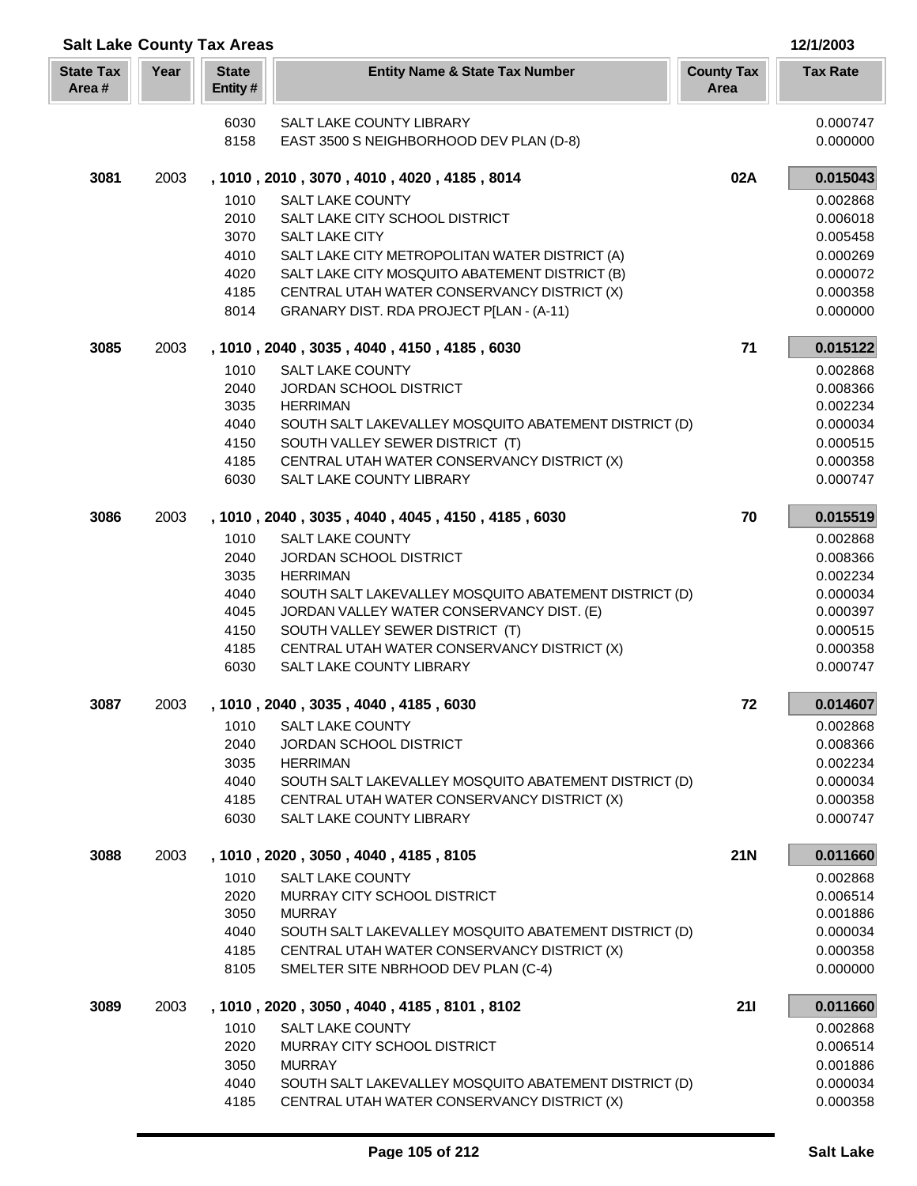| <b>Salt Lake County Tax Areas</b> |      |                         |                                                                                         |                           | 12/1/2003            |
|-----------------------------------|------|-------------------------|-----------------------------------------------------------------------------------------|---------------------------|----------------------|
| <b>State Tax</b><br>Area#         | Year | <b>State</b><br>Entity# | <b>Entity Name &amp; State Tax Number</b>                                               | <b>County Tax</b><br>Area | <b>Tax Rate</b>      |
|                                   |      | 6030                    | SALT LAKE COUNTY LIBRARY                                                                |                           | 0.000747             |
|                                   |      | 8158                    | EAST 3500 S NEIGHBORHOOD DEV PLAN (D-8)                                                 |                           | 0.000000             |
| 3081                              | 2003 |                         | , 1010, 2010, 3070, 4010, 4020, 4185, 8014                                              | 02A                       | 0.015043             |
|                                   |      | 1010                    | <b>SALT LAKE COUNTY</b>                                                                 |                           | 0.002868             |
|                                   |      | 2010                    | SALT LAKE CITY SCHOOL DISTRICT                                                          |                           | 0.006018             |
|                                   |      | 3070                    | <b>SALT LAKE CITY</b>                                                                   |                           | 0.005458             |
|                                   |      | 4010                    | SALT LAKE CITY METROPOLITAN WATER DISTRICT (A)                                          |                           | 0.000269             |
|                                   |      | 4020                    | SALT LAKE CITY MOSQUITO ABATEMENT DISTRICT (B)                                          |                           | 0.000072             |
|                                   |      | 4185<br>8014            | CENTRAL UTAH WATER CONSERVANCY DISTRICT (X)<br>GRANARY DIST. RDA PROJECT P[LAN - (A-11) |                           | 0.000358<br>0.000000 |
| 3085                              | 2003 |                         | , 1010, 2040, 3035, 4040, 4150, 4185, 6030                                              | 71                        | 0.015122             |
|                                   |      | 1010                    | <b>SALT LAKE COUNTY</b>                                                                 |                           | 0.002868             |
|                                   |      | 2040                    | JORDAN SCHOOL DISTRICT                                                                  |                           | 0.008366             |
|                                   |      | 3035                    | <b>HERRIMAN</b>                                                                         |                           | 0.002234             |
|                                   |      | 4040                    | SOUTH SALT LAKEVALLEY MOSQUITO ABATEMENT DISTRICT (D)                                   |                           | 0.000034             |
|                                   |      | 4150                    | SOUTH VALLEY SEWER DISTRICT (T)                                                         |                           | 0.000515             |
|                                   |      | 4185                    | CENTRAL UTAH WATER CONSERVANCY DISTRICT (X)                                             |                           | 0.000358             |
|                                   |      | 6030                    | SALT LAKE COUNTY LIBRARY                                                                |                           | 0.000747             |
| 3086                              | 2003 |                         | , 1010, 2040, 3035, 4040, 4045, 4150, 4185, 6030                                        | 70                        | 0.015519             |
|                                   |      | 1010                    | <b>SALT LAKE COUNTY</b>                                                                 |                           | 0.002868             |
|                                   |      | 2040                    | JORDAN SCHOOL DISTRICT                                                                  |                           | 0.008366             |
|                                   |      | 3035                    | <b>HERRIMAN</b>                                                                         |                           | 0.002234             |
|                                   |      | 4040                    | SOUTH SALT LAKEVALLEY MOSQUITO ABATEMENT DISTRICT (D)                                   |                           | 0.000034             |
|                                   |      | 4045                    | JORDAN VALLEY WATER CONSERVANCY DIST. (E)                                               |                           | 0.000397             |
|                                   |      | 4150                    | SOUTH VALLEY SEWER DISTRICT (T)                                                         |                           | 0.000515             |
|                                   |      | 4185<br>6030            | CENTRAL UTAH WATER CONSERVANCY DISTRICT (X)<br>SALT LAKE COUNTY LIBRARY                 |                           | 0.000358<br>0.000747 |
| 3087                              | 2003 |                         | 1010, 2040, 3035, 4040, 4185, 6030                                                      | 72                        | 0.014607             |
|                                   |      | 1010                    | SALT LAKE COUNTY                                                                        |                           | 0.002868             |
|                                   |      | 2040                    | JORDAN SCHOOL DISTRICT                                                                  |                           | 0.008366             |
|                                   |      | 3035                    | <b>HERRIMAN</b>                                                                         |                           | 0.002234             |
|                                   |      | 4040                    | SOUTH SALT LAKEVALLEY MOSQUITO ABATEMENT DISTRICT (D)                                   |                           | 0.000034             |
|                                   |      | 4185                    | CENTRAL UTAH WATER CONSERVANCY DISTRICT (X)                                             |                           | 0.000358             |
|                                   |      | 6030                    | SALT LAKE COUNTY LIBRARY                                                                |                           | 0.000747             |
| 3088                              | 2003 |                         | , 1010, 2020, 3050, 4040, 4185, 8105                                                    | <b>21N</b>                | 0.011660             |
|                                   |      | 1010                    | <b>SALT LAKE COUNTY</b>                                                                 |                           | 0.002868             |
|                                   |      | 2020                    | MURRAY CITY SCHOOL DISTRICT                                                             |                           | 0.006514             |
|                                   |      | 3050                    | <b>MURRAY</b>                                                                           |                           | 0.001886             |
|                                   |      | 4040                    | SOUTH SALT LAKEVALLEY MOSQUITO ABATEMENT DISTRICT (D)                                   |                           | 0.000034             |
|                                   |      | 4185<br>8105            | CENTRAL UTAH WATER CONSERVANCY DISTRICT (X)<br>SMELTER SITE NBRHOOD DEV PLAN (C-4)      |                           | 0.000358<br>0.000000 |
| 3089                              | 2003 |                         | , 1010, 2020, 3050, 4040, 4185, 8101, 8102                                              | 211                       | 0.011660             |
|                                   |      | 1010                    | <b>SALT LAKE COUNTY</b>                                                                 |                           | 0.002868             |
|                                   |      | 2020                    | MURRAY CITY SCHOOL DISTRICT                                                             |                           | 0.006514             |
|                                   |      | 3050                    | <b>MURRAY</b>                                                                           |                           | 0.001886             |
|                                   |      | 4040                    | SOUTH SALT LAKEVALLEY MOSQUITO ABATEMENT DISTRICT (D)                                   |                           | 0.000034             |
|                                   |      | 4185                    | CENTRAL UTAH WATER CONSERVANCY DISTRICT (X)                                             |                           | 0.000358             |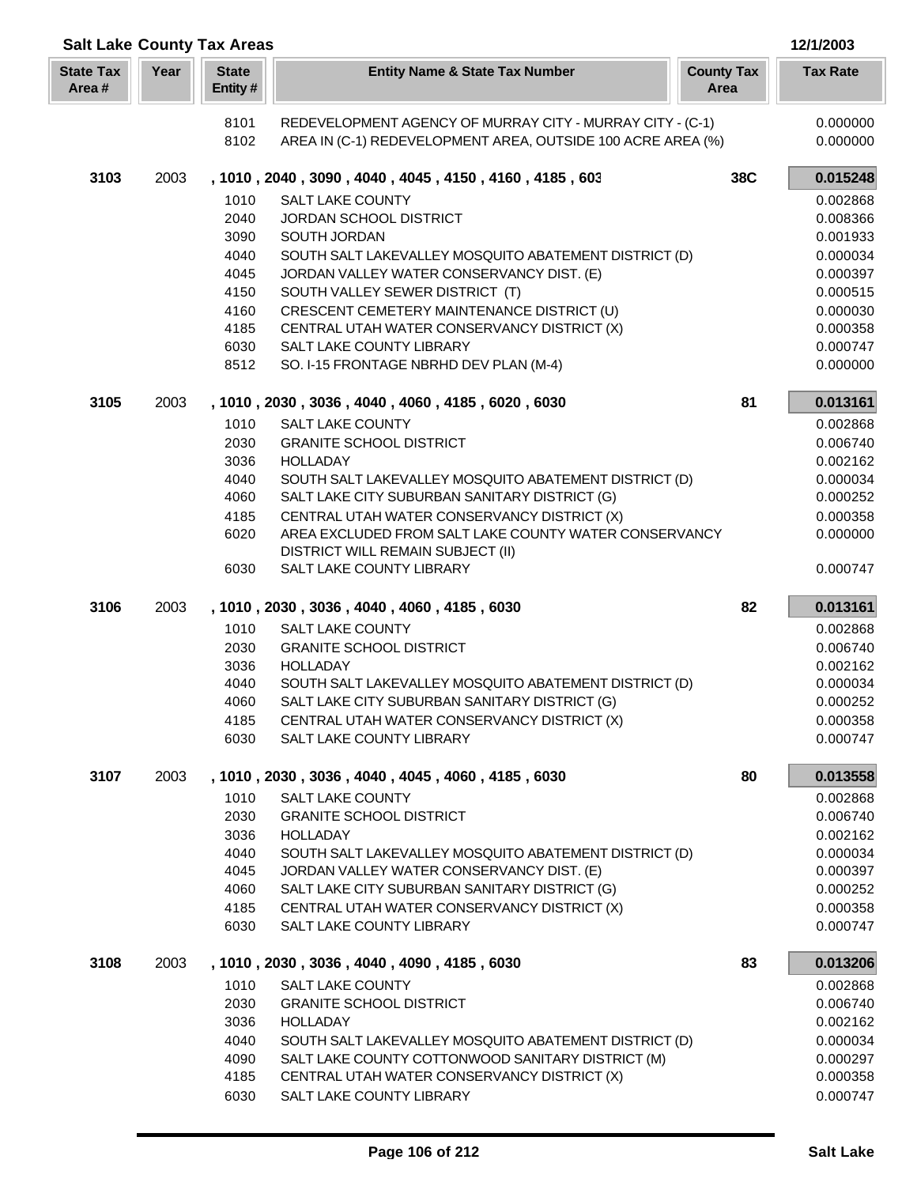| <b>Salt Lake County Tax Areas</b> |      |                         |                                                                                            |                           | 12/1/2003            |
|-----------------------------------|------|-------------------------|--------------------------------------------------------------------------------------------|---------------------------|----------------------|
| <b>State Tax</b><br>Area#         | Year | <b>State</b><br>Entity# | <b>Entity Name &amp; State Tax Number</b>                                                  | <b>County Tax</b><br>Area | <b>Tax Rate</b>      |
|                                   |      | 8101                    | REDEVELOPMENT AGENCY OF MURRAY CITY - MURRAY CITY - (C-1)                                  |                           | 0.000000             |
|                                   |      | 8102                    | AREA IN (C-1) REDEVELOPMENT AREA, OUTSIDE 100 ACRE AREA (%)                                |                           | 0.000000             |
| 3103                              | 2003 |                         | , 1010, 2040, 3090, 4040, 4045, 4150, 4160, 4185, 603                                      | 38C                       | 0.015248             |
|                                   |      | 1010                    | <b>SALT LAKE COUNTY</b>                                                                    |                           | 0.002868             |
|                                   |      | 2040                    | <b>JORDAN SCHOOL DISTRICT</b>                                                              |                           | 0.008366             |
|                                   |      | 3090                    | SOUTH JORDAN                                                                               |                           | 0.001933             |
|                                   |      | 4040                    | SOUTH SALT LAKEVALLEY MOSQUITO ABATEMENT DISTRICT (D)                                      |                           | 0.000034             |
|                                   |      | 4045                    | JORDAN VALLEY WATER CONSERVANCY DIST. (E)                                                  |                           | 0.000397             |
|                                   |      | 4150                    | SOUTH VALLEY SEWER DISTRICT (T)                                                            |                           | 0.000515             |
|                                   |      | 4160<br>4185            | CRESCENT CEMETERY MAINTENANCE DISTRICT (U)<br>CENTRAL UTAH WATER CONSERVANCY DISTRICT (X)  |                           | 0.000030<br>0.000358 |
|                                   |      | 6030                    | <b>SALT LAKE COUNTY LIBRARY</b>                                                            |                           | 0.000747             |
|                                   |      | 8512                    | SO. I-15 FRONTAGE NBRHD DEV PLAN (M-4)                                                     |                           | 0.000000             |
| 3105                              | 2003 |                         | , 1010, 2030, 3036, 4040, 4060, 4185, 6020, 6030                                           | 81                        | 0.013161             |
|                                   |      | 1010                    | <b>SALT LAKE COUNTY</b>                                                                    |                           | 0.002868             |
|                                   |      | 2030                    | <b>GRANITE SCHOOL DISTRICT</b>                                                             |                           | 0.006740             |
|                                   |      | 3036                    | <b>HOLLADAY</b>                                                                            |                           | 0.002162             |
|                                   |      | 4040                    | SOUTH SALT LAKEVALLEY MOSQUITO ABATEMENT DISTRICT (D)                                      |                           | 0.000034             |
|                                   |      | 4060                    | SALT LAKE CITY SUBURBAN SANITARY DISTRICT (G)                                              |                           | 0.000252             |
|                                   |      | 4185                    | CENTRAL UTAH WATER CONSERVANCY DISTRICT (X)                                                |                           | 0.000358             |
|                                   |      | 6020                    | AREA EXCLUDED FROM SALT LAKE COUNTY WATER CONSERVANCY<br>DISTRICT WILL REMAIN SUBJECT (II) |                           | 0.000000             |
|                                   |      | 6030                    | SALT LAKE COUNTY LIBRARY                                                                   |                           | 0.000747             |
| 3106                              | 2003 |                         | , 1010, 2030, 3036, 4040, 4060, 4185, 6030                                                 | 82                        | 0.013161             |
|                                   |      | 1010                    | <b>SALT LAKE COUNTY</b>                                                                    |                           | 0.002868             |
|                                   |      | 2030                    | <b>GRANITE SCHOOL DISTRICT</b>                                                             |                           | 0.006740             |
|                                   |      | 3036                    | <b>HOLLADAY</b>                                                                            |                           | 0.002162             |
|                                   |      | 4040                    | SOUTH SALT LAKEVALLEY MOSQUITO ABATEMENT DISTRICT (D)                                      |                           | 0.000034             |
|                                   |      | 4060                    | SALT LAKE CITY SUBURBAN SANITARY DISTRICT (G)                                              |                           | 0.000252             |
|                                   |      | 4185                    | CENTRAL UTAH WATER CONSERVANCY DISTRICT (X)                                                |                           | 0.000358             |
|                                   |      | 6030                    | SALT LAKE COUNTY LIBRARY                                                                   |                           | 0.000747             |
| 3107                              | 2003 |                         | , 1010, 2030, 3036, 4040, 4045, 4060, 4185, 6030                                           | 80                        | 0.013558             |
|                                   |      | 1010<br>2030            | <b>SALT LAKE COUNTY</b><br><b>GRANITE SCHOOL DISTRICT</b>                                  |                           | 0.002868             |
|                                   |      | 3036                    | <b>HOLLADAY</b>                                                                            |                           | 0.006740<br>0.002162 |
|                                   |      | 4040                    | SOUTH SALT LAKEVALLEY MOSQUITO ABATEMENT DISTRICT (D)                                      |                           | 0.000034             |
|                                   |      | 4045                    | JORDAN VALLEY WATER CONSERVANCY DIST. (E)                                                  |                           | 0.000397             |
|                                   |      | 4060                    | SALT LAKE CITY SUBURBAN SANITARY DISTRICT (G)                                              |                           | 0.000252             |
|                                   |      | 4185                    | CENTRAL UTAH WATER CONSERVANCY DISTRICT (X)                                                |                           | 0.000358             |
|                                   |      | 6030                    | SALT LAKE COUNTY LIBRARY                                                                   |                           | 0.000747             |
| 3108                              | 2003 |                         | , 1010, 2030, 3036, 4040, 4090, 4185, 6030                                                 | 83                        | 0.013206             |
|                                   |      | 1010                    | <b>SALT LAKE COUNTY</b>                                                                    |                           | 0.002868             |
|                                   |      | 2030                    | <b>GRANITE SCHOOL DISTRICT</b>                                                             |                           | 0.006740             |
|                                   |      | 3036                    | <b>HOLLADAY</b>                                                                            |                           | 0.002162             |
|                                   |      | 4040                    | SOUTH SALT LAKEVALLEY MOSQUITO ABATEMENT DISTRICT (D)                                      |                           | 0.000034             |
|                                   |      | 4090                    | SALT LAKE COUNTY COTTONWOOD SANITARY DISTRICT (M)                                          |                           | 0.000297             |
|                                   |      | 4185                    | CENTRAL UTAH WATER CONSERVANCY DISTRICT (X)                                                |                           | 0.000358             |
|                                   |      | 6030                    | SALT LAKE COUNTY LIBRARY                                                                   |                           | 0.000747             |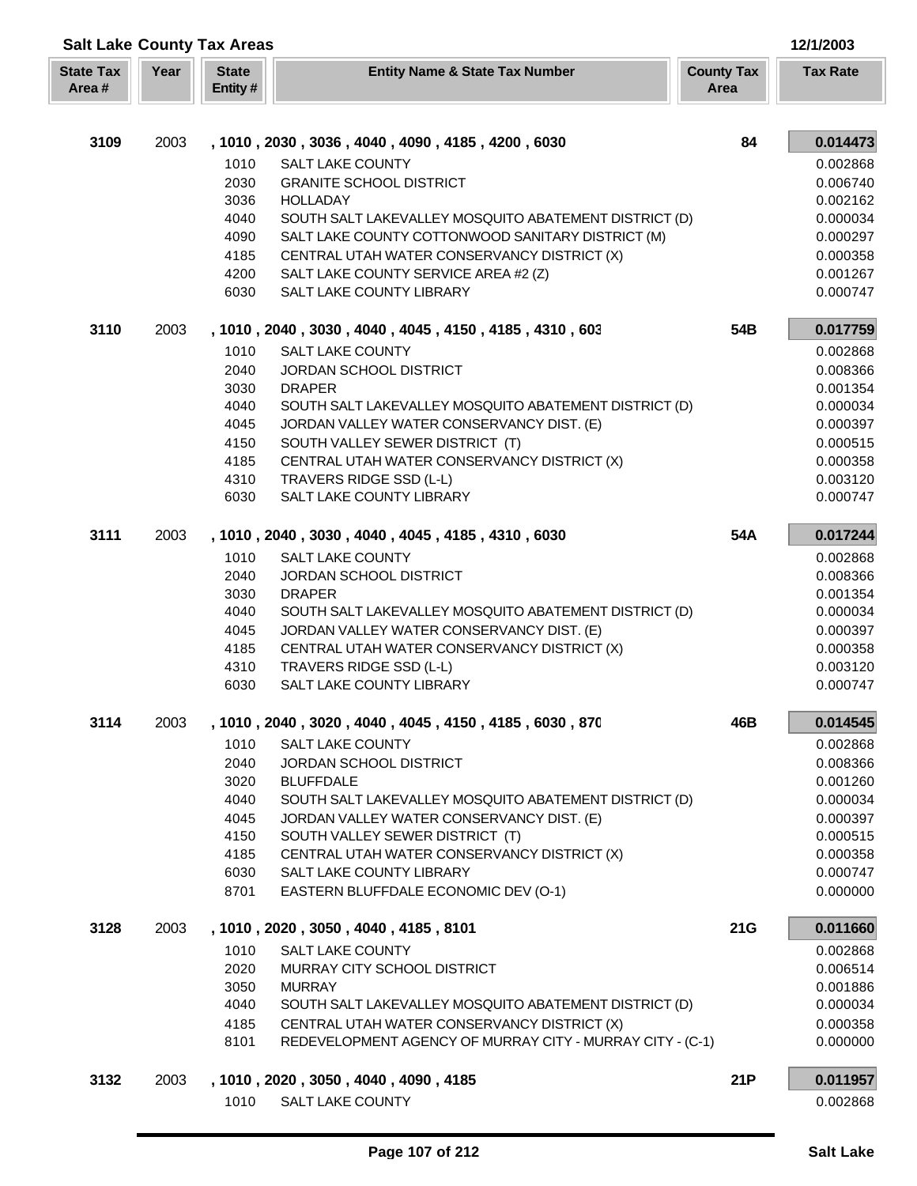| <b>Salt Lake County Tax Areas</b><br>12/1/2003 |      |                         |                                                                                                    |                           |                      |
|------------------------------------------------|------|-------------------------|----------------------------------------------------------------------------------------------------|---------------------------|----------------------|
| <b>State Tax</b><br>Area#                      | Year | <b>State</b><br>Entity# | <b>Entity Name &amp; State Tax Number</b>                                                          | <b>County Tax</b><br>Area | <b>Tax Rate</b>      |
| 3109                                           | 2003 |                         | , 1010, 2030, 3036, 4040, 4090, 4185, 4200, 6030                                                   | 84                        | 0.014473             |
|                                                |      | 1010                    | <b>SALT LAKE COUNTY</b>                                                                            |                           | 0.002868             |
|                                                |      | 2030                    | <b>GRANITE SCHOOL DISTRICT</b>                                                                     |                           | 0.006740             |
|                                                |      | 3036                    | <b>HOLLADAY</b>                                                                                    |                           | 0.002162             |
|                                                |      | 4040                    | SOUTH SALT LAKEVALLEY MOSQUITO ABATEMENT DISTRICT (D)                                              |                           | 0.000034             |
|                                                |      | 4090                    | SALT LAKE COUNTY COTTONWOOD SANITARY DISTRICT (M)                                                  |                           | 0.000297             |
|                                                |      | 4185                    | CENTRAL UTAH WATER CONSERVANCY DISTRICT (X)                                                        |                           | 0.000358             |
|                                                |      | 4200                    | SALT LAKE COUNTY SERVICE AREA #2 (Z)                                                               |                           | 0.001267             |
|                                                |      | 6030                    | SALT LAKE COUNTY LIBRARY                                                                           |                           | 0.000747             |
| 3110                                           | 2003 |                         | , 1010, 2040, 3030, 4040, 4045, 4150, 4185, 4310, 603                                              | 54B                       | 0.017759             |
|                                                |      | 1010                    | <b>SALT LAKE COUNTY</b>                                                                            |                           | 0.002868             |
|                                                |      | 2040                    | JORDAN SCHOOL DISTRICT                                                                             |                           | 0.008366             |
|                                                |      | 3030                    | <b>DRAPER</b>                                                                                      |                           | 0.001354             |
|                                                |      | 4040                    | SOUTH SALT LAKEVALLEY MOSQUITO ABATEMENT DISTRICT (D)                                              |                           | 0.000034             |
|                                                |      | 4045                    | JORDAN VALLEY WATER CONSERVANCY DIST. (E)                                                          |                           | 0.000397             |
|                                                |      | 4150                    | SOUTH VALLEY SEWER DISTRICT (T)                                                                    |                           | 0.000515             |
|                                                |      | 4185<br>4310            | CENTRAL UTAH WATER CONSERVANCY DISTRICT (X)<br>TRAVERS RIDGE SSD (L-L)                             |                           | 0.000358<br>0.003120 |
|                                                |      | 6030                    | SALT LAKE COUNTY LIBRARY                                                                           |                           | 0.000747             |
| 3111                                           | 2003 |                         | , 1010, 2040, 3030, 4040, 4045, 4185, 4310, 6030                                                   | 54A                       | 0.017244             |
|                                                |      | 1010                    | <b>SALT LAKE COUNTY</b>                                                                            |                           | 0.002868             |
|                                                |      | 2040                    | JORDAN SCHOOL DISTRICT                                                                             |                           | 0.008366             |
|                                                |      | 3030                    | <b>DRAPER</b>                                                                                      |                           | 0.001354             |
|                                                |      | 4040                    | SOUTH SALT LAKEVALLEY MOSQUITO ABATEMENT DISTRICT (D)                                              |                           | 0.000034             |
|                                                |      | 4045                    | JORDAN VALLEY WATER CONSERVANCY DIST. (E)                                                          |                           | 0.000397             |
|                                                |      | 4185                    | CENTRAL UTAH WATER CONSERVANCY DISTRICT (X)                                                        |                           | 0.000358             |
|                                                |      | 4310                    | TRAVERS RIDGE SSD (L-L)                                                                            |                           | 0.003120             |
|                                                |      | 6030                    | SALT LAKE COUNTY LIBRARY                                                                           |                           | 0.000747             |
| 3114                                           | 2003 |                         | , 1010, 2040, 3020, 4040, 4045, 4150, 4185, 6030, 870                                              | 46B                       | 0.014545             |
|                                                |      | 1010                    | SALT LAKE COUNTY                                                                                   |                           | 0.002868             |
|                                                |      | 2040                    | JORDAN SCHOOL DISTRICT                                                                             |                           | 0.008366             |
|                                                |      | 3020<br>4040            | <b>BLUFFDALE</b>                                                                                   |                           | 0.001260             |
|                                                |      | 4045                    | SOUTH SALT LAKEVALLEY MOSQUITO ABATEMENT DISTRICT (D)<br>JORDAN VALLEY WATER CONSERVANCY DIST. (E) |                           | 0.000034<br>0.000397 |
|                                                |      | 4150                    | SOUTH VALLEY SEWER DISTRICT (T)                                                                    |                           | 0.000515             |
|                                                |      | 4185                    | CENTRAL UTAH WATER CONSERVANCY DISTRICT (X)                                                        |                           | 0.000358             |
|                                                |      | 6030                    | SALT LAKE COUNTY LIBRARY                                                                           |                           | 0.000747             |
|                                                |      | 8701                    | EASTERN BLUFFDALE ECONOMIC DEV (O-1)                                                               |                           | 0.000000             |
| 3128                                           | 2003 |                         | , 1010, 2020, 3050, 4040, 4185, 8101                                                               | 21G                       | 0.011660             |
|                                                |      | 1010                    | <b>SALT LAKE COUNTY</b>                                                                            |                           | 0.002868             |
|                                                |      | 2020                    | MURRAY CITY SCHOOL DISTRICT                                                                        |                           | 0.006514             |
|                                                |      | 3050                    | <b>MURRAY</b>                                                                                      |                           | 0.001886             |
|                                                |      | 4040                    | SOUTH SALT LAKEVALLEY MOSQUITO ABATEMENT DISTRICT (D)                                              |                           | 0.000034             |
|                                                |      | 4185                    | CENTRAL UTAH WATER CONSERVANCY DISTRICT (X)                                                        |                           | 0.000358             |
|                                                |      | 8101                    | REDEVELOPMENT AGENCY OF MURRAY CITY - MURRAY CITY - (C-1)                                          |                           | 0.000000             |
| 3132                                           | 2003 |                         | , 1010, 2020, 3050, 4040, 4090, 4185                                                               | 21P                       | 0.011957             |
|                                                |      | 1010                    | <b>SALT LAKE COUNTY</b>                                                                            |                           | 0.002868             |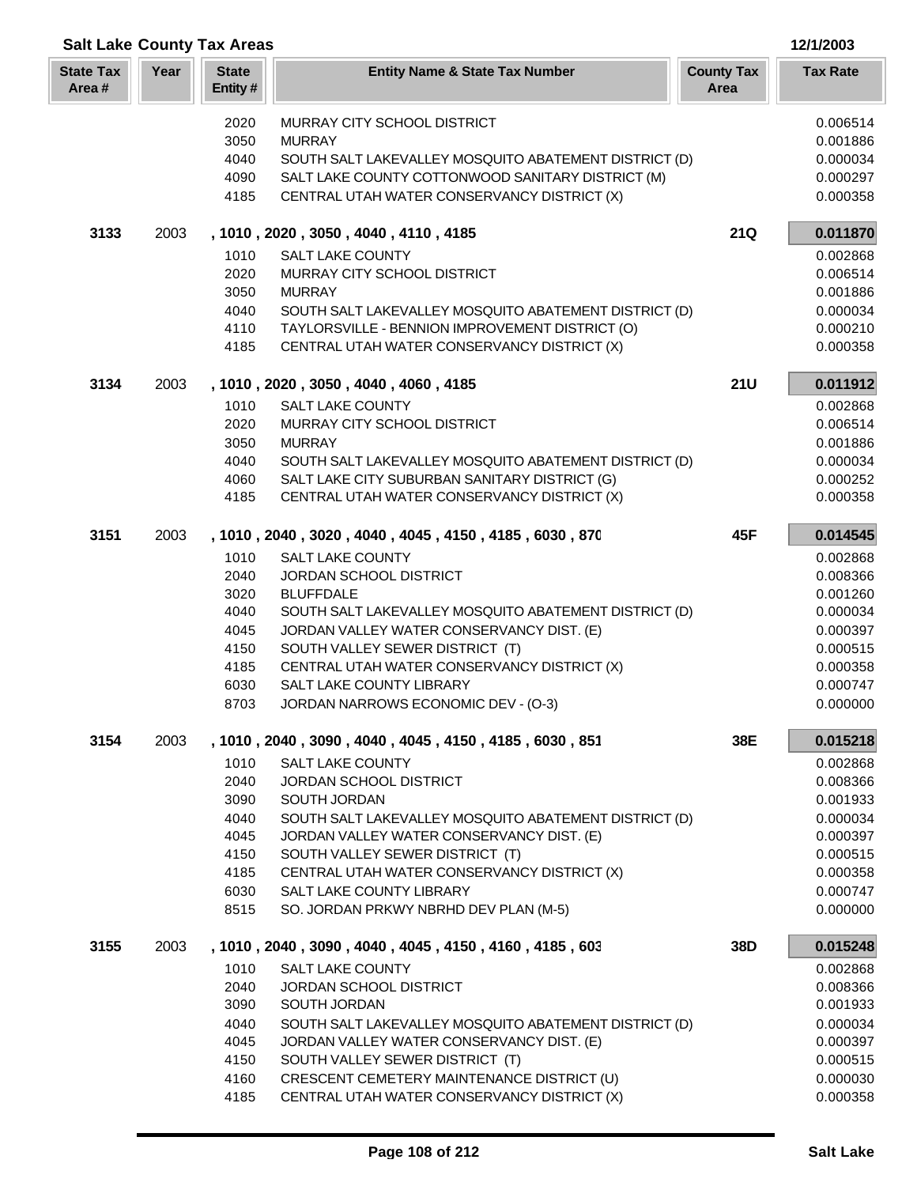| <b>Salt Lake County Tax Areas</b><br>12/1/2003 |      |                                                                      |                                                                                                                                                                                                                                                                                                                                                                                         |                           |                                                                                                                      |
|------------------------------------------------|------|----------------------------------------------------------------------|-----------------------------------------------------------------------------------------------------------------------------------------------------------------------------------------------------------------------------------------------------------------------------------------------------------------------------------------------------------------------------------------|---------------------------|----------------------------------------------------------------------------------------------------------------------|
| <b>State Tax</b><br>Area#                      | Year | <b>State</b><br>Entity#                                              | <b>Entity Name &amp; State Tax Number</b>                                                                                                                                                                                                                                                                                                                                               | <b>County Tax</b><br>Area | <b>Tax Rate</b>                                                                                                      |
|                                                |      | 2020<br>3050<br>4040<br>4090<br>4185                                 | MURRAY CITY SCHOOL DISTRICT<br><b>MURRAY</b><br>SOUTH SALT LAKEVALLEY MOSQUITO ABATEMENT DISTRICT (D)<br>SALT LAKE COUNTY COTTONWOOD SANITARY DISTRICT (M)<br>CENTRAL UTAH WATER CONSERVANCY DISTRICT (X)                                                                                                                                                                               |                           | 0.006514<br>0.001886<br>0.000034<br>0.000297<br>0.000358                                                             |
| 3133                                           | 2003 |                                                                      | , 1010, 2020, 3050, 4040, 4110, 4185                                                                                                                                                                                                                                                                                                                                                    | <b>21Q</b>                | 0.011870                                                                                                             |
|                                                |      | 1010<br>2020<br>3050<br>4040<br>4110<br>4185                         | <b>SALT LAKE COUNTY</b><br>MURRAY CITY SCHOOL DISTRICT<br><b>MURRAY</b><br>SOUTH SALT LAKEVALLEY MOSQUITO ABATEMENT DISTRICT (D)<br>TAYLORSVILLE - BENNION IMPROVEMENT DISTRICT (O)<br>CENTRAL UTAH WATER CONSERVANCY DISTRICT (X)                                                                                                                                                      |                           | 0.002868<br>0.006514<br>0.001886<br>0.000034<br>0.000210<br>0.000358                                                 |
| 3134                                           | 2003 |                                                                      | , 1010, 2020, 3050, 4040, 4060, 4185                                                                                                                                                                                                                                                                                                                                                    | <b>21U</b>                | 0.011912                                                                                                             |
|                                                |      | 1010<br>2020<br>3050<br>4040<br>4060<br>4185                         | <b>SALT LAKE COUNTY</b><br>MURRAY CITY SCHOOL DISTRICT<br><b>MURRAY</b><br>SOUTH SALT LAKEVALLEY MOSQUITO ABATEMENT DISTRICT (D)<br>SALT LAKE CITY SUBURBAN SANITARY DISTRICT (G)<br>CENTRAL UTAH WATER CONSERVANCY DISTRICT (X)                                                                                                                                                        |                           | 0.002868<br>0.006514<br>0.001886<br>0.000034<br>0.000252<br>0.000358                                                 |
| 3151                                           | 2003 |                                                                      | , 1010, 2040, 3020, 4040, 4045, 4150, 4185, 6030, 870                                                                                                                                                                                                                                                                                                                                   | 45F                       | 0.014545                                                                                                             |
|                                                |      | 1010<br>2040<br>3020<br>4040<br>4045<br>4150<br>4185<br>6030<br>8703 | <b>SALT LAKE COUNTY</b><br>JORDAN SCHOOL DISTRICT<br><b>BLUFFDALE</b><br>SOUTH SALT LAKEVALLEY MOSQUITO ABATEMENT DISTRICT (D)<br>JORDAN VALLEY WATER CONSERVANCY DIST. (E)<br>SOUTH VALLEY SEWER DISTRICT (T)<br>CENTRAL UTAH WATER CONSERVANCY DISTRICT (X)<br>SALT LAKE COUNTY LIBRARY<br>JORDAN NARROWS ECONOMIC DEV - (O-3)                                                        |                           | 0.002868<br>0.008366<br>0.001260<br>0.000034<br>0.000397<br>0.000515<br>0.000358<br>0.000747<br>0.000000             |
| 3154                                           | 2003 | 1010<br>2040<br>3090<br>4040<br>4045<br>4150<br>4185<br>6030<br>8515 | , 1010, 2040, 3090, 4040, 4045, 4150, 4185, 6030, 851<br>SALT LAKE COUNTY<br>JORDAN SCHOOL DISTRICT<br>SOUTH JORDAN<br>SOUTH SALT LAKEVALLEY MOSQUITO ABATEMENT DISTRICT (D)<br>JORDAN VALLEY WATER CONSERVANCY DIST. (E)<br>SOUTH VALLEY SEWER DISTRICT (T)<br>CENTRAL UTAH WATER CONSERVANCY DISTRICT (X)<br><b>SALT LAKE COUNTY LIBRARY</b><br>SO. JORDAN PRKWY NBRHD DEV PLAN (M-5) | 38E                       | 0.015218<br>0.002868<br>0.008366<br>0.001933<br>0.000034<br>0.000397<br>0.000515<br>0.000358<br>0.000747<br>0.000000 |
| 3155                                           | 2003 |                                                                      | , 1010, 2040, 3090, 4040, 4045, 4150, 4160, 4185, 603                                                                                                                                                                                                                                                                                                                                   | 38D                       | 0.015248                                                                                                             |
|                                                |      | 1010<br>2040<br>3090<br>4040<br>4045<br>4150<br>4160<br>4185         | <b>SALT LAKE COUNTY</b><br>JORDAN SCHOOL DISTRICT<br>SOUTH JORDAN<br>SOUTH SALT LAKEVALLEY MOSQUITO ABATEMENT DISTRICT (D)<br>JORDAN VALLEY WATER CONSERVANCY DIST. (E)<br>SOUTH VALLEY SEWER DISTRICT (T)<br>CRESCENT CEMETERY MAINTENANCE DISTRICT (U)<br>CENTRAL UTAH WATER CONSERVANCY DISTRICT (X)                                                                                 |                           | 0.002868<br>0.008366<br>0.001933<br>0.000034<br>0.000397<br>0.000515<br>0.000030<br>0.000358                         |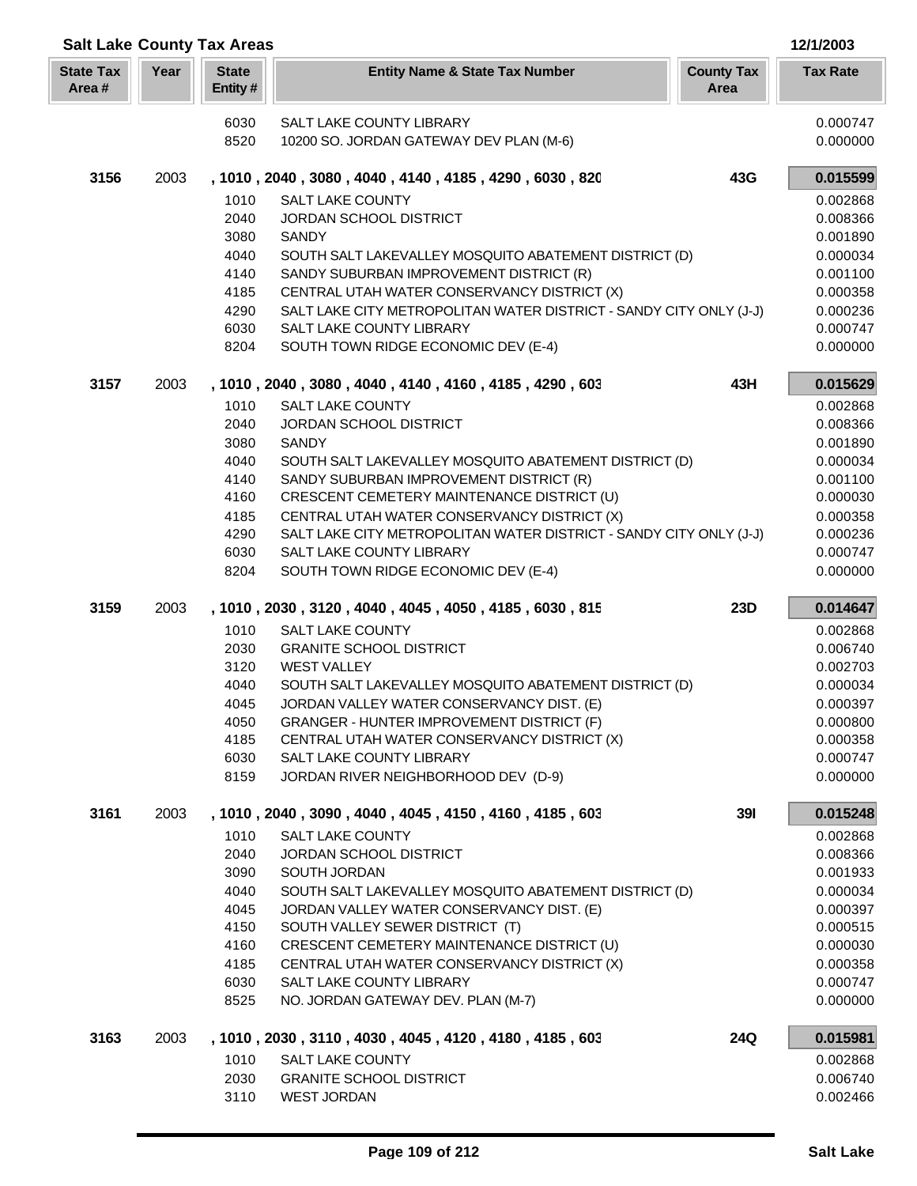| <b>Salt Lake County Tax Areas</b> |      |                         |                                                                                                    |                           |                      |
|-----------------------------------|------|-------------------------|----------------------------------------------------------------------------------------------------|---------------------------|----------------------|
| <b>State Tax</b><br>Area#         | Year | <b>State</b><br>Entity# | <b>Entity Name &amp; State Tax Number</b>                                                          | <b>County Tax</b><br>Area | <b>Tax Rate</b>      |
|                                   |      | 6030                    | SALT LAKE COUNTY LIBRARY                                                                           |                           | 0.000747             |
|                                   |      | 8520                    | 10200 SO. JORDAN GATEWAY DEV PLAN (M-6)                                                            |                           | 0.000000             |
| 3156                              | 2003 |                         | , 1010, 2040, 3080, 4040, 4140, 4185, 4290, 6030, 820                                              | 43G                       | 0.015599             |
|                                   |      | 1010                    | <b>SALT LAKE COUNTY</b>                                                                            |                           | 0.002868             |
|                                   |      | 2040                    | JORDAN SCHOOL DISTRICT                                                                             |                           | 0.008366             |
|                                   |      | 3080                    | <b>SANDY</b>                                                                                       |                           | 0.001890             |
|                                   |      | 4040                    | SOUTH SALT LAKEVALLEY MOSQUITO ABATEMENT DISTRICT (D)                                              |                           | 0.000034             |
|                                   |      | 4140                    | SANDY SUBURBAN IMPROVEMENT DISTRICT (R)                                                            |                           | 0.001100             |
|                                   |      | 4185                    | CENTRAL UTAH WATER CONSERVANCY DISTRICT (X)                                                        |                           | 0.000358             |
|                                   |      | 4290                    | SALT LAKE CITY METROPOLITAN WATER DISTRICT - SANDY CITY ONLY (J-J)                                 |                           | 0.000236             |
|                                   |      | 6030                    | SALT LAKE COUNTY LIBRARY                                                                           |                           | 0.000747             |
|                                   |      | 8204                    | SOUTH TOWN RIDGE ECONOMIC DEV (E-4)                                                                |                           | 0.000000             |
| 3157                              | 2003 |                         | , 1010, 2040, 3080, 4040, 4140, 4160, 4185, 4290, 603                                              | 43H                       | 0.015629             |
|                                   |      | 1010                    | <b>SALT LAKE COUNTY</b>                                                                            |                           | 0.002868             |
|                                   |      | 2040                    | JORDAN SCHOOL DISTRICT                                                                             |                           | 0.008366             |
|                                   |      | 3080                    | SANDY                                                                                              |                           | 0.001890             |
|                                   |      | 4040                    | SOUTH SALT LAKEVALLEY MOSQUITO ABATEMENT DISTRICT (D)                                              |                           | 0.000034             |
|                                   |      | 4140<br>4160            | SANDY SUBURBAN IMPROVEMENT DISTRICT (R)<br>CRESCENT CEMETERY MAINTENANCE DISTRICT (U)              |                           | 0.001100<br>0.000030 |
|                                   |      | 4185                    | CENTRAL UTAH WATER CONSERVANCY DISTRICT (X)                                                        |                           | 0.000358             |
|                                   |      | 4290                    | SALT LAKE CITY METROPOLITAN WATER DISTRICT - SANDY CITY ONLY (J-J)                                 |                           | 0.000236             |
|                                   |      | 6030                    | SALT LAKE COUNTY LIBRARY                                                                           |                           | 0.000747             |
|                                   |      | 8204                    | SOUTH TOWN RIDGE ECONOMIC DEV (E-4)                                                                |                           | 0.000000             |
| 3159                              | 2003 |                         | , 1010, 2030, 3120, 4040, 4045, 4050, 4185, 6030, 815                                              | 23D                       | 0.014647             |
|                                   |      | 1010                    | <b>SALT LAKE COUNTY</b>                                                                            |                           | 0.002868             |
|                                   |      | 2030                    | <b>GRANITE SCHOOL DISTRICT</b>                                                                     |                           | 0.006740             |
|                                   |      | 3120                    | <b>WEST VALLEY</b>                                                                                 |                           | 0.002703             |
|                                   |      | 4040                    | SOUTH SALT LAKEVALLEY MOSQUITO ABATEMENT DISTRICT (D)                                              |                           | 0.000034             |
|                                   |      | 4045                    | JORDAN VALLEY WATER CONSERVANCY DIST. (E)                                                          |                           | 0.000397             |
|                                   |      | 4050                    | <b>GRANGER - HUNTER IMPROVEMENT DISTRICT (F)</b>                                                   |                           | 0.000800             |
|                                   |      | 4185                    | CENTRAL UTAH WATER CONSERVANCY DISTRICT (X)                                                        |                           | 0.000358             |
|                                   |      | 6030                    | SALT LAKE COUNTY LIBRARY                                                                           |                           | 0.000747             |
|                                   |      | 8159                    | JORDAN RIVER NEIGHBORHOOD DEV (D-9)                                                                |                           | 0.000000             |
| 3161                              | 2003 |                         | , 1010, 2040, 3090, 4040, 4045, 4150, 4160, 4185, 603                                              | <b>391</b>                | 0.015248             |
|                                   |      | 1010                    | <b>SALT LAKE COUNTY</b>                                                                            |                           | 0.002868             |
|                                   |      | 2040                    | JORDAN SCHOOL DISTRICT                                                                             |                           | 0.008366             |
|                                   |      | 3090                    | SOUTH JORDAN                                                                                       |                           | 0.001933             |
|                                   |      | 4040<br>4045            | SOUTH SALT LAKEVALLEY MOSQUITO ABATEMENT DISTRICT (D)<br>JORDAN VALLEY WATER CONSERVANCY DIST. (E) |                           | 0.000034<br>0.000397 |
|                                   |      | 4150                    | SOUTH VALLEY SEWER DISTRICT (T)                                                                    |                           | 0.000515             |
|                                   |      | 4160                    | CRESCENT CEMETERY MAINTENANCE DISTRICT (U)                                                         |                           | 0.000030             |
|                                   |      | 4185                    | CENTRAL UTAH WATER CONSERVANCY DISTRICT (X)                                                        |                           | 0.000358             |
|                                   |      | 6030                    | SALT LAKE COUNTY LIBRARY                                                                           |                           | 0.000747             |
|                                   |      | 8525                    | NO. JORDAN GATEWAY DEV. PLAN (M-7)                                                                 |                           | 0.000000             |
| 3163                              | 2003 |                         | , 1010, 2030, 3110, 4030, 4045, 4120, 4180, 4185, 603                                              | 24Q                       | 0.015981             |
|                                   |      | 1010                    | <b>SALT LAKE COUNTY</b>                                                                            |                           | 0.002868             |
|                                   |      | 2030                    | <b>GRANITE SCHOOL DISTRICT</b>                                                                     |                           | 0.006740             |
|                                   |      | 3110                    | <b>WEST JORDAN</b>                                                                                 |                           | 0.002466             |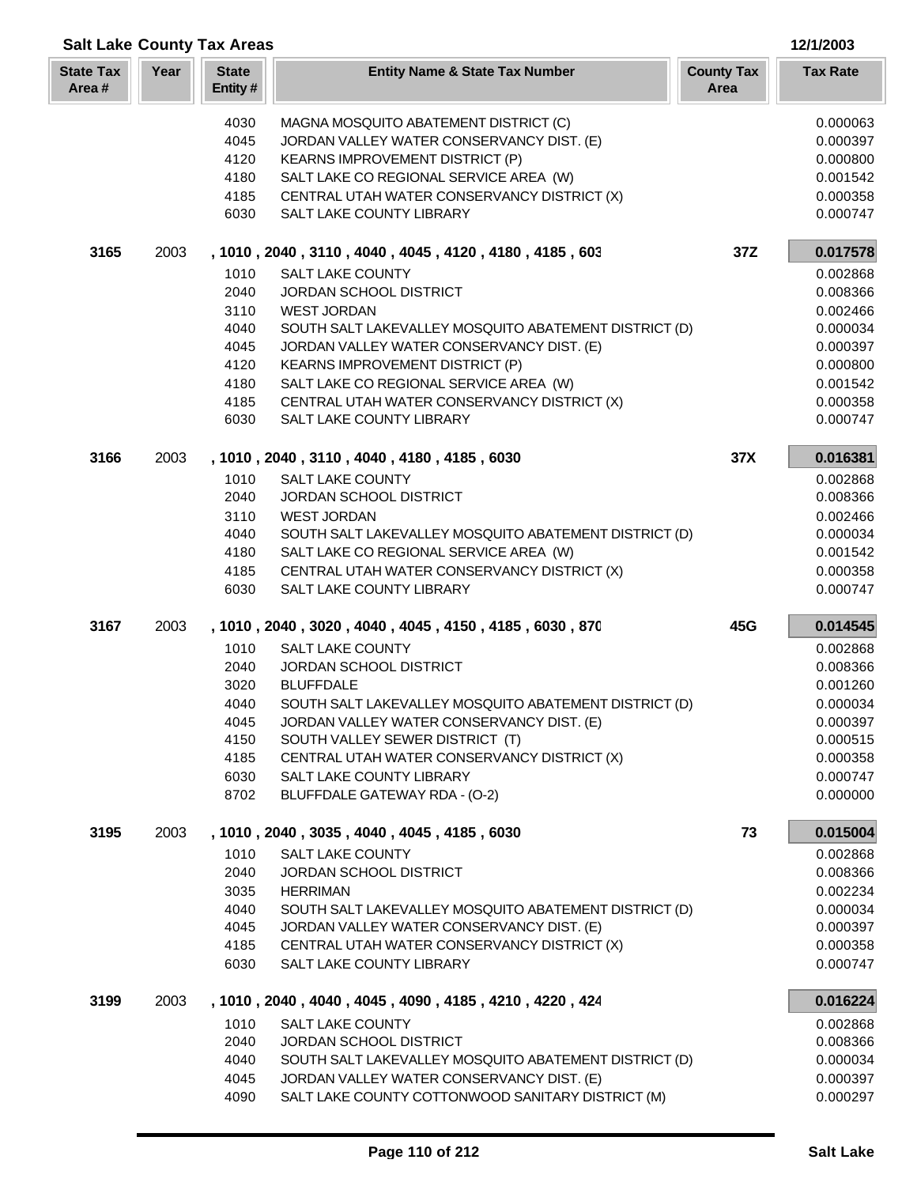| <b>Salt Lake County Tax Areas</b><br>12/1/2003 |      |                         |                                                                         |                           |                      |  |
|------------------------------------------------|------|-------------------------|-------------------------------------------------------------------------|---------------------------|----------------------|--|
| <b>State Tax</b><br>Area#                      | Year | <b>State</b><br>Entity# | <b>Entity Name &amp; State Tax Number</b>                               | <b>County Tax</b><br>Area | <b>Tax Rate</b>      |  |
|                                                |      | 4030                    | MAGNA MOSQUITO ABATEMENT DISTRICT (C)                                   |                           | 0.000063             |  |
|                                                |      | 4045                    | JORDAN VALLEY WATER CONSERVANCY DIST. (E)                               |                           | 0.000397             |  |
|                                                |      | 4120                    | KEARNS IMPROVEMENT DISTRICT (P)                                         |                           | 0.000800             |  |
|                                                |      | 4180                    | SALT LAKE CO REGIONAL SERVICE AREA (W)                                  |                           | 0.001542             |  |
|                                                |      | 4185                    | CENTRAL UTAH WATER CONSERVANCY DISTRICT (X)                             |                           | 0.000358             |  |
|                                                |      | 6030                    | SALT LAKE COUNTY LIBRARY                                                |                           | 0.000747             |  |
| 3165                                           | 2003 |                         | , 1010, 2040, 3110, 4040, 4045, 4120, 4180, 4185, 603                   | 37Z                       | 0.017578             |  |
|                                                |      | 1010                    | <b>SALT LAKE COUNTY</b>                                                 |                           | 0.002868             |  |
|                                                |      | 2040                    | JORDAN SCHOOL DISTRICT                                                  |                           | 0.008366             |  |
|                                                |      | 3110                    | <b>WEST JORDAN</b>                                                      |                           | 0.002466             |  |
|                                                |      | 4040                    | SOUTH SALT LAKEVALLEY MOSQUITO ABATEMENT DISTRICT (D)                   |                           | 0.000034             |  |
|                                                |      | 4045                    | JORDAN VALLEY WATER CONSERVANCY DIST. (E)                               |                           | 0.000397             |  |
|                                                |      | 4120                    | <b>KEARNS IMPROVEMENT DISTRICT (P)</b>                                  |                           | 0.000800             |  |
|                                                |      | 4180                    | SALT LAKE CO REGIONAL SERVICE AREA (W)                                  |                           | 0.001542             |  |
|                                                |      | 4185                    | CENTRAL UTAH WATER CONSERVANCY DISTRICT (X)                             |                           | 0.000358             |  |
|                                                |      | 6030                    | SALT LAKE COUNTY LIBRARY                                                |                           | 0.000747             |  |
| 3166                                           | 2003 |                         | , 1010, 2040, 3110, 4040, 4180, 4185, 6030                              | 37X                       | 0.016381             |  |
|                                                |      | 1010                    | <b>SALT LAKE COUNTY</b>                                                 |                           | 0.002868             |  |
|                                                |      | 2040                    | JORDAN SCHOOL DISTRICT                                                  |                           | 0.008366             |  |
|                                                |      | 3110                    | <b>WEST JORDAN</b>                                                      |                           | 0.002466             |  |
|                                                |      | 4040                    | SOUTH SALT LAKEVALLEY MOSQUITO ABATEMENT DISTRICT (D)                   |                           | 0.000034             |  |
|                                                |      | 4180                    | SALT LAKE CO REGIONAL SERVICE AREA (W)                                  |                           | 0.001542             |  |
|                                                |      | 4185<br>6030            | CENTRAL UTAH WATER CONSERVANCY DISTRICT (X)<br>SALT LAKE COUNTY LIBRARY |                           | 0.000358<br>0.000747 |  |
| 3167                                           | 2003 |                         | , 1010 , 2040 , 3020 , 4040 , 4045 , 4150 , 4185 , 6030 , 870           | 45G                       | 0.014545             |  |
|                                                |      | 1010                    | <b>SALT LAKE COUNTY</b>                                                 |                           | 0.002868             |  |
|                                                |      | 2040                    | JORDAN SCHOOL DISTRICT                                                  |                           | 0.008366             |  |
|                                                |      | 3020                    | <b>BLUFFDALE</b>                                                        |                           | 0.001260             |  |
|                                                |      | 4040                    | SOUTH SALT LAKEVALLEY MOSQUITO ABATEMENT DISTRICT (D)                   |                           | 0.000034             |  |
|                                                |      | 4045                    | JORDAN VALLEY WATER CONSERVANCY DIST. (E)                               |                           | 0.000397             |  |
|                                                |      | 4150                    | SOUTH VALLEY SEWER DISTRICT (T)                                         |                           | 0.000515             |  |
|                                                |      | 4185                    | CENTRAL UTAH WATER CONSERVANCY DISTRICT (X)                             |                           | 0.000358             |  |
|                                                |      | 6030                    | SALT LAKE COUNTY LIBRARY                                                |                           | 0.000747             |  |
|                                                |      | 8702                    | BLUFFDALE GATEWAY RDA - (O-2)                                           |                           | 0.000000             |  |
| 3195                                           | 2003 |                         | , 1010, 2040, 3035, 4040, 4045, 4185, 6030                              | 73                        | 0.015004             |  |
|                                                |      | 1010                    | <b>SALT LAKE COUNTY</b>                                                 |                           | 0.002868             |  |
|                                                |      | 2040                    | <b>JORDAN SCHOOL DISTRICT</b>                                           |                           | 0.008366             |  |
|                                                |      | 3035                    | <b>HERRIMAN</b>                                                         |                           | 0.002234             |  |
|                                                |      | 4040                    | SOUTH SALT LAKEVALLEY MOSQUITO ABATEMENT DISTRICT (D)                   |                           | 0.000034             |  |
|                                                |      | 4045                    | JORDAN VALLEY WATER CONSERVANCY DIST. (E)                               |                           | 0.000397             |  |
|                                                |      | 4185                    | CENTRAL UTAH WATER CONSERVANCY DISTRICT (X)                             |                           | 0.000358             |  |
|                                                |      | 6030                    | SALT LAKE COUNTY LIBRARY                                                |                           | 0.000747             |  |
| 3199                                           | 2003 |                         | , 1010, 2040, 4040, 4045, 4090, 4185, 4210, 4220, 424                   |                           | 0.016224             |  |
|                                                |      | 1010                    | <b>SALT LAKE COUNTY</b>                                                 |                           | 0.002868             |  |
|                                                |      | 2040                    | JORDAN SCHOOL DISTRICT                                                  |                           | 0.008366             |  |
|                                                |      | 4040                    | SOUTH SALT LAKEVALLEY MOSQUITO ABATEMENT DISTRICT (D)                   |                           | 0.000034             |  |
|                                                |      | 4045                    | JORDAN VALLEY WATER CONSERVANCY DIST. (E)                               |                           | 0.000397             |  |
|                                                |      | 4090                    | SALT LAKE COUNTY COTTONWOOD SANITARY DISTRICT (M)                       |                           | 0.000297             |  |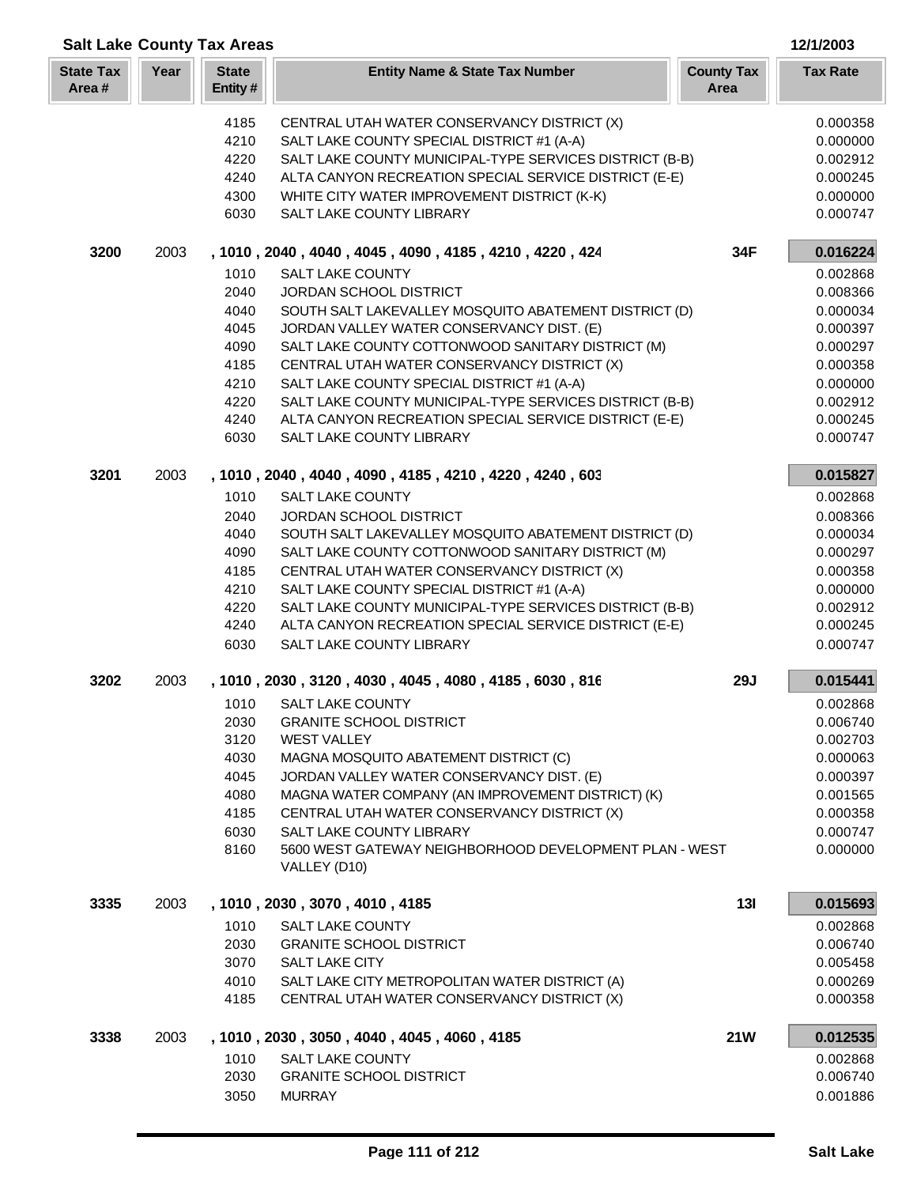|                           |      | <b>Salt Lake County Tax Areas</b> |                                                                                           |                           | 12/1/2003            |
|---------------------------|------|-----------------------------------|-------------------------------------------------------------------------------------------|---------------------------|----------------------|
| <b>State Tax</b><br>Area# | Year | <b>State</b><br>Entity#           | <b>Entity Name &amp; State Tax Number</b>                                                 | <b>County Tax</b><br>Area | <b>Tax Rate</b>      |
|                           |      | 4185                              | CENTRAL UTAH WATER CONSERVANCY DISTRICT (X)                                               |                           | 0.000358             |
|                           |      | 4210                              | SALT LAKE COUNTY SPECIAL DISTRICT #1 (A-A)                                                |                           | 0.000000             |
|                           |      | 4220                              | SALT LAKE COUNTY MUNICIPAL-TYPE SERVICES DISTRICT (B-B)                                   |                           | 0.002912             |
|                           |      | 4240                              | ALTA CANYON RECREATION SPECIAL SERVICE DISTRICT (E-E)                                     |                           | 0.000245             |
|                           |      | 4300                              | WHITE CITY WATER IMPROVEMENT DISTRICT (K-K)                                               |                           | 0.000000             |
|                           |      | 6030                              | SALT LAKE COUNTY LIBRARY                                                                  |                           | 0.000747             |
| 3200                      | 2003 |                                   | , 1010, 2040, 4040, 4045, 4090, 4185, 4210, 4220, 424                                     | 34F                       | 0.016224             |
|                           |      | 1010<br>2040                      | <b>SALT LAKE COUNTY</b><br><b>JORDAN SCHOOL DISTRICT</b>                                  |                           | 0.002868<br>0.008366 |
|                           |      | 4040                              | SOUTH SALT LAKEVALLEY MOSQUITO ABATEMENT DISTRICT (D)                                     |                           | 0.000034             |
|                           |      | 4045                              | JORDAN VALLEY WATER CONSERVANCY DIST. (E)                                                 |                           | 0.000397             |
|                           |      | 4090                              | SALT LAKE COUNTY COTTONWOOD SANITARY DISTRICT (M)                                         |                           | 0.000297             |
|                           |      | 4185                              | CENTRAL UTAH WATER CONSERVANCY DISTRICT (X)                                               |                           | 0.000358             |
|                           |      | 4210                              | SALT LAKE COUNTY SPECIAL DISTRICT #1 (A-A)                                                |                           | 0.000000             |
|                           |      | 4220                              | SALT LAKE COUNTY MUNICIPAL-TYPE SERVICES DISTRICT (B-B)                                   |                           | 0.002912             |
|                           |      | 4240                              | ALTA CANYON RECREATION SPECIAL SERVICE DISTRICT (E-E)                                     |                           | 0.000245             |
|                           |      | 6030                              | SALT LAKE COUNTY LIBRARY                                                                  |                           | 0.000747             |
| 3201                      | 2003 |                                   | , 1010, 2040, 4040, 4090, 4185, 4210, 4220, 4240, 603                                     |                           | 0.015827             |
|                           |      | 1010                              | <b>SALT LAKE COUNTY</b>                                                                   |                           | 0.002868             |
|                           |      | 2040                              | <b>JORDAN SCHOOL DISTRICT</b>                                                             |                           | 0.008366             |
|                           |      | 4040                              | SOUTH SALT LAKEVALLEY MOSQUITO ABATEMENT DISTRICT (D)                                     |                           | 0.000034             |
|                           |      | 4090                              | SALT LAKE COUNTY COTTONWOOD SANITARY DISTRICT (M)                                         |                           | 0.000297             |
|                           |      | 4185<br>4210                      | CENTRAL UTAH WATER CONSERVANCY DISTRICT (X)<br>SALT LAKE COUNTY SPECIAL DISTRICT #1 (A-A) |                           | 0.000358<br>0.000000 |
|                           |      | 4220                              | SALT LAKE COUNTY MUNICIPAL-TYPE SERVICES DISTRICT (B-B)                                   |                           | 0.002912             |
|                           |      | 4240                              | ALTA CANYON RECREATION SPECIAL SERVICE DISTRICT (E-E)                                     |                           | 0.000245             |
|                           |      | 6030                              | <b>SALT LAKE COUNTY LIBRARY</b>                                                           |                           | 0.000747             |
| 3202                      | 2003 |                                   | , 1010, 2030, 3120, 4030, 4045, 4080, 4185, 6030, 816                                     | <b>29J</b>                | 0.015441             |
|                           |      | 1010                              | <b>SALT LAKE COUNTY</b>                                                                   |                           | 0.002868             |
|                           |      | 2030                              | <b>GRANITE SCHOOL DISTRICT</b>                                                            |                           | 0.006740             |
|                           |      | 3120                              | <b>WEST VALLEY</b>                                                                        |                           | 0.002703             |
|                           |      | 4030<br>4045                      | MAGNA MOSQUITO ABATEMENT DISTRICT (C)<br>JORDAN VALLEY WATER CONSERVANCY DIST. (E)        |                           | 0.000063<br>0.000397 |
|                           |      | 4080                              | MAGNA WATER COMPANY (AN IMPROVEMENT DISTRICT) (K)                                         |                           | 0.001565             |
|                           |      | 4185                              | CENTRAL UTAH WATER CONSERVANCY DISTRICT (X)                                               |                           | 0.000358             |
|                           |      | 6030                              | <b>SALT LAKE COUNTY LIBRARY</b>                                                           |                           | 0.000747             |
|                           |      | 8160                              | 5600 WEST GATEWAY NEIGHBORHOOD DEVELOPMENT PLAN - WEST<br>VALLEY (D10)                    |                           | 0.000000             |
| 3335                      | 2003 |                                   | , 1010, 2030, 3070, 4010, 4185                                                            | 13I                       | 0.015693             |
|                           |      | 1010                              | SALT LAKE COUNTY                                                                          |                           | 0.002868             |
|                           |      | 2030                              | <b>GRANITE SCHOOL DISTRICT</b>                                                            |                           | 0.006740             |
|                           |      | 3070                              | SALT LAKE CITY                                                                            |                           | 0.005458             |
|                           |      | 4010                              | SALT LAKE CITY METROPOLITAN WATER DISTRICT (A)                                            |                           | 0.000269             |
|                           |      | 4185                              | CENTRAL UTAH WATER CONSERVANCY DISTRICT (X)                                               |                           | 0.000358             |
| 3338                      | 2003 |                                   | , 1010, 2030, 3050, 4040, 4045, 4060, 4185                                                | <b>21W</b>                | 0.012535             |
|                           |      | 1010                              | <b>SALT LAKE COUNTY</b>                                                                   |                           | 0.002868             |
|                           |      | 2030                              | <b>GRANITE SCHOOL DISTRICT</b>                                                            |                           | 0.006740             |
|                           |      | 3050                              | <b>MURRAY</b>                                                                             |                           | 0.001886             |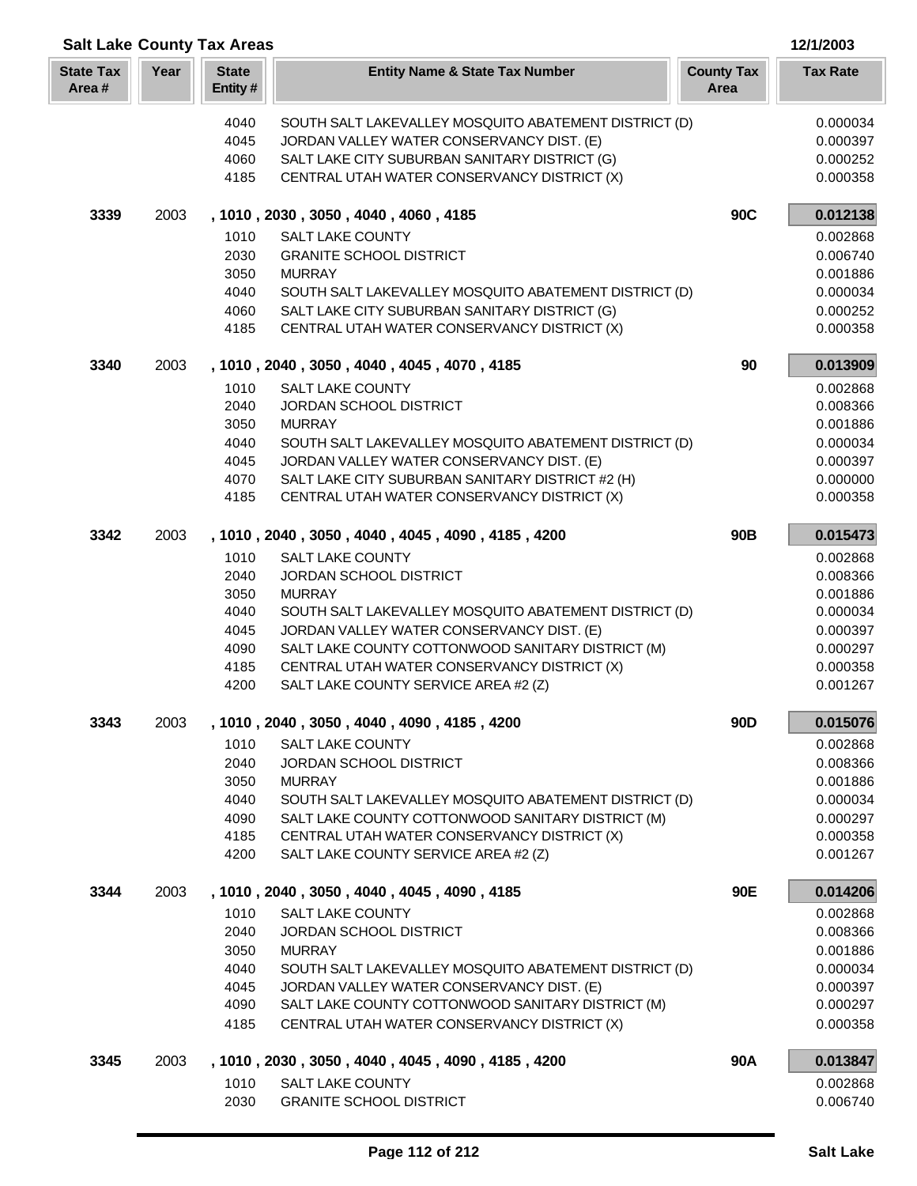| <b>Salt Lake County Tax Areas</b> |      |                         |                                                                                              |                           |                      |
|-----------------------------------|------|-------------------------|----------------------------------------------------------------------------------------------|---------------------------|----------------------|
| <b>State Tax</b><br>Area#         | Year | <b>State</b><br>Entity# | <b>Entity Name &amp; State Tax Number</b>                                                    | <b>County Tax</b><br>Area | <b>Tax Rate</b>      |
|                                   |      | 4040                    | SOUTH SALT LAKEVALLEY MOSQUITO ABATEMENT DISTRICT (D)                                        |                           | 0.000034             |
|                                   |      | 4045                    | JORDAN VALLEY WATER CONSERVANCY DIST. (E)                                                    |                           | 0.000397             |
|                                   |      | 4060                    | SALT LAKE CITY SUBURBAN SANITARY DISTRICT (G)                                                |                           | 0.000252             |
|                                   |      | 4185                    | CENTRAL UTAH WATER CONSERVANCY DISTRICT (X)                                                  |                           | 0.000358             |
| 3339                              | 2003 |                         | , 1010, 2030, 3050, 4040, 4060, 4185                                                         | 90C                       | 0.012138             |
|                                   |      | 1010                    | <b>SALT LAKE COUNTY</b>                                                                      |                           | 0.002868             |
|                                   |      | 2030                    | <b>GRANITE SCHOOL DISTRICT</b>                                                               |                           | 0.006740             |
|                                   |      | 3050                    | <b>MURRAY</b>                                                                                |                           | 0.001886             |
|                                   |      | 4040                    | SOUTH SALT LAKEVALLEY MOSQUITO ABATEMENT DISTRICT (D)                                        |                           | 0.000034             |
|                                   |      | 4060<br>4185            | SALT LAKE CITY SUBURBAN SANITARY DISTRICT (G)<br>CENTRAL UTAH WATER CONSERVANCY DISTRICT (X) |                           | 0.000252<br>0.000358 |
| 3340                              | 2003 |                         | , 1010, 2040, 3050, 4040, 4045, 4070, 4185                                                   | 90                        | 0.013909             |
|                                   |      | 1010                    | <b>SALT LAKE COUNTY</b>                                                                      |                           | 0.002868             |
|                                   |      | 2040                    | JORDAN SCHOOL DISTRICT                                                                       |                           | 0.008366             |
|                                   |      | 3050                    | <b>MURRAY</b>                                                                                |                           | 0.001886             |
|                                   |      | 4040                    | SOUTH SALT LAKEVALLEY MOSQUITO ABATEMENT DISTRICT (D)                                        |                           | 0.000034             |
|                                   |      | 4045                    | JORDAN VALLEY WATER CONSERVANCY DIST. (E)                                                    |                           | 0.000397             |
|                                   |      | 4070                    | SALT LAKE CITY SUBURBAN SANITARY DISTRICT #2 (H)                                             |                           | 0.000000             |
|                                   |      | 4185                    | CENTRAL UTAH WATER CONSERVANCY DISTRICT (X)                                                  |                           | 0.000358             |
| 3342                              | 2003 |                         | , 1010, 2040, 3050, 4040, 4045, 4090, 4185, 4200                                             | 90 <sub>B</sub>           | 0.015473             |
|                                   |      | 1010                    | <b>SALT LAKE COUNTY</b>                                                                      |                           | 0.002868             |
|                                   |      | 2040                    | JORDAN SCHOOL DISTRICT                                                                       |                           | 0.008366             |
|                                   |      | 3050                    | <b>MURRAY</b>                                                                                |                           | 0.001886             |
|                                   |      | 4040                    | SOUTH SALT LAKEVALLEY MOSQUITO ABATEMENT DISTRICT (D)                                        |                           | 0.000034             |
|                                   |      | 4045                    | JORDAN VALLEY WATER CONSERVANCY DIST. (E)                                                    |                           | 0.000397             |
|                                   |      | 4090                    | SALT LAKE COUNTY COTTONWOOD SANITARY DISTRICT (M)                                            |                           | 0.000297             |
|                                   |      | 4185<br>4200            | CENTRAL UTAH WATER CONSERVANCY DISTRICT (X)<br>SALT LAKE COUNTY SERVICE AREA #2 (Z)          |                           | 0.000358<br>0.001267 |
| 3343                              | 2003 |                         | , 1010, 2040, 3050, 4040, 4090, 4185, 4200                                                   | 90 <sub>D</sub>           | 0.015076             |
|                                   |      | 1010                    | <b>SALT LAKE COUNTY</b>                                                                      |                           | 0.002868             |
|                                   |      | 2040                    | <b>JORDAN SCHOOL DISTRICT</b>                                                                |                           | 0.008366             |
|                                   |      | 3050                    | <b>MURRAY</b>                                                                                |                           | 0.001886             |
|                                   |      | 4040                    | SOUTH SALT LAKEVALLEY MOSQUITO ABATEMENT DISTRICT (D)                                        |                           | 0.000034             |
|                                   |      | 4090                    | SALT LAKE COUNTY COTTONWOOD SANITARY DISTRICT (M)                                            |                           | 0.000297             |
|                                   |      | 4185                    | CENTRAL UTAH WATER CONSERVANCY DISTRICT (X)                                                  |                           | 0.000358             |
|                                   |      | 4200                    | SALT LAKE COUNTY SERVICE AREA #2 (Z)                                                         |                           | 0.001267             |
| 3344                              | 2003 |                         | , 1010, 2040, 3050, 4040, 4045, 4090, 4185                                                   | 90E                       | 0.014206             |
|                                   |      | 1010                    | <b>SALT LAKE COUNTY</b>                                                                      |                           | 0.002868             |
|                                   |      | 2040                    | JORDAN SCHOOL DISTRICT                                                                       |                           | 0.008366             |
|                                   |      | 3050                    | <b>MURRAY</b>                                                                                |                           | 0.001886             |
|                                   |      | 4040                    | SOUTH SALT LAKEVALLEY MOSQUITO ABATEMENT DISTRICT (D)                                        |                           | 0.000034             |
|                                   |      | 4045                    | JORDAN VALLEY WATER CONSERVANCY DIST. (E)                                                    |                           | 0.000397             |
|                                   |      | 4090                    | SALT LAKE COUNTY COTTONWOOD SANITARY DISTRICT (M)                                            |                           | 0.000297             |
|                                   |      | 4185                    | CENTRAL UTAH WATER CONSERVANCY DISTRICT (X)                                                  |                           | 0.000358             |
| 3345                              | 2003 |                         | , 1010, 2030, 3050, 4040, 4045, 4090, 4185, 4200                                             | 90A                       | 0.013847             |
|                                   |      | 1010                    | <b>SALT LAKE COUNTY</b>                                                                      |                           | 0.002868             |
|                                   |      | 2030                    | <b>GRANITE SCHOOL DISTRICT</b>                                                               |                           | 0.006740             |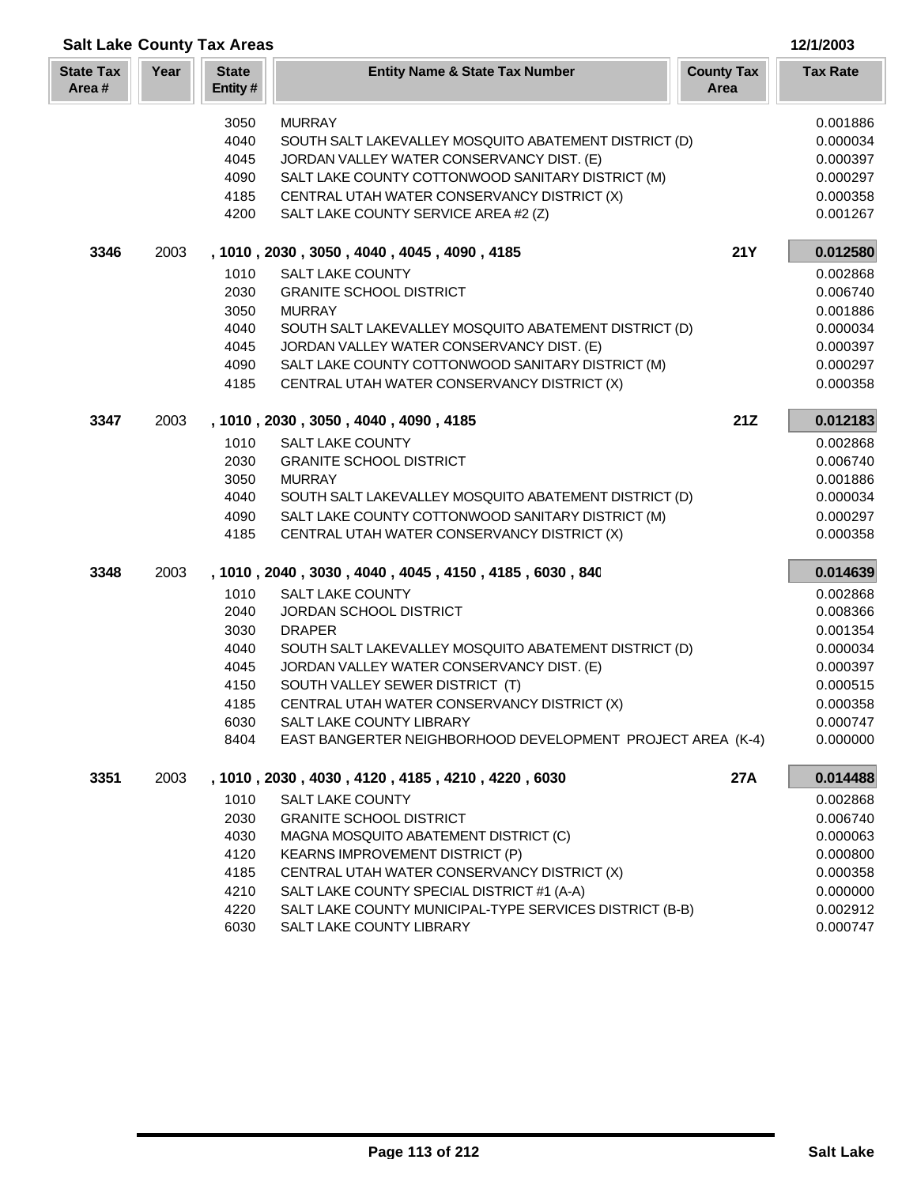| <b>Salt Lake County Tax Areas</b><br>12/1/2003 |      |                         |                                                                                        |                           |                      |  |
|------------------------------------------------|------|-------------------------|----------------------------------------------------------------------------------------|---------------------------|----------------------|--|
| <b>State Tax</b><br>Area#                      | Year | <b>State</b><br>Entity# | <b>Entity Name &amp; State Tax Number</b>                                              | <b>County Tax</b><br>Area | <b>Tax Rate</b>      |  |
|                                                |      | 3050                    | <b>MURRAY</b>                                                                          |                           | 0.001886             |  |
|                                                |      | 4040                    | SOUTH SALT LAKEVALLEY MOSQUITO ABATEMENT DISTRICT (D)                                  |                           | 0.000034             |  |
|                                                |      | 4045                    | JORDAN VALLEY WATER CONSERVANCY DIST. (E)                                              |                           | 0.000397             |  |
|                                                |      | 4090                    | SALT LAKE COUNTY COTTONWOOD SANITARY DISTRICT (M)                                      |                           | 0.000297             |  |
|                                                |      | 4185                    | CENTRAL UTAH WATER CONSERVANCY DISTRICT (X)                                            |                           | 0.000358             |  |
|                                                |      | 4200                    | SALT LAKE COUNTY SERVICE AREA #2 (Z)                                                   |                           | 0.001267             |  |
| 3346                                           | 2003 |                         | , 1010, 2030, 3050, 4040, 4045, 4090, 4185                                             | <b>21Y</b>                | 0.012580             |  |
|                                                |      | 1010                    | SALT LAKE COUNTY                                                                       |                           | 0.002868             |  |
|                                                |      | 2030                    | <b>GRANITE SCHOOL DISTRICT</b>                                                         |                           | 0.006740             |  |
|                                                |      | 3050                    | <b>MURRAY</b>                                                                          |                           | 0.001886             |  |
|                                                |      | 4040                    | SOUTH SALT LAKEVALLEY MOSQUITO ABATEMENT DISTRICT (D)                                  |                           | 0.000034             |  |
|                                                |      | 4045                    | JORDAN VALLEY WATER CONSERVANCY DIST. (E)                                              |                           | 0.000397             |  |
|                                                |      | 4090                    | SALT LAKE COUNTY COTTONWOOD SANITARY DISTRICT (M)                                      |                           | 0.000297             |  |
|                                                |      | 4185                    | CENTRAL UTAH WATER CONSERVANCY DISTRICT (X)                                            |                           | 0.000358             |  |
| 3347                                           | 2003 |                         | , 1010, 2030, 3050, 4040, 4090, 4185                                                   | 21Z                       | 0.012183             |  |
|                                                |      | 1010                    | <b>SALT LAKE COUNTY</b>                                                                |                           | 0.002868             |  |
|                                                |      | 2030                    | <b>GRANITE SCHOOL DISTRICT</b>                                                         |                           | 0.006740             |  |
|                                                |      | 3050                    | <b>MURRAY</b>                                                                          |                           | 0.001886             |  |
|                                                |      | 4040                    | SOUTH SALT LAKEVALLEY MOSQUITO ABATEMENT DISTRICT (D)                                  |                           | 0.000034             |  |
|                                                |      | 4090                    | SALT LAKE COUNTY COTTONWOOD SANITARY DISTRICT (M)                                      |                           | 0.000297             |  |
|                                                |      | 4185                    | CENTRAL UTAH WATER CONSERVANCY DISTRICT (X)                                            |                           | 0.000358             |  |
| 3348                                           | 2003 |                         | , 1010, 2040, 3030, 4040, 4045, 4150, 4185, 6030, 840                                  |                           | 0.014639             |  |
|                                                |      | 1010                    | <b>SALT LAKE COUNTY</b>                                                                |                           | 0.002868             |  |
|                                                |      | 2040                    | JORDAN SCHOOL DISTRICT                                                                 |                           | 0.008366             |  |
|                                                |      | 3030                    | <b>DRAPER</b>                                                                          |                           | 0.001354             |  |
|                                                |      | 4040                    | SOUTH SALT LAKEVALLEY MOSQUITO ABATEMENT DISTRICT (D)                                  |                           | 0.000034             |  |
|                                                |      | 4045                    | JORDAN VALLEY WATER CONSERVANCY DIST. (E)                                              |                           | 0.000397             |  |
|                                                |      | 4150                    | SOUTH VALLEY SEWER DISTRICT (T)                                                        |                           | 0.000515             |  |
|                                                |      | 4185                    | CENTRAL UTAH WATER CONSERVANCY DISTRICT (X)                                            |                           | 0.000358             |  |
|                                                |      | 6030<br>8404            | SALT LAKE COUNTY LIBRARY<br>EAST BANGERTER NEIGHBORHOOD DEVELOPMENT PROJECT AREA (K-4) |                           | 0.000747             |  |
|                                                |      |                         |                                                                                        |                           | 0.000000             |  |
| 3351                                           | 2003 |                         | , 1010, 2030, 4030, 4120, 4185, 4210, 4220, 6030                                       | 27A                       | 0.014488             |  |
|                                                |      | 1010                    | <b>SALT LAKE COUNTY</b><br><b>GRANITE SCHOOL DISTRICT</b>                              |                           | 0.002868             |  |
|                                                |      | 2030                    |                                                                                        |                           | 0.006740<br>0.000063 |  |
|                                                |      | 4030<br>4120            | MAGNA MOSQUITO ABATEMENT DISTRICT (C)<br>KEARNS IMPROVEMENT DISTRICT (P)               |                           | 0.000800             |  |
|                                                |      | 4185                    | CENTRAL UTAH WATER CONSERVANCY DISTRICT (X)                                            |                           | 0.000358             |  |
|                                                |      | 4210                    | SALT LAKE COUNTY SPECIAL DISTRICT #1 (A-A)                                             |                           | 0.000000             |  |
|                                                |      | 4220                    | SALT LAKE COUNTY MUNICIPAL-TYPE SERVICES DISTRICT (B-B)                                |                           | 0.002912             |  |
|                                                |      | 6030                    | SALT LAKE COUNTY LIBRARY                                                               |                           | 0.000747             |  |
|                                                |      |                         |                                                                                        |                           |                      |  |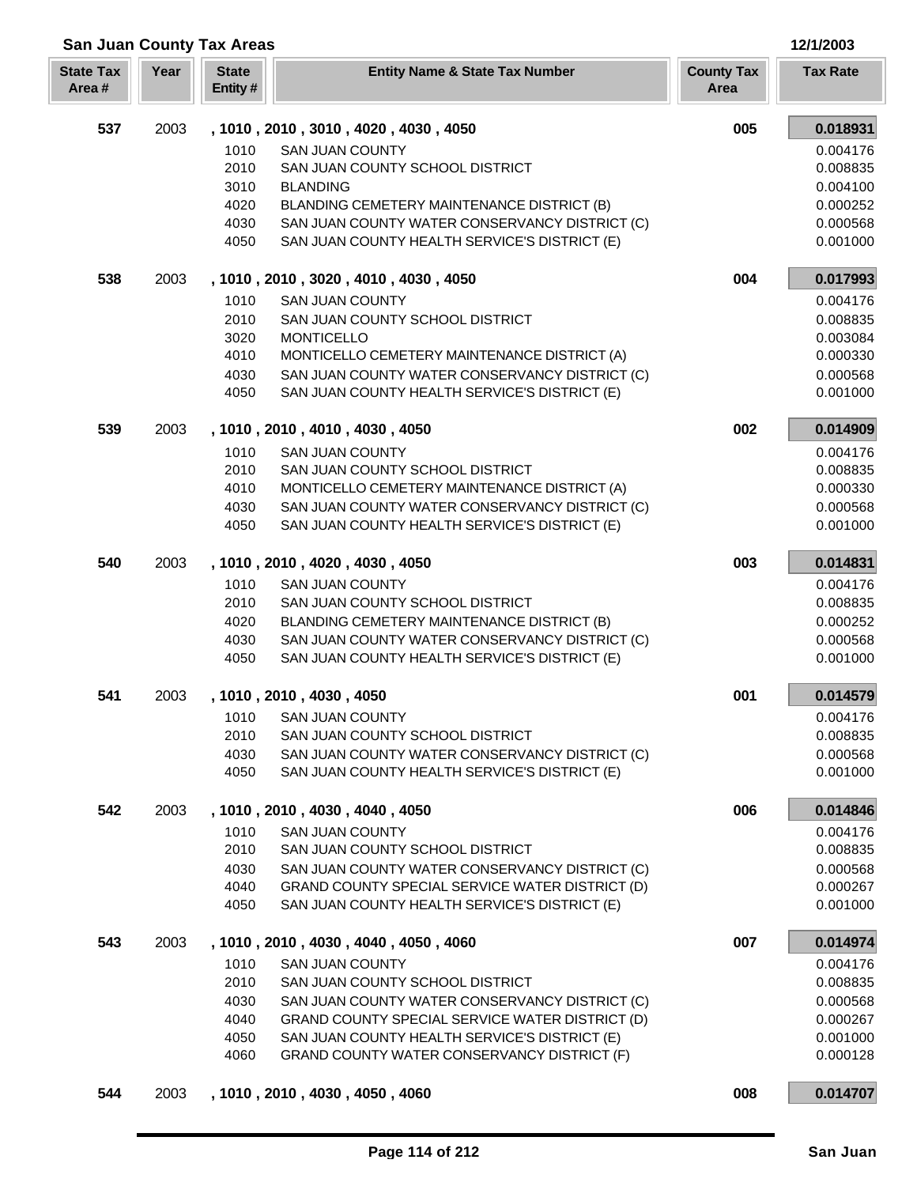| <b>San Juan County Tax Areas</b> |      |                                                                      |                           |                 |  |
|----------------------------------|------|----------------------------------------------------------------------|---------------------------|-----------------|--|
| <b>State Tax</b><br>Area#        | Year | <b>State</b><br><b>Entity Name &amp; State Tax Number</b><br>Entity# | <b>County Tax</b><br>Area | <b>Tax Rate</b> |  |
| 537                              | 2003 | , 1010, 2010, 3010, 4020, 4030, 4050                                 | 005                       | 0.018931        |  |
|                                  |      | <b>SAN JUAN COUNTY</b><br>1010                                       |                           | 0.004176        |  |
|                                  |      | 2010<br>SAN JUAN COUNTY SCHOOL DISTRICT                              |                           | 0.008835        |  |
|                                  |      | 3010<br><b>BLANDING</b>                                              |                           | 0.004100        |  |
|                                  |      | 4020<br>BLANDING CEMETERY MAINTENANCE DISTRICT (B)                   |                           | 0.000252        |  |
|                                  |      | SAN JUAN COUNTY WATER CONSERVANCY DISTRICT (C)<br>4030               |                           | 0.000568        |  |
|                                  |      | SAN JUAN COUNTY HEALTH SERVICE'S DISTRICT (E)<br>4050                |                           | 0.001000        |  |
| 538                              | 2003 | , 1010, 2010, 3020, 4010, 4030, 4050                                 | 004                       | 0.017993        |  |
|                                  |      | 1010<br><b>SAN JUAN COUNTY</b>                                       |                           | 0.004176        |  |
|                                  |      | 2010<br>SAN JUAN COUNTY SCHOOL DISTRICT                              |                           | 0.008835        |  |
|                                  |      | 3020<br><b>MONTICELLO</b>                                            |                           | 0.003084        |  |
|                                  |      | 4010<br>MONTICELLO CEMETERY MAINTENANCE DISTRICT (A)                 |                           | 0.000330        |  |
|                                  |      | 4030<br>SAN JUAN COUNTY WATER CONSERVANCY DISTRICT (C)               |                           | 0.000568        |  |
|                                  |      | 4050<br>SAN JUAN COUNTY HEALTH SERVICE'S DISTRICT (E)                |                           | 0.001000        |  |
| 539                              | 2003 | , 1010, 2010, 4010, 4030, 4050                                       | 002                       | 0.014909        |  |
|                                  |      | 1010<br><b>SAN JUAN COUNTY</b>                                       |                           | 0.004176        |  |
|                                  |      | 2010<br>SAN JUAN COUNTY SCHOOL DISTRICT                              |                           | 0.008835        |  |
|                                  |      | 4010<br>MONTICELLO CEMETERY MAINTENANCE DISTRICT (A)                 |                           | 0.000330        |  |
|                                  |      | 4030<br>SAN JUAN COUNTY WATER CONSERVANCY DISTRICT (C)               |                           | 0.000568        |  |
|                                  |      | 4050<br>SAN JUAN COUNTY HEALTH SERVICE'S DISTRICT (E)                |                           | 0.001000        |  |
| 540                              | 2003 | , 1010, 2010, 4020, 4030, 4050                                       | 003                       | 0.014831        |  |
|                                  |      | 1010<br><b>SAN JUAN COUNTY</b>                                       |                           | 0.004176        |  |
|                                  |      | 2010<br>SAN JUAN COUNTY SCHOOL DISTRICT                              |                           | 0.008835        |  |
|                                  |      | 4020<br>BLANDING CEMETERY MAINTENANCE DISTRICT (B)                   |                           | 0.000252        |  |
|                                  |      | 4030<br>SAN JUAN COUNTY WATER CONSERVANCY DISTRICT (C)               |                           | 0.000568        |  |
|                                  |      | 4050<br>SAN JUAN COUNTY HEALTH SERVICE'S DISTRICT (E)                |                           | 0.001000        |  |
| 541                              | 2003 | , 1010, 2010, 4030, 4050                                             | 001                       | 0.014579        |  |
|                                  |      | <b>SAN JUAN COUNTY</b><br>1010                                       |                           | 0.004176        |  |
|                                  |      | 2010<br>SAN JUAN COUNTY SCHOOL DISTRICT                              |                           | 0.008835        |  |
|                                  |      | 4030<br>SAN JUAN COUNTY WATER CONSERVANCY DISTRICT (C)               |                           | 0.000568        |  |
|                                  |      | 4050<br>SAN JUAN COUNTY HEALTH SERVICE'S DISTRICT (E)                |                           | 0.001000        |  |
| 542                              | 2003 | , 1010, 2010, 4030, 4040, 4050                                       | 006                       | 0.014846        |  |
|                                  |      | 1010<br><b>SAN JUAN COUNTY</b>                                       |                           | 0.004176        |  |
|                                  |      | 2010<br>SAN JUAN COUNTY SCHOOL DISTRICT                              |                           | 0.008835        |  |
|                                  |      | 4030<br>SAN JUAN COUNTY WATER CONSERVANCY DISTRICT (C)               |                           | 0.000568        |  |
|                                  |      | 4040<br>GRAND COUNTY SPECIAL SERVICE WATER DISTRICT (D)              |                           | 0.000267        |  |
|                                  |      | 4050<br>SAN JUAN COUNTY HEALTH SERVICE'S DISTRICT (E)                |                           | 0.001000        |  |
| 543                              | 2003 | , 1010, 2010, 4030, 4040, 4050, 4060                                 | 007                       | 0.014974        |  |
|                                  |      | 1010<br><b>SAN JUAN COUNTY</b>                                       |                           | 0.004176        |  |
|                                  |      | 2010<br>SAN JUAN COUNTY SCHOOL DISTRICT                              |                           | 0.008835        |  |
|                                  |      | 4030<br>SAN JUAN COUNTY WATER CONSERVANCY DISTRICT (C)               |                           | 0.000568        |  |
|                                  |      | 4040<br>GRAND COUNTY SPECIAL SERVICE WATER DISTRICT (D)              |                           | 0.000267        |  |
|                                  |      | 4050<br>SAN JUAN COUNTY HEALTH SERVICE'S DISTRICT (E)                |                           | 0.001000        |  |
|                                  |      | 4060<br>GRAND COUNTY WATER CONSERVANCY DISTRICT (F)                  |                           | 0.000128        |  |
| 544                              | 2003 | , 1010, 2010, 4030, 4050, 4060                                       | 008                       | 0.014707        |  |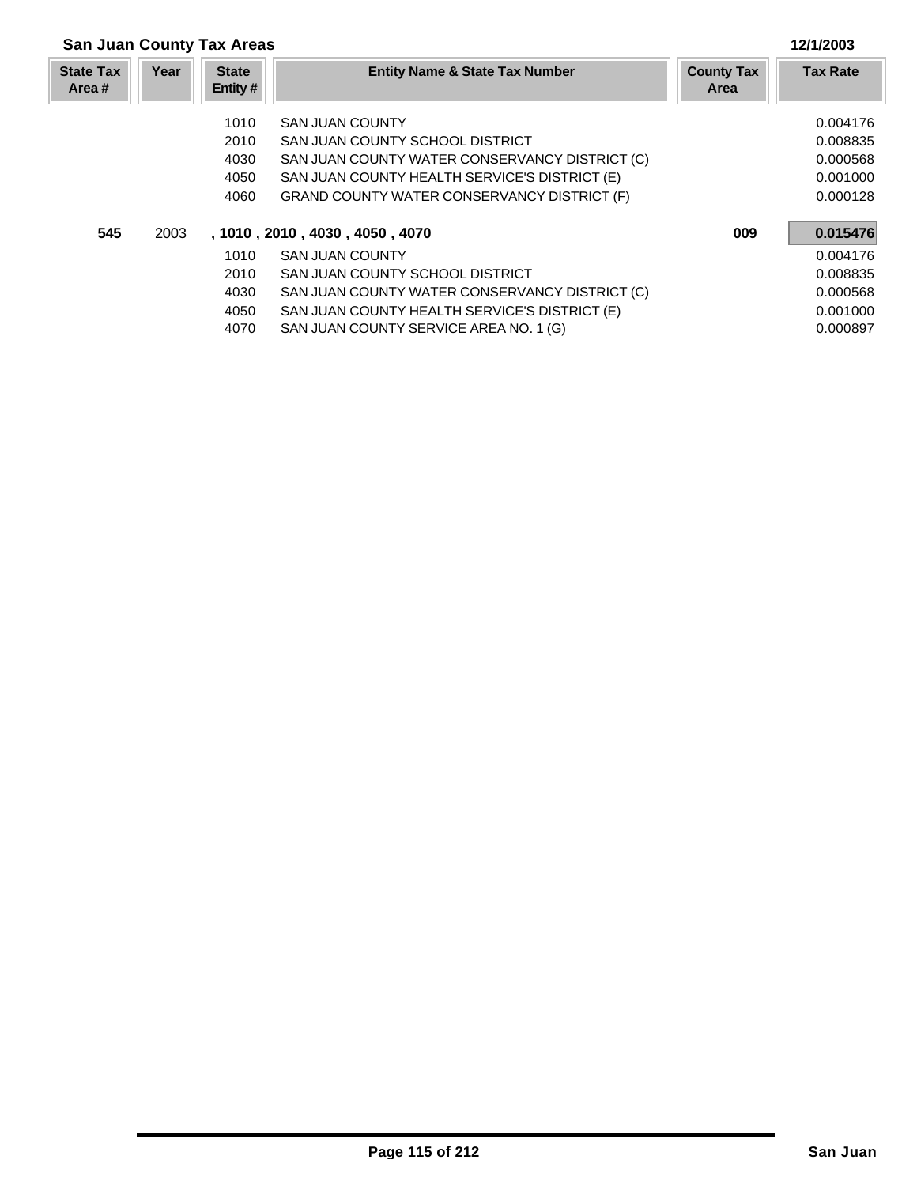| <b>San Juan County Tax Areas</b> |      | 12/1/2003               |                                                    |                                  |                 |
|----------------------------------|------|-------------------------|----------------------------------------------------|----------------------------------|-----------------|
| <b>State Tax</b><br>Area #       | Year | <b>State</b><br>Entity# | <b>Entity Name &amp; State Tax Number</b>          | <b>County Tax</b><br><b>Area</b> | <b>Tax Rate</b> |
|                                  |      | 1010                    | <b>SAN JUAN COUNTY</b>                             |                                  | 0.004176        |
|                                  |      | 2010                    | SAN JUAN COUNTY SCHOOL DISTRICT                    |                                  | 0.008835        |
|                                  |      | 4030                    | SAN JUAN COUNTY WATER CONSERVANCY DISTRICT (C)     |                                  | 0.000568        |
|                                  |      | 4050                    | SAN JUAN COUNTY HEALTH SERVICE'S DISTRICT (E)      |                                  | 0.001000        |
|                                  |      | 4060                    | <b>GRAND COUNTY WATER CONSERVANCY DISTRICT (F)</b> |                                  | 0.000128        |
| 545                              | 2003 |                         | , 1010, 2010, 4030, 4050, 4070                     | 009                              | 0.015476        |
|                                  |      | 1010                    | <b>SAN JUAN COUNTY</b>                             |                                  | 0.004176        |
|                                  |      | 2010                    | SAN JUAN COUNTY SCHOOL DISTRICT                    |                                  | 0.008835        |
|                                  |      | 4030                    | SAN JUAN COUNTY WATER CONSERVANCY DISTRICT (C)     |                                  | 0.000568        |
|                                  |      | 4050                    | SAN JUAN COUNTY HEALTH SERVICE'S DISTRICT (E)      |                                  | 0.001000        |
|                                  |      | 4070                    | SAN JUAN COUNTY SERVICE AREA NO. 1 (G)             |                                  | 0.000897        |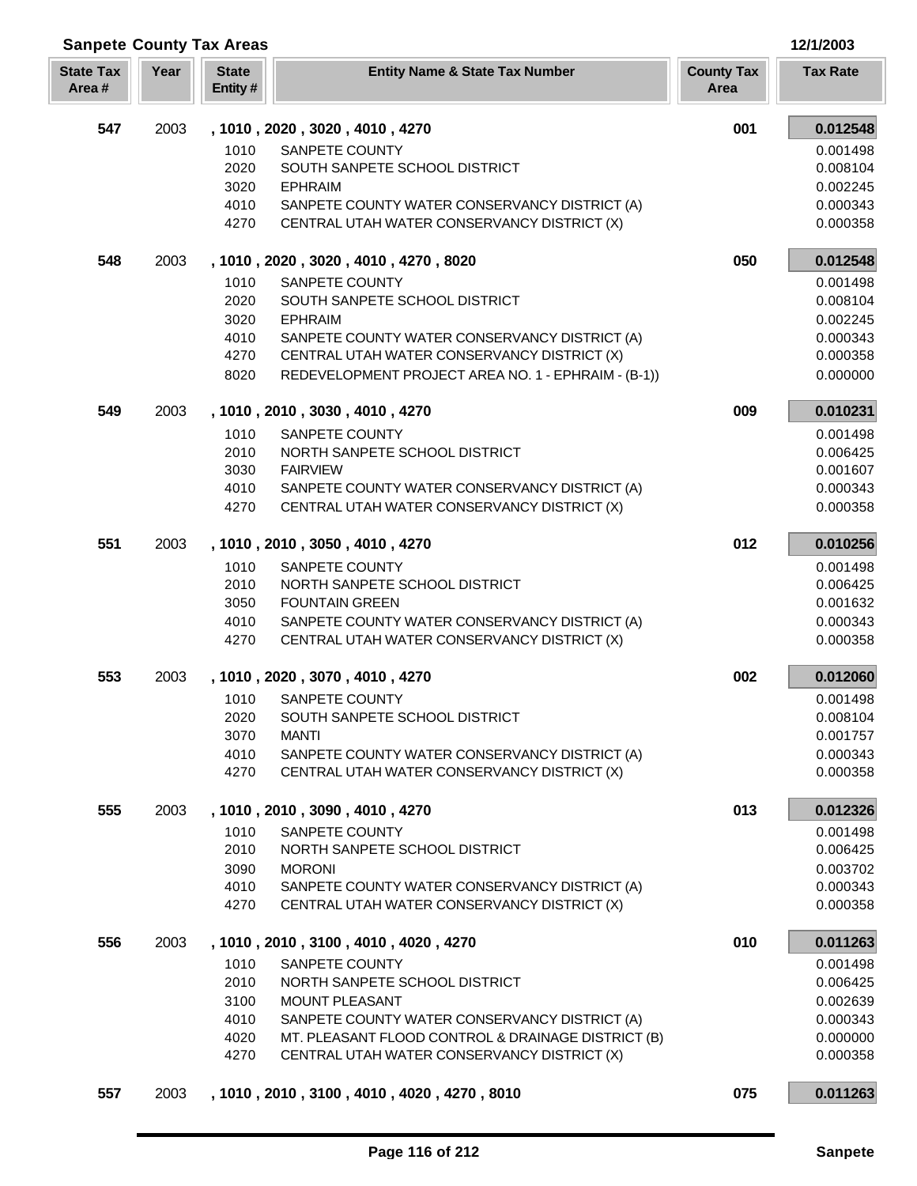| <b>Sanpete County Tax Areas</b> |      | 12/1/2003                                                            |                           |                 |
|---------------------------------|------|----------------------------------------------------------------------|---------------------------|-----------------|
| <b>State Tax</b><br>Area#       | Year | <b>State</b><br><b>Entity Name &amp; State Tax Number</b><br>Entity# | <b>County Tax</b><br>Area | <b>Tax Rate</b> |
| 547                             | 2003 | , 1010, 2020, 3020, 4010, 4270                                       | 001                       | 0.012548        |
|                                 |      | SANPETE COUNTY<br>1010                                               |                           | 0.001498        |
|                                 |      | 2020<br>SOUTH SANPETE SCHOOL DISTRICT                                |                           | 0.008104        |
|                                 |      | 3020<br><b>EPHRAIM</b>                                               |                           | 0.002245        |
|                                 |      | 4010<br>SANPETE COUNTY WATER CONSERVANCY DISTRICT (A)                |                           | 0.000343        |
|                                 |      | 4270<br>CENTRAL UTAH WATER CONSERVANCY DISTRICT (X)                  |                           | 0.000358        |
| 548                             | 2003 | , 1010, 2020, 3020, 4010, 4270, 8020                                 | 050                       | 0.012548        |
|                                 |      | 1010<br>SANPETE COUNTY                                               |                           | 0.001498        |
|                                 |      | 2020<br>SOUTH SANPETE SCHOOL DISTRICT                                |                           | 0.008104        |
|                                 |      | 3020<br><b>EPHRAIM</b>                                               |                           | 0.002245        |
|                                 |      | 4010<br>SANPETE COUNTY WATER CONSERVANCY DISTRICT (A)                |                           | 0.000343        |
|                                 |      | 4270<br>CENTRAL UTAH WATER CONSERVANCY DISTRICT (X)                  |                           | 0.000358        |
|                                 |      | 8020<br>REDEVELOPMENT PROJECT AREA NO. 1 - EPHRAIM - (B-1))          |                           | 0.000000        |
| 549                             | 2003 | , 1010, 2010, 3030, 4010, 4270                                       | 009                       | 0.010231        |
|                                 |      | 1010<br>SANPETE COUNTY                                               |                           | 0.001498        |
|                                 |      | 2010<br>NORTH SANPETE SCHOOL DISTRICT                                |                           | 0.006425        |
|                                 |      | 3030<br><b>FAIRVIEW</b>                                              |                           | 0.001607        |
|                                 |      | 4010<br>SANPETE COUNTY WATER CONSERVANCY DISTRICT (A)                |                           | 0.000343        |
|                                 |      | 4270<br>CENTRAL UTAH WATER CONSERVANCY DISTRICT (X)                  |                           | 0.000358        |
| 551                             | 2003 | , 1010, 2010, 3050, 4010, 4270                                       | 012                       | 0.010256        |
|                                 |      | 1010<br>SANPETE COUNTY                                               |                           | 0.001498        |
|                                 |      | 2010<br>NORTH SANPETE SCHOOL DISTRICT                                |                           | 0.006425        |
|                                 |      | 3050<br><b>FOUNTAIN GREEN</b>                                        |                           | 0.001632        |
|                                 |      | 4010<br>SANPETE COUNTY WATER CONSERVANCY DISTRICT (A)                |                           | 0.000343        |
|                                 |      | 4270<br>CENTRAL UTAH WATER CONSERVANCY DISTRICT (X)                  |                           | 0.000358        |
| 553                             | 2003 | , 1010, 2020, 3070, 4010, 4270                                       | 002                       | 0.012060        |
|                                 |      | 1010<br>SANPETE COUNTY                                               |                           | 0.001498        |
|                                 |      | 2020<br>SOUTH SANPETE SCHOOL DISTRICT                                |                           | 0.008104        |
|                                 |      | 3070<br><b>MANTI</b>                                                 |                           | 0.001757        |
|                                 |      | SANPETE COUNTY WATER CONSERVANCY DISTRICT (A)<br>4010                |                           | 0.000343        |
|                                 |      | 4270<br>CENTRAL UTAH WATER CONSERVANCY DISTRICT (X)                  |                           | 0.000358        |
| 555                             | 2003 | , 1010, 2010, 3090, 4010, 4270                                       | 013                       | 0.012326        |
|                                 |      | 1010<br>SANPETE COUNTY                                               |                           | 0.001498        |
|                                 |      | 2010<br>NORTH SANPETE SCHOOL DISTRICT                                |                           | 0.006425        |
|                                 |      | 3090<br><b>MORONI</b>                                                |                           | 0.003702        |
|                                 |      | 4010<br>SANPETE COUNTY WATER CONSERVANCY DISTRICT (A)                |                           | 0.000343        |
|                                 |      | CENTRAL UTAH WATER CONSERVANCY DISTRICT (X)<br>4270                  |                           | 0.000358        |
| 556                             | 2003 | , 1010, 2010, 3100, 4010, 4020, 4270                                 | 010                       | 0.011263        |
|                                 |      | 1010<br>SANPETE COUNTY                                               |                           | 0.001498        |
|                                 |      | 2010<br>NORTH SANPETE SCHOOL DISTRICT                                |                           | 0.006425        |
|                                 |      | 3100<br>MOUNT PLEASANT                                               |                           | 0.002639        |
|                                 |      | SANPETE COUNTY WATER CONSERVANCY DISTRICT (A)<br>4010                |                           | 0.000343        |
|                                 |      | MT. PLEASANT FLOOD CONTROL & DRAINAGE DISTRICT (B)<br>4020           |                           | 0.000000        |
|                                 |      | CENTRAL UTAH WATER CONSERVANCY DISTRICT (X)<br>4270                  |                           | 0.000358        |
| 557                             | 2003 | , 1010 , 2010 , 3100 , 4010 , 4020 , 4270 , 8010                     | 075                       | 0.011263        |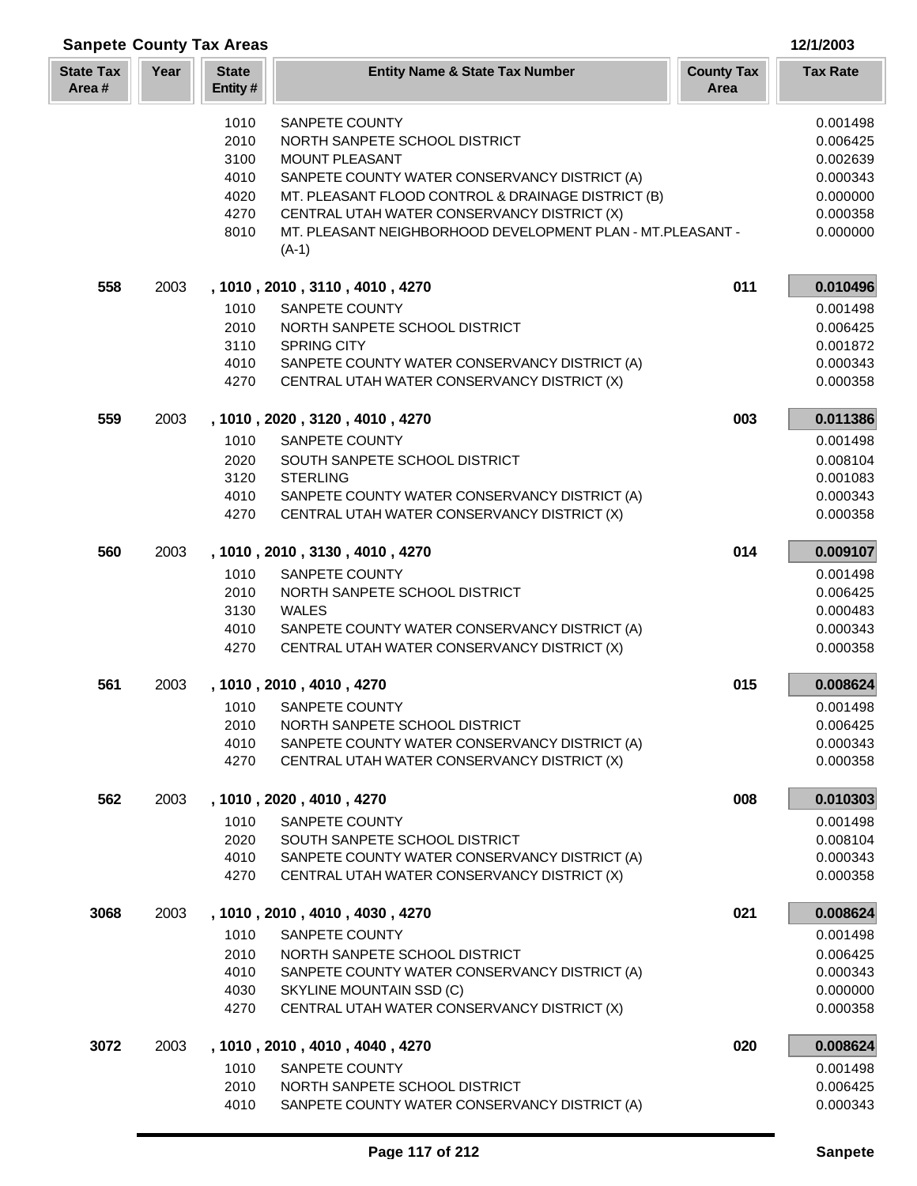| <b>Sanpete County Tax Areas</b> |      |                         |                                                                                              |                           | 12/1/2003            |
|---------------------------------|------|-------------------------|----------------------------------------------------------------------------------------------|---------------------------|----------------------|
| <b>State Tax</b><br>Area#       | Year | <b>State</b><br>Entity# | <b>Entity Name &amp; State Tax Number</b>                                                    | <b>County Tax</b><br>Area | <b>Tax Rate</b>      |
|                                 |      | 1010                    | <b>SANPETE COUNTY</b>                                                                        |                           | 0.001498             |
|                                 |      | 2010                    | NORTH SANPETE SCHOOL DISTRICT                                                                |                           | 0.006425             |
|                                 |      | 3100                    | <b>MOUNT PLEASANT</b>                                                                        |                           | 0.002639             |
|                                 |      | 4010                    | SANPETE COUNTY WATER CONSERVANCY DISTRICT (A)                                                |                           | 0.000343             |
|                                 |      | 4020                    | MT. PLEASANT FLOOD CONTROL & DRAINAGE DISTRICT (B)                                           |                           | 0.000000             |
|                                 |      | 4270                    | CENTRAL UTAH WATER CONSERVANCY DISTRICT (X)                                                  |                           | 0.000358             |
|                                 |      | 8010                    | MT. PLEASANT NEIGHBORHOOD DEVELOPMENT PLAN - MT.PLEASANT -<br>$(A-1)$                        |                           | 0.000000             |
| 558                             | 2003 |                         | , 1010, 2010, 3110, 4010, 4270                                                               | 011                       | 0.010496             |
|                                 |      | 1010                    | SANPETE COUNTY                                                                               |                           | 0.001498             |
|                                 |      | 2010                    | NORTH SANPETE SCHOOL DISTRICT                                                                |                           | 0.006425             |
|                                 |      | 3110                    | <b>SPRING CITY</b>                                                                           |                           | 0.001872             |
|                                 |      | 4010<br>4270            | SANPETE COUNTY WATER CONSERVANCY DISTRICT (A)<br>CENTRAL UTAH WATER CONSERVANCY DISTRICT (X) |                           | 0.000343<br>0.000358 |
|                                 |      |                         |                                                                                              |                           |                      |
| 559                             | 2003 |                         | , 1010, 2020, 3120, 4010, 4270                                                               | 003                       | 0.011386             |
|                                 |      | 1010                    | SANPETE COUNTY                                                                               |                           | 0.001498             |
|                                 |      | 2020                    | SOUTH SANPETE SCHOOL DISTRICT                                                                |                           | 0.008104             |
|                                 |      | 3120                    | <b>STERLING</b>                                                                              |                           | 0.001083             |
|                                 |      | 4010                    | SANPETE COUNTY WATER CONSERVANCY DISTRICT (A)                                                |                           | 0.000343             |
|                                 |      | 4270                    | CENTRAL UTAH WATER CONSERVANCY DISTRICT (X)                                                  |                           | 0.000358             |
| 560                             | 2003 |                         | , 1010, 2010, 3130, 4010, 4270                                                               | 014                       | 0.009107             |
|                                 |      | 1010                    | SANPETE COUNTY                                                                               |                           | 0.001498             |
|                                 |      | 2010                    | NORTH SANPETE SCHOOL DISTRICT                                                                |                           | 0.006425             |
|                                 |      | 3130<br>4010            | <b>WALES</b><br>SANPETE COUNTY WATER CONSERVANCY DISTRICT (A)                                |                           | 0.000483<br>0.000343 |
|                                 |      | 4270                    | CENTRAL UTAH WATER CONSERVANCY DISTRICT (X)                                                  |                           | 0.000358             |
|                                 |      |                         |                                                                                              |                           |                      |
| 561                             | 2003 |                         | , 1010, 2010, 4010, 4270                                                                     | 015                       | 0.008624             |
|                                 |      |                         | 1010 SANPETE COUNTY                                                                          |                           | 0.001498             |
|                                 |      | 2010                    | NORTH SANPETE SCHOOL DISTRICT                                                                |                           | 0.006425             |
|                                 |      | 4010<br>4270            | SANPETE COUNTY WATER CONSERVANCY DISTRICT (A)<br>CENTRAL UTAH WATER CONSERVANCY DISTRICT (X) |                           | 0.000343<br>0.000358 |
|                                 |      |                         |                                                                                              |                           |                      |
| 562                             | 2003 |                         | , 1010, 2020, 4010, 4270                                                                     | 008                       | 0.010303             |
|                                 |      | 1010                    | SANPETE COUNTY                                                                               |                           | 0.001498             |
|                                 |      | 2020<br>4010            | SOUTH SANPETE SCHOOL DISTRICT<br>SANPETE COUNTY WATER CONSERVANCY DISTRICT (A)               |                           | 0.008104<br>0.000343 |
|                                 |      | 4270                    | CENTRAL UTAH WATER CONSERVANCY DISTRICT (X)                                                  |                           | 0.000358             |
| 3068                            | 2003 |                         | , 1010, 2010, 4010, 4030, 4270                                                               | 021                       | 0.008624             |
|                                 |      | 1010                    | SANPETE COUNTY                                                                               |                           | 0.001498             |
|                                 |      | 2010                    | NORTH SANPETE SCHOOL DISTRICT                                                                |                           | 0.006425             |
|                                 |      | 4010                    | SANPETE COUNTY WATER CONSERVANCY DISTRICT (A)                                                |                           | 0.000343             |
|                                 |      | 4030                    | SKYLINE MOUNTAIN SSD (C)                                                                     |                           | 0.000000             |
|                                 |      | 4270                    | CENTRAL UTAH WATER CONSERVANCY DISTRICT (X)                                                  |                           | 0.000358             |
| 3072                            | 2003 |                         | , 1010, 2010, 4010, 4040, 4270                                                               | 020                       | 0.008624             |
|                                 |      | 1010                    | SANPETE COUNTY                                                                               |                           | 0.001498             |
|                                 |      | 2010                    | NORTH SANPETE SCHOOL DISTRICT                                                                |                           | 0.006425             |
|                                 |      | 4010                    | SANPETE COUNTY WATER CONSERVANCY DISTRICT (A)                                                |                           | 0.000343             |

ī L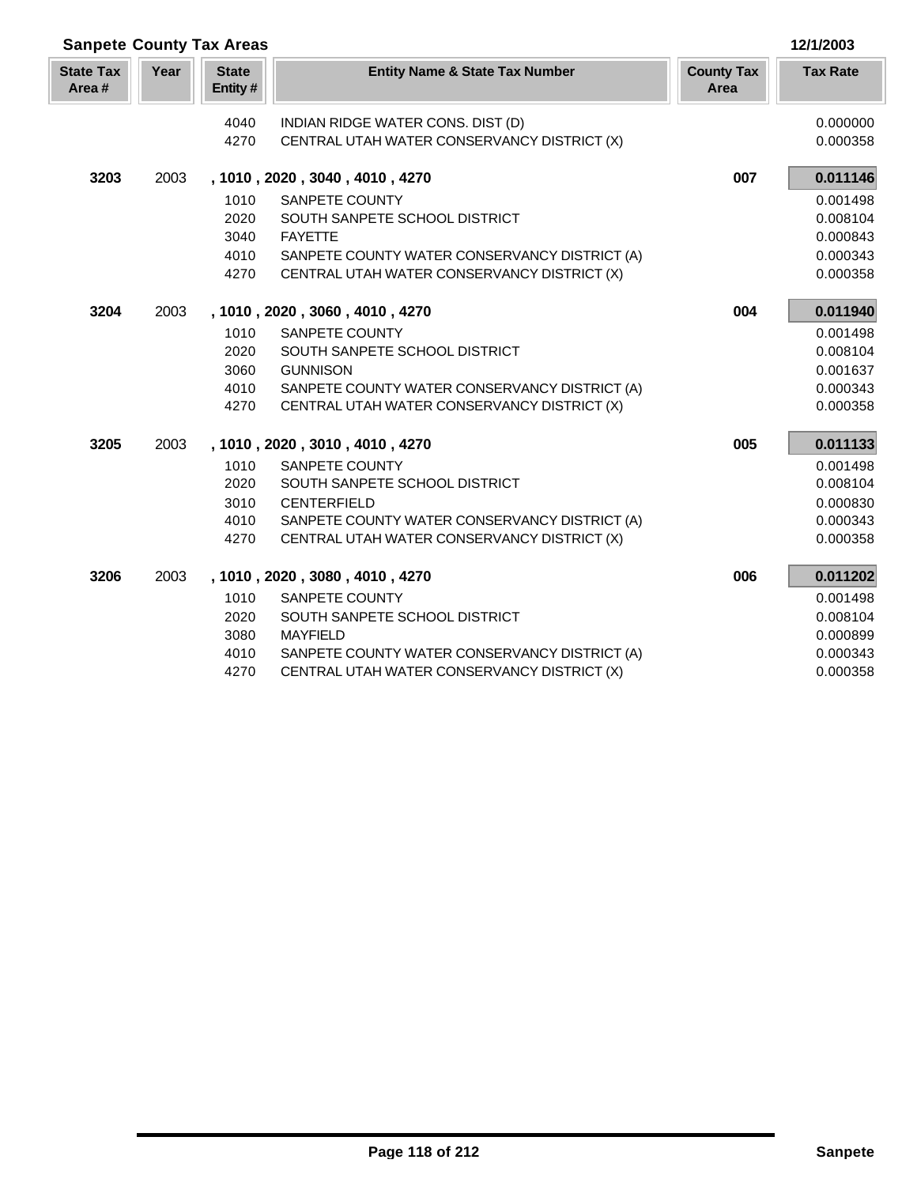| <b>Sanpete County Tax Areas</b> |      |                         |                                               |                           | 12/1/2003       |
|---------------------------------|------|-------------------------|-----------------------------------------------|---------------------------|-----------------|
| <b>State Tax</b><br>Area#       | Year | <b>State</b><br>Entity# | <b>Entity Name &amp; State Tax Number</b>     | <b>County Tax</b><br>Area | <b>Tax Rate</b> |
|                                 |      | 4040                    | INDIAN RIDGE WATER CONS. DIST (D)             |                           | 0.000000        |
|                                 |      | 4270                    | CENTRAL UTAH WATER CONSERVANCY DISTRICT (X)   |                           | 0.000358        |
| 3203                            | 2003 |                         | , 1010, 2020, 3040, 4010, 4270                | 007                       | 0.011146        |
|                                 |      | 1010                    | SANPETE COUNTY                                |                           | 0.001498        |
|                                 |      | 2020                    | SOUTH SANPETE SCHOOL DISTRICT                 |                           | 0.008104        |
|                                 |      | 3040                    | <b>FAYETTE</b>                                |                           | 0.000843        |
|                                 |      | 4010                    | SANPETE COUNTY WATER CONSERVANCY DISTRICT (A) |                           | 0.000343        |
|                                 |      | 4270                    | CENTRAL UTAH WATER CONSERVANCY DISTRICT (X)   |                           | 0.000358        |
| 3204                            | 2003 |                         | , 1010, 2020, 3060, 4010, 4270                | 004                       | 0.011940        |
|                                 |      | 1010                    | SANPETE COUNTY                                |                           | 0.001498        |
|                                 |      | 2020                    | SOUTH SANPETE SCHOOL DISTRICT                 |                           | 0.008104        |
|                                 |      | 3060                    | <b>GUNNISON</b>                               |                           | 0.001637        |
|                                 |      | 4010                    | SANPETE COUNTY WATER CONSERVANCY DISTRICT (A) |                           | 0.000343        |
|                                 |      | 4270                    | CENTRAL UTAH WATER CONSERVANCY DISTRICT (X)   |                           | 0.000358        |
| 3205                            | 2003 |                         | , 1010, 2020, 3010, 4010, 4270                | 005                       | 0.011133        |
|                                 |      | 1010                    | SANPETE COUNTY                                |                           | 0.001498        |
|                                 |      | 2020                    | SOUTH SANPETE SCHOOL DISTRICT                 |                           | 0.008104        |
|                                 |      | 3010                    | <b>CENTERFIELD</b>                            |                           | 0.000830        |
|                                 |      | 4010                    | SANPETE COUNTY WATER CONSERVANCY DISTRICT (A) |                           | 0.000343        |
|                                 |      | 4270                    | CENTRAL UTAH WATER CONSERVANCY DISTRICT (X)   |                           | 0.000358        |
| 3206                            | 2003 |                         | , 1010, 2020, 3080, 4010, 4270                | 006                       | 0.011202        |
|                                 |      | 1010                    | SANPETE COUNTY                                |                           | 0.001498        |
|                                 |      | 2020                    | SOUTH SANPETE SCHOOL DISTRICT                 |                           | 0.008104        |
|                                 |      | 3080                    | <b>MAYFIELD</b>                               |                           | 0.000899        |
|                                 |      | 4010                    | SANPETE COUNTY WATER CONSERVANCY DISTRICT (A) |                           | 0.000343        |
|                                 |      | 4270                    | CENTRAL UTAH WATER CONSERVANCY DISTRICT (X)   |                           | 0.000358        |

Ī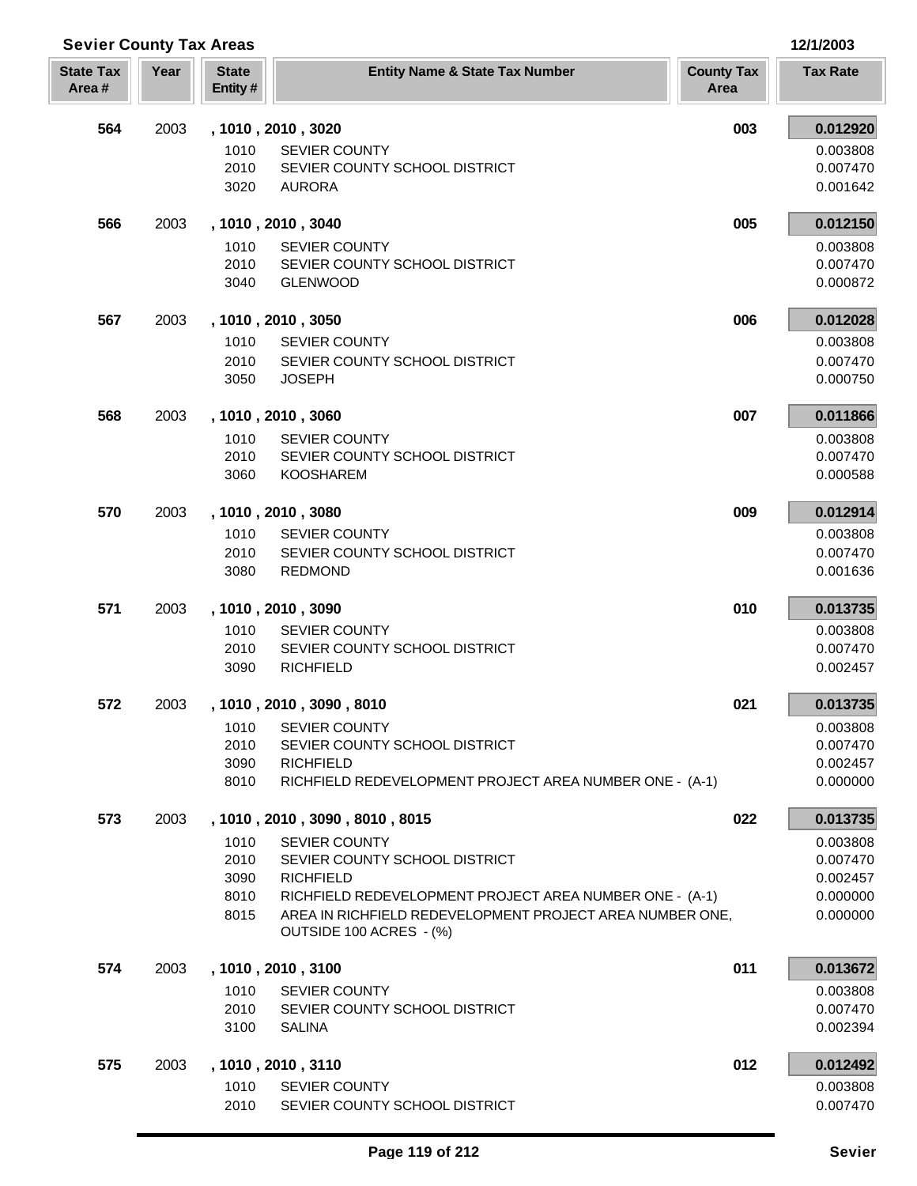| <b>Sevier County Tax Areas</b> |      |                         |                                                                             |                           | 12/1/2003            |
|--------------------------------|------|-------------------------|-----------------------------------------------------------------------------|---------------------------|----------------------|
| <b>State Tax</b><br>Area#      | Year | <b>State</b><br>Entity# | <b>Entity Name &amp; State Tax Number</b>                                   | <b>County Tax</b><br>Area | <b>Tax Rate</b>      |
| 564                            | 2003 |                         | , 1010, 2010, 3020                                                          | 003                       | 0.012920             |
|                                |      | 1010                    | <b>SEVIER COUNTY</b>                                                        |                           | 0.003808             |
|                                |      | 2010                    | SEVIER COUNTY SCHOOL DISTRICT                                               |                           | 0.007470             |
|                                |      | 3020                    | <b>AURORA</b>                                                               |                           | 0.001642             |
| 566                            | 2003 |                         | , 1010, 2010, 3040                                                          | 005                       | 0.012150             |
|                                |      | 1010                    | <b>SEVIER COUNTY</b>                                                        |                           | 0.003808             |
|                                |      | 2010                    | SEVIER COUNTY SCHOOL DISTRICT                                               |                           | 0.007470             |
|                                |      | 3040                    | <b>GLENWOOD</b>                                                             |                           | 0.000872             |
| 567                            | 2003 |                         | , 1010, 2010, 3050                                                          | 006                       | 0.012028             |
|                                |      | 1010                    | <b>SEVIER COUNTY</b>                                                        |                           | 0.003808             |
|                                |      | 2010                    | SEVIER COUNTY SCHOOL DISTRICT                                               |                           | 0.007470             |
|                                |      | 3050                    | <b>JOSEPH</b>                                                               |                           | 0.000750             |
| 568                            | 2003 |                         | , 1010, 2010, 3060                                                          | 007                       | 0.011866             |
|                                |      | 1010                    | <b>SEVIER COUNTY</b>                                                        |                           | 0.003808             |
|                                |      | 2010                    | SEVIER COUNTY SCHOOL DISTRICT                                               |                           | 0.007470             |
|                                |      | 3060                    | <b>KOOSHAREM</b>                                                            |                           | 0.000588             |
| 570                            | 2003 |                         | , 1010, 2010, 3080                                                          | 009                       | 0.012914             |
|                                |      | 1010                    | <b>SEVIER COUNTY</b>                                                        |                           | 0.003808             |
|                                |      | 2010                    | SEVIER COUNTY SCHOOL DISTRICT                                               |                           | 0.007470             |
|                                |      | 3080                    | <b>REDMOND</b>                                                              |                           | 0.001636             |
| 571                            | 2003 |                         | , 1010, 2010, 3090                                                          | 010                       | 0.013735             |
|                                |      | 1010                    | <b>SEVIER COUNTY</b>                                                        |                           | 0.003808             |
|                                |      | 2010                    | SEVIER COUNTY SCHOOL DISTRICT                                               |                           | 0.007470             |
|                                |      | 3090                    | <b>RICHFIELD</b>                                                            |                           | 0.002457             |
| 572                            | 2003 |                         | 1010, 2010, 3090, 8010                                                      | 021                       | 0.013735             |
|                                |      | 1010                    | <b>SEVIER COUNTY</b>                                                        |                           | 0.003808             |
|                                |      | 2010                    | SEVIER COUNTY SCHOOL DISTRICT                                               |                           | 0.007470             |
|                                |      | 3090                    | <b>RICHFIELD</b>                                                            |                           | 0.002457             |
|                                |      | 8010                    | RICHFIELD REDEVELOPMENT PROJECT AREA NUMBER ONE - (A-1)                     |                           | 0.000000             |
| 573                            | 2003 |                         | , 1010, 2010, 3090, 8010, 8015                                              | 022                       | 0.013735             |
|                                |      | 1010                    | <b>SEVIER COUNTY</b>                                                        |                           | 0.003808             |
|                                |      | 2010                    | SEVIER COUNTY SCHOOL DISTRICT                                               |                           | 0.007470             |
|                                |      | 3090<br>8010            | <b>RICHFIELD</b><br>RICHFIELD REDEVELOPMENT PROJECT AREA NUMBER ONE - (A-1) |                           | 0.002457<br>0.000000 |
|                                |      | 8015                    | AREA IN RICHFIELD REDEVELOPMENT PROJECT AREA NUMBER ONE,                    |                           | 0.000000             |
|                                |      |                         | OUTSIDE 100 ACRES - (%)                                                     |                           |                      |
| 574                            | 2003 |                         | , 1010, 2010, 3100                                                          | 011                       | 0.013672             |
|                                |      | 1010                    | <b>SEVIER COUNTY</b>                                                        |                           | 0.003808             |
|                                |      | 2010                    | SEVIER COUNTY SCHOOL DISTRICT                                               |                           | 0.007470             |
|                                |      | 3100                    | <b>SALINA</b>                                                               |                           | 0.002394             |
| 575                            | 2003 |                         | , 1010, 2010, 3110                                                          | 012                       | 0.012492             |
|                                |      | 1010                    | <b>SEVIER COUNTY</b>                                                        |                           | 0.003808             |
|                                |      | 2010                    | SEVIER COUNTY SCHOOL DISTRICT                                               |                           | 0.007470             |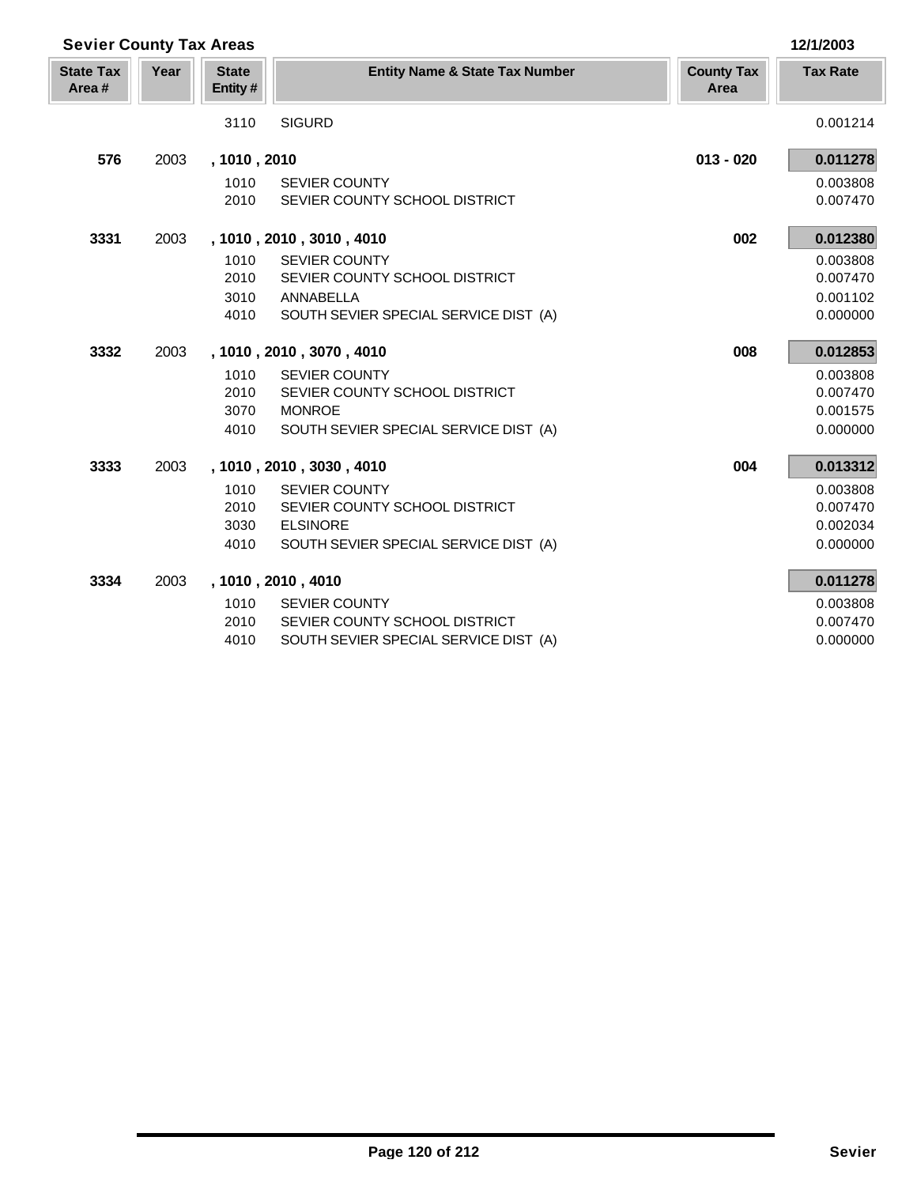| <b>Sevier County Tax Areas</b> |      |                         |                                           |                           | 12/1/2003       |
|--------------------------------|------|-------------------------|-------------------------------------------|---------------------------|-----------------|
| <b>State Tax</b><br>Area#      | Year | <b>State</b><br>Entity# | <b>Entity Name &amp; State Tax Number</b> | <b>County Tax</b><br>Area | <b>Tax Rate</b> |
|                                |      | 3110                    | <b>SIGURD</b>                             |                           | 0.001214        |
| 576                            | 2003 | , 1010, 2010            |                                           | $013 - 020$               | 0.011278        |
|                                |      | 1010                    | <b>SEVIER COUNTY</b>                      |                           | 0.003808        |
|                                |      | 2010                    | SEVIER COUNTY SCHOOL DISTRICT             |                           | 0.007470        |
| 3331                           | 2003 |                         | , 1010, 2010, 3010, 4010                  | 002                       | 0.012380        |
|                                |      | 1010                    | <b>SEVIER COUNTY</b>                      |                           | 0.003808        |
|                                |      | 2010                    | SEVIER COUNTY SCHOOL DISTRICT             |                           | 0.007470        |
|                                |      | 3010                    | ANNABELLA                                 |                           | 0.001102        |
|                                |      | 4010                    | SOUTH SEVIER SPECIAL SERVICE DIST (A)     |                           | 0.000000        |
| 3332                           | 2003 |                         | , 1010, 2010, 3070, 4010                  | 008                       | 0.012853        |
|                                |      | 1010                    | <b>SEVIER COUNTY</b>                      |                           | 0.003808        |
|                                |      | 2010                    | SEVIER COUNTY SCHOOL DISTRICT             |                           | 0.007470        |
|                                |      | 3070                    | <b>MONROE</b>                             |                           | 0.001575        |
|                                |      | 4010                    | SOUTH SEVIER SPECIAL SERVICE DIST (A)     |                           | 0.000000        |
| 3333                           | 2003 |                         | , 1010, 2010, 3030, 4010                  | 004                       | 0.013312        |
|                                |      | 1010                    | <b>SEVIER COUNTY</b>                      |                           | 0.003808        |
|                                |      | 2010                    | SEVIER COUNTY SCHOOL DISTRICT             |                           | 0.007470        |
|                                |      | 3030                    | <b>ELSINORE</b>                           |                           | 0.002034        |
|                                |      | 4010                    | SOUTH SEVIER SPECIAL SERVICE DIST (A)     |                           | 0.000000        |
| 3334                           | 2003 |                         | , 1010, 2010, 4010                        |                           | 0.011278        |
|                                |      | 1010                    | <b>SEVIER COUNTY</b>                      |                           | 0.003808        |
|                                |      | 2010                    | SEVIER COUNTY SCHOOL DISTRICT             |                           | 0.007470        |
|                                |      | 4010                    | SOUTH SEVIER SPECIAL SERVICE DIST (A)     |                           | 0.000000        |

Īī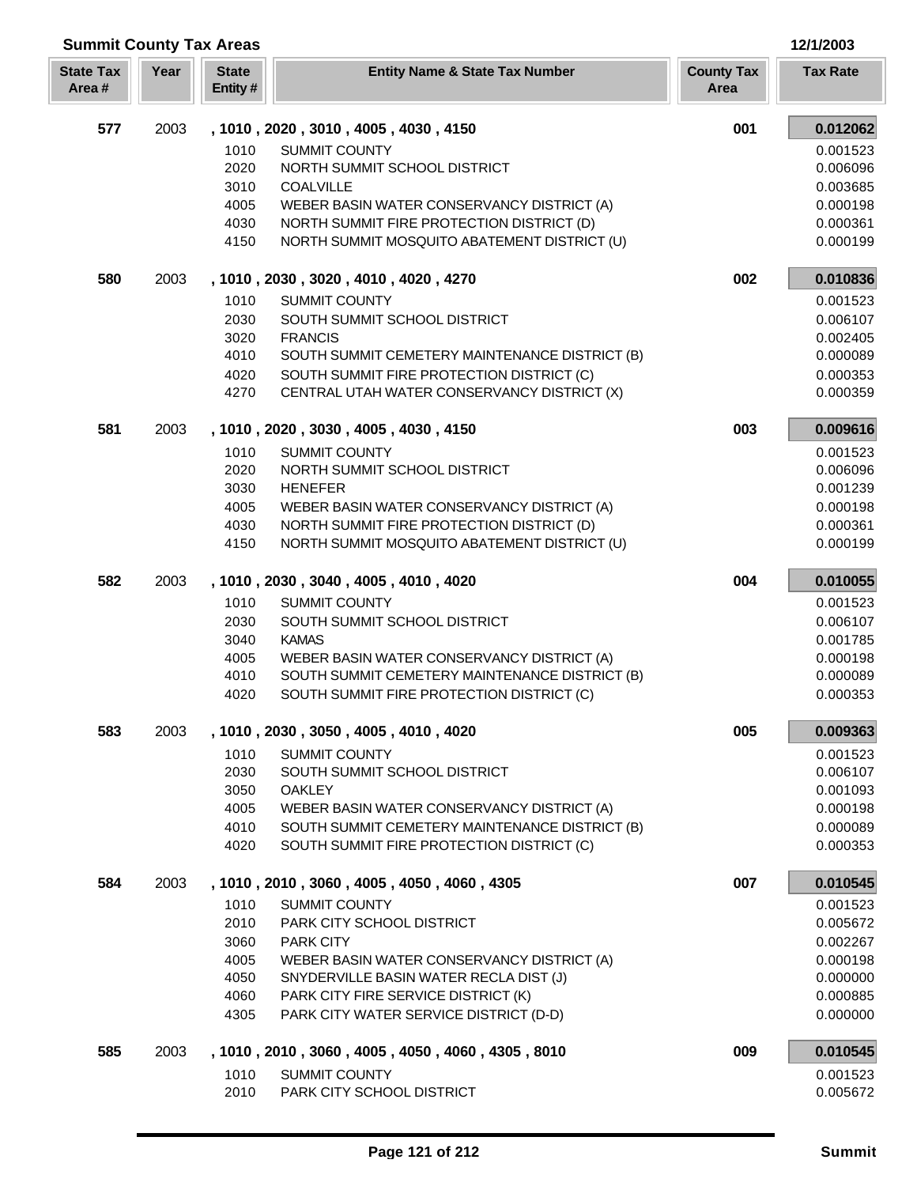| <b>Summit County Tax Areas</b> |      |                         |                                                                                             |                           | 12/1/2003            |
|--------------------------------|------|-------------------------|---------------------------------------------------------------------------------------------|---------------------------|----------------------|
| <b>State Tax</b><br>Area#      | Year | <b>State</b><br>Entity# | <b>Entity Name &amp; State Tax Number</b>                                                   | <b>County Tax</b><br>Area | <b>Tax Rate</b>      |
| 577                            | 2003 |                         | , 1010, 2020, 3010, 4005, 4030, 4150                                                        | 001                       | 0.012062             |
|                                |      | 1010                    | SUMMIT COUNTY                                                                               |                           | 0.001523             |
|                                |      | 2020                    | NORTH SUMMIT SCHOOL DISTRICT                                                                |                           | 0.006096             |
|                                |      | 3010<br>4005            | <b>COALVILLE</b><br>WEBER BASIN WATER CONSERVANCY DISTRICT (A)                              |                           | 0.003685<br>0.000198 |
|                                |      | 4030                    | NORTH SUMMIT FIRE PROTECTION DISTRICT (D)                                                   |                           | 0.000361             |
|                                |      | 4150                    | NORTH SUMMIT MOSQUITO ABATEMENT DISTRICT (U)                                                |                           | 0.000199             |
| 580                            | 2003 |                         | , 1010, 2030, 3020, 4010, 4020, 4270                                                        | 002                       | 0.010836             |
|                                |      | 1010                    | <b>SUMMIT COUNTY</b>                                                                        |                           | 0.001523             |
|                                |      | 2030                    | SOUTH SUMMIT SCHOOL DISTRICT                                                                |                           | 0.006107             |
|                                |      | 3020                    | <b>FRANCIS</b>                                                                              |                           | 0.002405             |
|                                |      | 4010<br>4020            | SOUTH SUMMIT CEMETERY MAINTENANCE DISTRICT (B)<br>SOUTH SUMMIT FIRE PROTECTION DISTRICT (C) |                           | 0.000089<br>0.000353 |
|                                |      | 4270                    | CENTRAL UTAH WATER CONSERVANCY DISTRICT (X)                                                 |                           | 0.000359             |
| 581                            | 2003 |                         | , 1010, 2020, 3030, 4005, 4030, 4150                                                        | 003                       | 0.009616             |
|                                |      | 1010                    | <b>SUMMIT COUNTY</b>                                                                        |                           | 0.001523             |
|                                |      | 2020                    | NORTH SUMMIT SCHOOL DISTRICT                                                                |                           | 0.006096             |
|                                |      | 3030                    | <b>HENEFER</b>                                                                              |                           | 0.001239             |
|                                |      | 4005                    | WEBER BASIN WATER CONSERVANCY DISTRICT (A)                                                  |                           | 0.000198             |
|                                |      | 4030<br>4150            | NORTH SUMMIT FIRE PROTECTION DISTRICT (D)<br>NORTH SUMMIT MOSQUITO ABATEMENT DISTRICT (U)   |                           | 0.000361<br>0.000199 |
| 582                            | 2003 |                         | , 1010, 2030, 3040, 4005, 4010, 4020                                                        | 004                       | 0.010055             |
|                                |      | 1010                    | SUMMIT COUNTY                                                                               |                           | 0.001523             |
|                                |      | 2030                    | SOUTH SUMMIT SCHOOL DISTRICT                                                                |                           | 0.006107             |
|                                |      | 3040                    | <b>KAMAS</b>                                                                                |                           | 0.001785             |
|                                |      | 4005                    | WEBER BASIN WATER CONSERVANCY DISTRICT (A)                                                  |                           | 0.000198             |
|                                |      | 4010                    | SOUTH SUMMIT CEMETERY MAINTENANCE DISTRICT (B)                                              |                           | 0.000089             |
|                                |      | 4020                    | SOUTH SUMMIT FIRE PROTECTION DISTRICT (C)                                                   |                           | 0.000353             |
| 583                            | 2003 |                         | , 1010, 2030, 3050, 4005, 4010, 4020                                                        | 005                       | 0.009363             |
|                                |      | 1010                    | <b>SUMMIT COUNTY</b>                                                                        |                           | 0.001523             |
|                                |      | 2030<br>3050            | SOUTH SUMMIT SCHOOL DISTRICT<br><b>OAKLEY</b>                                               |                           | 0.006107<br>0.001093 |
|                                |      | 4005                    | WEBER BASIN WATER CONSERVANCY DISTRICT (A)                                                  |                           | 0.000198             |
|                                |      | 4010                    | SOUTH SUMMIT CEMETERY MAINTENANCE DISTRICT (B)                                              |                           | 0.000089             |
|                                |      | 4020                    | SOUTH SUMMIT FIRE PROTECTION DISTRICT (C)                                                   |                           | 0.000353             |
| 584                            | 2003 |                         | , 1010, 2010, 3060, 4005, 4050, 4060, 4305                                                  | 007                       | 0.010545             |
|                                |      | 1010                    | <b>SUMMIT COUNTY</b>                                                                        |                           | 0.001523             |
|                                |      | 2010                    | PARK CITY SCHOOL DISTRICT                                                                   |                           | 0.005672             |
|                                |      | 3060                    | <b>PARK CITY</b>                                                                            |                           | 0.002267             |
|                                |      | 4005<br>4050            | WEBER BASIN WATER CONSERVANCY DISTRICT (A)<br>SNYDERVILLE BASIN WATER RECLA DIST (J)        |                           | 0.000198<br>0.000000 |
|                                |      | 4060                    | PARK CITY FIRE SERVICE DISTRICT (K)                                                         |                           | 0.000885             |
|                                |      | 4305                    | PARK CITY WATER SERVICE DISTRICT (D-D)                                                      |                           | 0.000000             |
| 585                            | 2003 |                         | , 1010, 2010, 3060, 4005, 4050, 4060, 4305, 8010                                            | 009                       | 0.010545             |
|                                |      | 1010                    | <b>SUMMIT COUNTY</b>                                                                        |                           | 0.001523             |
|                                |      | 2010                    | PARK CITY SCHOOL DISTRICT                                                                   |                           | 0.005672             |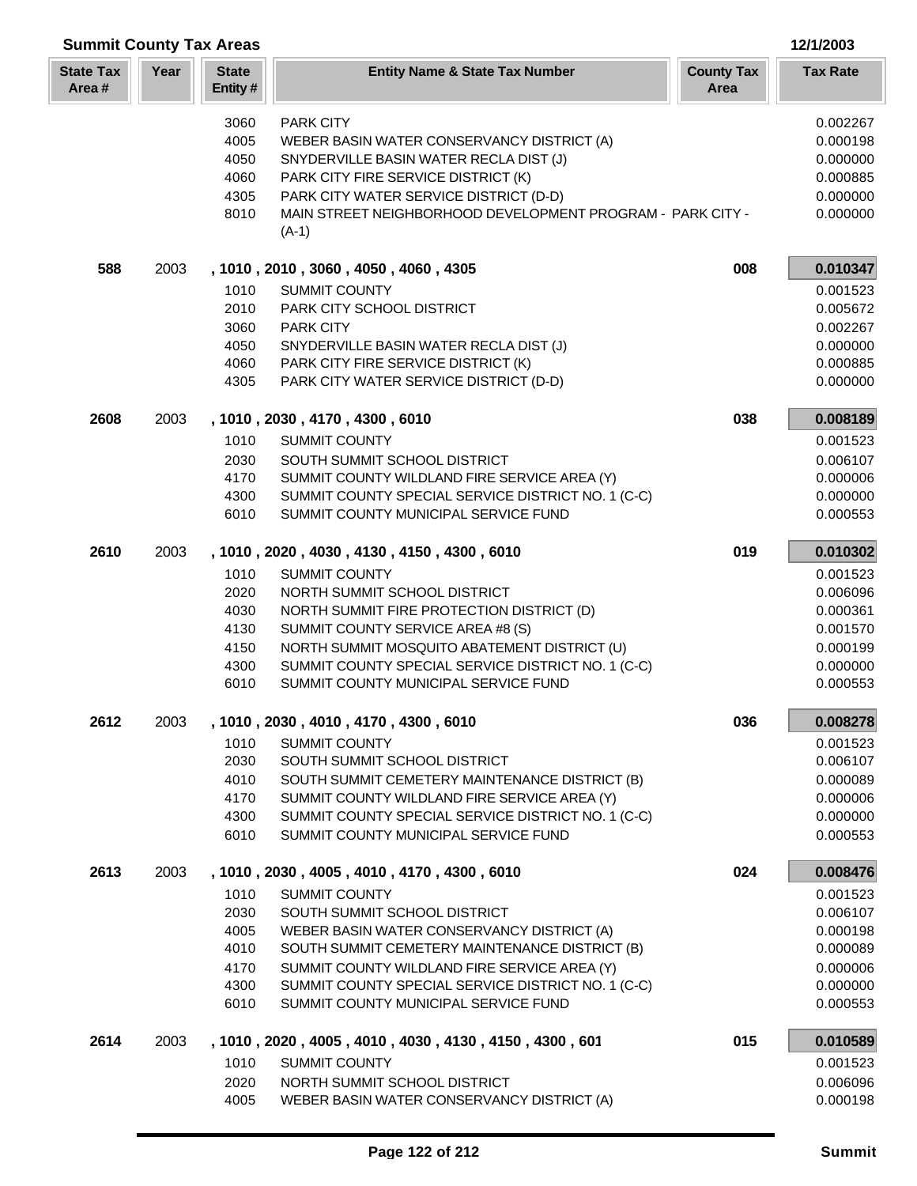| <b>Summit County Tax Areas</b> |      |                         |                                                                                            |                           | 12/1/2003            |
|--------------------------------|------|-------------------------|--------------------------------------------------------------------------------------------|---------------------------|----------------------|
| <b>State Tax</b><br>Area#      | Year | <b>State</b><br>Entity# | <b>Entity Name &amp; State Tax Number</b>                                                  | <b>County Tax</b><br>Area | <b>Tax Rate</b>      |
|                                |      | 3060                    | <b>PARK CITY</b>                                                                           |                           | 0.002267             |
|                                |      | 4005                    | WEBER BASIN WATER CONSERVANCY DISTRICT (A)                                                 |                           | 0.000198             |
|                                |      | 4050                    | SNYDERVILLE BASIN WATER RECLA DIST (J)                                                     |                           | 0.000000             |
|                                |      | 4060                    | PARK CITY FIRE SERVICE DISTRICT (K)                                                        |                           | 0.000885             |
|                                |      | 4305                    | PARK CITY WATER SERVICE DISTRICT (D-D)                                                     |                           | 0.000000             |
|                                |      | 8010                    | MAIN STREET NEIGHBORHOOD DEVELOPMENT PROGRAM - PARK CITY -<br>$(A-1)$                      |                           | 0.000000             |
| 588                            | 2003 |                         | , 1010, 2010, 3060, 4050, 4060, 4305                                                       | 008                       | 0.010347             |
|                                |      | 1010                    | <b>SUMMIT COUNTY</b>                                                                       |                           | 0.001523             |
|                                |      | 2010                    | PARK CITY SCHOOL DISTRICT                                                                  |                           | 0.005672             |
|                                |      | 3060                    | <b>PARK CITY</b>                                                                           |                           | 0.002267             |
|                                |      | 4050                    | SNYDERVILLE BASIN WATER RECLA DIST (J)                                                     |                           | 0.000000             |
|                                |      | 4060                    | PARK CITY FIRE SERVICE DISTRICT (K)                                                        |                           | 0.000885             |
|                                |      | 4305                    | PARK CITY WATER SERVICE DISTRICT (D-D)                                                     |                           | 0.000000             |
| 2608                           | 2003 |                         | , 1010, 2030, 4170, 4300, 6010                                                             | 038                       | 0.008189             |
|                                |      | 1010                    | <b>SUMMIT COUNTY</b>                                                                       |                           | 0.001523             |
|                                |      | 2030                    | SOUTH SUMMIT SCHOOL DISTRICT                                                               |                           | 0.006107             |
|                                |      | 4170                    | SUMMIT COUNTY WILDLAND FIRE SERVICE AREA (Y)                                               |                           | 0.000006             |
|                                |      | 4300                    | SUMMIT COUNTY SPECIAL SERVICE DISTRICT NO. 1 (C-C)                                         |                           | 0.000000             |
|                                |      | 6010                    | SUMMIT COUNTY MUNICIPAL SERVICE FUND                                                       |                           | 0.000553             |
| 2610                           | 2003 |                         | , 1010, 2020, 4030, 4130, 4150, 4300, 6010                                                 | 019                       | 0.010302             |
|                                |      | 1010                    | <b>SUMMIT COUNTY</b>                                                                       |                           | 0.001523             |
|                                |      | 2020                    | NORTH SUMMIT SCHOOL DISTRICT                                                               |                           | 0.006096             |
|                                |      | 4030                    | NORTH SUMMIT FIRE PROTECTION DISTRICT (D)                                                  |                           | 0.000361             |
|                                |      | 4130                    | SUMMIT COUNTY SERVICE AREA #8 (S)                                                          |                           | 0.001570             |
|                                |      | 4150                    | NORTH SUMMIT MOSQUITO ABATEMENT DISTRICT (U)                                               |                           | 0.000199             |
|                                |      | 4300                    | SUMMIT COUNTY SPECIAL SERVICE DISTRICT NO. 1 (C-C)                                         |                           | 0.000000             |
|                                |      | 6010                    | SUMMIT COUNTY MUNICIPAL SERVICE FUND                                                       |                           | 0.000553             |
| 2612                           | 2003 |                         | , 1010, 2030, 4010, 4170, 4300, 6010                                                       | 036                       | 0.008278             |
|                                |      | 1010                    | <b>SUMMIT COUNTY</b>                                                                       |                           | 0.001523             |
|                                |      | 2030                    | SOUTH SUMMIT SCHOOL DISTRICT                                                               |                           | 0.006107             |
|                                |      | 4010                    | SOUTH SUMMIT CEMETERY MAINTENANCE DISTRICT (B)                                             |                           | 0.000089             |
|                                |      | 4170                    | SUMMIT COUNTY WILDLAND FIRE SERVICE AREA (Y)                                               |                           | 0.000006             |
|                                |      | 4300                    | SUMMIT COUNTY SPECIAL SERVICE DISTRICT NO. 1 (C-C)                                         |                           | 0.000000             |
|                                |      | 6010                    | SUMMIT COUNTY MUNICIPAL SERVICE FUND                                                       |                           | 0.000553             |
| 2613                           | 2003 |                         | , 1010, 2030, 4005, 4010, 4170, 4300, 6010                                                 | 024                       | 0.008476             |
|                                |      | 1010                    | <b>SUMMIT COUNTY</b>                                                                       |                           | 0.001523             |
|                                |      | 2030                    | SOUTH SUMMIT SCHOOL DISTRICT                                                               |                           | 0.006107             |
|                                |      | 4005                    | WEBER BASIN WATER CONSERVANCY DISTRICT (A)                                                 |                           | 0.000198             |
|                                |      | 4010                    | SOUTH SUMMIT CEMETERY MAINTENANCE DISTRICT (B)                                             |                           | 0.000089             |
|                                |      | 4170                    | SUMMIT COUNTY WILDLAND FIRE SERVICE AREA (Y)                                               |                           | 0.000006             |
|                                |      | 4300<br>6010            | SUMMIT COUNTY SPECIAL SERVICE DISTRICT NO. 1 (C-C)<br>SUMMIT COUNTY MUNICIPAL SERVICE FUND |                           | 0.000000<br>0.000553 |
| 2614                           | 2003 |                         | , 1010, 2020, 4005, 4010, 4030, 4130, 4150, 4300, 601                                      | 015                       | 0.010589             |
|                                |      | 1010                    | <b>SUMMIT COUNTY</b>                                                                       |                           | 0.001523             |
|                                |      | 2020                    | NORTH SUMMIT SCHOOL DISTRICT                                                               |                           | 0.006096             |
|                                |      |                         |                                                                                            |                           |                      |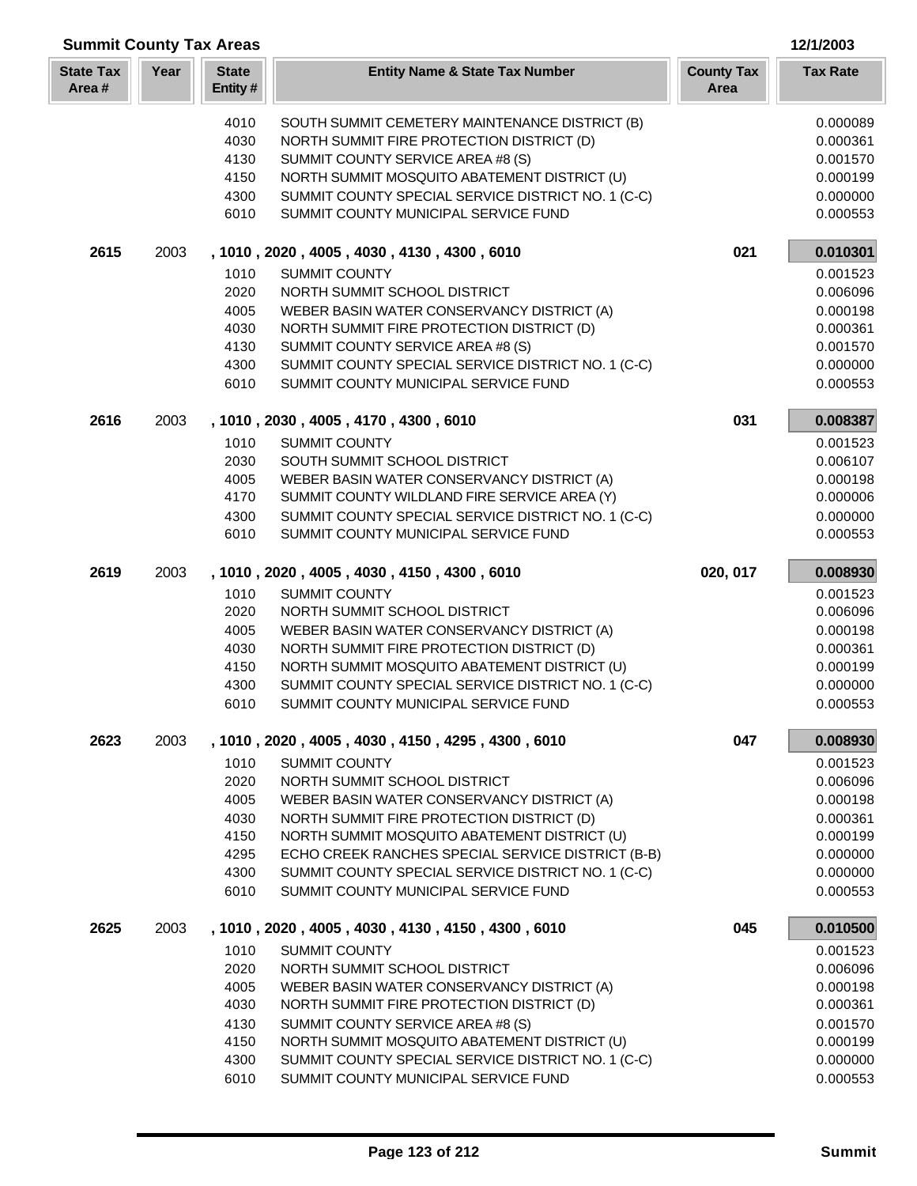| <b>Summit County Tax Areas</b><br>12/1/2003 |      |                         |                                                                                                   |                           |                      |  |
|---------------------------------------------|------|-------------------------|---------------------------------------------------------------------------------------------------|---------------------------|----------------------|--|
| <b>State Tax</b><br>Area#                   | Year | <b>State</b><br>Entity# | <b>Entity Name &amp; State Tax Number</b>                                                         | <b>County Tax</b><br>Area | <b>Tax Rate</b>      |  |
|                                             |      | 4010                    | SOUTH SUMMIT CEMETERY MAINTENANCE DISTRICT (B)                                                    |                           | 0.000089             |  |
|                                             |      | 4030                    | NORTH SUMMIT FIRE PROTECTION DISTRICT (D)                                                         |                           | 0.000361             |  |
|                                             |      | 4130                    | SUMMIT COUNTY SERVICE AREA #8 (S)                                                                 |                           | 0.001570             |  |
|                                             |      | 4150                    | NORTH SUMMIT MOSQUITO ABATEMENT DISTRICT (U)                                                      |                           | 0.000199             |  |
|                                             |      | 4300                    | SUMMIT COUNTY SPECIAL SERVICE DISTRICT NO. 1 (C-C)                                                |                           | 0.000000             |  |
|                                             |      | 6010                    | SUMMIT COUNTY MUNICIPAL SERVICE FUND                                                              |                           | 0.000553             |  |
| 2615                                        | 2003 |                         | , 1010, 2020, 4005, 4030, 4130, 4300, 6010                                                        | 021                       | 0.010301             |  |
|                                             |      | 1010                    | <b>SUMMIT COUNTY</b>                                                                              |                           | 0.001523             |  |
|                                             |      | 2020                    | NORTH SUMMIT SCHOOL DISTRICT                                                                      |                           | 0.006096             |  |
|                                             |      | 4005                    | WEBER BASIN WATER CONSERVANCY DISTRICT (A)                                                        |                           | 0.000198             |  |
|                                             |      | 4030                    | NORTH SUMMIT FIRE PROTECTION DISTRICT (D)                                                         |                           | 0.000361             |  |
|                                             |      | 4130                    | SUMMIT COUNTY SERVICE AREA #8 (S)                                                                 |                           | 0.001570             |  |
|                                             |      | 4300                    | SUMMIT COUNTY SPECIAL SERVICE DISTRICT NO. 1 (C-C)                                                |                           | 0.000000             |  |
|                                             |      | 6010                    | SUMMIT COUNTY MUNICIPAL SERVICE FUND                                                              |                           | 0.000553             |  |
| 2616                                        | 2003 |                         | , 1010, 2030, 4005, 4170, 4300, 6010                                                              | 031                       | 0.008387             |  |
|                                             |      | 1010                    | <b>SUMMIT COUNTY</b>                                                                              |                           | 0.001523             |  |
|                                             |      | 2030                    | SOUTH SUMMIT SCHOOL DISTRICT                                                                      |                           | 0.006107             |  |
|                                             |      | 4005                    | WEBER BASIN WATER CONSERVANCY DISTRICT (A)                                                        |                           | 0.000198             |  |
|                                             |      | 4170                    | SUMMIT COUNTY WILDLAND FIRE SERVICE AREA (Y)                                                      |                           | 0.000006             |  |
|                                             |      | 4300                    | SUMMIT COUNTY SPECIAL SERVICE DISTRICT NO. 1 (C-C)                                                |                           | 0.000000             |  |
|                                             |      | 6010                    | SUMMIT COUNTY MUNICIPAL SERVICE FUND                                                              |                           | 0.000553             |  |
| 2619                                        | 2003 |                         | , 1010, 2020, 4005, 4030, 4150, 4300, 6010                                                        | 020, 017                  | 0.008930             |  |
|                                             |      | 1010                    | <b>SUMMIT COUNTY</b>                                                                              |                           | 0.001523             |  |
|                                             |      | 2020                    | NORTH SUMMIT SCHOOL DISTRICT                                                                      |                           | 0.006096             |  |
|                                             |      | 4005                    | WEBER BASIN WATER CONSERVANCY DISTRICT (A)                                                        |                           | 0.000198             |  |
|                                             |      | 4030                    | NORTH SUMMIT FIRE PROTECTION DISTRICT (D)                                                         |                           | 0.000361             |  |
|                                             |      | 4150                    | NORTH SUMMIT MOSQUITO ABATEMENT DISTRICT (U)                                                      |                           | 0.000199             |  |
|                                             |      | 4300                    | SUMMIT COUNTY SPECIAL SERVICE DISTRICT NO. 1 (C-C)                                                |                           | 0.000000             |  |
|                                             |      | 6010                    | SUMMIT COUNTY MUNICIPAL SERVICE FUND                                                              |                           | 0.000553             |  |
| 2623                                        | 2003 |                         | , 1010, 2020, 4005, 4030, 4150, 4295, 4300, 6010                                                  | 047                       | 0.008930             |  |
|                                             |      | 1010                    | <b>SUMMIT COUNTY</b>                                                                              |                           | 0.001523             |  |
|                                             |      | 2020                    | NORTH SUMMIT SCHOOL DISTRICT                                                                      |                           | 0.006096             |  |
|                                             |      | 4005                    | WEBER BASIN WATER CONSERVANCY DISTRICT (A)                                                        |                           | 0.000198             |  |
|                                             |      | 4030                    | NORTH SUMMIT FIRE PROTECTION DISTRICT (D)                                                         |                           | 0.000361             |  |
|                                             |      | 4150<br>4295            | NORTH SUMMIT MOSQUITO ABATEMENT DISTRICT (U)<br>ECHO CREEK RANCHES SPECIAL SERVICE DISTRICT (B-B) |                           | 0.000199<br>0.000000 |  |
|                                             |      | 4300                    | SUMMIT COUNTY SPECIAL SERVICE DISTRICT NO. 1 (C-C)                                                |                           | 0.000000             |  |
|                                             |      | 6010                    | SUMMIT COUNTY MUNICIPAL SERVICE FUND                                                              |                           | 0.000553             |  |
| 2625                                        | 2003 |                         | , 1010, 2020, 4005, 4030, 4130, 4150, 4300, 6010                                                  | 045                       | 0.010500             |  |
|                                             |      | 1010                    | <b>SUMMIT COUNTY</b>                                                                              |                           | 0.001523             |  |
|                                             |      | 2020                    | NORTH SUMMIT SCHOOL DISTRICT                                                                      |                           | 0.006096             |  |
|                                             |      | 4005                    | WEBER BASIN WATER CONSERVANCY DISTRICT (A)                                                        |                           | 0.000198             |  |
|                                             |      | 4030                    | NORTH SUMMIT FIRE PROTECTION DISTRICT (D)                                                         |                           | 0.000361             |  |
|                                             |      | 4130                    | SUMMIT COUNTY SERVICE AREA #8 (S)                                                                 |                           | 0.001570             |  |
|                                             |      | 4150                    | NORTH SUMMIT MOSQUITO ABATEMENT DISTRICT (U)                                                      |                           | 0.000199             |  |
|                                             |      | 4300                    | SUMMIT COUNTY SPECIAL SERVICE DISTRICT NO. 1 (C-C)                                                |                           | 0.000000             |  |
|                                             |      | 6010                    | SUMMIT COUNTY MUNICIPAL SERVICE FUND                                                              |                           | 0.000553             |  |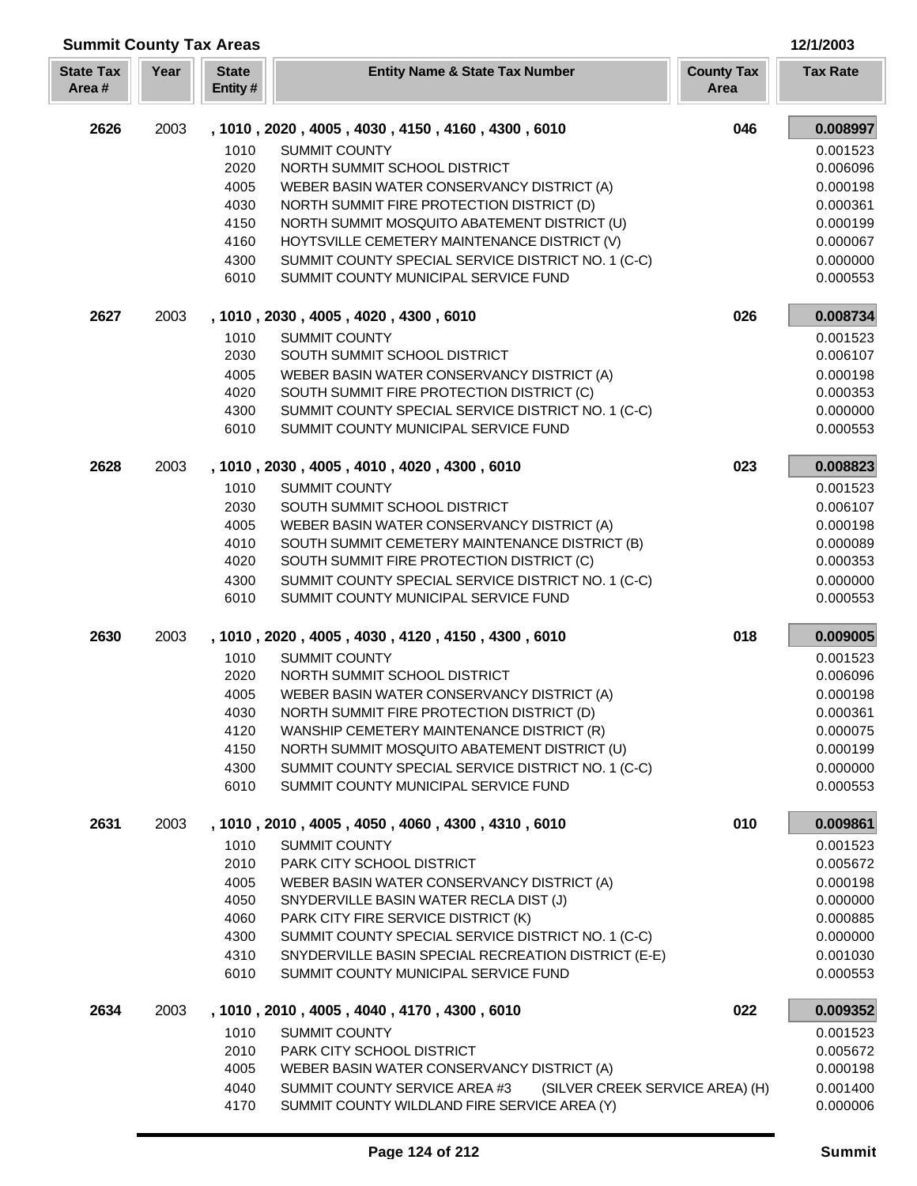| <b>Summit County Tax Areas</b> |      |                         |                                                                                            |                           | 12/1/2003            |
|--------------------------------|------|-------------------------|--------------------------------------------------------------------------------------------|---------------------------|----------------------|
| <b>State Tax</b><br>Area#      | Year | <b>State</b><br>Entity# | <b>Entity Name &amp; State Tax Number</b>                                                  | <b>County Tax</b><br>Area | <b>Tax Rate</b>      |
| 2626                           | 2003 |                         | , 1010, 2020, 4005, 4030, 4150, 4160, 4300, 6010                                           | 046                       | 0.008997             |
|                                |      | 1010                    | <b>SUMMIT COUNTY</b>                                                                       |                           | 0.001523             |
|                                |      | 2020                    | NORTH SUMMIT SCHOOL DISTRICT                                                               |                           | 0.006096             |
|                                |      | 4005                    | WEBER BASIN WATER CONSERVANCY DISTRICT (A)                                                 |                           | 0.000198             |
|                                |      | 4030                    | NORTH SUMMIT FIRE PROTECTION DISTRICT (D)                                                  |                           | 0.000361             |
|                                |      | 4150                    | NORTH SUMMIT MOSQUITO ABATEMENT DISTRICT (U)                                               |                           | 0.000199             |
|                                |      | 4160                    | HOYTSVILLE CEMETERY MAINTENANCE DISTRICT (V)                                               |                           | 0.000067             |
|                                |      | 4300<br>6010            | SUMMIT COUNTY SPECIAL SERVICE DISTRICT NO. 1 (C-C)<br>SUMMIT COUNTY MUNICIPAL SERVICE FUND |                           | 0.000000<br>0.000553 |
| 2627                           | 2003 |                         |                                                                                            | 026                       |                      |
|                                |      |                         | , 1010, 2030, 4005, 4020, 4300, 6010                                                       |                           | 0.008734             |
|                                |      | 1010<br>2030            | <b>SUMMIT COUNTY</b><br>SOUTH SUMMIT SCHOOL DISTRICT                                       |                           | 0.001523             |
|                                |      | 4005                    | WEBER BASIN WATER CONSERVANCY DISTRICT (A)                                                 |                           | 0.006107<br>0.000198 |
|                                |      | 4020                    | SOUTH SUMMIT FIRE PROTECTION DISTRICT (C)                                                  |                           | 0.000353             |
|                                |      | 4300                    | SUMMIT COUNTY SPECIAL SERVICE DISTRICT NO. 1 (C-C)                                         |                           | 0.000000             |
|                                |      | 6010                    | SUMMIT COUNTY MUNICIPAL SERVICE FUND                                                       |                           | 0.000553             |
| 2628                           | 2003 |                         | , 1010, 2030, 4005, 4010, 4020, 4300, 6010                                                 | 023                       | 0.008823             |
|                                |      | 1010                    | <b>SUMMIT COUNTY</b>                                                                       |                           | 0.001523             |
|                                |      | 2030                    | SOUTH SUMMIT SCHOOL DISTRICT                                                               |                           | 0.006107             |
|                                |      | 4005                    | WEBER BASIN WATER CONSERVANCY DISTRICT (A)                                                 |                           | 0.000198             |
|                                |      | 4010                    | SOUTH SUMMIT CEMETERY MAINTENANCE DISTRICT (B)                                             |                           | 0.000089             |
|                                |      | 4020                    | SOUTH SUMMIT FIRE PROTECTION DISTRICT (C)                                                  |                           | 0.000353             |
|                                |      | 4300                    | SUMMIT COUNTY SPECIAL SERVICE DISTRICT NO. 1 (C-C)                                         |                           | 0.000000             |
|                                |      | 6010                    | SUMMIT COUNTY MUNICIPAL SERVICE FUND                                                       |                           | 0.000553             |
| 2630                           | 2003 |                         | , 1010, 2020, 4005, 4030, 4120, 4150, 4300, 6010                                           | 018                       | 0.009005             |
|                                |      | 1010                    | <b>SUMMIT COUNTY</b>                                                                       |                           | 0.001523             |
|                                |      | 2020                    | NORTH SUMMIT SCHOOL DISTRICT                                                               |                           | 0.006096             |
|                                |      | 4005                    | WEBER BASIN WATER CONSERVANCY DISTRICT (A)                                                 |                           | 0.000198             |
|                                |      | 4030                    | NORTH SUMMIT FIRE PROTECTION DISTRICT (D)                                                  |                           | 0.000361             |
|                                |      | 4120                    | WANSHIP CEMETERY MAINTENANCE DISTRICT (R)                                                  |                           | 0.000075             |
|                                |      | 4150                    | NORTH SUMMIT MOSQUITO ABATEMENT DISTRICT (U)                                               |                           | 0.000199             |
|                                |      | 4300                    | SUMMIT COUNTY SPECIAL SERVICE DISTRICT NO. 1 (C-C)                                         |                           | 0.000000             |
|                                |      | 6010                    | SUMMIT COUNTY MUNICIPAL SERVICE FUND                                                       |                           | 0.000553             |
| 2631                           | 2003 |                         | , 1010, 2010, 4005, 4050, 4060, 4300, 4310, 6010                                           | 010                       | 0.009861             |
|                                |      | 1010                    | <b>SUMMIT COUNTY</b><br>PARK CITY SCHOOL DISTRICT                                          |                           | 0.001523             |
|                                |      | 2010<br>4005            |                                                                                            |                           | 0.005672             |
|                                |      | 4050                    | WEBER BASIN WATER CONSERVANCY DISTRICT (A)<br>SNYDERVILLE BASIN WATER RECLA DIST (J)       |                           | 0.000198<br>0.000000 |
|                                |      | 4060                    | PARK CITY FIRE SERVICE DISTRICT (K)                                                        |                           | 0.000885             |
|                                |      | 4300                    | SUMMIT COUNTY SPECIAL SERVICE DISTRICT NO. 1 (C-C)                                         |                           | 0.000000             |
|                                |      | 4310                    | SNYDERVILLE BASIN SPECIAL RECREATION DISTRICT (E-E)                                        |                           | 0.001030             |
|                                |      | 6010                    | SUMMIT COUNTY MUNICIPAL SERVICE FUND                                                       |                           | 0.000553             |
| 2634                           | 2003 |                         | , 1010, 2010, 4005, 4040, 4170, 4300, 6010                                                 | 022                       | 0.009352             |
|                                |      | 1010                    | <b>SUMMIT COUNTY</b>                                                                       |                           | 0.001523             |
|                                |      | 2010                    | PARK CITY SCHOOL DISTRICT                                                                  |                           | 0.005672             |
|                                |      | 4005                    | WEBER BASIN WATER CONSERVANCY DISTRICT (A)                                                 |                           | 0.000198             |
|                                |      | 4040                    | SUMMIT COUNTY SERVICE AREA #3<br>(SILVER CREEK SERVICE AREA) (H)                           |                           | 0.001400             |
|                                |      | 4170                    | SUMMIT COUNTY WILDLAND FIRE SERVICE AREA (Y)                                               |                           | 0.000006             |

I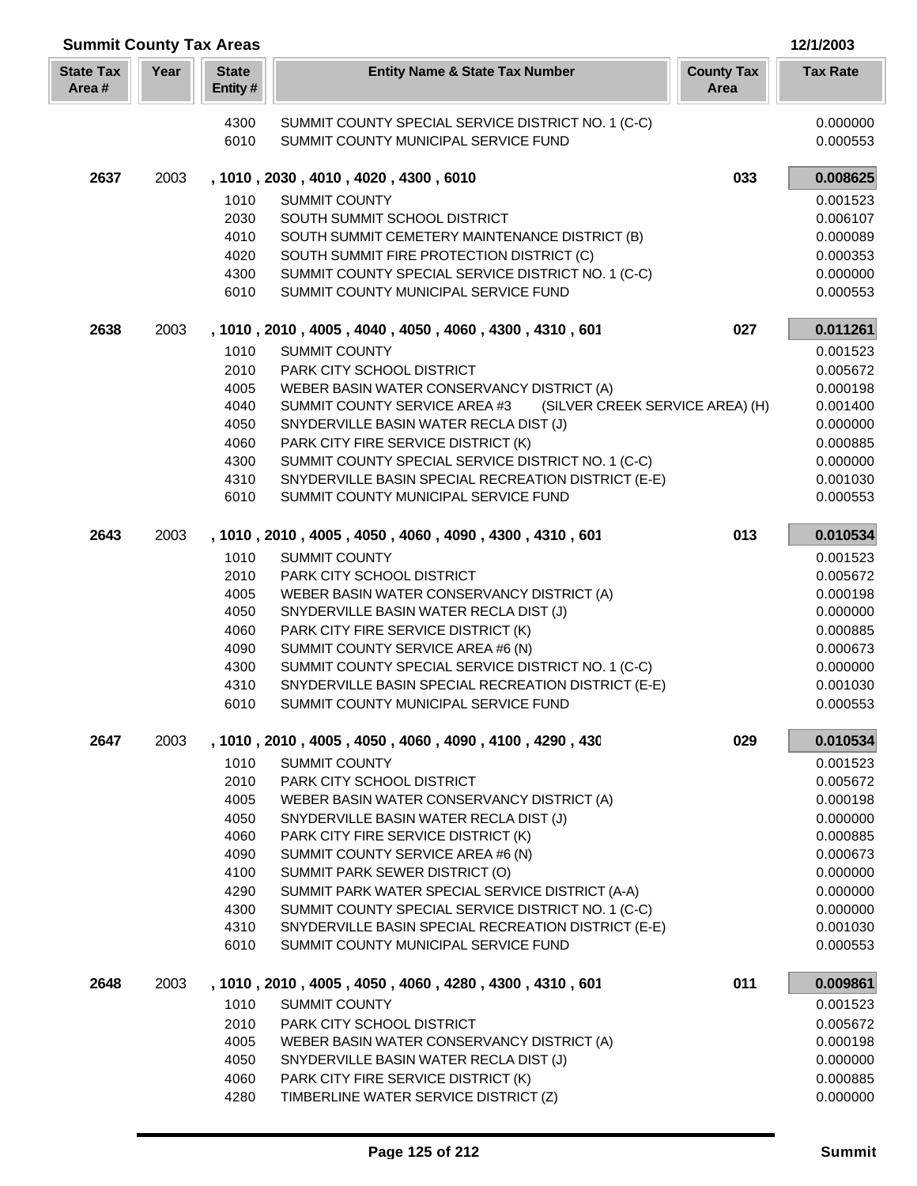| <b>Summit County Tax Areas</b> |      |                         |                                                                               |                           | 12/1/2003            |
|--------------------------------|------|-------------------------|-------------------------------------------------------------------------------|---------------------------|----------------------|
| <b>State Tax</b><br>Area#      | Year | <b>State</b><br>Entity# | <b>Entity Name &amp; State Tax Number</b>                                     | <b>County Tax</b><br>Area | <b>Tax Rate</b>      |
|                                |      | 4300                    | SUMMIT COUNTY SPECIAL SERVICE DISTRICT NO. 1 (C-C)                            |                           | 0.000000             |
|                                |      | 6010                    | SUMMIT COUNTY MUNICIPAL SERVICE FUND                                          |                           | 0.000553             |
| 2637                           | 2003 |                         | , 1010, 2030, 4010, 4020, 4300, 6010                                          | 033                       | 0.008625             |
|                                |      | 1010                    | <b>SUMMIT COUNTY</b>                                                          |                           | 0.001523             |
|                                |      | 2030                    | SOUTH SUMMIT SCHOOL DISTRICT                                                  |                           | 0.006107             |
|                                |      | 4010                    | SOUTH SUMMIT CEMETERY MAINTENANCE DISTRICT (B)                                |                           | 0.000089             |
|                                |      | 4020                    | SOUTH SUMMIT FIRE PROTECTION DISTRICT (C)                                     |                           | 0.000353             |
|                                |      | 4300                    | SUMMIT COUNTY SPECIAL SERVICE DISTRICT NO. 1 (C-C)                            |                           | 0.000000             |
|                                |      | 6010                    | SUMMIT COUNTY MUNICIPAL SERVICE FUND                                          |                           | 0.000553             |
| 2638                           | 2003 |                         | , 1010, 2010, 4005, 4040, 4050, 4060, 4300, 4310, 601                         | 027                       | 0.011261             |
|                                |      | 1010                    | <b>SUMMIT COUNTY</b>                                                          |                           | 0.001523             |
|                                |      | 2010                    | PARK CITY SCHOOL DISTRICT                                                     |                           | 0.005672             |
|                                |      | 4005                    | WEBER BASIN WATER CONSERVANCY DISTRICT (A)                                    |                           | 0.000198             |
|                                |      | 4040<br>4050            | SUMMIT COUNTY SERVICE AREA #3<br>(SILVER CREEK SERVICE AREA) (H)              |                           | 0.001400             |
|                                |      | 4060                    | SNYDERVILLE BASIN WATER RECLA DIST (J)<br>PARK CITY FIRE SERVICE DISTRICT (K) |                           | 0.000000             |
|                                |      | 4300                    | SUMMIT COUNTY SPECIAL SERVICE DISTRICT NO. 1 (C-C)                            |                           | 0.000885<br>0.000000 |
|                                |      | 4310                    | SNYDERVILLE BASIN SPECIAL RECREATION DISTRICT (E-E)                           |                           | 0.001030             |
|                                |      | 6010                    | SUMMIT COUNTY MUNICIPAL SERVICE FUND                                          |                           | 0.000553             |
| 2643                           | 2003 |                         | , 1010, 2010, 4005, 4050, 4060, 4090, 4300, 4310, 601                         | 013                       | 0.010534             |
|                                |      | 1010                    | <b>SUMMIT COUNTY</b>                                                          |                           | 0.001523             |
|                                |      | 2010                    | PARK CITY SCHOOL DISTRICT                                                     |                           | 0.005672             |
|                                |      | 4005                    | WEBER BASIN WATER CONSERVANCY DISTRICT (A)                                    |                           | 0.000198             |
|                                |      | 4050                    | SNYDERVILLE BASIN WATER RECLA DIST (J)                                        |                           | 0.000000             |
|                                |      | 4060                    | PARK CITY FIRE SERVICE DISTRICT (K)                                           |                           | 0.000885             |
|                                |      | 4090                    | SUMMIT COUNTY SERVICE AREA #6 (N)                                             |                           | 0.000673             |
|                                |      | 4300                    | SUMMIT COUNTY SPECIAL SERVICE DISTRICT NO. 1 (C-C)                            |                           | 0.000000             |
|                                |      | 4310                    | SNYDERVILLE BASIN SPECIAL RECREATION DISTRICT (E-E)                           |                           | 0.001030             |
|                                |      | 6010                    | SUMMIT COUNTY MUNICIPAL SERVICE FUND                                          |                           | 0.000553             |
| 2647                           | 2003 |                         | , 1010, 2010, 4005, 4050, 4060, 4090, 4100, 4290, 430                         | 029                       | 0.010534             |
|                                |      | 1010                    | <b>SUMMIT COUNTY</b>                                                          |                           | 0.001523             |
|                                |      | 2010                    | <b>PARK CITY SCHOOL DISTRICT</b>                                              |                           | 0.005672             |
|                                |      | 4005                    | WEBER BASIN WATER CONSERVANCY DISTRICT (A)                                    |                           | 0.000198             |
|                                |      | 4050<br>4060            | SNYDERVILLE BASIN WATER RECLA DIST (J)<br>PARK CITY FIRE SERVICE DISTRICT (K) |                           | 0.000000<br>0.000885 |
|                                |      | 4090                    | SUMMIT COUNTY SERVICE AREA #6 (N)                                             |                           | 0.000673             |
|                                |      | 4100                    | SUMMIT PARK SEWER DISTRICT (O)                                                |                           | 0.000000             |
|                                |      | 4290                    | SUMMIT PARK WATER SPECIAL SERVICE DISTRICT (A-A)                              |                           | 0.000000             |
|                                |      | 4300                    | SUMMIT COUNTY SPECIAL SERVICE DISTRICT NO. 1 (C-C)                            |                           | 0.000000             |
|                                |      | 4310                    | SNYDERVILLE BASIN SPECIAL RECREATION DISTRICT (E-E)                           |                           | 0.001030             |
|                                |      | 6010                    | SUMMIT COUNTY MUNICIPAL SERVICE FUND                                          |                           | 0.000553             |
| 2648                           | 2003 |                         | , 1010, 2010, 4005, 4050, 4060, 4280, 4300, 4310, 601                         | 011                       | 0.009861             |
|                                |      | 1010                    | <b>SUMMIT COUNTY</b>                                                          |                           | 0.001523             |
|                                |      | 2010                    | PARK CITY SCHOOL DISTRICT                                                     |                           | 0.005672             |
|                                |      | 4005                    | WEBER BASIN WATER CONSERVANCY DISTRICT (A)                                    |                           | 0.000198             |
|                                |      | 4050                    | SNYDERVILLE BASIN WATER RECLA DIST (J)                                        |                           | 0.000000             |
|                                |      | 4060                    | PARK CITY FIRE SERVICE DISTRICT (K)                                           |                           | 0.000885             |
|                                |      | 4280                    | TIMBERLINE WATER SERVICE DISTRICT (Z)                                         |                           | 0.000000             |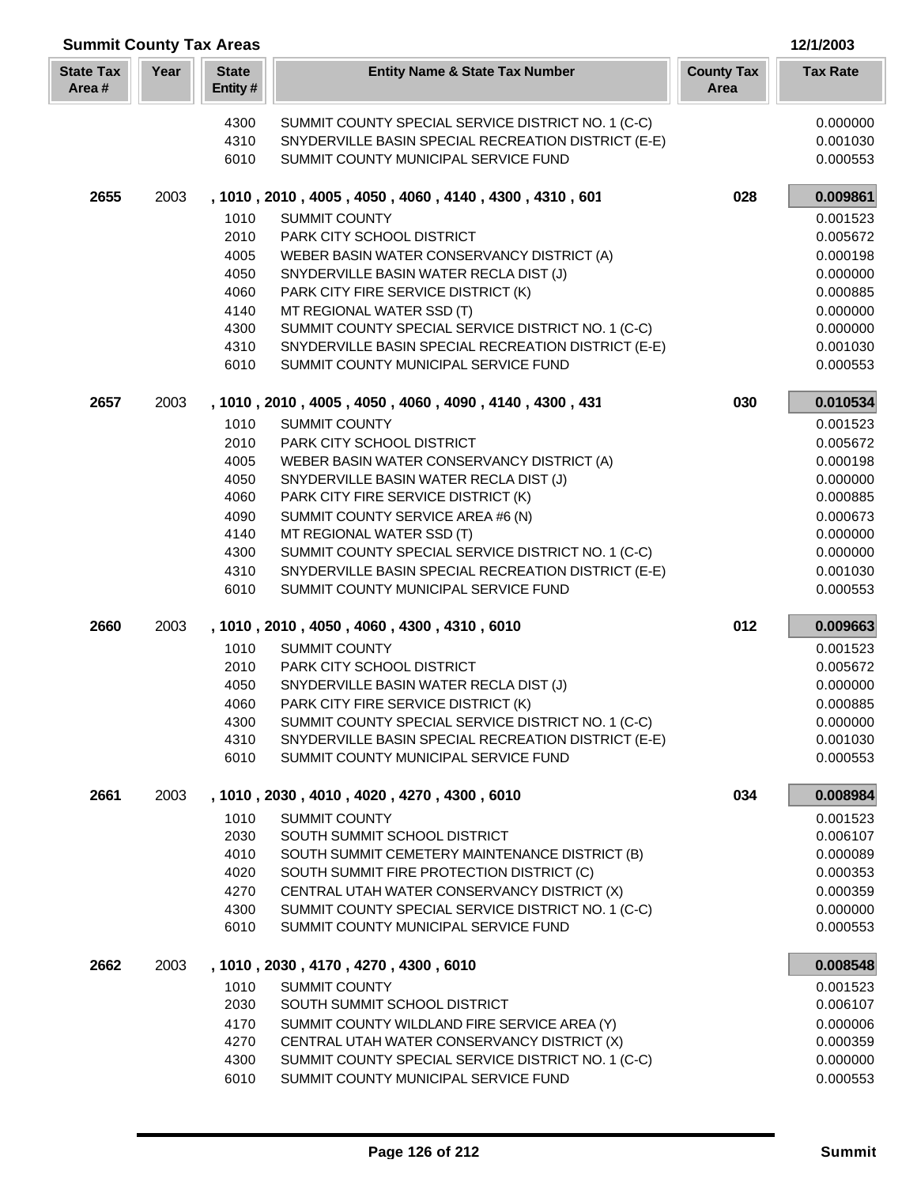|                           | <b>Summit County Tax Areas</b><br>12/1/2003 |                         |                                                                                 |                           |                      |  |  |
|---------------------------|---------------------------------------------|-------------------------|---------------------------------------------------------------------------------|---------------------------|----------------------|--|--|
| <b>State Tax</b><br>Area# | Year                                        | <b>State</b><br>Entity# | <b>Entity Name &amp; State Tax Number</b>                                       | <b>County Tax</b><br>Area | <b>Tax Rate</b>      |  |  |
|                           |                                             | 4300                    | SUMMIT COUNTY SPECIAL SERVICE DISTRICT NO. 1 (C-C)                              |                           | 0.000000             |  |  |
|                           |                                             | 4310                    | SNYDERVILLE BASIN SPECIAL RECREATION DISTRICT (E-E)                             |                           | 0.001030             |  |  |
|                           |                                             | 6010                    | SUMMIT COUNTY MUNICIPAL SERVICE FUND                                            |                           | 0.000553             |  |  |
|                           |                                             |                         |                                                                                 |                           |                      |  |  |
| 2655                      | 2003                                        |                         | , 1010, 2010, 4005, 4050, 4060, 4140, 4300, 4310, 601                           | 028                       | 0.009861             |  |  |
|                           |                                             | 1010                    | <b>SUMMIT COUNTY</b>                                                            |                           | 0.001523             |  |  |
|                           |                                             | 2010                    | PARK CITY SCHOOL DISTRICT                                                       |                           | 0.005672             |  |  |
|                           |                                             | 4005                    | WEBER BASIN WATER CONSERVANCY DISTRICT (A)                                      |                           | 0.000198             |  |  |
|                           |                                             | 4050<br>4060            | SNYDERVILLE BASIN WATER RECLA DIST (J)<br>PARK CITY FIRE SERVICE DISTRICT (K)   |                           | 0.000000             |  |  |
|                           |                                             |                         |                                                                                 |                           | 0.000885             |  |  |
|                           |                                             | 4140<br>4300            | MT REGIONAL WATER SSD (T)<br>SUMMIT COUNTY SPECIAL SERVICE DISTRICT NO. 1 (C-C) |                           | 0.000000<br>0.000000 |  |  |
|                           |                                             | 4310                    | SNYDERVILLE BASIN SPECIAL RECREATION DISTRICT (E-E)                             |                           | 0.001030             |  |  |
|                           |                                             | 6010                    | SUMMIT COUNTY MUNICIPAL SERVICE FUND                                            |                           | 0.000553             |  |  |
|                           |                                             |                         |                                                                                 |                           |                      |  |  |
| 2657                      | 2003                                        |                         | , 1010, 2010, 4005, 4050, 4060, 4090, 4140, 4300, 431                           | 030                       | 0.010534             |  |  |
|                           |                                             | 1010                    | <b>SUMMIT COUNTY</b>                                                            |                           | 0.001523             |  |  |
|                           |                                             | 2010                    | PARK CITY SCHOOL DISTRICT                                                       |                           | 0.005672             |  |  |
|                           |                                             | 4005                    | WEBER BASIN WATER CONSERVANCY DISTRICT (A)                                      |                           | 0.000198             |  |  |
|                           |                                             | 4050                    | SNYDERVILLE BASIN WATER RECLA DIST (J)                                          |                           | 0.000000             |  |  |
|                           |                                             | 4060                    | PARK CITY FIRE SERVICE DISTRICT (K)                                             |                           | 0.000885             |  |  |
|                           |                                             | 4090                    | SUMMIT COUNTY SERVICE AREA #6 (N)                                               |                           | 0.000673             |  |  |
|                           |                                             | 4140                    | MT REGIONAL WATER SSD (T)                                                       |                           | 0.000000             |  |  |
|                           |                                             | 4300                    | SUMMIT COUNTY SPECIAL SERVICE DISTRICT NO. 1 (C-C)                              |                           | 0.000000             |  |  |
|                           |                                             | 4310                    | SNYDERVILLE BASIN SPECIAL RECREATION DISTRICT (E-E)                             |                           | 0.001030             |  |  |
|                           |                                             | 6010                    | SUMMIT COUNTY MUNICIPAL SERVICE FUND                                            |                           | 0.000553             |  |  |
| 2660                      | 2003                                        |                         | , 1010, 2010, 4050, 4060, 4300, 4310, 6010                                      | 012                       | 0.009663             |  |  |
|                           |                                             | 1010                    | <b>SUMMIT COUNTY</b>                                                            |                           | 0.001523             |  |  |
|                           |                                             | 2010                    | PARK CITY SCHOOL DISTRICT                                                       |                           | 0.005672             |  |  |
|                           |                                             | 4050                    | SNYDERVILLE BASIN WATER RECLA DIST (J)                                          |                           | 0.000000             |  |  |
|                           |                                             | 4060                    | PARK CITY FIRE SERVICE DISTRICT (K)                                             |                           | 0.000885             |  |  |
|                           |                                             | 4300                    | SUMMIT COUNTY SPECIAL SERVICE DISTRICT NO. 1 (C-C)                              |                           | 0.000000             |  |  |
|                           |                                             | 4310                    | SNYDERVILLE BASIN SPECIAL RECREATION DISTRICT (E-E)                             |                           | 0.001030             |  |  |
|                           |                                             | 6010                    | SUMMIT COUNTY MUNICIPAL SERVICE FUND                                            |                           | 0.000553             |  |  |
| 2661                      | 2003                                        |                         | , 1010, 2030, 4010, 4020, 4270, 4300, 6010                                      | 034                       | 0.008984             |  |  |
|                           |                                             | 1010                    | <b>SUMMIT COUNTY</b>                                                            |                           | 0.001523             |  |  |
|                           |                                             | 2030                    | SOUTH SUMMIT SCHOOL DISTRICT                                                    |                           | 0.006107             |  |  |
|                           |                                             | 4010                    | SOUTH SUMMIT CEMETERY MAINTENANCE DISTRICT (B)                                  |                           | 0.000089             |  |  |
|                           |                                             | 4020                    | SOUTH SUMMIT FIRE PROTECTION DISTRICT (C)                                       |                           | 0.000353             |  |  |
|                           |                                             | 4270                    | CENTRAL UTAH WATER CONSERVANCY DISTRICT (X)                                     |                           | 0.000359             |  |  |
|                           |                                             | 4300                    | SUMMIT COUNTY SPECIAL SERVICE DISTRICT NO. 1 (C-C)                              |                           | 0.000000             |  |  |
|                           |                                             | 6010                    | SUMMIT COUNTY MUNICIPAL SERVICE FUND                                            |                           | 0.000553             |  |  |
| 2662                      | 2003                                        |                         | , 1010, 2030, 4170, 4270, 4300, 6010                                            |                           | 0.008548             |  |  |
|                           |                                             | 1010                    | <b>SUMMIT COUNTY</b>                                                            |                           | 0.001523             |  |  |
|                           |                                             | 2030                    | SOUTH SUMMIT SCHOOL DISTRICT                                                    |                           | 0.006107             |  |  |
|                           |                                             | 4170                    | SUMMIT COUNTY WILDLAND FIRE SERVICE AREA (Y)                                    |                           | 0.000006             |  |  |
|                           |                                             | 4270                    | CENTRAL UTAH WATER CONSERVANCY DISTRICT (X)                                     |                           | 0.000359             |  |  |
|                           |                                             | 4300                    | SUMMIT COUNTY SPECIAL SERVICE DISTRICT NO. 1 (C-C)                              |                           | 0.000000             |  |  |
|                           |                                             | 6010                    | SUMMIT COUNTY MUNICIPAL SERVICE FUND                                            |                           | 0.000553             |  |  |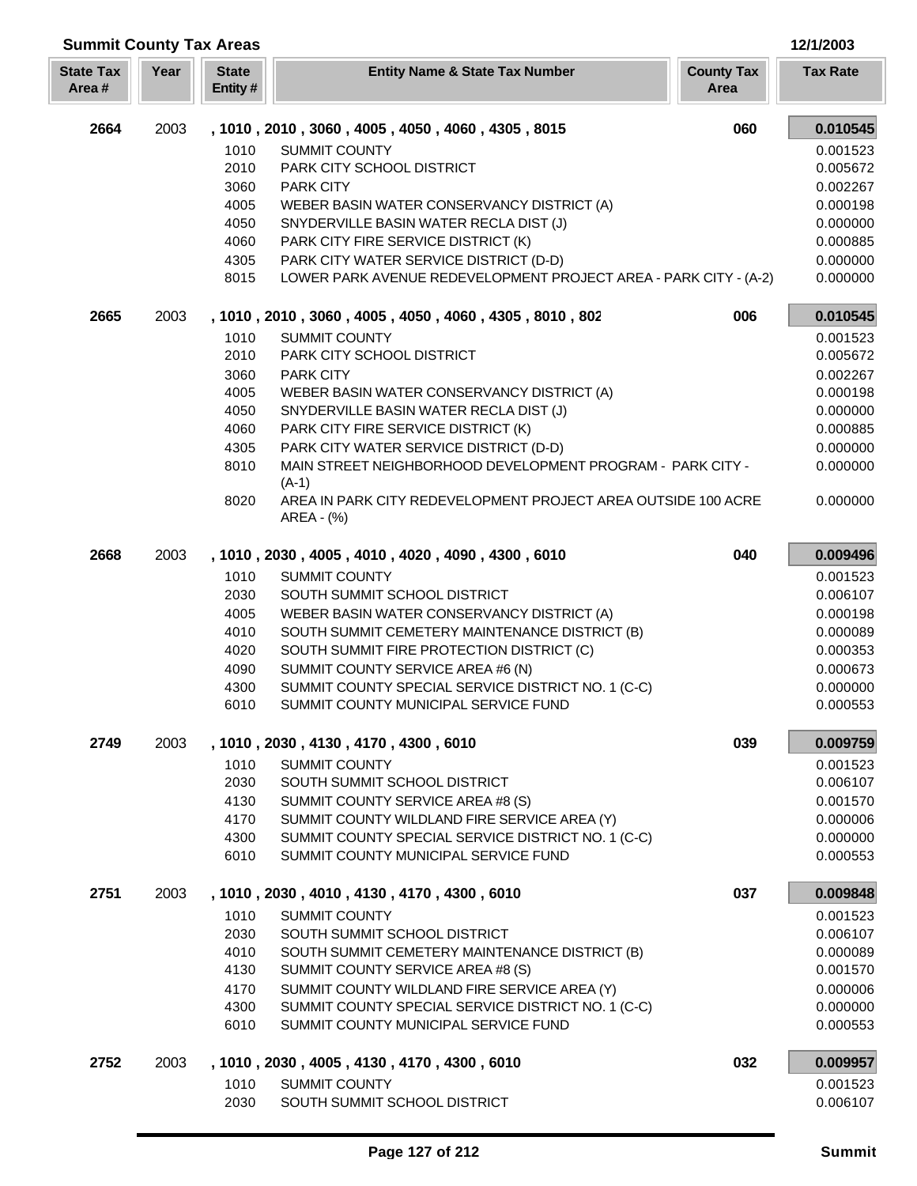| <b>Summit County Tax Areas</b> |      |                         |                                                                                                            |                           | 12/1/2003            |
|--------------------------------|------|-------------------------|------------------------------------------------------------------------------------------------------------|---------------------------|----------------------|
| <b>State Tax</b><br>Area#      | Year | <b>State</b><br>Entity# | <b>Entity Name &amp; State Tax Number</b>                                                                  | <b>County Tax</b><br>Area | <b>Tax Rate</b>      |
| 2664                           | 2003 |                         | , 1010, 2010, 3060, 4005, 4050, 4060, 4305, 8015                                                           | 060                       | 0.010545             |
|                                |      | 1010                    | <b>SUMMIT COUNTY</b>                                                                                       |                           | 0.001523             |
|                                |      | 2010                    | PARK CITY SCHOOL DISTRICT                                                                                  |                           | 0.005672             |
|                                |      | 3060                    | <b>PARK CITY</b>                                                                                           |                           | 0.002267             |
|                                |      | 4005                    | WEBER BASIN WATER CONSERVANCY DISTRICT (A)                                                                 |                           | 0.000198             |
|                                |      | 4050                    | SNYDERVILLE BASIN WATER RECLA DIST (J)                                                                     |                           | 0.000000             |
|                                |      | 4060                    | PARK CITY FIRE SERVICE DISTRICT (K)                                                                        |                           | 0.000885             |
|                                |      | 4305<br>8015            | PARK CITY WATER SERVICE DISTRICT (D-D)<br>LOWER PARK AVENUE REDEVELOPMENT PROJECT AREA - PARK CITY - (A-2) |                           | 0.000000<br>0.000000 |
| 2665                           | 2003 |                         | , 1010, 2010, 3060, 4005, 4050, 4060, 4305, 8010, 802                                                      | 006                       | 0.010545             |
|                                |      | 1010                    | <b>SUMMIT COUNTY</b>                                                                                       |                           | 0.001523             |
|                                |      | 2010                    | PARK CITY SCHOOL DISTRICT                                                                                  |                           | 0.005672             |
|                                |      | 3060                    | <b>PARK CITY</b>                                                                                           |                           | 0.002267             |
|                                |      | 4005                    | WEBER BASIN WATER CONSERVANCY DISTRICT (A)                                                                 |                           | 0.000198             |
|                                |      | 4050                    | SNYDERVILLE BASIN WATER RECLA DIST (J)                                                                     |                           | 0.000000             |
|                                |      | 4060                    | PARK CITY FIRE SERVICE DISTRICT (K)                                                                        |                           | 0.000885             |
|                                |      | 4305                    | PARK CITY WATER SERVICE DISTRICT (D-D)                                                                     |                           | 0.000000             |
|                                |      | 8010                    | MAIN STREET NEIGHBORHOOD DEVELOPMENT PROGRAM - PARK CITY -<br>$(A-1)$                                      |                           | 0.000000             |
|                                |      | 8020                    | AREA IN PARK CITY REDEVELOPMENT PROJECT AREA OUTSIDE 100 ACRE<br>AREA - (%)                                |                           | 0.000000             |
| 2668                           | 2003 |                         | , 1010, 2030, 4005, 4010, 4020, 4090, 4300, 6010                                                           | 040                       | 0.009496             |
|                                |      | 1010                    | <b>SUMMIT COUNTY</b>                                                                                       |                           | 0.001523             |
|                                |      | 2030                    | SOUTH SUMMIT SCHOOL DISTRICT                                                                               |                           | 0.006107             |
|                                |      | 4005                    | WEBER BASIN WATER CONSERVANCY DISTRICT (A)                                                                 |                           | 0.000198             |
|                                |      | 4010                    | SOUTH SUMMIT CEMETERY MAINTENANCE DISTRICT (B)                                                             |                           | 0.000089             |
|                                |      | 4020                    | SOUTH SUMMIT FIRE PROTECTION DISTRICT (C)                                                                  |                           | 0.000353             |
|                                |      | 4090                    | SUMMIT COUNTY SERVICE AREA #6 (N)                                                                          |                           | 0.000673             |
|                                |      | 4300                    | SUMMIT COUNTY SPECIAL SERVICE DISTRICT NO. 1 (C-C)                                                         |                           | 0.000000             |
|                                |      | 6010                    | SUMMIT COUNTY MUNICIPAL SERVICE FUND                                                                       |                           | 0.000553             |
| 2749                           | 2003 |                         | , 1010, 2030, 4130, 4170, 4300, 6010                                                                       | 039                       | 0.009759             |
|                                |      | 1010                    | <b>SUMMIT COUNTY</b>                                                                                       |                           | 0.001523             |
|                                |      | 2030                    | SOUTH SUMMIT SCHOOL DISTRICT                                                                               |                           | 0.006107             |
|                                |      | 4130                    | SUMMIT COUNTY SERVICE AREA #8 (S)                                                                          |                           | 0.001570             |
|                                |      | 4170<br>4300            | SUMMIT COUNTY WILDLAND FIRE SERVICE AREA (Y)<br>SUMMIT COUNTY SPECIAL SERVICE DISTRICT NO. 1 (C-C)         |                           | 0.000006<br>0.000000 |
|                                |      | 6010                    | SUMMIT COUNTY MUNICIPAL SERVICE FUND                                                                       |                           | 0.000553             |
| 2751                           | 2003 |                         | , 1010, 2030, 4010, 4130, 4170, 4300, 6010                                                                 | 037                       | 0.009848             |
|                                |      | 1010                    | <b>SUMMIT COUNTY</b>                                                                                       |                           | 0.001523             |
|                                |      | 2030                    | SOUTH SUMMIT SCHOOL DISTRICT                                                                               |                           | 0.006107             |
|                                |      | 4010                    | SOUTH SUMMIT CEMETERY MAINTENANCE DISTRICT (B)                                                             |                           | 0.000089             |
|                                |      | 4130                    | SUMMIT COUNTY SERVICE AREA #8 (S)                                                                          |                           | 0.001570             |
|                                |      | 4170                    | SUMMIT COUNTY WILDLAND FIRE SERVICE AREA (Y)                                                               |                           | 0.000006             |
|                                |      | 4300                    | SUMMIT COUNTY SPECIAL SERVICE DISTRICT NO. 1 (C-C)                                                         |                           | 0.000000             |
|                                |      | 6010                    | SUMMIT COUNTY MUNICIPAL SERVICE FUND                                                                       |                           | 0.000553             |
| 2752                           | 2003 |                         | , 1010, 2030, 4005, 4130, 4170, 4300, 6010                                                                 | 032                       | 0.009957             |
|                                |      | 1010                    | <b>SUMMIT COUNTY</b>                                                                                       |                           | 0.001523             |
|                                |      | 2030                    | SOUTH SUMMIT SCHOOL DISTRICT                                                                               |                           | 0.006107             |

Г L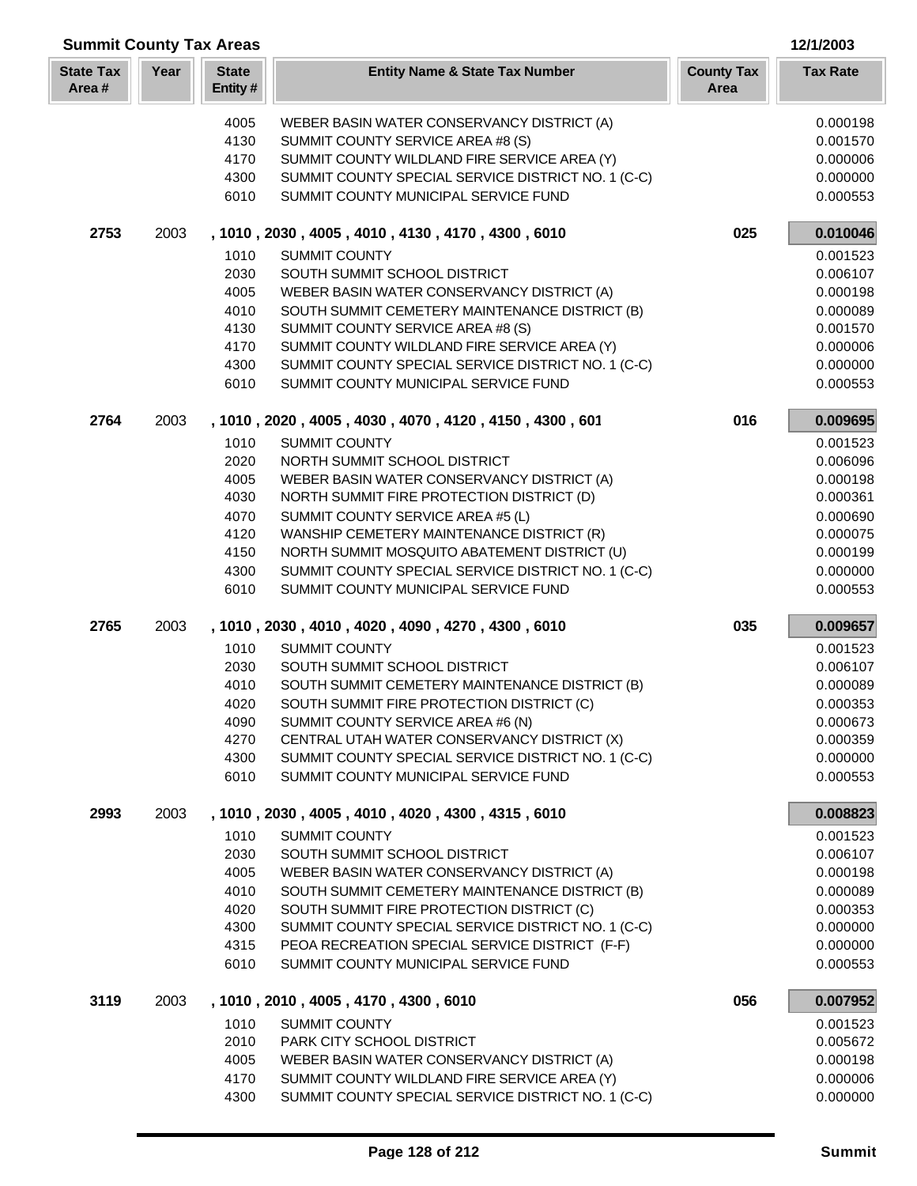| <b>Summit County Tax Areas</b><br>12/1/2003 |      |                         |                                                                                            |                           |                      |
|---------------------------------------------|------|-------------------------|--------------------------------------------------------------------------------------------|---------------------------|----------------------|
| <b>State Tax</b><br>Area#                   | Year | <b>State</b><br>Entity# | <b>Entity Name &amp; State Tax Number</b>                                                  | <b>County Tax</b><br>Area | <b>Tax Rate</b>      |
|                                             |      | 4005                    | WEBER BASIN WATER CONSERVANCY DISTRICT (A)                                                 |                           | 0.000198             |
|                                             |      | 4130                    | SUMMIT COUNTY SERVICE AREA #8 (S)                                                          |                           | 0.001570             |
|                                             |      | 4170                    | SUMMIT COUNTY WILDLAND FIRE SERVICE AREA (Y)                                               |                           | 0.000006             |
|                                             |      | 4300                    | SUMMIT COUNTY SPECIAL SERVICE DISTRICT NO. 1 (C-C)                                         |                           | 0.000000             |
|                                             |      | 6010                    | SUMMIT COUNTY MUNICIPAL SERVICE FUND                                                       |                           | 0.000553             |
| 2753                                        | 2003 |                         | , 1010, 2030, 4005, 4010, 4130, 4170, 4300, 6010                                           | 025                       | 0.010046             |
|                                             |      | 1010                    | <b>SUMMIT COUNTY</b>                                                                       |                           | 0.001523             |
|                                             |      | 2030                    | SOUTH SUMMIT SCHOOL DISTRICT                                                               |                           | 0.006107             |
|                                             |      | 4005                    | WEBER BASIN WATER CONSERVANCY DISTRICT (A)                                                 |                           | 0.000198             |
|                                             |      | 4010                    | SOUTH SUMMIT CEMETERY MAINTENANCE DISTRICT (B)                                             |                           | 0.000089             |
|                                             |      | 4130                    | SUMMIT COUNTY SERVICE AREA #8 (S)                                                          |                           | 0.001570             |
|                                             |      | 4170                    | SUMMIT COUNTY WILDLAND FIRE SERVICE AREA (Y)                                               |                           | 0.000006             |
|                                             |      | 4300                    | SUMMIT COUNTY SPECIAL SERVICE DISTRICT NO. 1 (C-C)                                         |                           | 0.000000             |
|                                             |      | 6010                    | SUMMIT COUNTY MUNICIPAL SERVICE FUND                                                       |                           | 0.000553             |
| 2764                                        | 2003 |                         | , 1010, 2020, 4005, 4030, 4070, 4120, 4150, 4300, 601                                      | 016                       | 0.009695             |
|                                             |      | 1010                    | <b>SUMMIT COUNTY</b>                                                                       |                           | 0.001523             |
|                                             |      | 2020                    | NORTH SUMMIT SCHOOL DISTRICT                                                               |                           | 0.006096             |
|                                             |      | 4005                    | WEBER BASIN WATER CONSERVANCY DISTRICT (A)                                                 |                           | 0.000198             |
|                                             |      | 4030                    | NORTH SUMMIT FIRE PROTECTION DISTRICT (D)                                                  |                           | 0.000361             |
|                                             |      | 4070                    | SUMMIT COUNTY SERVICE AREA #5 (L)                                                          |                           | 0.000690             |
|                                             |      | 4120                    | WANSHIP CEMETERY MAINTENANCE DISTRICT (R)                                                  |                           | 0.000075             |
|                                             |      | 4150                    | NORTH SUMMIT MOSQUITO ABATEMENT DISTRICT (U)                                               |                           | 0.000199             |
|                                             |      | 4300<br>6010            | SUMMIT COUNTY SPECIAL SERVICE DISTRICT NO. 1 (C-C)<br>SUMMIT COUNTY MUNICIPAL SERVICE FUND |                           | 0.000000<br>0.000553 |
| 2765                                        | 2003 |                         | , 1010, 2030, 4010, 4020, 4090, 4270, 4300, 6010                                           | 035                       | 0.009657             |
|                                             |      | 1010                    | SUMMIT COUNTY                                                                              |                           | 0.001523             |
|                                             |      | 2030                    | SOUTH SUMMIT SCHOOL DISTRICT                                                               |                           | 0.006107             |
|                                             |      | 4010                    | SOUTH SUMMIT CEMETERY MAINTENANCE DISTRICT (B)                                             |                           | 0.000089             |
|                                             |      | 4020                    | SOUTH SUMMIT FIRE PROTECTION DISTRICT (C)                                                  |                           | 0.000353             |
|                                             |      | 4090                    | SUMMIT COUNTY SERVICE AREA #6 (N)                                                          |                           | 0.000673             |
|                                             |      | 4270                    | CENTRAL UTAH WATER CONSERVANCY DISTRICT (X)                                                |                           | 0.000359             |
|                                             |      | 4300                    | SUMMIT COUNTY SPECIAL SERVICE DISTRICT NO. 1 (C-C)                                         |                           | 0.000000             |
|                                             |      | 6010                    | SUMMIT COUNTY MUNICIPAL SERVICE FUND                                                       |                           | 0.000553             |
| 2993                                        | 2003 |                         | , 1010, 2030, 4005, 4010, 4020, 4300, 4315, 6010                                           |                           | 0.008823             |
|                                             |      | 1010                    | SUMMIT COUNTY                                                                              |                           | 0.001523             |
|                                             |      | 2030                    | SOUTH SUMMIT SCHOOL DISTRICT                                                               |                           | 0.006107             |
|                                             |      | 4005                    | WEBER BASIN WATER CONSERVANCY DISTRICT (A)                                                 |                           | 0.000198             |
|                                             |      | 4010                    | SOUTH SUMMIT CEMETERY MAINTENANCE DISTRICT (B)                                             |                           | 0.000089             |
|                                             |      | 4020                    | SOUTH SUMMIT FIRE PROTECTION DISTRICT (C)                                                  |                           | 0.000353             |
|                                             |      | 4300                    | SUMMIT COUNTY SPECIAL SERVICE DISTRICT NO. 1 (C-C)                                         |                           | 0.000000             |
|                                             |      | 4315                    | PEOA RECREATION SPECIAL SERVICE DISTRICT (F-F)                                             |                           | 0.000000             |
|                                             |      | 6010                    | SUMMIT COUNTY MUNICIPAL SERVICE FUND                                                       |                           | 0.000553             |
| 3119                                        | 2003 |                         | , 1010, 2010, 4005, 4170, 4300, 6010                                                       | 056                       | 0.007952             |
|                                             |      | 1010                    | <b>SUMMIT COUNTY</b>                                                                       |                           | 0.001523             |
|                                             |      | 2010                    | PARK CITY SCHOOL DISTRICT                                                                  |                           | 0.005672             |
|                                             |      | 4005                    | WEBER BASIN WATER CONSERVANCY DISTRICT (A)                                                 |                           | 0.000198             |
|                                             |      | 4170                    | SUMMIT COUNTY WILDLAND FIRE SERVICE AREA (Y)                                               |                           | 0.000006             |
|                                             |      | 4300                    | SUMMIT COUNTY SPECIAL SERVICE DISTRICT NO. 1 (C-C)                                         |                           | 0.000000             |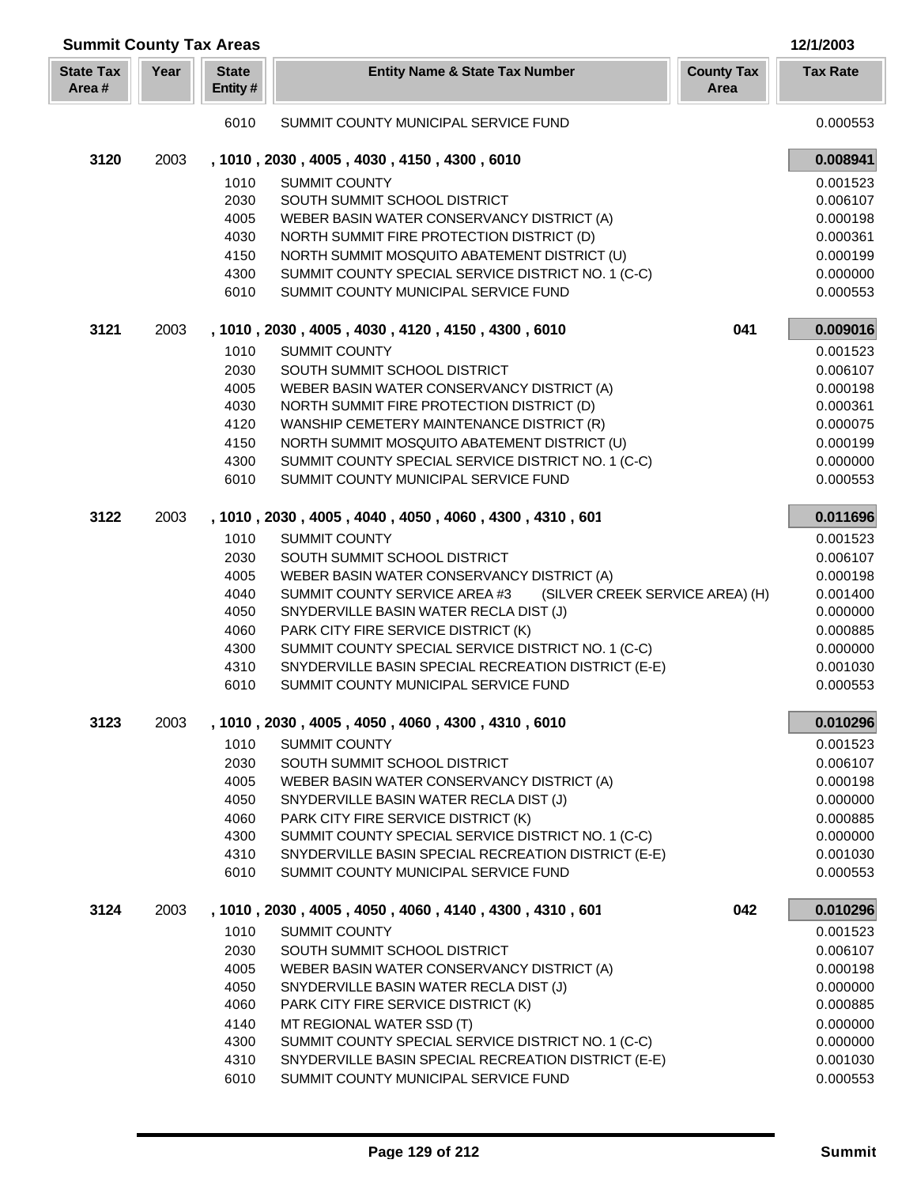| Year<br><b>State</b><br><b>County Tax</b><br><b>Tax Rate</b><br><b>State Tax</b><br><b>Entity Name &amp; State Tax Number</b><br>Area#<br>Entity #<br>Area<br>0.000553<br>6010<br>SUMMIT COUNTY MUNICIPAL SERVICE FUND<br>3120<br>2003<br>0.008941<br>, 1010, 2030, 4005, 4030, 4150, 4300, 6010<br>1010<br><b>SUMMIT COUNTY</b><br>0.001523<br>2030<br>SOUTH SUMMIT SCHOOL DISTRICT<br>0.006107<br>4005<br>WEBER BASIN WATER CONSERVANCY DISTRICT (A)<br>0.000198<br>4030<br>NORTH SUMMIT FIRE PROTECTION DISTRICT (D)<br>0.000361<br>NORTH SUMMIT MOSQUITO ABATEMENT DISTRICT (U)<br>4150<br>0.000199<br>SUMMIT COUNTY SPECIAL SERVICE DISTRICT NO. 1 (C-C)<br>0.000000<br>4300<br>SUMMIT COUNTY MUNICIPAL SERVICE FUND<br>6010<br>0.000553<br>3121<br>2003<br>0.009016<br>041<br>, 1010, 2030, 4005, 4030, 4120, 4150, 4300, 6010<br>1010<br><b>SUMMIT COUNTY</b><br>0.001523<br>2030<br>SOUTH SUMMIT SCHOOL DISTRICT<br>0.006107<br>4005<br>WEBER BASIN WATER CONSERVANCY DISTRICT (A)<br>0.000198<br>4030<br>NORTH SUMMIT FIRE PROTECTION DISTRICT (D)<br>0.000361<br>4120<br>0.000075<br>WANSHIP CEMETERY MAINTENANCE DISTRICT (R)<br>4150<br>NORTH SUMMIT MOSQUITO ABATEMENT DISTRICT (U)<br>0.000199<br>4300<br>SUMMIT COUNTY SPECIAL SERVICE DISTRICT NO. 1 (C-C)<br>0.000000<br>6010<br>SUMMIT COUNTY MUNICIPAL SERVICE FUND<br>0.000553<br>3122<br>2003<br>, 1010, 2030, 4005, 4040, 4050, 4060, 4300, 4310, 601<br>0.011696<br>1010<br><b>SUMMIT COUNTY</b><br>0.001523<br>2030<br>SOUTH SUMMIT SCHOOL DISTRICT<br>0.006107<br>4005<br>0.000198<br>WEBER BASIN WATER CONSERVANCY DISTRICT (A)<br>4040<br>(SILVER CREEK SERVICE AREA) (H)<br>SUMMIT COUNTY SERVICE AREA #3<br>0.001400<br>4050<br>SNYDERVILLE BASIN WATER RECLA DIST (J)<br>0.000000<br>PARK CITY FIRE SERVICE DISTRICT (K)<br>4060<br>0.000885<br>SUMMIT COUNTY SPECIAL SERVICE DISTRICT NO. 1 (C-C)<br>4300<br>0.000000<br>4310<br>SNYDERVILLE BASIN SPECIAL RECREATION DISTRICT (E-E)<br>0.001030<br>6010<br>SUMMIT COUNTY MUNICIPAL SERVICE FUND<br>0.000553<br>3123<br>, 1010, 2030, 4005, 4050, 4060, 4300, 4310, 6010<br>2003<br>0.010296<br>1010<br>SUMMIT COUNTY<br>0.001523<br>2030<br>SOUTH SUMMIT SCHOOL DISTRICT<br>0.006107<br>4005<br>WEBER BASIN WATER CONSERVANCY DISTRICT (A)<br>0.000198<br>4050<br>SNYDERVILLE BASIN WATER RECLA DIST (J)<br>0.000000<br>4060<br>PARK CITY FIRE SERVICE DISTRICT (K)<br>0.000885<br>4300<br>SUMMIT COUNTY SPECIAL SERVICE DISTRICT NO. 1 (C-C)<br>0.000000<br>4310<br>SNYDERVILLE BASIN SPECIAL RECREATION DISTRICT (E-E)<br>0.001030<br>6010<br>SUMMIT COUNTY MUNICIPAL SERVICE FUND<br>0.000553<br>3124<br>, 1010, 2030, 4005, 4050, 4060, 4140, 4300, 4310, 601<br>2003<br>042<br>0.010296<br>1010<br><b>SUMMIT COUNTY</b><br>0.001523<br>2030<br>0.006107<br>SOUTH SUMMIT SCHOOL DISTRICT<br>4005<br>WEBER BASIN WATER CONSERVANCY DISTRICT (A)<br>0.000198<br>4050<br>SNYDERVILLE BASIN WATER RECLA DIST (J)<br>0.000000<br>4060<br>PARK CITY FIRE SERVICE DISTRICT (K)<br>0.000885<br>4140<br>MT REGIONAL WATER SSD (T)<br>0.000000<br>4300<br>SUMMIT COUNTY SPECIAL SERVICE DISTRICT NO. 1 (C-C)<br>0.000000<br>4310<br>SNYDERVILLE BASIN SPECIAL RECREATION DISTRICT (E-E)<br>0.001030<br>6010<br>SUMMIT COUNTY MUNICIPAL SERVICE FUND<br>0.000553 | <b>Summit County Tax Areas</b> |  |  | 12/1/2003 |
|-------------------------------------------------------------------------------------------------------------------------------------------------------------------------------------------------------------------------------------------------------------------------------------------------------------------------------------------------------------------------------------------------------------------------------------------------------------------------------------------------------------------------------------------------------------------------------------------------------------------------------------------------------------------------------------------------------------------------------------------------------------------------------------------------------------------------------------------------------------------------------------------------------------------------------------------------------------------------------------------------------------------------------------------------------------------------------------------------------------------------------------------------------------------------------------------------------------------------------------------------------------------------------------------------------------------------------------------------------------------------------------------------------------------------------------------------------------------------------------------------------------------------------------------------------------------------------------------------------------------------------------------------------------------------------------------------------------------------------------------------------------------------------------------------------------------------------------------------------------------------------------------------------------------------------------------------------------------------------------------------------------------------------------------------------------------------------------------------------------------------------------------------------------------------------------------------------------------------------------------------------------------------------------------------------------------------------------------------------------------------------------------------------------------------------------------------------------------------------------------------------------------------------------------------------------------------------------------------------------------------------------------------------------------------------------------------------------------------------------------------------------------------------------------------------------------------------------------------------------------------------------------------------------------------------------------------------------------------------------------------------------------------------------------------------------------------------------------------------------------------------------------------------------------------------------------------------------------------------------------------------------------------------------------|--------------------------------|--|--|-----------|
|                                                                                                                                                                                                                                                                                                                                                                                                                                                                                                                                                                                                                                                                                                                                                                                                                                                                                                                                                                                                                                                                                                                                                                                                                                                                                                                                                                                                                                                                                                                                                                                                                                                                                                                                                                                                                                                                                                                                                                                                                                                                                                                                                                                                                                                                                                                                                                                                                                                                                                                                                                                                                                                                                                                                                                                                                                                                                                                                                                                                                                                                                                                                                                                                                                                                                           |                                |  |  |           |
|                                                                                                                                                                                                                                                                                                                                                                                                                                                                                                                                                                                                                                                                                                                                                                                                                                                                                                                                                                                                                                                                                                                                                                                                                                                                                                                                                                                                                                                                                                                                                                                                                                                                                                                                                                                                                                                                                                                                                                                                                                                                                                                                                                                                                                                                                                                                                                                                                                                                                                                                                                                                                                                                                                                                                                                                                                                                                                                                                                                                                                                                                                                                                                                                                                                                                           |                                |  |  |           |
|                                                                                                                                                                                                                                                                                                                                                                                                                                                                                                                                                                                                                                                                                                                                                                                                                                                                                                                                                                                                                                                                                                                                                                                                                                                                                                                                                                                                                                                                                                                                                                                                                                                                                                                                                                                                                                                                                                                                                                                                                                                                                                                                                                                                                                                                                                                                                                                                                                                                                                                                                                                                                                                                                                                                                                                                                                                                                                                                                                                                                                                                                                                                                                                                                                                                                           |                                |  |  |           |
|                                                                                                                                                                                                                                                                                                                                                                                                                                                                                                                                                                                                                                                                                                                                                                                                                                                                                                                                                                                                                                                                                                                                                                                                                                                                                                                                                                                                                                                                                                                                                                                                                                                                                                                                                                                                                                                                                                                                                                                                                                                                                                                                                                                                                                                                                                                                                                                                                                                                                                                                                                                                                                                                                                                                                                                                                                                                                                                                                                                                                                                                                                                                                                                                                                                                                           |                                |  |  |           |
|                                                                                                                                                                                                                                                                                                                                                                                                                                                                                                                                                                                                                                                                                                                                                                                                                                                                                                                                                                                                                                                                                                                                                                                                                                                                                                                                                                                                                                                                                                                                                                                                                                                                                                                                                                                                                                                                                                                                                                                                                                                                                                                                                                                                                                                                                                                                                                                                                                                                                                                                                                                                                                                                                                                                                                                                                                                                                                                                                                                                                                                                                                                                                                                                                                                                                           |                                |  |  |           |
|                                                                                                                                                                                                                                                                                                                                                                                                                                                                                                                                                                                                                                                                                                                                                                                                                                                                                                                                                                                                                                                                                                                                                                                                                                                                                                                                                                                                                                                                                                                                                                                                                                                                                                                                                                                                                                                                                                                                                                                                                                                                                                                                                                                                                                                                                                                                                                                                                                                                                                                                                                                                                                                                                                                                                                                                                                                                                                                                                                                                                                                                                                                                                                                                                                                                                           |                                |  |  |           |
|                                                                                                                                                                                                                                                                                                                                                                                                                                                                                                                                                                                                                                                                                                                                                                                                                                                                                                                                                                                                                                                                                                                                                                                                                                                                                                                                                                                                                                                                                                                                                                                                                                                                                                                                                                                                                                                                                                                                                                                                                                                                                                                                                                                                                                                                                                                                                                                                                                                                                                                                                                                                                                                                                                                                                                                                                                                                                                                                                                                                                                                                                                                                                                                                                                                                                           |                                |  |  |           |
|                                                                                                                                                                                                                                                                                                                                                                                                                                                                                                                                                                                                                                                                                                                                                                                                                                                                                                                                                                                                                                                                                                                                                                                                                                                                                                                                                                                                                                                                                                                                                                                                                                                                                                                                                                                                                                                                                                                                                                                                                                                                                                                                                                                                                                                                                                                                                                                                                                                                                                                                                                                                                                                                                                                                                                                                                                                                                                                                                                                                                                                                                                                                                                                                                                                                                           |                                |  |  |           |
|                                                                                                                                                                                                                                                                                                                                                                                                                                                                                                                                                                                                                                                                                                                                                                                                                                                                                                                                                                                                                                                                                                                                                                                                                                                                                                                                                                                                                                                                                                                                                                                                                                                                                                                                                                                                                                                                                                                                                                                                                                                                                                                                                                                                                                                                                                                                                                                                                                                                                                                                                                                                                                                                                                                                                                                                                                                                                                                                                                                                                                                                                                                                                                                                                                                                                           |                                |  |  |           |
|                                                                                                                                                                                                                                                                                                                                                                                                                                                                                                                                                                                                                                                                                                                                                                                                                                                                                                                                                                                                                                                                                                                                                                                                                                                                                                                                                                                                                                                                                                                                                                                                                                                                                                                                                                                                                                                                                                                                                                                                                                                                                                                                                                                                                                                                                                                                                                                                                                                                                                                                                                                                                                                                                                                                                                                                                                                                                                                                                                                                                                                                                                                                                                                                                                                                                           |                                |  |  |           |
|                                                                                                                                                                                                                                                                                                                                                                                                                                                                                                                                                                                                                                                                                                                                                                                                                                                                                                                                                                                                                                                                                                                                                                                                                                                                                                                                                                                                                                                                                                                                                                                                                                                                                                                                                                                                                                                                                                                                                                                                                                                                                                                                                                                                                                                                                                                                                                                                                                                                                                                                                                                                                                                                                                                                                                                                                                                                                                                                                                                                                                                                                                                                                                                                                                                                                           |                                |  |  |           |
|                                                                                                                                                                                                                                                                                                                                                                                                                                                                                                                                                                                                                                                                                                                                                                                                                                                                                                                                                                                                                                                                                                                                                                                                                                                                                                                                                                                                                                                                                                                                                                                                                                                                                                                                                                                                                                                                                                                                                                                                                                                                                                                                                                                                                                                                                                                                                                                                                                                                                                                                                                                                                                                                                                                                                                                                                                                                                                                                                                                                                                                                                                                                                                                                                                                                                           |                                |  |  |           |
|                                                                                                                                                                                                                                                                                                                                                                                                                                                                                                                                                                                                                                                                                                                                                                                                                                                                                                                                                                                                                                                                                                                                                                                                                                                                                                                                                                                                                                                                                                                                                                                                                                                                                                                                                                                                                                                                                                                                                                                                                                                                                                                                                                                                                                                                                                                                                                                                                                                                                                                                                                                                                                                                                                                                                                                                                                                                                                                                                                                                                                                                                                                                                                                                                                                                                           |                                |  |  |           |
|                                                                                                                                                                                                                                                                                                                                                                                                                                                                                                                                                                                                                                                                                                                                                                                                                                                                                                                                                                                                                                                                                                                                                                                                                                                                                                                                                                                                                                                                                                                                                                                                                                                                                                                                                                                                                                                                                                                                                                                                                                                                                                                                                                                                                                                                                                                                                                                                                                                                                                                                                                                                                                                                                                                                                                                                                                                                                                                                                                                                                                                                                                                                                                                                                                                                                           |                                |  |  |           |
|                                                                                                                                                                                                                                                                                                                                                                                                                                                                                                                                                                                                                                                                                                                                                                                                                                                                                                                                                                                                                                                                                                                                                                                                                                                                                                                                                                                                                                                                                                                                                                                                                                                                                                                                                                                                                                                                                                                                                                                                                                                                                                                                                                                                                                                                                                                                                                                                                                                                                                                                                                                                                                                                                                                                                                                                                                                                                                                                                                                                                                                                                                                                                                                                                                                                                           |                                |  |  |           |
|                                                                                                                                                                                                                                                                                                                                                                                                                                                                                                                                                                                                                                                                                                                                                                                                                                                                                                                                                                                                                                                                                                                                                                                                                                                                                                                                                                                                                                                                                                                                                                                                                                                                                                                                                                                                                                                                                                                                                                                                                                                                                                                                                                                                                                                                                                                                                                                                                                                                                                                                                                                                                                                                                                                                                                                                                                                                                                                                                                                                                                                                                                                                                                                                                                                                                           |                                |  |  |           |
|                                                                                                                                                                                                                                                                                                                                                                                                                                                                                                                                                                                                                                                                                                                                                                                                                                                                                                                                                                                                                                                                                                                                                                                                                                                                                                                                                                                                                                                                                                                                                                                                                                                                                                                                                                                                                                                                                                                                                                                                                                                                                                                                                                                                                                                                                                                                                                                                                                                                                                                                                                                                                                                                                                                                                                                                                                                                                                                                                                                                                                                                                                                                                                                                                                                                                           |                                |  |  |           |
|                                                                                                                                                                                                                                                                                                                                                                                                                                                                                                                                                                                                                                                                                                                                                                                                                                                                                                                                                                                                                                                                                                                                                                                                                                                                                                                                                                                                                                                                                                                                                                                                                                                                                                                                                                                                                                                                                                                                                                                                                                                                                                                                                                                                                                                                                                                                                                                                                                                                                                                                                                                                                                                                                                                                                                                                                                                                                                                                                                                                                                                                                                                                                                                                                                                                                           |                                |  |  |           |
|                                                                                                                                                                                                                                                                                                                                                                                                                                                                                                                                                                                                                                                                                                                                                                                                                                                                                                                                                                                                                                                                                                                                                                                                                                                                                                                                                                                                                                                                                                                                                                                                                                                                                                                                                                                                                                                                                                                                                                                                                                                                                                                                                                                                                                                                                                                                                                                                                                                                                                                                                                                                                                                                                                                                                                                                                                                                                                                                                                                                                                                                                                                                                                                                                                                                                           |                                |  |  |           |
|                                                                                                                                                                                                                                                                                                                                                                                                                                                                                                                                                                                                                                                                                                                                                                                                                                                                                                                                                                                                                                                                                                                                                                                                                                                                                                                                                                                                                                                                                                                                                                                                                                                                                                                                                                                                                                                                                                                                                                                                                                                                                                                                                                                                                                                                                                                                                                                                                                                                                                                                                                                                                                                                                                                                                                                                                                                                                                                                                                                                                                                                                                                                                                                                                                                                                           |                                |  |  |           |
|                                                                                                                                                                                                                                                                                                                                                                                                                                                                                                                                                                                                                                                                                                                                                                                                                                                                                                                                                                                                                                                                                                                                                                                                                                                                                                                                                                                                                                                                                                                                                                                                                                                                                                                                                                                                                                                                                                                                                                                                                                                                                                                                                                                                                                                                                                                                                                                                                                                                                                                                                                                                                                                                                                                                                                                                                                                                                                                                                                                                                                                                                                                                                                                                                                                                                           |                                |  |  |           |
|                                                                                                                                                                                                                                                                                                                                                                                                                                                                                                                                                                                                                                                                                                                                                                                                                                                                                                                                                                                                                                                                                                                                                                                                                                                                                                                                                                                                                                                                                                                                                                                                                                                                                                                                                                                                                                                                                                                                                                                                                                                                                                                                                                                                                                                                                                                                                                                                                                                                                                                                                                                                                                                                                                                                                                                                                                                                                                                                                                                                                                                                                                                                                                                                                                                                                           |                                |  |  |           |
|                                                                                                                                                                                                                                                                                                                                                                                                                                                                                                                                                                                                                                                                                                                                                                                                                                                                                                                                                                                                                                                                                                                                                                                                                                                                                                                                                                                                                                                                                                                                                                                                                                                                                                                                                                                                                                                                                                                                                                                                                                                                                                                                                                                                                                                                                                                                                                                                                                                                                                                                                                                                                                                                                                                                                                                                                                                                                                                                                                                                                                                                                                                                                                                                                                                                                           |                                |  |  |           |
|                                                                                                                                                                                                                                                                                                                                                                                                                                                                                                                                                                                                                                                                                                                                                                                                                                                                                                                                                                                                                                                                                                                                                                                                                                                                                                                                                                                                                                                                                                                                                                                                                                                                                                                                                                                                                                                                                                                                                                                                                                                                                                                                                                                                                                                                                                                                                                                                                                                                                                                                                                                                                                                                                                                                                                                                                                                                                                                                                                                                                                                                                                                                                                                                                                                                                           |                                |  |  |           |
|                                                                                                                                                                                                                                                                                                                                                                                                                                                                                                                                                                                                                                                                                                                                                                                                                                                                                                                                                                                                                                                                                                                                                                                                                                                                                                                                                                                                                                                                                                                                                                                                                                                                                                                                                                                                                                                                                                                                                                                                                                                                                                                                                                                                                                                                                                                                                                                                                                                                                                                                                                                                                                                                                                                                                                                                                                                                                                                                                                                                                                                                                                                                                                                                                                                                                           |                                |  |  |           |
|                                                                                                                                                                                                                                                                                                                                                                                                                                                                                                                                                                                                                                                                                                                                                                                                                                                                                                                                                                                                                                                                                                                                                                                                                                                                                                                                                                                                                                                                                                                                                                                                                                                                                                                                                                                                                                                                                                                                                                                                                                                                                                                                                                                                                                                                                                                                                                                                                                                                                                                                                                                                                                                                                                                                                                                                                                                                                                                                                                                                                                                                                                                                                                                                                                                                                           |                                |  |  |           |
|                                                                                                                                                                                                                                                                                                                                                                                                                                                                                                                                                                                                                                                                                                                                                                                                                                                                                                                                                                                                                                                                                                                                                                                                                                                                                                                                                                                                                                                                                                                                                                                                                                                                                                                                                                                                                                                                                                                                                                                                                                                                                                                                                                                                                                                                                                                                                                                                                                                                                                                                                                                                                                                                                                                                                                                                                                                                                                                                                                                                                                                                                                                                                                                                                                                                                           |                                |  |  |           |
|                                                                                                                                                                                                                                                                                                                                                                                                                                                                                                                                                                                                                                                                                                                                                                                                                                                                                                                                                                                                                                                                                                                                                                                                                                                                                                                                                                                                                                                                                                                                                                                                                                                                                                                                                                                                                                                                                                                                                                                                                                                                                                                                                                                                                                                                                                                                                                                                                                                                                                                                                                                                                                                                                                                                                                                                                                                                                                                                                                                                                                                                                                                                                                                                                                                                                           |                                |  |  |           |
|                                                                                                                                                                                                                                                                                                                                                                                                                                                                                                                                                                                                                                                                                                                                                                                                                                                                                                                                                                                                                                                                                                                                                                                                                                                                                                                                                                                                                                                                                                                                                                                                                                                                                                                                                                                                                                                                                                                                                                                                                                                                                                                                                                                                                                                                                                                                                                                                                                                                                                                                                                                                                                                                                                                                                                                                                                                                                                                                                                                                                                                                                                                                                                                                                                                                                           |                                |  |  |           |
|                                                                                                                                                                                                                                                                                                                                                                                                                                                                                                                                                                                                                                                                                                                                                                                                                                                                                                                                                                                                                                                                                                                                                                                                                                                                                                                                                                                                                                                                                                                                                                                                                                                                                                                                                                                                                                                                                                                                                                                                                                                                                                                                                                                                                                                                                                                                                                                                                                                                                                                                                                                                                                                                                                                                                                                                                                                                                                                                                                                                                                                                                                                                                                                                                                                                                           |                                |  |  |           |
|                                                                                                                                                                                                                                                                                                                                                                                                                                                                                                                                                                                                                                                                                                                                                                                                                                                                                                                                                                                                                                                                                                                                                                                                                                                                                                                                                                                                                                                                                                                                                                                                                                                                                                                                                                                                                                                                                                                                                                                                                                                                                                                                                                                                                                                                                                                                                                                                                                                                                                                                                                                                                                                                                                                                                                                                                                                                                                                                                                                                                                                                                                                                                                                                                                                                                           |                                |  |  |           |
|                                                                                                                                                                                                                                                                                                                                                                                                                                                                                                                                                                                                                                                                                                                                                                                                                                                                                                                                                                                                                                                                                                                                                                                                                                                                                                                                                                                                                                                                                                                                                                                                                                                                                                                                                                                                                                                                                                                                                                                                                                                                                                                                                                                                                                                                                                                                                                                                                                                                                                                                                                                                                                                                                                                                                                                                                                                                                                                                                                                                                                                                                                                                                                                                                                                                                           |                                |  |  |           |
|                                                                                                                                                                                                                                                                                                                                                                                                                                                                                                                                                                                                                                                                                                                                                                                                                                                                                                                                                                                                                                                                                                                                                                                                                                                                                                                                                                                                                                                                                                                                                                                                                                                                                                                                                                                                                                                                                                                                                                                                                                                                                                                                                                                                                                                                                                                                                                                                                                                                                                                                                                                                                                                                                                                                                                                                                                                                                                                                                                                                                                                                                                                                                                                                                                                                                           |                                |  |  |           |
|                                                                                                                                                                                                                                                                                                                                                                                                                                                                                                                                                                                                                                                                                                                                                                                                                                                                                                                                                                                                                                                                                                                                                                                                                                                                                                                                                                                                                                                                                                                                                                                                                                                                                                                                                                                                                                                                                                                                                                                                                                                                                                                                                                                                                                                                                                                                                                                                                                                                                                                                                                                                                                                                                                                                                                                                                                                                                                                                                                                                                                                                                                                                                                                                                                                                                           |                                |  |  |           |
|                                                                                                                                                                                                                                                                                                                                                                                                                                                                                                                                                                                                                                                                                                                                                                                                                                                                                                                                                                                                                                                                                                                                                                                                                                                                                                                                                                                                                                                                                                                                                                                                                                                                                                                                                                                                                                                                                                                                                                                                                                                                                                                                                                                                                                                                                                                                                                                                                                                                                                                                                                                                                                                                                                                                                                                                                                                                                                                                                                                                                                                                                                                                                                                                                                                                                           |                                |  |  |           |
|                                                                                                                                                                                                                                                                                                                                                                                                                                                                                                                                                                                                                                                                                                                                                                                                                                                                                                                                                                                                                                                                                                                                                                                                                                                                                                                                                                                                                                                                                                                                                                                                                                                                                                                                                                                                                                                                                                                                                                                                                                                                                                                                                                                                                                                                                                                                                                                                                                                                                                                                                                                                                                                                                                                                                                                                                                                                                                                                                                                                                                                                                                                                                                                                                                                                                           |                                |  |  |           |
|                                                                                                                                                                                                                                                                                                                                                                                                                                                                                                                                                                                                                                                                                                                                                                                                                                                                                                                                                                                                                                                                                                                                                                                                                                                                                                                                                                                                                                                                                                                                                                                                                                                                                                                                                                                                                                                                                                                                                                                                                                                                                                                                                                                                                                                                                                                                                                                                                                                                                                                                                                                                                                                                                                                                                                                                                                                                                                                                                                                                                                                                                                                                                                                                                                                                                           |                                |  |  |           |
|                                                                                                                                                                                                                                                                                                                                                                                                                                                                                                                                                                                                                                                                                                                                                                                                                                                                                                                                                                                                                                                                                                                                                                                                                                                                                                                                                                                                                                                                                                                                                                                                                                                                                                                                                                                                                                                                                                                                                                                                                                                                                                                                                                                                                                                                                                                                                                                                                                                                                                                                                                                                                                                                                                                                                                                                                                                                                                                                                                                                                                                                                                                                                                                                                                                                                           |                                |  |  |           |
|                                                                                                                                                                                                                                                                                                                                                                                                                                                                                                                                                                                                                                                                                                                                                                                                                                                                                                                                                                                                                                                                                                                                                                                                                                                                                                                                                                                                                                                                                                                                                                                                                                                                                                                                                                                                                                                                                                                                                                                                                                                                                                                                                                                                                                                                                                                                                                                                                                                                                                                                                                                                                                                                                                                                                                                                                                                                                                                                                                                                                                                                                                                                                                                                                                                                                           |                                |  |  |           |
|                                                                                                                                                                                                                                                                                                                                                                                                                                                                                                                                                                                                                                                                                                                                                                                                                                                                                                                                                                                                                                                                                                                                                                                                                                                                                                                                                                                                                                                                                                                                                                                                                                                                                                                                                                                                                                                                                                                                                                                                                                                                                                                                                                                                                                                                                                                                                                                                                                                                                                                                                                                                                                                                                                                                                                                                                                                                                                                                                                                                                                                                                                                                                                                                                                                                                           |                                |  |  |           |
|                                                                                                                                                                                                                                                                                                                                                                                                                                                                                                                                                                                                                                                                                                                                                                                                                                                                                                                                                                                                                                                                                                                                                                                                                                                                                                                                                                                                                                                                                                                                                                                                                                                                                                                                                                                                                                                                                                                                                                                                                                                                                                                                                                                                                                                                                                                                                                                                                                                                                                                                                                                                                                                                                                                                                                                                                                                                                                                                                                                                                                                                                                                                                                                                                                                                                           |                                |  |  |           |
|                                                                                                                                                                                                                                                                                                                                                                                                                                                                                                                                                                                                                                                                                                                                                                                                                                                                                                                                                                                                                                                                                                                                                                                                                                                                                                                                                                                                                                                                                                                                                                                                                                                                                                                                                                                                                                                                                                                                                                                                                                                                                                                                                                                                                                                                                                                                                                                                                                                                                                                                                                                                                                                                                                                                                                                                                                                                                                                                                                                                                                                                                                                                                                                                                                                                                           |                                |  |  |           |
|                                                                                                                                                                                                                                                                                                                                                                                                                                                                                                                                                                                                                                                                                                                                                                                                                                                                                                                                                                                                                                                                                                                                                                                                                                                                                                                                                                                                                                                                                                                                                                                                                                                                                                                                                                                                                                                                                                                                                                                                                                                                                                                                                                                                                                                                                                                                                                                                                                                                                                                                                                                                                                                                                                                                                                                                                                                                                                                                                                                                                                                                                                                                                                                                                                                                                           |                                |  |  |           |
|                                                                                                                                                                                                                                                                                                                                                                                                                                                                                                                                                                                                                                                                                                                                                                                                                                                                                                                                                                                                                                                                                                                                                                                                                                                                                                                                                                                                                                                                                                                                                                                                                                                                                                                                                                                                                                                                                                                                                                                                                                                                                                                                                                                                                                                                                                                                                                                                                                                                                                                                                                                                                                                                                                                                                                                                                                                                                                                                                                                                                                                                                                                                                                                                                                                                                           |                                |  |  |           |
|                                                                                                                                                                                                                                                                                                                                                                                                                                                                                                                                                                                                                                                                                                                                                                                                                                                                                                                                                                                                                                                                                                                                                                                                                                                                                                                                                                                                                                                                                                                                                                                                                                                                                                                                                                                                                                                                                                                                                                                                                                                                                                                                                                                                                                                                                                                                                                                                                                                                                                                                                                                                                                                                                                                                                                                                                                                                                                                                                                                                                                                                                                                                                                                                                                                                                           |                                |  |  |           |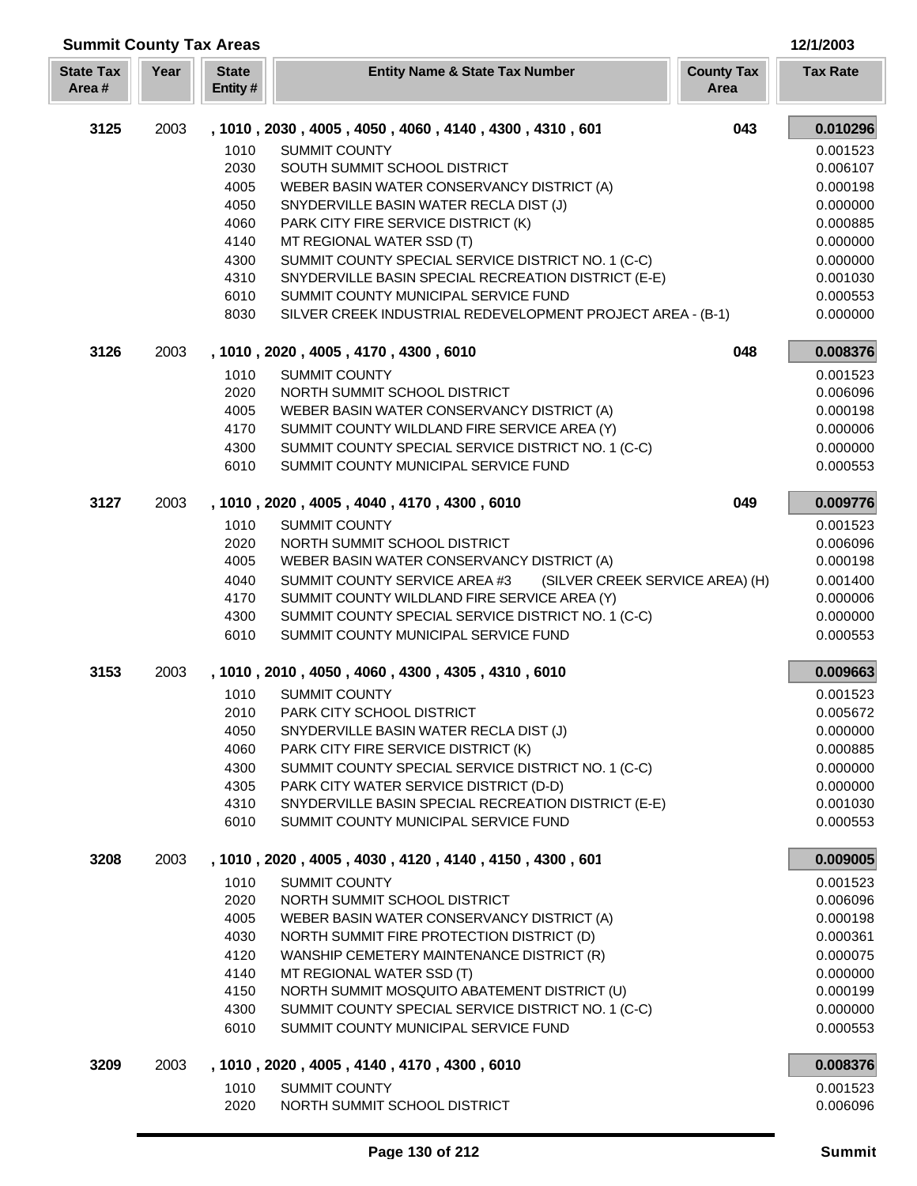| Year<br><b>State Tax</b><br><b>State</b><br><b>County Tax</b><br><b>Entity Name &amp; State Tax Number</b><br><b>Tax Rate</b><br>Area#<br>Entity#<br>Area<br>3125<br>043<br>2003<br>0.010296<br>, 1010, 2030, 4005, 4050, 4060, 4140, 4300, 4310, 601<br>1010<br><b>SUMMIT COUNTY</b><br>0.001523<br>2030<br>SOUTH SUMMIT SCHOOL DISTRICT<br>0.006107<br>4005<br>WEBER BASIN WATER CONSERVANCY DISTRICT (A)<br>0.000198<br>0.000000<br>4050<br>SNYDERVILLE BASIN WATER RECLA DIST (J)<br>4060<br>PARK CITY FIRE SERVICE DISTRICT (K)<br>0.000885<br>4140<br>MT REGIONAL WATER SSD (T)<br>0.000000<br>SUMMIT COUNTY SPECIAL SERVICE DISTRICT NO. 1 (C-C)<br>0.000000<br>4300<br>SNYDERVILLE BASIN SPECIAL RECREATION DISTRICT (E-E)<br>4310<br>0.001030<br>6010<br>SUMMIT COUNTY MUNICIPAL SERVICE FUND<br>0.000553<br>8030<br>SILVER CREEK INDUSTRIAL REDEVELOPMENT PROJECT AREA - (B-1)<br>0.000000<br>3126<br>2003<br>048<br>0.008376<br>, 1010, 2020, 4005, 4170, 4300, 6010<br>1010<br><b>SUMMIT COUNTY</b><br>0.001523<br>2020<br>NORTH SUMMIT SCHOOL DISTRICT<br>0.006096<br>4005<br>WEBER BASIN WATER CONSERVANCY DISTRICT (A)<br>0.000198<br>4170<br>SUMMIT COUNTY WILDLAND FIRE SERVICE AREA (Y)<br>0.000006<br>SUMMIT COUNTY SPECIAL SERVICE DISTRICT NO. 1 (C-C)<br>4300<br>0.000000<br>6010<br>SUMMIT COUNTY MUNICIPAL SERVICE FUND<br>0.000553<br>0.009776<br>3127<br>2003<br>049<br>, 1010, 2020, 4005, 4040, 4170, 4300, 6010<br>1010<br><b>SUMMIT COUNTY</b><br>0.001523<br>2020<br>NORTH SUMMIT SCHOOL DISTRICT<br>0.006096<br>4005<br>WEBER BASIN WATER CONSERVANCY DISTRICT (A)<br>0.000198<br>SUMMIT COUNTY SERVICE AREA #3<br>4040<br>(SILVER CREEK SERVICE AREA) (H)<br>0.001400<br>4170<br>SUMMIT COUNTY WILDLAND FIRE SERVICE AREA (Y)<br>0.000006<br>SUMMIT COUNTY SPECIAL SERVICE DISTRICT NO. 1 (C-C)<br>0.000000<br>4300<br>SUMMIT COUNTY MUNICIPAL SERVICE FUND<br>6010<br>0.000553<br>3153<br>2003<br>0.009663<br>, 1010, 2010, 4050, 4060, 4300, 4305, 4310, 6010<br>1010<br><b>SUMMIT COUNTY</b><br>0.001523<br>PARK CITY SCHOOL DISTRICT<br>0.005672<br>2010<br>4050<br>SNYDERVILLE BASIN WATER RECLA DIST (J)<br>0.000000<br>4060<br>PARK CITY FIRE SERVICE DISTRICT (K)<br>0.000885<br>4300<br>SUMMIT COUNTY SPECIAL SERVICE DISTRICT NO. 1 (C-C)<br>0.000000<br>4305<br>PARK CITY WATER SERVICE DISTRICT (D-D)<br>0.000000<br>4310<br>SNYDERVILLE BASIN SPECIAL RECREATION DISTRICT (E-E)<br>0.001030<br>6010<br>SUMMIT COUNTY MUNICIPAL SERVICE FUND<br>0.000553<br>3208<br>2003<br>, 1010, 2020, 4005, 4030, 4120, 4140, 4150, 4300, 601<br>0.009005<br>1010<br><b>SUMMIT COUNTY</b><br>0.001523<br>2020<br>NORTH SUMMIT SCHOOL DISTRICT<br>0.006096<br>4005<br>WEBER BASIN WATER CONSERVANCY DISTRICT (A)<br>0.000198<br>4030<br>NORTH SUMMIT FIRE PROTECTION DISTRICT (D)<br>0.000361<br>4120<br>WANSHIP CEMETERY MAINTENANCE DISTRICT (R)<br>0.000075<br>4140<br>MT REGIONAL WATER SSD (T)<br>0.000000<br>NORTH SUMMIT MOSQUITO ABATEMENT DISTRICT (U)<br>4150<br>0.000199<br>4300<br>SUMMIT COUNTY SPECIAL SERVICE DISTRICT NO. 1 (C-C)<br>0.000000<br>6010<br>SUMMIT COUNTY MUNICIPAL SERVICE FUND<br>0.000553<br>3209<br>2003<br>, 1010, 2020, 4005, 4140, 4170, 4300, 6010<br>0.008376<br>1010<br><b>SUMMIT COUNTY</b><br>0.001523<br>2020<br>NORTH SUMMIT SCHOOL DISTRICT<br>0.006096 | <b>Summit County Tax Areas</b> |  |  | 12/1/2003 |
|-------------------------------------------------------------------------------------------------------------------------------------------------------------------------------------------------------------------------------------------------------------------------------------------------------------------------------------------------------------------------------------------------------------------------------------------------------------------------------------------------------------------------------------------------------------------------------------------------------------------------------------------------------------------------------------------------------------------------------------------------------------------------------------------------------------------------------------------------------------------------------------------------------------------------------------------------------------------------------------------------------------------------------------------------------------------------------------------------------------------------------------------------------------------------------------------------------------------------------------------------------------------------------------------------------------------------------------------------------------------------------------------------------------------------------------------------------------------------------------------------------------------------------------------------------------------------------------------------------------------------------------------------------------------------------------------------------------------------------------------------------------------------------------------------------------------------------------------------------------------------------------------------------------------------------------------------------------------------------------------------------------------------------------------------------------------------------------------------------------------------------------------------------------------------------------------------------------------------------------------------------------------------------------------------------------------------------------------------------------------------------------------------------------------------------------------------------------------------------------------------------------------------------------------------------------------------------------------------------------------------------------------------------------------------------------------------------------------------------------------------------------------------------------------------------------------------------------------------------------------------------------------------------------------------------------------------------------------------------------------------------------------------------------------------------------------------------------------------------------------------------------------------------------------------------------------------------------------------------------------------------------------------------------------------------------------------------------|--------------------------------|--|--|-----------|
|                                                                                                                                                                                                                                                                                                                                                                                                                                                                                                                                                                                                                                                                                                                                                                                                                                                                                                                                                                                                                                                                                                                                                                                                                                                                                                                                                                                                                                                                                                                                                                                                                                                                                                                                                                                                                                                                                                                                                                                                                                                                                                                                                                                                                                                                                                                                                                                                                                                                                                                                                                                                                                                                                                                                                                                                                                                                                                                                                                                                                                                                                                                                                                                                                                                                                                                                     |                                |  |  |           |
|                                                                                                                                                                                                                                                                                                                                                                                                                                                                                                                                                                                                                                                                                                                                                                                                                                                                                                                                                                                                                                                                                                                                                                                                                                                                                                                                                                                                                                                                                                                                                                                                                                                                                                                                                                                                                                                                                                                                                                                                                                                                                                                                                                                                                                                                                                                                                                                                                                                                                                                                                                                                                                                                                                                                                                                                                                                                                                                                                                                                                                                                                                                                                                                                                                                                                                                                     |                                |  |  |           |
|                                                                                                                                                                                                                                                                                                                                                                                                                                                                                                                                                                                                                                                                                                                                                                                                                                                                                                                                                                                                                                                                                                                                                                                                                                                                                                                                                                                                                                                                                                                                                                                                                                                                                                                                                                                                                                                                                                                                                                                                                                                                                                                                                                                                                                                                                                                                                                                                                                                                                                                                                                                                                                                                                                                                                                                                                                                                                                                                                                                                                                                                                                                                                                                                                                                                                                                                     |                                |  |  |           |
|                                                                                                                                                                                                                                                                                                                                                                                                                                                                                                                                                                                                                                                                                                                                                                                                                                                                                                                                                                                                                                                                                                                                                                                                                                                                                                                                                                                                                                                                                                                                                                                                                                                                                                                                                                                                                                                                                                                                                                                                                                                                                                                                                                                                                                                                                                                                                                                                                                                                                                                                                                                                                                                                                                                                                                                                                                                                                                                                                                                                                                                                                                                                                                                                                                                                                                                                     |                                |  |  |           |
|                                                                                                                                                                                                                                                                                                                                                                                                                                                                                                                                                                                                                                                                                                                                                                                                                                                                                                                                                                                                                                                                                                                                                                                                                                                                                                                                                                                                                                                                                                                                                                                                                                                                                                                                                                                                                                                                                                                                                                                                                                                                                                                                                                                                                                                                                                                                                                                                                                                                                                                                                                                                                                                                                                                                                                                                                                                                                                                                                                                                                                                                                                                                                                                                                                                                                                                                     |                                |  |  |           |
|                                                                                                                                                                                                                                                                                                                                                                                                                                                                                                                                                                                                                                                                                                                                                                                                                                                                                                                                                                                                                                                                                                                                                                                                                                                                                                                                                                                                                                                                                                                                                                                                                                                                                                                                                                                                                                                                                                                                                                                                                                                                                                                                                                                                                                                                                                                                                                                                                                                                                                                                                                                                                                                                                                                                                                                                                                                                                                                                                                                                                                                                                                                                                                                                                                                                                                                                     |                                |  |  |           |
|                                                                                                                                                                                                                                                                                                                                                                                                                                                                                                                                                                                                                                                                                                                                                                                                                                                                                                                                                                                                                                                                                                                                                                                                                                                                                                                                                                                                                                                                                                                                                                                                                                                                                                                                                                                                                                                                                                                                                                                                                                                                                                                                                                                                                                                                                                                                                                                                                                                                                                                                                                                                                                                                                                                                                                                                                                                                                                                                                                                                                                                                                                                                                                                                                                                                                                                                     |                                |  |  |           |
|                                                                                                                                                                                                                                                                                                                                                                                                                                                                                                                                                                                                                                                                                                                                                                                                                                                                                                                                                                                                                                                                                                                                                                                                                                                                                                                                                                                                                                                                                                                                                                                                                                                                                                                                                                                                                                                                                                                                                                                                                                                                                                                                                                                                                                                                                                                                                                                                                                                                                                                                                                                                                                                                                                                                                                                                                                                                                                                                                                                                                                                                                                                                                                                                                                                                                                                                     |                                |  |  |           |
|                                                                                                                                                                                                                                                                                                                                                                                                                                                                                                                                                                                                                                                                                                                                                                                                                                                                                                                                                                                                                                                                                                                                                                                                                                                                                                                                                                                                                                                                                                                                                                                                                                                                                                                                                                                                                                                                                                                                                                                                                                                                                                                                                                                                                                                                                                                                                                                                                                                                                                                                                                                                                                                                                                                                                                                                                                                                                                                                                                                                                                                                                                                                                                                                                                                                                                                                     |                                |  |  |           |
|                                                                                                                                                                                                                                                                                                                                                                                                                                                                                                                                                                                                                                                                                                                                                                                                                                                                                                                                                                                                                                                                                                                                                                                                                                                                                                                                                                                                                                                                                                                                                                                                                                                                                                                                                                                                                                                                                                                                                                                                                                                                                                                                                                                                                                                                                                                                                                                                                                                                                                                                                                                                                                                                                                                                                                                                                                                                                                                                                                                                                                                                                                                                                                                                                                                                                                                                     |                                |  |  |           |
|                                                                                                                                                                                                                                                                                                                                                                                                                                                                                                                                                                                                                                                                                                                                                                                                                                                                                                                                                                                                                                                                                                                                                                                                                                                                                                                                                                                                                                                                                                                                                                                                                                                                                                                                                                                                                                                                                                                                                                                                                                                                                                                                                                                                                                                                                                                                                                                                                                                                                                                                                                                                                                                                                                                                                                                                                                                                                                                                                                                                                                                                                                                                                                                                                                                                                                                                     |                                |  |  |           |
|                                                                                                                                                                                                                                                                                                                                                                                                                                                                                                                                                                                                                                                                                                                                                                                                                                                                                                                                                                                                                                                                                                                                                                                                                                                                                                                                                                                                                                                                                                                                                                                                                                                                                                                                                                                                                                                                                                                                                                                                                                                                                                                                                                                                                                                                                                                                                                                                                                                                                                                                                                                                                                                                                                                                                                                                                                                                                                                                                                                                                                                                                                                                                                                                                                                                                                                                     |                                |  |  |           |
|                                                                                                                                                                                                                                                                                                                                                                                                                                                                                                                                                                                                                                                                                                                                                                                                                                                                                                                                                                                                                                                                                                                                                                                                                                                                                                                                                                                                                                                                                                                                                                                                                                                                                                                                                                                                                                                                                                                                                                                                                                                                                                                                                                                                                                                                                                                                                                                                                                                                                                                                                                                                                                                                                                                                                                                                                                                                                                                                                                                                                                                                                                                                                                                                                                                                                                                                     |                                |  |  |           |
|                                                                                                                                                                                                                                                                                                                                                                                                                                                                                                                                                                                                                                                                                                                                                                                                                                                                                                                                                                                                                                                                                                                                                                                                                                                                                                                                                                                                                                                                                                                                                                                                                                                                                                                                                                                                                                                                                                                                                                                                                                                                                                                                                                                                                                                                                                                                                                                                                                                                                                                                                                                                                                                                                                                                                                                                                                                                                                                                                                                                                                                                                                                                                                                                                                                                                                                                     |                                |  |  |           |
|                                                                                                                                                                                                                                                                                                                                                                                                                                                                                                                                                                                                                                                                                                                                                                                                                                                                                                                                                                                                                                                                                                                                                                                                                                                                                                                                                                                                                                                                                                                                                                                                                                                                                                                                                                                                                                                                                                                                                                                                                                                                                                                                                                                                                                                                                                                                                                                                                                                                                                                                                                                                                                                                                                                                                                                                                                                                                                                                                                                                                                                                                                                                                                                                                                                                                                                                     |                                |  |  |           |
|                                                                                                                                                                                                                                                                                                                                                                                                                                                                                                                                                                                                                                                                                                                                                                                                                                                                                                                                                                                                                                                                                                                                                                                                                                                                                                                                                                                                                                                                                                                                                                                                                                                                                                                                                                                                                                                                                                                                                                                                                                                                                                                                                                                                                                                                                                                                                                                                                                                                                                                                                                                                                                                                                                                                                                                                                                                                                                                                                                                                                                                                                                                                                                                                                                                                                                                                     |                                |  |  |           |
|                                                                                                                                                                                                                                                                                                                                                                                                                                                                                                                                                                                                                                                                                                                                                                                                                                                                                                                                                                                                                                                                                                                                                                                                                                                                                                                                                                                                                                                                                                                                                                                                                                                                                                                                                                                                                                                                                                                                                                                                                                                                                                                                                                                                                                                                                                                                                                                                                                                                                                                                                                                                                                                                                                                                                                                                                                                                                                                                                                                                                                                                                                                                                                                                                                                                                                                                     |                                |  |  |           |
|                                                                                                                                                                                                                                                                                                                                                                                                                                                                                                                                                                                                                                                                                                                                                                                                                                                                                                                                                                                                                                                                                                                                                                                                                                                                                                                                                                                                                                                                                                                                                                                                                                                                                                                                                                                                                                                                                                                                                                                                                                                                                                                                                                                                                                                                                                                                                                                                                                                                                                                                                                                                                                                                                                                                                                                                                                                                                                                                                                                                                                                                                                                                                                                                                                                                                                                                     |                                |  |  |           |
|                                                                                                                                                                                                                                                                                                                                                                                                                                                                                                                                                                                                                                                                                                                                                                                                                                                                                                                                                                                                                                                                                                                                                                                                                                                                                                                                                                                                                                                                                                                                                                                                                                                                                                                                                                                                                                                                                                                                                                                                                                                                                                                                                                                                                                                                                                                                                                                                                                                                                                                                                                                                                                                                                                                                                                                                                                                                                                                                                                                                                                                                                                                                                                                                                                                                                                                                     |                                |  |  |           |
|                                                                                                                                                                                                                                                                                                                                                                                                                                                                                                                                                                                                                                                                                                                                                                                                                                                                                                                                                                                                                                                                                                                                                                                                                                                                                                                                                                                                                                                                                                                                                                                                                                                                                                                                                                                                                                                                                                                                                                                                                                                                                                                                                                                                                                                                                                                                                                                                                                                                                                                                                                                                                                                                                                                                                                                                                                                                                                                                                                                                                                                                                                                                                                                                                                                                                                                                     |                                |  |  |           |
|                                                                                                                                                                                                                                                                                                                                                                                                                                                                                                                                                                                                                                                                                                                                                                                                                                                                                                                                                                                                                                                                                                                                                                                                                                                                                                                                                                                                                                                                                                                                                                                                                                                                                                                                                                                                                                                                                                                                                                                                                                                                                                                                                                                                                                                                                                                                                                                                                                                                                                                                                                                                                                                                                                                                                                                                                                                                                                                                                                                                                                                                                                                                                                                                                                                                                                                                     |                                |  |  |           |
|                                                                                                                                                                                                                                                                                                                                                                                                                                                                                                                                                                                                                                                                                                                                                                                                                                                                                                                                                                                                                                                                                                                                                                                                                                                                                                                                                                                                                                                                                                                                                                                                                                                                                                                                                                                                                                                                                                                                                                                                                                                                                                                                                                                                                                                                                                                                                                                                                                                                                                                                                                                                                                                                                                                                                                                                                                                                                                                                                                                                                                                                                                                                                                                                                                                                                                                                     |                                |  |  |           |
|                                                                                                                                                                                                                                                                                                                                                                                                                                                                                                                                                                                                                                                                                                                                                                                                                                                                                                                                                                                                                                                                                                                                                                                                                                                                                                                                                                                                                                                                                                                                                                                                                                                                                                                                                                                                                                                                                                                                                                                                                                                                                                                                                                                                                                                                                                                                                                                                                                                                                                                                                                                                                                                                                                                                                                                                                                                                                                                                                                                                                                                                                                                                                                                                                                                                                                                                     |                                |  |  |           |
|                                                                                                                                                                                                                                                                                                                                                                                                                                                                                                                                                                                                                                                                                                                                                                                                                                                                                                                                                                                                                                                                                                                                                                                                                                                                                                                                                                                                                                                                                                                                                                                                                                                                                                                                                                                                                                                                                                                                                                                                                                                                                                                                                                                                                                                                                                                                                                                                                                                                                                                                                                                                                                                                                                                                                                                                                                                                                                                                                                                                                                                                                                                                                                                                                                                                                                                                     |                                |  |  |           |
|                                                                                                                                                                                                                                                                                                                                                                                                                                                                                                                                                                                                                                                                                                                                                                                                                                                                                                                                                                                                                                                                                                                                                                                                                                                                                                                                                                                                                                                                                                                                                                                                                                                                                                                                                                                                                                                                                                                                                                                                                                                                                                                                                                                                                                                                                                                                                                                                                                                                                                                                                                                                                                                                                                                                                                                                                                                                                                                                                                                                                                                                                                                                                                                                                                                                                                                                     |                                |  |  |           |
|                                                                                                                                                                                                                                                                                                                                                                                                                                                                                                                                                                                                                                                                                                                                                                                                                                                                                                                                                                                                                                                                                                                                                                                                                                                                                                                                                                                                                                                                                                                                                                                                                                                                                                                                                                                                                                                                                                                                                                                                                                                                                                                                                                                                                                                                                                                                                                                                                                                                                                                                                                                                                                                                                                                                                                                                                                                                                                                                                                                                                                                                                                                                                                                                                                                                                                                                     |                                |  |  |           |
|                                                                                                                                                                                                                                                                                                                                                                                                                                                                                                                                                                                                                                                                                                                                                                                                                                                                                                                                                                                                                                                                                                                                                                                                                                                                                                                                                                                                                                                                                                                                                                                                                                                                                                                                                                                                                                                                                                                                                                                                                                                                                                                                                                                                                                                                                                                                                                                                                                                                                                                                                                                                                                                                                                                                                                                                                                                                                                                                                                                                                                                                                                                                                                                                                                                                                                                                     |                                |  |  |           |
|                                                                                                                                                                                                                                                                                                                                                                                                                                                                                                                                                                                                                                                                                                                                                                                                                                                                                                                                                                                                                                                                                                                                                                                                                                                                                                                                                                                                                                                                                                                                                                                                                                                                                                                                                                                                                                                                                                                                                                                                                                                                                                                                                                                                                                                                                                                                                                                                                                                                                                                                                                                                                                                                                                                                                                                                                                                                                                                                                                                                                                                                                                                                                                                                                                                                                                                                     |                                |  |  |           |
|                                                                                                                                                                                                                                                                                                                                                                                                                                                                                                                                                                                                                                                                                                                                                                                                                                                                                                                                                                                                                                                                                                                                                                                                                                                                                                                                                                                                                                                                                                                                                                                                                                                                                                                                                                                                                                                                                                                                                                                                                                                                                                                                                                                                                                                                                                                                                                                                                                                                                                                                                                                                                                                                                                                                                                                                                                                                                                                                                                                                                                                                                                                                                                                                                                                                                                                                     |                                |  |  |           |
|                                                                                                                                                                                                                                                                                                                                                                                                                                                                                                                                                                                                                                                                                                                                                                                                                                                                                                                                                                                                                                                                                                                                                                                                                                                                                                                                                                                                                                                                                                                                                                                                                                                                                                                                                                                                                                                                                                                                                                                                                                                                                                                                                                                                                                                                                                                                                                                                                                                                                                                                                                                                                                                                                                                                                                                                                                                                                                                                                                                                                                                                                                                                                                                                                                                                                                                                     |                                |  |  |           |
|                                                                                                                                                                                                                                                                                                                                                                                                                                                                                                                                                                                                                                                                                                                                                                                                                                                                                                                                                                                                                                                                                                                                                                                                                                                                                                                                                                                                                                                                                                                                                                                                                                                                                                                                                                                                                                                                                                                                                                                                                                                                                                                                                                                                                                                                                                                                                                                                                                                                                                                                                                                                                                                                                                                                                                                                                                                                                                                                                                                                                                                                                                                                                                                                                                                                                                                                     |                                |  |  |           |
|                                                                                                                                                                                                                                                                                                                                                                                                                                                                                                                                                                                                                                                                                                                                                                                                                                                                                                                                                                                                                                                                                                                                                                                                                                                                                                                                                                                                                                                                                                                                                                                                                                                                                                                                                                                                                                                                                                                                                                                                                                                                                                                                                                                                                                                                                                                                                                                                                                                                                                                                                                                                                                                                                                                                                                                                                                                                                                                                                                                                                                                                                                                                                                                                                                                                                                                                     |                                |  |  |           |
|                                                                                                                                                                                                                                                                                                                                                                                                                                                                                                                                                                                                                                                                                                                                                                                                                                                                                                                                                                                                                                                                                                                                                                                                                                                                                                                                                                                                                                                                                                                                                                                                                                                                                                                                                                                                                                                                                                                                                                                                                                                                                                                                                                                                                                                                                                                                                                                                                                                                                                                                                                                                                                                                                                                                                                                                                                                                                                                                                                                                                                                                                                                                                                                                                                                                                                                                     |                                |  |  |           |
|                                                                                                                                                                                                                                                                                                                                                                                                                                                                                                                                                                                                                                                                                                                                                                                                                                                                                                                                                                                                                                                                                                                                                                                                                                                                                                                                                                                                                                                                                                                                                                                                                                                                                                                                                                                                                                                                                                                                                                                                                                                                                                                                                                                                                                                                                                                                                                                                                                                                                                                                                                                                                                                                                                                                                                                                                                                                                                                                                                                                                                                                                                                                                                                                                                                                                                                                     |                                |  |  |           |
|                                                                                                                                                                                                                                                                                                                                                                                                                                                                                                                                                                                                                                                                                                                                                                                                                                                                                                                                                                                                                                                                                                                                                                                                                                                                                                                                                                                                                                                                                                                                                                                                                                                                                                                                                                                                                                                                                                                                                                                                                                                                                                                                                                                                                                                                                                                                                                                                                                                                                                                                                                                                                                                                                                                                                                                                                                                                                                                                                                                                                                                                                                                                                                                                                                                                                                                                     |                                |  |  |           |
|                                                                                                                                                                                                                                                                                                                                                                                                                                                                                                                                                                                                                                                                                                                                                                                                                                                                                                                                                                                                                                                                                                                                                                                                                                                                                                                                                                                                                                                                                                                                                                                                                                                                                                                                                                                                                                                                                                                                                                                                                                                                                                                                                                                                                                                                                                                                                                                                                                                                                                                                                                                                                                                                                                                                                                                                                                                                                                                                                                                                                                                                                                                                                                                                                                                                                                                                     |                                |  |  |           |
|                                                                                                                                                                                                                                                                                                                                                                                                                                                                                                                                                                                                                                                                                                                                                                                                                                                                                                                                                                                                                                                                                                                                                                                                                                                                                                                                                                                                                                                                                                                                                                                                                                                                                                                                                                                                                                                                                                                                                                                                                                                                                                                                                                                                                                                                                                                                                                                                                                                                                                                                                                                                                                                                                                                                                                                                                                                                                                                                                                                                                                                                                                                                                                                                                                                                                                                                     |                                |  |  |           |
|                                                                                                                                                                                                                                                                                                                                                                                                                                                                                                                                                                                                                                                                                                                                                                                                                                                                                                                                                                                                                                                                                                                                                                                                                                                                                                                                                                                                                                                                                                                                                                                                                                                                                                                                                                                                                                                                                                                                                                                                                                                                                                                                                                                                                                                                                                                                                                                                                                                                                                                                                                                                                                                                                                                                                                                                                                                                                                                                                                                                                                                                                                                                                                                                                                                                                                                                     |                                |  |  |           |
|                                                                                                                                                                                                                                                                                                                                                                                                                                                                                                                                                                                                                                                                                                                                                                                                                                                                                                                                                                                                                                                                                                                                                                                                                                                                                                                                                                                                                                                                                                                                                                                                                                                                                                                                                                                                                                                                                                                                                                                                                                                                                                                                                                                                                                                                                                                                                                                                                                                                                                                                                                                                                                                                                                                                                                                                                                                                                                                                                                                                                                                                                                                                                                                                                                                                                                                                     |                                |  |  |           |
|                                                                                                                                                                                                                                                                                                                                                                                                                                                                                                                                                                                                                                                                                                                                                                                                                                                                                                                                                                                                                                                                                                                                                                                                                                                                                                                                                                                                                                                                                                                                                                                                                                                                                                                                                                                                                                                                                                                                                                                                                                                                                                                                                                                                                                                                                                                                                                                                                                                                                                                                                                                                                                                                                                                                                                                                                                                                                                                                                                                                                                                                                                                                                                                                                                                                                                                                     |                                |  |  |           |
|                                                                                                                                                                                                                                                                                                                                                                                                                                                                                                                                                                                                                                                                                                                                                                                                                                                                                                                                                                                                                                                                                                                                                                                                                                                                                                                                                                                                                                                                                                                                                                                                                                                                                                                                                                                                                                                                                                                                                                                                                                                                                                                                                                                                                                                                                                                                                                                                                                                                                                                                                                                                                                                                                                                                                                                                                                                                                                                                                                                                                                                                                                                                                                                                                                                                                                                                     |                                |  |  |           |
|                                                                                                                                                                                                                                                                                                                                                                                                                                                                                                                                                                                                                                                                                                                                                                                                                                                                                                                                                                                                                                                                                                                                                                                                                                                                                                                                                                                                                                                                                                                                                                                                                                                                                                                                                                                                                                                                                                                                                                                                                                                                                                                                                                                                                                                                                                                                                                                                                                                                                                                                                                                                                                                                                                                                                                                                                                                                                                                                                                                                                                                                                                                                                                                                                                                                                                                                     |                                |  |  |           |
|                                                                                                                                                                                                                                                                                                                                                                                                                                                                                                                                                                                                                                                                                                                                                                                                                                                                                                                                                                                                                                                                                                                                                                                                                                                                                                                                                                                                                                                                                                                                                                                                                                                                                                                                                                                                                                                                                                                                                                                                                                                                                                                                                                                                                                                                                                                                                                                                                                                                                                                                                                                                                                                                                                                                                                                                                                                                                                                                                                                                                                                                                                                                                                                                                                                                                                                                     |                                |  |  |           |
|                                                                                                                                                                                                                                                                                                                                                                                                                                                                                                                                                                                                                                                                                                                                                                                                                                                                                                                                                                                                                                                                                                                                                                                                                                                                                                                                                                                                                                                                                                                                                                                                                                                                                                                                                                                                                                                                                                                                                                                                                                                                                                                                                                                                                                                                                                                                                                                                                                                                                                                                                                                                                                                                                                                                                                                                                                                                                                                                                                                                                                                                                                                                                                                                                                                                                                                                     |                                |  |  |           |
|                                                                                                                                                                                                                                                                                                                                                                                                                                                                                                                                                                                                                                                                                                                                                                                                                                                                                                                                                                                                                                                                                                                                                                                                                                                                                                                                                                                                                                                                                                                                                                                                                                                                                                                                                                                                                                                                                                                                                                                                                                                                                                                                                                                                                                                                                                                                                                                                                                                                                                                                                                                                                                                                                                                                                                                                                                                                                                                                                                                                                                                                                                                                                                                                                                                                                                                                     |                                |  |  |           |
|                                                                                                                                                                                                                                                                                                                                                                                                                                                                                                                                                                                                                                                                                                                                                                                                                                                                                                                                                                                                                                                                                                                                                                                                                                                                                                                                                                                                                                                                                                                                                                                                                                                                                                                                                                                                                                                                                                                                                                                                                                                                                                                                                                                                                                                                                                                                                                                                                                                                                                                                                                                                                                                                                                                                                                                                                                                                                                                                                                                                                                                                                                                                                                                                                                                                                                                                     |                                |  |  |           |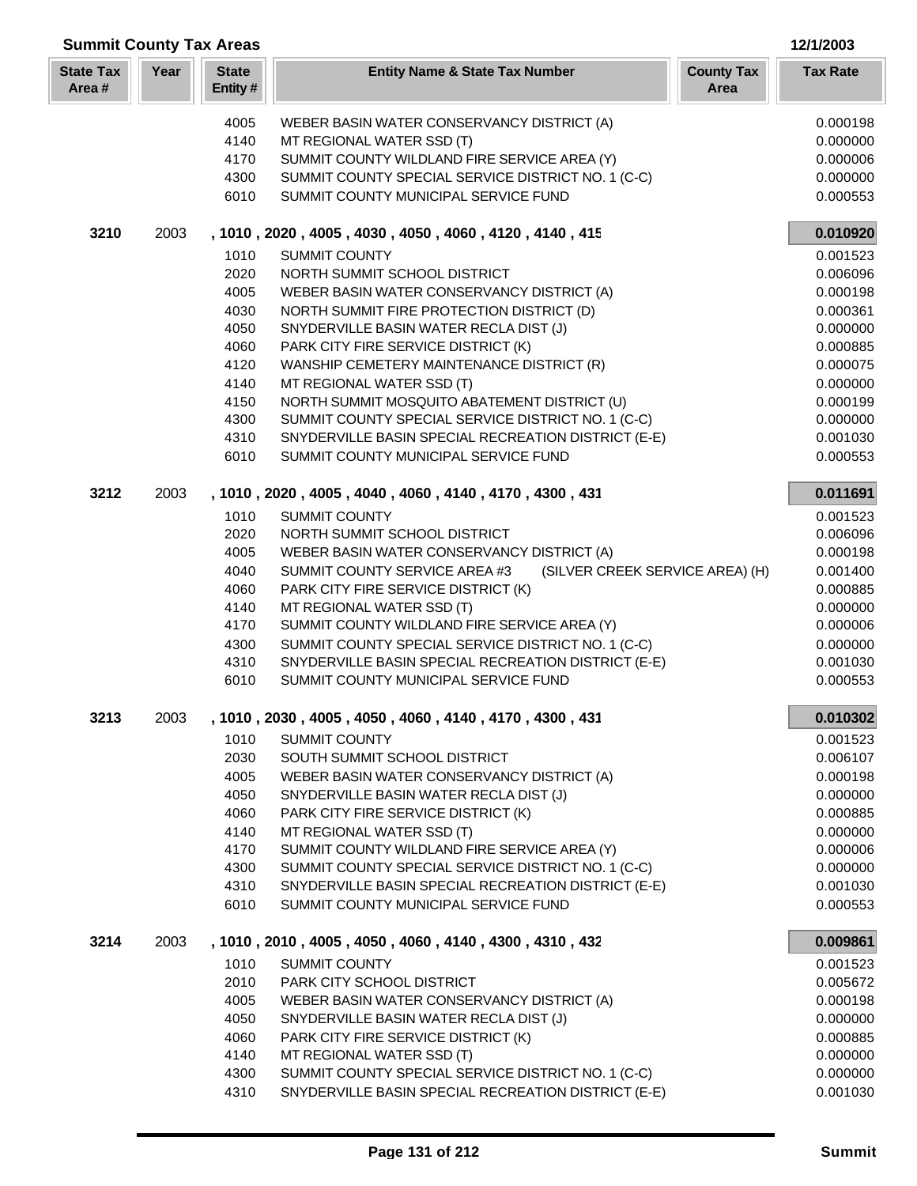| <b>Summit County Tax Areas</b><br>12/1/2003 |      |                         |                                                                  |                                              |  |
|---------------------------------------------|------|-------------------------|------------------------------------------------------------------|----------------------------------------------|--|
| <b>State Tax</b><br>Area#                   | Year | <b>State</b><br>Entity# | <b>Entity Name &amp; State Tax Number</b>                        | <b>County Tax</b><br><b>Tax Rate</b><br>Area |  |
|                                             |      | 4005                    | WEBER BASIN WATER CONSERVANCY DISTRICT (A)                       | 0.000198                                     |  |
|                                             |      | 4140                    | MT REGIONAL WATER SSD (T)                                        | 0.000000                                     |  |
|                                             |      | 4170                    | SUMMIT COUNTY WILDLAND FIRE SERVICE AREA (Y)                     | 0.000006                                     |  |
|                                             |      | 4300                    | SUMMIT COUNTY SPECIAL SERVICE DISTRICT NO. 1 (C-C)               | 0.000000                                     |  |
|                                             |      | 6010                    | SUMMIT COUNTY MUNICIPAL SERVICE FUND                             | 0.000553                                     |  |
|                                             |      |                         |                                                                  |                                              |  |
| 3210                                        | 2003 |                         | , 1010, 2020, 4005, 4030, 4050, 4060, 4120, 4140, 415            | 0.010920                                     |  |
|                                             |      | 1010                    | <b>SUMMIT COUNTY</b>                                             | 0.001523                                     |  |
|                                             |      | 2020                    | NORTH SUMMIT SCHOOL DISTRICT                                     | 0.006096                                     |  |
|                                             |      | 4005                    | WEBER BASIN WATER CONSERVANCY DISTRICT (A)                       | 0.000198                                     |  |
|                                             |      | 4030                    | NORTH SUMMIT FIRE PROTECTION DISTRICT (D)                        | 0.000361                                     |  |
|                                             |      | 4050                    | SNYDERVILLE BASIN WATER RECLA DIST (J)                           | 0.000000                                     |  |
|                                             |      | 4060                    | PARK CITY FIRE SERVICE DISTRICT (K)                              | 0.000885                                     |  |
|                                             |      | 4120                    | WANSHIP CEMETERY MAINTENANCE DISTRICT (R)                        | 0.000075                                     |  |
|                                             |      | 4140                    | MT REGIONAL WATER SSD (T)                                        | 0.000000                                     |  |
|                                             |      | 4150                    | NORTH SUMMIT MOSQUITO ABATEMENT DISTRICT (U)                     | 0.000199                                     |  |
|                                             |      | 4300                    | SUMMIT COUNTY SPECIAL SERVICE DISTRICT NO. 1 (C-C)               | 0.000000                                     |  |
|                                             |      | 4310                    | SNYDERVILLE BASIN SPECIAL RECREATION DISTRICT (E-E)              | 0.001030                                     |  |
|                                             |      | 6010                    | SUMMIT COUNTY MUNICIPAL SERVICE FUND                             | 0.000553                                     |  |
| 3212                                        | 2003 |                         | , 1010, 2020, 4005, 4040, 4060, 4140, 4170, 4300, 431            | 0.011691                                     |  |
|                                             |      | 1010                    | <b>SUMMIT COUNTY</b>                                             | 0.001523                                     |  |
|                                             |      | 2020                    | NORTH SUMMIT SCHOOL DISTRICT                                     | 0.006096                                     |  |
|                                             |      | 4005                    | WEBER BASIN WATER CONSERVANCY DISTRICT (A)                       | 0.000198                                     |  |
|                                             |      | 4040                    | SUMMIT COUNTY SERVICE AREA #3<br>(SILVER CREEK SERVICE AREA) (H) | 0.001400                                     |  |
|                                             |      | 4060                    | PARK CITY FIRE SERVICE DISTRICT (K)                              | 0.000885                                     |  |
|                                             |      | 4140                    | MT REGIONAL WATER SSD (T)                                        | 0.000000                                     |  |
|                                             |      | 4170                    | SUMMIT COUNTY WILDLAND FIRE SERVICE AREA (Y)                     | 0.000006                                     |  |
|                                             |      | 4300                    | SUMMIT COUNTY SPECIAL SERVICE DISTRICT NO. 1 (C-C)               | 0.000000                                     |  |
|                                             |      | 4310                    | SNYDERVILLE BASIN SPECIAL RECREATION DISTRICT (E-E)              | 0.001030                                     |  |
|                                             |      | 6010                    | SUMMIT COUNTY MUNICIPAL SERVICE FUND                             | 0.000553                                     |  |
| 3213                                        | 2003 |                         | , 1010, 2030, 4005, 4050, 4060, 4140, 4170, 4300, 431            | 0.010302                                     |  |
|                                             |      | 1010                    | <b>SUMMIT COUNTY</b>                                             | 0.001523                                     |  |
|                                             |      | 2030                    | SOUTH SUMMIT SCHOOL DISTRICT                                     | 0.006107                                     |  |
|                                             |      | 4005                    | WEBER BASIN WATER CONSERVANCY DISTRICT (A)                       | 0.000198                                     |  |
|                                             |      | 4050                    | SNYDERVILLE BASIN WATER RECLA DIST (J)                           | 0.000000                                     |  |
|                                             |      | 4060                    | PARK CITY FIRE SERVICE DISTRICT (K)                              | 0.000885                                     |  |
|                                             |      | 4140                    | MT REGIONAL WATER SSD (T)                                        | 0.000000                                     |  |
|                                             |      | 4170                    | SUMMIT COUNTY WILDLAND FIRE SERVICE AREA (Y)                     | 0.000006                                     |  |
|                                             |      | 4300                    | SUMMIT COUNTY SPECIAL SERVICE DISTRICT NO. 1 (C-C)               | 0.000000                                     |  |
|                                             |      | 4310                    | SNYDERVILLE BASIN SPECIAL RECREATION DISTRICT (E-E)              | 0.001030                                     |  |
|                                             |      | 6010                    | SUMMIT COUNTY MUNICIPAL SERVICE FUND                             | 0.000553                                     |  |
| 3214                                        | 2003 |                         | , 1010, 2010, 4005, 4050, 4060, 4140, 4300, 4310, 432            | 0.009861                                     |  |
|                                             |      | 1010                    | <b>SUMMIT COUNTY</b>                                             | 0.001523                                     |  |
|                                             |      | 2010                    | PARK CITY SCHOOL DISTRICT                                        | 0.005672                                     |  |
|                                             |      | 4005                    | WEBER BASIN WATER CONSERVANCY DISTRICT (A)                       | 0.000198                                     |  |
|                                             |      | 4050                    | SNYDERVILLE BASIN WATER RECLA DIST (J)                           | 0.000000                                     |  |
|                                             |      | 4060                    | PARK CITY FIRE SERVICE DISTRICT (K)                              | 0.000885                                     |  |
|                                             |      | 4140                    | MT REGIONAL WATER SSD (T)                                        | 0.000000                                     |  |
|                                             |      | 4300                    | SUMMIT COUNTY SPECIAL SERVICE DISTRICT NO. 1 (C-C)               | 0.000000                                     |  |
|                                             |      | 4310                    | SNYDERVILLE BASIN SPECIAL RECREATION DISTRICT (E-E)              | 0.001030                                     |  |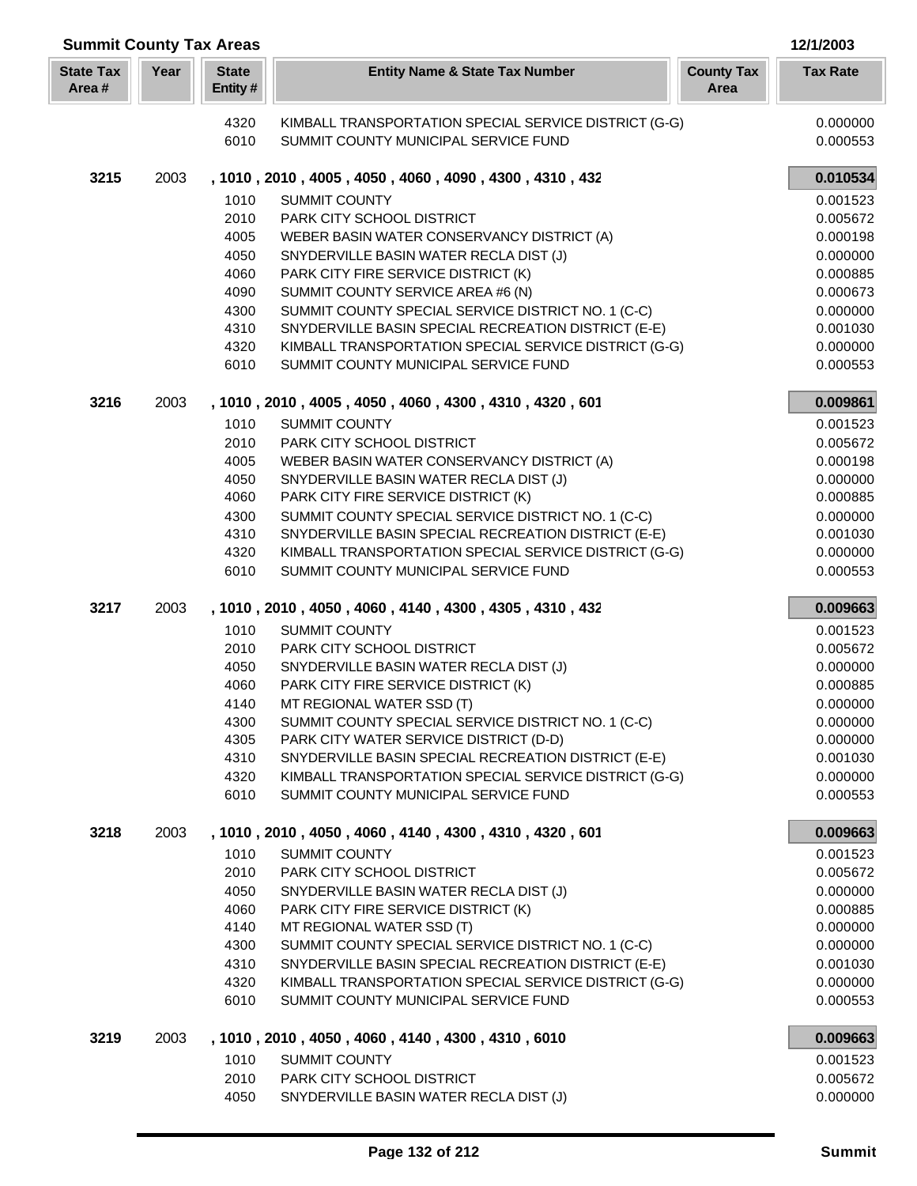| <b>Summit County Tax Areas</b><br>12/1/2003 |      |                         |                                                                                                           |                           |                      |  |
|---------------------------------------------|------|-------------------------|-----------------------------------------------------------------------------------------------------------|---------------------------|----------------------|--|
| <b>State Tax</b><br>Area#                   | Year | <b>State</b><br>Entity# | <b>Entity Name &amp; State Tax Number</b>                                                                 | <b>County Tax</b><br>Area | <b>Tax Rate</b>      |  |
|                                             |      | 4320                    | KIMBALL TRANSPORTATION SPECIAL SERVICE DISTRICT (G-G)                                                     |                           | 0.000000             |  |
|                                             |      | 6010                    | SUMMIT COUNTY MUNICIPAL SERVICE FUND                                                                      |                           | 0.000553             |  |
| 3215                                        | 2003 |                         | , 1010, 2010, 4005, 4050, 4060, 4090, 4300, 4310, 432                                                     |                           | 0.010534             |  |
|                                             |      | 1010                    | SUMMIT COUNTY                                                                                             |                           | 0.001523             |  |
|                                             |      | 2010                    | PARK CITY SCHOOL DISTRICT                                                                                 |                           | 0.005672             |  |
|                                             |      | 4005                    | WEBER BASIN WATER CONSERVANCY DISTRICT (A)                                                                |                           | 0.000198             |  |
|                                             |      | 4050                    | SNYDERVILLE BASIN WATER RECLA DIST (J)                                                                    |                           | 0.000000             |  |
|                                             |      | 4060<br>4090            | PARK CITY FIRE SERVICE DISTRICT (K)<br>SUMMIT COUNTY SERVICE AREA #6 (N)                                  |                           | 0.000885             |  |
|                                             |      | 4300                    | SUMMIT COUNTY SPECIAL SERVICE DISTRICT NO. 1 (C-C)                                                        |                           | 0.000673             |  |
|                                             |      | 4310                    | SNYDERVILLE BASIN SPECIAL RECREATION DISTRICT (E-E)                                                       |                           | 0.000000<br>0.001030 |  |
|                                             |      | 4320                    | KIMBALL TRANSPORTATION SPECIAL SERVICE DISTRICT (G-G)                                                     |                           | 0.000000             |  |
|                                             |      | 6010                    | SUMMIT COUNTY MUNICIPAL SERVICE FUND                                                                      |                           | 0.000553             |  |
| 3216                                        | 2003 |                         | , 1010 , 2010 , 4005 , 4050 , 4060 , 4300 , 4310 , 4320 , 601                                             |                           | 0.009861             |  |
|                                             |      | 1010                    | <b>SUMMIT COUNTY</b>                                                                                      |                           | 0.001523             |  |
|                                             |      | 2010                    | PARK CITY SCHOOL DISTRICT                                                                                 |                           | 0.005672             |  |
|                                             |      | 4005                    | WEBER BASIN WATER CONSERVANCY DISTRICT (A)                                                                |                           | 0.000198             |  |
|                                             |      | 4050                    | SNYDERVILLE BASIN WATER RECLA DIST (J)                                                                    |                           | 0.000000             |  |
|                                             |      | 4060                    | PARK CITY FIRE SERVICE DISTRICT (K)                                                                       |                           | 0.000885             |  |
|                                             |      | 4300<br>4310            | SUMMIT COUNTY SPECIAL SERVICE DISTRICT NO. 1 (C-C)<br>SNYDERVILLE BASIN SPECIAL RECREATION DISTRICT (E-E) |                           | 0.000000             |  |
|                                             |      | 4320                    | KIMBALL TRANSPORTATION SPECIAL SERVICE DISTRICT (G-G)                                                     |                           | 0.001030<br>0.000000 |  |
|                                             |      | 6010                    | SUMMIT COUNTY MUNICIPAL SERVICE FUND                                                                      |                           | 0.000553             |  |
| 3217                                        | 2003 |                         | , 1010, 2010, 4050, 4060, 4140, 4300, 4305, 4310, 432                                                     |                           | 0.009663             |  |
|                                             |      | 1010                    | <b>SUMMIT COUNTY</b>                                                                                      |                           | 0.001523             |  |
|                                             |      | 2010                    | PARK CITY SCHOOL DISTRICT                                                                                 |                           | 0.005672             |  |
|                                             |      | 4050                    | SNYDERVILLE BASIN WATER RECLA DIST (J)                                                                    |                           | 0.000000             |  |
|                                             |      | 4060                    | PARK CITY FIRE SERVICE DISTRICT (K)                                                                       |                           | 0.000885             |  |
|                                             |      | 4140                    | MT REGIONAL WATER SSD (T)<br>SUMMIT COUNTY SPECIAL SERVICE DISTRICT NO. 1 (C-C)                           |                           | 0.000000             |  |
|                                             |      | 4300<br>4305            | PARK CITY WATER SERVICE DISTRICT (D-D)                                                                    |                           | 0.000000<br>0.000000 |  |
|                                             |      | 4310                    | SNYDERVILLE BASIN SPECIAL RECREATION DISTRICT (E-E)                                                       |                           | 0.001030             |  |
|                                             |      | 4320                    | KIMBALL TRANSPORTATION SPECIAL SERVICE DISTRICT (G-G)                                                     |                           | 0.000000             |  |
|                                             |      | 6010                    | SUMMIT COUNTY MUNICIPAL SERVICE FUND                                                                      |                           | 0.000553             |  |
| 3218                                        | 2003 |                         | , 1010, 2010, 4050, 4060, 4140, 4300, 4310, 4320, 601                                                     |                           | 0.009663             |  |
|                                             |      | 1010                    | <b>SUMMIT COUNTY</b>                                                                                      |                           | 0.001523             |  |
|                                             |      | 2010                    | PARK CITY SCHOOL DISTRICT                                                                                 |                           | 0.005672             |  |
|                                             |      | 4050                    | SNYDERVILLE BASIN WATER RECLA DIST (J)                                                                    |                           | 0.000000             |  |
|                                             |      | 4060<br>4140            | PARK CITY FIRE SERVICE DISTRICT (K)<br>MT REGIONAL WATER SSD (T)                                          |                           | 0.000885<br>0.000000 |  |
|                                             |      | 4300                    | SUMMIT COUNTY SPECIAL SERVICE DISTRICT NO. 1 (C-C)                                                        |                           | 0.000000             |  |
|                                             |      | 4310                    | SNYDERVILLE BASIN SPECIAL RECREATION DISTRICT (E-E)                                                       |                           | 0.001030             |  |
|                                             |      | 4320                    | KIMBALL TRANSPORTATION SPECIAL SERVICE DISTRICT (G-G)                                                     |                           | 0.000000             |  |
|                                             |      | 6010                    | SUMMIT COUNTY MUNICIPAL SERVICE FUND                                                                      |                           | 0.000553             |  |
| 3219                                        | 2003 |                         | , 1010, 2010, 4050, 4060, 4140, 4300, 4310, 6010                                                          |                           | 0.009663             |  |
|                                             |      | 1010                    | SUMMIT COUNTY                                                                                             |                           | 0.001523             |  |
|                                             |      | 2010                    | PARK CITY SCHOOL DISTRICT                                                                                 |                           | 0.005672             |  |
|                                             |      | 4050                    | SNYDERVILLE BASIN WATER RECLA DIST (J)                                                                    |                           | 0.000000             |  |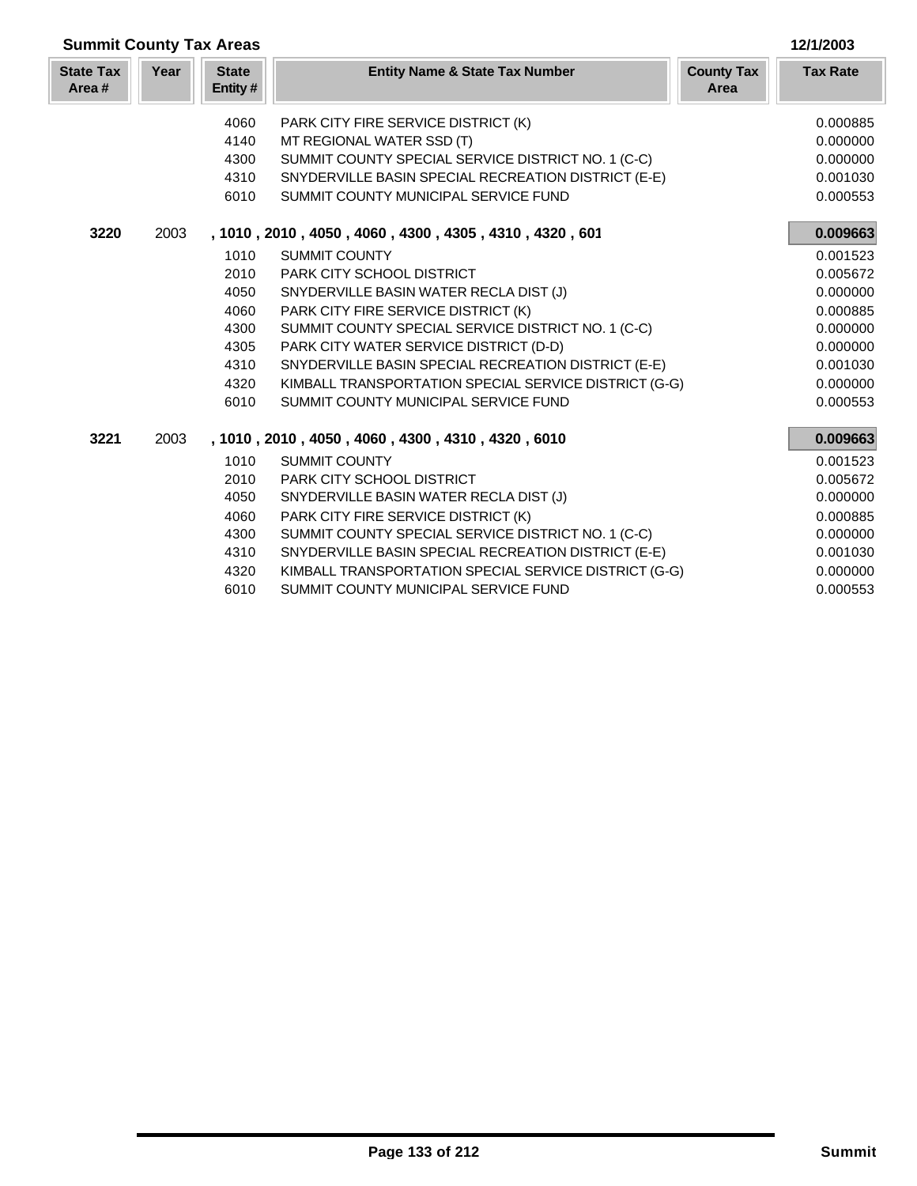| <b>Summit County Tax Areas</b> |      |                         |                                                       |                           | 12/1/2003       |
|--------------------------------|------|-------------------------|-------------------------------------------------------|---------------------------|-----------------|
| <b>State Tax</b><br>Area#      | Year | <b>State</b><br>Entity# | <b>Entity Name &amp; State Tax Number</b>             | <b>County Tax</b><br>Area | <b>Tax Rate</b> |
|                                |      | 4060                    | PARK CITY FIRE SERVICE DISTRICT (K)                   |                           | 0.000885        |
|                                |      | 4140                    | MT REGIONAL WATER SSD (T)                             |                           | 0.000000        |
|                                |      | 4300                    | SUMMIT COUNTY SPECIAL SERVICE DISTRICT NO. 1 (C-C)    |                           | 0.000000        |
|                                |      | 4310                    | SNYDERVILLE BASIN SPECIAL RECREATION DISTRICT (E-E)   |                           | 0.001030        |
|                                |      | 6010                    | SUMMIT COUNTY MUNICIPAL SERVICE FUND                  |                           | 0.000553        |
| 3220                           | 2003 |                         | , 1010, 2010, 4050, 4060, 4300, 4305, 4310, 4320, 601 |                           | 0.009663        |
|                                |      | 1010                    | <b>SUMMIT COUNTY</b>                                  |                           | 0.001523        |
|                                |      | 2010                    | <b>PARK CITY SCHOOL DISTRICT</b>                      |                           | 0.005672        |
|                                |      | 4050                    | SNYDERVILLE BASIN WATER RECLA DIST (J)                |                           | 0.000000        |
|                                |      | 4060                    | PARK CITY FIRE SERVICE DISTRICT (K)                   |                           | 0.000885        |
|                                |      | 4300                    | SUMMIT COUNTY SPECIAL SERVICE DISTRICT NO. 1 (C-C)    |                           | 0.000000        |
|                                |      | 4305                    | PARK CITY WATER SERVICE DISTRICT (D-D)                |                           | 0.000000        |
|                                |      | 4310                    | SNYDERVILLE BASIN SPECIAL RECREATION DISTRICT (E-E)   |                           | 0.001030        |
|                                |      | 4320                    | KIMBALL TRANSPORTATION SPECIAL SERVICE DISTRICT (G-G) |                           | 0.000000        |
|                                |      | 6010                    | SUMMIT COUNTY MUNICIPAL SERVICE FUND                  |                           | 0.000553        |
| 3221                           | 2003 |                         | , 1010, 2010, 4050, 4060, 4300, 4310, 4320, 6010      |                           | 0.009663        |
|                                |      | 1010                    | <b>SUMMIT COUNTY</b>                                  |                           | 0.001523        |
|                                |      | 2010                    | <b>PARK CITY SCHOOL DISTRICT</b>                      |                           | 0.005672        |
|                                |      | 4050                    | SNYDERVILLE BASIN WATER RECLA DIST (J)                |                           | 0.000000        |
|                                |      | 4060                    | PARK CITY FIRE SERVICE DISTRICT (K)                   |                           | 0.000885        |
|                                |      | 4300                    | SUMMIT COUNTY SPECIAL SERVICE DISTRICT NO. 1 (C-C)    |                           | 0.000000        |
|                                |      | 4310                    | SNYDERVILLE BASIN SPECIAL RECREATION DISTRICT (E-E)   |                           | 0.001030        |
|                                |      | 4320                    | KIMBALL TRANSPORTATION SPECIAL SERVICE DISTRICT (G-G) |                           | 0.000000        |
|                                |      | 6010                    | SUMMIT COUNTY MUNICIPAL SERVICE FUND                  |                           | 0.000553        |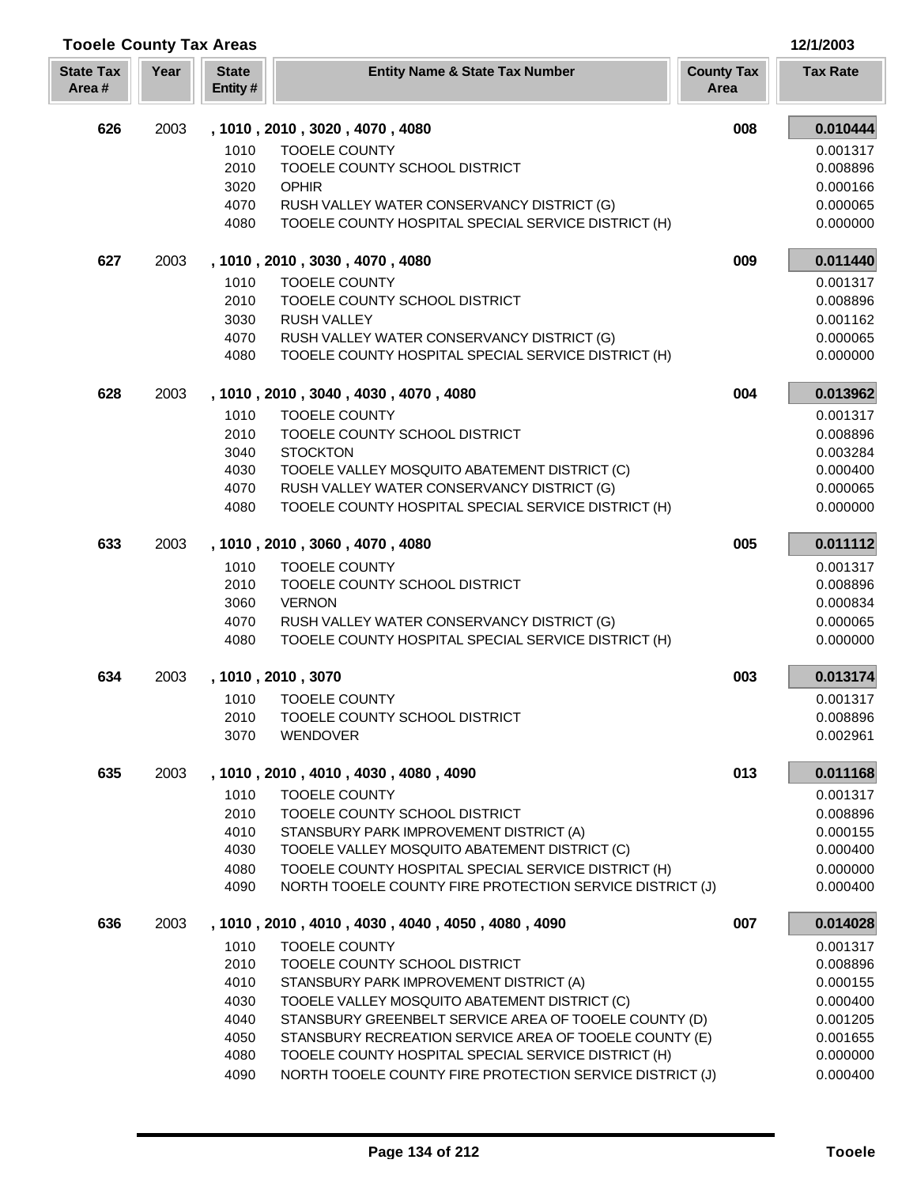| <b>Tooele County Tax Areas</b> |      |                         |                                                                                                               |                           | 12/1/2003            |
|--------------------------------|------|-------------------------|---------------------------------------------------------------------------------------------------------------|---------------------------|----------------------|
| <b>State Tax</b><br>Area#      | Year | <b>State</b><br>Entity# | <b>Entity Name &amp; State Tax Number</b>                                                                     | <b>County Tax</b><br>Area | <b>Tax Rate</b>      |
| 626                            | 2003 |                         | , 1010, 2010, 3020, 4070, 4080                                                                                | 008                       | 0.010444             |
|                                |      | 1010                    | <b>TOOELE COUNTY</b>                                                                                          |                           | 0.001317             |
|                                |      | 2010                    | TOOELE COUNTY SCHOOL DISTRICT                                                                                 |                           | 0.008896             |
|                                |      | 3020                    | <b>OPHIR</b>                                                                                                  |                           | 0.000166             |
|                                |      | 4070                    | RUSH VALLEY WATER CONSERVANCY DISTRICT (G)                                                                    |                           | 0.000065             |
|                                |      | 4080                    | TOOELE COUNTY HOSPITAL SPECIAL SERVICE DISTRICT (H)                                                           |                           | 0.000000             |
| 627                            | 2003 |                         | , 1010, 2010, 3030, 4070, 4080                                                                                | 009                       | 0.011440             |
|                                |      | 1010                    | <b>TOOELE COUNTY</b>                                                                                          |                           | 0.001317             |
|                                |      | 2010                    | TOOELE COUNTY SCHOOL DISTRICT                                                                                 |                           | 0.008896             |
|                                |      | 3030                    | <b>RUSH VALLEY</b>                                                                                            |                           | 0.001162             |
|                                |      | 4070                    | RUSH VALLEY WATER CONSERVANCY DISTRICT (G)                                                                    |                           | 0.000065             |
|                                |      | 4080                    | TOOELE COUNTY HOSPITAL SPECIAL SERVICE DISTRICT (H)                                                           |                           | 0.000000             |
| 628                            | 2003 |                         | , 1010, 2010, 3040, 4030, 4070, 4080                                                                          | 004                       | 0.013962             |
|                                |      | 1010                    | <b>TOOELE COUNTY</b>                                                                                          |                           | 0.001317             |
|                                |      | 2010                    | TOOELE COUNTY SCHOOL DISTRICT                                                                                 |                           | 0.008896             |
|                                |      | 3040                    | <b>STOCKTON</b>                                                                                               |                           | 0.003284             |
|                                |      | 4030                    | TOOELE VALLEY MOSQUITO ABATEMENT DISTRICT (C)                                                                 |                           | 0.000400             |
|                                |      | 4070                    | RUSH VALLEY WATER CONSERVANCY DISTRICT (G)                                                                    |                           | 0.000065             |
|                                |      | 4080                    | TOOELE COUNTY HOSPITAL SPECIAL SERVICE DISTRICT (H)                                                           |                           | 0.000000             |
| 633                            | 2003 |                         | , 1010, 2010, 3060, 4070, 4080                                                                                | 005                       | 0.011112             |
|                                |      | 1010                    | <b>TOOELE COUNTY</b>                                                                                          |                           | 0.001317             |
|                                |      | 2010                    | TOOELE COUNTY SCHOOL DISTRICT                                                                                 |                           | 0.008896             |
|                                |      | 3060                    | <b>VERNON</b>                                                                                                 |                           | 0.000834             |
|                                |      | 4070                    | RUSH VALLEY WATER CONSERVANCY DISTRICT (G)                                                                    |                           | 0.000065             |
|                                |      | 4080                    | TOOELE COUNTY HOSPITAL SPECIAL SERVICE DISTRICT (H)                                                           |                           | 0.000000             |
| 634                            | 2003 |                         | , 1010, 2010, 3070                                                                                            | 003                       | 0.013174             |
|                                |      | 1010                    | <b>TOOELE COUNTY</b>                                                                                          |                           | 0.001317             |
|                                |      | 2010                    | TOOELE COUNTY SCHOOL DISTRICT                                                                                 |                           | 0.008896             |
|                                |      | 3070                    | <b>WENDOVER</b>                                                                                               |                           | 0.002961             |
| 635                            | 2003 |                         | , 1010, 2010, 4010, 4030, 4080, 4090                                                                          | 013                       | 0.011168             |
|                                |      | 1010                    | <b>TOOELE COUNTY</b>                                                                                          |                           | 0.001317             |
|                                |      | 2010                    | TOOELE COUNTY SCHOOL DISTRICT                                                                                 |                           | 0.008896             |
|                                |      | 4010                    | STANSBURY PARK IMPROVEMENT DISTRICT (A)                                                                       |                           | 0.000155             |
|                                |      | 4030                    | TOOELE VALLEY MOSQUITO ABATEMENT DISTRICT (C)                                                                 |                           | 0.000400             |
|                                |      | 4080                    | TOOELE COUNTY HOSPITAL SPECIAL SERVICE DISTRICT (H)                                                           |                           | 0.000000             |
|                                |      | 4090                    | NORTH TOOELE COUNTY FIRE PROTECTION SERVICE DISTRICT (J)                                                      |                           | 0.000400             |
| 636                            | 2003 |                         | , 1010, 2010, 4010, 4030, 4040, 4050, 4080, 4090                                                              | 007                       | 0.014028             |
|                                |      | 1010                    | <b>TOOELE COUNTY</b>                                                                                          |                           | 0.001317             |
|                                |      | 2010                    | TOOELE COUNTY SCHOOL DISTRICT                                                                                 |                           | 0.008896             |
|                                |      | 4010                    | STANSBURY PARK IMPROVEMENT DISTRICT (A)                                                                       |                           | 0.000155             |
|                                |      | 4030                    | TOOELE VALLEY MOSQUITO ABATEMENT DISTRICT (C)                                                                 |                           | 0.000400             |
|                                |      | 4040                    | STANSBURY GREENBELT SERVICE AREA OF TOOELE COUNTY (D)                                                         |                           | 0.001205             |
|                                |      | 4050<br>4080            | STANSBURY RECREATION SERVICE AREA OF TOOELE COUNTY (E)<br>TOOELE COUNTY HOSPITAL SPECIAL SERVICE DISTRICT (H) |                           | 0.001655<br>0.000000 |
|                                |      | 4090                    | NORTH TOOELE COUNTY FIRE PROTECTION SERVICE DISTRICT (J)                                                      |                           | 0.000400             |
|                                |      |                         |                                                                                                               |                           |                      |

Г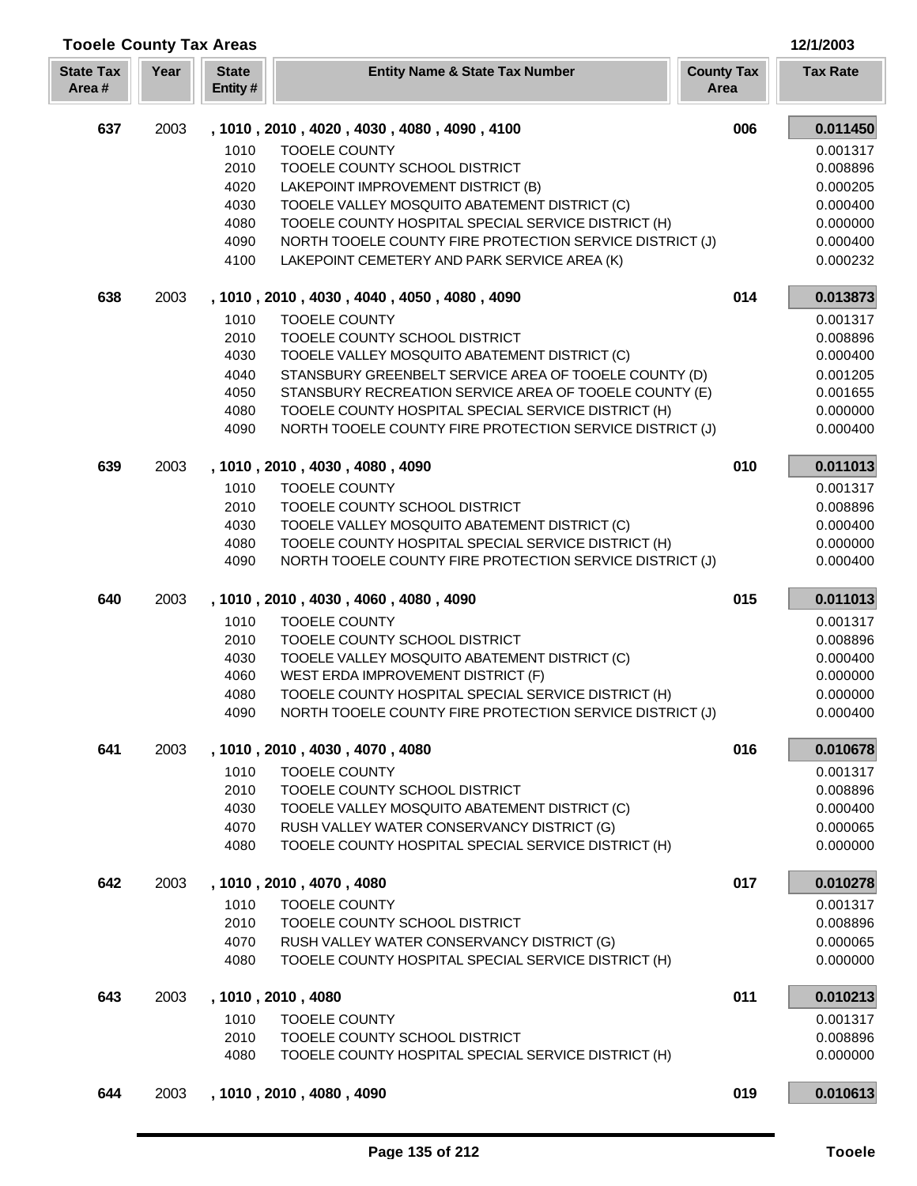| <b>Tooele County Tax Areas</b> |      |                         |                                                                                                          |                           | 12/1/2003            |
|--------------------------------|------|-------------------------|----------------------------------------------------------------------------------------------------------|---------------------------|----------------------|
| <b>State Tax</b><br>Area#      | Year | <b>State</b><br>Entity# | <b>Entity Name &amp; State Tax Number</b>                                                                | <b>County Tax</b><br>Area | <b>Tax Rate</b>      |
| 637                            | 2003 |                         | , 1010, 2010, 4020, 4030, 4080, 4090, 4100                                                               | 006                       | 0.011450             |
|                                |      | 1010                    | <b>TOOELE COUNTY</b>                                                                                     |                           | 0.001317             |
|                                |      | 2010                    | TOOELE COUNTY SCHOOL DISTRICT                                                                            |                           | 0.008896             |
|                                |      | 4020                    | LAKEPOINT IMPROVEMENT DISTRICT (B)                                                                       |                           | 0.000205             |
|                                |      | 4030                    | TOOELE VALLEY MOSQUITO ABATEMENT DISTRICT (C)                                                            |                           | 0.000400             |
|                                |      | 4080                    | TOOELE COUNTY HOSPITAL SPECIAL SERVICE DISTRICT (H)                                                      |                           | 0.000000             |
|                                |      | 4090<br>4100            | NORTH TOOELE COUNTY FIRE PROTECTION SERVICE DISTRICT (J)<br>LAKEPOINT CEMETERY AND PARK SERVICE AREA (K) |                           | 0.000400<br>0.000232 |
|                                |      |                         |                                                                                                          |                           |                      |
| 638                            | 2003 |                         | , 1010, 2010, 4030, 4040, 4050, 4080, 4090                                                               | 014                       | 0.013873             |
|                                |      | 1010<br>2010            | <b>TOOELE COUNTY</b><br>TOOELE COUNTY SCHOOL DISTRICT                                                    |                           | 0.001317<br>0.008896 |
|                                |      | 4030                    | TOOELE VALLEY MOSQUITO ABATEMENT DISTRICT (C)                                                            |                           | 0.000400             |
|                                |      | 4040                    | STANSBURY GREENBELT SERVICE AREA OF TOOELE COUNTY (D)                                                    |                           | 0.001205             |
|                                |      | 4050                    | STANSBURY RECREATION SERVICE AREA OF TOOELE COUNTY (E)                                                   |                           | 0.001655             |
|                                |      | 4080                    | TOOELE COUNTY HOSPITAL SPECIAL SERVICE DISTRICT (H)                                                      |                           | 0.000000             |
|                                |      | 4090                    | NORTH TOOELE COUNTY FIRE PROTECTION SERVICE DISTRICT (J)                                                 |                           | 0.000400             |
| 639                            | 2003 |                         | , 1010, 2010, 4030, 4080, 4090                                                                           | 010                       | 0.011013             |
|                                |      | 1010                    | <b>TOOELE COUNTY</b>                                                                                     |                           | 0.001317             |
|                                |      | 2010                    | TOOELE COUNTY SCHOOL DISTRICT                                                                            |                           | 0.008896             |
|                                |      | 4030                    | TOOELE VALLEY MOSQUITO ABATEMENT DISTRICT (C)                                                            |                           | 0.000400             |
|                                |      | 4080                    | TOOELE COUNTY HOSPITAL SPECIAL SERVICE DISTRICT (H)                                                      |                           | 0.000000             |
|                                |      | 4090                    | NORTH TOOELE COUNTY FIRE PROTECTION SERVICE DISTRICT (J)                                                 |                           | 0.000400             |
| 640                            | 2003 |                         | , 1010, 2010, 4030, 4060, 4080, 4090                                                                     | 015                       | 0.011013             |
|                                |      | 1010                    | <b>TOOELE COUNTY</b>                                                                                     |                           | 0.001317             |
|                                |      | 2010<br>4030            | TOOELE COUNTY SCHOOL DISTRICT<br>TOOELE VALLEY MOSQUITO ABATEMENT DISTRICT (C)                           |                           | 0.008896             |
|                                |      | 4060                    | WEST ERDA IMPROVEMENT DISTRICT (F)                                                                       |                           | 0.000400<br>0.000000 |
|                                |      | 4080                    | TOOELE COUNTY HOSPITAL SPECIAL SERVICE DISTRICT (H)                                                      |                           | 0.000000             |
|                                |      | 4090                    | NORTH TOOELE COUNTY FIRE PROTECTION SERVICE DISTRICT (J)                                                 |                           | 0.000400             |
| 641                            | 2003 |                         | , 1010, 2010, 4030, 4070, 4080                                                                           | 016                       | 0.010678             |
|                                |      | 1010                    | <b>TOOELE COUNTY</b>                                                                                     |                           | 0.001317             |
|                                |      | 2010                    | TOOELE COUNTY SCHOOL DISTRICT                                                                            |                           | 0.008896             |
|                                |      | 4030                    | TOOELE VALLEY MOSQUITO ABATEMENT DISTRICT (C)                                                            |                           | 0.000400             |
|                                |      | 4070                    | RUSH VALLEY WATER CONSERVANCY DISTRICT (G)                                                               |                           | 0.000065             |
|                                |      | 4080                    | TOOELE COUNTY HOSPITAL SPECIAL SERVICE DISTRICT (H)                                                      |                           | 0.000000             |
| 642                            | 2003 |                         | , 1010, 2010, 4070, 4080                                                                                 | 017                       | 0.010278             |
|                                |      | 1010                    | <b>TOOELE COUNTY</b>                                                                                     |                           | 0.001317             |
|                                |      | 2010                    | TOOELE COUNTY SCHOOL DISTRICT                                                                            |                           | 0.008896             |
|                                |      | 4070<br>4080            | RUSH VALLEY WATER CONSERVANCY DISTRICT (G)<br>TOOELE COUNTY HOSPITAL SPECIAL SERVICE DISTRICT (H)        |                           | 0.000065<br>0.000000 |
|                                |      |                         |                                                                                                          |                           |                      |
| 643                            | 2003 |                         | , 1010, 2010, 4080                                                                                       | 011                       | 0.010213             |
|                                |      | 1010<br>2010            | <b>TOOELE COUNTY</b><br>TOOELE COUNTY SCHOOL DISTRICT                                                    |                           | 0.001317<br>0.008896 |
|                                |      | 4080                    | TOOELE COUNTY HOSPITAL SPECIAL SERVICE DISTRICT (H)                                                      |                           | 0.000000             |
| 644                            | 2003 |                         | , 1010, 2010, 4080, 4090                                                                                 | 019                       | 0.010613             |
|                                |      |                         |                                                                                                          |                           |                      |

Īī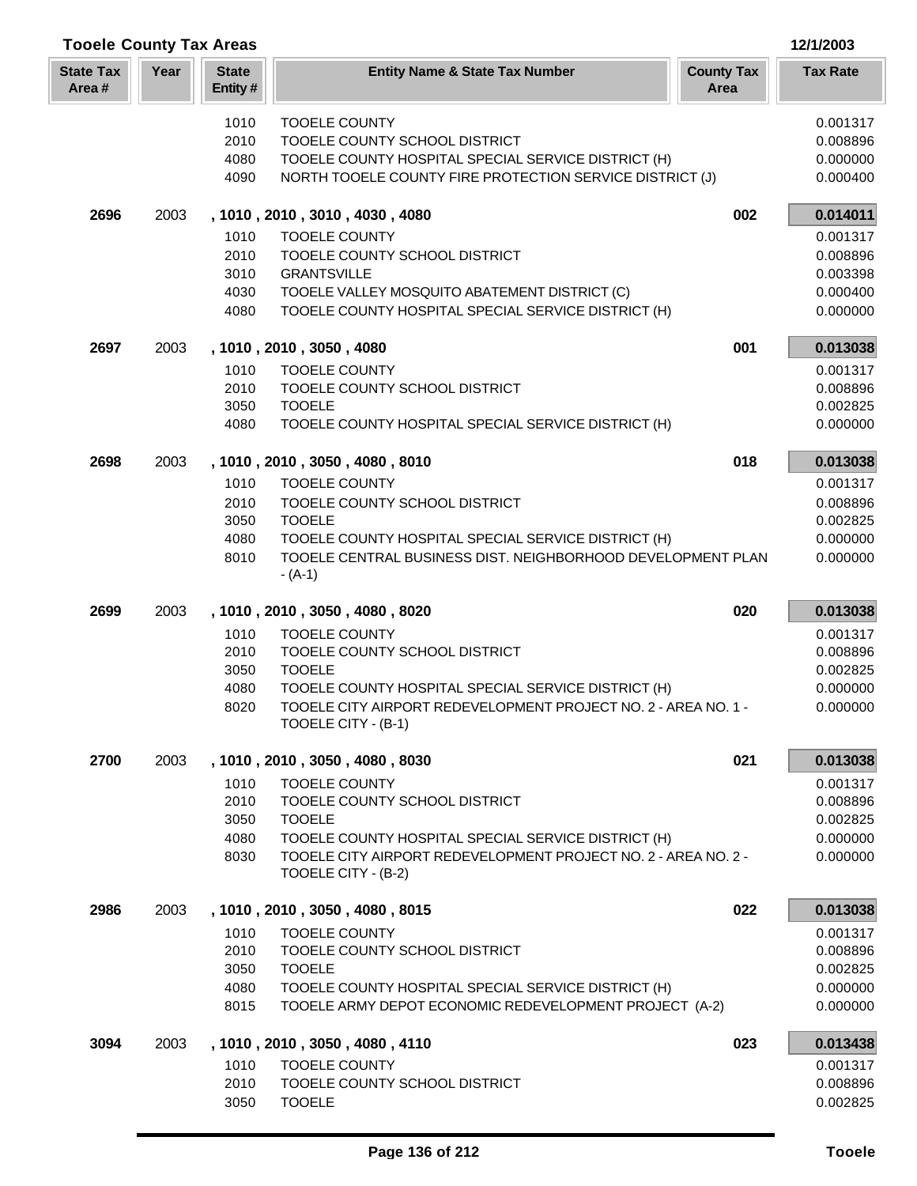| <b>Tooele County Tax Areas</b> |      |                         |                                                                                                                    |                           | 12/1/2003            |
|--------------------------------|------|-------------------------|--------------------------------------------------------------------------------------------------------------------|---------------------------|----------------------|
| <b>State Tax</b><br>Area#      | Year | <b>State</b><br>Entity# | <b>Entity Name &amp; State Tax Number</b>                                                                          | <b>County Tax</b><br>Area | <b>Tax Rate</b>      |
|                                |      | 1010                    | <b>TOOELE COUNTY</b>                                                                                               |                           | 0.001317             |
|                                |      | 2010                    | TOOELE COUNTY SCHOOL DISTRICT                                                                                      |                           | 0.008896             |
|                                |      | 4080                    | TOOELE COUNTY HOSPITAL SPECIAL SERVICE DISTRICT (H)                                                                |                           | 0.000000             |
|                                |      | 4090                    | NORTH TOOELE COUNTY FIRE PROTECTION SERVICE DISTRICT (J)                                                           |                           | 0.000400             |
| 2696                           | 2003 |                         | , 1010, 2010, 3010, 4030, 4080                                                                                     | 002                       | 0.014011             |
|                                |      | 1010                    | <b>TOOELE COUNTY</b>                                                                                               |                           | 0.001317             |
|                                |      | 2010                    | TOOELE COUNTY SCHOOL DISTRICT                                                                                      |                           | 0.008896             |
|                                |      | 3010                    | <b>GRANTSVILLE</b>                                                                                                 |                           | 0.003398             |
|                                |      | 4030<br>4080            | TOOELE VALLEY MOSQUITO ABATEMENT DISTRICT (C)<br>TOOELE COUNTY HOSPITAL SPECIAL SERVICE DISTRICT (H)               |                           | 0.000400<br>0.000000 |
| 2697                           | 2003 |                         | , 1010, 2010, 3050, 4080                                                                                           | 001                       | 0.013038             |
|                                |      | 1010                    | <b>TOOELE COUNTY</b>                                                                                               |                           | 0.001317             |
|                                |      | 2010                    | TOOELE COUNTY SCHOOL DISTRICT                                                                                      |                           | 0.008896             |
|                                |      | 3050                    | <b>TOOELE</b>                                                                                                      |                           | 0.002825             |
|                                |      | 4080                    | TOOELE COUNTY HOSPITAL SPECIAL SERVICE DISTRICT (H)                                                                |                           | 0.000000             |
| 2698                           | 2003 |                         | , 1010, 2010, 3050, 4080, 8010                                                                                     | 018                       | 0.013038             |
|                                |      | 1010                    | <b>TOOELE COUNTY</b>                                                                                               |                           | 0.001317             |
|                                |      | 2010                    | TOOELE COUNTY SCHOOL DISTRICT                                                                                      |                           | 0.008896             |
|                                |      | 3050                    | <b>TOOELE</b>                                                                                                      |                           | 0.002825             |
|                                |      | 4080                    | TOOELE COUNTY HOSPITAL SPECIAL SERVICE DISTRICT (H)<br>TOOELE CENTRAL BUSINESS DIST. NEIGHBORHOOD DEVELOPMENT PLAN |                           | 0.000000             |
|                                |      | 8010                    | $-(A-1)$                                                                                                           |                           | 0.000000             |
| 2699                           | 2003 |                         | , 1010, 2010, 3050, 4080, 8020                                                                                     | 020                       | 0.013038             |
|                                |      | 1010                    | <b>TOOELE COUNTY</b>                                                                                               |                           | 0.001317             |
|                                |      | 2010                    | TOOELE COUNTY SCHOOL DISTRICT                                                                                      |                           | 0.008896             |
|                                |      | 3050                    | <b>TOOELE</b>                                                                                                      |                           | 0.002825             |
|                                |      | 4080                    | TOOELE COUNTY HOSPITAL SPECIAL SERVICE DISTRICT (H)                                                                |                           | 0.000000             |
|                                |      | 8020                    | TOOELE CITY AIRPORT REDEVELOPMENT PROJECT NO. 2 - AREA NO. 1 -<br>TOOELE CITY - (B-1)                              |                           | 0.000000             |
| 2700                           | 2003 |                         | , 1010, 2010, 3050, 4080, 8030                                                                                     | 021                       | 0.013038             |
|                                |      | 1010                    | <b>TOOELE COUNTY</b>                                                                                               |                           | 0.001317             |
|                                |      | 2010                    | TOOELE COUNTY SCHOOL DISTRICT                                                                                      |                           | 0.008896             |
|                                |      | 3050                    | <b>TOOELE</b>                                                                                                      |                           | 0.002825             |
|                                |      | 4080                    | TOOELE COUNTY HOSPITAL SPECIAL SERVICE DISTRICT (H)                                                                |                           | 0.000000             |
|                                |      | 8030                    | TOOELE CITY AIRPORT REDEVELOPMENT PROJECT NO. 2 - AREA NO. 2 -<br>TOOELE CITY - (B-2)                              |                           | 0.000000             |
| 2986                           | 2003 |                         | , 1010, 2010, 3050, 4080, 8015                                                                                     | 022                       | 0.013038             |
|                                |      | 1010                    | <b>TOOELE COUNTY</b>                                                                                               |                           | 0.001317             |
|                                |      | 2010                    | TOOELE COUNTY SCHOOL DISTRICT                                                                                      |                           | 0.008896             |
|                                |      | 3050                    | <b>TOOELE</b>                                                                                                      |                           | 0.002825             |
|                                |      | 4080<br>8015            | TOOELE COUNTY HOSPITAL SPECIAL SERVICE DISTRICT (H)<br>TOOELE ARMY DEPOT ECONOMIC REDEVELOPMENT PROJECT (A-2)      |                           | 0.000000<br>0.000000 |
| 3094                           | 2003 |                         | , 1010, 2010, 3050, 4080, 4110                                                                                     | 023                       | 0.013438             |
|                                |      | 1010                    | <b>TOOELE COUNTY</b>                                                                                               |                           | 0.001317             |
|                                |      | 2010                    | TOOELE COUNTY SCHOOL DISTRICT                                                                                      |                           | 0.008896             |
|                                |      | 3050                    | <b>TOOELE</b>                                                                                                      |                           | 0.002825             |

L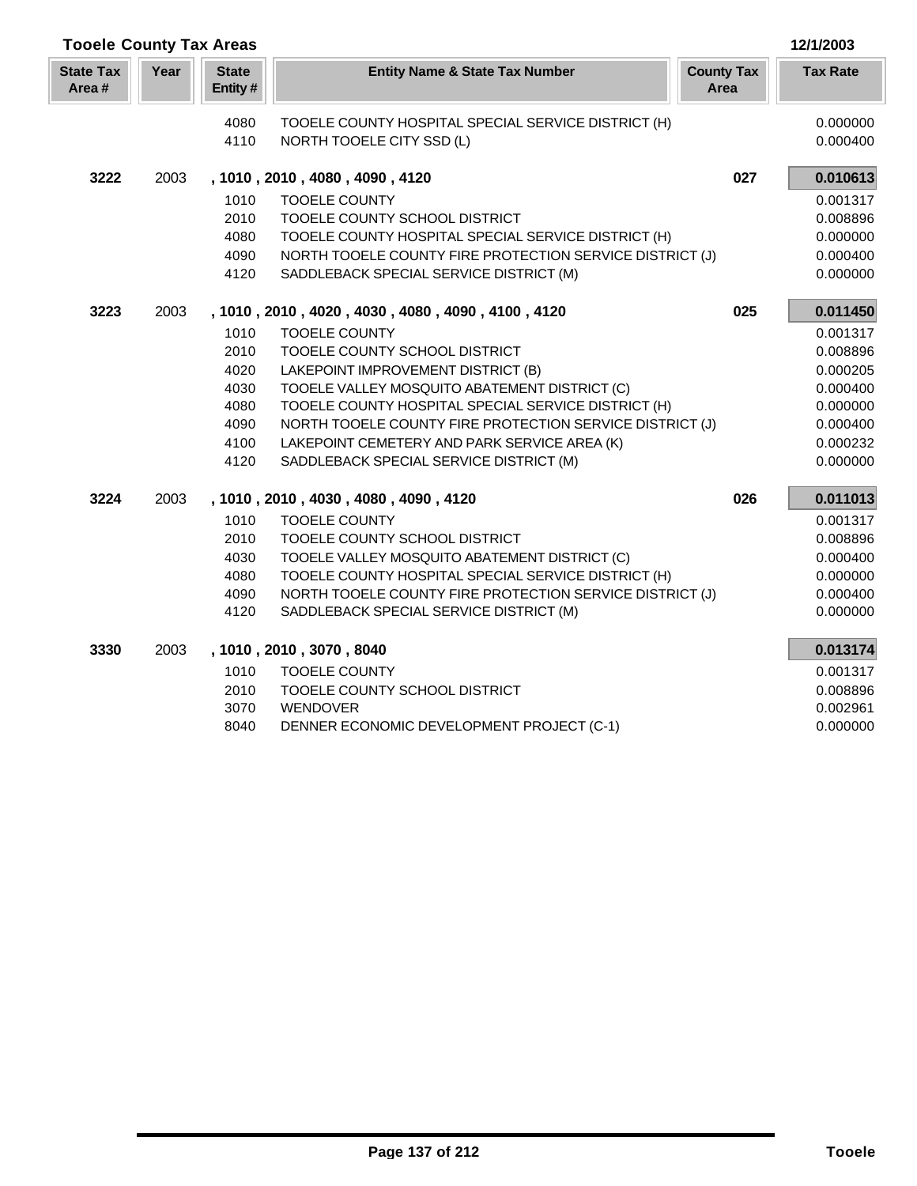| <b>Tooele County Tax Areas</b> |      |                                      |                                                                                                                                                                                                                     |                           | 12/1/2003                                                |
|--------------------------------|------|--------------------------------------|---------------------------------------------------------------------------------------------------------------------------------------------------------------------------------------------------------------------|---------------------------|----------------------------------------------------------|
| <b>State Tax</b><br>Area#      | Year | <b>State</b><br>Entity#              | <b>Entity Name &amp; State Tax Number</b>                                                                                                                                                                           | <b>County Tax</b><br>Area | <b>Tax Rate</b>                                          |
|                                |      | 4080<br>4110                         | TOOELE COUNTY HOSPITAL SPECIAL SERVICE DISTRICT (H)<br>NORTH TOOELE CITY SSD (L)                                                                                                                                    |                           | 0.000000<br>0.000400                                     |
| 3222                           | 2003 |                                      | , 1010, 2010, 4080, 4090, 4120                                                                                                                                                                                      | 027                       | 0.010613                                                 |
|                                |      | 1010<br>2010<br>4080<br>4090<br>4120 | <b>TOOELE COUNTY</b><br>TOOELE COUNTY SCHOOL DISTRICT<br>TOOELE COUNTY HOSPITAL SPECIAL SERVICE DISTRICT (H)<br>NORTH TOOELE COUNTY FIRE PROTECTION SERVICE DISTRICT (J)<br>SADDLEBACK SPECIAL SERVICE DISTRICT (M) |                           | 0.001317<br>0.008896<br>0.000000<br>0.000400<br>0.000000 |
| 3223                           | 2003 |                                      | , 1010, 2010, 4020, 4030, 4080, 4090, 4100, 4120                                                                                                                                                                    | 025                       | 0.011450                                                 |
|                                |      | 1010                                 | <b>TOOELE COUNTY</b>                                                                                                                                                                                                |                           | 0.001317                                                 |
|                                |      | 2010                                 | TOOELE COUNTY SCHOOL DISTRICT                                                                                                                                                                                       |                           | 0.008896                                                 |
|                                |      | 4020                                 | LAKEPOINT IMPROVEMENT DISTRICT (B)                                                                                                                                                                                  |                           | 0.000205                                                 |
|                                |      | 4030                                 | TOOELE VALLEY MOSQUITO ABATEMENT DISTRICT (C)                                                                                                                                                                       |                           | 0.000400                                                 |
|                                |      | 4080                                 | TOOELE COUNTY HOSPITAL SPECIAL SERVICE DISTRICT (H)                                                                                                                                                                 |                           | 0.000000                                                 |
|                                |      | 4090                                 | NORTH TOOELE COUNTY FIRE PROTECTION SERVICE DISTRICT (J)                                                                                                                                                            |                           | 0.000400                                                 |
|                                |      | 4100                                 | LAKEPOINT CEMETERY AND PARK SERVICE AREA (K)                                                                                                                                                                        |                           | 0.000232                                                 |
|                                |      | 4120                                 | SADDLEBACK SPECIAL SERVICE DISTRICT (M)                                                                                                                                                                             |                           | 0.000000                                                 |
| 3224                           | 2003 |                                      | , 1010, 2010, 4030, 4080, 4090, 4120                                                                                                                                                                                | 026                       | 0.011013                                                 |
|                                |      | 1010                                 | <b>TOOELE COUNTY</b>                                                                                                                                                                                                |                           | 0.001317                                                 |
|                                |      | 2010                                 | TOOELE COUNTY SCHOOL DISTRICT                                                                                                                                                                                       |                           | 0.008896                                                 |
|                                |      | 4030                                 | TOOELE VALLEY MOSQUITO ABATEMENT DISTRICT (C)                                                                                                                                                                       |                           | 0.000400                                                 |
|                                |      | 4080                                 | TOOELE COUNTY HOSPITAL SPECIAL SERVICE DISTRICT (H)                                                                                                                                                                 |                           | 0.000000                                                 |
|                                |      | 4090                                 | NORTH TOOELE COUNTY FIRE PROTECTION SERVICE DISTRICT (J)                                                                                                                                                            |                           | 0.000400                                                 |
|                                |      | 4120                                 | SADDLEBACK SPECIAL SERVICE DISTRICT (M)                                                                                                                                                                             |                           | 0.000000                                                 |
| 3330                           | 2003 |                                      | , 1010, 2010, 3070, 8040                                                                                                                                                                                            |                           | 0.013174                                                 |
|                                |      | 1010                                 | <b>TOOELE COUNTY</b>                                                                                                                                                                                                |                           | 0.001317                                                 |
|                                |      | 2010                                 | TOOELE COUNTY SCHOOL DISTRICT                                                                                                                                                                                       |                           | 0.008896                                                 |
|                                |      | 3070                                 | WENDOVER                                                                                                                                                                                                            |                           | 0.002961                                                 |
|                                |      | 8040                                 | DENNER ECONOMIC DEVELOPMENT PROJECT (C-1)                                                                                                                                                                           |                           | 0.000000                                                 |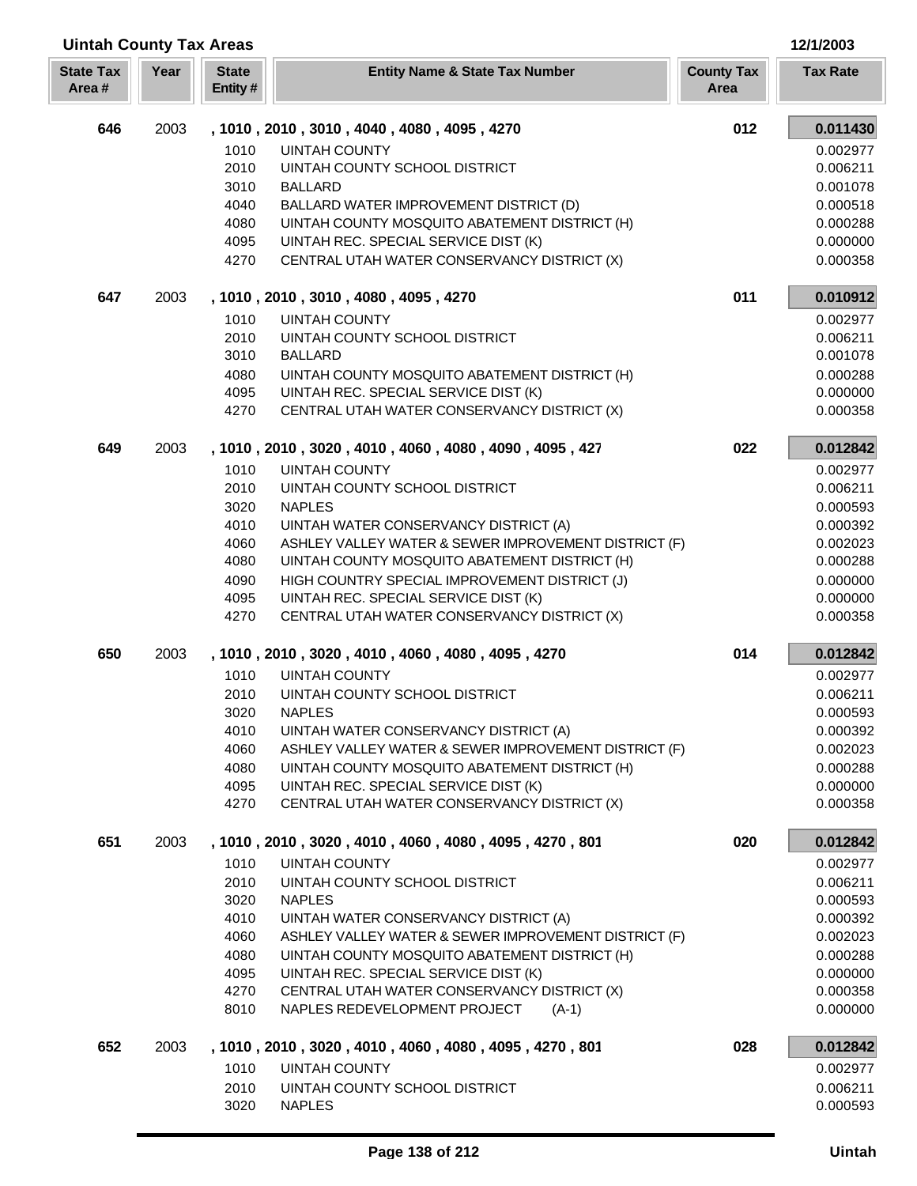| <b>Uintah County Tax Areas</b><br>12/1/2003 |      |                         |                                                                                     |                           |                      |
|---------------------------------------------|------|-------------------------|-------------------------------------------------------------------------------------|---------------------------|----------------------|
| <b>State Tax</b><br>Area#                   | Year | <b>State</b><br>Entity# | <b>Entity Name &amp; State Tax Number</b>                                           | <b>County Tax</b><br>Area | <b>Tax Rate</b>      |
| 646                                         | 2003 |                         | , 1010, 2010, 3010, 4040, 4080, 4095, 4270                                          | 012                       | 0.011430             |
|                                             |      | 1010                    | <b>UINTAH COUNTY</b>                                                                |                           | 0.002977             |
|                                             |      | 2010                    | UINTAH COUNTY SCHOOL DISTRICT                                                       |                           | 0.006211             |
|                                             |      | 3010                    | <b>BALLARD</b>                                                                      |                           | 0.001078             |
|                                             |      | 4040                    | BALLARD WATER IMPROVEMENT DISTRICT (D)                                              |                           | 0.000518             |
|                                             |      | 4080                    | UINTAH COUNTY MOSQUITO ABATEMENT DISTRICT (H)                                       |                           | 0.000288             |
|                                             |      | 4095                    | UINTAH REC. SPECIAL SERVICE DIST (K)                                                |                           | 0.000000             |
|                                             |      | 4270                    | CENTRAL UTAH WATER CONSERVANCY DISTRICT (X)                                         |                           | 0.000358             |
| 647                                         | 2003 |                         | , 1010, 2010, 3010, 4080, 4095, 4270                                                | 011                       | 0.010912             |
|                                             |      | 1010                    | <b>UINTAH COUNTY</b>                                                                |                           | 0.002977             |
|                                             |      | 2010                    | UINTAH COUNTY SCHOOL DISTRICT                                                       |                           | 0.006211             |
|                                             |      | 3010                    | <b>BALLARD</b>                                                                      |                           | 0.001078             |
|                                             |      | 4080                    | UINTAH COUNTY MOSQUITO ABATEMENT DISTRICT (H)                                       |                           | 0.000288             |
|                                             |      | 4095<br>4270            | UINTAH REC. SPECIAL SERVICE DIST (K)<br>CENTRAL UTAH WATER CONSERVANCY DISTRICT (X) |                           | 0.000000<br>0.000358 |
|                                             |      |                         |                                                                                     |                           |                      |
| 649                                         | 2003 |                         | , 1010, 2010, 3020, 4010, 4060, 4080, 4090, 4095, 427                               | 022                       | 0.012842             |
|                                             |      | 1010                    | <b>UINTAH COUNTY</b>                                                                |                           | 0.002977             |
|                                             |      | 2010                    | UINTAH COUNTY SCHOOL DISTRICT                                                       |                           | 0.006211             |
|                                             |      | 3020<br>4010            | <b>NAPLES</b><br>UINTAH WATER CONSERVANCY DISTRICT (A)                              |                           | 0.000593<br>0.000392 |
|                                             |      | 4060                    | ASHLEY VALLEY WATER & SEWER IMPROVEMENT DISTRICT (F)                                |                           | 0.002023             |
|                                             |      | 4080                    | UINTAH COUNTY MOSQUITO ABATEMENT DISTRICT (H)                                       |                           | 0.000288             |
|                                             |      | 4090                    | HIGH COUNTRY SPECIAL IMPROVEMENT DISTRICT (J)                                       |                           | 0.000000             |
|                                             |      | 4095                    | UINTAH REC. SPECIAL SERVICE DIST (K)                                                |                           | 0.000000             |
|                                             |      | 4270                    | CENTRAL UTAH WATER CONSERVANCY DISTRICT (X)                                         |                           | 0.000358             |
| 650                                         | 2003 |                         | , 1010, 2010, 3020, 4010, 4060, 4080, 4095, 4270                                    | 014                       | 0.012842             |
|                                             |      | 1010                    | <b>UINTAH COUNTY</b>                                                                |                           | 0.002977             |
|                                             |      | 2010                    | UINTAH COUNTY SCHOOL DISTRICT                                                       |                           | 0.006211             |
|                                             |      | 3020                    | <b>NAPLES</b>                                                                       |                           | 0.000593             |
|                                             |      | 4010                    | UINTAH WATER CONSERVANCY DISTRICT (A)                                               |                           | 0.000392             |
|                                             |      | 4060                    | ASHLEY VALLEY WATER & SEWER IMPROVEMENT DISTRICT (F)                                |                           | 0.002023             |
|                                             |      | 4080                    | UINTAH COUNTY MOSQUITO ABATEMENT DISTRICT (H)                                       |                           | 0.000288             |
|                                             |      | 4095<br>4270            | UINTAH REC. SPECIAL SERVICE DIST (K)<br>CENTRAL UTAH WATER CONSERVANCY DISTRICT (X) |                           | 0.000000             |
|                                             |      |                         |                                                                                     |                           | 0.000358             |
| 651                                         | 2003 |                         | , 1010, 2010, 3020, 4010, 4060, 4080, 4095, 4270, 801                               | 020                       | 0.012842             |
|                                             |      | 1010                    | UINTAH COUNTY                                                                       |                           | 0.002977             |
|                                             |      | 2010                    | UINTAH COUNTY SCHOOL DISTRICT                                                       |                           | 0.006211             |
|                                             |      | 3020<br>4010            | <b>NAPLES</b><br>UINTAH WATER CONSERVANCY DISTRICT (A)                              |                           | 0.000593<br>0.000392 |
|                                             |      | 4060                    | ASHLEY VALLEY WATER & SEWER IMPROVEMENT DISTRICT (F)                                |                           | 0.002023             |
|                                             |      | 4080                    | UINTAH COUNTY MOSQUITO ABATEMENT DISTRICT (H)                                       |                           | 0.000288             |
|                                             |      | 4095                    | UINTAH REC. SPECIAL SERVICE DIST (K)                                                |                           | 0.000000             |
|                                             |      | 4270                    | CENTRAL UTAH WATER CONSERVANCY DISTRICT (X)                                         |                           | 0.000358             |
|                                             |      | 8010                    | NAPLES REDEVELOPMENT PROJECT<br>$(A-1)$                                             |                           | 0.000000             |
| 652                                         | 2003 |                         | , 1010, 2010, 3020, 4010, 4060, 4080, 4095, 4270, 801                               | 028                       | 0.012842             |
|                                             |      | 1010                    | <b>UINTAH COUNTY</b>                                                                |                           | 0.002977             |
|                                             |      | 2010                    | UINTAH COUNTY SCHOOL DISTRICT                                                       |                           | 0.006211             |
|                                             |      | 3020                    | <b>NAPLES</b>                                                                       |                           | 0.000593             |

I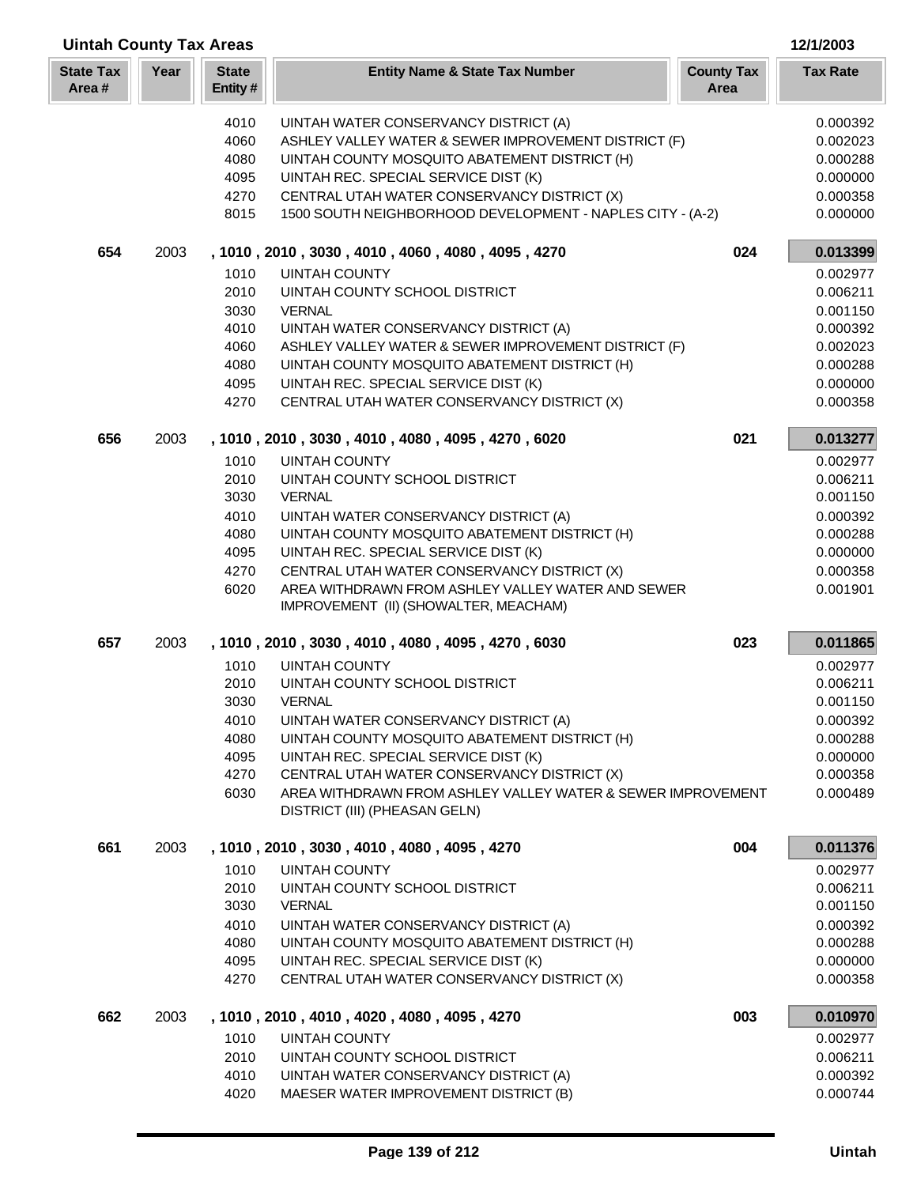| Year<br><b>State</b><br><b>County Tax</b><br><b>State Tax</b><br><b>Entity Name &amp; State Tax Number</b><br><b>Tax Rate</b><br>Area#<br>Entity#<br>Area<br>4010<br>UINTAH WATER CONSERVANCY DISTRICT (A)<br>0.000392<br>4060<br>ASHLEY VALLEY WATER & SEWER IMPROVEMENT DISTRICT (F)<br>0.002023<br>4080<br>UINTAH COUNTY MOSQUITO ABATEMENT DISTRICT (H)<br>0.000288<br>4095<br>UINTAH REC. SPECIAL SERVICE DIST (K)<br>0.000000<br>4270<br>CENTRAL UTAH WATER CONSERVANCY DISTRICT (X)<br>0.000358<br>8015<br>1500 SOUTH NEIGHBORHOOD DEVELOPMENT - NAPLES CITY - (A-2)<br>0.000000<br>654<br>024<br>0.013399<br>2003<br>, 1010, 2010, 3030, 4010, 4060, 4080, 4095, 4270<br><b>UINTAH COUNTY</b><br>1010<br>0.002977<br>2010<br>UINTAH COUNTY SCHOOL DISTRICT<br>0.006211<br>3030<br><b>VERNAL</b><br>0.001150<br>4010<br>UINTAH WATER CONSERVANCY DISTRICT (A)<br>0.000392<br>4060<br>ASHLEY VALLEY WATER & SEWER IMPROVEMENT DISTRICT (F)<br>0.002023<br>4080<br>UINTAH COUNTY MOSQUITO ABATEMENT DISTRICT (H)<br>0.000288<br>0.000000<br>4095<br>UINTAH REC. SPECIAL SERVICE DIST (K)<br>4270<br>CENTRAL UTAH WATER CONSERVANCY DISTRICT (X)<br>0.000358<br>656<br>2003<br>021<br>, 1010, 2010, 3030, 4010, 4080, 4095, 4270, 6020<br>0.013277<br>1010<br><b>UINTAH COUNTY</b><br>0.002977<br>2010<br>UINTAH COUNTY SCHOOL DISTRICT<br>0.006211<br>3030<br><b>VERNAL</b><br>0.001150<br>4010<br>UINTAH WATER CONSERVANCY DISTRICT (A)<br>0.000392<br>4080<br>UINTAH COUNTY MOSQUITO ABATEMENT DISTRICT (H)<br>0.000288<br>4095<br>UINTAH REC. SPECIAL SERVICE DIST (K)<br>0.000000<br>4270<br>CENTRAL UTAH WATER CONSERVANCY DISTRICT (X)<br>0.000358<br>6020<br>AREA WITHDRAWN FROM ASHLEY VALLEY WATER AND SEWER<br>0.001901<br>IMPROVEMENT (II) (SHOWALTER, MEACHAM)<br>657<br>2003<br>, 1010, 2010, 3030, 4010, 4080, 4095, 4270, 6030<br>023<br>0.011865<br>1010<br><b>UINTAH COUNTY</b><br>0.002977<br>2010<br>UINTAH COUNTY SCHOOL DISTRICT<br>0.006211<br>3030<br><b>VERNAL</b><br>0.001150<br>4010<br>UINTAH WATER CONSERVANCY DISTRICT (A)<br>0.000392<br>4080<br>UINTAH COUNTY MOSQUITO ABATEMENT DISTRICT (H)<br>0.000288<br>4095<br>UINTAH REC. SPECIAL SERVICE DIST (K)<br>0.000000<br>4270<br>CENTRAL UTAH WATER CONSERVANCY DISTRICT (X)<br>0.000358<br>6030<br>AREA WITHDRAWN FROM ASHLEY VALLEY WATER & SEWER IMPROVEMENT<br>0.000489<br>DISTRICT (III) (PHEASAN GELN)<br>004<br>0.011376<br>661<br>2003<br>, 1010, 2010, 3030, 4010, 4080, 4095, 4270<br>1010<br>UINTAH COUNTY<br>0.002977<br>2010<br>UINTAH COUNTY SCHOOL DISTRICT<br>0.006211<br>3030<br><b>VERNAL</b><br>0.001150<br>4010<br>UINTAH WATER CONSERVANCY DISTRICT (A)<br>0.000392<br>4080<br>UINTAH COUNTY MOSQUITO ABATEMENT DISTRICT (H)<br>0.000288<br>4095<br>UINTAH REC. SPECIAL SERVICE DIST (K)<br>0.000000<br>4270<br>CENTRAL UTAH WATER CONSERVANCY DISTRICT (X)<br>0.000358<br>662<br>2003<br>, 1010, 2010, 4010, 4020, 4080, 4095, 4270<br>003<br>0.010970<br>1010<br><b>UINTAH COUNTY</b><br>0.002977<br>2010<br>UINTAH COUNTY SCHOOL DISTRICT<br>0.006211<br>UINTAH WATER CONSERVANCY DISTRICT (A)<br>0.000392<br>4010<br>MAESER WATER IMPROVEMENT DISTRICT (B)<br>4020<br>0.000744 | <b>Uintah County Tax Areas</b> |  |  |  | 12/1/2003 |
|---------------------------------------------------------------------------------------------------------------------------------------------------------------------------------------------------------------------------------------------------------------------------------------------------------------------------------------------------------------------------------------------------------------------------------------------------------------------------------------------------------------------------------------------------------------------------------------------------------------------------------------------------------------------------------------------------------------------------------------------------------------------------------------------------------------------------------------------------------------------------------------------------------------------------------------------------------------------------------------------------------------------------------------------------------------------------------------------------------------------------------------------------------------------------------------------------------------------------------------------------------------------------------------------------------------------------------------------------------------------------------------------------------------------------------------------------------------------------------------------------------------------------------------------------------------------------------------------------------------------------------------------------------------------------------------------------------------------------------------------------------------------------------------------------------------------------------------------------------------------------------------------------------------------------------------------------------------------------------------------------------------------------------------------------------------------------------------------------------------------------------------------------------------------------------------------------------------------------------------------------------------------------------------------------------------------------------------------------------------------------------------------------------------------------------------------------------------------------------------------------------------------------------------------------------------------------------------------------------------------------------------------------------------------------------------------------------------------------------------------------------------------------------------------------------------------------------------------------------------------------------------------------------------------------------------------------------------------------------------------------------------------------------------------------------------------------------------------------------------------------------------------------------------------------------------------|--------------------------------|--|--|--|-----------|
|                                                                                                                                                                                                                                                                                                                                                                                                                                                                                                                                                                                                                                                                                                                                                                                                                                                                                                                                                                                                                                                                                                                                                                                                                                                                                                                                                                                                                                                                                                                                                                                                                                                                                                                                                                                                                                                                                                                                                                                                                                                                                                                                                                                                                                                                                                                                                                                                                                                                                                                                                                                                                                                                                                                                                                                                                                                                                                                                                                                                                                                                                                                                                                                             |                                |  |  |  |           |
|                                                                                                                                                                                                                                                                                                                                                                                                                                                                                                                                                                                                                                                                                                                                                                                                                                                                                                                                                                                                                                                                                                                                                                                                                                                                                                                                                                                                                                                                                                                                                                                                                                                                                                                                                                                                                                                                                                                                                                                                                                                                                                                                                                                                                                                                                                                                                                                                                                                                                                                                                                                                                                                                                                                                                                                                                                                                                                                                                                                                                                                                                                                                                                                             |                                |  |  |  |           |
|                                                                                                                                                                                                                                                                                                                                                                                                                                                                                                                                                                                                                                                                                                                                                                                                                                                                                                                                                                                                                                                                                                                                                                                                                                                                                                                                                                                                                                                                                                                                                                                                                                                                                                                                                                                                                                                                                                                                                                                                                                                                                                                                                                                                                                                                                                                                                                                                                                                                                                                                                                                                                                                                                                                                                                                                                                                                                                                                                                                                                                                                                                                                                                                             |                                |  |  |  |           |
|                                                                                                                                                                                                                                                                                                                                                                                                                                                                                                                                                                                                                                                                                                                                                                                                                                                                                                                                                                                                                                                                                                                                                                                                                                                                                                                                                                                                                                                                                                                                                                                                                                                                                                                                                                                                                                                                                                                                                                                                                                                                                                                                                                                                                                                                                                                                                                                                                                                                                                                                                                                                                                                                                                                                                                                                                                                                                                                                                                                                                                                                                                                                                                                             |                                |  |  |  |           |
|                                                                                                                                                                                                                                                                                                                                                                                                                                                                                                                                                                                                                                                                                                                                                                                                                                                                                                                                                                                                                                                                                                                                                                                                                                                                                                                                                                                                                                                                                                                                                                                                                                                                                                                                                                                                                                                                                                                                                                                                                                                                                                                                                                                                                                                                                                                                                                                                                                                                                                                                                                                                                                                                                                                                                                                                                                                                                                                                                                                                                                                                                                                                                                                             |                                |  |  |  |           |
|                                                                                                                                                                                                                                                                                                                                                                                                                                                                                                                                                                                                                                                                                                                                                                                                                                                                                                                                                                                                                                                                                                                                                                                                                                                                                                                                                                                                                                                                                                                                                                                                                                                                                                                                                                                                                                                                                                                                                                                                                                                                                                                                                                                                                                                                                                                                                                                                                                                                                                                                                                                                                                                                                                                                                                                                                                                                                                                                                                                                                                                                                                                                                                                             |                                |  |  |  |           |
|                                                                                                                                                                                                                                                                                                                                                                                                                                                                                                                                                                                                                                                                                                                                                                                                                                                                                                                                                                                                                                                                                                                                                                                                                                                                                                                                                                                                                                                                                                                                                                                                                                                                                                                                                                                                                                                                                                                                                                                                                                                                                                                                                                                                                                                                                                                                                                                                                                                                                                                                                                                                                                                                                                                                                                                                                                                                                                                                                                                                                                                                                                                                                                                             |                                |  |  |  |           |
|                                                                                                                                                                                                                                                                                                                                                                                                                                                                                                                                                                                                                                                                                                                                                                                                                                                                                                                                                                                                                                                                                                                                                                                                                                                                                                                                                                                                                                                                                                                                                                                                                                                                                                                                                                                                                                                                                                                                                                                                                                                                                                                                                                                                                                                                                                                                                                                                                                                                                                                                                                                                                                                                                                                                                                                                                                                                                                                                                                                                                                                                                                                                                                                             |                                |  |  |  |           |
|                                                                                                                                                                                                                                                                                                                                                                                                                                                                                                                                                                                                                                                                                                                                                                                                                                                                                                                                                                                                                                                                                                                                                                                                                                                                                                                                                                                                                                                                                                                                                                                                                                                                                                                                                                                                                                                                                                                                                                                                                                                                                                                                                                                                                                                                                                                                                                                                                                                                                                                                                                                                                                                                                                                                                                                                                                                                                                                                                                                                                                                                                                                                                                                             |                                |  |  |  |           |
|                                                                                                                                                                                                                                                                                                                                                                                                                                                                                                                                                                                                                                                                                                                                                                                                                                                                                                                                                                                                                                                                                                                                                                                                                                                                                                                                                                                                                                                                                                                                                                                                                                                                                                                                                                                                                                                                                                                                                                                                                                                                                                                                                                                                                                                                                                                                                                                                                                                                                                                                                                                                                                                                                                                                                                                                                                                                                                                                                                                                                                                                                                                                                                                             |                                |  |  |  |           |
|                                                                                                                                                                                                                                                                                                                                                                                                                                                                                                                                                                                                                                                                                                                                                                                                                                                                                                                                                                                                                                                                                                                                                                                                                                                                                                                                                                                                                                                                                                                                                                                                                                                                                                                                                                                                                                                                                                                                                                                                                                                                                                                                                                                                                                                                                                                                                                                                                                                                                                                                                                                                                                                                                                                                                                                                                                                                                                                                                                                                                                                                                                                                                                                             |                                |  |  |  |           |
|                                                                                                                                                                                                                                                                                                                                                                                                                                                                                                                                                                                                                                                                                                                                                                                                                                                                                                                                                                                                                                                                                                                                                                                                                                                                                                                                                                                                                                                                                                                                                                                                                                                                                                                                                                                                                                                                                                                                                                                                                                                                                                                                                                                                                                                                                                                                                                                                                                                                                                                                                                                                                                                                                                                                                                                                                                                                                                                                                                                                                                                                                                                                                                                             |                                |  |  |  |           |
|                                                                                                                                                                                                                                                                                                                                                                                                                                                                                                                                                                                                                                                                                                                                                                                                                                                                                                                                                                                                                                                                                                                                                                                                                                                                                                                                                                                                                                                                                                                                                                                                                                                                                                                                                                                                                                                                                                                                                                                                                                                                                                                                                                                                                                                                                                                                                                                                                                                                                                                                                                                                                                                                                                                                                                                                                                                                                                                                                                                                                                                                                                                                                                                             |                                |  |  |  |           |
|                                                                                                                                                                                                                                                                                                                                                                                                                                                                                                                                                                                                                                                                                                                                                                                                                                                                                                                                                                                                                                                                                                                                                                                                                                                                                                                                                                                                                                                                                                                                                                                                                                                                                                                                                                                                                                                                                                                                                                                                                                                                                                                                                                                                                                                                                                                                                                                                                                                                                                                                                                                                                                                                                                                                                                                                                                                                                                                                                                                                                                                                                                                                                                                             |                                |  |  |  |           |
|                                                                                                                                                                                                                                                                                                                                                                                                                                                                                                                                                                                                                                                                                                                                                                                                                                                                                                                                                                                                                                                                                                                                                                                                                                                                                                                                                                                                                                                                                                                                                                                                                                                                                                                                                                                                                                                                                                                                                                                                                                                                                                                                                                                                                                                                                                                                                                                                                                                                                                                                                                                                                                                                                                                                                                                                                                                                                                                                                                                                                                                                                                                                                                                             |                                |  |  |  |           |
|                                                                                                                                                                                                                                                                                                                                                                                                                                                                                                                                                                                                                                                                                                                                                                                                                                                                                                                                                                                                                                                                                                                                                                                                                                                                                                                                                                                                                                                                                                                                                                                                                                                                                                                                                                                                                                                                                                                                                                                                                                                                                                                                                                                                                                                                                                                                                                                                                                                                                                                                                                                                                                                                                                                                                                                                                                                                                                                                                                                                                                                                                                                                                                                             |                                |  |  |  |           |
|                                                                                                                                                                                                                                                                                                                                                                                                                                                                                                                                                                                                                                                                                                                                                                                                                                                                                                                                                                                                                                                                                                                                                                                                                                                                                                                                                                                                                                                                                                                                                                                                                                                                                                                                                                                                                                                                                                                                                                                                                                                                                                                                                                                                                                                                                                                                                                                                                                                                                                                                                                                                                                                                                                                                                                                                                                                                                                                                                                                                                                                                                                                                                                                             |                                |  |  |  |           |
|                                                                                                                                                                                                                                                                                                                                                                                                                                                                                                                                                                                                                                                                                                                                                                                                                                                                                                                                                                                                                                                                                                                                                                                                                                                                                                                                                                                                                                                                                                                                                                                                                                                                                                                                                                                                                                                                                                                                                                                                                                                                                                                                                                                                                                                                                                                                                                                                                                                                                                                                                                                                                                                                                                                                                                                                                                                                                                                                                                                                                                                                                                                                                                                             |                                |  |  |  |           |
|                                                                                                                                                                                                                                                                                                                                                                                                                                                                                                                                                                                                                                                                                                                                                                                                                                                                                                                                                                                                                                                                                                                                                                                                                                                                                                                                                                                                                                                                                                                                                                                                                                                                                                                                                                                                                                                                                                                                                                                                                                                                                                                                                                                                                                                                                                                                                                                                                                                                                                                                                                                                                                                                                                                                                                                                                                                                                                                                                                                                                                                                                                                                                                                             |                                |  |  |  |           |
|                                                                                                                                                                                                                                                                                                                                                                                                                                                                                                                                                                                                                                                                                                                                                                                                                                                                                                                                                                                                                                                                                                                                                                                                                                                                                                                                                                                                                                                                                                                                                                                                                                                                                                                                                                                                                                                                                                                                                                                                                                                                                                                                                                                                                                                                                                                                                                                                                                                                                                                                                                                                                                                                                                                                                                                                                                                                                                                                                                                                                                                                                                                                                                                             |                                |  |  |  |           |
|                                                                                                                                                                                                                                                                                                                                                                                                                                                                                                                                                                                                                                                                                                                                                                                                                                                                                                                                                                                                                                                                                                                                                                                                                                                                                                                                                                                                                                                                                                                                                                                                                                                                                                                                                                                                                                                                                                                                                                                                                                                                                                                                                                                                                                                                                                                                                                                                                                                                                                                                                                                                                                                                                                                                                                                                                                                                                                                                                                                                                                                                                                                                                                                             |                                |  |  |  |           |
|                                                                                                                                                                                                                                                                                                                                                                                                                                                                                                                                                                                                                                                                                                                                                                                                                                                                                                                                                                                                                                                                                                                                                                                                                                                                                                                                                                                                                                                                                                                                                                                                                                                                                                                                                                                                                                                                                                                                                                                                                                                                                                                                                                                                                                                                                                                                                                                                                                                                                                                                                                                                                                                                                                                                                                                                                                                                                                                                                                                                                                                                                                                                                                                             |                                |  |  |  |           |
|                                                                                                                                                                                                                                                                                                                                                                                                                                                                                                                                                                                                                                                                                                                                                                                                                                                                                                                                                                                                                                                                                                                                                                                                                                                                                                                                                                                                                                                                                                                                                                                                                                                                                                                                                                                                                                                                                                                                                                                                                                                                                                                                                                                                                                                                                                                                                                                                                                                                                                                                                                                                                                                                                                                                                                                                                                                                                                                                                                                                                                                                                                                                                                                             |                                |  |  |  |           |
|                                                                                                                                                                                                                                                                                                                                                                                                                                                                                                                                                                                                                                                                                                                                                                                                                                                                                                                                                                                                                                                                                                                                                                                                                                                                                                                                                                                                                                                                                                                                                                                                                                                                                                                                                                                                                                                                                                                                                                                                                                                                                                                                                                                                                                                                                                                                                                                                                                                                                                                                                                                                                                                                                                                                                                                                                                                                                                                                                                                                                                                                                                                                                                                             |                                |  |  |  |           |
|                                                                                                                                                                                                                                                                                                                                                                                                                                                                                                                                                                                                                                                                                                                                                                                                                                                                                                                                                                                                                                                                                                                                                                                                                                                                                                                                                                                                                                                                                                                                                                                                                                                                                                                                                                                                                                                                                                                                                                                                                                                                                                                                                                                                                                                                                                                                                                                                                                                                                                                                                                                                                                                                                                                                                                                                                                                                                                                                                                                                                                                                                                                                                                                             |                                |  |  |  |           |
|                                                                                                                                                                                                                                                                                                                                                                                                                                                                                                                                                                                                                                                                                                                                                                                                                                                                                                                                                                                                                                                                                                                                                                                                                                                                                                                                                                                                                                                                                                                                                                                                                                                                                                                                                                                                                                                                                                                                                                                                                                                                                                                                                                                                                                                                                                                                                                                                                                                                                                                                                                                                                                                                                                                                                                                                                                                                                                                                                                                                                                                                                                                                                                                             |                                |  |  |  |           |
|                                                                                                                                                                                                                                                                                                                                                                                                                                                                                                                                                                                                                                                                                                                                                                                                                                                                                                                                                                                                                                                                                                                                                                                                                                                                                                                                                                                                                                                                                                                                                                                                                                                                                                                                                                                                                                                                                                                                                                                                                                                                                                                                                                                                                                                                                                                                                                                                                                                                                                                                                                                                                                                                                                                                                                                                                                                                                                                                                                                                                                                                                                                                                                                             |                                |  |  |  |           |
|                                                                                                                                                                                                                                                                                                                                                                                                                                                                                                                                                                                                                                                                                                                                                                                                                                                                                                                                                                                                                                                                                                                                                                                                                                                                                                                                                                                                                                                                                                                                                                                                                                                                                                                                                                                                                                                                                                                                                                                                                                                                                                                                                                                                                                                                                                                                                                                                                                                                                                                                                                                                                                                                                                                                                                                                                                                                                                                                                                                                                                                                                                                                                                                             |                                |  |  |  |           |
|                                                                                                                                                                                                                                                                                                                                                                                                                                                                                                                                                                                                                                                                                                                                                                                                                                                                                                                                                                                                                                                                                                                                                                                                                                                                                                                                                                                                                                                                                                                                                                                                                                                                                                                                                                                                                                                                                                                                                                                                                                                                                                                                                                                                                                                                                                                                                                                                                                                                                                                                                                                                                                                                                                                                                                                                                                                                                                                                                                                                                                                                                                                                                                                             |                                |  |  |  |           |
|                                                                                                                                                                                                                                                                                                                                                                                                                                                                                                                                                                                                                                                                                                                                                                                                                                                                                                                                                                                                                                                                                                                                                                                                                                                                                                                                                                                                                                                                                                                                                                                                                                                                                                                                                                                                                                                                                                                                                                                                                                                                                                                                                                                                                                                                                                                                                                                                                                                                                                                                                                                                                                                                                                                                                                                                                                                                                                                                                                                                                                                                                                                                                                                             |                                |  |  |  |           |
|                                                                                                                                                                                                                                                                                                                                                                                                                                                                                                                                                                                                                                                                                                                                                                                                                                                                                                                                                                                                                                                                                                                                                                                                                                                                                                                                                                                                                                                                                                                                                                                                                                                                                                                                                                                                                                                                                                                                                                                                                                                                                                                                                                                                                                                                                                                                                                                                                                                                                                                                                                                                                                                                                                                                                                                                                                                                                                                                                                                                                                                                                                                                                                                             |                                |  |  |  |           |
|                                                                                                                                                                                                                                                                                                                                                                                                                                                                                                                                                                                                                                                                                                                                                                                                                                                                                                                                                                                                                                                                                                                                                                                                                                                                                                                                                                                                                                                                                                                                                                                                                                                                                                                                                                                                                                                                                                                                                                                                                                                                                                                                                                                                                                                                                                                                                                                                                                                                                                                                                                                                                                                                                                                                                                                                                                                                                                                                                                                                                                                                                                                                                                                             |                                |  |  |  |           |
|                                                                                                                                                                                                                                                                                                                                                                                                                                                                                                                                                                                                                                                                                                                                                                                                                                                                                                                                                                                                                                                                                                                                                                                                                                                                                                                                                                                                                                                                                                                                                                                                                                                                                                                                                                                                                                                                                                                                                                                                                                                                                                                                                                                                                                                                                                                                                                                                                                                                                                                                                                                                                                                                                                                                                                                                                                                                                                                                                                                                                                                                                                                                                                                             |                                |  |  |  |           |
|                                                                                                                                                                                                                                                                                                                                                                                                                                                                                                                                                                                                                                                                                                                                                                                                                                                                                                                                                                                                                                                                                                                                                                                                                                                                                                                                                                                                                                                                                                                                                                                                                                                                                                                                                                                                                                                                                                                                                                                                                                                                                                                                                                                                                                                                                                                                                                                                                                                                                                                                                                                                                                                                                                                                                                                                                                                                                                                                                                                                                                                                                                                                                                                             |                                |  |  |  |           |
|                                                                                                                                                                                                                                                                                                                                                                                                                                                                                                                                                                                                                                                                                                                                                                                                                                                                                                                                                                                                                                                                                                                                                                                                                                                                                                                                                                                                                                                                                                                                                                                                                                                                                                                                                                                                                                                                                                                                                                                                                                                                                                                                                                                                                                                                                                                                                                                                                                                                                                                                                                                                                                                                                                                                                                                                                                                                                                                                                                                                                                                                                                                                                                                             |                                |  |  |  |           |
|                                                                                                                                                                                                                                                                                                                                                                                                                                                                                                                                                                                                                                                                                                                                                                                                                                                                                                                                                                                                                                                                                                                                                                                                                                                                                                                                                                                                                                                                                                                                                                                                                                                                                                                                                                                                                                                                                                                                                                                                                                                                                                                                                                                                                                                                                                                                                                                                                                                                                                                                                                                                                                                                                                                                                                                                                                                                                                                                                                                                                                                                                                                                                                                             |                                |  |  |  |           |
|                                                                                                                                                                                                                                                                                                                                                                                                                                                                                                                                                                                                                                                                                                                                                                                                                                                                                                                                                                                                                                                                                                                                                                                                                                                                                                                                                                                                                                                                                                                                                                                                                                                                                                                                                                                                                                                                                                                                                                                                                                                                                                                                                                                                                                                                                                                                                                                                                                                                                                                                                                                                                                                                                                                                                                                                                                                                                                                                                                                                                                                                                                                                                                                             |                                |  |  |  |           |
|                                                                                                                                                                                                                                                                                                                                                                                                                                                                                                                                                                                                                                                                                                                                                                                                                                                                                                                                                                                                                                                                                                                                                                                                                                                                                                                                                                                                                                                                                                                                                                                                                                                                                                                                                                                                                                                                                                                                                                                                                                                                                                                                                                                                                                                                                                                                                                                                                                                                                                                                                                                                                                                                                                                                                                                                                                                                                                                                                                                                                                                                                                                                                                                             |                                |  |  |  |           |
|                                                                                                                                                                                                                                                                                                                                                                                                                                                                                                                                                                                                                                                                                                                                                                                                                                                                                                                                                                                                                                                                                                                                                                                                                                                                                                                                                                                                                                                                                                                                                                                                                                                                                                                                                                                                                                                                                                                                                                                                                                                                                                                                                                                                                                                                                                                                                                                                                                                                                                                                                                                                                                                                                                                                                                                                                                                                                                                                                                                                                                                                                                                                                                                             |                                |  |  |  |           |
|                                                                                                                                                                                                                                                                                                                                                                                                                                                                                                                                                                                                                                                                                                                                                                                                                                                                                                                                                                                                                                                                                                                                                                                                                                                                                                                                                                                                                                                                                                                                                                                                                                                                                                                                                                                                                                                                                                                                                                                                                                                                                                                                                                                                                                                                                                                                                                                                                                                                                                                                                                                                                                                                                                                                                                                                                                                                                                                                                                                                                                                                                                                                                                                             |                                |  |  |  |           |
|                                                                                                                                                                                                                                                                                                                                                                                                                                                                                                                                                                                                                                                                                                                                                                                                                                                                                                                                                                                                                                                                                                                                                                                                                                                                                                                                                                                                                                                                                                                                                                                                                                                                                                                                                                                                                                                                                                                                                                                                                                                                                                                                                                                                                                                                                                                                                                                                                                                                                                                                                                                                                                                                                                                                                                                                                                                                                                                                                                                                                                                                                                                                                                                             |                                |  |  |  |           |
|                                                                                                                                                                                                                                                                                                                                                                                                                                                                                                                                                                                                                                                                                                                                                                                                                                                                                                                                                                                                                                                                                                                                                                                                                                                                                                                                                                                                                                                                                                                                                                                                                                                                                                                                                                                                                                                                                                                                                                                                                                                                                                                                                                                                                                                                                                                                                                                                                                                                                                                                                                                                                                                                                                                                                                                                                                                                                                                                                                                                                                                                                                                                                                                             |                                |  |  |  |           |
|                                                                                                                                                                                                                                                                                                                                                                                                                                                                                                                                                                                                                                                                                                                                                                                                                                                                                                                                                                                                                                                                                                                                                                                                                                                                                                                                                                                                                                                                                                                                                                                                                                                                                                                                                                                                                                                                                                                                                                                                                                                                                                                                                                                                                                                                                                                                                                                                                                                                                                                                                                                                                                                                                                                                                                                                                                                                                                                                                                                                                                                                                                                                                                                             |                                |  |  |  |           |
|                                                                                                                                                                                                                                                                                                                                                                                                                                                                                                                                                                                                                                                                                                                                                                                                                                                                                                                                                                                                                                                                                                                                                                                                                                                                                                                                                                                                                                                                                                                                                                                                                                                                                                                                                                                                                                                                                                                                                                                                                                                                                                                                                                                                                                                                                                                                                                                                                                                                                                                                                                                                                                                                                                                                                                                                                                                                                                                                                                                                                                                                                                                                                                                             |                                |  |  |  |           |
|                                                                                                                                                                                                                                                                                                                                                                                                                                                                                                                                                                                                                                                                                                                                                                                                                                                                                                                                                                                                                                                                                                                                                                                                                                                                                                                                                                                                                                                                                                                                                                                                                                                                                                                                                                                                                                                                                                                                                                                                                                                                                                                                                                                                                                                                                                                                                                                                                                                                                                                                                                                                                                                                                                                                                                                                                                                                                                                                                                                                                                                                                                                                                                                             |                                |  |  |  |           |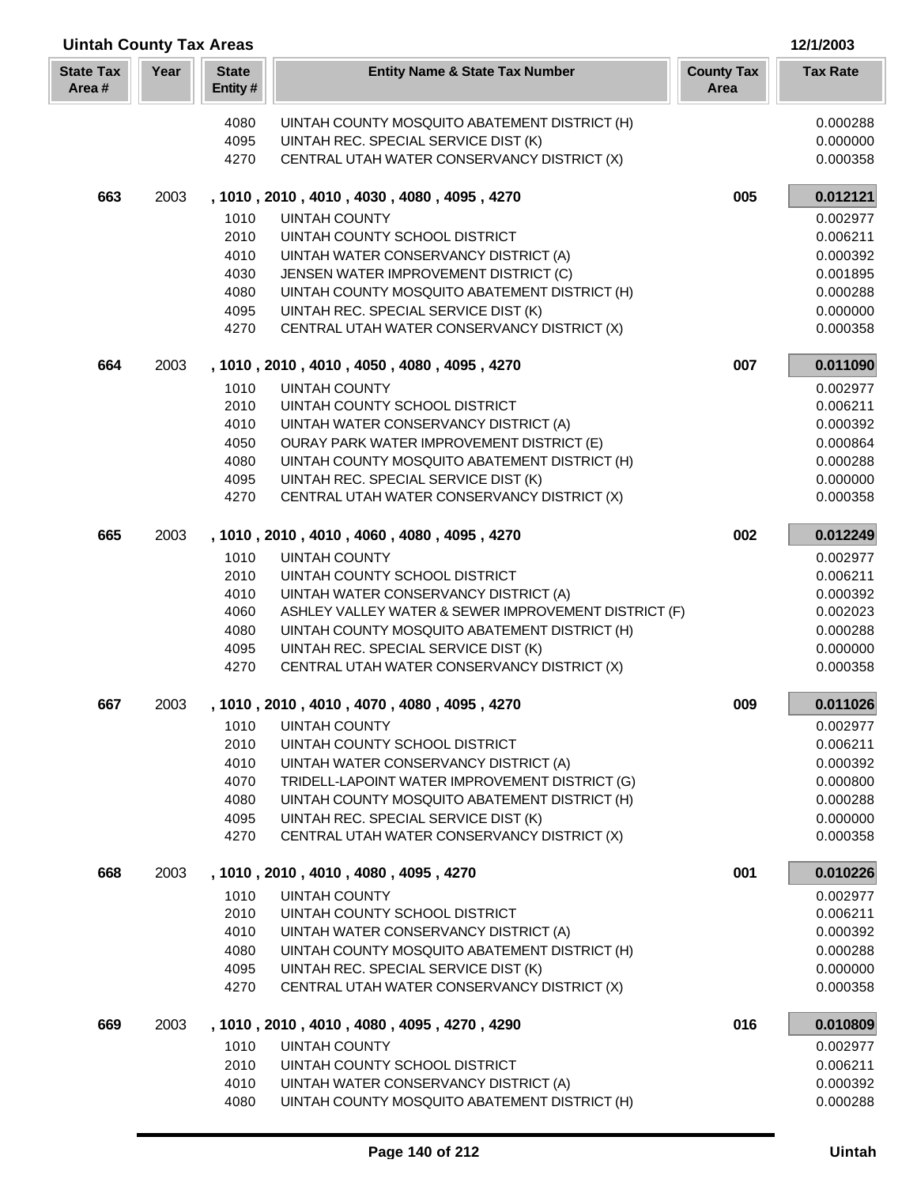| <b>Uintah County Tax Areas</b> |      |                         |                                                                                            |                           |                      |
|--------------------------------|------|-------------------------|--------------------------------------------------------------------------------------------|---------------------------|----------------------|
| <b>State Tax</b><br>Area#      | Year | <b>State</b><br>Entity# | <b>Entity Name &amp; State Tax Number</b>                                                  | <b>County Tax</b><br>Area | <b>Tax Rate</b>      |
|                                |      | 4080                    | UINTAH COUNTY MOSQUITO ABATEMENT DISTRICT (H)                                              |                           | 0.000288             |
|                                |      | 4095                    | UINTAH REC. SPECIAL SERVICE DIST (K)                                                       |                           | 0.000000             |
|                                |      | 4270                    | CENTRAL UTAH WATER CONSERVANCY DISTRICT (X)                                                |                           | 0.000358             |
| 663                            | 2003 |                         | , 1010, 2010, 4010, 4030, 4080, 4095, 4270                                                 | 005                       | 0.012121             |
|                                |      | 1010                    | <b>UINTAH COUNTY</b>                                                                       |                           | 0.002977             |
|                                |      | 2010                    | UINTAH COUNTY SCHOOL DISTRICT                                                              |                           | 0.006211             |
|                                |      | 4010                    | UINTAH WATER CONSERVANCY DISTRICT (A)                                                      |                           | 0.000392             |
|                                |      | 4030                    | JENSEN WATER IMPROVEMENT DISTRICT (C)                                                      |                           | 0.001895             |
|                                |      | 4080                    | UINTAH COUNTY MOSQUITO ABATEMENT DISTRICT (H)                                              |                           | 0.000288             |
|                                |      | 4095                    | UINTAH REC. SPECIAL SERVICE DIST (K)                                                       |                           | 0.000000             |
|                                |      | 4270                    | CENTRAL UTAH WATER CONSERVANCY DISTRICT (X)                                                |                           | 0.000358             |
| 664                            | 2003 |                         | , 1010, 2010, 4010, 4050, 4080, 4095, 4270                                                 | 007                       | 0.011090             |
|                                |      | 1010                    | <b>UINTAH COUNTY</b>                                                                       |                           | 0.002977             |
|                                |      | 2010                    | UINTAH COUNTY SCHOOL DISTRICT                                                              |                           | 0.006211             |
|                                |      | 4010                    | UINTAH WATER CONSERVANCY DISTRICT (A)                                                      |                           | 0.000392             |
|                                |      | 4050<br>4080            | OURAY PARK WATER IMPROVEMENT DISTRICT (E)<br>UINTAH COUNTY MOSQUITO ABATEMENT DISTRICT (H) |                           | 0.000864<br>0.000288 |
|                                |      | 4095                    | UINTAH REC. SPECIAL SERVICE DIST (K)                                                       |                           | 0.000000             |
|                                |      | 4270                    | CENTRAL UTAH WATER CONSERVANCY DISTRICT (X)                                                |                           | 0.000358             |
| 665                            | 2003 |                         | , 1010, 2010, 4010, 4060, 4080, 4095, 4270                                                 | 002                       | 0.012249             |
|                                |      | 1010                    | <b>UINTAH COUNTY</b>                                                                       |                           | 0.002977             |
|                                |      | 2010                    | UINTAH COUNTY SCHOOL DISTRICT                                                              |                           | 0.006211             |
|                                |      | 4010                    | UINTAH WATER CONSERVANCY DISTRICT (A)                                                      |                           | 0.000392             |
|                                |      | 4060                    | ASHLEY VALLEY WATER & SEWER IMPROVEMENT DISTRICT (F)                                       |                           | 0.002023             |
|                                |      | 4080                    | UINTAH COUNTY MOSQUITO ABATEMENT DISTRICT (H)                                              |                           | 0.000288             |
|                                |      | 4095                    | UINTAH REC. SPECIAL SERVICE DIST (K)                                                       |                           | 0.000000             |
|                                |      | 4270                    | CENTRAL UTAH WATER CONSERVANCY DISTRICT (X)                                                |                           | 0.000358             |
| 667                            | 2003 |                         | , 1010, 2010, 4010, 4070, 4080, 4095, 4270                                                 | 009                       | 0.011026             |
|                                |      | 1010                    | <b>UINTAH COUNTY</b>                                                                       |                           | 0.002977             |
|                                |      | 2010                    | UINTAH COUNTY SCHOOL DISTRICT                                                              |                           | 0.006211             |
|                                |      | 4010                    | UINTAH WATER CONSERVANCY DISTRICT (A)                                                      |                           | 0.000392             |
|                                |      | 4070                    | TRIDELL-LAPOINT WATER IMPROVEMENT DISTRICT (G)                                             |                           | 0.000800             |
|                                |      | 4080                    | UINTAH COUNTY MOSQUITO ABATEMENT DISTRICT (H)                                              |                           | 0.000288             |
|                                |      | 4095                    | UINTAH REC. SPECIAL SERVICE DIST (K)                                                       |                           | 0.000000             |
|                                |      | 4270                    | CENTRAL UTAH WATER CONSERVANCY DISTRICT (X)                                                |                           | 0.000358             |
| 668                            | 2003 |                         | , 1010, 2010, 4010, 4080, 4095, 4270                                                       | 001                       | 0.010226             |
|                                |      | 1010                    | <b>UINTAH COUNTY</b>                                                                       |                           | 0.002977             |
|                                |      | 2010<br>4010            | UINTAH COUNTY SCHOOL DISTRICT<br>UINTAH WATER CONSERVANCY DISTRICT (A)                     |                           | 0.006211<br>0.000392 |
|                                |      | 4080                    | UINTAH COUNTY MOSQUITO ABATEMENT DISTRICT (H)                                              |                           | 0.000288             |
|                                |      | 4095                    | UINTAH REC. SPECIAL SERVICE DIST (K)                                                       |                           | 0.000000             |
|                                |      | 4270                    | CENTRAL UTAH WATER CONSERVANCY DISTRICT (X)                                                |                           | 0.000358             |
| 669                            | 2003 |                         | , 1010, 2010, 4010, 4080, 4095, 4270, 4290                                                 | 016                       | 0.010809             |
|                                |      | 1010                    | <b>UINTAH COUNTY</b>                                                                       |                           | 0.002977             |
|                                |      | 2010                    | UINTAH COUNTY SCHOOL DISTRICT                                                              |                           | 0.006211             |
|                                |      | 4010                    | UINTAH WATER CONSERVANCY DISTRICT (A)                                                      |                           | 0.000392             |
|                                |      | 4080                    | UINTAH COUNTY MOSQUITO ABATEMENT DISTRICT (H)                                              |                           | 0.000288             |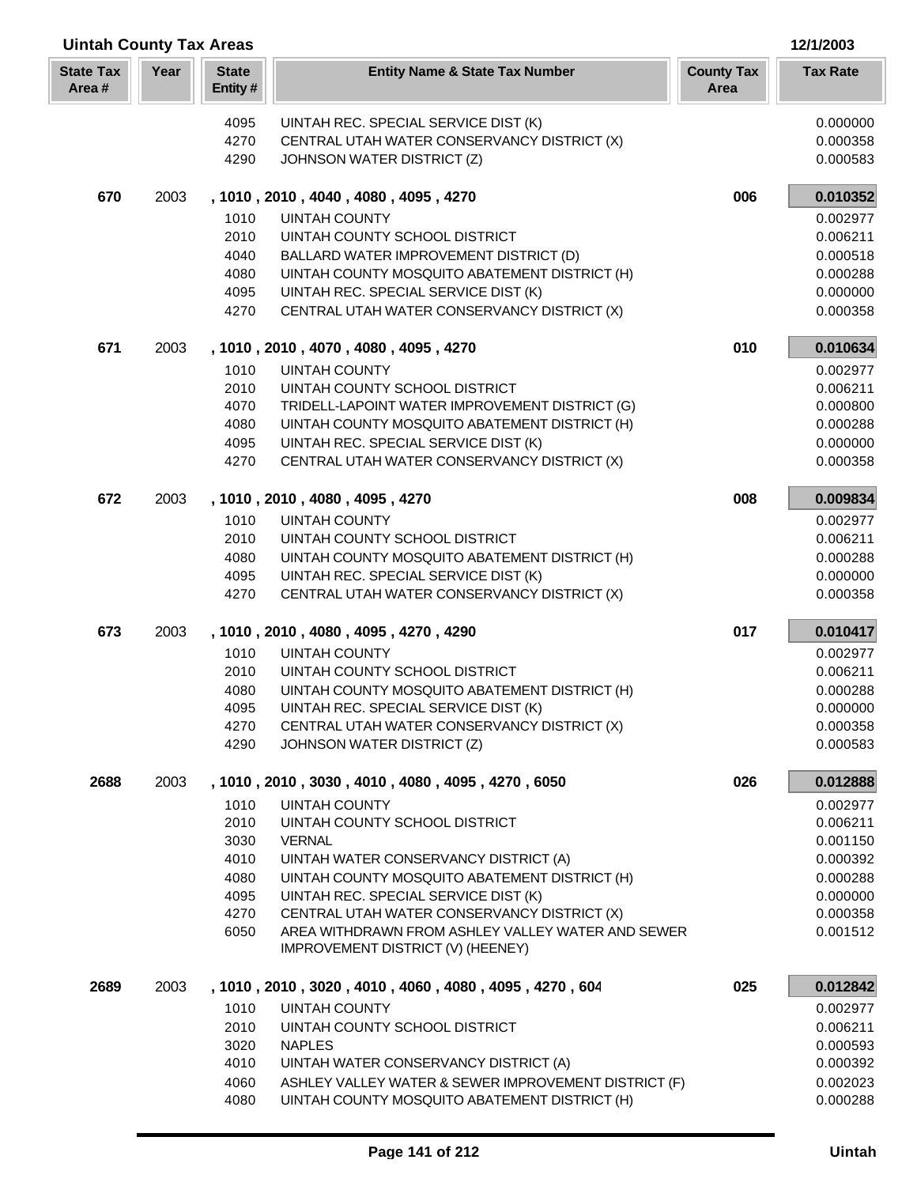| <b>Uintah County Tax Areas</b> |      |                         |                                                                                                  |                           | 12/1/2003            |
|--------------------------------|------|-------------------------|--------------------------------------------------------------------------------------------------|---------------------------|----------------------|
| <b>State Tax</b><br>Area#      | Year | <b>State</b><br>Entity# | <b>Entity Name &amp; State Tax Number</b>                                                        | <b>County Tax</b><br>Area | <b>Tax Rate</b>      |
|                                |      | 4095                    | UINTAH REC. SPECIAL SERVICE DIST (K)                                                             |                           | 0.000000             |
|                                |      | 4270                    | CENTRAL UTAH WATER CONSERVANCY DISTRICT (X)                                                      |                           | 0.000358             |
|                                |      | 4290                    | JOHNSON WATER DISTRICT (Z)                                                                       |                           | 0.000583             |
| 670                            | 2003 |                         | , 1010, 2010, 4040, 4080, 4095, 4270                                                             | 006                       | 0.010352             |
|                                |      | 1010                    | <b>UINTAH COUNTY</b>                                                                             |                           | 0.002977             |
|                                |      | 2010                    | UINTAH COUNTY SCHOOL DISTRICT                                                                    |                           | 0.006211             |
|                                |      | 4040                    | BALLARD WATER IMPROVEMENT DISTRICT (D)                                                           |                           | 0.000518             |
|                                |      | 4080                    | UINTAH COUNTY MOSQUITO ABATEMENT DISTRICT (H)                                                    |                           | 0.000288             |
|                                |      | 4095                    | UINTAH REC. SPECIAL SERVICE DIST (K)                                                             |                           | 0.000000             |
|                                |      | 4270                    | CENTRAL UTAH WATER CONSERVANCY DISTRICT (X)                                                      |                           | 0.000358             |
| 671                            | 2003 |                         | , 1010, 2010, 4070, 4080, 4095, 4270                                                             | 010                       | 0.010634             |
|                                |      | 1010                    | <b>UINTAH COUNTY</b>                                                                             |                           | 0.002977             |
|                                |      | 2010<br>4070            | UINTAH COUNTY SCHOOL DISTRICT<br>TRIDELL-LAPOINT WATER IMPROVEMENT DISTRICT (G)                  |                           | 0.006211             |
|                                |      | 4080                    | UINTAH COUNTY MOSQUITO ABATEMENT DISTRICT (H)                                                    |                           | 0.000800<br>0.000288 |
|                                |      | 4095                    | UINTAH REC. SPECIAL SERVICE DIST (K)                                                             |                           | 0.000000             |
|                                |      | 4270                    | CENTRAL UTAH WATER CONSERVANCY DISTRICT (X)                                                      |                           | 0.000358             |
| 672                            | 2003 |                         | , 1010, 2010, 4080, 4095, 4270                                                                   | 008                       | 0.009834             |
|                                |      | 1010                    | <b>UINTAH COUNTY</b>                                                                             |                           | 0.002977             |
|                                |      | 2010                    | UINTAH COUNTY SCHOOL DISTRICT                                                                    |                           | 0.006211             |
|                                |      | 4080                    | UINTAH COUNTY MOSQUITO ABATEMENT DISTRICT (H)                                                    |                           | 0.000288             |
|                                |      | 4095                    | UINTAH REC. SPECIAL SERVICE DIST (K)                                                             |                           | 0.000000             |
|                                |      | 4270                    | CENTRAL UTAH WATER CONSERVANCY DISTRICT (X)                                                      |                           | 0.000358             |
| 673                            | 2003 |                         | , 1010, 2010, 4080, 4095, 4270, 4290                                                             | 017                       | 0.010417             |
|                                |      | 1010                    | <b>UINTAH COUNTY</b>                                                                             |                           | 0.002977             |
|                                |      | 2010                    | UINTAH COUNTY SCHOOL DISTRICT                                                                    |                           | 0.006211             |
|                                |      | 4080                    | UINTAH COUNTY MOSQUITO ABATEMENT DISTRICT (H)                                                    |                           | 0.000288             |
|                                |      | 4095<br>4270            | UINTAH REC. SPECIAL SERVICE DIST (K)<br>CENTRAL UTAH WATER CONSERVANCY DISTRICT (X)              |                           | 0.000000<br>0.000358 |
|                                |      | 4290                    | JOHNSON WATER DISTRICT (Z)                                                                       |                           | 0.000583             |
| 2688                           | 2003 |                         | , 1010, 2010, 3030, 4010, 4080, 4095, 4270, 6050                                                 | 026                       | 0.012888             |
|                                |      | 1010                    | <b>UINTAH COUNTY</b>                                                                             |                           | 0.002977             |
|                                |      | 2010                    | UINTAH COUNTY SCHOOL DISTRICT                                                                    |                           | 0.006211             |
|                                |      | 3030                    | <b>VERNAL</b>                                                                                    |                           | 0.001150             |
|                                |      | 4010                    | UINTAH WATER CONSERVANCY DISTRICT (A)                                                            |                           | 0.000392             |
|                                |      | 4080                    | UINTAH COUNTY MOSQUITO ABATEMENT DISTRICT (H)                                                    |                           | 0.000288             |
|                                |      | 4095                    | UINTAH REC. SPECIAL SERVICE DIST (K)                                                             |                           | 0.000000             |
|                                |      | 4270<br>6050            | CENTRAL UTAH WATER CONSERVANCY DISTRICT (X)<br>AREA WITHDRAWN FROM ASHLEY VALLEY WATER AND SEWER |                           | 0.000358<br>0.001512 |
|                                |      |                         | IMPROVEMENT DISTRICT (V) (HEENEY)                                                                |                           |                      |
| 2689                           | 2003 |                         | , 1010, 2010, 3020, 4010, 4060, 4080, 4095, 4270, 604                                            | 025                       | 0.012842             |
|                                |      | 1010                    | <b>UINTAH COUNTY</b>                                                                             |                           | 0.002977             |
|                                |      | 2010                    | UINTAH COUNTY SCHOOL DISTRICT                                                                    |                           | 0.006211             |
|                                |      | 3020                    | <b>NAPLES</b>                                                                                    |                           | 0.000593             |
|                                |      | 4010                    | UINTAH WATER CONSERVANCY DISTRICT (A)                                                            |                           | 0.000392             |
|                                |      | 4060                    | ASHLEY VALLEY WATER & SEWER IMPROVEMENT DISTRICT (F)                                             |                           | 0.002023             |
|                                |      | 4080                    | UINTAH COUNTY MOSQUITO ABATEMENT DISTRICT (H)                                                    |                           | 0.000288             |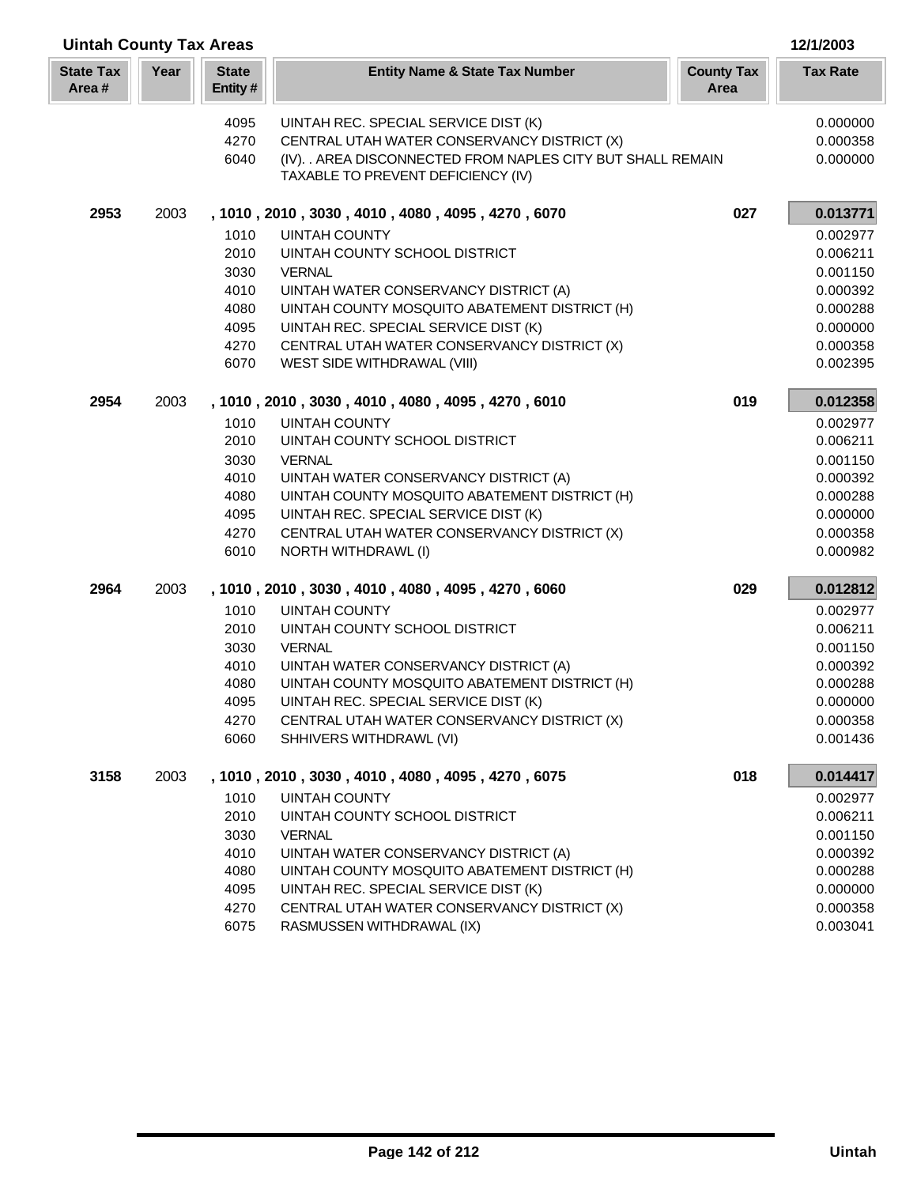| <b>Uintah County Tax Areas</b> |      |                         |                                                                                                                                                                                          |                           | 12/1/2003                        |
|--------------------------------|------|-------------------------|------------------------------------------------------------------------------------------------------------------------------------------------------------------------------------------|---------------------------|----------------------------------|
| <b>State Tax</b><br>Area#      | Year | <b>State</b><br>Entity# | <b>Entity Name &amp; State Tax Number</b>                                                                                                                                                | <b>County Tax</b><br>Area | <b>Tax Rate</b>                  |
|                                |      | 4095<br>4270<br>6040    | UINTAH REC. SPECIAL SERVICE DIST (K)<br>CENTRAL UTAH WATER CONSERVANCY DISTRICT (X)<br>(IV). . AREA DISCONNECTED FROM NAPLES CITY BUT SHALL REMAIN<br>TAXABLE TO PREVENT DEFICIENCY (IV) |                           | 0.000000<br>0.000358<br>0.000000 |
| 2953                           | 2003 |                         | , 1010, 2010, 3030, 4010, 4080, 4095, 4270, 6070                                                                                                                                         | 027                       | 0.013771                         |
|                                |      | 1010                    | <b>UINTAH COUNTY</b>                                                                                                                                                                     |                           | 0.002977                         |
|                                |      | 2010                    | UINTAH COUNTY SCHOOL DISTRICT                                                                                                                                                            |                           | 0.006211                         |
|                                |      | 3030                    | <b>VERNAL</b>                                                                                                                                                                            |                           | 0.001150                         |
|                                |      | 4010                    | UINTAH WATER CONSERVANCY DISTRICT (A)                                                                                                                                                    |                           | 0.000392                         |
|                                |      | 4080                    | UINTAH COUNTY MOSQUITO ABATEMENT DISTRICT (H)                                                                                                                                            |                           | 0.000288                         |
|                                |      | 4095                    | UINTAH REC. SPECIAL SERVICE DIST (K)                                                                                                                                                     |                           | 0.000000                         |
|                                |      | 4270                    | CENTRAL UTAH WATER CONSERVANCY DISTRICT (X)                                                                                                                                              |                           | 0.000358                         |
|                                |      | 6070                    | WEST SIDE WITHDRAWAL (VIII)                                                                                                                                                              |                           | 0.002395                         |
| 2954                           | 2003 |                         | , 1010, 2010, 3030, 4010, 4080, 4095, 4270, 6010                                                                                                                                         | 019                       | 0.012358                         |
|                                |      | 1010                    | <b>UINTAH COUNTY</b>                                                                                                                                                                     |                           | 0.002977                         |
|                                |      | 2010                    | UINTAH COUNTY SCHOOL DISTRICT                                                                                                                                                            |                           | 0.006211                         |
|                                |      | 3030                    | <b>VERNAL</b>                                                                                                                                                                            |                           | 0.001150                         |
|                                |      | 4010                    | UINTAH WATER CONSERVANCY DISTRICT (A)                                                                                                                                                    |                           | 0.000392                         |
|                                |      | 4080                    | UINTAH COUNTY MOSQUITO ABATEMENT DISTRICT (H)                                                                                                                                            |                           | 0.000288                         |
|                                |      | 4095                    | UINTAH REC. SPECIAL SERVICE DIST (K)                                                                                                                                                     |                           | 0.000000                         |
|                                |      | 4270                    | CENTRAL UTAH WATER CONSERVANCY DISTRICT (X)                                                                                                                                              |                           | 0.000358                         |
|                                |      | 6010                    | NORTH WITHDRAWL (I)                                                                                                                                                                      |                           | 0.000982                         |
| 2964                           | 2003 |                         | , 1010, 2010, 3030, 4010, 4080, 4095, 4270, 6060                                                                                                                                         | 029                       | 0.012812                         |
|                                |      | 1010                    | <b>UINTAH COUNTY</b>                                                                                                                                                                     |                           | 0.002977                         |
|                                |      | 2010                    | UINTAH COUNTY SCHOOL DISTRICT                                                                                                                                                            |                           | 0.006211                         |
|                                |      | 3030                    | <b>VERNAL</b>                                                                                                                                                                            |                           | 0.001150                         |
|                                |      | 4010                    | UINTAH WATER CONSERVANCY DISTRICT (A)                                                                                                                                                    |                           | 0.000392                         |
|                                |      | 4080                    | UINTAH COUNTY MOSQUITO ABATEMENT DISTRICT (H)                                                                                                                                            |                           | 0.000288                         |
|                                |      | 4095                    | UINTAH REC. SPECIAL SERVICE DIST (K)                                                                                                                                                     |                           | 0.000000                         |
|                                |      | 4270                    | CENTRAL UTAH WATER CONSERVANCY DISTRICT (X)                                                                                                                                              |                           | 0.000358                         |
|                                |      | 6060                    | SHHIVERS WITHDRAWL (VI)                                                                                                                                                                  |                           | 0.001436                         |
| 3158                           | 2003 |                         | , 1010, 2010, 3030, 4010, 4080, 4095, 4270, 6075                                                                                                                                         | 018                       | 0.014417                         |
|                                |      | 1010                    | <b>UINTAH COUNTY</b>                                                                                                                                                                     |                           | 0.002977                         |
|                                |      | 2010                    | UINTAH COUNTY SCHOOL DISTRICT                                                                                                                                                            |                           | 0.006211                         |
|                                |      | 3030                    | <b>VERNAL</b>                                                                                                                                                                            |                           | 0.001150                         |
|                                |      | 4010                    | UINTAH WATER CONSERVANCY DISTRICT (A)                                                                                                                                                    |                           | 0.000392                         |
|                                |      | 4080                    | UINTAH COUNTY MOSQUITO ABATEMENT DISTRICT (H)                                                                                                                                            |                           | 0.000288                         |
|                                |      | 4095                    | UINTAH REC. SPECIAL SERVICE DIST (K)                                                                                                                                                     |                           | 0.000000                         |
|                                |      | 4270                    | CENTRAL UTAH WATER CONSERVANCY DISTRICT (X)                                                                                                                                              |                           | 0.000358                         |
|                                |      | 6075                    | RASMUSSEN WITHDRAWAL (IX)                                                                                                                                                                |                           | 0.003041                         |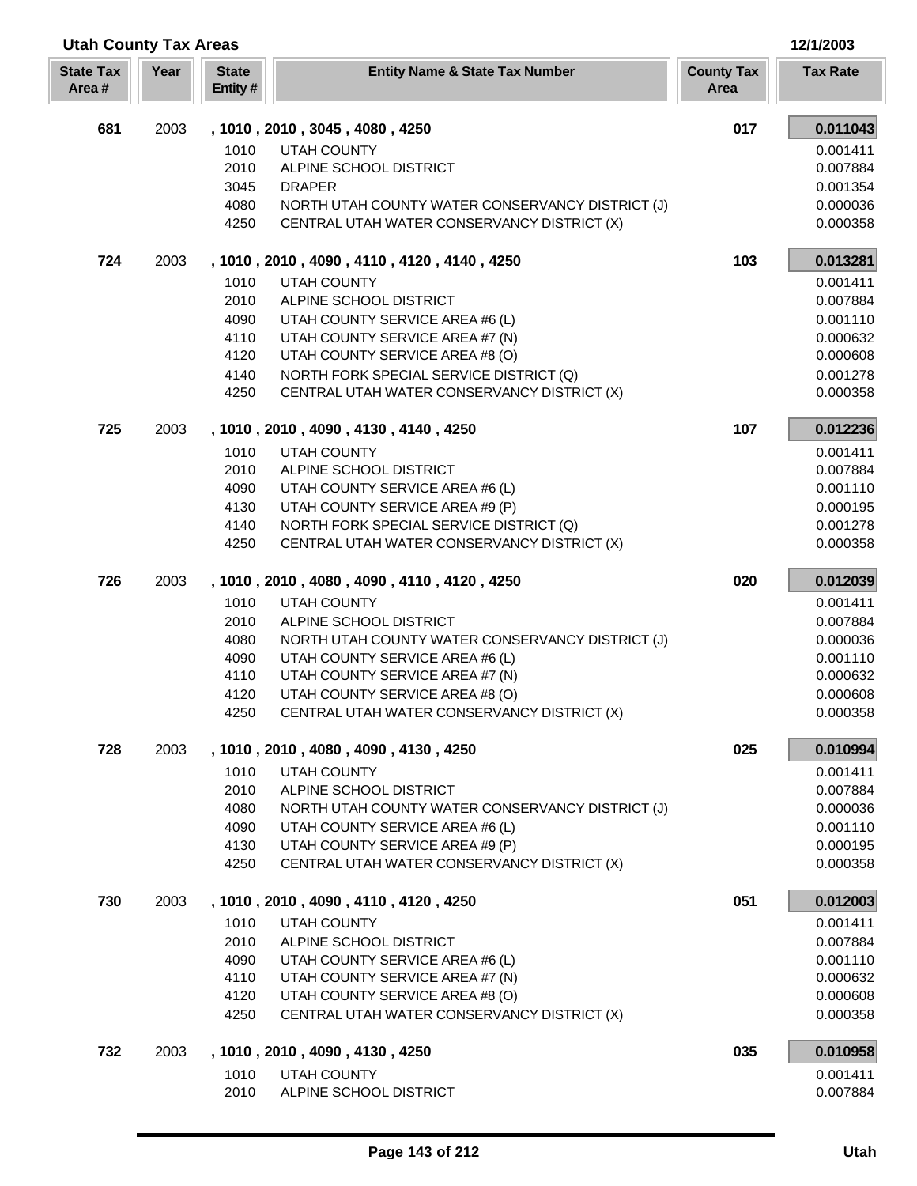| <b>Utah County Tax Areas</b> |      |                         | 12/1/2003                                                                  |                           |                      |
|------------------------------|------|-------------------------|----------------------------------------------------------------------------|---------------------------|----------------------|
| <b>State Tax</b><br>Area#    | Year | <b>State</b><br>Entity# | <b>Entity Name &amp; State Tax Number</b>                                  | <b>County Tax</b><br>Area | <b>Tax Rate</b>      |
| 681                          | 2003 |                         | , 1010, 2010, 3045, 4080, 4250                                             | 017                       | 0.011043             |
|                              |      | 1010                    | <b>UTAH COUNTY</b>                                                         |                           | 0.001411             |
|                              |      | 2010                    | ALPINE SCHOOL DISTRICT                                                     |                           | 0.007884             |
|                              |      | 3045                    | <b>DRAPER</b>                                                              |                           | 0.001354             |
|                              |      | 4080                    | NORTH UTAH COUNTY WATER CONSERVANCY DISTRICT (J)                           |                           | 0.000036             |
|                              |      | 4250                    | CENTRAL UTAH WATER CONSERVANCY DISTRICT (X)                                |                           | 0.000358             |
| 724                          | 2003 |                         | , 1010, 2010, 4090, 4110, 4120, 4140, 4250                                 | 103                       | 0.013281             |
|                              |      | 1010                    | <b>UTAH COUNTY</b>                                                         |                           | 0.001411             |
|                              |      | 2010                    | ALPINE SCHOOL DISTRICT                                                     |                           | 0.007884             |
|                              |      | 4090                    | UTAH COUNTY SERVICE AREA #6 (L)                                            |                           | 0.001110             |
|                              |      | 4110                    | UTAH COUNTY SERVICE AREA #7 (N)                                            |                           | 0.000632             |
|                              |      | 4120                    | UTAH COUNTY SERVICE AREA #8 (O)                                            |                           | 0.000608             |
|                              |      | 4140                    | NORTH FORK SPECIAL SERVICE DISTRICT (Q)                                    |                           | 0.001278             |
|                              |      | 4250                    | CENTRAL UTAH WATER CONSERVANCY DISTRICT (X)                                |                           | 0.000358             |
| 725                          | 2003 |                         | , 1010, 2010, 4090, 4130, 4140, 4250                                       | 107                       | 0.012236             |
|                              |      | 1010                    | <b>UTAH COUNTY</b>                                                         |                           | 0.001411             |
|                              |      | 2010                    | ALPINE SCHOOL DISTRICT                                                     |                           | 0.007884             |
|                              |      | 4090                    | UTAH COUNTY SERVICE AREA #6 (L)                                            |                           | 0.001110             |
|                              |      | 4130<br>4140            | UTAH COUNTY SERVICE AREA #9 (P)<br>NORTH FORK SPECIAL SERVICE DISTRICT (Q) |                           | 0.000195<br>0.001278 |
|                              |      | 4250                    | CENTRAL UTAH WATER CONSERVANCY DISTRICT (X)                                |                           | 0.000358             |
| 726                          | 2003 |                         | , 1010, 2010, 4080, 4090, 4110, 4120, 4250                                 | 020                       |                      |
|                              |      |                         |                                                                            |                           | 0.012039             |
|                              |      | 1010<br>2010            | <b>UTAH COUNTY</b><br>ALPINE SCHOOL DISTRICT                               |                           | 0.001411<br>0.007884 |
|                              |      | 4080                    | NORTH UTAH COUNTY WATER CONSERVANCY DISTRICT (J)                           |                           | 0.000036             |
|                              |      | 4090                    | UTAH COUNTY SERVICE AREA #6 (L)                                            |                           | 0.001110             |
|                              |      | 4110                    | UTAH COUNTY SERVICE AREA #7 (N)                                            |                           | 0.000632             |
|                              |      | 4120                    | UTAH COUNTY SERVICE AREA #8 (O)                                            |                           | 0.000608             |
|                              |      | 4250                    | CENTRAL UTAH WATER CONSERVANCY DISTRICT (X)                                |                           | 0.000358             |
| 728                          | 2003 |                         | , 1010, 2010, 4080, 4090, 4130, 4250                                       | 025                       | 0.010994             |
|                              |      | 1010                    | <b>UTAH COUNTY</b>                                                         |                           | 0.001411             |
|                              |      | 2010                    | ALPINE SCHOOL DISTRICT                                                     |                           | 0.007884             |
|                              |      | 4080                    | NORTH UTAH COUNTY WATER CONSERVANCY DISTRICT (J)                           |                           | 0.000036             |
|                              |      | 4090                    | UTAH COUNTY SERVICE AREA #6 (L)                                            |                           | 0.001110             |
|                              |      | 4130                    | UTAH COUNTY SERVICE AREA #9 (P)                                            |                           | 0.000195             |
|                              |      | 4250                    | CENTRAL UTAH WATER CONSERVANCY DISTRICT (X)                                |                           | 0.000358             |
| 730                          | 2003 |                         | , 1010, 2010, 4090, 4110, 4120, 4250                                       | 051                       | 0.012003             |
|                              |      | 1010                    | UTAH COUNTY                                                                |                           | 0.001411             |
|                              |      | 2010                    | ALPINE SCHOOL DISTRICT                                                     |                           | 0.007884             |
|                              |      | 4090                    | UTAH COUNTY SERVICE AREA #6 (L)                                            |                           | 0.001110             |
|                              |      | 4110                    | UTAH COUNTY SERVICE AREA #7 (N)                                            |                           | 0.000632             |
|                              |      | 4120                    | UTAH COUNTY SERVICE AREA #8 (O)                                            |                           | 0.000608             |
|                              |      | 4250                    | CENTRAL UTAH WATER CONSERVANCY DISTRICT (X)                                |                           | 0.000358             |
| 732                          | 2003 |                         | , 1010, 2010, 4090, 4130, 4250                                             | 035                       | 0.010958             |
|                              |      | 1010                    | <b>UTAH COUNTY</b>                                                         |                           | 0.001411             |
|                              |      | 2010                    | ALPINE SCHOOL DISTRICT                                                     |                           | 0.007884             |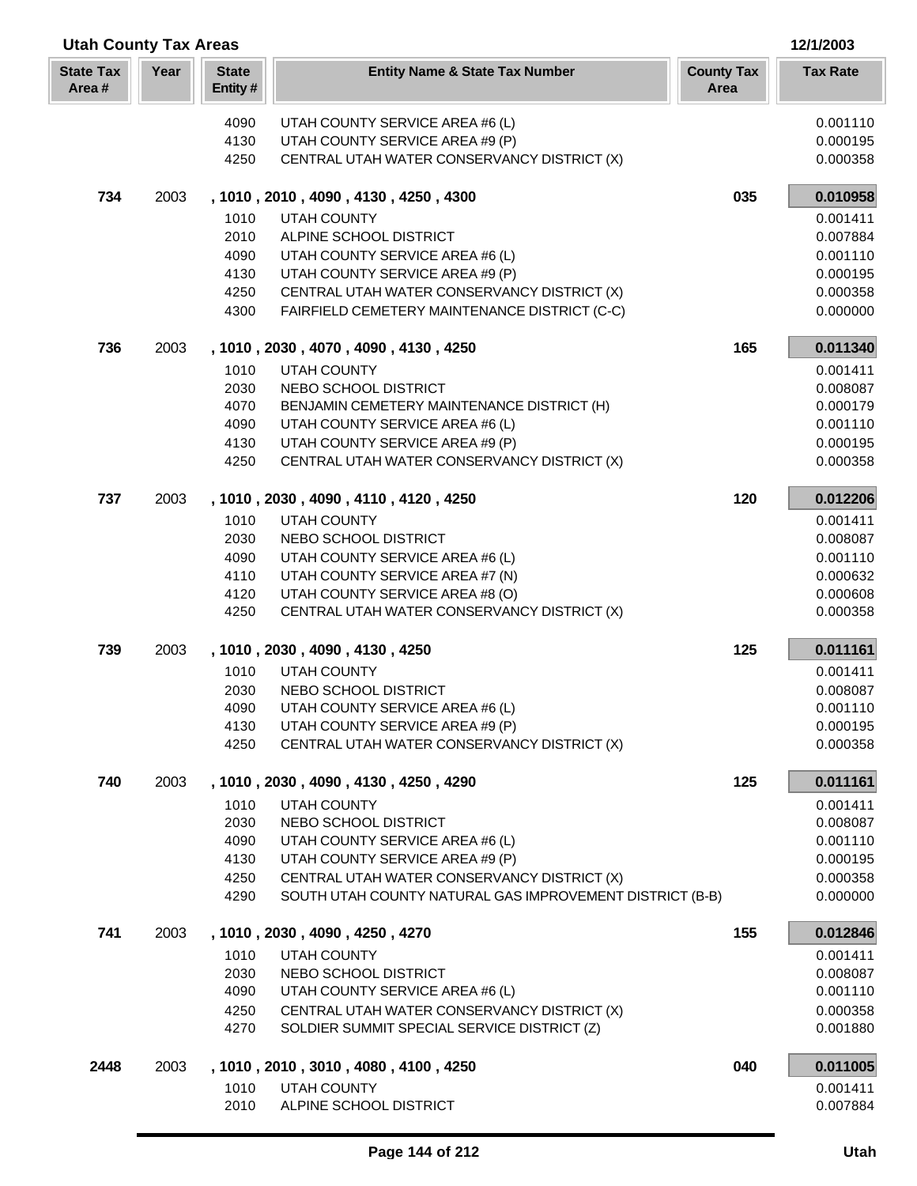| Year<br><b>State Tax</b><br><b>State</b><br><b>Entity Name &amp; State Tax Number</b><br><b>County Tax</b><br><b>Tax Rate</b><br>Area#<br>Entity#<br>Area<br>UTAH COUNTY SERVICE AREA #6 (L)<br>0.001110<br>4090<br>4130<br>UTAH COUNTY SERVICE AREA #9 (P)<br>0.000195<br>4250<br>CENTRAL UTAH WATER CONSERVANCY DISTRICT (X)<br>0.000358<br>734<br>035<br>0.010958<br>2003<br>, 1010, 2010, 4090, 4130, 4250, 4300<br>1010<br><b>UTAH COUNTY</b><br>0.001411<br>2010<br>ALPINE SCHOOL DISTRICT<br>0.007884<br>4090<br>UTAH COUNTY SERVICE AREA #6 (L)<br>0.001110<br>4130<br>UTAH COUNTY SERVICE AREA #9 (P)<br>0.000195<br>4250<br>CENTRAL UTAH WATER CONSERVANCY DISTRICT (X)<br>0.000358<br>4300<br>FAIRFIELD CEMETERY MAINTENANCE DISTRICT (C-C)<br>0.000000<br>736<br>0.011340<br>2003<br>165<br>, 1010, 2030, 4070, 4090, 4130, 4250<br>1010<br><b>UTAH COUNTY</b><br>0.001411<br>2030<br>NEBO SCHOOL DISTRICT<br>0.008087<br>4070<br>BENJAMIN CEMETERY MAINTENANCE DISTRICT (H)<br>0.000179<br>4090<br>UTAH COUNTY SERVICE AREA #6 (L)<br>0.001110<br>4130<br>UTAH COUNTY SERVICE AREA #9 (P)<br>0.000195<br>4250<br>CENTRAL UTAH WATER CONSERVANCY DISTRICT (X)<br>0.000358<br>737<br>2003<br>120<br>0.012206<br>, 1010, 2030, 4090, 4110, 4120, 4250<br>1010<br><b>UTAH COUNTY</b><br>0.001411<br>2030<br>NEBO SCHOOL DISTRICT<br>0.008087<br>4090<br>UTAH COUNTY SERVICE AREA #6 (L)<br>0.001110<br>4110<br>UTAH COUNTY SERVICE AREA #7 (N)<br>0.000632<br>4120<br>UTAH COUNTY SERVICE AREA #8 (O)<br>0.000608<br>4250<br>CENTRAL UTAH WATER CONSERVANCY DISTRICT (X)<br>0.000358<br>739<br>125<br>2003<br>, 1010, 2030, 4090, 4130, 4250<br>0.011161<br>1010<br><b>UTAH COUNTY</b><br>0.001411<br>2030<br>NEBO SCHOOL DISTRICT<br>0.008087<br>4090<br>UTAH COUNTY SERVICE AREA #6 (L)<br>0.001110<br>UTAH COUNTY SERVICE AREA #9 (P)<br>4130<br>0.000195<br>4250<br>CENTRAL UTAH WATER CONSERVANCY DISTRICT (X)<br>0.000358<br>740<br>125<br>2003<br>, 1010, 2030, 4090, 4130, 4250, 4290<br>0.011161<br>1010<br><b>UTAH COUNTY</b><br>0.001411<br>2030<br>NEBO SCHOOL DISTRICT<br>0.008087<br>UTAH COUNTY SERVICE AREA #6 (L)<br>4090<br>0.001110<br>4130<br>UTAH COUNTY SERVICE AREA #9 (P)<br>0.000195<br>CENTRAL UTAH WATER CONSERVANCY DISTRICT (X)<br>0.000358<br>4250<br>SOUTH UTAH COUNTY NATURAL GAS IMPROVEMENT DISTRICT (B-B)<br>4290<br>0.000000<br>741<br>155<br>0.012846<br>2003<br>, 1010, 2030, 4090, 4250, 4270<br>1010<br><b>UTAH COUNTY</b><br>0.001411<br>2030<br>NEBO SCHOOL DISTRICT<br>0.008087<br>4090<br>UTAH COUNTY SERVICE AREA #6 (L)<br>0.001110<br>CENTRAL UTAH WATER CONSERVANCY DISTRICT (X)<br>4250<br>0.000358<br>4270<br>SOLDIER SUMMIT SPECIAL SERVICE DISTRICT (Z)<br>0.001880<br>0.011005<br>2448<br>2003<br>, 1010, 2010, 3010, 4080, 4100, 4250<br>040<br>1010<br>UTAH COUNTY<br>0.001411<br>2010<br>ALPINE SCHOOL DISTRICT<br>0.007884 | <b>Utah County Tax Areas</b> |  |  |  | 12/1/2003 |
|----------------------------------------------------------------------------------------------------------------------------------------------------------------------------------------------------------------------------------------------------------------------------------------------------------------------------------------------------------------------------------------------------------------------------------------------------------------------------------------------------------------------------------------------------------------------------------------------------------------------------------------------------------------------------------------------------------------------------------------------------------------------------------------------------------------------------------------------------------------------------------------------------------------------------------------------------------------------------------------------------------------------------------------------------------------------------------------------------------------------------------------------------------------------------------------------------------------------------------------------------------------------------------------------------------------------------------------------------------------------------------------------------------------------------------------------------------------------------------------------------------------------------------------------------------------------------------------------------------------------------------------------------------------------------------------------------------------------------------------------------------------------------------------------------------------------------------------------------------------------------------------------------------------------------------------------------------------------------------------------------------------------------------------------------------------------------------------------------------------------------------------------------------------------------------------------------------------------------------------------------------------------------------------------------------------------------------------------------------------------------------------------------------------------------------------------------------------------------------------------------------------------------------------------------------------------------------------------------------------------------------------------------------------------------------------------------------------------------------------------------------------------------------------------------------------------------------------------------------------------------------------------|------------------------------|--|--|--|-----------|
|                                                                                                                                                                                                                                                                                                                                                                                                                                                                                                                                                                                                                                                                                                                                                                                                                                                                                                                                                                                                                                                                                                                                                                                                                                                                                                                                                                                                                                                                                                                                                                                                                                                                                                                                                                                                                                                                                                                                                                                                                                                                                                                                                                                                                                                                                                                                                                                                                                                                                                                                                                                                                                                                                                                                                                                                                                                                                              |                              |  |  |  |           |
|                                                                                                                                                                                                                                                                                                                                                                                                                                                                                                                                                                                                                                                                                                                                                                                                                                                                                                                                                                                                                                                                                                                                                                                                                                                                                                                                                                                                                                                                                                                                                                                                                                                                                                                                                                                                                                                                                                                                                                                                                                                                                                                                                                                                                                                                                                                                                                                                                                                                                                                                                                                                                                                                                                                                                                                                                                                                                              |                              |  |  |  |           |
|                                                                                                                                                                                                                                                                                                                                                                                                                                                                                                                                                                                                                                                                                                                                                                                                                                                                                                                                                                                                                                                                                                                                                                                                                                                                                                                                                                                                                                                                                                                                                                                                                                                                                                                                                                                                                                                                                                                                                                                                                                                                                                                                                                                                                                                                                                                                                                                                                                                                                                                                                                                                                                                                                                                                                                                                                                                                                              |                              |  |  |  |           |
|                                                                                                                                                                                                                                                                                                                                                                                                                                                                                                                                                                                                                                                                                                                                                                                                                                                                                                                                                                                                                                                                                                                                                                                                                                                                                                                                                                                                                                                                                                                                                                                                                                                                                                                                                                                                                                                                                                                                                                                                                                                                                                                                                                                                                                                                                                                                                                                                                                                                                                                                                                                                                                                                                                                                                                                                                                                                                              |                              |  |  |  |           |
|                                                                                                                                                                                                                                                                                                                                                                                                                                                                                                                                                                                                                                                                                                                                                                                                                                                                                                                                                                                                                                                                                                                                                                                                                                                                                                                                                                                                                                                                                                                                                                                                                                                                                                                                                                                                                                                                                                                                                                                                                                                                                                                                                                                                                                                                                                                                                                                                                                                                                                                                                                                                                                                                                                                                                                                                                                                                                              |                              |  |  |  |           |
|                                                                                                                                                                                                                                                                                                                                                                                                                                                                                                                                                                                                                                                                                                                                                                                                                                                                                                                                                                                                                                                                                                                                                                                                                                                                                                                                                                                                                                                                                                                                                                                                                                                                                                                                                                                                                                                                                                                                                                                                                                                                                                                                                                                                                                                                                                                                                                                                                                                                                                                                                                                                                                                                                                                                                                                                                                                                                              |                              |  |  |  |           |
|                                                                                                                                                                                                                                                                                                                                                                                                                                                                                                                                                                                                                                                                                                                                                                                                                                                                                                                                                                                                                                                                                                                                                                                                                                                                                                                                                                                                                                                                                                                                                                                                                                                                                                                                                                                                                                                                                                                                                                                                                                                                                                                                                                                                                                                                                                                                                                                                                                                                                                                                                                                                                                                                                                                                                                                                                                                                                              |                              |  |  |  |           |
|                                                                                                                                                                                                                                                                                                                                                                                                                                                                                                                                                                                                                                                                                                                                                                                                                                                                                                                                                                                                                                                                                                                                                                                                                                                                                                                                                                                                                                                                                                                                                                                                                                                                                                                                                                                                                                                                                                                                                                                                                                                                                                                                                                                                                                                                                                                                                                                                                                                                                                                                                                                                                                                                                                                                                                                                                                                                                              |                              |  |  |  |           |
|                                                                                                                                                                                                                                                                                                                                                                                                                                                                                                                                                                                                                                                                                                                                                                                                                                                                                                                                                                                                                                                                                                                                                                                                                                                                                                                                                                                                                                                                                                                                                                                                                                                                                                                                                                                                                                                                                                                                                                                                                                                                                                                                                                                                                                                                                                                                                                                                                                                                                                                                                                                                                                                                                                                                                                                                                                                                                              |                              |  |  |  |           |
|                                                                                                                                                                                                                                                                                                                                                                                                                                                                                                                                                                                                                                                                                                                                                                                                                                                                                                                                                                                                                                                                                                                                                                                                                                                                                                                                                                                                                                                                                                                                                                                                                                                                                                                                                                                                                                                                                                                                                                                                                                                                                                                                                                                                                                                                                                                                                                                                                                                                                                                                                                                                                                                                                                                                                                                                                                                                                              |                              |  |  |  |           |
|                                                                                                                                                                                                                                                                                                                                                                                                                                                                                                                                                                                                                                                                                                                                                                                                                                                                                                                                                                                                                                                                                                                                                                                                                                                                                                                                                                                                                                                                                                                                                                                                                                                                                                                                                                                                                                                                                                                                                                                                                                                                                                                                                                                                                                                                                                                                                                                                                                                                                                                                                                                                                                                                                                                                                                                                                                                                                              |                              |  |  |  |           |
|                                                                                                                                                                                                                                                                                                                                                                                                                                                                                                                                                                                                                                                                                                                                                                                                                                                                                                                                                                                                                                                                                                                                                                                                                                                                                                                                                                                                                                                                                                                                                                                                                                                                                                                                                                                                                                                                                                                                                                                                                                                                                                                                                                                                                                                                                                                                                                                                                                                                                                                                                                                                                                                                                                                                                                                                                                                                                              |                              |  |  |  |           |
|                                                                                                                                                                                                                                                                                                                                                                                                                                                                                                                                                                                                                                                                                                                                                                                                                                                                                                                                                                                                                                                                                                                                                                                                                                                                                                                                                                                                                                                                                                                                                                                                                                                                                                                                                                                                                                                                                                                                                                                                                                                                                                                                                                                                                                                                                                                                                                                                                                                                                                                                                                                                                                                                                                                                                                                                                                                                                              |                              |  |  |  |           |
|                                                                                                                                                                                                                                                                                                                                                                                                                                                                                                                                                                                                                                                                                                                                                                                                                                                                                                                                                                                                                                                                                                                                                                                                                                                                                                                                                                                                                                                                                                                                                                                                                                                                                                                                                                                                                                                                                                                                                                                                                                                                                                                                                                                                                                                                                                                                                                                                                                                                                                                                                                                                                                                                                                                                                                                                                                                                                              |                              |  |  |  |           |
|                                                                                                                                                                                                                                                                                                                                                                                                                                                                                                                                                                                                                                                                                                                                                                                                                                                                                                                                                                                                                                                                                                                                                                                                                                                                                                                                                                                                                                                                                                                                                                                                                                                                                                                                                                                                                                                                                                                                                                                                                                                                                                                                                                                                                                                                                                                                                                                                                                                                                                                                                                                                                                                                                                                                                                                                                                                                                              |                              |  |  |  |           |
|                                                                                                                                                                                                                                                                                                                                                                                                                                                                                                                                                                                                                                                                                                                                                                                                                                                                                                                                                                                                                                                                                                                                                                                                                                                                                                                                                                                                                                                                                                                                                                                                                                                                                                                                                                                                                                                                                                                                                                                                                                                                                                                                                                                                                                                                                                                                                                                                                                                                                                                                                                                                                                                                                                                                                                                                                                                                                              |                              |  |  |  |           |
|                                                                                                                                                                                                                                                                                                                                                                                                                                                                                                                                                                                                                                                                                                                                                                                                                                                                                                                                                                                                                                                                                                                                                                                                                                                                                                                                                                                                                                                                                                                                                                                                                                                                                                                                                                                                                                                                                                                                                                                                                                                                                                                                                                                                                                                                                                                                                                                                                                                                                                                                                                                                                                                                                                                                                                                                                                                                                              |                              |  |  |  |           |
|                                                                                                                                                                                                                                                                                                                                                                                                                                                                                                                                                                                                                                                                                                                                                                                                                                                                                                                                                                                                                                                                                                                                                                                                                                                                                                                                                                                                                                                                                                                                                                                                                                                                                                                                                                                                                                                                                                                                                                                                                                                                                                                                                                                                                                                                                                                                                                                                                                                                                                                                                                                                                                                                                                                                                                                                                                                                                              |                              |  |  |  |           |
|                                                                                                                                                                                                                                                                                                                                                                                                                                                                                                                                                                                                                                                                                                                                                                                                                                                                                                                                                                                                                                                                                                                                                                                                                                                                                                                                                                                                                                                                                                                                                                                                                                                                                                                                                                                                                                                                                                                                                                                                                                                                                                                                                                                                                                                                                                                                                                                                                                                                                                                                                                                                                                                                                                                                                                                                                                                                                              |                              |  |  |  |           |
|                                                                                                                                                                                                                                                                                                                                                                                                                                                                                                                                                                                                                                                                                                                                                                                                                                                                                                                                                                                                                                                                                                                                                                                                                                                                                                                                                                                                                                                                                                                                                                                                                                                                                                                                                                                                                                                                                                                                                                                                                                                                                                                                                                                                                                                                                                                                                                                                                                                                                                                                                                                                                                                                                                                                                                                                                                                                                              |                              |  |  |  |           |
|                                                                                                                                                                                                                                                                                                                                                                                                                                                                                                                                                                                                                                                                                                                                                                                                                                                                                                                                                                                                                                                                                                                                                                                                                                                                                                                                                                                                                                                                                                                                                                                                                                                                                                                                                                                                                                                                                                                                                                                                                                                                                                                                                                                                                                                                                                                                                                                                                                                                                                                                                                                                                                                                                                                                                                                                                                                                                              |                              |  |  |  |           |
|                                                                                                                                                                                                                                                                                                                                                                                                                                                                                                                                                                                                                                                                                                                                                                                                                                                                                                                                                                                                                                                                                                                                                                                                                                                                                                                                                                                                                                                                                                                                                                                                                                                                                                                                                                                                                                                                                                                                                                                                                                                                                                                                                                                                                                                                                                                                                                                                                                                                                                                                                                                                                                                                                                                                                                                                                                                                                              |                              |  |  |  |           |
|                                                                                                                                                                                                                                                                                                                                                                                                                                                                                                                                                                                                                                                                                                                                                                                                                                                                                                                                                                                                                                                                                                                                                                                                                                                                                                                                                                                                                                                                                                                                                                                                                                                                                                                                                                                                                                                                                                                                                                                                                                                                                                                                                                                                                                                                                                                                                                                                                                                                                                                                                                                                                                                                                                                                                                                                                                                                                              |                              |  |  |  |           |
|                                                                                                                                                                                                                                                                                                                                                                                                                                                                                                                                                                                                                                                                                                                                                                                                                                                                                                                                                                                                                                                                                                                                                                                                                                                                                                                                                                                                                                                                                                                                                                                                                                                                                                                                                                                                                                                                                                                                                                                                                                                                                                                                                                                                                                                                                                                                                                                                                                                                                                                                                                                                                                                                                                                                                                                                                                                                                              |                              |  |  |  |           |
|                                                                                                                                                                                                                                                                                                                                                                                                                                                                                                                                                                                                                                                                                                                                                                                                                                                                                                                                                                                                                                                                                                                                                                                                                                                                                                                                                                                                                                                                                                                                                                                                                                                                                                                                                                                                                                                                                                                                                                                                                                                                                                                                                                                                                                                                                                                                                                                                                                                                                                                                                                                                                                                                                                                                                                                                                                                                                              |                              |  |  |  |           |
|                                                                                                                                                                                                                                                                                                                                                                                                                                                                                                                                                                                                                                                                                                                                                                                                                                                                                                                                                                                                                                                                                                                                                                                                                                                                                                                                                                                                                                                                                                                                                                                                                                                                                                                                                                                                                                                                                                                                                                                                                                                                                                                                                                                                                                                                                                                                                                                                                                                                                                                                                                                                                                                                                                                                                                                                                                                                                              |                              |  |  |  |           |
|                                                                                                                                                                                                                                                                                                                                                                                                                                                                                                                                                                                                                                                                                                                                                                                                                                                                                                                                                                                                                                                                                                                                                                                                                                                                                                                                                                                                                                                                                                                                                                                                                                                                                                                                                                                                                                                                                                                                                                                                                                                                                                                                                                                                                                                                                                                                                                                                                                                                                                                                                                                                                                                                                                                                                                                                                                                                                              |                              |  |  |  |           |
|                                                                                                                                                                                                                                                                                                                                                                                                                                                                                                                                                                                                                                                                                                                                                                                                                                                                                                                                                                                                                                                                                                                                                                                                                                                                                                                                                                                                                                                                                                                                                                                                                                                                                                                                                                                                                                                                                                                                                                                                                                                                                                                                                                                                                                                                                                                                                                                                                                                                                                                                                                                                                                                                                                                                                                                                                                                                                              |                              |  |  |  |           |
|                                                                                                                                                                                                                                                                                                                                                                                                                                                                                                                                                                                                                                                                                                                                                                                                                                                                                                                                                                                                                                                                                                                                                                                                                                                                                                                                                                                                                                                                                                                                                                                                                                                                                                                                                                                                                                                                                                                                                                                                                                                                                                                                                                                                                                                                                                                                                                                                                                                                                                                                                                                                                                                                                                                                                                                                                                                                                              |                              |  |  |  |           |
|                                                                                                                                                                                                                                                                                                                                                                                                                                                                                                                                                                                                                                                                                                                                                                                                                                                                                                                                                                                                                                                                                                                                                                                                                                                                                                                                                                                                                                                                                                                                                                                                                                                                                                                                                                                                                                                                                                                                                                                                                                                                                                                                                                                                                                                                                                                                                                                                                                                                                                                                                                                                                                                                                                                                                                                                                                                                                              |                              |  |  |  |           |
|                                                                                                                                                                                                                                                                                                                                                                                                                                                                                                                                                                                                                                                                                                                                                                                                                                                                                                                                                                                                                                                                                                                                                                                                                                                                                                                                                                                                                                                                                                                                                                                                                                                                                                                                                                                                                                                                                                                                                                                                                                                                                                                                                                                                                                                                                                                                                                                                                                                                                                                                                                                                                                                                                                                                                                                                                                                                                              |                              |  |  |  |           |
|                                                                                                                                                                                                                                                                                                                                                                                                                                                                                                                                                                                                                                                                                                                                                                                                                                                                                                                                                                                                                                                                                                                                                                                                                                                                                                                                                                                                                                                                                                                                                                                                                                                                                                                                                                                                                                                                                                                                                                                                                                                                                                                                                                                                                                                                                                                                                                                                                                                                                                                                                                                                                                                                                                                                                                                                                                                                                              |                              |  |  |  |           |
|                                                                                                                                                                                                                                                                                                                                                                                                                                                                                                                                                                                                                                                                                                                                                                                                                                                                                                                                                                                                                                                                                                                                                                                                                                                                                                                                                                                                                                                                                                                                                                                                                                                                                                                                                                                                                                                                                                                                                                                                                                                                                                                                                                                                                                                                                                                                                                                                                                                                                                                                                                                                                                                                                                                                                                                                                                                                                              |                              |  |  |  |           |
|                                                                                                                                                                                                                                                                                                                                                                                                                                                                                                                                                                                                                                                                                                                                                                                                                                                                                                                                                                                                                                                                                                                                                                                                                                                                                                                                                                                                                                                                                                                                                                                                                                                                                                                                                                                                                                                                                                                                                                                                                                                                                                                                                                                                                                                                                                                                                                                                                                                                                                                                                                                                                                                                                                                                                                                                                                                                                              |                              |  |  |  |           |
|                                                                                                                                                                                                                                                                                                                                                                                                                                                                                                                                                                                                                                                                                                                                                                                                                                                                                                                                                                                                                                                                                                                                                                                                                                                                                                                                                                                                                                                                                                                                                                                                                                                                                                                                                                                                                                                                                                                                                                                                                                                                                                                                                                                                                                                                                                                                                                                                                                                                                                                                                                                                                                                                                                                                                                                                                                                                                              |                              |  |  |  |           |
|                                                                                                                                                                                                                                                                                                                                                                                                                                                                                                                                                                                                                                                                                                                                                                                                                                                                                                                                                                                                                                                                                                                                                                                                                                                                                                                                                                                                                                                                                                                                                                                                                                                                                                                                                                                                                                                                                                                                                                                                                                                                                                                                                                                                                                                                                                                                                                                                                                                                                                                                                                                                                                                                                                                                                                                                                                                                                              |                              |  |  |  |           |
|                                                                                                                                                                                                                                                                                                                                                                                                                                                                                                                                                                                                                                                                                                                                                                                                                                                                                                                                                                                                                                                                                                                                                                                                                                                                                                                                                                                                                                                                                                                                                                                                                                                                                                                                                                                                                                                                                                                                                                                                                                                                                                                                                                                                                                                                                                                                                                                                                                                                                                                                                                                                                                                                                                                                                                                                                                                                                              |                              |  |  |  |           |
|                                                                                                                                                                                                                                                                                                                                                                                                                                                                                                                                                                                                                                                                                                                                                                                                                                                                                                                                                                                                                                                                                                                                                                                                                                                                                                                                                                                                                                                                                                                                                                                                                                                                                                                                                                                                                                                                                                                                                                                                                                                                                                                                                                                                                                                                                                                                                                                                                                                                                                                                                                                                                                                                                                                                                                                                                                                                                              |                              |  |  |  |           |
|                                                                                                                                                                                                                                                                                                                                                                                                                                                                                                                                                                                                                                                                                                                                                                                                                                                                                                                                                                                                                                                                                                                                                                                                                                                                                                                                                                                                                                                                                                                                                                                                                                                                                                                                                                                                                                                                                                                                                                                                                                                                                                                                                                                                                                                                                                                                                                                                                                                                                                                                                                                                                                                                                                                                                                                                                                                                                              |                              |  |  |  |           |
|                                                                                                                                                                                                                                                                                                                                                                                                                                                                                                                                                                                                                                                                                                                                                                                                                                                                                                                                                                                                                                                                                                                                                                                                                                                                                                                                                                                                                                                                                                                                                                                                                                                                                                                                                                                                                                                                                                                                                                                                                                                                                                                                                                                                                                                                                                                                                                                                                                                                                                                                                                                                                                                                                                                                                                                                                                                                                              |                              |  |  |  |           |
|                                                                                                                                                                                                                                                                                                                                                                                                                                                                                                                                                                                                                                                                                                                                                                                                                                                                                                                                                                                                                                                                                                                                                                                                                                                                                                                                                                                                                                                                                                                                                                                                                                                                                                                                                                                                                                                                                                                                                                                                                                                                                                                                                                                                                                                                                                                                                                                                                                                                                                                                                                                                                                                                                                                                                                                                                                                                                              |                              |  |  |  |           |
|                                                                                                                                                                                                                                                                                                                                                                                                                                                                                                                                                                                                                                                                                                                                                                                                                                                                                                                                                                                                                                                                                                                                                                                                                                                                                                                                                                                                                                                                                                                                                                                                                                                                                                                                                                                                                                                                                                                                                                                                                                                                                                                                                                                                                                                                                                                                                                                                                                                                                                                                                                                                                                                                                                                                                                                                                                                                                              |                              |  |  |  |           |
|                                                                                                                                                                                                                                                                                                                                                                                                                                                                                                                                                                                                                                                                                                                                                                                                                                                                                                                                                                                                                                                                                                                                                                                                                                                                                                                                                                                                                                                                                                                                                                                                                                                                                                                                                                                                                                                                                                                                                                                                                                                                                                                                                                                                                                                                                                                                                                                                                                                                                                                                                                                                                                                                                                                                                                                                                                                                                              |                              |  |  |  |           |
|                                                                                                                                                                                                                                                                                                                                                                                                                                                                                                                                                                                                                                                                                                                                                                                                                                                                                                                                                                                                                                                                                                                                                                                                                                                                                                                                                                                                                                                                                                                                                                                                                                                                                                                                                                                                                                                                                                                                                                                                                                                                                                                                                                                                                                                                                                                                                                                                                                                                                                                                                                                                                                                                                                                                                                                                                                                                                              |                              |  |  |  |           |
|                                                                                                                                                                                                                                                                                                                                                                                                                                                                                                                                                                                                                                                                                                                                                                                                                                                                                                                                                                                                                                                                                                                                                                                                                                                                                                                                                                                                                                                                                                                                                                                                                                                                                                                                                                                                                                                                                                                                                                                                                                                                                                                                                                                                                                                                                                                                                                                                                                                                                                                                                                                                                                                                                                                                                                                                                                                                                              |                              |  |  |  |           |
|                                                                                                                                                                                                                                                                                                                                                                                                                                                                                                                                                                                                                                                                                                                                                                                                                                                                                                                                                                                                                                                                                                                                                                                                                                                                                                                                                                                                                                                                                                                                                                                                                                                                                                                                                                                                                                                                                                                                                                                                                                                                                                                                                                                                                                                                                                                                                                                                                                                                                                                                                                                                                                                                                                                                                                                                                                                                                              |                              |  |  |  |           |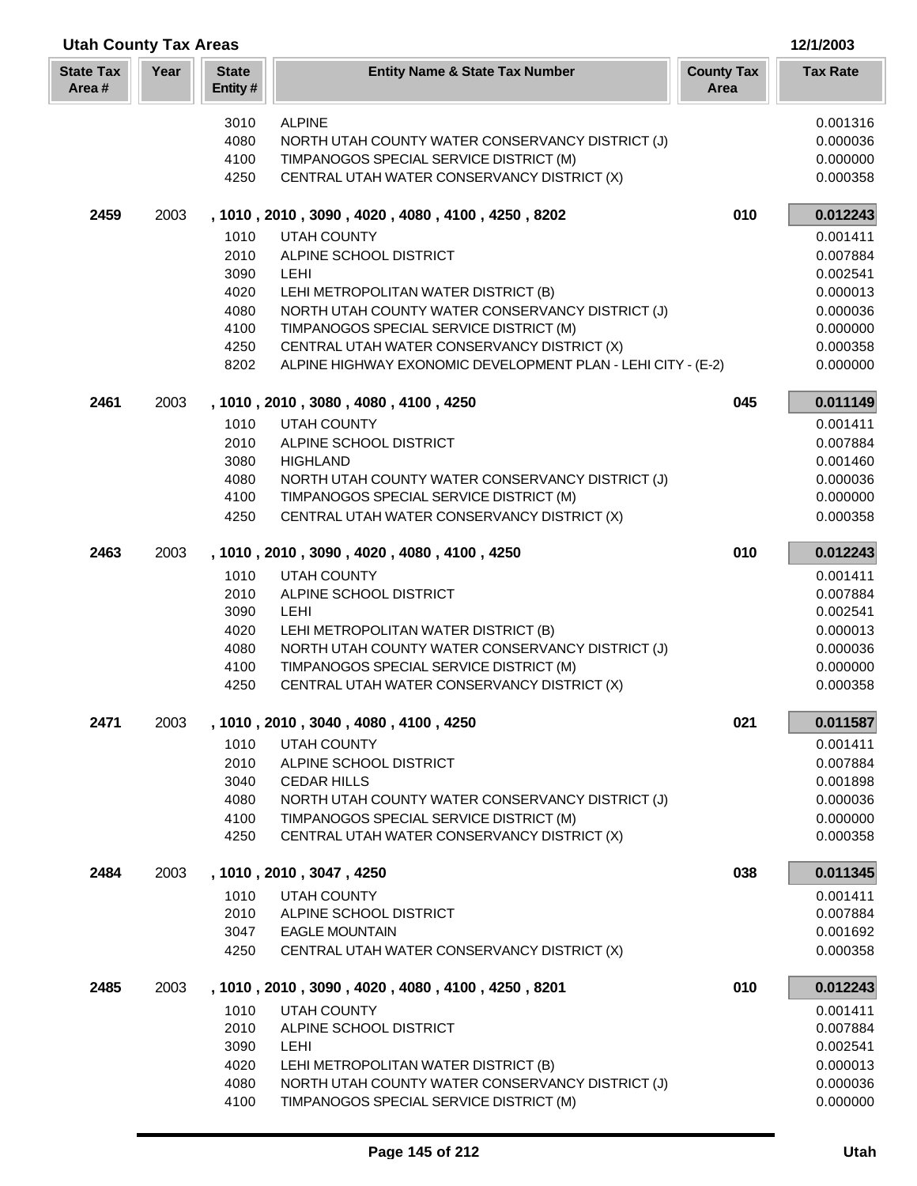| <b>Utah County Tax Areas</b> |      |                         |                                                                                             | 12/1/2003                 |                      |
|------------------------------|------|-------------------------|---------------------------------------------------------------------------------------------|---------------------------|----------------------|
| <b>State Tax</b><br>Area#    | Year | <b>State</b><br>Entity# | <b>Entity Name &amp; State Tax Number</b>                                                   | <b>County Tax</b><br>Area | <b>Tax Rate</b>      |
|                              |      | 3010                    | <b>ALPINE</b>                                                                               |                           | 0.001316             |
|                              |      | 4080                    | NORTH UTAH COUNTY WATER CONSERVANCY DISTRICT (J)                                            |                           | 0.000036             |
|                              |      | 4100                    | TIMPANOGOS SPECIAL SERVICE DISTRICT (M)                                                     |                           | 0.000000             |
|                              |      | 4250                    | CENTRAL UTAH WATER CONSERVANCY DISTRICT (X)                                                 |                           | 0.000358             |
| 2459                         | 2003 |                         | , 1010, 2010, 3090, 4020, 4080, 4100, 4250, 8202                                            | 010                       | 0.012243             |
|                              |      | 1010                    | <b>UTAH COUNTY</b>                                                                          |                           | 0.001411             |
|                              |      | 2010                    | ALPINE SCHOOL DISTRICT                                                                      |                           | 0.007884             |
|                              |      | 3090                    | <b>LEHI</b>                                                                                 |                           | 0.002541             |
|                              |      | 4020                    | LEHI METROPOLITAN WATER DISTRICT (B)                                                        |                           | 0.000013             |
|                              |      | 4080                    | NORTH UTAH COUNTY WATER CONSERVANCY DISTRICT (J)                                            |                           | 0.000036             |
|                              |      | 4100                    | TIMPANOGOS SPECIAL SERVICE DISTRICT (M)                                                     |                           | 0.000000             |
|                              |      | 4250                    | CENTRAL UTAH WATER CONSERVANCY DISTRICT (X)                                                 |                           | 0.000358             |
|                              |      | 8202                    | ALPINE HIGHWAY EXONOMIC DEVELOPMENT PLAN - LEHI CITY - (E-2)                                |                           | 0.000000             |
| 2461                         | 2003 |                         | , 1010, 2010, 3080, 4080, 4100, 4250                                                        | 045                       | 0.011149             |
|                              |      | 1010                    | UTAH COUNTY                                                                                 |                           | 0.001411             |
|                              |      | 2010                    | ALPINE SCHOOL DISTRICT                                                                      |                           | 0.007884             |
|                              |      | 3080                    | <b>HIGHLAND</b>                                                                             |                           | 0.001460             |
|                              |      | 4080                    | NORTH UTAH COUNTY WATER CONSERVANCY DISTRICT (J)                                            |                           | 0.000036             |
|                              |      | 4100                    | TIMPANOGOS SPECIAL SERVICE DISTRICT (M)                                                     |                           | 0.000000             |
|                              |      | 4250                    | CENTRAL UTAH WATER CONSERVANCY DISTRICT (X)                                                 |                           | 0.000358             |
| 2463                         | 2003 |                         | , 1010, 2010, 3090, 4020, 4080, 4100, 4250                                                  | 010                       | 0.012243             |
|                              |      | 1010                    | <b>UTAH COUNTY</b>                                                                          |                           | 0.001411             |
|                              |      | 2010                    | ALPINE SCHOOL DISTRICT                                                                      |                           | 0.007884             |
|                              |      | 3090                    | LEHI                                                                                        |                           | 0.002541             |
|                              |      | 4020                    | LEHI METROPOLITAN WATER DISTRICT (B)                                                        |                           | 0.000013             |
|                              |      | 4080<br>4100            | NORTH UTAH COUNTY WATER CONSERVANCY DISTRICT (J)<br>TIMPANOGOS SPECIAL SERVICE DISTRICT (M) |                           | 0.000036<br>0.000000 |
|                              |      | 4250                    | CENTRAL UTAH WATER CONSERVANCY DISTRICT (X)                                                 |                           | 0.000358             |
| 2471                         | 2003 |                         | , 1010, 2010, 3040, 4080, 4100, 4250                                                        | 021                       | 0.011587             |
|                              |      | 1010                    | UTAH COUNTY                                                                                 |                           | 0.001411             |
|                              |      | 2010                    | ALPINE SCHOOL DISTRICT                                                                      |                           | 0.007884             |
|                              |      | 3040                    | <b>CEDAR HILLS</b>                                                                          |                           | 0.001898             |
|                              |      | 4080                    | NORTH UTAH COUNTY WATER CONSERVANCY DISTRICT (J)                                            |                           | 0.000036             |
|                              |      | 4100                    | TIMPANOGOS SPECIAL SERVICE DISTRICT (M)                                                     |                           | 0.000000             |
|                              |      | 4250                    | CENTRAL UTAH WATER CONSERVANCY DISTRICT (X)                                                 |                           | 0.000358             |
| 2484                         | 2003 |                         | , 1010, 2010, 3047, 4250                                                                    | 038                       | 0.011345             |
|                              |      | 1010                    | UTAH COUNTY                                                                                 |                           | 0.001411             |
|                              |      | 2010                    | ALPINE SCHOOL DISTRICT                                                                      |                           | 0.007884             |
|                              |      | 3047                    | <b>EAGLE MOUNTAIN</b>                                                                       |                           | 0.001692             |
|                              |      | 4250                    | CENTRAL UTAH WATER CONSERVANCY DISTRICT (X)                                                 |                           | 0.000358             |
| 2485                         | 2003 |                         | , 1010, 2010, 3090, 4020, 4080, 4100, 4250, 8201                                            | 010                       | 0.012243             |
|                              |      | 1010                    | UTAH COUNTY                                                                                 |                           | 0.001411             |
|                              |      | 2010                    | ALPINE SCHOOL DISTRICT                                                                      |                           | 0.007884             |
|                              |      | 3090                    | LEHI                                                                                        |                           | 0.002541             |
|                              |      | 4020                    | LEHI METROPOLITAN WATER DISTRICT (B)                                                        |                           | 0.000013             |
|                              |      | 4080                    | NORTH UTAH COUNTY WATER CONSERVANCY DISTRICT (J)                                            |                           | 0.000036             |
|                              |      | 4100                    | TIMPANOGOS SPECIAL SERVICE DISTRICT (M)                                                     |                           | 0.000000             |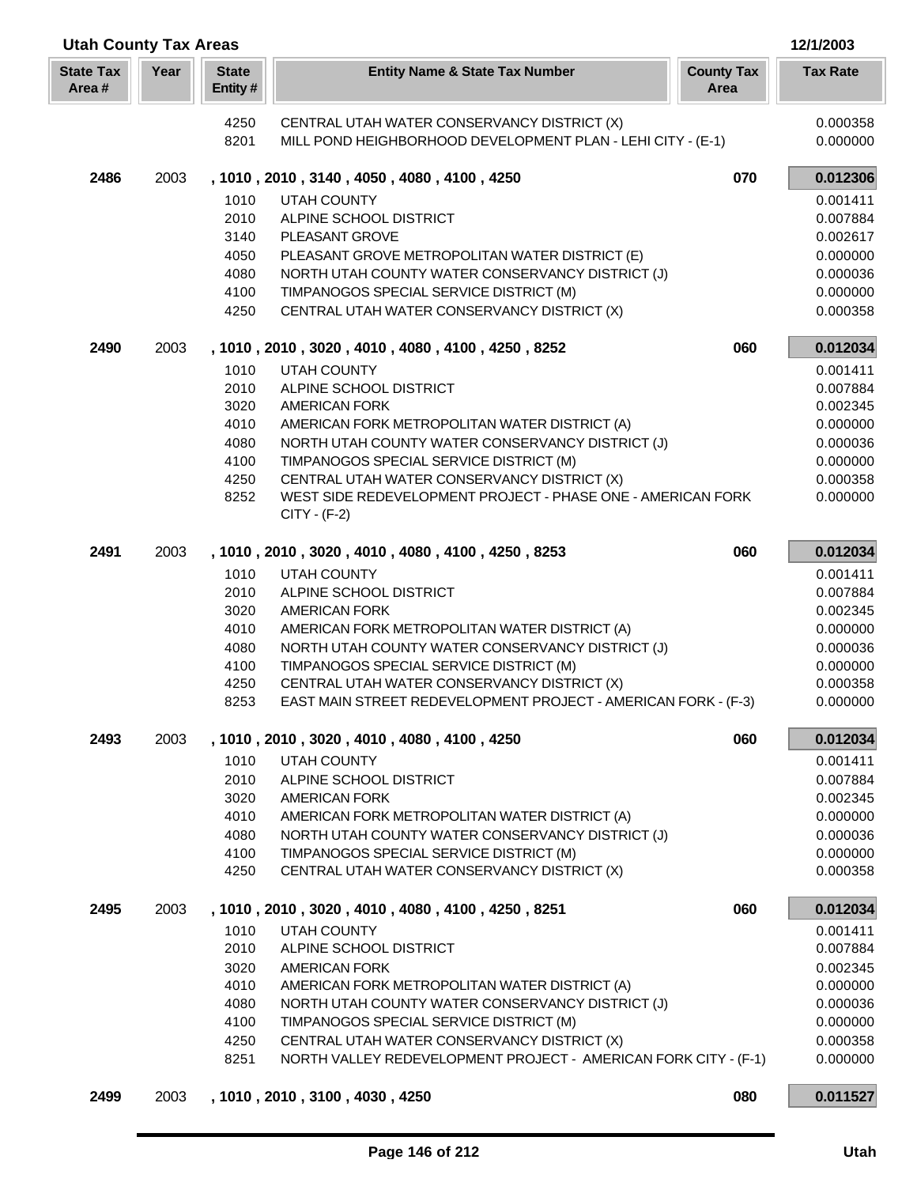| <b>Utah County Tax Areas</b> |      |                         |                                                                                                               |                           |                      |
|------------------------------|------|-------------------------|---------------------------------------------------------------------------------------------------------------|---------------------------|----------------------|
| <b>State Tax</b><br>Area#    | Year | <b>State</b><br>Entity# | <b>Entity Name &amp; State Tax Number</b>                                                                     | <b>County Tax</b><br>Area | <b>Tax Rate</b>      |
|                              |      | 4250                    | CENTRAL UTAH WATER CONSERVANCY DISTRICT (X)                                                                   |                           | 0.000358             |
|                              |      | 8201                    | MILL POND HEIGHBORHOOD DEVELOPMENT PLAN - LEHI CITY - (E-1)                                                   |                           | 0.000000             |
| 2486                         | 2003 |                         | , 1010, 2010, 3140, 4050, 4080, 4100, 4250                                                                    | 070                       | 0.012306             |
|                              |      | 1010                    | <b>UTAH COUNTY</b>                                                                                            |                           | 0.001411             |
|                              |      | 2010                    | ALPINE SCHOOL DISTRICT                                                                                        |                           | 0.007884             |
|                              |      | 3140                    | PLEASANT GROVE                                                                                                |                           | 0.002617             |
|                              |      | 4050                    | PLEASANT GROVE METROPOLITAN WATER DISTRICT (E)                                                                |                           | 0.000000             |
|                              |      | 4080<br>4100            | NORTH UTAH COUNTY WATER CONSERVANCY DISTRICT (J)<br>TIMPANOGOS SPECIAL SERVICE DISTRICT (M)                   |                           | 0.000036             |
|                              |      | 4250                    | CENTRAL UTAH WATER CONSERVANCY DISTRICT (X)                                                                   |                           | 0.000000<br>0.000358 |
| 2490                         | 2003 |                         | , 1010, 2010, 3020, 4010, 4080, 4100, 4250, 8252                                                              | 060                       | 0.012034             |
|                              |      | 1010                    | <b>UTAH COUNTY</b>                                                                                            |                           | 0.001411             |
|                              |      | 2010                    | ALPINE SCHOOL DISTRICT                                                                                        |                           | 0.007884             |
|                              |      | 3020                    | <b>AMERICAN FORK</b>                                                                                          |                           | 0.002345             |
|                              |      | 4010                    | AMERICAN FORK METROPOLITAN WATER DISTRICT (A)                                                                 |                           | 0.000000             |
|                              |      | 4080                    | NORTH UTAH COUNTY WATER CONSERVANCY DISTRICT (J)                                                              |                           | 0.000036             |
|                              |      | 4100                    | TIMPANOGOS SPECIAL SERVICE DISTRICT (M)                                                                       |                           | 0.000000             |
|                              |      | 4250                    | CENTRAL UTAH WATER CONSERVANCY DISTRICT (X)                                                                   |                           | 0.000358             |
|                              |      | 8252                    | WEST SIDE REDEVELOPMENT PROJECT - PHASE ONE - AMERICAN FORK<br>$CITY - (F-2)$                                 |                           | 0.000000             |
| 2491                         | 2003 |                         | , 1010, 2010, 3020, 4010, 4080, 4100, 4250, 8253                                                              | 060                       | 0.012034             |
|                              |      | 1010                    | <b>UTAH COUNTY</b>                                                                                            |                           | 0.001411             |
|                              |      | 2010                    | ALPINE SCHOOL DISTRICT                                                                                        |                           | 0.007884             |
|                              |      | 3020                    | <b>AMERICAN FORK</b>                                                                                          |                           | 0.002345             |
|                              |      | 4010                    | AMERICAN FORK METROPOLITAN WATER DISTRICT (A)                                                                 |                           | 0.000000             |
|                              |      | 4080                    | NORTH UTAH COUNTY WATER CONSERVANCY DISTRICT (J)                                                              |                           | 0.000036             |
|                              |      | 4100                    | TIMPANOGOS SPECIAL SERVICE DISTRICT (M)                                                                       |                           | 0.000000             |
|                              |      | 4250<br>8253            | CENTRAL UTAH WATER CONSERVANCY DISTRICT (X)<br>EAST MAIN STREET REDEVELOPMENT PROJECT - AMERICAN FORK - (F-3) |                           | 0.000358             |
|                              |      |                         |                                                                                                               |                           | 0.000000             |
| 2493                         | 2003 |                         | , 1010, 2010, 3020, 4010, 4080, 4100, 4250                                                                    | 060                       | 0.012034             |
|                              |      | 1010                    | UTAH COUNTY                                                                                                   |                           | 0.001411             |
|                              |      | 2010<br>3020            | ALPINE SCHOOL DISTRICT<br><b>AMERICAN FORK</b>                                                                |                           | 0.007884<br>0.002345 |
|                              |      | 4010                    | AMERICAN FORK METROPOLITAN WATER DISTRICT (A)                                                                 |                           | 0.000000             |
|                              |      | 4080                    | NORTH UTAH COUNTY WATER CONSERVANCY DISTRICT (J)                                                              |                           | 0.000036             |
|                              |      | 4100                    | TIMPANOGOS SPECIAL SERVICE DISTRICT (M)                                                                       |                           | 0.000000             |
|                              |      | 4250                    | CENTRAL UTAH WATER CONSERVANCY DISTRICT (X)                                                                   |                           | 0.000358             |
| 2495                         | 2003 |                         | , 1010, 2010, 3020, 4010, 4080, 4100, 4250, 8251                                                              | 060                       | 0.012034             |
|                              |      | 1010                    | <b>UTAH COUNTY</b>                                                                                            |                           | 0.001411             |
|                              |      | 2010                    | ALPINE SCHOOL DISTRICT                                                                                        |                           | 0.007884             |
|                              |      | 3020                    | <b>AMERICAN FORK</b>                                                                                          |                           | 0.002345             |
|                              |      | 4010                    | AMERICAN FORK METROPOLITAN WATER DISTRICT (A)                                                                 |                           | 0.000000             |
|                              |      | 4080                    | NORTH UTAH COUNTY WATER CONSERVANCY DISTRICT (J)                                                              |                           | 0.000036             |
|                              |      | 4100<br>4250            | TIMPANOGOS SPECIAL SERVICE DISTRICT (M)<br>CENTRAL UTAH WATER CONSERVANCY DISTRICT (X)                        |                           | 0.000000<br>0.000358 |
|                              |      | 8251                    | NORTH VALLEY REDEVELOPMENT PROJECT - AMERICAN FORK CITY - (F-1)                                               |                           | 0.000000             |
| 2499                         | 2003 |                         | , 1010, 2010, 3100, 4030, 4250                                                                                | 080                       | 0.011527             |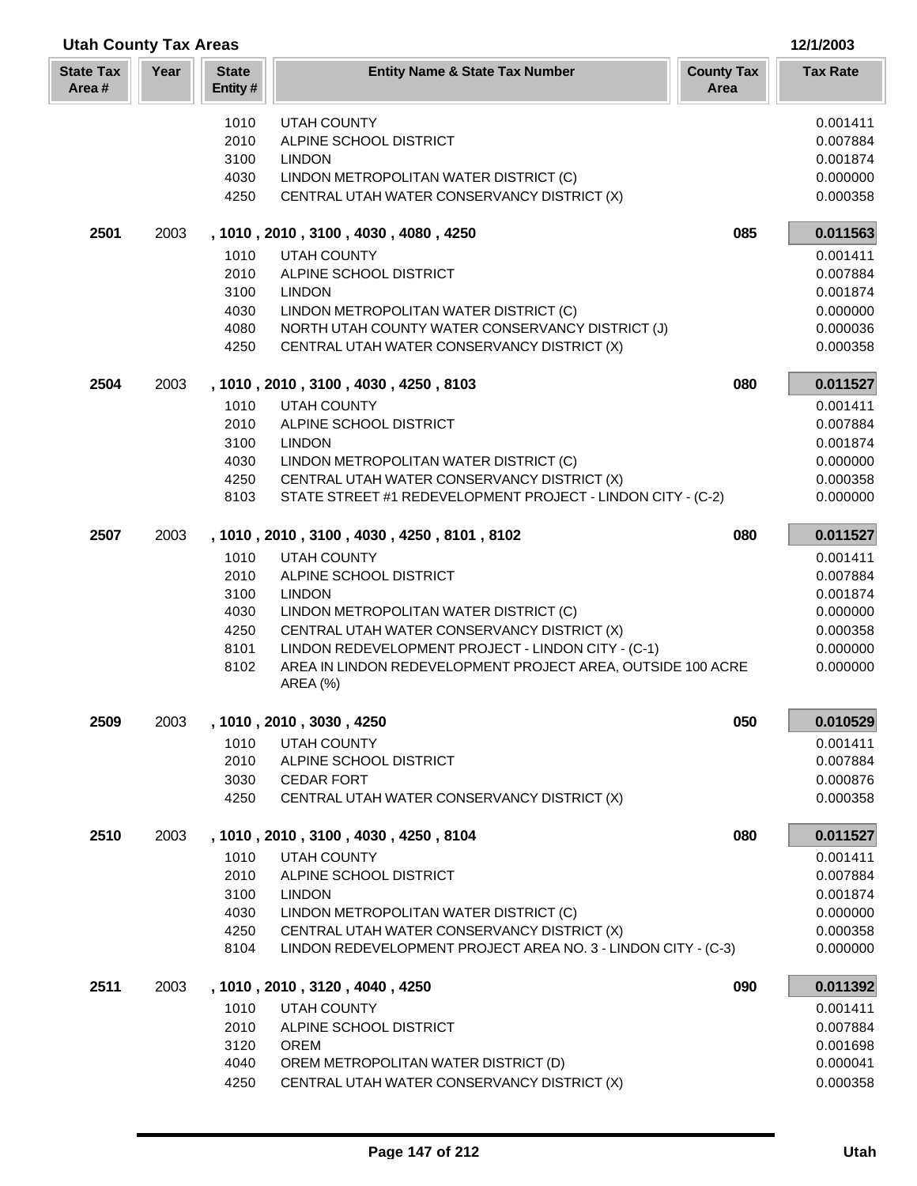| <b>Utah County Tax Areas</b> |      |                         |                                                                                                 |                           | 12/1/2003            |
|------------------------------|------|-------------------------|-------------------------------------------------------------------------------------------------|---------------------------|----------------------|
| <b>State Tax</b><br>Area#    | Year | <b>State</b><br>Entity# | <b>Entity Name &amp; State Tax Number</b>                                                       | <b>County Tax</b><br>Area | <b>Tax Rate</b>      |
|                              |      | 1010                    | <b>UTAH COUNTY</b>                                                                              |                           | 0.001411             |
|                              |      | 2010                    | ALPINE SCHOOL DISTRICT                                                                          |                           | 0.007884             |
|                              |      | 3100                    | <b>LINDON</b>                                                                                   |                           | 0.001874             |
|                              |      | 4030                    | LINDON METROPOLITAN WATER DISTRICT (C)                                                          |                           | 0.000000             |
|                              |      | 4250                    | CENTRAL UTAH WATER CONSERVANCY DISTRICT (X)                                                     |                           | 0.000358             |
| 2501                         | 2003 |                         | , 1010, 2010, 3100, 4030, 4080, 4250                                                            | 085                       | 0.011563             |
|                              |      | 1010                    | <b>UTAH COUNTY</b>                                                                              |                           | 0.001411             |
|                              |      | 2010                    | ALPINE SCHOOL DISTRICT                                                                          |                           | 0.007884             |
|                              |      | 3100                    | <b>LINDON</b>                                                                                   |                           | 0.001874             |
|                              |      | 4030                    | LINDON METROPOLITAN WATER DISTRICT (C)                                                          |                           | 0.000000             |
|                              |      | 4080<br>4250            | NORTH UTAH COUNTY WATER CONSERVANCY DISTRICT (J)<br>CENTRAL UTAH WATER CONSERVANCY DISTRICT (X) |                           | 0.000036<br>0.000358 |
| 2504                         | 2003 |                         | , 1010, 2010, 3100, 4030, 4250, 8103                                                            | 080                       | 0.011527             |
|                              |      | 1010                    | <b>UTAH COUNTY</b>                                                                              |                           | 0.001411             |
|                              |      | 2010                    | ALPINE SCHOOL DISTRICT                                                                          |                           | 0.007884             |
|                              |      | 3100                    | <b>LINDON</b>                                                                                   |                           | 0.001874             |
|                              |      | 4030                    | LINDON METROPOLITAN WATER DISTRICT (C)                                                          |                           | 0.000000             |
|                              |      | 4250                    | CENTRAL UTAH WATER CONSERVANCY DISTRICT (X)                                                     |                           | 0.000358             |
|                              |      | 8103                    | STATE STREET #1 REDEVELOPMENT PROJECT - LINDON CITY - (C-2)                                     |                           | 0.000000             |
| 2507                         | 2003 |                         | , 1010, 2010, 3100, 4030, 4250, 8101, 8102                                                      | 080                       | 0.011527             |
|                              |      | 1010                    | <b>UTAH COUNTY</b>                                                                              |                           | 0.001411             |
|                              |      | 2010                    | ALPINE SCHOOL DISTRICT                                                                          |                           | 0.007884             |
|                              |      | 3100<br>4030            | <b>LINDON</b>                                                                                   |                           | 0.001874<br>0.000000 |
|                              |      | 4250                    | LINDON METROPOLITAN WATER DISTRICT (C)<br>CENTRAL UTAH WATER CONSERVANCY DISTRICT (X)           |                           | 0.000358             |
|                              |      | 8101                    | LINDON REDEVELOPMENT PROJECT - LINDON CITY - (C-1)                                              |                           | 0.000000             |
|                              |      | 8102                    | AREA IN LINDON REDEVELOPMENT PROJECT AREA, OUTSIDE 100 ACRE                                     |                           | 0.000000             |
|                              |      |                         | <b>AREA</b> (%)                                                                                 |                           |                      |
| 2509                         | 2003 |                         | , 1010, 2010, 3030, 4250                                                                        | 050                       | 0.010529             |
|                              |      | 1010                    | UTAH COUNTY                                                                                     |                           | 0.001411             |
|                              |      | 2010                    | ALPINE SCHOOL DISTRICT                                                                          |                           | 0.007884             |
|                              |      | 3030<br>4250            | <b>CEDAR FORT</b><br>CENTRAL UTAH WATER CONSERVANCY DISTRICT (X)                                |                           | 0.000876<br>0.000358 |
|                              |      |                         |                                                                                                 |                           |                      |
| 2510                         | 2003 |                         | , 1010, 2010, 3100, 4030, 4250, 8104                                                            | 080                       | 0.011527             |
|                              |      | 1010                    | UTAH COUNTY                                                                                     |                           | 0.001411             |
|                              |      | 2010                    | ALPINE SCHOOL DISTRICT                                                                          |                           | 0.007884             |
|                              |      | 3100                    | <b>LINDON</b>                                                                                   |                           | 0.001874             |
|                              |      | 4030<br>4250            | LINDON METROPOLITAN WATER DISTRICT (C)<br>CENTRAL UTAH WATER CONSERVANCY DISTRICT (X)           |                           | 0.000000<br>0.000358 |
|                              |      | 8104                    | LINDON REDEVELOPMENT PROJECT AREA NO. 3 - LINDON CITY - (C-3)                                   |                           | 0.000000             |
| 2511                         | 2003 |                         | , 1010, 2010, 3120, 4040, 4250                                                                  | 090                       | 0.011392             |
|                              |      | 1010                    | UTAH COUNTY                                                                                     |                           | 0.001411             |
|                              |      | 2010                    | ALPINE SCHOOL DISTRICT                                                                          |                           | 0.007884             |
|                              |      | 3120                    | <b>OREM</b>                                                                                     |                           | 0.001698             |
|                              |      | 4040                    | OREM METROPOLITAN WATER DISTRICT (D)                                                            |                           | 0.000041             |
|                              |      | 4250                    | CENTRAL UTAH WATER CONSERVANCY DISTRICT (X)                                                     |                           | 0.000358             |

I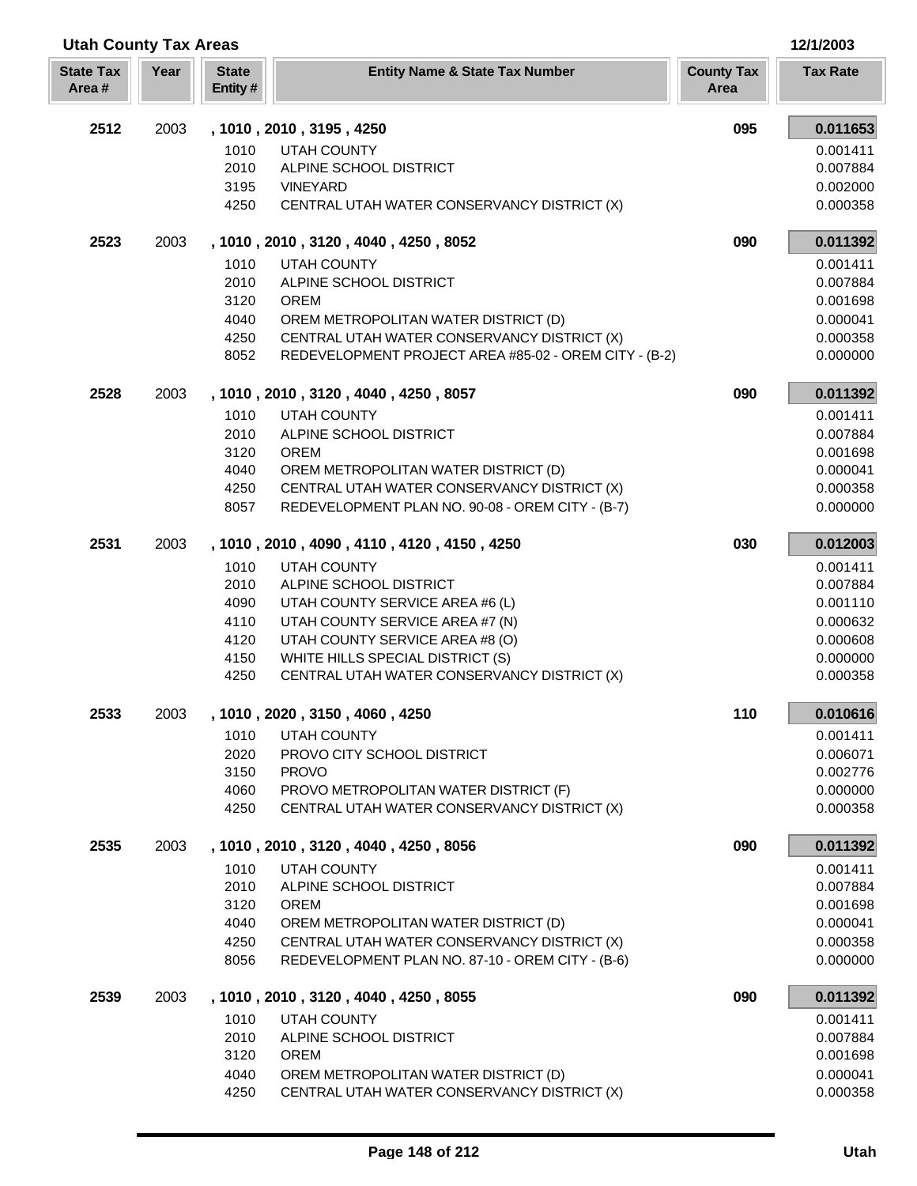| <b>Utah County Tax Areas</b> |      |                         |                                                                                                 |                           | 12/1/2003            |
|------------------------------|------|-------------------------|-------------------------------------------------------------------------------------------------|---------------------------|----------------------|
| <b>State Tax</b><br>Area#    | Year | <b>State</b><br>Entity# | <b>Entity Name &amp; State Tax Number</b>                                                       | <b>County Tax</b><br>Area | <b>Tax Rate</b>      |
| 2512                         | 2003 |                         | , 1010, 2010, 3195, 4250                                                                        | 095                       | 0.011653             |
|                              |      | 1010                    | UTAH COUNTY                                                                                     |                           | 0.001411             |
|                              |      | 2010                    | ALPINE SCHOOL DISTRICT                                                                          |                           | 0.007884             |
|                              |      | 3195                    | <b>VINEYARD</b>                                                                                 |                           | 0.002000             |
|                              |      | 4250                    | CENTRAL UTAH WATER CONSERVANCY DISTRICT (X)                                                     |                           | 0.000358             |
| 2523                         | 2003 |                         | , 1010, 2010, 3120, 4040, 4250, 8052                                                            | 090                       | 0.011392             |
|                              |      | 1010                    | <b>UTAH COUNTY</b>                                                                              |                           | 0.001411             |
|                              |      | 2010                    | ALPINE SCHOOL DISTRICT                                                                          |                           | 0.007884             |
|                              |      | 3120                    | <b>OREM</b>                                                                                     |                           | 0.001698             |
|                              |      | 4040                    | OREM METROPOLITAN WATER DISTRICT (D)                                                            |                           | 0.000041             |
|                              |      | 4250                    | CENTRAL UTAH WATER CONSERVANCY DISTRICT (X)                                                     |                           | 0.000358             |
|                              |      | 8052                    | REDEVELOPMENT PROJECT AREA #85-02 - OREM CITY - (B-2)                                           |                           | 0.000000             |
| 2528                         | 2003 |                         | , 1010, 2010, 3120, 4040, 4250, 8057                                                            | 090                       | 0.011392             |
|                              |      | 1010                    | UTAH COUNTY                                                                                     |                           | 0.001411             |
|                              |      | 2010                    | ALPINE SCHOOL DISTRICT                                                                          |                           | 0.007884             |
|                              |      | 3120                    | <b>OREM</b>                                                                                     |                           | 0.001698             |
|                              |      | 4040                    | OREM METROPOLITAN WATER DISTRICT (D)                                                            |                           | 0.000041             |
|                              |      | 4250                    | CENTRAL UTAH WATER CONSERVANCY DISTRICT (X)                                                     |                           | 0.000358             |
|                              |      | 8057                    | REDEVELOPMENT PLAN NO. 90-08 - OREM CITY - (B-7)                                                |                           | 0.000000             |
| 2531                         | 2003 |                         | , 1010, 2010, 4090, 4110, 4120, 4150, 4250                                                      | 030                       | 0.012003             |
|                              |      | 1010                    | <b>UTAH COUNTY</b>                                                                              |                           | 0.001411             |
|                              |      | 2010                    | ALPINE SCHOOL DISTRICT                                                                          |                           | 0.007884             |
|                              |      | 4090                    | UTAH COUNTY SERVICE AREA #6 (L)                                                                 |                           | 0.001110             |
|                              |      | 4110                    | UTAH COUNTY SERVICE AREA #7 (N)                                                                 |                           | 0.000632             |
|                              |      | 4120                    | UTAH COUNTY SERVICE AREA #8 (O)                                                                 |                           | 0.000608             |
|                              |      | 4150<br>4250            | WHITE HILLS SPECIAL DISTRICT (S)<br>CENTRAL UTAH WATER CONSERVANCY DISTRICT (X)                 |                           | 0.000000<br>0.000358 |
|                              |      |                         |                                                                                                 |                           |                      |
| 2533                         | 2003 |                         | , 1010, 2020, 3150, 4060, 4250                                                                  | 110                       | 0.010616             |
|                              |      | 1010                    | UTAH COUNTY                                                                                     |                           | 0.001411             |
|                              |      | 2020                    | PROVO CITY SCHOOL DISTRICT                                                                      |                           | 0.006071             |
|                              |      | 3150                    | <b>PROVO</b>                                                                                    |                           | 0.002776             |
|                              |      | 4060                    | PROVO METROPOLITAN WATER DISTRICT (F)                                                           |                           | 0.000000             |
|                              |      | 4250                    | CENTRAL UTAH WATER CONSERVANCY DISTRICT (X)                                                     |                           | 0.000358             |
| 2535                         | 2003 |                         | , 1010, 2010, 3120, 4040, 4250, 8056                                                            | 090                       | 0.011392             |
|                              |      | 1010                    | UTAH COUNTY                                                                                     |                           | 0.001411             |
|                              |      | 2010                    | ALPINE SCHOOL DISTRICT                                                                          |                           | 0.007884             |
|                              |      | 3120                    | <b>OREM</b>                                                                                     |                           | 0.001698             |
|                              |      | 4040                    | OREM METROPOLITAN WATER DISTRICT (D)                                                            |                           | 0.000041             |
|                              |      | 4250<br>8056            | CENTRAL UTAH WATER CONSERVANCY DISTRICT (X)<br>REDEVELOPMENT PLAN NO. 87-10 - OREM CITY - (B-6) |                           | 0.000358<br>0.000000 |
| 2539                         | 2003 |                         | , 1010, 2010, 3120, 4040, 4250, 8055                                                            | 090                       | 0.011392             |
|                              |      | 1010                    | UTAH COUNTY                                                                                     |                           | 0.001411             |
|                              |      | 2010                    | ALPINE SCHOOL DISTRICT                                                                          |                           | 0.007884             |
|                              |      | 3120                    | <b>OREM</b>                                                                                     |                           | 0.001698             |
|                              |      | 4040                    | OREM METROPOLITAN WATER DISTRICT (D)                                                            |                           | 0.000041             |
|                              |      | 4250                    | CENTRAL UTAH WATER CONSERVANCY DISTRICT (X)                                                     |                           | 0.000358             |

 $\overline{\phantom{a}}$ L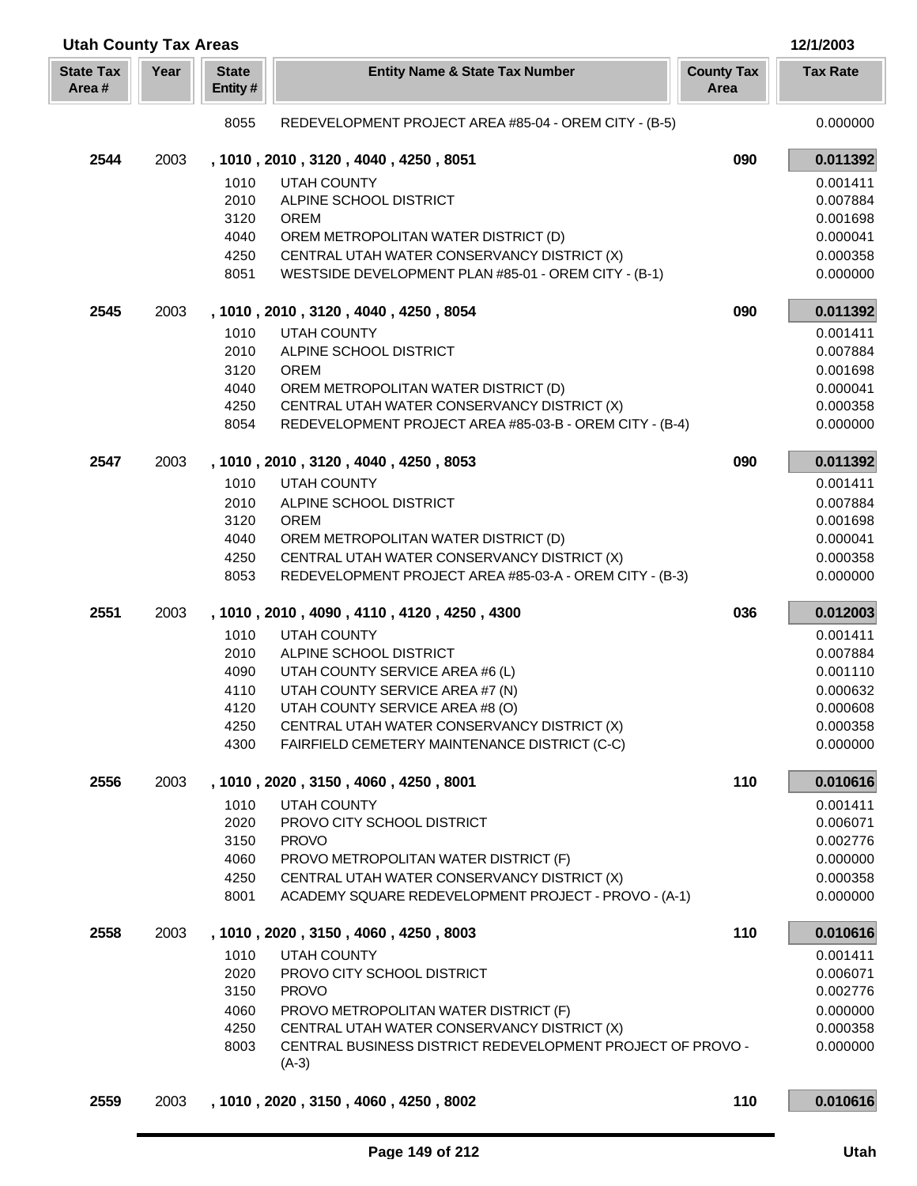| <b>Utah County Tax Areas</b> |      |                         |                                                                                                        |                           | 12/1/2003            |
|------------------------------|------|-------------------------|--------------------------------------------------------------------------------------------------------|---------------------------|----------------------|
| <b>State Tax</b><br>Area#    | Year | <b>State</b><br>Entity# | <b>Entity Name &amp; State Tax Number</b>                                                              | <b>County Tax</b><br>Area | <b>Tax Rate</b>      |
|                              |      | 8055                    | REDEVELOPMENT PROJECT AREA #85-04 - OREM CITY - (B-5)                                                  |                           | 0.000000             |
| 2544                         | 2003 |                         | , 1010, 2010, 3120, 4040, 4250, 8051                                                                   | 090                       | 0.011392             |
|                              |      | 1010                    | UTAH COUNTY                                                                                            |                           | 0.001411             |
|                              |      | 2010                    | ALPINE SCHOOL DISTRICT                                                                                 |                           | 0.007884             |
|                              |      | 3120                    | <b>OREM</b>                                                                                            |                           | 0.001698             |
|                              |      | 4040                    | OREM METROPOLITAN WATER DISTRICT (D)                                                                   |                           | 0.000041             |
|                              |      | 4250                    | CENTRAL UTAH WATER CONSERVANCY DISTRICT (X)                                                            |                           | 0.000358             |
|                              |      | 8051                    | WESTSIDE DEVELOPMENT PLAN #85-01 - OREM CITY - (B-1)                                                   |                           | 0.000000             |
| 2545                         | 2003 |                         | , 1010, 2010, 3120, 4040, 4250, 8054                                                                   | 090                       | 0.011392             |
|                              |      | 1010                    | <b>UTAH COUNTY</b>                                                                                     |                           | 0.001411             |
|                              |      | 2010                    | ALPINE SCHOOL DISTRICT                                                                                 |                           | 0.007884             |
|                              |      | 3120                    | <b>OREM</b>                                                                                            |                           | 0.001698             |
|                              |      | 4040                    | OREM METROPOLITAN WATER DISTRICT (D)                                                                   |                           | 0.000041             |
|                              |      | 4250<br>8054            | CENTRAL UTAH WATER CONSERVANCY DISTRICT (X)<br>REDEVELOPMENT PROJECT AREA #85-03-B - OREM CITY - (B-4) |                           | 0.000358<br>0.000000 |
|                              |      |                         |                                                                                                        |                           |                      |
| 2547                         | 2003 |                         | , 1010, 2010, 3120, 4040, 4250, 8053                                                                   | 090                       | 0.011392             |
|                              |      | 1010                    | <b>UTAH COUNTY</b>                                                                                     |                           | 0.001411             |
|                              |      | 2010                    | ALPINE SCHOOL DISTRICT                                                                                 |                           | 0.007884             |
|                              |      | 3120<br>4040            | <b>OREM</b><br>OREM METROPOLITAN WATER DISTRICT (D)                                                    |                           | 0.001698<br>0.000041 |
|                              |      | 4250                    | CENTRAL UTAH WATER CONSERVANCY DISTRICT (X)                                                            |                           | 0.000358             |
|                              |      | 8053                    | REDEVELOPMENT PROJECT AREA #85-03-A - OREM CITY - (B-3)                                                |                           | 0.000000             |
| 2551                         | 2003 |                         | , 1010, 2010, 4090, 4110, 4120, 4250, 4300                                                             | 036                       | 0.012003             |
|                              |      | 1010                    | <b>UTAH COUNTY</b>                                                                                     |                           | 0.001411             |
|                              |      | 2010                    | ALPINE SCHOOL DISTRICT                                                                                 |                           | 0.007884             |
|                              |      | 4090                    | UTAH COUNTY SERVICE AREA #6 (L)                                                                        |                           | 0.001110             |
|                              |      | 4110                    | UTAH COUNTY SERVICE AREA #7 (N)                                                                        |                           | 0.000632             |
|                              |      | 4120                    | UTAH COUNTY SERVICE AREA #8 (O)                                                                        |                           | 0.000608             |
|                              |      | 4250                    | CENTRAL UTAH WATER CONSERVANCY DISTRICT (X)                                                            |                           | 0.000358             |
|                              |      | 4300                    | FAIRFIELD CEMETERY MAINTENANCE DISTRICT (C-C)                                                          |                           | 0.000000             |
| 2556                         | 2003 |                         | , 1010, 2020, 3150, 4060, 4250, 8001                                                                   | 110                       | 0.010616             |
|                              |      | 1010                    | UTAH COUNTY                                                                                            |                           | 0.001411             |
|                              |      | 2020                    | PROVO CITY SCHOOL DISTRICT                                                                             |                           | 0.006071             |
|                              |      | 3150                    | <b>PROVO</b>                                                                                           |                           | 0.002776             |
|                              |      | 4060                    | PROVO METROPOLITAN WATER DISTRICT (F)                                                                  |                           | 0.000000             |
|                              |      | 4250<br>8001            | CENTRAL UTAH WATER CONSERVANCY DISTRICT (X)<br>ACADEMY SQUARE REDEVELOPMENT PROJECT - PROVO - (A-1)    |                           | 0.000358<br>0.000000 |
| 2558                         | 2003 |                         | , 1010, 2020, 3150, 4060, 4250, 8003                                                                   | 110                       | 0.010616             |
|                              |      |                         |                                                                                                        |                           |                      |
|                              |      | 1010<br>2020            | UTAH COUNTY<br>PROVO CITY SCHOOL DISTRICT                                                              |                           | 0.001411<br>0.006071 |
|                              |      | 3150                    | <b>PROVO</b>                                                                                           |                           | 0.002776             |
|                              |      | 4060                    | PROVO METROPOLITAN WATER DISTRICT (F)                                                                  |                           | 0.000000             |
|                              |      | 4250                    | CENTRAL UTAH WATER CONSERVANCY DISTRICT (X)                                                            |                           | 0.000358             |
|                              |      | 8003                    | CENTRAL BUSINESS DISTRICT REDEVELOPMENT PROJECT OF PROVO -                                             |                           | 0.000000             |
|                              |      |                         | $(A-3)$                                                                                                |                           |                      |
| 2559                         | 2003 |                         | , 1010, 2020, 3150, 4060, 4250, 8002                                                                   | 110                       | 0.010616             |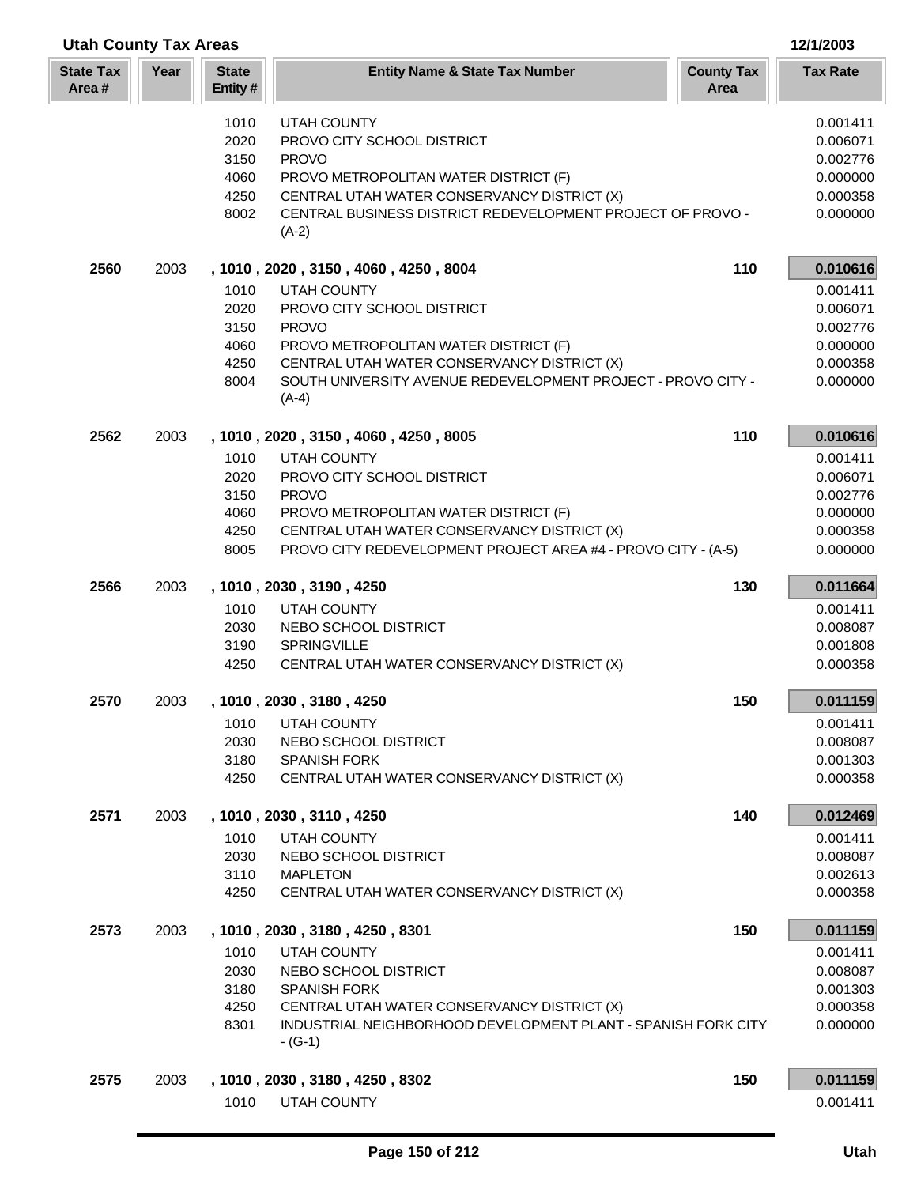| <b>Utah County Tax Areas</b> |      |                         |                                                                            | 12/1/2003                 |                      |
|------------------------------|------|-------------------------|----------------------------------------------------------------------------|---------------------------|----------------------|
| <b>State Tax</b><br>Area#    | Year | <b>State</b><br>Entity# | <b>Entity Name &amp; State Tax Number</b>                                  | <b>County Tax</b><br>Area | <b>Tax Rate</b>      |
|                              |      | 1010                    | <b>UTAH COUNTY</b>                                                         |                           | 0.001411             |
|                              |      | 2020                    | PROVO CITY SCHOOL DISTRICT                                                 |                           | 0.006071             |
|                              |      | 3150                    | <b>PROVO</b>                                                               |                           | 0.002776             |
|                              |      | 4060                    | PROVO METROPOLITAN WATER DISTRICT (F)                                      |                           | 0.000000             |
|                              |      | 4250                    | CENTRAL UTAH WATER CONSERVANCY DISTRICT (X)                                |                           | 0.000358             |
|                              |      | 8002                    | CENTRAL BUSINESS DISTRICT REDEVELOPMENT PROJECT OF PROVO -<br>$(A-2)$      |                           | 0.000000             |
| 2560                         | 2003 |                         | , 1010 , 2020 , 3150 , 4060 , 4250 , 8004                                  | 110                       | 0.010616             |
|                              |      | 1010                    | <b>UTAH COUNTY</b>                                                         |                           | 0.001411             |
|                              |      | 2020                    | PROVO CITY SCHOOL DISTRICT                                                 |                           | 0.006071             |
|                              |      | 3150                    | <b>PROVO</b>                                                               |                           | 0.002776             |
|                              |      | 4060                    | PROVO METROPOLITAN WATER DISTRICT (F)                                      |                           | 0.000000             |
|                              |      | 4250                    | CENTRAL UTAH WATER CONSERVANCY DISTRICT (X)                                |                           | 0.000358             |
|                              |      | 8004                    | SOUTH UNIVERSITY AVENUE REDEVELOPMENT PROJECT - PROVO CITY -<br>$(A-4)$    |                           | 0.000000             |
| 2562                         | 2003 |                         | , 1010, 2020, 3150, 4060, 4250, 8005                                       | 110                       | 0.010616             |
|                              |      | 1010                    | <b>UTAH COUNTY</b>                                                         |                           | 0.001411             |
|                              |      | 2020                    | PROVO CITY SCHOOL DISTRICT                                                 |                           | 0.006071             |
|                              |      | 3150                    | <b>PROVO</b>                                                               |                           | 0.002776             |
|                              |      | 4060                    | PROVO METROPOLITAN WATER DISTRICT (F)                                      |                           | 0.000000             |
|                              |      | 4250                    | CENTRAL UTAH WATER CONSERVANCY DISTRICT (X)                                |                           | 0.000358             |
|                              |      | 8005                    | PROVO CITY REDEVELOPMENT PROJECT AREA #4 - PROVO CITY - (A-5)              |                           | 0.000000             |
| 2566                         | 2003 |                         | , 1010, 2030, 3190, 4250                                                   | 130                       | 0.011664             |
|                              |      | 1010                    | <b>UTAH COUNTY</b>                                                         |                           | 0.001411             |
|                              |      | 2030                    | NEBO SCHOOL DISTRICT                                                       |                           | 0.008087             |
|                              |      | 3190                    | <b>SPRINGVILLE</b>                                                         |                           | 0.001808             |
|                              |      | 4250                    | CENTRAL UTAH WATER CONSERVANCY DISTRICT (X)                                |                           | 0.000358             |
| 2570                         | 2003 |                         | 1010, 2030, 3180, 4250                                                     | 150                       | 0.011159             |
|                              |      | 1010                    | UTAH COUNTY                                                                |                           | 0.001411             |
|                              |      | 2030                    | NEBO SCHOOL DISTRICT                                                       |                           | 0.008087             |
|                              |      | 3180<br>4250            | <b>SPANISH FORK</b><br>CENTRAL UTAH WATER CONSERVANCY DISTRICT (X)         |                           | 0.001303<br>0.000358 |
|                              |      |                         |                                                                            |                           |                      |
| 2571                         | 2003 |                         | , 1010, 2030, 3110, 4250                                                   | 140                       | 0.012469             |
|                              |      | 1010                    | <b>UTAH COUNTY</b>                                                         |                           | 0.001411             |
|                              |      | 2030                    | NEBO SCHOOL DISTRICT                                                       |                           | 0.008087             |
|                              |      | 3110<br>4250            | <b>MAPLETON</b><br>CENTRAL UTAH WATER CONSERVANCY DISTRICT (X)             |                           | 0.002613<br>0.000358 |
|                              |      |                         |                                                                            |                           |                      |
| 2573                         | 2003 |                         | , 1010, 2030, 3180, 4250, 8301                                             | 150                       | 0.011159             |
|                              |      | 1010                    | UTAH COUNTY                                                                |                           | 0.001411             |
|                              |      | 2030                    | NEBO SCHOOL DISTRICT                                                       |                           | 0.008087             |
|                              |      | 3180                    | <b>SPANISH FORK</b>                                                        |                           | 0.001303             |
|                              |      | 4250                    | CENTRAL UTAH WATER CONSERVANCY DISTRICT (X)                                |                           | 0.000358             |
|                              |      | 8301                    | INDUSTRIAL NEIGHBORHOOD DEVELOPMENT PLANT - SPANISH FORK CITY<br>$-$ (G-1) |                           | 0.000000             |
| 2575                         | 2003 |                         | , 1010, 2030, 3180, 4250, 8302                                             | 150                       | 0.011159             |
|                              |      | 1010                    | UTAH COUNTY                                                                |                           | 0.001411             |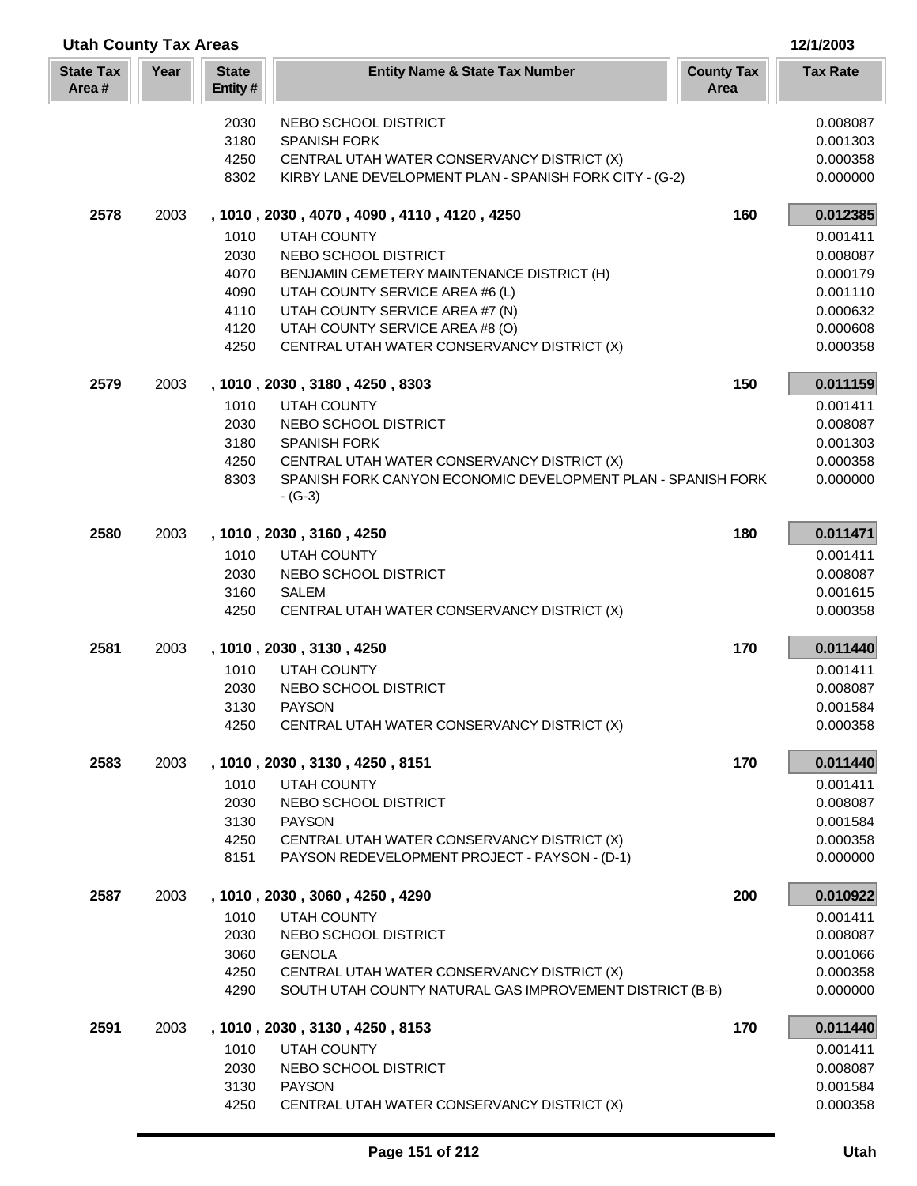| <b>Utah County Tax Areas</b> |      |                         |                                                                                              |                           | 12/1/2003            |
|------------------------------|------|-------------------------|----------------------------------------------------------------------------------------------|---------------------------|----------------------|
| <b>State Tax</b><br>Area#    | Year | <b>State</b><br>Entity# | <b>Entity Name &amp; State Tax Number</b>                                                    | <b>County Tax</b><br>Area | <b>Tax Rate</b>      |
|                              |      | 2030                    | NEBO SCHOOL DISTRICT                                                                         |                           | 0.008087             |
|                              |      | 3180                    | <b>SPANISH FORK</b>                                                                          |                           | 0.001303             |
|                              |      | 4250                    | CENTRAL UTAH WATER CONSERVANCY DISTRICT (X)                                                  |                           | 0.000358             |
|                              |      | 8302                    | KIRBY LANE DEVELOPMENT PLAN - SPANISH FORK CITY - (G-2)                                      |                           | 0.000000             |
| 2578                         | 2003 |                         | , 1010, 2030, 4070, 4090, 4110, 4120, 4250                                                   | 160                       | 0.012385             |
|                              |      | 1010                    | <b>UTAH COUNTY</b>                                                                           |                           | 0.001411             |
|                              |      | 2030                    | NEBO SCHOOL DISTRICT                                                                         |                           | 0.008087             |
|                              |      | 4070                    | BENJAMIN CEMETERY MAINTENANCE DISTRICT (H)                                                   |                           | 0.000179             |
|                              |      | 4090                    | UTAH COUNTY SERVICE AREA #6 (L)                                                              |                           | 0.001110             |
|                              |      | 4110                    | UTAH COUNTY SERVICE AREA #7 (N)                                                              |                           | 0.000632             |
|                              |      | 4120                    | UTAH COUNTY SERVICE AREA #8 (O)                                                              |                           | 0.000608             |
|                              |      | 4250                    | CENTRAL UTAH WATER CONSERVANCY DISTRICT (X)                                                  |                           | 0.000358             |
| 2579                         | 2003 |                         | , 1010, 2030, 3180, 4250, 8303                                                               | 150                       | 0.011159             |
|                              |      | 1010                    | <b>UTAH COUNTY</b>                                                                           |                           | 0.001411             |
|                              |      | 2030                    | NEBO SCHOOL DISTRICT                                                                         |                           | 0.008087             |
|                              |      | 3180                    | <b>SPANISH FORK</b>                                                                          |                           | 0.001303             |
|                              |      | 4250                    | CENTRAL UTAH WATER CONSERVANCY DISTRICT (X)                                                  |                           | 0.000358             |
|                              |      | 8303                    | SPANISH FORK CANYON ECONOMIC DEVELOPMENT PLAN - SPANISH FORK<br>$- (G-3)$                    |                           | 0.000000             |
| 2580                         | 2003 |                         | , 1010, 2030, 3160, 4250                                                                     | 180                       | 0.011471             |
|                              |      | 1010                    | <b>UTAH COUNTY</b>                                                                           |                           | 0.001411             |
|                              |      | 2030                    | NEBO SCHOOL DISTRICT                                                                         |                           | 0.008087             |
|                              |      | 3160                    | <b>SALEM</b>                                                                                 |                           | 0.001615             |
|                              |      | 4250                    | CENTRAL UTAH WATER CONSERVANCY DISTRICT (X)                                                  |                           | 0.000358             |
| 2581                         | 2003 |                         | , 1010, 2030, 3130, 4250                                                                     | 170                       | 0.011440             |
|                              |      | 1010                    | <b>UTAH COUNTY</b>                                                                           |                           | 0.001411             |
|                              |      | 2030                    | NEBO SCHOOL DISTRICT                                                                         |                           | 0.008087             |
|                              |      | 3130                    | <b>PAYSON</b>                                                                                |                           | 0.001584             |
|                              |      | 4250                    | CENTRAL UTAH WATER CONSERVANCY DISTRICT (X)                                                  |                           | 0.000358             |
| 2583                         | 2003 |                         | , 1010, 2030, 3130, 4250, 8151                                                               | 170                       | 0.011440             |
|                              |      | 1010                    | <b>UTAH COUNTY</b>                                                                           |                           | 0.001411             |
|                              |      | 2030                    | NEBO SCHOOL DISTRICT                                                                         |                           | 0.008087             |
|                              |      | 3130                    | <b>PAYSON</b>                                                                                |                           | 0.001584             |
|                              |      | 4250<br>8151            | CENTRAL UTAH WATER CONSERVANCY DISTRICT (X)<br>PAYSON REDEVELOPMENT PROJECT - PAYSON - (D-1) |                           | 0.000358<br>0.000000 |
| 2587                         | 2003 |                         | , 1010, 2030, 3060, 4250, 4290                                                               | 200                       | 0.010922             |
|                              |      | 1010                    | <b>UTAH COUNTY</b>                                                                           |                           | 0.001411             |
|                              |      | 2030                    | NEBO SCHOOL DISTRICT                                                                         |                           | 0.008087             |
|                              |      | 3060                    | <b>GENOLA</b>                                                                                |                           | 0.001066             |
|                              |      | 4250                    | CENTRAL UTAH WATER CONSERVANCY DISTRICT (X)                                                  |                           | 0.000358             |
|                              |      | 4290                    | SOUTH UTAH COUNTY NATURAL GAS IMPROVEMENT DISTRICT (B-B)                                     |                           | 0.000000             |
| 2591                         | 2003 |                         | , 1010, 2030, 3130, 4250, 8153                                                               | 170                       | 0.011440             |
|                              |      | 1010                    | <b>UTAH COUNTY</b>                                                                           |                           | 0.001411             |
|                              |      | 2030                    | NEBO SCHOOL DISTRICT                                                                         |                           | 0.008087             |
|                              |      | 3130                    | <b>PAYSON</b>                                                                                |                           | 0.001584             |
|                              |      | 4250                    | CENTRAL UTAH WATER CONSERVANCY DISTRICT (X)                                                  |                           | 0.000358             |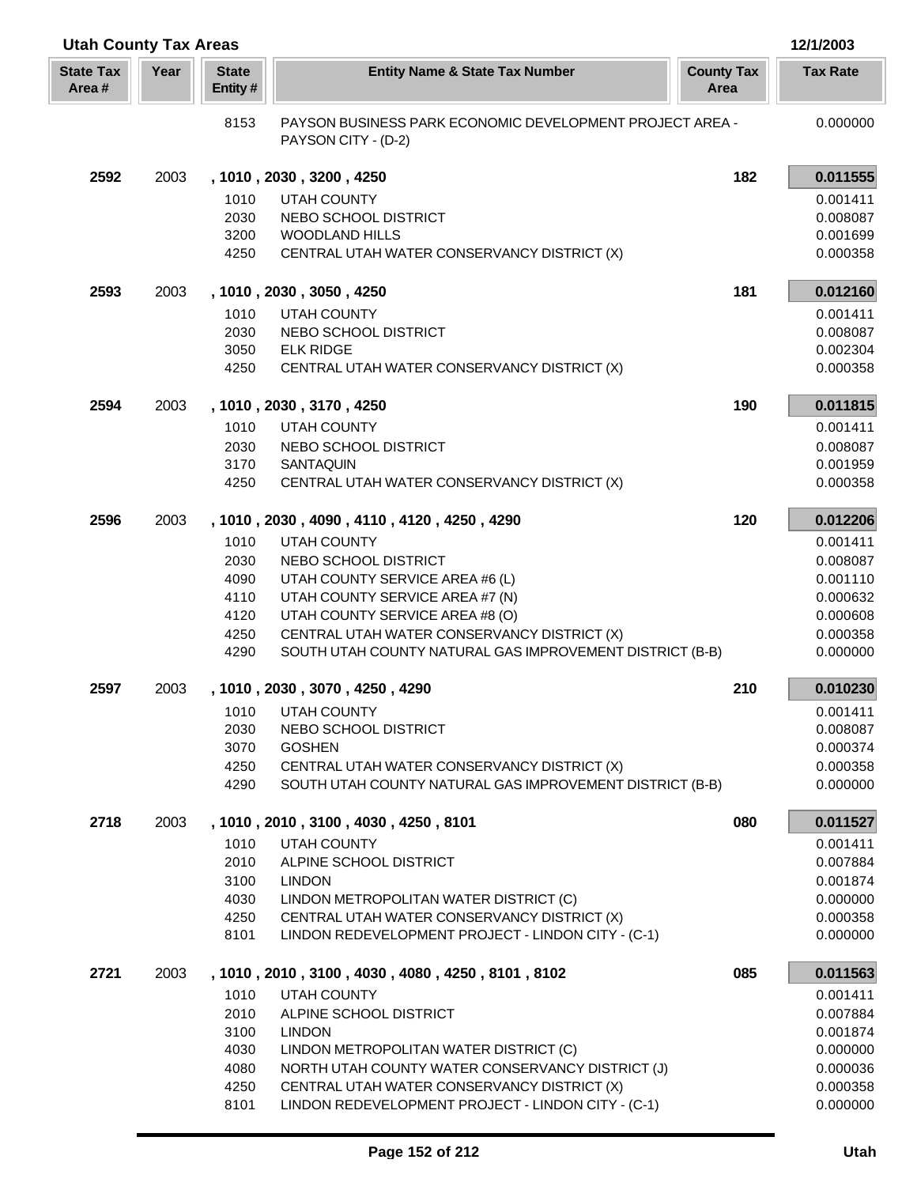| <b>Utah County Tax Areas</b> |      |                         |                                                                                                         |                           | 12/1/2003            |
|------------------------------|------|-------------------------|---------------------------------------------------------------------------------------------------------|---------------------------|----------------------|
| <b>State Tax</b><br>Area#    | Year | <b>State</b><br>Entity# | <b>Entity Name &amp; State Tax Number</b>                                                               | <b>County Tax</b><br>Area | <b>Tax Rate</b>      |
|                              |      | 8153                    | PAYSON BUSINESS PARK ECONOMIC DEVELOPMENT PROJECT AREA -<br>PAYSON CITY - (D-2)                         |                           | 0.000000             |
| 2592                         | 2003 |                         | , 1010, 2030, 3200, 4250                                                                                | 182                       | 0.011555             |
|                              |      | 1010                    | <b>UTAH COUNTY</b>                                                                                      |                           | 0.001411             |
|                              |      | 2030                    | NEBO SCHOOL DISTRICT                                                                                    |                           | 0.008087             |
|                              |      | 3200                    | <b>WOODLAND HILLS</b>                                                                                   |                           | 0.001699             |
|                              |      | 4250                    | CENTRAL UTAH WATER CONSERVANCY DISTRICT (X)                                                             |                           | 0.000358             |
| 2593                         | 2003 |                         | , 1010, 2030, 3050, 4250                                                                                | 181                       | 0.012160             |
|                              |      | 1010                    | <b>UTAH COUNTY</b>                                                                                      |                           | 0.001411             |
|                              |      | 2030                    | NEBO SCHOOL DISTRICT                                                                                    |                           | 0.008087             |
|                              |      | 3050                    | <b>ELK RIDGE</b>                                                                                        |                           | 0.002304             |
|                              |      | 4250                    | CENTRAL UTAH WATER CONSERVANCY DISTRICT (X)                                                             |                           | 0.000358             |
| 2594                         | 2003 |                         | , 1010, 2030, 3170, 4250                                                                                | 190                       | 0.011815             |
|                              |      | 1010                    | <b>UTAH COUNTY</b>                                                                                      |                           | 0.001411             |
|                              |      | 2030                    | NEBO SCHOOL DISTRICT                                                                                    |                           | 0.008087             |
|                              |      | 3170                    | <b>SANTAQUIN</b>                                                                                        |                           | 0.001959             |
|                              |      | 4250                    | CENTRAL UTAH WATER CONSERVANCY DISTRICT (X)                                                             |                           | 0.000358             |
| 2596                         | 2003 |                         | , 1010, 2030, 4090, 4110, 4120, 4250, 4290                                                              | 120                       | 0.012206             |
|                              |      | 1010                    | <b>UTAH COUNTY</b>                                                                                      |                           | 0.001411             |
|                              |      | 2030                    | NEBO SCHOOL DISTRICT                                                                                    |                           | 0.008087             |
|                              |      | 4090                    | UTAH COUNTY SERVICE AREA #6 (L)                                                                         |                           | 0.001110             |
|                              |      | 4110                    | UTAH COUNTY SERVICE AREA #7 (N)                                                                         |                           | 0.000632             |
|                              |      | 4120                    | UTAH COUNTY SERVICE AREA #8 (O)                                                                         |                           | 0.000608             |
|                              |      | 4250                    | CENTRAL UTAH WATER CONSERVANCY DISTRICT (X)                                                             |                           | 0.000358             |
|                              |      | 4290                    | SOUTH UTAH COUNTY NATURAL GAS IMPROVEMENT DISTRICT (B-B)                                                |                           | 0.000000             |
| 2597                         | 2003 |                         | , 1010, 2030, 3070, 4250, 4290                                                                          | 210                       | 0.010230             |
|                              |      |                         | 1010 UTAH COUNTY                                                                                        |                           | 0.001411             |
|                              |      | 2030                    | NEBO SCHOOL DISTRICT                                                                                    |                           | 0.008087             |
|                              |      | 3070                    | <b>GOSHEN</b>                                                                                           |                           | 0.000374             |
|                              |      | 4250<br>4290            | CENTRAL UTAH WATER CONSERVANCY DISTRICT (X)<br>SOUTH UTAH COUNTY NATURAL GAS IMPROVEMENT DISTRICT (B-B) |                           | 0.000358<br>0.000000 |
|                              |      |                         |                                                                                                         |                           |                      |
| 2718                         | 2003 |                         | , 1010, 2010, 3100, 4030, 4250, 8101                                                                    | 080                       | 0.011527             |
|                              |      | 1010                    | <b>UTAH COUNTY</b>                                                                                      |                           | 0.001411             |
|                              |      | 2010                    | ALPINE SCHOOL DISTRICT                                                                                  |                           | 0.007884             |
|                              |      | 3100<br>4030            | <b>LINDON</b><br>LINDON METROPOLITAN WATER DISTRICT (C)                                                 |                           | 0.001874<br>0.000000 |
|                              |      | 4250                    | CENTRAL UTAH WATER CONSERVANCY DISTRICT (X)                                                             |                           | 0.000358             |
|                              |      | 8101                    | LINDON REDEVELOPMENT PROJECT - LINDON CITY - (C-1)                                                      |                           | 0.000000             |
| 2721                         | 2003 |                         | , 1010, 2010, 3100, 4030, 4080, 4250, 8101, 8102                                                        | 085                       | 0.011563             |
|                              |      | 1010                    | UTAH COUNTY                                                                                             |                           | 0.001411             |
|                              |      | 2010                    | ALPINE SCHOOL DISTRICT                                                                                  |                           | 0.007884             |
|                              |      | 3100                    | <b>LINDON</b>                                                                                           |                           | 0.001874             |
|                              |      | 4030                    | LINDON METROPOLITAN WATER DISTRICT (C)                                                                  |                           | 0.000000             |
|                              |      | 4080                    | NORTH UTAH COUNTY WATER CONSERVANCY DISTRICT (J)                                                        |                           | 0.000036             |
|                              |      | 4250                    | CENTRAL UTAH WATER CONSERVANCY DISTRICT (X)                                                             |                           | 0.000358             |
|                              |      | 8101                    | LINDON REDEVELOPMENT PROJECT - LINDON CITY - (C-1)                                                      |                           | 0.000000             |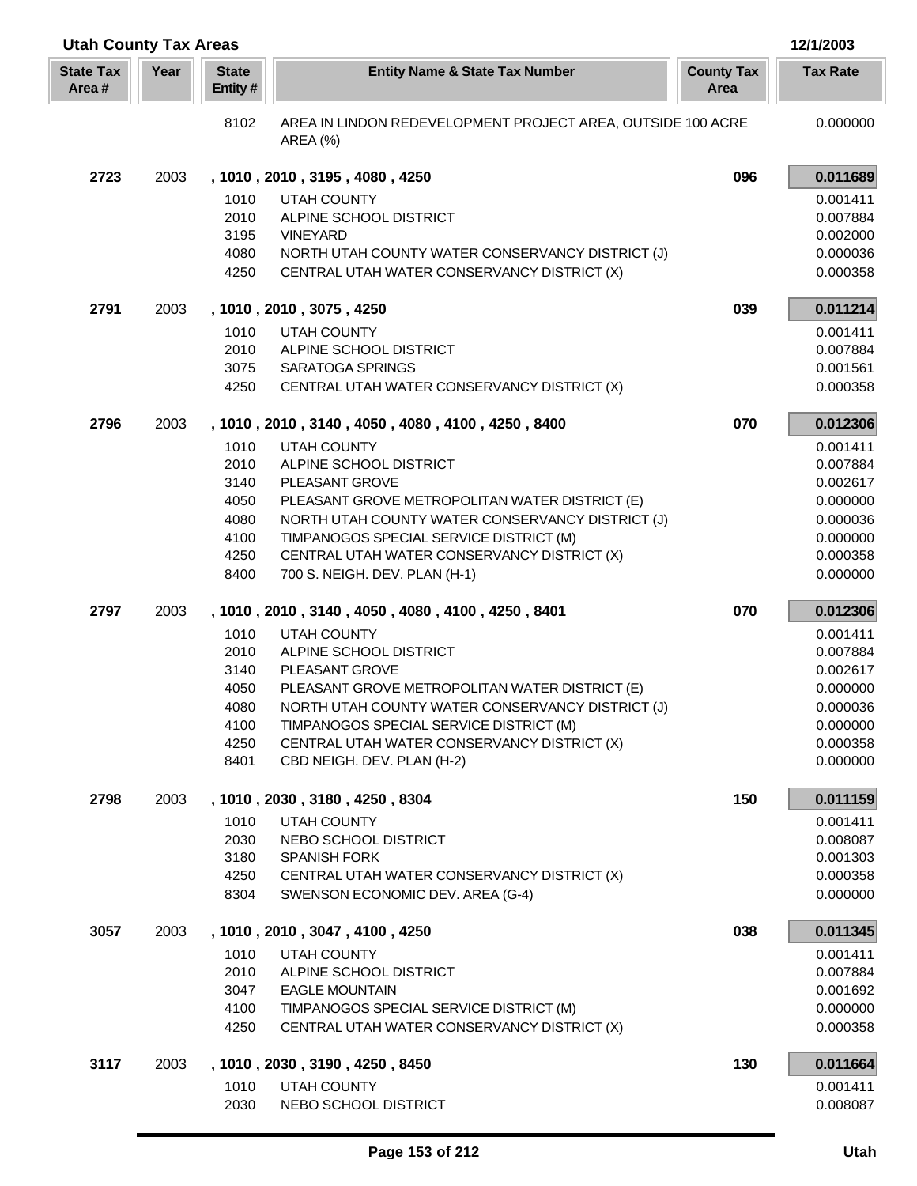| <b>Utah County Tax Areas</b> |      |                         |                                                                                        |                           | 12/1/2003            |
|------------------------------|------|-------------------------|----------------------------------------------------------------------------------------|---------------------------|----------------------|
| <b>State Tax</b><br>Area#    | Year | <b>State</b><br>Entity# | <b>Entity Name &amp; State Tax Number</b>                                              | <b>County Tax</b><br>Area | <b>Tax Rate</b>      |
|                              |      | 8102                    | AREA IN LINDON REDEVELOPMENT PROJECT AREA, OUTSIDE 100 ACRE<br>AREA (%)                |                           | 0.000000             |
| 2723                         | 2003 |                         | , 1010, 2010, 3195, 4080, 4250                                                         | 096                       | 0.011689             |
|                              |      | 1010                    | UTAH COUNTY                                                                            |                           | 0.001411             |
|                              |      | 2010                    | ALPINE SCHOOL DISTRICT                                                                 |                           | 0.007884             |
|                              |      | 3195                    | <b>VINEYARD</b>                                                                        |                           | 0.002000             |
|                              |      | 4080                    | NORTH UTAH COUNTY WATER CONSERVANCY DISTRICT (J)                                       |                           | 0.000036             |
|                              |      | 4250                    | CENTRAL UTAH WATER CONSERVANCY DISTRICT (X)                                            |                           | 0.000358             |
| 2791                         | 2003 |                         | , 1010, 2010, 3075, 4250                                                               | 039                       | 0.011214             |
|                              |      | 1010                    | <b>UTAH COUNTY</b>                                                                     |                           | 0.001411             |
|                              |      | 2010                    | ALPINE SCHOOL DISTRICT                                                                 |                           | 0.007884             |
|                              |      | 3075                    | <b>SARATOGA SPRINGS</b>                                                                |                           | 0.001561             |
|                              |      | 4250                    | CENTRAL UTAH WATER CONSERVANCY DISTRICT (X)                                            |                           | 0.000358             |
| 2796                         | 2003 |                         | , 1010, 2010, 3140, 4050, 4080, 4100, 4250, 8400                                       | 070                       | 0.012306             |
|                              |      | 1010                    | UTAH COUNTY                                                                            |                           | 0.001411             |
|                              |      | 2010                    | ALPINE SCHOOL DISTRICT                                                                 |                           | 0.007884             |
|                              |      | 3140<br>4050            | PLEASANT GROVE<br>PLEASANT GROVE METROPOLITAN WATER DISTRICT (E)                       |                           | 0.002617<br>0.000000 |
|                              |      | 4080                    | NORTH UTAH COUNTY WATER CONSERVANCY DISTRICT (J)                                       |                           | 0.000036             |
|                              |      | 4100                    | TIMPANOGOS SPECIAL SERVICE DISTRICT (M)                                                |                           | 0.000000             |
|                              |      | 4250                    | CENTRAL UTAH WATER CONSERVANCY DISTRICT (X)                                            |                           | 0.000358             |
|                              |      | 8400                    | 700 S. NEIGH. DEV. PLAN (H-1)                                                          |                           | 0.000000             |
| 2797                         | 2003 |                         | , 1010, 2010, 3140, 4050, 4080, 4100, 4250, 8401                                       | 070                       | 0.012306             |
|                              |      | 1010                    | <b>UTAH COUNTY</b>                                                                     |                           | 0.001411             |
|                              |      | 2010                    | ALPINE SCHOOL DISTRICT                                                                 |                           | 0.007884             |
|                              |      | 3140                    | PLEASANT GROVE                                                                         |                           | 0.002617             |
|                              |      | 4050                    | PLEASANT GROVE METROPOLITAN WATER DISTRICT (E)                                         |                           | 0.000000             |
|                              |      | 4080                    | NORTH UTAH COUNTY WATER CONSERVANCY DISTRICT (J)                                       |                           | 0.000036             |
|                              |      | 4100<br>4250            | TIMPANOGOS SPECIAL SERVICE DISTRICT (M)<br>CENTRAL UTAH WATER CONSERVANCY DISTRICT (X) |                           | 0.000000<br>0.000358 |
|                              |      | 8401                    | CBD NEIGH. DEV. PLAN (H-2)                                                             |                           | 0.000000             |
| 2798                         | 2003 |                         | , 1010, 2030, 3180, 4250, 8304                                                         | 150                       | 0.011159             |
|                              |      | 1010                    | UTAH COUNTY                                                                            |                           | 0.001411             |
|                              |      | 2030                    | NEBO SCHOOL DISTRICT                                                                   |                           | 0.008087             |
|                              |      | 3180                    | <b>SPANISH FORK</b>                                                                    |                           | 0.001303             |
|                              |      | 4250                    | CENTRAL UTAH WATER CONSERVANCY DISTRICT (X)                                            |                           | 0.000358             |
|                              |      | 8304                    | SWENSON ECONOMIC DEV. AREA (G-4)                                                       |                           | 0.000000             |
| 3057                         | 2003 |                         | , 1010, 2010, 3047, 4100, 4250                                                         | 038                       | 0.011345             |
|                              |      | 1010                    | UTAH COUNTY                                                                            |                           | 0.001411             |
|                              |      | 2010                    | ALPINE SCHOOL DISTRICT                                                                 |                           | 0.007884             |
|                              |      | 3047                    | <b>EAGLE MOUNTAIN</b>                                                                  |                           | 0.001692             |
|                              |      | 4100                    | TIMPANOGOS SPECIAL SERVICE DISTRICT (M)                                                |                           | 0.000000             |
|                              |      | 4250                    | CENTRAL UTAH WATER CONSERVANCY DISTRICT (X)                                            |                           | 0.000358             |
| 3117                         | 2003 |                         | , 1010, 2030, 3190, 4250, 8450                                                         | 130                       | 0.011664             |
|                              |      | 1010                    | <b>UTAH COUNTY</b>                                                                     |                           | 0.001411             |
|                              |      | 2030                    | NEBO SCHOOL DISTRICT                                                                   |                           | 0.008087             |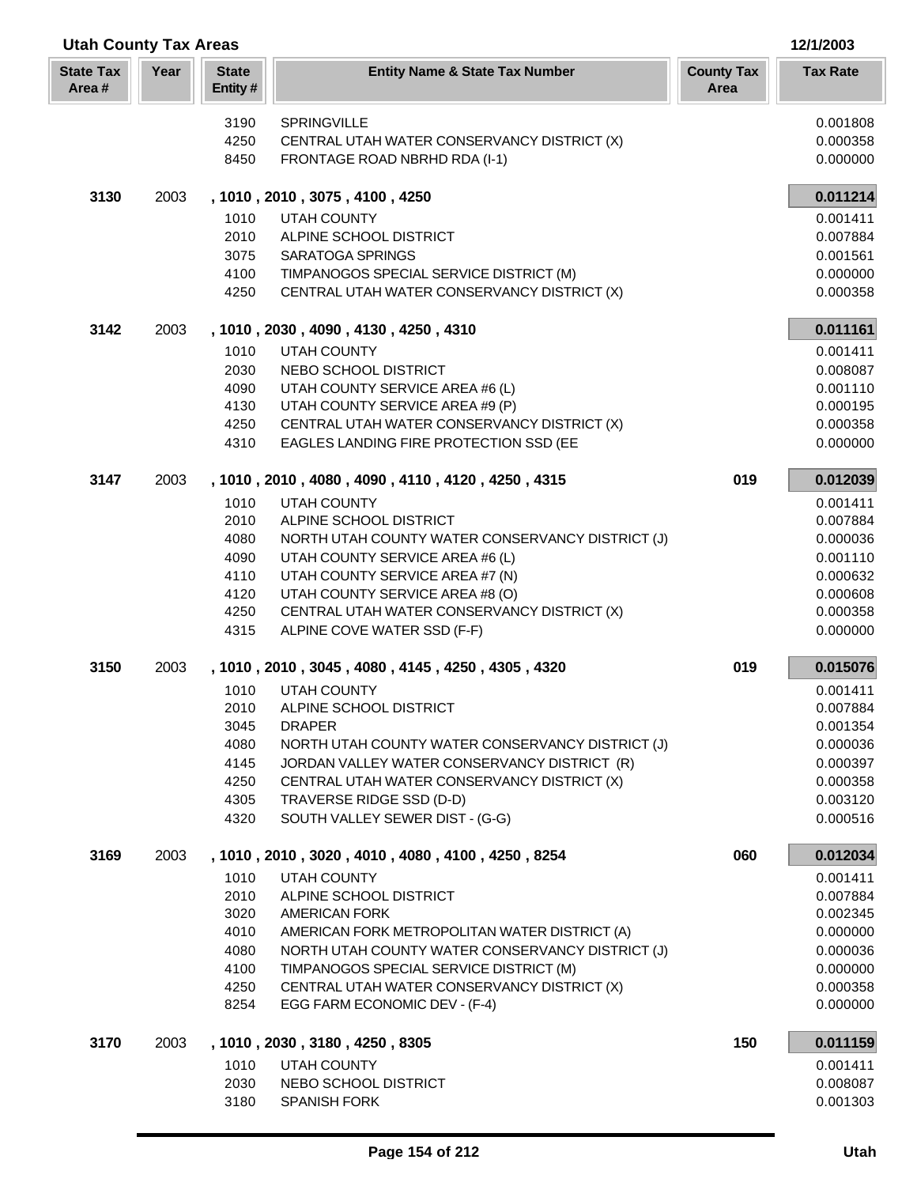| <b>Utah County Tax Areas</b> |      |                         |                                                                              | 12/1/2003                 |                      |
|------------------------------|------|-------------------------|------------------------------------------------------------------------------|---------------------------|----------------------|
| <b>State Tax</b><br>Area#    | Year | <b>State</b><br>Entity# | <b>Entity Name &amp; State Tax Number</b>                                    | <b>County Tax</b><br>Area | <b>Tax Rate</b>      |
|                              |      | 3190                    | <b>SPRINGVILLE</b>                                                           |                           | 0.001808             |
|                              |      | 4250                    | CENTRAL UTAH WATER CONSERVANCY DISTRICT (X)                                  |                           | 0.000358             |
|                              |      | 8450                    | FRONTAGE ROAD NBRHD RDA (I-1)                                                |                           | 0.000000             |
| 3130                         | 2003 |                         | , 1010, 2010, 3075, 4100, 4250                                               |                           | 0.011214             |
|                              |      | 1010                    | UTAH COUNTY                                                                  |                           | 0.001411             |
|                              |      | 2010                    | ALPINE SCHOOL DISTRICT                                                       |                           | 0.007884             |
|                              |      | 3075                    | <b>SARATOGA SPRINGS</b>                                                      |                           | 0.001561             |
|                              |      | 4100                    | TIMPANOGOS SPECIAL SERVICE DISTRICT (M)                                      |                           | 0.000000             |
|                              |      | 4250                    | CENTRAL UTAH WATER CONSERVANCY DISTRICT (X)                                  |                           | 0.000358             |
| 3142                         | 2003 |                         | , 1010, 2030, 4090, 4130, 4250, 4310                                         |                           | 0.011161             |
|                              |      | 1010                    | <b>UTAH COUNTY</b>                                                           |                           | 0.001411             |
|                              |      | 2030                    | NEBO SCHOOL DISTRICT                                                         |                           | 0.008087             |
|                              |      | 4090                    | UTAH COUNTY SERVICE AREA #6 (L)                                              |                           | 0.001110             |
|                              |      | 4130                    | UTAH COUNTY SERVICE AREA #9 (P)                                              |                           | 0.000195             |
|                              |      | 4250                    | CENTRAL UTAH WATER CONSERVANCY DISTRICT (X)                                  |                           | 0.000358             |
|                              |      | 4310                    | EAGLES LANDING FIRE PROTECTION SSD (EE                                       |                           | 0.000000             |
| 3147                         | 2003 |                         | , 1010, 2010, 4080, 4090, 4110, 4120, 4250, 4315                             | 019                       | 0.012039             |
|                              |      | 1010                    | UTAH COUNTY                                                                  |                           | 0.001411             |
|                              |      | 2010                    | ALPINE SCHOOL DISTRICT                                                       |                           | 0.007884             |
|                              |      | 4080                    | NORTH UTAH COUNTY WATER CONSERVANCY DISTRICT (J)                             |                           | 0.000036             |
|                              |      | 4090                    | UTAH COUNTY SERVICE AREA #6 (L)                                              |                           | 0.001110             |
|                              |      | 4110                    | UTAH COUNTY SERVICE AREA #7 (N)                                              |                           | 0.000632             |
|                              |      | 4120                    | UTAH COUNTY SERVICE AREA #8 (O)                                              |                           | 0.000608             |
|                              |      | 4250                    | CENTRAL UTAH WATER CONSERVANCY DISTRICT (X)                                  |                           | 0.000358             |
|                              |      | 4315                    | ALPINE COVE WATER SSD (F-F)                                                  |                           | 0.000000             |
| 3150                         | 2003 |                         | , 1010, 2010, 3045, 4080, 4145, 4250, 4305, 4320                             | 019                       | 0.015076             |
|                              |      | 1010                    | <b>UTAH COUNTY</b>                                                           |                           | 0.001411             |
|                              |      | 2010                    | ALPINE SCHOOL DISTRICT                                                       |                           | 0.007884             |
|                              |      | 3045                    | <b>DRAPER</b>                                                                |                           | 0.001354             |
|                              |      | 4080                    | NORTH UTAH COUNTY WATER CONSERVANCY DISTRICT (J)                             |                           | 0.000036             |
|                              |      | 4145                    | JORDAN VALLEY WATER CONSERVANCY DISTRICT (R)                                 |                           | 0.000397             |
|                              |      | 4250                    | CENTRAL UTAH WATER CONSERVANCY DISTRICT (X)                                  |                           | 0.000358             |
|                              |      | 4305                    | TRAVERSE RIDGE SSD (D-D)                                                     |                           | 0.003120             |
|                              |      | 4320                    | SOUTH VALLEY SEWER DIST - (G-G)                                              |                           | 0.000516             |
| 3169                         | 2003 |                         | , 1010, 2010, 3020, 4010, 4080, 4100, 4250, 8254                             | 060                       | 0.012034             |
|                              |      | 1010                    | UTAH COUNTY                                                                  |                           | 0.001411             |
|                              |      | 2010                    | ALPINE SCHOOL DISTRICT                                                       |                           | 0.007884             |
|                              |      | 3020                    | <b>AMERICAN FORK</b>                                                         |                           | 0.002345             |
|                              |      | 4010                    | AMERICAN FORK METROPOLITAN WATER DISTRICT (A)                                |                           | 0.000000             |
|                              |      | 4080                    | NORTH UTAH COUNTY WATER CONSERVANCY DISTRICT (J)                             |                           | 0.000036             |
|                              |      | 4100                    | TIMPANOGOS SPECIAL SERVICE DISTRICT (M)                                      |                           | 0.000000             |
|                              |      | 4250<br>8254            | CENTRAL UTAH WATER CONSERVANCY DISTRICT (X)<br>EGG FARM ECONOMIC DEV - (F-4) |                           | 0.000358<br>0.000000 |
| 3170                         | 2003 |                         | , 1010, 2030, 3180, 4250, 8305                                               | 150                       | 0.011159             |
|                              |      | 1010                    | UTAH COUNTY                                                                  |                           | 0.001411             |
|                              |      | 2030                    | NEBO SCHOOL DISTRICT                                                         |                           | 0.008087             |
|                              |      | 3180                    | SPANISH FORK                                                                 |                           | 0.001303             |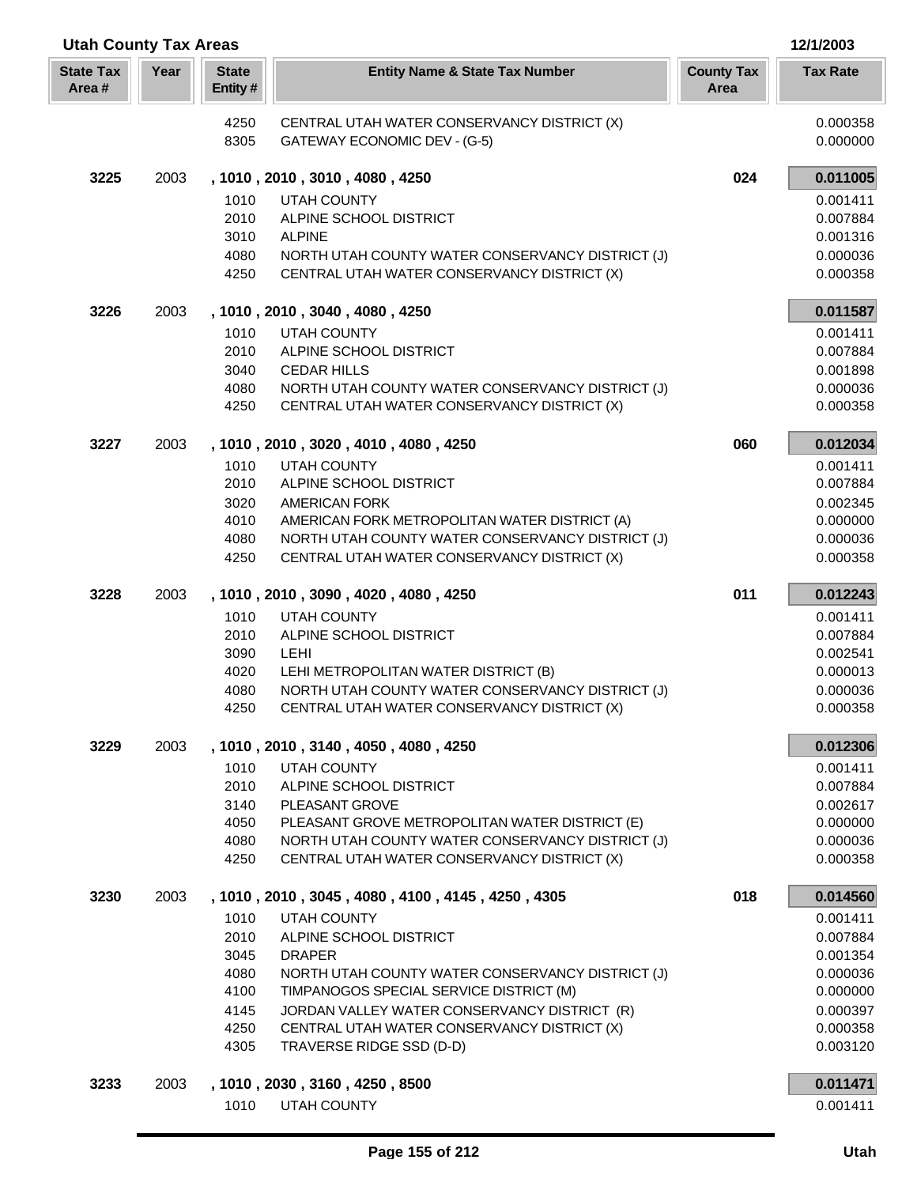| <b>Utah County Tax Areas</b> |      |                         |                                                                                                 |                           | 12/1/2003            |
|------------------------------|------|-------------------------|-------------------------------------------------------------------------------------------------|---------------------------|----------------------|
| <b>State Tax</b><br>Area#    | Year | <b>State</b><br>Entity# | <b>Entity Name &amp; State Tax Number</b>                                                       | <b>County Tax</b><br>Area | <b>Tax Rate</b>      |
|                              |      | 4250                    | CENTRAL UTAH WATER CONSERVANCY DISTRICT (X)                                                     |                           | 0.000358             |
|                              |      | 8305                    | GATEWAY ECONOMIC DEV - (G-5)                                                                    |                           | 0.000000             |
| 3225                         | 2003 |                         | , 1010, 2010, 3010, 4080, 4250                                                                  | 024                       | 0.011005             |
|                              |      | 1010                    | <b>UTAH COUNTY</b>                                                                              |                           | 0.001411             |
|                              |      | 2010                    | ALPINE SCHOOL DISTRICT                                                                          |                           | 0.007884             |
|                              |      | 3010                    | <b>ALPINE</b>                                                                                   |                           | 0.001316             |
|                              |      | 4080<br>4250            | NORTH UTAH COUNTY WATER CONSERVANCY DISTRICT (J)<br>CENTRAL UTAH WATER CONSERVANCY DISTRICT (X) |                           | 0.000036<br>0.000358 |
| 3226                         | 2003 |                         | , 1010, 2010, 3040, 4080, 4250                                                                  |                           | 0.011587             |
|                              |      | 1010                    | <b>UTAH COUNTY</b>                                                                              |                           | 0.001411             |
|                              |      | 2010                    | ALPINE SCHOOL DISTRICT                                                                          |                           | 0.007884             |
|                              |      | 3040                    | <b>CEDAR HILLS</b>                                                                              |                           | 0.001898             |
|                              |      | 4080<br>4250            | NORTH UTAH COUNTY WATER CONSERVANCY DISTRICT (J)<br>CENTRAL UTAH WATER CONSERVANCY DISTRICT (X) |                           | 0.000036<br>0.000358 |
| 3227                         | 2003 |                         | , 1010, 2010, 3020, 4010, 4080, 4250                                                            | 060                       | 0.012034             |
|                              |      | 1010                    | <b>UTAH COUNTY</b>                                                                              |                           | 0.001411             |
|                              |      | 2010                    | ALPINE SCHOOL DISTRICT                                                                          |                           | 0.007884             |
|                              |      | 3020                    | <b>AMERICAN FORK</b>                                                                            |                           | 0.002345             |
|                              |      | 4010                    | AMERICAN FORK METROPOLITAN WATER DISTRICT (A)                                                   |                           | 0.000000             |
|                              |      | 4080                    | NORTH UTAH COUNTY WATER CONSERVANCY DISTRICT (J)                                                |                           | 0.000036             |
|                              |      | 4250                    | CENTRAL UTAH WATER CONSERVANCY DISTRICT (X)                                                     |                           | 0.000358             |
| 3228                         | 2003 |                         | , 1010, 2010, 3090, 4020, 4080, 4250                                                            | 011                       | 0.012243             |
|                              |      | 1010                    | <b>UTAH COUNTY</b>                                                                              |                           | 0.001411             |
|                              |      | 2010<br>3090            | ALPINE SCHOOL DISTRICT<br>LEHI                                                                  |                           | 0.007884<br>0.002541 |
|                              |      | 4020                    | LEHI METROPOLITAN WATER DISTRICT (B)                                                            |                           | 0.000013             |
|                              |      | 4080                    | NORTH UTAH COUNTY WATER CONSERVANCY DISTRICT (J)                                                |                           | 0.000036             |
|                              |      | 4250                    | CENTRAL UTAH WATER CONSERVANCY DISTRICT (X)                                                     |                           | 0.000358             |
| 3229                         | 2003 |                         | , 1010, 2010, 3140, 4050, 4080, 4250                                                            |                           | 0.012306             |
|                              |      | 1010                    | <b>UTAH COUNTY</b>                                                                              |                           | 0.001411             |
|                              |      | 2010                    | ALPINE SCHOOL DISTRICT                                                                          |                           | 0.007884             |
|                              |      | 3140<br>4050            | PLEASANT GROVE<br>PLEASANT GROVE METROPOLITAN WATER DISTRICT (E)                                |                           | 0.002617<br>0.000000 |
|                              |      | 4080                    | NORTH UTAH COUNTY WATER CONSERVANCY DISTRICT (J)                                                |                           | 0.000036             |
|                              |      | 4250                    | CENTRAL UTAH WATER CONSERVANCY DISTRICT (X)                                                     |                           | 0.000358             |
| 3230                         | 2003 |                         | , 1010, 2010, 3045, 4080, 4100, 4145, 4250, 4305                                                | 018                       | 0.014560             |
|                              |      | 1010                    | UTAH COUNTY                                                                                     |                           | 0.001411             |
|                              |      | 2010                    | ALPINE SCHOOL DISTRICT                                                                          |                           | 0.007884             |
|                              |      | 3045<br>4080            | <b>DRAPER</b><br>NORTH UTAH COUNTY WATER CONSERVANCY DISTRICT (J)                               |                           | 0.001354<br>0.000036 |
|                              |      | 4100                    | TIMPANOGOS SPECIAL SERVICE DISTRICT (M)                                                         |                           | 0.000000             |
|                              |      | 4145                    | JORDAN VALLEY WATER CONSERVANCY DISTRICT (R)                                                    |                           | 0.000397             |
|                              |      | 4250                    | CENTRAL UTAH WATER CONSERVANCY DISTRICT (X)                                                     |                           | 0.000358             |
|                              |      | 4305                    | TRAVERSE RIDGE SSD (D-D)                                                                        |                           | 0.003120             |
| 3233                         | 2003 |                         | , 1010, 2030, 3160, 4250, 8500                                                                  |                           | 0.011471             |
|                              |      | 1010                    | UTAH COUNTY                                                                                     |                           | 0.001411             |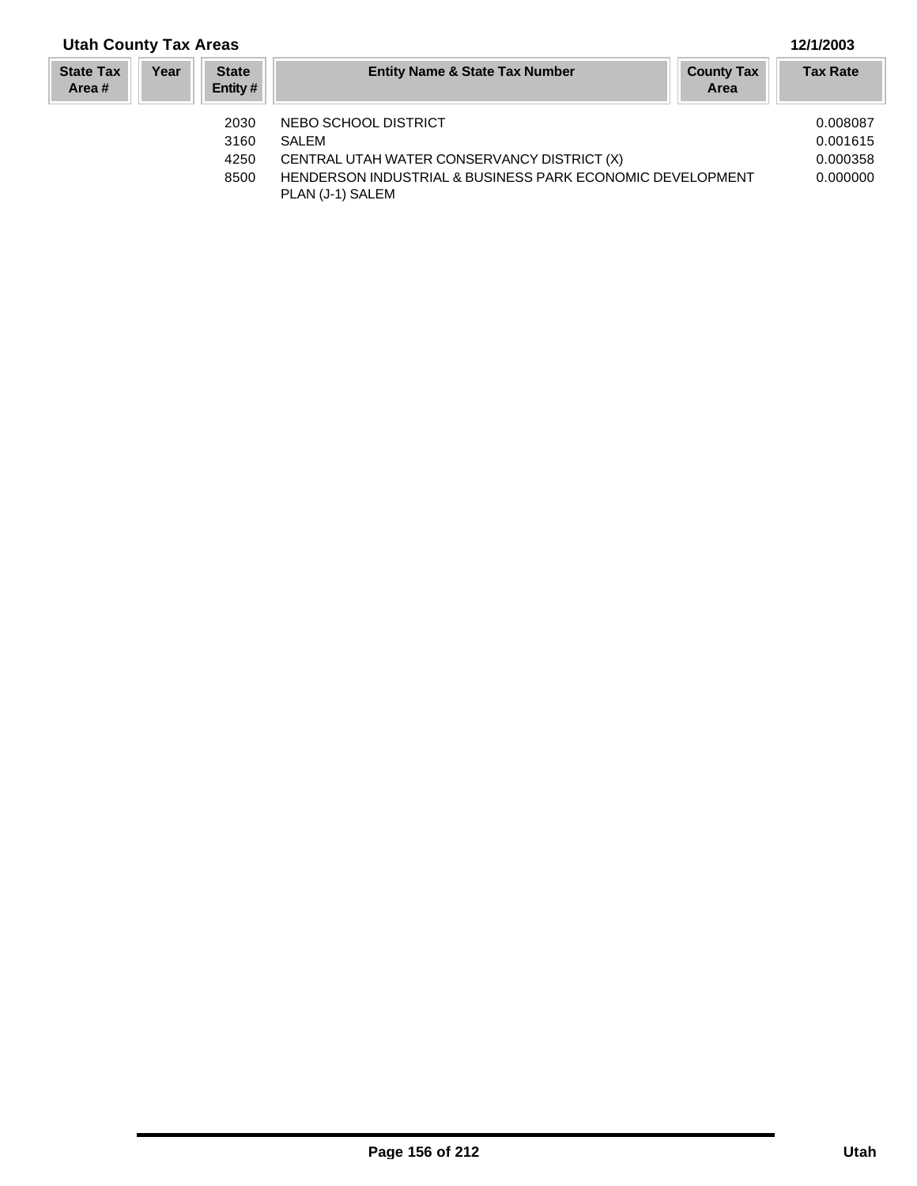## **Year Entity Name & State Tax Number County Tax Tax Rate Area State Tax Area # Utah County Tax Areas 12/1/2003 State Entity #** 2030 NEBO SCHOOL DISTRICT 0.008087 3160 SALEM 0.001615 4250 CENTRAL UTAH WATER CONSERVANCY DISTRICT (X) 0.000358

PLAN (J-1) SALEM

8500 HENDERSON INDUSTRIAL & BUSINESS PARK ECONOMIC DEVELOPMENT 0.000000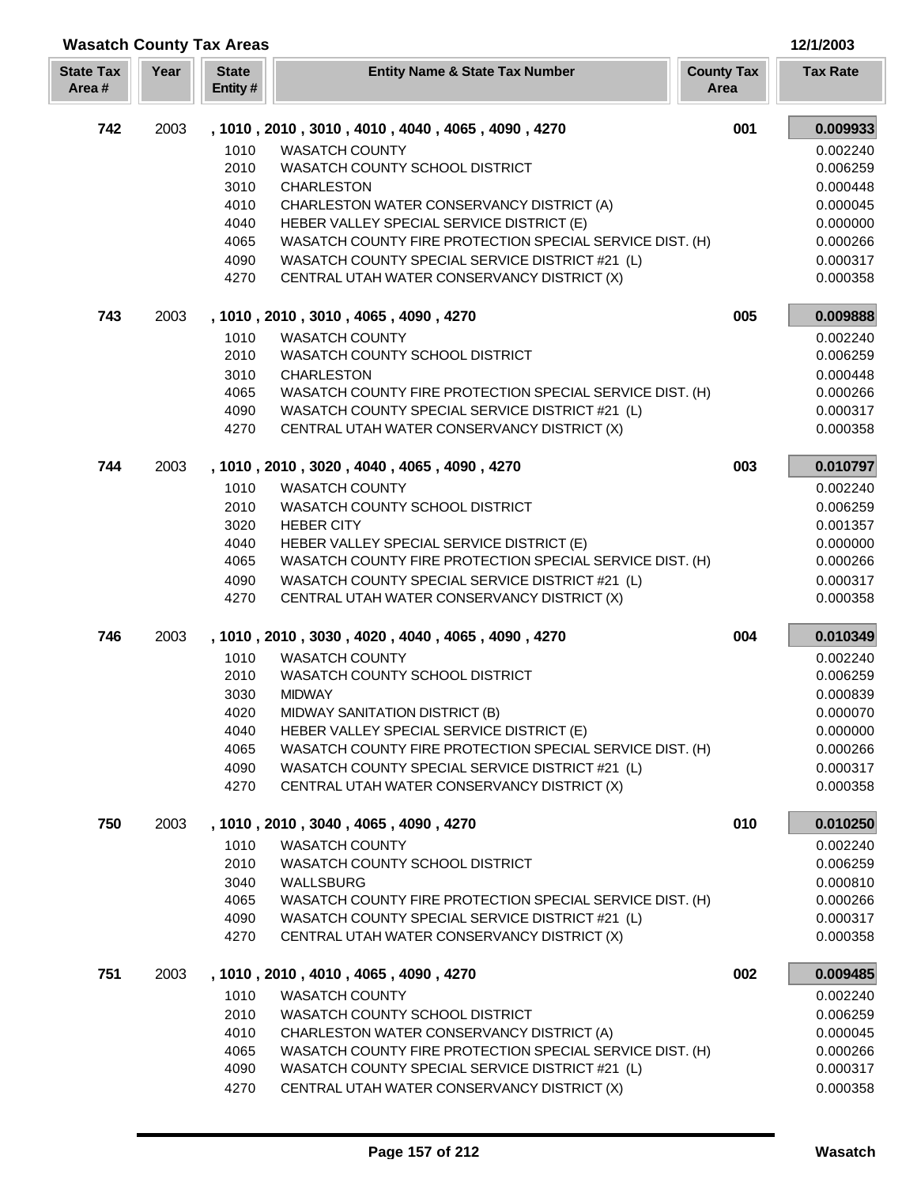| <b>Wasatch County Tax Areas</b> |      |                         |                                                          |                           | 12/1/2003            |
|---------------------------------|------|-------------------------|----------------------------------------------------------|---------------------------|----------------------|
| <b>State Tax</b><br>Area#       | Year | <b>State</b><br>Entity# | <b>Entity Name &amp; State Tax Number</b>                | <b>County Tax</b><br>Area | <b>Tax Rate</b>      |
| 742                             | 2003 |                         | , 1010, 2010, 3010, 4010, 4040, 4065, 4090, 4270         | 001                       | 0.009933             |
|                                 |      | 1010                    | <b>WASATCH COUNTY</b>                                    |                           | 0.002240             |
|                                 |      | 2010                    | WASATCH COUNTY SCHOOL DISTRICT                           |                           | 0.006259             |
|                                 |      | 3010                    | <b>CHARLESTON</b>                                        |                           | 0.000448             |
|                                 |      | 4010                    | CHARLESTON WATER CONSERVANCY DISTRICT (A)                |                           | 0.000045             |
|                                 |      | 4040                    | HEBER VALLEY SPECIAL SERVICE DISTRICT (E)                |                           | 0.000000             |
|                                 |      | 4065                    | WASATCH COUNTY FIRE PROTECTION SPECIAL SERVICE DIST. (H) |                           | 0.000266             |
|                                 |      | 4090                    | WASATCH COUNTY SPECIAL SERVICE DISTRICT #21 (L)          |                           | 0.000317             |
|                                 |      | 4270                    | CENTRAL UTAH WATER CONSERVANCY DISTRICT (X)              |                           | 0.000358             |
| 743                             | 2003 |                         | , 1010, 2010, 3010, 4065, 4090, 4270                     | 005                       | 0.009888             |
|                                 |      | 1010                    | <b>WASATCH COUNTY</b>                                    |                           | 0.002240             |
|                                 |      | 2010                    | WASATCH COUNTY SCHOOL DISTRICT                           |                           | 0.006259             |
|                                 |      | 3010                    | <b>CHARLESTON</b>                                        |                           | 0.000448             |
|                                 |      | 4065                    | WASATCH COUNTY FIRE PROTECTION SPECIAL SERVICE DIST. (H) |                           | 0.000266             |
|                                 |      | 4090                    | WASATCH COUNTY SPECIAL SERVICE DISTRICT #21 (L)          |                           | 0.000317             |
|                                 |      | 4270                    | CENTRAL UTAH WATER CONSERVANCY DISTRICT (X)              |                           | 0.000358             |
| 744                             | 2003 |                         | , 1010, 2010, 3020, 4040, 4065, 4090, 4270               | 003                       | 0.010797             |
|                                 |      | 1010                    | <b>WASATCH COUNTY</b>                                    |                           | 0.002240             |
|                                 |      | 2010                    | WASATCH COUNTY SCHOOL DISTRICT                           |                           | 0.006259             |
|                                 |      | 3020                    | <b>HEBER CITY</b>                                        |                           | 0.001357             |
|                                 |      | 4040                    | HEBER VALLEY SPECIAL SERVICE DISTRICT (E)                |                           | 0.000000             |
|                                 |      | 4065                    | WASATCH COUNTY FIRE PROTECTION SPECIAL SERVICE DIST. (H) |                           | 0.000266             |
|                                 |      | 4090                    | WASATCH COUNTY SPECIAL SERVICE DISTRICT #21 (L)          |                           | 0.000317             |
|                                 |      | 4270                    | CENTRAL UTAH WATER CONSERVANCY DISTRICT (X)              |                           | 0.000358             |
| 746                             | 2003 |                         | , 1010, 2010, 3030, 4020, 4040, 4065, 4090, 4270         | 004                       | 0.010349             |
|                                 |      | 1010                    | <b>WASATCH COUNTY</b>                                    |                           | 0.002240             |
|                                 |      | 2010                    | WASATCH COUNTY SCHOOL DISTRICT                           |                           | 0.006259             |
|                                 |      | 3030<br>4020            | <b>MIDWAY</b><br>MIDWAY SANITATION DISTRICT (B)          |                           | 0.000839<br>0.000070 |
|                                 |      | 4040                    | HEBER VALLEY SPECIAL SERVICE DISTRICT (E)                |                           | 0.000000             |
|                                 |      | 4065                    | WASATCH COUNTY FIRE PROTECTION SPECIAL SERVICE DIST. (H) |                           | 0.000266             |
|                                 |      | 4090                    | WASATCH COUNTY SPECIAL SERVICE DISTRICT #21 (L)          |                           | 0.000317             |
|                                 |      | 4270                    | CENTRAL UTAH WATER CONSERVANCY DISTRICT (X)              |                           | 0.000358             |
|                                 |      |                         |                                                          |                           |                      |
| 750                             | 2003 |                         | , 1010, 2010, 3040, 4065, 4090, 4270                     | 010                       | 0.010250             |
|                                 |      | 1010                    | <b>WASATCH COUNTY</b>                                    |                           | 0.002240             |
|                                 |      | 2010<br>3040            | WASATCH COUNTY SCHOOL DISTRICT<br>WALLSBURG              |                           | 0.006259             |
|                                 |      | 4065                    | WASATCH COUNTY FIRE PROTECTION SPECIAL SERVICE DIST. (H) |                           | 0.000810<br>0.000266 |
|                                 |      | 4090                    | WASATCH COUNTY SPECIAL SERVICE DISTRICT #21 (L)          |                           | 0.000317             |
|                                 |      | 4270                    | CENTRAL UTAH WATER CONSERVANCY DISTRICT (X)              |                           | 0.000358             |
| 751                             | 2003 |                         | , 1010, 2010, 4010, 4065, 4090, 4270                     | 002                       | 0.009485             |
|                                 |      | 1010                    | <b>WASATCH COUNTY</b>                                    |                           | 0.002240             |
|                                 |      | 2010                    | WASATCH COUNTY SCHOOL DISTRICT                           |                           | 0.006259             |
|                                 |      | 4010                    | CHARLESTON WATER CONSERVANCY DISTRICT (A)                |                           | 0.000045             |
|                                 |      | 4065                    | WASATCH COUNTY FIRE PROTECTION SPECIAL SERVICE DIST. (H) |                           | 0.000266             |
|                                 |      | 4090                    | WASATCH COUNTY SPECIAL SERVICE DISTRICT #21 (L)          |                           | 0.000317             |
|                                 |      | 4270                    | CENTRAL UTAH WATER CONSERVANCY DISTRICT (X)              |                           | 0.000358             |

Γ L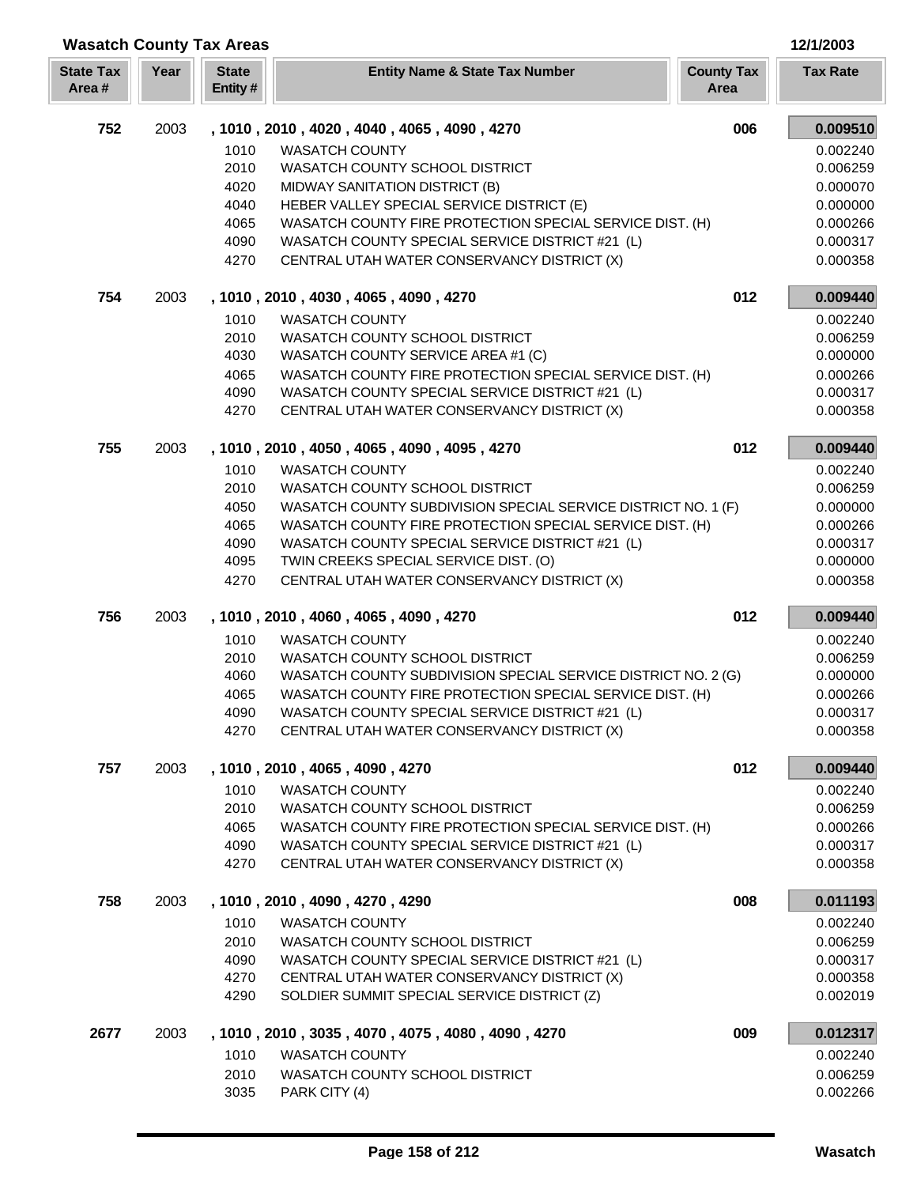| <b>Wasatch County Tax Areas</b> |      |                         |                                                                                                             |                           | 12/1/2003            |
|---------------------------------|------|-------------------------|-------------------------------------------------------------------------------------------------------------|---------------------------|----------------------|
| <b>State Tax</b><br>Area#       | Year | <b>State</b><br>Entity# | <b>Entity Name &amp; State Tax Number</b>                                                                   | <b>County Tax</b><br>Area | <b>Tax Rate</b>      |
| 752                             | 2003 |                         | , 1010, 2010, 4020, 4040, 4065, 4090, 4270                                                                  | 006                       | 0.009510             |
|                                 |      | 1010                    | <b>WASATCH COUNTY</b>                                                                                       |                           | 0.002240             |
|                                 |      | 2010                    | WASATCH COUNTY SCHOOL DISTRICT                                                                              |                           | 0.006259             |
|                                 |      | 4020                    | MIDWAY SANITATION DISTRICT (B)                                                                              |                           | 0.000070             |
|                                 |      | 4040                    | HEBER VALLEY SPECIAL SERVICE DISTRICT (E)                                                                   |                           | 0.000000             |
|                                 |      | 4065                    | WASATCH COUNTY FIRE PROTECTION SPECIAL SERVICE DIST. (H)                                                    |                           | 0.000266             |
|                                 |      | 4090                    | WASATCH COUNTY SPECIAL SERVICE DISTRICT #21 (L)                                                             |                           | 0.000317             |
|                                 |      | 4270                    | CENTRAL UTAH WATER CONSERVANCY DISTRICT (X)                                                                 |                           | 0.000358             |
| 754                             | 2003 |                         | , 1010, 2010, 4030, 4065, 4090, 4270                                                                        | 012                       | 0.009440             |
|                                 |      | 1010                    | <b>WASATCH COUNTY</b>                                                                                       |                           | 0.002240             |
|                                 |      | 2010                    | WASATCH COUNTY SCHOOL DISTRICT                                                                              |                           | 0.006259             |
|                                 |      | 4030                    | WASATCH COUNTY SERVICE AREA #1 (C)                                                                          |                           | 0.000000             |
|                                 |      | 4065<br>4090            | WASATCH COUNTY FIRE PROTECTION SPECIAL SERVICE DIST. (H)<br>WASATCH COUNTY SPECIAL SERVICE DISTRICT #21 (L) |                           | 0.000266<br>0.000317 |
|                                 |      | 4270                    | CENTRAL UTAH WATER CONSERVANCY DISTRICT (X)                                                                 |                           | 0.000358             |
| 755                             | 2003 |                         | , 1010, 2010, 4050, 4065, 4090, 4095, 4270                                                                  | 012                       | 0.009440             |
|                                 |      | 1010                    | <b>WASATCH COUNTY</b>                                                                                       |                           | 0.002240             |
|                                 |      | 2010                    | WASATCH COUNTY SCHOOL DISTRICT                                                                              |                           | 0.006259             |
|                                 |      | 4050                    | WASATCH COUNTY SUBDIVISION SPECIAL SERVICE DISTRICT NO. 1 (F)                                               |                           | 0.000000             |
|                                 |      | 4065                    | WASATCH COUNTY FIRE PROTECTION SPECIAL SERVICE DIST. (H)                                                    |                           | 0.000266             |
|                                 |      | 4090                    | WASATCH COUNTY SPECIAL SERVICE DISTRICT #21 (L)                                                             |                           | 0.000317             |
|                                 |      | 4095                    | TWIN CREEKS SPECIAL SERVICE DIST. (O)                                                                       |                           | 0.000000             |
|                                 |      | 4270                    | CENTRAL UTAH WATER CONSERVANCY DISTRICT (X)                                                                 |                           | 0.000358             |
| 756                             | 2003 |                         | , 1010, 2010, 4060, 4065, 4090, 4270                                                                        | 012                       | 0.009440             |
|                                 |      | 1010                    | <b>WASATCH COUNTY</b>                                                                                       |                           | 0.002240             |
|                                 |      | 2010                    | WASATCH COUNTY SCHOOL DISTRICT                                                                              |                           | 0.006259             |
|                                 |      | 4060                    | WASATCH COUNTY SUBDIVISION SPECIAL SERVICE DISTRICT NO. 2 (G)                                               |                           | 0.000000             |
|                                 |      | 4065<br>4090            | WASATCH COUNTY FIRE PROTECTION SPECIAL SERVICE DIST. (H)<br>WASATCH COUNTY SPECIAL SERVICE DISTRICT #21 (L) |                           | 0.000266<br>0.000317 |
|                                 |      | 4270                    | CENTRAL UTAH WATER CONSERVANCY DISTRICT (X)                                                                 |                           | 0.000358             |
| 757                             | 2003 |                         | , 1010, 2010, 4065, 4090, 4270                                                                              | 012                       | 0.009440             |
|                                 |      | 1010                    | <b>WASATCH COUNTY</b>                                                                                       |                           | 0.002240             |
|                                 |      | 2010                    | WASATCH COUNTY SCHOOL DISTRICT                                                                              |                           | 0.006259             |
|                                 |      | 4065                    | WASATCH COUNTY FIRE PROTECTION SPECIAL SERVICE DIST. (H)                                                    |                           | 0.000266             |
|                                 |      | 4090                    | WASATCH COUNTY SPECIAL SERVICE DISTRICT #21 (L)                                                             |                           | 0.000317             |
|                                 |      | 4270                    | CENTRAL UTAH WATER CONSERVANCY DISTRICT (X)                                                                 |                           | 0.000358             |
| 758                             | 2003 |                         | , 1010, 2010, 4090, 4270, 4290                                                                              | 008                       | 0.011193             |
|                                 |      | 1010                    | <b>WASATCH COUNTY</b>                                                                                       |                           | 0.002240             |
|                                 |      | 2010                    | WASATCH COUNTY SCHOOL DISTRICT                                                                              |                           | 0.006259             |
|                                 |      | 4090                    | WASATCH COUNTY SPECIAL SERVICE DISTRICT #21 (L)                                                             |                           | 0.000317             |
|                                 |      | 4270<br>4290            | CENTRAL UTAH WATER CONSERVANCY DISTRICT (X)<br>SOLDIER SUMMIT SPECIAL SERVICE DISTRICT (Z)                  |                           | 0.000358<br>0.002019 |
| 2677                            | 2003 |                         | , 1010, 2010, 3035, 4070, 4075, 4080, 4090, 4270                                                            | 009                       | 0.012317             |
|                                 |      | 1010                    | <b>WASATCH COUNTY</b>                                                                                       |                           | 0.002240             |
|                                 |      | 2010                    | WASATCH COUNTY SCHOOL DISTRICT                                                                              |                           | 0.006259             |
|                                 |      | 3035                    | PARK CITY (4)                                                                                               |                           | 0.002266             |

Γ L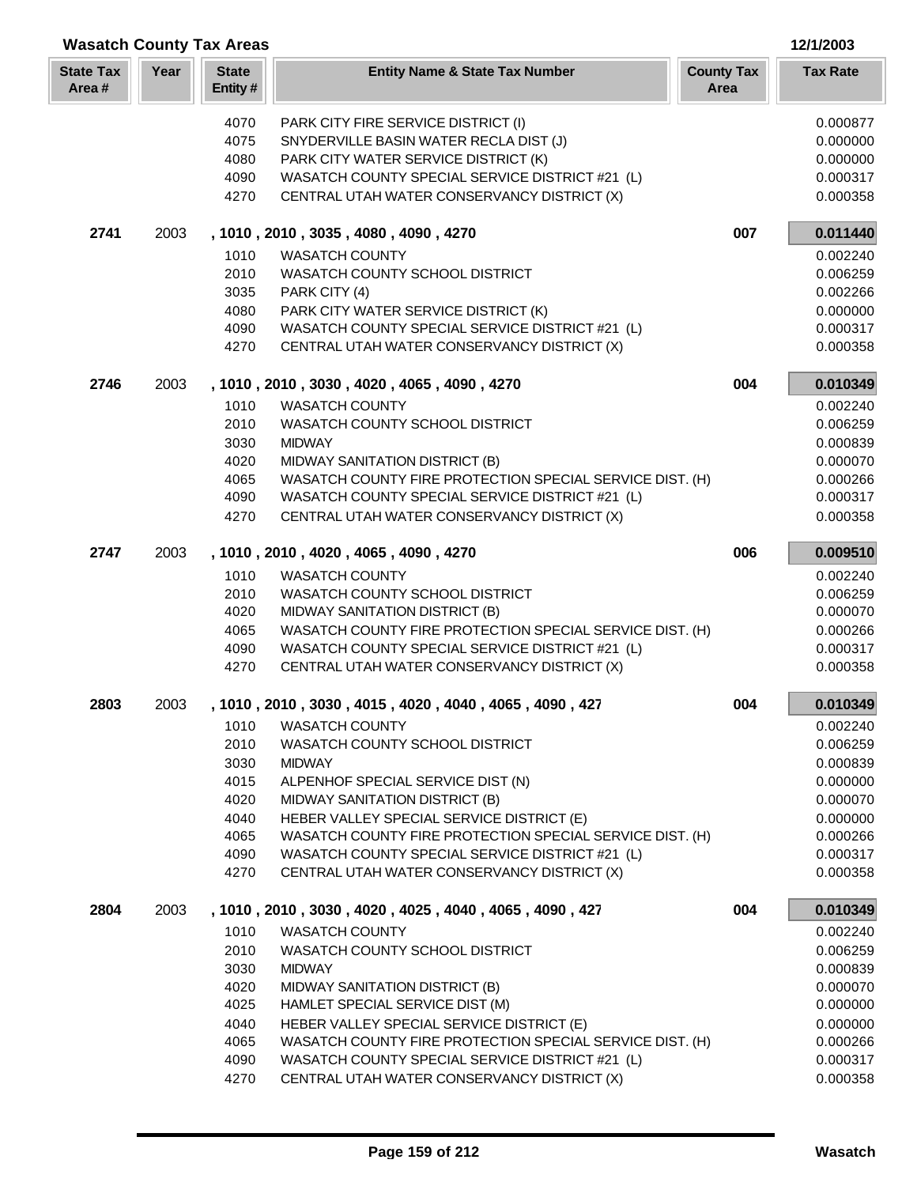|                           |      | <b>Wasatch County Tax Areas</b> |                                                          |                           | 12/1/2003            |
|---------------------------|------|---------------------------------|----------------------------------------------------------|---------------------------|----------------------|
| <b>State Tax</b><br>Area# | Year | <b>State</b><br>Entity#         | <b>Entity Name &amp; State Tax Number</b>                | <b>County Tax</b><br>Area | <b>Tax Rate</b>      |
|                           |      | 4070                            | PARK CITY FIRE SERVICE DISTRICT (I)                      |                           | 0.000877             |
|                           |      | 4075                            | SNYDERVILLE BASIN WATER RECLA DIST (J)                   |                           | 0.000000             |
|                           |      | 4080                            | PARK CITY WATER SERVICE DISTRICT (K)                     |                           | 0.000000             |
|                           |      | 4090                            | WASATCH COUNTY SPECIAL SERVICE DISTRICT #21 (L)          |                           | 0.000317             |
|                           |      | 4270                            | CENTRAL UTAH WATER CONSERVANCY DISTRICT (X)              |                           | 0.000358             |
| 2741                      | 2003 |                                 | , 1010, 2010, 3035, 4080, 4090, 4270                     | 007                       | 0.011440             |
|                           |      | 1010                            | <b>WASATCH COUNTY</b>                                    |                           | 0.002240             |
|                           |      | 2010                            | WASATCH COUNTY SCHOOL DISTRICT                           |                           | 0.006259             |
|                           |      | 3035                            | PARK CITY (4)                                            |                           | 0.002266             |
|                           |      | 4080                            | PARK CITY WATER SERVICE DISTRICT (K)                     |                           | 0.000000             |
|                           |      | 4090                            | WASATCH COUNTY SPECIAL SERVICE DISTRICT #21 (L)          |                           | 0.000317             |
|                           |      | 4270                            | CENTRAL UTAH WATER CONSERVANCY DISTRICT (X)              |                           | 0.000358             |
| 2746                      | 2003 |                                 | , 1010, 2010, 3030, 4020, 4065, 4090, 4270               | 004                       | 0.010349             |
|                           |      | 1010                            | <b>WASATCH COUNTY</b>                                    |                           | 0.002240             |
|                           |      | 2010                            | WASATCH COUNTY SCHOOL DISTRICT                           |                           | 0.006259             |
|                           |      | 3030                            | <b>MIDWAY</b>                                            |                           | 0.000839             |
|                           |      | 4020                            | MIDWAY SANITATION DISTRICT (B)                           |                           | 0.000070             |
|                           |      | 4065                            | WASATCH COUNTY FIRE PROTECTION SPECIAL SERVICE DIST. (H) |                           | 0.000266             |
|                           |      | 4090                            | WASATCH COUNTY SPECIAL SERVICE DISTRICT #21 (L)          |                           | 0.000317             |
|                           |      | 4270                            | CENTRAL UTAH WATER CONSERVANCY DISTRICT (X)              |                           | 0.000358             |
| 2747                      | 2003 |                                 | , 1010, 2010, 4020, 4065, 4090, 4270                     | 006                       | 0.009510             |
|                           |      | 1010                            | <b>WASATCH COUNTY</b>                                    |                           | 0.002240             |
|                           |      | 2010                            | WASATCH COUNTY SCHOOL DISTRICT                           |                           | 0.006259             |
|                           |      | 4020                            | MIDWAY SANITATION DISTRICT (B)                           |                           | 0.000070             |
|                           |      | 4065                            | WASATCH COUNTY FIRE PROTECTION SPECIAL SERVICE DIST. (H) |                           | 0.000266             |
|                           |      | 4090                            | WASATCH COUNTY SPECIAL SERVICE DISTRICT #21 (L)          |                           | 0.000317             |
|                           |      | 4270                            | CENTRAL UTAH WATER CONSERVANCY DISTRICT (X)              |                           | 0.000358             |
| 2803                      | 2003 |                                 | 1010, 2010, 3030, 4015, 4020, 4040, 4065, 4090, 427      | 004                       | 0.010349             |
|                           |      | 1010                            | WASATCH COUNTY                                           |                           | 0.002240             |
|                           |      | 2010                            | WASATCH COUNTY SCHOOL DISTRICT<br><b>MIDWAY</b>          |                           | 0.006259             |
|                           |      | 3030<br>4015                    | ALPENHOF SPECIAL SERVICE DIST (N)                        |                           | 0.000839<br>0.000000 |
|                           |      | 4020                            | MIDWAY SANITATION DISTRICT (B)                           |                           | 0.000070             |
|                           |      | 4040                            | HEBER VALLEY SPECIAL SERVICE DISTRICT (E)                |                           | 0.000000             |
|                           |      | 4065                            | WASATCH COUNTY FIRE PROTECTION SPECIAL SERVICE DIST. (H) |                           | 0.000266             |
|                           |      | 4090                            | WASATCH COUNTY SPECIAL SERVICE DISTRICT #21 (L)          |                           | 0.000317             |
|                           |      | 4270                            | CENTRAL UTAH WATER CONSERVANCY DISTRICT (X)              |                           | 0.000358             |
| 2804                      | 2003 |                                 | , 1010, 2010, 3030, 4020, 4025, 4040, 4065, 4090, 427    | 004                       | 0.010349             |
|                           |      | 1010                            | <b>WASATCH COUNTY</b>                                    |                           | 0.002240             |
|                           |      | 2010                            | WASATCH COUNTY SCHOOL DISTRICT                           |                           | 0.006259             |
|                           |      | 3030                            | <b>MIDWAY</b>                                            |                           | 0.000839             |
|                           |      | 4020                            | MIDWAY SANITATION DISTRICT (B)                           |                           | 0.000070             |
|                           |      | 4025                            | HAMLET SPECIAL SERVICE DIST (M)                          |                           | 0.000000             |
|                           |      | 4040                            | HEBER VALLEY SPECIAL SERVICE DISTRICT (E)                |                           | 0.000000             |
|                           |      | 4065                            | WASATCH COUNTY FIRE PROTECTION SPECIAL SERVICE DIST. (H) |                           | 0.000266             |
|                           |      | 4090                            | WASATCH COUNTY SPECIAL SERVICE DISTRICT #21 (L)          |                           | 0.000317             |
|                           |      | 4270                            | CENTRAL UTAH WATER CONSERVANCY DISTRICT (X)              |                           | 0.000358             |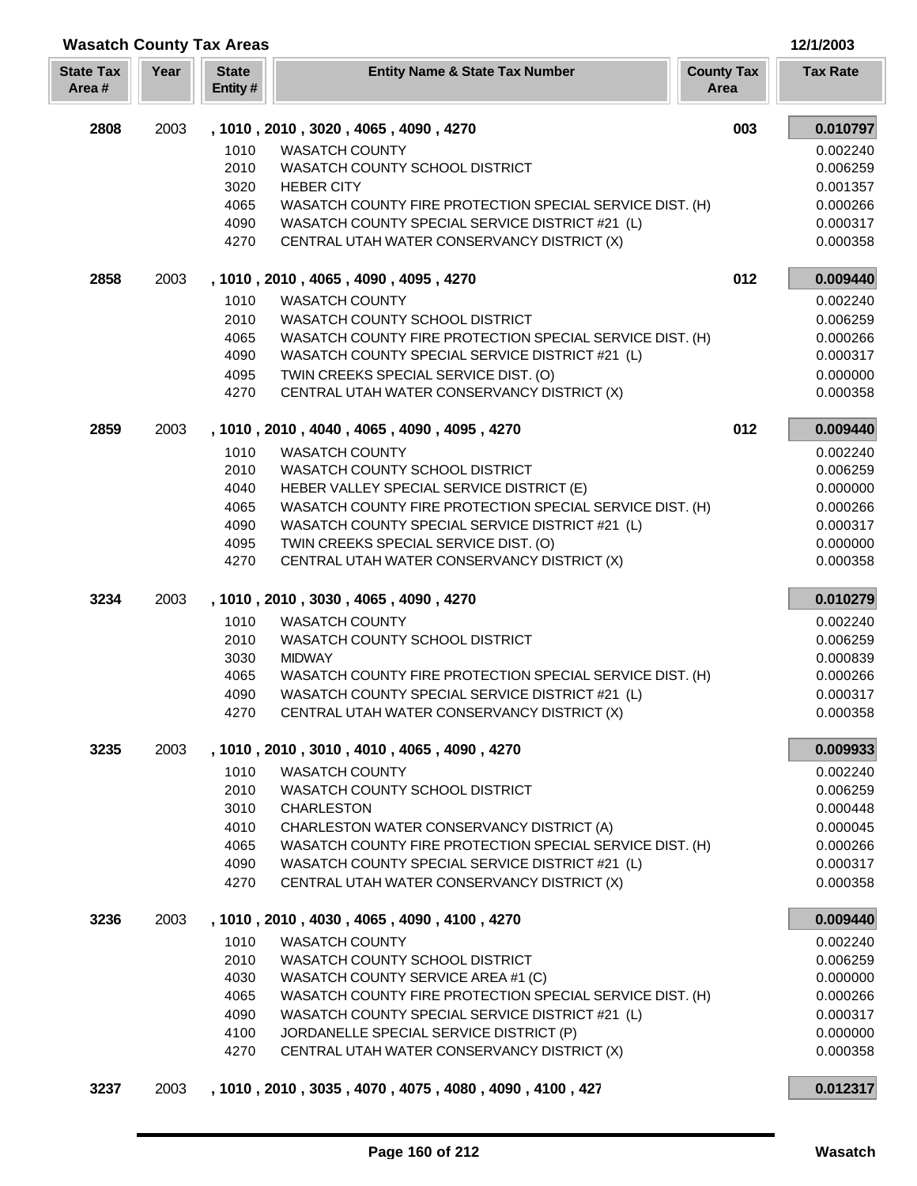| <b>Wasatch County Tax Areas</b> |      |                         |                                                                                                             |                           | 12/1/2003            |
|---------------------------------|------|-------------------------|-------------------------------------------------------------------------------------------------------------|---------------------------|----------------------|
| <b>State Tax</b><br>Area#       | Year | <b>State</b><br>Entity# | <b>Entity Name &amp; State Tax Number</b>                                                                   | <b>County Tax</b><br>Area | <b>Tax Rate</b>      |
| 2808                            | 2003 |                         | , 1010, 2010, 3020, 4065, 4090, 4270                                                                        | 003                       | 0.010797             |
|                                 |      | 1010                    | <b>WASATCH COUNTY</b>                                                                                       |                           | 0.002240             |
|                                 |      | 2010                    | WASATCH COUNTY SCHOOL DISTRICT                                                                              |                           | 0.006259             |
|                                 |      | 3020                    | <b>HEBER CITY</b>                                                                                           |                           | 0.001357             |
|                                 |      | 4065                    | WASATCH COUNTY FIRE PROTECTION SPECIAL SERVICE DIST. (H)                                                    |                           | 0.000266             |
|                                 |      | 4090<br>4270            | WASATCH COUNTY SPECIAL SERVICE DISTRICT #21 (L)<br>CENTRAL UTAH WATER CONSERVANCY DISTRICT (X)              |                           | 0.000317<br>0.000358 |
| 2858                            | 2003 |                         | , 1010, 2010, 4065, 4090, 4095, 4270                                                                        | 012                       | 0.009440             |
|                                 |      | 1010                    | <b>WASATCH COUNTY</b>                                                                                       |                           | 0.002240             |
|                                 |      | 2010                    | WASATCH COUNTY SCHOOL DISTRICT                                                                              |                           | 0.006259             |
|                                 |      | 4065                    | WASATCH COUNTY FIRE PROTECTION SPECIAL SERVICE DIST. (H)                                                    |                           | 0.000266             |
|                                 |      | 4090                    | WASATCH COUNTY SPECIAL SERVICE DISTRICT #21 (L)                                                             |                           | 0.000317             |
|                                 |      | 4095                    | TWIN CREEKS SPECIAL SERVICE DIST. (O)                                                                       |                           | 0.000000             |
|                                 |      | 4270                    | CENTRAL UTAH WATER CONSERVANCY DISTRICT (X)                                                                 |                           | 0.000358             |
| 2859                            | 2003 |                         | , 1010, 2010, 4040, 4065, 4090, 4095, 4270                                                                  | 012                       | 0.009440             |
|                                 |      | 1010                    | <b>WASATCH COUNTY</b>                                                                                       |                           | 0.002240             |
|                                 |      | 2010                    | WASATCH COUNTY SCHOOL DISTRICT                                                                              |                           | 0.006259             |
|                                 |      | 4040                    | HEBER VALLEY SPECIAL SERVICE DISTRICT (E)                                                                   |                           | 0.000000             |
|                                 |      | 4065                    | WASATCH COUNTY FIRE PROTECTION SPECIAL SERVICE DIST. (H)                                                    |                           | 0.000266             |
|                                 |      | 4090<br>4095            | WASATCH COUNTY SPECIAL SERVICE DISTRICT #21 (L)<br>TWIN CREEKS SPECIAL SERVICE DIST. (O)                    |                           | 0.000317<br>0.000000 |
|                                 |      | 4270                    | CENTRAL UTAH WATER CONSERVANCY DISTRICT (X)                                                                 |                           | 0.000358             |
| 3234                            | 2003 |                         | , 1010, 2010, 3030, 4065, 4090, 4270                                                                        |                           | 0.010279             |
|                                 |      | 1010                    | <b>WASATCH COUNTY</b>                                                                                       |                           | 0.002240             |
|                                 |      | 2010                    | WASATCH COUNTY SCHOOL DISTRICT                                                                              |                           | 0.006259             |
|                                 |      | 3030                    | <b>MIDWAY</b>                                                                                               |                           | 0.000839             |
|                                 |      | 4065                    | WASATCH COUNTY FIRE PROTECTION SPECIAL SERVICE DIST. (H)                                                    |                           | 0.000266             |
|                                 |      | 4090                    | WASATCH COUNTY SPECIAL SERVICE DISTRICT #21 (L)                                                             |                           | 0.000317             |
|                                 |      | 4270                    | CENTRAL UTAH WATER CONSERVANCY DISTRICT (X)                                                                 |                           | 0.000358             |
| 3235                            | 2003 |                         | , 1010, 2010, 3010, 4010, 4065, 4090, 4270                                                                  |                           | 0.009933             |
|                                 |      | 1010                    | <b>WASATCH COUNTY</b>                                                                                       |                           | 0.002240             |
|                                 |      | 2010                    | WASATCH COUNTY SCHOOL DISTRICT                                                                              |                           | 0.006259             |
|                                 |      | 3010                    | <b>CHARLESTON</b>                                                                                           |                           | 0.000448             |
|                                 |      | 4010                    | CHARLESTON WATER CONSERVANCY DISTRICT (A)                                                                   |                           | 0.000045             |
|                                 |      | 4065<br>4090            | WASATCH COUNTY FIRE PROTECTION SPECIAL SERVICE DIST. (H)<br>WASATCH COUNTY SPECIAL SERVICE DISTRICT #21 (L) |                           | 0.000266<br>0.000317 |
|                                 |      | 4270                    | CENTRAL UTAH WATER CONSERVANCY DISTRICT (X)                                                                 |                           | 0.000358             |
| 3236                            | 2003 |                         | , 1010, 2010, 4030, 4065, 4090, 4100, 4270                                                                  |                           | 0.009440             |
|                                 |      | 1010                    | <b>WASATCH COUNTY</b>                                                                                       |                           | 0.002240             |
|                                 |      | 2010                    | WASATCH COUNTY SCHOOL DISTRICT                                                                              |                           | 0.006259             |
|                                 |      | 4030                    | WASATCH COUNTY SERVICE AREA #1 (C)                                                                          |                           | 0.000000             |
|                                 |      | 4065                    | WASATCH COUNTY FIRE PROTECTION SPECIAL SERVICE DIST. (H)                                                    |                           | 0.000266             |
|                                 |      | 4090                    | WASATCH COUNTY SPECIAL SERVICE DISTRICT #21 (L)                                                             |                           | 0.000317             |
|                                 |      | 4100                    | JORDANELLE SPECIAL SERVICE DISTRICT (P)                                                                     |                           | 0.000000             |
|                                 |      | 4270                    | CENTRAL UTAH WATER CONSERVANCY DISTRICT (X)                                                                 |                           | 0.000358             |
| 3237                            | 2003 |                         | , 1010, 2010, 3035, 4070, 4075, 4080, 4090, 4100, 427                                                       |                           | 0.012317             |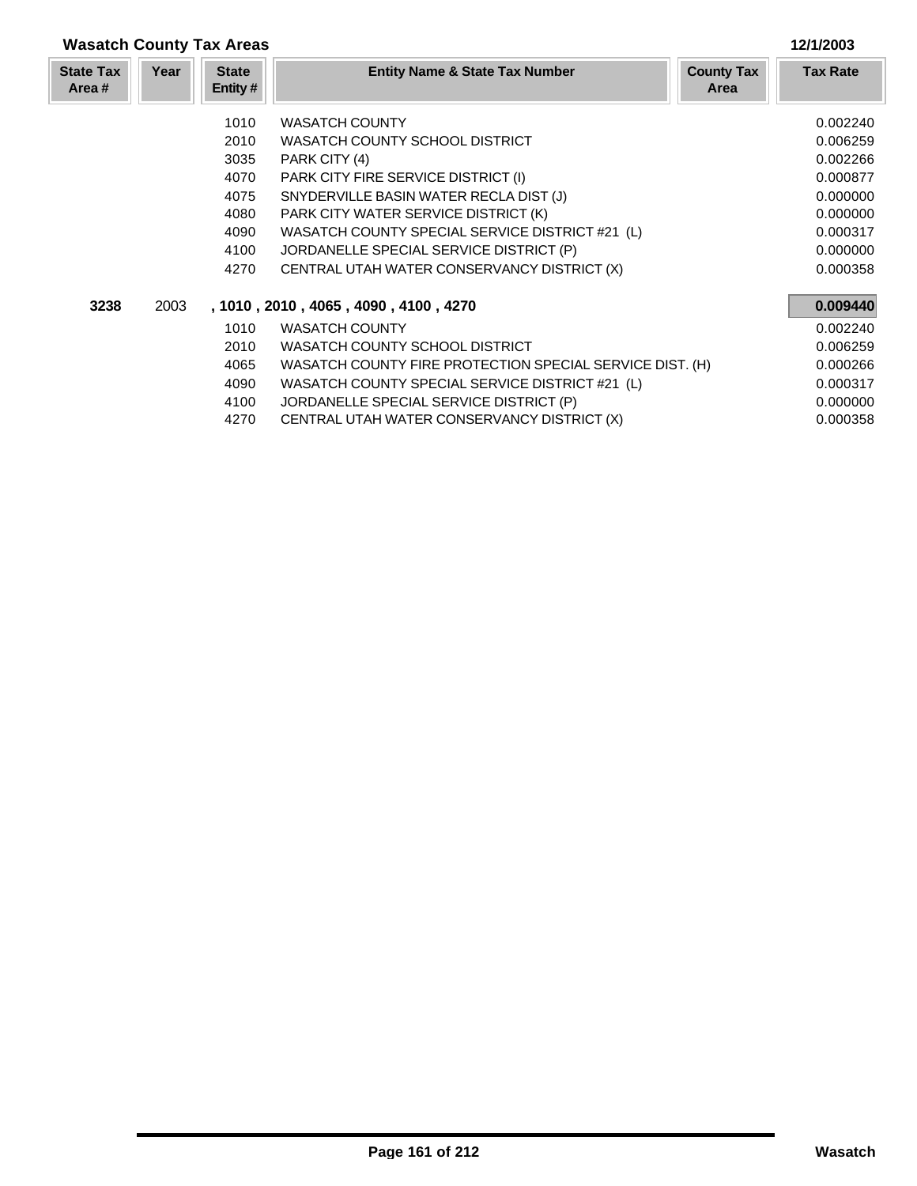|                           | <b>Wasatch County Tax Areas</b><br>12/1/2003 |                                                      |                                                                                                                                                                                                                                                                                                               |                                                                                  |  |
|---------------------------|----------------------------------------------|------------------------------------------------------|---------------------------------------------------------------------------------------------------------------------------------------------------------------------------------------------------------------------------------------------------------------------------------------------------------------|----------------------------------------------------------------------------------|--|
| <b>State Tax</b><br>Area# | Year                                         | <b>State</b><br>Entity#                              | <b>Entity Name &amp; State Tax Number</b><br><b>County Tax</b><br>Area                                                                                                                                                                                                                                        | <b>Tax Rate</b>                                                                  |  |
|                           |                                              | 1010<br>2010<br>3035<br>4070<br>4075<br>4080<br>4090 | <b>WASATCH COUNTY</b><br>WASATCH COUNTY SCHOOL DISTRICT<br>PARK CITY (4)<br>PARK CITY FIRE SERVICE DISTRICT (I)<br>SNYDERVILLE BASIN WATER RECLA DIST (J)<br>PARK CITY WATER SERVICE DISTRICT (K)<br>WASATCH COUNTY SPECIAL SERVICE DISTRICT #21 (L)                                                          | 0.002240<br>0.006259<br>0.002266<br>0.000877<br>0.000000<br>0.000000<br>0.000317 |  |
|                           |                                              | 4100<br>4270                                         | JORDANELLE SPECIAL SERVICE DISTRICT (P)<br>CENTRAL UTAH WATER CONSERVANCY DISTRICT (X)                                                                                                                                                                                                                        | 0.000000<br>0.000358                                                             |  |
| 3238                      | 2003                                         | 1010<br>2010<br>4065<br>4090<br>4100<br>4270         | , 1010 , 2010 , 4065 , 4090 , 4100 , 4270<br><b>WASATCH COUNTY</b><br>WASATCH COUNTY SCHOOL DISTRICT<br>WASATCH COUNTY FIRE PROTECTION SPECIAL SERVICE DIST. (H)<br>WASATCH COUNTY SPECIAL SERVICE DISTRICT #21 (L)<br>JORDANELLE SPECIAL SERVICE DISTRICT (P)<br>CENTRAL UTAH WATER CONSERVANCY DISTRICT (X) | 0.009440<br>0.002240<br>0.006259<br>0.000266<br>0.000317<br>0.000000<br>0.000358 |  |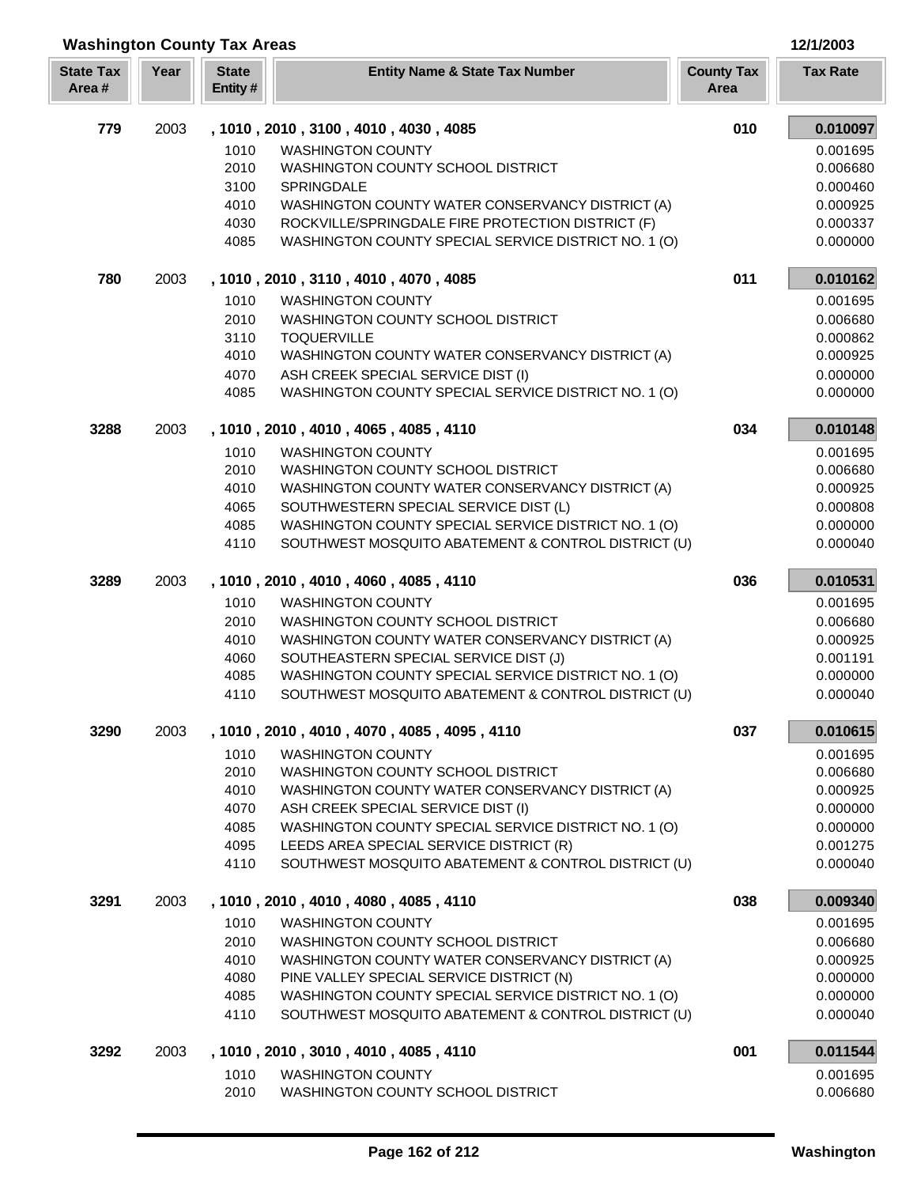| 12/1/2003 |
|-----------|
|-----------|

| <b>Washington County Tax Areas</b> |      | 12/1/2003               |                                                                                                  |                           |                      |
|------------------------------------|------|-------------------------|--------------------------------------------------------------------------------------------------|---------------------------|----------------------|
| <b>State Tax</b><br>Area#          | Year | <b>State</b><br>Entity# | <b>Entity Name &amp; State Tax Number</b>                                                        | <b>County Tax</b><br>Area | <b>Tax Rate</b>      |
| 779                                | 2003 |                         | , 1010, 2010, 3100, 4010, 4030, 4085                                                             | 010                       | 0.010097             |
|                                    |      | 1010                    | <b>WASHINGTON COUNTY</b>                                                                         |                           | 0.001695             |
|                                    |      | 2010                    | WASHINGTON COUNTY SCHOOL DISTRICT                                                                |                           | 0.006680             |
|                                    |      | 3100                    | SPRINGDALE                                                                                       |                           | 0.000460             |
|                                    |      | 4010                    | WASHINGTON COUNTY WATER CONSERVANCY DISTRICT (A)                                                 |                           | 0.000925             |
|                                    |      | 4030                    | ROCKVILLE/SPRINGDALE FIRE PROTECTION DISTRICT (F)                                                |                           | 0.000337             |
|                                    |      | 4085                    | WASHINGTON COUNTY SPECIAL SERVICE DISTRICT NO. 1 (O)                                             |                           | 0.000000             |
| 780                                | 2003 |                         | , 1010, 2010, 3110, 4010, 4070, 4085                                                             | 011                       | 0.010162             |
|                                    |      | 1010                    | <b>WASHINGTON COUNTY</b>                                                                         |                           | 0.001695             |
|                                    |      | 2010                    | WASHINGTON COUNTY SCHOOL DISTRICT                                                                |                           | 0.006680             |
|                                    |      | 3110                    | <b>TOQUERVILLE</b>                                                                               |                           | 0.000862             |
|                                    |      | 4010                    | WASHINGTON COUNTY WATER CONSERVANCY DISTRICT (A)                                                 |                           | 0.000925             |
|                                    |      | 4070<br>4085            | ASH CREEK SPECIAL SERVICE DIST (I)<br>WASHINGTON COUNTY SPECIAL SERVICE DISTRICT NO. 1 (O)       |                           | 0.000000<br>0.000000 |
|                                    |      |                         |                                                                                                  |                           |                      |
| 3288                               | 2003 |                         | , 1010, 2010, 4010, 4065, 4085, 4110<br><b>WASHINGTON COUNTY</b>                                 | 034                       | 0.010148<br>0.001695 |
|                                    |      | 1010<br>2010            | <b>WASHINGTON COUNTY SCHOOL DISTRICT</b>                                                         |                           | 0.006680             |
|                                    |      | 4010                    | WASHINGTON COUNTY WATER CONSERVANCY DISTRICT (A)                                                 |                           | 0.000925             |
|                                    |      | 4065                    | SOUTHWESTERN SPECIAL SERVICE DIST (L)                                                            |                           | 0.000808             |
|                                    |      | 4085                    | WASHINGTON COUNTY SPECIAL SERVICE DISTRICT NO. 1 (O)                                             |                           | 0.000000             |
|                                    |      | 4110                    | SOUTHWEST MOSQUITO ABATEMENT & CONTROL DISTRICT (U)                                              |                           | 0.000040             |
| 3289                               | 2003 |                         | , 1010, 2010, 4010, 4060, 4085, 4110                                                             | 036                       | 0.010531             |
|                                    |      | 1010                    | <b>WASHINGTON COUNTY</b>                                                                         |                           | 0.001695             |
|                                    |      | 2010                    | WASHINGTON COUNTY SCHOOL DISTRICT                                                                |                           | 0.006680             |
|                                    |      | 4010                    | WASHINGTON COUNTY WATER CONSERVANCY DISTRICT (A)                                                 |                           | 0.000925             |
|                                    |      | 4060                    | SOUTHEASTERN SPECIAL SERVICE DIST (J)                                                            |                           | 0.001191             |
|                                    |      | 4085                    | WASHINGTON COUNTY SPECIAL SERVICE DISTRICT NO. 1 (O)                                             |                           | 0.000000             |
|                                    |      | 4110                    | SOUTHWEST MOSQUITO ABATEMENT & CONTROL DISTRICT (U)                                              |                           | 0.000040             |
| 3290                               | 2003 |                         | , 1010, 2010, 4010, 4070, 4085, 4095, 4110                                                       | 037                       | 0.010615             |
|                                    |      | 1010                    | <b>WASHINGTON COUNTY</b>                                                                         |                           | 0.001695             |
|                                    |      | 2010                    | WASHINGTON COUNTY SCHOOL DISTRICT                                                                |                           | 0.006680             |
|                                    |      | 4010                    | WASHINGTON COUNTY WATER CONSERVANCY DISTRICT (A)                                                 |                           | 0.000925             |
|                                    |      | 4070                    | ASH CREEK SPECIAL SERVICE DIST (I)                                                               |                           | 0.000000             |
|                                    |      | 4085<br>4095            | WASHINGTON COUNTY SPECIAL SERVICE DISTRICT NO. 1 (O)<br>LEEDS AREA SPECIAL SERVICE DISTRICT (R)  |                           | 0.000000<br>0.001275 |
|                                    |      | 4110                    | SOUTHWEST MOSQUITO ABATEMENT & CONTROL DISTRICT (U)                                              |                           | 0.000040             |
|                                    |      |                         |                                                                                                  |                           |                      |
| 3291                               | 2003 |                         | , 1010, 2010, 4010, 4080, 4085, 4110                                                             | 038                       | 0.009340             |
|                                    |      | 1010                    | <b>WASHINGTON COUNTY</b>                                                                         |                           | 0.001695             |
|                                    |      | 2010                    | WASHINGTON COUNTY SCHOOL DISTRICT                                                                |                           | 0.006680             |
|                                    |      | 4010                    | WASHINGTON COUNTY WATER CONSERVANCY DISTRICT (A)                                                 |                           | 0.000925             |
|                                    |      | 4080<br>4085            | PINE VALLEY SPECIAL SERVICE DISTRICT (N)<br>WASHINGTON COUNTY SPECIAL SERVICE DISTRICT NO. 1 (O) |                           | 0.000000<br>0.000000 |
|                                    |      | 4110                    | SOUTHWEST MOSQUITO ABATEMENT & CONTROL DISTRICT (U)                                              |                           | 0.000040             |
| 3292                               | 2003 |                         | , 1010, 2010, 3010, 4010, 4085, 4110                                                             | 001                       | 0.011544             |
|                                    |      | 1010                    | <b>WASHINGTON COUNTY</b>                                                                         |                           | 0.001695             |
|                                    |      |                         |                                                                                                  |                           |                      |

I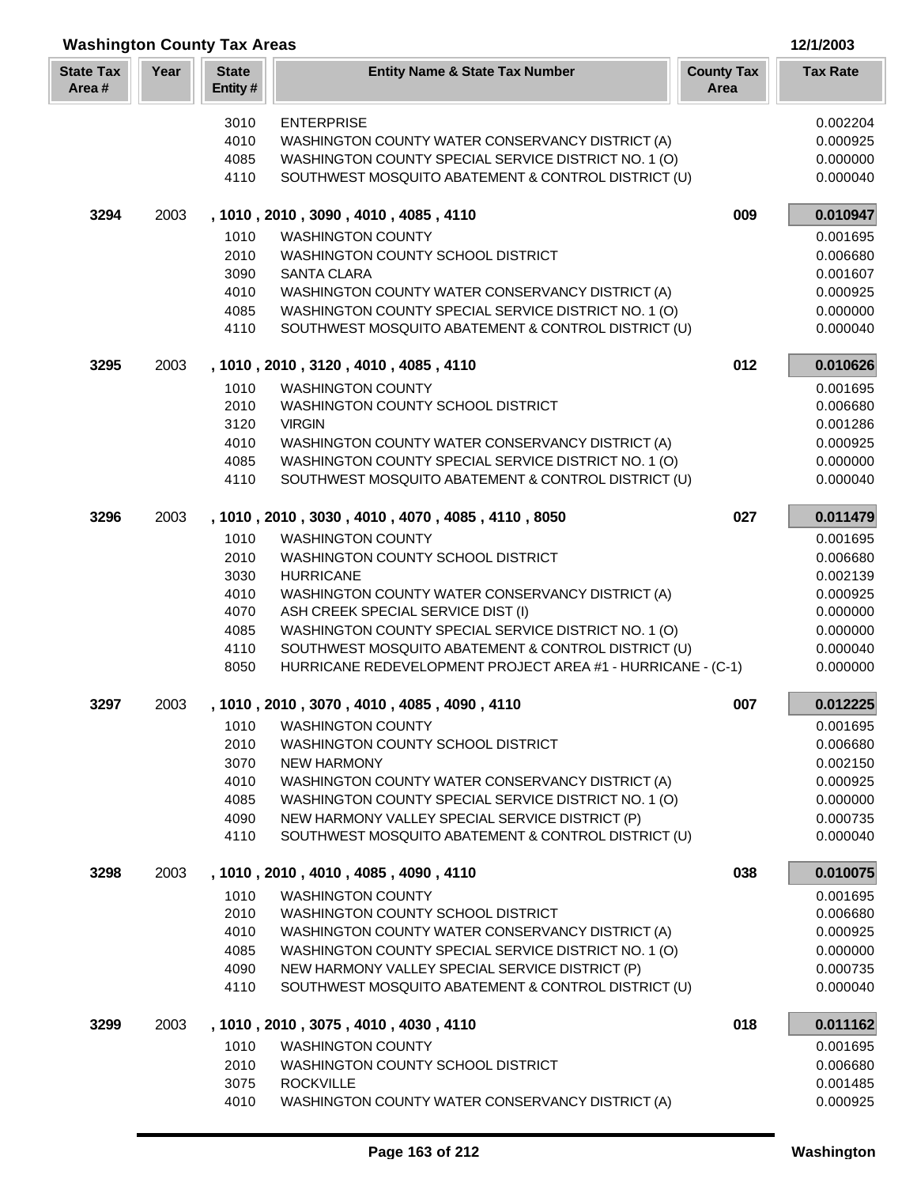| <b>Washington County Tax Areas</b> |      |                         |                                                                                                                    |                           |                      |
|------------------------------------|------|-------------------------|--------------------------------------------------------------------------------------------------------------------|---------------------------|----------------------|
| <b>State Tax</b><br>Area#          | Year | <b>State</b><br>Entity# | <b>Entity Name &amp; State Tax Number</b>                                                                          | <b>County Tax</b><br>Area | <b>Tax Rate</b>      |
|                                    |      | 3010                    | <b>ENTERPRISE</b>                                                                                                  |                           | 0.002204             |
|                                    |      | 4010                    | WASHINGTON COUNTY WATER CONSERVANCY DISTRICT (A)                                                                   |                           | 0.000925             |
|                                    |      | 4085                    | WASHINGTON COUNTY SPECIAL SERVICE DISTRICT NO. 1 (O)                                                               |                           | 0.000000             |
|                                    |      | 4110                    | SOUTHWEST MOSQUITO ABATEMENT & CONTROL DISTRICT (U)                                                                |                           | 0.000040             |
| 3294                               | 2003 |                         | , 1010, 2010, 3090, 4010, 4085, 4110                                                                               | 009                       | 0.010947             |
|                                    |      | 1010                    | <b>WASHINGTON COUNTY</b>                                                                                           |                           | 0.001695             |
|                                    |      | 2010                    | WASHINGTON COUNTY SCHOOL DISTRICT                                                                                  |                           | 0.006680             |
|                                    |      | 3090                    | <b>SANTA CLARA</b>                                                                                                 |                           | 0.001607             |
|                                    |      | 4010                    | WASHINGTON COUNTY WATER CONSERVANCY DISTRICT (A)                                                                   |                           | 0.000925             |
|                                    |      | 4085<br>4110            | WASHINGTON COUNTY SPECIAL SERVICE DISTRICT NO. 1 (O)<br>SOUTHWEST MOSQUITO ABATEMENT & CONTROL DISTRICT (U)        |                           | 0.000000<br>0.000040 |
| 3295                               | 2003 |                         | , 1010, 2010, 3120, 4010, 4085, 4110                                                                               | 012                       | 0.010626             |
|                                    |      | 1010                    | <b>WASHINGTON COUNTY</b>                                                                                           |                           | 0.001695             |
|                                    |      | 2010                    | WASHINGTON COUNTY SCHOOL DISTRICT                                                                                  |                           | 0.006680             |
|                                    |      | 3120                    | <b>VIRGIN</b>                                                                                                      |                           | 0.001286             |
|                                    |      | 4010                    | WASHINGTON COUNTY WATER CONSERVANCY DISTRICT (A)                                                                   |                           | 0.000925             |
|                                    |      | 4085                    | WASHINGTON COUNTY SPECIAL SERVICE DISTRICT NO. 1 (O)                                                               |                           | 0.000000             |
|                                    |      | 4110                    | SOUTHWEST MOSQUITO ABATEMENT & CONTROL DISTRICT (U)                                                                |                           | 0.000040             |
| 3296                               | 2003 |                         | , 1010, 2010, 3030, 4010, 4070, 4085, 4110, 8050                                                                   | 027                       | 0.011479             |
|                                    |      | 1010                    | <b>WASHINGTON COUNTY</b>                                                                                           |                           | 0.001695             |
|                                    |      | 2010                    | WASHINGTON COUNTY SCHOOL DISTRICT                                                                                  |                           | 0.006680             |
|                                    |      | 3030                    | <b>HURRICANE</b>                                                                                                   |                           | 0.002139             |
|                                    |      | 4010                    | WASHINGTON COUNTY WATER CONSERVANCY DISTRICT (A)                                                                   |                           | 0.000925             |
|                                    |      | 4070                    | ASH CREEK SPECIAL SERVICE DIST (I)                                                                                 |                           | 0.000000             |
|                                    |      | 4085                    | WASHINGTON COUNTY SPECIAL SERVICE DISTRICT NO. 1 (O)                                                               |                           | 0.000000             |
|                                    |      | 4110<br>8050            | SOUTHWEST MOSQUITO ABATEMENT & CONTROL DISTRICT (U)<br>HURRICANE REDEVELOPMENT PROJECT AREA #1 - HURRICANE - (C-1) |                           | 0.000040<br>0.000000 |
| 3297                               | 2003 |                         | 1010, 2010, 3070, 4010, 4085, 4090, 4110                                                                           | 007                       | 0.012225             |
|                                    |      | 1010                    | <b>WASHINGTON COUNTY</b>                                                                                           |                           | 0.001695             |
|                                    |      | 2010                    | WASHINGTON COUNTY SCHOOL DISTRICT                                                                                  |                           | 0.006680             |
|                                    |      | 3070                    | NEW HARMONY                                                                                                        |                           | 0.002150             |
|                                    |      | 4010                    | WASHINGTON COUNTY WATER CONSERVANCY DISTRICT (A)                                                                   |                           | 0.000925             |
|                                    |      | 4085                    | WASHINGTON COUNTY SPECIAL SERVICE DISTRICT NO. 1 (O)                                                               |                           | 0.000000             |
|                                    |      | 4090                    | NEW HARMONY VALLEY SPECIAL SERVICE DISTRICT (P)                                                                    |                           | 0.000735             |
|                                    |      | 4110                    | SOUTHWEST MOSQUITO ABATEMENT & CONTROL DISTRICT (U)                                                                |                           | 0.000040             |
| 3298                               | 2003 |                         | , 1010, 2010, 4010, 4085, 4090, 4110                                                                               | 038                       | 0.010075             |
|                                    |      | 1010                    | <b>WASHINGTON COUNTY</b>                                                                                           |                           | 0.001695             |
|                                    |      | 2010                    | WASHINGTON COUNTY SCHOOL DISTRICT                                                                                  |                           | 0.006680             |
|                                    |      | 4010                    | WASHINGTON COUNTY WATER CONSERVANCY DISTRICT (A)                                                                   |                           | 0.000925             |
|                                    |      | 4085                    | WASHINGTON COUNTY SPECIAL SERVICE DISTRICT NO. 1 (O)                                                               |                           | 0.000000             |
|                                    |      | 4090<br>4110            | NEW HARMONY VALLEY SPECIAL SERVICE DISTRICT (P)<br>SOUTHWEST MOSQUITO ABATEMENT & CONTROL DISTRICT (U)             |                           | 0.000735<br>0.000040 |
| 3299                               | 2003 |                         | , 1010, 2010, 3075, 4010, 4030, 4110                                                                               | 018                       | 0.011162             |
|                                    |      |                         |                                                                                                                    |                           |                      |
|                                    |      | 1010                    | <b>WASHINGTON COUNTY</b>                                                                                           |                           | 0.001695             |
|                                    |      | 2010<br>3075            | WASHINGTON COUNTY SCHOOL DISTRICT<br><b>ROCKVILLE</b>                                                              |                           | 0.006680<br>0.001485 |
|                                    |      | 4010                    | WASHINGTON COUNTY WATER CONSERVANCY DISTRICT (A)                                                                   |                           | 0.000925             |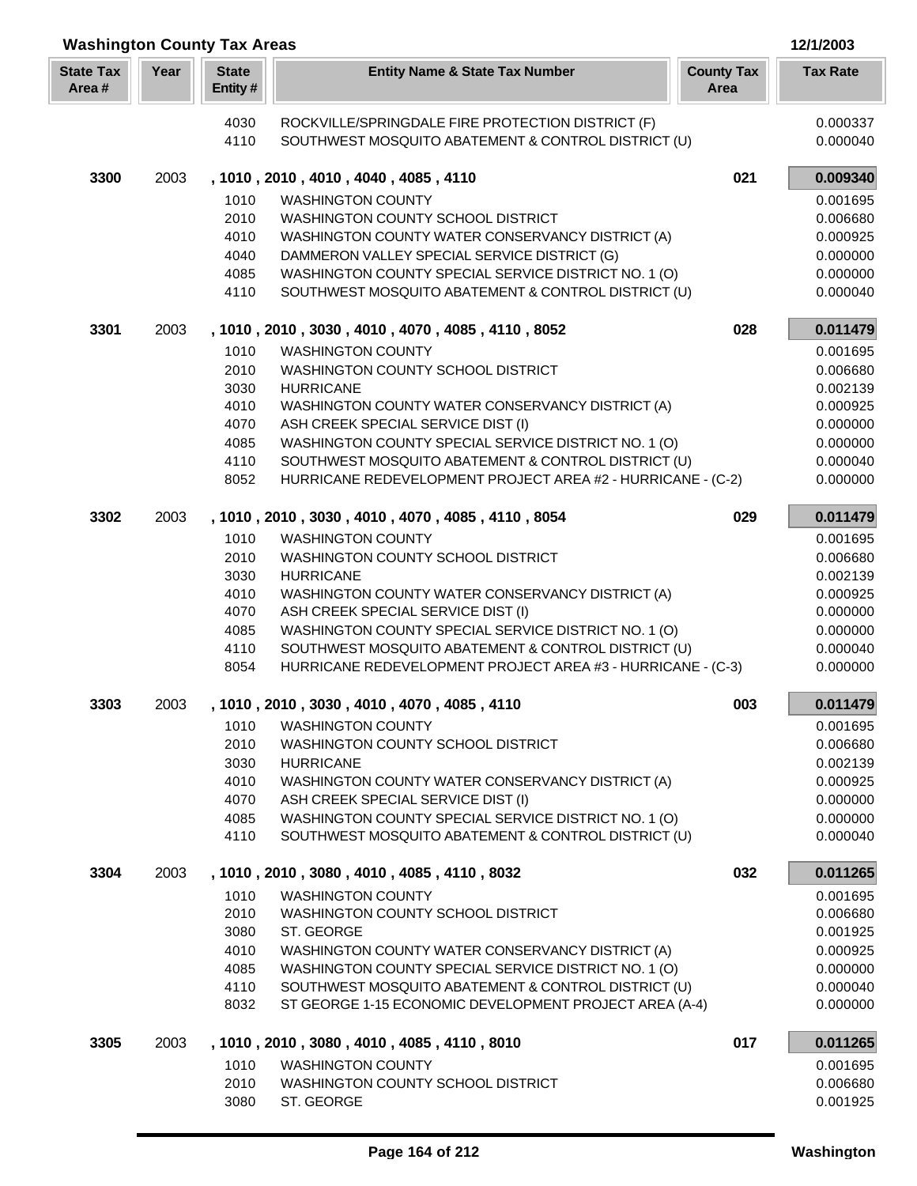| <b>Washington County Tax Areas</b> |      |                         |                                                                                                               |                           | 12/1/2003            |
|------------------------------------|------|-------------------------|---------------------------------------------------------------------------------------------------------------|---------------------------|----------------------|
| <b>State Tax</b><br>Area#          | Year | <b>State</b><br>Entity# | <b>Entity Name &amp; State Tax Number</b>                                                                     | <b>County Tax</b><br>Area | <b>Tax Rate</b>      |
|                                    |      | 4030                    | ROCKVILLE/SPRINGDALE FIRE PROTECTION DISTRICT (F)                                                             |                           | 0.000337             |
|                                    |      | 4110                    | SOUTHWEST MOSQUITO ABATEMENT & CONTROL DISTRICT (U)                                                           |                           | 0.000040             |
| 3300                               | 2003 |                         | , 1010, 2010, 4010, 4040, 4085, 4110                                                                          | 021                       | 0.009340             |
|                                    |      | 1010                    | <b>WASHINGTON COUNTY</b>                                                                                      |                           | 0.001695             |
|                                    |      | 2010                    | WASHINGTON COUNTY SCHOOL DISTRICT                                                                             |                           | 0.006680             |
|                                    |      | 4010                    | WASHINGTON COUNTY WATER CONSERVANCY DISTRICT (A)                                                              |                           | 0.000925             |
|                                    |      | 4040                    | DAMMERON VALLEY SPECIAL SERVICE DISTRICT (G)                                                                  |                           | 0.000000             |
|                                    |      | 4085<br>4110            | WASHINGTON COUNTY SPECIAL SERVICE DISTRICT NO. 1 (O)<br>SOUTHWEST MOSQUITO ABATEMENT & CONTROL DISTRICT (U)   |                           | 0.000000<br>0.000040 |
| 3301                               | 2003 |                         | , 1010, 2010, 3030, 4010, 4070, 4085, 4110, 8052                                                              | 028                       | 0.011479             |
|                                    |      | 1010                    | <b>WASHINGTON COUNTY</b>                                                                                      |                           | 0.001695             |
|                                    |      | 2010                    | WASHINGTON COUNTY SCHOOL DISTRICT                                                                             |                           | 0.006680             |
|                                    |      | 3030                    | <b>HURRICANE</b>                                                                                              |                           | 0.002139             |
|                                    |      | 4010                    | WASHINGTON COUNTY WATER CONSERVANCY DISTRICT (A)                                                              |                           | 0.000925             |
|                                    |      | 4070                    | ASH CREEK SPECIAL SERVICE DIST (I)                                                                            |                           | 0.000000             |
|                                    |      | 4085                    | WASHINGTON COUNTY SPECIAL SERVICE DISTRICT NO. 1 (O)                                                          |                           | 0.000000             |
|                                    |      | 4110                    | SOUTHWEST MOSQUITO ABATEMENT & CONTROL DISTRICT (U)                                                           |                           | 0.000040             |
|                                    |      | 8052                    | HURRICANE REDEVELOPMENT PROJECT AREA #2 - HURRICANE - (C-2)                                                   |                           | 0.000000             |
| 3302                               | 2003 |                         | , 1010, 2010, 3030, 4010, 4070, 4085, 4110, 8054                                                              | 029                       | 0.011479             |
|                                    |      | 1010                    | <b>WASHINGTON COUNTY</b>                                                                                      |                           | 0.001695             |
|                                    |      | 2010                    | WASHINGTON COUNTY SCHOOL DISTRICT                                                                             |                           | 0.006680             |
|                                    |      | 3030<br>4010            | <b>HURRICANE</b><br>WASHINGTON COUNTY WATER CONSERVANCY DISTRICT (A)                                          |                           | 0.002139<br>0.000925 |
|                                    |      | 4070                    | ASH CREEK SPECIAL SERVICE DIST (I)                                                                            |                           | 0.000000             |
|                                    |      | 4085                    | WASHINGTON COUNTY SPECIAL SERVICE DISTRICT NO. 1 (O)                                                          |                           | 0.000000             |
|                                    |      | 4110                    | SOUTHWEST MOSQUITO ABATEMENT & CONTROL DISTRICT (U)                                                           |                           | 0.000040             |
|                                    |      | 8054                    | HURRICANE REDEVELOPMENT PROJECT AREA #3 - HURRICANE - (C-3)                                                   |                           | 0.000000             |
| 3303                               | 2003 |                         | 1010, 2010, 3030, 4010, 4070, 4085, 4110                                                                      | 003                       | 0.011479             |
|                                    |      | 1010                    | <b>WASHINGTON COUNTY</b>                                                                                      |                           | 0.001695             |
|                                    |      | 2010                    | WASHINGTON COUNTY SCHOOL DISTRICT                                                                             |                           | 0.006680             |
|                                    |      | 3030                    | <b>HURRICANE</b>                                                                                              |                           | 0.002139             |
|                                    |      | 4010<br>4070            | WASHINGTON COUNTY WATER CONSERVANCY DISTRICT (A)<br>ASH CREEK SPECIAL SERVICE DIST (I)                        |                           | 0.000925<br>0.000000 |
|                                    |      | 4085                    | WASHINGTON COUNTY SPECIAL SERVICE DISTRICT NO. 1 (O)                                                          |                           | 0.000000             |
|                                    |      | 4110                    | SOUTHWEST MOSQUITO ABATEMENT & CONTROL DISTRICT (U)                                                           |                           | 0.000040             |
| 3304                               | 2003 |                         | , 1010, 2010, 3080, 4010, 4085, 4110, 8032                                                                    | 032                       | 0.011265             |
|                                    |      | 1010                    | <b>WASHINGTON COUNTY</b>                                                                                      |                           | 0.001695             |
|                                    |      | 2010                    | WASHINGTON COUNTY SCHOOL DISTRICT                                                                             |                           | 0.006680             |
|                                    |      | 3080                    | ST. GEORGE                                                                                                    |                           | 0.001925             |
|                                    |      | 4010                    | WASHINGTON COUNTY WATER CONSERVANCY DISTRICT (A)                                                              |                           | 0.000925             |
|                                    |      | 4085                    | WASHINGTON COUNTY SPECIAL SERVICE DISTRICT NO. 1 (O)                                                          |                           | 0.000000             |
|                                    |      | 4110<br>8032            | SOUTHWEST MOSQUITO ABATEMENT & CONTROL DISTRICT (U)<br>ST GEORGE 1-15 ECONOMIC DEVELOPMENT PROJECT AREA (A-4) |                           | 0.000040<br>0.000000 |
| 3305                               | 2003 |                         | , 1010, 2010, 3080, 4010, 4085, 4110, 8010                                                                    | 017                       | 0.011265             |
|                                    |      | 1010                    | <b>WASHINGTON COUNTY</b>                                                                                      |                           | 0.001695             |
|                                    |      | 2010                    | WASHINGTON COUNTY SCHOOL DISTRICT                                                                             |                           | 0.006680             |
|                                    |      | 3080                    | ST. GEORGE                                                                                                    |                           | 0.001925             |

Γ I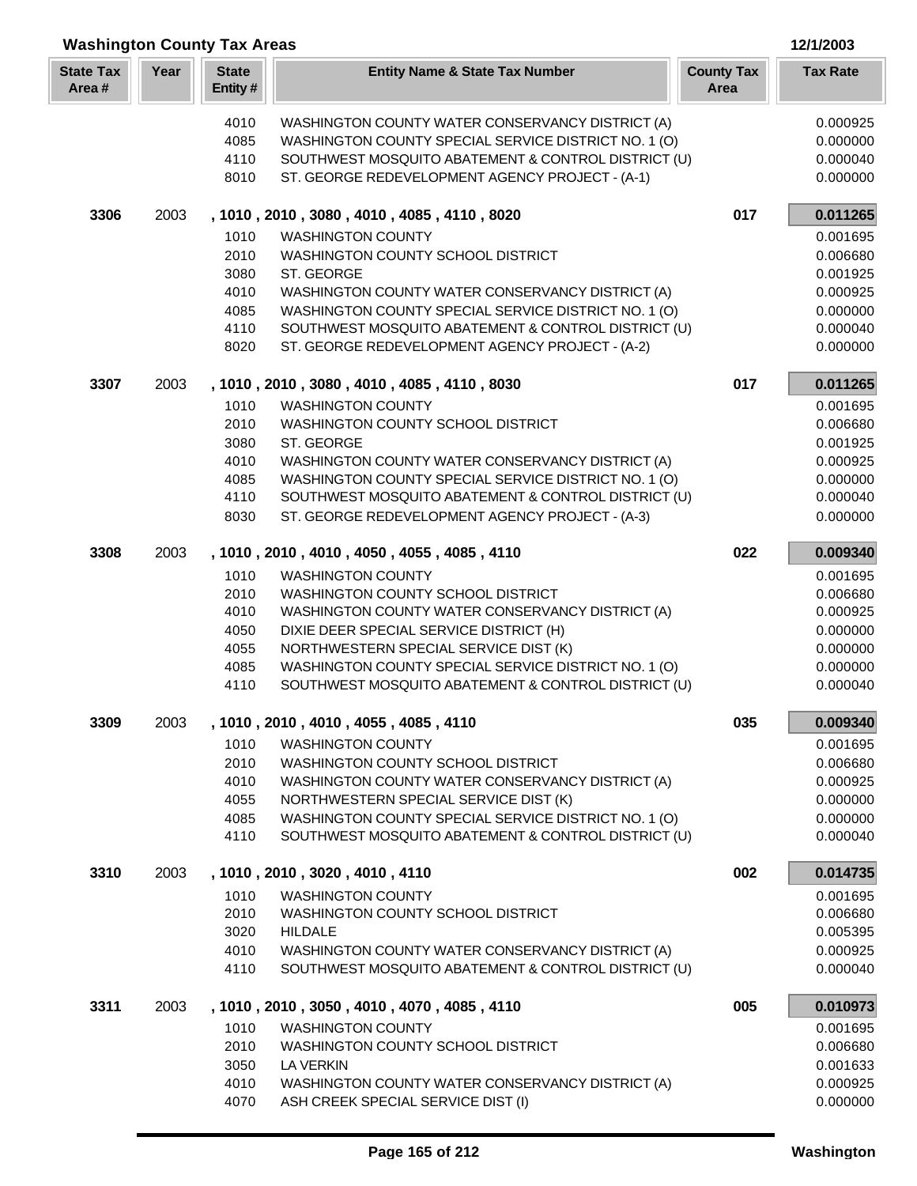| <b>Washington County Tax Areas</b><br>12/1/2003 |      |                         |                                                                                                         |                           |                      |
|-------------------------------------------------|------|-------------------------|---------------------------------------------------------------------------------------------------------|---------------------------|----------------------|
| <b>State Tax</b><br>Area#                       | Year | <b>State</b><br>Entity# | <b>Entity Name &amp; State Tax Number</b>                                                               | <b>County Tax</b><br>Area | <b>Tax Rate</b>      |
|                                                 |      | 4010                    | WASHINGTON COUNTY WATER CONSERVANCY DISTRICT (A)                                                        |                           | 0.000925             |
|                                                 |      | 4085                    | WASHINGTON COUNTY SPECIAL SERVICE DISTRICT NO. 1 (O)                                                    |                           | 0.000000             |
|                                                 |      | 4110                    | SOUTHWEST MOSQUITO ABATEMENT & CONTROL DISTRICT (U)                                                     |                           | 0.000040             |
|                                                 |      | 8010                    | ST. GEORGE REDEVELOPMENT AGENCY PROJECT - (A-1)                                                         |                           | 0.000000             |
| 3306                                            | 2003 |                         | , 1010, 2010, 3080, 4010, 4085, 4110, 8020                                                              | 017                       | 0.011265             |
|                                                 |      | 1010                    | <b>WASHINGTON COUNTY</b>                                                                                |                           | 0.001695             |
|                                                 |      | 2010                    | WASHINGTON COUNTY SCHOOL DISTRICT                                                                       |                           | 0.006680             |
|                                                 |      | 3080                    | ST. GEORGE                                                                                              |                           | 0.001925             |
|                                                 |      | 4010                    | WASHINGTON COUNTY WATER CONSERVANCY DISTRICT (A)                                                        |                           | 0.000925             |
|                                                 |      | 4085                    | WASHINGTON COUNTY SPECIAL SERVICE DISTRICT NO. 1 (O)                                                    |                           | 0.000000             |
|                                                 |      | 4110                    | SOUTHWEST MOSQUITO ABATEMENT & CONTROL DISTRICT (U)                                                     |                           | 0.000040             |
|                                                 |      | 8020                    | ST. GEORGE REDEVELOPMENT AGENCY PROJECT - (A-2)                                                         |                           | 0.000000             |
| 3307                                            | 2003 |                         | , 1010, 2010, 3080, 4010, 4085, 4110, 8030                                                              | 017                       | 0.011265             |
|                                                 |      | 1010                    | <b>WASHINGTON COUNTY</b>                                                                                |                           | 0.001695             |
|                                                 |      | 2010                    | WASHINGTON COUNTY SCHOOL DISTRICT                                                                       |                           | 0.006680             |
|                                                 |      | 3080                    | ST. GEORGE                                                                                              |                           | 0.001925             |
|                                                 |      | 4010                    | WASHINGTON COUNTY WATER CONSERVANCY DISTRICT (A)                                                        |                           | 0.000925             |
|                                                 |      | 4085                    | WASHINGTON COUNTY SPECIAL SERVICE DISTRICT NO. 1 (O)                                                    |                           | 0.000000             |
|                                                 |      | 4110                    | SOUTHWEST MOSQUITO ABATEMENT & CONTROL DISTRICT (U)                                                     |                           | 0.000040             |
|                                                 |      | 8030                    | ST. GEORGE REDEVELOPMENT AGENCY PROJECT - (A-3)                                                         |                           | 0.000000             |
| 3308                                            | 2003 |                         | , 1010, 2010, 4010, 4050, 4055, 4085, 4110                                                              | 022                       | 0.009340             |
|                                                 |      | 1010                    | <b>WASHINGTON COUNTY</b>                                                                                |                           | 0.001695             |
|                                                 |      | 2010                    | WASHINGTON COUNTY SCHOOL DISTRICT                                                                       |                           | 0.006680             |
|                                                 |      | 4010                    | WASHINGTON COUNTY WATER CONSERVANCY DISTRICT (A)                                                        |                           | 0.000925             |
|                                                 |      | 4050                    | DIXIE DEER SPECIAL SERVICE DISTRICT (H)                                                                 |                           | 0.000000             |
|                                                 |      | 4055<br>4085            | NORTHWESTERN SPECIAL SERVICE DIST (K)<br>WASHINGTON COUNTY SPECIAL SERVICE DISTRICT NO. 1 (O)           |                           | 0.000000<br>0.000000 |
|                                                 |      | 4110                    | SOUTHWEST MOSQUITO ABATEMENT & CONTROL DISTRICT (U)                                                     |                           | 0.000040             |
| 3309                                            | 2003 |                         | , 1010, 2010, 4010, 4055, 4085, 4110                                                                    | 035                       | 0.009340             |
|                                                 |      | 1010                    | <b>WASHINGTON COUNTY</b>                                                                                |                           | 0.001695             |
|                                                 |      | 2010                    | WASHINGTON COUNTY SCHOOL DISTRICT                                                                       |                           | 0.006680             |
|                                                 |      | 4010                    | WASHINGTON COUNTY WATER CONSERVANCY DISTRICT (A)                                                        |                           | 0.000925             |
|                                                 |      | 4055                    | NORTHWESTERN SPECIAL SERVICE DIST (K)                                                                   |                           | 0.000000             |
|                                                 |      | 4085                    | WASHINGTON COUNTY SPECIAL SERVICE DISTRICT NO. 1 (O)                                                    |                           | 0.000000             |
|                                                 |      | 4110                    | SOUTHWEST MOSQUITO ABATEMENT & CONTROL DISTRICT (U)                                                     |                           | 0.000040             |
| 3310                                            | 2003 |                         | , 1010, 2010, 3020, 4010, 4110                                                                          | 002                       | 0.014735             |
|                                                 |      | 1010                    | <b>WASHINGTON COUNTY</b>                                                                                |                           | 0.001695             |
|                                                 |      | 2010                    | WASHINGTON COUNTY SCHOOL DISTRICT                                                                       |                           | 0.006680             |
|                                                 |      | 3020                    | <b>HILDALE</b>                                                                                          |                           | 0.005395             |
|                                                 |      | 4010<br>4110            | WASHINGTON COUNTY WATER CONSERVANCY DISTRICT (A)<br>SOUTHWEST MOSQUITO ABATEMENT & CONTROL DISTRICT (U) |                           | 0.000925<br>0.000040 |
|                                                 |      |                         |                                                                                                         |                           |                      |
| 3311                                            | 2003 |                         | , 1010, 2010, 3050, 4010, 4070, 4085, 4110                                                              | 005                       | 0.010973             |
|                                                 |      | 1010                    | <b>WASHINGTON COUNTY</b>                                                                                |                           | 0.001695             |
|                                                 |      | 2010                    | WASHINGTON COUNTY SCHOOL DISTRICT                                                                       |                           | 0.006680             |
|                                                 |      | 3050                    | <b>LA VERKIN</b>                                                                                        |                           | 0.001633             |
|                                                 |      | 4010                    | WASHINGTON COUNTY WATER CONSERVANCY DISTRICT (A)                                                        |                           | 0.000925             |
|                                                 |      | 4070                    | ASH CREEK SPECIAL SERVICE DIST (I)                                                                      |                           | 0.000000             |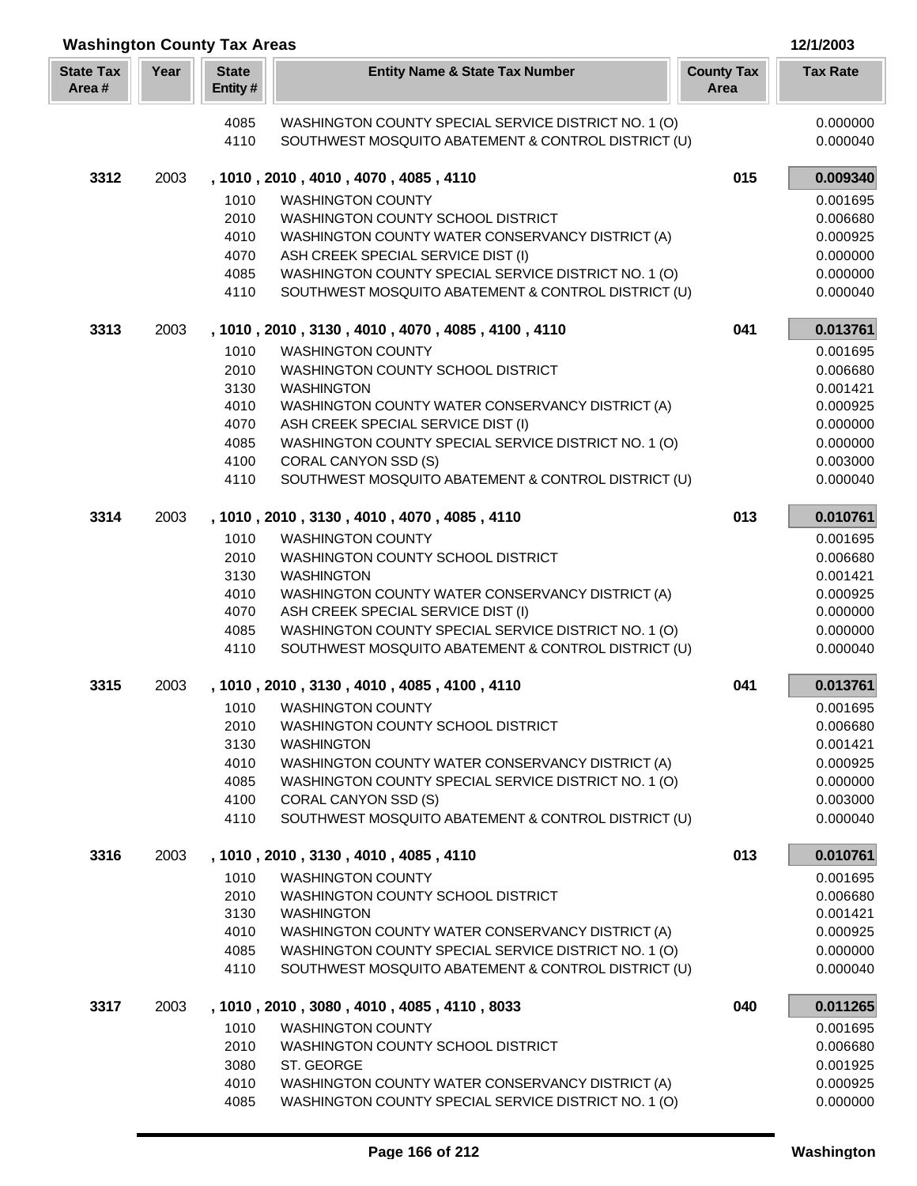| Year<br><b>State</b><br><b>State Tax</b><br><b>County Tax</b><br><b>Tax Rate</b><br><b>Entity Name &amp; State Tax Number</b><br>Area #<br>Entity#<br>Area<br>0.000000<br>4085<br>WASHINGTON COUNTY SPECIAL SERVICE DISTRICT NO. 1 (O)<br>4110<br>SOUTHWEST MOSQUITO ABATEMENT & CONTROL DISTRICT (U)<br>0.000040<br>015<br>0.009340<br>3312<br>, 1010, 2010, 4010, 4070, 4085, 4110<br>2003<br>1010<br><b>WASHINGTON COUNTY</b><br>0.001695<br>2010<br>WASHINGTON COUNTY SCHOOL DISTRICT<br>0.006680<br>4010<br>WASHINGTON COUNTY WATER CONSERVANCY DISTRICT (A)<br>0.000925<br>4070<br>ASH CREEK SPECIAL SERVICE DIST (I)<br>0.000000<br>4085<br>WASHINGTON COUNTY SPECIAL SERVICE DISTRICT NO. 1 (O)<br>0.000000<br>SOUTHWEST MOSQUITO ABATEMENT & CONTROL DISTRICT (U)<br>4110<br>0.000040<br>3313<br>2003<br>, 1010, 2010, 3130, 4010, 4070, 4085, 4100, 4110<br>041<br>0.013761<br>1010<br><b>WASHINGTON COUNTY</b><br>0.001695<br>2010<br>WASHINGTON COUNTY SCHOOL DISTRICT<br>0.006680<br>3130<br><b>WASHINGTON</b><br>0.001421<br>4010<br>WASHINGTON COUNTY WATER CONSERVANCY DISTRICT (A)<br>0.000925<br>4070<br>ASH CREEK SPECIAL SERVICE DIST (I)<br>0.000000<br>4085<br>WASHINGTON COUNTY SPECIAL SERVICE DISTRICT NO. 1 (O)<br>0.000000<br>4100<br>CORAL CANYON SSD (S)<br>0.003000<br>SOUTHWEST MOSQUITO ABATEMENT & CONTROL DISTRICT (U)<br>4110<br>0.000040<br>3314<br>013<br>2003<br>, 1010, 2010, 3130, 4010, 4070, 4085, 4110<br>0.010761<br>1010<br><b>WASHINGTON COUNTY</b><br>0.001695<br>2010<br>WASHINGTON COUNTY SCHOOL DISTRICT<br>0.006680<br>3130<br><b>WASHINGTON</b><br>0.001421<br>4010<br>WASHINGTON COUNTY WATER CONSERVANCY DISTRICT (A)<br>0.000925<br>4070<br>ASH CREEK SPECIAL SERVICE DIST (I)<br>0.000000<br>4085<br>WASHINGTON COUNTY SPECIAL SERVICE DISTRICT NO. 1 (O)<br>0.000000<br>4110<br>SOUTHWEST MOSQUITO ABATEMENT & CONTROL DISTRICT (U)<br>0.000040<br>3315<br>, 1010, 2010, 3130, 4010, 4085, 4100, 4110<br>041<br>0.013761<br>2003<br>1010 WASHINGTON COUNTY<br>0.001695<br>WASHINGTON COUNTY SCHOOL DISTRICT<br>2010<br>0.006680<br>3130<br><b>WASHINGTON</b><br>0.001421<br>4010<br>WASHINGTON COUNTY WATER CONSERVANCY DISTRICT (A)<br>0.000925<br>4085<br>WASHINGTON COUNTY SPECIAL SERVICE DISTRICT NO. 1 (O)<br>0.000000<br>4100<br>CORAL CANYON SSD (S)<br>0.003000<br>4110<br>SOUTHWEST MOSQUITO ABATEMENT & CONTROL DISTRICT (U)<br>0.000040<br>3316<br>013<br>0.010761<br>2003<br>, 1010, 2010, 3130, 4010, 4085, 4110<br>1010<br><b>WASHINGTON COUNTY</b><br>0.001695<br>2010<br>WASHINGTON COUNTY SCHOOL DISTRICT<br>0.006680<br>3130<br><b>WASHINGTON</b><br>0.001421<br>4010<br>WASHINGTON COUNTY WATER CONSERVANCY DISTRICT (A)<br>0.000925<br>WASHINGTON COUNTY SPECIAL SERVICE DISTRICT NO. 1 (O)<br>4085<br>0.000000<br>4110<br>SOUTHWEST MOSQUITO ABATEMENT & CONTROL DISTRICT (U)<br>0.000040<br>0.011265<br>3317<br>2003<br>, 1010, 2010, 3080, 4010, 4085, 4110, 8033<br>040<br>1010<br><b>WASHINGTON COUNTY</b><br>0.001695<br>2010<br>WASHINGTON COUNTY SCHOOL DISTRICT<br>0.006680<br>ST. GEORGE<br>3080<br>0.001925<br>4010<br>WASHINGTON COUNTY WATER CONSERVANCY DISTRICT (A)<br>0.000925 | <b>Washington County Tax Areas</b><br>12/1/2003 |  |      |                                                      |  |          |  |
|------------------------------------------------------------------------------------------------------------------------------------------------------------------------------------------------------------------------------------------------------------------------------------------------------------------------------------------------------------------------------------------------------------------------------------------------------------------------------------------------------------------------------------------------------------------------------------------------------------------------------------------------------------------------------------------------------------------------------------------------------------------------------------------------------------------------------------------------------------------------------------------------------------------------------------------------------------------------------------------------------------------------------------------------------------------------------------------------------------------------------------------------------------------------------------------------------------------------------------------------------------------------------------------------------------------------------------------------------------------------------------------------------------------------------------------------------------------------------------------------------------------------------------------------------------------------------------------------------------------------------------------------------------------------------------------------------------------------------------------------------------------------------------------------------------------------------------------------------------------------------------------------------------------------------------------------------------------------------------------------------------------------------------------------------------------------------------------------------------------------------------------------------------------------------------------------------------------------------------------------------------------------------------------------------------------------------------------------------------------------------------------------------------------------------------------------------------------------------------------------------------------------------------------------------------------------------------------------------------------------------------------------------------------------------------------------------------------------------------------------------------------------------------------------------------------------------------------------------------------------------------------------------------------------------------------------------------------------------------------------------------------------------------------------------------------------------------------------------------------------------------------------------------------------------|-------------------------------------------------|--|------|------------------------------------------------------|--|----------|--|
|                                                                                                                                                                                                                                                                                                                                                                                                                                                                                                                                                                                                                                                                                                                                                                                                                                                                                                                                                                                                                                                                                                                                                                                                                                                                                                                                                                                                                                                                                                                                                                                                                                                                                                                                                                                                                                                                                                                                                                                                                                                                                                                                                                                                                                                                                                                                                                                                                                                                                                                                                                                                                                                                                                                                                                                                                                                                                                                                                                                                                                                                                                                                                                              |                                                 |  |      |                                                      |  |          |  |
|                                                                                                                                                                                                                                                                                                                                                                                                                                                                                                                                                                                                                                                                                                                                                                                                                                                                                                                                                                                                                                                                                                                                                                                                                                                                                                                                                                                                                                                                                                                                                                                                                                                                                                                                                                                                                                                                                                                                                                                                                                                                                                                                                                                                                                                                                                                                                                                                                                                                                                                                                                                                                                                                                                                                                                                                                                                                                                                                                                                                                                                                                                                                                                              |                                                 |  |      |                                                      |  |          |  |
|                                                                                                                                                                                                                                                                                                                                                                                                                                                                                                                                                                                                                                                                                                                                                                                                                                                                                                                                                                                                                                                                                                                                                                                                                                                                                                                                                                                                                                                                                                                                                                                                                                                                                                                                                                                                                                                                                                                                                                                                                                                                                                                                                                                                                                                                                                                                                                                                                                                                                                                                                                                                                                                                                                                                                                                                                                                                                                                                                                                                                                                                                                                                                                              |                                                 |  |      |                                                      |  |          |  |
|                                                                                                                                                                                                                                                                                                                                                                                                                                                                                                                                                                                                                                                                                                                                                                                                                                                                                                                                                                                                                                                                                                                                                                                                                                                                                                                                                                                                                                                                                                                                                                                                                                                                                                                                                                                                                                                                                                                                                                                                                                                                                                                                                                                                                                                                                                                                                                                                                                                                                                                                                                                                                                                                                                                                                                                                                                                                                                                                                                                                                                                                                                                                                                              |                                                 |  |      |                                                      |  |          |  |
|                                                                                                                                                                                                                                                                                                                                                                                                                                                                                                                                                                                                                                                                                                                                                                                                                                                                                                                                                                                                                                                                                                                                                                                                                                                                                                                                                                                                                                                                                                                                                                                                                                                                                                                                                                                                                                                                                                                                                                                                                                                                                                                                                                                                                                                                                                                                                                                                                                                                                                                                                                                                                                                                                                                                                                                                                                                                                                                                                                                                                                                                                                                                                                              |                                                 |  |      |                                                      |  |          |  |
|                                                                                                                                                                                                                                                                                                                                                                                                                                                                                                                                                                                                                                                                                                                                                                                                                                                                                                                                                                                                                                                                                                                                                                                                                                                                                                                                                                                                                                                                                                                                                                                                                                                                                                                                                                                                                                                                                                                                                                                                                                                                                                                                                                                                                                                                                                                                                                                                                                                                                                                                                                                                                                                                                                                                                                                                                                                                                                                                                                                                                                                                                                                                                                              |                                                 |  |      |                                                      |  |          |  |
|                                                                                                                                                                                                                                                                                                                                                                                                                                                                                                                                                                                                                                                                                                                                                                                                                                                                                                                                                                                                                                                                                                                                                                                                                                                                                                                                                                                                                                                                                                                                                                                                                                                                                                                                                                                                                                                                                                                                                                                                                                                                                                                                                                                                                                                                                                                                                                                                                                                                                                                                                                                                                                                                                                                                                                                                                                                                                                                                                                                                                                                                                                                                                                              |                                                 |  |      |                                                      |  |          |  |
|                                                                                                                                                                                                                                                                                                                                                                                                                                                                                                                                                                                                                                                                                                                                                                                                                                                                                                                                                                                                                                                                                                                                                                                                                                                                                                                                                                                                                                                                                                                                                                                                                                                                                                                                                                                                                                                                                                                                                                                                                                                                                                                                                                                                                                                                                                                                                                                                                                                                                                                                                                                                                                                                                                                                                                                                                                                                                                                                                                                                                                                                                                                                                                              |                                                 |  |      |                                                      |  |          |  |
|                                                                                                                                                                                                                                                                                                                                                                                                                                                                                                                                                                                                                                                                                                                                                                                                                                                                                                                                                                                                                                                                                                                                                                                                                                                                                                                                                                                                                                                                                                                                                                                                                                                                                                                                                                                                                                                                                                                                                                                                                                                                                                                                                                                                                                                                                                                                                                                                                                                                                                                                                                                                                                                                                                                                                                                                                                                                                                                                                                                                                                                                                                                                                                              |                                                 |  |      |                                                      |  |          |  |
|                                                                                                                                                                                                                                                                                                                                                                                                                                                                                                                                                                                                                                                                                                                                                                                                                                                                                                                                                                                                                                                                                                                                                                                                                                                                                                                                                                                                                                                                                                                                                                                                                                                                                                                                                                                                                                                                                                                                                                                                                                                                                                                                                                                                                                                                                                                                                                                                                                                                                                                                                                                                                                                                                                                                                                                                                                                                                                                                                                                                                                                                                                                                                                              |                                                 |  |      |                                                      |  |          |  |
|                                                                                                                                                                                                                                                                                                                                                                                                                                                                                                                                                                                                                                                                                                                                                                                                                                                                                                                                                                                                                                                                                                                                                                                                                                                                                                                                                                                                                                                                                                                                                                                                                                                                                                                                                                                                                                                                                                                                                                                                                                                                                                                                                                                                                                                                                                                                                                                                                                                                                                                                                                                                                                                                                                                                                                                                                                                                                                                                                                                                                                                                                                                                                                              |                                                 |  |      |                                                      |  |          |  |
|                                                                                                                                                                                                                                                                                                                                                                                                                                                                                                                                                                                                                                                                                                                                                                                                                                                                                                                                                                                                                                                                                                                                                                                                                                                                                                                                                                                                                                                                                                                                                                                                                                                                                                                                                                                                                                                                                                                                                                                                                                                                                                                                                                                                                                                                                                                                                                                                                                                                                                                                                                                                                                                                                                                                                                                                                                                                                                                                                                                                                                                                                                                                                                              |                                                 |  |      |                                                      |  |          |  |
|                                                                                                                                                                                                                                                                                                                                                                                                                                                                                                                                                                                                                                                                                                                                                                                                                                                                                                                                                                                                                                                                                                                                                                                                                                                                                                                                                                                                                                                                                                                                                                                                                                                                                                                                                                                                                                                                                                                                                                                                                                                                                                                                                                                                                                                                                                                                                                                                                                                                                                                                                                                                                                                                                                                                                                                                                                                                                                                                                                                                                                                                                                                                                                              |                                                 |  |      |                                                      |  |          |  |
|                                                                                                                                                                                                                                                                                                                                                                                                                                                                                                                                                                                                                                                                                                                                                                                                                                                                                                                                                                                                                                                                                                                                                                                                                                                                                                                                                                                                                                                                                                                                                                                                                                                                                                                                                                                                                                                                                                                                                                                                                                                                                                                                                                                                                                                                                                                                                                                                                                                                                                                                                                                                                                                                                                                                                                                                                                                                                                                                                                                                                                                                                                                                                                              |                                                 |  |      |                                                      |  |          |  |
|                                                                                                                                                                                                                                                                                                                                                                                                                                                                                                                                                                                                                                                                                                                                                                                                                                                                                                                                                                                                                                                                                                                                                                                                                                                                                                                                                                                                                                                                                                                                                                                                                                                                                                                                                                                                                                                                                                                                                                                                                                                                                                                                                                                                                                                                                                                                                                                                                                                                                                                                                                                                                                                                                                                                                                                                                                                                                                                                                                                                                                                                                                                                                                              |                                                 |  |      |                                                      |  |          |  |
|                                                                                                                                                                                                                                                                                                                                                                                                                                                                                                                                                                                                                                                                                                                                                                                                                                                                                                                                                                                                                                                                                                                                                                                                                                                                                                                                                                                                                                                                                                                                                                                                                                                                                                                                                                                                                                                                                                                                                                                                                                                                                                                                                                                                                                                                                                                                                                                                                                                                                                                                                                                                                                                                                                                                                                                                                                                                                                                                                                                                                                                                                                                                                                              |                                                 |  |      |                                                      |  |          |  |
|                                                                                                                                                                                                                                                                                                                                                                                                                                                                                                                                                                                                                                                                                                                                                                                                                                                                                                                                                                                                                                                                                                                                                                                                                                                                                                                                                                                                                                                                                                                                                                                                                                                                                                                                                                                                                                                                                                                                                                                                                                                                                                                                                                                                                                                                                                                                                                                                                                                                                                                                                                                                                                                                                                                                                                                                                                                                                                                                                                                                                                                                                                                                                                              |                                                 |  |      |                                                      |  |          |  |
|                                                                                                                                                                                                                                                                                                                                                                                                                                                                                                                                                                                                                                                                                                                                                                                                                                                                                                                                                                                                                                                                                                                                                                                                                                                                                                                                                                                                                                                                                                                                                                                                                                                                                                                                                                                                                                                                                                                                                                                                                                                                                                                                                                                                                                                                                                                                                                                                                                                                                                                                                                                                                                                                                                                                                                                                                                                                                                                                                                                                                                                                                                                                                                              |                                                 |  |      |                                                      |  |          |  |
|                                                                                                                                                                                                                                                                                                                                                                                                                                                                                                                                                                                                                                                                                                                                                                                                                                                                                                                                                                                                                                                                                                                                                                                                                                                                                                                                                                                                                                                                                                                                                                                                                                                                                                                                                                                                                                                                                                                                                                                                                                                                                                                                                                                                                                                                                                                                                                                                                                                                                                                                                                                                                                                                                                                                                                                                                                                                                                                                                                                                                                                                                                                                                                              |                                                 |  |      |                                                      |  |          |  |
|                                                                                                                                                                                                                                                                                                                                                                                                                                                                                                                                                                                                                                                                                                                                                                                                                                                                                                                                                                                                                                                                                                                                                                                                                                                                                                                                                                                                                                                                                                                                                                                                                                                                                                                                                                                                                                                                                                                                                                                                                                                                                                                                                                                                                                                                                                                                                                                                                                                                                                                                                                                                                                                                                                                                                                                                                                                                                                                                                                                                                                                                                                                                                                              |                                                 |  |      |                                                      |  |          |  |
|                                                                                                                                                                                                                                                                                                                                                                                                                                                                                                                                                                                                                                                                                                                                                                                                                                                                                                                                                                                                                                                                                                                                                                                                                                                                                                                                                                                                                                                                                                                                                                                                                                                                                                                                                                                                                                                                                                                                                                                                                                                                                                                                                                                                                                                                                                                                                                                                                                                                                                                                                                                                                                                                                                                                                                                                                                                                                                                                                                                                                                                                                                                                                                              |                                                 |  |      |                                                      |  |          |  |
|                                                                                                                                                                                                                                                                                                                                                                                                                                                                                                                                                                                                                                                                                                                                                                                                                                                                                                                                                                                                                                                                                                                                                                                                                                                                                                                                                                                                                                                                                                                                                                                                                                                                                                                                                                                                                                                                                                                                                                                                                                                                                                                                                                                                                                                                                                                                                                                                                                                                                                                                                                                                                                                                                                                                                                                                                                                                                                                                                                                                                                                                                                                                                                              |                                                 |  |      |                                                      |  |          |  |
|                                                                                                                                                                                                                                                                                                                                                                                                                                                                                                                                                                                                                                                                                                                                                                                                                                                                                                                                                                                                                                                                                                                                                                                                                                                                                                                                                                                                                                                                                                                                                                                                                                                                                                                                                                                                                                                                                                                                                                                                                                                                                                                                                                                                                                                                                                                                                                                                                                                                                                                                                                                                                                                                                                                                                                                                                                                                                                                                                                                                                                                                                                                                                                              |                                                 |  |      |                                                      |  |          |  |
|                                                                                                                                                                                                                                                                                                                                                                                                                                                                                                                                                                                                                                                                                                                                                                                                                                                                                                                                                                                                                                                                                                                                                                                                                                                                                                                                                                                                                                                                                                                                                                                                                                                                                                                                                                                                                                                                                                                                                                                                                                                                                                                                                                                                                                                                                                                                                                                                                                                                                                                                                                                                                                                                                                                                                                                                                                                                                                                                                                                                                                                                                                                                                                              |                                                 |  |      |                                                      |  |          |  |
|                                                                                                                                                                                                                                                                                                                                                                                                                                                                                                                                                                                                                                                                                                                                                                                                                                                                                                                                                                                                                                                                                                                                                                                                                                                                                                                                                                                                                                                                                                                                                                                                                                                                                                                                                                                                                                                                                                                                                                                                                                                                                                                                                                                                                                                                                                                                                                                                                                                                                                                                                                                                                                                                                                                                                                                                                                                                                                                                                                                                                                                                                                                                                                              |                                                 |  |      |                                                      |  |          |  |
|                                                                                                                                                                                                                                                                                                                                                                                                                                                                                                                                                                                                                                                                                                                                                                                                                                                                                                                                                                                                                                                                                                                                                                                                                                                                                                                                                                                                                                                                                                                                                                                                                                                                                                                                                                                                                                                                                                                                                                                                                                                                                                                                                                                                                                                                                                                                                                                                                                                                                                                                                                                                                                                                                                                                                                                                                                                                                                                                                                                                                                                                                                                                                                              |                                                 |  |      |                                                      |  |          |  |
|                                                                                                                                                                                                                                                                                                                                                                                                                                                                                                                                                                                                                                                                                                                                                                                                                                                                                                                                                                                                                                                                                                                                                                                                                                                                                                                                                                                                                                                                                                                                                                                                                                                                                                                                                                                                                                                                                                                                                                                                                                                                                                                                                                                                                                                                                                                                                                                                                                                                                                                                                                                                                                                                                                                                                                                                                                                                                                                                                                                                                                                                                                                                                                              |                                                 |  |      |                                                      |  |          |  |
|                                                                                                                                                                                                                                                                                                                                                                                                                                                                                                                                                                                                                                                                                                                                                                                                                                                                                                                                                                                                                                                                                                                                                                                                                                                                                                                                                                                                                                                                                                                                                                                                                                                                                                                                                                                                                                                                                                                                                                                                                                                                                                                                                                                                                                                                                                                                                                                                                                                                                                                                                                                                                                                                                                                                                                                                                                                                                                                                                                                                                                                                                                                                                                              |                                                 |  |      |                                                      |  |          |  |
|                                                                                                                                                                                                                                                                                                                                                                                                                                                                                                                                                                                                                                                                                                                                                                                                                                                                                                                                                                                                                                                                                                                                                                                                                                                                                                                                                                                                                                                                                                                                                                                                                                                                                                                                                                                                                                                                                                                                                                                                                                                                                                                                                                                                                                                                                                                                                                                                                                                                                                                                                                                                                                                                                                                                                                                                                                                                                                                                                                                                                                                                                                                                                                              |                                                 |  |      |                                                      |  |          |  |
|                                                                                                                                                                                                                                                                                                                                                                                                                                                                                                                                                                                                                                                                                                                                                                                                                                                                                                                                                                                                                                                                                                                                                                                                                                                                                                                                                                                                                                                                                                                                                                                                                                                                                                                                                                                                                                                                                                                                                                                                                                                                                                                                                                                                                                                                                                                                                                                                                                                                                                                                                                                                                                                                                                                                                                                                                                                                                                                                                                                                                                                                                                                                                                              |                                                 |  |      |                                                      |  |          |  |
|                                                                                                                                                                                                                                                                                                                                                                                                                                                                                                                                                                                                                                                                                                                                                                                                                                                                                                                                                                                                                                                                                                                                                                                                                                                                                                                                                                                                                                                                                                                                                                                                                                                                                                                                                                                                                                                                                                                                                                                                                                                                                                                                                                                                                                                                                                                                                                                                                                                                                                                                                                                                                                                                                                                                                                                                                                                                                                                                                                                                                                                                                                                                                                              |                                                 |  |      |                                                      |  |          |  |
|                                                                                                                                                                                                                                                                                                                                                                                                                                                                                                                                                                                                                                                                                                                                                                                                                                                                                                                                                                                                                                                                                                                                                                                                                                                                                                                                                                                                                                                                                                                                                                                                                                                                                                                                                                                                                                                                                                                                                                                                                                                                                                                                                                                                                                                                                                                                                                                                                                                                                                                                                                                                                                                                                                                                                                                                                                                                                                                                                                                                                                                                                                                                                                              |                                                 |  |      |                                                      |  |          |  |
|                                                                                                                                                                                                                                                                                                                                                                                                                                                                                                                                                                                                                                                                                                                                                                                                                                                                                                                                                                                                                                                                                                                                                                                                                                                                                                                                                                                                                                                                                                                                                                                                                                                                                                                                                                                                                                                                                                                                                                                                                                                                                                                                                                                                                                                                                                                                                                                                                                                                                                                                                                                                                                                                                                                                                                                                                                                                                                                                                                                                                                                                                                                                                                              |                                                 |  |      |                                                      |  |          |  |
|                                                                                                                                                                                                                                                                                                                                                                                                                                                                                                                                                                                                                                                                                                                                                                                                                                                                                                                                                                                                                                                                                                                                                                                                                                                                                                                                                                                                                                                                                                                                                                                                                                                                                                                                                                                                                                                                                                                                                                                                                                                                                                                                                                                                                                                                                                                                                                                                                                                                                                                                                                                                                                                                                                                                                                                                                                                                                                                                                                                                                                                                                                                                                                              |                                                 |  |      |                                                      |  |          |  |
|                                                                                                                                                                                                                                                                                                                                                                                                                                                                                                                                                                                                                                                                                                                                                                                                                                                                                                                                                                                                                                                                                                                                                                                                                                                                                                                                                                                                                                                                                                                                                                                                                                                                                                                                                                                                                                                                                                                                                                                                                                                                                                                                                                                                                                                                                                                                                                                                                                                                                                                                                                                                                                                                                                                                                                                                                                                                                                                                                                                                                                                                                                                                                                              |                                                 |  |      |                                                      |  |          |  |
|                                                                                                                                                                                                                                                                                                                                                                                                                                                                                                                                                                                                                                                                                                                                                                                                                                                                                                                                                                                                                                                                                                                                                                                                                                                                                                                                                                                                                                                                                                                                                                                                                                                                                                                                                                                                                                                                                                                                                                                                                                                                                                                                                                                                                                                                                                                                                                                                                                                                                                                                                                                                                                                                                                                                                                                                                                                                                                                                                                                                                                                                                                                                                                              |                                                 |  |      |                                                      |  |          |  |
|                                                                                                                                                                                                                                                                                                                                                                                                                                                                                                                                                                                                                                                                                                                                                                                                                                                                                                                                                                                                                                                                                                                                                                                                                                                                                                                                                                                                                                                                                                                                                                                                                                                                                                                                                                                                                                                                                                                                                                                                                                                                                                                                                                                                                                                                                                                                                                                                                                                                                                                                                                                                                                                                                                                                                                                                                                                                                                                                                                                                                                                                                                                                                                              |                                                 |  |      |                                                      |  |          |  |
|                                                                                                                                                                                                                                                                                                                                                                                                                                                                                                                                                                                                                                                                                                                                                                                                                                                                                                                                                                                                                                                                                                                                                                                                                                                                                                                                                                                                                                                                                                                                                                                                                                                                                                                                                                                                                                                                                                                                                                                                                                                                                                                                                                                                                                                                                                                                                                                                                                                                                                                                                                                                                                                                                                                                                                                                                                                                                                                                                                                                                                                                                                                                                                              |                                                 |  |      |                                                      |  |          |  |
|                                                                                                                                                                                                                                                                                                                                                                                                                                                                                                                                                                                                                                                                                                                                                                                                                                                                                                                                                                                                                                                                                                                                                                                                                                                                                                                                                                                                                                                                                                                                                                                                                                                                                                                                                                                                                                                                                                                                                                                                                                                                                                                                                                                                                                                                                                                                                                                                                                                                                                                                                                                                                                                                                                                                                                                                                                                                                                                                                                                                                                                                                                                                                                              |                                                 |  |      |                                                      |  |          |  |
|                                                                                                                                                                                                                                                                                                                                                                                                                                                                                                                                                                                                                                                                                                                                                                                                                                                                                                                                                                                                                                                                                                                                                                                                                                                                                                                                                                                                                                                                                                                                                                                                                                                                                                                                                                                                                                                                                                                                                                                                                                                                                                                                                                                                                                                                                                                                                                                                                                                                                                                                                                                                                                                                                                                                                                                                                                                                                                                                                                                                                                                                                                                                                                              |                                                 |  |      |                                                      |  |          |  |
|                                                                                                                                                                                                                                                                                                                                                                                                                                                                                                                                                                                                                                                                                                                                                                                                                                                                                                                                                                                                                                                                                                                                                                                                                                                                                                                                                                                                                                                                                                                                                                                                                                                                                                                                                                                                                                                                                                                                                                                                                                                                                                                                                                                                                                                                                                                                                                                                                                                                                                                                                                                                                                                                                                                                                                                                                                                                                                                                                                                                                                                                                                                                                                              |                                                 |  |      |                                                      |  |          |  |
|                                                                                                                                                                                                                                                                                                                                                                                                                                                                                                                                                                                                                                                                                                                                                                                                                                                                                                                                                                                                                                                                                                                                                                                                                                                                                                                                                                                                                                                                                                                                                                                                                                                                                                                                                                                                                                                                                                                                                                                                                                                                                                                                                                                                                                                                                                                                                                                                                                                                                                                                                                                                                                                                                                                                                                                                                                                                                                                                                                                                                                                                                                                                                                              |                                                 |  | 4085 | WASHINGTON COUNTY SPECIAL SERVICE DISTRICT NO. 1 (O) |  | 0.000000 |  |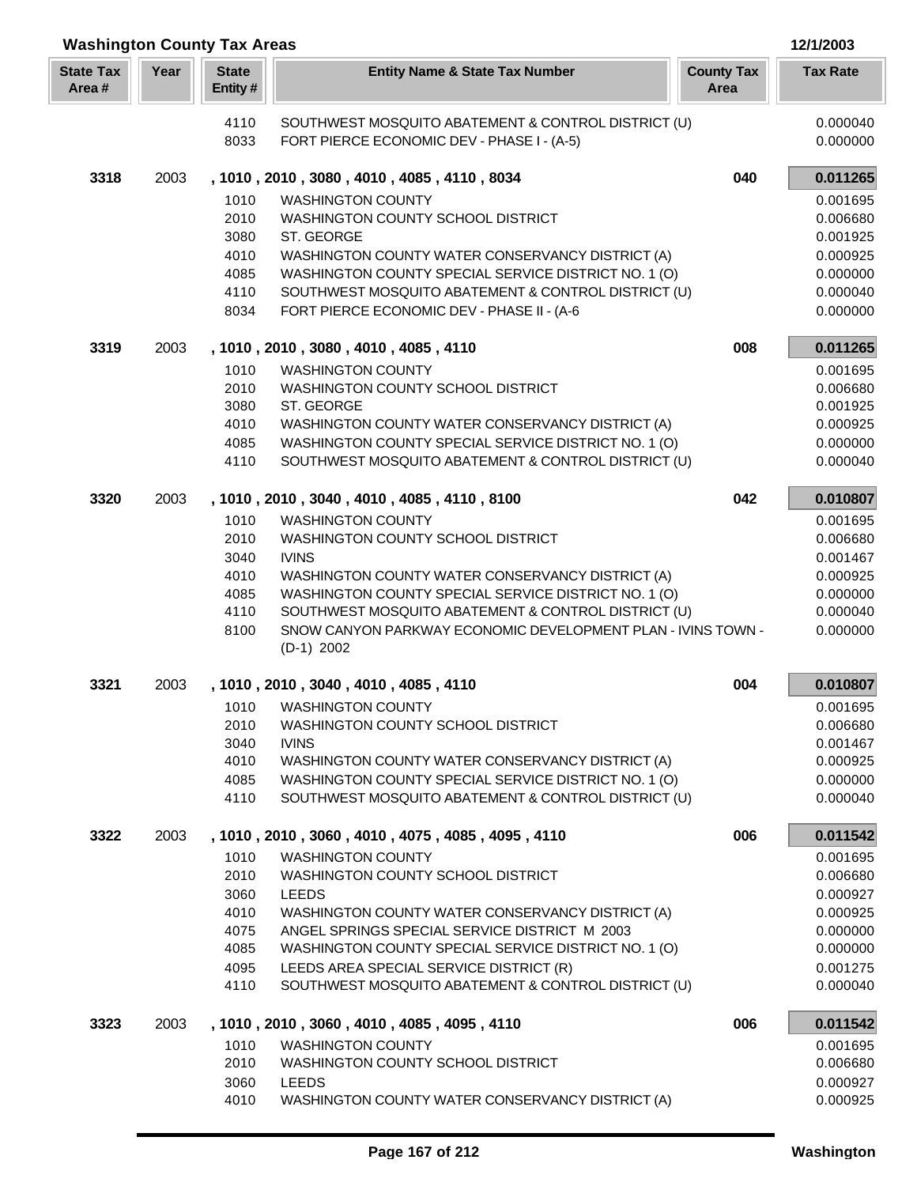| <b>Washington County Tax Areas</b> |      |                         |                                                                                                             |                           | 12/1/2003            |
|------------------------------------|------|-------------------------|-------------------------------------------------------------------------------------------------------------|---------------------------|----------------------|
| <b>State Tax</b><br>Area#          | Year | <b>State</b><br>Entity# | <b>Entity Name &amp; State Tax Number</b>                                                                   | <b>County Tax</b><br>Area | <b>Tax Rate</b>      |
|                                    |      | 4110                    | SOUTHWEST MOSQUITO ABATEMENT & CONTROL DISTRICT (U)                                                         |                           | 0.000040             |
|                                    |      | 8033                    | FORT PIERCE ECONOMIC DEV - PHASE I - (A-5)                                                                  |                           | 0.000000             |
| 3318                               | 2003 |                         | , 1010, 2010, 3080, 4010, 4085, 4110, 8034                                                                  | 040                       | 0.011265             |
|                                    |      | 1010                    | <b>WASHINGTON COUNTY</b>                                                                                    |                           | 0.001695             |
|                                    |      | 2010                    | WASHINGTON COUNTY SCHOOL DISTRICT                                                                           |                           | 0.006680             |
|                                    |      | 3080                    | ST. GEORGE                                                                                                  |                           | 0.001925             |
|                                    |      | 4010                    | WASHINGTON COUNTY WATER CONSERVANCY DISTRICT (A)                                                            |                           | 0.000925             |
|                                    |      | 4085                    | WASHINGTON COUNTY SPECIAL SERVICE DISTRICT NO. 1 (O)                                                        |                           | 0.000000             |
|                                    |      | 4110<br>8034            | SOUTHWEST MOSQUITO ABATEMENT & CONTROL DISTRICT (U)<br>FORT PIERCE ECONOMIC DEV - PHASE II - (A-6           |                           | 0.000040<br>0.000000 |
| 3319                               | 2003 |                         | , 1010, 2010, 3080, 4010, 4085, 4110                                                                        | 008                       | 0.011265             |
|                                    |      | 1010                    | <b>WASHINGTON COUNTY</b>                                                                                    |                           | 0.001695             |
|                                    |      | 2010                    | WASHINGTON COUNTY SCHOOL DISTRICT                                                                           |                           | 0.006680             |
|                                    |      | 3080                    | ST. GEORGE                                                                                                  |                           | 0.001925             |
|                                    |      | 4010                    | WASHINGTON COUNTY WATER CONSERVANCY DISTRICT (A)                                                            |                           | 0.000925             |
|                                    |      | 4085                    | WASHINGTON COUNTY SPECIAL SERVICE DISTRICT NO. 1 (O)                                                        |                           | 0.000000             |
|                                    |      | 4110                    | SOUTHWEST MOSQUITO ABATEMENT & CONTROL DISTRICT (U)                                                         |                           | 0.000040             |
| 3320                               | 2003 |                         | , 1010, 2010, 3040, 4010, 4085, 4110, 8100                                                                  | 042                       | 0.010807             |
|                                    |      | 1010                    | <b>WASHINGTON COUNTY</b>                                                                                    |                           | 0.001695             |
|                                    |      | 2010                    | WASHINGTON COUNTY SCHOOL DISTRICT                                                                           |                           | 0.006680             |
|                                    |      | 3040                    | <b>IVINS</b>                                                                                                |                           | 0.001467             |
|                                    |      | 4010                    | WASHINGTON COUNTY WATER CONSERVANCY DISTRICT (A)                                                            |                           | 0.000925             |
|                                    |      | 4085<br>4110            | WASHINGTON COUNTY SPECIAL SERVICE DISTRICT NO. 1 (O)<br>SOUTHWEST MOSQUITO ABATEMENT & CONTROL DISTRICT (U) |                           | 0.000000<br>0.000040 |
|                                    |      | 8100                    | SNOW CANYON PARKWAY ECONOMIC DEVELOPMENT PLAN - IVINS TOWN -                                                |                           | 0.000000             |
|                                    |      |                         | $(D-1)$ 2002                                                                                                |                           |                      |
| 3321                               | 2003 |                         | , 1010, 2010, 3040, 4010, 4085, 4110                                                                        | 004                       | 0.010807             |
|                                    |      | 1010                    | <b>WASHINGTON COUNTY</b>                                                                                    |                           | 0.001695             |
|                                    |      | 2010                    | WASHINGTON COUNTY SCHOOL DISTRICT                                                                           |                           | 0.006680             |
|                                    |      | 3040                    | <b>IVINS</b>                                                                                                |                           | 0.001467             |
|                                    |      | 4010<br>4085            | WASHINGTON COUNTY WATER CONSERVANCY DISTRICT (A)<br>WASHINGTON COUNTY SPECIAL SERVICE DISTRICT NO. 1 (O)    |                           | 0.000925<br>0.000000 |
|                                    |      | 4110                    | SOUTHWEST MOSQUITO ABATEMENT & CONTROL DISTRICT (U)                                                         |                           | 0.000040             |
| 3322                               | 2003 |                         | , 1010, 2010, 3060, 4010, 4075, 4085, 4095, 4110                                                            | 006                       | 0.011542             |
|                                    |      | 1010                    | <b>WASHINGTON COUNTY</b>                                                                                    |                           | 0.001695             |
|                                    |      | 2010                    | WASHINGTON COUNTY SCHOOL DISTRICT                                                                           |                           | 0.006680             |
|                                    |      | 3060                    | <b>LEEDS</b>                                                                                                |                           | 0.000927             |
|                                    |      | 4010                    | WASHINGTON COUNTY WATER CONSERVANCY DISTRICT (A)                                                            |                           | 0.000925             |
|                                    |      | 4075                    | ANGEL SPRINGS SPECIAL SERVICE DISTRICT M 2003                                                               |                           | 0.000000             |
|                                    |      | 4085                    | WASHINGTON COUNTY SPECIAL SERVICE DISTRICT NO. 1 (O)                                                        |                           | 0.000000             |
|                                    |      | 4095                    | LEEDS AREA SPECIAL SERVICE DISTRICT (R)                                                                     |                           | 0.001275             |
|                                    |      | 4110                    | SOUTHWEST MOSQUITO ABATEMENT & CONTROL DISTRICT (U)                                                         |                           | 0.000040             |
| 3323                               | 2003 |                         | , 1010, 2010, 3060, 4010, 4085, 4095, 4110                                                                  | 006                       | 0.011542             |
|                                    |      | 1010<br>2010            | <b>WASHINGTON COUNTY</b><br>WASHINGTON COUNTY SCHOOL DISTRICT                                               |                           | 0.001695             |
|                                    |      | 3060                    | <b>LEEDS</b>                                                                                                |                           | 0.006680<br>0.000927 |
|                                    |      | 4010                    | WASHINGTON COUNTY WATER CONSERVANCY DISTRICT (A)                                                            |                           | 0.000925             |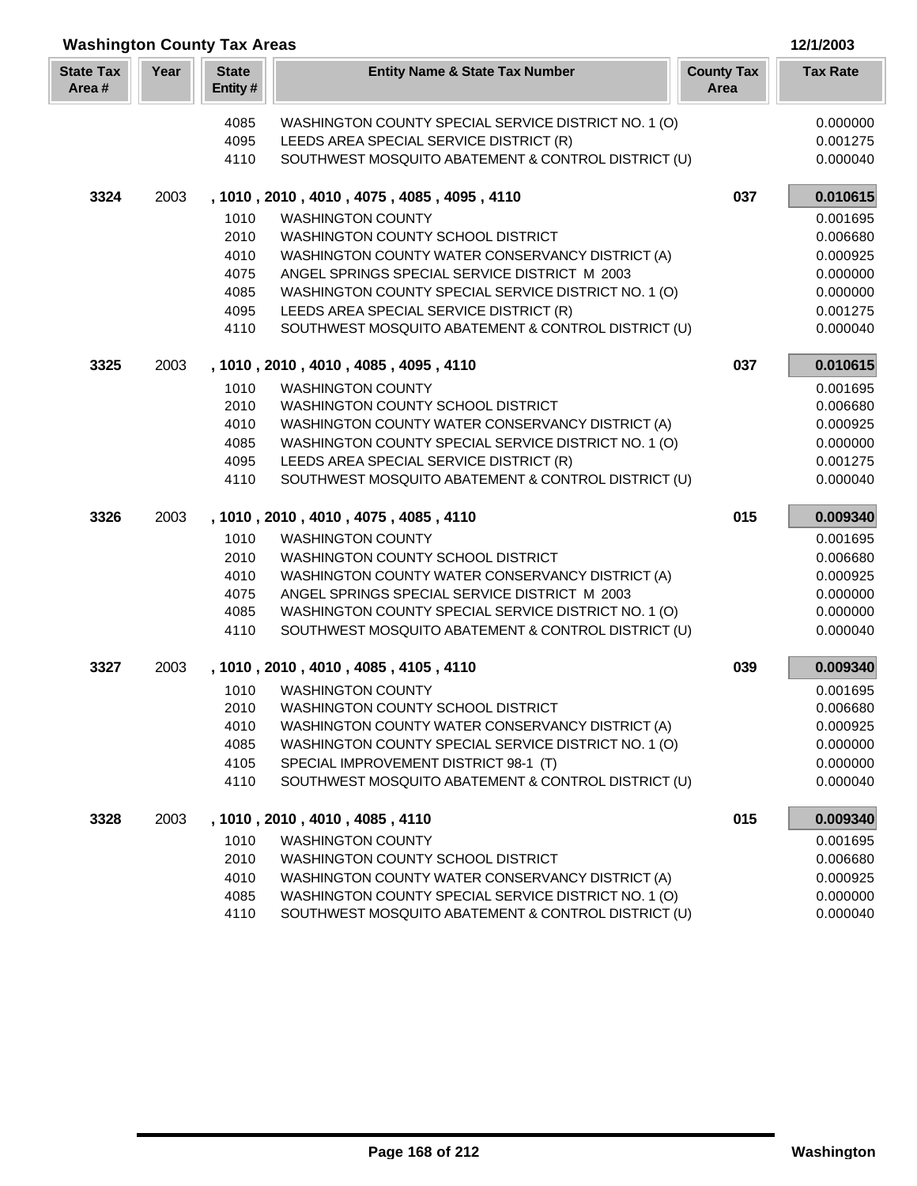| <b>Washington County Tax Areas</b> |      |                         |                                                      |                           |                 |
|------------------------------------|------|-------------------------|------------------------------------------------------|---------------------------|-----------------|
| <b>State Tax</b><br>Area#          | Year | <b>State</b><br>Entity# | <b>Entity Name &amp; State Tax Number</b>            | <b>County Tax</b><br>Area | <b>Tax Rate</b> |
|                                    |      | 4085                    | WASHINGTON COUNTY SPECIAL SERVICE DISTRICT NO. 1 (O) |                           | 0.000000        |
|                                    |      | 4095                    | LEEDS AREA SPECIAL SERVICE DISTRICT (R)              |                           | 0.001275        |
|                                    |      | 4110                    | SOUTHWEST MOSQUITO ABATEMENT & CONTROL DISTRICT (U)  |                           | 0.000040        |
| 3324                               | 2003 |                         | , 1010, 2010, 4010, 4075, 4085, 4095, 4110           | 037                       | 0.010615        |
|                                    |      | 1010                    | <b>WASHINGTON COUNTY</b>                             |                           | 0.001695        |
|                                    |      | 2010                    | WASHINGTON COUNTY SCHOOL DISTRICT                    |                           | 0.006680        |
|                                    |      | 4010                    | WASHINGTON COUNTY WATER CONSERVANCY DISTRICT (A)     |                           | 0.000925        |
|                                    |      | 4075                    | ANGEL SPRINGS SPECIAL SERVICE DISTRICT M 2003        |                           | 0.000000        |
|                                    |      | 4085                    | WASHINGTON COUNTY SPECIAL SERVICE DISTRICT NO. 1 (O) |                           | 0.000000        |
|                                    |      | 4095                    | LEEDS AREA SPECIAL SERVICE DISTRICT (R)              |                           | 0.001275        |
|                                    |      | 4110                    | SOUTHWEST MOSQUITO ABATEMENT & CONTROL DISTRICT (U)  |                           | 0.000040        |
| 3325                               | 2003 |                         | , 1010, 2010, 4010, 4085, 4095, 4110                 | 037                       | 0.010615        |
|                                    |      | 1010                    | <b>WASHINGTON COUNTY</b>                             |                           | 0.001695        |
|                                    |      | 2010                    | WASHINGTON COUNTY SCHOOL DISTRICT                    |                           | 0.006680        |
|                                    |      | 4010                    | WASHINGTON COUNTY WATER CONSERVANCY DISTRICT (A)     |                           | 0.000925        |
|                                    |      | 4085                    | WASHINGTON COUNTY SPECIAL SERVICE DISTRICT NO. 1 (O) |                           | 0.000000        |
|                                    |      | 4095                    | LEEDS AREA SPECIAL SERVICE DISTRICT (R)              |                           | 0.001275        |
|                                    |      | 4110                    | SOUTHWEST MOSQUITO ABATEMENT & CONTROL DISTRICT (U)  |                           | 0.000040        |
| 3326                               | 2003 |                         | , 1010, 2010, 4010, 4075, 4085, 4110                 | 015                       | 0.009340        |
|                                    |      | 1010                    | <b>WASHINGTON COUNTY</b>                             |                           | 0.001695        |
|                                    |      | 2010                    | WASHINGTON COUNTY SCHOOL DISTRICT                    |                           | 0.006680        |
|                                    |      | 4010                    | WASHINGTON COUNTY WATER CONSERVANCY DISTRICT (A)     |                           | 0.000925        |
|                                    |      | 4075                    | ANGEL SPRINGS SPECIAL SERVICE DISTRICT M 2003        |                           | 0.000000        |
|                                    |      | 4085                    | WASHINGTON COUNTY SPECIAL SERVICE DISTRICT NO. 1 (O) |                           | 0.000000        |
|                                    |      | 4110                    | SOUTHWEST MOSQUITO ABATEMENT & CONTROL DISTRICT (U)  |                           | 0.000040        |
| 3327                               | 2003 |                         | , 1010, 2010, 4010, 4085, 4105, 4110                 | 039                       | 0.009340        |
|                                    |      | 1010                    | <b>WASHINGTON COUNTY</b>                             |                           | 0.001695        |
|                                    |      |                         | 2010 WASHINGTON COUNTY SCHOOL DISTRICT               |                           | 0.006680        |
|                                    |      | 4010                    | WASHINGTON COUNTY WATER CONSERVANCY DISTRICT (A)     |                           | 0.000925        |
|                                    |      | 4085                    | WASHINGTON COUNTY SPECIAL SERVICE DISTRICT NO. 1 (O) |                           | 0.000000        |
|                                    |      | 4105                    | SPECIAL IMPROVEMENT DISTRICT 98-1 (T)                |                           | 0.000000        |
|                                    |      | 4110                    | SOUTHWEST MOSQUITO ABATEMENT & CONTROL DISTRICT (U)  |                           | 0.000040        |
| 3328                               | 2003 |                         | , 1010, 2010, 4010, 4085, 4110                       | 015                       | 0.009340        |
|                                    |      | 1010                    | <b>WASHINGTON COUNTY</b>                             |                           | 0.001695        |
|                                    |      | 2010                    | WASHINGTON COUNTY SCHOOL DISTRICT                    |                           | 0.006680        |
|                                    |      | 4010                    | WASHINGTON COUNTY WATER CONSERVANCY DISTRICT (A)     |                           | 0.000925        |
|                                    |      | 4085                    | WASHINGTON COUNTY SPECIAL SERVICE DISTRICT NO. 1 (O) |                           | 0.000000        |
|                                    |      | 4110                    | SOUTHWEST MOSQUITO ABATEMENT & CONTROL DISTRICT (U)  |                           | 0.000040        |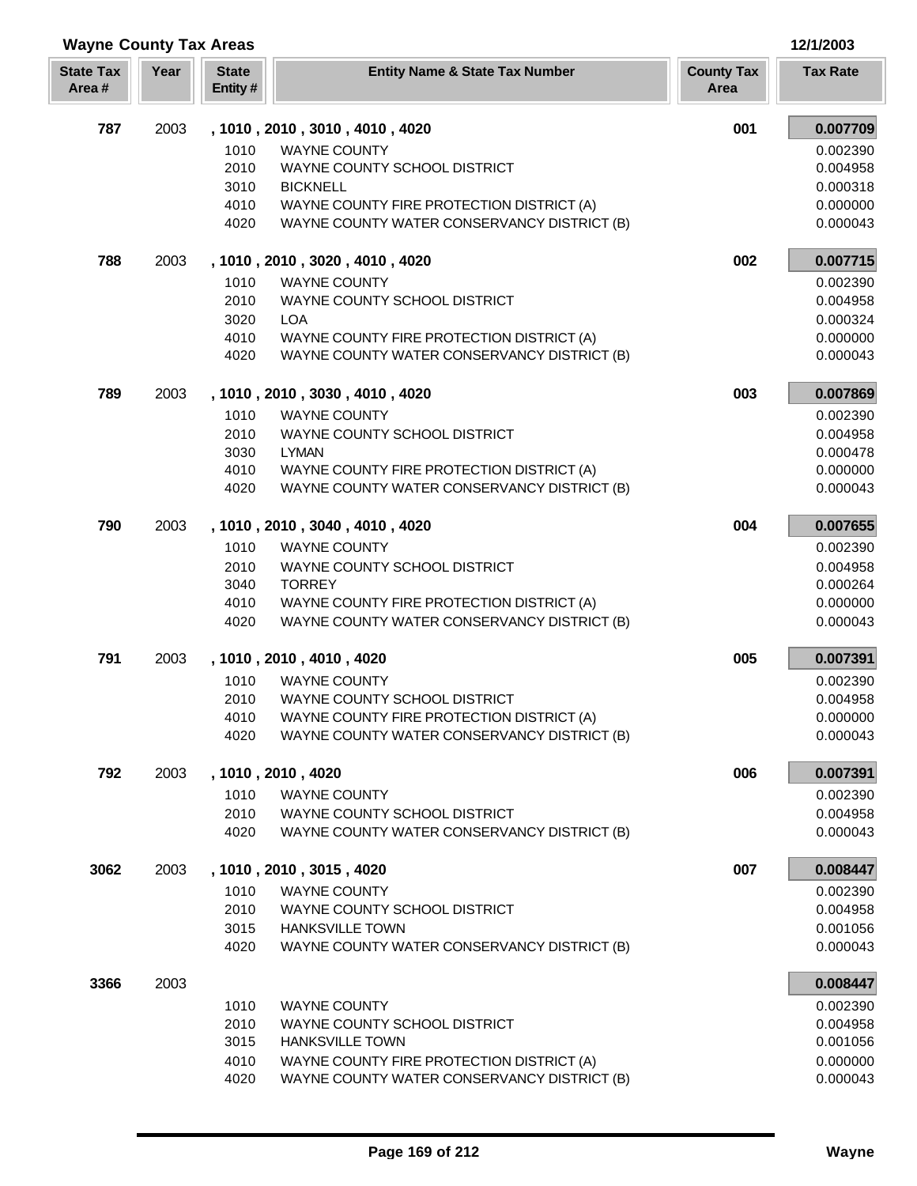| <b>Wayne County Tax Areas</b> |      | 12/1/2003                |                                                                                          |                           |                      |
|-------------------------------|------|--------------------------|------------------------------------------------------------------------------------------|---------------------------|----------------------|
| <b>State Tax</b><br>Area#     | Year | <b>State</b><br>Entity # | <b>Entity Name &amp; State Tax Number</b>                                                | <b>County Tax</b><br>Area | <b>Tax Rate</b>      |
| 787                           | 2003 |                          | , 1010, 2010, 3010, 4010, 4020                                                           | 001                       | 0.007709             |
|                               |      | 1010                     | <b>WAYNE COUNTY</b>                                                                      |                           | 0.002390             |
|                               |      | 2010                     | WAYNE COUNTY SCHOOL DISTRICT                                                             |                           | 0.004958             |
|                               |      | 3010                     | <b>BICKNELL</b>                                                                          |                           | 0.000318             |
|                               |      | 4010                     | WAYNE COUNTY FIRE PROTECTION DISTRICT (A)                                                |                           | 0.000000             |
|                               |      | 4020                     | WAYNE COUNTY WATER CONSERVANCY DISTRICT (B)                                              |                           | 0.000043             |
| 788                           | 2003 |                          | , 1010, 2010, 3020, 4010, 4020                                                           | 002                       | 0.007715             |
|                               |      | 1010                     | <b>WAYNE COUNTY</b>                                                                      |                           | 0.002390             |
|                               |      | 2010                     | WAYNE COUNTY SCHOOL DISTRICT                                                             |                           | 0.004958             |
|                               |      | 3020                     | <b>LOA</b>                                                                               |                           | 0.000324             |
|                               |      | 4010                     | WAYNE COUNTY FIRE PROTECTION DISTRICT (A)                                                |                           | 0.000000             |
|                               |      | 4020                     | WAYNE COUNTY WATER CONSERVANCY DISTRICT (B)                                              |                           | 0.000043             |
| 789                           | 2003 |                          | , 1010, 2010, 3030, 4010, 4020                                                           | 003                       | 0.007869             |
|                               |      | 1010                     | <b>WAYNE COUNTY</b>                                                                      |                           | 0.002390             |
|                               |      | 2010                     | WAYNE COUNTY SCHOOL DISTRICT                                                             |                           | 0.004958             |
|                               |      | 3030                     | <b>LYMAN</b>                                                                             |                           | 0.000478             |
|                               |      | 4010<br>4020             | WAYNE COUNTY FIRE PROTECTION DISTRICT (A)<br>WAYNE COUNTY WATER CONSERVANCY DISTRICT (B) |                           | 0.000000<br>0.000043 |
| 790                           | 2003 |                          |                                                                                          | 004                       | 0.007655             |
|                               |      |                          | , 1010, 2010, 3040, 4010, 4020                                                           |                           |                      |
|                               |      | 1010                     | <b>WAYNE COUNTY</b>                                                                      |                           | 0.002390             |
|                               |      | 2010<br>3040             | WAYNE COUNTY SCHOOL DISTRICT<br><b>TORREY</b>                                            |                           | 0.004958<br>0.000264 |
|                               |      | 4010                     | WAYNE COUNTY FIRE PROTECTION DISTRICT (A)                                                |                           | 0.000000             |
|                               |      | 4020                     | WAYNE COUNTY WATER CONSERVANCY DISTRICT (B)                                              |                           | 0.000043             |
| 791                           | 2003 |                          | , 1010, 2010, 4010, 4020                                                                 | 005                       | 0.007391             |
|                               |      | 1010                     | <b>WAYNE COUNTY</b>                                                                      |                           | 0.002390             |
|                               |      | 2010                     | WAYNE COUNTY SCHOOL DISTRICT                                                             |                           | 0.004958             |
|                               |      | 4010                     | WAYNE COUNTY FIRE PROTECTION DISTRICT (A)                                                |                           | 0.000000             |
|                               |      | 4020                     | WAYNE COUNTY WATER CONSERVANCY DISTRICT (B)                                              |                           | 0.000043             |
| 792                           | 2003 |                          | , 1010, 2010, 4020                                                                       | 006                       | 0.007391             |
|                               |      | 1010                     | <b>WAYNE COUNTY</b>                                                                      |                           | 0.002390             |
|                               |      | 2010                     | WAYNE COUNTY SCHOOL DISTRICT                                                             |                           | 0.004958             |
|                               |      | 4020                     | WAYNE COUNTY WATER CONSERVANCY DISTRICT (B)                                              |                           | 0.000043             |
| 3062                          | 2003 |                          | , 1010, 2010, 3015, 4020                                                                 | 007                       | 0.008447             |
|                               |      | 1010                     | <b>WAYNE COUNTY</b>                                                                      |                           | 0.002390             |
|                               |      | 2010                     | WAYNE COUNTY SCHOOL DISTRICT                                                             |                           | 0.004958             |
|                               |      | 3015                     | <b>HANKSVILLE TOWN</b>                                                                   |                           | 0.001056             |
|                               |      | 4020                     | WAYNE COUNTY WATER CONSERVANCY DISTRICT (B)                                              |                           | 0.000043             |
| 3366                          | 2003 |                          |                                                                                          |                           | 0.008447             |
|                               |      | 1010                     | <b>WAYNE COUNTY</b>                                                                      |                           | 0.002390             |
|                               |      | 2010                     | WAYNE COUNTY SCHOOL DISTRICT                                                             |                           | 0.004958             |
|                               |      | 3015                     | <b>HANKSVILLE TOWN</b>                                                                   |                           | 0.001056             |
|                               |      | 4010<br>4020             | WAYNE COUNTY FIRE PROTECTION DISTRICT (A)<br>WAYNE COUNTY WATER CONSERVANCY DISTRICT (B) |                           | 0.000000<br>0.000043 |
|                               |      |                          |                                                                                          |                           |                      |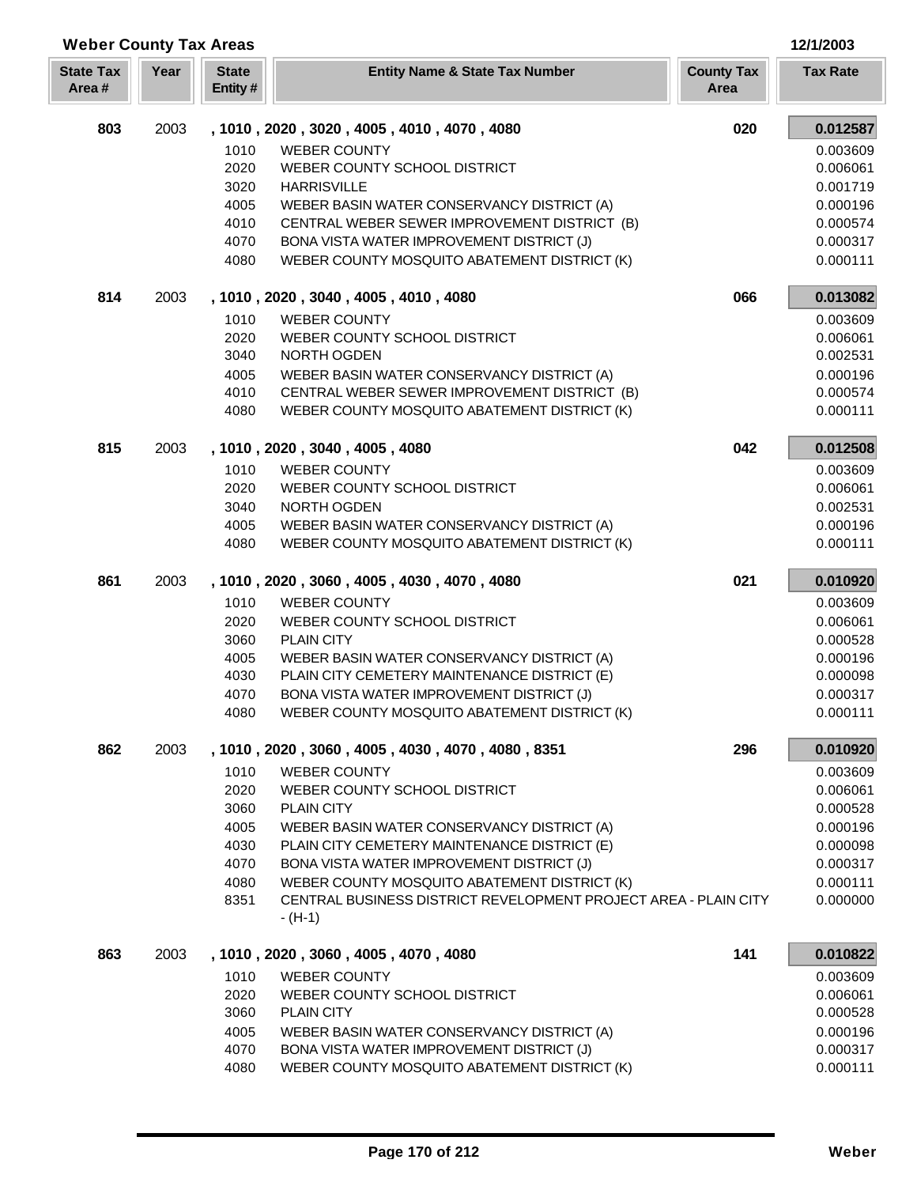| <b>Weber County Tax Areas</b> |      |                         |                                                                                            |                           | 12/1/2003            |  |
|-------------------------------|------|-------------------------|--------------------------------------------------------------------------------------------|---------------------------|----------------------|--|
| <b>State Tax</b><br>Area#     | Year | <b>State</b><br>Entity# | <b>Entity Name &amp; State Tax Number</b>                                                  | <b>County Tax</b><br>Area | <b>Tax Rate</b>      |  |
| 803                           | 2003 |                         | , 1010, 2020, 3020, 4005, 4010, 4070, 4080                                                 | 020                       | 0.012587             |  |
|                               |      | 1010                    | <b>WEBER COUNTY</b>                                                                        |                           | 0.003609             |  |
|                               |      | 2020                    | WEBER COUNTY SCHOOL DISTRICT                                                               |                           | 0.006061             |  |
|                               |      | 3020                    | <b>HARRISVILLE</b>                                                                         |                           | 0.001719             |  |
|                               |      | 4005                    | WEBER BASIN WATER CONSERVANCY DISTRICT (A)                                                 |                           | 0.000196             |  |
|                               |      | 4010                    | CENTRAL WEBER SEWER IMPROVEMENT DISTRICT (B)                                               |                           | 0.000574             |  |
|                               |      | 4070                    | BONA VISTA WATER IMPROVEMENT DISTRICT (J)                                                  |                           | 0.000317             |  |
|                               |      | 4080                    | WEBER COUNTY MOSQUITO ABATEMENT DISTRICT (K)                                               |                           | 0.000111             |  |
| 814                           | 2003 |                         | , 1010, 2020, 3040, 4005, 4010, 4080                                                       | 066                       | 0.013082             |  |
|                               |      | 1010                    | <b>WEBER COUNTY</b>                                                                        |                           | 0.003609             |  |
|                               |      | 2020                    | WEBER COUNTY SCHOOL DISTRICT                                                               |                           | 0.006061             |  |
|                               |      | 3040                    | NORTH OGDEN                                                                                |                           | 0.002531             |  |
|                               |      | 4005<br>4010            | WEBER BASIN WATER CONSERVANCY DISTRICT (A)<br>CENTRAL WEBER SEWER IMPROVEMENT DISTRICT (B) |                           | 0.000196<br>0.000574 |  |
|                               |      | 4080                    | WEBER COUNTY MOSQUITO ABATEMENT DISTRICT (K)                                               |                           | 0.000111             |  |
| 815                           | 2003 |                         | , 1010, 2020, 3040, 4005, 4080                                                             | 042                       | 0.012508             |  |
|                               |      | 1010                    | <b>WEBER COUNTY</b>                                                                        |                           | 0.003609             |  |
|                               |      | 2020                    | WEBER COUNTY SCHOOL DISTRICT                                                               |                           | 0.006061             |  |
|                               |      | 3040                    | NORTH OGDEN                                                                                |                           | 0.002531             |  |
|                               |      | 4005                    | WEBER BASIN WATER CONSERVANCY DISTRICT (A)                                                 |                           | 0.000196             |  |
|                               |      | 4080                    | WEBER COUNTY MOSQUITO ABATEMENT DISTRICT (K)                                               |                           | 0.000111             |  |
| 861                           | 2003 |                         | , 1010, 2020, 3060, 4005, 4030, 4070, 4080                                                 | 021                       | 0.010920             |  |
|                               |      | 1010                    | <b>WEBER COUNTY</b>                                                                        |                           | 0.003609             |  |
|                               |      | 2020                    | WEBER COUNTY SCHOOL DISTRICT                                                               |                           | 0.006061             |  |
|                               |      | 3060                    | <b>PLAIN CITY</b>                                                                          |                           | 0.000528             |  |
|                               |      | 4005                    | WEBER BASIN WATER CONSERVANCY DISTRICT (A)                                                 |                           | 0.000196             |  |
|                               |      | 4030                    | PLAIN CITY CEMETERY MAINTENANCE DISTRICT (E)                                               |                           | 0.000098             |  |
|                               |      | 4070                    | BONA VISTA WATER IMPROVEMENT DISTRICT (J)<br>WEBER COUNTY MOSQUITO ABATEMENT DISTRICT (K)  |                           | 0.000317<br>0.000111 |  |
|                               |      | 4080                    |                                                                                            |                           |                      |  |
| 862                           | 2003 |                         | , 1010, 2020, 3060, 4005, 4030, 4070, 4080, 8351                                           | 296                       | 0.010920             |  |
|                               |      | 1010                    | <b>WEBER COUNTY</b>                                                                        |                           | 0.003609             |  |
|                               |      | 2020                    | WEBER COUNTY SCHOOL DISTRICT                                                               |                           | 0.006061             |  |
|                               |      | 3060<br>4005            | <b>PLAIN CITY</b><br>WEBER BASIN WATER CONSERVANCY DISTRICT (A)                            |                           | 0.000528<br>0.000196 |  |
|                               |      | 4030                    | PLAIN CITY CEMETERY MAINTENANCE DISTRICT (E)                                               |                           | 0.000098             |  |
|                               |      | 4070                    | BONA VISTA WATER IMPROVEMENT DISTRICT (J)                                                  |                           | 0.000317             |  |
|                               |      | 4080                    | WEBER COUNTY MOSQUITO ABATEMENT DISTRICT (K)                                               |                           | 0.000111             |  |
|                               |      | 8351                    | CENTRAL BUSINESS DISTRICT REVELOPMENT PROJECT AREA - PLAIN CITY<br>$- (H-1)$               |                           | 0.000000             |  |
| 863                           | 2003 |                         | , 1010, 2020, 3060, 4005, 4070, 4080                                                       | 141                       | 0.010822             |  |
|                               |      | 1010                    | <b>WEBER COUNTY</b>                                                                        |                           | 0.003609             |  |
|                               |      | 2020                    | WEBER COUNTY SCHOOL DISTRICT                                                               |                           | 0.006061             |  |
|                               |      | 3060                    | <b>PLAIN CITY</b>                                                                          |                           | 0.000528             |  |
|                               |      | 4005                    | WEBER BASIN WATER CONSERVANCY DISTRICT (A)                                                 |                           | 0.000196             |  |
|                               |      | 4070                    | BONA VISTA WATER IMPROVEMENT DISTRICT (J)                                                  |                           | 0.000317             |  |
|                               |      | 4080                    | WEBER COUNTY MOSQUITO ABATEMENT DISTRICT (K)                                               |                           | 0.000111             |  |

Г I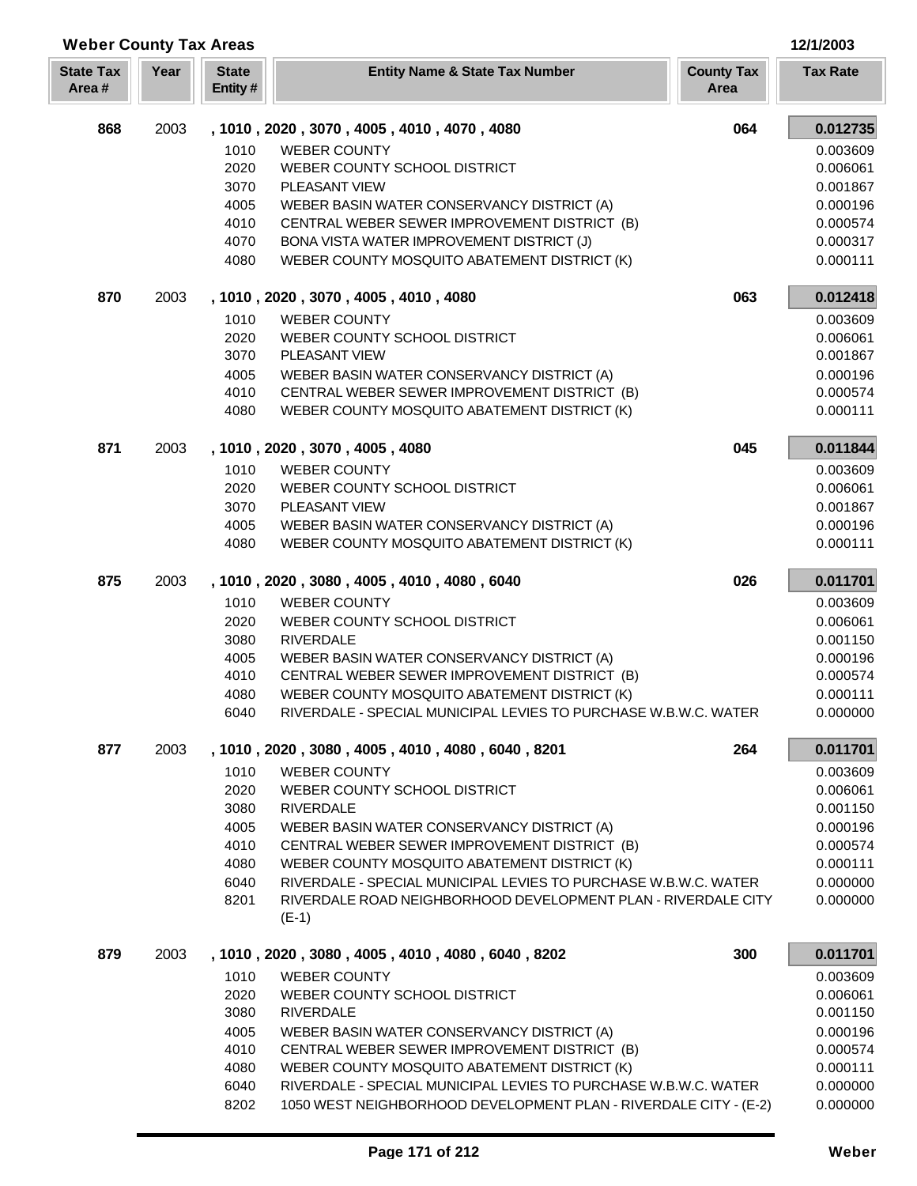| <b>Weber County Tax Areas</b> |      |                         |                                                                          | 12/1/2003       |
|-------------------------------|------|-------------------------|--------------------------------------------------------------------------|-----------------|
| <b>State Tax</b><br>Area#     | Year | <b>State</b><br>Entity# | <b>County Tax</b><br><b>Entity Name &amp; State Tax Number</b><br>Area   | <b>Tax Rate</b> |
| 868                           | 2003 |                         | , 1010, 2020, 3070, 4005, 4010, 4070, 4080                               | 064<br>0.012735 |
|                               |      | 1010                    | <b>WEBER COUNTY</b>                                                      | 0.003609        |
|                               |      | 2020                    | WEBER COUNTY SCHOOL DISTRICT                                             | 0.006061        |
|                               |      | 3070                    | <b>PLEASANT VIEW</b>                                                     | 0.001867        |
|                               |      | 4005                    | WEBER BASIN WATER CONSERVANCY DISTRICT (A)                               | 0.000196        |
|                               |      | 4010                    | CENTRAL WEBER SEWER IMPROVEMENT DISTRICT (B)                             | 0.000574        |
|                               |      | 4070                    | BONA VISTA WATER IMPROVEMENT DISTRICT (J)                                | 0.000317        |
|                               |      | 4080                    | WEBER COUNTY MOSQUITO ABATEMENT DISTRICT (K)                             | 0.000111        |
| 870                           | 2003 |                         | , 1010, 2020, 3070, 4005, 4010, 4080                                     | 063<br>0.012418 |
|                               |      | 1010                    | <b>WEBER COUNTY</b>                                                      | 0.003609        |
|                               |      | 2020                    | WEBER COUNTY SCHOOL DISTRICT                                             | 0.006061        |
|                               |      | 3070                    | PLEASANT VIEW                                                            | 0.001867        |
|                               |      | 4005                    | WEBER BASIN WATER CONSERVANCY DISTRICT (A)                               | 0.000196        |
|                               |      | 4010                    | CENTRAL WEBER SEWER IMPROVEMENT DISTRICT (B)                             | 0.000574        |
|                               |      | 4080                    | WEBER COUNTY MOSQUITO ABATEMENT DISTRICT (K)                             | 0.000111        |
| 871                           | 2003 |                         | , 1010, 2020, 3070, 4005, 4080                                           | 045<br>0.011844 |
|                               |      | 1010                    | <b>WEBER COUNTY</b>                                                      | 0.003609        |
|                               |      | 2020                    | WEBER COUNTY SCHOOL DISTRICT                                             | 0.006061        |
|                               |      | 3070                    | PLEASANT VIEW                                                            | 0.001867        |
|                               |      | 4005                    | WEBER BASIN WATER CONSERVANCY DISTRICT (A)                               | 0.000196        |
|                               |      | 4080                    | WEBER COUNTY MOSQUITO ABATEMENT DISTRICT (K)                             | 0.000111        |
| 875                           | 2003 |                         | , 1010, 2020, 3080, 4005, 4010, 4080, 6040                               | 026<br>0.011701 |
|                               |      | 1010                    | <b>WEBER COUNTY</b>                                                      | 0.003609        |
|                               |      | 2020                    | WEBER COUNTY SCHOOL DISTRICT                                             | 0.006061        |
|                               |      | 3080                    | <b>RIVERDALE</b>                                                         | 0.001150        |
|                               |      | 4005                    | WEBER BASIN WATER CONSERVANCY DISTRICT (A)                               | 0.000196        |
|                               |      | 4010                    | CENTRAL WEBER SEWER IMPROVEMENT DISTRICT (B)                             | 0.000574        |
|                               |      | 4080                    | WEBER COUNTY MOSQUITO ABATEMENT DISTRICT (K)                             | 0.000111        |
|                               |      | 6040                    | RIVERDALE - SPECIAL MUNICIPAL LEVIES TO PURCHASE W.B.W.C. WATER          | 0.000000        |
| 877                           | 2003 |                         | , 1010, 2020, 3080, 4005, 4010, 4080, 6040, 8201                         | 264<br>0.011701 |
|                               |      | 1010                    | <b>WEBER COUNTY</b>                                                      | 0.003609        |
|                               |      | 2020                    | WEBER COUNTY SCHOOL DISTRICT                                             | 0.006061        |
|                               |      | 3080                    | <b>RIVERDALE</b>                                                         | 0.001150        |
|                               |      | 4005                    | WEBER BASIN WATER CONSERVANCY DISTRICT (A)                               | 0.000196        |
|                               |      | 4010                    | CENTRAL WEBER SEWER IMPROVEMENT DISTRICT (B)                             | 0.000574        |
|                               |      | 4080                    | WEBER COUNTY MOSQUITO ABATEMENT DISTRICT (K)                             | 0.000111        |
|                               |      | 6040                    | RIVERDALE - SPECIAL MUNICIPAL LEVIES TO PURCHASE W.B.W.C. WATER          | 0.000000        |
|                               |      | 8201                    | RIVERDALE ROAD NEIGHBORHOOD DEVELOPMENT PLAN - RIVERDALE CITY<br>$(E-1)$ | 0.000000        |
| 879                           | 2003 |                         | , 1010, 2020, 3080, 4005, 4010, 4080, 6040, 8202                         | 300<br>0.011701 |
|                               |      | 1010                    | <b>WEBER COUNTY</b>                                                      | 0.003609        |
|                               |      | 2020                    | WEBER COUNTY SCHOOL DISTRICT                                             | 0.006061        |
|                               |      | 3080                    | <b>RIVERDALE</b>                                                         | 0.001150        |
|                               |      | 4005                    | WEBER BASIN WATER CONSERVANCY DISTRICT (A)                               | 0.000196        |
|                               |      | 4010                    | CENTRAL WEBER SEWER IMPROVEMENT DISTRICT (B)                             | 0.000574        |
|                               |      | 4080                    | WEBER COUNTY MOSQUITO ABATEMENT DISTRICT (K)                             | 0.000111        |
|                               |      | 6040                    | RIVERDALE - SPECIAL MUNICIPAL LEVIES TO PURCHASE W.B.W.C. WATER          | 0.000000        |
|                               |      | 8202                    | 1050 WEST NEIGHBORHOOD DEVELOPMENT PLAN - RIVERDALE CITY - (E-2)         | 0.000000        |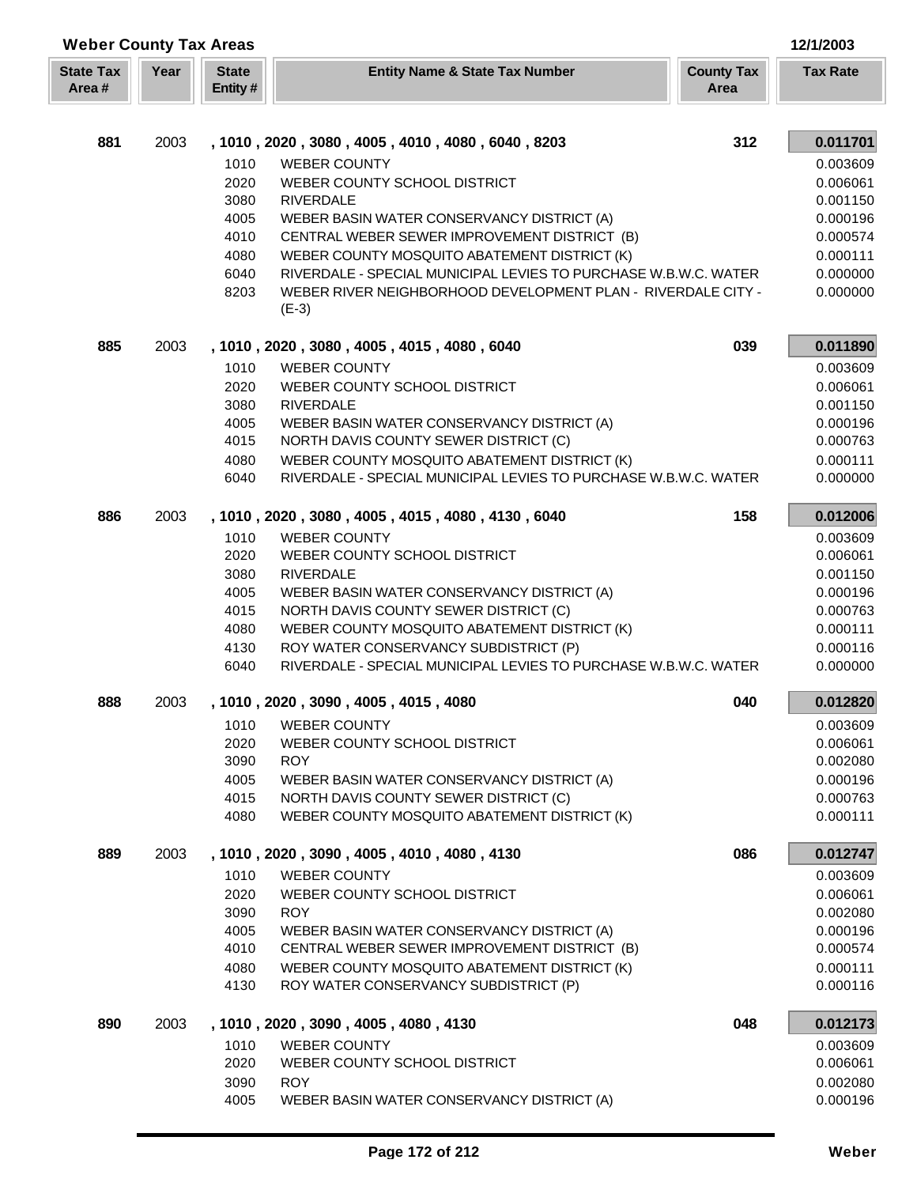| <b>Weber County Tax Areas</b> |      |                         |                                                                                     |                           | 12/1/2003            |
|-------------------------------|------|-------------------------|-------------------------------------------------------------------------------------|---------------------------|----------------------|
| <b>State Tax</b><br>Area#     | Year | <b>State</b><br>Entity# | <b>Entity Name &amp; State Tax Number</b>                                           | <b>County Tax</b><br>Area | <b>Tax Rate</b>      |
|                               |      |                         |                                                                                     |                           |                      |
| 881                           | 2003 |                         | , 1010, 2020, 3080, 4005, 4010, 4080, 6040, 8203                                    | 312                       | 0.011701             |
|                               |      | 1010                    | <b>WEBER COUNTY</b>                                                                 |                           | 0.003609             |
|                               |      | 2020                    | WEBER COUNTY SCHOOL DISTRICT                                                        |                           | 0.006061             |
|                               |      | 3080                    | <b>RIVERDALE</b>                                                                    |                           | 0.001150             |
|                               |      | 4005                    | WEBER BASIN WATER CONSERVANCY DISTRICT (A)                                          |                           | 0.000196             |
|                               |      | 4010                    | CENTRAL WEBER SEWER IMPROVEMENT DISTRICT (B)                                        |                           | 0.000574             |
|                               |      | 4080                    | WEBER COUNTY MOSQUITO ABATEMENT DISTRICT (K)                                        |                           | 0.000111             |
|                               |      | 6040                    | RIVERDALE - SPECIAL MUNICIPAL LEVIES TO PURCHASE W.B.W.C. WATER                     |                           | 0.000000             |
|                               |      | 8203                    | WEBER RIVER NEIGHBORHOOD DEVELOPMENT PLAN - RIVERDALE CITY -<br>$(E-3)$             |                           | 0.000000             |
| 885                           | 2003 |                         | , 1010, 2020, 3080, 4005, 4015, 4080, 6040                                          | 039                       | 0.011890             |
|                               |      | 1010                    | <b>WEBER COUNTY</b>                                                                 |                           | 0.003609             |
|                               |      | 2020                    | WEBER COUNTY SCHOOL DISTRICT                                                        |                           | 0.006061             |
|                               |      | 3080                    | <b>RIVERDALE</b>                                                                    |                           | 0.001150             |
|                               |      | 4005                    | WEBER BASIN WATER CONSERVANCY DISTRICT (A)                                          |                           | 0.000196             |
|                               |      | 4015                    | NORTH DAVIS COUNTY SEWER DISTRICT (C)                                               |                           | 0.000763             |
|                               |      | 4080                    | WEBER COUNTY MOSQUITO ABATEMENT DISTRICT (K)                                        |                           | 0.000111             |
|                               |      | 6040                    | RIVERDALE - SPECIAL MUNICIPAL LEVIES TO PURCHASE W.B.W.C. WATER                     |                           | 0.000000             |
| 886                           | 2003 |                         | , 1010, 2020, 3080, 4005, 4015, 4080, 4130, 6040                                    | 158                       | 0.012006             |
|                               |      | 1010                    | <b>WEBER COUNTY</b>                                                                 |                           | 0.003609             |
|                               |      | 2020                    | WEBER COUNTY SCHOOL DISTRICT                                                        |                           | 0.006061             |
|                               |      | 3080                    | <b>RIVERDALE</b>                                                                    |                           | 0.001150             |
|                               |      | 4005                    | WEBER BASIN WATER CONSERVANCY DISTRICT (A)                                          |                           | 0.000196             |
|                               |      | 4015                    | NORTH DAVIS COUNTY SEWER DISTRICT (C)                                               |                           | 0.000763             |
|                               |      | 4080                    | WEBER COUNTY MOSQUITO ABATEMENT DISTRICT (K)                                        |                           | 0.000111             |
|                               |      | 4130                    | ROY WATER CONSERVANCY SUBDISTRICT (P)                                               |                           | 0.000116             |
|                               |      | 6040                    | RIVERDALE - SPECIAL MUNICIPAL LEVIES TO PURCHASE W.B.W.C. WATER                     |                           | 0.000000             |
| 888                           | 2003 |                         | 1010, 2020, 3090, 4005, 4015, 4080                                                  | 040                       | 0.012820             |
|                               |      | 1010                    | <b>WEBER COUNTY</b>                                                                 |                           | 0.003609             |
|                               |      | 2020                    | WEBER COUNTY SCHOOL DISTRICT                                                        |                           | 0.006061             |
|                               |      | 3090<br>4005            | <b>ROY</b>                                                                          |                           | 0.002080<br>0.000196 |
|                               |      | 4015                    | WEBER BASIN WATER CONSERVANCY DISTRICT (A)<br>NORTH DAVIS COUNTY SEWER DISTRICT (C) |                           | 0.000763             |
|                               |      | 4080                    | WEBER COUNTY MOSQUITO ABATEMENT DISTRICT (K)                                        |                           | 0.000111             |
| 889                           | 2003 |                         | , 1010, 2020, 3090, 4005, 4010, 4080, 4130                                          | 086                       | 0.012747             |
|                               |      | 1010                    | <b>WEBER COUNTY</b>                                                                 |                           | 0.003609             |
|                               |      | 2020                    | WEBER COUNTY SCHOOL DISTRICT                                                        |                           | 0.006061             |
|                               |      | 3090                    | <b>ROY</b>                                                                          |                           | 0.002080             |
|                               |      | 4005                    | WEBER BASIN WATER CONSERVANCY DISTRICT (A)                                          |                           | 0.000196             |
|                               |      | 4010                    | CENTRAL WEBER SEWER IMPROVEMENT DISTRICT (B)                                        |                           | 0.000574             |
|                               |      | 4080                    | WEBER COUNTY MOSQUITO ABATEMENT DISTRICT (K)                                        |                           | 0.000111             |
|                               |      | 4130                    | ROY WATER CONSERVANCY SUBDISTRICT (P)                                               |                           | 0.000116             |
| 890                           | 2003 |                         | , 1010, 2020, 3090, 4005, 4080, 4130                                                | 048                       | 0.012173             |
|                               |      | 1010                    | <b>WEBER COUNTY</b>                                                                 |                           | 0.003609             |
|                               |      | 2020                    | WEBER COUNTY SCHOOL DISTRICT                                                        |                           | 0.006061             |
|                               |      | 3090                    | <b>ROY</b>                                                                          |                           | 0.002080             |
|                               |      | 4005                    | WEBER BASIN WATER CONSERVANCY DISTRICT (A)                                          |                           | 0.000196             |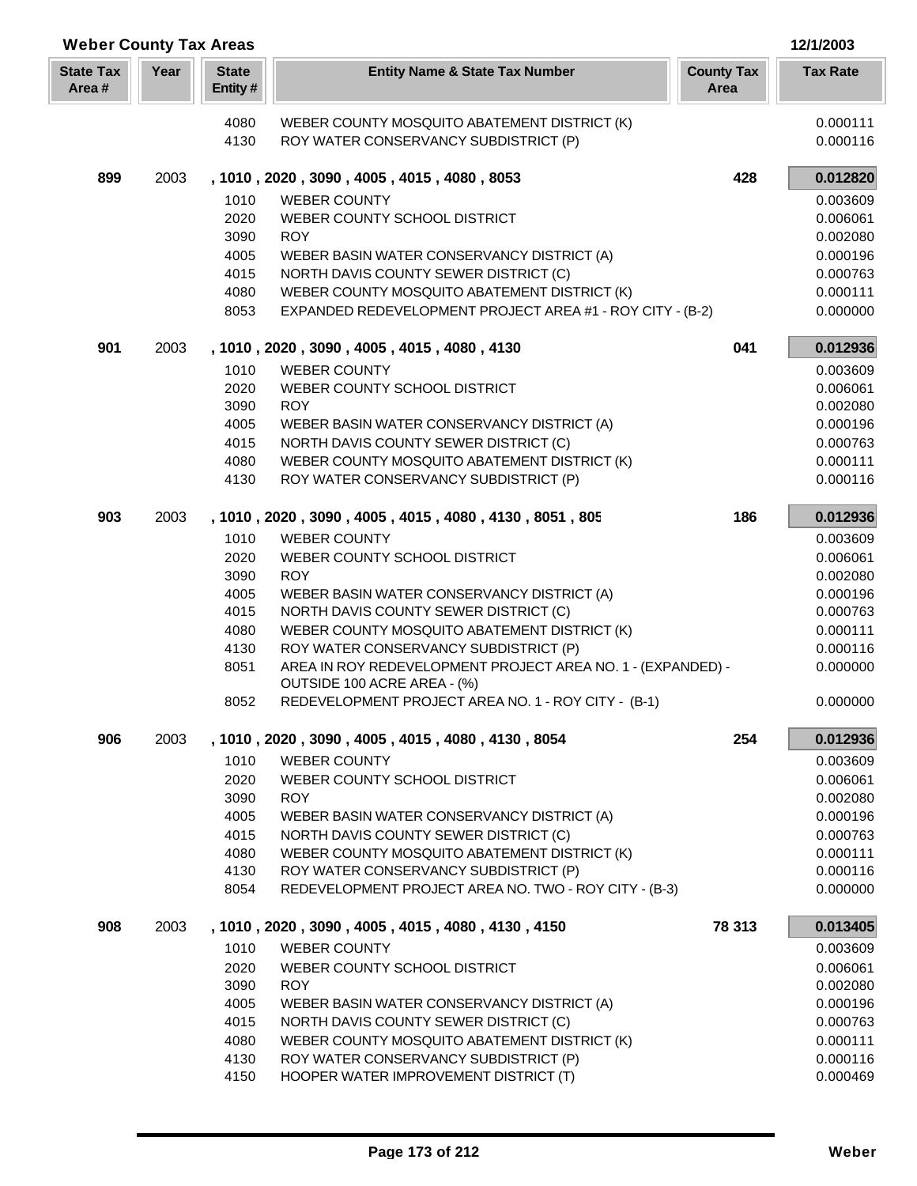| Year<br><b>State</b><br><b>State Tax</b><br><b>Tax Rate</b><br><b>Entity Name &amp; State Tax Number</b><br><b>County Tax</b><br>Area#<br>Entity#<br>Area<br>0.000111<br>4080<br>WEBER COUNTY MOSQUITO ABATEMENT DISTRICT (K)<br>0.000116<br>4130<br>ROY WATER CONSERVANCY SUBDISTRICT (P)<br>899<br>428<br>0.012820<br>2003<br>, 1010, 2020, 3090, 4005, 4015, 4080, 8053<br>1010<br><b>WEBER COUNTY</b><br>0.003609<br>2020<br>WEBER COUNTY SCHOOL DISTRICT<br>0.006061<br>3090<br><b>ROY</b><br>0.002080<br>4005<br>WEBER BASIN WATER CONSERVANCY DISTRICT (A)<br>0.000196<br>4015<br>NORTH DAVIS COUNTY SEWER DISTRICT (C)<br>0.000763<br>4080<br>WEBER COUNTY MOSQUITO ABATEMENT DISTRICT (K)<br>0.000111<br>8053<br>EXPANDED REDEVELOPMENT PROJECT AREA #1 - ROY CITY - (B-2)<br>0.000000<br>901<br>2003<br>041<br>0.012936<br>, 1010, 2020, 3090, 4005, 4015, 4080, 4130<br>1010<br><b>WEBER COUNTY</b><br>0.003609<br>2020<br>WEBER COUNTY SCHOOL DISTRICT<br>0.006061<br>3090<br><b>ROY</b><br>0.002080<br>4005<br>WEBER BASIN WATER CONSERVANCY DISTRICT (A)<br>0.000196<br>4015<br>NORTH DAVIS COUNTY SEWER DISTRICT (C)<br>0.000763<br>4080<br>WEBER COUNTY MOSQUITO ABATEMENT DISTRICT (K)<br>0.000111<br>4130<br>ROY WATER CONSERVANCY SUBDISTRICT (P)<br>0.000116<br>903<br>, 1010, 2020, 3090, 4005, 4015, 4080, 4130, 8051, 805<br>186<br>0.012936<br>2003<br>1010<br><b>WEBER COUNTY</b><br>0.003609<br>2020<br>WEBER COUNTY SCHOOL DISTRICT<br>0.006061<br>3090<br><b>ROY</b><br>0.002080<br>4005<br>WEBER BASIN WATER CONSERVANCY DISTRICT (A)<br>0.000196<br>4015<br>NORTH DAVIS COUNTY SEWER DISTRICT (C)<br>0.000763<br>4080<br>WEBER COUNTY MOSQUITO ABATEMENT DISTRICT (K)<br>0.000111<br>4130<br>ROY WATER CONSERVANCY SUBDISTRICT (P)<br>0.000116<br>AREA IN ROY REDEVELOPMENT PROJECT AREA NO. 1 - (EXPANDED) -<br>8051<br>0.000000<br>OUTSIDE 100 ACRE AREA - (%)<br>REDEVELOPMENT PROJECT AREA NO. 1 - ROY CITY - (B-1)<br>0.000000<br>8052<br>906<br>254<br>2003<br>, 1010, 2020, 3090, 4005, 4015, 4080, 4130, 8054<br>0.012936<br>1010<br>0.003609<br><b>WEBER COUNTY</b><br>2020<br>WEBER COUNTY SCHOOL DISTRICT<br>0.006061<br>3090<br><b>ROY</b><br>0.002080<br>4005<br>WEBER BASIN WATER CONSERVANCY DISTRICT (A)<br>0.000196<br>4015<br>NORTH DAVIS COUNTY SEWER DISTRICT (C)<br>0.000763<br>4080<br>WEBER COUNTY MOSQUITO ABATEMENT DISTRICT (K)<br>0.000111<br>ROY WATER CONSERVANCY SUBDISTRICT (P)<br>0.000116<br>4130<br>8054<br>REDEVELOPMENT PROJECT AREA NO. TWO - ROY CITY - (B-3)<br>0.000000<br>78 313<br>908<br>2003<br>, 1010, 2020, 3090, 4005, 4015, 4080, 4130, 4150<br>0.013405<br>1010<br><b>WEBER COUNTY</b><br>0.003609<br>2020<br>WEBER COUNTY SCHOOL DISTRICT<br>0.006061<br>3090<br><b>ROY</b><br>0.002080<br>4005<br>WEBER BASIN WATER CONSERVANCY DISTRICT (A)<br>0.000196<br>4015<br>NORTH DAVIS COUNTY SEWER DISTRICT (C)<br>0.000763<br>4080<br>WEBER COUNTY MOSQUITO ABATEMENT DISTRICT (K)<br>0.000111<br>4130<br>ROY WATER CONSERVANCY SUBDISTRICT (P)<br>0.000116 | <b>Weber County Tax Areas</b> |      |                                       | 12/1/2003 |
|-----------------------------------------------------------------------------------------------------------------------------------------------------------------------------------------------------------------------------------------------------------------------------------------------------------------------------------------------------------------------------------------------------------------------------------------------------------------------------------------------------------------------------------------------------------------------------------------------------------------------------------------------------------------------------------------------------------------------------------------------------------------------------------------------------------------------------------------------------------------------------------------------------------------------------------------------------------------------------------------------------------------------------------------------------------------------------------------------------------------------------------------------------------------------------------------------------------------------------------------------------------------------------------------------------------------------------------------------------------------------------------------------------------------------------------------------------------------------------------------------------------------------------------------------------------------------------------------------------------------------------------------------------------------------------------------------------------------------------------------------------------------------------------------------------------------------------------------------------------------------------------------------------------------------------------------------------------------------------------------------------------------------------------------------------------------------------------------------------------------------------------------------------------------------------------------------------------------------------------------------------------------------------------------------------------------------------------------------------------------------------------------------------------------------------------------------------------------------------------------------------------------------------------------------------------------------------------------------------------------------------------------------------------------------------------------------------------------------------------------------------------------------------------------------------------------------------------------------------------------------------------------------------------------------------------------------------------------------------------------------------------------------------------------|-------------------------------|------|---------------------------------------|-----------|
|                                                                                                                                                                                                                                                                                                                                                                                                                                                                                                                                                                                                                                                                                                                                                                                                                                                                                                                                                                                                                                                                                                                                                                                                                                                                                                                                                                                                                                                                                                                                                                                                                                                                                                                                                                                                                                                                                                                                                                                                                                                                                                                                                                                                                                                                                                                                                                                                                                                                                                                                                                                                                                                                                                                                                                                                                                                                                                                                                                                                                                         |                               |      |                                       |           |
|                                                                                                                                                                                                                                                                                                                                                                                                                                                                                                                                                                                                                                                                                                                                                                                                                                                                                                                                                                                                                                                                                                                                                                                                                                                                                                                                                                                                                                                                                                                                                                                                                                                                                                                                                                                                                                                                                                                                                                                                                                                                                                                                                                                                                                                                                                                                                                                                                                                                                                                                                                                                                                                                                                                                                                                                                                                                                                                                                                                                                                         |                               |      |                                       |           |
|                                                                                                                                                                                                                                                                                                                                                                                                                                                                                                                                                                                                                                                                                                                                                                                                                                                                                                                                                                                                                                                                                                                                                                                                                                                                                                                                                                                                                                                                                                                                                                                                                                                                                                                                                                                                                                                                                                                                                                                                                                                                                                                                                                                                                                                                                                                                                                                                                                                                                                                                                                                                                                                                                                                                                                                                                                                                                                                                                                                                                                         |                               |      |                                       |           |
|                                                                                                                                                                                                                                                                                                                                                                                                                                                                                                                                                                                                                                                                                                                                                                                                                                                                                                                                                                                                                                                                                                                                                                                                                                                                                                                                                                                                                                                                                                                                                                                                                                                                                                                                                                                                                                                                                                                                                                                                                                                                                                                                                                                                                                                                                                                                                                                                                                                                                                                                                                                                                                                                                                                                                                                                                                                                                                                                                                                                                                         |                               |      |                                       |           |
|                                                                                                                                                                                                                                                                                                                                                                                                                                                                                                                                                                                                                                                                                                                                                                                                                                                                                                                                                                                                                                                                                                                                                                                                                                                                                                                                                                                                                                                                                                                                                                                                                                                                                                                                                                                                                                                                                                                                                                                                                                                                                                                                                                                                                                                                                                                                                                                                                                                                                                                                                                                                                                                                                                                                                                                                                                                                                                                                                                                                                                         |                               |      |                                       |           |
|                                                                                                                                                                                                                                                                                                                                                                                                                                                                                                                                                                                                                                                                                                                                                                                                                                                                                                                                                                                                                                                                                                                                                                                                                                                                                                                                                                                                                                                                                                                                                                                                                                                                                                                                                                                                                                                                                                                                                                                                                                                                                                                                                                                                                                                                                                                                                                                                                                                                                                                                                                                                                                                                                                                                                                                                                                                                                                                                                                                                                                         |                               |      |                                       |           |
|                                                                                                                                                                                                                                                                                                                                                                                                                                                                                                                                                                                                                                                                                                                                                                                                                                                                                                                                                                                                                                                                                                                                                                                                                                                                                                                                                                                                                                                                                                                                                                                                                                                                                                                                                                                                                                                                                                                                                                                                                                                                                                                                                                                                                                                                                                                                                                                                                                                                                                                                                                                                                                                                                                                                                                                                                                                                                                                                                                                                                                         |                               |      |                                       |           |
|                                                                                                                                                                                                                                                                                                                                                                                                                                                                                                                                                                                                                                                                                                                                                                                                                                                                                                                                                                                                                                                                                                                                                                                                                                                                                                                                                                                                                                                                                                                                                                                                                                                                                                                                                                                                                                                                                                                                                                                                                                                                                                                                                                                                                                                                                                                                                                                                                                                                                                                                                                                                                                                                                                                                                                                                                                                                                                                                                                                                                                         |                               |      |                                       |           |
|                                                                                                                                                                                                                                                                                                                                                                                                                                                                                                                                                                                                                                                                                                                                                                                                                                                                                                                                                                                                                                                                                                                                                                                                                                                                                                                                                                                                                                                                                                                                                                                                                                                                                                                                                                                                                                                                                                                                                                                                                                                                                                                                                                                                                                                                                                                                                                                                                                                                                                                                                                                                                                                                                                                                                                                                                                                                                                                                                                                                                                         |                               |      |                                       |           |
|                                                                                                                                                                                                                                                                                                                                                                                                                                                                                                                                                                                                                                                                                                                                                                                                                                                                                                                                                                                                                                                                                                                                                                                                                                                                                                                                                                                                                                                                                                                                                                                                                                                                                                                                                                                                                                                                                                                                                                                                                                                                                                                                                                                                                                                                                                                                                                                                                                                                                                                                                                                                                                                                                                                                                                                                                                                                                                                                                                                                                                         |                               |      |                                       |           |
|                                                                                                                                                                                                                                                                                                                                                                                                                                                                                                                                                                                                                                                                                                                                                                                                                                                                                                                                                                                                                                                                                                                                                                                                                                                                                                                                                                                                                                                                                                                                                                                                                                                                                                                                                                                                                                                                                                                                                                                                                                                                                                                                                                                                                                                                                                                                                                                                                                                                                                                                                                                                                                                                                                                                                                                                                                                                                                                                                                                                                                         |                               |      |                                       |           |
|                                                                                                                                                                                                                                                                                                                                                                                                                                                                                                                                                                                                                                                                                                                                                                                                                                                                                                                                                                                                                                                                                                                                                                                                                                                                                                                                                                                                                                                                                                                                                                                                                                                                                                                                                                                                                                                                                                                                                                                                                                                                                                                                                                                                                                                                                                                                                                                                                                                                                                                                                                                                                                                                                                                                                                                                                                                                                                                                                                                                                                         |                               |      |                                       |           |
|                                                                                                                                                                                                                                                                                                                                                                                                                                                                                                                                                                                                                                                                                                                                                                                                                                                                                                                                                                                                                                                                                                                                                                                                                                                                                                                                                                                                                                                                                                                                                                                                                                                                                                                                                                                                                                                                                                                                                                                                                                                                                                                                                                                                                                                                                                                                                                                                                                                                                                                                                                                                                                                                                                                                                                                                                                                                                                                                                                                                                                         |                               |      |                                       |           |
|                                                                                                                                                                                                                                                                                                                                                                                                                                                                                                                                                                                                                                                                                                                                                                                                                                                                                                                                                                                                                                                                                                                                                                                                                                                                                                                                                                                                                                                                                                                                                                                                                                                                                                                                                                                                                                                                                                                                                                                                                                                                                                                                                                                                                                                                                                                                                                                                                                                                                                                                                                                                                                                                                                                                                                                                                                                                                                                                                                                                                                         |                               |      |                                       |           |
|                                                                                                                                                                                                                                                                                                                                                                                                                                                                                                                                                                                                                                                                                                                                                                                                                                                                                                                                                                                                                                                                                                                                                                                                                                                                                                                                                                                                                                                                                                                                                                                                                                                                                                                                                                                                                                                                                                                                                                                                                                                                                                                                                                                                                                                                                                                                                                                                                                                                                                                                                                                                                                                                                                                                                                                                                                                                                                                                                                                                                                         |                               |      |                                       |           |
|                                                                                                                                                                                                                                                                                                                                                                                                                                                                                                                                                                                                                                                                                                                                                                                                                                                                                                                                                                                                                                                                                                                                                                                                                                                                                                                                                                                                                                                                                                                                                                                                                                                                                                                                                                                                                                                                                                                                                                                                                                                                                                                                                                                                                                                                                                                                                                                                                                                                                                                                                                                                                                                                                                                                                                                                                                                                                                                                                                                                                                         |                               |      |                                       |           |
|                                                                                                                                                                                                                                                                                                                                                                                                                                                                                                                                                                                                                                                                                                                                                                                                                                                                                                                                                                                                                                                                                                                                                                                                                                                                                                                                                                                                                                                                                                                                                                                                                                                                                                                                                                                                                                                                                                                                                                                                                                                                                                                                                                                                                                                                                                                                                                                                                                                                                                                                                                                                                                                                                                                                                                                                                                                                                                                                                                                                                                         |                               |      |                                       |           |
|                                                                                                                                                                                                                                                                                                                                                                                                                                                                                                                                                                                                                                                                                                                                                                                                                                                                                                                                                                                                                                                                                                                                                                                                                                                                                                                                                                                                                                                                                                                                                                                                                                                                                                                                                                                                                                                                                                                                                                                                                                                                                                                                                                                                                                                                                                                                                                                                                                                                                                                                                                                                                                                                                                                                                                                                                                                                                                                                                                                                                                         |                               |      |                                       |           |
|                                                                                                                                                                                                                                                                                                                                                                                                                                                                                                                                                                                                                                                                                                                                                                                                                                                                                                                                                                                                                                                                                                                                                                                                                                                                                                                                                                                                                                                                                                                                                                                                                                                                                                                                                                                                                                                                                                                                                                                                                                                                                                                                                                                                                                                                                                                                                                                                                                                                                                                                                                                                                                                                                                                                                                                                                                                                                                                                                                                                                                         |                               |      |                                       |           |
|                                                                                                                                                                                                                                                                                                                                                                                                                                                                                                                                                                                                                                                                                                                                                                                                                                                                                                                                                                                                                                                                                                                                                                                                                                                                                                                                                                                                                                                                                                                                                                                                                                                                                                                                                                                                                                                                                                                                                                                                                                                                                                                                                                                                                                                                                                                                                                                                                                                                                                                                                                                                                                                                                                                                                                                                                                                                                                                                                                                                                                         |                               |      |                                       |           |
|                                                                                                                                                                                                                                                                                                                                                                                                                                                                                                                                                                                                                                                                                                                                                                                                                                                                                                                                                                                                                                                                                                                                                                                                                                                                                                                                                                                                                                                                                                                                                                                                                                                                                                                                                                                                                                                                                                                                                                                                                                                                                                                                                                                                                                                                                                                                                                                                                                                                                                                                                                                                                                                                                                                                                                                                                                                                                                                                                                                                                                         |                               |      |                                       |           |
|                                                                                                                                                                                                                                                                                                                                                                                                                                                                                                                                                                                                                                                                                                                                                                                                                                                                                                                                                                                                                                                                                                                                                                                                                                                                                                                                                                                                                                                                                                                                                                                                                                                                                                                                                                                                                                                                                                                                                                                                                                                                                                                                                                                                                                                                                                                                                                                                                                                                                                                                                                                                                                                                                                                                                                                                                                                                                                                                                                                                                                         |                               |      |                                       |           |
|                                                                                                                                                                                                                                                                                                                                                                                                                                                                                                                                                                                                                                                                                                                                                                                                                                                                                                                                                                                                                                                                                                                                                                                                                                                                                                                                                                                                                                                                                                                                                                                                                                                                                                                                                                                                                                                                                                                                                                                                                                                                                                                                                                                                                                                                                                                                                                                                                                                                                                                                                                                                                                                                                                                                                                                                                                                                                                                                                                                                                                         |                               |      |                                       |           |
|                                                                                                                                                                                                                                                                                                                                                                                                                                                                                                                                                                                                                                                                                                                                                                                                                                                                                                                                                                                                                                                                                                                                                                                                                                                                                                                                                                                                                                                                                                                                                                                                                                                                                                                                                                                                                                                                                                                                                                                                                                                                                                                                                                                                                                                                                                                                                                                                                                                                                                                                                                                                                                                                                                                                                                                                                                                                                                                                                                                                                                         |                               |      |                                       |           |
|                                                                                                                                                                                                                                                                                                                                                                                                                                                                                                                                                                                                                                                                                                                                                                                                                                                                                                                                                                                                                                                                                                                                                                                                                                                                                                                                                                                                                                                                                                                                                                                                                                                                                                                                                                                                                                                                                                                                                                                                                                                                                                                                                                                                                                                                                                                                                                                                                                                                                                                                                                                                                                                                                                                                                                                                                                                                                                                                                                                                                                         |                               |      |                                       |           |
|                                                                                                                                                                                                                                                                                                                                                                                                                                                                                                                                                                                                                                                                                                                                                                                                                                                                                                                                                                                                                                                                                                                                                                                                                                                                                                                                                                                                                                                                                                                                                                                                                                                                                                                                                                                                                                                                                                                                                                                                                                                                                                                                                                                                                                                                                                                                                                                                                                                                                                                                                                                                                                                                                                                                                                                                                                                                                                                                                                                                                                         |                               |      |                                       |           |
|                                                                                                                                                                                                                                                                                                                                                                                                                                                                                                                                                                                                                                                                                                                                                                                                                                                                                                                                                                                                                                                                                                                                                                                                                                                                                                                                                                                                                                                                                                                                                                                                                                                                                                                                                                                                                                                                                                                                                                                                                                                                                                                                                                                                                                                                                                                                                                                                                                                                                                                                                                                                                                                                                                                                                                                                                                                                                                                                                                                                                                         |                               |      |                                       |           |
|                                                                                                                                                                                                                                                                                                                                                                                                                                                                                                                                                                                                                                                                                                                                                                                                                                                                                                                                                                                                                                                                                                                                                                                                                                                                                                                                                                                                                                                                                                                                                                                                                                                                                                                                                                                                                                                                                                                                                                                                                                                                                                                                                                                                                                                                                                                                                                                                                                                                                                                                                                                                                                                                                                                                                                                                                                                                                                                                                                                                                                         |                               |      |                                       |           |
|                                                                                                                                                                                                                                                                                                                                                                                                                                                                                                                                                                                                                                                                                                                                                                                                                                                                                                                                                                                                                                                                                                                                                                                                                                                                                                                                                                                                                                                                                                                                                                                                                                                                                                                                                                                                                                                                                                                                                                                                                                                                                                                                                                                                                                                                                                                                                                                                                                                                                                                                                                                                                                                                                                                                                                                                                                                                                                                                                                                                                                         |                               |      |                                       |           |
|                                                                                                                                                                                                                                                                                                                                                                                                                                                                                                                                                                                                                                                                                                                                                                                                                                                                                                                                                                                                                                                                                                                                                                                                                                                                                                                                                                                                                                                                                                                                                                                                                                                                                                                                                                                                                                                                                                                                                                                                                                                                                                                                                                                                                                                                                                                                                                                                                                                                                                                                                                                                                                                                                                                                                                                                                                                                                                                                                                                                                                         |                               |      |                                       |           |
|                                                                                                                                                                                                                                                                                                                                                                                                                                                                                                                                                                                                                                                                                                                                                                                                                                                                                                                                                                                                                                                                                                                                                                                                                                                                                                                                                                                                                                                                                                                                                                                                                                                                                                                                                                                                                                                                                                                                                                                                                                                                                                                                                                                                                                                                                                                                                                                                                                                                                                                                                                                                                                                                                                                                                                                                                                                                                                                                                                                                                                         |                               |      |                                       |           |
|                                                                                                                                                                                                                                                                                                                                                                                                                                                                                                                                                                                                                                                                                                                                                                                                                                                                                                                                                                                                                                                                                                                                                                                                                                                                                                                                                                                                                                                                                                                                                                                                                                                                                                                                                                                                                                                                                                                                                                                                                                                                                                                                                                                                                                                                                                                                                                                                                                                                                                                                                                                                                                                                                                                                                                                                                                                                                                                                                                                                                                         |                               |      |                                       |           |
|                                                                                                                                                                                                                                                                                                                                                                                                                                                                                                                                                                                                                                                                                                                                                                                                                                                                                                                                                                                                                                                                                                                                                                                                                                                                                                                                                                                                                                                                                                                                                                                                                                                                                                                                                                                                                                                                                                                                                                                                                                                                                                                                                                                                                                                                                                                                                                                                                                                                                                                                                                                                                                                                                                                                                                                                                                                                                                                                                                                                                                         |                               |      |                                       |           |
|                                                                                                                                                                                                                                                                                                                                                                                                                                                                                                                                                                                                                                                                                                                                                                                                                                                                                                                                                                                                                                                                                                                                                                                                                                                                                                                                                                                                                                                                                                                                                                                                                                                                                                                                                                                                                                                                                                                                                                                                                                                                                                                                                                                                                                                                                                                                                                                                                                                                                                                                                                                                                                                                                                                                                                                                                                                                                                                                                                                                                                         |                               |      |                                       |           |
|                                                                                                                                                                                                                                                                                                                                                                                                                                                                                                                                                                                                                                                                                                                                                                                                                                                                                                                                                                                                                                                                                                                                                                                                                                                                                                                                                                                                                                                                                                                                                                                                                                                                                                                                                                                                                                                                                                                                                                                                                                                                                                                                                                                                                                                                                                                                                                                                                                                                                                                                                                                                                                                                                                                                                                                                                                                                                                                                                                                                                                         |                               |      |                                       |           |
|                                                                                                                                                                                                                                                                                                                                                                                                                                                                                                                                                                                                                                                                                                                                                                                                                                                                                                                                                                                                                                                                                                                                                                                                                                                                                                                                                                                                                                                                                                                                                                                                                                                                                                                                                                                                                                                                                                                                                                                                                                                                                                                                                                                                                                                                                                                                                                                                                                                                                                                                                                                                                                                                                                                                                                                                                                                                                                                                                                                                                                         |                               |      |                                       |           |
|                                                                                                                                                                                                                                                                                                                                                                                                                                                                                                                                                                                                                                                                                                                                                                                                                                                                                                                                                                                                                                                                                                                                                                                                                                                                                                                                                                                                                                                                                                                                                                                                                                                                                                                                                                                                                                                                                                                                                                                                                                                                                                                                                                                                                                                                                                                                                                                                                                                                                                                                                                                                                                                                                                                                                                                                                                                                                                                                                                                                                                         |                               |      |                                       |           |
|                                                                                                                                                                                                                                                                                                                                                                                                                                                                                                                                                                                                                                                                                                                                                                                                                                                                                                                                                                                                                                                                                                                                                                                                                                                                                                                                                                                                                                                                                                                                                                                                                                                                                                                                                                                                                                                                                                                                                                                                                                                                                                                                                                                                                                                                                                                                                                                                                                                                                                                                                                                                                                                                                                                                                                                                                                                                                                                                                                                                                                         |                               |      |                                       |           |
|                                                                                                                                                                                                                                                                                                                                                                                                                                                                                                                                                                                                                                                                                                                                                                                                                                                                                                                                                                                                                                                                                                                                                                                                                                                                                                                                                                                                                                                                                                                                                                                                                                                                                                                                                                                                                                                                                                                                                                                                                                                                                                                                                                                                                                                                                                                                                                                                                                                                                                                                                                                                                                                                                                                                                                                                                                                                                                                                                                                                                                         |                               |      |                                       |           |
|                                                                                                                                                                                                                                                                                                                                                                                                                                                                                                                                                                                                                                                                                                                                                                                                                                                                                                                                                                                                                                                                                                                                                                                                                                                                                                                                                                                                                                                                                                                                                                                                                                                                                                                                                                                                                                                                                                                                                                                                                                                                                                                                                                                                                                                                                                                                                                                                                                                                                                                                                                                                                                                                                                                                                                                                                                                                                                                                                                                                                                         |                               |      |                                       |           |
|                                                                                                                                                                                                                                                                                                                                                                                                                                                                                                                                                                                                                                                                                                                                                                                                                                                                                                                                                                                                                                                                                                                                                                                                                                                                                                                                                                                                                                                                                                                                                                                                                                                                                                                                                                                                                                                                                                                                                                                                                                                                                                                                                                                                                                                                                                                                                                                                                                                                                                                                                                                                                                                                                                                                                                                                                                                                                                                                                                                                                                         |                               |      |                                       |           |
|                                                                                                                                                                                                                                                                                                                                                                                                                                                                                                                                                                                                                                                                                                                                                                                                                                                                                                                                                                                                                                                                                                                                                                                                                                                                                                                                                                                                                                                                                                                                                                                                                                                                                                                                                                                                                                                                                                                                                                                                                                                                                                                                                                                                                                                                                                                                                                                                                                                                                                                                                                                                                                                                                                                                                                                                                                                                                                                                                                                                                                         |                               |      |                                       |           |
|                                                                                                                                                                                                                                                                                                                                                                                                                                                                                                                                                                                                                                                                                                                                                                                                                                                                                                                                                                                                                                                                                                                                                                                                                                                                                                                                                                                                                                                                                                                                                                                                                                                                                                                                                                                                                                                                                                                                                                                                                                                                                                                                                                                                                                                                                                                                                                                                                                                                                                                                                                                                                                                                                                                                                                                                                                                                                                                                                                                                                                         |                               |      |                                       |           |
|                                                                                                                                                                                                                                                                                                                                                                                                                                                                                                                                                                                                                                                                                                                                                                                                                                                                                                                                                                                                                                                                                                                                                                                                                                                                                                                                                                                                                                                                                                                                                                                                                                                                                                                                                                                                                                                                                                                                                                                                                                                                                                                                                                                                                                                                                                                                                                                                                                                                                                                                                                                                                                                                                                                                                                                                                                                                                                                                                                                                                                         |                               |      |                                       |           |
|                                                                                                                                                                                                                                                                                                                                                                                                                                                                                                                                                                                                                                                                                                                                                                                                                                                                                                                                                                                                                                                                                                                                                                                                                                                                                                                                                                                                                                                                                                                                                                                                                                                                                                                                                                                                                                                                                                                                                                                                                                                                                                                                                                                                                                                                                                                                                                                                                                                                                                                                                                                                                                                                                                                                                                                                                                                                                                                                                                                                                                         |                               |      |                                       |           |
|                                                                                                                                                                                                                                                                                                                                                                                                                                                                                                                                                                                                                                                                                                                                                                                                                                                                                                                                                                                                                                                                                                                                                                                                                                                                                                                                                                                                                                                                                                                                                                                                                                                                                                                                                                                                                                                                                                                                                                                                                                                                                                                                                                                                                                                                                                                                                                                                                                                                                                                                                                                                                                                                                                                                                                                                                                                                                                                                                                                                                                         |                               | 4150 | HOOPER WATER IMPROVEMENT DISTRICT (T) | 0.000469  |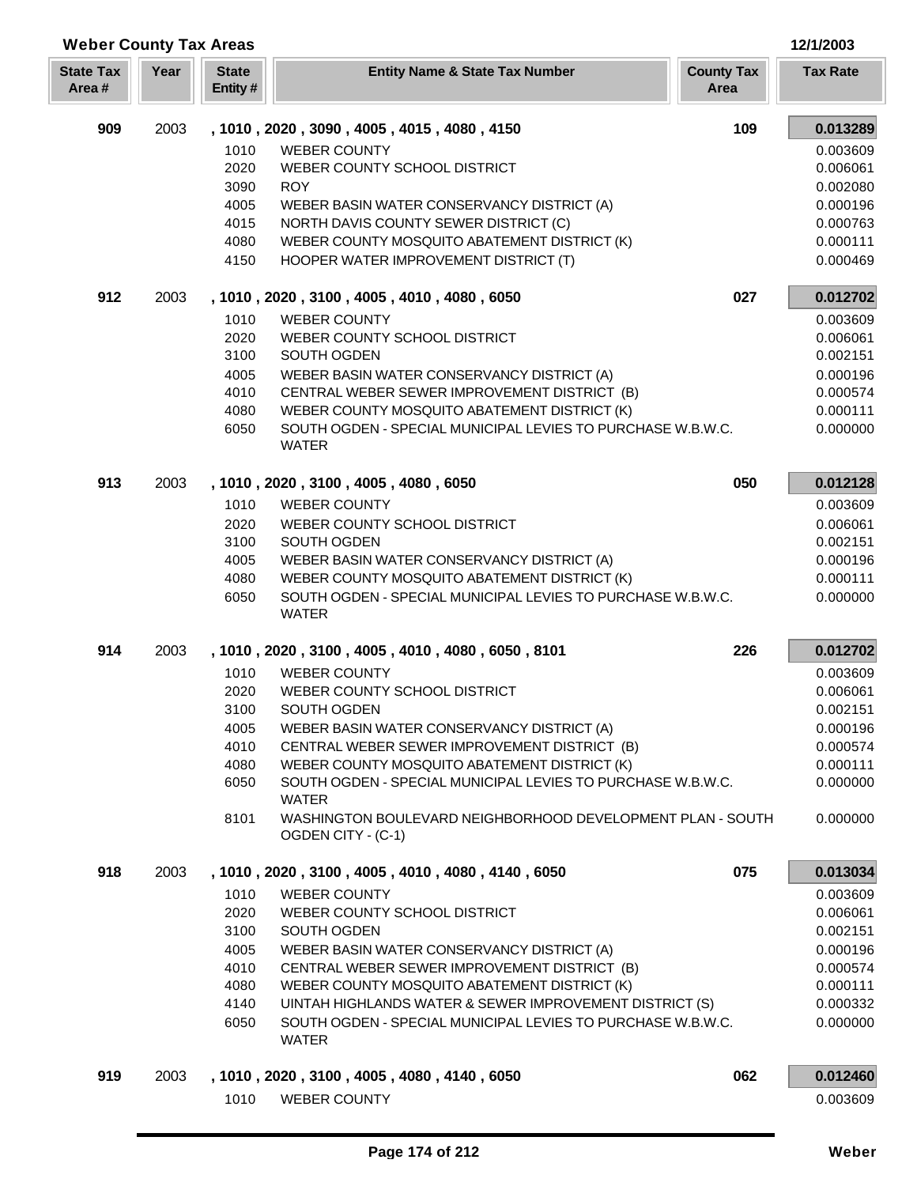| <b>Weber County Tax Areas</b> |      |                         |                                                                                                                        |                           | 12/1/2003       |
|-------------------------------|------|-------------------------|------------------------------------------------------------------------------------------------------------------------|---------------------------|-----------------|
| <b>State Tax</b><br>Area#     | Year | <b>State</b><br>Entity# | <b>Entity Name &amp; State Tax Number</b>                                                                              | <b>County Tax</b><br>Area | <b>Tax Rate</b> |
| 909                           | 2003 |                         | , 1010, 2020, 3090, 4005, 4015, 4080, 4150                                                                             | 109                       | 0.013289        |
|                               |      | 1010                    | <b>WEBER COUNTY</b>                                                                                                    |                           | 0.003609        |
|                               |      | 2020                    | WEBER COUNTY SCHOOL DISTRICT                                                                                           |                           | 0.006061        |
|                               |      | 3090                    | <b>ROY</b>                                                                                                             |                           | 0.002080        |
|                               |      | 4005                    | WEBER BASIN WATER CONSERVANCY DISTRICT (A)                                                                             |                           | 0.000196        |
|                               |      | 4015                    | NORTH DAVIS COUNTY SEWER DISTRICT (C)                                                                                  |                           | 0.000763        |
|                               |      | 4080                    | WEBER COUNTY MOSQUITO ABATEMENT DISTRICT (K)                                                                           |                           | 0.000111        |
|                               |      | 4150                    | HOOPER WATER IMPROVEMENT DISTRICT (T)                                                                                  |                           | 0.000469        |
| 912                           | 2003 |                         | , 1010, 2020, 3100, 4005, 4010, 4080, 6050                                                                             | 027                       | 0.012702        |
|                               |      | 1010                    | <b>WEBER COUNTY</b>                                                                                                    |                           | 0.003609        |
|                               |      | 2020                    | WEBER COUNTY SCHOOL DISTRICT                                                                                           |                           | 0.006061        |
|                               |      | 3100                    | SOUTH OGDEN                                                                                                            |                           | 0.002151        |
|                               |      | 4005                    | WEBER BASIN WATER CONSERVANCY DISTRICT (A)                                                                             |                           | 0.000196        |
|                               |      | 4010                    | CENTRAL WEBER SEWER IMPROVEMENT DISTRICT (B)                                                                           |                           | 0.000574        |
|                               |      | 4080                    | WEBER COUNTY MOSQUITO ABATEMENT DISTRICT (K)                                                                           |                           | 0.000111        |
|                               |      | 6050                    | SOUTH OGDEN - SPECIAL MUNICIPAL LEVIES TO PURCHASE W.B.W.C.<br><b>WATER</b>                                            |                           | 0.000000        |
| 913                           | 2003 |                         | , 1010, 2020, 3100, 4005, 4080, 6050                                                                                   | 050                       | 0.012128        |
|                               |      | 1010                    | <b>WEBER COUNTY</b>                                                                                                    |                           | 0.003609        |
|                               |      | 2020                    | WEBER COUNTY SCHOOL DISTRICT                                                                                           |                           | 0.006061        |
|                               |      | 3100                    | SOUTH OGDEN                                                                                                            |                           | 0.002151        |
|                               |      | 4005                    | WEBER BASIN WATER CONSERVANCY DISTRICT (A)                                                                             |                           | 0.000196        |
|                               |      | 4080                    | WEBER COUNTY MOSQUITO ABATEMENT DISTRICT (K)                                                                           |                           | 0.000111        |
|                               |      | 6050                    | SOUTH OGDEN - SPECIAL MUNICIPAL LEVIES TO PURCHASE W.B.W.C.<br><b>WATER</b>                                            |                           | 0.000000        |
| 914                           | 2003 |                         | , 1010, 2020, 3100, 4005, 4010, 4080, 6050, 8101                                                                       | 226                       | 0.012702        |
|                               |      | 1010                    | <b>WEBER COUNTY</b>                                                                                                    |                           | 0.003609        |
|                               |      | 2020                    | WEBER COUNTY SCHOOL DISTRICT                                                                                           |                           | 0.006061        |
|                               |      | 3100                    | SOUTH OGDEN                                                                                                            |                           | 0.002151        |
|                               |      | 4005                    | WEBER BASIN WATER CONSERVANCY DISTRICT (A)                                                                             |                           | 0.000196        |
|                               |      | 4010                    | CENTRAL WEBER SEWER IMPROVEMENT DISTRICT (B)                                                                           |                           | 0.000574        |
|                               |      | 4080                    | WEBER COUNTY MOSQUITO ABATEMENT DISTRICT (K)                                                                           |                           | 0.000111        |
|                               |      | 6050                    | SOUTH OGDEN - SPECIAL MUNICIPAL LEVIES TO PURCHASE W.B.W.C.<br><b>WATER</b>                                            |                           | 0.000000        |
|                               |      | 8101                    | WASHINGTON BOULEVARD NEIGHBORHOOD DEVELOPMENT PLAN - SOUTH<br>OGDEN CITY - (C-1)                                       |                           | 0.000000        |
| 918                           | 2003 |                         | , 1010, 2020, 3100, 4005, 4010, 4080, 4140, 6050                                                                       | 075                       | 0.013034        |
|                               |      | 1010                    | <b>WEBER COUNTY</b>                                                                                                    |                           | 0.003609        |
|                               |      | 2020                    | WEBER COUNTY SCHOOL DISTRICT                                                                                           |                           | 0.006061        |
|                               |      | 3100                    | SOUTH OGDEN                                                                                                            |                           | 0.002151        |
|                               |      | 4005                    | WEBER BASIN WATER CONSERVANCY DISTRICT (A)                                                                             |                           | 0.000196        |
|                               |      | 4010                    | CENTRAL WEBER SEWER IMPROVEMENT DISTRICT (B)                                                                           |                           | 0.000574        |
|                               |      | 4080                    | WEBER COUNTY MOSQUITO ABATEMENT DISTRICT (K)                                                                           |                           | 0.000111        |
|                               |      | 4140                    | UINTAH HIGHLANDS WATER & SEWER IMPROVEMENT DISTRICT (S)<br>SOUTH OGDEN - SPECIAL MUNICIPAL LEVIES TO PURCHASE W.B.W.C. |                           | 0.000332        |
|                               |      | 6050                    | <b>WATER</b>                                                                                                           |                           | 0.000000        |
| 919                           | 2003 |                         | , 1010, 2020, 3100, 4005, 4080, 4140, 6050                                                                             | 062                       | 0.012460        |
|                               |      | 1010                    | <b>WEBER COUNTY</b>                                                                                                    |                           | 0.003609        |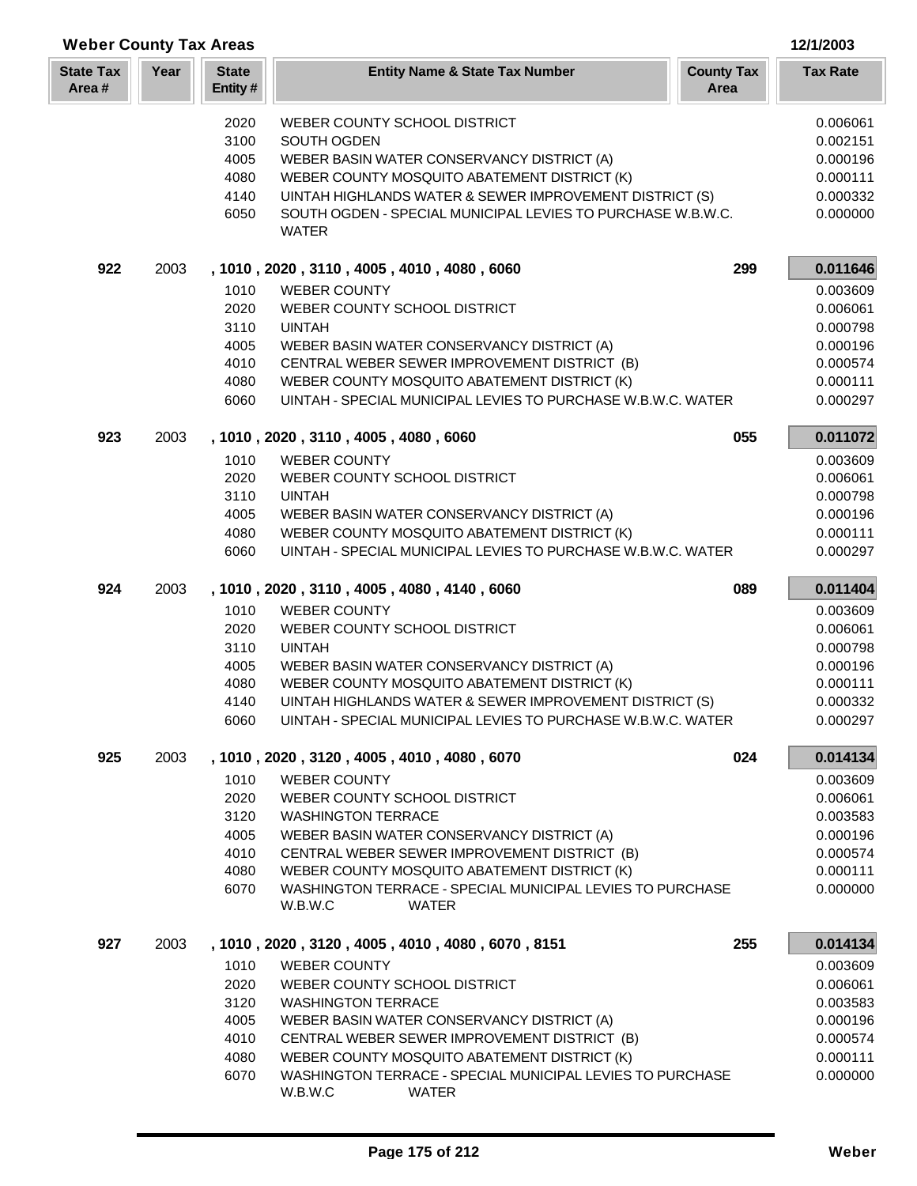| <b>State Tax</b><br>Area# | Year | <b>State</b><br>Entity# | <b>Entity Name &amp; State Tax Number</b>                                            | <b>County Tax</b><br>Area | <b>Tax Rate</b> |
|---------------------------|------|-------------------------|--------------------------------------------------------------------------------------|---------------------------|-----------------|
|                           |      | 2020                    | WEBER COUNTY SCHOOL DISTRICT                                                         |                           | 0.006061        |
|                           |      | 3100                    | SOUTH OGDEN                                                                          |                           | 0.002151        |
|                           |      | 4005                    | WEBER BASIN WATER CONSERVANCY DISTRICT (A)                                           |                           | 0.000196        |
|                           |      | 4080                    | WEBER COUNTY MOSQUITO ABATEMENT DISTRICT (K)                                         |                           | 0.000111        |
|                           |      | 4140                    | UINTAH HIGHLANDS WATER & SEWER IMPROVEMENT DISTRICT (S)                              |                           | 0.000332        |
|                           |      | 6050                    | SOUTH OGDEN - SPECIAL MUNICIPAL LEVIES TO PURCHASE W.B.W.C.<br><b>WATER</b>          |                           | 0.000000        |
| 922                       | 2003 |                         | , 1010, 2020, 3110, 4005, 4010, 4080, 6060                                           | 299                       | 0.011646        |
|                           |      | 1010                    | <b>WEBER COUNTY</b>                                                                  |                           | 0.003609        |
|                           |      | 2020                    | WEBER COUNTY SCHOOL DISTRICT                                                         |                           | 0.006061        |
|                           |      | 3110                    | <b>UINTAH</b>                                                                        |                           | 0.000798        |
|                           |      | 4005                    | WEBER BASIN WATER CONSERVANCY DISTRICT (A)                                           |                           | 0.000196        |
|                           |      | 4010                    | CENTRAL WEBER SEWER IMPROVEMENT DISTRICT (B)                                         |                           | 0.000574        |
|                           |      | 4080                    | WEBER COUNTY MOSQUITO ABATEMENT DISTRICT (K)                                         |                           | 0.000111        |
|                           |      | 6060                    | UINTAH - SPECIAL MUNICIPAL LEVIES TO PURCHASE W.B.W.C. WATER                         |                           | 0.000297        |
|                           |      |                         |                                                                                      |                           |                 |
| 923                       | 2003 |                         | , 1010, 2020, 3110, 4005, 4080, 6060                                                 | 055                       | 0.011072        |
|                           |      | 1010                    | <b>WEBER COUNTY</b>                                                                  |                           | 0.003609        |
|                           |      | 2020                    | WEBER COUNTY SCHOOL DISTRICT                                                         |                           | 0.006061        |
|                           |      | 3110                    | <b>UINTAH</b>                                                                        |                           | 0.000798        |
|                           |      | 4005                    | WEBER BASIN WATER CONSERVANCY DISTRICT (A)                                           |                           | 0.000196        |
|                           |      | 4080                    | WEBER COUNTY MOSQUITO ABATEMENT DISTRICT (K)                                         |                           | 0.000111        |
|                           |      | 6060                    | UINTAH - SPECIAL MUNICIPAL LEVIES TO PURCHASE W.B.W.C. WATER                         |                           | 0.000297        |
| 924                       | 2003 |                         | , 1010, 2020, 3110, 4005, 4080, 4140, 6060                                           | 089                       | 0.011404        |
|                           |      | 1010                    | <b>WEBER COUNTY</b>                                                                  |                           | 0.003609        |
|                           |      | 2020                    | WEBER COUNTY SCHOOL DISTRICT                                                         |                           | 0.006061        |
|                           |      | 3110                    | <b>UINTAH</b>                                                                        |                           | 0.000798        |
|                           |      | 4005                    | WEBER BASIN WATER CONSERVANCY DISTRICT (A)                                           |                           | 0.000196        |
|                           |      | 4080                    | WEBER COUNTY MOSQUITO ABATEMENT DISTRICT (K)                                         |                           | 0.000111        |
|                           |      | 4140                    | UINTAH HIGHLANDS WATER & SEWER IMPROVEMENT DISTRICT (S)                              |                           | 0.000332        |
|                           |      | 6060                    | UINTAH - SPECIAL MUNICIPAL LEVIES TO PURCHASE W.B.W.C. WATER                         |                           | 0.000297        |
| 925                       | 2003 |                         | , 1010, 2020, 3120, 4005, 4010, 4080, 6070                                           | 024                       | 0.014134        |
|                           |      | 1010                    | <b>WEBER COUNTY</b>                                                                  |                           | 0.003609        |
|                           |      | 2020                    | WEBER COUNTY SCHOOL DISTRICT                                                         |                           | 0.006061        |
|                           |      | 3120                    | <b>WASHINGTON TERRACE</b>                                                            |                           | 0.003583        |
|                           |      | 4005                    | WEBER BASIN WATER CONSERVANCY DISTRICT (A)                                           |                           | 0.000196        |
|                           |      | 4010                    | CENTRAL WEBER SEWER IMPROVEMENT DISTRICT (B)                                         |                           | 0.000574        |
|                           |      | 4080                    | WEBER COUNTY MOSQUITO ABATEMENT DISTRICT (K)                                         |                           | 0.000111        |
|                           |      | 6070                    | WASHINGTON TERRACE - SPECIAL MUNICIPAL LEVIES TO PURCHASE<br>W.B.W.C<br><b>WATER</b> |                           | 0.000000        |
| 927                       | 2003 |                         | , 1010, 2020, 3120, 4005, 4010, 4080, 6070, 8151                                     | 255                       | 0.014134        |
|                           |      | 1010                    | <b>WEBER COUNTY</b>                                                                  |                           | 0.003609        |
|                           |      | 2020                    | WEBER COUNTY SCHOOL DISTRICT                                                         |                           | 0.006061        |
|                           |      | 3120                    | <b>WASHINGTON TERRACE</b>                                                            |                           | 0.003583        |
|                           |      | 4005                    | WEBER BASIN WATER CONSERVANCY DISTRICT (A)                                           |                           | 0.000196        |
|                           |      | 4010                    | CENTRAL WEBER SEWER IMPROVEMENT DISTRICT (B)                                         |                           | 0.000574        |
|                           |      | 4080                    | WEBER COUNTY MOSQUITO ABATEMENT DISTRICT (K)                                         |                           | 0.000111        |
|                           |      | 6070                    | WASHINGTON TERRACE - SPECIAL MUNICIPAL LEVIES TO PURCHASE                            |                           | 0.000000        |
|                           |      |                         |                                                                                      |                           |                 |

**Weber County Tax Areas 12/1/2003**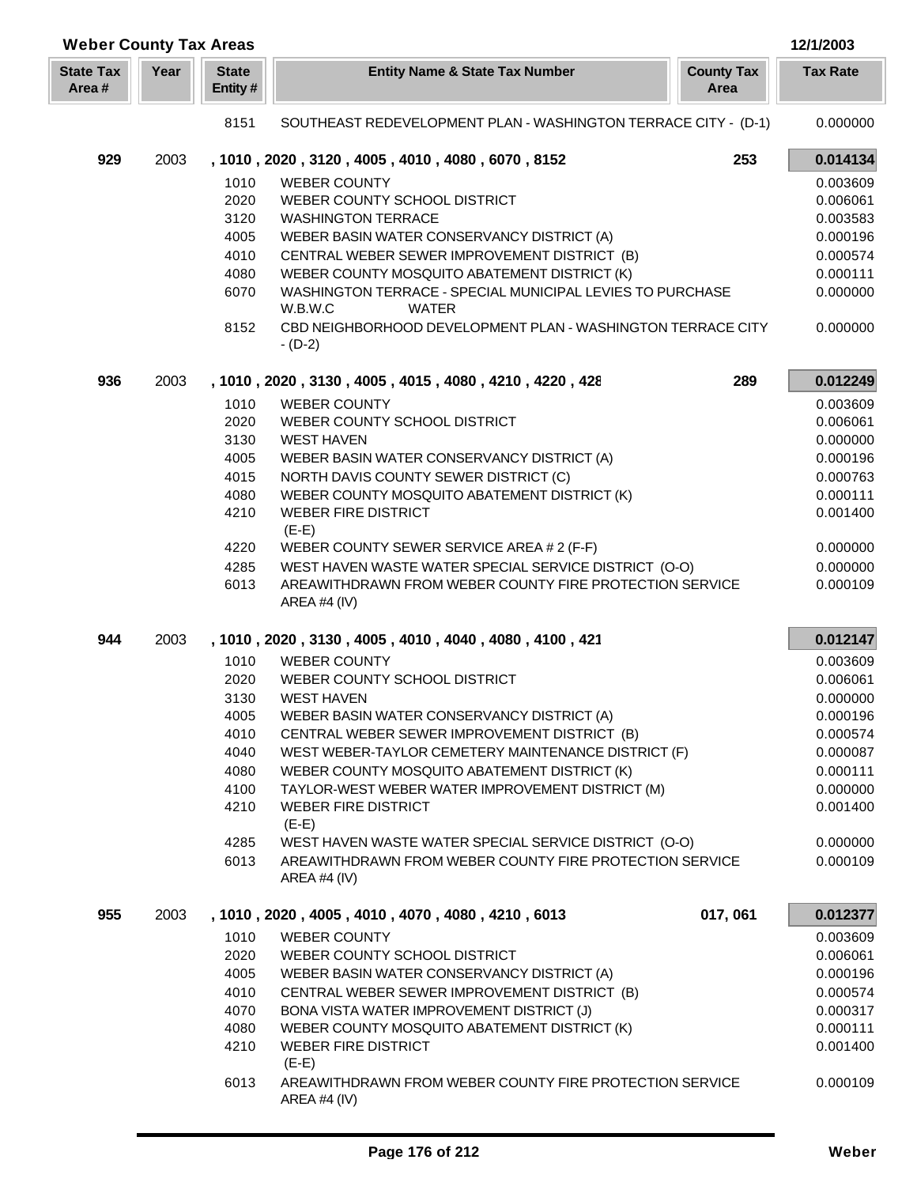| <b>Weber County Tax Areas</b> |      |                         |                                                                                      |                           | 12/1/2003       |
|-------------------------------|------|-------------------------|--------------------------------------------------------------------------------------|---------------------------|-----------------|
| <b>State Tax</b><br>Area#     | Year | <b>State</b><br>Entity# | <b>Entity Name &amp; State Tax Number</b>                                            | <b>County Tax</b><br>Area | <b>Tax Rate</b> |
|                               |      | 8151                    | SOUTHEAST REDEVELOPMENT PLAN - WASHINGTON TERRACE CITY - (D-1)                       |                           | 0.000000        |
| 929                           | 2003 |                         | , 1010, 2020, 3120, 4005, 4010, 4080, 6070, 8152                                     | 253                       | 0.014134        |
|                               |      | 1010                    | <b>WEBER COUNTY</b>                                                                  |                           | 0.003609        |
|                               |      | 2020                    | WEBER COUNTY SCHOOL DISTRICT                                                         |                           | 0.006061        |
|                               |      | 3120                    | <b>WASHINGTON TERRACE</b>                                                            |                           | 0.003583        |
|                               |      | 4005                    | WEBER BASIN WATER CONSERVANCY DISTRICT (A)                                           |                           | 0.000196        |
|                               |      | 4010                    | CENTRAL WEBER SEWER IMPROVEMENT DISTRICT (B)                                         |                           | 0.000574        |
|                               |      | 4080                    | WEBER COUNTY MOSQUITO ABATEMENT DISTRICT (K)                                         |                           | 0.000111        |
|                               |      | 6070                    | WASHINGTON TERRACE - SPECIAL MUNICIPAL LEVIES TO PURCHASE<br>W.B.W.C<br><b>WATER</b> |                           | 0.000000        |
|                               |      | 8152                    | CBD NEIGHBORHOOD DEVELOPMENT PLAN - WASHINGTON TERRACE CITY<br>$- (D-2)$             |                           | 0.000000        |
| 936                           | 2003 |                         | , 1010, 2020, 3130, 4005, 4015, 4080, 4210, 4220, 428                                | 289                       | 0.012249        |
|                               |      | 1010                    | <b>WEBER COUNTY</b>                                                                  |                           | 0.003609        |
|                               |      | 2020                    | WEBER COUNTY SCHOOL DISTRICT                                                         |                           | 0.006061        |
|                               |      | 3130                    | <b>WEST HAVEN</b>                                                                    |                           | 0.000000        |
|                               |      | 4005                    | WEBER BASIN WATER CONSERVANCY DISTRICT (A)                                           |                           | 0.000196        |
|                               |      | 4015                    | NORTH DAVIS COUNTY SEWER DISTRICT (C)                                                |                           | 0.000763        |
|                               |      | 4080                    | WEBER COUNTY MOSQUITO ABATEMENT DISTRICT (K)                                         |                           | 0.000111        |
|                               |      | 4210                    | <b>WEBER FIRE DISTRICT</b>                                                           |                           | 0.001400        |
|                               |      |                         | $(E-E)$                                                                              |                           |                 |
|                               |      | 4220                    | WEBER COUNTY SEWER SERVICE AREA # 2 (F-F)                                            |                           | 0.000000        |
|                               |      | 4285                    | WEST HAVEN WASTE WATER SPECIAL SERVICE DISTRICT (O-O)                                |                           | 0.000000        |
|                               |      | 6013                    | AREAWITHDRAWN FROM WEBER COUNTY FIRE PROTECTION SERVICE<br>AREA #4 (IV)              |                           | 0.000109        |
| 944                           | 2003 |                         | , 1010, 2020, 3130, 4005, 4010, 4040, 4080, 4100, 421                                |                           | 0.012147        |
|                               |      | 1010                    | <b>WEBER COUNTY</b>                                                                  |                           | 0.003609        |
|                               |      | 2020                    | WEBER COUNTY SCHOOL DISTRICT                                                         |                           | 0.006061        |
|                               |      | 3130                    | <b>WEST HAVEN</b>                                                                    |                           | 0.000000        |
|                               |      | 4005                    | WEBER BASIN WATER CONSERVANCY DISTRICT (A)                                           |                           | 0.000196        |
|                               |      | 4010                    | CENTRAL WEBER SEWER IMPROVEMENT DISTRICT (B)                                         |                           | 0.000574        |
|                               |      | 4040                    | WEST WEBER-TAYLOR CEMETERY MAINTENANCE DISTRICT (F)                                  |                           | 0.000087        |
|                               |      | 4080                    | WEBER COUNTY MOSQUITO ABATEMENT DISTRICT (K)                                         |                           | 0.000111        |
|                               |      | 4100                    | TAYLOR-WEST WEBER WATER IMPROVEMENT DISTRICT (M)                                     |                           | 0.000000        |
|                               |      | 4210                    | <b>WEBER FIRE DISTRICT</b><br>$(E-E)$                                                |                           | 0.001400        |
|                               |      | 4285                    | WEST HAVEN WASTE WATER SPECIAL SERVICE DISTRICT (O-O)                                |                           | 0.000000        |
|                               |      | 6013                    | AREAWITHDRAWN FROM WEBER COUNTY FIRE PROTECTION SERVICE<br>AREA #4 (IV)              |                           | 0.000109        |
|                               |      |                         |                                                                                      |                           |                 |
| 955                           | 2003 |                         | , 1010, 2020, 4005, 4010, 4070, 4080, 4210, 6013                                     | 017, 061                  | 0.012377        |
|                               |      | 1010                    | <b>WEBER COUNTY</b>                                                                  |                           | 0.003609        |
|                               |      | 2020                    | WEBER COUNTY SCHOOL DISTRICT                                                         |                           | 0.006061        |
|                               |      | 4005                    | WEBER BASIN WATER CONSERVANCY DISTRICT (A)                                           |                           | 0.000196        |
|                               |      | 4010                    | CENTRAL WEBER SEWER IMPROVEMENT DISTRICT (B)                                         |                           | 0.000574        |
|                               |      | 4070                    | BONA VISTA WATER IMPROVEMENT DISTRICT (J)                                            |                           | 0.000317        |
|                               |      | 4080                    | WEBER COUNTY MOSQUITO ABATEMENT DISTRICT (K)                                         |                           | 0.000111        |
|                               |      | 4210                    | <b>WEBER FIRE DISTRICT</b><br>$(E-E)$                                                |                           | 0.001400        |
|                               |      | 6013                    | AREAWITHDRAWN FROM WEBER COUNTY FIRE PROTECTION SERVICE<br>AREA #4 (IV)              |                           | 0.000109        |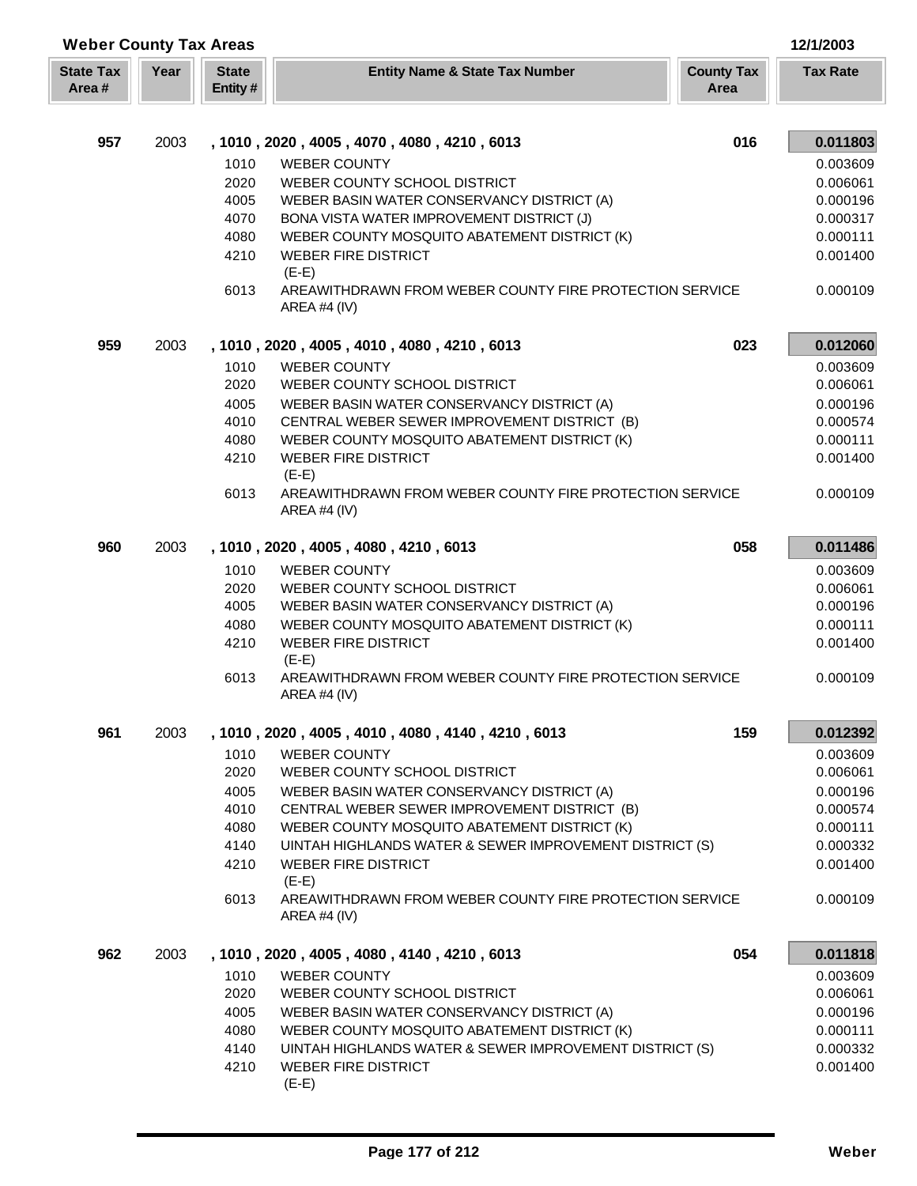| <b>Weber County Tax Areas</b> |      |                         |                                                                                    |                           | 12/1/2003            |
|-------------------------------|------|-------------------------|------------------------------------------------------------------------------------|---------------------------|----------------------|
| <b>State Tax</b><br>Area#     | Year | <b>State</b><br>Entity# | <b>Entity Name &amp; State Tax Number</b>                                          | <b>County Tax</b><br>Area | <b>Tax Rate</b>      |
|                               |      |                         |                                                                                    |                           |                      |
| 957                           | 2003 |                         | , 1010, 2020, 4005, 4070, 4080, 4210, 6013                                         | 016                       | 0.011803             |
|                               |      | 1010                    | <b>WEBER COUNTY</b>                                                                |                           | 0.003609             |
|                               |      | 2020                    | WEBER COUNTY SCHOOL DISTRICT                                                       |                           | 0.006061             |
|                               |      | 4005                    | WEBER BASIN WATER CONSERVANCY DISTRICT (A)                                         |                           | 0.000196             |
|                               |      | 4070                    | BONA VISTA WATER IMPROVEMENT DISTRICT (J)                                          |                           | 0.000317             |
|                               |      | 4080                    | WEBER COUNTY MOSQUITO ABATEMENT DISTRICT (K)                                       |                           | 0.000111             |
|                               |      | 4210                    | <b>WEBER FIRE DISTRICT</b><br>$(E-E)$                                              |                           | 0.001400             |
|                               |      | 6013                    | AREAWITHDRAWN FROM WEBER COUNTY FIRE PROTECTION SERVICE<br>AREA #4 (IV)            |                           | 0.000109             |
| 959                           | 2003 |                         | , 1010, 2020, 4005, 4010, 4080, 4210, 6013                                         | 023                       | 0.012060             |
|                               |      | 1010                    | <b>WEBER COUNTY</b>                                                                |                           | 0.003609             |
|                               |      | 2020                    | WEBER COUNTY SCHOOL DISTRICT                                                       |                           | 0.006061             |
|                               |      | 4005                    | WEBER BASIN WATER CONSERVANCY DISTRICT (A)                                         |                           | 0.000196             |
|                               |      | 4010                    | CENTRAL WEBER SEWER IMPROVEMENT DISTRICT (B)                                       |                           | 0.000574             |
|                               |      | 4080                    | WEBER COUNTY MOSQUITO ABATEMENT DISTRICT (K)                                       |                           | 0.000111             |
|                               |      | 4210                    | <b>WEBER FIRE DISTRICT</b>                                                         |                           | 0.001400             |
|                               |      | 6013                    | $(E-E)$<br>AREAWITHDRAWN FROM WEBER COUNTY FIRE PROTECTION SERVICE<br>AREA #4 (IV) |                           | 0.000109             |
| 960                           | 2003 |                         | , 1010, 2020, 4005, 4080, 4210, 6013                                               | 058                       | 0.011486             |
|                               |      |                         |                                                                                    |                           |                      |
|                               |      | 1010                    | <b>WEBER COUNTY</b>                                                                |                           | 0.003609             |
|                               |      | 2020<br>4005            | WEBER COUNTY SCHOOL DISTRICT<br>WEBER BASIN WATER CONSERVANCY DISTRICT (A)         |                           | 0.006061<br>0.000196 |
|                               |      | 4080                    | WEBER COUNTY MOSQUITO ABATEMENT DISTRICT (K)                                       |                           | 0.000111             |
|                               |      | 4210                    | <b>WEBER FIRE DISTRICT</b>                                                         |                           | 0.001400             |
|                               |      |                         | $(E-E)$                                                                            |                           |                      |
|                               |      | 6013                    | AREAWITHDRAWN FROM WEBER COUNTY FIRE PROTECTION SERVICE<br>AREA #4 $(IV)$          |                           | 0.000109             |
| 961                           | 2003 |                         | , 1010, 2020, 4005, 4010, 4080, 4140, 4210, 6013                                   | 159                       | 0.012392             |
|                               |      | 1010                    | <b>WEBER COUNTY</b>                                                                |                           | 0.003609             |
|                               |      | 2020                    | WEBER COUNTY SCHOOL DISTRICT                                                       |                           | 0.006061             |
|                               |      | 4005                    | WEBER BASIN WATER CONSERVANCY DISTRICT (A)                                         |                           | 0.000196             |
|                               |      | 4010                    | CENTRAL WEBER SEWER IMPROVEMENT DISTRICT (B)                                       |                           | 0.000574             |
|                               |      | 4080                    | WEBER COUNTY MOSQUITO ABATEMENT DISTRICT (K)                                       |                           | 0.000111             |
|                               |      | 4140                    | UINTAH HIGHLANDS WATER & SEWER IMPROVEMENT DISTRICT (S)                            |                           | 0.000332             |
|                               |      | 4210                    | <b>WEBER FIRE DISTRICT</b><br>$(E-E)$                                              |                           | 0.001400             |
|                               |      | 6013                    | AREAWITHDRAWN FROM WEBER COUNTY FIRE PROTECTION SERVICE<br>AREA #4 (IV)            |                           | 0.000109             |
| 962                           | 2003 |                         | , 1010, 2020, 4005, 4080, 4140, 4210, 6013                                         | 054                       | 0.011818             |
|                               |      | 1010                    | <b>WEBER COUNTY</b>                                                                |                           | 0.003609             |
|                               |      | 2020                    | WEBER COUNTY SCHOOL DISTRICT                                                       |                           | 0.006061             |
|                               |      | 4005                    | WEBER BASIN WATER CONSERVANCY DISTRICT (A)                                         |                           | 0.000196             |
|                               |      | 4080                    | WEBER COUNTY MOSQUITO ABATEMENT DISTRICT (K)                                       |                           | 0.000111             |
|                               |      | 4140                    | UINTAH HIGHLANDS WATER & SEWER IMPROVEMENT DISTRICT (S)                            |                           | 0.000332             |
|                               |      | 4210                    | <b>WEBER FIRE DISTRICT</b><br>$(E-E)$                                              |                           | 0.001400             |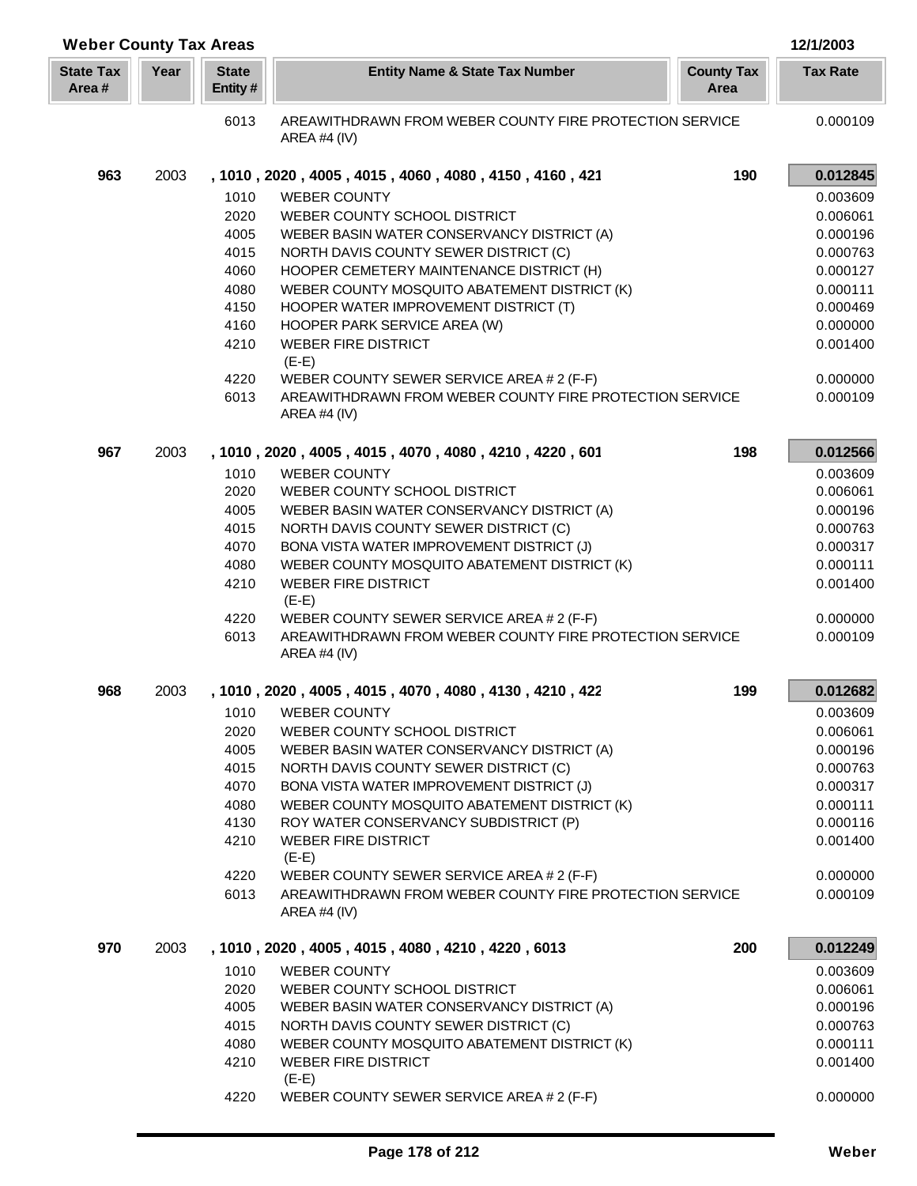| <b>Weber County Tax Areas</b> |      |                         |                                                                                |                           | 12/1/2003       |
|-------------------------------|------|-------------------------|--------------------------------------------------------------------------------|---------------------------|-----------------|
| <b>State Tax</b><br>Area#     | Year | <b>State</b><br>Entity# | <b>Entity Name &amp; State Tax Number</b>                                      | <b>County Tax</b><br>Area | <b>Tax Rate</b> |
|                               |      | 6013                    | AREAWITHDRAWN FROM WEBER COUNTY FIRE PROTECTION SERVICE<br><b>AREA #4 (IV)</b> |                           | 0.000109        |
| 963                           | 2003 |                         | , 1010, 2020, 4005, 4015, 4060, 4080, 4150, 4160, 421                          | 190                       | 0.012845        |
|                               |      | 1010                    | <b>WEBER COUNTY</b>                                                            |                           | 0.003609        |
|                               |      | 2020                    | WEBER COUNTY SCHOOL DISTRICT                                                   |                           | 0.006061        |
|                               |      | 4005                    | WEBER BASIN WATER CONSERVANCY DISTRICT (A)                                     |                           | 0.000196        |
|                               |      | 4015                    | NORTH DAVIS COUNTY SEWER DISTRICT (C)                                          |                           | 0.000763        |
|                               |      | 4060                    | HOOPER CEMETERY MAINTENANCE DISTRICT (H)                                       |                           | 0.000127        |
|                               |      | 4080                    | WEBER COUNTY MOSQUITO ABATEMENT DISTRICT (K)                                   |                           | 0.000111        |
|                               |      | 4150                    | HOOPER WATER IMPROVEMENT DISTRICT (T)                                          |                           | 0.000469        |
|                               |      | 4160                    | HOOPER PARK SERVICE AREA (W)                                                   |                           | 0.000000        |
|                               |      | 4210                    | <b>WEBER FIRE DISTRICT</b><br>$(E-E)$                                          |                           | 0.001400        |
|                               |      | 4220                    | WEBER COUNTY SEWER SERVICE AREA # 2 (F-F)                                      |                           | 0.000000        |
|                               |      | 6013                    | AREAWITHDRAWN FROM WEBER COUNTY FIRE PROTECTION SERVICE<br>AREA #4 (IV)        |                           | 0.000109        |
| 967                           | 2003 |                         | , 1010, 2020, 4005, 4015, 4070, 4080, 4210, 4220, 601                          | 198                       | 0.012566        |
|                               |      | 1010                    | <b>WEBER COUNTY</b>                                                            |                           | 0.003609        |
|                               |      | 2020                    | WEBER COUNTY SCHOOL DISTRICT                                                   |                           | 0.006061        |
|                               |      | 4005                    | WEBER BASIN WATER CONSERVANCY DISTRICT (A)                                     |                           | 0.000196        |
|                               |      | 4015                    | NORTH DAVIS COUNTY SEWER DISTRICT (C)                                          |                           | 0.000763        |
|                               |      | 4070                    | BONA VISTA WATER IMPROVEMENT DISTRICT (J)                                      |                           | 0.000317        |
|                               |      | 4080                    | WEBER COUNTY MOSQUITO ABATEMENT DISTRICT (K)                                   |                           | 0.000111        |
|                               |      | 4210                    | <b>WEBER FIRE DISTRICT</b><br>$(E-E)$                                          |                           | 0.001400        |
|                               |      | 4220                    | WEBER COUNTY SEWER SERVICE AREA # 2 (F-F)                                      |                           | 0.000000        |
|                               |      | 6013                    | AREAWITHDRAWN FROM WEBER COUNTY FIRE PROTECTION SERVICE<br>AREA #4 $(IV)$      |                           | 0.000109        |
| 968                           | 2003 |                         | , 1010, 2020, 4005, 4015, 4070, 4080, 4130, 4210, 422                          | 199                       | 0.012682        |
|                               |      |                         | 1010 WEBER COUNTY                                                              |                           | 0.003609        |
|                               |      | 2020                    | WEBER COUNTY SCHOOL DISTRICT                                                   |                           | 0.006061        |
|                               |      | 4005                    | WEBER BASIN WATER CONSERVANCY DISTRICT (A)                                     |                           | 0.000196        |
|                               |      | 4015                    | NORTH DAVIS COUNTY SEWER DISTRICT (C)                                          |                           | 0.000763        |
|                               |      | 4070                    | BONA VISTA WATER IMPROVEMENT DISTRICT (J)                                      |                           | 0.000317        |
|                               |      | 4080                    | WEBER COUNTY MOSQUITO ABATEMENT DISTRICT (K)                                   |                           | 0.000111        |
|                               |      | 4130                    | ROY WATER CONSERVANCY SUBDISTRICT (P)                                          |                           | 0.000116        |
|                               |      | 4210                    | <b>WEBER FIRE DISTRICT</b><br>$(E-E)$                                          |                           | 0.001400        |
|                               |      | 4220                    | WEBER COUNTY SEWER SERVICE AREA # 2 (F-F)                                      |                           | 0.000000        |
|                               |      | 6013                    | AREAWITHDRAWN FROM WEBER COUNTY FIRE PROTECTION SERVICE<br>AREA #4 $(IV)$      |                           | 0.000109        |
| 970                           | 2003 |                         | , 1010, 2020, 4005, 4015, 4080, 4210, 4220, 6013                               | 200                       | 0.012249        |
|                               |      | 1010                    | <b>WEBER COUNTY</b>                                                            |                           | 0.003609        |
|                               |      | 2020                    | WEBER COUNTY SCHOOL DISTRICT                                                   |                           | 0.006061        |
|                               |      | 4005                    | WEBER BASIN WATER CONSERVANCY DISTRICT (A)                                     |                           | 0.000196        |
|                               |      | 4015                    | NORTH DAVIS COUNTY SEWER DISTRICT (C)                                          |                           | 0.000763        |
|                               |      | 4080                    | WEBER COUNTY MOSQUITO ABATEMENT DISTRICT (K)                                   |                           | 0.000111        |
|                               |      | 4210                    | <b>WEBER FIRE DISTRICT</b><br>$(E-E)$                                          |                           | 0.001400        |
|                               |      | 4220                    | WEBER COUNTY SEWER SERVICE AREA # 2 (F-F)                                      |                           | 0.000000        |
|                               |      |                         |                                                                                |                           |                 |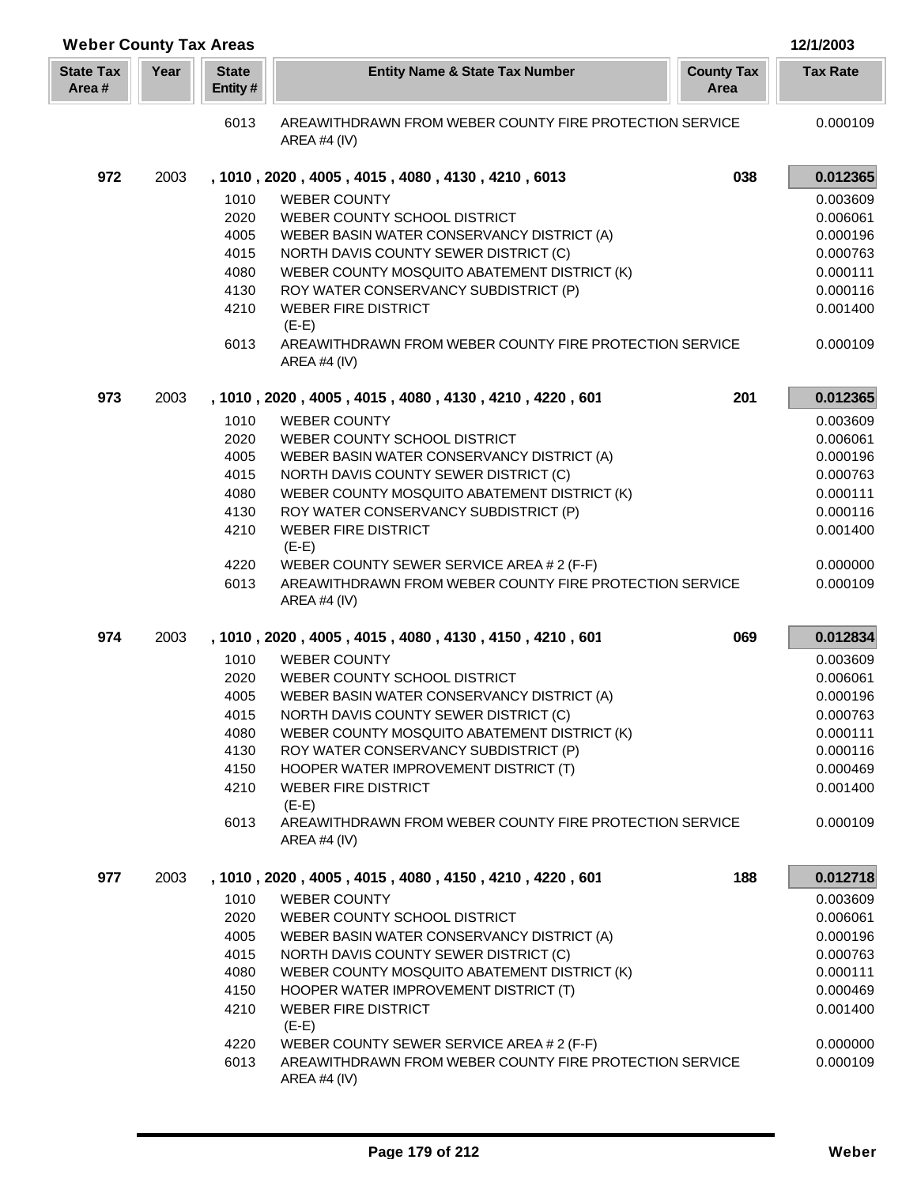| <b>Weber County Tax Areas</b> |      |                         |                                                                           |                           | 12/1/2003       |
|-------------------------------|------|-------------------------|---------------------------------------------------------------------------|---------------------------|-----------------|
| <b>State Tax</b><br>Area#     | Year | <b>State</b><br>Entity# | <b>Entity Name &amp; State Tax Number</b>                                 | <b>County Tax</b><br>Area | <b>Tax Rate</b> |
|                               |      | 6013                    | AREAWITHDRAWN FROM WEBER COUNTY FIRE PROTECTION SERVICE<br>AREA #4 (IV)   |                           | 0.000109        |
| 972                           | 2003 |                         | , 1010, 2020, 4005, 4015, 4080, 4130, 4210, 6013                          | 038                       | 0.012365        |
|                               |      | 1010                    | <b>WEBER COUNTY</b>                                                       |                           | 0.003609        |
|                               |      | 2020                    | WEBER COUNTY SCHOOL DISTRICT                                              |                           | 0.006061        |
|                               |      | 4005                    | WEBER BASIN WATER CONSERVANCY DISTRICT (A)                                |                           | 0.000196        |
|                               |      | 4015                    | NORTH DAVIS COUNTY SEWER DISTRICT (C)                                     |                           | 0.000763        |
|                               |      | 4080                    | WEBER COUNTY MOSQUITO ABATEMENT DISTRICT (K)                              |                           | 0.000111        |
|                               |      | 4130                    | ROY WATER CONSERVANCY SUBDISTRICT (P)                                     |                           | 0.000116        |
|                               |      | 4210                    | <b>WEBER FIRE DISTRICT</b><br>$(E-E)$                                     |                           | 0.001400        |
|                               |      | 6013                    | AREAWITHDRAWN FROM WEBER COUNTY FIRE PROTECTION SERVICE<br>AREA #4 $(IV)$ |                           | 0.000109        |
| 973                           | 2003 |                         | , 1010, 2020, 4005, 4015, 4080, 4130, 4210, 4220, 601                     | 201                       | 0.012365        |
|                               |      | 1010                    | <b>WEBER COUNTY</b>                                                       |                           | 0.003609        |
|                               |      | 2020                    | WEBER COUNTY SCHOOL DISTRICT                                              |                           | 0.006061        |
|                               |      | 4005                    | WEBER BASIN WATER CONSERVANCY DISTRICT (A)                                |                           | 0.000196        |
|                               |      | 4015                    | NORTH DAVIS COUNTY SEWER DISTRICT (C)                                     |                           | 0.000763        |
|                               |      | 4080                    | WEBER COUNTY MOSQUITO ABATEMENT DISTRICT (K)                              |                           | 0.000111        |
|                               |      | 4130                    | ROY WATER CONSERVANCY SUBDISTRICT (P)                                     |                           | 0.000116        |
|                               |      | 4210                    | <b>WEBER FIRE DISTRICT</b><br>$(E-E)$                                     |                           | 0.001400        |
|                               |      | 4220                    | WEBER COUNTY SEWER SERVICE AREA # 2 (F-F)                                 |                           | 0.000000        |
|                               |      | 6013                    | AREAWITHDRAWN FROM WEBER COUNTY FIRE PROTECTION SERVICE<br>AREA #4 (IV)   |                           | 0.000109        |
| 974                           | 2003 |                         | , 1010, 2020, 4005, 4015, 4080, 4130, 4150, 4210, 601                     | 069                       | 0.012834        |
|                               |      | 1010                    | <b>WEBER COUNTY</b>                                                       |                           | 0.003609        |
|                               |      | 2020                    | WEBER COUNTY SCHOOL DISTRICT                                              |                           | 0.006061        |
|                               |      | 4005                    | WEBER BASIN WATER CONSERVANCY DISTRICT (A)                                |                           | 0.000196        |
|                               |      | 4015                    | NORTH DAVIS COUNTY SEWER DISTRICT (C)                                     |                           | 0.000763        |
|                               |      | 4080                    | WEBER COUNTY MOSQUITO ABATEMENT DISTRICT (K)                              |                           | 0.000111        |
|                               |      | 4130                    | ROY WATER CONSERVANCY SUBDISTRICT (P)                                     |                           | 0.000116        |
|                               |      | 4150                    | HOOPER WATER IMPROVEMENT DISTRICT (T)                                     |                           | 0.000469        |
|                               |      | 4210                    | <b>WEBER FIRE DISTRICT</b><br>$(E-E)$                                     |                           | 0.001400        |
|                               |      | 6013                    | AREAWITHDRAWN FROM WEBER COUNTY FIRE PROTECTION SERVICE<br>AREA #4 (IV)   |                           | 0.000109        |
| 977                           | 2003 |                         | , 1010, 2020, 4005, 4015, 4080, 4150, 4210, 4220, 601                     | 188                       | 0.012718        |
|                               |      | 1010                    | <b>WEBER COUNTY</b>                                                       |                           | 0.003609        |
|                               |      | 2020                    | WEBER COUNTY SCHOOL DISTRICT                                              |                           | 0.006061        |
|                               |      | 4005                    | WEBER BASIN WATER CONSERVANCY DISTRICT (A)                                |                           | 0.000196        |
|                               |      | 4015                    | NORTH DAVIS COUNTY SEWER DISTRICT (C)                                     |                           | 0.000763        |
|                               |      | 4080                    | WEBER COUNTY MOSQUITO ABATEMENT DISTRICT (K)                              |                           | 0.000111        |
|                               |      | 4150                    | HOOPER WATER IMPROVEMENT DISTRICT (T)                                     |                           | 0.000469        |
|                               |      | 4210                    | <b>WEBER FIRE DISTRICT</b><br>$(E-E)$                                     |                           | 0.001400        |
|                               |      | 4220                    | WEBER COUNTY SEWER SERVICE AREA # 2 (F-F)                                 |                           | 0.000000        |
|                               |      | 6013                    | AREAWITHDRAWN FROM WEBER COUNTY FIRE PROTECTION SERVICE<br>AREA #4 (IV)   |                           | 0.000109        |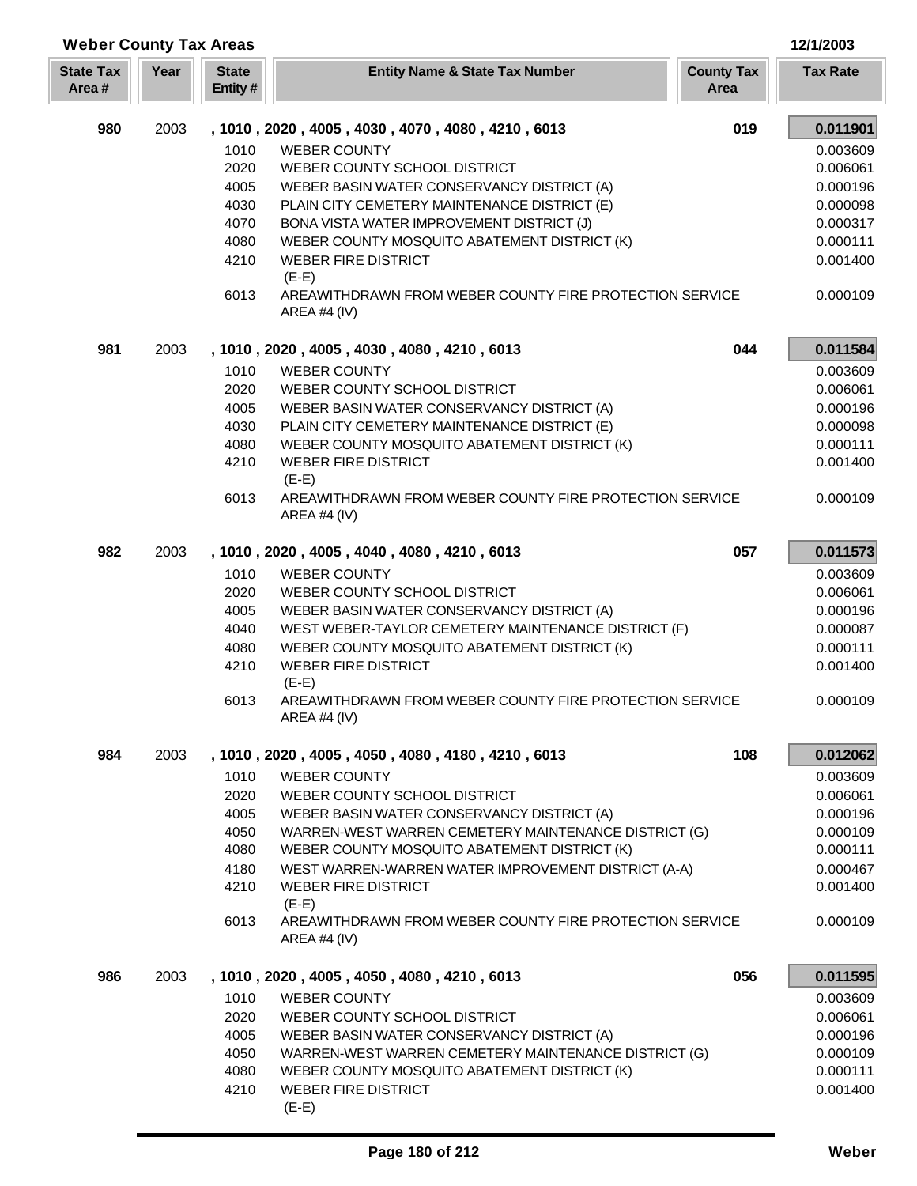| <b>Weber County Tax Areas</b> |      |                         |                                                                           |                           | 12/1/2003       |
|-------------------------------|------|-------------------------|---------------------------------------------------------------------------|---------------------------|-----------------|
| <b>State Tax</b><br>Area#     | Year | <b>State</b><br>Entity# | <b>Entity Name &amp; State Tax Number</b>                                 | <b>County Tax</b><br>Area | <b>Tax Rate</b> |
| 980                           | 2003 |                         | , 1010, 2020, 4005, 4030, 4070, 4080, 4210, 6013                          | 019                       | 0.011901        |
|                               |      | 1010                    | <b>WEBER COUNTY</b>                                                       |                           | 0.003609        |
|                               |      | 2020                    | WEBER COUNTY SCHOOL DISTRICT                                              |                           | 0.006061        |
|                               |      | 4005                    | WEBER BASIN WATER CONSERVANCY DISTRICT (A)                                |                           | 0.000196        |
|                               |      | 4030                    | PLAIN CITY CEMETERY MAINTENANCE DISTRICT (E)                              |                           | 0.000098        |
|                               |      | 4070                    | BONA VISTA WATER IMPROVEMENT DISTRICT (J)                                 |                           | 0.000317        |
|                               |      | 4080                    | WEBER COUNTY MOSQUITO ABATEMENT DISTRICT (K)                              |                           | 0.000111        |
|                               |      | 4210                    | <b>WEBER FIRE DISTRICT</b><br>$(E-E)$                                     |                           | 0.001400        |
|                               |      | 6013                    | AREAWITHDRAWN FROM WEBER COUNTY FIRE PROTECTION SERVICE<br>AREA #4 $(IV)$ |                           | 0.000109        |
| 981                           | 2003 |                         | , 1010, 2020, 4005, 4030, 4080, 4210, 6013                                | 044                       | 0.011584        |
|                               |      | 1010                    | <b>WEBER COUNTY</b>                                                       |                           | 0.003609        |
|                               |      | 2020                    | WEBER COUNTY SCHOOL DISTRICT                                              |                           | 0.006061        |
|                               |      | 4005                    | WEBER BASIN WATER CONSERVANCY DISTRICT (A)                                |                           | 0.000196        |
|                               |      | 4030                    | PLAIN CITY CEMETERY MAINTENANCE DISTRICT (E)                              |                           | 0.000098        |
|                               |      | 4080                    | WEBER COUNTY MOSQUITO ABATEMENT DISTRICT (K)                              |                           | 0.000111        |
|                               |      | 4210                    | <b>WEBER FIRE DISTRICT</b><br>$(E-E)$                                     |                           | 0.001400        |
|                               |      | 6013                    | AREAWITHDRAWN FROM WEBER COUNTY FIRE PROTECTION SERVICE<br>AREA #4 (IV)   |                           | 0.000109        |
| 982                           | 2003 |                         | , 1010, 2020, 4005, 4040, 4080, 4210, 6013                                | 057                       | 0.011573        |
|                               |      | 1010                    | <b>WEBER COUNTY</b>                                                       |                           | 0.003609        |
|                               |      | 2020                    | WEBER COUNTY SCHOOL DISTRICT                                              |                           | 0.006061        |
|                               |      | 4005                    | WEBER BASIN WATER CONSERVANCY DISTRICT (A)                                |                           | 0.000196        |
|                               |      | 4040                    | WEST WEBER-TAYLOR CEMETERY MAINTENANCE DISTRICT (F)                       |                           | 0.000087        |
|                               |      | 4080                    | WEBER COUNTY MOSQUITO ABATEMENT DISTRICT (K)                              |                           | 0.000111        |
|                               |      | 4210                    | <b>WEBER FIRE DISTRICT</b><br>$(E-E)$                                     |                           | 0.001400        |
|                               |      | 6013                    | AREAWITHDRAWN FROM WEBER COUNTY FIRE PROTECTION SERVICE<br>AREA #4 (IV)   |                           | 0.000109        |
| 984                           | 2003 |                         | , 1010, 2020, 4005, 4050, 4080, 4180, 4210, 6013                          | 108                       | 0.012062        |
|                               |      | 1010                    | <b>WEBER COUNTY</b>                                                       |                           | 0.003609        |
|                               |      | 2020                    | WEBER COUNTY SCHOOL DISTRICT                                              |                           | 0.006061        |
|                               |      | 4005                    | WEBER BASIN WATER CONSERVANCY DISTRICT (A)                                |                           | 0.000196        |
|                               |      | 4050                    | WARREN-WEST WARREN CEMETERY MAINTENANCE DISTRICT (G)                      |                           | 0.000109        |
|                               |      | 4080                    | WEBER COUNTY MOSQUITO ABATEMENT DISTRICT (K)                              |                           | 0.000111        |
|                               |      | 4180                    | WEST WARREN-WARREN WATER IMPROVEMENT DISTRICT (A-A)                       |                           | 0.000467        |
|                               |      | 4210                    | <b>WEBER FIRE DISTRICT</b><br>$(E-E)$                                     |                           | 0.001400        |
|                               |      | 6013                    | AREAWITHDRAWN FROM WEBER COUNTY FIRE PROTECTION SERVICE<br>AREA #4 (IV)   |                           | 0.000109        |
| 986                           | 2003 |                         | , 1010, 2020, 4005, 4050, 4080, 4210, 6013                                | 056                       | 0.011595        |
|                               |      | 1010                    | <b>WEBER COUNTY</b>                                                       |                           | 0.003609        |
|                               |      | 2020                    | WEBER COUNTY SCHOOL DISTRICT                                              |                           | 0.006061        |
|                               |      | 4005                    | WEBER BASIN WATER CONSERVANCY DISTRICT (A)                                |                           | 0.000196        |
|                               |      | 4050                    | WARREN-WEST WARREN CEMETERY MAINTENANCE DISTRICT (G)                      |                           | 0.000109        |
|                               |      | 4080                    | WEBER COUNTY MOSQUITO ABATEMENT DISTRICT (K)                              |                           | 0.000111        |
|                               |      | 4210                    | <b>WEBER FIRE DISTRICT</b><br>$(E-E)$                                     |                           | 0.001400        |

Γ L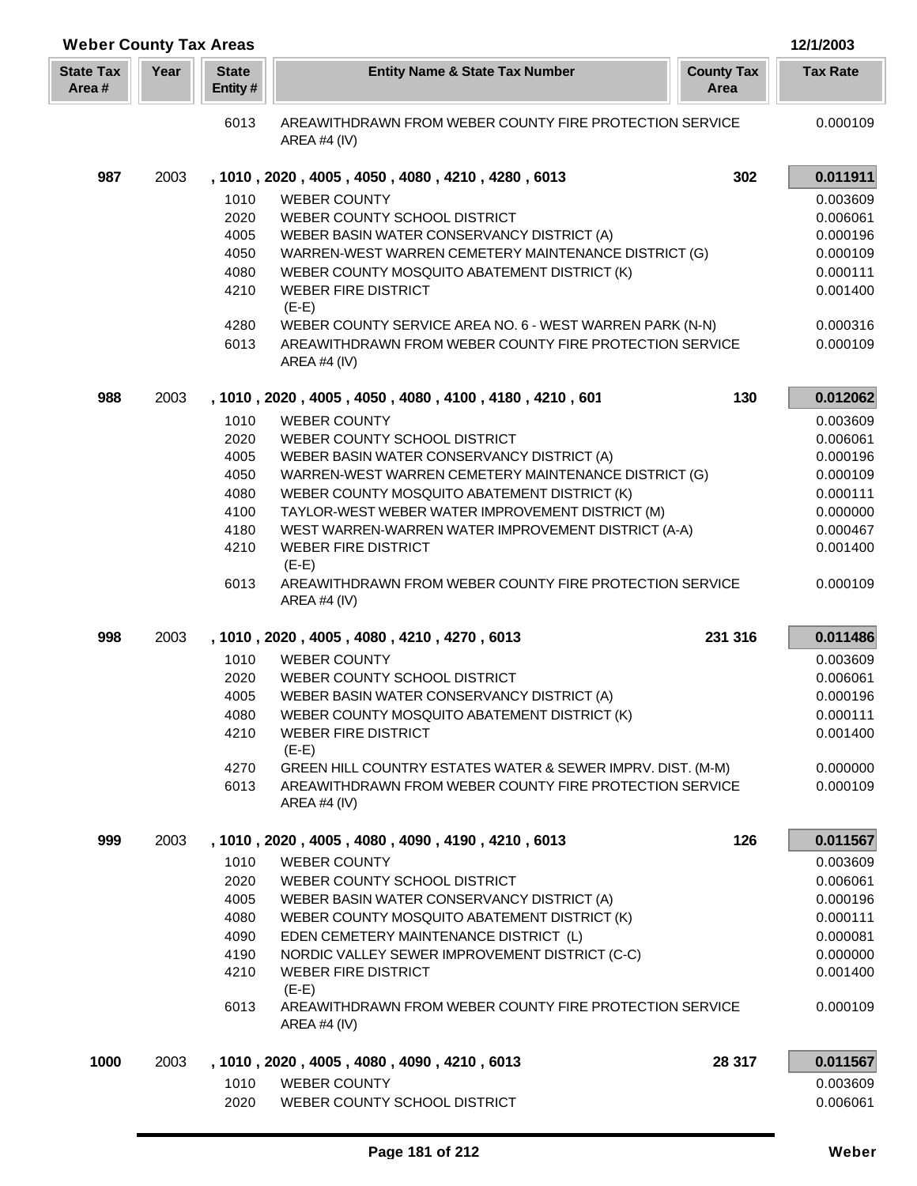| <b>Weber County Tax Areas</b> |      |                         |                                                                                                  |                           | 12/1/2003            |
|-------------------------------|------|-------------------------|--------------------------------------------------------------------------------------------------|---------------------------|----------------------|
| <b>State Tax</b><br>Area#     | Year | <b>State</b><br>Entity# | <b>Entity Name &amp; State Tax Number</b>                                                        | <b>County Tax</b><br>Area | <b>Tax Rate</b>      |
|                               |      | 6013                    | AREAWITHDRAWN FROM WEBER COUNTY FIRE PROTECTION SERVICE<br>AREA #4 $(IV)$                        |                           | 0.000109             |
| 987                           | 2003 |                         | , 1010, 2020, 4005, 4050, 4080, 4210, 4280, 6013                                                 | 302                       | 0.011911             |
|                               |      | 1010                    | <b>WEBER COUNTY</b>                                                                              |                           | 0.003609             |
|                               |      | 2020                    | WEBER COUNTY SCHOOL DISTRICT                                                                     |                           | 0.006061             |
|                               |      | 4005                    | WEBER BASIN WATER CONSERVANCY DISTRICT (A)                                                       |                           | 0.000196             |
|                               |      | 4050                    | WARREN-WEST WARREN CEMETERY MAINTENANCE DISTRICT (G)                                             |                           | 0.000109             |
|                               |      | 4080                    | WEBER COUNTY MOSQUITO ABATEMENT DISTRICT (K)                                                     |                           | 0.000111             |
|                               |      | 4210                    | <b>WEBER FIRE DISTRICT</b>                                                                       |                           | 0.001400             |
|                               |      | 4280                    | $(E-E)$<br>WEBER COUNTY SERVICE AREA NO. 6 - WEST WARREN PARK (N-N)                              |                           | 0.000316             |
|                               |      | 6013                    | AREAWITHDRAWN FROM WEBER COUNTY FIRE PROTECTION SERVICE<br>AREA #4 $(IV)$                        |                           | 0.000109             |
| 988                           | 2003 |                         | , 1010, 2020, 4005, 4050, 4080, 4100, 4180, 4210, 601                                            | 130                       | 0.012062             |
|                               |      | 1010                    | <b>WEBER COUNTY</b>                                                                              |                           | 0.003609             |
|                               |      | 2020                    | WEBER COUNTY SCHOOL DISTRICT                                                                     |                           | 0.006061             |
|                               |      | 4005                    | WEBER BASIN WATER CONSERVANCY DISTRICT (A)                                                       |                           | 0.000196             |
|                               |      | 4050                    | WARREN-WEST WARREN CEMETERY MAINTENANCE DISTRICT (G)                                             |                           | 0.000109             |
|                               |      | 4080<br>4100            | WEBER COUNTY MOSQUITO ABATEMENT DISTRICT (K)<br>TAYLOR-WEST WEBER WATER IMPROVEMENT DISTRICT (M) |                           | 0.000111<br>0.000000 |
|                               |      | 4180                    | WEST WARREN-WARREN WATER IMPROVEMENT DISTRICT (A-A)                                              |                           | 0.000467             |
|                               |      | 4210                    | <b>WEBER FIRE DISTRICT</b><br>$(E-E)$                                                            |                           | 0.001400             |
|                               |      | 6013                    | AREAWITHDRAWN FROM WEBER COUNTY FIRE PROTECTION SERVICE<br>AREA #4 $(IV)$                        |                           | 0.000109             |
| 998                           | 2003 |                         | , 1010, 2020, 4005, 4080, 4210, 4270, 6013                                                       | 231 316                   | 0.011486             |
|                               |      | 1010                    | <b>WEBER COUNTY</b>                                                                              |                           | 0.003609             |
|                               |      | 2020                    | WEBER COUNTY SCHOOL DISTRICT                                                                     |                           | 0.006061             |
|                               |      | 4005                    | WEBER BASIN WATER CONSERVANCY DISTRICT (A)                                                       |                           | 0.000196             |
|                               |      | 4080                    | WEBER COUNTY MOSQUITO ABATEMENT DISTRICT (K)                                                     |                           | 0.000111             |
|                               |      | 4210                    | <b>WEBER FIRE DISTRICT</b><br>$(E-E)$                                                            |                           | 0.001400             |
|                               |      | 4270                    | GREEN HILL COUNTRY ESTATES WATER & SEWER IMPRV. DIST. (M-M)                                      |                           | 0.000000             |
|                               |      | 6013                    | AREAWITHDRAWN FROM WEBER COUNTY FIRE PROTECTION SERVICE<br>AREA #4 $(IV)$                        |                           | 0.000109             |
| 999                           | 2003 |                         | , 1010, 2020, 4005, 4080, 4090, 4190, 4210, 6013                                                 | 126                       | 0.011567             |
|                               |      | 1010                    | <b>WEBER COUNTY</b>                                                                              |                           | 0.003609             |
|                               |      | 2020                    | WEBER COUNTY SCHOOL DISTRICT                                                                     |                           | 0.006061             |
|                               |      | 4005                    | WEBER BASIN WATER CONSERVANCY DISTRICT (A)                                                       |                           | 0.000196             |
|                               |      | 4080                    | WEBER COUNTY MOSQUITO ABATEMENT DISTRICT (K)                                                     |                           | 0.000111             |
|                               |      | 4090<br>4190            | EDEN CEMETERY MAINTENANCE DISTRICT (L)<br>NORDIC VALLEY SEWER IMPROVEMENT DISTRICT (C-C)         |                           | 0.000081<br>0.000000 |
|                               |      | 4210                    | <b>WEBER FIRE DISTRICT</b><br>$(E-E)$                                                            |                           | 0.001400             |
|                               |      | 6013                    | AREAWITHDRAWN FROM WEBER COUNTY FIRE PROTECTION SERVICE<br>AREA #4 (IV)                          |                           | 0.000109             |
| 1000                          | 2003 |                         | , 1010, 2020, 4005, 4080, 4090, 4210, 6013                                                       | 28 317                    | 0.011567             |
|                               |      | 1010                    | <b>WEBER COUNTY</b>                                                                              |                           | 0.003609             |
|                               |      | 2020                    | WEBER COUNTY SCHOOL DISTRICT                                                                     |                           | 0.006061             |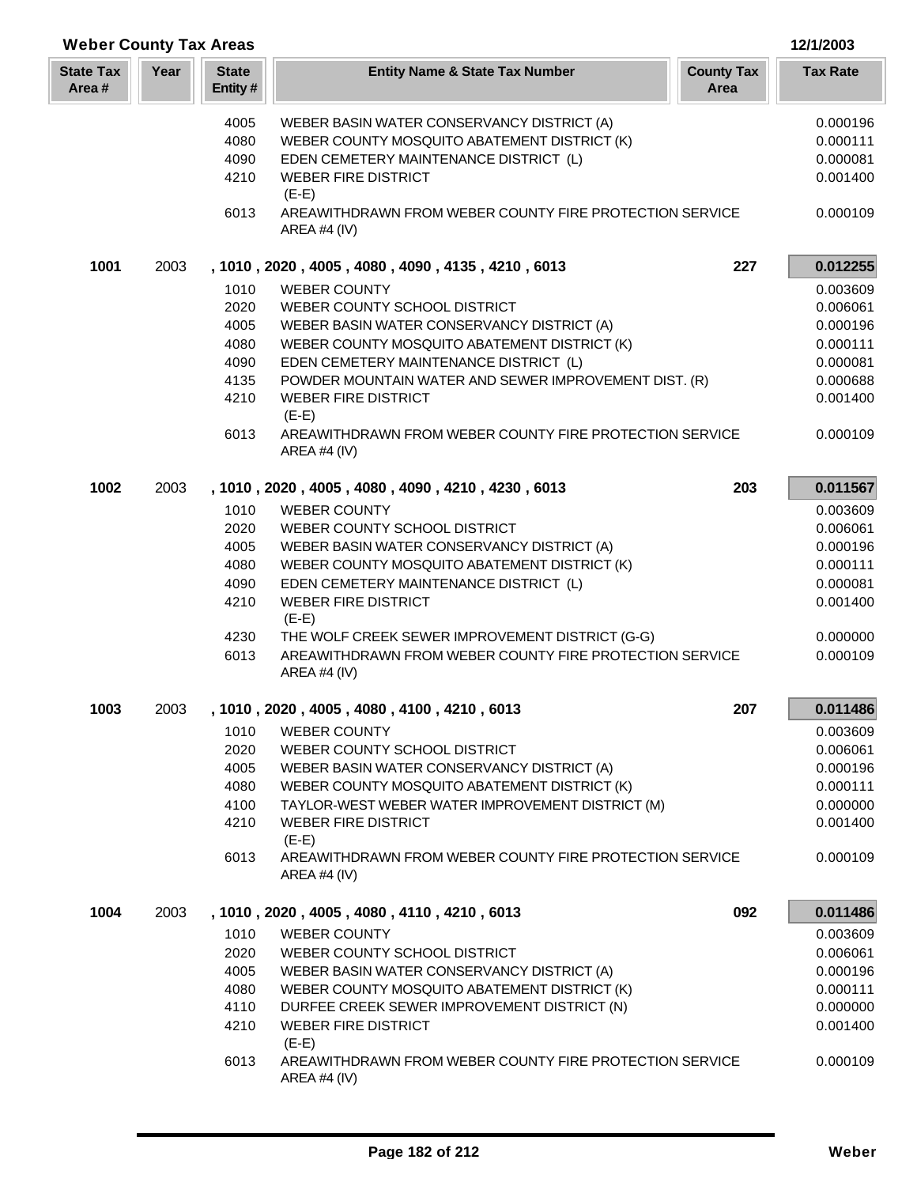| <b>Weber County Tax Areas</b> |      |                         |                                                                           |                           | 12/1/2003            |
|-------------------------------|------|-------------------------|---------------------------------------------------------------------------|---------------------------|----------------------|
| <b>State Tax</b><br>Area#     | Year | <b>State</b><br>Entity# | <b>Entity Name &amp; State Tax Number</b>                                 | <b>County Tax</b><br>Area | <b>Tax Rate</b>      |
|                               |      | 4005                    | WEBER BASIN WATER CONSERVANCY DISTRICT (A)                                |                           | 0.000196             |
|                               |      | 4080                    | WEBER COUNTY MOSQUITO ABATEMENT DISTRICT (K)                              |                           | 0.000111             |
|                               |      | 4090                    | EDEN CEMETERY MAINTENANCE DISTRICT (L)                                    |                           | 0.000081             |
|                               |      | 4210                    | <b>WEBER FIRE DISTRICT</b>                                                |                           | 0.001400             |
|                               |      |                         | $(E-E)$                                                                   |                           |                      |
|                               |      | 6013                    | AREAWITHDRAWN FROM WEBER COUNTY FIRE PROTECTION SERVICE<br>AREA #4 (IV)   |                           | 0.000109             |
| 1001                          | 2003 |                         | , 1010, 2020, 4005, 4080, 4090, 4135, 4210, 6013                          | 227                       | 0.012255             |
|                               |      | 1010                    | <b>WEBER COUNTY</b>                                                       |                           | 0.003609             |
|                               |      | 2020                    | WEBER COUNTY SCHOOL DISTRICT                                              |                           | 0.006061             |
|                               |      | 4005                    | WEBER BASIN WATER CONSERVANCY DISTRICT (A)                                |                           | 0.000196             |
|                               |      | 4080                    | WEBER COUNTY MOSQUITO ABATEMENT DISTRICT (K)                              |                           | 0.000111             |
|                               |      | 4090                    | EDEN CEMETERY MAINTENANCE DISTRICT (L)                                    |                           | 0.000081             |
|                               |      | 4135                    | POWDER MOUNTAIN WATER AND SEWER IMPROVEMENT DIST. (R)                     |                           | 0.000688             |
|                               |      | 4210                    | <b>WEBER FIRE DISTRICT</b><br>$(E-E)$                                     |                           | 0.001400             |
|                               |      | 6013                    | AREAWITHDRAWN FROM WEBER COUNTY FIRE PROTECTION SERVICE<br>AREA #4 (IV)   |                           | 0.000109             |
| 1002                          | 2003 |                         | , 1010, 2020, 4005, 4080, 4090, 4210, 4230, 6013                          | 203                       | 0.011567             |
|                               |      | 1010                    | <b>WEBER COUNTY</b>                                                       |                           | 0.003609             |
|                               |      | 2020                    | WEBER COUNTY SCHOOL DISTRICT                                              |                           | 0.006061             |
|                               |      | 4005                    | WEBER BASIN WATER CONSERVANCY DISTRICT (A)                                |                           | 0.000196             |
|                               |      | 4080                    | WEBER COUNTY MOSQUITO ABATEMENT DISTRICT (K)                              |                           | 0.000111             |
|                               |      | 4090                    | EDEN CEMETERY MAINTENANCE DISTRICT (L)                                    |                           | 0.000081             |
|                               |      | 4210                    | <b>WEBER FIRE DISTRICT</b><br>$(E-E)$                                     |                           | 0.001400             |
|                               |      | 4230                    | THE WOLF CREEK SEWER IMPROVEMENT DISTRICT (G-G)                           |                           | 0.000000             |
|                               |      | 6013                    | AREAWITHDRAWN FROM WEBER COUNTY FIRE PROTECTION SERVICE<br>AREA #4 (IV)   |                           | 0.000109             |
| 1003                          | 2003 |                         | , 1010, 2020, 4005, 4080, 4100, 4210, 6013                                | 207                       | 0.011486             |
|                               |      | 1010                    | <b>WEBER COUNTY</b>                                                       |                           | 0.003609             |
|                               |      | 2020                    | WEBER COUNTY SCHOOL DISTRICT                                              |                           | 0.006061             |
|                               |      | 4005                    | WEBER BASIN WATER CONSERVANCY DISTRICT (A)                                |                           | 0.000196             |
|                               |      | 4080                    | WEBER COUNTY MOSQUITO ABATEMENT DISTRICT (K)                              |                           | 0.000111             |
|                               |      | 4100                    | TAYLOR-WEST WEBER WATER IMPROVEMENT DISTRICT (M)                          |                           | 0.000000             |
|                               |      | 4210                    | <b>WEBER FIRE DISTRICT</b><br>$(E-E)$                                     |                           | 0.001400             |
|                               |      | 6013                    | AREAWITHDRAWN FROM WEBER COUNTY FIRE PROTECTION SERVICE<br>AREA #4 (IV)   |                           | 0.000109             |
| 1004                          | 2003 |                         | , 1010, 2020, 4005, 4080, 4110, 4210, 6013                                | 092                       | 0.011486             |
|                               |      | 1010                    | <b>WEBER COUNTY</b>                                                       |                           |                      |
|                               |      | 2020                    | WEBER COUNTY SCHOOL DISTRICT                                              |                           | 0.003609<br>0.006061 |
|                               |      | 4005                    | WEBER BASIN WATER CONSERVANCY DISTRICT (A)                                |                           | 0.000196             |
|                               |      | 4080                    | WEBER COUNTY MOSQUITO ABATEMENT DISTRICT (K)                              |                           | 0.000111             |
|                               |      | 4110                    | DURFEE CREEK SEWER IMPROVEMENT DISTRICT (N)                               |                           | 0.000000             |
|                               |      | 4210                    | <b>WEBER FIRE DISTRICT</b>                                                |                           | 0.001400             |
|                               |      |                         | $(E-E)$                                                                   |                           |                      |
|                               |      | 6013                    | AREAWITHDRAWN FROM WEBER COUNTY FIRE PROTECTION SERVICE<br>AREA #4 $(IV)$ |                           | 0.000109             |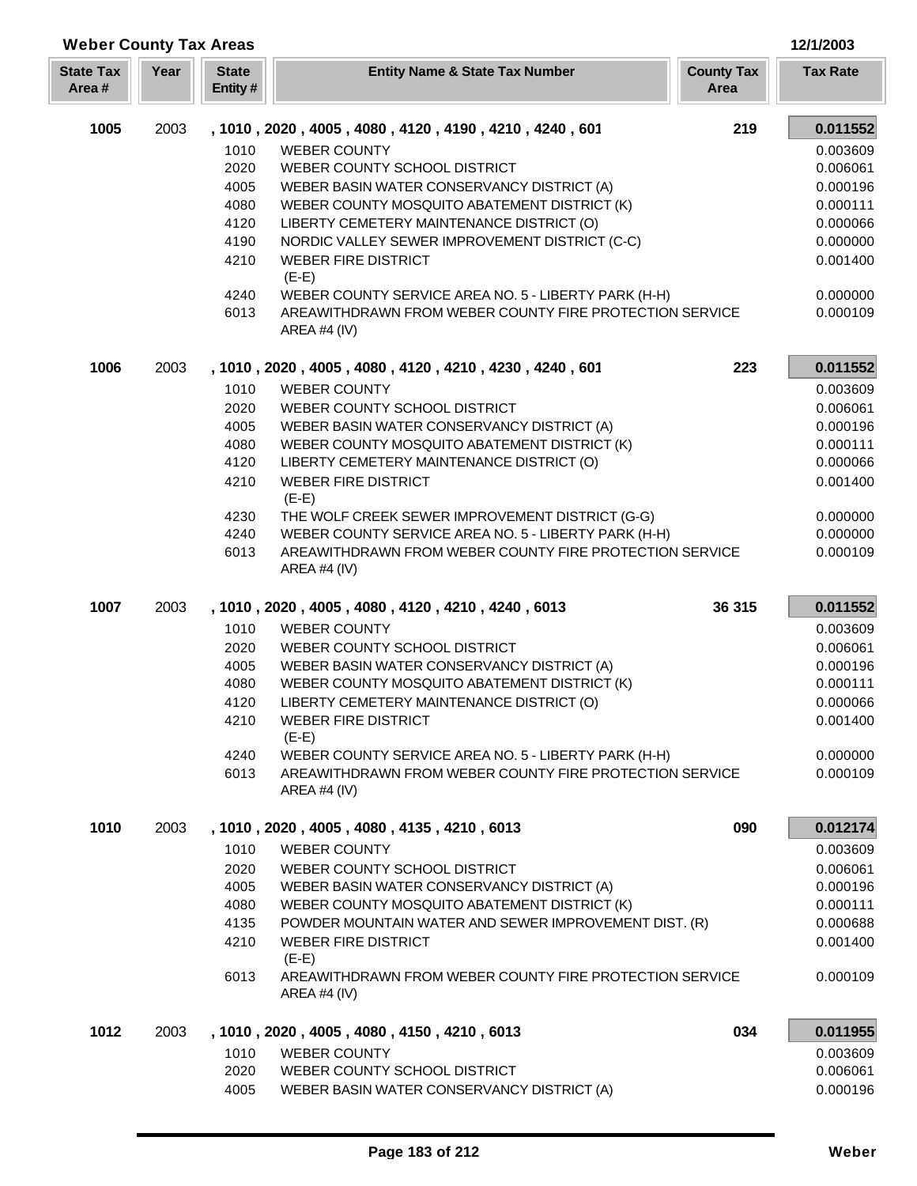| <b>Weber County Tax Areas</b> |      |                         |                                                                                                                 |                           | 12/1/2003            |
|-------------------------------|------|-------------------------|-----------------------------------------------------------------------------------------------------------------|---------------------------|----------------------|
| <b>State Tax</b><br>Area#     | Year | <b>State</b><br>Entity# | <b>Entity Name &amp; State Tax Number</b>                                                                       | <b>County Tax</b><br>Area | <b>Tax Rate</b>      |
| 1005                          | 2003 |                         | , 1010, 2020, 4005, 4080, 4120, 4190, 4210, 4240, 601                                                           | 219                       | 0.011552             |
|                               |      | 1010                    | <b>WEBER COUNTY</b>                                                                                             |                           | 0.003609             |
|                               |      | 2020                    | WEBER COUNTY SCHOOL DISTRICT                                                                                    |                           | 0.006061             |
|                               |      | 4005                    | WEBER BASIN WATER CONSERVANCY DISTRICT (A)                                                                      |                           | 0.000196             |
|                               |      | 4080                    | WEBER COUNTY MOSQUITO ABATEMENT DISTRICT (K)                                                                    |                           | 0.000111             |
|                               |      | 4120<br>4190            | LIBERTY CEMETERY MAINTENANCE DISTRICT (O)<br>NORDIC VALLEY SEWER IMPROVEMENT DISTRICT (C-C)                     |                           | 0.000066<br>0.000000 |
|                               |      | 4210                    | <b>WEBER FIRE DISTRICT</b><br>$(E-E)$                                                                           |                           | 0.001400             |
|                               |      | 4240                    | WEBER COUNTY SERVICE AREA NO. 5 - LIBERTY PARK (H-H)                                                            |                           | 0.000000             |
|                               |      | 6013                    | AREAWITHDRAWN FROM WEBER COUNTY FIRE PROTECTION SERVICE<br>AREA #4 $(IV)$                                       |                           | 0.000109             |
| 1006                          | 2003 |                         | , 1010, 2020, 4005, 4080, 4120, 4210, 4230, 4240, 601                                                           | 223                       | 0.011552             |
|                               |      | 1010                    | <b>WEBER COUNTY</b>                                                                                             |                           | 0.003609             |
|                               |      | 2020                    | WEBER COUNTY SCHOOL DISTRICT                                                                                    |                           | 0.006061             |
|                               |      | 4005                    | WEBER BASIN WATER CONSERVANCY DISTRICT (A)                                                                      |                           | 0.000196             |
|                               |      | 4080<br>4120            | WEBER COUNTY MOSQUITO ABATEMENT DISTRICT (K)                                                                    |                           | 0.000111             |
|                               |      | 4210                    | LIBERTY CEMETERY MAINTENANCE DISTRICT (O)<br><b>WEBER FIRE DISTRICT</b>                                         |                           | 0.000066<br>0.001400 |
|                               |      |                         | $(E-E)$                                                                                                         |                           |                      |
|                               |      | 4230                    | THE WOLF CREEK SEWER IMPROVEMENT DISTRICT (G-G)                                                                 |                           | 0.000000             |
|                               |      | 4240                    | WEBER COUNTY SERVICE AREA NO. 5 - LIBERTY PARK (H-H)                                                            |                           | 0.000000             |
|                               |      | 6013                    | AREAWITHDRAWN FROM WEBER COUNTY FIRE PROTECTION SERVICE<br>AREA #4 (IV)                                         |                           | 0.000109             |
| 1007                          | 2003 |                         | , 1010, 2020, 4005, 4080, 4120, 4210, 4240, 6013                                                                | 36 315                    | 0.011552             |
|                               |      | 1010                    | <b>WEBER COUNTY</b>                                                                                             |                           | 0.003609             |
|                               |      | 2020                    | WEBER COUNTY SCHOOL DISTRICT                                                                                    |                           | 0.006061             |
|                               |      | 4005                    | WEBER BASIN WATER CONSERVANCY DISTRICT (A)                                                                      |                           | 0.000196             |
|                               |      | 4080                    | WEBER COUNTY MOSQUITO ABATEMENT DISTRICT (K)                                                                    |                           | 0.000111             |
|                               |      | 4120                    | LIBERTY CEMETERY MAINTENANCE DISTRICT (O)                                                                       |                           | 0.000066             |
|                               |      | 4210                    | <b>WEBER FIRE DISTRICT</b><br>$(E-E)$                                                                           |                           | 0.001400             |
|                               |      | 4240                    | WEBER COUNTY SERVICE AREA NO. 5 - LIBERTY PARK (H-H)<br>AREAWITHDRAWN FROM WEBER COUNTY FIRE PROTECTION SERVICE |                           | 0.000000             |
|                               |      | 6013                    | AREA #4 (IV)                                                                                                    |                           | 0.000109             |
| 1010                          | 2003 |                         | , 1010, 2020, 4005, 4080, 4135, 4210, 6013                                                                      | 090                       | 0.012174             |
|                               |      | 1010                    | <b>WEBER COUNTY</b>                                                                                             |                           | 0.003609             |
|                               |      | 2020                    | WEBER COUNTY SCHOOL DISTRICT                                                                                    |                           | 0.006061             |
|                               |      | 4005                    | WEBER BASIN WATER CONSERVANCY DISTRICT (A)                                                                      |                           | 0.000196             |
|                               |      | 4080                    | WEBER COUNTY MOSQUITO ABATEMENT DISTRICT (K)                                                                    |                           | 0.000111             |
|                               |      | 4135                    | POWDER MOUNTAIN WATER AND SEWER IMPROVEMENT DIST. (R)                                                           |                           | 0.000688             |
|                               |      | 4210                    | <b>WEBER FIRE DISTRICT</b><br>$(E-E)$                                                                           |                           | 0.001400             |
|                               |      | 6013                    | AREAWITHDRAWN FROM WEBER COUNTY FIRE PROTECTION SERVICE<br>AREA #4 $(IV)$                                       |                           | 0.000109             |
| 1012                          | 2003 |                         | , 1010, 2020, 4005, 4080, 4150, 4210, 6013                                                                      | 034                       | 0.011955             |
|                               |      | 1010                    | <b>WEBER COUNTY</b>                                                                                             |                           | 0.003609             |
|                               |      | 2020                    | WEBER COUNTY SCHOOL DISTRICT                                                                                    |                           | 0.006061             |
|                               |      | 4005                    | WEBER BASIN WATER CONSERVANCY DISTRICT (A)                                                                      |                           | 0.000196             |

Г ı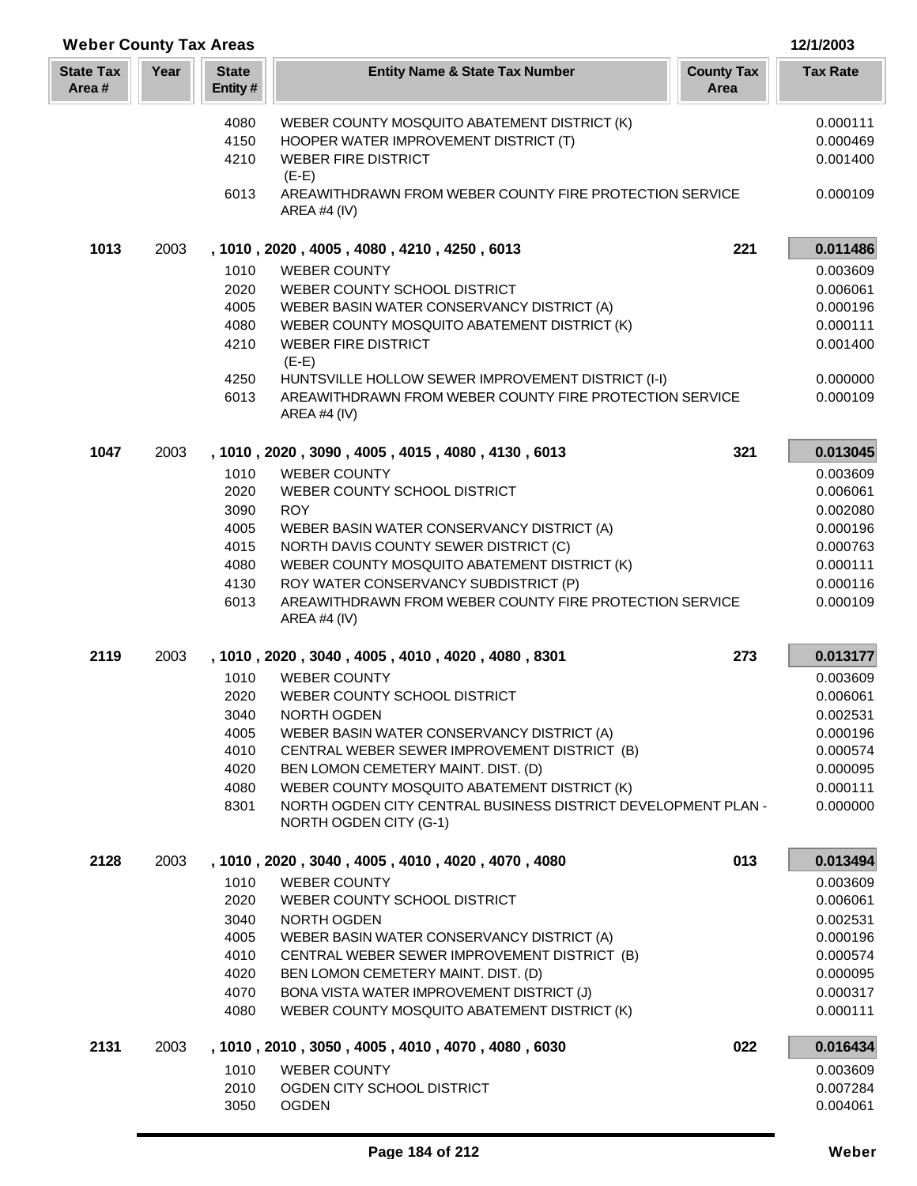| <b>Weber County Tax Areas</b> |      |                          |                                                                                                               | 12/1/2003                 |                      |
|-------------------------------|------|--------------------------|---------------------------------------------------------------------------------------------------------------|---------------------------|----------------------|
| <b>State Tax</b><br>Area#     | Year | <b>State</b><br>Entity # | <b>Entity Name &amp; State Tax Number</b>                                                                     | <b>County Tax</b><br>Area | <b>Tax Rate</b>      |
|                               |      | 4080                     | WEBER COUNTY MOSQUITO ABATEMENT DISTRICT (K)                                                                  |                           | 0.000111             |
|                               |      | 4150                     | HOOPER WATER IMPROVEMENT DISTRICT (T)                                                                         |                           | 0.000469             |
|                               |      | 4210                     | <b>WEBER FIRE DISTRICT</b>                                                                                    |                           | 0.001400             |
|                               |      | 6013                     | $(E-E)$<br>AREAWITHDRAWN FROM WEBER COUNTY FIRE PROTECTION SERVICE<br>AREA #4 $(IV)$                          |                           | 0.000109             |
| 1013                          | 2003 |                          | , 1010, 2020, 4005, 4080, 4210, 4250, 6013                                                                    | 221                       | 0.011486             |
|                               |      | 1010                     | <b>WEBER COUNTY</b>                                                                                           |                           | 0.003609             |
|                               |      | 2020                     | WEBER COUNTY SCHOOL DISTRICT                                                                                  |                           | 0.006061             |
|                               |      | 4005                     | WEBER BASIN WATER CONSERVANCY DISTRICT (A)                                                                    |                           | 0.000196             |
|                               |      | 4080                     | WEBER COUNTY MOSQUITO ABATEMENT DISTRICT (K)                                                                  |                           | 0.000111             |
|                               |      | 4210                     | <b>WEBER FIRE DISTRICT</b><br>$(E-E)$                                                                         |                           | 0.001400             |
|                               |      | 4250                     | HUNTSVILLE HOLLOW SEWER IMPROVEMENT DISTRICT (I-I)                                                            |                           | 0.000000             |
|                               |      | 6013                     | AREAWITHDRAWN FROM WEBER COUNTY FIRE PROTECTION SERVICE<br>AREA #4 $(IV)$                                     |                           | 0.000109             |
| 1047                          | 2003 |                          | , 1010, 2020, 3090, 4005, 4015, 4080, 4130, 6013                                                              | 321                       | 0.013045             |
|                               |      | 1010                     | <b>WEBER COUNTY</b>                                                                                           |                           | 0.003609             |
|                               |      | 2020                     | WEBER COUNTY SCHOOL DISTRICT                                                                                  |                           | 0.006061             |
|                               |      | 3090                     | <b>ROY</b>                                                                                                    |                           | 0.002080             |
|                               |      | 4005<br>4015             | WEBER BASIN WATER CONSERVANCY DISTRICT (A)<br>NORTH DAVIS COUNTY SEWER DISTRICT (C)                           |                           | 0.000196<br>0.000763 |
|                               |      | 4080                     | WEBER COUNTY MOSQUITO ABATEMENT DISTRICT (K)                                                                  |                           | 0.000111             |
|                               |      | 4130                     | ROY WATER CONSERVANCY SUBDISTRICT (P)                                                                         |                           | 0.000116             |
|                               |      | 6013                     | AREAWITHDRAWN FROM WEBER COUNTY FIRE PROTECTION SERVICE<br>AREA #4 $(IV)$                                     |                           | 0.000109             |
| 2119                          | 2003 |                          | , 1010, 2020, 3040, 4005, 4010, 4020, 4080, 8301                                                              | 273                       | 0.013177             |
|                               |      | 1010                     | <b>WEBER COUNTY</b>                                                                                           |                           | 0.003609             |
|                               |      | 2020                     | WEBER COUNTY SCHOOL DISTRICT                                                                                  |                           | 0.006061             |
|                               |      | 3040                     | NORTH OGDEN                                                                                                   |                           | 0.002531             |
|                               |      | 4005                     | WEBER BASIN WATER CONSERVANCY DISTRICT (A)                                                                    |                           | 0.000196             |
|                               |      | 4010                     | CENTRAL WEBER SEWER IMPROVEMENT DISTRICT (B)                                                                  |                           | 0.000574             |
|                               |      | 4020                     | BEN LOMON CEMETERY MAINT. DIST. (D)                                                                           |                           | 0.000095             |
|                               |      | 4080<br>8301             | WEBER COUNTY MOSQUITO ABATEMENT DISTRICT (K)<br>NORTH OGDEN CITY CENTRAL BUSINESS DISTRICT DEVELOPMENT PLAN - |                           | 0.000111<br>0.000000 |
|                               |      |                          | NORTH OGDEN CITY (G-1)                                                                                        |                           |                      |
| 2128                          | 2003 |                          | , 1010, 2020, 3040, 4005, 4010, 4020, 4070, 4080                                                              | 013                       | 0.013494             |
|                               |      | 1010                     | <b>WEBER COUNTY</b>                                                                                           |                           | 0.003609             |
|                               |      | 2020                     | WEBER COUNTY SCHOOL DISTRICT                                                                                  |                           | 0.006061             |
|                               |      | 3040                     | NORTH OGDEN                                                                                                   |                           | 0.002531             |
|                               |      | 4005                     | WEBER BASIN WATER CONSERVANCY DISTRICT (A)                                                                    |                           | 0.000196             |
|                               |      | 4010                     | CENTRAL WEBER SEWER IMPROVEMENT DISTRICT (B)                                                                  |                           | 0.000574             |
|                               |      | 4020                     | BEN LOMON CEMETERY MAINT. DIST. (D)                                                                           |                           | 0.000095             |
|                               |      | 4070                     | BONA VISTA WATER IMPROVEMENT DISTRICT (J)                                                                     |                           | 0.000317             |
|                               |      | 4080                     | WEBER COUNTY MOSQUITO ABATEMENT DISTRICT (K)                                                                  |                           | 0.000111             |
| 2131                          | 2003 |                          | , 1010, 2010, 3050, 4005, 4010, 4070, 4080, 6030                                                              | 022                       | 0.016434             |
|                               |      | 1010                     | <b>WEBER COUNTY</b>                                                                                           |                           | 0.003609             |
|                               |      | 2010                     | OGDEN CITY SCHOOL DISTRICT                                                                                    |                           | 0.007284             |
|                               |      | 3050                     | <b>OGDEN</b>                                                                                                  |                           | 0.004061             |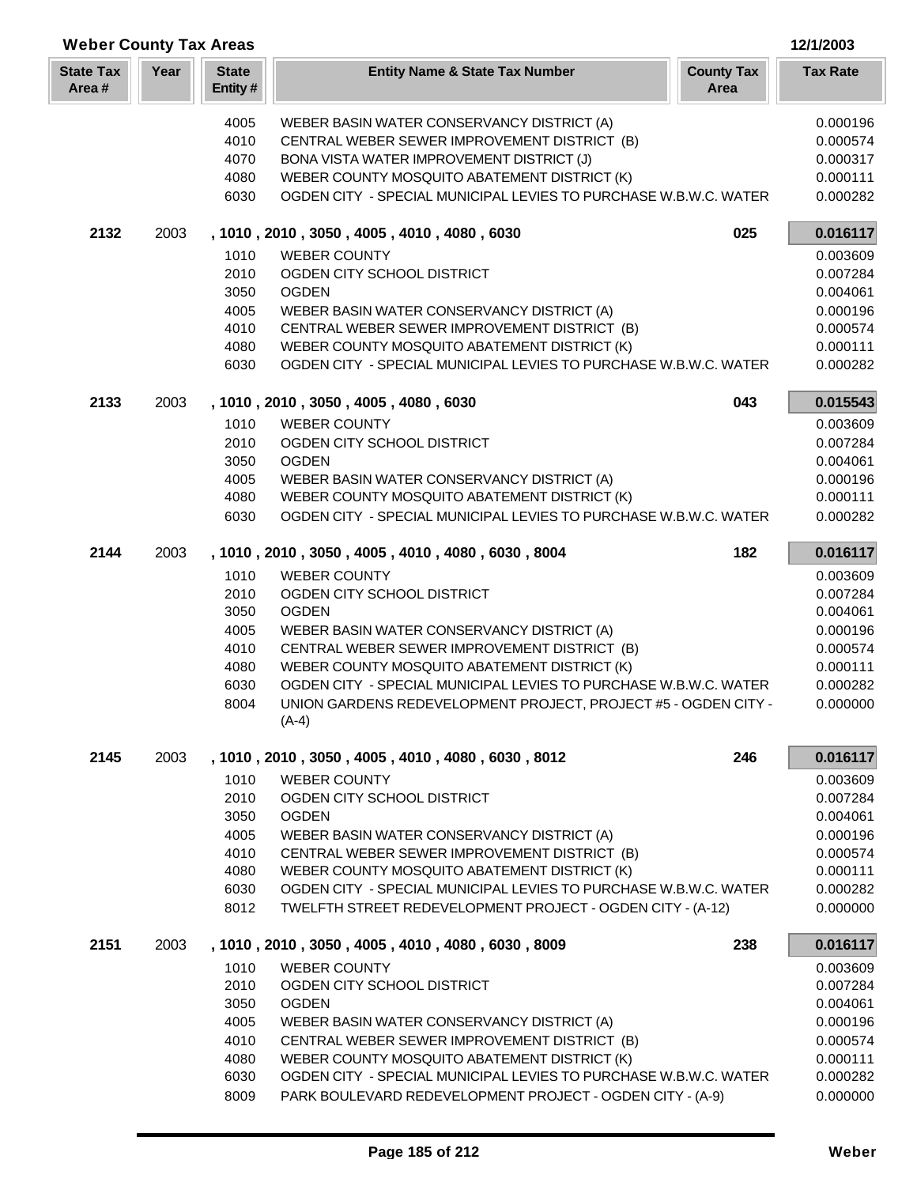| <b>Weber County Tax Areas</b> |      |                         |                                                                                                                  |                           | 12/1/2003            |
|-------------------------------|------|-------------------------|------------------------------------------------------------------------------------------------------------------|---------------------------|----------------------|
| <b>State Tax</b><br>Area#     | Year | <b>State</b><br>Entity# | <b>Entity Name &amp; State Tax Number</b>                                                                        | <b>County Tax</b><br>Area | <b>Tax Rate</b>      |
|                               |      | 4005                    | WEBER BASIN WATER CONSERVANCY DISTRICT (A)                                                                       |                           | 0.000196             |
|                               |      | 4010                    | CENTRAL WEBER SEWER IMPROVEMENT DISTRICT (B)                                                                     |                           | 0.000574             |
|                               |      | 4070                    | BONA VISTA WATER IMPROVEMENT DISTRICT (J)                                                                        |                           | 0.000317             |
|                               |      | 4080                    | WEBER COUNTY MOSQUITO ABATEMENT DISTRICT (K)                                                                     |                           | 0.000111             |
|                               |      | 6030                    | OGDEN CITY - SPECIAL MUNICIPAL LEVIES TO PURCHASE W.B.W.C. WATER                                                 |                           | 0.000282             |
| 2132                          | 2003 |                         | , 1010, 2010, 3050, 4005, 4010, 4080, 6030                                                                       | 025                       | 0.016117             |
|                               |      | 1010                    | <b>WEBER COUNTY</b>                                                                                              |                           | 0.003609             |
|                               |      | 2010                    | OGDEN CITY SCHOOL DISTRICT                                                                                       |                           | 0.007284             |
|                               |      | 3050                    | <b>OGDEN</b>                                                                                                     |                           | 0.004061             |
|                               |      | 4005                    | WEBER BASIN WATER CONSERVANCY DISTRICT (A)                                                                       |                           | 0.000196             |
|                               |      | 4010                    | CENTRAL WEBER SEWER IMPROVEMENT DISTRICT (B)                                                                     |                           | 0.000574             |
|                               |      | 4080<br>6030            | WEBER COUNTY MOSQUITO ABATEMENT DISTRICT (K)<br>OGDEN CITY - SPECIAL MUNICIPAL LEVIES TO PURCHASE W.B.W.C. WATER |                           | 0.000111<br>0.000282 |
| 2133                          | 2003 |                         | , 1010, 2010, 3050, 4005, 4080, 6030                                                                             | 043                       | 0.015543             |
|                               |      | 1010                    | <b>WEBER COUNTY</b>                                                                                              |                           | 0.003609             |
|                               |      | 2010                    | OGDEN CITY SCHOOL DISTRICT                                                                                       |                           | 0.007284             |
|                               |      | 3050                    | <b>OGDEN</b>                                                                                                     |                           | 0.004061             |
|                               |      | 4005                    | WEBER BASIN WATER CONSERVANCY DISTRICT (A)                                                                       |                           | 0.000196             |
|                               |      | 4080                    | WEBER COUNTY MOSQUITO ABATEMENT DISTRICT (K)                                                                     |                           | 0.000111             |
|                               |      | 6030                    | OGDEN CITY - SPECIAL MUNICIPAL LEVIES TO PURCHASE W.B.W.C. WATER                                                 |                           | 0.000282             |
| 2144                          | 2003 |                         | , 1010, 2010, 3050, 4005, 4010, 4080, 6030, 8004                                                                 | 182                       | 0.016117             |
|                               |      | 1010                    | <b>WEBER COUNTY</b>                                                                                              |                           | 0.003609             |
|                               |      | 2010                    | OGDEN CITY SCHOOL DISTRICT                                                                                       |                           | 0.007284             |
|                               |      | 3050                    | <b>OGDEN</b>                                                                                                     |                           | 0.004061             |
|                               |      | 4005                    | WEBER BASIN WATER CONSERVANCY DISTRICT (A)                                                                       |                           | 0.000196             |
|                               |      | 4010                    | CENTRAL WEBER SEWER IMPROVEMENT DISTRICT (B)                                                                     |                           | 0.000574             |
|                               |      | 4080                    | WEBER COUNTY MOSQUITO ABATEMENT DISTRICT (K)                                                                     |                           | 0.000111             |
|                               |      | 6030                    | OGDEN CITY - SPECIAL MUNICIPAL LEVIES TO PURCHASE W.B.W.C. WATER                                                 |                           | 0.000282             |
|                               |      | 8004                    | UNION GARDENS REDEVELOPMENT PROJECT, PROJECT #5 - OGDEN CITY -<br>$(A-4)$                                        |                           | 0.000000             |
| 2145                          | 2003 |                         | , 1010, 2010, 3050, 4005, 4010, 4080, 6030, 8012                                                                 | 246                       | 0.016117             |
|                               |      | 1010                    | <b>WEBER COUNTY</b>                                                                                              |                           | 0.003609             |
|                               |      | 2010                    | OGDEN CITY SCHOOL DISTRICT                                                                                       |                           | 0.007284             |
|                               |      | 3050                    | <b>OGDEN</b>                                                                                                     |                           | 0.004061             |
|                               |      | 4005                    | WEBER BASIN WATER CONSERVANCY DISTRICT (A)                                                                       |                           | 0.000196             |
|                               |      | 4010                    | CENTRAL WEBER SEWER IMPROVEMENT DISTRICT (B)                                                                     |                           | 0.000574             |
|                               |      | 4080                    | WEBER COUNTY MOSQUITO ABATEMENT DISTRICT (K)                                                                     |                           | 0.000111             |
|                               |      | 6030                    | OGDEN CITY - SPECIAL MUNICIPAL LEVIES TO PURCHASE W.B.W.C. WATER                                                 |                           | 0.000282             |
|                               |      | 8012                    | TWELFTH STREET REDEVELOPMENT PROJECT - OGDEN CITY - (A-12)                                                       |                           | 0.000000             |
| 2151                          | 2003 |                         | , 1010, 2010, 3050, 4005, 4010, 4080, 6030, 8009                                                                 | 238                       | 0.016117             |
|                               |      | 1010                    | <b>WEBER COUNTY</b>                                                                                              |                           | 0.003609             |
|                               |      | 2010                    | OGDEN CITY SCHOOL DISTRICT                                                                                       |                           | 0.007284             |
|                               |      | 3050                    | <b>OGDEN</b>                                                                                                     |                           | 0.004061             |
|                               |      | 4005                    | WEBER BASIN WATER CONSERVANCY DISTRICT (A)                                                                       |                           | 0.000196             |
|                               |      | 4010                    | CENTRAL WEBER SEWER IMPROVEMENT DISTRICT (B)                                                                     |                           | 0.000574             |
|                               |      | 4080                    | WEBER COUNTY MOSQUITO ABATEMENT DISTRICT (K)                                                                     |                           | 0.000111             |
|                               |      | 6030                    | OGDEN CITY - SPECIAL MUNICIPAL LEVIES TO PURCHASE W.B.W.C. WATER                                                 |                           | 0.000282             |
|                               |      | 8009                    | PARK BOULEVARD REDEVELOPMENT PROJECT - OGDEN CITY - (A-9)                                                        |                           | 0.000000             |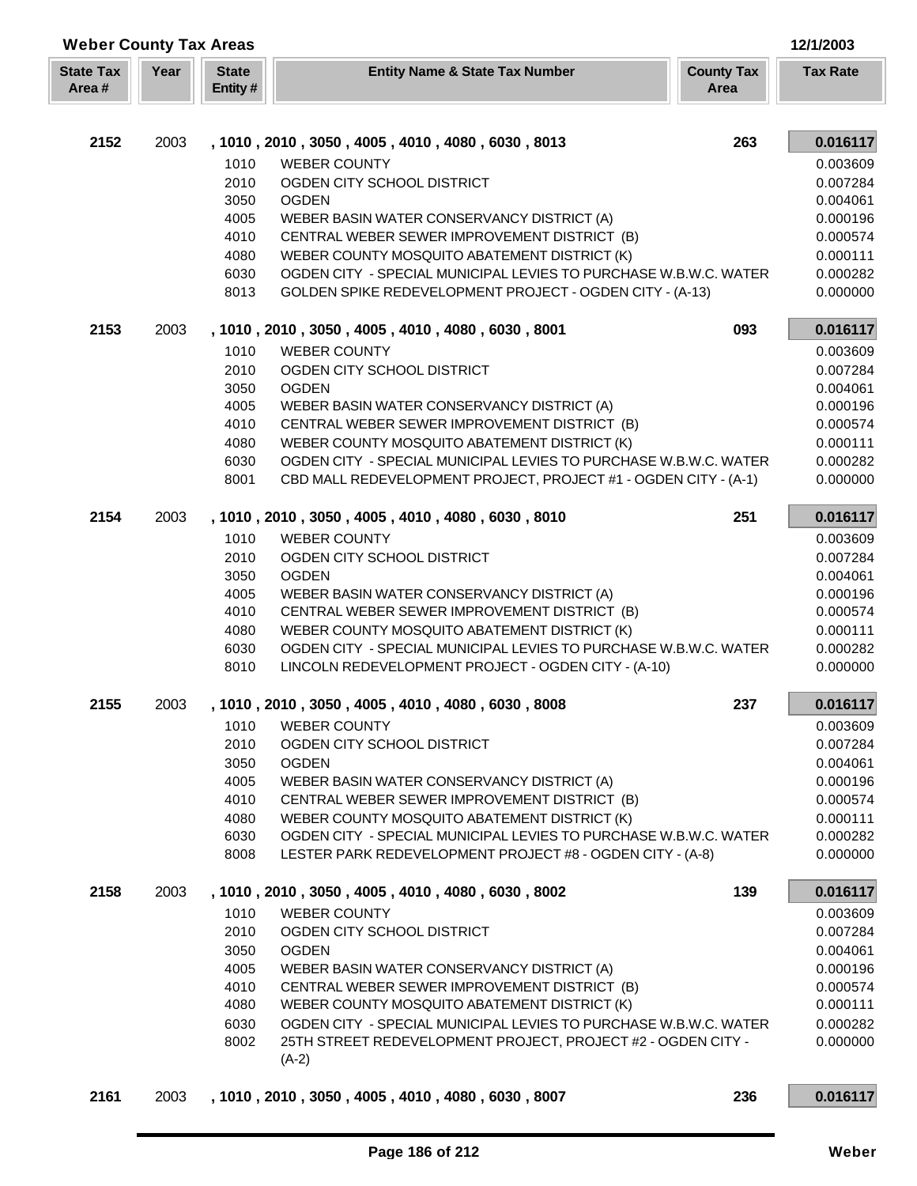| <b>Weber County Tax Areas</b> |      |                         |                                                                                                                  |                           | 12/1/2003            |
|-------------------------------|------|-------------------------|------------------------------------------------------------------------------------------------------------------|---------------------------|----------------------|
| <b>State Tax</b><br>Area#     | Year | <b>State</b><br>Entity# | <b>Entity Name &amp; State Tax Number</b>                                                                        | <b>County Tax</b><br>Area | <b>Tax Rate</b>      |
|                               |      |                         |                                                                                                                  |                           |                      |
| 2152                          | 2003 |                         | , 1010, 2010, 3050, 4005, 4010, 4080, 6030, 8013                                                                 | 263                       | 0.016117             |
|                               |      | 1010                    | <b>WEBER COUNTY</b>                                                                                              |                           | 0.003609             |
|                               |      | 2010                    | OGDEN CITY SCHOOL DISTRICT                                                                                       |                           | 0.007284             |
|                               |      | 3050                    | <b>OGDEN</b>                                                                                                     |                           | 0.004061             |
|                               |      | 4005                    | WEBER BASIN WATER CONSERVANCY DISTRICT (A)                                                                       |                           | 0.000196             |
|                               |      | 4010                    | CENTRAL WEBER SEWER IMPROVEMENT DISTRICT (B)                                                                     |                           | 0.000574             |
|                               |      | 4080<br>6030            | WEBER COUNTY MOSQUITO ABATEMENT DISTRICT (K)<br>OGDEN CITY - SPECIAL MUNICIPAL LEVIES TO PURCHASE W.B.W.C. WATER |                           | 0.000111<br>0.000282 |
|                               |      | 8013                    | GOLDEN SPIKE REDEVELOPMENT PROJECT - OGDEN CITY - (A-13)                                                         |                           | 0.000000             |
| 2153                          | 2003 |                         | , 1010, 2010, 3050, 4005, 4010, 4080, 6030, 8001                                                                 | 093                       | 0.016117             |
|                               |      | 1010                    | <b>WEBER COUNTY</b>                                                                                              |                           | 0.003609             |
|                               |      | 2010                    | OGDEN CITY SCHOOL DISTRICT                                                                                       |                           | 0.007284             |
|                               |      | 3050                    | <b>OGDEN</b>                                                                                                     |                           | 0.004061             |
|                               |      | 4005                    | WEBER BASIN WATER CONSERVANCY DISTRICT (A)                                                                       |                           | 0.000196             |
|                               |      | 4010                    | CENTRAL WEBER SEWER IMPROVEMENT DISTRICT (B)                                                                     |                           | 0.000574             |
|                               |      | 4080                    | WEBER COUNTY MOSQUITO ABATEMENT DISTRICT (K)                                                                     |                           | 0.000111             |
|                               |      | 6030                    | OGDEN CITY - SPECIAL MUNICIPAL LEVIES TO PURCHASE W.B.W.C. WATER                                                 |                           | 0.000282             |
|                               |      | 8001                    | CBD MALL REDEVELOPMENT PROJECT, PROJECT #1 - OGDEN CITY - (A-1)                                                  |                           | 0.000000             |
| 2154                          | 2003 |                         | , 1010, 2010, 3050, 4005, 4010, 4080, 6030, 8010                                                                 | 251                       | 0.016117             |
|                               |      | 1010                    | <b>WEBER COUNTY</b>                                                                                              |                           | 0.003609             |
|                               |      | 2010                    | OGDEN CITY SCHOOL DISTRICT                                                                                       |                           | 0.007284             |
|                               |      | 3050                    | <b>OGDEN</b>                                                                                                     |                           | 0.004061             |
|                               |      | 4005<br>4010            | WEBER BASIN WATER CONSERVANCY DISTRICT (A)<br>CENTRAL WEBER SEWER IMPROVEMENT DISTRICT (B)                       |                           | 0.000196<br>0.000574 |
|                               |      | 4080                    | WEBER COUNTY MOSQUITO ABATEMENT DISTRICT (K)                                                                     |                           | 0.000111             |
|                               |      | 6030                    | OGDEN CITY - SPECIAL MUNICIPAL LEVIES TO PURCHASE W.B.W.C. WATER                                                 |                           | 0.000282             |
|                               |      | 8010                    | LINCOLN REDEVELOPMENT PROJECT - OGDEN CITY - (A-10)                                                              |                           | 0.000000             |
| 2155                          | 2003 |                         | 1010, 2010, 3050, 4005, 4010, 4080, 6030, 8008                                                                   | 237                       | 0.016117             |
|                               |      | 1010                    | <b>WEBER COUNTY</b>                                                                                              |                           | 0.003609             |
|                               |      | 2010                    | OGDEN CITY SCHOOL DISTRICT                                                                                       |                           | 0.007284             |
|                               |      | 3050                    | <b>OGDEN</b>                                                                                                     |                           | 0.004061             |
|                               |      | 4005                    | WEBER BASIN WATER CONSERVANCY DISTRICT (A)                                                                       |                           | 0.000196             |
|                               |      | 4010                    | CENTRAL WEBER SEWER IMPROVEMENT DISTRICT (B)                                                                     |                           | 0.000574             |
|                               |      | 4080<br>6030            | WEBER COUNTY MOSQUITO ABATEMENT DISTRICT (K)<br>OGDEN CITY - SPECIAL MUNICIPAL LEVIES TO PURCHASE W.B.W.C. WATER |                           | 0.000111             |
|                               |      | 8008                    | LESTER PARK REDEVELOPMENT PROJECT #8 - OGDEN CITY - (A-8)                                                        |                           | 0.000282<br>0.000000 |
| 2158                          | 2003 |                         | , 1010, 2010, 3050, 4005, 4010, 4080, 6030, 8002                                                                 | 139                       | 0.016117             |
|                               |      | 1010                    | <b>WEBER COUNTY</b>                                                                                              |                           | 0.003609             |
|                               |      | 2010                    | OGDEN CITY SCHOOL DISTRICT                                                                                       |                           | 0.007284             |
|                               |      | 3050                    | <b>OGDEN</b>                                                                                                     |                           | 0.004061             |
|                               |      | 4005                    | WEBER BASIN WATER CONSERVANCY DISTRICT (A)                                                                       |                           | 0.000196             |
|                               |      | 4010                    | CENTRAL WEBER SEWER IMPROVEMENT DISTRICT (B)                                                                     |                           | 0.000574             |
|                               |      | 4080                    | WEBER COUNTY MOSQUITO ABATEMENT DISTRICT (K)                                                                     |                           | 0.000111             |
|                               |      | 6030                    | OGDEN CITY - SPECIAL MUNICIPAL LEVIES TO PURCHASE W.B.W.C. WATER                                                 |                           | 0.000282             |
|                               |      | 8002                    | 25TH STREET REDEVELOPMENT PROJECT, PROJECT #2 - OGDEN CITY -<br>$(A-2)$                                          |                           | 0.000000             |
| 2161                          | 2003 |                         | , 1010, 2010, 3050, 4005, 4010, 4080, 6030, 8007                                                                 | 236                       | 0.016117             |

Г L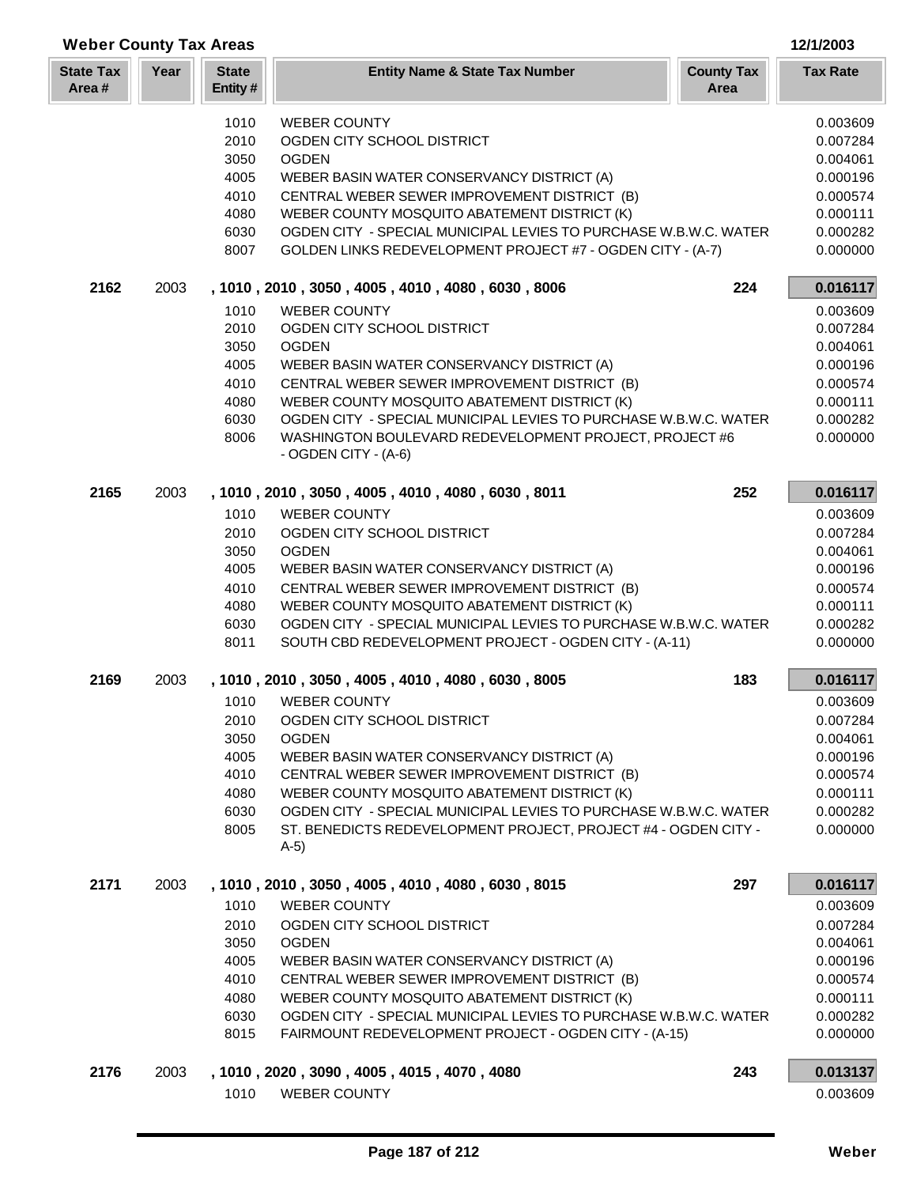| <b>Weber County Tax Areas</b> |      |                         |                                                                                |                           | 12/1/2003       |
|-------------------------------|------|-------------------------|--------------------------------------------------------------------------------|---------------------------|-----------------|
| <b>State Tax</b><br>Area#     | Year | <b>State</b><br>Entity# | <b>Entity Name &amp; State Tax Number</b>                                      | <b>County Tax</b><br>Area | <b>Tax Rate</b> |
|                               |      | 1010                    | <b>WEBER COUNTY</b>                                                            |                           | 0.003609        |
|                               |      | 2010                    | OGDEN CITY SCHOOL DISTRICT                                                     |                           | 0.007284        |
|                               |      | 3050                    | <b>OGDEN</b>                                                                   |                           | 0.004061        |
|                               |      | 4005                    | WEBER BASIN WATER CONSERVANCY DISTRICT (A)                                     |                           | 0.000196        |
|                               |      | 4010                    | CENTRAL WEBER SEWER IMPROVEMENT DISTRICT (B)                                   |                           | 0.000574        |
|                               |      | 4080                    | WEBER COUNTY MOSQUITO ABATEMENT DISTRICT (K)                                   |                           | 0.000111        |
|                               |      | 6030                    | OGDEN CITY - SPECIAL MUNICIPAL LEVIES TO PURCHASE W.B.W.C. WATER               |                           | 0.000282        |
|                               |      | 8007                    | GOLDEN LINKS REDEVELOPMENT PROJECT #7 - OGDEN CITY - (A-7)                     |                           | 0.000000        |
| 2162                          | 2003 |                         | , 1010, 2010, 3050, 4005, 4010, 4080, 6030, 8006                               | 224                       | 0.016117        |
|                               |      | 1010                    | <b>WEBER COUNTY</b>                                                            |                           | 0.003609        |
|                               |      | 2010                    | OGDEN CITY SCHOOL DISTRICT                                                     |                           | 0.007284        |
|                               |      | 3050                    | <b>OGDEN</b>                                                                   |                           | 0.004061        |
|                               |      | 4005                    | WEBER BASIN WATER CONSERVANCY DISTRICT (A)                                     |                           | 0.000196        |
|                               |      | 4010                    | CENTRAL WEBER SEWER IMPROVEMENT DISTRICT (B)                                   |                           | 0.000574        |
|                               |      | 4080                    | WEBER COUNTY MOSQUITO ABATEMENT DISTRICT (K)                                   |                           | 0.000111        |
|                               |      | 6030                    | OGDEN CITY - SPECIAL MUNICIPAL LEVIES TO PURCHASE W.B.W.C. WATER               |                           | 0.000282        |
|                               |      | 8006                    | WASHINGTON BOULEVARD REDEVELOPMENT PROJECT, PROJECT #6<br>- OGDEN CITY - (A-6) |                           | 0.000000        |
| 2165                          | 2003 |                         | , 1010, 2010, 3050, 4005, 4010, 4080, 6030, 8011                               | 252                       | 0.016117        |
|                               |      | 1010                    | <b>WEBER COUNTY</b>                                                            |                           | 0.003609        |
|                               |      | 2010                    | OGDEN CITY SCHOOL DISTRICT                                                     |                           | 0.007284        |
|                               |      | 3050                    | <b>OGDEN</b>                                                                   |                           | 0.004061        |
|                               |      | 4005                    | WEBER BASIN WATER CONSERVANCY DISTRICT (A)                                     |                           | 0.000196        |
|                               |      | 4010                    | CENTRAL WEBER SEWER IMPROVEMENT DISTRICT (B)                                   |                           | 0.000574        |
|                               |      | 4080                    | WEBER COUNTY MOSQUITO ABATEMENT DISTRICT (K)                                   |                           | 0.000111        |
|                               |      | 6030                    | OGDEN CITY - SPECIAL MUNICIPAL LEVIES TO PURCHASE W.B.W.C. WATER               |                           | 0.000282        |
|                               |      | 8011                    | SOUTH CBD REDEVELOPMENT PROJECT - OGDEN CITY - (A-11)                          |                           | 0.000000        |
| 2169                          | 2003 |                         | , 1010, 2010, 3050, 4005, 4010, 4080, 6030, 8005                               | 183                       | 0.016117        |
|                               |      | 1010                    | <b>WEBER COUNTY</b>                                                            |                           | 0.003609        |
|                               |      | 2010                    | OGDEN CITY SCHOOL DISTRICT                                                     |                           | 0.007284        |
|                               |      | 3050                    | <b>OGDEN</b>                                                                   |                           | 0.004061        |
|                               |      | 4005                    | WEBER BASIN WATER CONSERVANCY DISTRICT (A)                                     |                           | 0.000196        |
|                               |      | 4010                    | CENTRAL WEBER SEWER IMPROVEMENT DISTRICT (B)                                   |                           | 0.000574        |
|                               |      | 4080                    | WEBER COUNTY MOSQUITO ABATEMENT DISTRICT (K)                                   |                           | 0.000111        |
|                               |      | 6030                    | OGDEN CITY - SPECIAL MUNICIPAL LEVIES TO PURCHASE W.B.W.C. WATER               |                           | 0.000282        |
|                               |      | 8005                    | ST. BENEDICTS REDEVELOPMENT PROJECT, PROJECT #4 - OGDEN CITY -<br>$A-5)$       |                           | 0.000000        |
| 2171                          | 2003 |                         | , 1010, 2010, 3050, 4005, 4010, 4080, 6030, 8015                               | 297                       | 0.016117        |
|                               |      | 1010                    | <b>WEBER COUNTY</b>                                                            |                           | 0.003609        |
|                               |      | 2010                    | OGDEN CITY SCHOOL DISTRICT                                                     |                           | 0.007284        |
|                               |      | 3050                    | <b>OGDEN</b>                                                                   |                           | 0.004061        |
|                               |      | 4005                    | WEBER BASIN WATER CONSERVANCY DISTRICT (A)                                     |                           | 0.000196        |
|                               |      | 4010                    | CENTRAL WEBER SEWER IMPROVEMENT DISTRICT (B)                                   |                           | 0.000574        |
|                               |      | 4080                    | WEBER COUNTY MOSQUITO ABATEMENT DISTRICT (K)                                   |                           | 0.000111        |
|                               |      | 6030                    | OGDEN CITY - SPECIAL MUNICIPAL LEVIES TO PURCHASE W.B.W.C. WATER               |                           | 0.000282        |
|                               |      | 8015                    | FAIRMOUNT REDEVELOPMENT PROJECT - OGDEN CITY - (A-15)                          |                           | 0.000000        |
| 2176                          | 2003 |                         | , 1010, 2020, 3090, 4005, 4015, 4070, 4080                                     | 243                       | 0.013137        |
|                               |      | 1010                    | <b>WEBER COUNTY</b>                                                            |                           | 0.003609        |

Г L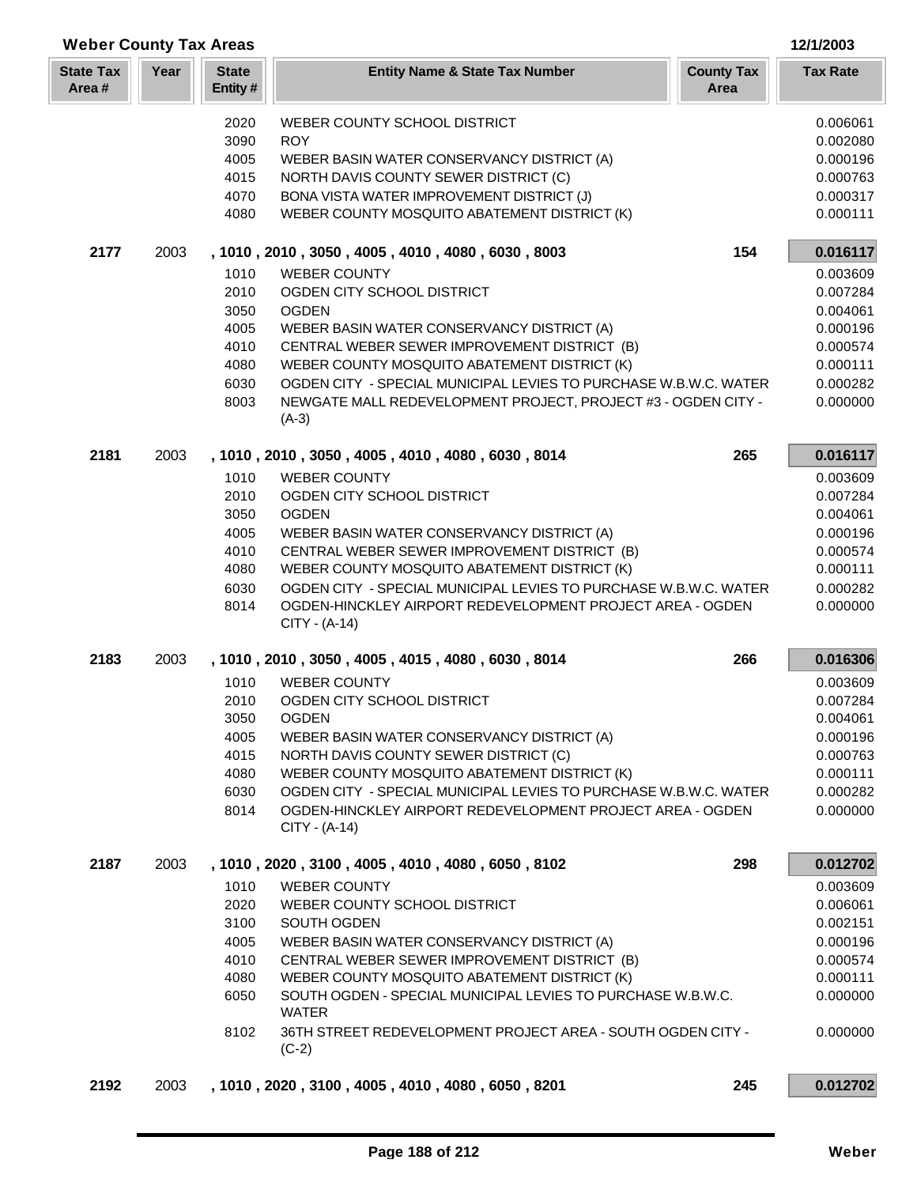| <b>Weber County Tax Areas</b> |      |                         |                                                                                                                                                | 12/1/2003                 |                      |
|-------------------------------|------|-------------------------|------------------------------------------------------------------------------------------------------------------------------------------------|---------------------------|----------------------|
| <b>State Tax</b><br>Area#     | Year | <b>State</b><br>Entity# | <b>Entity Name &amp; State Tax Number</b>                                                                                                      | <b>County Tax</b><br>Area | <b>Tax Rate</b>      |
|                               |      | 2020                    | WEBER COUNTY SCHOOL DISTRICT                                                                                                                   |                           | 0.006061             |
|                               |      | 3090                    | <b>ROY</b>                                                                                                                                     |                           | 0.002080             |
|                               |      | 4005                    | WEBER BASIN WATER CONSERVANCY DISTRICT (A)                                                                                                     |                           | 0.000196             |
|                               |      | 4015                    | NORTH DAVIS COUNTY SEWER DISTRICT (C)                                                                                                          |                           | 0.000763             |
|                               |      | 4070                    | BONA VISTA WATER IMPROVEMENT DISTRICT (J)                                                                                                      |                           | 0.000317             |
|                               |      | 4080                    | WEBER COUNTY MOSQUITO ABATEMENT DISTRICT (K)                                                                                                   |                           | 0.000111             |
| 2177                          | 2003 |                         | , 1010, 2010, 3050, 4005, 4010, 4080, 6030, 8003                                                                                               | 154                       | 0.016117             |
|                               |      | 1010                    | <b>WEBER COUNTY</b>                                                                                                                            |                           | 0.003609             |
|                               |      | 2010                    | OGDEN CITY SCHOOL DISTRICT                                                                                                                     |                           | 0.007284             |
|                               |      | 3050                    | <b>OGDEN</b>                                                                                                                                   |                           | 0.004061             |
|                               |      | 4005                    | WEBER BASIN WATER CONSERVANCY DISTRICT (A)                                                                                                     |                           | 0.000196             |
|                               |      | 4010                    | CENTRAL WEBER SEWER IMPROVEMENT DISTRICT (B)                                                                                                   |                           | 0.000574             |
|                               |      | 4080<br>6030            | WEBER COUNTY MOSQUITO ABATEMENT DISTRICT (K)<br>OGDEN CITY - SPECIAL MUNICIPAL LEVIES TO PURCHASE W.B.W.C. WATER                               |                           | 0.000111<br>0.000282 |
|                               |      | 8003                    | NEWGATE MALL REDEVELOPMENT PROJECT, PROJECT #3 - OGDEN CITY -                                                                                  |                           | 0.000000             |
|                               |      |                         | $(A-3)$                                                                                                                                        |                           |                      |
| 2181                          | 2003 |                         | , 1010, 2010, 3050, 4005, 4010, 4080, 6030, 8014                                                                                               | 265                       | 0.016117             |
|                               |      | 1010                    | <b>WEBER COUNTY</b>                                                                                                                            |                           | 0.003609             |
|                               |      | 2010                    | OGDEN CITY SCHOOL DISTRICT                                                                                                                     |                           | 0.007284             |
|                               |      | 3050                    | <b>OGDEN</b>                                                                                                                                   |                           | 0.004061             |
|                               |      | 4005                    | WEBER BASIN WATER CONSERVANCY DISTRICT (A)                                                                                                     |                           | 0.000196             |
|                               |      | 4010                    | CENTRAL WEBER SEWER IMPROVEMENT DISTRICT (B)                                                                                                   |                           | 0.000574             |
|                               |      | 4080                    | WEBER COUNTY MOSQUITO ABATEMENT DISTRICT (K)                                                                                                   |                           | 0.000111             |
|                               |      | 6030<br>8014            | OGDEN CITY - SPECIAL MUNICIPAL LEVIES TO PURCHASE W.B.W.C. WATER<br>OGDEN-HINCKLEY AIRPORT REDEVELOPMENT PROJECT AREA - OGDEN<br>CITY - (A-14) |                           | 0.000282<br>0.000000 |
| 2183                          | 2003 |                         | , 1010, 2010, 3050, 4005, 4015, 4080, 6030, 8014                                                                                               | 266                       | 0.016306             |
|                               |      | 1010                    | <b>WEBER COUNTY</b>                                                                                                                            |                           | 0.003609             |
|                               |      | 2010                    | OGDEN CITY SCHOOL DISTRICT                                                                                                                     |                           | 0.007284             |
|                               |      | 3050                    | <b>OGDEN</b>                                                                                                                                   |                           | 0.004061             |
|                               |      | 4005                    | WEBER BASIN WATER CONSERVANCY DISTRICT (A)                                                                                                     |                           | 0.000196             |
|                               |      | 4015                    | NORTH DAVIS COUNTY SEWER DISTRICT (C)                                                                                                          |                           | 0.000763             |
|                               |      | 4080<br>6030            | WEBER COUNTY MOSQUITO ABATEMENT DISTRICT (K)<br>OGDEN CITY - SPECIAL MUNICIPAL LEVIES TO PURCHASE W.B.W.C. WATER                               |                           | 0.000111<br>0.000282 |
|                               |      | 8014                    | OGDEN-HINCKLEY AIRPORT REDEVELOPMENT PROJECT AREA - OGDEN                                                                                      |                           | 0.000000             |
|                               |      |                         | CITY - (A-14)                                                                                                                                  |                           |                      |
| 2187                          | 2003 |                         | , 1010, 2020, 3100, 4005, 4010, 4080, 6050, 8102                                                                                               | 298                       | 0.012702             |
|                               |      | 1010                    | <b>WEBER COUNTY</b>                                                                                                                            |                           | 0.003609             |
|                               |      | 2020                    | WEBER COUNTY SCHOOL DISTRICT                                                                                                                   |                           | 0.006061             |
|                               |      | 3100                    | SOUTH OGDEN                                                                                                                                    |                           | 0.002151             |
|                               |      | 4005                    | WEBER BASIN WATER CONSERVANCY DISTRICT (A)                                                                                                     |                           | 0.000196             |
|                               |      | 4010                    | CENTRAL WEBER SEWER IMPROVEMENT DISTRICT (B)                                                                                                   |                           | 0.000574             |
|                               |      | 4080<br>6050            | WEBER COUNTY MOSQUITO ABATEMENT DISTRICT (K)<br>SOUTH OGDEN - SPECIAL MUNICIPAL LEVIES TO PURCHASE W.B.W.C.                                    |                           | 0.000111<br>0.000000 |
|                               |      |                         | <b>WATER</b>                                                                                                                                   |                           |                      |
|                               |      | 8102                    | 36TH STREET REDEVELOPMENT PROJECT AREA - SOUTH OGDEN CITY -<br>$(C-2)$                                                                         |                           | 0.000000             |
| 2192                          | 2003 |                         | , 1010, 2020, 3100, 4005, 4010, 4080, 6050, 8201                                                                                               | 245                       | 0.012702             |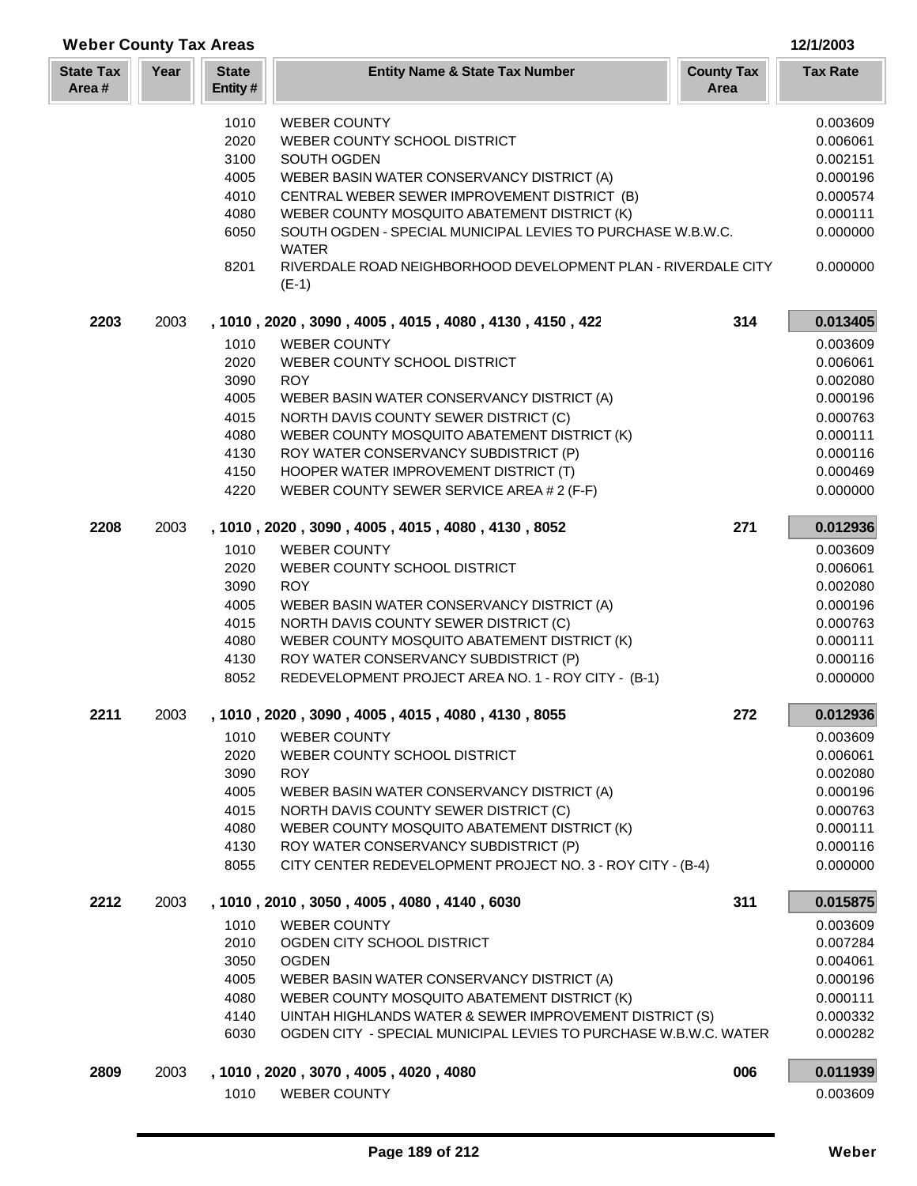| <b>Weber County Tax Areas</b> |      |                         |                                                                                              |                           | 12/1/2003            |
|-------------------------------|------|-------------------------|----------------------------------------------------------------------------------------------|---------------------------|----------------------|
| <b>State Tax</b><br>Area#     | Year | <b>State</b><br>Entity# | <b>Entity Name &amp; State Tax Number</b>                                                    | <b>County Tax</b><br>Area | <b>Tax Rate</b>      |
|                               |      | 1010                    | <b>WEBER COUNTY</b>                                                                          |                           | 0.003609             |
|                               |      | 2020                    | WEBER COUNTY SCHOOL DISTRICT                                                                 |                           | 0.006061             |
|                               |      | 3100                    | SOUTH OGDEN                                                                                  |                           | 0.002151             |
|                               |      | 4005                    | WEBER BASIN WATER CONSERVANCY DISTRICT (A)                                                   |                           | 0.000196             |
|                               |      | 4010                    | CENTRAL WEBER SEWER IMPROVEMENT DISTRICT (B)                                                 |                           | 0.000574             |
|                               |      | 4080                    | WEBER COUNTY MOSQUITO ABATEMENT DISTRICT (K)                                                 |                           | 0.000111             |
|                               |      | 6050                    | SOUTH OGDEN - SPECIAL MUNICIPAL LEVIES TO PURCHASE W.B.W.C.<br><b>WATER</b>                  |                           | 0.000000             |
|                               |      | 8201                    | RIVERDALE ROAD NEIGHBORHOOD DEVELOPMENT PLAN - RIVERDALE CITY<br>$(E-1)$                     |                           | 0.000000             |
| 2203                          | 2003 |                         | , 1010, 2020, 3090, 4005, 4015, 4080, 4130, 4150, 422                                        | 314                       | 0.013405             |
|                               |      | 1010                    | <b>WEBER COUNTY</b>                                                                          |                           | 0.003609             |
|                               |      | 2020                    | WEBER COUNTY SCHOOL DISTRICT                                                                 |                           | 0.006061             |
|                               |      | 3090                    | <b>ROY</b>                                                                                   |                           | 0.002080             |
|                               |      | 4005                    | WEBER BASIN WATER CONSERVANCY DISTRICT (A)                                                   |                           | 0.000196             |
|                               |      | 4015                    | NORTH DAVIS COUNTY SEWER DISTRICT (C)                                                        |                           | 0.000763             |
|                               |      | 4080                    | WEBER COUNTY MOSQUITO ABATEMENT DISTRICT (K)                                                 |                           | 0.000111             |
|                               |      | 4130                    | ROY WATER CONSERVANCY SUBDISTRICT (P)                                                        |                           | 0.000116             |
|                               |      | 4150                    | HOOPER WATER IMPROVEMENT DISTRICT (T)                                                        |                           | 0.000469             |
|                               |      | 4220                    | WEBER COUNTY SEWER SERVICE AREA # 2 (F-F)                                                    |                           | 0.000000             |
| 2208                          | 2003 |                         | , 1010, 2020, 3090, 4005, 4015, 4080, 4130, 8052                                             | 271                       | 0.012936             |
|                               |      | 1010                    | <b>WEBER COUNTY</b>                                                                          |                           | 0.003609             |
|                               |      | 2020                    | WEBER COUNTY SCHOOL DISTRICT                                                                 |                           | 0.006061             |
|                               |      | 3090                    | <b>ROY</b>                                                                                   |                           | 0.002080             |
|                               |      | 4005                    | WEBER BASIN WATER CONSERVANCY DISTRICT (A)                                                   |                           | 0.000196             |
|                               |      | 4015                    | NORTH DAVIS COUNTY SEWER DISTRICT (C)                                                        |                           | 0.000763             |
|                               |      | 4080                    | WEBER COUNTY MOSQUITO ABATEMENT DISTRICT (K)                                                 |                           | 0.000111             |
|                               |      | 4130<br>8052            | ROY WATER CONSERVANCY SUBDISTRICT (P)<br>REDEVELOPMENT PROJECT AREA NO. 1 - ROY CITY - (B-1) |                           | 0.000116<br>0.000000 |
|                               |      |                         |                                                                                              |                           |                      |
| 2211                          | 2003 | 1010                    | , 1010, 2020, 3090, 4005, 4015, 4080, 4130, 8055<br><b>WEBER COUNTY</b>                      | 272                       | 0.012936<br>0.003609 |
|                               |      | 2020                    | WEBER COUNTY SCHOOL DISTRICT                                                                 |                           | 0.006061             |
|                               |      | 3090                    | <b>ROY</b>                                                                                   |                           | 0.002080             |
|                               |      | 4005                    | WEBER BASIN WATER CONSERVANCY DISTRICT (A)                                                   |                           | 0.000196             |
|                               |      | 4015                    | NORTH DAVIS COUNTY SEWER DISTRICT (C)                                                        |                           | 0.000763             |
|                               |      | 4080                    | WEBER COUNTY MOSQUITO ABATEMENT DISTRICT (K)                                                 |                           | 0.000111             |
|                               |      | 4130                    | ROY WATER CONSERVANCY SUBDISTRICT (P)                                                        |                           | 0.000116             |
|                               |      | 8055                    | CITY CENTER REDEVELOPMENT PROJECT NO. 3 - ROY CITY - (B-4)                                   |                           | 0.000000             |
| 2212                          | 2003 |                         | , 1010, 2010, 3050, 4005, 4080, 4140, 6030                                                   | 311                       | 0.015875             |
|                               |      | 1010                    | <b>WEBER COUNTY</b>                                                                          |                           | 0.003609             |
|                               |      | 2010                    | OGDEN CITY SCHOOL DISTRICT                                                                   |                           | 0.007284             |
|                               |      | 3050                    | <b>OGDEN</b>                                                                                 |                           | 0.004061             |
|                               |      | 4005                    | WEBER BASIN WATER CONSERVANCY DISTRICT (A)                                                   |                           | 0.000196             |
|                               |      | 4080                    | WEBER COUNTY MOSQUITO ABATEMENT DISTRICT (K)                                                 |                           | 0.000111             |
|                               |      | 4140                    | UINTAH HIGHLANDS WATER & SEWER IMPROVEMENT DISTRICT (S)                                      |                           | 0.000332             |
|                               |      | 6030                    | OGDEN CITY - SPECIAL MUNICIPAL LEVIES TO PURCHASE W.B.W.C. WATER                             |                           | 0.000282             |
| 2809                          | 2003 |                         | , 1010, 2020, 3070, 4005, 4020, 4080                                                         | 006                       | 0.011939             |
|                               |      | 1010                    | <b>WEBER COUNTY</b>                                                                          |                           | 0.003609             |

μ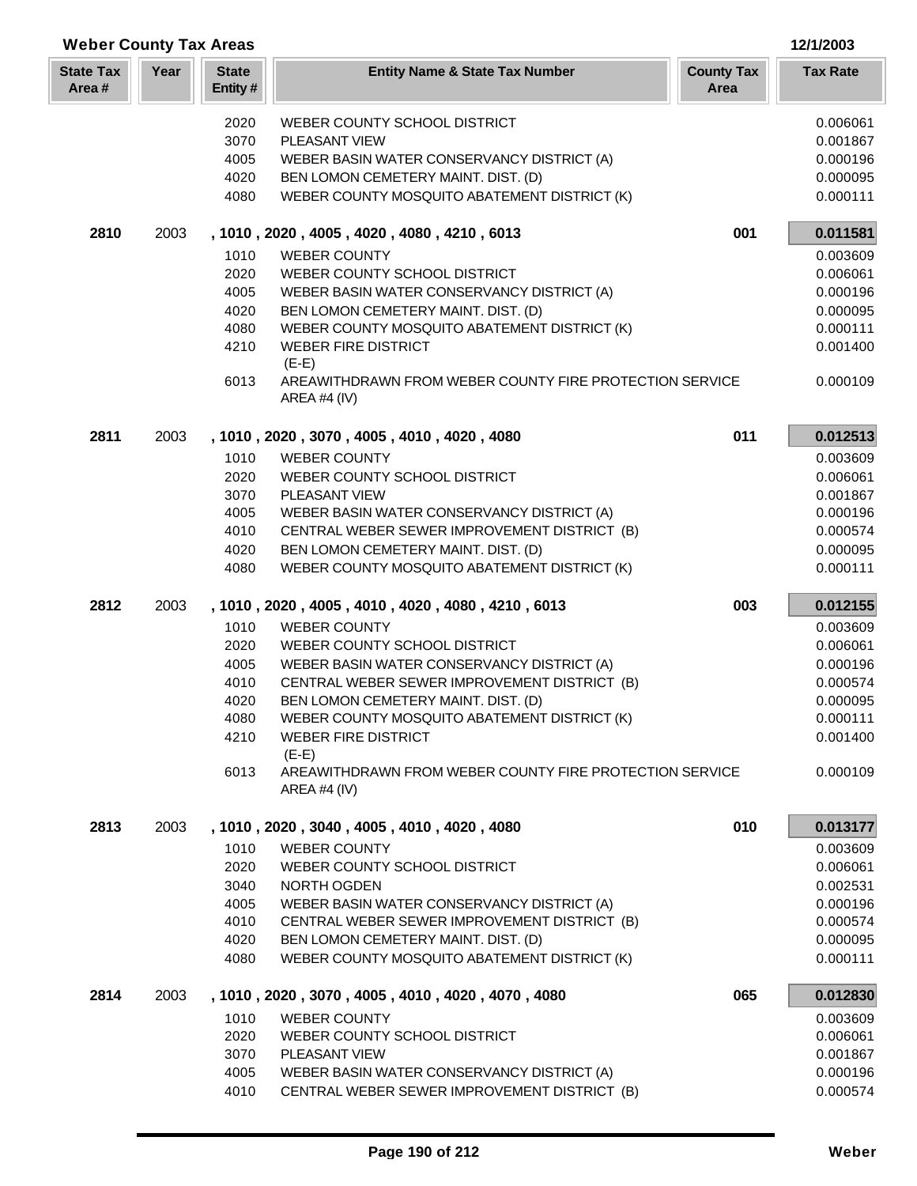| <b>Weber County Tax Areas</b> |      |                         |                                                                           | 12/1/2003                 |                      |
|-------------------------------|------|-------------------------|---------------------------------------------------------------------------|---------------------------|----------------------|
| <b>State Tax</b><br>Area#     | Year | <b>State</b><br>Entity# | <b>Entity Name &amp; State Tax Number</b>                                 | <b>County Tax</b><br>Area | <b>Tax Rate</b>      |
|                               |      | 2020                    | WEBER COUNTY SCHOOL DISTRICT                                              |                           | 0.006061             |
|                               |      | 3070                    | PLEASANT VIEW                                                             |                           | 0.001867             |
|                               |      | 4005                    | WEBER BASIN WATER CONSERVANCY DISTRICT (A)                                |                           | 0.000196             |
|                               |      | 4020                    | BEN LOMON CEMETERY MAINT. DIST. (D)                                       |                           | 0.000095             |
|                               |      | 4080                    | WEBER COUNTY MOSQUITO ABATEMENT DISTRICT (K)                              |                           | 0.000111             |
| 2810                          | 2003 |                         | , 1010, 2020, 4005, 4020, 4080, 4210, 6013                                | 001                       | 0.011581             |
|                               |      | 1010                    | <b>WEBER COUNTY</b>                                                       |                           | 0.003609             |
|                               |      | 2020                    | WEBER COUNTY SCHOOL DISTRICT                                              |                           | 0.006061             |
|                               |      | 4005                    | WEBER BASIN WATER CONSERVANCY DISTRICT (A)                                |                           | 0.000196             |
|                               |      | 4020                    | BEN LOMON CEMETERY MAINT. DIST. (D)                                       |                           | 0.000095             |
|                               |      | 4080                    | WEBER COUNTY MOSQUITO ABATEMENT DISTRICT (K)                              |                           | 0.000111             |
|                               |      | 4210                    | <b>WEBER FIRE DISTRICT</b><br>$(E-E)$                                     |                           | 0.001400             |
|                               |      | 6013                    | AREAWITHDRAWN FROM WEBER COUNTY FIRE PROTECTION SERVICE<br>AREA #4 $(IV)$ |                           | 0.000109             |
| 2811                          | 2003 |                         | , 1010, 2020, 3070, 4005, 4010, 4020, 4080                                | 011                       | 0.012513             |
|                               |      | 1010                    | <b>WEBER COUNTY</b>                                                       |                           | 0.003609             |
|                               |      | 2020                    | WEBER COUNTY SCHOOL DISTRICT                                              |                           | 0.006061             |
|                               |      | 3070                    | PLEASANT VIEW                                                             |                           | 0.001867             |
|                               |      | 4005                    | WEBER BASIN WATER CONSERVANCY DISTRICT (A)                                |                           | 0.000196             |
|                               |      | 4010                    | CENTRAL WEBER SEWER IMPROVEMENT DISTRICT (B)                              |                           | 0.000574             |
|                               |      | 4020                    | BEN LOMON CEMETERY MAINT. DIST. (D)                                       |                           | 0.000095             |
|                               |      | 4080                    | WEBER COUNTY MOSQUITO ABATEMENT DISTRICT (K)                              |                           | 0.000111             |
| 2812                          | 2003 |                         | , 1010, 2020, 4005, 4010, 4020, 4080, 4210, 6013                          | 003                       | 0.012155             |
|                               |      | 1010                    | <b>WEBER COUNTY</b>                                                       |                           | 0.003609             |
|                               |      | 2020                    | WEBER COUNTY SCHOOL DISTRICT                                              |                           | 0.006061             |
|                               |      | 4005                    | WEBER BASIN WATER CONSERVANCY DISTRICT (A)                                |                           | 0.000196             |
|                               |      | 4010                    | CENTRAL WEBER SEWER IMPROVEMENT DISTRICT (B)                              |                           | 0.000574             |
|                               |      | 4020                    | BEN LOMON CEMETERY MAINT. DIST. (D)                                       |                           | 0.000095             |
|                               |      | 4080                    | WEBER COUNTY MOSQUITO ABATEMENT DISTRICT (K)                              |                           | 0.000111             |
|                               |      | 4210                    | <b>WEBER FIRE DISTRICT</b><br>$(E-E)$                                     |                           | 0.001400             |
|                               |      | 6013                    | AREAWITHDRAWN FROM WEBER COUNTY FIRE PROTECTION SERVICE<br>AREA #4 $(IV)$ |                           | 0.000109             |
| 2813                          | 2003 |                         | , 1010, 2020, 3040, 4005, 4010, 4020, 4080                                | 010                       | 0.013177             |
|                               |      | 1010                    | <b>WEBER COUNTY</b>                                                       |                           | 0.003609             |
|                               |      | 2020                    | WEBER COUNTY SCHOOL DISTRICT                                              |                           | 0.006061             |
|                               |      | 3040                    | NORTH OGDEN                                                               |                           | 0.002531             |
|                               |      | 4005                    | WEBER BASIN WATER CONSERVANCY DISTRICT (A)                                |                           | 0.000196             |
|                               |      | 4010                    | CENTRAL WEBER SEWER IMPROVEMENT DISTRICT (B)                              |                           | 0.000574             |
|                               |      | 4020                    | BEN LOMON CEMETERY MAINT. DIST. (D)                                       |                           | 0.000095             |
|                               |      | 4080                    | WEBER COUNTY MOSQUITO ABATEMENT DISTRICT (K)                              |                           | 0.000111             |
| 2814                          | 2003 |                         | , 1010, 2020, 3070, 4005, 4010, 4020, 4070, 4080                          | 065                       | 0.012830             |
|                               |      | 1010                    | <b>WEBER COUNTY</b>                                                       |                           | 0.003609             |
|                               |      | 2020                    | WEBER COUNTY SCHOOL DISTRICT                                              |                           | 0.006061             |
|                               |      | 3070<br>4005            | PLEASANT VIEW<br>WEBER BASIN WATER CONSERVANCY DISTRICT (A)               |                           | 0.001867<br>0.000196 |
|                               |      | 4010                    | CENTRAL WEBER SEWER IMPROVEMENT DISTRICT (B)                              |                           | 0.000574             |
|                               |      |                         |                                                                           |                           |                      |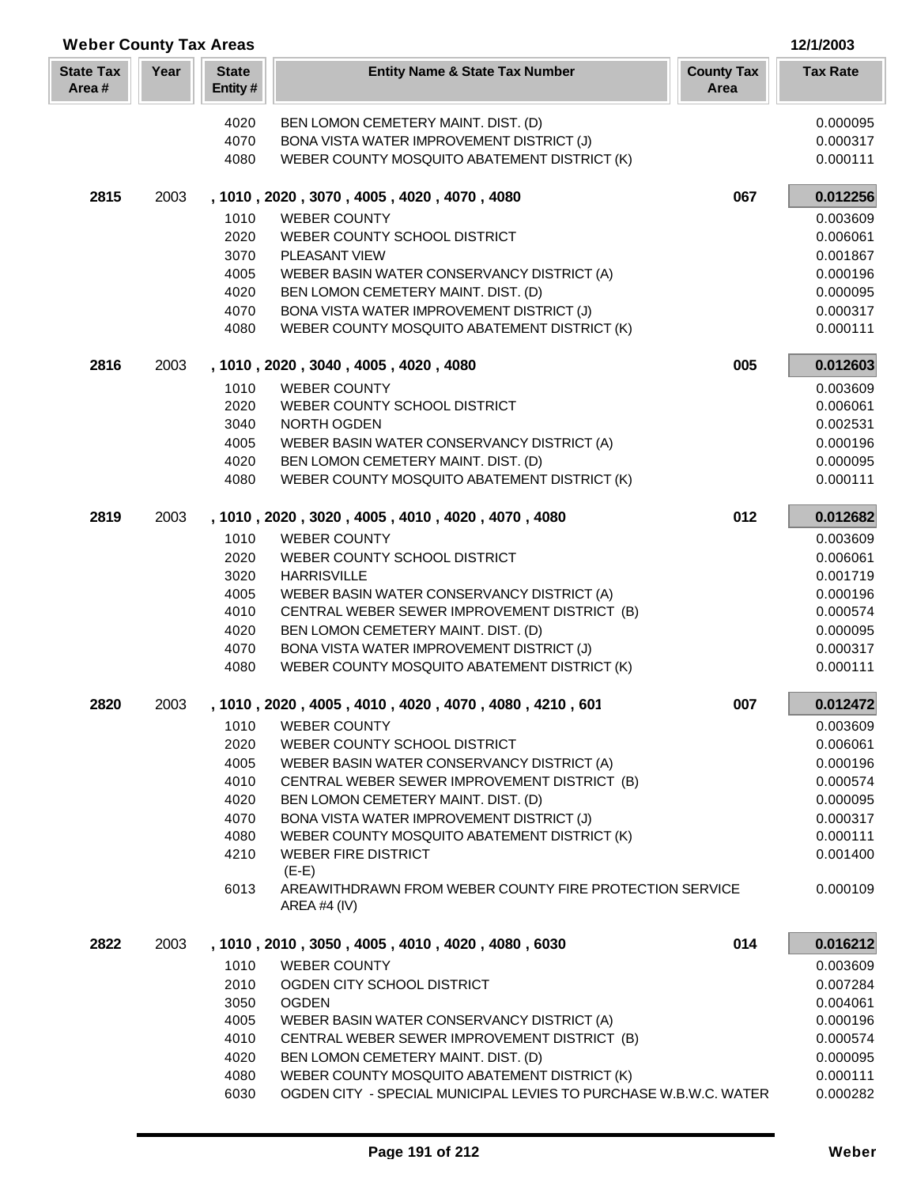| <b>Weber County Tax Areas</b> |      |                         | 12/1/2003                                                                                                        |                           |                      |
|-------------------------------|------|-------------------------|------------------------------------------------------------------------------------------------------------------|---------------------------|----------------------|
| <b>State Tax</b><br>Area#     | Year | <b>State</b><br>Entity# | <b>Entity Name &amp; State Tax Number</b>                                                                        | <b>County Tax</b><br>Area | <b>Tax Rate</b>      |
|                               |      | 4020                    | BEN LOMON CEMETERY MAINT. DIST. (D)                                                                              |                           | 0.000095             |
|                               |      | 4070                    | BONA VISTA WATER IMPROVEMENT DISTRICT (J)                                                                        |                           | 0.000317             |
|                               |      | 4080                    | WEBER COUNTY MOSQUITO ABATEMENT DISTRICT (K)                                                                     |                           | 0.000111             |
|                               |      |                         |                                                                                                                  |                           |                      |
| 2815                          | 2003 |                         | , 1010, 2020, 3070, 4005, 4020, 4070, 4080                                                                       | 067                       | 0.012256             |
|                               |      | 1010                    | <b>WEBER COUNTY</b>                                                                                              |                           | 0.003609             |
|                               |      | 2020                    | WEBER COUNTY SCHOOL DISTRICT                                                                                     |                           | 0.006061             |
|                               |      | 3070                    | <b>PLEASANT VIEW</b>                                                                                             |                           | 0.001867             |
|                               |      | 4005<br>4020            | WEBER BASIN WATER CONSERVANCY DISTRICT (A)<br>BEN LOMON CEMETERY MAINT. DIST. (D)                                |                           | 0.000196<br>0.000095 |
|                               |      |                         |                                                                                                                  |                           | 0.000317             |
|                               |      | 4070                    | BONA VISTA WATER IMPROVEMENT DISTRICT (J)                                                                        |                           |                      |
|                               |      | 4080                    | WEBER COUNTY MOSQUITO ABATEMENT DISTRICT (K)                                                                     |                           | 0.000111             |
| 2816                          | 2003 |                         | , 1010, 2020, 3040, 4005, 4020, 4080                                                                             | 005                       | 0.012603             |
|                               |      | 1010                    | <b>WEBER COUNTY</b>                                                                                              |                           | 0.003609             |
|                               |      | 2020                    | WEBER COUNTY SCHOOL DISTRICT                                                                                     |                           | 0.006061             |
|                               |      | 3040                    | NORTH OGDEN                                                                                                      |                           | 0.002531             |
|                               |      | 4005                    | WEBER BASIN WATER CONSERVANCY DISTRICT (A)                                                                       |                           | 0.000196             |
|                               |      | 4020                    | BEN LOMON CEMETERY MAINT. DIST. (D)                                                                              |                           | 0.000095             |
|                               |      | 4080                    | WEBER COUNTY MOSQUITO ABATEMENT DISTRICT (K)                                                                     |                           | 0.000111             |
| 2819                          | 2003 |                         | , 1010, 2020, 3020, 4005, 4010, 4020, 4070, 4080                                                                 | 012                       | 0.012682             |
|                               |      | 1010                    | <b>WEBER COUNTY</b>                                                                                              |                           | 0.003609             |
|                               |      | 2020                    | WEBER COUNTY SCHOOL DISTRICT                                                                                     |                           | 0.006061             |
|                               |      | 3020                    | <b>HARRISVILLE</b>                                                                                               |                           | 0.001719             |
|                               |      | 4005                    | WEBER BASIN WATER CONSERVANCY DISTRICT (A)                                                                       |                           | 0.000196             |
|                               |      | 4010                    | CENTRAL WEBER SEWER IMPROVEMENT DISTRICT (B)                                                                     |                           | 0.000574             |
|                               |      | 4020                    | BEN LOMON CEMETERY MAINT. DIST. (D)                                                                              |                           | 0.000095             |
|                               |      | 4070                    | BONA VISTA WATER IMPROVEMENT DISTRICT (J)                                                                        |                           | 0.000317             |
|                               |      | 4080                    | WEBER COUNTY MOSQUITO ABATEMENT DISTRICT (K)                                                                     |                           | 0.000111             |
| 2820                          | 2003 |                         | 1010, 2020, 4005, 4010, 4020, 4070, 4080, 4210, 601                                                              | 007                       | 0.012472             |
|                               |      | 1010                    | <b>WEBER COUNTY</b>                                                                                              |                           | 0.003609             |
|                               |      | 2020                    | WEBER COUNTY SCHOOL DISTRICT                                                                                     |                           | 0.006061             |
|                               |      | 4005                    | WEBER BASIN WATER CONSERVANCY DISTRICT (A)                                                                       |                           | 0.000196             |
|                               |      | 4010                    | CENTRAL WEBER SEWER IMPROVEMENT DISTRICT (B)                                                                     |                           | 0.000574             |
|                               |      | 4020                    | BEN LOMON CEMETERY MAINT. DIST. (D)                                                                              |                           | 0.000095             |
|                               |      | 4070                    | BONA VISTA WATER IMPROVEMENT DISTRICT (J)                                                                        |                           | 0.000317             |
|                               |      | 4080                    | WEBER COUNTY MOSQUITO ABATEMENT DISTRICT (K)                                                                     |                           | 0.000111             |
|                               |      | 4210                    | <b>WEBER FIRE DISTRICT</b><br>$(E-E)$                                                                            |                           | 0.001400             |
|                               |      | 6013                    | AREAWITHDRAWN FROM WEBER COUNTY FIRE PROTECTION SERVICE<br>AREA #4 $(IV)$                                        |                           | 0.000109             |
| 2822                          | 2003 |                         | , 1010, 2010, 3050, 4005, 4010, 4020, 4080, 6030                                                                 | 014                       | 0.016212             |
|                               |      | 1010                    | <b>WEBER COUNTY</b>                                                                                              |                           | 0.003609             |
|                               |      | 2010                    | OGDEN CITY SCHOOL DISTRICT                                                                                       |                           | 0.007284             |
|                               |      | 3050                    | <b>OGDEN</b>                                                                                                     |                           | 0.004061             |
|                               |      | 4005                    | WEBER BASIN WATER CONSERVANCY DISTRICT (A)                                                                       |                           | 0.000196             |
|                               |      | 4010                    | CENTRAL WEBER SEWER IMPROVEMENT DISTRICT (B)                                                                     |                           | 0.000574             |
|                               |      | 4020                    | BEN LOMON CEMETERY MAINT. DIST. (D)                                                                              |                           | 0.000095             |
|                               |      | 4080<br>6030            | WEBER COUNTY MOSQUITO ABATEMENT DISTRICT (K)<br>OGDEN CITY - SPECIAL MUNICIPAL LEVIES TO PURCHASE W.B.W.C. WATER |                           | 0.000111<br>0.000282 |
|                               |      |                         |                                                                                                                  |                           |                      |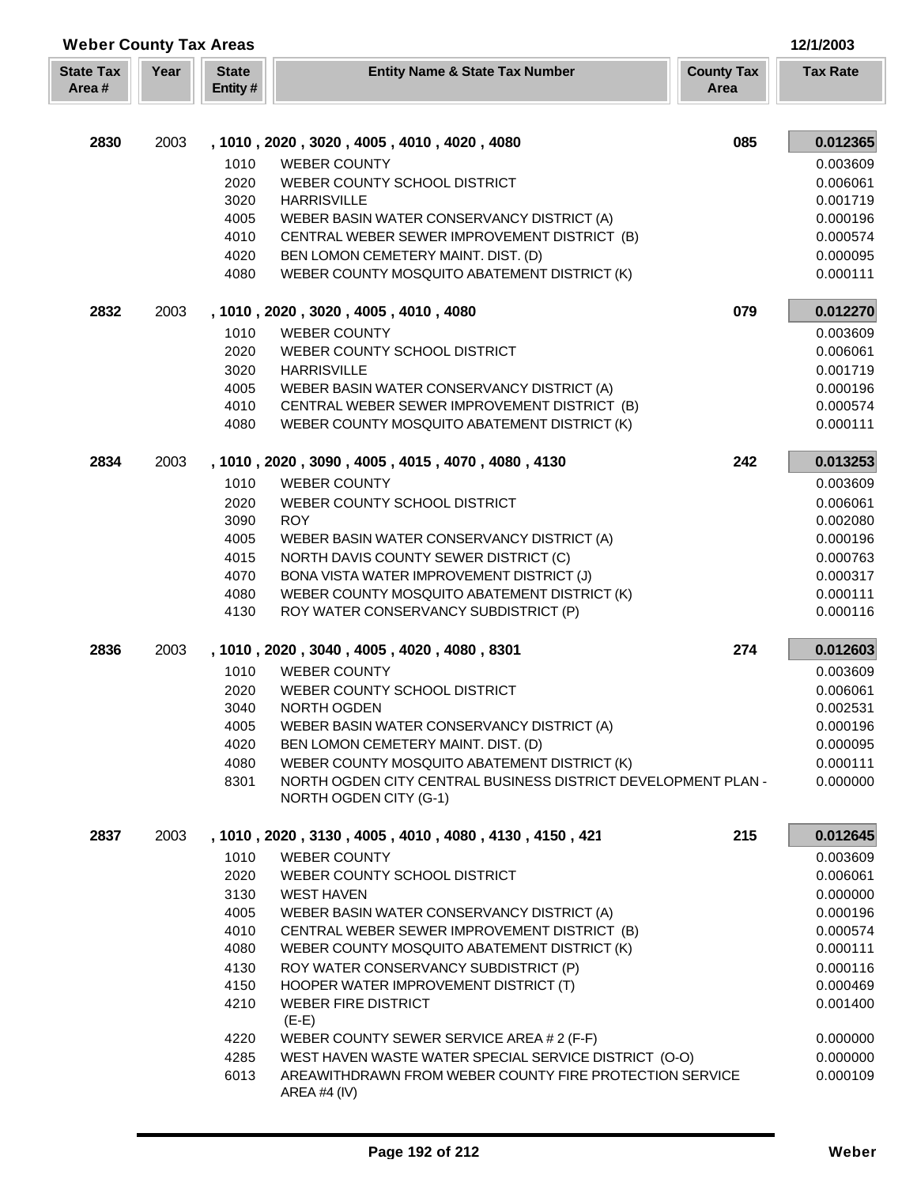| <b>Weber County Tax Areas</b> |      |                         |                                                                                            |     | 12/1/2003            |
|-------------------------------|------|-------------------------|--------------------------------------------------------------------------------------------|-----|----------------------|
| <b>State Tax</b><br>Area#     | Year | <b>State</b><br>Entity# | <b>County Tax</b><br><b>Entity Name &amp; State Tax Number</b><br>Area                     |     | <b>Tax Rate</b>      |
|                               |      |                         |                                                                                            |     |                      |
| 2830                          | 2003 |                         | , 1010, 2020, 3020, 4005, 4010, 4020, 4080                                                 | 085 | 0.012365             |
|                               |      | 1010                    | <b>WEBER COUNTY</b>                                                                        |     | 0.003609             |
|                               |      | 2020                    | WEBER COUNTY SCHOOL DISTRICT                                                               |     | 0.006061             |
|                               |      | 3020                    | <b>HARRISVILLE</b>                                                                         |     | 0.001719             |
|                               |      | 4005<br>4010            | WEBER BASIN WATER CONSERVANCY DISTRICT (A)<br>CENTRAL WEBER SEWER IMPROVEMENT DISTRICT (B) |     | 0.000196<br>0.000574 |
|                               |      | 4020                    | BEN LOMON CEMETERY MAINT. DIST. (D)                                                        |     | 0.000095             |
|                               |      | 4080                    | WEBER COUNTY MOSQUITO ABATEMENT DISTRICT (K)                                               |     | 0.000111             |
| 2832                          | 2003 |                         | , 1010, 2020, 3020, 4005, 4010, 4080                                                       | 079 | 0.012270             |
|                               |      | 1010                    | <b>WEBER COUNTY</b>                                                                        |     | 0.003609             |
|                               |      | 2020                    | WEBER COUNTY SCHOOL DISTRICT                                                               |     | 0.006061             |
|                               |      | 3020                    | <b>HARRISVILLE</b>                                                                         |     | 0.001719             |
|                               |      | 4005                    | WEBER BASIN WATER CONSERVANCY DISTRICT (A)                                                 |     | 0.000196             |
|                               |      | 4010                    | CENTRAL WEBER SEWER IMPROVEMENT DISTRICT (B)                                               |     | 0.000574             |
|                               |      | 4080                    | WEBER COUNTY MOSQUITO ABATEMENT DISTRICT (K)                                               |     | 0.000111             |
| 2834                          | 2003 |                         | , 1010, 2020, 3090, 4005, 4015, 4070, 4080, 4130                                           | 242 | 0.013253             |
|                               |      | 1010                    | <b>WEBER COUNTY</b>                                                                        |     | 0.003609             |
|                               |      | 2020                    | WEBER COUNTY SCHOOL DISTRICT                                                               |     | 0.006061             |
|                               |      | 3090                    | <b>ROY</b>                                                                                 |     | 0.002080             |
|                               |      | 4005                    | WEBER BASIN WATER CONSERVANCY DISTRICT (A)                                                 |     | 0.000196             |
|                               |      | 4015                    | NORTH DAVIS COUNTY SEWER DISTRICT (C)                                                      |     | 0.000763             |
|                               |      | 4070                    | BONA VISTA WATER IMPROVEMENT DISTRICT (J)                                                  |     | 0.000317             |
|                               |      | 4080                    | WEBER COUNTY MOSQUITO ABATEMENT DISTRICT (K)                                               |     | 0.000111             |
|                               |      | 4130                    | ROY WATER CONSERVANCY SUBDISTRICT (P)                                                      |     | 0.000116             |
| 2836                          | 2003 |                         | , 1010, 2020, 3040, 4005, 4020, 4080, 8301                                                 | 274 | 0.012603             |
|                               |      | 1010                    | <b>WEBER COUNTY</b>                                                                        |     | 0.003609             |
|                               |      | 2020                    | WEBER COUNTY SCHOOL DISTRICT                                                               |     | 0.006061             |
|                               |      | 3040                    | NORTH OGDEN                                                                                |     | 0.002531             |
|                               |      | 4005                    | WEBER BASIN WATER CONSERVANCY DISTRICT (A)                                                 |     | 0.000196             |
|                               |      | 4020                    | BEN LOMON CEMETERY MAINT. DIST. (D)                                                        |     | 0.000095             |
|                               |      | 4080                    | WEBER COUNTY MOSQUITO ABATEMENT DISTRICT (K)                                               |     | 0.000111             |
|                               |      | 8301                    | NORTH OGDEN CITY CENTRAL BUSINESS DISTRICT DEVELOPMENT PLAN -<br>NORTH OGDEN CITY (G-1)    |     | 0.000000             |
| 2837                          | 2003 |                         | , 1010, 2020, 3130, 4005, 4010, 4080, 4130, 4150, 421                                      | 215 | 0.012645             |
|                               |      | 1010                    | <b>WEBER COUNTY</b>                                                                        |     | 0.003609             |
|                               |      | 2020                    | WEBER COUNTY SCHOOL DISTRICT                                                               |     | 0.006061             |
|                               |      | 3130                    | <b>WEST HAVEN</b>                                                                          |     | 0.000000             |
|                               |      | 4005                    | WEBER BASIN WATER CONSERVANCY DISTRICT (A)                                                 |     | 0.000196             |
|                               |      | 4010                    | CENTRAL WEBER SEWER IMPROVEMENT DISTRICT (B)                                               |     | 0.000574             |
|                               |      | 4080                    | WEBER COUNTY MOSQUITO ABATEMENT DISTRICT (K)                                               |     | 0.000111             |
|                               |      | 4130                    | ROY WATER CONSERVANCY SUBDISTRICT (P)                                                      |     | 0.000116             |
|                               |      | 4150                    | HOOPER WATER IMPROVEMENT DISTRICT (T)                                                      |     | 0.000469             |
|                               |      | 4210                    | <b>WEBER FIRE DISTRICT</b>                                                                 |     | 0.001400             |
|                               |      |                         | $(E-E)$                                                                                    |     |                      |
|                               |      | 4220                    | WEBER COUNTY SEWER SERVICE AREA # 2 (F-F)                                                  |     | 0.000000             |
|                               |      | 4285                    | WEST HAVEN WASTE WATER SPECIAL SERVICE DISTRICT (O-O)                                      |     | 0.000000             |
|                               |      | 6013                    | AREAWITHDRAWN FROM WEBER COUNTY FIRE PROTECTION SERVICE<br>AREA #4 (IV)                    |     | 0.000109             |

Г L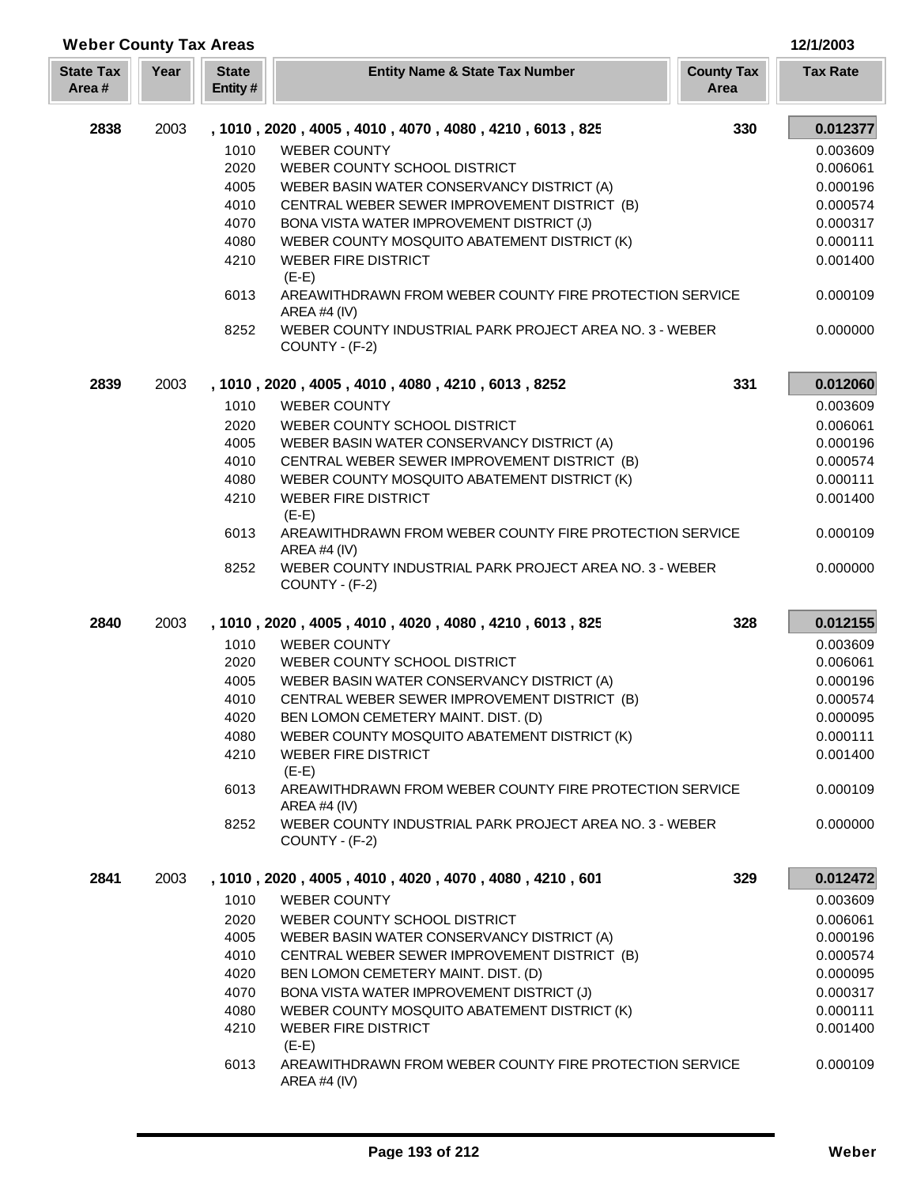| <b>Weber County Tax Areas</b> |      |                          |                                                                           |                           | 12/1/2003       |
|-------------------------------|------|--------------------------|---------------------------------------------------------------------------|---------------------------|-----------------|
| <b>State Tax</b><br>Area#     | Year | <b>State</b><br>Entity # | <b>Entity Name &amp; State Tax Number</b>                                 | <b>County Tax</b><br>Area | <b>Tax Rate</b> |
| 2838                          | 2003 |                          | , 1010, 2020, 4005, 4010, 4070, 4080, 4210, 6013, 825                     | 330                       | 0.012377        |
|                               |      | 1010                     | <b>WEBER COUNTY</b>                                                       |                           | 0.003609        |
|                               |      | 2020                     | WEBER COUNTY SCHOOL DISTRICT                                              |                           | 0.006061        |
|                               |      | 4005                     | WEBER BASIN WATER CONSERVANCY DISTRICT (A)                                |                           | 0.000196        |
|                               |      | 4010                     | CENTRAL WEBER SEWER IMPROVEMENT DISTRICT (B)                              |                           | 0.000574        |
|                               |      | 4070                     | BONA VISTA WATER IMPROVEMENT DISTRICT (J)                                 |                           | 0.000317        |
|                               |      | 4080                     | WEBER COUNTY MOSQUITO ABATEMENT DISTRICT (K)                              |                           | 0.000111        |
|                               |      | 4210                     | <b>WEBER FIRE DISTRICT</b><br>$(E-E)$                                     |                           | 0.001400        |
|                               |      | 6013                     | AREAWITHDRAWN FROM WEBER COUNTY FIRE PROTECTION SERVICE<br>AREA #4 (IV)   |                           | 0.000109        |
|                               |      | 8252                     | WEBER COUNTY INDUSTRIAL PARK PROJECT AREA NO. 3 - WEBER<br>COUNTY - (F-2) |                           | 0.000000        |
| 2839                          | 2003 |                          | , 1010, 2020, 4005, 4010, 4080, 4210, 6013, 8252                          | 331                       | 0.012060        |
|                               |      | 1010                     | <b>WEBER COUNTY</b>                                                       |                           | 0.003609        |
|                               |      | 2020                     | WEBER COUNTY SCHOOL DISTRICT                                              |                           | 0.006061        |
|                               |      | 4005                     | WEBER BASIN WATER CONSERVANCY DISTRICT (A)                                |                           | 0.000196        |
|                               |      | 4010                     | CENTRAL WEBER SEWER IMPROVEMENT DISTRICT (B)                              |                           | 0.000574        |
|                               |      | 4080                     | WEBER COUNTY MOSQUITO ABATEMENT DISTRICT (K)                              |                           | 0.000111        |
|                               |      | 4210                     | <b>WEBER FIRE DISTRICT</b><br>$(E-E)$                                     |                           | 0.001400        |
|                               |      | 6013                     | AREAWITHDRAWN FROM WEBER COUNTY FIRE PROTECTION SERVICE<br>AREA #4 (IV)   |                           | 0.000109        |
|                               |      | 8252                     | WEBER COUNTY INDUSTRIAL PARK PROJECT AREA NO. 3 - WEBER<br>COUNTY - (F-2) |                           | 0.000000        |
| 2840                          | 2003 |                          | , 1010, 2020, 4005, 4010, 4020, 4080, 4210, 6013, 825                     | 328                       | 0.012155        |
|                               |      | 1010                     | <b>WEBER COUNTY</b>                                                       |                           | 0.003609        |
|                               |      | 2020                     | WEBER COUNTY SCHOOL DISTRICT                                              |                           | 0.006061        |
|                               |      | 4005                     | WEBER BASIN WATER CONSERVANCY DISTRICT (A)                                |                           | 0.000196        |
|                               |      | 4010                     | CENTRAL WEBER SEWER IMPROVEMENT DISTRICT (B)                              |                           | 0.000574        |
|                               |      | 4020                     | BEN LOMON CEMETERY MAINT. DIST. (D)                                       |                           | 0.000095        |
|                               |      | 4080                     | WEBER COUNTY MOSQUITO ABATEMENT DISTRICT (K)                              |                           | 0.000111        |
|                               |      | 4210                     | <b>WEBER FIRE DISTRICT</b><br>$(E-E)$                                     |                           | 0.001400        |
|                               |      | 6013                     | AREAWITHDRAWN FROM WEBER COUNTY FIRE PROTECTION SERVICE<br>AREA #4 $(IV)$ |                           | 0.000109        |
|                               |      | 8252                     | WEBER COUNTY INDUSTRIAL PARK PROJECT AREA NO. 3 - WEBER<br>COUNTY - (F-2) |                           | 0.000000        |
| 2841                          | 2003 |                          | , 1010, 2020, 4005, 4010, 4020, 4070, 4080, 4210, 601                     | 329                       | 0.012472        |
|                               |      | 1010                     | <b>WEBER COUNTY</b>                                                       |                           | 0.003609        |
|                               |      | 2020                     | WEBER COUNTY SCHOOL DISTRICT                                              |                           | 0.006061        |
|                               |      | 4005                     | WEBER BASIN WATER CONSERVANCY DISTRICT (A)                                |                           | 0.000196        |
|                               |      | 4010                     | CENTRAL WEBER SEWER IMPROVEMENT DISTRICT (B)                              |                           | 0.000574        |
|                               |      | 4020                     | BEN LOMON CEMETERY MAINT. DIST. (D)                                       |                           | 0.000095        |
|                               |      | 4070                     | BONA VISTA WATER IMPROVEMENT DISTRICT (J)                                 |                           | 0.000317        |
|                               |      | 4080                     | WEBER COUNTY MOSQUITO ABATEMENT DISTRICT (K)                              |                           | 0.000111        |
|                               |      | 4210                     | <b>WEBER FIRE DISTRICT</b><br>$(E-E)$                                     |                           | 0.001400        |
|                               |      | 6013                     | AREAWITHDRAWN FROM WEBER COUNTY FIRE PROTECTION SERVICE<br>AREA #4 (IV)   |                           | 0.000109        |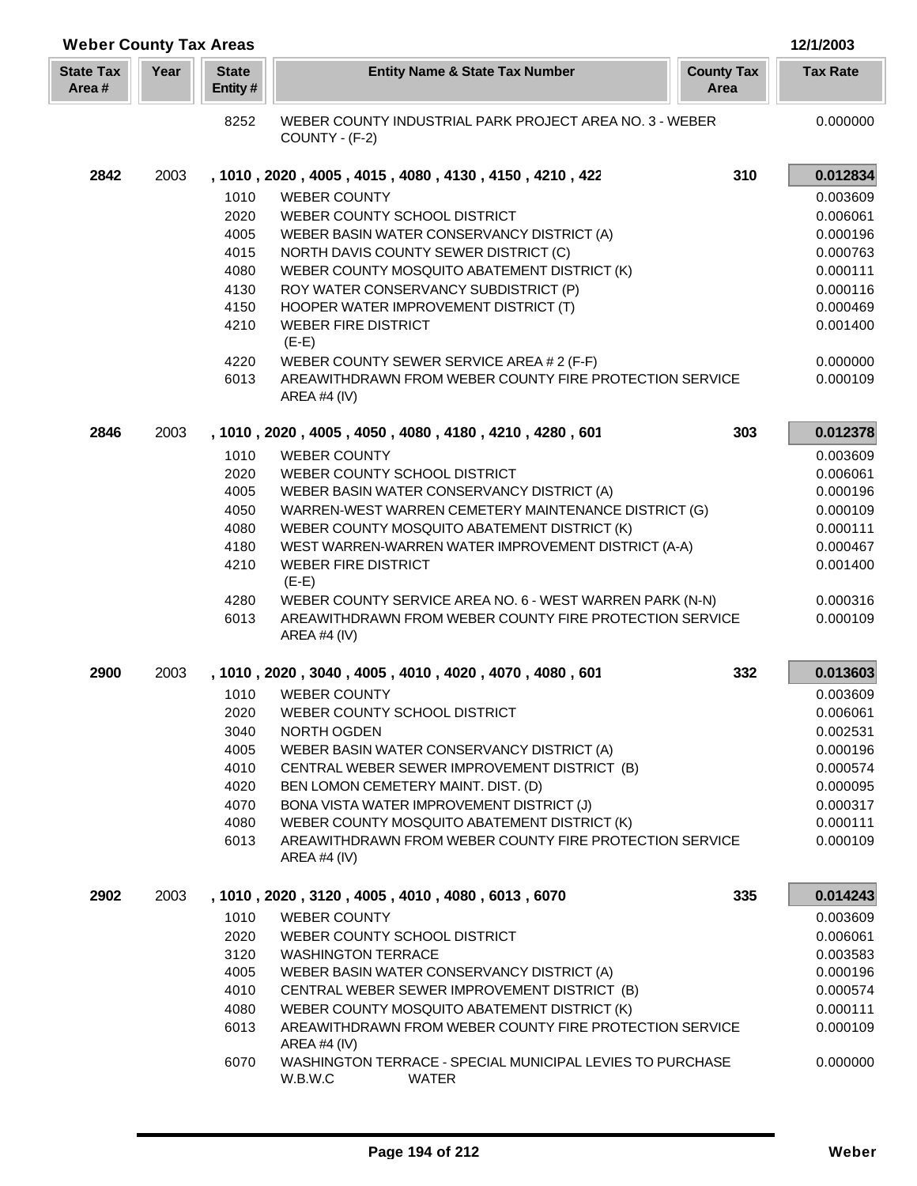| <b>Weber County Tax Areas</b> |      |                         |                                                                                      |                           | 12/1/2003       |
|-------------------------------|------|-------------------------|--------------------------------------------------------------------------------------|---------------------------|-----------------|
| <b>State Tax</b><br>Area #    | Year | <b>State</b><br>Entity# | <b>Entity Name &amp; State Tax Number</b>                                            | <b>County Tax</b><br>Area | <b>Tax Rate</b> |
|                               |      | 8252                    | WEBER COUNTY INDUSTRIAL PARK PROJECT AREA NO. 3 - WEBER<br>COUNTY - (F-2)            |                           | 0.000000        |
| 2842                          | 2003 |                         | , 1010, 2020, 4005, 4015, 4080, 4130, 4150, 4210, 422                                | 310                       | 0.012834        |
|                               |      | 1010                    | <b>WEBER COUNTY</b>                                                                  |                           | 0.003609        |
|                               |      | 2020                    | WEBER COUNTY SCHOOL DISTRICT                                                         |                           | 0.006061        |
|                               |      | 4005                    | WEBER BASIN WATER CONSERVANCY DISTRICT (A)                                           |                           | 0.000196        |
|                               |      | 4015                    | NORTH DAVIS COUNTY SEWER DISTRICT (C)                                                |                           | 0.000763        |
|                               |      | 4080                    | WEBER COUNTY MOSQUITO ABATEMENT DISTRICT (K)                                         |                           | 0.000111        |
|                               |      | 4130                    | ROY WATER CONSERVANCY SUBDISTRICT (P)                                                |                           | 0.000116        |
|                               |      | 4150                    | HOOPER WATER IMPROVEMENT DISTRICT (T)                                                |                           | 0.000469        |
|                               |      | 4210                    | <b>WEBER FIRE DISTRICT</b><br>$(E-E)$                                                |                           | 0.001400        |
|                               |      | 4220                    | WEBER COUNTY SEWER SERVICE AREA # 2 (F-F)                                            |                           | 0.000000        |
|                               |      | 6013                    | AREAWITHDRAWN FROM WEBER COUNTY FIRE PROTECTION SERVICE<br>AREA #4 $(IV)$            |                           | 0.000109        |
| 2846                          | 2003 |                         | , 1010, 2020, 4005, 4050, 4080, 4180, 4210, 4280, 601                                | 303                       | 0.012378        |
|                               |      | 1010                    | <b>WEBER COUNTY</b>                                                                  |                           | 0.003609        |
|                               |      | 2020                    | WEBER COUNTY SCHOOL DISTRICT                                                         |                           | 0.006061        |
|                               |      | 4005                    | WEBER BASIN WATER CONSERVANCY DISTRICT (A)                                           |                           | 0.000196        |
|                               |      | 4050                    | WARREN-WEST WARREN CEMETERY MAINTENANCE DISTRICT (G)                                 |                           | 0.000109        |
|                               |      | 4080                    | WEBER COUNTY MOSQUITO ABATEMENT DISTRICT (K)                                         |                           | 0.000111        |
|                               |      | 4180                    | WEST WARREN-WARREN WATER IMPROVEMENT DISTRICT (A-A)                                  |                           | 0.000467        |
|                               |      | 4210                    | <b>WEBER FIRE DISTRICT</b><br>$(E-E)$                                                |                           | 0.001400        |
|                               |      | 4280                    | WEBER COUNTY SERVICE AREA NO. 6 - WEST WARREN PARK (N-N)                             |                           | 0.000316        |
|                               |      | 6013                    | AREAWITHDRAWN FROM WEBER COUNTY FIRE PROTECTION SERVICE<br>AREA #4 (IV)              |                           | 0.000109        |
| 2900                          | 2003 |                         | , 1010, 2020, 3040, 4005, 4010, 4020, 4070, 4080, 601                                | 332                       | 0.013603        |
|                               |      | 1010                    | <b>WEBER COUNTY</b>                                                                  |                           | 0.003609        |
|                               |      |                         | 2020 WEBER COUNTY SCHOOL DISTRICT                                                    |                           | 0.006061        |
|                               |      | 3040                    | NORTH OGDEN                                                                          |                           | 0.002531        |
|                               |      | 4005                    | WEBER BASIN WATER CONSERVANCY DISTRICT (A)                                           |                           | 0.000196        |
|                               |      | 4010                    | CENTRAL WEBER SEWER IMPROVEMENT DISTRICT (B)                                         |                           | 0.000574        |
|                               |      | 4020                    | BEN LOMON CEMETERY MAINT. DIST. (D)                                                  |                           | 0.000095        |
|                               |      | 4070                    | BONA VISTA WATER IMPROVEMENT DISTRICT (J)                                            |                           | 0.000317        |
|                               |      | 4080                    | WEBER COUNTY MOSQUITO ABATEMENT DISTRICT (K)                                         |                           | 0.000111        |
|                               |      | 6013                    | AREAWITHDRAWN FROM WEBER COUNTY FIRE PROTECTION SERVICE<br>AREA #4 $(IV)$            |                           | 0.000109        |
| 2902                          | 2003 |                         | , 1010, 2020, 3120, 4005, 4010, 4080, 6013, 6070                                     | 335                       | 0.014243        |
|                               |      | 1010                    | <b>WEBER COUNTY</b>                                                                  |                           | 0.003609        |
|                               |      | 2020                    | WEBER COUNTY SCHOOL DISTRICT                                                         |                           | 0.006061        |
|                               |      | 3120                    | <b>WASHINGTON TERRACE</b>                                                            |                           | 0.003583        |
|                               |      | 4005                    | WEBER BASIN WATER CONSERVANCY DISTRICT (A)                                           |                           | 0.000196        |
|                               |      | 4010                    | CENTRAL WEBER SEWER IMPROVEMENT DISTRICT (B)                                         |                           | 0.000574        |
|                               |      | 4080                    | WEBER COUNTY MOSQUITO ABATEMENT DISTRICT (K)                                         |                           | 0.000111        |
|                               |      | 6013                    | AREAWITHDRAWN FROM WEBER COUNTY FIRE PROTECTION SERVICE<br>AREA #4 $(IV)$            |                           | 0.000109        |
|                               |      | 6070                    | WASHINGTON TERRACE - SPECIAL MUNICIPAL LEVIES TO PURCHASE<br>W.B.W.C<br><b>WATER</b> |                           | 0.000000        |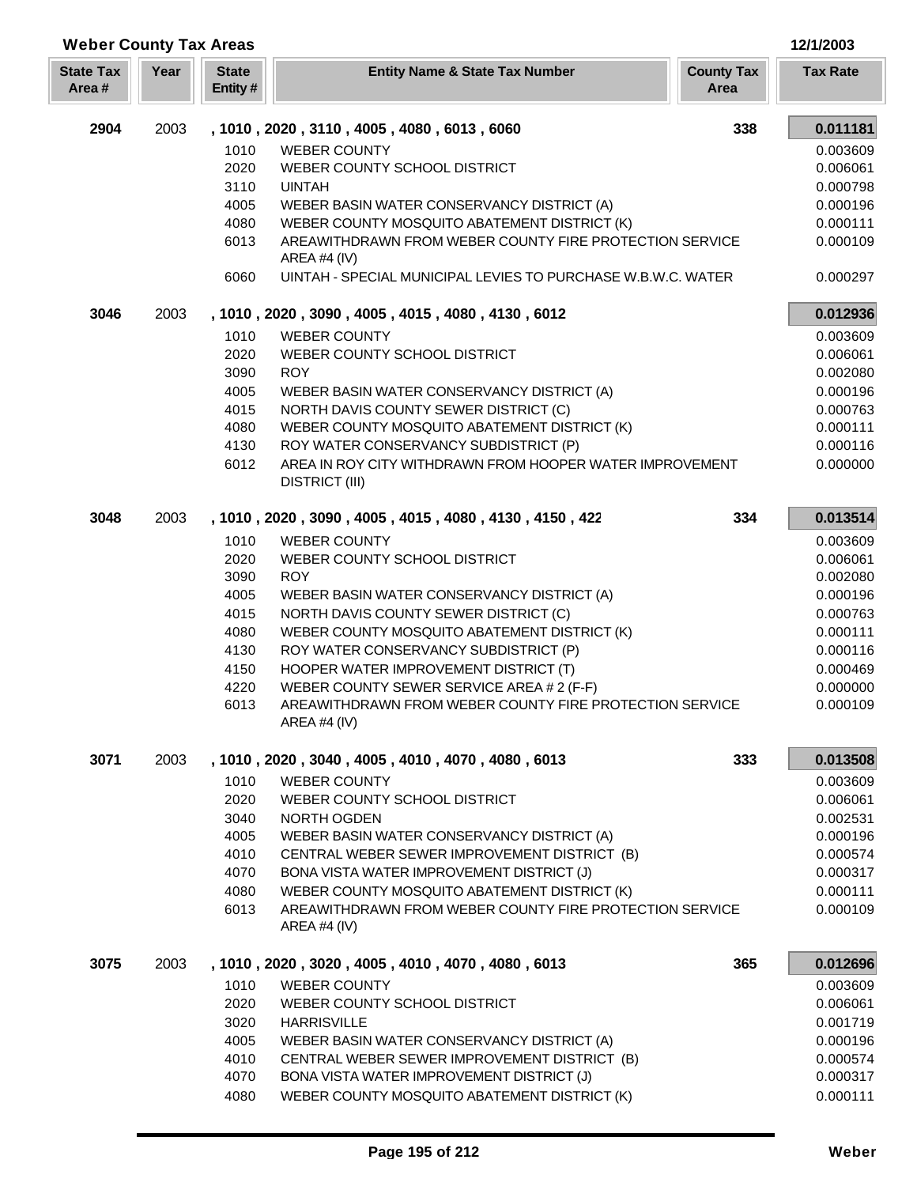| <b>Weber County Tax Areas</b> |      |                         |                                                                                   |                           | 12/1/2003       |
|-------------------------------|------|-------------------------|-----------------------------------------------------------------------------------|---------------------------|-----------------|
| <b>State Tax</b><br>Area#     | Year | <b>State</b><br>Entity# | <b>Entity Name &amp; State Tax Number</b>                                         | <b>County Tax</b><br>Area | <b>Tax Rate</b> |
| 2904                          | 2003 |                         | , 1010, 2020, 3110, 4005, 4080, 6013, 6060                                        | 338                       | 0.011181        |
|                               |      | 1010                    | <b>WEBER COUNTY</b>                                                               |                           | 0.003609        |
|                               |      | 2020                    | WEBER COUNTY SCHOOL DISTRICT                                                      |                           | 0.006061        |
|                               |      | 3110                    | <b>UINTAH</b>                                                                     |                           | 0.000798        |
|                               |      | 4005                    | WEBER BASIN WATER CONSERVANCY DISTRICT (A)                                        |                           | 0.000196        |
|                               |      | 4080                    | WEBER COUNTY MOSQUITO ABATEMENT DISTRICT (K)                                      |                           | 0.000111        |
|                               |      | 6013                    | AREAWITHDRAWN FROM WEBER COUNTY FIRE PROTECTION SERVICE<br>AREA #4 $(IV)$         |                           | 0.000109        |
|                               |      | 6060                    | UINTAH - SPECIAL MUNICIPAL LEVIES TO PURCHASE W.B.W.C. WATER                      |                           | 0.000297        |
| 3046                          | 2003 |                         | , 1010, 2020, 3090, 4005, 4015, 4080, 4130, 6012                                  |                           | 0.012936        |
|                               |      | 1010                    | <b>WEBER COUNTY</b>                                                               |                           | 0.003609        |
|                               |      | 2020                    | WEBER COUNTY SCHOOL DISTRICT                                                      |                           | 0.006061        |
|                               |      | 3090                    | <b>ROY</b>                                                                        |                           | 0.002080        |
|                               |      | 4005                    | WEBER BASIN WATER CONSERVANCY DISTRICT (A)                                        |                           | 0.000196        |
|                               |      | 4015                    | NORTH DAVIS COUNTY SEWER DISTRICT (C)                                             |                           | 0.000763        |
|                               |      | 4080                    | WEBER COUNTY MOSQUITO ABATEMENT DISTRICT (K)                                      |                           | 0.000111        |
|                               |      | 4130                    | ROY WATER CONSERVANCY SUBDISTRICT (P)                                             |                           | 0.000116        |
|                               |      | 6012                    | AREA IN ROY CITY WITHDRAWN FROM HOOPER WATER IMPROVEMENT<br><b>DISTRICT (III)</b> |                           | 0.000000        |
| 3048                          | 2003 |                         | , 1010, 2020, 3090, 4005, 4015, 4080, 4130, 4150, 422                             | 334                       | 0.013514        |
|                               |      | 1010                    | <b>WEBER COUNTY</b>                                                               |                           | 0.003609        |
|                               |      | 2020                    | WEBER COUNTY SCHOOL DISTRICT                                                      |                           | 0.006061        |
|                               |      | 3090                    | <b>ROY</b>                                                                        |                           | 0.002080        |
|                               |      | 4005                    | WEBER BASIN WATER CONSERVANCY DISTRICT (A)                                        |                           | 0.000196        |
|                               |      | 4015                    | NORTH DAVIS COUNTY SEWER DISTRICT (C)                                             |                           | 0.000763        |
|                               |      | 4080                    | WEBER COUNTY MOSQUITO ABATEMENT DISTRICT (K)                                      |                           | 0.000111        |
|                               |      | 4130                    | ROY WATER CONSERVANCY SUBDISTRICT (P)                                             |                           | 0.000116        |
|                               |      | 4150                    | HOOPER WATER IMPROVEMENT DISTRICT (T)                                             |                           | 0.000469        |
|                               |      | 4220                    | WEBER COUNTY SEWER SERVICE AREA # 2 (F-F)                                         |                           | 0.000000        |
|                               |      | 6013                    | AREAWITHDRAWN FROM WEBER COUNTY FIRE PROTECTION SERVICE<br>AREA #4 $(IV)$         |                           | 0.000109        |
| 3071                          | 2003 |                         | , 1010, 2020, 3040, 4005, 4010, 4070, 4080, 6013                                  | 333                       | 0.013508        |
|                               |      | 1010                    | <b>WEBER COUNTY</b>                                                               |                           | 0.003609        |
|                               |      | 2020                    | WEBER COUNTY SCHOOL DISTRICT                                                      |                           | 0.006061        |
|                               |      | 3040                    | NORTH OGDEN                                                                       |                           | 0.002531        |
|                               |      | 4005                    | WEBER BASIN WATER CONSERVANCY DISTRICT (A)                                        |                           | 0.000196        |
|                               |      | 4010                    | CENTRAL WEBER SEWER IMPROVEMENT DISTRICT (B)                                      |                           | 0.000574        |
|                               |      | 4070                    | BONA VISTA WATER IMPROVEMENT DISTRICT (J)                                         |                           | 0.000317        |
|                               |      | 4080                    | WEBER COUNTY MOSQUITO ABATEMENT DISTRICT (K)                                      |                           | 0.000111        |
|                               |      | 6013                    | AREAWITHDRAWN FROM WEBER COUNTY FIRE PROTECTION SERVICE<br>AREA #4 $(IV)$         |                           | 0.000109        |
| 3075                          | 2003 |                         | , 1010, 2020, 3020, 4005, 4010, 4070, 4080, 6013                                  | 365                       | 0.012696        |
|                               |      | 1010                    | <b>WEBER COUNTY</b>                                                               |                           | 0.003609        |
|                               |      | 2020                    | WEBER COUNTY SCHOOL DISTRICT                                                      |                           | 0.006061        |
|                               |      | 3020                    | <b>HARRISVILLE</b>                                                                |                           | 0.001719        |
|                               |      | 4005                    | WEBER BASIN WATER CONSERVANCY DISTRICT (A)                                        |                           | 0.000196        |
|                               |      | 4010                    | CENTRAL WEBER SEWER IMPROVEMENT DISTRICT (B)                                      |                           | 0.000574        |
|                               |      | 4070                    | BONA VISTA WATER IMPROVEMENT DISTRICT (J)                                         |                           | 0.000317        |
|                               |      | 4080                    | WEBER COUNTY MOSQUITO ABATEMENT DISTRICT (K)                                      |                           | 0.000111        |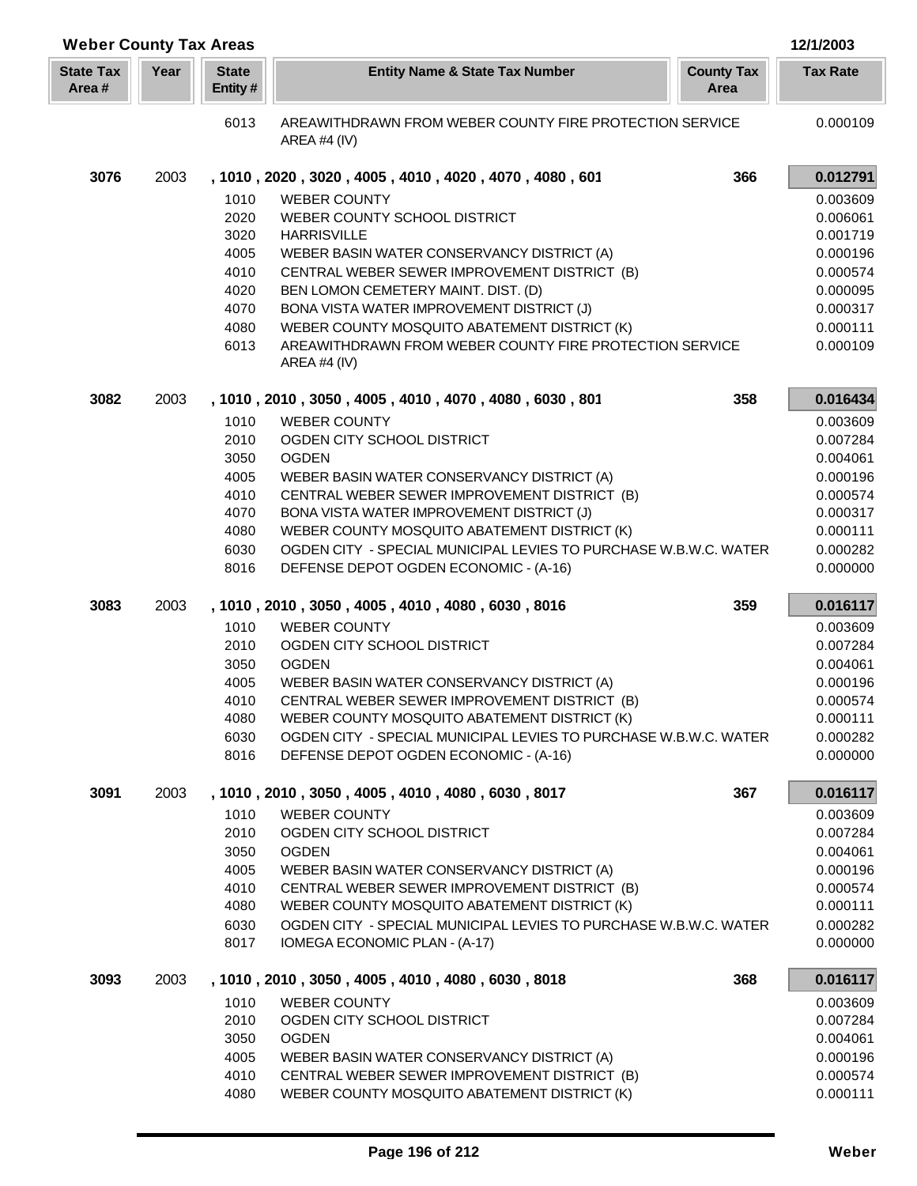| <b>Weber County Tax Areas</b> |      |                         |                                                                                                                         |                           | 12/1/2003            |
|-------------------------------|------|-------------------------|-------------------------------------------------------------------------------------------------------------------------|---------------------------|----------------------|
| <b>State Tax</b><br>Area#     | Year | <b>State</b><br>Entity# | <b>Entity Name &amp; State Tax Number</b>                                                                               | <b>County Tax</b><br>Area | <b>Tax Rate</b>      |
|                               |      | 6013                    | AREAWITHDRAWN FROM WEBER COUNTY FIRE PROTECTION SERVICE<br>AREA #4 (IV)                                                 |                           | 0.000109             |
| 3076                          | 2003 |                         | , 1010, 2020, 3020, 4005, 4010, 4020, 4070, 4080, 601                                                                   | 366                       | 0.012791             |
|                               |      | 1010                    | <b>WEBER COUNTY</b>                                                                                                     |                           | 0.003609             |
|                               |      | 2020                    | WEBER COUNTY SCHOOL DISTRICT                                                                                            |                           | 0.006061             |
|                               |      | 3020                    | <b>HARRISVILLE</b>                                                                                                      |                           | 0.001719             |
|                               |      | 4005                    | WEBER BASIN WATER CONSERVANCY DISTRICT (A)                                                                              |                           | 0.000196             |
|                               |      | 4010                    | CENTRAL WEBER SEWER IMPROVEMENT DISTRICT (B)                                                                            |                           | 0.000574             |
|                               |      | 4020                    | BEN LOMON CEMETERY MAINT. DIST. (D)                                                                                     |                           | 0.000095             |
|                               |      | 4070                    | BONA VISTA WATER IMPROVEMENT DISTRICT (J)                                                                               |                           | 0.000317             |
|                               |      | 4080<br>6013            | WEBER COUNTY MOSQUITO ABATEMENT DISTRICT (K)<br>AREAWITHDRAWN FROM WEBER COUNTY FIRE PROTECTION SERVICE<br>AREA #4 (IV) |                           | 0.000111<br>0.000109 |
| 3082                          | 2003 |                         | , 1010, 2010, 3050, 4005, 4010, 4070, 4080, 6030, 801                                                                   | 358                       | 0.016434             |
|                               |      | 1010                    | <b>WEBER COUNTY</b>                                                                                                     |                           | 0.003609             |
|                               |      | 2010                    | OGDEN CITY SCHOOL DISTRICT                                                                                              |                           | 0.007284             |
|                               |      | 3050                    | <b>OGDEN</b>                                                                                                            |                           | 0.004061             |
|                               |      | 4005                    | WEBER BASIN WATER CONSERVANCY DISTRICT (A)<br>CENTRAL WEBER SEWER IMPROVEMENT DISTRICT (B)                              |                           | 0.000196             |
|                               |      | 4010<br>4070            | BONA VISTA WATER IMPROVEMENT DISTRICT (J)                                                                               |                           | 0.000574<br>0.000317 |
|                               |      | 4080                    | WEBER COUNTY MOSQUITO ABATEMENT DISTRICT (K)                                                                            |                           | 0.000111             |
|                               |      | 6030                    | OGDEN CITY - SPECIAL MUNICIPAL LEVIES TO PURCHASE W.B.W.C. WATER                                                        |                           | 0.000282             |
|                               |      | 8016                    | DEFENSE DEPOT OGDEN ECONOMIC - (A-16)                                                                                   |                           | 0.000000             |
| 3083                          | 2003 |                         | , 1010, 2010, 3050, 4005, 4010, 4080, 6030, 8016                                                                        | 359                       | 0.016117             |
|                               |      | 1010                    | <b>WEBER COUNTY</b>                                                                                                     |                           | 0.003609             |
|                               |      | 2010                    | OGDEN CITY SCHOOL DISTRICT                                                                                              |                           | 0.007284             |
|                               |      | 3050                    | <b>OGDEN</b>                                                                                                            |                           | 0.004061             |
|                               |      | 4005                    | WEBER BASIN WATER CONSERVANCY DISTRICT (A)                                                                              |                           | 0.000196             |
|                               |      | 4010                    | CENTRAL WEBER SEWER IMPROVEMENT DISTRICT (B)<br>WEBER COUNTY MOSQUITO ABATEMENT DISTRICT (K)                            |                           | 0.000574<br>0.000111 |
|                               |      | 4080<br>6030            | OGDEN CITY - SPECIAL MUNICIPAL LEVIES TO PURCHASE W.B.W.C. WATER                                                        |                           | 0.000282             |
|                               |      | 8016                    | DEFENSE DEPOT OGDEN ECONOMIC - (A-16)                                                                                   |                           | 0.000000             |
| 3091                          | 2003 |                         | , 1010, 2010, 3050, 4005, 4010, 4080, 6030, 8017                                                                        | 367                       | 0.016117             |
|                               |      | 1010                    | <b>WEBER COUNTY</b>                                                                                                     |                           | 0.003609             |
|                               |      | 2010                    | OGDEN CITY SCHOOL DISTRICT                                                                                              |                           | 0.007284             |
|                               |      | 3050                    | <b>OGDEN</b>                                                                                                            |                           | 0.004061             |
|                               |      | 4005                    | WEBER BASIN WATER CONSERVANCY DISTRICT (A)                                                                              |                           | 0.000196             |
|                               |      | 4010                    | CENTRAL WEBER SEWER IMPROVEMENT DISTRICT (B)                                                                            |                           | 0.000574             |
|                               |      | 4080<br>6030            | WEBER COUNTY MOSQUITO ABATEMENT DISTRICT (K)<br>OGDEN CITY - SPECIAL MUNICIPAL LEVIES TO PURCHASE W.B.W.C. WATER        |                           | 0.000111<br>0.000282 |
|                               |      | 8017                    | IOMEGA ECONOMIC PLAN - (A-17)                                                                                           |                           | 0.000000             |
| 3093                          | 2003 |                         | , 1010, 2010, 3050, 4005, 4010, 4080, 6030, 8018                                                                        | 368                       | 0.016117             |
|                               |      | 1010                    | <b>WEBER COUNTY</b>                                                                                                     |                           | 0.003609             |
|                               |      | 2010                    | OGDEN CITY SCHOOL DISTRICT                                                                                              |                           | 0.007284             |
|                               |      | 3050                    | <b>OGDEN</b>                                                                                                            |                           | 0.004061             |
|                               |      | 4005                    | WEBER BASIN WATER CONSERVANCY DISTRICT (A)                                                                              |                           | 0.000196             |
|                               |      | 4010                    | CENTRAL WEBER SEWER IMPROVEMENT DISTRICT (B)                                                                            |                           | 0.000574             |
|                               |      | 4080                    | WEBER COUNTY MOSQUITO ABATEMENT DISTRICT (K)                                                                            |                           | 0.000111             |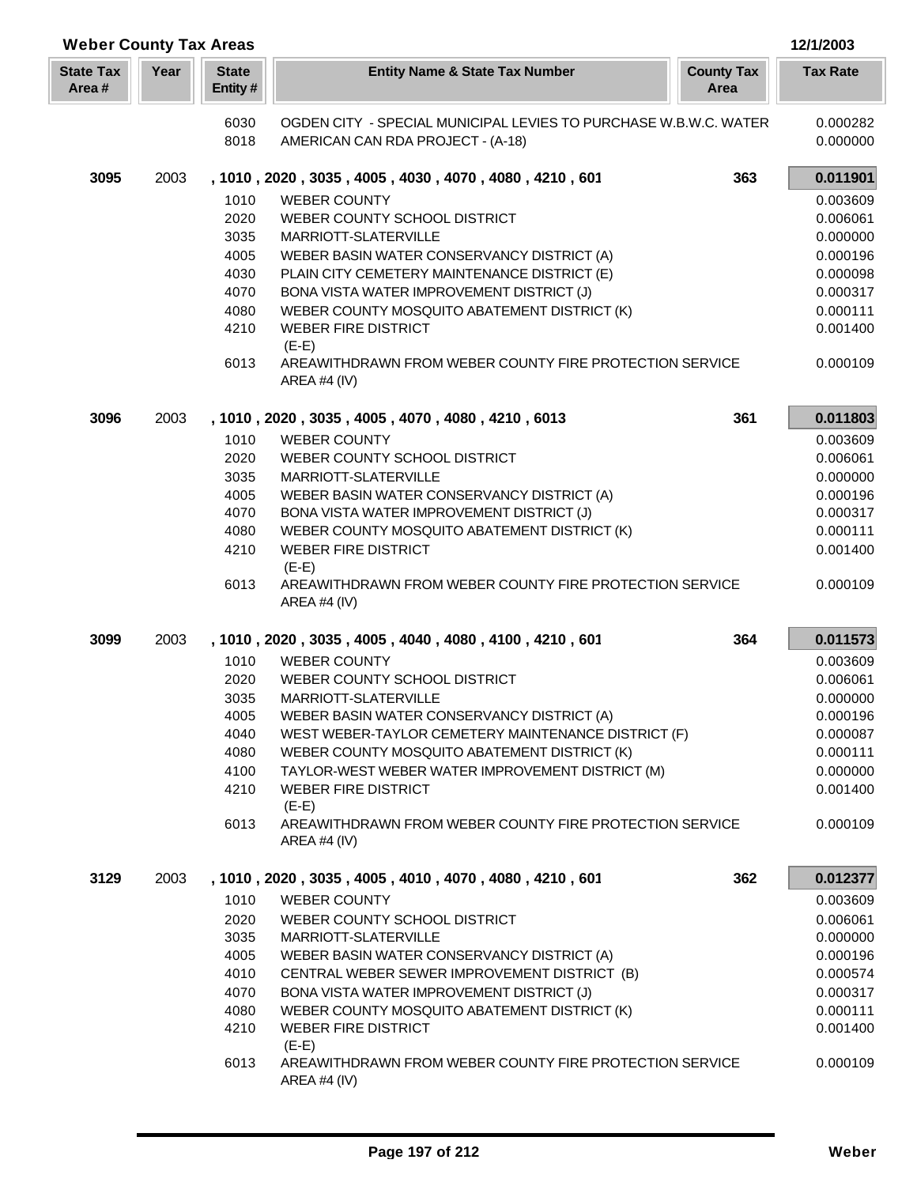| <b>Weber County Tax Areas</b> |      |                         |                                                                           |                           | 12/1/2003       |
|-------------------------------|------|-------------------------|---------------------------------------------------------------------------|---------------------------|-----------------|
| <b>State Tax</b><br>Area#     | Year | <b>State</b><br>Entity# | <b>Entity Name &amp; State Tax Number</b>                                 | <b>County Tax</b><br>Area | <b>Tax Rate</b> |
|                               |      | 6030                    | OGDEN CITY - SPECIAL MUNICIPAL LEVIES TO PURCHASE W.B.W.C. WATER          |                           | 0.000282        |
|                               |      | 8018                    | AMERICAN CAN RDA PROJECT - (A-18)                                         |                           | 0.000000        |
| 3095                          | 2003 |                         | , 1010, 2020, 3035, 4005, 4030, 4070, 4080, 4210, 601                     | 363                       | 0.011901        |
|                               |      | 1010                    | <b>WEBER COUNTY</b>                                                       |                           | 0.003609        |
|                               |      | 2020                    | WEBER COUNTY SCHOOL DISTRICT                                              |                           | 0.006061        |
|                               |      | 3035                    | MARRIOTT-SLATERVILLE                                                      |                           | 0.000000        |
|                               |      | 4005                    | WEBER BASIN WATER CONSERVANCY DISTRICT (A)                                |                           | 0.000196        |
|                               |      | 4030                    | PLAIN CITY CEMETERY MAINTENANCE DISTRICT (E)                              |                           | 0.000098        |
|                               |      | 4070                    | BONA VISTA WATER IMPROVEMENT DISTRICT (J)                                 |                           | 0.000317        |
|                               |      | 4080                    | WEBER COUNTY MOSQUITO ABATEMENT DISTRICT (K)                              |                           | 0.000111        |
|                               |      | 4210                    | <b>WEBER FIRE DISTRICT</b><br>$(E-E)$                                     |                           | 0.001400        |
|                               |      | 6013                    | AREAWITHDRAWN FROM WEBER COUNTY FIRE PROTECTION SERVICE<br>AREA #4 (IV)   |                           | 0.000109        |
| 3096                          | 2003 |                         | , 1010, 2020, 3035, 4005, 4070, 4080, 4210, 6013                          | 361                       | 0.011803        |
|                               |      | 1010                    | <b>WEBER COUNTY</b>                                                       |                           | 0.003609        |
|                               |      | 2020                    | WEBER COUNTY SCHOOL DISTRICT                                              |                           | 0.006061        |
|                               |      | 3035                    | MARRIOTT-SLATERVILLE                                                      |                           | 0.000000        |
|                               |      | 4005                    | WEBER BASIN WATER CONSERVANCY DISTRICT (A)                                |                           | 0.000196        |
|                               |      | 4070                    | BONA VISTA WATER IMPROVEMENT DISTRICT (J)                                 |                           | 0.000317        |
|                               |      | 4080                    | WEBER COUNTY MOSQUITO ABATEMENT DISTRICT (K)                              |                           | 0.000111        |
|                               |      | 4210                    | <b>WEBER FIRE DISTRICT</b><br>$(E-E)$                                     |                           | 0.001400        |
|                               |      | 6013                    | AREAWITHDRAWN FROM WEBER COUNTY FIRE PROTECTION SERVICE<br>AREA #4 (IV)   |                           | 0.000109        |
| 3099                          | 2003 |                         | , 1010, 2020, 3035, 4005, 4040, 4080, 4100, 4210, 601                     | 364                       | 0.011573        |
|                               |      | 1010                    | <b>WEBER COUNTY</b>                                                       |                           | 0.003609        |
|                               |      | 2020                    | WEBER COUNTY SCHOOL DISTRICT                                              |                           | 0.006061        |
|                               |      | 3035                    | MARRIOTT-SLATERVILLE                                                      |                           | 0.000000        |
|                               |      | 4005                    | WEBER BASIN WATER CONSERVANCY DISTRICT (A)                                |                           | 0.000196        |
|                               |      | 4040                    | WEST WEBER-TAYLOR CEMETERY MAINTENANCE DISTRICT (F)                       |                           | 0.000087        |
|                               |      | 4080                    | WEBER COUNTY MOSQUITO ABATEMENT DISTRICT (K)                              |                           | 0.000111        |
|                               |      | 4100                    | TAYLOR-WEST WEBER WATER IMPROVEMENT DISTRICT (M)                          |                           | 0.000000        |
|                               |      | 4210                    | <b>WEBER FIRE DISTRICT</b><br>$(E-E)$                                     |                           | 0.001400        |
|                               |      | 6013                    | AREAWITHDRAWN FROM WEBER COUNTY FIRE PROTECTION SERVICE<br>AREA #4 (IV)   |                           | 0.000109        |
| 3129                          | 2003 |                         | , 1010, 2020, 3035, 4005, 4010, 4070, 4080, 4210, 601                     | 362                       | 0.012377        |
|                               |      | 1010                    | <b>WEBER COUNTY</b>                                                       |                           | 0.003609        |
|                               |      | 2020                    | WEBER COUNTY SCHOOL DISTRICT                                              |                           | 0.006061        |
|                               |      | 3035                    | MARRIOTT-SLATERVILLE                                                      |                           | 0.000000        |
|                               |      | 4005                    | WEBER BASIN WATER CONSERVANCY DISTRICT (A)                                |                           | 0.000196        |
|                               |      | 4010                    | CENTRAL WEBER SEWER IMPROVEMENT DISTRICT (B)                              |                           | 0.000574        |
|                               |      | 4070                    | BONA VISTA WATER IMPROVEMENT DISTRICT (J)                                 |                           | 0.000317        |
|                               |      | 4080                    | WEBER COUNTY MOSQUITO ABATEMENT DISTRICT (K)                              |                           | 0.000111        |
|                               |      | 4210                    | <b>WEBER FIRE DISTRICT</b><br>$(E-E)$                                     |                           | 0.001400        |
|                               |      | 6013                    | AREAWITHDRAWN FROM WEBER COUNTY FIRE PROTECTION SERVICE<br>AREA #4 $(IV)$ |                           | 0.000109        |

L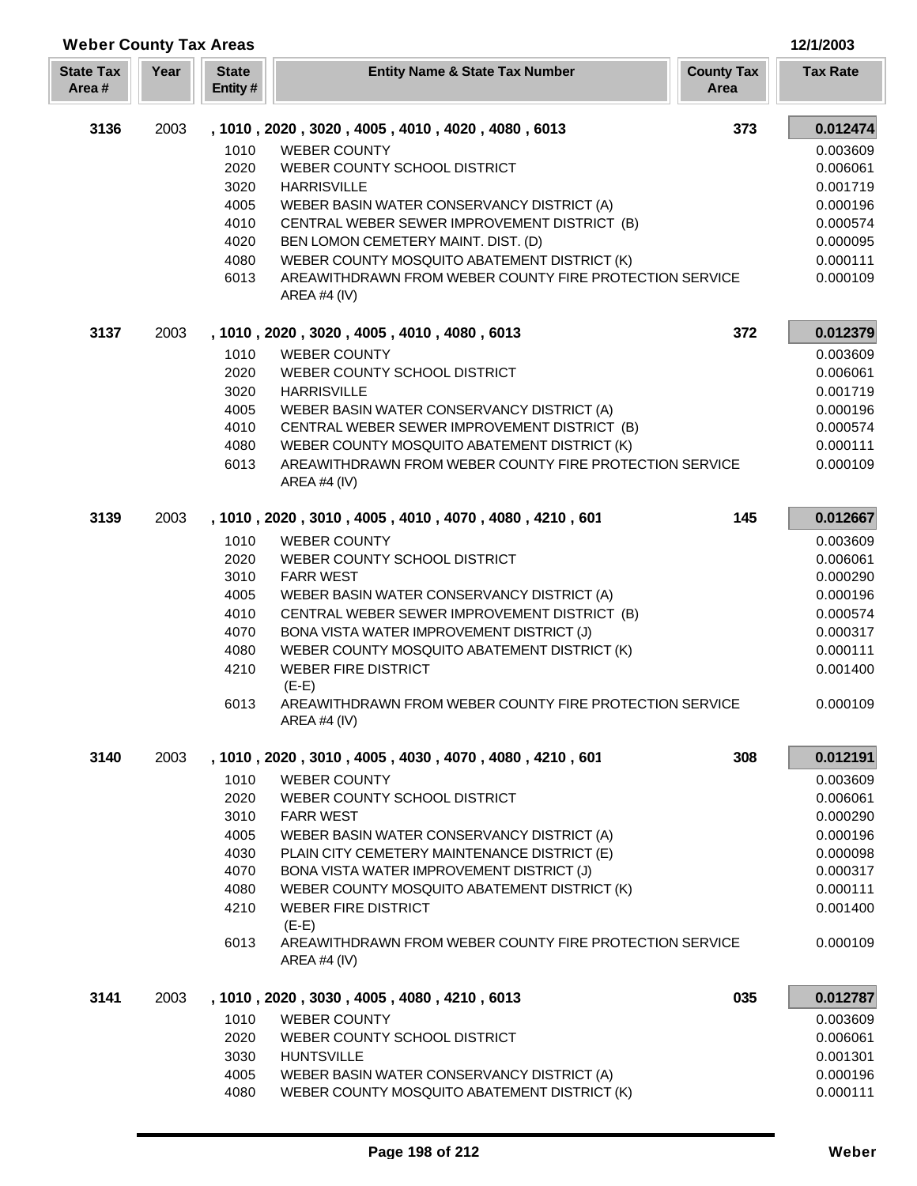| <b>Weber County Tax Areas</b> |      |                          |                                                                                                                         |                           | 12/1/2003            |
|-------------------------------|------|--------------------------|-------------------------------------------------------------------------------------------------------------------------|---------------------------|----------------------|
| <b>State Tax</b><br>Area#     | Year | <b>State</b><br>Entity # | <b>Entity Name &amp; State Tax Number</b>                                                                               | <b>County Tax</b><br>Area | <b>Tax Rate</b>      |
| 3136                          | 2003 |                          | , 1010, 2020, 3020, 4005, 4010, 4020, 4080, 6013                                                                        | 373                       | 0.012474             |
|                               |      | 1010                     | <b>WEBER COUNTY</b>                                                                                                     |                           | 0.003609             |
|                               |      | 2020                     | WEBER COUNTY SCHOOL DISTRICT                                                                                            |                           | 0.006061             |
|                               |      | 3020                     | <b>HARRISVILLE</b>                                                                                                      |                           | 0.001719             |
|                               |      | 4005                     | WEBER BASIN WATER CONSERVANCY DISTRICT (A)                                                                              |                           | 0.000196             |
|                               |      | 4010                     | CENTRAL WEBER SEWER IMPROVEMENT DISTRICT (B)                                                                            |                           | 0.000574             |
|                               |      | 4020                     | BEN LOMON CEMETERY MAINT. DIST. (D)                                                                                     |                           | 0.000095             |
|                               |      | 4080<br>6013             | WEBER COUNTY MOSQUITO ABATEMENT DISTRICT (K)<br>AREAWITHDRAWN FROM WEBER COUNTY FIRE PROTECTION SERVICE<br>AREA #4 (IV) |                           | 0.000111<br>0.000109 |
| 3137                          | 2003 |                          | , 1010, 2020, 3020, 4005, 4010, 4080, 6013                                                                              | 372                       | 0.012379             |
|                               |      | 1010                     | <b>WEBER COUNTY</b>                                                                                                     |                           | 0.003609             |
|                               |      | 2020                     | WEBER COUNTY SCHOOL DISTRICT                                                                                            |                           | 0.006061             |
|                               |      | 3020                     | <b>HARRISVILLE</b>                                                                                                      |                           | 0.001719             |
|                               |      | 4005                     | WEBER BASIN WATER CONSERVANCY DISTRICT (A)                                                                              |                           | 0.000196             |
|                               |      | 4010                     | CENTRAL WEBER SEWER IMPROVEMENT DISTRICT (B)                                                                            |                           | 0.000574             |
|                               |      | 4080                     | WEBER COUNTY MOSQUITO ABATEMENT DISTRICT (K)                                                                            |                           | 0.000111             |
|                               |      | 6013                     | AREAWITHDRAWN FROM WEBER COUNTY FIRE PROTECTION SERVICE<br>AREA #4 (IV)                                                 |                           | 0.000109             |
| 3139                          | 2003 |                          | , 1010, 2020, 3010, 4005, 4010, 4070, 4080, 4210, 601                                                                   | 145                       | 0.012667             |
|                               |      | 1010                     | <b>WEBER COUNTY</b>                                                                                                     |                           | 0.003609             |
|                               |      | 2020                     | WEBER COUNTY SCHOOL DISTRICT                                                                                            |                           | 0.006061             |
|                               |      | 3010                     | <b>FARR WEST</b>                                                                                                        |                           | 0.000290             |
|                               |      | 4005                     | WEBER BASIN WATER CONSERVANCY DISTRICT (A)                                                                              |                           | 0.000196             |
|                               |      | 4010                     | CENTRAL WEBER SEWER IMPROVEMENT DISTRICT (B)                                                                            |                           | 0.000574             |
|                               |      | 4070                     | BONA VISTA WATER IMPROVEMENT DISTRICT (J)                                                                               |                           | 0.000317             |
|                               |      | 4080                     | WEBER COUNTY MOSQUITO ABATEMENT DISTRICT (K)                                                                            |                           | 0.000111             |
|                               |      | 4210                     | <b>WEBER FIRE DISTRICT</b><br>$(E-E)$                                                                                   |                           | 0.001400             |
|                               |      | 6013                     | AREAWITHDRAWN FROM WEBER COUNTY FIRE PROTECTION SERVICE<br><b>AREA #4 (IV)</b>                                          |                           | 0.000109             |
| 3140                          | 2003 |                          | , 1010, 2020, 3010, 4005, 4030, 4070, 4080, 4210, 601                                                                   | 308                       | 0.012191             |
|                               |      | 1010                     | <b>WEBER COUNTY</b>                                                                                                     |                           | 0.003609             |
|                               |      | 2020                     | WEBER COUNTY SCHOOL DISTRICT                                                                                            |                           | 0.006061             |
|                               |      | 3010                     | <b>FARR WEST</b>                                                                                                        |                           | 0.000290             |
|                               |      | 4005                     | WEBER BASIN WATER CONSERVANCY DISTRICT (A)                                                                              |                           | 0.000196             |
|                               |      | 4030                     | PLAIN CITY CEMETERY MAINTENANCE DISTRICT (E)                                                                            |                           | 0.000098             |
|                               |      | 4070                     | BONA VISTA WATER IMPROVEMENT DISTRICT (J)                                                                               |                           | 0.000317             |
|                               |      | 4080                     | WEBER COUNTY MOSQUITO ABATEMENT DISTRICT (K)                                                                            |                           | 0.000111             |
|                               |      | 4210                     | <b>WEBER FIRE DISTRICT</b><br>$(E-E)$                                                                                   |                           | 0.001400             |
|                               |      | 6013                     | AREAWITHDRAWN FROM WEBER COUNTY FIRE PROTECTION SERVICE<br>AREA #4 $(IV)$                                               |                           | 0.000109             |
| 3141                          | 2003 |                          | , 1010, 2020, 3030, 4005, 4080, 4210, 6013                                                                              | 035                       | 0.012787             |
|                               |      | 1010                     | <b>WEBER COUNTY</b>                                                                                                     |                           | 0.003609             |
|                               |      | 2020                     | WEBER COUNTY SCHOOL DISTRICT                                                                                            |                           | 0.006061             |
|                               |      | 3030                     | <b>HUNTSVILLE</b>                                                                                                       |                           | 0.001301             |
|                               |      | 4005                     | WEBER BASIN WATER CONSERVANCY DISTRICT (A)                                                                              |                           | 0.000196             |
|                               |      | 4080                     | WEBER COUNTY MOSQUITO ABATEMENT DISTRICT (K)                                                                            |                           | 0.000111             |

Г L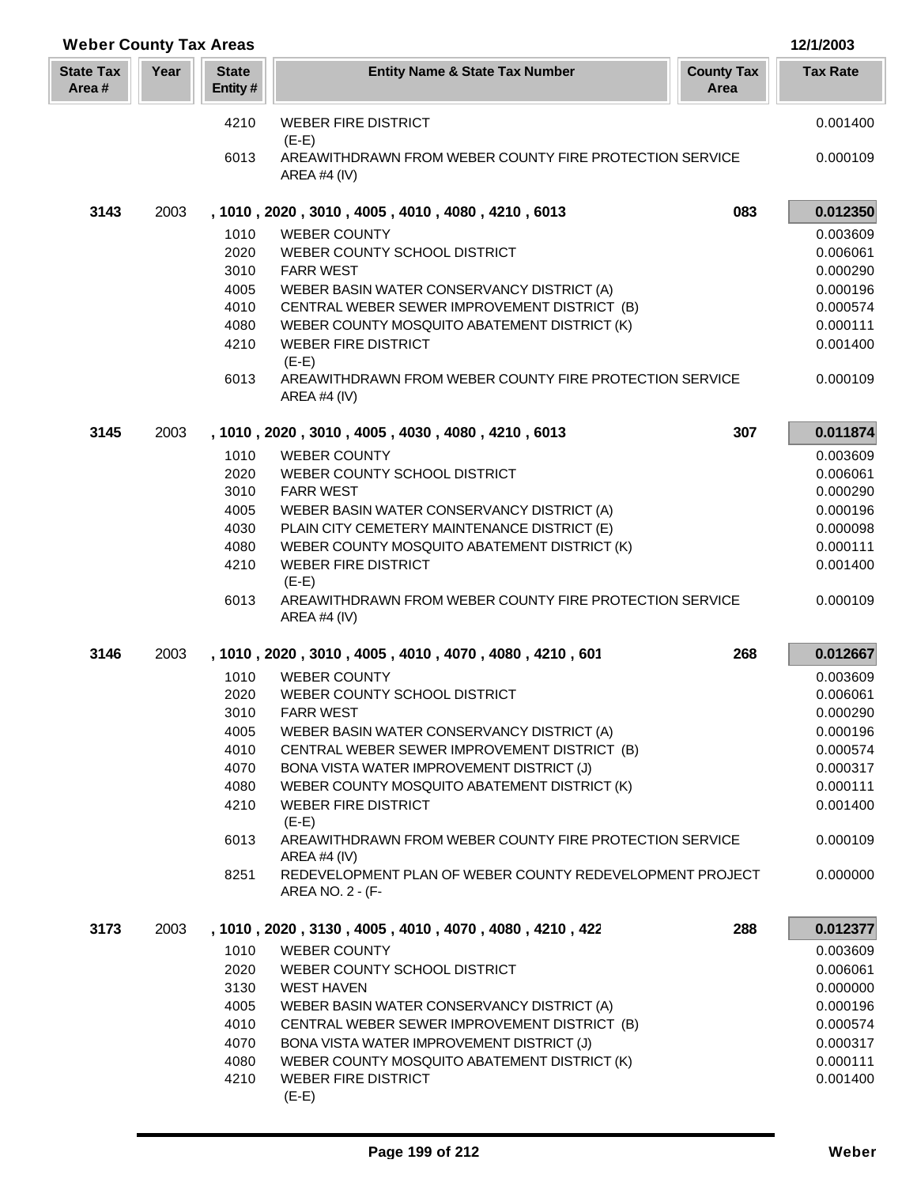| <b>Weber County Tax Areas</b> |      |                          |                                                                              |                           | 12/1/2003       |
|-------------------------------|------|--------------------------|------------------------------------------------------------------------------|---------------------------|-----------------|
| <b>State Tax</b><br>Area#     | Year | <b>State</b><br>Entity # | <b>Entity Name &amp; State Tax Number</b>                                    | <b>County Tax</b><br>Area | <b>Tax Rate</b> |
|                               |      | 4210                     | <b>WEBER FIRE DISTRICT</b><br>$(E-E)$                                        |                           | 0.001400        |
|                               |      | 6013                     | AREAWITHDRAWN FROM WEBER COUNTY FIRE PROTECTION SERVICE<br>AREA #4 (IV)      |                           | 0.000109        |
| 3143                          | 2003 |                          | , 1010, 2020, 3010, 4005, 4010, 4080, 4210, 6013                             | 083                       | 0.012350        |
|                               |      | 1010                     | <b>WEBER COUNTY</b>                                                          |                           | 0.003609        |
|                               |      | 2020                     | WEBER COUNTY SCHOOL DISTRICT                                                 |                           | 0.006061        |
|                               |      | 3010                     | <b>FARR WEST</b>                                                             |                           | 0.000290        |
|                               |      | 4005                     | WEBER BASIN WATER CONSERVANCY DISTRICT (A)                                   |                           | 0.000196        |
|                               |      | 4010                     | CENTRAL WEBER SEWER IMPROVEMENT DISTRICT (B)                                 |                           | 0.000574        |
|                               |      | 4080                     | WEBER COUNTY MOSQUITO ABATEMENT DISTRICT (K)                                 |                           | 0.000111        |
|                               |      | 4210                     | <b>WEBER FIRE DISTRICT</b><br>$(E-E)$                                        |                           | 0.001400        |
|                               |      | 6013                     | AREAWITHDRAWN FROM WEBER COUNTY FIRE PROTECTION SERVICE<br>AREA #4 (IV)      |                           | 0.000109        |
| 3145                          | 2003 |                          | , 1010, 2020, 3010, 4005, 4030, 4080, 4210, 6013                             | 307                       | 0.011874        |
|                               |      | 1010                     | <b>WEBER COUNTY</b>                                                          |                           | 0.003609        |
|                               |      | 2020                     | WEBER COUNTY SCHOOL DISTRICT                                                 |                           | 0.006061        |
|                               |      | 3010                     | <b>FARR WEST</b>                                                             |                           | 0.000290        |
|                               |      | 4005                     | WEBER BASIN WATER CONSERVANCY DISTRICT (A)                                   |                           | 0.000196        |
|                               |      | 4030                     | PLAIN CITY CEMETERY MAINTENANCE DISTRICT (E)                                 |                           | 0.000098        |
|                               |      | 4080                     | WEBER COUNTY MOSQUITO ABATEMENT DISTRICT (K)                                 |                           | 0.000111        |
|                               |      | 4210                     | <b>WEBER FIRE DISTRICT</b><br>$(E-E)$                                        |                           | 0.001400        |
|                               |      | 6013                     | AREAWITHDRAWN FROM WEBER COUNTY FIRE PROTECTION SERVICE<br>AREA #4 (IV)      |                           | 0.000109        |
| 3146                          | 2003 |                          | , 1010, 2020, 3010, 4005, 4010, 4070, 4080, 4210, 601                        | 268                       | 0.012667        |
|                               |      | 1010                     | <b>WEBER COUNTY</b>                                                          |                           | 0.003609        |
|                               |      | 2020                     | WEBER COUNTY SCHOOL DISTRICT                                                 |                           | 0.006061        |
|                               |      | 3010                     | <b>FARR WEST</b>                                                             |                           | 0.000290        |
|                               |      | 4005                     | WEBER BASIN WATER CONSERVANCY DISTRICT (A)                                   |                           | 0.000196        |
|                               |      | 4010                     | CENTRAL WEBER SEWER IMPROVEMENT DISTRICT (B)                                 |                           | 0.000574        |
|                               |      | 4070                     | BONA VISTA WATER IMPROVEMENT DISTRICT (J)                                    |                           | 0.000317        |
|                               |      | 4080                     | WEBER COUNTY MOSQUITO ABATEMENT DISTRICT (K)                                 |                           | 0.000111        |
|                               |      | 4210                     | <b>WEBER FIRE DISTRICT</b><br>$(E-E)$                                        |                           | 0.001400        |
|                               |      | 6013                     | AREAWITHDRAWN FROM WEBER COUNTY FIRE PROTECTION SERVICE<br>AREA #4 $(IV)$    |                           | 0.000109        |
|                               |      | 8251                     | REDEVELOPMENT PLAN OF WEBER COUNTY REDEVELOPMENT PROJECT<br>AREA NO. 2 - (F- |                           | 0.000000        |
| 3173                          | 2003 |                          | , 1010, 2020, 3130, 4005, 4010, 4070, 4080, 4210, 422                        | 288                       | 0.012377        |
|                               |      | 1010                     | <b>WEBER COUNTY</b>                                                          |                           | 0.003609        |
|                               |      | 2020                     | WEBER COUNTY SCHOOL DISTRICT                                                 |                           | 0.006061        |
|                               |      | 3130                     | <b>WEST HAVEN</b>                                                            |                           | 0.000000        |
|                               |      | 4005                     | WEBER BASIN WATER CONSERVANCY DISTRICT (A)                                   |                           | 0.000196        |
|                               |      | 4010                     | CENTRAL WEBER SEWER IMPROVEMENT DISTRICT (B)                                 |                           | 0.000574        |
|                               |      | 4070                     | BONA VISTA WATER IMPROVEMENT DISTRICT (J)                                    |                           | 0.000317        |
|                               |      | 4080                     | WEBER COUNTY MOSQUITO ABATEMENT DISTRICT (K)                                 |                           | 0.000111        |
|                               |      | 4210                     | <b>WEBER FIRE DISTRICT</b><br>$(E-E)$                                        |                           | 0.001400        |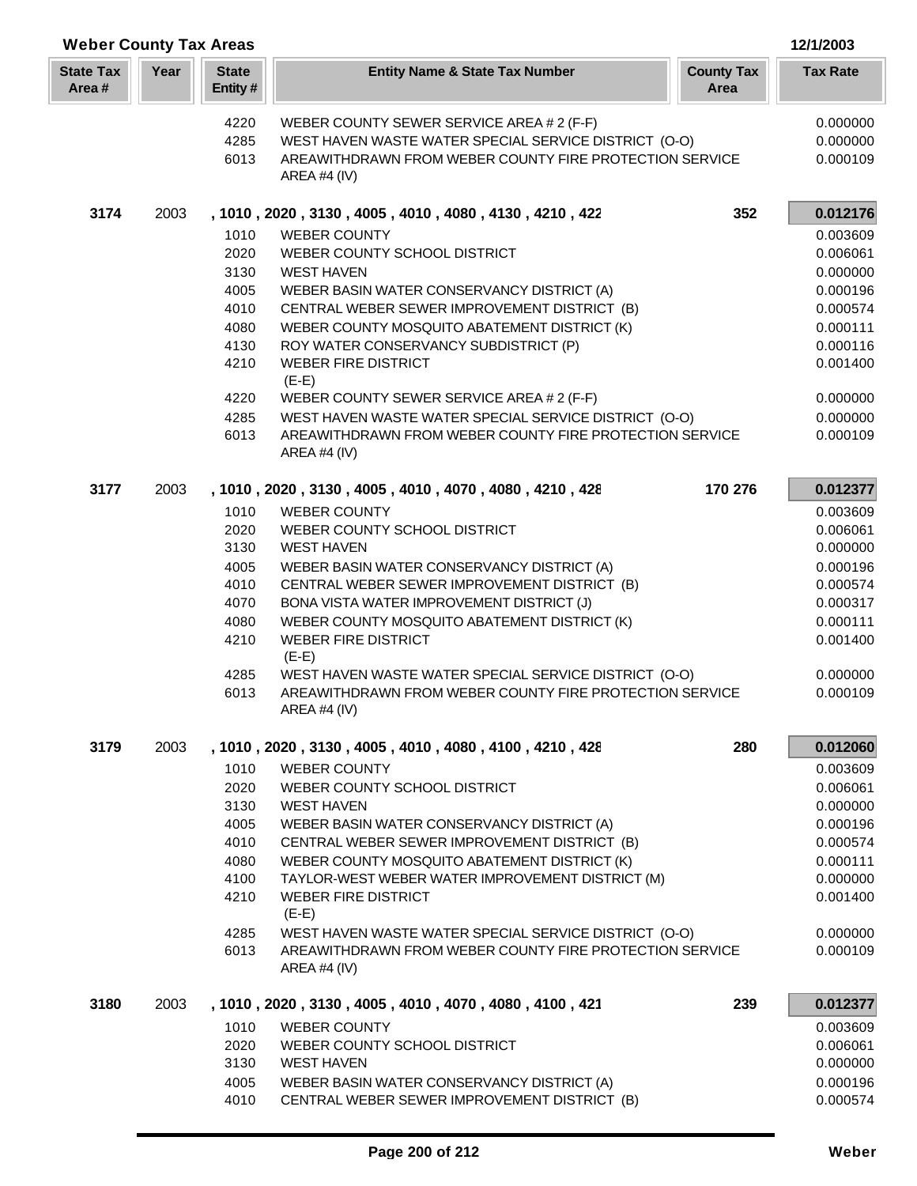|                           | <b>Weber County Tax Areas</b> |                         |                                                                                                                                         |                           |                      |  |
|---------------------------|-------------------------------|-------------------------|-----------------------------------------------------------------------------------------------------------------------------------------|---------------------------|----------------------|--|
| <b>State Tax</b><br>Area# | Year                          | <b>State</b><br>Entity# | <b>Entity Name &amp; State Tax Number</b>                                                                                               | <b>County Tax</b><br>Area | <b>Tax Rate</b>      |  |
|                           |                               | 4220                    | WEBER COUNTY SEWER SERVICE AREA # 2 (F-F)                                                                                               |                           | 0.000000             |  |
|                           |                               | 4285                    | WEST HAVEN WASTE WATER SPECIAL SERVICE DISTRICT (O-O)                                                                                   |                           | 0.000000             |  |
|                           |                               | 6013                    | AREAWITHDRAWN FROM WEBER COUNTY FIRE PROTECTION SERVICE                                                                                 |                           | 0.000109             |  |
|                           |                               |                         | AREA #4 (IV)                                                                                                                            |                           |                      |  |
| 3174                      | 2003                          |                         | , 1010, 2020, 3130, 4005, 4010, 4080, 4130, 4210, 422                                                                                   | 352                       | 0.012176             |  |
|                           |                               | 1010                    | <b>WEBER COUNTY</b>                                                                                                                     |                           | 0.003609<br>0.006061 |  |
|                           |                               | 2020<br>3130            | WEBER COUNTY SCHOOL DISTRICT<br><b>WEST HAVEN</b>                                                                                       |                           | 0.000000             |  |
|                           |                               | 4005                    | WEBER BASIN WATER CONSERVANCY DISTRICT (A)                                                                                              |                           | 0.000196             |  |
|                           |                               | 4010                    | CENTRAL WEBER SEWER IMPROVEMENT DISTRICT (B)                                                                                            |                           | 0.000574             |  |
|                           |                               | 4080                    | WEBER COUNTY MOSQUITO ABATEMENT DISTRICT (K)                                                                                            |                           | 0.000111             |  |
|                           |                               | 4130                    | ROY WATER CONSERVANCY SUBDISTRICT (P)                                                                                                   |                           | 0.000116             |  |
|                           |                               | 4210                    | <b>WEBER FIRE DISTRICT</b>                                                                                                              |                           | 0.001400             |  |
|                           |                               |                         | $(E-E)$                                                                                                                                 |                           |                      |  |
|                           |                               | 4220                    | WEBER COUNTY SEWER SERVICE AREA # 2 (F-F)                                                                                               |                           | 0.000000             |  |
|                           |                               | 4285                    | WEST HAVEN WASTE WATER SPECIAL SERVICE DISTRICT (O-O)                                                                                   |                           | 0.000000             |  |
|                           |                               | 6013                    | AREAWITHDRAWN FROM WEBER COUNTY FIRE PROTECTION SERVICE<br>AREA #4 (IV)                                                                 |                           | 0.000109             |  |
| 3177                      | 2003                          |                         | , 1010, 2020, 3130, 4005, 4010, 4070, 4080, 4210, 428                                                                                   | 170 276                   | 0.012377             |  |
|                           |                               | 1010                    | <b>WEBER COUNTY</b>                                                                                                                     |                           | 0.003609             |  |
|                           |                               | 2020                    | WEBER COUNTY SCHOOL DISTRICT                                                                                                            |                           | 0.006061             |  |
|                           |                               | 3130                    | <b>WEST HAVEN</b>                                                                                                                       |                           | 0.000000             |  |
|                           |                               | 4005                    | WEBER BASIN WATER CONSERVANCY DISTRICT (A)                                                                                              |                           | 0.000196             |  |
|                           |                               | 4010                    | CENTRAL WEBER SEWER IMPROVEMENT DISTRICT (B)                                                                                            |                           | 0.000574             |  |
|                           |                               | 4070                    | BONA VISTA WATER IMPROVEMENT DISTRICT (J)                                                                                               |                           | 0.000317             |  |
|                           |                               | 4080<br>4210            | WEBER COUNTY MOSQUITO ABATEMENT DISTRICT (K)<br><b>WEBER FIRE DISTRICT</b>                                                              |                           | 0.000111<br>0.001400 |  |
|                           |                               |                         | $(E-E)$                                                                                                                                 |                           |                      |  |
|                           |                               | 4285                    | WEST HAVEN WASTE WATER SPECIAL SERVICE DISTRICT (O-O)                                                                                   |                           | 0.000000             |  |
|                           |                               | 6013                    | AREAWITHDRAWN FROM WEBER COUNTY FIRE PROTECTION SERVICE<br><b>AREA #4 (IV)</b>                                                          |                           | 0.000109             |  |
| 3179                      | 2003                          |                         | , 1010, 2020, 3130, 4005, 4010, 4080, 4100, 4210, 428                                                                                   | 280                       | 0.012060             |  |
|                           |                               | 1010                    | <b>WEBER COUNTY</b>                                                                                                                     |                           | 0.003609             |  |
|                           |                               | 2020                    | WEBER COUNTY SCHOOL DISTRICT                                                                                                            |                           | 0.006061             |  |
|                           |                               | 3130                    | <b>WEST HAVEN</b>                                                                                                                       |                           | 0.000000             |  |
|                           |                               | 4005                    | WEBER BASIN WATER CONSERVANCY DISTRICT (A)                                                                                              |                           | 0.000196             |  |
|                           |                               | 4010                    | CENTRAL WEBER SEWER IMPROVEMENT DISTRICT (B)                                                                                            |                           | 0.000574             |  |
|                           |                               | 4080                    | WEBER COUNTY MOSQUITO ABATEMENT DISTRICT (K)                                                                                            |                           | 0.000111             |  |
|                           |                               | 4100                    | TAYLOR-WEST WEBER WATER IMPROVEMENT DISTRICT (M)                                                                                        |                           | 0.000000             |  |
|                           |                               | 4210                    | <b>WEBER FIRE DISTRICT</b>                                                                                                              |                           | 0.001400             |  |
|                           |                               |                         | $(E-E)$                                                                                                                                 |                           |                      |  |
|                           |                               | 4285<br>6013            | WEST HAVEN WASTE WATER SPECIAL SERVICE DISTRICT (O-O)<br>AREAWITHDRAWN FROM WEBER COUNTY FIRE PROTECTION SERVICE<br><b>AREA #4 (IV)</b> |                           | 0.000000<br>0.000109 |  |
| 3180                      | 2003                          |                         | , 1010, 2020, 3130, 4005, 4010, 4070, 4080, 4100, 421                                                                                   | 239                       | 0.012377             |  |
|                           |                               | 1010                    | <b>WEBER COUNTY</b>                                                                                                                     |                           | 0.003609             |  |
|                           |                               | 2020                    | WEBER COUNTY SCHOOL DISTRICT                                                                                                            |                           | 0.006061             |  |
|                           |                               | 3130                    | <b>WEST HAVEN</b>                                                                                                                       |                           | 0.000000             |  |
|                           |                               | 4005                    | WEBER BASIN WATER CONSERVANCY DISTRICT (A)                                                                                              |                           | 0.000196             |  |
|                           |                               | 4010                    | CENTRAL WEBER SEWER IMPROVEMENT DISTRICT (B)                                                                                            |                           | 0.000574             |  |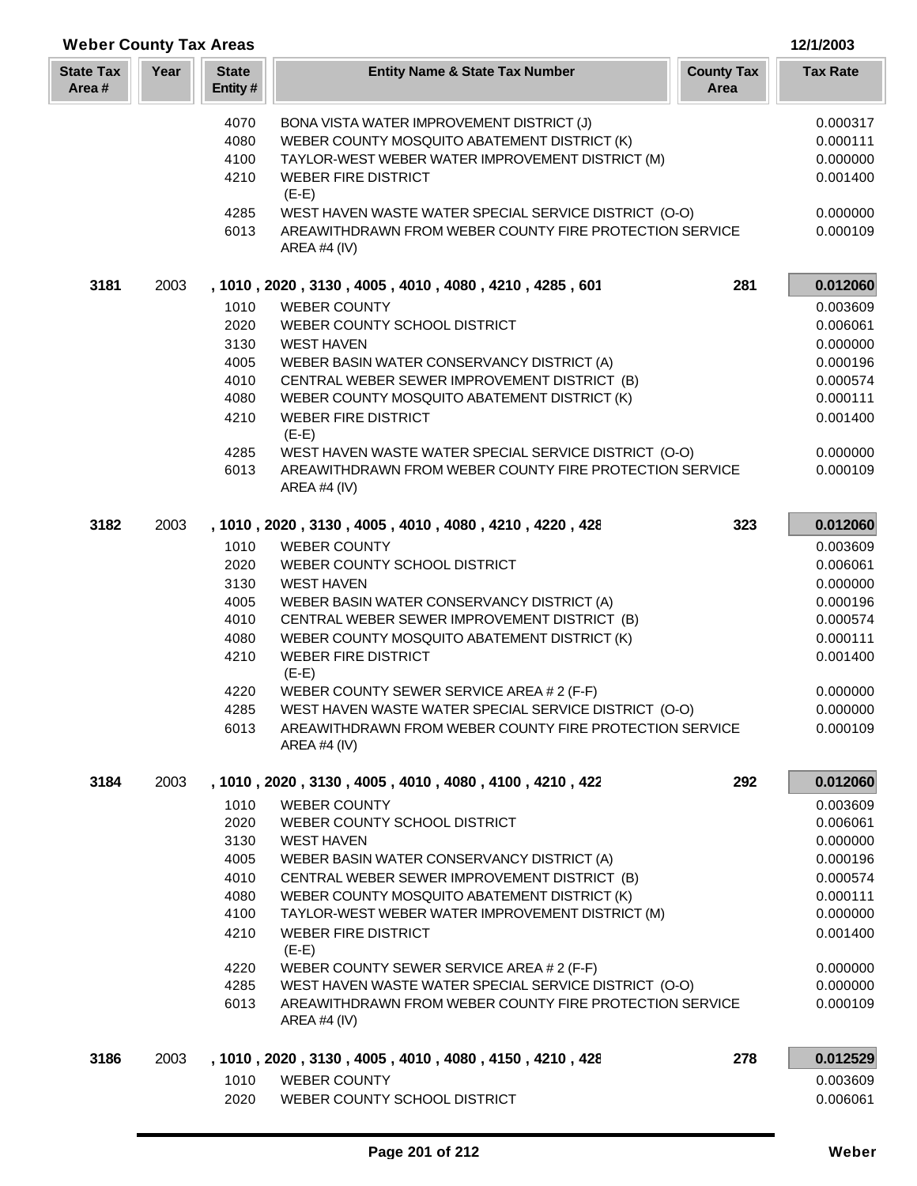| <b>Weber County Tax Areas</b> |      |                         |                                                                                                    |                           |                      |
|-------------------------------|------|-------------------------|----------------------------------------------------------------------------------------------------|---------------------------|----------------------|
| <b>State Tax</b><br>Area#     | Year | <b>State</b><br>Entity# | <b>Entity Name &amp; State Tax Number</b>                                                          | <b>County Tax</b><br>Area | <b>Tax Rate</b>      |
|                               |      | 4070                    | BONA VISTA WATER IMPROVEMENT DISTRICT (J)                                                          |                           | 0.000317             |
|                               |      | 4080                    | WEBER COUNTY MOSQUITO ABATEMENT DISTRICT (K)                                                       |                           | 0.000111             |
|                               |      | 4100                    | TAYLOR-WEST WEBER WATER IMPROVEMENT DISTRICT (M)                                                   |                           | 0.000000             |
|                               |      | 4210                    | <b>WEBER FIRE DISTRICT</b><br>$(E-E)$                                                              |                           | 0.001400             |
|                               |      | 4285                    | WEST HAVEN WASTE WATER SPECIAL SERVICE DISTRICT (O-O)                                              |                           | 0.000000             |
|                               |      | 6013                    | AREAWITHDRAWN FROM WEBER COUNTY FIRE PROTECTION SERVICE<br>AREA #4 (IV)                            |                           | 0.000109             |
| 3181                          | 2003 |                         | , 1010, 2020, 3130, 4005, 4010, 4080, 4210, 4285, 601                                              | 281                       | 0.012060             |
|                               |      | 1010                    | <b>WEBER COUNTY</b>                                                                                |                           | 0.003609             |
|                               |      | 2020                    | WEBER COUNTY SCHOOL DISTRICT                                                                       |                           | 0.006061             |
|                               |      | 3130                    | <b>WEST HAVEN</b>                                                                                  |                           | 0.000000             |
|                               |      | 4005                    | WEBER BASIN WATER CONSERVANCY DISTRICT (A)                                                         |                           | 0.000196             |
|                               |      | 4010<br>4080            | CENTRAL WEBER SEWER IMPROVEMENT DISTRICT (B)<br>WEBER COUNTY MOSQUITO ABATEMENT DISTRICT (K)       |                           | 0.000574<br>0.000111 |
|                               |      | 4210                    | <b>WEBER FIRE DISTRICT</b>                                                                         |                           | 0.001400             |
|                               |      |                         | $(E-E)$                                                                                            |                           |                      |
|                               |      | 4285                    | WEST HAVEN WASTE WATER SPECIAL SERVICE DISTRICT (O-O)                                              |                           | 0.000000             |
|                               |      | 6013                    | AREAWITHDRAWN FROM WEBER COUNTY FIRE PROTECTION SERVICE<br>AREA #4 (IV)                            |                           | 0.000109             |
| 3182                          | 2003 |                         | , 1010, 2020, 3130, 4005, 4010, 4080, 4210, 4220, 428                                              | 323                       | 0.012060             |
|                               |      | 1010                    | <b>WEBER COUNTY</b>                                                                                |                           | 0.003609             |
|                               |      | 2020                    | WEBER COUNTY SCHOOL DISTRICT                                                                       |                           | 0.006061             |
|                               |      | 3130                    | <b>WEST HAVEN</b>                                                                                  |                           | 0.000000             |
|                               |      | 4005                    | WEBER BASIN WATER CONSERVANCY DISTRICT (A)                                                         |                           | 0.000196             |
|                               |      | 4010                    | CENTRAL WEBER SEWER IMPROVEMENT DISTRICT (B)                                                       |                           | 0.000574             |
|                               |      | 4080                    | WEBER COUNTY MOSQUITO ABATEMENT DISTRICT (K)                                                       |                           | 0.000111             |
|                               |      | 4210                    | <b>WEBER FIRE DISTRICT</b><br>$(E-E)$                                                              |                           | 0.001400             |
|                               |      | 4220<br>4285            | WEBER COUNTY SEWER SERVICE AREA # 2 (F-F)<br>WEST HAVEN WASTE WATER SPECIAL SERVICE DISTRICT (O-O) |                           | 0.000000<br>0.000000 |
|                               |      | 6013                    | AREAWITHDRAWN FROM WEBER COUNTY FIRE PROTECTION SERVICE<br>AREA #4 (IV)                            |                           | 0.000109             |
| 3184                          | 2003 |                         | , 1010, 2020, 3130, 4005, 4010, 4080, 4100, 4210, 422                                              | 292                       | 0.012060             |
|                               |      | 1010                    | <b>WEBER COUNTY</b>                                                                                |                           | 0.003609             |
|                               |      | 2020                    | WEBER COUNTY SCHOOL DISTRICT                                                                       |                           | 0.006061             |
|                               |      | 3130                    | <b>WEST HAVEN</b>                                                                                  |                           | 0.000000             |
|                               |      | 4005                    | WEBER BASIN WATER CONSERVANCY DISTRICT (A)                                                         |                           | 0.000196             |
|                               |      | 4010                    | CENTRAL WEBER SEWER IMPROVEMENT DISTRICT (B)                                                       |                           | 0.000574             |
|                               |      | 4080                    | WEBER COUNTY MOSQUITO ABATEMENT DISTRICT (K)                                                       |                           | 0.000111             |
|                               |      | 4100                    | TAYLOR-WEST WEBER WATER IMPROVEMENT DISTRICT (M)                                                   |                           | 0.000000             |
|                               |      | 4210                    | <b>WEBER FIRE DISTRICT</b><br>$(E-E)$                                                              |                           | 0.001400             |
|                               |      | 4220                    | WEBER COUNTY SEWER SERVICE AREA # 2 (F-F)                                                          |                           | 0.000000             |
|                               |      | 4285                    | WEST HAVEN WASTE WATER SPECIAL SERVICE DISTRICT (O-O)                                              |                           | 0.000000             |
|                               |      | 6013                    | AREAWITHDRAWN FROM WEBER COUNTY FIRE PROTECTION SERVICE<br>AREA #4 (IV)                            |                           | 0.000109             |
| 3186                          | 2003 |                         | , 1010, 2020, 3130, 4005, 4010, 4080, 4150, 4210, 428                                              | 278                       | 0.012529             |
|                               |      | 1010                    | <b>WEBER COUNTY</b>                                                                                |                           | 0.003609             |
|                               |      | 2020                    | WEBER COUNTY SCHOOL DISTRICT                                                                       |                           | 0.006061             |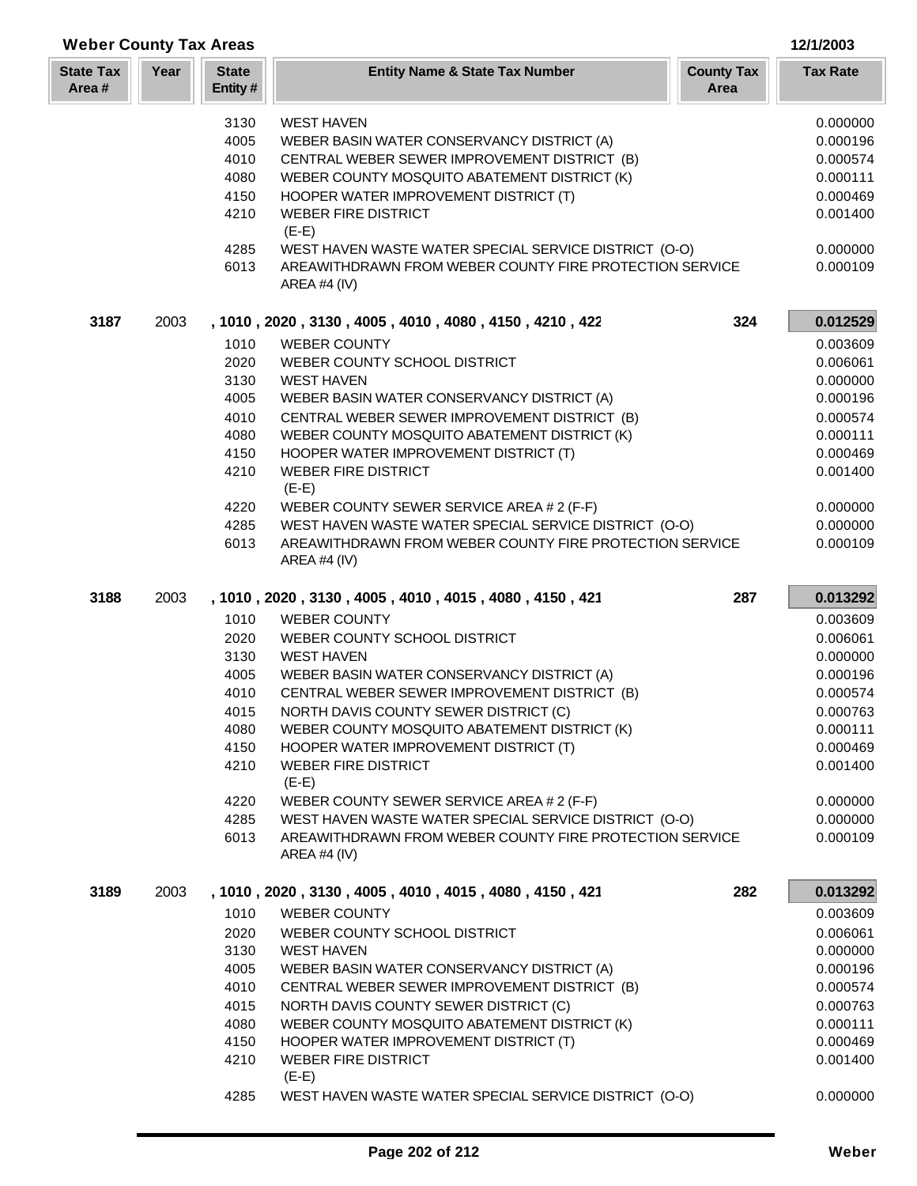## **Year Entity Name & State Tax Number County Tax Tax Rate Area State Tax Area # Weber County Tax Areas 12/1/2003 State Entity #** 3130 WEST HAVEN 0.000000 4005 WEBER BASIN WATER CONSERVANCY DISTRICT (A) 0.000196 4010 CENTRAL WEBER SEWER IMPROVEMENT DISTRICT (B) 0.000574 4080 WEBER COUNTY MOSQUITO ABATEMENT DISTRICT (K) 0.000111 4150 HOOPER WATER IMPROVEMENT DISTRICT (T) 0.000469 0.000469 4210 WEBER FIRE DISTRICT 0.001400  $(E-E)$ 4285 WEST HAVEN WASTE WATER SPECIAL SERVICE DISTRICT (O-O) 0.000000 6013 AREAWITHDRAWN FROM WEBER COUNTY FIRE PROTECTION SERVICE 0.000109 AREA #4 (IV) **3187** 2003 **, 1010 , 2020 , 3130 , 4005 , 4010 , 4080 , 4150 , 4210 , 422 324 0.012529** 1010 WEBER COUNTY 0.003609 2020 WEBER COUNTY SCHOOL DISTRICT **120000001** 0.006061 3130 WEST HAVEN 0.000000 4005 WEBER BASIN WATER CONSERVANCY DISTRICT (A) 0.000196 4010 CENTRAL WEBER SEWER IMPROVEMENT DISTRICT (B) 0.000574 4080 WEBER COUNTY MOSQUITO ABATEMENT DISTRICT (K) 0.000111 4150 HOOPER WATER IMPROVEMENT DISTRICT (T) 0.000469 0.000469 Produced a series of the USTRICT control of the USTRICT control of the USTRICT control of the USTRICT control of the USTRICT control of the USTRICT control of the USTRICT control of the USTRICT control of the USTRICT contr (E-E) 4220 WEBER COUNTY SEWER SERVICE AREA # 2 (F-F) 0.000000 4285 WEST HAVEN WASTE WATER SPECIAL SERVICE DISTRICT (O-O) 0.000000 6013 AREAWITHDRAWN FROM WEBER COUNTY FIRE PROTECTION SERVICE 0.000109 AREA #4 (IV) **3188** 2003 **, 1010 , 2020 , 3130 , 4005 , 4010 , 4015 , 4080 , 4150 , 421 287 0.013292** 1010 WEBER COUNTY **1010** WEBER COUNTY 2020 WEBER COUNTY SCHOOL DISTRICT And the control of the control of the control of the control of the control of the control of the control of the control of the control of the control of the control of the control of the 3130 WEST HAVEN 0.000000 4005 WEBER BASIN WATER CONSERVANCY DISTRICT (A) 0.000196 4010 CENTRAL WEBER SEWER IMPROVEMENT DISTRICT (B) 0.000574 4015 NORTH DAVIS COUNTY SEWER DISTRICT (C)  $0.000763$ 4080 WEBER COUNTY MOSQUITO ABATEMENT DISTRICT (K) 0.000111 4150 HOOPER WATER IMPROVEMENT DISTRICT (T) 0.000469 0.000469 A 210 WEBER FIRE DISTRICT A LOCAL CONTROL CONTROL CONTROL CONTROL CONTROL CONTROL CONTROL CONTROL CONTROL CONTROL CONTROL CONTROL CONTROL CONTROL CONTROL CONTROL CONTROL CONTROL CONTROL CONTROL CONTROL CONTROL CONTROL CONT (E-E) 4220 WEBER COUNTY SEWER SERVICE AREA # 2 (F-F) 0.000000 4285 WEST HAVEN WASTE WATER SPECIAL SERVICE DISTRICT (O-O) 0.000000 6013 AREAWITHDRAWN FROM WEBER COUNTY FIRE PROTECTION SERVICE 0.000109 AREA #4 (IV)

| 3189 | 2003 |      | , 1010, 2020, 3130, 4005, 4010, 4015, 4080, 4150, 421 | 282 | 0.013292 |
|------|------|------|-------------------------------------------------------|-----|----------|
|      |      | 1010 | <b>WEBER COUNTY</b>                                   |     | 0.003609 |
|      |      | 2020 | WEBER COUNTY SCHOOL DISTRICT                          |     | 0.006061 |
|      |      | 3130 | <b>WEST HAVEN</b>                                     |     | 0.000000 |
|      |      | 4005 | WEBER BASIN WATER CONSERVANCY DISTRICT (A)            |     | 0.000196 |
|      |      | 4010 | CENTRAL WEBER SEWER IMPROVEMENT DISTRICT (B)          |     | 0.000574 |
|      |      | 4015 | NORTH DAVIS COUNTY SEWER DISTRICT (C)                 |     | 0.000763 |
|      |      | 4080 | WEBER COUNTY MOSQUITO ABATEMENT DISTRICT (K)          |     | 0.000111 |
|      |      | 4150 | HOOPER WATER IMPROVEMENT DISTRICT (T)                 |     | 0.000469 |
|      |      | 4210 | <b>WEBER FIRE DISTRICT</b><br>$(E-E)$                 |     | 0.001400 |
|      |      | 4285 | WEST HAVEN WASTE WATER SPECIAL SERVICE DISTRICT (O-O) |     | 0.000000 |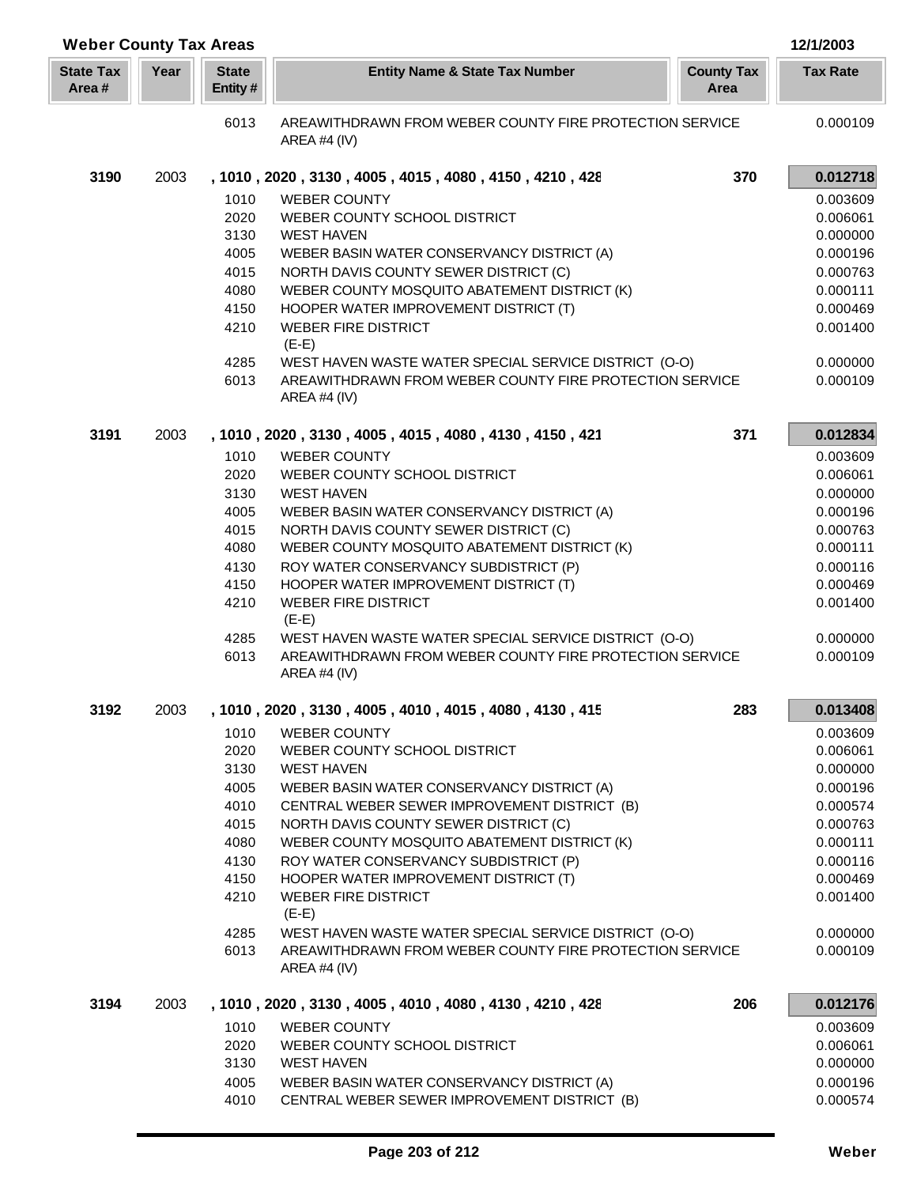| <b>Weber County Tax Areas</b> |      |                         |                                                                                                                  |                           | 12/1/2003       |
|-------------------------------|------|-------------------------|------------------------------------------------------------------------------------------------------------------|---------------------------|-----------------|
| <b>State Tax</b><br>Area #    | Year | <b>State</b><br>Entity# | <b>Entity Name &amp; State Tax Number</b>                                                                        | <b>County Tax</b><br>Area | <b>Tax Rate</b> |
|                               |      | 6013                    | AREAWITHDRAWN FROM WEBER COUNTY FIRE PROTECTION SERVICE<br>AREA #4 (IV)                                          |                           | 0.000109        |
| 3190                          | 2003 |                         | , 1010, 2020, 3130, 4005, 4015, 4080, 4150, 4210, 428                                                            | 370                       | 0.012718        |
|                               |      | 1010                    | <b>WEBER COUNTY</b>                                                                                              |                           | 0.003609        |
|                               |      | 2020                    | WEBER COUNTY SCHOOL DISTRICT                                                                                     |                           | 0.006061        |
|                               |      | 3130                    | <b>WEST HAVEN</b>                                                                                                |                           | 0.000000        |
|                               |      | 4005                    | WEBER BASIN WATER CONSERVANCY DISTRICT (A)                                                                       |                           | 0.000196        |
|                               |      | 4015                    | NORTH DAVIS COUNTY SEWER DISTRICT (C)                                                                            |                           | 0.000763        |
|                               |      | 4080                    | WEBER COUNTY MOSQUITO ABATEMENT DISTRICT (K)                                                                     |                           | 0.000111        |
|                               |      | 4150                    | HOOPER WATER IMPROVEMENT DISTRICT (T)                                                                            |                           | 0.000469        |
|                               |      | 4210                    | <b>WEBER FIRE DISTRICT</b><br>$(E-E)$                                                                            |                           | 0.001400        |
|                               |      | 4285                    | WEST HAVEN WASTE WATER SPECIAL SERVICE DISTRICT (O-O)                                                            |                           | 0.000000        |
|                               |      | 6013                    | AREAWITHDRAWN FROM WEBER COUNTY FIRE PROTECTION SERVICE<br>AREA #4 (IV)                                          |                           | 0.000109        |
| 3191                          | 2003 |                         | , 1010, 2020, 3130, 4005, 4015, 4080, 4130, 4150, 421                                                            | 371                       | 0.012834        |
|                               |      | 1010                    | <b>WEBER COUNTY</b>                                                                                              |                           | 0.003609        |
|                               |      | 2020                    | WEBER COUNTY SCHOOL DISTRICT                                                                                     |                           | 0.006061        |
|                               |      | 3130                    | <b>WEST HAVEN</b>                                                                                                |                           | 0.000000        |
|                               |      | 4005                    | WEBER BASIN WATER CONSERVANCY DISTRICT (A)                                                                       |                           | 0.000196        |
|                               |      | 4015                    | NORTH DAVIS COUNTY SEWER DISTRICT (C)                                                                            |                           | 0.000763        |
|                               |      | 4080                    | WEBER COUNTY MOSQUITO ABATEMENT DISTRICT (K)                                                                     |                           | 0.000111        |
|                               |      | 4130                    | ROY WATER CONSERVANCY SUBDISTRICT (P)                                                                            |                           | 0.000116        |
|                               |      | 4150                    | HOOPER WATER IMPROVEMENT DISTRICT (T)                                                                            |                           | 0.000469        |
|                               |      | 4210                    | <b>WEBER FIRE DISTRICT</b><br>$(E-E)$                                                                            |                           | 0.001400        |
|                               |      | 4285                    | WEST HAVEN WASTE WATER SPECIAL SERVICE DISTRICT (O-O)                                                            |                           | 0.000000        |
|                               |      | 6013                    | AREAWITHDRAWN FROM WEBER COUNTY FIRE PROTECTION SERVICE<br>AREA #4 (IV)                                          |                           | 0.000109        |
| 3192                          | 2003 |                         | , 1010, 2020, 3130, 4005, 4010, 4015, 4080, 4130, 415                                                            | 283                       | 0.013408        |
|                               |      | 1010                    | <b>WEBER COUNTY</b>                                                                                              |                           | 0.003609        |
|                               |      | 2020                    | WEBER COUNTY SCHOOL DISTRICT                                                                                     |                           | 0.006061        |
|                               |      | 3130                    | <b>WEST HAVEN</b>                                                                                                |                           | 0.000000        |
|                               |      | 4005                    | WEBER BASIN WATER CONSERVANCY DISTRICT (A)                                                                       |                           | 0.000196        |
|                               |      | 4010                    | CENTRAL WEBER SEWER IMPROVEMENT DISTRICT (B)                                                                     |                           | 0.000574        |
|                               |      | 4015                    | NORTH DAVIS COUNTY SEWER DISTRICT (C)                                                                            |                           | 0.000763        |
|                               |      | 4080                    | WEBER COUNTY MOSQUITO ABATEMENT DISTRICT (K)                                                                     |                           | 0.000111        |
|                               |      | 4130                    | ROY WATER CONSERVANCY SUBDISTRICT (P)                                                                            |                           | 0.000116        |
|                               |      | 4150                    | HOOPER WATER IMPROVEMENT DISTRICT (T)                                                                            |                           | 0.000469        |
|                               |      | 4210                    | <b>WEBER FIRE DISTRICT</b><br>$(E-E)$                                                                            |                           | 0.001400        |
|                               |      | 4285                    | WEST HAVEN WASTE WATER SPECIAL SERVICE DISTRICT (O-O)<br>AREAWITHDRAWN FROM WEBER COUNTY FIRE PROTECTION SERVICE |                           | 0.000000        |
|                               |      | 6013                    | AREA #4 (IV)                                                                                                     |                           | 0.000109        |
| 3194                          | 2003 |                         | , 1010, 2020, 3130, 4005, 4010, 4080, 4130, 4210, 428                                                            | 206                       | 0.012176        |
|                               |      | 1010                    | <b>WEBER COUNTY</b>                                                                                              |                           | 0.003609        |
|                               |      | 2020                    | WEBER COUNTY SCHOOL DISTRICT                                                                                     |                           | 0.006061        |
|                               |      | 3130                    | <b>WEST HAVEN</b>                                                                                                |                           | 0.000000        |
|                               |      | 4005                    | WEBER BASIN WATER CONSERVANCY DISTRICT (A)                                                                       |                           | 0.000196        |
|                               |      | 4010                    | CENTRAL WEBER SEWER IMPROVEMENT DISTRICT (B)                                                                     |                           | 0.000574        |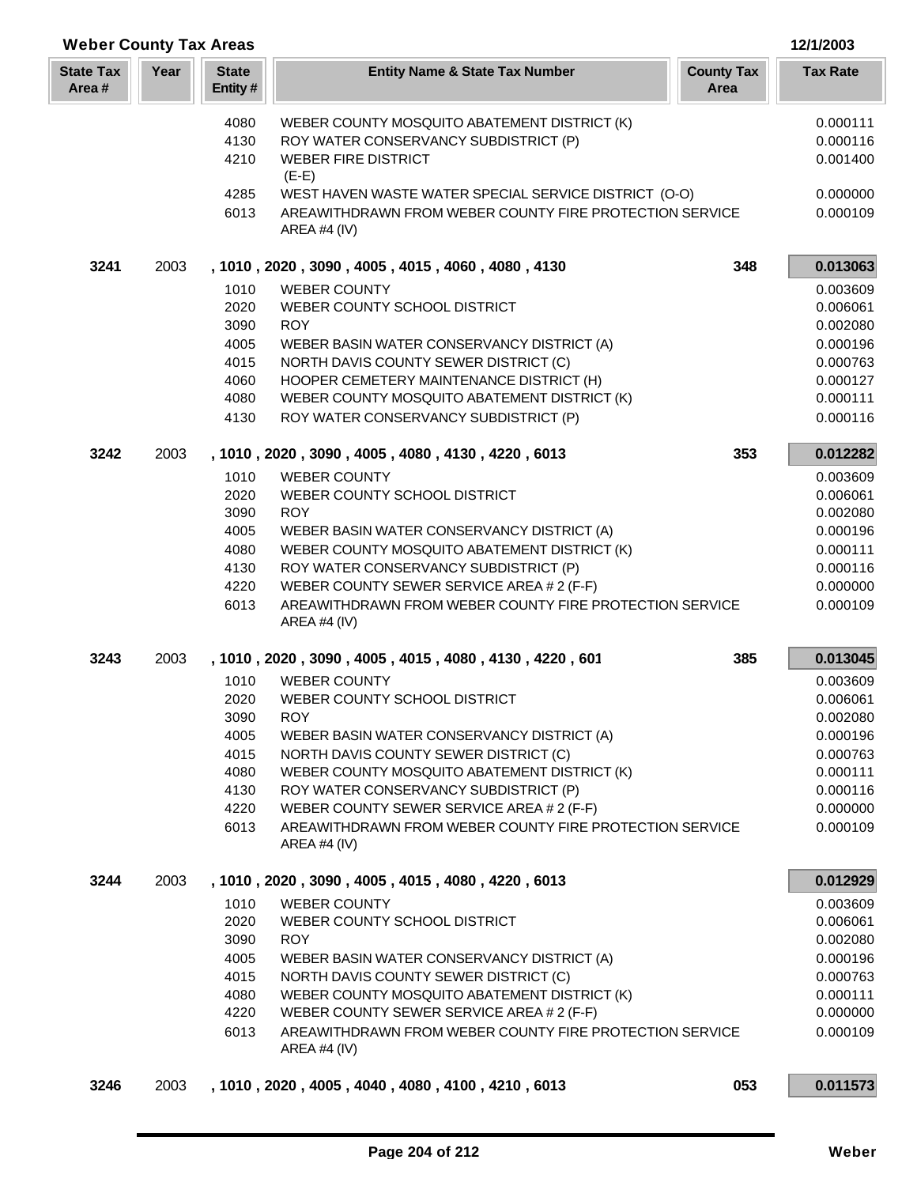| <b>Weber County Tax Areas</b> |      |                         |                                                                         |                           | 12/1/2003            |
|-------------------------------|------|-------------------------|-------------------------------------------------------------------------|---------------------------|----------------------|
| <b>State Tax</b><br>Area#     | Year | <b>State</b><br>Entity# | <b>Entity Name &amp; State Tax Number</b>                               | <b>County Tax</b><br>Area | <b>Tax Rate</b>      |
|                               |      | 4080                    | WEBER COUNTY MOSQUITO ABATEMENT DISTRICT (K)                            |                           | 0.000111             |
|                               |      | 4130                    | ROY WATER CONSERVANCY SUBDISTRICT (P)                                   |                           | 0.000116             |
|                               |      | 4210                    | <b>WEBER FIRE DISTRICT</b><br>$(E-E)$                                   |                           | 0.001400             |
|                               |      | 4285                    | WEST HAVEN WASTE WATER SPECIAL SERVICE DISTRICT (O-O)                   |                           | 0.000000             |
|                               |      | 6013                    | AREAWITHDRAWN FROM WEBER COUNTY FIRE PROTECTION SERVICE<br>AREA #4 (IV) |                           | 0.000109             |
| 3241                          | 2003 |                         | , 1010, 2020, 3090, 4005, 4015, 4060, 4080, 4130                        | 348                       | 0.013063             |
|                               |      | 1010                    | <b>WEBER COUNTY</b>                                                     |                           | 0.003609             |
|                               |      | 2020                    | WEBER COUNTY SCHOOL DISTRICT                                            |                           | 0.006061             |
|                               |      | 3090                    | <b>ROY</b>                                                              |                           | 0.002080             |
|                               |      | 4005                    | WEBER BASIN WATER CONSERVANCY DISTRICT (A)                              |                           | 0.000196             |
|                               |      | 4015                    | NORTH DAVIS COUNTY SEWER DISTRICT (C)                                   |                           | 0.000763             |
|                               |      | 4060                    | HOOPER CEMETERY MAINTENANCE DISTRICT (H)                                |                           | 0.000127             |
|                               |      | 4080                    | WEBER COUNTY MOSQUITO ABATEMENT DISTRICT (K)                            |                           | 0.000111             |
|                               |      | 4130                    | ROY WATER CONSERVANCY SUBDISTRICT (P)                                   |                           | 0.000116             |
| 3242                          | 2003 |                         | , 1010, 2020, 3090, 4005, 4080, 4130, 4220, 6013                        | 353                       | 0.012282             |
|                               |      | 1010                    | <b>WEBER COUNTY</b>                                                     |                           | 0.003609             |
|                               |      | 2020                    | WEBER COUNTY SCHOOL DISTRICT                                            |                           | 0.006061             |
|                               |      | 3090<br>4005            | <b>ROY</b><br>WEBER BASIN WATER CONSERVANCY DISTRICT (A)                |                           | 0.002080<br>0.000196 |
|                               |      | 4080                    | WEBER COUNTY MOSQUITO ABATEMENT DISTRICT (K)                            |                           | 0.000111             |
|                               |      | 4130                    | ROY WATER CONSERVANCY SUBDISTRICT (P)                                   |                           | 0.000116             |
|                               |      | 4220                    | WEBER COUNTY SEWER SERVICE AREA # 2 (F-F)                               |                           | 0.000000             |
|                               |      | 6013                    | AREAWITHDRAWN FROM WEBER COUNTY FIRE PROTECTION SERVICE<br>AREA #4 (IV) |                           | 0.000109             |
| 3243                          | 2003 |                         | , 1010, 2020, 3090, 4005, 4015, 4080, 4130, 4220, 601                   | 385                       | 0.013045             |
|                               |      | 1010                    | <b>WEBER COUNTY</b>                                                     |                           | 0.003609             |
|                               |      | 2020                    | WEBER COUNTY SCHOOL DISTRICT                                            |                           | 0.006061             |
|                               |      | 3090                    | <b>ROY</b>                                                              |                           | 0.002080             |
|                               |      | 4005                    | WEBER BASIN WATER CONSERVANCY DISTRICT (A)                              |                           | 0.000196             |
|                               |      | 4015                    | NORTH DAVIS COUNTY SEWER DISTRICT (C)                                   |                           | 0.000763             |
|                               |      | 4080                    | WEBER COUNTY MOSQUITO ABATEMENT DISTRICT (K)                            |                           | 0.000111             |
|                               |      | 4130                    | ROY WATER CONSERVANCY SUBDISTRICT (P)                                   |                           | 0.000116             |
|                               |      | 4220                    | WEBER COUNTY SEWER SERVICE AREA # 2 (F-F)                               |                           | 0.000000             |
|                               |      | 6013                    | AREAWITHDRAWN FROM WEBER COUNTY FIRE PROTECTION SERVICE<br>AREA #4 (IV) |                           | 0.000109             |
| 3244                          | 2003 |                         | , 1010, 2020, 3090, 4005, 4015, 4080, 4220, 6013                        |                           | 0.012929             |
|                               |      | 1010                    | <b>WEBER COUNTY</b>                                                     |                           | 0.003609             |
|                               |      | 2020                    | WEBER COUNTY SCHOOL DISTRICT                                            |                           | 0.006061             |
|                               |      | 3090                    | <b>ROY</b>                                                              |                           | 0.002080             |
|                               |      | 4005                    | WEBER BASIN WATER CONSERVANCY DISTRICT (A)                              |                           | 0.000196             |
|                               |      | 4015                    | NORTH DAVIS COUNTY SEWER DISTRICT (C)                                   |                           | 0.000763             |
|                               |      | 4080                    | WEBER COUNTY MOSQUITO ABATEMENT DISTRICT (K)                            |                           | 0.000111             |
|                               |      | 4220                    | WEBER COUNTY SEWER SERVICE AREA # 2 (F-F)                               |                           | 0.000000             |
|                               |      | 6013                    | AREAWITHDRAWN FROM WEBER COUNTY FIRE PROTECTION SERVICE<br>AREA #4 (IV) |                           | 0.000109             |
| 3246                          | 2003 |                         | , 1010 , 2020 , 4005 , 4040 , 4080 , 4100 , 4210 , 6013                 | 053                       | 0.011573             |

L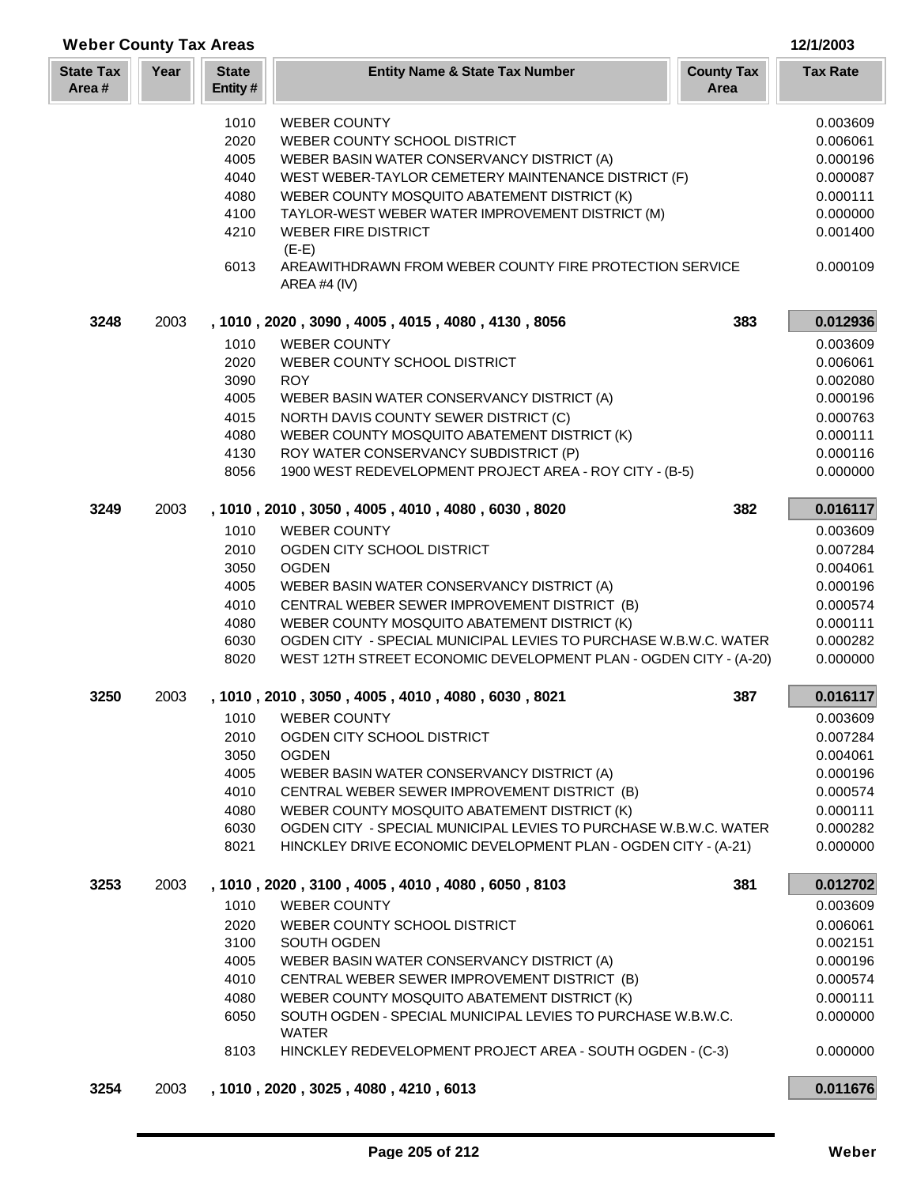| <b>Weber County Tax Areas</b> |      |                          |                                                                         |                           | 12/1/2003       |
|-------------------------------|------|--------------------------|-------------------------------------------------------------------------|---------------------------|-----------------|
| <b>State Tax</b><br>Area#     | Year | <b>State</b><br>Entity # | <b>Entity Name &amp; State Tax Number</b>                               | <b>County Tax</b><br>Area | <b>Tax Rate</b> |
|                               |      | 1010                     | <b>WEBER COUNTY</b>                                                     |                           | 0.003609        |
|                               |      | 2020                     | WEBER COUNTY SCHOOL DISTRICT                                            |                           | 0.006061        |
|                               |      | 4005                     | WEBER BASIN WATER CONSERVANCY DISTRICT (A)                              |                           | 0.000196        |
|                               |      | 4040                     | WEST WEBER-TAYLOR CEMETERY MAINTENANCE DISTRICT (F)                     |                           |                 |
|                               |      |                          |                                                                         |                           | 0.000087        |
|                               |      | 4080                     | WEBER COUNTY MOSQUITO ABATEMENT DISTRICT (K)                            |                           | 0.000111        |
|                               |      | 4100                     | TAYLOR-WEST WEBER WATER IMPROVEMENT DISTRICT (M)                        |                           | 0.000000        |
|                               |      | 4210                     | <b>WEBER FIRE DISTRICT</b><br>$(E-E)$                                   |                           | 0.001400        |
|                               |      | 6013                     | AREAWITHDRAWN FROM WEBER COUNTY FIRE PROTECTION SERVICE<br>AREA #4 (IV) |                           | 0.000109        |
| 3248                          | 2003 |                          | , 1010, 2020, 3090, 4005, 4015, 4080, 4130, 8056                        | 383                       | 0.012936        |
|                               |      | 1010                     | <b>WEBER COUNTY</b>                                                     |                           | 0.003609        |
|                               |      | 2020                     | WEBER COUNTY SCHOOL DISTRICT                                            |                           | 0.006061        |
|                               |      | 3090                     | <b>ROY</b>                                                              |                           | 0.002080        |
|                               |      | 4005                     | WEBER BASIN WATER CONSERVANCY DISTRICT (A)                              |                           | 0.000196        |
|                               |      | 4015                     | NORTH DAVIS COUNTY SEWER DISTRICT (C)                                   |                           | 0.000763        |
|                               |      | 4080                     | WEBER COUNTY MOSQUITO ABATEMENT DISTRICT (K)                            |                           | 0.000111        |
|                               |      | 4130                     | ROY WATER CONSERVANCY SUBDISTRICT (P)                                   |                           | 0.000116        |
|                               |      | 8056                     | 1900 WEST REDEVELOPMENT PROJECT AREA - ROY CITY - (B-5)                 |                           | 0.000000        |
| 3249                          | 2003 |                          | , 1010, 2010, 3050, 4005, 4010, 4080, 6030, 8020                        | 382                       | 0.016117        |
|                               |      | 1010                     | <b>WEBER COUNTY</b>                                                     |                           | 0.003609        |
|                               |      | 2010                     | OGDEN CITY SCHOOL DISTRICT                                              |                           | 0.007284        |
|                               |      | 3050                     | <b>OGDEN</b>                                                            |                           | 0.004061        |
|                               |      | 4005                     | WEBER BASIN WATER CONSERVANCY DISTRICT (A)                              |                           | 0.000196        |
|                               |      | 4010                     | CENTRAL WEBER SEWER IMPROVEMENT DISTRICT (B)                            |                           | 0.000574        |
|                               |      | 4080                     | WEBER COUNTY MOSQUITO ABATEMENT DISTRICT (K)                            |                           | 0.000111        |
|                               |      | 6030                     | OGDEN CITY - SPECIAL MUNICIPAL LEVIES TO PURCHASE W.B.W.C. WATER        |                           | 0.000282        |
|                               |      | 8020                     | WEST 12TH STREET ECONOMIC DEVELOPMENT PLAN - OGDEN CITY - (A-20)        |                           | 0.000000        |
| 3250                          | 2003 |                          | , 1010, 2010, 3050, 4005, 4010, 4080, 6030, 8021                        | 387                       | 0.016117        |
|                               |      | 1010                     | <b>WEBER COUNTY</b>                                                     |                           | 0.003609        |
|                               |      | 2010                     | OGDEN CITY SCHOOL DISTRICT                                              |                           | 0.007284        |
|                               |      | 3050                     | <b>OGDEN</b>                                                            |                           | 0.004061        |
|                               |      | 4005                     | WEBER BASIN WATER CONSERVANCY DISTRICT (A)                              |                           | 0.000196        |
|                               |      | 4010                     | CENTRAL WEBER SEWER IMPROVEMENT DISTRICT (B)                            |                           | 0.000574        |
|                               |      | 4080                     | WEBER COUNTY MOSQUITO ABATEMENT DISTRICT (K)                            |                           | 0.000111        |
|                               |      | 6030                     | OGDEN CITY - SPECIAL MUNICIPAL LEVIES TO PURCHASE W.B.W.C. WATER        |                           | 0.000282        |
|                               |      | 8021                     | HINCKLEY DRIVE ECONOMIC DEVELOPMENT PLAN - OGDEN CITY - (A-21)          |                           | 0.000000        |
| 3253                          | 2003 |                          | , 1010, 2020, 3100, 4005, 4010, 4080, 6050, 8103                        | 381                       | 0.012702        |
|                               |      | 1010                     | <b>WEBER COUNTY</b>                                                     |                           | 0.003609        |
|                               |      | 2020                     | WEBER COUNTY SCHOOL DISTRICT                                            |                           | 0.006061        |
|                               |      | 3100                     | SOUTH OGDEN                                                             |                           | 0.002151        |
|                               |      | 4005                     | WEBER BASIN WATER CONSERVANCY DISTRICT (A)                              |                           | 0.000196        |
|                               |      | 4010                     | CENTRAL WEBER SEWER IMPROVEMENT DISTRICT (B)                            |                           | 0.000574        |
|                               |      | 4080                     | WEBER COUNTY MOSQUITO ABATEMENT DISTRICT (K)                            |                           | 0.000111        |
|                               |      | 6050                     | SOUTH OGDEN - SPECIAL MUNICIPAL LEVIES TO PURCHASE W.B.W.C.             |                           | 0.000000        |
|                               |      |                          | <b>WATER</b>                                                            |                           |                 |
|                               |      | 8103                     | HINCKLEY REDEVELOPMENT PROJECT AREA - SOUTH OGDEN - (C-3)               |                           | 0.000000        |
| 3254                          | 2003 |                          | , 1010 , 2020 , 3025 , 4080 , 4210 , 6013                               |                           | 0.011676        |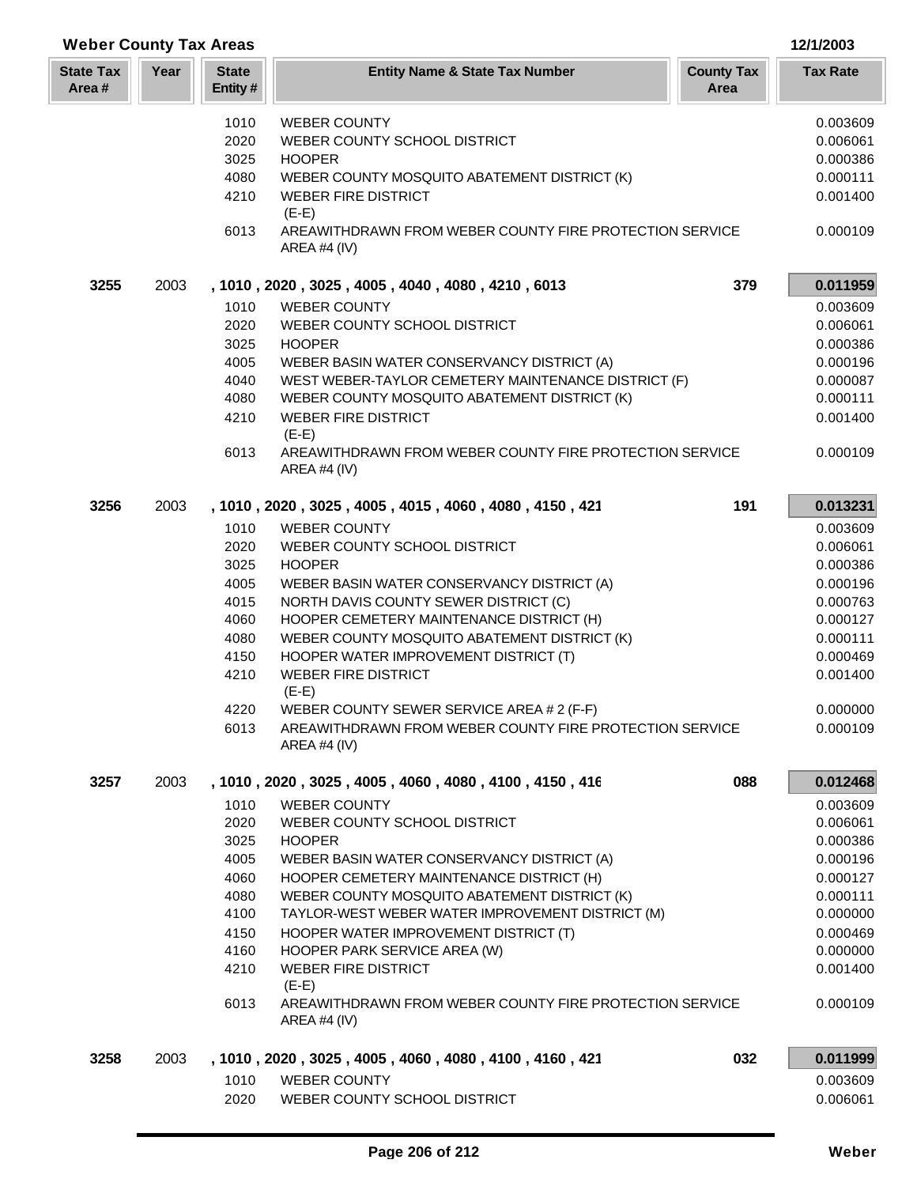| <b>Weber County Tax Areas</b> |      |                         |                                                                         | 12/1/2003                 |                 |
|-------------------------------|------|-------------------------|-------------------------------------------------------------------------|---------------------------|-----------------|
| <b>State Tax</b><br>Area#     | Year | <b>State</b><br>Entity# | <b>Entity Name &amp; State Tax Number</b>                               | <b>County Tax</b><br>Area | <b>Tax Rate</b> |
|                               |      | 1010                    | <b>WEBER COUNTY</b>                                                     |                           | 0.003609        |
|                               |      | 2020                    | WEBER COUNTY SCHOOL DISTRICT                                            |                           | 0.006061        |
|                               |      | 3025                    | <b>HOOPER</b>                                                           |                           | 0.000386        |
|                               |      | 4080                    | WEBER COUNTY MOSQUITO ABATEMENT DISTRICT (K)                            |                           | 0.000111        |
|                               |      | 4210                    | <b>WEBER FIRE DISTRICT</b><br>$(E-E)$                                   |                           | 0.001400        |
|                               |      | 6013                    | AREAWITHDRAWN FROM WEBER COUNTY FIRE PROTECTION SERVICE<br>AREA #4 (IV) |                           | 0.000109        |
| 3255                          | 2003 |                         | , 1010, 2020, 3025, 4005, 4040, 4080, 4210, 6013                        | 379                       | 0.011959        |
|                               |      | 1010                    | <b>WEBER COUNTY</b>                                                     |                           | 0.003609        |
|                               |      | 2020                    | WEBER COUNTY SCHOOL DISTRICT                                            |                           | 0.006061        |
|                               |      | 3025                    | <b>HOOPER</b>                                                           |                           | 0.000386        |
|                               |      | 4005                    | WEBER BASIN WATER CONSERVANCY DISTRICT (A)                              |                           | 0.000196        |
|                               |      | 4040                    | WEST WEBER-TAYLOR CEMETERY MAINTENANCE DISTRICT (F)                     |                           | 0.000087        |
|                               |      | 4080                    | WEBER COUNTY MOSQUITO ABATEMENT DISTRICT (K)                            |                           | 0.000111        |
|                               |      | 4210                    | <b>WEBER FIRE DISTRICT</b><br>$(E-E)$                                   |                           | 0.001400        |
|                               |      | 6013                    | AREAWITHDRAWN FROM WEBER COUNTY FIRE PROTECTION SERVICE<br>AREA #4 (IV) |                           | 0.000109        |
| 3256                          | 2003 |                         | , 1010, 2020, 3025, 4005, 4015, 4060, 4080, 4150, 421                   | 191                       | 0.013231        |
|                               |      | 1010                    | <b>WEBER COUNTY</b>                                                     |                           | 0.003609        |
|                               |      | 2020                    | WEBER COUNTY SCHOOL DISTRICT                                            |                           | 0.006061        |
|                               |      | 3025                    | <b>HOOPER</b>                                                           |                           | 0.000386        |
|                               |      | 4005                    | WEBER BASIN WATER CONSERVANCY DISTRICT (A)                              |                           | 0.000196        |
|                               |      | 4015                    | NORTH DAVIS COUNTY SEWER DISTRICT (C)                                   |                           | 0.000763        |
|                               |      | 4060                    | HOOPER CEMETERY MAINTENANCE DISTRICT (H)                                |                           | 0.000127        |
|                               |      | 4080                    | WEBER COUNTY MOSQUITO ABATEMENT DISTRICT (K)                            |                           | 0.000111        |
|                               |      | 4150                    | HOOPER WATER IMPROVEMENT DISTRICT (T)                                   |                           | 0.000469        |
|                               |      | 4210                    | <b>WEBER FIRE DISTRICT</b><br>$(E-E)$                                   |                           | 0.001400        |
|                               |      | 4220                    | WEBER COUNTY SEWER SERVICE AREA # 2 (F-F)                               |                           | 0.000000        |
|                               |      | 6013                    | AREAWITHDRAWN FROM WEBER COUNTY FIRE PROTECTION SERVICE<br>AREA #4 (IV) |                           | 0.000109        |
| 3257                          | 2003 |                         | , 1010, 2020, 3025, 4005, 4060, 4080, 4100, 4150, 416                   | 088                       | 0.012468        |
|                               |      | 1010                    | <b>WEBER COUNTY</b>                                                     |                           | 0.003609        |
|                               |      | 2020                    | WEBER COUNTY SCHOOL DISTRICT                                            |                           | 0.006061        |
|                               |      | 3025                    | <b>HOOPER</b>                                                           |                           | 0.000386        |
|                               |      | 4005                    | WEBER BASIN WATER CONSERVANCY DISTRICT (A)                              |                           | 0.000196        |
|                               |      | 4060                    | HOOPER CEMETERY MAINTENANCE DISTRICT (H)                                |                           | 0.000127        |
|                               |      | 4080                    | WEBER COUNTY MOSQUITO ABATEMENT DISTRICT (K)                            |                           | 0.000111        |
|                               |      | 4100                    | TAYLOR-WEST WEBER WATER IMPROVEMENT DISTRICT (M)                        |                           | 0.000000        |
|                               |      | 4150                    | HOOPER WATER IMPROVEMENT DISTRICT (T)                                   |                           | 0.000469        |
|                               |      | 4160                    | HOOPER PARK SERVICE AREA (W)                                            |                           | 0.000000        |
|                               |      | 4210                    | <b>WEBER FIRE DISTRICT</b><br>$(E-E)$                                   |                           | 0.001400        |
|                               |      | 6013                    | AREAWITHDRAWN FROM WEBER COUNTY FIRE PROTECTION SERVICE<br>AREA #4 (IV) |                           | 0.000109        |
| 3258                          | 2003 |                         | , 1010, 2020, 3025, 4005, 4060, 4080, 4100, 4160, 421                   | 032                       | 0.011999        |
|                               |      | 1010                    | <b>WEBER COUNTY</b>                                                     |                           | 0.003609        |
|                               |      | 2020                    | WEBER COUNTY SCHOOL DISTRICT                                            |                           | 0.006061        |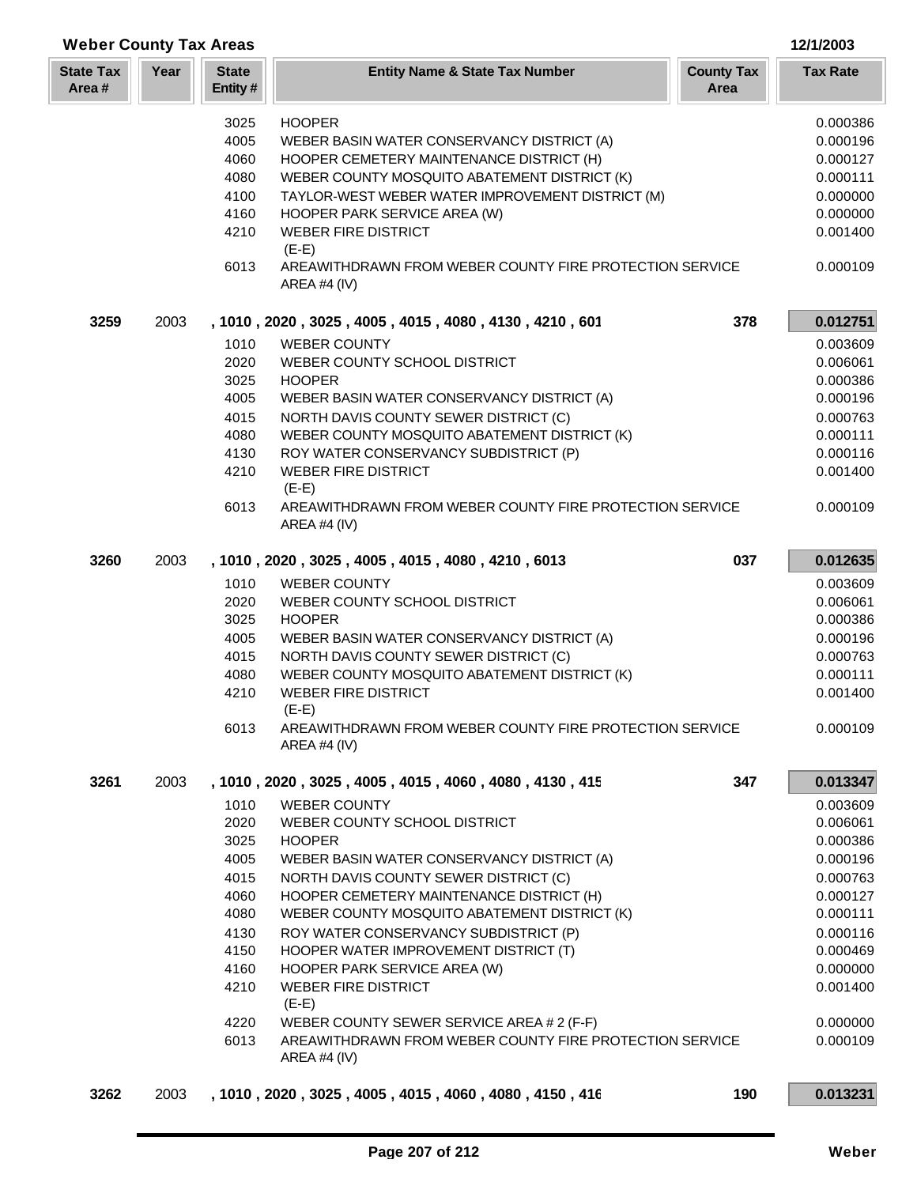| <b>State Tax</b><br>Area# | Year | <b>State</b><br>Entity# | <b>Entity Name &amp; State Tax Number</b>                               | <b>County Tax</b><br>Area | <b>Tax Rate</b> |
|---------------------------|------|-------------------------|-------------------------------------------------------------------------|---------------------------|-----------------|
|                           |      | 3025                    | <b>HOOPER</b>                                                           |                           | 0.000386        |
|                           |      | 4005                    | WEBER BASIN WATER CONSERVANCY DISTRICT (A)                              |                           | 0.000196        |
|                           |      | 4060                    | HOOPER CEMETERY MAINTENANCE DISTRICT (H)                                |                           | 0.000127        |
|                           |      | 4080                    | WEBER COUNTY MOSQUITO ABATEMENT DISTRICT (K)                            |                           | 0.000111        |
|                           |      | 4100                    | TAYLOR-WEST WEBER WATER IMPROVEMENT DISTRICT (M)                        |                           | 0.000000        |
|                           |      | 4160                    | HOOPER PARK SERVICE AREA (W)                                            |                           | 0.000000        |
|                           |      | 4210                    | <b>WEBER FIRE DISTRICT</b><br>$(E-E)$                                   |                           | 0.001400        |
|                           |      | 6013                    | AREAWITHDRAWN FROM WEBER COUNTY FIRE PROTECTION SERVICE<br>AREA #4 (IV) |                           | 0.000109        |
| 3259                      | 2003 |                         | , 1010, 2020, 3025, 4005, 4015, 4080, 4130, 4210, 601                   | 378                       | 0.012751        |
|                           |      | 1010                    | <b>WEBER COUNTY</b>                                                     |                           | 0.003609        |
|                           |      | 2020                    | WEBER COUNTY SCHOOL DISTRICT                                            |                           | 0.006061        |
|                           |      | 3025                    | <b>HOOPER</b>                                                           |                           | 0.000386        |
|                           |      | 4005                    | WEBER BASIN WATER CONSERVANCY DISTRICT (A)                              |                           | 0.000196        |
|                           |      | 4015                    | NORTH DAVIS COUNTY SEWER DISTRICT (C)                                   |                           | 0.000763        |
|                           |      | 4080                    | WEBER COUNTY MOSQUITO ABATEMENT DISTRICT (K)                            |                           | 0.000111        |
|                           |      | 4130                    | ROY WATER CONSERVANCY SUBDISTRICT (P)                                   |                           | 0.000116        |
|                           |      | 4210                    | <b>WEBER FIRE DISTRICT</b><br>$(E-E)$                                   |                           | 0.001400        |
|                           |      | 6013                    | AREAWITHDRAWN FROM WEBER COUNTY FIRE PROTECTION SERVICE<br>AREA #4 (IV) |                           | 0.000109        |
| 3260                      | 2003 |                         | , 1010, 2020, 3025, 4005, 4015, 4080, 4210, 6013                        | 037                       | 0.012635        |
|                           |      | 1010                    | <b>WEBER COUNTY</b>                                                     |                           | 0.003609        |
|                           |      | 2020                    | WEBER COUNTY SCHOOL DISTRICT                                            |                           | 0.006061        |
|                           |      | 3025                    | <b>HOOPER</b>                                                           |                           | 0.000386        |
|                           |      | 4005                    | WEBER BASIN WATER CONSERVANCY DISTRICT (A)                              |                           | 0.000196        |
|                           |      | 4015                    | NORTH DAVIS COUNTY SEWER DISTRICT (C)                                   |                           | 0.000763        |
|                           |      | 4080                    | WEBER COUNTY MOSQUITO ABATEMENT DISTRICT (K)                            |                           | 0.000111        |
|                           |      | 4210                    | <b>WEBER FIRE DISTRICT</b><br>$(E-E)$                                   |                           | 0.001400        |
|                           |      | 6013                    | AREAWITHDRAWN FROM WEBER COUNTY FIRE PROTECTION SERVICE<br>AREA #4 (IV) |                           | 0.000109        |
| 3261                      | 2003 |                         | , 1010, 2020, 3025, 4005, 4015, 4060, 4080, 4130, 415                   | 347                       | 0.013347        |
|                           |      | 1010                    | <b>WEBER COUNTY</b>                                                     |                           | 0.003609        |
|                           |      | 2020                    | WEBER COUNTY SCHOOL DISTRICT                                            |                           | 0.006061        |
|                           |      | 3025                    | <b>HOOPER</b>                                                           |                           | 0.000386        |
|                           |      | 4005                    | WEBER BASIN WATER CONSERVANCY DISTRICT (A)                              |                           | 0.000196        |
|                           |      | 4015                    | NORTH DAVIS COUNTY SEWER DISTRICT (C)                                   |                           | 0.000763        |
|                           |      | 4060                    | HOOPER CEMETERY MAINTENANCE DISTRICT (H)                                |                           | 0.000127        |
|                           |      | 4080                    | WEBER COUNTY MOSQUITO ABATEMENT DISTRICT (K)                            |                           | 0.000111        |
|                           |      | 4130                    | ROY WATER CONSERVANCY SUBDISTRICT (P)                                   |                           | 0.000116        |
|                           |      | 4150                    | HOOPER WATER IMPROVEMENT DISTRICT (T)                                   |                           | 0.000469        |
|                           |      | 4160                    | HOOPER PARK SERVICE AREA (W)                                            |                           | 0.000000        |
|                           |      | 4210                    | <b>WEBER FIRE DISTRICT</b><br>$(E-E)$                                   |                           | 0.001400        |
|                           |      | 4220                    | WEBER COUNTY SEWER SERVICE AREA # 2 (F-F)                               |                           | 0.000000        |
|                           |      |                         |                                                                         |                           |                 |
|                           |      | 6013                    | AREAWITHDRAWN FROM WEBER COUNTY FIRE PROTECTION SERVICE<br>AREA #4 (IV) |                           | 0.000109        |

**Weber County Tax Areas 12/1/2003**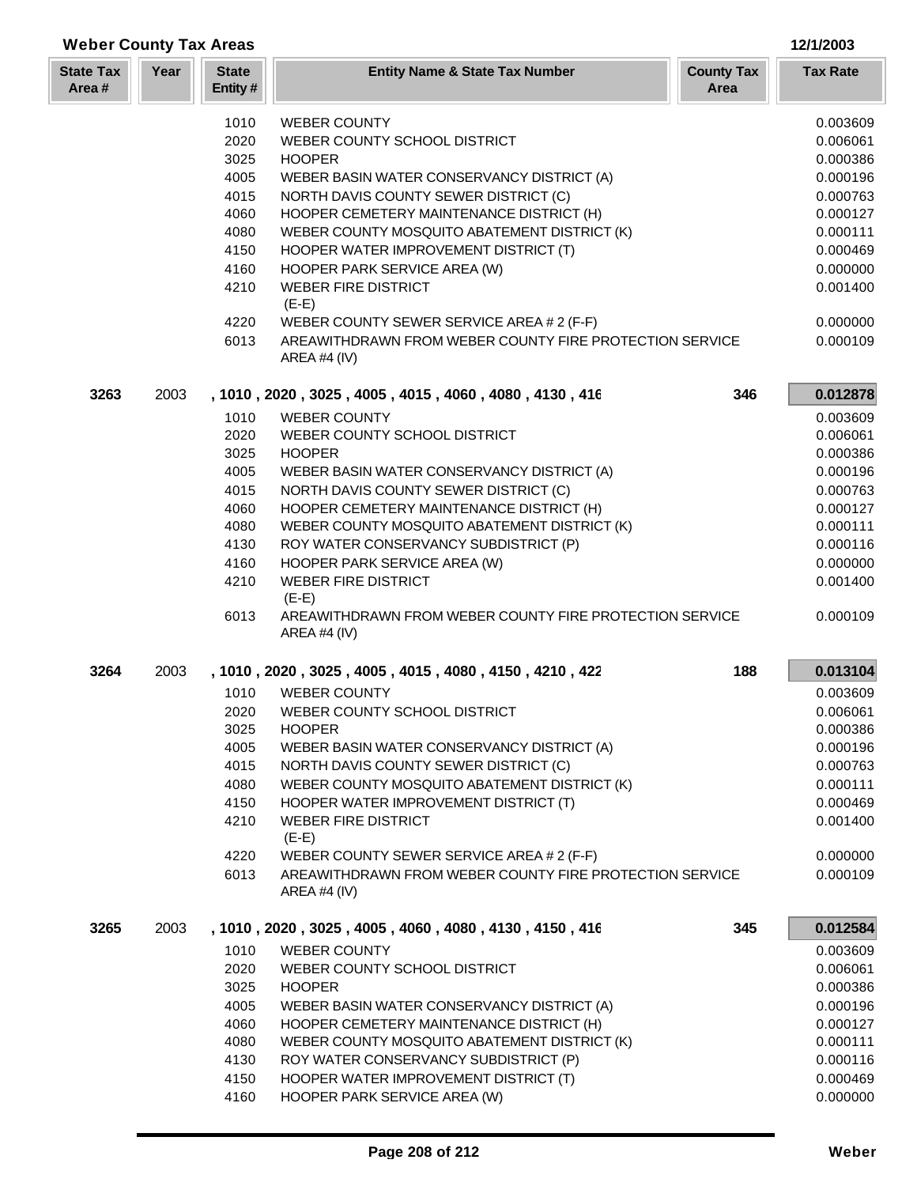| <b>Weber County Tax Areas</b> |      |                         |                                                                         |                           | 12/1/2003            |
|-------------------------------|------|-------------------------|-------------------------------------------------------------------------|---------------------------|----------------------|
| <b>State Tax</b><br>Area#     | Year | <b>State</b><br>Entity# | <b>Entity Name &amp; State Tax Number</b>                               | <b>County Tax</b><br>Area | <b>Tax Rate</b>      |
|                               |      | 1010                    | <b>WEBER COUNTY</b>                                                     |                           | 0.003609             |
|                               |      | 2020                    | WEBER COUNTY SCHOOL DISTRICT                                            |                           | 0.006061             |
|                               |      | 3025                    | <b>HOOPER</b>                                                           |                           | 0.000386             |
|                               |      | 4005                    | WEBER BASIN WATER CONSERVANCY DISTRICT (A)                              |                           | 0.000196             |
|                               |      | 4015                    | NORTH DAVIS COUNTY SEWER DISTRICT (C)                                   |                           | 0.000763             |
|                               |      | 4060                    | HOOPER CEMETERY MAINTENANCE DISTRICT (H)                                |                           | 0.000127             |
|                               |      | 4080                    | WEBER COUNTY MOSQUITO ABATEMENT DISTRICT (K)                            |                           | 0.000111             |
|                               |      | 4150                    | HOOPER WATER IMPROVEMENT DISTRICT (T)                                   |                           | 0.000469             |
|                               |      | 4160                    | HOOPER PARK SERVICE AREA (W)                                            |                           | 0.000000             |
|                               |      | 4210                    | <b>WEBER FIRE DISTRICT</b>                                              |                           | 0.001400             |
|                               |      |                         | $(E-E)$                                                                 |                           |                      |
|                               |      | 4220                    | WEBER COUNTY SEWER SERVICE AREA # 2 (F-F)                               |                           | 0.000000             |
|                               |      | 6013                    | AREAWITHDRAWN FROM WEBER COUNTY FIRE PROTECTION SERVICE<br>AREA #4 (IV) |                           | 0.000109             |
| 3263                          | 2003 |                         | , 1010, 2020, 3025, 4005, 4015, 4060, 4080, 4130, 416                   | 346                       | 0.012878             |
|                               |      | 1010                    | <b>WEBER COUNTY</b>                                                     |                           | 0.003609             |
|                               |      | 2020                    | WEBER COUNTY SCHOOL DISTRICT                                            |                           | 0.006061             |
|                               |      | 3025                    | <b>HOOPER</b>                                                           |                           | 0.000386             |
|                               |      | 4005                    | WEBER BASIN WATER CONSERVANCY DISTRICT (A)                              |                           | 0.000196             |
|                               |      | 4015                    | NORTH DAVIS COUNTY SEWER DISTRICT (C)                                   |                           | 0.000763             |
|                               |      | 4060                    | HOOPER CEMETERY MAINTENANCE DISTRICT (H)                                |                           | 0.000127             |
|                               |      | 4080                    | WEBER COUNTY MOSQUITO ABATEMENT DISTRICT (K)                            |                           | 0.000111             |
|                               |      | 4130                    | ROY WATER CONSERVANCY SUBDISTRICT (P)                                   |                           | 0.000116             |
|                               |      | 4160                    | HOOPER PARK SERVICE AREA (W)<br><b>WEBER FIRE DISTRICT</b>              |                           | 0.000000             |
|                               |      | 4210                    | $(E-E)$                                                                 |                           | 0.001400             |
|                               |      | 6013                    | AREAWITHDRAWN FROM WEBER COUNTY FIRE PROTECTION SERVICE<br>AREA #4 (IV) |                           | 0.000109             |
| 3264                          | 2003 |                         | , 1010, 2020, 3025, 4005, 4015, 4080, 4150, 4210, 422                   | 188                       | 0.013104             |
|                               |      | 1010                    | <b>WEBER COUNTY</b>                                                     |                           | 0.003609             |
|                               |      | 2020                    | WEBER COUNTY SCHOOL DISTRICT                                            |                           | 0.006061             |
|                               |      | 3025                    | <b>HOOPER</b>                                                           |                           | 0.000386             |
|                               |      | 4005                    | WEBER BASIN WATER CONSERVANCY DISTRICT (A)                              |                           | 0.000196             |
|                               |      | 4015                    | NORTH DAVIS COUNTY SEWER DISTRICT (C)                                   |                           | 0.000763             |
|                               |      | 4080                    | WEBER COUNTY MOSQUITO ABATEMENT DISTRICT (K)                            |                           | 0.000111             |
|                               |      | 4150                    | HOOPER WATER IMPROVEMENT DISTRICT (T)                                   |                           | 0.000469             |
|                               |      | 4210                    | <b>WEBER FIRE DISTRICT</b><br>$(E-E)$                                   |                           | 0.001400             |
|                               |      | 4220                    | WEBER COUNTY SEWER SERVICE AREA # 2 (F-F)                               |                           | 0.000000             |
|                               |      | 6013                    | AREAWITHDRAWN FROM WEBER COUNTY FIRE PROTECTION SERVICE<br>AREA #4 (IV) |                           | 0.000109             |
| 3265                          | 2003 |                         | , 1010, 2020, 3025, 4005, 4060, 4080, 4130, 4150, 416                   | 345                       | 0.012584             |
|                               |      | 1010                    | <b>WEBER COUNTY</b>                                                     |                           | 0.003609             |
|                               |      | 2020                    | WEBER COUNTY SCHOOL DISTRICT                                            |                           | 0.006061             |
|                               |      | 3025                    | <b>HOOPER</b>                                                           |                           | 0.000386             |
|                               |      | 4005                    | WEBER BASIN WATER CONSERVANCY DISTRICT (A)                              |                           | 0.000196             |
|                               |      | 4060                    | HOOPER CEMETERY MAINTENANCE DISTRICT (H)                                |                           | 0.000127             |
|                               |      | 4080                    | WEBER COUNTY MOSQUITO ABATEMENT DISTRICT (K)                            |                           | 0.000111             |
|                               |      | 4130                    | ROY WATER CONSERVANCY SUBDISTRICT (P)                                   |                           | 0.000116             |
|                               |      | 4150<br>4160            | HOOPER WATER IMPROVEMENT DISTRICT (T)                                   |                           | 0.000469<br>0.000000 |
|                               |      |                         | HOOPER PARK SERVICE AREA (W)                                            |                           |                      |

L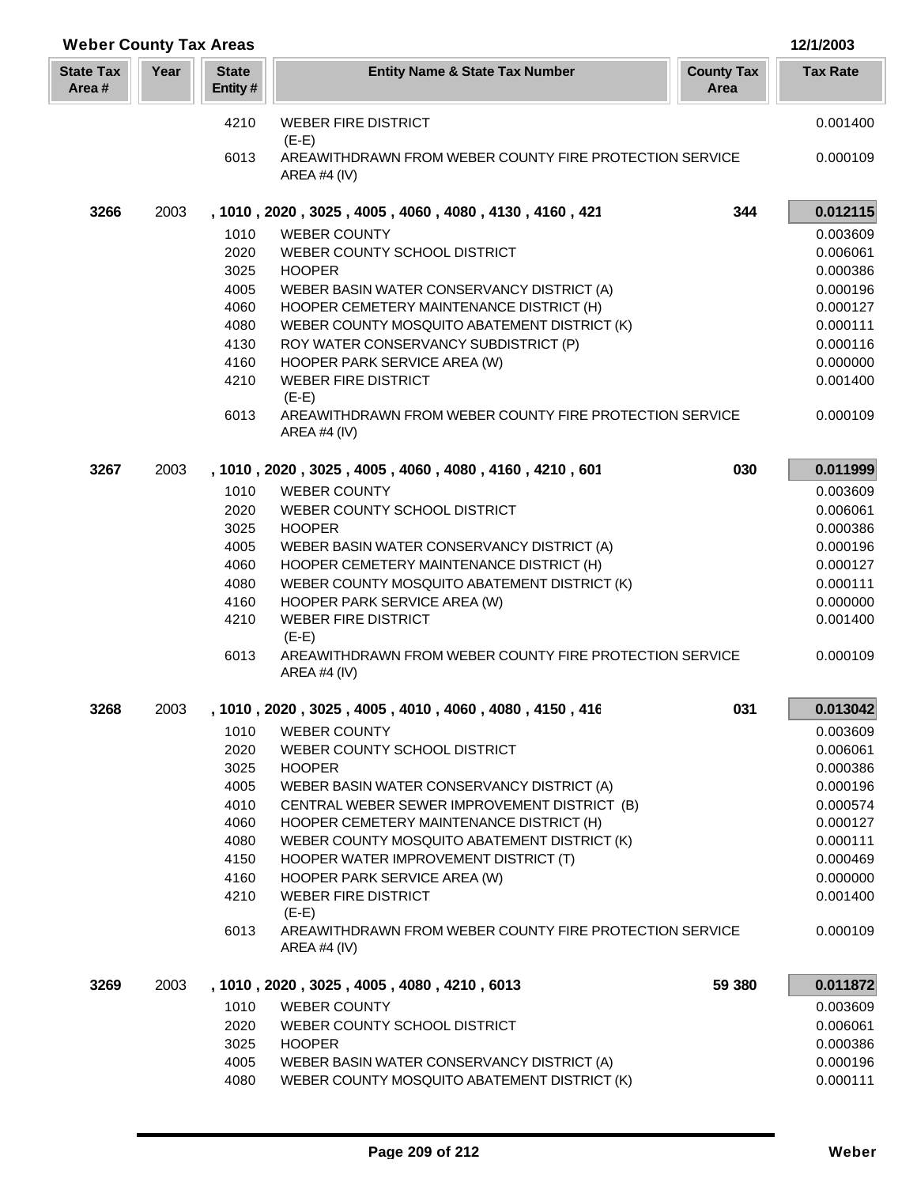| <b>Weber County Tax Areas</b> |      |                         |                                                                         |                           | 12/1/2003       |
|-------------------------------|------|-------------------------|-------------------------------------------------------------------------|---------------------------|-----------------|
| <b>State Tax</b><br>Area#     | Year | <b>State</b><br>Entity# | <b>Entity Name &amp; State Tax Number</b>                               | <b>County Tax</b><br>Area | <b>Tax Rate</b> |
|                               |      | 4210                    | <b>WEBER FIRE DISTRICT</b><br>$(E-E)$                                   |                           | 0.001400        |
|                               |      | 6013                    | AREAWITHDRAWN FROM WEBER COUNTY FIRE PROTECTION SERVICE<br>AREA #4 (IV) |                           | 0.000109        |
| 3266                          | 2003 |                         | , 1010, 2020, 3025, 4005, 4060, 4080, 4130, 4160, 421                   | 344                       | 0.012115        |
|                               |      | 1010                    | <b>WEBER COUNTY</b>                                                     |                           | 0.003609        |
|                               |      | 2020                    | WEBER COUNTY SCHOOL DISTRICT                                            |                           | 0.006061        |
|                               |      | 3025                    | <b>HOOPER</b>                                                           |                           | 0.000386        |
|                               |      | 4005                    | WEBER BASIN WATER CONSERVANCY DISTRICT (A)                              |                           | 0.000196        |
|                               |      | 4060                    | HOOPER CEMETERY MAINTENANCE DISTRICT (H)                                |                           | 0.000127        |
|                               |      | 4080                    | WEBER COUNTY MOSQUITO ABATEMENT DISTRICT (K)                            |                           | 0.000111        |
|                               |      | 4130                    | ROY WATER CONSERVANCY SUBDISTRICT (P)                                   |                           | 0.000116        |
|                               |      | 4160                    | HOOPER PARK SERVICE AREA (W)                                            |                           | 0.000000        |
|                               |      | 4210                    | <b>WEBER FIRE DISTRICT</b><br>$(E-E)$                                   |                           | 0.001400        |
|                               |      | 6013                    | AREAWITHDRAWN FROM WEBER COUNTY FIRE PROTECTION SERVICE<br>AREA #4 (IV) |                           | 0.000109        |
| 3267                          | 2003 |                         | , 1010, 2020, 3025, 4005, 4060, 4080, 4160, 4210, 601                   | 030                       | 0.011999        |
|                               |      | 1010                    | <b>WEBER COUNTY</b>                                                     |                           | 0.003609        |
|                               |      | 2020                    | WEBER COUNTY SCHOOL DISTRICT                                            |                           | 0.006061        |
|                               |      | 3025                    | <b>HOOPER</b>                                                           |                           | 0.000386        |
|                               |      | 4005                    | WEBER BASIN WATER CONSERVANCY DISTRICT (A)                              |                           | 0.000196        |
|                               |      | 4060                    | HOOPER CEMETERY MAINTENANCE DISTRICT (H)                                |                           | 0.000127        |
|                               |      | 4080                    | WEBER COUNTY MOSQUITO ABATEMENT DISTRICT (K)                            |                           | 0.000111        |
|                               |      | 4160                    | HOOPER PARK SERVICE AREA (W)                                            |                           | 0.000000        |
|                               |      | 4210                    | <b>WEBER FIRE DISTRICT</b><br>$(E-E)$                                   |                           | 0.001400        |
|                               |      | 6013                    | AREAWITHDRAWN FROM WEBER COUNTY FIRE PROTECTION SERVICE<br>AREA #4 (IV) |                           | 0.000109        |
| 3268                          | 2003 |                         | , 1010, 2020, 3025, 4005, 4010, 4060, 4080, 4150, 416                   | 031                       | 0.013042        |
|                               |      | 1010                    | <b>WEBER COUNTY</b>                                                     |                           | 0.003609        |
|                               |      | 2020                    | WEBER COUNTY SCHOOL DISTRICT                                            |                           | 0.006061        |
|                               |      | 3025                    | <b>HOOPER</b>                                                           |                           | 0.000386        |
|                               |      | 4005                    | WEBER BASIN WATER CONSERVANCY DISTRICT (A)                              |                           | 0.000196        |
|                               |      | 4010                    | CENTRAL WEBER SEWER IMPROVEMENT DISTRICT (B)                            |                           | 0.000574        |
|                               |      | 4060                    | HOOPER CEMETERY MAINTENANCE DISTRICT (H)                                |                           | 0.000127        |
|                               |      | 4080                    | WEBER COUNTY MOSQUITO ABATEMENT DISTRICT (K)                            |                           | 0.000111        |
|                               |      | 4150                    | HOOPER WATER IMPROVEMENT DISTRICT (T)                                   |                           | 0.000469        |
|                               |      | 4160                    | HOOPER PARK SERVICE AREA (W)                                            |                           | 0.000000        |
|                               |      | 4210                    | <b>WEBER FIRE DISTRICT</b><br>$(E-E)$                                   |                           | 0.001400        |
|                               |      | 6013                    | AREAWITHDRAWN FROM WEBER COUNTY FIRE PROTECTION SERVICE<br>AREA #4 (IV) |                           | 0.000109        |
| 3269                          | 2003 |                         | , 1010, 2020, 3025, 4005, 4080, 4210, 6013                              | 59 380                    | 0.011872        |
|                               |      | 1010                    | <b>WEBER COUNTY</b>                                                     |                           | 0.003609        |
|                               |      | 2020                    | WEBER COUNTY SCHOOL DISTRICT                                            |                           | 0.006061        |
|                               |      | 3025                    | <b>HOOPER</b>                                                           |                           | 0.000386        |
|                               |      | 4005                    | WEBER BASIN WATER CONSERVANCY DISTRICT (A)                              |                           | 0.000196        |
|                               |      | 4080                    | WEBER COUNTY MOSQUITO ABATEMENT DISTRICT (K)                            |                           | 0.000111        |

ı L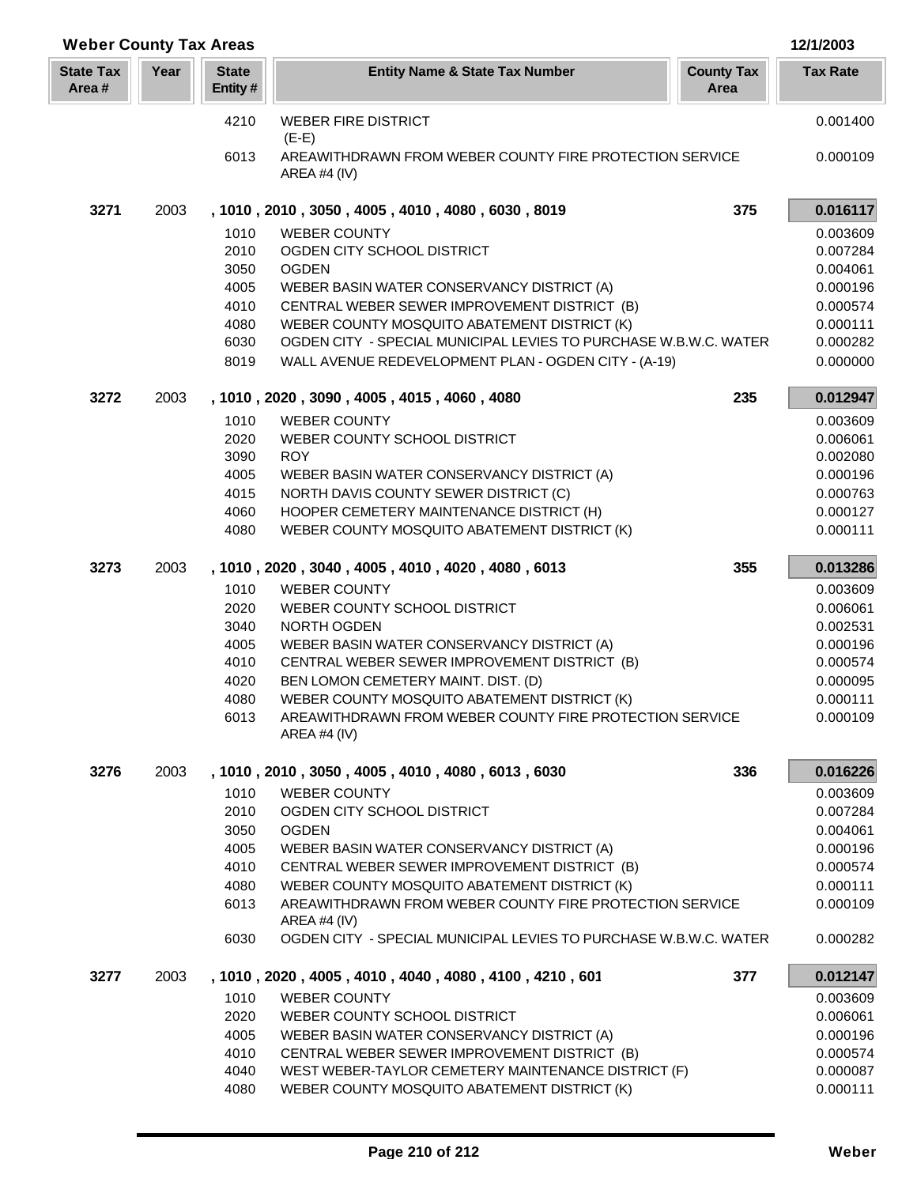| <b>Weber County Tax Areas</b> |      |                         |                                                                           |                           | 12/1/2003       |
|-------------------------------|------|-------------------------|---------------------------------------------------------------------------|---------------------------|-----------------|
| <b>State Tax</b><br>Area#     | Year | <b>State</b><br>Entity# | <b>Entity Name &amp; State Tax Number</b>                                 | <b>County Tax</b><br>Area | <b>Tax Rate</b> |
|                               |      | 4210                    | <b>WEBER FIRE DISTRICT</b><br>$(E-E)$                                     |                           | 0.001400        |
|                               |      | 6013                    | AREAWITHDRAWN FROM WEBER COUNTY FIRE PROTECTION SERVICE<br>AREA #4 (IV)   |                           | 0.000109        |
| 3271                          | 2003 |                         | , 1010, 2010, 3050, 4005, 4010, 4080, 6030, 8019                          | 375                       | 0.016117        |
|                               |      | 1010                    | <b>WEBER COUNTY</b>                                                       |                           | 0.003609        |
|                               |      | 2010                    | OGDEN CITY SCHOOL DISTRICT                                                |                           | 0.007284        |
|                               |      | 3050                    | <b>OGDEN</b>                                                              |                           | 0.004061        |
|                               |      | 4005                    | WEBER BASIN WATER CONSERVANCY DISTRICT (A)                                |                           | 0.000196        |
|                               |      | 4010                    | CENTRAL WEBER SEWER IMPROVEMENT DISTRICT (B)                              |                           | 0.000574        |
|                               |      | 4080                    | WEBER COUNTY MOSQUITO ABATEMENT DISTRICT (K)                              |                           | 0.000111        |
|                               |      | 6030                    | OGDEN CITY - SPECIAL MUNICIPAL LEVIES TO PURCHASE W.B.W.C. WATER          |                           | 0.000282        |
|                               |      | 8019                    | WALL AVENUE REDEVELOPMENT PLAN - OGDEN CITY - (A-19)                      |                           | 0.000000        |
| 3272                          | 2003 |                         | , 1010, 2020, 3090, 4005, 4015, 4060, 4080                                | 235                       | 0.012947        |
|                               |      | 1010                    | <b>WEBER COUNTY</b>                                                       |                           | 0.003609        |
|                               |      | 2020                    | WEBER COUNTY SCHOOL DISTRICT                                              |                           | 0.006061        |
|                               |      | 3090                    | <b>ROY</b>                                                                |                           | 0.002080        |
|                               |      | 4005                    | WEBER BASIN WATER CONSERVANCY DISTRICT (A)                                |                           | 0.000196        |
|                               |      | 4015                    | NORTH DAVIS COUNTY SEWER DISTRICT (C)                                     |                           | 0.000763        |
|                               |      | 4060                    | HOOPER CEMETERY MAINTENANCE DISTRICT (H)                                  |                           | 0.000127        |
|                               |      | 4080                    | WEBER COUNTY MOSQUITO ABATEMENT DISTRICT (K)                              |                           | 0.000111        |
| 3273                          | 2003 |                         | , 1010, 2020, 3040, 4005, 4010, 4020, 4080, 6013                          | 355                       | 0.013286        |
|                               |      | 1010                    | <b>WEBER COUNTY</b>                                                       |                           | 0.003609        |
|                               |      | 2020                    | WEBER COUNTY SCHOOL DISTRICT                                              |                           | 0.006061        |
|                               |      | 3040                    | NORTH OGDEN                                                               |                           | 0.002531        |
|                               |      | 4005                    | WEBER BASIN WATER CONSERVANCY DISTRICT (A)                                |                           | 0.000196        |
|                               |      | 4010                    | CENTRAL WEBER SEWER IMPROVEMENT DISTRICT (B)                              |                           | 0.000574        |
|                               |      | 4020                    | BEN LOMON CEMETERY MAINT. DIST. (D)                                       |                           | 0.000095        |
|                               |      | 4080                    | WEBER COUNTY MOSQUITO ABATEMENT DISTRICT (K)                              |                           | 0.000111        |
|                               |      | 6013                    | AREAWITHDRAWN FROM WEBER COUNTY FIRE PROTECTION SERVICE<br>AREA #4 (IV)   |                           | 0.000109        |
| 3276                          | 2003 |                         | , 1010, 2010, 3050, 4005, 4010, 4080, 6013, 6030                          | 336                       | 0.016226        |
|                               |      | 1010                    | <b>WEBER COUNTY</b>                                                       |                           | 0.003609        |
|                               |      | 2010                    | OGDEN CITY SCHOOL DISTRICT                                                |                           | 0.007284        |
|                               |      | 3050                    | <b>OGDEN</b>                                                              |                           | 0.004061        |
|                               |      | 4005                    | WEBER BASIN WATER CONSERVANCY DISTRICT (A)                                |                           | 0.000196        |
|                               |      | 4010                    | CENTRAL WEBER SEWER IMPROVEMENT DISTRICT (B)                              |                           | 0.000574        |
|                               |      | 4080                    | WEBER COUNTY MOSQUITO ABATEMENT DISTRICT (K)                              |                           | 0.000111        |
|                               |      | 6013                    | AREAWITHDRAWN FROM WEBER COUNTY FIRE PROTECTION SERVICE<br>AREA #4 $(IV)$ |                           | 0.000109        |
|                               |      | 6030                    | OGDEN CITY - SPECIAL MUNICIPAL LEVIES TO PURCHASE W.B.W.C. WATER          |                           | 0.000282        |
| 3277                          | 2003 |                         | , 1010, 2020, 4005, 4010, 4040, 4080, 4100, 4210, 601                     | 377                       | 0.012147        |
|                               |      | 1010                    | <b>WEBER COUNTY</b>                                                       |                           | 0.003609        |
|                               |      | 2020                    | WEBER COUNTY SCHOOL DISTRICT                                              |                           | 0.006061        |
|                               |      | 4005                    | WEBER BASIN WATER CONSERVANCY DISTRICT (A)                                |                           | 0.000196        |
|                               |      | 4010                    | CENTRAL WEBER SEWER IMPROVEMENT DISTRICT (B)                              |                           | 0.000574        |
|                               |      | 4040                    | WEST WEBER-TAYLOR CEMETERY MAINTENANCE DISTRICT (F)                       |                           | 0.000087        |
|                               |      | 4080                    | WEBER COUNTY MOSQUITO ABATEMENT DISTRICT (K)                              |                           | 0.000111        |

L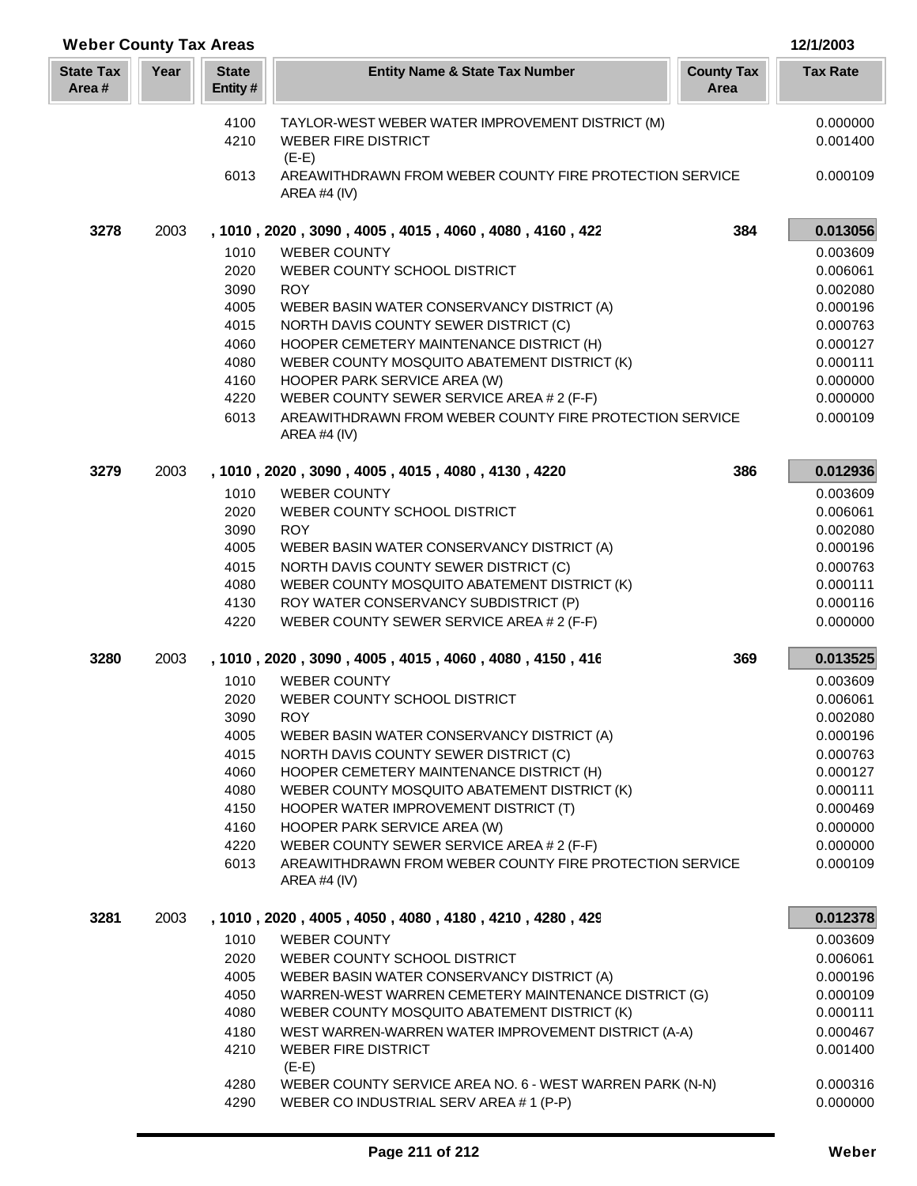| <b>Weber County Tax Areas</b> |      |                         |                                                                                                      |                           | 12/1/2003            |
|-------------------------------|------|-------------------------|------------------------------------------------------------------------------------------------------|---------------------------|----------------------|
| <b>State Tax</b><br>Area#     | Year | <b>State</b><br>Entity# | <b>Entity Name &amp; State Tax Number</b>                                                            | <b>County Tax</b><br>Area | <b>Tax Rate</b>      |
|                               |      | 4100                    | TAYLOR-WEST WEBER WATER IMPROVEMENT DISTRICT (M)                                                     |                           | 0.000000             |
|                               |      | 4210                    | <b>WEBER FIRE DISTRICT</b>                                                                           |                           | 0.001400             |
|                               |      |                         | $(E-E)$                                                                                              |                           |                      |
|                               |      | 6013                    | AREAWITHDRAWN FROM WEBER COUNTY FIRE PROTECTION SERVICE<br><b>AREA #4 (IV)</b>                       |                           | 0.000109             |
| 3278                          | 2003 |                         | , 1010, 2020, 3090, 4005, 4015, 4060, 4080, 4160, 422                                                | 384                       | 0.013056             |
|                               |      | 1010                    | <b>WEBER COUNTY</b>                                                                                  |                           | 0.003609             |
|                               |      | 2020                    | WEBER COUNTY SCHOOL DISTRICT                                                                         |                           | 0.006061             |
|                               |      | 3090                    | <b>ROY</b>                                                                                           |                           | 0.002080             |
|                               |      | 4005                    | WEBER BASIN WATER CONSERVANCY DISTRICT (A)                                                           |                           | 0.000196             |
|                               |      | 4015                    | NORTH DAVIS COUNTY SEWER DISTRICT (C)                                                                |                           | 0.000763             |
|                               |      | 4060                    | HOOPER CEMETERY MAINTENANCE DISTRICT (H)                                                             |                           | 0.000127             |
|                               |      | 4080                    | WEBER COUNTY MOSQUITO ABATEMENT DISTRICT (K)                                                         |                           | 0.000111             |
|                               |      | 4160                    | HOOPER PARK SERVICE AREA (W)                                                                         |                           | 0.000000             |
|                               |      | 4220<br>6013            | WEBER COUNTY SEWER SERVICE AREA # 2 (F-F)<br>AREAWITHDRAWN FROM WEBER COUNTY FIRE PROTECTION SERVICE |                           | 0.000000<br>0.000109 |
|                               |      |                         | <b>AREA #4 (IV)</b>                                                                                  |                           |                      |
| 3279                          | 2003 |                         | , 1010, 2020, 3090, 4005, 4015, 4080, 4130, 4220                                                     | 386                       | 0.012936             |
|                               |      | 1010                    | <b>WEBER COUNTY</b>                                                                                  |                           | 0.003609             |
|                               |      | 2020                    | WEBER COUNTY SCHOOL DISTRICT                                                                         |                           | 0.006061             |
|                               |      | 3090                    | <b>ROY</b>                                                                                           |                           | 0.002080             |
|                               |      | 4005                    | WEBER BASIN WATER CONSERVANCY DISTRICT (A)                                                           |                           | 0.000196             |
|                               |      | 4015                    | NORTH DAVIS COUNTY SEWER DISTRICT (C)                                                                |                           | 0.000763             |
|                               |      | 4080                    | WEBER COUNTY MOSQUITO ABATEMENT DISTRICT (K)                                                         |                           | 0.000111             |
|                               |      | 4130                    | ROY WATER CONSERVANCY SUBDISTRICT (P)                                                                |                           | 0.000116             |
|                               |      | 4220                    | WEBER COUNTY SEWER SERVICE AREA # 2 (F-F)                                                            |                           | 0.000000             |
| 3280                          | 2003 |                         | , 1010, 2020, 3090, 4005, 4015, 4060, 4080, 4150, 416                                                | 369                       | 0.013525             |
|                               |      | 1010                    | <b>WEBER COUNTY</b>                                                                                  |                           | 0.003609             |
|                               |      | 2020<br>3090            | WEBER COUNTY SCHOOL DISTRICT<br><b>ROY</b>                                                           |                           | 0.006061             |
|                               |      | 4005                    | WEBER BASIN WATER CONSERVANCY DISTRICT (A)                                                           |                           | 0.002080<br>0.000196 |
|                               |      | 4015                    | NORTH DAVIS COUNTY SEWER DISTRICT (C)                                                                |                           | 0.000763             |
|                               |      | 4060                    | HOOPER CEMETERY MAINTENANCE DISTRICT (H)                                                             |                           | 0.000127             |
|                               |      | 4080                    | WEBER COUNTY MOSQUITO ABATEMENT DISTRICT (K)                                                         |                           | 0.000111             |
|                               |      | 4150                    | HOOPER WATER IMPROVEMENT DISTRICT (T)                                                                |                           | 0.000469             |
|                               |      | 4160                    | HOOPER PARK SERVICE AREA (W)                                                                         |                           | 0.000000             |
|                               |      | 4220                    | WEBER COUNTY SEWER SERVICE AREA # 2 (F-F)                                                            |                           | 0.000000             |
|                               |      | 6013                    | AREAWITHDRAWN FROM WEBER COUNTY FIRE PROTECTION SERVICE<br><b>AREA #4 (IV)</b>                       |                           | 0.000109             |
| 3281                          | 2003 |                         | , 1010, 2020, 4005, 4050, 4080, 4180, 4210, 4280, 429                                                |                           | 0.012378             |
|                               |      | 1010                    | <b>WEBER COUNTY</b>                                                                                  |                           | 0.003609             |
|                               |      | 2020                    | WEBER COUNTY SCHOOL DISTRICT                                                                         |                           | 0.006061             |
|                               |      | 4005                    | WEBER BASIN WATER CONSERVANCY DISTRICT (A)                                                           |                           | 0.000196             |
|                               |      | 4050                    | WARREN-WEST WARREN CEMETERY MAINTENANCE DISTRICT (G)                                                 |                           | 0.000109             |
|                               |      | 4080                    | WEBER COUNTY MOSQUITO ABATEMENT DISTRICT (K)                                                         |                           | 0.000111             |
|                               |      | 4180<br>4210            | WEST WARREN-WARREN WATER IMPROVEMENT DISTRICT (A-A)<br><b>WEBER FIRE DISTRICT</b>                    |                           | 0.000467             |
|                               |      |                         | $(E-E)$                                                                                              |                           | 0.001400             |
|                               |      | 4280                    | WEBER COUNTY SERVICE AREA NO. 6 - WEST WARREN PARK (N-N)                                             |                           | 0.000316             |
|                               |      | 4290                    | WEBER CO INDUSTRIAL SERV AREA #1 (P-P)                                                               |                           | 0.000000             |